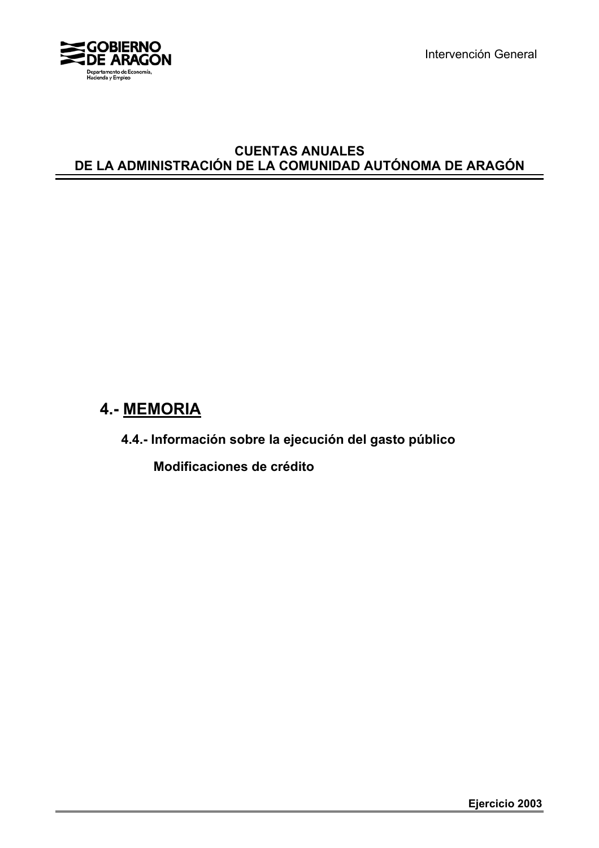

Intervención General

#### **CUENTAS ANUALES DE LA ADMINISTRACIÓN DE LA COMUNIDAD AUTÓNOMA DE ARAGÓN**

# **4.- MEMORIA**

**4.4.- Información sobre la ejecución del gasto público**

 **Modificaciones de crédito**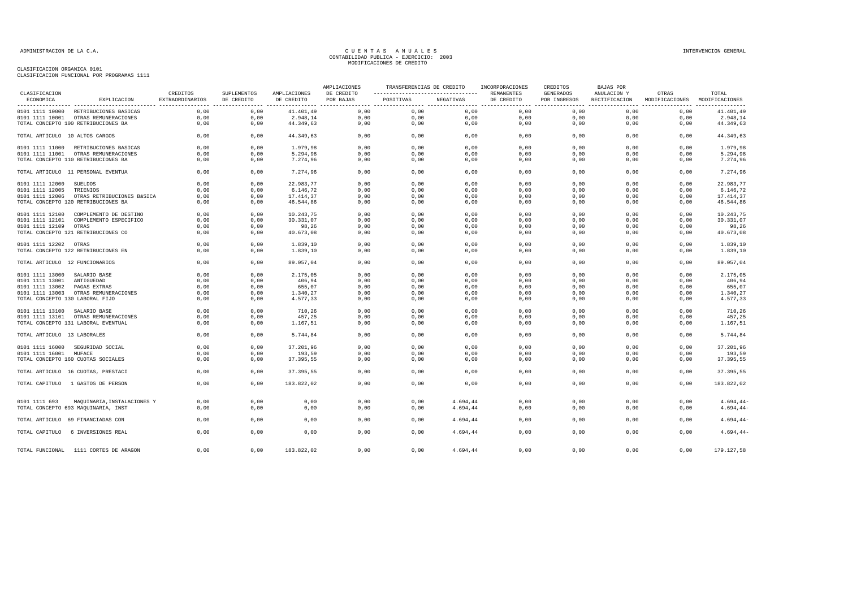| CLASIFICACION                   |                                            | CREDITOS        | SUPLEMENTOS | AMPLIACIONES | AMPLIACIONES<br>DE CREDITO | TRANSFERENCIAS DE CREDITO |           | INCORPORACIONES<br>REMANENTES | CREDITOS<br><b>GENERADOS</b> | BAJAS POR<br>ANULACION Y | OTRAS          | TOTAL          |
|---------------------------------|--------------------------------------------|-----------------|-------------|--------------|----------------------------|---------------------------|-----------|-------------------------------|------------------------------|--------------------------|----------------|----------------|
| ECONOMICA                       | EXPLICACION                                | EXTRAORDINARIOS | DE CREDITO  | DE CREDITO   | POR BAJAS                  | POSITIVAS                 | NEGATIVAS | DE CREDITO                    | POR INGRESOS                 | RECTIFICACION            | MODIFICACIONES | MODIFICACIONES |
|                                 | 0101 1111 10000 RETRIBUCIONES BASICAS      | 0,00            | 0,00        | 41.401,49    | 0,00                       | 0,00                      | 0,00      | 0,00                          | 0,00                         | 0,00                     | 0,00           | 41.401,49      |
|                                 | 0101 1111 10001 OTRAS REMUNERACIONES       | 0,00            | 0,00        | 2.948,14     | 0,00                       | 0,00                      | 0,00      | 0,00                          | 0,00                         | 0,00                     | 0,00           | 2.948,14       |
|                                 | TOTAL CONCEPTO 100 RETRIBUCIONES BA        | 0,00            | 0,00        | 44.349,63    | 0,00                       | 0,00                      | 0,00      | 0,00                          | 0,00                         | 0,00                     | 0,00           | 44.349,63      |
| TOTAL ARTICULO 10 ALTOS CARGOS  |                                            | 0,00            | 0,00        | 44.349,63    | 0,00                       | 0,00                      | 0,00      | 0,00                          | 0,00                         | 0,00                     | 0,00           | 44.349,63      |
|                                 | 0101 1111 11000 RETRIBUCIONES BASICAS      | 0.00            | 0,00        | 1.979,98     | 0,00                       | 0,00                      | 0,00      | 0,00                          | 0,00                         | 0,00                     | 0.00           | 1.979,98       |
|                                 | 0101 1111 11001 OTRAS REMUNERACIONES       | 0,00            | 0,00        | 5.294,98     | 0,00                       | 0,00                      | 0,00      | 0,00                          | 0,00                         | 0.00                     | 0,00           | 5.294,98       |
|                                 | TOTAL CONCEPTO 110 RETRIBUCIONES BA        | 0,00            | 0,00        | 7.274,96     | 0,00                       | 0,00                      | 0,00      | 0,00                          | 0,00                         | 0,00                     | 0,00           | 7.274,96       |
|                                 | TOTAL ARTICULO 11 PERSONAL EVENTUA         | 0,00            | 0,00        | 7.274,96     | 0,00                       | 0,00                      | 0,00      | 0,00                          | 0,00                         | 0,00                     | 0,00           | 7.274,96       |
| 0101 1111 12000                 | SUELDOS                                    | 0,00            | 0,00        | 22.983,77    | 0,00                       | 0,00                      | 0,00      | 0,00                          | 0,00                         | 0,00                     | 0,00           | 22.983,77      |
| 0101 1111 12005                 | TRIENIOS                                   | 0,00            | 0,00        | 6.146, 72    | 0,00                       | 0,00                      | 0,00      | 0,00                          | 0,00                         | 0,00                     | 0,00           | 6.146,72       |
|                                 | 0101 1111 12006 OTRAS RETRIBUCIONES BÁSICA | 0,00            | 0,00        | 17.414,37    | 0,00                       | 0,00                      | 0,00      | 0,00                          | 0,00                         | 0,00                     | 0,00           | 17.414,37      |
|                                 | TOTAL CONCEPTO 120 RETRIBUCIONES BA        | 0,00            | 0,00        | 46.544,86    | 0,00                       | 0,00                      | 0,00      | 0,00                          | 0,00                         | 0,00                     | 0,00           | 46.544,86      |
| 0101 1111 12100                 | COMPLEMENTO DE DESTINO                     | 0.00            | 0.00        | 10.243.75    | 0.00                       | 0.00                      | 0.00      | 0.00                          | 0.00                         | 0.00                     | 0.00           | 10.243,75      |
| 0101 1111 12101                 | COMPLEMENTO ESPECIFICO                     | 0,00            | 0,00        | 30.331,07    | 0,00                       | 0,00                      | 0,00      | 0,00                          | 0,00                         | 0,00                     | 0,00           | 30.331,07      |
| 0101 1111 12109                 | OTRAS                                      | 0,00            | 0,00        | 98,26        | 0,00                       | 0,00                      | 0,00      | 0,00                          | 0,00                         | 0,00                     | 0,00           | 98,26          |
|                                 | TOTAL CONCEPTO 121 RETRIBUCIONES CO        | 0,00            | 0,00        | 40.673,08    | 0,00                       | 0,00                      | 0,00      | 0,00                          | 0,00                         | 0,00                     | 0,00           | 40.673,08      |
| 0101 1111 12202 OTRAS           |                                            | 0,00            | 0,00        | 1.839,10     | 0,00                       | 0,00                      | 0,00      | 0,00                          | 0,00                         | 0,00                     | 0,00           | 1.839,10       |
|                                 | TOTAL CONCEPTO 122 RETRIBUCIONES EN        | 0,00            | 0,00        | 1.839,10     | 0,00                       | 0,00                      | 0,00      | 0,00                          | 0,00                         | 0,00                     | 0,00           | 1.839,10       |
| TOTAL ARTICULO 12 FUNCIONARIOS  |                                            | 0,00            | 0,00        | 89.057,04    | 0,00                       | 0,00                      | 0,00      | 0,00                          | 0,00                         | 0,00                     | 0,00           | 89.057,04      |
| 0101 1111 13000                 | SALARIO BASE                               | 0.00            | 0.00        | 2.175.05     | 0.00                       | 0.00                      | 0.00      | 0.00                          | 0.00                         | 0.00                     | 0.00           | 2.175.05       |
| 0101 1111 13001                 | ANTIGUEDAD                                 | 0,00            | 0,00        | 406,94       | 0,00                       | 0,00                      | 0,00      | 0,00                          | 0,00                         | 0,00                     | 0,00           | 406,94         |
| 0101 1111 13002                 | PAGAS EXTRAS                               | 0,00            | 0,00        | 655,07       | 0,00                       | 0,00                      | 0,00      | 0,00                          | 0,00                         | 0,00                     | 0,00           | 655,07         |
| 0101 1111 13003                 | OTRAS REMUNERACIONES                       | 0,00            | 0,00        | 1.340,27     | 0,00                       | 0,00                      | 0,00      | 0,00                          | 0,00                         | 0,00                     | 0,00           | 1.340,27       |
| TOTAL CONCEPTO 130 LABORAL FIJO |                                            | 0,00            | 0,00        | 4.577,33     | 0,00                       | 0,00                      | 0,00      | 0,00                          | 0,00                         | 0,00                     | 0,00           | 4.577,33       |
|                                 |                                            |                 |             |              |                            |                           |           |                               |                              |                          |                |                |
| 0101 1111 13100 SALARIO BASE    |                                            | 0,00            | 0,00        | 710,26       | 0,00                       | 0,00                      | 0,00      | 0,00                          | 0,00                         | 0,00                     | 0,00           | 710,26         |
|                                 | 0101 1111 13101 OTRAS REMUNERACIONES       | 0,00            | 0,00        | 457,25       | 0,00                       | 0,00                      | 0,00      | 0,00                          | 0,00                         | 0,00                     | 0,00           | 457,25         |
|                                 | TOTAL CONCEPTO 131 LABORAL EVENTUAL        | 0,00            | 0,00        | 1.167,51     | 0,00                       | 0,00                      | 0,00      | 0,00                          | 0,00                         | 0,00                     | 0,00           | 1.167,51       |
| TOTAL ARTICULO 13 LABORALES     |                                            | 0,00            | 0,00        | 5.744,84     | 0,00                       | 0,00                      | 0,00      | 0,00                          | 0,00                         | 0,00                     | 0,00           | 5.744,84       |
|                                 | 0101 1111 16000 SEGURIDAD SOCIAL           | 0,00            | 0,00        | 37.201,96    | 0,00                       | 0,00                      | 0,00      | 0,00                          | 0,00                         | 0,00                     | 0,00           | 37.201,96      |
| 0101 1111 16001 MUFACE          |                                            | 0,00            | 0,00        | 193,59       | 0,00                       | 0,00                      | 0,00      | 0,00                          | 0,00                         | 0,00                     | 0,00           | 193,59         |
|                                 | TOTAL CONCEPTO 160 CUOTAS SOCIALES         | 0,00            | 0,00        | 37.395,55    | 0,00                       | 0,00                      | 0,00      | 0,00                          | 0,00                         | 0,00                     | 0,00           | 37.395,55      |
|                                 | TOTAL ARTICULO 16 CUOTAS, PRESTACI         | 0,00            | 0,00        | 37.395,55    | 0,00                       | 0,00                      | 0,00      | 0,00                          | 0,00                         | 0,00                     | 0.00           | 37.395,55      |
|                                 | TOTAL CAPITULO 1 GASTOS DE PERSON          | 0,00            | 0,00        | 183.822,02   | 0,00                       | 0.00                      | 0,00      | 0,00                          | 0,00                         | 0.00                     | 0.00           | 183.822,02     |
|                                 |                                            |                 |             |              |                            |                           |           |                               |                              |                          |                |                |
| 0101 1111 693                   | MAQUINARIA, INSTALACIONES Y                | 0,00            | 0,00        | 0,00         | 0,00                       | 0,00                      | 4.694,44  | 0,00                          | 0,00                         | 0,00                     | 0,00           | $4.694, 44-$   |
|                                 | TOTAL CONCEPTO 693 MAQUINARIA, INST        | 0,00            | 0,00        | 0,00         | 0,00                       | 0,00                      | 4.694,44  | 0,00                          | 0,00                         | 0,00                     | 0.00           | $4.694, 44-$   |
|                                 | TOTAL ARTICULO 69 FINANCIADAS CON          | 0,00            | 0,00        | 0,00         | 0,00                       | 0,00                      | 4.694,44  | 0,00                          | 0,00                         | 0,00                     | 0,00           | $4.694, 44-$   |
|                                 | TOTAL CAPITULO 6 INVERSIONES REAL          | 0,00            | 0,00        | 0,00         | 0,00                       | 0,00                      | 4.694,44  | 0,00                          | 0,00                         | 0,00                     | 0,00           | $4.694, 44-$   |
|                                 | TOTAL FUNCIONAL 1111 CORTES DE ARAGON      | 0.00            | 0.00        | 183.822,02   | 0.00                       | 0.00                      | 4.694,44  | 0.00                          | 0.00                         | 0.00                     | 0.00           | 179.127,58     |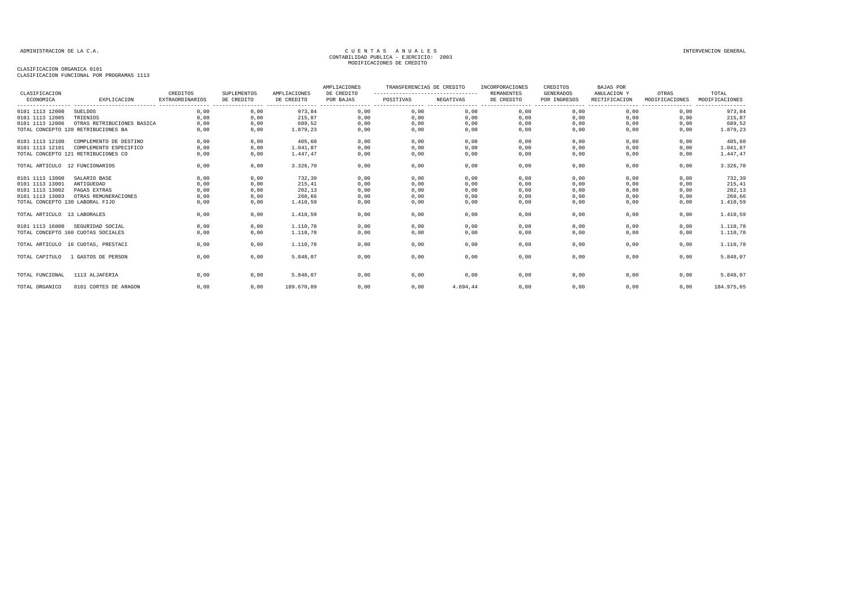| CLASIFICACION                   |                                     | CREDITOS               | SUPLEMENTOS | AMPLIACIONES | AMPLIACIONES<br>DE CREDITO | TRANSFERENCIAS DE CREDITO<br>---------------------------------- |           | INCORPORACIONES<br>REMANENTES | CREDITOS<br><b>GENERADOS</b> | <b>BAJAS POR</b>             |                         | TOTAL          |
|---------------------------------|-------------------------------------|------------------------|-------------|--------------|----------------------------|-----------------------------------------------------------------|-----------|-------------------------------|------------------------------|------------------------------|-------------------------|----------------|
| ECONOMICA                       | EXPLICACION                         | <b>EXTRAORDINARIOS</b> | DE CREDITO  | DE CREDITO   | POR BAJAS                  | POSITIVAS                                                       | NEGATIVAS | DE CREDITO                    | POR INGRESOS                 | ANULACION Y<br>RECTIFICACION | OTRAS<br>MODIFICACIONES | MODIFICACIONES |
| 0101 1113 12000                 | SUELDOS                             | 0,00                   | 0,00        | 973,84       | 0,00                       | 0,00                                                            | 0,00      | 0,00                          | 0,00                         | 0,00                         | 0,00                    | 973,84         |
| 0101 1113 12005                 | TRIENIOS                            | 0,00                   | 0,00        | 215,87       | 0,00                       | 0,00                                                            | 0,00      | 0,00                          | 0,00                         | 0,00                         | 0,00                    | 215,87         |
| 0101 1113 12006                 | OTRAS RETRIBUCIONES BASICA          | 0,00                   | 0,00        | 689,52       | 0,00                       | 0,00                                                            | 0,00      | 0,00                          | 0,00                         | 0,00                         | 0,00                    | 689,52         |
|                                 | TOTAL CONCEPTO 120 RETRIBUCIONES BA | 0,00                   | 0,00        | 1.879,23     | 0,00                       | 0,00                                                            | 0,00      | 0,00                          | 0,00                         | 0,00                         | 0,00                    | 1.879,23       |
| 0101 1113 12100                 | COMPLEMENTO DE DESTINO              | 0,00                   | 0,00        | 405,60       | 0,00                       | 0,00                                                            | 0,00      | 0,00                          | 0,00                         | 0,00                         | 0,00                    | 405,60         |
| 0101 1113 12101                 | COMPLEMENTO ESPECIFICO              | 0,00                   | 0,00        | 1.041,87     | 0,00                       | 0,00                                                            | 0,00      | 0,00                          | 0,00                         | 0,00                         | 0,00                    | 1.041,87       |
|                                 | TOTAL CONCEPTO 121 RETRIBUCIONES CO | 0,00                   | 0,00        | 1.447,47     | 0,00                       | 0,00                                                            | 0,00      | 0,00                          | 0,00                         | 0,00                         | 0,00                    | 1.447,47       |
| TOTAL ARTICULO 12 FUNCIONARIOS  |                                     | 0,00                   | 0,00        | 3.326,70     | 0,00                       | 0,00                                                            | 0,00      | 0,00                          | 0,00                         | 0,00                         | 0,00                    | 3.326,70       |
| 0101 1113 13000                 | SALARIO BASE                        | 0,00                   | 0,00        | 732,39       | 0,00                       | 0,00                                                            | 0,00      | 0,00                          | 0,00                         | 0,00                         | 0,00                    | 732,39         |
| 0101 1113 13001                 | ANTIGUEDAD                          | 0,00                   | 0,00        | 215.41       | 0,00                       | 0,00                                                            | 0,00      | 0,00                          | 0,00                         | 0,00                         | 0,00                    | 215, 41        |
| 0101 1113 13002                 | PAGAS EXTRAS                        | 0,00                   | 0,00        | 202,13       | 0,00                       | 0,00                                                            | 0,00      | 0,00                          | 0,00                         | 0,00                         | 0,00                    | 202,13         |
| 0101 1113 13003                 | OTRAS REMUNERACIONES                | 0,00                   | 0,00        | 260.66       | 0,00                       | 0,00                                                            | 0,00      | 0,00                          | 0,00                         | 0,00                         | 0,00                    | 260,66         |
| TOTAL CONCEPTO 130 LABORAL FIJO |                                     | 0,00                   | 0,00        | 1.410,59     | 0,00                       | 0,00                                                            | 0,00      | 0,00                          | 0,00                         | 0,00                         | 0,00                    | 1.410,59       |
| TOTAL ARTICULO 13 LABORALES     |                                     | 0,00                   | 0,00        | 1.410,59     | 0,00                       | 0,00                                                            | 0,00      | 0,00                          | 0,00                         | 0,00                         | 0,00                    | 1.410,59       |
| 0101 1113 16000                 | SEGURIDAD SOCIAL                    | 0,00                   | 0,00        | 1.110,78     | 0,00                       | 0,00                                                            | 0,00      | 0,00                          | 0,00                         | 0,00                         | 0,00                    | 1.110,78       |
|                                 | TOTAL CONCEPTO 160 CUOTAS SOCIALES  | 0,00                   | 0,00        | 1.110,78     | 0,00                       | 0,00                                                            | 0,00      | 0,00                          | 0,00                         | 0,00                         | 0,00                    | 1.110,78       |
|                                 | TOTAL ARTICULO 16 CUOTAS, PRESTACI  | 0,00                   | 0,00        | 1.110,78     | 0,00                       | 0,00                                                            | 0,00      | 0,00                          | 0,00                         | 0,00                         | 0,00                    | 1.110,78       |
| TOTAL CAPITULO                  | 1 GASTOS DE PERSON                  | 0,00                   | 0,00        | 5.848.07     | 0,00                       | 0,00                                                            | 0,00      | 0,00                          | 0,00                         | 0.00                         | 0,00                    | 5.848,07       |
|                                 |                                     |                        |             |              |                            |                                                                 |           |                               |                              |                              |                         |                |
| TOTAL FUNCIONAL                 | 1113 ALJAFERIA                      | 0,00                   | 0,00        | 5.848,07     | 0,00                       | 0,00                                                            | 0,00      | 0,00                          | 0,00                         | 0,00                         | 0,00                    | 5.848,07       |
| TOTAL ORGANICO                  | 0101 CORTES DE ARAGON               | 0,00                   | 0,00        | 189.670,09   | 0,00                       | 0,00                                                            | 4.694,44  | 0,00                          | 0,00                         | 0,00                         | 0,00                    | 184.975,65     |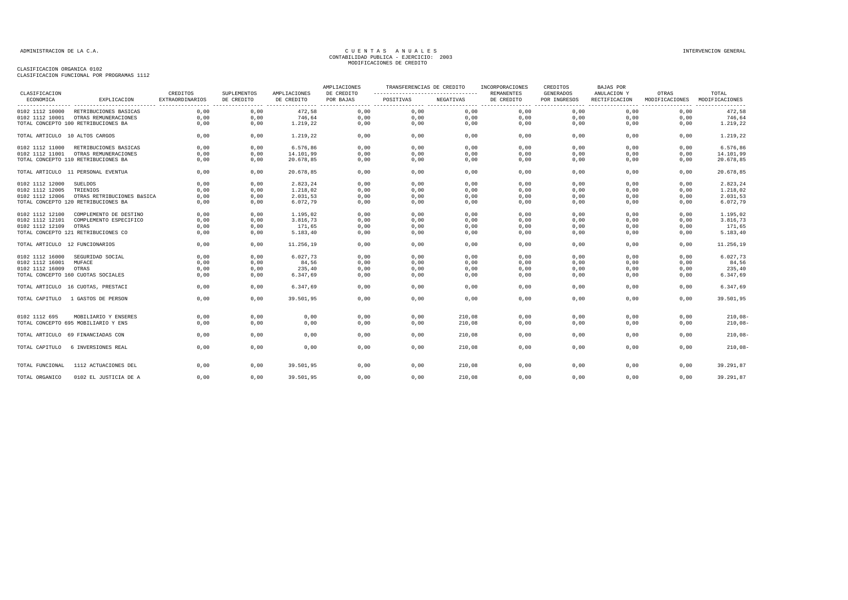| CLASIFICACION   |                                     | CREDITOS                                    | <b>SUPLEMENTOS</b> | AMPLIACIONES | AMPLIACIONES<br>DE CREDITO | TRANSFERENCIAS DE CREDITO<br>----------------------------------- |           | INCORPORACIONES<br><b>REMANENTES</b> | CREDITOS<br>GENERADOS | BAJAS POR<br>ANULACION Y | OTRAS                              | TOTAL                      |
|-----------------|-------------------------------------|---------------------------------------------|--------------------|--------------|----------------------------|------------------------------------------------------------------|-----------|--------------------------------------|-----------------------|--------------------------|------------------------------------|----------------------------|
| ECONOMICA       | EXPLICACION                         | <b>EXTRAORDINARIOS</b><br>----------------- | DE CREDITO         | DE CREDITO   | POR BAJAS                  | POSITIVAS                                                        | NEGATIVAS | DE CREDITO                           | POR INGRESOS          | RECTIFICACION<br>.       | MODIFICACIONES<br>---------------- | MODIFICACIONES<br>-------- |
| 0102 1112 10000 | RETRIBUCIONES BASICAS               | 0.00                                        | 0,00               | 472.58       | 0,00                       | 0,00                                                             | 0,00      | 0,00                                 | 0,00                  | 0,00                     | 0,00                               | 472,58                     |
| 0102 1112 10001 | OTRAS REMUNERACIONES                | 0,00                                        | 0,00               | 746,64       | 0,00                       | 0,00                                                             | 0,00      | 0,00                                 | 0,00                  | 0,00                     | 0,00                               | 746,64                     |
|                 | TOTAL CONCEPTO 100 RETRIBUCIONES BA | 0.00                                        | 0,00               | 1.219,22     | 0,00                       | 0,00                                                             | 0,00      | 0,00                                 | 0,00                  | 0,00                     | 0,00                               | 1.219,22                   |
|                 | TOTAL ARTICULO 10 ALTOS CARGOS      | 0,00                                        | 0,00               | 1.219,22     | 0,00                       | 0,00                                                             | 0,00      | 0,00                                 | 0,00                  | 0,00                     | 0,00                               | 1.219,22                   |
| 0102 1112 11000 | RETRIBUCIONES BASICAS               | 0,00                                        | 0,00               | 6.576,86     | 0,00                       | 0,00                                                             | 0,00      | 0,00                                 | 0,00                  | 0,00                     | 0,00                               | 6.576,86                   |
| 0102 1112 11001 | OTRAS REMUNERACIONES                | 0.00                                        | 0,00               | 14.101,99    | 0,00                       | 0.00                                                             | 0.00      | 0,00                                 | 0,00                  | 0,00                     | 0.00                               | 14.101,99                  |
|                 | TOTAL CONCEPTO 110 RETRIBUCIONES BA | 0,00                                        | 0,00               | 20.678,85    | 0,00                       | 0,00                                                             | 0,00      | 0,00                                 | 0,00                  | 0,00                     | 0,00                               | 20.678,85                  |
|                 | TOTAL ARTICULO 11 PERSONAL EVENTUA  | 0,00                                        | 0,00               | 20.678,85    | 0,00                       | 0.00                                                             | 0,00      | 0,00                                 | 0.00                  | 0.00                     | 0.00                               | 20.678,85                  |
| 0102 1112 12000 | <b>SUELDOS</b>                      | 0,00                                        | 0.00               | 2.823,24     | 0,00                       | 0.00                                                             | 0.00      | 0.00                                 | 0.00                  | 0.00                     | 0.00                               | 2.823,24                   |
| 0102 1112 12005 | TRIENIOS                            | 0,00                                        | 0,00               | 1.218,02     | 0,00                       | 0,00                                                             | 0,00      | 0,00                                 | 0,00                  | 0,00                     | 0,00                               | 1.218,02                   |
| 0102 1112 12006 | OTRAS RETRIBUCIONES BÁSICA          | 0,00                                        | 0,00               | 2.031,53     | 0,00                       | 0,00                                                             | 0,00      | 0,00                                 | 0,00                  | 0,00                     | 0,00                               | 2.031,53                   |
|                 | TOTAL CONCEPTO 120 RETRIBUCIONES BA | 0,00                                        | 0,00               | 6.072,79     | 0,00                       | 0,00                                                             | 0,00      | 0,00                                 | 0,00                  | 0,00                     | 0,00                               | 6.072,79                   |
| 0102 1112 12100 | COMPLEMENTO DE DESTINO              | 0,00                                        | 0,00               | 1.195,02     | 0,00                       | 0,00                                                             | 0,00      | 0,00                                 | 0,00                  | 0,00                     | 0,00                               | 1.195,02                   |
| 0102 1112 12101 | COMPLEMENTO ESPECIFICO              | 0,00                                        | 0,00               | 3.816,73     | 0,00                       | 0,00                                                             | 0,00      | 0,00                                 | 0,00                  | 0,00                     | 0,00                               | 3.816,73                   |
| 0102 1112 12109 | OTRAS                               | 0,00                                        | 0,00               | 171,65       | 0,00                       | 0,00                                                             | 0,00      | 0,00                                 | 0,00                  | 0,00                     | 0,00                               | 171,65                     |
|                 | TOTAL CONCEPTO 121 RETRIBUCIONES CO | 0,00                                        | 0,00               | 5.183,40     | 0,00                       | 0,00                                                             | 0,00      | 0,00                                 | 0,00                  | 0,00                     | 0,00                               | 5.183,40                   |
|                 | TOTAL ARTICULO 12 FUNCIONARIOS      | 0.00                                        | 0,00               | 11.256.19    | 0,00                       | 0.00                                                             | 0,00      | 0,00                                 | 0,00                  | 0.00                     | 0,00                               | 11.256,19                  |
| 0102 1112 16000 | SEGURIDAD SOCIAL                    | 0,00                                        | 0,00               | 6.027,73     | 0,00                       | 0,00                                                             | 0,00      | 0,00                                 | 0,00                  | 0,00                     | 0,00                               | 6.027,73                   |
| 0102 1112 16001 | MUFACE                              | 0,00                                        | 0,00               | 84,56        | 0,00                       | 0,00                                                             | 0,00      | 0,00                                 | 0,00                  | 0,00                     | 0,00                               | 84,56                      |
| 0102 1112 16009 | OTRAS                               | 0,00                                        | 0,00               | 235,40       | 0,00                       | 0,00                                                             | 0,00      | 0,00                                 | 0,00                  | 0,00                     | 0,00                               | 235,40                     |
|                 | TOTAL CONCEPTO 160 CUOTAS SOCIALES  | 0,00                                        | 0,00               | 6.347,69     | 0,00                       | 0,00                                                             | 0,00      | 0,00                                 | 0,00                  | 0,00                     | 0,00                               | 6.347,69                   |
|                 | TOTAL ARTICULO 16 CUOTAS, PRESTACI  | 0,00                                        | 0,00               | 6.347,69     | 0,00                       | 0,00                                                             | 0,00      | 0,00                                 | 0,00                  | 0,00                     | 0,00                               | 6.347,69                   |
| TOTAL CAPITULO  | 1 GASTOS DE PERSON                  | 0,00                                        | 0,00               | 39.501,95    | 0,00                       | 0,00                                                             | 0,00      | 0,00                                 | 0,00                  | 0.00                     | 0,00                               | 39.501,95                  |
| 0102 1112 695   | MOBILIARIO Y ENSERES                | 0,00                                        | 0,00               | 0,00         | 0,00                       | 0,00                                                             | 210,08    | 0,00                                 | 0,00                  | 0,00                     | 0,00                               | $210,08 -$                 |
|                 | TOTAL CONCEPTO 695 MOBILIARIO Y ENS | 0,00                                        | 0,00               | 0,00         | 0,00                       | 0,00                                                             | 210,08    | 0,00                                 | 0,00                  | 0,00                     | 0,00                               | $210,08-$                  |
|                 | TOTAL ARTICULO 69 FINANCIADAS CON   | 0,00                                        | 0,00               | 0,00         | 0,00                       | 0,00                                                             | 210,08    | 0.00                                 | 0.00                  | 0.00                     | 0.00                               | $210,08-$                  |
| TOTAL CAPITULO  | 6 INVERSIONES REAL                  | 0,00                                        | 0,00               | 0,00         | 0,00                       | 0,00                                                             | 210,08    | 0,00                                 | 0,00                  | 0,00                     | 0,00                               | $210,08 -$                 |
| TOTAL FUNCIONAL | 1112 ACTUACIONES DEL                | 0.00                                        | 0.00               | 39.501.95    | 0.00                       | 0.00                                                             | 210,08    | 0.00                                 | 0.00                  | 0.00                     | 0.00                               | 39.291,87                  |
| TOTAL ORGANICO  | 0102 EL JUSTICIA DE A               | 0,00                                        | 0,00               | 39.501,95    | 0,00                       | 0,00                                                             | 210,08    | 0,00                                 | 0,00                  | 0,00                     | 0,00                               | 39.291,87                  |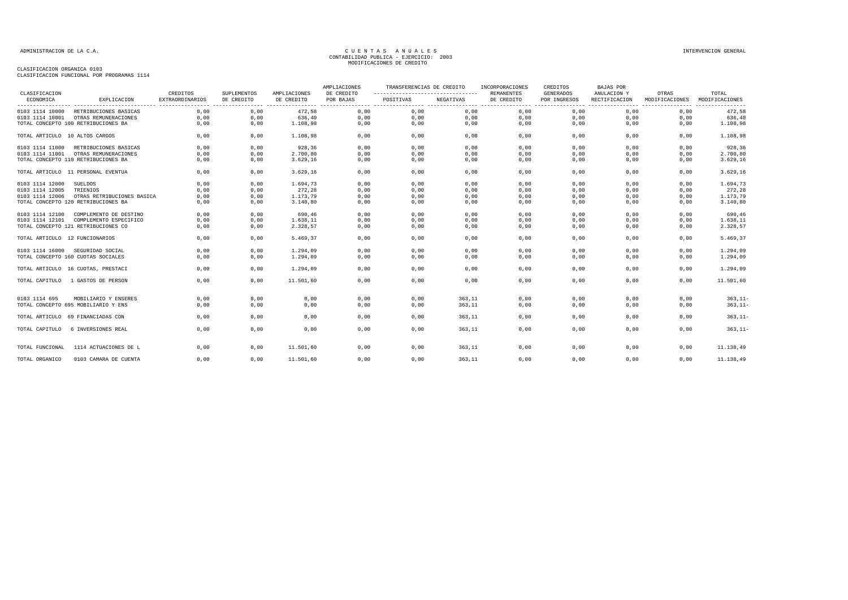| CLASIFICACION                  |                                     | CREDITOS               | <b>SUPLEMENTOS</b>         | AMPLIACIONES | AMPLIACIONES<br>DE CREDITO | TRANSFERENCIAS DE CREDITO<br>--------------------------------- |           | INCORPORACIONES<br><b>REMANENTES</b> | CREDITOS<br><b>GENERADOS</b> | BAJAS POR<br>ANULACION Y | OTRAS          | TOTAL                     |
|--------------------------------|-------------------------------------|------------------------|----------------------------|--------------|----------------------------|----------------------------------------------------------------|-----------|--------------------------------------|------------------------------|--------------------------|----------------|---------------------------|
| ECONOMICA                      | EXPLICACION                         | <b>EXTRAORDINARIOS</b> | DE CREDITO<br>. <u>.</u> . | DE CREDITO   | POR BAJAS                  | POSITIVAS                                                      | NEGATIVAS | DE CREDITO<br>.                      | POR INGRESOS                 | RECTIFICACION            | MODIFICACIONES | MODIFICACIONES<br>------- |
| 0103 1114 10000                | RETRIBUCIONES BASICAS               | 0,00                   | 0,00                       | 472,58       | 0,00                       | 0,00                                                           | 0,00      | 0,00                                 | 0,00                         | 0,00                     | 0,00           | 472,58                    |
| 0103 1114 10001                | OTRAS REMUNERACIONES                | 0,00                   | 0,00                       | 636,40       | 0,00                       | 0,00                                                           | 0,00      | 0,00                                 | 0,00                         | 0,00                     | 0,00           | 636,40                    |
|                                | TOTAL CONCEPTO 100 RETRIBUCIONES BA | 0,00                   | 0,00                       | 1.108,98     | 0,00                       | 0,00                                                           | 0,00      | 0,00                                 | 0,00                         | 0,00                     | 0,00           | 1.108,98                  |
| TOTAL ARTICULO 10 ALTOS CARGOS |                                     | 0,00                   | 0,00                       | 1.108,98     | 0,00                       | 0,00                                                           | 0,00      | 0,00                                 | 0,00                         | 0,00                     | 0,00           | 1.108,98                  |
| 0103 1114 11000                | RETRIBUCIONES BASICAS               | 0,00                   | 0,00                       | 928,36       | 0,00                       | 0,00                                                           | 0,00      | 0,00                                 | 0,00                         | 0,00                     | 0.00           | 928,36                    |
| 0103 1114 11001                | OTRAS REMUNERACIONES                | 0.00                   | 0.00                       | 2.700.80     | 0.00                       | 0.00                                                           | 0.00      | 0.00                                 | 0.00                         | 0.00                     | 0.00           | 2.700,80                  |
|                                | TOTAL CONCEPTO 110 RETRIBUCIONES BA | 0,00                   | 0,00                       | 3.629, 16    | 0,00                       | 0,00                                                           | 0,00      | 0,00                                 | 0,00                         | 0,00                     | 0,00           | 3.629,16                  |
|                                | TOTAL ARTICULO 11 PERSONAL EVENTUA  | 0,00                   | 0,00                       | 3.629, 16    | 0,00                       | 0,00                                                           | 0,00      | 0,00                                 | 0,00                         | 0,00                     | 0,00           | 3.629,16                  |
| 0103 1114 12000                | <b>SUELDOS</b>                      | 0,00                   | 0,00                       | 1.694,73     | 0,00                       | 0,00                                                           | 0,00      | 0,00                                 | 0,00                         | 0,00                     | 0,00           | 1.694,73                  |
| 0103 1114 12005                | TRIENIOS                            | 0,00                   | 0,00                       | 272,28       | 0,00                       | 0,00                                                           | 0,00      | 0,00                                 | 0,00                         | 0,00                     | 0,00           | 272,28                    |
| 0103 1114 12006                | OTRAS RETRIBUCIONES BASICA          | 0,00                   | 0,00                       | 1.173,79     | 0,00                       | 0,00                                                           | 0,00      | 0,00                                 | 0,00                         | 0,00                     | 0,00           | 1.173,79                  |
|                                | TOTAL CONCEPTO 120 RETRIBUCIONES BA | 0,00                   | 0,00                       | 3.140,80     | 0,00                       | 0,00                                                           | 0,00      | 0,00                                 | 0,00                         | 0,00                     | 0,00           | 3.140,80                  |
| 0103 1114 12100                | COMPLEMENTO DE DESTINO              | 0,00                   | 0,00                       | 690,46       | 0,00                       | 0,00                                                           | 0,00      | 0,00                                 | 0,00                         | 0,00                     | 0,00           | 690,46                    |
| 0103 1114 12101                | COMPLEMENTO ESPECIFICO              | 0,00                   | 0,00                       | 1.638,11     | 0,00                       | 0,00                                                           | 0,00      | 0,00                                 | 0,00                         | 0,00                     | 0,00           | 1.638,11                  |
|                                | TOTAL CONCEPTO 121 RETRIBUCIONES CO | 0,00                   | 0,00                       | 2.328,57     | 0,00                       | 0,00                                                           | 0,00      | 0,00                                 | 0,00                         | 0,00                     | 0,00           | 2.328,57                  |
| TOTAL ARTICULO 12 FUNCIONARIOS |                                     | 0,00                   | 0,00                       | 5.469,37     | 0,00                       | 0,00                                                           | 0,00      | 0,00                                 | 0,00                         | 0,00                     | 0,00           | 5.469,37                  |
| 0103 1114 16000                | SEGURIDAD SOCIAL                    | 0,00                   | 0,00                       | 1.294,09     | 0,00                       | 0,00                                                           | 0,00      | 0,00                                 | 0,00                         | 0,00                     | 0,00           | 1.294,09                  |
|                                | TOTAL CONCEPTO 160 CUOTAS SOCIALES  | 0.00                   | 0,00                       | 1.294,09     | 0,00                       | 0,00                                                           | 0,00      | 0,00                                 | 0,00                         | 0,00                     | 0,00           | 1.294,09                  |
|                                | TOTAL ARTICULO 16 CUOTAS, PRESTACI  | 0,00                   | 0,00                       | 1.294.09     | 0,00                       | 0,00                                                           | 0,00      | 0,00                                 | 0,00                         | 0.00                     | 0.00           | 1.294,09                  |
| TOTAL CAPITULO                 | 1 GASTOS DE PERSON                  | 0,00                   | 0,00                       | 11.501,60    | 0,00                       | 0,00                                                           | 0,00      | 0,00                                 | 0,00                         | 0,00                     | 0,00           | 11.501,60                 |
| 0103 1114 695                  | MOBILIARIO Y ENSERES                | 0,00                   | 0,00                       | 0,00         | 0,00                       | 0,00                                                           | 363,11    | 0,00                                 | 0,00                         | 0,00                     | 0,00           | $363, 11 -$               |
|                                | TOTAL CONCEPTO 695 MOBILIARIO Y ENS | 0,00                   | 0,00                       | 0,00         | 0,00                       | 0,00                                                           | 363,11    | 0,00                                 | 0,00                         | 0,00                     | 0,00           | $363, 11 -$               |
| TOTAL ARTICULO                 | 69 FINANCIADAS CON                  | 0,00                   | 0,00                       | 0,00         | 0,00                       | 0,00                                                           | 363,11    | 0,00                                 | 0,00                         | 0,00                     | 0,00           | $363, 11 -$               |
| TOTAL CAPITULO                 | 6 INVERSIONES REAL                  | 0.00                   | 0,00                       | 0,00         | 0,00                       | 0,00                                                           | 363,11    | 0,00                                 | 0,00                         | 0,00                     | 0,00           | $363, 11 -$               |
| TOTAL FUNCIONAL                | 1114 ACTUACIONES DE L               | 0,00                   | 0,00                       | 11.501,60    | 0,00                       | 0,00                                                           | 363,11    | 0,00                                 | 0,00                         | 0,00                     | 0,00           | 11.138,49                 |
| TOTAL ORGANICO                 | 0103 CAMARA DE CUENTA               | 0,00                   | 0,00                       | 11.501,60    | 0,00                       | 0,00                                                           | 363,11    | 0,00                                 | 0,00                         | 0,00                     | 0,00           | 11.138,49                 |
|                                |                                     |                        |                            |              |                            |                                                                |           |                                      |                              |                          |                |                           |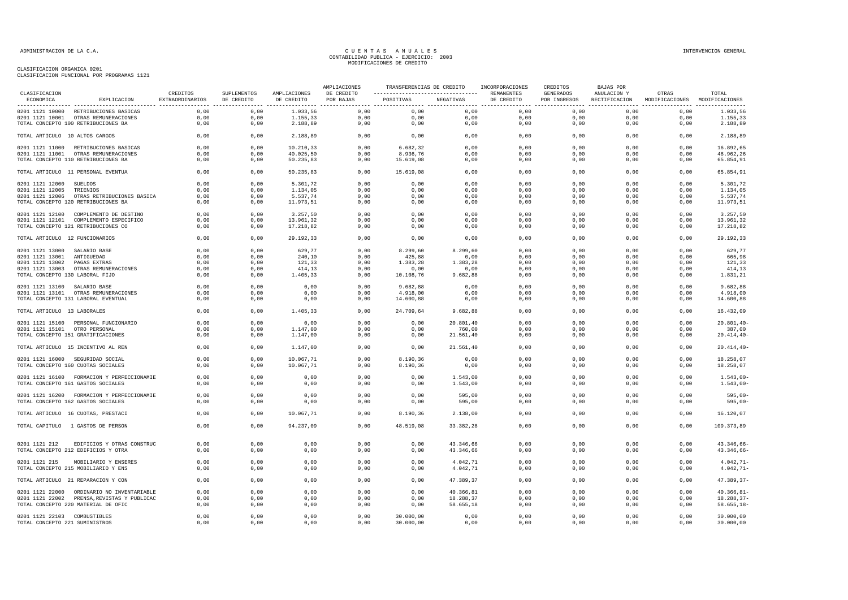| <b>CLASTFICACION</b>            |                                                                                  | CREDITOS        | SUPLEMENTOS  | AMPLIACIONES | AMPLIACIONES<br>DE CREDITO | TRANSFERENCIAS DE CREDITO |                  | INCORPORACIONES<br>REMANENTES | CREDITOS<br>GENERADOS | BAJAS POR<br>ANULACION Y | OTRAS                                       | TOTAL                   |
|---------------------------------|----------------------------------------------------------------------------------|-----------------|--------------|--------------|----------------------------|---------------------------|------------------|-------------------------------|-----------------------|--------------------------|---------------------------------------------|-------------------------|
| ECONOMICA                       | EXPLICACION                                                                      | EXTRAORDINARIOS | DE CREDITO   | DE CREDITO   | POR BAJAS                  | POSITIVAS                 | NEGATIVAS        | DE CREDITO                    | POR INGRESOS          |                          | RECTIFICACION MODIFICACIONES MODIFICACIONES |                         |
|                                 | 0201 1121 10000 RETRIBUCIONES BASICAS                                            | 0.00            | 0,00         | 1.033,56     | 0,00                       | 0,00                      | 0,00             | 0,00                          | 0,00                  | 0,00                     | 0,00                                        | 1.033,56                |
|                                 | 0201 1121 10001 OTRAS REMUNERACIONES                                             | 0,00            | 0,00         | 1.155,33     | 0,00                       | 0,00                      | 0,00             | 0,00                          | 0,00                  | 0,00                     | 0,00                                        | 1.155,33                |
|                                 | TOTAL CONCEPTO 100 RETRIBUCIONES BA                                              | 0,00            | 0,00         | 2.188,89     | 0,00                       | 0,00                      | 0,00             | 0,00                          | 0,00                  | 0,00                     | 0,00                                        | 2.188,89                |
| TOTAL ARTICULO 10 ALTOS CARGOS  |                                                                                  | 0,00            | 0,00         | 2.188,89     | 0,00                       | 0,00                      | 0,00             | 0,00                          | 0,00                  | 0,00                     | 0,00                                        | 2.188,89                |
|                                 | 0201 1121 11000 RETRIBUCIONES BASICAS                                            | 0,00            | 0,00         | 10.210,33    | 0,00                       | 6.682,32                  | 0,00             | 0.00                          | 0,00                  | 0.00                     | 0.00                                        | 16.892,65               |
|                                 | 0201 1121 11001 OTRAS REMUNERACIONES                                             | 0,00            | 0,00         | 40.025,50    | 0,00                       | 8.936,76                  | 0,00             | 0,00                          | 0,00                  | 0,00                     | 0,00                                        | 48.962,26               |
|                                 | TOTAL CONCEPTO 110 RETRIBUCIONES BA                                              | 0,00            | 0,00         | 50.235,83    | 0,00                       | 15.619,08                 | 0,00             | 0,00                          | 0,00                  | 0,00                     | 0,00                                        | 65.854,91               |
|                                 | TOTAL ARTICULO 11 PERSONAL EVENTUA                                               | 0,00            | 0,00         | 50.235,83    | 0,00                       | 15.619,08                 | 0,00             | 0,00                          | 0,00                  | 0,00                     | 0,00                                        | 65.854,91               |
| 0201 1121 12000                 | SUELDOS                                                                          | 0,00            | 0,00         | 5.301,72     | 0,00                       | 0,00                      | 0,00             | 0,00                          | 0,00                  | 0,00                     | 0,00                                        | 5.301,72                |
| 0201 1121 12005                 | TRIENIOS                                                                         | 0,00            | 0,00         | 1.134,05     | 0,00                       | 0,00                      | 0,00             | 0,00                          | 0,00                  | 0,00                     | 0,00                                        | 1.134,05                |
| 0201 1121 12006                 | OTRAS RETRIBUCIONES BASICA                                                       | 0.00            | 0.00         | 5.537.74     | 0,00                       | 0.00                      | 0.00             | 0.00                          | 0.00                  | 0.00                     | 0.00                                        | 5.537,74                |
|                                 | TOTAL CONCEPTO 120 RETRIBUCIONES BA                                              | 0,00            | 0,00         | 11.973,51    | 0,00                       | 0,00                      | 0,00             | 0,00                          | 0,00                  | 0,00                     | 0,00                                        | 11.973,51               |
|                                 | 0201 1121 12100 COMPLEMENTO DE DESTINO                                           | 0,00            | 0,00         | 3.257,50     | 0,00                       | 0,00                      | 0,00             | 0,00                          | 0,00                  | 0,00                     | 0,00                                        | 3.257,50                |
|                                 | 0201 1121 12101 COMPLEMENTO ESPECIFICO                                           | 0,00            | 0,00         | 13.961,32    | 0,00                       | 0,00                      | 0,00             | 0,00                          | 0,00                  | 0,00                     | 0,00                                        | 13.961,32               |
|                                 | TOTAL CONCEPTO 121 RETRIBUCIONES CO                                              | 0,00            | 0,00         | 17.218,82    | 0,00                       | 0,00                      | 0,00             | 0,00                          | 0,00                  | 0,00                     | 0,00                                        | 17.218,82               |
| TOTAL ARTICULO 12 FUNCIONARIOS  |                                                                                  | 0,00            | 0,00         | 29.192,33    | 0,00                       | 0,00                      | 0,00             | 0,00                          | 0,00                  | 0,00                     | 0,00                                        | 29.192,33               |
| 0201 1121 13000 SALARIO BASE    |                                                                                  | 0,00            | 0,00         | 629,77       | 0,00                       | 8.299,60                  | 8.299,60         | 0,00                          | 0,00                  | 0,00                     | 0,00                                        | 629,77                  |
| 0201 1121 13001 ANTIGUEDAD      |                                                                                  | 0,00            | 0.00         | 240,10       | 0,00                       | 425,88                    | 0,00             | 0,00                          | 0,00                  | 0,00                     | 0,00                                        | 665,98                  |
| 0201 1121 13002                 | PAGAS EXTRAS                                                                     | 0,00            | 0,00         | 121,33       | 0,00                       | 1.383,28                  | 1.383,28         | 0,00                          | 0,00                  | 0,00                     | 0,00                                        | 121,33                  |
|                                 | 0201 1121 13003 OTRAS REMUNERACIONES                                             | 0,00            | 0,00         | 414,13       | 0,00                       | 0,00                      | 0,00             | 0,00                          | 0,00                  | 0,00                     | 0,00                                        | 414,13                  |
| TOTAL CONCEPTO 130 LABORAL FIJO |                                                                                  | 0,00            | 0,00         | 1.405,33     | 0,00                       | 10.108,76                 | 9.682,88         | 0,00                          | 0,00                  | 0,00                     | 0,00                                        | 1.831,21                |
| 0201 1121 13100 SALARIO BASE    |                                                                                  | 0,00            | 0,00         | 0,00         | 0,00                       | 9.682,88                  | 0,00             | 0,00                          | 0,00                  | 0,00                     | 0,00                                        | 9.682,88                |
|                                 | 0201 1121 13101 OTRAS REMUNERACIONES                                             | 0,00            | 0,00         | 0,00         | 0,00                       | 4.918,00                  | 0,00             | 0,00                          | 0,00                  | 0,00                     | 0,00                                        | 4.918,00                |
|                                 | TOTAL CONCEPTO 131 LABORAL EVENTUAL                                              | 0,00            | 0,00         | 0,00         | 0,00                       | 14.600,88                 | 0,00             | 0,00                          | 0,00                  | 0,00                     | 0,00                                        | 14.600,88               |
| TOTAL ARTICULO 13 LABORALES     |                                                                                  | 0.00            | 0.00         | 1.405.33     | 0.00                       | 24.709.64                 | 9.682,88         | 0.00                          | 0.00                  | 0.00                     | 0.00                                        | 16.432.09               |
|                                 | 0201 1121 15100 PERSONAL FUNCIONARIO                                             | 0,00            | 0,00         | 0,00         | 0,00                       | 0,00                      | 20.801,40        | 0,00                          | 0,00                  | 0,00                     | 0,00                                        | $20.801, 40 -$          |
| 0201 1121 15101 OTRO PERSONAL   |                                                                                  | 0,00            | 0,00         | 1.147,00     | 0,00                       | 0,00                      | 760,00           | 0,00                          | 0,00                  | 0,00                     | 0,00                                        | 387,00                  |
|                                 | TOTAL CONCEPTO 151 GRATIFICACIONES                                               | 0,00            | 0,00         | 1.147,00     | 0,00                       | 0,00                      | 21.561,40        | 0,00                          | 0,00                  | 0,00                     | 0,00                                        | $20.414, 40-$           |
|                                 | TOTAL ARTICULO 15 INCENTIVO AL REN                                               | 0,00            | 0,00         | 1.147,00     | 0,00                       | 0,00                      | 21.561,40        | 0,00                          | 0,00                  | 0,00                     | 0,00                                        | $20.414, 40 -$          |
|                                 | 0201 1121 16000 SEGURIDAD SOCIAL                                                 | 0,00            | 0,00         | 10.067,71    | 0,00                       | 8.190,36                  | 0,00             | 0,00                          | 0,00                  | 0,00                     | 0,00                                        | 18.258,07               |
|                                 | TOTAL CONCEPTO 160 CUOTAS SOCIALES                                               | 0,00            | 0,00         | 10.067,71    | 0,00                       | 8.190,36                  | 0,00             | 0,00                          | 0,00                  | 0,00                     | 0,00                                        | 18.258,07               |
|                                 | 0201 1121 16100 FORMACION Y PERFECCIONAMIE                                       | 0,00            | 0,00         | 0,00         | 0,00                       | 0,00                      | 1.543,00         | 0,00                          | 0,00                  | 0,00                     | 0,00                                        | $1.543,00-$             |
|                                 | TOTAL CONCEPTO 161 GASTOS SOCIALES                                               | 0,00            | 0,00         | 0,00         | 0,00                       | 0,00                      | 1.543,00         | 0,00                          | 0,00                  | 0,00                     | 0,00                                        | $1.543,00-$             |
|                                 |                                                                                  |                 |              |              |                            |                           |                  |                               |                       |                          |                                             |                         |
|                                 | 0201 1121 16200 FORMACION Y PERFECCIONAMIE<br>TOTAL CONCEPTO 162 GASTOS SOCIALES | 0,00<br>0,00    | 0,00<br>0,00 | 0,00<br>0,00 | 0,00<br>0,00               | 0,00<br>0,00              | 595,00<br>595,00 | 0,00<br>0,00                  | 0,00<br>0,00          | 0,00<br>0,00             | 0,00<br>0,00                                | $595,00 -$<br>$595,00-$ |
|                                 | TOTAL ARTICULO 16 CUOTAS, PRESTACI                                               | 0,00            | 0,00         | 10.067,71    | 0,00                       | 8.190,36                  | 2.138,00         | 0,00                          | 0,00                  | 0,00                     | 0,00                                        | 16.120,07               |
|                                 |                                                                                  |                 |              |              |                            |                           |                  |                               |                       |                          |                                             |                         |
|                                 | TOTAL CAPITULO 1 GASTOS DE PERSON                                                | 0.00            | 0.00         | 94.237.09    | 0.00                       | 48.519,08                 | 33.382,28        | 0.00                          | 0.00                  | 0.00                     | 0.00                                        | 109.373.89              |
| 0201 1121 212                   | EDIFICIOS Y OTRAS CONSTRUC                                                       | 0,00            | 0,00         | 0,00         | 0,00                       | 0,00                      | 43.346,66        | 0,00                          | 0,00                  | 0,00                     | 0,00                                        | 43.346,66-              |
|                                 | TOTAL CONCEPTO 212 EDIFICIOS Y OTRA                                              | 0,00            | 0,00         | 0,00         | 0,00                       | 0,00                      | 43.346,66        | 0,00                          | 0,00                  | 0,00                     | 0,00                                        | 43.346,66-              |
|                                 |                                                                                  |                 |              |              |                            |                           |                  |                               |                       |                          |                                             |                         |
| 0201 1121 215                   | MOBILIARIO Y ENSERES                                                             | 0,00            | 0,00         | 0,00         | 0,00                       | 0,00                      | 4.042,71         | 0,00                          | 0,00                  | 0,00                     | 0,00                                        | $4.042, 71 -$           |
|                                 | TOTAL CONCEPTO 215 MOBILIARIO Y ENS                                              | 0,00            | 0,00         | 0,00         | 0,00                       | 0,00                      | 4.042,71         | 0,00                          | 0,00                  | 0,00                     | 0,00                                        | $4.042, 71-$            |
|                                 | TOTAL ARTICULO 21 REPARACION Y CON                                               | 0,00            | 0,00         | 0,00         | 0,00                       | 0,00                      | 47.389,37        | 0,00                          | 0,00                  | 0,00                     | 0,00                                        | 47.389,37-              |
|                                 | 0201 1121 22000 ORDINARIO NO INVENTARIABLE                                       | 0,00            | 0,00         | 0,00         | 0,00                       | 0,00                      | 40.366,81        | 0,00                          | 0,00                  | 0,00                     | 0,00                                        | $40.366, 81 -$          |
|                                 | 0201 1121 22002 PRENSA, REVISTAS Y PUBLICAC                                      | 0,00            | 0,00         | 0,00         | 0,00                       | 0,00                      | 18.288,37        | 0,00                          | 0,00                  | 0,00                     | 0,00                                        | 18.288,37-              |
|                                 | TOTAL CONCEPTO 220 MATERIAL DE OFIC                                              | 0,00            | 0,00         | 0,00         | 0,00                       | 0,00                      | 58.655,18        | 0,00                          | 0,00                  | 0,00                     | 0,00                                        | $58.655, 18-$           |
| 0201 1121 22103 COMBUSTIBLES    |                                                                                  | 0,00            | 0,00         | 0,00         | 0,00                       | 30.000,00                 | 0,00             | 0,00                          | 0,00                  | 0,00                     | 0,00                                        | 30.000,00               |
| TOTAL CONCEPTO 221 SUMINISTROS  |                                                                                  | 0,00            | 0,00         | 0,00         | 0,00                       | 30.000,00                 | 0,00             | 0,00                          | 0,00                  | 0,00                     | 0,00                                        | 30.000,00               |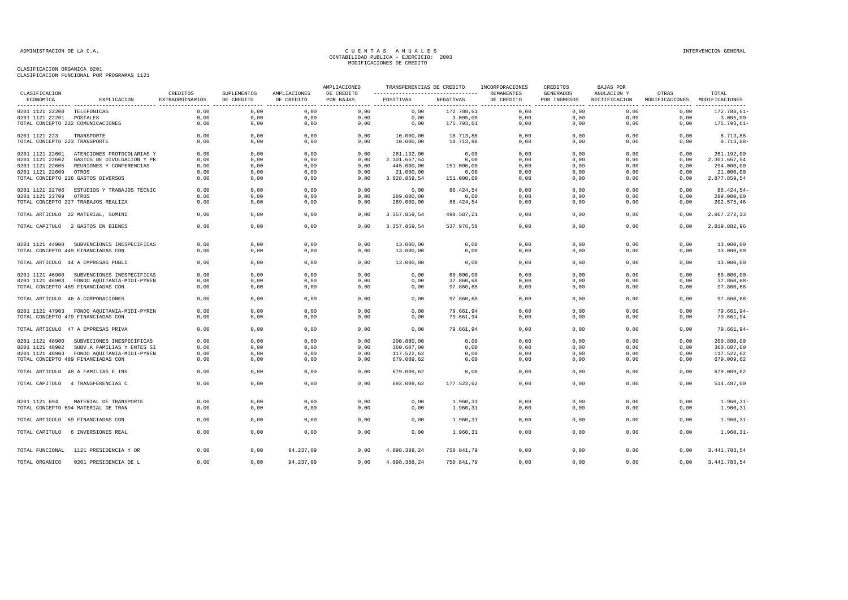#### CLASIFICACION ORGANICA 0201

| CLASIFICACION FUNCIONAL POR PROGRAMAS 1121 |  |  |  |
|--------------------------------------------|--|--|--|
|                                            |  |  |  |

| CLASIFICACION                 |                                            |                             |                                              |                            | AMPLIACIONES<br>DE CREDITO | TRANSFERENCIAS DE CREDITO<br>------------------------------------ |            | INCORPORACIONES          | CREDITOS<br><b>GENERADOS</b> | <b>BAJAS POR</b>             |                         |                         |
|-------------------------------|--------------------------------------------|-----------------------------|----------------------------------------------|----------------------------|----------------------------|-------------------------------------------------------------------|------------|--------------------------|------------------------------|------------------------------|-------------------------|-------------------------|
| ECONOMICA                     | EXPLICACION                                | CREDITOS<br>EXTRAORDINARIOS | SUPLEMENTOS<br>DE CREDITO<br>--------------- | AMPLIACIONES<br>DE CREDITO | POR BAJAS                  | POSITIVAS                                                         | NEGATIVAS  | REMANENTES<br>DE CREDITO | POR INGRESOS                 | ANULACION Y<br>RECTIFICACION | OTRAS<br>MODIFICACIONES | TOTAL<br>MODIFICACIONES |
| 0201 1121 22200 TELEFONICAS   |                                            | 0.00                        | 0,00                                         | 0,00                       | 0,00                       | 0,00                                                              | 172.788,61 | 0,00                     | 0.00                         | 0,00                         | 0,00                    | 172.788.61-             |
| 0201 1121 22201 POSTALES      |                                            | 0,00                        | 0,00                                         | 0,00                       | 0,00                       | 0,00                                                              | 3.005,00   | 0,00                     | 0,00                         | 0,00                         | 0,00                    | $3.005,00 -$            |
|                               | TOTAL CONCEPTO 222 COMUNICACIONES          | 0,00                        | 0,00                                         | 0,00                       | 0,00                       | 0,00                                                              | 175.793,61 | 0,00                     | 0,00                         | 0,00                         | 0,00                    | $175.793,61 -$          |
| 0201 1121 223                 | TRANSPORTE                                 | 0,00                        | 0,00                                         | 0,00                       | 0,00                       | 10.000,00                                                         | 18.713,88  | 0,00                     | 0,00                         | 0,00                         | 0,00                    | $8.713, 88 -$           |
| TOTAL CONCEPTO 223 TRANSPORTE |                                            | 0,00                        | 0,00                                         | 0,00                       | 0,00                       | 10.000,00                                                         | 18.713,88  | 0,00                     | 0,00                         | 0,00                         | 0,00                    | $8.713, 88 -$           |
| 0201 1121 22601               | ATENCIONES PROTOCOLARIAS Y                 | 0,00                        | 0,00                                         | 0,00                       | 0,00                       | 261.192,00                                                        | 0,00       | 0,00                     | 0,00                         | 0,00                         | 0,00                    | 261.192,00              |
| 0201 1121 22602               | GASTOS DE DIVULGACION Y PR                 | 0,00                        | 0,00                                         | 0,00                       | 0,00                       | 2.301.667,54                                                      | 0,00       | 0,00                     | 0,00                         | 0,00                         | 0,00                    | 2.301.667,54            |
| 0201 1121 22605               | REUNIONES Y CONFERENCIAS                   | 0,00                        | 0,00                                         | 0,00                       | 0,00                       | 445.000,00                                                        | 151.000,00 | 0,00                     | 0,00                         | 0,00                         | 0,00                    | 294.000,00              |
| 0201 1121 22609               | OTROS                                      | 0,00                        | 0,00                                         | 0,00                       | 0,00                       | 21.000,00                                                         | 0,00       | 0,00                     | 0,00                         | 0,00                         | 0,00                    | 21.000,00               |
|                               | TOTAL CONCEPTO 226 GASTOS DIVERSOS         | 0,00                        | 0,00                                         | 0,00                       | 0,00                       | 3.028.859,54                                                      | 151.000,00 | 0,00                     | 0,00                         | 0,00                         | 0,00                    | 2.877.859,54            |
| 0201 1121 22706               | ESTUDIOS Y TRABAJOS TECNIC                 | 0,00                        | 0,00                                         | 0,00                       | 0,00                       | 0,00                                                              | 86.424,54  | 0,00                     | 0,00                         | 0,00                         | 0,00                    | 86.424,54               |
| 0201 1121 22709               | OTROS                                      | 0,00                        | 0,00                                         | 0,00                       | 0,00                       | 289.000,00                                                        | 0,00       | 0,00                     | 0,00                         | 0,00                         | 0,00                    | 289.000,00              |
|                               | TOTAL CONCEPTO 227 TRABAJOS REALIZA        | 0,00                        | 0,00                                         | 0,00                       | 0,00                       | 289.000,00                                                        | 86.424,54  | 0,00                     | 0,00                         | 0,00                         | 0,00                    | 202.575,46              |
|                               | TOTAL ARTICULO 22 MATERIAL, SUMINI         | 0,00                        | 0,00                                         | 0,00                       | 0,00                       | 3.357.859,54                                                      | 490.587,21 | 0,00                     | 0,00                         | 0,00                         | 0,00                    | 2.867.272,33            |
| TOTAL CAPITULO                | 2 GASTOS EN BIENES                         | 0.00                        | 0,00                                         | 0,00                       | 0,00                       | 3.357.859,54                                                      | 537.976.58 | 0.00                     | 0,00                         | 0.00                         | 0,00                    | 2.819.882,96            |
|                               | 0201 1121 44900 SUBVENCIONES INESPECIFICAS | 0.00                        | 0,00                                         | 0,00                       | 0,00                       | 13.000,00                                                         | 0,00       | 0,00                     | 0,00                         | 0,00                         | 0,00                    | 13.000,00               |
|                               | TOTAL CONCEPTO 449 FINANCIADAS CON         | 0.00                        | 0,00                                         | 0.00                       | 0,00                       | 13.000,00                                                         | 0,00       | 0.00                     | 0.00                         | 0,00                         | 0,00                    | 13.000,00               |
|                               |                                            |                             |                                              |                            |                            |                                                                   |            |                          |                              |                              |                         |                         |
|                               | TOTAL ARTICULO 44 A EMPRESAS PUBLI         | 0,00                        | 0,00                                         | 0,00                       | 0,00                       | 13.000,00                                                         | 0,00       | 0,00                     | 0,00                         | 0,00                         | 0,00                    | 13.000,00               |
| 0201 1121 46900               | SUBVENCIONES INESPECIFICAS                 | 0,00                        | 0,00                                         | 0,00                       | 0,00                       | 0,00                                                              | 60.000,00  | 0,00                     | 0,00                         | 0,00                         | 0,00                    | $60.000,00 -$           |
|                               | 0201 1121 46903 FONDO AQUITANIA-MIDI-PYREN | 0,00                        | 0,00                                         | 0,00                       | 0,00                       | 0,00                                                              | 37.860,68  | 0,00                     | 0,00                         | 0,00                         | 0,00                    | $37.860,68 -$           |
|                               | TOTAL CONCEPTO 469 FINANCIADAS CON         | 0,00                        | 0,00                                         | 0,00                       | 0,00                       | 0,00                                                              | 97.860,68  | 0,00                     | 0,00                         | 0,00                         | 0,00                    | $97.860,68 -$           |
|                               | TOTAL ARTICULO 46 A CORPORACIONES          | 0.00                        | 0,00                                         | 0,00                       | 0.00                       | 0.00                                                              | 97.860,68  | 0,00                     | 0.00                         | 0.00                         | 0.00                    | $97.860,68 -$           |
|                               | 0201 1121 47903 FONDO AQUITANIA-MIDI-PYREN | 0,00                        | 0,00                                         | 0,00                       | 0,00                       | 0,00                                                              | 79.661,94  | 0,00                     | 0,00                         | 0,00                         | 0,00                    | $79.661, 94 -$          |
|                               | TOTAL CONCEPTO 479 FINANCIADAS CON         | 0,00                        | 0,00                                         | 0,00                       | 0,00                       | 0,00                                                              | 79.661,94  | 0,00                     | 0,00                         | 0,00                         | 0,00                    | $79.661, 94 -$          |
|                               | TOTAL ARTICULO 47 A EMPRESAS PRIVA         | 0.00                        | 0,00                                         | 0,00                       | 0,00                       | 0.00                                                              | 79.661,94  | 0,00                     | 0,00                         | 0.00                         | 0,00                    | 79.661,94-              |
| 0201 1121 48900               | SUBVECIONES INESPECIFICAS                  | 0.00                        | 0,00                                         | 0,00                       | 0,00                       | 200.880.00                                                        | 0,00       | 0,00                     | 0.00                         | 0,00                         | 0,00                    | 200.880,00              |
| 0201 1121 48902               | SUBV.A FAMILIAS Y ENTES SI                 | 0,00                        | 0,00                                         | 0,00                       | 0,00                       | 360.607,00                                                        | 0,00       | 0,00                     | 0,00                         | 0,00                         | 0,00                    | 360.607,00              |
|                               | 0201 1121 48903 FONDO AQUITANIA-MIDI-PYREN | 0,00                        | 0,00                                         | 0,00                       | 0,00                       | 117.522,62                                                        | 0,00       | 0,00                     | 0,00                         | 0,00                         | 0,00                    | 117.522,62              |
|                               | TOTAL CONCEPTO 489 FINANCIADAS CON         | 0,00                        | 0,00                                         | 0,00                       | 0,00                       | 679.009,62                                                        | 0,00       | 0,00                     | 0,00                         | 0,00                         | 0,00                    | 679.009,62              |
|                               | TOTAL ARTICULO 48 A FAMILIAS E INS         | 0,00                        | 0,00                                         | 0,00                       | 0,00                       | 679.009,62                                                        | 0,00       | 0.00                     | 0.00                         | 0.00                         | 0.00                    | 679.009,62              |
|                               | TOTAL CAPITULO 4 TRANSFERENCIAS C          | 0,00                        | 0,00                                         | 0,00                       | 0,00                       | 692.009,62                                                        | 177.522,62 | 0,00                     | 0,00                         | 0,00                         | 0,00                    | 514.487,00              |
| 0201 1121 694                 | MATERIAL DE TRANSPORTE                     | 0,00                        | 0,00                                         | 0,00                       | 0,00                       | 0,00                                                              | 1.960,31   | 0,00                     | 0,00                         | 0,00                         | 0,00                    | $1.960, 31 -$           |
|                               | TOTAL CONCEPTO 694 MATERIAL DE TRAN        | 0,00                        | 0,00                                         | 0,00                       | 0,00                       | 0,00                                                              | 1.960,31   | 0,00                     | 0,00                         | 0,00                         | 0,00                    | $1.960, 31 -$           |
|                               | TOTAL ARTICULO 69 FINANCIADAS CON          | 0,00                        | 0,00                                         | 0,00                       | 0,00                       | 0,00                                                              | 1.960,31   | 0,00                     | 0,00                         | 0,00                         | 0,00                    | $1.960, 31 -$           |
|                               |                                            |                             |                                              |                            |                            |                                                                   |            |                          |                              |                              |                         |                         |
| TOTAL CAPITULO                | 6 INVERSIONES REAL                         | 0,00                        | 0,00                                         | 0,00                       | 0,00                       | 0,00                                                              | 1.960,31   | 0,00                     | 0,00                         | 0,00                         | 0,00                    | $1.960, 31 -$           |
| TOTAL FUNCIONAL               | 1121 PRESIDENCIA Y OR                      | 0,00                        | 0,00                                         | 94.237,09                  | 0,00                       | 4.098.388,24                                                      | 750.841,79 | 0,00                     | 0,00                         | 0,00                         | 0,00                    | 3.441.783,54            |
| TOTAL ORGANICO                | 0201 PRESIDENCIA DE L                      | 0,00                        | 0,00                                         | 94.237,09                  | 0,00                       | 4.098.388,24                                                      | 750.841,79 | 0,00                     | 0,00                         | 0,00                         | 0,00                    | 3.441.783,54            |
|                               |                                            |                             |                                              |                            |                            |                                                                   |            |                          |                              |                              |                         |                         |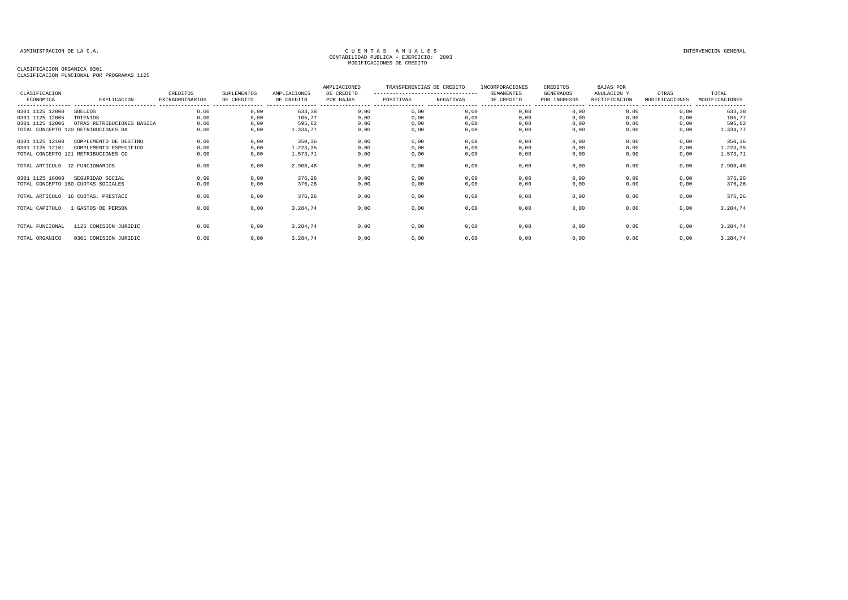| CLASIFICACION<br>ECONOMICA         | EXPLICACION                                                                             | CREDITOS<br><b>EXTRAORDINARIOS</b> | SUPLEMENTOS<br>DE CREDITO | AMPLIACIONES<br>DE CREDITO     | AMPLIACIONES<br>DE CREDITO<br>POR BAJAS | TRANSFERENCIAS DE CREDITO<br>----------------------------------<br>POSITIVAS | NEGATIVAS            | INCORPORACIONES<br><b>REMANENTES</b><br>DE CREDITO | CREDITOS<br>GENERADOS<br>POR INGRESOS | BAJAS POR<br>ANULACION Y<br>RECTIFICACION | OTRAS<br>MODIFICACIONES | TOTAL<br>MODIFICACIONES<br>---------------- |
|------------------------------------|-----------------------------------------------------------------------------------------|------------------------------------|---------------------------|--------------------------------|-----------------------------------------|------------------------------------------------------------------------------|----------------------|----------------------------------------------------|---------------------------------------|-------------------------------------------|-------------------------|---------------------------------------------|
| 0301 1125 12000<br>0301 1125 12005 | SUELDOS<br>TRIENIOS                                                                     | 0,00<br>0,00                       | 0,00<br>0,00              | 633,38<br>105,77               | 0,00<br>0,00                            | 0,00<br>0,00                                                                 | 0,00<br>0,00         | 0,00<br>0,00                                       | 0,00<br>0,00                          | 0,00<br>0,00                              | 0,00<br>0,00            | 633,38<br>105,77                            |
| 0301 1125 12006                    | OTRAS RETRIBUCIONES BASICA<br>TOTAL CONCEPTO 120 RETRIBUCIONES BA                       | 0,00<br>0,00                       | 0,00<br>0,00              | 595,62<br>1.334,77             | 0,00<br>0,00                            | 0,00<br>0,00                                                                 | 0,00<br>0,00         | 0,00<br>0,00                                       | 0,00<br>0,00                          | 0,00<br>0.00                              | 0,00<br>0,00            | 595,62<br>1.334,77                          |
| 0301 1125 12100<br>0301 1125 12101 | COMPLEMENTO DE DESTINO<br>COMPLEMENTO ESPECIFICO<br>TOTAL CONCEPTO 121 RETRIBUCIONES CO | 0,00<br>0,00<br>0,00               | 0,00<br>0,00<br>0,00      | 350,36<br>1.223,35<br>1.573,71 | 0,00<br>0,00<br>0,00                    | 0,00<br>0,00<br>0,00                                                         | 0,00<br>0,00<br>0,00 | 0,00<br>0,00<br>0,00                               | 0,00<br>0,00<br>0,00                  | 0,00<br>0,00<br>0,00                      | 0,00<br>0,00<br>0,00    | 350,36<br>1.223,35<br>1.573,71              |
| TOTAL ARTICULO 12 FUNCIONARIOS     |                                                                                         | 0,00                               | 0,00                      | 2.908,48                       | 0,00                                    | 0,00                                                                         | 0,00                 | 0,00                                               | 0,00                                  | 0,00                                      | 0,00                    | 2.908,48                                    |
| 0301 1125 16000                    | SEGURIDAD SOCIAL<br>TOTAL CONCEPTO 160 CUOTAS SOCIALES                                  | 0,00<br>0,00                       | 0,00<br>0,00              | 376,26<br>376,26               | 0,00<br>0,00                            | 0,00<br>0,00                                                                 | 0,00<br>0,00         | 0,00<br>0,00                                       | 0,00<br>0,00                          | 0,00<br>0,00                              | 0,00<br>0,00            | 376,26<br>376,26                            |
|                                    | TOTAL ARTICULO 16 CUOTAS, PRESTACI                                                      | 0,00                               | 0,00                      | 376,26                         | 0,00                                    | 0,00                                                                         | 0,00                 | 0,00                                               | 0,00                                  | 0,00                                      | 0,00                    | 376,26                                      |
| TOTAL CAPITULO                     | L GASTOS DE PERSON                                                                      | 0,00                               | 0,00                      | 3.284,74                       | 0,00                                    | 0,00                                                                         | 0,00                 | 0,00                                               | 0,00                                  | 0,00                                      | 0,00                    | 3.284,74                                    |
| TOTAL FUNCIONAL                    | 1125 COMISION JURIDIC                                                                   | 0.00                               | 0,00                      | 3.284,74                       | 0,00                                    | 0,00                                                                         | 0,00                 | 0,00                                               | 0,00                                  | 0,00                                      | 0,00                    | 3.284,74                                    |
| TOTAL ORGANICO                     | 0301 COMISION JURIDIC                                                                   | 0,00                               | 0,00                      | 3.284,74                       | 0,00                                    | 0,00                                                                         | 0,00                 | 0,00                                               | 0,00                                  | 0,00                                      | 0,00                    | 3.284,74                                    |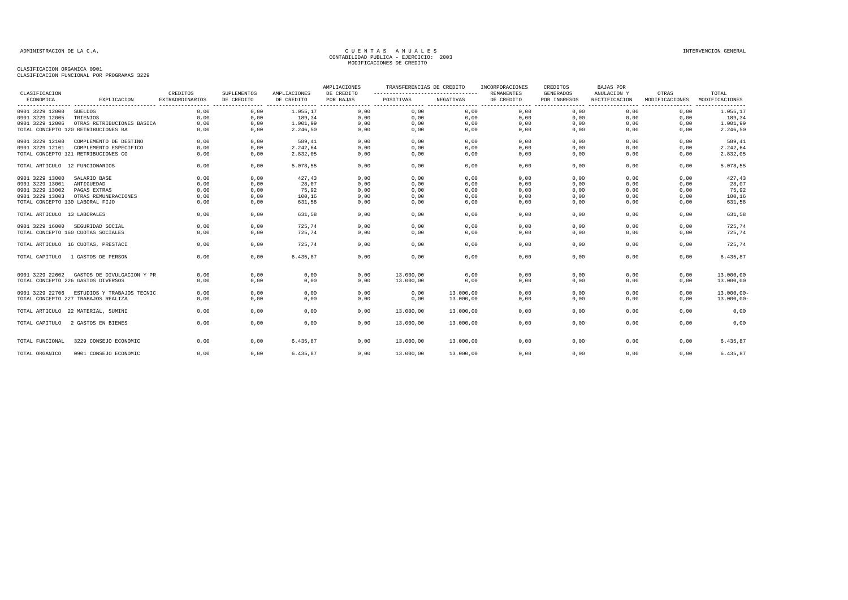| CLASIFICACION                   |                                                                  | CREDITOS               | <b>SUPLEMENTOS</b> | AMPLIACIONES | AMPLIACIONES<br>DE CREDITO | TRANSFERENCIAS DE CREDITO<br>--------------------------------- |              | INCORPORACIONES<br><b>REMANENTES</b> | CREDITOS<br><b>GENERADOS</b> | BAJAS POR<br>ANULACION Y                            | OTRAS          | TOTAL                              |
|---------------------------------|------------------------------------------------------------------|------------------------|--------------------|--------------|----------------------------|----------------------------------------------------------------|--------------|--------------------------------------|------------------------------|-----------------------------------------------------|----------------|------------------------------------|
| ECONOMICA                       | EXPLICACION                                                      | <b>EXTRAORDINARIOS</b> | DE CREDITO         | DE CREDITO   | POR BAJAS                  | POSITIVAS                                                      | NEGATIVAS    | DE CREDITO                           | POR INGRESOS                 | RECTIFICACION<br>---------------- ----------------- | MODIFICACIONES | MODIFICACIONES<br>---------------- |
| 0901 3229 12000                 | <b>SUELDOS</b>                                                   | 0,00                   | 0,00               | 1.055,17     | 0,00                       | 0,00                                                           | 0,00         | 0,00                                 | 0,00                         | 0,00                                                | 0,00           | 1.055,17                           |
| 0901 3229 12005                 | TRIENIOS                                                         | 0,00                   | 0,00               | 189,34       | 0,00                       | 0,00                                                           | 0,00         | 0,00                                 | 0,00                         | 0,00                                                | 0,00           | 189,34                             |
| 0901 3229 12006                 | OTRAS RETRIBUCIONES BASICA                                       | 0,00                   | 0,00               | 1.001,99     | 0,00                       | 0,00                                                           | 0,00         | 0,00                                 | 0,00                         | 0,00                                                | 0,00           | 1.001,99                           |
|                                 | TOTAL CONCEPTO 120 RETRIBUCIONES BA                              | 0,00                   | 0,00               | 2.246,50     | 0,00                       | 0,00                                                           | 0,00         | 0,00                                 | 0,00                         | 0,00                                                | 0,00           | 2.246,50                           |
| 0901 3229 12100                 | COMPLEMENTO DE DESTINO                                           | 0,00                   | 0.00               | 589.41       | 0,00                       | 0,00                                                           | 0,00         | 0,00                                 | 0,00                         | 0,00                                                | 0.00           | 589,41                             |
| 0901 3229 12101                 | COMPLEMENTO ESPECIFICO                                           | 0,00                   | 0,00               | 2.242,64     | 0,00                       | 0,00                                                           | 0,00         | 0,00                                 | 0,00                         | 0,00                                                | 0,00           | 2.242,64                           |
|                                 | TOTAL CONCEPTO 121 RETRIBUCIONES CO                              | 0,00                   | 0,00               | 2.832,05     | 0,00                       | 0,00                                                           | 0,00         | 0,00                                 | 0,00                         | 0,00                                                | 0,00           | 2.832,05                           |
| TOTAL ARTICULO 12 FUNCIONARIOS  |                                                                  | 0,00                   | 0,00               | 5.078,55     | 0,00                       | 0,00                                                           | 0,00         | 0,00                                 | 0,00                         | 0,00                                                | 0,00           | 5.078,55                           |
| 0901 3229 13000                 | SALARIO BASE                                                     | 0,00                   | 0,00               | 427,43       | 0,00                       | 0,00                                                           | 0,00         | 0,00                                 | 0,00                         | 0,00                                                | 0,00           | 427,43                             |
| 0901 3229 13001                 | ANTIGUEDAD                                                       | 0,00                   | 0,00               | 28,07        | 0,00                       | 0,00                                                           | 0,00         | 0,00                                 | 0,00                         | 0,00                                                | 0,00           | 28,07                              |
| 0901 3229 13002                 | PAGAS EXTRAS                                                     | 0,00                   | 0,00               | 75,92        | 0,00                       | 0,00                                                           | 0,00         | 0,00                                 | 0,00                         | 0,00                                                | 0,00           | 75,92                              |
| 0901 3229 13003                 | OTRAS REMUNERACIONES                                             | 0,00                   | 0,00               | 100,16       | 0,00                       | 0,00                                                           | 0,00         | 0,00                                 | 0,00                         | 0,00                                                | 0,00           | 100,16                             |
| TOTAL CONCEPTO 130 LABORAL FIJO |                                                                  | 0,00                   | 0,00               | 631,58       | 0,00                       | 0,00                                                           | 0,00         | 0,00                                 | 0,00                         | 0,00                                                | 0,00           | 631,58                             |
| TOTAL ARTICULO 13 LABORALES     |                                                                  | 0,00                   | 0,00               | 631,58       | 0,00                       | 0,00                                                           | 0,00         | 0,00                                 | 0,00                         | 0,00                                                | 0,00           | 631,58                             |
| 0901 3229 16000                 | SEGURIDAD SOCIAL                                                 | 0,00                   | 0,00               | 725,74       | 0,00                       | 0,00                                                           | 0,00         | 0,00                                 | 0,00                         | 0,00                                                | 0,00           | 725,74                             |
|                                 | TOTAL CONCEPTO 160 CUOTAS SOCIALES                               | 0.00                   | 0,00               | 725.74       | 0,00                       | 0,00                                                           | 0,00         | 0,00                                 | 0,00                         | 0,00                                                | 0,00           | 725,74                             |
|                                 | TOTAL ARTICULO 16 CUOTAS, PRESTACI                               | 0.00                   | 0,00               | 725.74       | 0,00                       | 0,00                                                           | 0,00         | 0,00                                 | 0,00                         | 0.00                                                | 0,00           | 725,74                             |
| TOTAL CAPITULO                  | 1 GASTOS DE PERSON                                               | 0,00                   | 0,00               | 6.435.87     | 0,00                       | 0,00                                                           | 0,00         | 0,00                                 | 0,00                         | 0,00                                                | 0.00           | 6.435,87                           |
| 0901 3229 22602                 | GASTOS DE DIVULGACION Y PR<br>TOTAL CONCEPTO 226 GASTOS DIVERSOS | 0,00<br>0,00           | 0,00<br>0,00       | 0,00<br>0,00 | 0,00<br>0,00               | 13.000,00<br>13.000,00                                         | 0,00<br>0,00 | 0,00<br>0,00                         | 0,00<br>0,00                 | 0,00<br>0,00                                        | 0,00<br>0,00   | 13.000,00<br>13.000,00             |
|                                 |                                                                  |                        |                    |              |                            |                                                                |              |                                      |                              |                                                     |                |                                    |
| 0901 3229 22706                 | ESTUDIOS Y TRABAJOS TECNIC                                       | 0.00                   | 0.00               | 0,00         | 0.00                       | 0,00                                                           | 13.000,00    | 0,00                                 | 0.00                         | 0.00                                                | 0.00           | $13.000,00 -$                      |
|                                 | TOTAL CONCEPTO 227 TRABAJOS REALIZA                              | 0,00                   | 0,00               | 0,00         | 0,00                       | 0,00                                                           | 13.000,00    | 0,00                                 | 0,00                         | 0,00                                                | 0,00           | $13.000,00 -$                      |
|                                 | TOTAL ARTICULO 22 MATERIAL, SUMINI                               | 0,00                   | 0,00               | 0,00         | 0,00                       | 13.000,00                                                      | 13.000,00    | 0,00                                 | 0,00                         | 0,00                                                | 0,00           | 0,00                               |
| TOTAL CAPITULO                  | 2 GASTOS EN BIENES                                               | 0,00                   | 0,00               | 0,00         | 0,00                       | 13.000,00                                                      | 13.000,00    | 0,00                                 | 0,00                         | 0,00                                                | 0,00           | 0,00                               |
|                                 |                                                                  |                        |                    |              |                            |                                                                |              |                                      |                              |                                                     |                |                                    |
| TOTAL FUNCIONAL                 | 3229 CONSEJO ECONOMIC                                            | 0,00                   | 0,00               | 6.435,87     | 0,00                       | 13.000,00                                                      | 13.000,00    | 0,00                                 | 0,00                         | 0,00                                                | 0,00           | 6.435,87                           |
| TOTAL ORGANICO                  | 0901 CONSEJO ECONOMIC                                            | 0,00                   | 0,00               | 6.435,87     | 0,00                       | 13.000,00                                                      | 13.000,00    | 0,00                                 | 0,00                         | 0,00                                                | 0,00           | 6.435,87                           |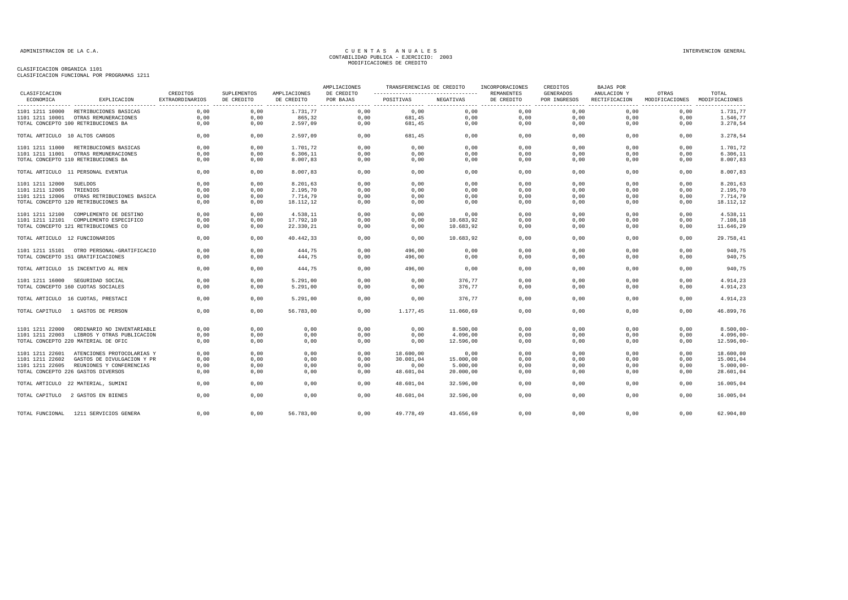|                                |                                            |                                    |                           |                            | AMPLIACIONES            | TRANSFERENCIAS DE CREDITO                       |           | INCORPORACIONES                 | CREDITOS                  | BAJAS POR                    |                                                                 |                                             |
|--------------------------------|--------------------------------------------|------------------------------------|---------------------------|----------------------------|-------------------------|-------------------------------------------------|-----------|---------------------------------|---------------------------|------------------------------|-----------------------------------------------------------------|---------------------------------------------|
| CLASIFICACION<br>ECONOMICA     | EXPLICACION                                | CREDITOS<br><b>EXTRAORDINARIOS</b> | SUPLEMENTOS<br>DE CREDITO | AMPLIACIONES<br>DE CREDITO | DE CREDITO<br>POR BAJAS | ----------------------------------<br>POSITIVAS | NEGATIVAS | <b>REMANENTES</b><br>DE CREDITO | GENERADOS<br>POR INGRESOS | ANULACION Y<br>RECTIFICACION | OTRAS<br>MODIFICACIONES<br>------------------------------------ | TOTAL<br>MODIFICACIONES<br>---------------- |
| 1101 1211 10000                | RETRIBUCIONES BASICAS                      | 0,00                               | 0,00                      | 1.731,77                   | 0,00                    | 0,00                                            | 0,00      | 0,00                            | 0,00                      | 0,00                         | 0,00                                                            | 1.731,77                                    |
| 1101 1211 10001                | OTRAS REMUNERACIONES                       | 0,00                               | 0,00                      | 865,32                     | 0,00                    | 681,45                                          | 0,00      | 0,00                            | 0,00                      | 0,00                         | 0,00                                                            | 1.546,77                                    |
|                                | TOTAL CONCEPTO 100 RETRIBUCIONES BA        | 0,00                               | 0,00                      | 2.597,09                   | 0,00                    | 681,45                                          | 0,00      | 0,00                            | 0,00                      | 0,00                         | 0,00                                                            | 3.278,54                                    |
| TOTAL ARTICULO 10 ALTOS CARGOS |                                            | 0,00                               | 0,00                      | 2.597,09                   | 0,00                    | 681,45                                          | 0,00      | 0,00                            | 0,00                      | 0,00                         | 0,00                                                            | 3.278,54                                    |
| 1101 1211 11000                | RETRIBUCIONES BASICAS                      | 0,00                               | 0,00                      | 1.701,72                   | 0,00                    | 0,00                                            | 0,00      | 0,00                            | 0,00                      | 0,00                         | 0,00                                                            | 1.701,72                                    |
| 1101 1211 11001                | OTRAS REMUNERACIONES                       | 0.00                               | 0,00                      | 6.306, 11                  | 0,00                    | 0,00                                            | 0,00      | 0,00                            | 0,00                      | 0,00                         | 0,00                                                            | 6.306, 11                                   |
|                                | TOTAL CONCEPTO 110 RETRIBUCIONES BA        | 0,00                               | 0,00                      | 8.007,83                   | 0,00                    | 0,00                                            | 0,00      | 0,00                            | 0,00                      | 0,00                         | 0,00                                                            | 8.007,83                                    |
|                                | TOTAL ARTICULO 11 PERSONAL EVENTUA         | 0.00                               | 0.00                      | 8.007,83                   | 0.00                    | 0.00                                            | 0.00      | 0.00                            | 0.00                      | 0.00                         | 0.00                                                            | 8.007,83                                    |
| 1101 1211 12000                | <b>SUELDOS</b>                             | 0,00                               | 0,00                      | 8.201,63                   | 0,00                    | 0,00                                            | 0,00      | 0,00                            | 0,00                      | 0,00                         | 0,00                                                            | 8.201,63                                    |
| 1101 1211 12005                | TRIENIOS                                   | 0,00                               | 0,00                      | 2.195,70                   | 0,00                    | 0,00                                            | 0,00      | 0,00                            | 0,00                      | 0,00                         | 0,00                                                            | 2.195,70                                    |
| 1101 1211 12006                | OTRAS RETRIBUCIONES BASICA                 | 0,00                               | 0,00                      | 7.714,79                   | 0,00                    | 0,00                                            | 0,00      | 0,00                            | 0,00                      | 0,00                         | 0,00                                                            | 7.714,79                                    |
|                                | TOTAL CONCEPTO 120 RETRIBUCIONES BA        | 0,00                               | 0,00                      | 18.112,12                  | 0,00                    | 0,00                                            | 0,00      | 0,00                            | 0,00                      | 0,00                         | 0,00                                                            | 18.112,12                                   |
| 1101 1211 12100                | COMPLEMENTO DE DESTINO                     | 0,00                               | 0,00                      | 4.538,11                   | 0,00                    | 0,00                                            | 0,00      | 0,00                            | 0,00                      | 0,00                         | 0,00                                                            | 4.538,11                                    |
| 1101 1211 12101                | COMPLEMENTO ESPECIFICO                     | 0,00                               | 0,00                      | 17.792,10                  | 0,00                    | 0,00                                            | 10.683,92 | 0,00                            | 0,00                      | 0,00                         | 0,00                                                            | 7.108,18                                    |
|                                | TOTAL CONCEPTO 121 RETRIBUCIONES CO        | 0,00                               | 0,00                      | 22.330,21                  | 0.00                    | 0.00                                            | 10.683,92 | 0,00                            | 0.00                      | 0.00                         | 0,00                                                            | 11.646,29                                   |
| TOTAL ARTICULO 12 FUNCIONARIOS |                                            | 0,00                               | 0,00                      | 40.442,33                  | 0,00                    | 0,00                                            | 10.683,92 | 0,00                            | 0,00                      | 0,00                         | 0,00                                                            | 29.758,41                                   |
|                                | 1101 1211 15101 OTRO PERSONAL-GRATIFICACIO | 0,00                               | 0,00                      | 444,75                     | 0,00                    | 496,00                                          | 0,00      | 0,00                            | 0,00                      | 0,00                         | 0,00                                                            | 940,75                                      |
|                                | TOTAL CONCEPTO 151 GRATIFICACIONES         | 0,00                               | 0,00                      | 444,75                     | 0,00                    | 496,00                                          | 0,00      | 0,00                            | 0,00                      | 0,00                         | 0,00                                                            | 940,75                                      |
|                                | TOTAL ARTICULO 15 INCENTIVO AL REN         | 0,00                               | 0,00                      | 444,75                     | 0,00                    | 496,00                                          | 0,00      | 0,00                            | 0,00                      | 0,00                         | 0,00                                                            | 940,75                                      |
| 1101 1211 16000                | SEGURIDAD SOCIAL                           | 0.00                               | 0.00                      | 5.291.00                   | 0.00                    | 0.00                                            | 376.77    | 0.00                            | 0.00                      | 0.00                         | 0.00                                                            | 4.914,23                                    |
|                                | TOTAL CONCEPTO 160 CUOTAS SOCIALES         | 0,00                               | 0,00                      | 5.291,00                   | 0,00                    | 0,00                                            | 376,77    | 0,00                            | 0,00                      | 0,00                         | 0,00                                                            | 4.914,23                                    |
|                                | TOTAL ARTICULO 16 CUOTAS, PRESTACI         | 0,00                               | 0,00                      | 5.291,00                   | 0,00                    | 0,00                                            | 376,77    | 0,00                            | 0,00                      | 0,00                         | 0,00                                                            | 4.914,23                                    |
|                                | TOTAL CAPITULO 1 GASTOS DE PERSON          | 0.00                               | 0,00                      | 56.783.00                  | 0.00                    | 1.177.45                                        | 11,060,69 | 0.00                            | 0,00                      | 0.00                         | 0.00                                                            | 46.899,76                                   |
| 1101 1211 22000                | ORDINARIO NO INVENTARIABLE                 | 0,00                               | 0,00                      | 0,00                       | 0,00                    | 0,00                                            | 8.500,00  | 0,00                            | 0,00                      | 0,00                         | 0,00                                                            | $8.500,00 -$                                |
| 1101 1211 22003                | LIBROS Y OTRAS PUBLICACION                 | 0.00                               | 0.00                      | 0,00                       | 0.00                    | 0.00                                            | 4.096.00  | 0.00                            | 0.00                      | 0.00                         | 0,00                                                            | $4.096.00 -$                                |
|                                | TOTAL CONCEPTO 220 MATERIAL DE OFIC        | 0,00                               | 0,00                      | 0,00                       | 0,00                    | 0,00                                            | 12.596,00 | 0,00                            | 0,00                      | 0,00                         | 0,00                                                            | $12.596,00 -$                               |
| 1101 1211 22601                | ATENCIONES PROTOCOLARIAS Y                 | 0,00                               | 0,00                      | 0,00                       | 0,00                    | 18.600,00                                       | 0,00      | 0,00                            | 0,00                      | 0,00                         | 0,00                                                            | 18.600,00                                   |
| 1101 1211 22602                | GASTOS DE DIVULGACION Y PR                 | 0,00                               | 0,00                      | 0,00                       | 0,00                    | 30.001,04                                       | 15.000,00 | 0,00                            | 0,00                      | 0,00                         | 0,00                                                            | 15.001,04                                   |
| 1101 1211 22605                | REUNIONES Y CONFERENCIAS                   | 0,00                               | 0,00                      | 0,00                       | 0,00                    | 0,00                                            | 5.000,00  | 0,00                            | 0,00                      | 0,00                         | 0,00                                                            | 5.000,00                                    |
|                                | TOTAL CONCEPTO 226 GASTOS DIVERSOS         | 0,00                               | 0,00                      | 0,00                       | 0,00                    | 48.601,04                                       | 20.000,00 | 0,00                            | 0,00                      | 0,00                         | 0,00                                                            | 28.601,04                                   |
|                                | TOTAL ARTICULO 22 MATERIAL, SUMINI         | 0,00                               | 0,00                      | 0,00                       | 0,00                    | 48.601,04                                       | 32.596,00 | 0,00                            | 0,00                      | 0,00                         | 0,00                                                            | 16.005,04                                   |
| TOTAL CAPITULO                 | 2 GASTOS EN BIENES                         | 0,00                               | 0,00                      | 0,00                       | 0,00                    | 48.601,04                                       | 32.596,00 | 0,00                            | 0,00                      | 0,00                         | 0,00                                                            | 16.005,04                                   |
|                                |                                            |                                    |                           |                            |                         |                                                 |           |                                 |                           |                              |                                                                 |                                             |
|                                | TOTAL FUNCIONAL 1211 SERVICIOS GENERA      | 0.00                               | 0,00                      | 56.783,00                  | 0,00                    | 49.778,49                                       | 43.656,69 | 0.00                            | 0.00                      | 0.00                         | 0.00                                                            | 62.904,80                                   |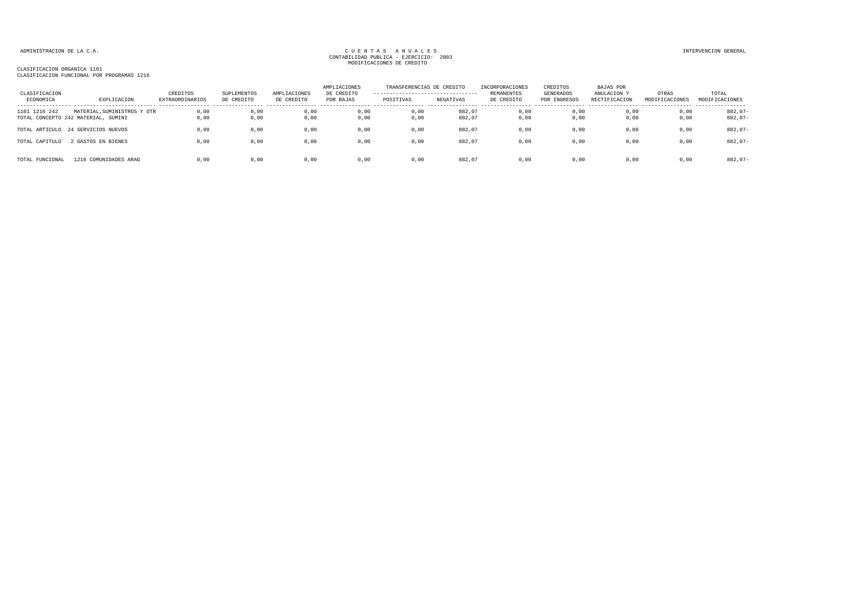| CLASIFICACION<br>ECONOMICA | EXPLICACION                                                        | CREDITOS<br><b>EXTRAORDINARIOS</b> | SUPLEMENTOS<br>DE CREDITO | AMPLIACIONES<br>DE CREDITO | AMPLIACIONES<br>DE CREDITO<br>POR BAJAS | TRANSFERENCIAS DE CREDITO<br>---------------------------------<br>POSITIVAS | NEGATIVAS        | INCORPORACIONES<br>REMANENTES<br>DE CREDITO | CREDITOS<br>GENERADOS<br>POR INGRESOS | BAJAS POR<br>ANULACION Y<br>RECTIFICACION | OTRAS<br>MODIFICACIONES | TOTAL<br>MODIFICACIONES |
|----------------------------|--------------------------------------------------------------------|------------------------------------|---------------------------|----------------------------|-----------------------------------------|-----------------------------------------------------------------------------|------------------|---------------------------------------------|---------------------------------------|-------------------------------------------|-------------------------|-------------------------|
| 1101 1216 242              | MATERIAL, SUMINISTROS Y OTR<br>TOTAL CONCEPTO 242 MATERIAL, SUMINI | 0.00<br>0,00                       | 0,00<br>0,00              | 0.00<br>0,00               | 0.00<br>0,00                            | 0.00<br>0,00                                                                | 882.07<br>882,07 | 0.00<br>0,00                                | 0,00<br>0,00                          | 0.00<br>0,00                              | 0,00<br>0,00            | $882.07 -$<br>$882,07-$ |
| TOTAL ARTICULO             | 24 SERVICIOS NUEVOS                                                | 0,00                               | 0,00                      | 0,00                       | 0,00                                    | 0,00                                                                        | 882,07           | 0,00                                        | 0,00                                  | 0,00                                      | 0,00                    | $882,07-$               |
| TOTAL CAPITULO             | GASTOS EN BIENES                                                   | 0,00                               | 0,00                      | 0,00                       | 0,00                                    | 0,00                                                                        | 882,07           | 0,00                                        | 0,00                                  | 0,00                                      | 0,00                    | $882,07-$               |
| TOTAL FUNCIONAL            | 1216 COMUNIDADES ARAG                                              | 0.00                               | 0,00                      | 0,00                       | 0,00                                    | 0.00                                                                        | 882,07           | 0,00                                        | 0,00                                  | 0,00                                      | 0,00                    | $882,07-$               |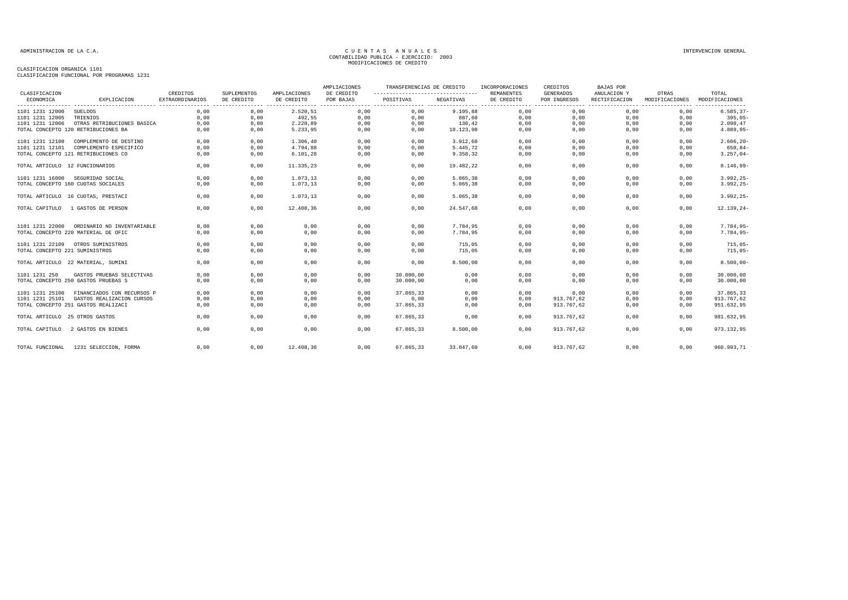| CLASIFICACION                  |                                       | CREDITOS               | SUPLEMENTOS           | AMPLIACIONES    | AMPLIACIONES<br>DE CREDITO | TRANSFERENCIAS DE CREDITO<br>---------------------------------- |           | INCORPORACIONES<br><b>REMANENTES</b>        | CREDITOS<br><b>GENERADOS</b> | <b>BAJAS POR</b><br>ANULACION Y | OTRAS                            | TOTAL                      |
|--------------------------------|---------------------------------------|------------------------|-----------------------|-----------------|----------------------------|-----------------------------------------------------------------|-----------|---------------------------------------------|------------------------------|---------------------------------|----------------------------------|----------------------------|
| ECONOMICA                      | EXPLICACION                           | <b>EXTRAORDINARIOS</b> | DE CREDITO<br>------- | DE CREDITO<br>. | POR BAJAS                  | POSITIVAS                                                       | NEGATIVAS | DE CREDITO<br>--------- -------<br>-------- | POR INGRESOS<br>.            | RECTIFICACION                   | MODIFICACIONES<br>-------------- | MODIFICACIONES<br>-------- |
| 1101 1231 12000                | <b>SUELDOS</b>                        | 0,00                   | 0,00                  | 2.520,51        | 0,00                       | 0,00                                                            | 9.105,88  | 0,00                                        | 0,00                         | 0,00                            | 0,00                             | $6.585, 37-$               |
| 1101 1231 12005                | TRIENIOS                              | 0.00                   | 0,00                  | 492.55          | 0,00                       | 0,00                                                            | 887.60    | 0,00                                        | 0.00                         | 0.00                            | 0,00                             | $395.05 -$                 |
| 1101 1231 12006                | OTRAS RETRIBUCIONES BASICA            | 0.00                   | 0.00                  | 2.220,89        | 0,00                       | 0,00                                                            | 130,42    | 0,00                                        | 0.00                         | 0.00                            | 0,00                             | 2.090,47                   |
|                                | TOTAL CONCEPTO 120 RETRIBUCIONES BA   | 0,00                   | 0,00                  | 5.233,95        | 0,00                       | 0,00                                                            | 10.123,90 | 0,00                                        | 0,00                         | 0,00                            | 0,00                             | 4.889,95-                  |
| 1101 1231 12100                | COMPLEMENTO DE DESTINO                | 0.00                   | 0.00                  | 1,306,40        | 0.00                       | 0.00                                                            | 3.912.60  | 0.00                                        | 0.00                         | 0.00                            | 0.00                             | $2.606, 20 -$              |
| 1101 1231 12101                | COMPLEMENTO ESPECIFICO                | 0,00                   | 0,00                  | 4.794.88        | 0,00                       | 0,00                                                            | 5.445.72  | 0,00                                        | 0,00                         | 0,00                            | 0,00                             | $650, 84-$                 |
|                                | TOTAL CONCEPTO 121 RETRIBUCIONES CO   | 0.00                   | 0,00                  | 6.101, 28       | 0,00                       | 0,00                                                            | 9.358,32  | 0,00                                        | 0,00                         | 0,00                            | 0,00                             | $3.257,04-$                |
| TOTAL ARTICULO 12 FUNCIONARIOS |                                       | 0,00                   | 0,00                  | 11.335,23       | 0,00                       | 0,00                                                            | 19.482,22 | 0,00                                        | 0,00                         | 0,00                            | 0,00                             | $8.146,99-$                |
| 1101 1231 16000                | SEGURIDAD SOCIAL                      | 0,00                   | 0,00                  | 1.073,13        | 0,00                       | 0,00                                                            | 5.065,38  | 0,00                                        | 0,00                         | 0,00                            | 0,00                             | $3.992, 25 -$              |
|                                | TOTAL CONCEPTO 160 CUOTAS SOCIALES    | 0.00                   | 0,00                  | 1.073,13        | 0,00                       | 0,00                                                            | 5.065,38  | 0,00                                        | 0,00                         | 0,00                            | 0,00                             | $3.992, 25 -$              |
|                                | TOTAL ARTICULO 16 CUOTAS, PRESTACI    | 0.00                   | 0.00                  | 1.073.13        | 0.00                       | 0.00                                                            | 5.065.38  | 0.00                                        | 0.00                         | 0.00                            | 0.00                             | $3.992, 25 -$              |
| TOTAL CAPITULO                 | 1 GASTOS DE PERSON                    | 0,00                   | 0,00                  | 12.408,36       | 0,00                       | 0,00                                                            | 24.547,60 | 0,00                                        | 0,00                         | 0,00                            | 0,00                             | $12.139, 24-$              |
| 1101 1231 22000                | ORDINARIO NO INVENTARIABLE            | 0,00                   | 0,00                  | 0,00            | 0,00                       | 0,00                                                            | 7.784.95  | 0,00                                        | 0,00                         | 0,00                            | 0,00                             | 7.784,95-<br>7.784,95-     |
|                                | TOTAL CONCEPTO 220 MATERIAL DE OFIC   | 0.00                   | 0,00                  | 0,00            | 0,00                       | 0,00                                                            | 7.784.95  | 0,00                                        | 0,00                         | 0.00                            | 0,00                             |                            |
|                                | 1101 1231 22109 OTROS SUMINISTROS     | 0,00                   | 0,00                  | 0,00            | 0,00                       | 0,00                                                            | 715,05    | 0,00                                        | 0,00                         | 0,00                            | 0,00                             | $715,05-$                  |
| TOTAL CONCEPTO 221 SUMINISTROS |                                       | 0,00                   | 0,00                  | 0,00            | 0,00                       | 0,00                                                            | 715,05    | 0,00                                        | 0,00                         | 0,00                            | 0,00                             | $715,05-$                  |
|                                | TOTAL ARTICULO 22 MATERIAL, SUMINI    | 0,00                   | 0,00                  | 0,00            | 0,00                       | 0,00                                                            | 8.500,00  | 0,00                                        | 0,00                         | 0,00                            | 0,00                             | $8.500,00 -$               |
| 1101 1231 250                  | GASTOS PRUEBAS SELECTIVAS             | 0.00                   | 0.00                  | 0.00            | 0.00                       | 30,000,00                                                       | 0.00      | 0.00                                        | 0.00                         | 0.00                            | 0.00                             | 30,000,00                  |
|                                | TOTAL CONCEPTO 250 GASTOS PRUEBAS S   | 0.00                   | 0,00                  | 0,00            | 0.00                       | 30.000,00                                                       | 0,00      | 0,00                                        | 0.00                         | 0.00                            | 0.00                             | 30.000,00                  |
| 1101 1231 25100                | FINANCIADOS CON RECURSOS P            | 0,00                   | 0,00                  | 0,00            | 0,00                       | 37.865,33                                                       | 0,00      | 0,00                                        | 0,00                         | 0,00                            | 0.00                             | 37.865,33                  |
| 1101 1231 25101                | GASTOS REALIZACION CURSOS             | 0,00                   | 0,00                  | 0,00            | 0,00                       | 0.00                                                            | 0,00      | 0.00                                        | 913.767,62                   | 0.00                            | 0.00                             | 913.767,62                 |
|                                | TOTAL CONCEPTO 251 GASTOS REALIZACI   | 0,00                   | 0,00                  | 0,00            | 0,00                       | 37.865,33                                                       | 0,00      | 0,00                                        | 913.767,62                   | 0,00                            | 0,00                             | 951.632,95                 |
| TOTAL ARTICULO 25 OTROS GASTOS |                                       | 0.00                   | 0,00                  | 0,00            | 0.00                       | 67.865.33                                                       | 0.00      | 0.00                                        | 913.767.62                   | 0.00                            | 0.00                             | 981.632,95                 |
| TOTAL CAPITULO                 | 2 GASTOS EN BIENES                    | 0.00                   | 0,00                  | 0,00            | 0,00                       | 67.865,33                                                       | 8.500,00  | 0,00                                        | 913.767,62                   | 0,00                            | 0,00                             | 973.132,95                 |
|                                | TOTAL FUNCIONAL 1231 SELECCION, FORMA | 0.00                   | 0.00                  | 12.408.36       | 0.00                       | 67.865.33                                                       | 33.047.60 | 0.00                                        | 913.767.62                   | 0.00                            | 0.00                             | 960.993,71                 |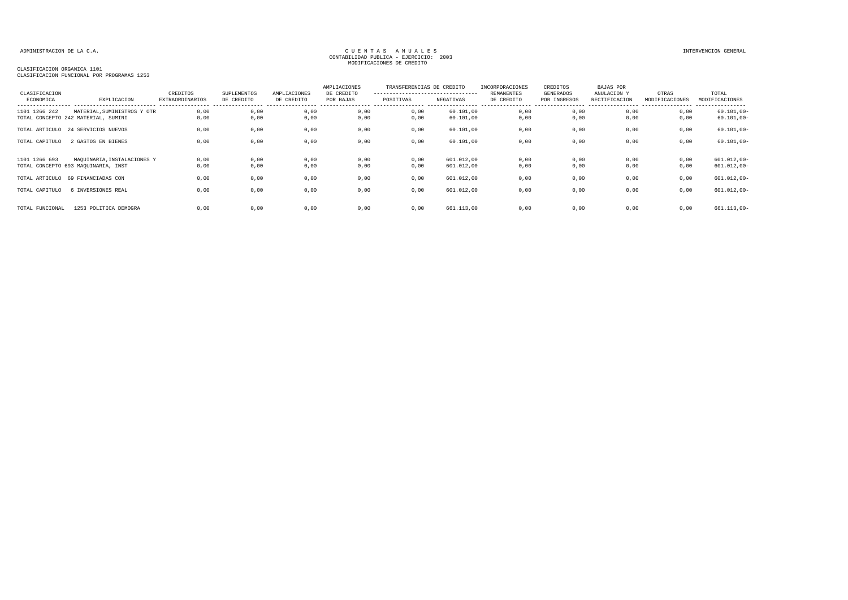CLASIFICACION ORGANICA 1101

CLASIFICACION FUNCIONAL POR PROGRAMAS 1253

| CLASIFICACION   |                                     | CREDITOS               | SUPLEMENTOS | AMPLIACIONES | AMPLIACIONES<br>DE CREDITO | TRANSFERENCIAS DE CREDITO<br>--------------------------------- |            | INCORPORACIONES<br>REMANENTES | CREDITOS<br>GENERADOS | <b>BAJAS POR</b><br>ANULACION Y | OTRAS          | TOTAL          |
|-----------------|-------------------------------------|------------------------|-------------|--------------|----------------------------|----------------------------------------------------------------|------------|-------------------------------|-----------------------|---------------------------------|----------------|----------------|
| ECONOMICA       | EXPLICACION                         | <b>EXTRAORDINARIOS</b> | DE CREDITO  | DE CREDITO   | POR BAJAS                  | POSITIVAS                                                      | NEGATIVAS  | DE CREDITO                    | POR INGRESOS          | RECTIFICACION                   | MODIFICACIONES | MODIFICACIONES |
| 1101 1266 242   | MATERIAL, SUMINISTROS Y OTR         | 0,00                   | 0,00        | 0,00         | 0,00                       | 0,00                                                           | 60.101,00  | 0,00                          | 0,00                  | 0,00                            | 0,00           | $60.101,00 -$  |
|                 | TOTAL CONCEPTO 242 MATERIAL, SUMINI | 0.00                   | 0,00        | 0,00         | 0,00                       | 0,00                                                           | 60.101,00  | 0,00                          | 0,00                  | 0.00                            | 0,00           | $60.101,00 -$  |
|                 | TOTAL ARTICULO 24 SERVICIOS NUEVOS  | 0.00                   | 0,00        | 0,00         | 0,00                       | 0,00                                                           | 60.101,00  | 0,00                          | 0,00                  | 0,00                            | 0,00           | $60.101,00 -$  |
| TOTAL CAPITULO  | 2 GASTOS EN BIENES                  | 0,00                   | 0,00        | 0,00         | 0,00                       | 0,00                                                           | 60.101,00  | 0,00                          | 0,00                  | 0,00                            | 0,00           | $60.101,00 -$  |
| 1101 1266 693   | MAQUINARIA, INSTALACIONES Y         | 0,00                   | 0,00        | 0,00         | 0,00                       | 0,00                                                           | 601.012.00 | 0,00                          | 0,00                  | 0,00                            | 0,00           | $601.012,00 -$ |
|                 | TOTAL CONCEPTO 693 MAQUINARIA, INST | 0.00                   | 0,00        | 0,00         | 0,00                       | 0,00                                                           | 601.012,00 | 0,00                          | 0,00                  | 0.00                            | 0,00           | $601.012,00 -$ |
|                 | TOTAL ARTICULO 69 FINANCIADAS CON   | 0.00                   | 0,00        | 0,00         | 0,00                       | 0,00                                                           | 601.012,00 | 0,00                          | 0,00                  | 0,00                            | 0,00           | $601.012,00 -$ |
| TOTAL CAPITULO  | 6 INVERSIONES REAL                  | 0.00                   | 0,00        | 0,00         | 0,00                       | 0,00                                                           | 601.012,00 | 0,00                          | 0,00                  | 0,00                            | 0,00           | $601.012,00 -$ |
|                 |                                     |                        |             |              |                            |                                                                |            |                               |                       |                                 |                |                |
| TOTAL FUNCIONAL | 1253 POLITICA DEMOGRA               | 0.00                   | 0,00        | 0,00         | 0.00                       | 0.00                                                           | 661.113,00 | 0,00                          | 0.00                  | 0.00                            | 0.00           | $661.113,00 -$ |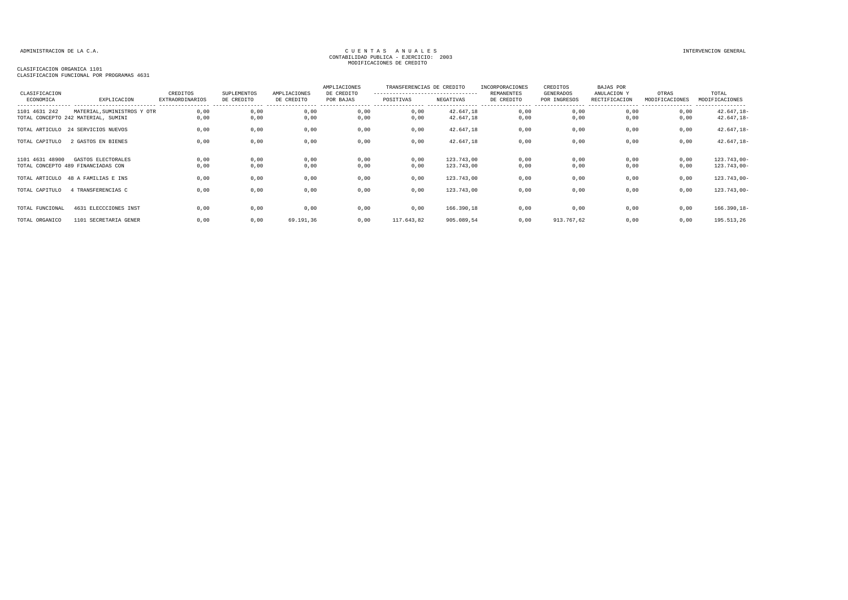#### CLASIFICACION ORGANICA 1101

CLASIFICACION FUNCIONAL POR PROGRAMAS 4631

| CLASIFICACION   |                                                                    | CREDITOS               | SUPLEMENTOS  | AMPLIACIONES | AMPLIACIONES<br>DE CREDITO | TRANSFERENCIAS DE CREDITO<br>---------------------------------- |                          | INCORPORACIONES<br><b>REMANENTES</b> | CREDITOS<br>GENERADOS | BAJAS POR<br>ANULACION Y | OTRAS          | TOTAL                              |
|-----------------|--------------------------------------------------------------------|------------------------|--------------|--------------|----------------------------|-----------------------------------------------------------------|--------------------------|--------------------------------------|-----------------------|--------------------------|----------------|------------------------------------|
| ECONOMICA       | EXPLICACION                                                        | <b>EXTRAORDINARIOS</b> | DE CREDITO   | DE CREDITO   | POR BAJAS                  | POSITIVAS                                                       | NEGATIVAS                | DE CREDITO                           | POR INGRESOS          | RECTIFICACION            | MODIFICACIONES | MODIFICACIONES<br>---------------- |
| 1101 4631 242   | MATERIAL, SUMINISTROS Y OTR<br>TOTAL CONCEPTO 242 MATERIAL, SUMINI | 0,00<br>0,00           | 0,00<br>0,00 | 0,00<br>0,00 | 0,00<br>0,00               | 0,00<br>0,00                                                    | 42.647,18<br>42.647,18   | 0,00<br>0,00                         | 0,00<br>0,00          | 0,00<br>0,00             | 0,00<br>0,00   | $42.647, 18-$<br>$42.647, 18-$     |
|                 | TOTAL ARTICULO 24 SERVICIOS NUEVOS                                 | 0,00                   | 0,00         | 0,00         | 0,00                       | 0,00                                                            | 42.647,18                | 0,00                                 | 0,00                  | 0,00                     | 0,00           | $42.647, 18-$                      |
| TOTAL CAPITULO  | 2 GASTOS EN BIENES                                                 | 0.00                   | 0,00         | 0,00         | 0,00                       | 0,00                                                            | 42.647,18                | 0,00                                 | 0,00                  | 0,00                     | 0,00           | $42.647, 18-$                      |
| 1101 4631 48900 | GASTOS ELECTORALES<br>TOTAL CONCEPTO 489 FINANCIADAS CON           | 0,00<br>0,00           | 0,00<br>0,00 | 0,00<br>0,00 | 0,00<br>0,00               | 0,00<br>0,00                                                    | 123.743,00<br>123.743,00 | 0,00<br>0,00                         | 0,00<br>0,00          | 0,00<br>0,00             | 0,00<br>0,00   | $123.743,00 -$<br>$123.743,00 -$   |
|                 | TOTAL ARTICULO 48 A FAMILIAS E INS                                 | 0,00                   | 0,00         | 0,00         | 0,00                       | 0,00                                                            | 123.743,00               | 0,00                                 | 0,00                  | 0,00                     | 0,00           | $123.743,00 -$                     |
| TOTAL CAPITULO  | 4 TRANSFERENCIAS C                                                 | 0,00                   | 0,00         | 0,00         | 0,00                       | 0,00                                                            | 123.743,00               | 0,00                                 | 0,00                  | 0,00                     | 0,00           | $123.743,00 -$                     |
| TOTAL FUNCIONAL | 4631 ELECCCIONES INST                                              | 0,00                   | 0,00         | 0,00         | 0,00                       | 0,00                                                            | 166.390,18               | 0,00                                 | 0,00                  | 0,00                     | 0,00           | $166.390, 18 -$                    |
| TOTAL ORGANICO  | 1101 SECRETARIA GENER                                              | 0,00                   | 0,00         | 69.191,36    | 0,00                       | 117.643,82                                                      | 905.089,54               | 0,00                                 | 913.767,62            | 0,00                     | 0,00           | 195.513,26                         |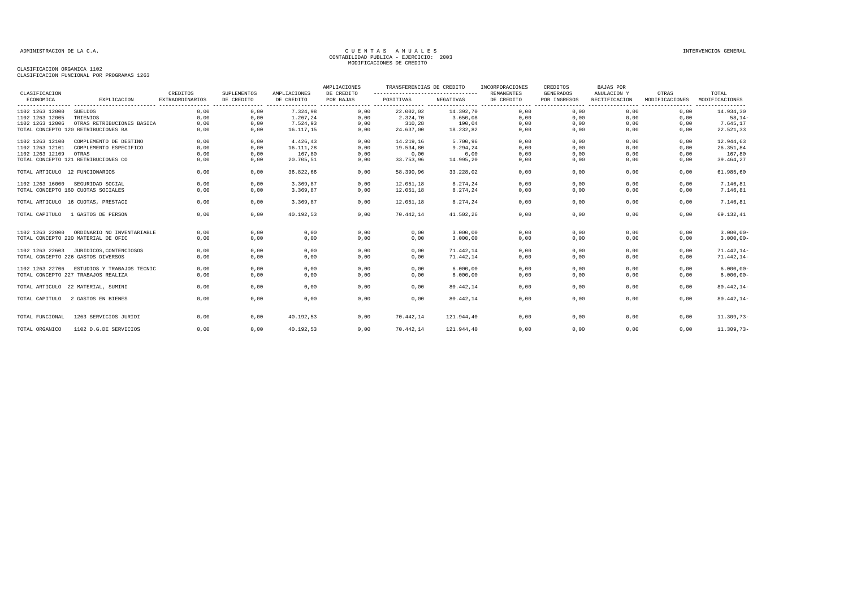| CLASIFICACION                  |                                     | CREDITOS               | <b>SUPLEMENTOS</b> | AMPLIACIONES | AMPLIACIONES<br>DE CREDITO | TRANSFERENCIAS DE CREDITO<br> |            | INCORPORACIONES<br><b>REMANENTES</b> | CREDITOS<br><b>GENERADOS</b> | <b>BAJAS POR</b><br>ANULACION Y | OTRAS          | TOTAL          |
|--------------------------------|-------------------------------------|------------------------|--------------------|--------------|----------------------------|-------------------------------|------------|--------------------------------------|------------------------------|---------------------------------|----------------|----------------|
| ECONOMICA                      | EXPLICACION                         | <b>EXTRAORDINARIOS</b> | DE CREDITO         | DE CREDITO   | POR BAJAS                  | POSITIVAS                     | NEGATIVAS  | DE CREDITO                           | POR INGRESOS                 | RECTIFICACION                   | MODIFICACIONES | MODIFICACIONES |
| 1102 1263 12000                | SUELDOS                             | 0,00                   | 0,00               | 7.324,98     | 0,00                       | 22.002,02                     | 14.392,70  | 0,00                                 | 0,00                         | 0,00                            | 0,00           | 14.934,30      |
| 1102 1263 12005                | TRIENIOS                            | 0,00                   | 0,00               | 1.267,24     | 0,00                       | 2.324,70                      | 3.650,08   | 0,00                                 | 0,00                         | 0,00                            | 0,00           | $58, 14-$      |
| 1102 1263 12006                | OTRAS RETRIBUCIONES BASICA          | 0,00                   | 0,00               | 7.524,93     | 0,00                       | 310,28                        | 190,04     | 0,00                                 | 0,00                         | 0,00                            | 0,00           | 7.645,17       |
|                                | TOTAL CONCEPTO 120 RETRIBUCIONES BA | 0,00                   | 0,00               | 16.117,15    | 0,00                       | 24.637,00                     | 18.232,82  | 0,00                                 | 0,00                         | 0,00                            | 0,00           | 22.521,33      |
| 1102 1263 12100                | COMPLEMENTO DE DESTINO              | 0,00                   | 0.00               | 4.426.43     | 0,00                       | 14.219.16                     | 5.700.96   | 0.00                                 | 0.00                         | 0.00                            | 0.00           | 12.944,63      |
| 1102 1263 12101                | COMPLEMENTO ESPECIFICO              | 0,00                   | 0,00               | 16.111,28    | 0,00                       | 19.534.80                     | 9.294,24   | 0,00                                 | 0,00                         | 0.00                            | 0.00           | 26.351,84      |
| 1102 1263 12109                | OTRAS                               | 0,00                   | 0,00               | 167,80       | 0,00                       | 0,00                          | 0,00       | 0,00                                 | 0,00                         | 0,00                            | 0,00           | 167,80         |
|                                | TOTAL CONCEPTO 121 RETRIBUCIONES CO | 0,00                   | 0,00               | 20.705,51    | 0,00                       | 33.753,96                     | 14.995,20  | 0,00                                 | 0,00                         | 0,00                            | 0,00           | 39.464,27      |
| TOTAL ARTICULO 12 FUNCIONARIOS |                                     | 0,00                   | 0,00               | 36.822,66    | 0,00                       | 58.390,96                     | 33.228,02  | 0,00                                 | 0,00                         | 0,00                            | 0,00           | 61.985,60      |
| 1102 1263 16000                | SEGURIDAD SOCIAL                    | 0.00                   | 0.00               | 3.369,87     | 0.00                       | 12.051,18                     | 8.274,24   | 0,00                                 | 0.00                         | 0.00                            | 0.00           | 7.146,81       |
|                                | TOTAL CONCEPTO 160 CUOTAS SOCIALES  | 0,00                   | 0,00               | 3.369,87     | 0,00                       | 12.051,18                     | 8.274,24   | 0,00                                 | 0,00                         | 0,00                            | 0,00           | 7.146,81       |
|                                | TOTAL ARTICULO 16 CUOTAS, PRESTACI  | 0.00                   | 0,00               | 3.369.87     | 0,00                       | 12.051,18                     | 8.274,24   | 0,00                                 | 0,00                         | 0.00                            | 0.00           | 7.146,81       |
| TOTAL CAPITULO                 | 1 GASTOS DE PERSON                  | 0,00                   | 0,00               | 40.192,53    | 0,00                       | 70.442,14                     | 41.502,26  | 0,00                                 | 0,00                         | 0,00                            | 0,00           | 69.132,41      |
| 1102 1263 22000                | ORDINARIO NO INVENTARIABLE          | 0,00                   | 0,00               | 0,00         | 0,00                       | 0,00                          | 3.000,00   | 0,00                                 | 0,00                         | 0,00                            | 0,00           | $3.000,00 -$   |
|                                | TOTAL CONCEPTO 220 MATERIAL DE OFIC | 0,00                   | 0,00               | 0,00         | 0,00                       | 0,00                          | 3.000,00   | 0,00                                 | 0,00                         | 0,00                            | 0,00           | $3.000,00 -$   |
| 1102 1263 22603                | JURIDICOS, CONTENCIOSOS             | 0,00                   | 0,00               | 0,00         | 0,00                       | 0,00                          | 71.442.14  | 0,00                                 | 0,00                         | 0,00                            | 0,00           | $71.442, 14-$  |
|                                | TOTAL CONCEPTO 226 GASTOS DIVERSOS  | 0,00                   | 0,00               | 0,00         | 0,00                       | 0,00                          | 71.442,14  | 0,00                                 | 0,00                         | 0,00                            | 0,00           | $71.442, 14-$  |
| 1102 1263 22706                | ESTUDIOS Y TRABAJOS TECNIC          | 0.00                   | 0.00               | 0.00         | 0.00                       | 0.00                          | 6.000.00   | 0.00                                 | 0.00                         | 0.00                            | 0.00           | $6.000,00 -$   |
|                                | TOTAL CONCEPTO 227 TRABAJOS REALIZA | 0,00                   | 0,00               | 0,00         | 0,00                       | 0,00                          | 6.000,00   | 0,00                                 | 0,00                         | 0,00                            | 0,00           | $6.000,00 -$   |
|                                | TOTAL ARTICULO 22 MATERIAL, SUMINI  | 0,00                   | 0,00               | 0,00         | 0,00                       | 0,00                          | 80.442,14  | 0,00                                 | 0,00                         | 0,00                            | 0,00           | $80.442, 14-$  |
| TOTAL CAPITULO                 | 2 GASTOS EN BIENES                  | 0,00                   | 0,00               | 0,00         | 0,00                       | 0,00                          | 80.442,14  | 0,00                                 | 0,00                         | 0,00                            | 0,00           | $80.442, 14-$  |
| TOTAL FUNCIONAL                | 1263 SERVICIOS JURIDI               | 0.00                   | 0,00               | 40.192,53    | 0,00                       | 70.442.14                     | 121.944.40 | 0,00                                 | 0,00                         | 0.00                            | 0.00           | $11.309,73-$   |
| TOTAL ORGANICO                 | 1102 D.G.DE SERVICIOS               | 0,00                   | 0,00               | 40.192,53    | 0,00                       | 70.442,14                     | 121.944,40 | 0,00                                 | 0,00                         | 0,00                            | 0,00           | $11.309,73-$   |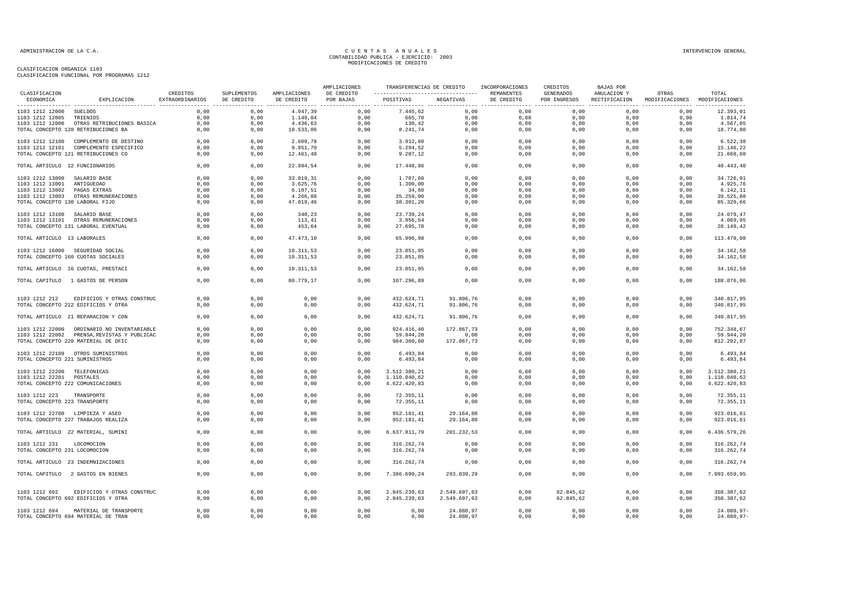|                                                |                                                                        |                             |                           |                            | AMPLIACIONES            | TRANSFERENCIAS DE CREDITO |                          | INCORPORACIONES          | CREDITOS                  | BAJAS POR                    |                                        |                          |
|------------------------------------------------|------------------------------------------------------------------------|-----------------------------|---------------------------|----------------------------|-------------------------|---------------------------|--------------------------|--------------------------|---------------------------|------------------------------|----------------------------------------|--------------------------|
| CLASIFICACION<br>ECONOMICA                     | EXPLICACION                                                            | CREDITOS<br>EXTRAORDINARIOS | SUPLEMENTOS<br>DE CREDITO | AMPLIACIONES<br>DE CREDITO | DE CREDITO<br>POR BAJAS | POSITIVAS NEGATIVAS       |                          | REMANENTES<br>DE CREDITO | GENERADOS<br>POR INGRESOS | ANULACION Y<br>RECTIFICACION | OTRAS<br>MODIFICACIONES MODIFICACIONES | TOTAL                    |
| 1103 1212 12000 SUELDOS                        |                                                                        | 0,00                        | 0,00                      | 4.947,39                   | 0,00                    | 7.445,62                  | 0,00                     | 0,00                     | 0,00                      | 0,00                         | 0,00                                   | 12.393,01                |
| 1103 1212 12005                                | TRIENIOS                                                               | 0,00                        | 0,00                      | 1.149,04                   | 0,00                    | 665,70                    | 0,00                     | 0,00                     | 0,00                      | 0,00                         | 0,00                                   | 1.814,74                 |
|                                                | 1103 1212 12006 OTRAS RETRIBUCIONES BASICA                             | 0,00                        | 0,00                      | 4.436,63                   | 0,00                    | 130,42                    | 0,00                     | 0,00                     | 0,00                      | 0,00                         | 0,00                                   | 4.567,05                 |
|                                                | TOTAL CONCEPTO 120 RETRIBUCIONES BA                                    | 0,00                        | 0,00                      | 10.533,06                  | 0,00                    | 8.241,74                  | 0,00                     | 0,00                     | 0,00                      | 0,00                         | 0,00                                   | 18.774,80                |
|                                                | 1103 1212 12100 COMPLEMENTO DE DESTINO                                 | 0.00                        | 0.00                      | 2.609,78                   | 0,00                    | 3.912,60                  | 0,00                     | 0.00                     | 0.00                      | 0.00                         | 0.00                                   | 6.522,38                 |
|                                                | 1103 1212 12101 COMPLEMENTO ESPECIFICO                                 | 0,00                        | 0,00                      | 9.851,70                   | 0,00                    | 5.294,52                  | 0,00                     | 0,00                     | 0,00                      | 0,00                         | 0,00                                   | 15.146,22                |
|                                                | TOTAL CONCEPTO 121 RETRIBUCIONES CO                                    | 0,00                        | 0,00                      | 12.461,48                  | 0,00                    | 9.207, 12                 | 0,00                     | 0,00                     | 0,00                      | 0,00                         | 0,00                                   | 21.668,60                |
| TOTAL ARTICULO 12 FUNCIONARIOS                 |                                                                        | 0,00                        | 0,00                      | 22.994,54                  | 0,00                    | 17.448,86                 | 0,00                     | 0,00                     | 0,00                      | 0,00                         | 0,00                                   | 40.443,40                |
| 1103 1212 13000 SALARIO BASE                   |                                                                        | 0,00                        | 0,00                      | 33.019,31                  | 0,00                    | 1.707,60                  | 0,00                     | 0,00                     | 0,00                      | 0,00                         | 0,00                                   | 34.726,91                |
| 1103 1212 13001 ANTIGUEDAD                     |                                                                        | 0.00                        | 0,00                      | 3.625,76                   | 0,00                    | 1.300,00                  | 0,00                     | 0,00                     | 0,00                      | 0,00                         | 0,00                                   | 4.925,76                 |
| 1103 1212 13002 PAGAS EXTRAS                   |                                                                        | 0.00                        | 0,00                      | 6.107, 51                  | 0,00                    | 34,60                     | 0,00                     | 0,00                     | 0.00                      | 0,00                         | 0,00                                   | 6.142, 11                |
|                                                | 1103 1212 13003 OTRAS REMUNERACIONES                                   | 0,00                        | 0,00                      | 4.266,88                   | 0,00                    | 35.259,00                 | 0,00                     | 0,00                     | 0,00                      | 0,00                         | 0,00                                   | 39.525,88                |
| TOTAL CONCEPTO 130 LABORAL FIJO                |                                                                        | 0,00                        | 0,00                      | 47.019,46                  | 0,00                    | 38.301,20                 | 0,00                     | 0,00                     | 0,00                      | 0,00                         | 0,00                                   | 85.320,66                |
| 1103 1212 13100 SALARIO BASE                   |                                                                        | 0,00                        | 0,00                      | 340,23                     | 0,00                    | 23.739,24                 | 0,00                     | 0,00                     | 0,00                      | 0,00                         | 0,00                                   | 24.079,47                |
|                                                | 1103 1212 13101 OTRAS REMUNERACIONES                                   | 0.00                        | 0.00                      | 113,41                     | 0,00                    | 3.956,54                  | 0,00                     | 0,00                     | 0,00                      | 0.00                         | 0,00                                   | 4.069,95                 |
|                                                | TOTAL CONCEPTO 131 LABORAL EVENTUAL                                    | 0,00                        | 0,00                      | 453,64                     | 0,00                    | 27.695,78                 | 0,00                     | 0,00                     | 0,00                      | 0,00                         | 0,00                                   | 28.149,42                |
| TOTAL ARTICULO 13 LABORALES                    |                                                                        | 0,00                        | 0,00                      | 47.473,10                  | 0,00                    | 65.996,98                 | 0,00                     | 0,00                     | 0,00                      | 0,00                         | 0,00                                   | 113.470,08               |
|                                                | 1103 1212 16000 SEGURIDAD SOCIAL                                       | 0,00                        | 0,00                      | 10.311,53                  | 0,00                    | 23.851,05                 | 0,00                     | 0,00                     | 0,00                      | 0,00                         | 0,00                                   | 34.162,58                |
|                                                | TOTAL CONCEPTO 160 CUOTAS SOCIALES                                     | 0,00                        | 0,00                      | 10.311,53                  | 0,00                    | 23.851,05                 | 0,00                     | 0,00                     | 0,00                      | 0,00                         | 0,00                                   | 34.162,58                |
|                                                | TOTAL ARTICULO 16 CUOTAS, PRESTACI                                     | 0,00                        | 0,00                      | 10.311,53                  | 0.00                    | 23.851,05                 | 0,00                     | 0,00                     | 0,00                      | 0,00                         | 0,00                                   | 34.162,58                |
|                                                | TOTAL CAPITULO 1 GASTOS DE PERSON                                      | 0,00                        | 0,00                      | 80.779,17                  | 0,00                    | 107.296,89                | 0,00                     | 0,00                     | 0,00                      | 0,00                         | 0,00                                   | 188.076,06               |
| 1103 1212 212                                  | EDIFICIOS Y OTRAS CONSTRUC                                             | 0.00                        | 0.00                      | 0.00                       | 0,00                    | 432.624,71                | 91.806.76                | 0.00                     | 0.00                      | 0.00                         | 0.00                                   | 340.817,95               |
|                                                | TOTAL CONCEPTO 212 EDIFICIOS Y OTRA                                    | 0,00                        | 0,00                      | 0,00                       | 0,00                    | 432.624,71                | 91.806,76                | 0,00                     | 0,00                      | 0,00                         | 0,00                                   | 340.817,95               |
|                                                | TOTAL ARTICULO 21 REPARACION Y CON                                     | 0,00                        | 0,00                      | 0,00                       | 0,00                    | 432.624,71                | 91.806,76                | 0,00                     | 0,00                      | 0,00                         | 0,00                                   | 340.817,95               |
|                                                | 1103 1212 22000 ORDINARIO NO INVENTARIABLE                             | 0,00                        | 0,00                      | 0,00                       | 0,00                    | 924.416,40                | 172.067,73               | 0,00                     | 0,00                      | 0,00                         | 0,00                                   | 752.348,67               |
|                                                | 1103 1212 22002 PRENSA, REVISTAS Y PUBLICAC                            | 0.00                        | 0.00                      | 0.00                       | 0.00                    | 59.944,20                 | 0,00                     | 0.00                     | 0.00                      | 0.00                         | 0.00                                   | 59.944,20                |
|                                                | TOTAL CONCEPTO 220 MATERIAL DE OFIC                                    | 0,00                        | 0,00                      | 0,00                       | 0,00                    | 984.360,60                | 172.067,73               | 0,00                     | 0,00                      | 0,00                         | 0,00                                   | 812.292,87               |
|                                                | 1103 1212 22109 OTROS SUMINISTROS                                      | 0,00                        | 0,00                      | 0,00                       | 0,00                    | 6.493,84                  | 0,00                     | 0,00                     | 0,00                      | 0,00                         | 0,00                                   | 6.493,84                 |
| TOTAL CONCEPTO 221 SUMINISTROS                 |                                                                        | 0,00                        | 0,00                      | 0,00                       | 0,00                    | 6.493,84                  | 0,00                     | 0,00                     | 0,00                      | 0,00                         | 0,00                                   | 6.493,84                 |
| 1103 1212 22200 TELEFONICAS                    |                                                                        | 0,00                        | 0,00                      | 0,00                       | 0,00                    | 3.512.380,21              | 0,00                     | 0,00                     | 0,00                      | 0,00                         | 0,00                                   | 3.512.380,21             |
| 1103 1212 22201 POSTALES                       |                                                                        | 0,00                        | 0,00                      | 0,00                       | 0,00                    | 1.110.040,62              | 0,00                     | 0,00                     | 0,00                      | 0,00                         | 0,00                                   | 1.110.040,62             |
|                                                | TOTAL CONCEPTO 222 COMUNICACIONES                                      | 0,00                        | 0,00                      | 0,00                       | 0,00                    | 4.622.420,83              | 0,00                     | 0,00                     | 0,00                      | 0,00                         | 0,00                                   | 4.622.420,83             |
| 1103 1212 223                                  | TRANSPORTE                                                             | 0,00                        | 0,00                      | 0,00                       | 0,00                    | 72.355,11                 | 0,00                     | 0,00                     | 0,00                      | 0,00                         | 0,00                                   | 72.355,11                |
| TOTAL CONCEPTO 223 TRANSPORTE                  |                                                                        | 0,00                        | 0,00                      | 0,00                       | 0,00                    | 72.355,11                 | 0,00                     | 0,00                     | 0,00                      | 0,00                         | 0,00                                   | 72.355,11                |
|                                                |                                                                        |                             |                           |                            |                         |                           |                          |                          |                           |                              |                                        |                          |
|                                                | 1103 1212 22700 LIMPIEZA Y ASEO<br>TOTAL CONCEPTO 227 TRABAJOS REALIZA | 0.00<br>0,00                | 0.00<br>0,00              | 0.00<br>0,00               | 0.00<br>0,00            | 952.181.41<br>952.181,41  | 29, 164, 80<br>29.164,80 | 0.00<br>0,00             | 0.00<br>0,00              | 0.00<br>0,00                 | 0.00<br>0,00                           | 923.016.61<br>923.016,61 |
|                                                | TOTAL ARTICULO 22 MATERIAL, SUMINI                                     | 0,00                        | 0,00                      | 0,00                       | 0,00                    | 6.637.811,79              | 201.232,53               | 0,00                     | 0,00                      | 0,00                         | 0,00                                   | 6.436.579,26             |
|                                                |                                                                        |                             |                           |                            |                         |                           |                          |                          |                           |                              |                                        |                          |
| 1103 1212 231<br>TOTAL CONCEPTO 231 LOCOMOCION | LOCOMOCION                                                             | 0.00<br>0,00                | 0,00<br>0,00              | 0,00<br>0,00               | 0,00<br>0,00            | 316.262,74<br>316.262,74  | 0,00<br>0,00             | 0,00<br>0,00             | 0,00<br>0,00              | 0.00<br>0,00                 | 0,00<br>0,00                           | 316.262,74<br>316.262,74 |
|                                                |                                                                        |                             |                           |                            |                         |                           |                          |                          |                           |                              |                                        |                          |
|                                                | TOTAL ARTICULO 23 INDEMNIZACIONES                                      | 0,00                        | 0,00                      | 0,00                       | 0,00                    | 316.262,74                | 0,00                     | 0,00                     | 0,00                      | 0,00                         | 0,00                                   | 316.262,74               |
|                                                | TOTAL CAPITULO 2 GASTOS EN BIENES                                      | 0,00                        | 0,00                      | 0,00                       | 0,00                    | 7.386.699,24              | 293.039,29               | 0,00                     | 0,00                      | 0,00                         | 0,00                                   | 7.093.659,95             |
| 1103 1212 692                                  | EDIFICIOS Y OTRAS CONSTRUC                                             | 0.00                        | 0.00                      | 0,00                       | 0,00                    | 2.845.239,63              | 2.549.697,63             | 0.00                     | 62.845,62                 | 0.00                         | 0.00                                   | 358.387,62               |
|                                                | TOTAL CONCEPTO 692 EDIFICIOS Y OTRA                                    | 0,00                        | 0,00                      | 0,00                       | 0,00                    | 2.845.239,63              | 2.549.697,63             | 0,00                     | 62.845,62                 | 0,00                         | 0,00                                   | 358.387,62               |
| 1103 1212 694                                  | MATERIAL DE TRANSPORTE                                                 | 0.00                        | 0.00                      | 0,00                       | 0,00                    | 0,00                      | 24.080,97                | 0.00                     | 0,00                      | 0.00                         | 0,00                                   | 24.080,97-               |
|                                                | TOTAL CONCEPTO 694 MATERIAL DE TRAN                                    | 0,00                        | 0,00                      | 0,00                       | 0,00                    | 0,00                      | 24.080,97                | 0,00                     | 0,00                      | 0,00                         | 0,00                                   | 24.080,97-               |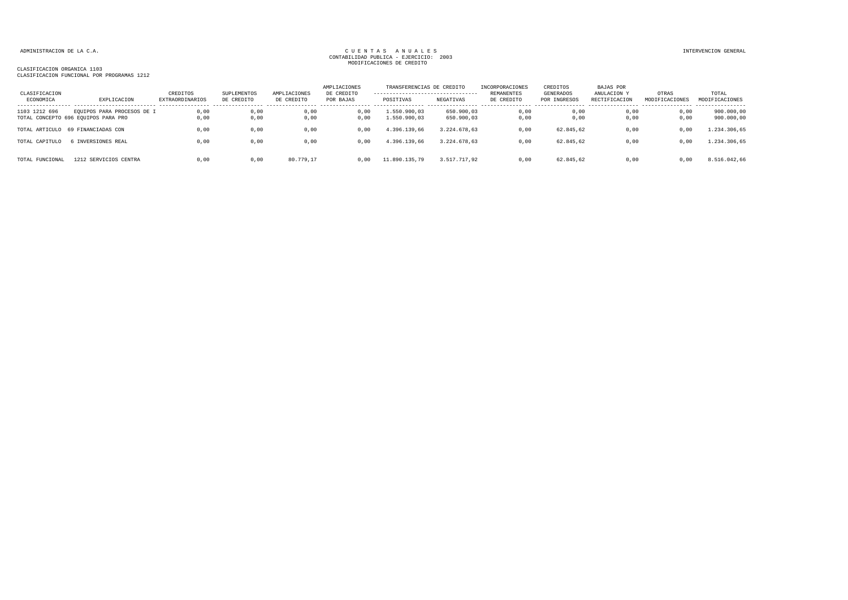| CLASIFICACION<br>ECONOMICA | EXPLICACION                                                       | CREDITOS<br>EXTRAORDINARIOS | SUPLEMENTOS<br>DE CREDITO | AMPLIACIONES<br>DE CREDITO | AMPLIACIONES<br>DE CREDITO<br>POR BAJAS | TRANSFERENCIAS DE CREDITO<br>---------------------------------<br>POSITIVAS | NEGATIVAS                | INCORPORACIONES<br>REMANENTES<br>DE CREDITO | CREDITOS<br>GENERADOS<br>POR INGRESOS | <b>BAJAS POR</b><br>ANULACION Y<br>RECTIFICACION | OTRAS<br>MODIFICACIONES | TOTAL<br>MODIFICACIONES  |
|----------------------------|-------------------------------------------------------------------|-----------------------------|---------------------------|----------------------------|-----------------------------------------|-----------------------------------------------------------------------------|--------------------------|---------------------------------------------|---------------------------------------|--------------------------------------------------|-------------------------|--------------------------|
| 1103 1212 696              | EQUIPOS PARA PROCESOS DE I<br>TOTAL CONCEPTO 696 EQUIPOS PARA PRO | 0,00<br>0.00                | 0,00<br>0,00              | 0,00<br>0,00               | 0.00<br>0,00                            | 1.550.900.03<br>1.550.900,03                                                | 650.900,03<br>650.900,03 | 0,00<br>0,00                                | 0.00<br>0,00                          | 0.00<br>0,00                                     | 0,00<br>0,00            | 900.000,00<br>900.000,00 |
|                            | TOTAL ARTICULO 69 FINANCIADAS CON                                 | 0.00                        | 0,00                      | 0,00                       | 0.00                                    | 4.396.139.66                                                                | 3.224.678.63             | 0,00                                        | 62.845,62                             | 0,00                                             | 0,00                    | 1.234.306,65             |
| TOTAL CAPITULO             | INVERSIONES REAL                                                  | 0,00                        | 0,00                      | 0,00                       | 0.00                                    | 4.396.139,66                                                                | 3.224.678.63             | 0,00                                        | 62.845,62                             | 0,00                                             | 0,00                    | 1.234.306,65             |
| TOTAL FUNCIONAL            | 1212 SERVICIOS CENTRA                                             | 0.00                        | 0,00                      | 80.779,17                  | 0.00                                    | 11.890.135,79                                                               | 3.517.717,92             | 0,00                                        | 62.845,62                             | 0,00                                             | 0,00                    | 8.516.042,66             |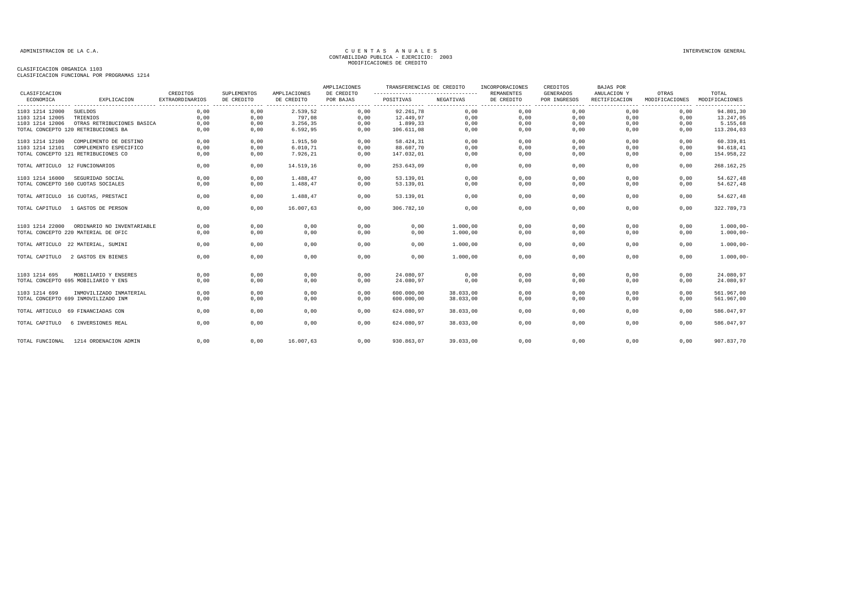|                                |                                     |                                    |                           |                            | AMPLIACIONES            | TRANSFERENCIAS DE CREDITO                      |           | INCORPORACIONES                 | CREDITOS                         | BAJAS POR                    |                            |                         |
|--------------------------------|-------------------------------------|------------------------------------|---------------------------|----------------------------|-------------------------|------------------------------------------------|-----------|---------------------------------|----------------------------------|------------------------------|----------------------------|-------------------------|
| CLASIFICACION<br>ECONOMICA     | EXPLICACION                         | CREDITOS<br><b>EXTRAORDINARIOS</b> | SUPLEMENTOS<br>DE CREDITO | AMPLIACIONES<br>DE CREDITO | DE CREDITO<br>POR BAJAS | ---------------------------------<br>POSITIVAS | NEGATIVAS | <b>REMANENTES</b><br>DE CREDITO | <b>GENERADOS</b><br>POR INGRESOS | ANULACION Y<br>RECTIFICACION | OTRAS<br>MODIFICACIONES    | TOTAL<br>MODIFICACIONES |
|                                |                                     |                                    |                           | .                          |                         |                                                |           |                                 | ------- -----------------        |                              | -------- --------<br>----- | --------                |
| 1103 1214 12000                | <b>SUELDOS</b>                      | 0,00                               | 0,00                      | 2.539,52                   | 0,00                    | 92.261.78                                      | 0,00      | 0,00                            | 0,00                             | 0,00                         | 0,00                       | 94.801,30               |
| 1103 1214 12005                | TRIENIOS                            | 0.00                               | 0,00                      | 797,08                     | 0,00                    | 12.449,97                                      | 0,00      | 0,00                            | 0,00                             | 0,00                         | 0,00                       | 13.247,05               |
| 1103 1214 12006                | OTRAS RETRIBUCIONES BASICA          | 0,00                               | 0,00                      | 3.256,35                   | 0,00                    | 1.899,33                                       | 0,00      | 0,00                            | 0,00                             | 0,00                         | 0,00                       | 5.155,68                |
|                                | TOTAL CONCEPTO 120 RETRIBUCIONES BA | 0,00                               | 0,00                      | 6.592,95                   | 0,00                    | 106.611,08                                     | 0,00      | 0,00                            | 0,00                             | 0.00                         | 0,00                       | 113.204,03              |
| 1103 1214 12100                | COMPLEMENTO DE DESTINO              | 0,00                               | 0,00                      | 1.915,50                   | 0,00                    | 58.424,31                                      | 0,00      | 0,00                            | 0,00                             | 0,00                         | 0,00                       | 60.339,81               |
| 1103 1214 12101                | COMPLEMENTO ESPECIFICO              | 0,00                               | 0,00                      | 6.010, 71                  | 0,00                    | 88.607,70                                      | 0,00      | 0,00                            | 0,00                             | 0,00                         | 0,00                       | 94.618,41               |
|                                | TOTAL CONCEPTO 121 RETRIBUCIONES CO | 0,00                               | 0,00                      | 7.926,21                   | 0,00                    | 147.032,01                                     | 0,00      | 0,00                            | 0,00                             | 0,00                         | 0,00                       | 154.958,22              |
| TOTAL ARTICULO 12 FUNCIONARIOS |                                     | 0,00                               | 0,00                      | 14.519,16                  | 0,00                    | 253.643,09                                     | 0,00      | 0,00                            | 0,00                             | 0,00                         | 0,00                       | 268.162,25              |
|                                | 1103 1214 16000 SEGURIDAD SOCIAL    | 0.00                               | 0.00                      | 1.488.47                   | 0.00                    | 53.139,01                                      | 0.00      | 0.00                            | 0.00                             | 0,00                         | 0.00                       | 54.627,48               |
|                                | TOTAL CONCEPTO 160 CUOTAS SOCIALES  | 0,00                               | 0,00                      | 1.488.47                   | 0,00                    | 53.139,01                                      | 0,00      | 0,00                            | 0,00                             | 0,00                         | 0,00                       | 54.627,48               |
|                                | TOTAL ARTICULO 16 CUOTAS, PRESTACI  | 0,00                               | 0,00                      | 1.488,47                   | 0,00                    | 53.139,01                                      | 0,00      | 0,00                            | 0,00                             | 0,00                         | 0,00                       | 54.627,48               |
| TOTAL CAPITULO                 | 1 GASTOS DE PERSON                  | 0,00                               | 0,00                      | 16.007,63                  | 0,00                    | 306.782,10                                     | 0,00      | 0,00                            | 0,00                             | 0,00                         | 0,00                       | 322.789,73              |
| 1103 1214 22000                | ORDINARIO NO INVENTARIABLE          | 0,00                               | 0,00                      | 0,00                       | 0,00                    | 0,00                                           | 1,000,00  | 0,00                            | 0,00                             | 0,00                         | 0.00                       | $1.000,00 -$            |
|                                | TOTAL CONCEPTO 220 MATERIAL DE OFIC | 0,00                               | 0,00                      | 0,00                       | 0,00                    | 0,00                                           | 1.000,00  | 0,00                            | 0,00                             | 0,00                         | 0,00                       | $1.000,00 -$            |
|                                | TOTAL ARTICULO 22 MATERIAL, SUMINI  | 0,00                               | 0,00                      | 0,00                       | 0,00                    | 0,00                                           | 1.000,00  | 0,00                            | 0,00                             | 0,00                         | 0,00                       | $1.000,00 -$            |
|                                | TOTAL CAPITULO 2 GASTOS EN BIENES   | 0,00                               | 0,00                      | 0,00                       | 0,00                    | 0,00                                           | 1.000,00  | 0,00                            | 0,00                             | 0,00                         | 0.00                       | $1.000,00 -$            |
| 1103 1214 695                  | MOBILIARIO Y ENSERES                | 0,00                               | 0,00                      | 0,00                       | 0,00                    | 24.080.97                                      | 0,00      | 0,00                            | 0,00                             | 0,00                         | 0,00                       | 24.080,97               |
|                                | TOTAL CONCEPTO 695 MOBILIARIO Y ENS | 0,00                               | 0,00                      | 0,00                       | 0,00                    | 24.080,97                                      | 0,00      | 0,00                            | 0,00                             | 0,00                         | 0,00                       | 24.080,97               |
| 1103 1214 699                  | INMOVILIZADO INMATERIAL             | 0,00                               | 0,00                      | 0,00                       | 0,00                    | 600,000,00                                     | 38.033,00 | 0,00                            | 0,00                             | 0,00                         | 0,00                       | 561.967,00              |
|                                | TOTAL CONCEPTO 699 INMOVILIZADO INM | 0,00                               | 0,00                      | 0,00                       | 0,00                    | 600.000,00                                     | 38.033,00 | 0,00                            | 0,00                             | 0,00                         | 0,00                       | 561.967,00              |
|                                | TOTAL ARTICULO 69 FINANCIADAS CON   | 0.00                               | 0.00                      | 0.00                       | 0,00                    | 624.080.97                                     | 38.033.00 | 0.00                            | 0,00                             | 0.00                         | 0.00                       | 586.047,97              |
| TOTAL CAPITULO                 | 6 INVERSIONES REAL                  | 0,00                               | 0,00                      | 0,00                       | 0,00                    | 624.080,97                                     | 38.033,00 | 0,00                            | 0,00                             | 0,00                         | 0,00                       | 586.047,97              |
| TOTAL FUNCIONAL                | 1214 ORDENACION ADMIN               | 0,00                               | 0,00                      | 16.007,63                  | 0,00                    | 930.863,07                                     | 39.033,00 | 0.00                            | 0,00                             | 0.00                         | 0,00                       | 907.837,70              |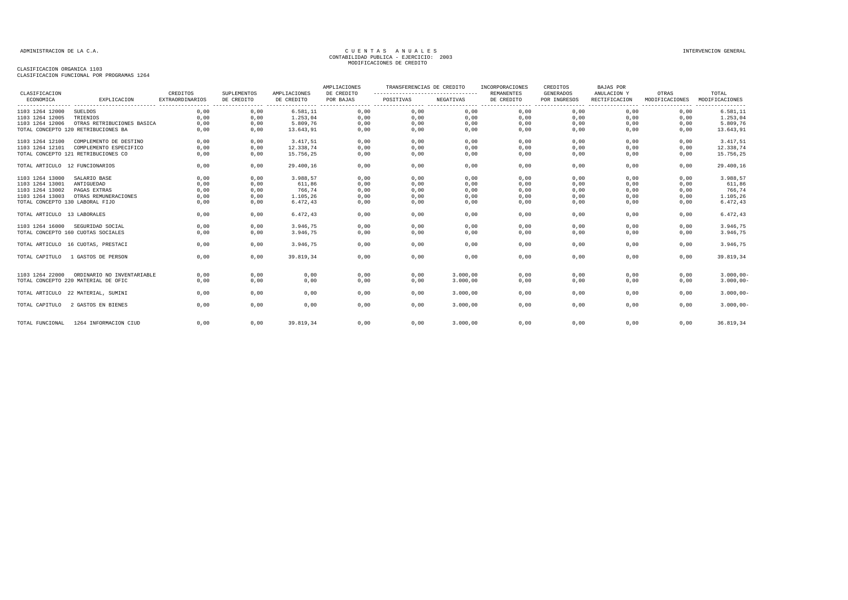| CLASIFICACION                   |                                     | CREDITOS               | SUPLEMENTOS | AMPLIACIONES | AMPLIACIONES<br>DE CREDITO | TRANSFERENCIAS DE CREDITO<br>--------------------------------- |           | INCORPORACIONES<br><b>REMANENTES</b> | CREDITOS<br><b>GENERADOS</b> | <b>BAJAS POR</b><br>ANULACION Y              | OTRAS          | TOTAL                         |
|---------------------------------|-------------------------------------|------------------------|-------------|--------------|----------------------------|----------------------------------------------------------------|-----------|--------------------------------------|------------------------------|----------------------------------------------|----------------|-------------------------------|
| ECONOMICA                       | EXPLICACION                         | <b>EXTRAORDINARIOS</b> | DE CREDITO  | DE CREDITO   | POR BAJAS                  | POSITIVAS                                                      | NEGATIVAS | DE CREDITO                           | POR INGRESOS                 | RECTIFICACION                                | MODIFICACIONES | MODIFICACIONES                |
| 1103 1264 12000                 | <b>SUELDOS</b>                      | 0.00                   | 0,00        | 6.581, 11    | 0,00                       | 0,00                                                           | 0,00      | 0,00                                 | . <b>.</b> .<br>0,00         | ------------------------------------<br>0,00 | 0,00           | ----------------<br>6.581, 11 |
| 1103 1264 12005                 | TRIENIOS                            | 0,00                   | 0,00        | 1.253,04     | 0,00                       | 0,00                                                           | 0,00      | 0,00                                 | 0,00                         | 0,00                                         | 0,00           | 1.253,04                      |
| 1103 1264 12006                 | OTRAS RETRIBUCIONES BASICA          | 0,00                   | 0,00        | 5.809,76     | 0,00                       | 0,00                                                           | 0,00      | 0,00                                 | 0,00                         | 0,00                                         | 0,00           | 5.809,76                      |
|                                 | TOTAL CONCEPTO 120 RETRIBUCIONES BA | 0,00                   | 0,00        | 13.643,91    | 0,00                       | 0,00                                                           | 0,00      | 0,00                                 | 0,00                         | 0,00                                         | 0,00           | 13.643,91                     |
| 1103 1264 12100                 | COMPLEMENTO DE DESTINO              | 0,00                   | 0,00        | 3.417,51     | 0,00                       | 0,00                                                           | 0,00      | 0,00                                 | 0,00                         | 0,00                                         | 0,00           | 3.417,51                      |
| 1103 1264 12101                 | COMPLEMENTO ESPECIFICO              | 0,00                   | 0,00        | 12.338,74    | 0,00                       | 0,00                                                           | 0,00      | 0,00                                 | 0,00                         | 0,00                                         | 0,00           | 12.338,74                     |
|                                 | TOTAL CONCEPTO 121 RETRIBUCIONES CO | 0,00                   | 0,00        | 15.756,25    | 0,00                       | 0,00                                                           | 0,00      | 0,00                                 | 0,00                         | 0,00                                         | 0,00           | 15.756,25                     |
| TOTAL ARTICULO 12 FUNCIONARIOS  |                                     | 0.00                   | 0,00        | 29.400.16    | 0,00                       | 0,00                                                           | 0,00      | 0.00                                 | 0,00                         | 0.00                                         | 0.00           | 29.400,16                     |
| 1103 1264 13000                 | SALARIO BASE                        | 0,00                   | 0,00        | 3.988,57     | 0,00                       | 0,00                                                           | 0,00      | 0,00                                 | 0,00                         | 0,00                                         | 0,00           | 3.988,57                      |
| 1103 1264 13001                 | ANTIGUEDAD                          | 0,00                   | 0,00        | 611,86       | 0,00                       | 0,00                                                           | 0,00      | 0,00                                 | 0,00                         | 0,00                                         | 0,00           | 611,86                        |
| 1103 1264 13002                 | PAGAS EXTRAS                        | 0,00                   | 0.00        | 766.74       | 0,00                       | 0,00                                                           | 0,00      | 0,00                                 | 0.00                         | 0,00                                         | 0.00           | 766,74                        |
| 1103 1264 13003                 | OTRAS REMUNERACIONES                | 0,00                   | 0,00        | 1.105,26     | 0,00                       | 0,00                                                           | 0,00      | 0,00                                 | 0,00                         | 0,00                                         | 0,00           | 1.105,26                      |
| TOTAL CONCEPTO 130 LABORAL FIJO |                                     | 0,00                   | 0,00        | 6.472,43     | 0,00                       | 0,00                                                           | 0,00      | 0,00                                 | 0,00                         | 0,00                                         | 0,00           | 6.472,43                      |
| TOTAL ARTICULO 13 LABORALES     |                                     | 0,00                   | 0,00        | 6.472,43     | 0,00                       | 0,00                                                           | 0,00      | 0,00                                 | 0,00                         | 0,00                                         | 0,00           | 6.472,43                      |
| 1103 1264 16000                 | SEGURIDAD SOCIAL                    | 0,00                   | 0,00        | 3.946,75     | 0,00                       | 0,00                                                           | 0,00      | 0,00                                 | 0,00                         | 0,00                                         | 0,00           | 3.946,75                      |
|                                 | TOTAL CONCEPTO 160 CUOTAS SOCIALES  | 0,00                   | 0,00        | 3.946,75     | 0,00                       | 0,00                                                           | 0,00      | 0,00                                 | 0,00                         | 0,00                                         | 0,00           | 3.946,75                      |
|                                 | TOTAL ARTICULO 16 CUOTAS, PRESTACI  | 0.00                   | 0.00        | 3.946.75     | 0,00                       | 0,00                                                           | 0,00      | 0,00                                 | 0,00                         | 0.00                                         | 0.00           | 3.946,75                      |
| TOTAL CAPITULO                  | 1 GASTOS DE PERSON                  | 0.00                   | 0,00        | 39.819.34    | 0,00                       | 0,00                                                           | 0,00      | 0,00                                 | 0,00                         | 0.00                                         | 0,00           | 39.819,34                     |
| 1103 1264 22000                 | ORDINARIO NO INVENTARIABLE          | 0,00                   | 0,00        | 0,00         | 0,00                       | 0,00                                                           | 3.000,00  | 0,00                                 | 0,00                         | 0,00                                         | 0,00           | $3.000,00 -$                  |
|                                 | TOTAL CONCEPTO 220 MATERIAL DE OFIC | 0,00                   | 0,00        | 0,00         | 0,00                       | 0,00                                                           | 3.000,00  | 0,00                                 | 0,00                         | 0,00                                         | 0,00           | $3.000,00 -$                  |
|                                 | TOTAL ARTICULO 22 MATERIAL, SUMINI  | 0,00                   | 0,00        | 0,00         | 0,00                       | 0,00                                                           | 3.000,00  | 0,00                                 | 0,00                         | 0,00                                         | 0,00           | $3.000,00 -$                  |
| TOTAL CAPITULO                  | 2 GASTOS EN BIENES                  | 0.00                   | 0,00        | 0,00         | 0,00                       | 0,00                                                           | 3,000,00  | 0,00                                 | 0,00                         | 0.00                                         | 0.00           | $3.000,00 -$                  |
| TOTAL FUNCIONAL                 | 1264 INFORMACION CIUD               | 0,00                   | 0,00        | 39.819,34    | 0,00                       | 0,00                                                           | 3.000,00  | 0,00                                 | 0,00                         | 0,00                                         | 0,00           | 36.819,34                     |
|                                 |                                     |                        |             |              |                            |                                                                |           |                                      |                              |                                              |                |                               |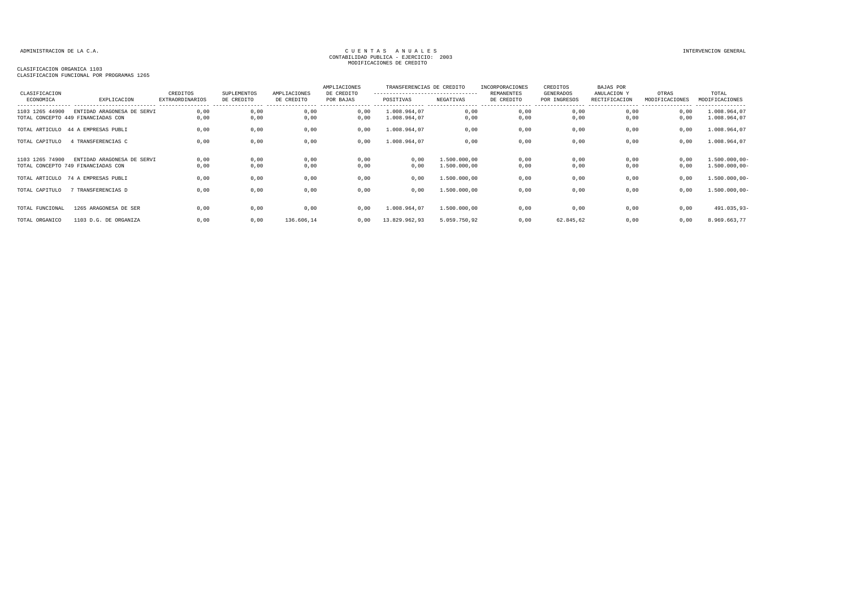| CLASIFICACION   |                                                                  | CREDITOS        | <b>SUPLEMENTOS</b> | AMPLIACIONES | AMPLIACIONES<br>DE CREDITO | TRANSFERENCIAS DE CREDITO<br>---------------------------------- |                              | INCORPORACIONES<br><b>REMANENTES</b> | CREDITOS<br>GENERADOS | BAJAS POR<br>ANULACION Y | OTRAS          | TOTAL                              |
|-----------------|------------------------------------------------------------------|-----------------|--------------------|--------------|----------------------------|-----------------------------------------------------------------|------------------------------|--------------------------------------|-----------------------|--------------------------|----------------|------------------------------------|
| ECONOMICA       | EXPLICACION                                                      | EXTRAORDINARIOS | DE CREDITO         | DE CREDITO   | POR BAJAS                  | POSITIVAS                                                       | NEGATIVAS                    | DE CREDITO                           | POR INGRESOS          | RECTIFICACION            | MODIFICACIONES | MODIFICACIONES<br>---------------- |
| 1103 1265 44900 | ENTIDAD ARAGONESA DE SERVI<br>TOTAL CONCEPTO 449 FINANCIADAS CON | 0,00<br>0,00    | 0,00<br>0,00       | 0,00<br>0,00 | 0,00<br>0,00               | 1.008.964,07<br>1.008.964,07                                    | 0,00<br>0,00                 | 0,00<br>0,00                         | 0,00<br>0,00          | 0,00<br>0,00             | 0,00<br>0,00   | 1.008.964,07<br>1.008.964,07       |
|                 | TOTAL ARTICULO 44 A EMPRESAS PUBLI                               | 0,00            | 0,00               | 0,00         | 0,00                       | 1.008.964,07                                                    | 0,00                         | 0,00                                 | 0,00                  | 0,00                     | 0,00           | 1.008.964,07                       |
| TOTAL CAPITULO  | 4 TRANSFERENCIAS C                                               | 0.00            | 0,00               | 0,00         | 0,00                       | 1.008.964,07                                                    | 0,00                         | 0,00                                 | 0,00                  | 0,00                     | 0,00           | 1.008.964,07                       |
| 1103 1265 74900 | ENTIDAD ARAGONESA DE SERVI<br>TOTAL CONCEPTO 749 FINANCIADAS CON | 0,00<br>0,00    | 0,00<br>0,00       | 0,00<br>0,00 | 0,00<br>0,00               | 0,00<br>0,00                                                    | 1.500.000,00<br>1.500.000,00 | 0,00<br>0,00                         | 0,00<br>0,00          | 0,00<br>0,00             | 0,00<br>0,00   | $1.500.000,00-$<br>$1.500.000,00-$ |
|                 | TOTAL ARTICULO 74 A EMPRESAS PUBLI                               | 0,00            | 0,00               | 0,00         | 0,00                       | 0,00                                                            | 1.500.000,00                 | 0,00                                 | 0,00                  | 0,00                     | 0,00           | $1.500.000,00-$                    |
| TOTAL CAPITULO  | 7 TRANSFERENCIAS D                                               | 0.00            | 0,00               | 0,00         | 0,00                       | 0.00                                                            | 1,500,000,00                 | 0,00                                 | 0,00                  | 0,00                     | 0.00           | 1.500.000,00-                      |
| TOTAL FUNCIONAL | 1265 ARAGONESA DE SER                                            | 0.00            | 0,00               | 0,00         | 0,00                       | 1.008.964,07                                                    | 1.500.000,00                 | 0,00                                 | 0,00                  | 0,00                     | 0,00           | 491.035,93-                        |
| TOTAL ORGANICO  | 1103 D.G. DE ORGANIZA                                            | 0,00            | 0,00               | 136.606,14   | 0,00                       | 13.829.962,93                                                   | 5.059.750,92                 | 0,00                                 | 62.845,62             | 0,00                     | 0,00           | 8.969.663,77                       |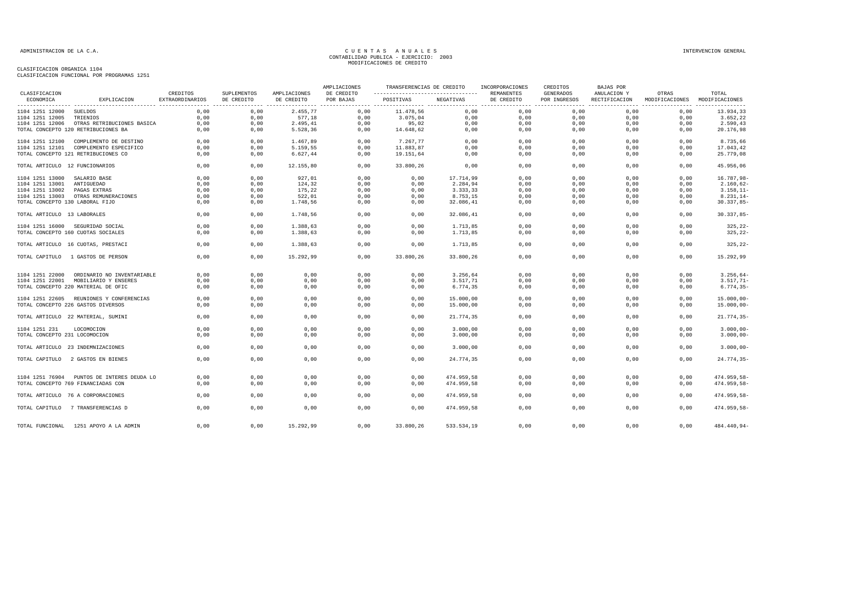| CLASIFICACION                   |                                            |                             |                           |                            | AMPLIACIONES            | TRANSFERENCIAS DE CREDITO                       |            | INCORPORACIONES<br>REMANENTES | CREDITOS                         | <b>BAJAS POR</b>             | OTRAS          | TOTAL          |
|---------------------------------|--------------------------------------------|-----------------------------|---------------------------|----------------------------|-------------------------|-------------------------------------------------|------------|-------------------------------|----------------------------------|------------------------------|----------------|----------------|
| ECONOMICA                       | EXPLICACION                                | CREDITOS<br>EXTRAORDINARIOS | SUPLEMENTOS<br>DE CREDITO | AMPLIACIONES<br>DE CREDITO | DE CREDITO<br>POR BAJAS | ----------------------------------<br>POSITIVAS | NEGATIVAS  | DE CREDITO                    | <b>GENERADOS</b><br>POR INGRESOS | ANULACION Y<br>RECTIFICACION | MODIFICACIONES | MODIFICACIONES |
| 1104 1251 12000                 | SUELDOS                                    | 0,00                        | 0,00                      | 2.455,77                   | 0,00                    | 11.478,56                                       | 0,00       | 0,00                          | 0,00                             | 0,00                         | 0,00           | 13.934,33      |
| 1104 1251 12005                 | TRIENIOS                                   | 0,00                        | 0,00                      | 577,18                     | 0,00                    | 3.075,04                                        | 0,00       | 0,00                          | 0,00                             | 0,00                         | 0,00           | 3.652,22       |
| 1104 1251 12006                 | OTRAS RETRIBUCIONES BASICA                 | 0,00                        | 0,00                      | 2.495,41                   | 0,00                    | 95,02                                           | 0,00       | 0,00                          | 0,00                             | 0,00                         | 0,00           | 2.590,43       |
|                                 | TOTAL CONCEPTO 120 RETRIBUCIONES BA        | 0.00                        | 0,00                      | 5.528,36                   | 0,00                    | 14.648,62                                       | 0,00       | 0,00                          | 0,00                             | 0,00                         | 0,00           | 20.176,98      |
|                                 | 1104 1251 12100 COMPLEMENTO DE DESTINO     | 0,00                        | 0,00                      | 1.467,89                   | 0,00                    | 7.267,77                                        | 0,00       | 0,00                          | 0,00                             | 0,00                         | 0,00           | 8.735,66       |
| 1104 1251 12101                 | COMPLEMENTO ESPECIFICO                     | 0,00                        | 0,00                      | 5.159,55                   | 0,00                    | 11.883,87                                       | 0,00       | 0,00                          | 0,00                             | 0,00                         | 0,00           | 17.043,42      |
|                                 | TOTAL CONCEPTO 121 RETRIBUCIONES CO        | 0,00                        | 0,00                      | 6.627,44                   | 0,00                    | 19.151,64                                       | 0,00       | 0,00                          | 0,00                             | 0,00                         | 0,00           | 25.779,08      |
|                                 |                                            |                             |                           |                            |                         |                                                 |            |                               |                                  |                              |                |                |
| TOTAL ARTICULO 12 FUNCIONARIOS  |                                            | 0,00                        | 0,00                      | 12.155,80                  | 0,00                    | 33.800,26                                       | 0,00       | 0,00                          | 0,00                             | 0,00                         | 0,00           | 45.956,06      |
| 1104 1251 13000                 | SALARIO BASE                               | 0,00                        | 0,00                      | 927,01                     | 0,00                    | 0,00                                            | 17.714,99  | 0,00                          | 0,00                             | 0,00                         | 0,00           | 16.787,98-     |
| 1104 1251 13001                 | ANTIGUEDAD                                 | 0,00                        | 0,00                      | 124,32                     | 0,00                    | 0,00                                            | 2.284,94   | 0,00                          | 0,00                             | 0,00                         | 0,00           | $2.160, 62 -$  |
| 1104 1251 13002                 | PAGAS EXTRAS                               | 0,00                        | 0,00                      | 175,22                     | 0,00                    | 0,00                                            | 3.333,33   | 0,00                          | 0,00                             | 0,00                         | 0,00           | $3.158, 11-$   |
| 1104 1251 13003                 | OTRAS REMUNERACIONES                       | 0,00                        | 0,00                      | 522,01                     | 0,00                    | 0,00                                            | 8.753,15   | 0,00                          | 0,00                             | 0,00                         | 0,00           | $8.231, 14-$   |
| TOTAL CONCEPTO 130 LABORAL FIJO |                                            | 0,00                        | 0,00                      | 1.748,56                   | 0,00                    | 0,00                                            | 32.086,41  | 0,00                          | 0,00                             | 0,00                         | 0,00           | $30.337,85-$   |
| TOTAL ARTICULO 13 LABORALES     |                                            | 0,00                        | 0,00                      | 1.748,56                   | 0,00                    | 0,00                                            | 32.086,41  | 0,00                          | 0,00                             | 0,00                         | 0,00           | $30.337,85 -$  |
|                                 | 1104 1251 16000 SEGURIDAD SOCIAL           | 0,00                        | 0,00                      | 1.388,63                   | 0,00                    | 0,00                                            | 1.713,85   | 0,00                          | 0,00                             | 0,00                         | 0,00           | $325, 22-$     |
|                                 | TOTAL CONCEPTO 160 CUOTAS SOCIALES         | 0,00                        | 0,00                      | 1.388,63                   | 0,00                    | 0,00                                            | 1.713,85   | 0,00                          | 0,00                             | 0,00                         | 0,00           | $325, 22-$     |
|                                 |                                            |                             |                           |                            |                         |                                                 |            |                               |                                  |                              |                |                |
|                                 | TOTAL ARTICULO 16 CUOTAS, PRESTACI         | 0,00                        | 0,00                      | 1.388,63                   | 0.00                    | 0,00                                            | 1.713,85   | 0,00                          | 0,00                             | 0,00                         | 0,00           | $325, 22-$     |
|                                 | TOTAL CAPITULO 1 GASTOS DE PERSON          | 0.00                        | 0.00                      | 15.292,99                  | 0.00                    | 33.800,26                                       | 33.800,26  | 0,00                          | 0,00                             | 0.00                         | 0,00           | 15.292,99      |
| 1104 1251 22000                 | ORDINARIO NO INVENTARIABLE                 | 0,00                        | 0,00                      | 0,00                       | 0,00                    | 0,00                                            | 3.256,64   | 0,00                          | 0,00                             | 0,00                         | 0,00           | $3.256, 64-$   |
| 1104 1251 22001                 | MOBILIARIO Y ENSERES                       | 0.00                        | 0,00                      | 0,00                       | 0,00                    | 0,00                                            | 3.517,71   | 0,00                          | 0,00                             | 0,00                         | 0,00           | $3.517, 71-$   |
|                                 | TOTAL CONCEPTO 220 MATERIAL DE OFIC        | 0.00                        | 0,00                      | 0,00                       | 0.00                    | 0,00                                            | 6.774,35   | 0,00                          | 0.00                             | 0.00                         | 0.00           | $6.774, 35-$   |
|                                 |                                            |                             |                           |                            |                         |                                                 |            |                               |                                  |                              |                |                |
|                                 | 1104 1251 22605 REUNIONES Y CONFERENCIAS   | 0,00                        | 0,00                      | 0,00                       | 0,00                    | 0,00                                            | 15.000,00  | 0,00                          | 0,00                             | 0,00                         | 0,00           | $15.000,00 -$  |
|                                 | TOTAL CONCEPTO 226 GASTOS DIVERSOS         | 0,00                        | 0,00                      | 0,00                       | 0,00                    | 0,00                                            | 15.000,00  | 0,00                          | 0,00                             | 0,00                         | 0,00           | $15.000,00 -$  |
|                                 | TOTAL ARTICULO 22 MATERIAL, SUMINI         | 0,00                        | 0,00                      | 0,00                       | 0,00                    | 0,00                                            | 21.774,35  | 0,00                          | 0,00                             | 0,00                         | 0,00           | $21.774, 35 -$ |
| 1104 1251 231                   | LOCOMOCION                                 | 0,00                        | 0,00                      | 0,00                       | 0,00                    | 0,00                                            | 3.000,00   | 0,00                          | 0,00                             | 0,00                         | 0,00           | $3.000,00 -$   |
| TOTAL CONCEPTO 231 LOCOMOCION   |                                            | 0,00                        | 0,00                      | 0,00                       | 0,00                    | 0,00                                            | 3.000,00   | 0,00                          | 0,00                             | 0,00                         | 0,00           | $3.000,00 -$   |
|                                 |                                            |                             |                           |                            |                         |                                                 |            |                               |                                  |                              |                |                |
|                                 | TOTAL ARTICULO 23 INDEMNIZACIONES          | 0,00                        | 0,00                      | 0,00                       | 0,00                    | 0,00                                            | 3.000,00   | 0,00                          | 0,00                             | 0,00                         | 0,00           | $3.000,00 -$   |
|                                 | TOTAL CAPITULO 2 GASTOS EN BIENES          | 0,00                        | 0,00                      | 0,00                       | 0,00                    | 0,00                                            | 24.774,35  | 0,00                          | 0,00                             | 0,00                         | 0,00           | $24.774, 35 -$ |
|                                 | 1104 1251 76904 PUNTOS DE INTERES DEUDA LO | 0,00                        | 0,00                      | 0,00                       | 0,00                    | 0,00                                            | 474.959,58 | 0,00                          | 0,00                             | 0,00                         | 0,00           | 474.959,58-    |
|                                 |                                            |                             |                           |                            |                         |                                                 |            |                               |                                  |                              |                |                |
|                                 | TOTAL CONCEPTO 769 FINANCIADAS CON         | 0,00                        | 0,00                      | 0,00                       | 0,00                    | 0,00                                            | 474.959,58 | 0,00                          | 0,00                             | 0,00                         | 0,00           | 474.959,58-    |
|                                 | TOTAL ARTICULO 76 A CORPORACIONES          | 0,00                        | 0,00                      | 0,00                       | 0,00                    | 0,00                                            | 474.959,58 | 0,00                          | 0,00                             | 0,00                         | 0,00           | 474.959,58-    |
|                                 | TOTAL CAPITULO 7 TRANSFERENCIAS D          | 0,00                        | 0,00                      | 0,00                       | 0,00                    | 0,00                                            | 474.959,58 | 0,00                          | 0,00                             | 0,00                         | 0,00           | 474.959,58-    |
|                                 | TOTAL FUNCIONAL 1251 APOYO A LA ADMIN      | 0,00                        | 0,00                      | 15.292,99                  | 0,00                    | 33.800,26                                       | 533.534,19 | 0.00                          | 0,00                             | 0,00                         | 0,00           | 484.440,94-    |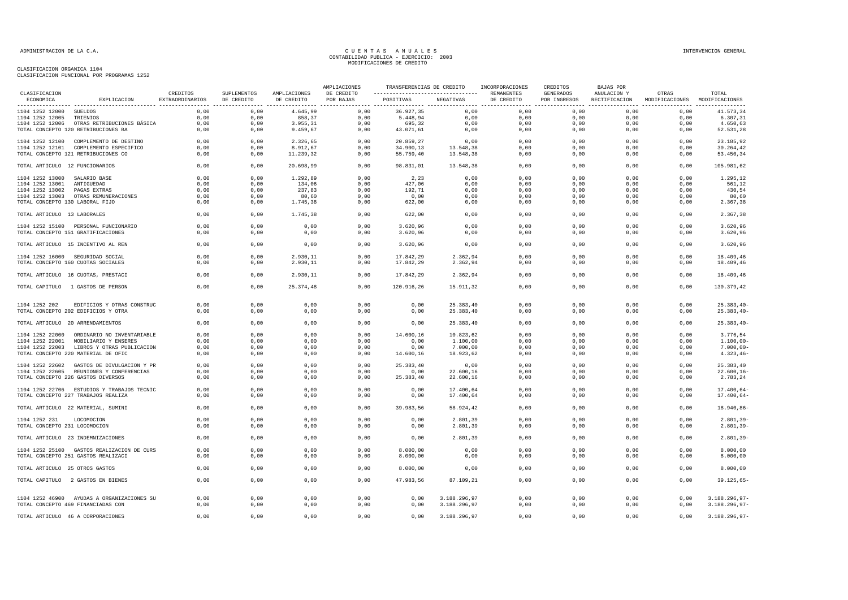|                                                |                                                                                  |                             |                           |                            | AMPLIACIONES            | TRANSFERENCIAS DE CREDITO |                              | INCORPORACIONES          | CREDITOS                         | BAJAS POR                    |                                        |                                |
|------------------------------------------------|----------------------------------------------------------------------------------|-----------------------------|---------------------------|----------------------------|-------------------------|---------------------------|------------------------------|--------------------------|----------------------------------|------------------------------|----------------------------------------|--------------------------------|
| CLASIFICACION<br>ECONOMICA                     | EXPLICACION                                                                      | CREDITOS<br>EXTRAORDINARIOS | SUPLEMENTOS<br>DE CREDITO | AMPLIACIONES<br>DE CREDITO | DE CREDITO<br>POR BAJAS | POSITIVAS                 | NEGATIVAS                    | REMANENTES<br>DE CREDITO | <b>GENERADOS</b><br>POR INGRESOS | ANULACION Y<br>RECTIFICACION | OTRAS<br>MODIFICACIONES MODIFICACIONES | TOTAL                          |
| 1104 1252 12000 SUELDOS                        |                                                                                  | 0,00                        | 0,00                      | 4.645,99                   | 0,00                    | 36.927,35                 | 0,00                         | 0,00                     | 0,00                             | 0,00                         | 0,00                                   | 41.573,34                      |
| 1104 1252 12005                                | TRIENIOS                                                                         | 0,00                        | 0,00                      | 858,37                     | 0,00                    | 5.448,94                  | 0,00                         | 0,00                     | 0,00                             | 0,00                         | 0,00                                   | 6.307,31                       |
|                                                | 1104 1252 12006 OTRAS RETRIBUCIONES BÁSICA                                       | 0,00                        | 0,00                      | 3.955,31                   | 0,00                    | 695,32                    | 0,00                         | 0,00                     | 0,00                             | 0,00                         | 0,00                                   | 4.650,63                       |
|                                                | TOTAL CONCEPTO 120 RETRIBUCIONES BA                                              | 0,00                        | 0,00                      | 9.459,67                   | 0,00                    | 43.071,61                 | 0,00                         | 0,00                     | 0,00                             | 0,00                         | 0,00                                   | 52.531,28                      |
|                                                | 1104 1252 12100 COMPLEMENTO DE DESTINO                                           | 0,00                        | 0,00                      | 2.326,65                   | 0,00                    | 20.859,27                 | 0,00                         | 0,00                     | 0,00                             | 0,00                         | 0,00                                   | 23.185,92                      |
|                                                | 1104 1252 12101 COMPLEMENTO ESPECIFICO                                           | 0,00                        | 0,00                      | 8.912,67                   | 0,00                    | 34.900,13                 | 13.548,38                    | 0,00                     | 0,00                             | 0,00                         | 0,00                                   | 30.264,42                      |
|                                                | TOTAL CONCEPTO 121 RETRIBUCIONES CO                                              | 0,00                        | 0,00                      | 11.239,32                  | 0,00                    | 55.759,40                 | 13.548,38                    | 0,00                     | 0,00                             | 0,00                         | 0,00                                   | 53.450,34                      |
| TOTAL ARTICULO 12 FUNCIONARIOS                 |                                                                                  | 0,00                        | 0,00                      | 20.698,99                  | 0,00                    | 98.831,01                 | 13.548,38                    | 0,00                     | 0,00                             | 0,00                         | 0,00                                   | 105.981,62                     |
| 1104 1252 13000                                | SALARIO BASE                                                                     | 0,00                        | 0,00                      | 1.292,89                   | 0,00                    | 2,23                      | 0,00                         | 0,00                     | 0,00                             | 0,00                         | 0,00                                   | 1.295,12                       |
| 1104 1252 13001                                | ANTIGUEDAD                                                                       | 0,00                        | 0,00                      | 134,06                     | 0,00                    | 427,06                    | 0,00                         | 0,00                     | 0,00                             | 0,00                         | 0,00                                   | 561,12                         |
| 1104 1252 13002                                | PAGAS EXTRAS                                                                     | 0,00                        | 0,00                      | 237,83                     | 0,00                    | 192,71                    | 0,00                         | 0,00                     | 0,00                             | 0,00                         | 0,00                                   | 430,54                         |
|                                                | 1104 1252 13003 OTRAS REMUNERACIONES                                             | 0,00                        | 0,00                      | 80,60                      | 0,00                    | 0,00                      | 0,00                         | 0,00                     | 0,00                             | 0.00                         | 0,00                                   | 80,60                          |
| TOTAL CONCEPTO 130 LABORAL FIJO                |                                                                                  | 0,00                        | 0,00                      | 1.745,38                   | 0,00                    | 622,00                    | 0,00                         | 0,00                     | 0,00                             | 0,00                         | 0,00                                   | 2.367,38                       |
| TOTAL ARTICULO 13 LABORALES                    |                                                                                  | 0,00                        | 0,00                      | 1.745,38                   | 0,00                    | 622,00                    | 0,00                         | 0,00                     | 0,00                             | 0,00                         | 0,00                                   | 2.367,38                       |
|                                                | 1104 1252 15100 PERSONAL FUNCIONARIO                                             | 0,00                        | 0,00                      | 0,00                       | 0,00                    | 3.620,96                  | 0,00                         | 0,00                     | 0,00                             | 0,00                         | 0,00                                   | 3.620,96                       |
|                                                | TOTAL CONCEPTO 151 GRATIFICACIONES                                               | 0,00                        | 0,00                      | 0,00                       | 0,00                    | 3.620, 96                 | 0,00                         | 0,00                     | 0,00                             | 0,00                         | 0,00                                   | 3.620,96                       |
|                                                | TOTAL ARTICULO 15 INCENTIVO AL REN                                               | 0,00                        | 0,00                      | 0,00                       | 0,00                    | 3.620, 96                 | 0,00                         | 0,00                     | 0,00                             | 0,00                         | 0,00                                   | 3.620,96                       |
|                                                | 1104 1252 16000 SEGURIDAD SOCIAL                                                 | 0,00                        | 0,00                      | 2.930,11                   | 0,00                    | 17.842,29                 | 2.362,94                     | 0,00                     | 0,00                             | 0,00                         | 0,00                                   | 18.409,46                      |
|                                                | TOTAL CONCEPTO 160 CUOTAS SOCIALES                                               | 0,00                        | 0,00                      | 2.930,11                   | 0,00                    | 17.842,29                 | 2.362,94                     | 0,00                     | 0,00                             | 0,00                         | 0,00                                   | 18.409,46                      |
|                                                | TOTAL ARTICULO 16 CUOTAS, PRESTACI                                               | 0,00                        | 0,00                      | 2.930,11                   | 0,00                    | 17.842,29                 | 2.362,94                     | 0,00                     | 0.00                             | 0,00                         | 0,00                                   | 18,409,46                      |
|                                                | TOTAL CAPITULO 1 GASTOS DE PERSON                                                | 0,00                        | 0,00                      | 25.374,48                  | 0,00                    | 120.916,26                | 15.911,32                    | 0,00                     | 0,00                             | 0,00                         | 0,00                                   | 130.379,42                     |
|                                                |                                                                                  | 0.00                        |                           |                            |                         |                           |                              |                          |                                  |                              | 0,00                                   |                                |
| 1104 1252 202                                  | EDIFICIOS Y OTRAS CONSTRUC                                                       |                             | 0,00                      | 0,00                       | 0,00                    | 0,00                      | 25.383,40                    | 0,00                     | 0,00                             | 0,00                         |                                        | $25.383, 40 -$                 |
|                                                | TOTAL CONCEPTO 202 EDIFICIOS Y OTRA                                              | 0,00                        | 0,00                      | 0,00                       | 0,00                    | 0,00                      | 25.383,40                    | 0,00                     | 0,00                             | 0,00                         | 0,00                                   | $25.383, 40 -$                 |
|                                                | TOTAL ARTICULO 20 ARRENDAMIENTOS                                                 | 0,00                        | 0,00                      | 0,00                       | 0,00                    | 0,00                      | 25.383,40                    | 0,00                     | 0,00                             | 0,00                         | 0,00                                   | $25.383, 40 -$                 |
|                                                | 1104 1252 22000 ORDINARIO NO INVENTARIABLE                                       | 0,00                        | 0,00                      | 0,00                       | 0,00                    | 14.600,16                 | 10.823,62                    | 0,00                     | 0,00                             | 0,00                         | 0,00                                   | 3.776,54                       |
|                                                | 1104 1252 22001 MOBILIARIO Y ENSERES                                             | 0.00                        | 0,00                      | 0,00                       | 0,00                    | 0.00                      | 1.100,00                     | 0,00                     | 0.00                             | 0.00                         | 0,00                                   | $1.100,00 -$                   |
|                                                | 1104 1252 22003 LIBROS Y OTRAS PUBLICACION                                       | 0,00                        | 0,00                      | 0,00                       | 0,00                    | 0,00                      | 7.000,00                     | 0,00                     | 0,00                             | 0,00                         | 0,00                                   | $7.000,00 -$                   |
|                                                | TOTAL CONCEPTO 220 MATERIAL DE OFIC                                              | 0,00                        | 0,00                      | 0,00                       | 0,00                    | 14.600,16                 | 18.923,62                    | 0,00                     | 0,00                             | 0,00                         | 0,00                                   | $4.323, 46-$                   |
|                                                | 1104 1252 22602 GASTOS DE DIVULGACION Y PR                                       | 0,00                        | 0,00                      | 0,00                       | 0,00                    | 25.383,40                 | 0,00                         | 0,00                     | 0,00                             | 0,00                         | 0,00                                   | 25.383,40                      |
|                                                | 1104 1252 22605 REUNIONES Y CONFERENCIAS                                         | 0,00                        | 0,00                      | 0,00                       | 0,00                    | 0,00                      | 22.600,16                    | 0,00                     | 0,00                             | 0,00                         | 0,00                                   | $22.600, 16 -$                 |
|                                                | TOTAL CONCEPTO 226 GASTOS DIVERSOS                                               | 0,00                        | 0,00                      | 0,00                       | 0,00                    | 25.383,40                 | 22.600,16                    | 0,00                     | 0,00                             | 0,00                         | 0,00                                   | 2.783,24                       |
|                                                | 1104 1252 22706 ESTUDIOS Y TRABAJOS TECNIC                                       | 0,00                        | 0,00                      | 0,00                       | 0,00                    | 0,00                      | 17.400,64                    | 0,00                     | 0,00                             | 0,00                         | 0,00                                   | $17.400,64-$                   |
|                                                | TOTAL CONCEPTO 227 TRABAJOS REALIZA                                              | 0,00                        | 0,00                      | 0,00                       | 0,00                    | 0,00                      | 17.400,64                    | 0,00                     | 0,00                             | 0,00                         | 0,00                                   | $17.400,64-$                   |
|                                                | TOTAL ARTICULO 22 MATERIAL, SUMINI                                               | 0,00                        | 0,00                      | 0,00                       | 0,00                    | 39.983,56                 | 58.924,42                    | 0,00                     | 0,00                             | 0,00                         | 0,00                                   | 18.940,86-                     |
|                                                |                                                                                  |                             |                           |                            |                         |                           |                              |                          |                                  |                              |                                        |                                |
| 1104 1252 231<br>TOTAL CONCEPTO 231 LOCOMOCION | LOCOMOCION                                                                       | 0.00<br>0,00                | 0.00<br>0,00              | 0.00<br>0,00               | 0,00<br>0,00            | 0.00<br>0,00              | 2.801,39<br>2.801,39         | 0.00<br>0,00             | 0,00<br>0,00                     | 0.00<br>0,00                 | 0,00<br>0,00                           | $2.801.39 -$<br>$2.801, 39-$   |
|                                                |                                                                                  |                             |                           |                            |                         |                           |                              |                          |                                  |                              |                                        |                                |
|                                                | TOTAL ARTICULO 23 INDEMNIZACIONES                                                | 0,00                        | 0,00                      | 0,00                       | 0,00                    | 0,00                      | 2.801,39                     | 0,00                     | 0,00                             | 0,00                         | 0,00                                   | $2.801, 39 -$                  |
|                                                | 1104 1252 25100 GASTOS REALIZACION DE CURS                                       | 0.00                        | 0,00                      | 0,00                       | 0,00                    | 8.000,00                  | 0,00                         | 0,00                     | 0,00                             | 0.00                         | 0.00                                   | 8.000,00                       |
|                                                | TOTAL CONCEPTO 251 GASTOS REALIZACI                                              | 0,00                        | 0,00                      | 0,00                       | 0,00                    | 8.000,00                  | 0,00                         | 0,00                     | 0,00                             | 0,00                         | 0,00                                   | 8.000,00                       |
| TOTAL ARTICULO 25 OTROS GASTOS                 |                                                                                  | 0,00                        | 0,00                      | 0,00                       | 0,00                    | 8.000,00                  | 0,00                         | 0,00                     | 0,00                             | 0,00                         | 0,00                                   | 8.000,00                       |
|                                                | TOTAL CAPITULO 2 GASTOS EN BIENES                                                | 0,00                        | 0,00                      | 0,00                       | 0,00                    | 47.983,56                 | 87.109,21                    | 0,00                     | 0,00                             | 0,00                         | 0,00                                   | $39.125,65-$                   |
|                                                |                                                                                  |                             |                           |                            |                         |                           |                              |                          |                                  |                              |                                        |                                |
|                                                | 1104 1252 46900 AYUDAS A ORGANIZACIONES SU<br>TOTAL CONCEPTO 469 FINANCIADAS CON | 0,00<br>0,00                | 0,00<br>0,00              | 0,00<br>0,00               | 0,00<br>0,00            | 0,00<br>0,00              | 3.188.296,97<br>3.188.296,97 | 0,00<br>0,00             | 0,00<br>0,00                     | 0,00<br>0,00                 | 0,00<br>0,00                           | 3.188.296,97-<br>3.188.296,97- |
|                                                | TOTAL ARTICULO 46 A CORPORACIONES                                                | 0,00                        | 0,00                      | 0,00                       | 0,00                    | 0,00                      | 3.188.296,97                 | 0.00                     | 0,00                             | 0,00                         | 0,00                                   | 3.188.296,97-                  |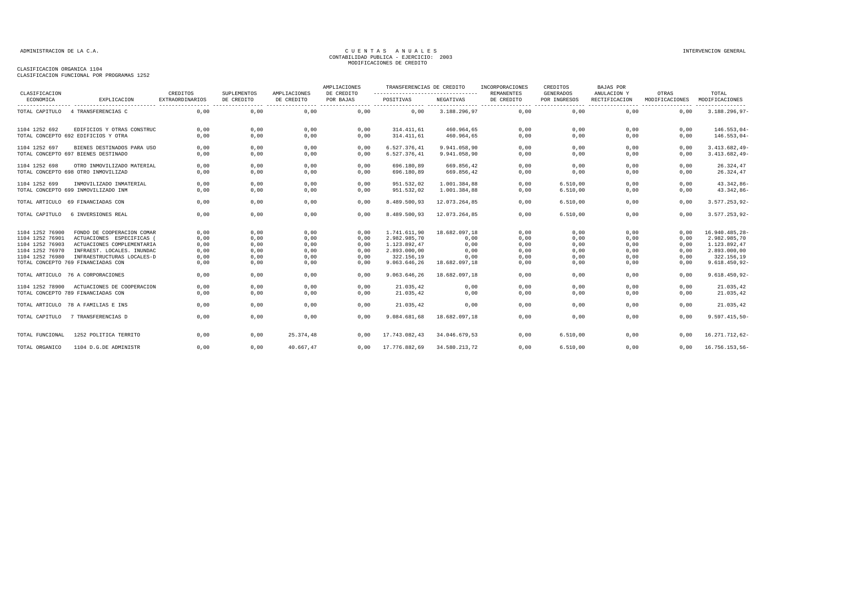| CLASIFICACION                      |                                                          | CREDITOS               | SUPLEMENTOS  | AMPLIACIONES | AMPLIACIONES<br>DE CREDITO | TRANSFERENCIAS DE CREDITO<br>---------------------------------- |               | INCORPORACIONES<br><b>REMANENTES</b> | CREDITOS<br><b>GENERADOS</b> | <b>BAJAS POR</b><br>ANULACION Y | OTRAS                    | TOTAL                        |
|------------------------------------|----------------------------------------------------------|------------------------|--------------|--------------|----------------------------|-----------------------------------------------------------------|---------------|--------------------------------------|------------------------------|---------------------------------|--------------------------|------------------------------|
| ECONOMICA                          | EXPLICACION                                              | <b>EXTRAORDINARIOS</b> | DE CREDITO   | DE CREDITO   | POR BAJAS                  | POSITIVAS                                                       | NEGATIVAS     | DE CREDITO                           | POR INGRESOS                 | RECTIFICACION                   | MODIFICACIONES<br>------ | MODIFICACIONES<br>.          |
| TOTAL CAPITULO                     | 4 TRANSFERENCIAS C                                       | 0.00                   | 0,00         | 0,00         | 0,00                       | 0.00                                                            | 3.188.296,97  | 0,00                                 | 0.00                         | 0.00                            | 0.00                     | $3.188.296,97-$              |
| 1104 1252 692                      | EDIFICIOS Y OTRAS CONSTRUC                               | 0,00                   | 0,00         | 0,00         | 0,00                       | 314.411,61                                                      | 460.964,65    | 0,00                                 | 0,00                         | 0,00                            | 0,00                     | $146.553,04-$                |
|                                    | TOTAL CONCEPTO 692 EDIFICIOS Y OTRA                      | 0,00                   | 0,00         | 0,00         | 0,00                       | 314.411,61                                                      | 460.964,65    | 0,00                                 | 0,00                         | 0,00                            | 0,00                     | $146.553,04-$                |
| 1104 1252 697                      | BIENES DESTINADOS PARA USO                               | 0,00                   | 0,00         | 0,00         | 0,00                       | 6.527.376.41                                                    | 9.941.058.90  | 0,00                                 | 0,00                         | 0,00                            | 0,00                     | $3.413.682,49-$              |
|                                    | TOTAL CONCEPTO 697 BIENES DESTINADO                      | 0.00                   | 0,00         | 0,00         | 0,00                       | 6.527.376,41                                                    | 9.941.058,90  | 0,00                                 | 0,00                         | 0.00                            | 0,00                     | $3.413.682,49-$              |
| 1104 1252 698                      | OTRO INMOVILIZADO MATERIAL                               | 0,00                   | 0,00         | 0,00         | 0,00                       | 696.180.89                                                      | 669.856.42    | 0.00                                 | 0.00                         | 0,00                            | 0.00                     | 26.324,47                    |
|                                    | TOTAL CONCEPTO 698 OTRO INMOVILIZAD                      | 0.00                   | 0,00         | 0,00         | 0,00                       | 696.180,89                                                      | 669.856,42    | 0,00                                 | 0.00                         | 0.00                            | 0,00                     | 26.324,47                    |
| 1104 1252 699                      | INMOVILIZADO INMATERIAL                                  | 0,00                   | 0,00         | 0,00         | 0,00                       | 951.532,02                                                      | 1.001.384,88  | 0,00                                 | 6.510,00                     | 0,00                            | 0,00                     | $43.342,86-$                 |
|                                    | TOTAL CONCEPTO 699 INMOVILIZADO INM                      | 0,00                   | 0,00         | 0,00         | 0,00                       | 951.532,02                                                      | 1.001.384,88  | 0,00                                 | 6.510,00                     | 0,00                            | 0,00                     | 43.342,86-                   |
| TOTAL ARTICULO                     | 69 FINANCIADAS CON                                       | 0.00                   | 0.00         | 0,00         | 0,00                       | 8.489.500.93                                                    | 12.073.264.85 | 0.00                                 | 6.510,00                     | 0,00                            | 0.00                     | 3.577.253,92-                |
| TOTAL CAPITULO                     | 6 INVERSIONES REAL                                       | 0,00                   | 0,00         | 0,00         | 0,00                       | 8.489.500,93                                                    | 12.073.264,85 | 0,00                                 | 6.510,00                     | 0,00                            | 0,00                     | 3.577.253,92-                |
| 1104 1252 76900                    | FONDO DE COOPERACION COMAR                               | 0,00                   | 0,00         | 0,00         | 0,00                       | 1.741.611,90                                                    | 18.682.097,18 | 0,00                                 | 0,00                         | 0,00                            | 0,00                     | 16.940.485,28-               |
| 1104 1252 76901                    | ACTUACIONES ESPECIFICAS                                  | 0,00                   | 0,00         | 0,00         | 0,00                       | 2.982.985,70                                                    | 0,00          | 0,00                                 | 0,00                         | 0,00                            | 0.00                     | 2.982.985,70<br>1.123.892.47 |
| 1104 1252 76903<br>1104 1252 76970 | ACTUACIONES COMPLEMENTARIA<br>INFRAEST. LOCALES. INUNDAC | 0,00<br>0.00           | 0,00<br>0,00 | 0,00<br>0,00 | 0,00<br>0,00               | 1.123.892,47<br>2.893.000,00                                    | 0,00<br>0,00  | 0,00<br>0,00                         | 0,00<br>0,00                 | 0,00<br>0,00                    | 0,00<br>0.00             | 2.893.000,00                 |
| 1104 1252 76980                    | INFRAESTRUCTURAS LOCALES-D                               | 0,00                   | 0,00         | 0,00         | 0,00                       | 322.156,19                                                      | 0,00          | 0,00                                 | 0,00                         | 0,00                            | 0,00                     | 322.156,19                   |
|                                    | TOTAL CONCEPTO 769 FINANCIADAS CON                       | 0,00                   | 0,00         | 0,00         | 0,00                       | 9.063.646,26                                                    | 18.682.097,18 | 0,00                                 | 0,00                         | 0,00                            | 0,00                     | $9.618.450, 92 -$            |
|                                    | TOTAL ARTICULO 76 A CORPORACIONES                        | 0,00                   | 0,00         | 0,00         | 0.00                       | 9.063.646,26                                                    | 18.682.097,18 | 0,00                                 | 0,00                         | 0.00                            | 0.00                     | $9.618.450, 92 -$            |
| 1104 1252 78900                    | ACTUACIONES DE COOPERACION                               | 0.00                   | 0.00         | 0,00         | 0,00                       | 21.035,42                                                       | 0,00          | 0,00                                 | 0.00                         | 0.00                            | 0.00                     | 21.035,42                    |
|                                    | TOTAL CONCEPTO 789 FINANCIADAS CON                       | 0,00                   | 0,00         | 0,00         | 0,00                       | 21.035,42                                                       | 0,00          | 0,00                                 | 0,00                         | 0,00                            | 0,00                     | 21.035,42                    |
|                                    | TOTAL ARTICULO 78 A FAMILIAS E INS                       | 0,00                   | 0,00         | 0,00         | 0,00                       | 21.035,42                                                       | 0,00          | 0,00                                 | 0,00                         | 0,00                            | 0,00                     | 21.035,42                    |
| TOTAL CAPITULO                     | 7 TRANSFERENCIAS D                                       | 0.00                   | 0.00         | 0,00         | 0.00                       | 9.084.681,68                                                    | 18.682.097.18 | 0,00                                 | 0.00                         | 0.00                            | 0.00                     | $9.597.415,50 -$             |
| TOTAL FUNCIONAL                    | 1252 POLITICA TERRITO                                    | 0.00                   | 0,00         | 25.374.48    | 0.00                       | 17.743.082,43                                                   | 34.046.679.53 | 0.00                                 | 6.510,00                     | 0.00                            | 0.00                     | 16.271.712,62-               |
| TOTAL ORGANICO                     | 1104 D.G.DE ADMINISTR                                    | 0.00                   | 0,00         | 40.667,47    | 0.00                       | 17.776.882,69                                                   | 34.580.213,72 | 0.00                                 | 6.510,00                     | 0.00                            | 0.00                     | 16.756.153,56-               |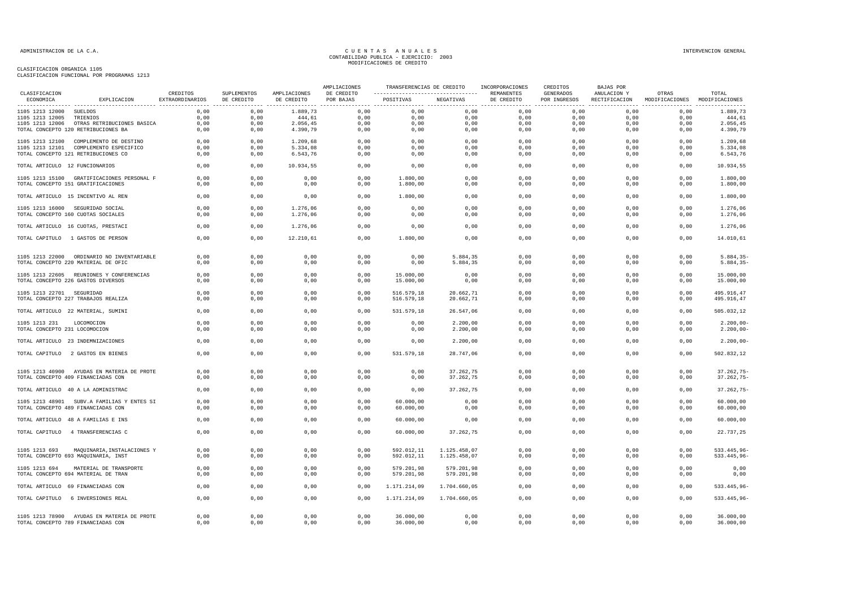|                                                |                                                                    |                             |                           |                            | AMPLIACIONES            | TRANSFERENCIAS DE CREDITO                       |                              | INCORPORACIONES          | CREDITOS                  | BAJAS POR                    |                         |                                     |
|------------------------------------------------|--------------------------------------------------------------------|-----------------------------|---------------------------|----------------------------|-------------------------|-------------------------------------------------|------------------------------|--------------------------|---------------------------|------------------------------|-------------------------|-------------------------------------|
| CLASIFICACION<br>ECONOMICA                     | EXPLICACION                                                        | CREDITOS<br>EXTRAORDINARIOS | SUPLEMENTOS<br>DE CREDITO | AMPLIACIONES<br>DE CREDITO | DE CREDITO<br>POR BAJAS | POSITIVAS<br>----------------- ---------------- | NEGATIVAS                    | REMANENTES<br>DE CREDITO | GENERADOS<br>POR INGRESOS | ANULACION Y<br>RECTIFICACION | OTRAS<br>MODIFICACIONES | TOTAL<br>MODIFICACIONES<br>-------- |
| 1105 1213 12000 SUELDOS                        |                                                                    | 0,00                        | 0,00                      | 1.889,73                   | 0,00                    | 0,00                                            | 0,00                         | 0,00                     | 0,00                      | 0,00                         | 0,00                    | 1.889,73                            |
| 1105 1213 12005                                | TRIENIOS                                                           | 0,00                        | 0,00                      | 444,61                     | 0,00                    | 0,00                                            | 0,00                         | 0,00                     | 0,00                      | 0,00                         | 0,00                    | 444,61                              |
| 1105 1213 12006                                | OTRAS RETRIBUCIONES BASICA                                         | 0,00                        | 0,00                      | 2.056, 45                  | 0,00                    | 0,00                                            | 0,00                         | 0,00                     | 0,00                      | 0,00                         | 0,00                    | 2.056,45                            |
|                                                | TOTAL CONCEPTO 120 RETRIBUCIONES BA                                | 0,00                        | 0,00                      | 4.390,79                   | 0,00                    | 0,00                                            | 0,00                         | 0,00                     | 0,00                      | 0,00                         | 0,00                    | 4.390,79                            |
|                                                | 1105 1213 12100 COMPLEMENTO DE DESTINO                             | 0,00                        | 0,00                      | 1.209,68                   | 0,00                    | 0,00                                            | 0,00                         | 0,00                     | 0,00                      | 0,00                         | 0,00                    | 1.209,68                            |
|                                                | 1105 1213 12101 COMPLEMENTO ESPECIFICO                             | 0,00                        | 0,00                      | 5.334,08                   | 0,00                    | 0,00                                            | 0,00                         | 0,00                     | 0,00                      | 0,00                         | 0,00                    | 5.334,08                            |
|                                                | TOTAL CONCEPTO 121 RETRIBUCIONES CO                                | 0,00                        | 0,00                      | 6.543,76                   | 0,00                    | 0,00                                            | 0,00                         | 0,00                     | 0,00                      | 0,00                         | 0,00                    | 6.543,76                            |
| TOTAL ARTICULO 12 FUNCIONARIOS                 |                                                                    | 0,00                        | 0,00                      | 10.934,55                  | 0,00                    | 0,00                                            | 0,00                         | 0,00                     | 0,00                      | 0,00                         | 0,00                    | 10.934,55                           |
|                                                | 1105 1213 15100 GRATIFICACIONES PERSONAL F                         | 0,00                        | 0,00                      | 0,00                       | 0,00                    | 1.800,00                                        | 0,00                         | 0,00                     | 0,00                      | 0,00                         | 0,00                    | 1.800,00                            |
|                                                | TOTAL CONCEPTO 151 GRATIFICACIONES                                 | 0.00                        | 0,00                      | 0,00                       | 0,00                    | 1.800,00                                        | 0,00                         | 0,00                     | 0,00                      | 0,00                         | 0,00                    | 1.800,00                            |
|                                                | TOTAL ARTICULO 15 INCENTIVO AL REN                                 | 0,00                        | 0,00                      | 0,00                       | 0,00                    | 1.800,00                                        | 0,00                         | 0,00                     | 0,00                      | 0,00                         | 0,00                    | 1.800,00                            |
|                                                | 1105 1213 16000 SEGURIDAD SOCIAL                                   | 0,00                        | 0,00                      | 1.276,06                   | 0,00                    | 0,00                                            | 0,00                         | 0,00                     | 0,00                      | 0,00                         | 0,00                    | 1.276,06                            |
|                                                | TOTAL CONCEPTO 160 CUOTAS SOCIALES                                 | 0,00                        | 0,00                      | 1.276,06                   | 0,00                    | 0,00                                            | 0,00                         | 0,00                     | 0,00                      | 0,00                         | 0,00                    | 1.276,06                            |
|                                                | TOTAL ARTICULO 16 CUOTAS, PRESTACI                                 | 0,00                        | 0,00                      | 1.276,06                   | 0,00                    | 0,00                                            | 0,00                         | 0,00                     | 0,00                      | 0,00                         | 0,00                    | 1.276,06                            |
|                                                | TOTAL CAPITULO 1 GASTOS DE PERSON                                  | 0,00                        | 0,00                      | 12.210,61                  | 0,00                    | 1.800,00                                        | 0,00                         | 0,00                     | 0,00                      | 0,00                         | 0,00                    | 14.010,61                           |
|                                                |                                                                    |                             |                           |                            |                         |                                                 |                              |                          |                           |                              |                         |                                     |
|                                                | 1105 1213 22000 ORDINARIO NO INVENTARIABLE                         | 0,00                        | 0.00                      | 0.00                       | 0,00                    | 0,00                                            | 5.884,35                     | 0.00                     | 0.00                      | 0,00                         | 0,00                    | $5.884, 35 -$                       |
|                                                | TOTAL CONCEPTO 220 MATERIAL DE OFIC                                | 0,00                        | 0,00                      | 0,00                       | 0,00                    | 0,00                                            | 5.884,35                     | 0,00                     | 0,00                      | 0,00                         | 0,00                    | $5.884, 35-$                        |
|                                                | 1105 1213 22605 REUNIONES Y CONFERENCIAS                           | 0,00                        | 0,00                      | 0,00                       | 0,00                    | 15.000,00                                       | 0,00                         | 0,00                     | 0,00                      | 0,00                         | 0,00                    | 15.000,00                           |
|                                                | TOTAL CONCEPTO 226 GASTOS DIVERSOS                                 | 0,00                        | 0,00                      | 0,00                       | 0,00                    | 15.000,00                                       | 0,00                         | 0,00                     | 0,00                      | 0,00                         | 0,00                    | 15.000,00                           |
| 1105 1213 22701 SEGURIDAD                      |                                                                    | 0,00                        | 0,00                      | 0,00                       | 0,00                    | 516.579,18                                      | 20.662,71                    | 0,00                     | 0,00                      | 0,00                         | 0,00                    | 495.916,47                          |
|                                                | TOTAL CONCEPTO 227 TRABAJOS REALIZA                                | 0,00                        | 0,00                      | 0,00                       | 0,00                    | 516.579,18                                      | 20.662,71                    | 0,00                     | 0,00                      | 0,00                         | 0,00                    | 495.916,47                          |
|                                                | TOTAL ARTICULO 22 MATERIAL, SUMINI                                 | 0,00                        | 0,00                      | 0,00                       | 0,00                    | 531.579,18                                      | 26.547,06                    | 0,00                     | 0,00                      | 0,00                         | 0,00                    | 505.032,12                          |
|                                                |                                                                    |                             |                           |                            |                         |                                                 |                              |                          |                           |                              |                         |                                     |
| 1105 1213 231<br>TOTAL CONCEPTO 231 LOCOMOCION | LOCOMOCION                                                         | 0,00<br>0,00                | 0,00<br>0,00              | 0,00<br>0,00               | 0,00<br>0,00            | 0,00<br>0,00                                    | 2.200,00<br>2.200,00         | 0,00<br>0,00             | 0,00<br>0,00              | 0,00<br>0,00                 | 0,00<br>0,00            | $2.200,00-$<br>$2.200,00 -$         |
|                                                |                                                                    |                             |                           |                            |                         |                                                 |                              |                          |                           |                              |                         |                                     |
|                                                | TOTAL ARTICULO 23 INDEMNIZACIONES                                  | 0,00                        | 0,00                      | 0,00                       | 0,00                    | 0,00                                            | 2.200,00                     | 0,00                     | 0,00                      | 0,00                         | 0,00                    | $2.200,00 -$                        |
|                                                | TOTAL CAPITULO 2 GASTOS EN BIENES                                  | 0,00                        | 0,00                      | 0,00                       | 0,00                    | 531.579,18                                      | 28.747,06                    | 0,00                     | 0,00                      | 0,00                         | 0,00                    | 502.832,12                          |
|                                                | 1105 1213 40900 AYUDAS EN MATERIA DE PROTE                         | 0,00                        | 0,00                      | 0,00                       | 0,00                    | 0,00                                            | 37.262,75                    | 0,00                     | 0,00                      | 0,00                         | 0,00                    | $37.262,75-$                        |
|                                                | TOTAL CONCEPTO 409 FINANCIADAS CON                                 | 0,00                        | 0,00                      | 0,00                       | 0,00                    | 0,00                                            | 37.262,75                    | 0,00                     | 0,00                      | 0,00                         | 0,00                    | $37.262,75-$                        |
|                                                | TOTAL ARTICULO 40 A LA ADMINISTRAC                                 | 0,00                        | 0,00                      | 0,00                       | 0,00                    | 0,00                                            | 37.262,75                    | 0,00                     | 0,00                      | 0,00                         | 0,00                    | $37.262,75-$                        |
|                                                |                                                                    |                             |                           |                            |                         |                                                 |                              |                          |                           |                              |                         |                                     |
|                                                | 1105 1213 48901 SUBV.A FAMILIAS Y ENTES SI                         | 0,00                        | 0,00                      | 0,00                       | 0,00                    | 60.000,00                                       | 0,00                         | 0,00                     | 0,00                      | 0,00                         | 0,00                    | 60.000,00                           |
|                                                | TOTAL CONCEPTO 489 FINANCIADAS CON                                 | 0,00                        | 0,00                      | 0,00                       | 0,00                    | 60.000,00                                       | 0,00                         | 0,00                     | 0,00                      | 0,00                         | 0,00                    | 60.000,00                           |
|                                                | TOTAL ARTICULO 48 A FAMILIAS E INS                                 | 0,00                        | 0,00                      | 0,00                       | 0,00                    | 60.000,00                                       | 0,00                         | 0,00                     | 0,00                      | 0,00                         | 0,00                    | 60.000,00                           |
|                                                | TOTAL CAPITULO 4 TRANSFERENCIAS C                                  | 0,00                        | 0,00                      | 0,00                       | 0,00                    | 60.000,00                                       | 37.262,75                    | 0,00                     | 0,00                      | 0,00                         | 0,00                    | 22.737,25                           |
|                                                |                                                                    |                             |                           |                            |                         |                                                 |                              |                          |                           |                              |                         |                                     |
| 1105 1213 693                                  | MAQUINARIA, INSTALACIONES Y<br>TOTAL CONCEPTO 693 MAQUINARIA, INST | 0,00<br>0,00                | 0,00<br>0,00              | 0,00<br>0,00               | 0,00<br>0,00            | 592.012,11<br>592.012,11                        | 1.125.458,07<br>1.125.458,07 | 0,00<br>0,00             | 0,00<br>0,00              | 0,00<br>0,00                 | 0,00<br>0,00            | 533.445,96-<br>533.445,96-          |
|                                                |                                                                    |                             |                           |                            |                         |                                                 |                              |                          |                           |                              |                         |                                     |
| 1105 1213 694                                  | MATERIAL DE TRANSPORTE                                             | 0.00                        | 0.00                      | 0.00                       | 0.00                    | 579.201.98                                      | 579.201.98                   | 0.00                     | 0.00                      | 0.00                         | 0.00                    | 0,00                                |
|                                                | TOTAL CONCEPTO 694 MATERIAL DE TRAN                                | 0,00                        | 0,00                      | 0,00                       | 0,00                    | 579.201,98                                      | 579.201,98                   | 0,00                     | 0,00                      | 0,00                         | 0,00                    | 0,00                                |
|                                                | TOTAL ARTICULO 69 FINANCIADAS CON                                  | 0,00                        | 0,00                      | 0,00                       | 0,00                    | 1.171.214,09                                    | 1.704.660,05                 | 0,00                     | 0,00                      | 0,00                         | 0,00                    | 533.445,96-                         |
|                                                | TOTAL CAPITULO 6 INVERSIONES REAL                                  | 0,00                        | 0,00                      | 0,00                       | 0,00                    | 1.171.214,09                                    | 1.704.660,05                 | 0,00                     | 0,00                      | 0,00                         | 0,00                    | 533.445,96-                         |
|                                                |                                                                    |                             |                           |                            |                         |                                                 |                              |                          |                           |                              |                         |                                     |
|                                                | 1105 1213 78900 AYUDAS EN MATERIA DE PROTE                         | 0,00                        | 0,00                      | 0,00                       | 0,00                    | 36.000,00                                       | 0,00                         | 0,00                     | 0,00                      | 0.00                         | 0,00                    | 36.000,00                           |
|                                                | TOTAL CONCEPTO 789 FINANCIADAS CON                                 | 0,00                        | 0,00                      | 0,00                       | 0,00                    | 36.000,00                                       | 0,00                         | 0,00                     | 0,00                      | 0,00                         | 0,00                    | 36.000,00                           |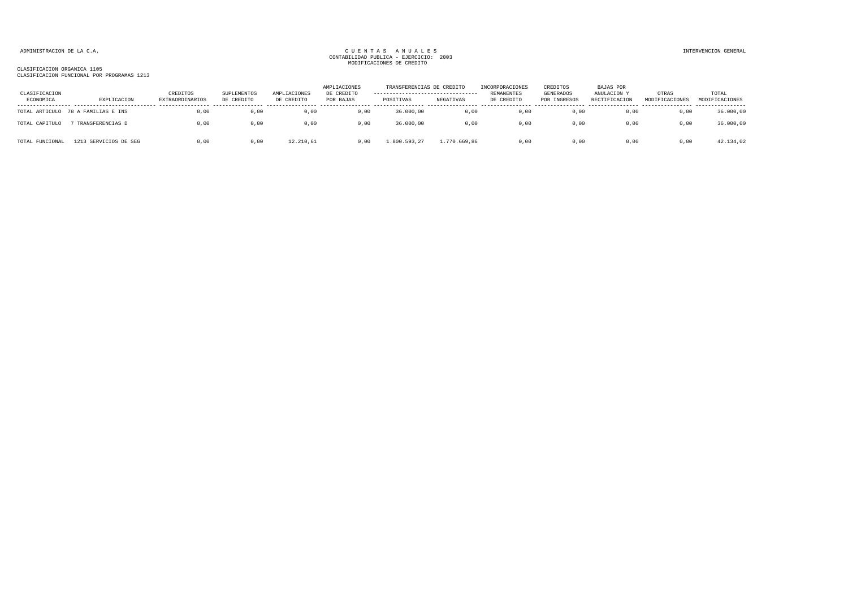| CLASIFICACION<br>ECONOMICA | EXPLICACION           | CREDITOS<br>EXTRAORDINARIOS | SUPLEMENTOS<br>DE CREDITO | AMPLIACIONES<br>DE CREDITO | AMPLIACIONES<br>DE CREDITO<br>POR BAJAS | TRANSFERENCIAS DE CREDITO<br>----------------------------------<br>POSITIVAS | NEGATIVAS    | INCORPORACIONES<br>REMANENTES<br>DE CREDITO | CREDITOS<br>GENERADOS<br>POR INGRESOS | <b>BAJAS POR</b><br>ANULACION Y<br>RECTIFICACION | OTRAS<br>MODIFICACIONES | TOTAL<br>MODIFICACIONES |
|----------------------------|-----------------------|-----------------------------|---------------------------|----------------------------|-----------------------------------------|------------------------------------------------------------------------------|--------------|---------------------------------------------|---------------------------------------|--------------------------------------------------|-------------------------|-------------------------|
| TOTAL ARTICULO             | 78 A FAMILIAS E INS   | 0,00                        | 0,00                      | 0,00                       | 0,00                                    | 36.000,00                                                                    | 0,00         | 0,00                                        | 0,00                                  | 0,00                                             | 0,00                    | 36.000,00               |
| TOTAL CAPITULO             | TRANSFERENCIAS D      | 0,00                        | 0,00                      | 0,00                       | 0,00                                    | 36.000,00                                                                    | 0,00         | 0,00                                        | 0,00                                  | 0,00                                             | 0,00                    | 36.000,00               |
| TOTAL FUNCIONAL            | 1213 SERVICIOS DE SEG | 0.00                        | 0,00                      | 12.210.61                  | 0.00                                    | 1.800.593,27                                                                 | 1.770.669,86 | 0.00                                        | 0.00                                  | 0.00                                             | 0.00                    | 42.134,02               |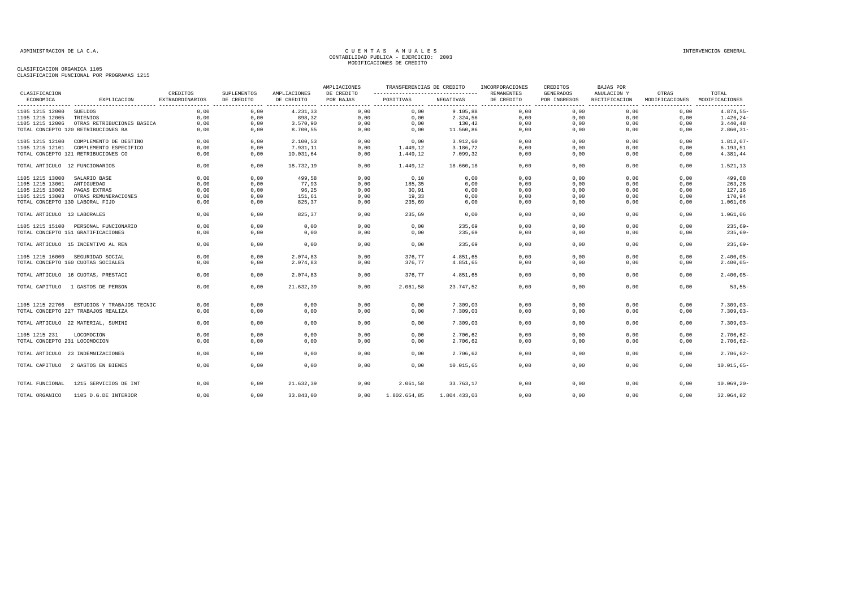| CLASIFICACION                   |                                                                   | CREDITOS        | SUPLEMENTOS  | AMPLIACIONES | AMPLIACIONES<br>DE CREDITO | TRANSFERENCIAS DE CREDITO<br>---------------------------------- |                      | INCORPORACIONES<br>REMANENTES | CREDITOS<br><b>GENERADOS</b>             | BAJAS POR<br>ANULACION Y                       | OTRAS                    | TOTAL                      |
|---------------------------------|-------------------------------------------------------------------|-----------------|--------------|--------------|----------------------------|-----------------------------------------------------------------|----------------------|-------------------------------|------------------------------------------|------------------------------------------------|--------------------------|----------------------------|
| ECONOMICA                       | EXPLICACION                                                       | EXTRAORDINARIOS | DE CREDITO   | DE CREDITO   | POR BAJAS                  | POSITIVAS                                                       | NEGATIVAS            | DE CREDITO                    | POR INGRESOS<br>------- ---------------- | RECTIFICACION<br>----------------------------- | MODIFICACIONES<br>------ | MODIFICACIONES<br>-------- |
| 1105 1215 12000                 | <b>SUELDOS</b>                                                    | 0,00            | 0,00         | 4.231,33     | 0,00                       | 0,00                                                            | 9.105,88             | 0,00                          | 0,00                                     | 0,00                                           | 0,00                     | $4.874,55-$                |
| 1105 1215 12005                 | TRIENIOS                                                          | 0,00            | 0,00         | 898,32       | 0,00                       | 0,00                                                            | 2.324,56             | 0,00                          | 0,00                                     | 0,00                                           | 0,00                     | $1.426, 24-$               |
| 1105 1215 12006                 | OTRAS RETRIBUCIONES BASICA                                        | 0,00            | 0,00         | 3.570,90     | 0,00                       | 0,00                                                            | 130,42               | 0,00                          | 0,00                                     | 0,00                                           | 0,00                     | 3.440, 48                  |
|                                 | TOTAL CONCEPTO 120 RETRIBUCIONES BA                               | 0,00            | 0,00         | 8.700,55     | 0,00                       | 0,00                                                            | 11.560,86            | 0,00                          | 0,00                                     | 0,00                                           | 0,00                     | $2.860, 31 -$              |
| 1105 1215 12100                 | COMPLEMENTO DE DESTINO                                            | 0.00            | 0.00         | 2.100,53     | 0.00                       | 0.00                                                            | 3.912,60             | 0.00                          | 0.00                                     | 0.00                                           | 0.00                     | $1.812,07-$                |
| 1105 1215 12101                 | COMPLEMENTO ESPECIFICO                                            | 0,00            | 0,00         | 7.931,11     | 0,00                       | 1.449,12                                                        | 3.186,72             | 0,00                          | 0,00                                     | 0,00                                           | 0,00                     | 6.193, 51                  |
|                                 | TOTAL CONCEPTO 121 RETRIBUCIONES CO                               | 0.00            | 0,00         | 10.031,64    | 0,00                       | 1.449,12                                                        | 7.099,32             | 0,00                          | 0,00                                     | 0,00                                           | 0,00                     | 4.381,44                   |
| TOTAL ARTICULO 12 FUNCIONARIOS  |                                                                   | 0,00            | 0,00         | 18.732,19    | 0,00                       | 1.449,12                                                        | 18.660,18            | 0,00                          | 0,00                                     | 0.00                                           | 0,00                     | 1.521,13                   |
| 1105 1215 13000                 | SALARIO BASE                                                      | 0,00            | 0,00         | 499,58       | 0,00                       | 0,10                                                            | 0,00                 | 0,00                          | 0,00                                     | 0,00                                           | 0,00                     | 499,68                     |
| 1105 1215 13001                 | ANTIGUEDAD                                                        | 0,00            | 0,00         | 77,93        | 0,00                       | 185,35                                                          | 0,00                 | 0,00                          | 0,00                                     | 0,00                                           | 0,00                     | 263,28                     |
| 1105 1215 13002                 | PAGAS EXTRAS                                                      | 0,00            | 0,00         | 96,25        | 0,00                       | 30,91                                                           | 0,00                 | 0,00                          | 0,00                                     | 0,00                                           | 0,00                     | 127,16                     |
| 1105 1215 13003                 | OTRAS REMUNERACIONES                                              | 0,00            | 0,00         | 151,61       | 0,00                       | 19,33                                                           | 0,00                 | 0,00                          | 0,00                                     | 0,00                                           | 0,00                     | 170,94                     |
| TOTAL CONCEPTO 130 LABORAL FIJO |                                                                   | 0,00            | 0,00         | 825,37       | 0,00                       | 235,69                                                          | 0,00                 | 0,00                          | 0,00                                     | 0,00                                           | 0,00                     | 1.061,06                   |
|                                 |                                                                   |                 |              |              |                            |                                                                 |                      |                               |                                          |                                                |                          |                            |
| TOTAL ARTICULO 13 LABORALES     |                                                                   | 0.00            | 0,00         | 825, 37      | 0,00                       | 235,69                                                          | 0,00                 | 0.00                          | 0,00                                     | 0.00                                           | 0.00                     | 1.061,06                   |
|                                 | 1105 1215 15100 PERSONAL FUNCIONARIO                              | 0,00            | 0,00         | 0,00         | 0,00                       | 0,00                                                            | 235,69               | 0,00                          | 0,00                                     | 0,00                                           | 0,00                     | $235,69-$                  |
|                                 | TOTAL CONCEPTO 151 GRATIFICACIONES                                | 0,00            | 0,00         | 0,00         | 0,00                       | 0,00                                                            | 235,69               | 0,00                          | 0,00                                     | 0,00                                           | 0,00                     | $235,69-$                  |
|                                 | TOTAL ARTICULO 15 INCENTIVO AL REN                                | 0.00            | 0.00         | 0,00         | 0.00                       | 0.00                                                            | 235,69               | 0.00                          | 0.00                                     | 0.00                                           | 0.00                     | $235,69-$                  |
|                                 | 1105 1215 16000 SEGURIDAD SOCIAL                                  | 0,00            | 0,00         | 2.074,83     | 0,00                       | 376,77                                                          | 4.851,65             | 0,00                          | 0,00                                     | 0,00                                           | 0,00                     | $2.400,05-$                |
|                                 | TOTAL CONCEPTO 160 CUOTAS SOCIALES                                | 0,00            | 0,00         | 2.074,83     | 0,00                       | 376,77                                                          | 4.851,65             | 0,00                          | 0,00                                     | 0,00                                           | 0,00                     | $2.400,05-$                |
|                                 | TOTAL ARTICULO 16 CUOTAS, PRESTACI                                | 0,00            | 0,00         | 2.074,83     | 0,00                       | 376,77                                                          | 4.851,65             | 0,00                          | 0,00                                     | 0,00                                           | 0,00                     | $2.400,05-$                |
| TOTAL CAPITULO                  | 1 GASTOS DE PERSON                                                | 0,00            | 0,00         | 21.632,39    | 0,00                       | 2.061,58                                                        | 23.747,52            | 0,00                          | 0,00                                     | 0,00                                           | 0,00                     | $53, 55-$                  |
|                                 |                                                                   | 0.00            |              |              |                            |                                                                 |                      |                               | 0.00                                     |                                                |                          | $7.309,03-$                |
| 1105 1215 22706                 | ESTUDIOS Y TRABAJOS TECNIC<br>TOTAL CONCEPTO 227 TRABAJOS REALIZA | 0,00            | 0,00<br>0,00 | 0,00<br>0,00 | 0,00<br>0,00               | 0,00<br>0,00                                                    | 7.309,03<br>7.309,03 | 0,00<br>0,00                  | 0,00                                     | 0,00<br>0,00                                   | 0,00<br>0,00             | $7.309,03-$                |
|                                 | TOTAL ARTICULO 22 MATERIAL, SUMINI                                | 0,00            | 0,00         | 0,00         | 0,00                       | 0,00                                                            | 7.309,03             | 0,00                          | 0,00                                     | 0,00                                           | 0,00                     | $7.309,03-$                |
|                                 |                                                                   |                 |              |              |                            |                                                                 |                      |                               |                                          |                                                |                          |                            |
| 1105 1215 231                   | LOCOMOCION                                                        | 0,00            | 0,00         | 0,00         | 0,00                       | 0,00                                                            | 2.706,62             | 0,00                          | 0,00                                     | 0,00                                           | 0,00                     | $2.706, 62 -$              |
| TOTAL CONCEPTO 231 LOCOMOCION   |                                                                   | 0,00            | 0,00         | 0,00         | 0,00                       | 0,00                                                            | 2.706,62             | 0,00                          | 0,00                                     | 0,00                                           | 0,00                     | $2.706, 62 -$              |
|                                 | TOTAL ARTICULO 23 INDEMNIZACIONES                                 | 0,00            | 0,00         | 0,00         | 0,00                       | 0,00                                                            | 2.706,62             | 0,00                          | 0,00                                     | 0,00                                           | 0,00                     | $2.706, 62 -$              |
|                                 | TOTAL CAPITULO 2 GASTOS EN BIENES                                 | 0,00            | 0,00         | 0,00         | 0,00                       | 0,00                                                            | 10.015,65            | 0,00                          | 0,00                                     | 0,00                                           | 0,00                     | $10.015,65 -$              |
| TOTAL FUNCIONAL                 | 1215 SERVICIOS DE INT                                             | 0.00            | 0,00         | 21.632.39    | 0,00                       | 2.061,58                                                        | 33.763.17            | 0,00                          | 0.00                                     | 0.00                                           | 0.00                     | $10.069, 20 -$             |
| TOTAL ORGANICO                  | 1105 D.G.DE INTERIOR                                              | 0,00            | 0,00         | 33.843,00    | 0,00                       | 1.802.654,85                                                    | 1.804.433,03         | 0.00                          | 0.00                                     | 0.00                                           | 0.00                     | 32.064,82                  |
|                                 |                                                                   |                 |              |              |                            |                                                                 |                      |                               |                                          |                                                |                          |                            |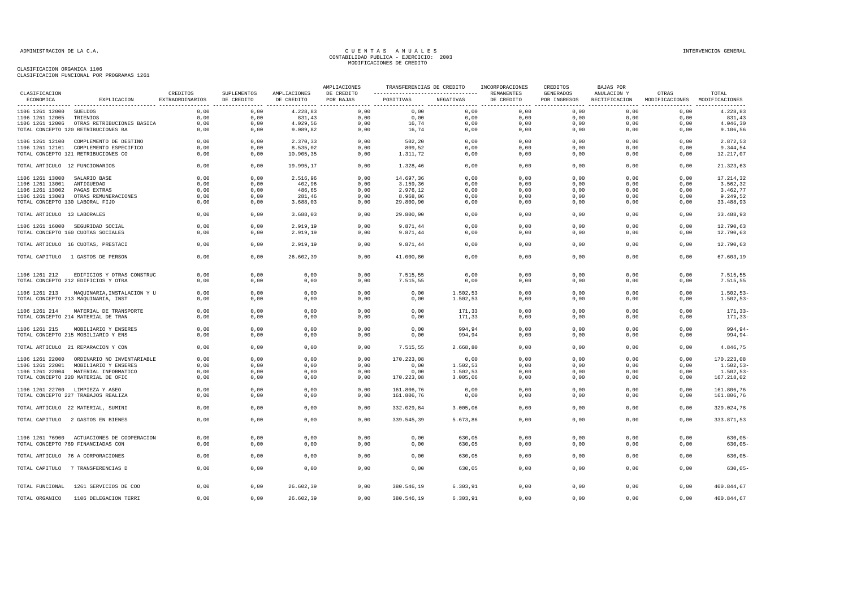|                                    |                                                    |                             |                           |                            | AMPLIACIONES            | TRANSFERENCIAS DE CREDITO |           | INCORPORACIONES          | CREDITOS                         | BAJAS POR                    |                                        |               |
|------------------------------------|----------------------------------------------------|-----------------------------|---------------------------|----------------------------|-------------------------|---------------------------|-----------|--------------------------|----------------------------------|------------------------------|----------------------------------------|---------------|
| CLASIFICACION<br>ECONOMICA         | EXPLICACION                                        | CREDITOS<br>EXTRAORDINARIOS | SUPLEMENTOS<br>DE CREDITO | AMPLIACIONES<br>DE CREDITO | DE CREDITO<br>POR BAJAS | POSITIVAS                 | NEGATIVAS | REMANENTES<br>DE CREDITO | <b>GENERADOS</b><br>POR INGRESOS | ANULACION Y<br>RECTIFICACION | OTRAS<br>MODIFICACIONES MODIFICACIONES | TOTAL         |
| 1106 1261 12000                    | SUELDOS                                            | 0,00                        | 0,00                      | 4.228,83                   | 0,00                    | 0,00                      | 0,00      | 0,00                     | 0,00                             | 0,00                         | 0,00                                   | 4.228,83      |
| 1106 1261 12005                    | TRIENIOS                                           | 0,00                        | 0,00                      | 831,43                     | 0,00                    | 0,00                      | 0,00      | 0,00                     | 0,00                             | 0,00                         | 0,00                                   | 831,43        |
| 1106 1261 12006                    | OTRAS RETRIBUCIONES BASICA                         | 0,00                        | 0,00                      | 4.029,56                   | 0,00                    | 16,74                     | 0,00      | 0,00                     | 0,00                             | 0,00                         | 0,00                                   | 4.046,30      |
|                                    | TOTAL CONCEPTO 120 RETRIBUCIONES BA                | 0,00                        | 0,00                      | 9.089, 82                  | 0,00                    | 16,74                     | 0,00      | 0,00                     | 0,00                             | 0,00                         | 0,00                                   | 9.106,56      |
|                                    | 1106 1261 12100 COMPLEMENTO DE DESTINO             | 0,00                        | 0,00                      | 2.370,33                   | 0,00                    | 502,20                    | 0,00      | 0,00                     | 0.00                             | 0,00                         | 0,00                                   | 2.872,53      |
|                                    | 1106 1261 12101 COMPLEMENTO ESPECIFICO             | 0,00                        | 0,00                      | 8.535,02                   | 0,00                    | 809,52                    | 0,00      | 0,00                     | 0,00                             | 0,00                         | 0,00                                   | 9.344,54      |
|                                    | TOTAL CONCEPTO 121 RETRIBUCIONES CO                | 0,00                        | 0,00                      | 10.905,35                  | 0,00                    | 1.311,72                  | 0,00      | 0,00                     | 0,00                             | 0,00                         | 0,00                                   | 12.217,07     |
| TOTAL ARTICULO 12 FUNCIONARIOS     |                                                    | 0,00                        | 0,00                      | 19.995,17                  | 0,00                    | 1.328,46                  | 0,00      | 0,00                     | 0,00                             | 0,00                         | 0,00                                   | 21.323,63     |
| 1106 1261 13000 SALARIO BASE       |                                                    | 0,00                        | 0,00                      | 2.516,96                   | 0,00                    | 14.697,36                 | 0,00      | 0,00                     | 0,00                             | 0,00                         | 0,00                                   | 17.214,32     |
| 1106 1261 13001                    | ANTIGUEDAD                                         | 0,00                        | 0,00                      | 402,96                     | 0,00                    | 3.159,36                  | 0,00      | 0,00                     | 0,00                             | 0,00                         | 0,00                                   | 3.562,32      |
| 1106 1261 13002                    | PAGAS EXTRAS                                       | 0.00                        | 0,00                      | 486,65                     | 0,00                    | 2.976,12                  | 0,00      | 0,00                     | 0,00                             | 0,00                         | 0,00                                   | 3.462,77      |
| 1106 1261 13003                    | OTRAS REMUNERACIONES                               | 0,00                        | 0,00                      | 281,46                     | 0,00                    | 8.968,06                  | 0,00      | 0,00                     | 0,00                             | 0,00                         | 0,00                                   | 9.249,52      |
| TOTAL CONCEPTO 130 LABORAL FIJO    |                                                    | 0,00                        | 0,00                      | 3.688,03                   | 0,00                    | 29.800,90                 | 0,00      | 0,00                     | 0,00                             | 0,00                         | 0,00                                   | 33.488,93     |
| TOTAL ARTICULO 13 LABORALES        |                                                    | 0,00                        | 0,00                      | 3.688,03                   | 0,00                    | 29.800,90                 | 0,00      | 0,00                     | 0,00                             | 0,00                         | 0,00                                   | 33.488,93     |
|                                    | 1106 1261 16000 SEGURIDAD SOCIAL                   | 0,00                        | 0,00                      | 2.919,19                   | 0,00                    | 9.871,44                  | 0,00      | 0,00                     | 0,00                             | 0,00                         | 0,00                                   | 12.790,63     |
|                                    | TOTAL CONCEPTO 160 CUOTAS SOCIALES                 | 0,00                        | 0,00                      | 2.919,19                   | 0,00                    | 9.871,44                  | 0,00      | 0,00                     | 0,00                             | 0,00                         | 0,00                                   | 12.790,63     |
|                                    | TOTAL ARTICULO 16 CUOTAS, PRESTACI                 | 0.00                        | 0,00                      | 2.919,19                   | 0,00                    | 9.871,44                  | 0,00      | 0,00                     | 0.00                             | 0.00                         | 0,00                                   | 12.790.63     |
|                                    | TOTAL CAPITULO 1 GASTOS DE PERSON                  | 0,00                        | 0,00                      | 26.602,39                  | 0,00                    | 41.000,80                 | 0,00      | 0,00                     | 0,00                             | 0,00                         | 0,00                                   | 67.603,19     |
|                                    |                                                    |                             |                           |                            |                         |                           |           |                          |                                  |                              |                                        |               |
| 1106 1261 212                      | EDIFICIOS Y OTRAS CONSTRUC                         | 0,00                        | 0,00                      | 0,00                       | 0,00                    | 7.515,55                  | 0,00      | 0,00                     | 0,00                             | 0,00                         | 0,00                                   | 7.515,55      |
|                                    | TOTAL CONCEPTO 212 EDIFICIOS Y OTRA                | 0,00                        | 0,00                      | 0,00                       | 0,00                    | 7.515,55                  | 0,00      | 0,00                     | 0,00                             | 0,00                         | 0,00                                   | 7.515,55      |
| 1106 1261 213                      | MAQUINARIA, INSTALACION Y U                        | 0,00                        | 0,00                      | 0,00                       | 0,00                    | 0,00                      | 1.502,53  | 0,00                     | 0,00                             | 0,00                         | 0,00                                   | $1.502, 53 -$ |
|                                    | TOTAL CONCEPTO 213 MAQUINARIA, INST                | 0.00                        | 0,00                      | 0,00                       | 0,00                    | 0,00                      | 1.502,53  | 0,00                     | 0.00                             | 0,00                         | 0,00                                   | $1.502, 53 -$ |
|                                    |                                                    |                             |                           |                            |                         |                           |           |                          |                                  |                              |                                        |               |
| 1106 1261 214                      | MATERIAL DE TRANSPORTE                             | 0,00                        | 0,00                      | 0,00                       | 0,00                    | 0,00                      | 171,33    | 0,00                     | 0,00                             | 0,00                         | 0,00                                   | 171,33-       |
|                                    | TOTAL CONCEPTO 214 MATERIAL DE TRAN                | 0.00                        | 0,00                      | 0,00                       | 0,00                    | 0,00                      | 171,33    | 0,00                     | 0.00                             | 0,00                         | 0,00                                   | $171, 33-$    |
| 1106 1261 215                      | MOBILIARIO Y ENSERES                               | 0,00                        | 0,00                      | 0,00                       | 0,00                    | 0,00                      | 994,94    | 0,00                     | 0,00                             | 0,00                         | 0,00                                   | $994, 94-$    |
|                                    | TOTAL CONCEPTO 215 MOBILIARIO Y ENS                | 0,00                        | 0,00                      | 0,00                       | 0,00                    | 0,00                      | 994,94    | 0,00                     | 0,00                             | 0,00                         | 0,00                                   | $994, 94 -$   |
|                                    | TOTAL ARTICULO 21 REPARACION Y CON                 | 0.00                        | 0.00                      | 0.00                       | 0.00                    | 7.515.55                  | 2.668.80  | 0.00                     | 0.00                             | 0.00                         | 0.00                                   | 4.846.75      |
|                                    |                                                    | 0,00                        | 0,00                      | 0,00                       | 0,00                    | 170.223,08                | 0,00      | 0,00                     | 0,00                             | 0,00                         | 0,00                                   | 170.223,08    |
| 1106 1261 22000<br>1106 1261 22001 | ORDINARIO NO INVENTARIABLE<br>MOBILIARIO Y ENSERES | 0.00                        | 0.00                      | 0,00                       | 0,00                    | 0.00                      | 1.502,53  | 0,00                     | 0.00                             | 0.00                         | 0.00                                   | $1.502, 53-$  |
|                                    | 1106 1261 22004 MATERIAL INFORMATICO               | 0,00                        | 0,00                      | 0,00                       | 0,00                    | 0,00                      | 1.502,53  | 0,00                     | 0,00                             | 0,00                         | 0,00                                   | $1.502, 53-$  |
|                                    | TOTAL CONCEPTO 220 MATERIAL DE OFIC                | 0,00                        | 0,00                      | 0,00                       | 0,00                    | 170.223,08                | 3.005,06  | 0,00                     | 0,00                             | 0,00                         | 0,00                                   | 167.218,02    |
|                                    |                                                    |                             |                           |                            |                         |                           |           |                          |                                  |                              |                                        |               |
|                                    | 1106 1261 22700 LIMPIEZA Y ASEO                    | 0,00                        | 0,00                      | 0,00                       | 0,00                    | 161.806,76                | 0,00      | 0,00                     | 0,00                             | 0,00                         | 0,00                                   | 161.806,76    |
|                                    | TOTAL CONCEPTO 227 TRABAJOS REALIZA                | 0,00                        | 0,00                      | 0,00                       | 0,00                    | 161.806,76                | 0,00      | 0,00                     | 0,00                             | 0,00                         | 0,00                                   | 161.806,76    |
|                                    | TOTAL ARTICULO 22 MATERIAL, SUMINI                 | 0,00                        | 0,00                      | 0,00                       | 0,00                    | 332.029,84                | 3.005,06  | 0,00                     | 0,00                             | 0,00                         | 0,00                                   | 329.024,78    |
|                                    | TOTAL CAPITULO 2 GASTOS EN BIENES                  | 0.00                        | 0.00                      | 0,00                       | 0.00                    | 339.545.39                | 5.673.86  | 0.00                     | 0.00                             | 0.00                         | 0.00                                   | 333.871,53    |
|                                    |                                                    |                             |                           |                            |                         |                           |           |                          |                                  |                              |                                        |               |
|                                    | 1106 1261 76900 ACTUACIONES DE COOPERACION         | 0,00                        | 0,00                      | 0,00                       | 0,00                    | 0,00                      | 630,05    | 0,00                     | 0,00                             | 0,00                         | 0,00                                   | $630,05-$     |
|                                    | TOTAL CONCEPTO 769 FINANCIADAS CON                 | 0,00                        | 0,00                      | 0,00                       | 0,00                    | 0,00                      | 630,05    | 0,00                     | 0,00                             | 0,00                         | 0,00                                   | $630,05-$     |
|                                    | TOTAL ARTICULO 76 A CORPORACIONES                  | 0,00                        | 0,00                      | 0,00                       | 0,00                    | 0,00                      | 630,05    | 0,00                     | 0,00                             | 0,00                         | 0,00                                   | $630.05 -$    |
|                                    |                                                    |                             |                           |                            |                         |                           |           |                          |                                  |                              |                                        |               |
|                                    | TOTAL CAPITULO 7 TRANSFERENCIAS D                  | 0,00                        | 0,00                      | 0,00                       | 0,00                    | 0,00                      | 630,05    | 0,00                     | 0,00                             | 0,00                         | 0,00                                   | $630,05-$     |
| TOTAL FUNCIONAL                    | 1261 SERVICIOS DE COO                              | 0,00                        | 0,00                      | 26.602,39                  | 0,00                    | 380.546,19                | 6.303, 91 | 0,00                     | 0,00                             | 0,00                         | 0,00                                   | 400.844,67    |
| TOTAL ORGANICO                     | 1106 DELEGACION TERRI                              | 0,00                        | 0,00                      | 26.602,39                  | 0,00                    | 380.546,19                | 6.303,91  | 0,00                     | 0,00                             | 0,00                         | 0,00                                   | 400.844,67    |
|                                    |                                                    |                             |                           |                            |                         |                           |           |                          |                                  |                              |                                        |               |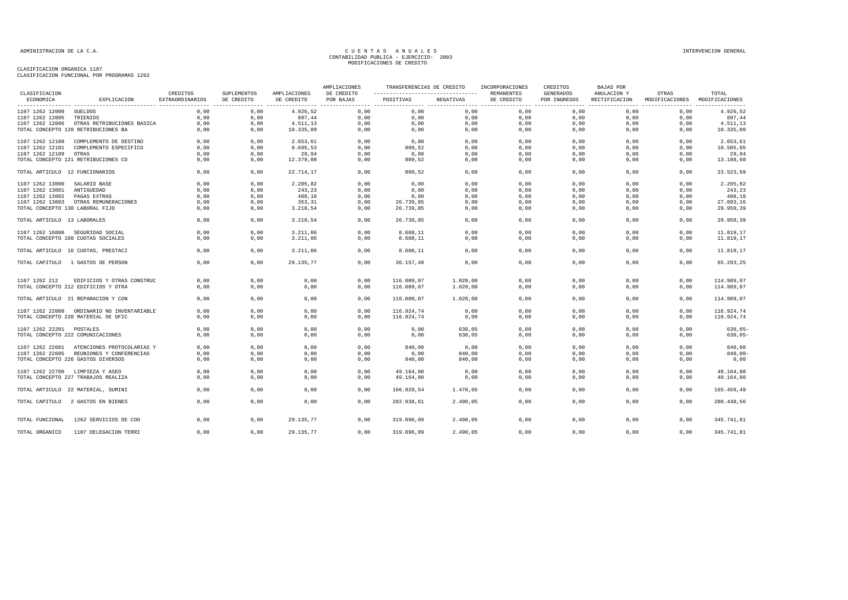|                                 |                                            |                                    |                           |                            | AMPLIACIONES            | TRANSFERENCIAS DE CREDITO                         |           | INCORPORACIONES                 | CREDITOS                         | BAJAS POR                    |                         |                         |
|---------------------------------|--------------------------------------------|------------------------------------|---------------------------|----------------------------|-------------------------|---------------------------------------------------|-----------|---------------------------------|----------------------------------|------------------------------|-------------------------|-------------------------|
| CLASIFICACION<br>ECONOMICA      | EXPLICACION                                | CREDITOS<br><b>EXTRAORDINARIOS</b> | SUPLEMENTOS<br>DE CREDITO | AMPLIACIONES<br>DE CREDITO | DE CREDITO<br>POR BAJAS | ------------------------------------<br>POSITIVAS | NEGATIVAS | <b>REMANENTES</b><br>DE CREDITO | <b>GENERADOS</b><br>POR INGRESOS | ANULACION Y<br>RECTIFICACION | OTRAS<br>MODIFICACIONES | TOTAL<br>MODIFICACIONES |
| 1107 1262 12000                 | <b>SUELDOS</b>                             | 0.00                               | 0,00                      | 4.926,52                   | 0,00                    | 0,00                                              | 0,00      | 0,00                            | 0,00                             | 0,00                         | 0,00                    | ---------<br>4.926,52   |
| 1107 1262 12005                 | TRIENIOS                                   | 0,00                               | 0,00                      | 897,44                     | 0,00                    | 0,00                                              | 0,00      | 0,00                            | 0,00                             | 0,00                         | 0,00                    | 897,44                  |
| 1107 1262 12006                 | OTRAS RETRIBUCIONES BASICA                 | 0,00                               | 0,00                      | 4.511,13                   | 0,00                    | 0,00                                              | 0,00      | 0,00                            | 0,00                             | 0,00                         | 0,00                    | 4.511,13                |
|                                 | TOTAL CONCEPTO 120 RETRIBUCIONES BA        | 0,00                               | 0,00                      | 10.335,09                  | 0,00                    | 0,00                                              | 0,00      | 0,00                            | 0,00                             | 0,00                         | 0,00                    | 10.335,09               |
| 1107 1262 12100                 | COMPLEMENTO DE DESTINO                     | 0,00                               | 0,00                      | 2.653,61                   | 0,00                    | 0,00                                              | 0,00      | 0,00                            | 0.00                             | 0,00                         | 0,00                    | 2.653,61                |
| 1107 1262 12101                 | COMPLEMENTO ESPECIFICO                     | 0.00                               | 0.00                      | 9.695.53                   | 0,00                    | 809,52                                            | 0.00      | 0,00                            | 0.00                             | 0.00                         | 0.00                    | 10.505,05               |
| 1107 1262 12109                 | OTRAS                                      | 0,00                               | 0,00                      | 29,94                      | 0,00                    | 0,00                                              | 0,00      | 0,00                            | 0,00                             | 0,00                         | 0,00                    | 29,94                   |
|                                 | TOTAL CONCEPTO 121 RETRIBUCIONES CO        | 0,00                               | 0,00                      | 12.379,08                  | 0,00                    | 809,52                                            | 0,00      | 0,00                            | 0,00                             | 0,00                         | 0,00                    | 13.188,60               |
| TOTAL ARTICULO 12 FUNCIONARIOS  |                                            | 0,00                               | 0,00                      | 22.714,17                  | 0,00                    | 809,52                                            | 0,00      | 0,00                            | 0,00                             | 0,00                         | 0,00                    | 23.523,69               |
| 1107 1262 13000                 | SALARIO BASE                               | 0,00                               | 0,00                      | 2.205,82                   | 0,00                    | 0,00                                              | 0,00      | 0,00                            | 0,00                             | 0,00                         | 0,00                    | 2.205,82                |
| 1107 1262 13001                 | ANTIGUEDAD                                 | 0,00                               | 0,00                      | 243,23                     | 0,00                    | 0,00                                              | 0,00      | 0,00                            | 0,00                             | 0,00                         | 0,00                    | 243,23                  |
| 1107 1262 13002                 | PAGAS EXTRAS                               | 0.00                               | 0,00                      | 408,18                     | 0,00                    | 0,00                                              | 0,00      | 0,00                            | 0,00                             | 0,00                         | 0,00                    | 408,18                  |
| 1107 1262 13003                 | OTRAS REMUNERACIONES                       | 0,00                               | 0,00                      | 353,31                     | 0,00                    | 26.739,85                                         | 0,00      | 0,00                            | 0,00                             | 0,00                         | 0,00                    | 27.093,16               |
| TOTAL CONCEPTO 130 LABORAL FIJO |                                            | 0,00                               | 0,00                      | 3.210,54                   | 0,00                    | 26.739,85                                         | 0,00      | 0,00                            | 0,00                             | 0,00                         | 0,00                    | 29.950,39               |
| TOTAL ARTICULO 13 LABORALES     |                                            | 0,00                               | 0,00                      | 3.210,54                   | 0,00                    | 26.739,85                                         | 0,00      | 0,00                            | 0,00                             | 0,00                         | 0,00                    | 29.950,39               |
|                                 | 1107 1262 16000 SEGURIDAD SOCIAL           | 0,00                               | 0,00                      | 3.211,06                   | 0,00                    | 8.608,11                                          | 0,00      | 0,00                            | 0,00                             | 0,00                         | 0,00                    | 11.819,17               |
|                                 | TOTAL CONCEPTO 160 CUOTAS SOCIALES         | 0,00                               | 0,00                      | 3.211,06                   | 0,00                    | 8.608, 11                                         | 0,00      | 0,00                            | 0,00                             | 0,00                         | 0,00                    | 11.819,17               |
|                                 |                                            |                                    |                           |                            |                         |                                                   |           |                                 |                                  |                              |                         |                         |
|                                 | TOTAL ARTICULO 16 CUOTAS, PRESTACI         | 0,00                               | 0,00                      | 3.211,06                   | 0,00                    | 8.608,11                                          | 0,00      | 0,00                            | 0,00                             | 0,00                         | 0,00                    | 11.819,17               |
| TOTAL CAPITULO                  | 1 GASTOS DE PERSON                         | 0,00                               | 0,00                      | 29.135,77                  | 0,00                    | 36.157,48                                         | 0,00      | 0,00                            | 0,00                             | 0,00                         | 0,00                    | 65.293,25               |
| 1107 1262 212                   | EDIFICIOS Y OTRAS CONSTRUC                 | 0,00                               | 0,00                      | 0,00                       | 0,00                    | 116.009,07                                        | 1.020,00  | 0,00                            | 0,00                             | 0,00                         | 0,00                    | 114.989,07              |
|                                 | TOTAL CONCEPTO 212 EDIFICIOS Y OTRA        | 0,00                               | 0,00                      | 0,00                       | 0,00                    | 116.009,07                                        | 1.020,00  | 0,00                            | 0,00                             | 0,00                         | 0,00                    | 114.989,07              |
|                                 | TOTAL ARTICULO 21 REPARACION Y CON         | 0,00                               | 0,00                      | 0,00                       | 0,00                    | 116.009,07                                        | 1.020,00  | 0,00                            | 0.00                             | 0.00                         | 0.00                    | 114.989,07              |
|                                 | 1107 1262 22000 ORDINARIO NO INVENTARIABLE | 0,00                               | 0,00                      | 0,00                       | 0,00                    | 116.924,74                                        | 0,00      | 0,00                            | 0,00                             | 0,00                         | 0,00                    | 116.924,74              |
|                                 | TOTAL CONCEPTO 220 MATERIAL DE OFIC        | 0,00                               | 0,00                      | 0,00                       | 0,00                    | 116.924,74                                        | 0,00      | 0,00                            | 0,00                             | 0,00                         | 0,00                    | 116.924,74              |
| 1107 1262 22201 POSTALES        |                                            | 0,00                               | 0,00                      | 0,00                       | 0,00                    | 0,00                                              | 630,05    | 0,00                            | 0,00                             | 0,00                         | 0,00                    | $630,05-$               |
|                                 | TOTAL CONCEPTO 222 COMUNICACIONES          | 0.00                               | 0,00                      | 0,00                       | 0.00                    | 0.00                                              | 630,05    | 0,00                            | 0.00                             | 0.00                         | 0.00                    | $630,05-$               |
|                                 | 1107 1262 22601 ATENCIONES PROTOCOLARIAS Y | 0,00                               | 0,00                      | 0,00                       | 0,00                    | 840,00                                            | 0,00      | 0,00                            | 0,00                             | 0,00                         | 0,00                    | 840,00                  |
| 1107 1262 22605                 | REUNIONES Y CONFERENCIAS                   | 0,00                               | 0,00                      | 0,00                       | 0,00                    | 0,00                                              | 840,00    | 0,00                            | 0,00                             | 0,00                         | 0,00                    | $840,00 -$              |
|                                 | TOTAL CONCEPTO 226 GASTOS DIVERSOS         | 0,00                               | 0,00                      | 0,00                       | 0,00                    | 840,00                                            | 840,00    | 0,00                            | 0,00                             | 0,00                         | 0,00                    | 0,00                    |
|                                 | 1107 1262 22700 LIMPIEZA Y ASEO            | 0.00                               | 0.00                      | 0,00                       | 0.00                    | 49.164,80                                         | 0,00      | 0.00                            | 0.00                             | 0.00                         | 0.00                    | 49.164,80               |
|                                 | TOTAL CONCEPTO 227 TRABAJOS REALIZA        | 0,00                               | 0,00                      | 0,00                       | 0,00                    | 49.164,80                                         | 0,00      | 0,00                            | 0,00                             | 0,00                         | 0,00                    | 49.164,80               |
|                                 |                                            |                                    |                           |                            |                         |                                                   |           |                                 |                                  |                              |                         |                         |
|                                 | TOTAL ARTICULO 22 MATERIAL, SUMINI         | 0.00                               | 0,00                      | 0,00                       | 0.00                    | 166.929,54                                        | 1.470,05  | 0,00                            | 0,00                             | 0,00                         | 0.00                    | 165.459,49              |
| TOTAL CAPITULO                  | 2 GASTOS EN BIENES                         | 0,00                               | 0,00                      | 0,00                       | 0,00                    | 282.938,61                                        | 2.490,05  | 0,00                            | 0,00                             | 0,00                         | 0,00                    | 280.448,56              |
| TOTAL FUNCIONAL                 | 1262 SERVICIOS DE COO                      | 0.00                               | 0.00                      | 29.135.77                  | 0.00                    | 319,096,09                                        | 2.490.05  | 0.00                            | 0.00                             | 0.00                         | 0.00                    | 345.741,81              |
| TOTAL ORGANICO                  | 1107 DELEGACION TERRI                      | 0,00                               | 0,00                      | 29.135,77                  | 0,00                    | 319.096,09                                        | 2.490.05  | 0,00                            | 0,00                             | 0,00                         | 0,00                    | 345.741,81              |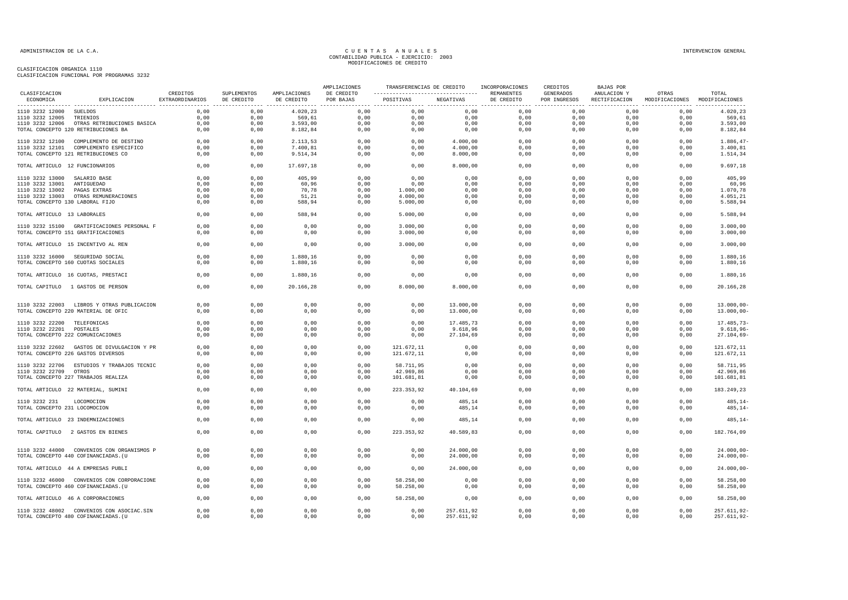| CLASIFICACION                                  |                                            | CREDITOS        | SUPLEMENTOS  | AMPLIACIONES | AMPLIACIONES<br>DE CREDITO | TRANSFERENCIAS DE CREDITO |                  | INCORPORACIONES<br>REMANENTES | CREDITOS<br><b>GENERADOS</b> | <b>BAJAS POR</b><br>ANULACION Y | OTRAS                         | TOTAL                    |
|------------------------------------------------|--------------------------------------------|-----------------|--------------|--------------|----------------------------|---------------------------|------------------|-------------------------------|------------------------------|---------------------------------|-------------------------------|--------------------------|
| ECONOMICA                                      | EXPLICACION                                | EXTRAORDINARIOS | DE CREDITO   | DE CREDITO   | POR BAJAS                  | POSITIVAS                 | NEGATIVAS        | DE CREDITO                    | POR INGRESOS                 | RECTIFICACION                   | MODIFICACIONES MODIFICACIONES |                          |
| 1110 3232 12000 SUELDOS                        |                                            | 0,00            | 0,00         | 4.020,23     | 0,00                       | 0,00                      | 0,00             | 0,00                          | 0,00                         | 0,00                            | 0,00                          | 4.020,23                 |
| 1110 3232 12005                                | TRIENIOS                                   | 0,00            | 0,00         | 569,61       | 0,00                       | 0,00                      | 0,00             | 0,00                          | 0,00                         | 0,00                            | 0,00                          | 569,61                   |
|                                                | 1110 3232 12006 OTRAS RETRIBUCIONES BASICA | 0,00            | 0,00         | 3.593,00     | 0,00                       | 0,00                      | 0,00             | 0,00                          | 0,00                         | 0,00                            | 0,00                          | 3.593,00                 |
|                                                | TOTAL CONCEPTO 120 RETRIBUCIONES BA        | 0,00            | 0,00         | 8.182,84     | 0,00                       | 0,00                      | 0,00             | 0,00                          | 0,00                         | 0,00                            | 0,00                          | 8.182,84                 |
|                                                | 1110 3232 12100 COMPLEMENTO DE DESTINO     | 0,00            | 0,00         | 2.113,53     | 0,00                       | 0,00                      | 4.000,00         | 0,00                          | 0,00                         | 0,00                            | 0,00                          | 1.886,47-                |
|                                                | 1110 3232 12101 COMPLEMENTO ESPECIFICO     | 0,00            | 0,00         | 7.400,81     | 0,00                       | 0,00                      | 4.000,00         | 0,00                          | 0,00                         | 0,00                            | 0,00                          | 3.400,81                 |
|                                                | TOTAL CONCEPTO 121 RETRIBUCIONES CO        | 0,00            | 0,00         | 9.514,34     | 0,00                       | 0,00                      | 8.000,00         | 0,00                          | 0,00                         | 0,00                            | 0,00                          | 1.514,34                 |
| TOTAL ARTICULO 12 FUNCIONARIOS                 |                                            | 0.00            | 0.00         | 17.697,18    | 0.00                       | 0.00                      | 8.000,00         | 0,00                          | 0.00                         | 0.00                            | 0.00                          | 9.697,18                 |
| 1110 3232 13000 SALARIO BASE                   |                                            | 0,00            | 0,00         | 405,99       | 0,00                       | 0,00                      | 0,00             | 0,00                          | 0,00                         | 0,00                            | 0,00                          | 405,99                   |
| 1110 3232 13001 ANTIGUEDAD                     |                                            | 0,00            | 0,00         | 60,96        | 0,00                       | 0,00                      | 0,00             | 0,00                          | 0,00                         | 0,00                            | 0,00                          | 60,96                    |
| 1110 3232 13002  PAGAS EXTRAS                  |                                            | 0,00            | 0,00         | 70,78        | 0,00                       | 1.000,00                  | 0,00             | 0,00                          | 0,00                         | 0,00                            | 0,00                          | 1.070,78                 |
|                                                | 1110 3232 13003 OTRAS REMUNERACIONES       | 0,00            | 0,00         | 51,21        | 0,00                       | 4.000,00                  | 0,00             | 0,00                          | 0,00                         | 0,00                            | 0,00                          | 4.051,21                 |
| TOTAL CONCEPTO 130 LABORAL FIJO                |                                            | 0,00            | 0,00         | 588,94       | 0,00                       | 5.000,00                  | 0,00             | 0,00                          | 0,00                         | 0,00                            | 0,00                          | 5.588,94                 |
| TOTAL ARTICULO 13 LABORALES                    |                                            | 0,00            | 0,00         | 588,94       | 0,00                       | 5.000,00                  | 0,00             | 0,00                          | 0,00                         | 0,00                            | 0,00                          | 5.588,94                 |
|                                                | 1110 3232 15100 GRATIFICACIONES PERSONAL F | 0,00            | 0,00         | 0,00         | 0,00                       | 3.000,00                  | 0,00             | 0,00                          | 0,00                         | 0,00                            | 0,00                          | 3.000,00                 |
|                                                | TOTAL CONCEPTO 151 GRATIFICACIONES         | 0,00            | 0,00         | 0,00         | 0,00                       | 3.000,00                  | 0,00             | 0,00                          | 0,00                         | 0,00                            | 0,00                          | 3.000,00                 |
|                                                | TOTAL ARTICULO 15 INCENTIVO AL REN         | 0,00            | 0,00         | 0,00         | 0,00                       | 3.000,00                  | 0,00             | 0,00                          | 0,00                         | 0,00                            | 0,00                          | 3.000,00                 |
|                                                | 1110 3232 16000 SEGURIDAD SOCIAL           | 0,00            | 0,00         | 1.880,16     | 0,00                       | 0,00                      | 0,00             | 0,00                          | 0,00                         | 0,00                            | 0,00                          | 1.880,16                 |
|                                                | TOTAL CONCEPTO 160 CUOTAS SOCIALES         | 0,00            | 0,00         | 1.880,16     | 0,00                       | 0,00                      | 0,00             | 0,00                          | 0,00                         | 0,00                            | 0,00                          | 1.880,16                 |
|                                                | TOTAL ARTICULO 16 CUOTAS, PRESTACI         | 0,00            | 0,00         | 1.880,16     | 0,00                       | 0,00                      | 0,00             | 0,00                          | 0,00                         | 0,00                            | 0,00                          | 1.880,16                 |
|                                                | TOTAL CAPITULO 1 GASTOS DE PERSON          | 0,00            | 0,00         | 20.166,28    | 0,00                       | 8.000,00                  | 8.000,00         | 0,00                          | 0,00                         | 0,00                            | 0,00                          | 20.166,28                |
|                                                |                                            |                 |              |              |                            |                           |                  |                               |                              |                                 |                               |                          |
|                                                | 1110 3232 22003 LIBROS Y OTRAS PUBLICACION | 0.00            | 0.00         | 0,00         | 0,00                       | 0,00                      | 13.000,00        | 0,00                          | 0.00                         | 0.00                            | 0,00                          | $13.000,00 -$            |
|                                                | TOTAL CONCEPTO 220 MATERIAL DE OFIC        | 0,00            | 0,00         | 0,00         | 0,00                       | 0,00                      | 13.000,00        | 0,00                          | 0,00                         | 0,00                            | 0,00                          | $13.000,00 -$            |
| 1110 3232 22200 TELEFONICAS                    |                                            | 0,00            | 0,00         | 0,00         | 0,00                       | 0,00                      | 17.485,73        | 0,00                          | 0,00                         | 0,00                            | 0,00                          | 17.485,73-               |
| 1110 3232 22201 POSTALES                       |                                            | 0,00            | 0,00         | 0,00         | 0,00                       | 0,00                      | 9.618,96         | 0,00                          | 0,00                         | 0,00                            | 0,00                          | $9.618, 96 -$            |
|                                                | TOTAL CONCEPTO 222 COMUNICACIONES          | 0,00            | 0,00         | 0,00         | 0,00                       | 0,00                      | 27.104,69        | 0,00                          | 0,00                         | 0,00                            | 0,00                          | $27.104,69-$             |
|                                                |                                            |                 |              |              |                            |                           |                  |                               |                              |                                 |                               |                          |
|                                                | 1110 3232 22602 GASTOS DE DIVULGACION Y PR | 0,00            | 0,00         | 0,00         | 0,00                       | 121.672,11                | 0,00             | 0,00                          | 0,00                         | 0,00                            | 0,00                          | 121.672,11               |
|                                                | TOTAL CONCEPTO 226 GASTOS DIVERSOS         | 0.00            | 0,00         | 0,00         | 0,00                       | 121.672,11                | 0,00             | 0,00                          | 0,00                         | 0.00                            | 0,00                          | 121.672,11               |
|                                                | 1110 3232 22706 ESTUDIOS Y TRABAJOS TECNIC | 0,00            | 0,00         | 0,00         | 0,00                       | 58.711,95                 | 0,00             | 0,00                          | 0,00                         | 0,00                            | 0,00                          | 58.711,95                |
| 1110 3232 22709 OTROS                          |                                            | 0,00            | 0,00         | 0,00         | 0,00                       | 42.969,86                 | 0,00             | 0,00                          | 0,00                         | 0,00                            | 0,00                          | 42.969,86                |
|                                                | TOTAL CONCEPTO 227 TRABAJOS REALIZA        | 0,00            | 0,00         | 0,00         | 0,00                       | 101.681,81                | 0,00             | 0,00                          | 0,00                         | 0,00                            | 0,00                          | 101.681,81               |
|                                                | TOTAL ARTICULO 22 MATERIAL, SUMINI         | 0.00            | 0.00         | 0.00         | 0.00                       | 223.353.92                | 40.104,69        | 0.00                          | 0.00                         | 0.00                            | 0.00                          | 183.249.23               |
|                                                |                                            |                 |              |              |                            |                           |                  |                               |                              |                                 |                               |                          |
| 1110 3232 231<br>TOTAL CONCEPTO 231 LOCOMOCION | LOCOMOCION                                 | 0,00<br>0,00    | 0,00<br>0,00 | 0,00<br>0,00 | 0,00<br>0,00               | 0,00<br>0,00              | 485,14<br>485,14 | 0,00<br>0,00                  | 0,00<br>0,00                 | 0,00<br>0,00                    | 0,00<br>0,00                  | $485, 14-$<br>$485, 14-$ |
|                                                | TOTAL ARTICULO 23 INDEMNIZACIONES          | 0,00            | 0,00         | 0,00         | 0,00                       | 0,00                      | 485,14           | 0,00                          | 0,00                         | 0,00                            | 0,00                          | $485, 14-$               |
|                                                |                                            |                 |              |              |                            |                           |                  |                               |                              |                                 |                               |                          |
|                                                | TOTAL CAPITULO 2 GASTOS EN BIENES          | 0,00            | 0,00         | 0,00         | 0,00                       | 223.353,92                | 40.589,83        | 0,00                          | 0,00                         | 0,00                            | 0,00                          | 182.764,09               |
|                                                | 1110 3232 44000 CONVENIOS CON ORGANISMOS P | 0,00            | 0,00         | 0,00         | 0,00                       | 0,00                      | 24.000,00        | 0,00                          | 0,00                         | 0,00                            | 0,00                          | $24.000,00 -$            |
|                                                | TOTAL CONCEPTO 440 COFINANCIADAS. (U       | 0,00            | 0,00         | 0,00         | 0,00                       | 0,00                      | 24.000,00        | 0,00                          | 0,00                         | 0,00                            | 0,00                          | $24.000,00 -$            |
|                                                | TOTAL ARTICULO 44 A EMPRESAS PUBLI         | 0,00            | 0,00         | 0,00         | 0,00                       | 0,00                      | 24.000,00        | 0,00                          | 0,00                         | 0,00                            | 0,00                          | $24.000,00 -$            |
|                                                | 1110 3232 46000 CONVENIOS CON CORPORACIONE | 0,00            | 0,00         | 0,00         | 0,00                       | 58.258,00                 | 0,00             | 0,00                          | 0,00                         | 0,00                            | 0,00                          | 58.258,00                |
|                                                | TOTAL CONCEPTO 460 COFINANCIADAS. (U       | 0,00            | 0,00         | 0,00         | 0,00                       | 58.258,00                 | 0,00             | 0,00                          | 0,00                         | 0,00                            | 0,00                          | 58.258,00                |
|                                                | TOTAL ARTICULO 46 A CORPORACIONES          | 0,00            | 0,00         | 0,00         | 0,00                       | 58.258,00                 | 0,00             | $0$ , $00$                    | 0,00                         | 0,00                            | 0,00                          | 58.258,00                |
|                                                | 1110 3232 48002 CONVENIOS CON ASOCIAC.SIN  | 0,00            | 0,00         | 0,00         | 0,00                       | 0,00                      | 257.611,92       | 0,00                          | 0,00                         | 0,00                            | 0,00                          | 257.611,92-              |
|                                                | TOTAL CONCEPTO 480 COFINANCIADAS. (U       | 0,00            | 0,00         | 0,00         | 0,00                       | 0,00                      | 257.611,92       | 0,00                          | 0,00                         | 0,00                            | 0,00                          | 257.611,92-              |
|                                                |                                            |                 |              |              |                            |                           |                  |                               |                              |                                 |                               |                          |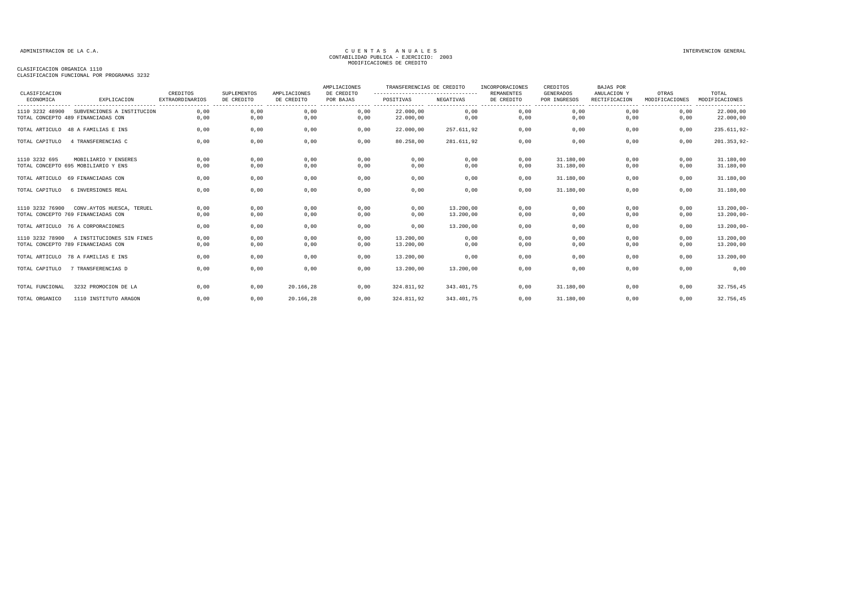| CLASIFICACION   |                                                                  | CREDITOS                                   | SUPLEMENTOS                                                                                                                                                                                                                                                                                                                                                                                                                                                                                                     | AMPLIACIONES                       | AMPLIACIONES<br>DE CREDITO           | TRANSFERENCIAS DE CREDITO<br>---------------------------------- |                                                    | INCORPORACIONES<br><b>REMANENTES</b> | CREDITOS<br><b>GENERADOS</b> | <b>BAJAS POR</b><br>ANULACION Y | OTRAS                   | TOTAL                          |
|-----------------|------------------------------------------------------------------|--------------------------------------------|-----------------------------------------------------------------------------------------------------------------------------------------------------------------------------------------------------------------------------------------------------------------------------------------------------------------------------------------------------------------------------------------------------------------------------------------------------------------------------------------------------------------|------------------------------------|--------------------------------------|-----------------------------------------------------------------|----------------------------------------------------|--------------------------------------|------------------------------|---------------------------------|-------------------------|--------------------------------|
| ECONOMICA       | EXPLICACION                                                      | <b>EXTRAORDINARIOS</b><br>---------------- | DE CREDITO<br>$\begin{array}{cccccccccccccc} \multicolumn{2}{c}{} & \multicolumn{2}{c}{} & \multicolumn{2}{c}{} & \multicolumn{2}{c}{} & \multicolumn{2}{c}{} & \multicolumn{2}{c}{} & \multicolumn{2}{c}{} & \multicolumn{2}{c}{} & \multicolumn{2}{c}{} & \multicolumn{2}{c}{} & \multicolumn{2}{c}{} & \multicolumn{2}{c}{} & \multicolumn{2}{c}{} & \multicolumn{2}{c}{} & \multicolumn{2}{c}{} & \multicolumn{2}{c}{} & \multicolumn{2}{c}{} & \multicolumn{2}{c}{} & \multicolumn{2}{c}{} & \$<br>------- | DE CREDITO<br>-------<br>--------- | POR BAJAS<br>----------------------- | POSITIVAS                                                       | NEGATIVAS<br>----------- ---------------- -------- | DE CREDITO<br>------                 | POR INGRESOS<br>------       | RECTIFICACION<br>-------        | MODIFICACIONES<br>----- | MODIFICACIONES<br>.            |
| 1110 3232 48900 | SUBVENCIONES A INSTITUCION<br>TOTAL CONCEPTO 489 FINANCIADAS CON | 0.00<br>0,00                               | 0,00<br>0,00                                                                                                                                                                                                                                                                                                                                                                                                                                                                                                    | 0,00<br>0,00                       | 0,00<br>0,00                         | 22.000,00<br>22,000,00                                          | 0,00<br>0,00                                       | 0,00<br>0,00                         | 0,00<br>0,00                 | 0.00<br>0,00                    | 0.00<br>0,00            | 22.000,00<br>22.000,00         |
|                 | TOTAL ARTICULO 48 A FAMILIAS E INS                               | 0,00                                       | 0,00                                                                                                                                                                                                                                                                                                                                                                                                                                                                                                            | 0,00                               | 0,00                                 | 22.000,00                                                       | 257.611,92                                         | 0,00                                 | 0,00                         | 0,00                            | 0,00                    | 235.611,92-                    |
| TOTAL CAPITULO  | 4 TRANSFERENCIAS C                                               | 0,00                                       | 0,00                                                                                                                                                                                                                                                                                                                                                                                                                                                                                                            | 0,00                               | 0,00                                 | 80.258,00                                                       | 281.611,92                                         | 0,00                                 | 0,00                         | 0,00                            | 0,00                    | $201.353,92-$                  |
| 1110 3232 695   | MOBILIARIO Y ENSERES<br>TOTAL CONCEPTO 695 MOBILIARIO Y ENS      | 0.00<br>0.00                               | 0.00<br>0,00                                                                                                                                                                                                                                                                                                                                                                                                                                                                                                    | 0,00<br>0,00                       | 0,00<br>0,00                         | 0,00<br>0,00                                                    | 0,00<br>0,00                                       | 0.00<br>0,00                         | 31,180,00<br>31,180,00       | 0,00<br>0,00                    | 0.00<br>0,00            | 31.180,00<br>31.180,00         |
|                 | TOTAL ARTICULO 69 FINANCIADAS CON                                | 0,00                                       | 0,00                                                                                                                                                                                                                                                                                                                                                                                                                                                                                                            | 0,00                               | 0,00                                 | 0,00                                                            | 0,00                                               | 0,00                                 | 31.180,00                    | 0,00                            | 0,00                    | 31.180,00                      |
| TOTAL CAPITULO  | 6 INVERSIONES REAL                                               | 0,00                                       | 0,00                                                                                                                                                                                                                                                                                                                                                                                                                                                                                                            | 0,00                               | 0,00                                 | 0,00                                                            | 0,00                                               | 0,00                                 | 31.180,00                    | 0,00                            | 0,00                    | 31.180,00                      |
| 1110 3232 76900 | CONV.AYTOS HUESCA, TERUEL<br>TOTAL CONCEPTO 769 FINANCIADAS CON  | 0,00<br>0,00                               | 0,00<br>0,00                                                                                                                                                                                                                                                                                                                                                                                                                                                                                                    | 0,00<br>0,00                       | 0,00<br>0,00                         | 0,00<br>0,00                                                    | 13,200,00<br>13.200,00                             | 0,00<br>0,00                         | 0,00<br>0,00                 | 0,00<br>0,00                    | 0,00<br>0,00            | $13.200,00 -$<br>$13.200,00 -$ |
|                 | TOTAL ARTICULO 76 A CORPORACIONES                                | 0,00                                       | 0,00                                                                                                                                                                                                                                                                                                                                                                                                                                                                                                            | 0,00                               | 0,00                                 | 0,00                                                            | 13,200,00                                          | 0,00                                 | 0,00                         | 0,00                            | 0,00                    | $13.200,00 -$                  |
| 1110 3232 78900 | A INSTITUCIONES SIN FINES<br>TOTAL CONCEPTO 789 FINANCIADAS CON  | 0,00<br>0.00                               | 0,00<br>0,00                                                                                                                                                                                                                                                                                                                                                                                                                                                                                                    | 0,00<br>0,00                       | 0,00<br>0,00                         | 13,200,00<br>13,200,00                                          | 0,00<br>0,00                                       | 0,00<br>0,00                         | 0,00<br>0,00                 | 0,00<br>0,00                    | 0,00<br>0,00            | 13.200,00<br>13.200,00         |
|                 | TOTAL ARTICULO 78 A FAMILIAS E INS                               | 0,00                                       | 0,00                                                                                                                                                                                                                                                                                                                                                                                                                                                                                                            | 0,00                               | 0,00                                 | 13.200,00                                                       | 0,00                                               | 0,00                                 | 0,00                         | 0,00                            | 0,00                    | 13.200,00                      |
| TOTAL CAPITULO  | 7 TRANSFERENCIAS D                                               | 0.00                                       | 0,00                                                                                                                                                                                                                                                                                                                                                                                                                                                                                                            | 0,00                               | 0,00                                 | 13,200,00                                                       | 13,200,00                                          | 0.00                                 | 0,00                         | 0,00                            | 0,00                    | 0,00                           |
| TOTAL FUNCIONAL | 3232 PROMOCION DE LA                                             | 0.00                                       | 0,00                                                                                                                                                                                                                                                                                                                                                                                                                                                                                                            | 20.166.28                          | 0,00                                 | 324.811,92                                                      | 343.401.75                                         | 0.00                                 | 31.180,00                    | 0.00                            | 0,00                    | 32.756,45                      |
| TOTAL ORGANICO  | 1110 INSTITUTO ARAGON                                            | 0,00                                       | 0,00                                                                                                                                                                                                                                                                                                                                                                                                                                                                                                            | 20.166,28                          | 0,00                                 | 324.811,92                                                      | 343.401,75                                         | 0,00                                 | 31.180,00                    | 0,00                            | 0,00                    | 32.756,45                      |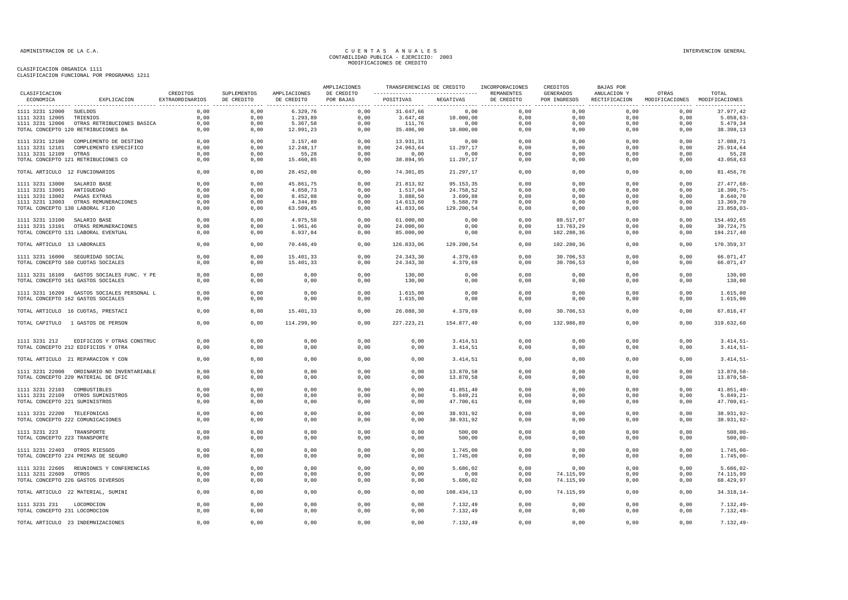| CLASIFICACION                   |                                                                        |                             |                           |                            | AMPLIACIONES            | TRANSFERENCIAS DE CREDITO                                 |                        | INCORPORACIONES | CREDITOS                         | <b>BAJAS POR</b>             |                                        |                          |
|---------------------------------|------------------------------------------------------------------------|-----------------------------|---------------------------|----------------------------|-------------------------|-----------------------------------------------------------|------------------------|-----------------|----------------------------------|------------------------------|----------------------------------------|--------------------------|
| ECONOMICA                       | EXPLICACION                                                            | CREDITOS<br>EXTRAORDINARIOS | SUPLEMENTOS<br>DE CREDITO | AMPLIACIONES<br>DE CREDITO | DE CREDITO<br>POR BAJAS | --------------------------------- REMANENTES<br>POSITIVAS | NEGATIVAS              | DE CREDITO      | <b>GENERADOS</b><br>POR INGRESOS | ANULACION Y<br>RECTIFICACION | OTRAS<br>MODIFICACIONES MODIFICACIONES | TOTAL                    |
| 1111 3231 12000 SUELDOS         |                                                                        | 0,00                        | 0,00                      | 6.329,76                   | 0,00                    | 31.647,66                                                 | 0,00                   | 0,00            | 0,00                             | 0,00                         | 0,00                                   | 37.977,42                |
| 1111 3231 12005 TRIENIOS        |                                                                        | 0,00                        | 0,00                      | 1.293,89                   | 0,00                    | 3.647,48                                                  | 10.000,00              | 0,00            | 0,00                             | 0,00                         | 0,00                                   | 5.058, 63                |
|                                 | 1111 3231 12006 OTRAS RETRIBUCIONES BASICA                             | 0,00                        | 0,00                      | 5.367,58                   | 0,00                    | 111,76                                                    | 0,00                   | 0,00            | 0,00                             | 0,00                         | 0,00                                   | 5.479,34                 |
|                                 | TOTAL CONCEPTO 120 RETRIBUCIONES BA                                    | 0,00                        | 0,00                      | 12.991,23                  | 0,00                    | 35.406,90                                                 | 10.000,00              | 0,00            | 0,00                             | 0,00                         | 0,00                                   | 38.398,13                |
|                                 | 1111 3231 12100 COMPLEMENTO DE DESTINO                                 | 0,00                        | 0,00                      | 3.157,40                   | 0,00                    | 13.931,31                                                 | 0,00                   | 0,00            | 0,00                             | 0,00                         | 0,00                                   | 17.088,71                |
|                                 | 1111 3231 12101 COMPLEMENTO ESPECIFICO                                 | 0,00                        | 0,00                      | 12.248,17                  | 0,00                    | 24.963,64                                                 | 11.297,17              | 0,00            | 0,00                             | 0,00                         | 0,00                                   | 25.914,64                |
| 1111 3231 12109 OTRAS           |                                                                        | 0.00                        | 0.00                      | 55.28                      | 0,00                    | 0,00                                                      | 0,00                   | 0,00            | 0.00                             | 0.00                         | 0.00                                   | 55,28                    |
|                                 | TOTAL CONCEPTO 121 RETRIBUCIONES CO                                    | 0,00                        | 0,00                      | 15.460,85                  | 0,00                    | 38.894,95                                                 | 11.297,17              | 0,00            | 0,00                             | 0,00                         | 0,00                                   | 43.058,63                |
| TOTAL ARTICULO 12 FUNCIONARIOS  |                                                                        | 0,00                        | 0,00                      | 28.452,08                  | 0,00                    | 74.301,85                                                 | 21.297,17              | 0,00            | 0,00                             | 0,00                         | 0,00                                   | 81.456,76                |
| 1111 3231 13000 SALARIO BASE    |                                                                        | 0,00                        | 0,00                      | 45.861,75                  | 0,00                    | 21.813,92                                                 | 95.153,35              | 0,00            | 0,00                             | 0,00                         | 0,00                                   | 27.477,68-               |
| 1111 3231 13001 ANTIGUEDAD      |                                                                        | 0,00                        | 0,00                      | 4.850,73                   | 0,00                    | 1.517,04                                                  | 24.758,52              | 0,00            | 0,00                             | 0,00                         | 0,00                                   | 18.390,75-               |
| 1111 3231 13002 PAGAS EXTRAS    |                                                                        | 0,00                        | 0,00                      | 8.452,08                   | 0,00                    | 3.888,50                                                  | 3.699,88               | 0,00            | 0,00                             | 0,00                         | 0,00                                   | 8.640,70                 |
|                                 | 1111 3231 13003 OTRAS REMUNERACIONES                                   | 0,00                        | 0,00                      | 4.344,89                   | 0,00                    | 14.613,60                                                 | 5.588,79               | 0,00            | 0,00                             | 0,00                         | 0,00                                   | 13.369,70                |
| TOTAL CONCEPTO 130 LABORAL FIJO |                                                                        | 0,00                        | 0,00                      | 63.509,45                  | 0,00                    | 41.833,06                                                 | 129.200,54             | 0,00            | 0,00                             | 0,00                         | 0,00                                   | $23.858,03-$             |
| 1111 3231 13100  SALARIO BASE   |                                                                        | 0.00                        | 0.00                      | 4.975,58                   | 0,00                    | 61,000,00                                                 | 0,00                   | 0,00            | 88.517,07                        | 0.00                         | 0.00                                   | 154.492.65               |
|                                 | 1111 3231 13101 OTRAS REMUNERACIONES                                   | 0,00                        | 0.00                      | 1.961,46                   | 0,00                    | 24.000,00                                                 | 0,00                   | 0,00            | 13.763,29                        | 0,00                         | 0,00                                   | 39.724,75                |
|                                 | TOTAL CONCEPTO 131 LABORAL EVENTUAL                                    | 0,00                        | 0,00                      | 6.937,04                   | 0,00                    | 85.000,00                                                 | 0,00                   | 0,00            | 102.280,36                       | 0,00                         | 0,00                                   | 194.217,40               |
| TOTAL ARTICULO 13 LABORALES     |                                                                        | 0,00                        | 0,00                      | 70.446,49                  | 0,00                    | 126.833,06                                                | 129.200,54             | 0,00            | 102.280,36                       | 0,00                         | 0,00                                   | 170.359,37               |
|                                 |                                                                        | 0,00                        | 0,00                      | 15.401,33                  | 0,00                    | 24.343,30                                                 | 4.379,69               | 0,00            | 30.706,53                        | 0,00                         | 0,00                                   | 66.071,47                |
|                                 | 1111 3231 16000 SEGURIDAD SOCIAL<br>TOTAL CONCEPTO 160 CUOTAS SOCIALES | 0,00                        | 0,00                      | 15.401,33                  | 0,00                    | 24.343,30                                                 | 4.379,69               | 0,00            | 30.706,53                        | 0,00                         | 0,00                                   | 66.071,47                |
|                                 | 1111 3231 16109 GASTOS SOCIALES FUNC. Y PE                             | 0,00                        | 0,00                      | 0,00                       | 0,00                    | 130,00                                                    | 0,00                   | 0,00            | 0,00                             | 0,00                         | 0,00                                   | 130,00                   |
|                                 | TOTAL CONCEPTO 161 GASTOS SOCIALES                                     | 0,00                        | 0,00                      | 0,00                       | 0,00                    | 130,00                                                    | 0,00                   | 0,00            | 0,00                             | 0,00                         | 0,00                                   | 130,00                   |
|                                 | 1111 3231 16209 GASTOS SOCIALES PERSONAL L                             | 0.00                        | 0.00                      | 0,00                       | 0,00                    | 1.615,00                                                  | 0,00                   | 0,00            | 0,00                             | 0,00                         | 0,00                                   | 1.615,00                 |
|                                 | TOTAL CONCEPTO 162 GASTOS SOCIALES                                     | 0,00                        | 0,00                      | 0,00                       | 0,00                    | 1.615,00                                                  | 0,00                   | 0,00            | 0,00                             | 0,00                         | 0,00                                   | 1.615,00                 |
|                                 | TOTAL ARTICULO 16 CUOTAS, PRESTACI                                     | 0,00                        | 0,00                      | 15.401,33                  | 0,00                    | 26.088,30                                                 | 4.379,69               | 0,00            | 30.706,53                        | 0,00                         | 0,00                                   | 67.816,47                |
|                                 | TOTAL CAPITULO 1 GASTOS DE PERSON                                      | 0,00                        | 0,00                      | 114.299,90                 | 0,00                    | 227.223,21                                                | 154.877,40             | 0,00            | 132.986,89                       | 0,00                         | 0,00                                   | 319.632,60               |
| 1111 3231 212                   | EDIFICIOS Y OTRAS CONSTRUC                                             | 0,00                        | 0,00                      | 0,00                       | 0,00                    | 0,00                                                      | 3.414,51               | 0,00            | 0,00                             | 0,00                         | 0,00                                   | $3.414, 51 -$            |
|                                 | TOTAL CONCEPTO 212 EDIFICIOS Y OTRA                                    | 0,00                        | 0,00                      | 0,00                       | 0,00                    | 0,00                                                      | 3.414,51               | 0,00            | 0,00                             | 0,00                         | 0,00                                   | $3.414, 51 -$            |
|                                 | TOTAL ARTICULO 21 REPARACION Y CON                                     | 0,00                        | 0,00                      | 0,00                       | 0,00                    | 0,00                                                      | 3.414,51               | 0,00            | 0,00                             | 0,00                         | 0,00                                   | $3.414, 51 -$            |
|                                 |                                                                        |                             |                           |                            |                         |                                                           |                        |                 |                                  |                              |                                        |                          |
|                                 | 1111 3231 22000 ORDINARIO NO INVENTARIABLE                             | 0,00                        | 0.00                      | 0,00                       | 0,00                    | 0,00                                                      | 13.870,58              | 0,00            | 0,00                             | 0.00                         | 0,00                                   | 13.870,58-               |
|                                 | TOTAL CONCEPTO 220 MATERIAL DE OFIC                                    | 0,00                        | 0,00                      | 0,00                       | 0,00                    | 0,00                                                      | 13.870,58              | 0,00            | 0,00                             | 0,00                         | 0,00                                   | 13.870,58-               |
| 1111 3231 22103 COMBUSTIBLES    |                                                                        | 0,00                        | 0,00                      | 0,00                       | 0,00                    | 0,00                                                      | 41.851,40              | 0,00            | 0,00                             | 0,00                         | 0,00                                   | $41.851, 40 -$           |
|                                 | 1111 3231 22109 OTROS SUMINISTROS                                      | 0,00                        | 0,00                      | 0,00                       | 0,00                    | 0,00                                                      | 5.849,21               | 0,00            | 0,00                             | 0,00                         | 0,00                                   | $5.849, 21 -$            |
| TOTAL CONCEPTO 221 SUMINISTROS  |                                                                        | 0,00                        | 0,00                      | 0,00                       | 0,00                    | 0,00                                                      | 47.700,61              | 0,00            | 0,00                             | 0,00                         | 0,00                                   | $47.700,61 -$            |
|                                 |                                                                        |                             |                           |                            |                         |                                                           |                        |                 |                                  |                              |                                        |                          |
| 1111 3231 22200 TELEFONICAS     | TOTAL CONCEPTO 222 COMUNICACIONES                                      | 0,00<br>0,00                | 0,00<br>0,00              | 0,00<br>0,00               | 0,00<br>0,00            | 0,00<br>0,00                                              | 38.931,92<br>38.931,92 | 0,00<br>0,00    | 0,00<br>0,00                     | 0,00<br>0,00                 | 0,00<br>0,00                           | 38.931,92-<br>38.931,92- |
|                                 |                                                                        |                             |                           |                            |                         |                                                           |                        |                 |                                  |                              |                                        |                          |
| 1111 3231 223                   | TRANSPORTE                                                             | 0.00                        | 0.00                      | 0,00                       | 0,00                    | 0,00                                                      | 500,00                 | 0,00            | 0,00                             | 0.00                         | 0.00                                   | $500,00 -$               |
| TOTAL CONCEPTO 223 TRANSPORTE   |                                                                        | 0,00                        | 0,00                      | 0,00                       | 0,00                    | 0,00                                                      | 500,00                 | 0,00            | 0,00                             | 0,00                         | 0,00                                   | $500,00 -$               |
| 1111 3231 22403 OTROS RIESGOS   |                                                                        | 0,00                        | 0,00                      | 0,00                       | 0,00                    | 0,00                                                      | 1.745,00               | 0,00            | 0,00                             | 0,00                         | 0,00                                   | $1.745,00-$              |
|                                 | TOTAL CONCEPTO 224 PRIMAS DE SEGURO                                    | 0,00                        | 0,00                      | 0,00                       | 0,00                    | 0,00                                                      | 1.745,00               | 0,00            | 0,00                             | 0,00                         | 0,00                                   | $1.745,00 -$             |
|                                 | 1111 3231 22605 REUNIONES Y CONFERENCIAS                               | 0,00                        | 0,00                      | 0,00                       | 0,00                    | 0,00                                                      | 5.686,02               | 0,00            | 0,00                             | 0,00                         | 0,00                                   | $5.686,02-$              |
| 1111 3231 22609 OTROS           |                                                                        | 0,00                        | 0,00                      | 0,00                       | 0,00                    | 0,00                                                      | 0,00                   | 0,00            | 74.115,99                        | 0,00                         | 0,00                                   | 74.115.99                |
|                                 | TOTAL CONCEPTO 226 GASTOS DIVERSOS                                     | 0,00                        | 0,00                      | 0,00                       | 0,00                    | 0,00                                                      | 5.686,02               | 0,00            | 74.115,99                        | 0,00                         | 0,00                                   | 68.429,97                |
|                                 | TOTAL ARTICULO 22 MATERIAL, SUMINI                                     | 0,00                        | 0,00                      | 0,00                       | 0,00                    | 0,00                                                      | 108.434,13             | 0,00            | 74.115,99                        | 0,00                         | 0,00                                   | $34.318, 14-$            |
| 1111 3231 231                   | LOCOMOCION                                                             | 0,00                        | 0,00                      | 0,00                       | 0,00                    | 0,00                                                      | 7.132,49               | 0,00            | 0,00                             | 0,00                         | 0,00                                   | $7.132, 49-$             |
| TOTAL CONCEPTO 231 LOCOMOCION   |                                                                        | 0,00                        | 0,00                      | 0,00                       | 0,00                    | 0,00                                                      | 7.132,49               | 0,00            | 0,00                             | 0,00                         | 0,00                                   | $7.132, 49-$             |
|                                 |                                                                        |                             |                           |                            |                         |                                                           |                        |                 |                                  |                              |                                        |                          |
|                                 | TOTAL ARTICULO 23 INDEMNIZACIONES                                      | 0,00                        | 0,00                      | 0,00                       | 0,00                    | 0,00                                                      | 7.132,49               | 0,00            | 0,00                             | 0,00                         | 0,00                                   | $7.132, 49-$             |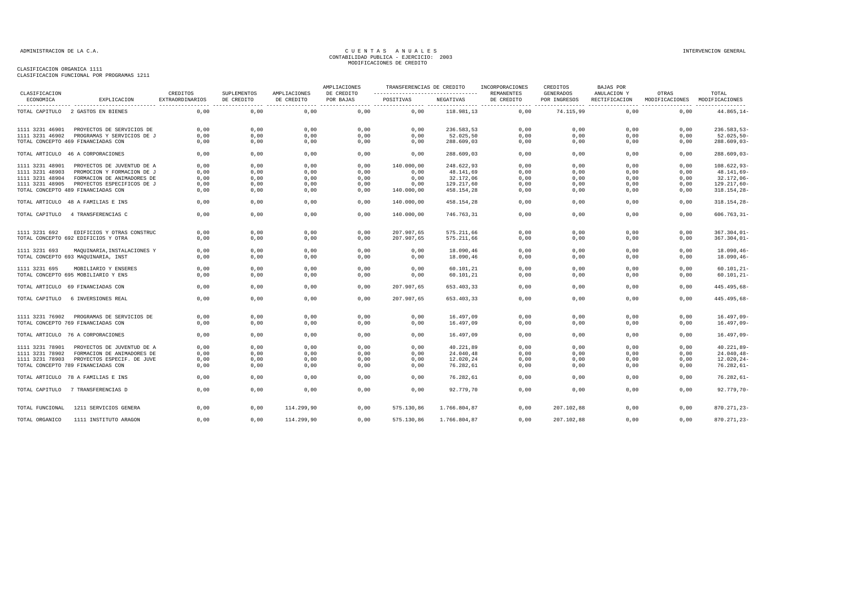#### CLASIFICACION ORGANICA 1111

CLASIFICACION FUNCIONAL POR PROGRAMAS 1211

| CLASIFICACION   |                                     | CREDITOS        | SUPLEMENTOS |                            | AMPLIACIONES<br>DE CREDITO | TRANSFERENCIAS DE CREDITO<br>----------------------------------- |              | INCORPORACIONES<br><b>REMANENTES</b> | CREDITOS<br><b>GENERADOS</b> | <b>BAJAS POR</b><br>ANULACION Y |                         | TOTAL                     |
|-----------------|-------------------------------------|-----------------|-------------|----------------------------|----------------------------|------------------------------------------------------------------|--------------|--------------------------------------|------------------------------|---------------------------------|-------------------------|---------------------------|
| ECONOMICA       | EXPLICACION                         | EXTRAORDINARIOS | DE CREDITO  | AMPLIACIONES<br>DE CREDITO | POR BAJAS                  | POSITIVAS                                                        | NEGATIVAS    | DE CREDITO                           | POR INGRESOS                 | RECTIFICACION                   | OTRAS<br>MODIFICACIONES | MODIFICACIONES            |
|                 | TOTAL CAPITULO 2 GASTOS EN BIENES   | 0.00            | 0.00        | 0.00                       | 0,00                       | 0.00                                                             | 118.981.13   | 0.00                                 | 74.115.99                    | 0.00                            | 0,00                    | --------<br>$44.865, 14-$ |
| 1111 3231 46901 | PROYECTOS DE SERVICIOS DE           | 0,00            | 0,00        | 0,00                       | 0,00                       | 0,00                                                             | 236.583,53   | 0,00                                 | 0,00                         | 0,00                            | 0,00                    | $236.583,53-$             |
| 1111 3231 46902 | PROGRAMAS Y SERVICIOS DE J          | 0,00            | 0,00        | 0,00                       | 0,00                       | 0,00                                                             | 52.025,50    | 0,00                                 | 0,00                         | 0,00                            | 0,00                    | $52.025, 50 -$            |
|                 | TOTAL CONCEPTO 469 FINANCIADAS CON  | 0.00            | 0,00        | 0,00                       | 0,00                       | 0,00                                                             | 288.609,03   | 0,00                                 | 0.00                         | 0,00                            | 0,00                    | $288.609,03-$             |
|                 | TOTAL ARTICULO 46 A CORPORACIONES   | 0.00            | 0.00        | 0,00                       | 0.00                       | 0.00                                                             | 288.609,03   | 0.00                                 | 0.00                         | 0.00                            | 0.00                    | $288.609,03-$             |
| 1111 3231 48901 | PROYECTOS DE JUVENTUD DE A          | 0,00            | 0,00        | 0,00                       | 0,00                       | 140.000,00                                                       | 248.622,93   | 0,00                                 | 0,00                         | 0,00                            | 0,00                    | $108.622,93-$             |
| 1111 3231 48903 | PROMOCION Y FORMACION DE J          | 0.00            | 0,00        | 0,00                       | 0,00                       | 0,00                                                             | 48.141,69    | 0,00                                 | 0,00                         | 0,00                            | 0,00                    | $48.141,69-$              |
| 1111 3231 48904 | FORMACION DE ANIMADORES DE          | 0,00            | 0,00        | 0,00                       | 0,00                       | 0,00                                                             | 32.172,06    | 0,00                                 | 0,00                         | 0,00                            | 0,00                    | $32.172,06 -$             |
| 1111 3231 48905 | PROYECTOS ESPECIFICOS DE J          | 0,00            | 0,00        | 0,00                       | 0,00                       | 0,00                                                             | 129.217,60   | 0,00                                 | 0,00                         | 0,00                            | 0,00                    | 129.217,60-               |
|                 | TOTAL CONCEPTO 489 FINANCIADAS CON  | 0.00            | 0,00        | 0,00                       | 0,00                       | 140.000,00                                                       | 458.154,28   | 0,00                                 | 0,00                         | 0,00                            | 0,00                    | 318.154,28-               |
|                 | TOTAL ARTICULO 48 A FAMILIAS E INS  | 0,00            | 0,00        | 0,00                       | 0,00                       | 140.000,00                                                       | 458.154,28   | 0,00                                 | 0,00                         | 0,00                            | 0,00                    | 318.154,28-               |
| TOTAL CAPITULO  | 4 TRANSFERENCIAS C                  | 0,00            | 0,00        | 0,00                       | 0,00                       | 140.000,00                                                       | 746.763,31   | 0,00                                 | 0,00                         | 0,00                            | 0,00                    | $606.763, 31 -$           |
| 1111 3231 692   | EDIFICIOS Y OTRAS CONSTRUC          | 0,00            | 0,00        | 0,00                       | 0,00                       | 207.907,65                                                       | 575.211,66   | 0,00                                 | 0,00                         | 0,00                            | 0,00                    | $367.304,01 -$            |
|                 | TOTAL CONCEPTO 692 EDIFICIOS Y OTRA | 0.00            | 0,00        | 0,00                       | 0,00                       | 207.907,65                                                       | 575.211,66   | 0,00                                 | 0,00                         | 0.00                            | 0.00                    | $367.304,01 -$            |
| 1111 3231 693   | MAQUINARIA, INSTALACIONES Y         | 0,00            | 0,00        | 0,00                       | 0,00                       | 0,00                                                             | 18.090,46    | 0,00                                 | 0,00                         | 0,00                            | 0,00                    | $18.090, 46 -$            |
|                 | TOTAL CONCEPTO 693 MAQUINARIA, INST | 0,00            | 0,00        | 0,00                       | 0,00                       | 0,00                                                             | 18.090,46    | 0,00                                 | 0,00                         | 0,00                            | 0,00                    | $18.090, 46 -$            |
| 1111 3231 695   | MOBILIARIO Y ENSERES                | 0,00            | 0,00        | 0,00                       | 0,00                       | 0,00                                                             | 60.101,21    | 0,00                                 | 0,00                         | 0,00                            | 0,00                    | $60.101, 21 -$            |
|                 | TOTAL CONCEPTO 695 MOBILIARIO Y ENS | 0,00            | 0,00        | 0,00                       | 0,00                       | 0,00                                                             | 60.101,21    | 0,00                                 | 0,00                         | 0,00                            | 0,00                    | $60.101, 21 -$            |
|                 | TOTAL ARTICULO 69 FINANCIADAS CON   | 0,00            | 0,00        | 0,00                       | 0,00                       | 207.907,65                                                       | 653.403,33   | 0,00                                 | 0,00                         | 0,00                            | 0,00                    | 445.495,68-               |
| TOTAL CAPITULO  | 6 INVERSIONES REAL                  | 0,00            | 0,00        | 0,00                       | 0,00                       | 207.907,65                                                       | 653.403,33   | 0,00                                 | 0,00                         | 0.00                            | 0,00                    | 445.495,68-               |
| 1111 3231 76902 | PROGRAMAS DE SERVICIOS DE           | 0,00            | 0,00        | 0,00                       | 0,00                       | 0,00                                                             | 16.497,09    | 0,00                                 | 0,00                         | 0,00                            | 0,00                    | $16.497,09-$              |
|                 | TOTAL CONCEPTO 769 FINANCIADAS CON  | 0.00            | 0,00        | 0,00                       | 0.00                       | 0,00                                                             | 16.497,09    | 0,00                                 | 0.00                         | 0.00                            | 0.00                    | $16.497,09-$              |
|                 | TOTAL ARTICULO 76 A CORPORACIONES   | 0,00            | 0,00        | 0,00                       | 0,00                       | 0,00                                                             | 16.497,09    | 0,00                                 | 0,00                         | 0,00                            | 0,00                    | $16.497,09-$              |
|                 |                                     |                 |             |                            |                            |                                                                  |              |                                      |                              |                                 |                         |                           |
| 1111 3231 78901 | PROYECTOS DE JUVENTUD DE A          | 0,00            | 0,00        | 0,00                       | 0,00                       | 0,00                                                             | 40.221,89    | 0,00                                 | 0,00                         | 0,00                            | 0,00                    | $40.221,89-$              |
| 1111 3231 78902 | FORMACION DE ANIMADORES DE          | 0.00            | 0.00        | 0,00                       | 0,00                       | 0,00                                                             | 24.040,48    | 0,00                                 | 0,00                         | 0.00                            | 0.00                    | $24.040, 48 -$            |
| 1111 3231 78903 | PROYECTOS ESPECIF. DE JUVE          | 0,00            | 0,00        | 0,00                       | 0,00                       | 0,00                                                             | 12.020,24    | 0,00                                 | 0,00                         | 0,00                            | 0,00                    | $12.020, 24 -$            |
|                 | TOTAL CONCEPTO 789 FINANCIADAS CON  | 0.00            | 0,00        | 0,00                       | 0,00                       | 0,00                                                             | 76.282,61    | 0,00                                 | 0.00                         | 0.00                            | 0,00                    | $76.282, 61 -$            |
|                 | TOTAL ARTICULO 78 A FAMILIAS E INS  | 0,00            | 0,00        | 0,00                       | 0,00                       | 0,00                                                             | 76.282,61    | 0,00                                 | 0,00                         | 0,00                            | 0,00                    | $76.282, 61 -$            |
| TOTAL CAPITULO  | 7 TRANSFERENCIAS D                  | 0,00            | 0,00        | 0,00                       | 0,00                       | 0,00                                                             | 92.779,70    | 0,00                                 | 0,00                         | 0,00                            | 0,00                    | 92.779,70-                |
| TOTAL FUNCIONAL | 1211 SERVICIOS GENERA               | 0.00            | 0.00        | 114,299,90                 | 0.00                       | 575.130.86                                                       | 1,766,804,87 | 0.00                                 | 207.102.88                   | 0.00                            | 0.00                    | 870.271,23-               |
| TOTAL ORGANICO  | 1111 INSTITUTO ARAGON               | 0,00            | 0.00        | 114.299,90                 | 0,00                       | 575.130,86                                                       | 1.766.804,87 | 0.00                                 | 207.102,88                   | 0,00                            | 0,00                    | 870.271,23-               |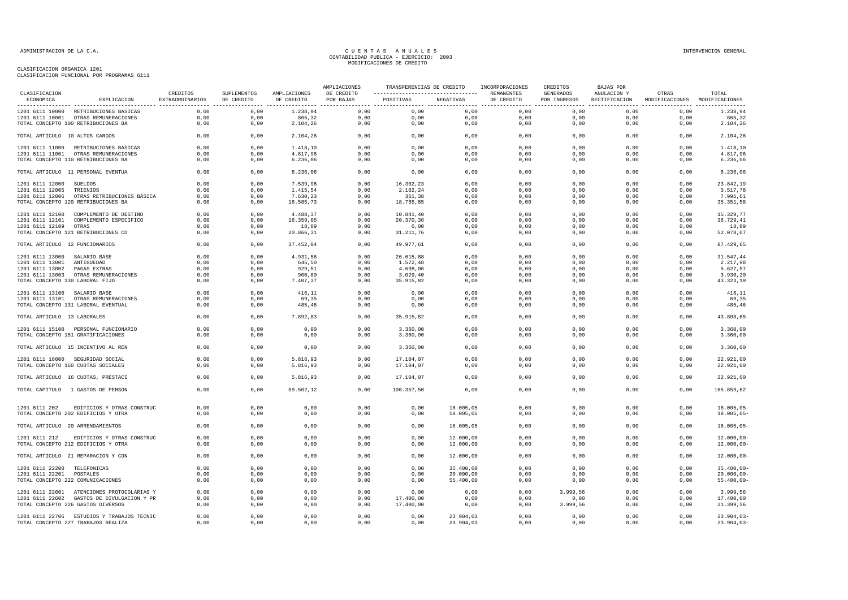| CLASIFICACION                   |                                            | CREDITOS        | SUPLEMENTOS | AMPLIACIONES | AMPLIACIONES<br>DE CREDITO | ----------------------------------  REMANENTES |           | TRANSFERENCIAS DE CREDITO INCORPORACIONES | CREDITOS<br>GENERADOS | BAJAS POR<br>ANULACION Y | OTRAS                                       | TOTAL         |
|---------------------------------|--------------------------------------------|-----------------|-------------|--------------|----------------------------|------------------------------------------------|-----------|-------------------------------------------|-----------------------|--------------------------|---------------------------------------------|---------------|
| ECONOMICA                       | EXPLICACION                                | EXTRAORDINARIOS | DE CREDITO  | DE CREDITO   | POR BAJAS                  | POSITIVAS                                      | NEGATIVAS | DE CREDITO                                | POR INGRESOS          |                          | RECTIFICACION MODIFICACIONES MODIFICACIONES |               |
|                                 | 1201 6111 10000 RETRIBUCIONES BASICAS      | 0.00            | 0.00        | 1.238.94     | 0.00                       | 0.00                                           | 0.00      | 0.00                                      | 0.00                  | 0.00                     | 0.00                                        | 1.238.94      |
|                                 | 1201 6111 10001 OTRAS REMUNERACIONES       | 0,00            | 0,00        | 865,32       | 0,00                       | 0,00                                           | 0,00      | 0,00                                      | 0,00                  | 0,00                     | 0,00                                        | 865,32        |
|                                 | TOTAL CONCEPTO 100 RETRIBUCIONES BA        | 0,00            | 0,00        | 2.104,26     | 0,00                       | 0,00                                           | 0,00      | 0,00                                      | 0,00                  | 0,00                     | 0,00                                        | 2.104,26      |
| TOTAL ARTICULO 10 ALTOS CARGOS  |                                            | 0,00            | 0,00        | 2.104,26     | 0,00                       | 0,00                                           | 0,00      | 0,00                                      | 0,00                  | 0,00                     | 0,00                                        | 2.104,26      |
|                                 | 1201 6111 11000 RETRIBUCIONES BASICAS      | 0,00            | 0,00        | 1.418,10     | 0,00                       | 0,00                                           | 0,00      | 0,00                                      | 0,00                  | 0,00                     | 0,00                                        | 1.418,10      |
|                                 | 1201 6111 11001 OTRAS REMUNERACIONES       | 0.00            | 0.00        | 4.817.96     | 0.00                       | 0.00                                           | 0,00      | 0,00                                      | 0,00                  | 0.00                     | 0.00                                        | 4.817,96      |
|                                 | TOTAL CONCEPTO 110 RETRIBUCIONES BA        | 0,00            | 0,00        | 6.236,06     | 0,00                       | 0,00                                           | 0,00      | 0,00                                      | 0,00                  | 0,00                     | 0,00                                        | 6.236,06      |
|                                 | TOTAL ARTICULO 11 PERSONAL EVENTUA         | 0,00            | 0,00        | 6.236,06     | 0,00                       | 0,00                                           | 0,00      | 0,00                                      | 0,00                  | 0,00                     | 0,00                                        | 6.236,06      |
| 1201 6111 12000 SUELDOS         |                                            | 0,00            | 0,00        | 7.539,96     | 0,00                       | 16.302,23                                      | 0,00      | 0,00                                      | 0,00                  | 0,00                     | 0,00                                        | 23.842,19     |
| 1201 6111 12005 TRIENIOS        |                                            | 0,00            | 0,00        | 1.415,54     | 0,00                       | 2.102,24                                       | 0,00      | 0,00                                      | 0,00                  | 0,00                     | 0,00                                        | 3.517,78      |
|                                 | 1201 6111 12006 OTRAS RETRIBUCIONES BÁSICA | 0,00            | 0,00        | 7.630,23     | 0,00                       | 361,38                                         | 0,00      | 0,00                                      | 0,00                  | 0,00                     | 0,00                                        | 7.991,61      |
|                                 | TOTAL CONCEPTO 120 RETRIBUCIONES BA        | 0,00            | 0,00        | 16.585,73    | 0,00                       | 18.765,85                                      | 0,00      | 0,00                                      | 0,00                  | 0,00                     | 0,00                                        | 35.351,58     |
|                                 | 1201 6111 12100 COMPLEMENTO DE DESTINO     | 0,00            | 0,00        | 4.488,37     | 0,00                       | 10.841,40                                      | 0,00      | 0.00                                      | 0,00                  | 0.00                     | 0,00                                        | 15.329.77     |
|                                 | 1201 6111 12101 COMPLEMENTO ESPECIFICO     | 0,00            | 0,00        | 16.359.05    | 0,00                       | 20.370.36                                      | 0,00      | 0,00                                      | 0,00                  | 0,00                     | 0,00                                        | 36.729,41     |
| 1201 6111 12109 OTRAS           |                                            | 0,00            | 0,00        | 18,89        | 0,00                       | 0,00                                           | 0,00      | 0,00                                      | 0,00                  | 0,00                     | 0,00                                        | 18,89         |
|                                 | TOTAL CONCEPTO 121 RETRIBUCIONES CO        | 0,00            | 0,00        | 20.866,31    | 0,00                       | 31.211,76                                      | 0,00      | 0,00                                      | 0,00                  | 0,00                     | 0,00                                        | 52.078,07     |
| TOTAL ARTICULO 12 FUNCIONARIOS  |                                            | 0,00            | 0,00        | 37.452,04    | 0,00                       | 49.977,61                                      | 0,00      | 0,00                                      | 0,00                  | 0,00                     | 0,00                                        | 87.429,65     |
| 1201 6111 13000 SALARIO BASE    |                                            | 0,00            | 0,00        | 4.931,56     | 0,00                       | 26.615,88                                      | 0,00      | 0,00                                      | 0,00                  | 0,00                     | 0,00                                        | 31.547,44     |
| 1201 6111 13001 ANTIGUEDAD      |                                            | 0,00            | 0,00        | 645,50       | 0,00                       | 1.572,48                                       | 0,00      | 0,00                                      | 0,00                  | 0,00                     | 0,00                                        | 2.217,98      |
| 1201 6111 13002 PAGAS EXTRAS    |                                            | 0,00            | 0,00        | 929,51       | 0,00                       | 4.698,06                                       | 0,00      | 0,00                                      | 0,00                  | 0,00                     | 0,00                                        | 5.627,57      |
|                                 | 1201 6111 13003 OTRAS REMUNERACIONES       | 0,00            | 0,00        | 900,80       | 0,00                       | 3.029, 40                                      | 0,00      | 0,00                                      | 0,00                  | 0,00                     | 0,00                                        | 3.930,20      |
| TOTAL CONCEPTO 130 LABORAL FIJO |                                            | 0,00            | 0,00        | 7.407,37     | 0,00                       | 35.915,82                                      | 0,00      | 0,00                                      | 0,00                  | 0,00                     | 0,00                                        | 43.323,19     |
| 1201 6111 13100 SALARIO BASE    |                                            | 0,00            | 0,00        | 416,11       | 0,00                       | 0,00                                           | 0,00      | 0,00                                      | 0,00                  | 0,00                     | 0,00                                        | 416,11        |
|                                 | 1201 6111 13101 OTRAS REMUNERACIONES       | 0,00            | 0,00        | 69,35        | 0,00                       | 0,00                                           | 0,00      | 0,00                                      | 0,00                  | 0,00                     | 0,00                                        | 69,35         |
|                                 | TOTAL CONCEPTO 131 LABORAL EVENTUAL        | 0,00            | 0,00        | 485,46       | 0,00                       | 0,00                                           | 0,00      | 0,00                                      | 0,00                  | 0,00                     | 0,00                                        | 485,46        |
| TOTAL ARTICULO 13 LABORALES     |                                            | 0.00            | 0.00        | 7.892,83     | 0.00                       | 35.915,82                                      | 0.00      | 0.00                                      | 0.00                  | 0.00                     | 0.00                                        | 43.808,65     |
|                                 | 1201 6111 15100 PERSONAL FUNCIONARIO       | 0,00            | 0,00        | 0,00         | 0,00                       | 3.360,00                                       | 0,00      | 0,00                                      | 0,00                  | 0,00                     | 0,00                                        | 3.360,00      |
|                                 | TOTAL CONCEPTO 151 GRATIFICACIONES         | 0,00            | 0,00        | 0,00         | 0,00                       | 3.360,00                                       | 0,00      | 0,00                                      | 0,00                  | 0,00                     | 0,00                                        | 3.360,00      |
|                                 | TOTAL ARTICULO 15 INCENTIVO AL REN         | 0,00            | 0,00        | 0,00         | 0,00                       | 3.360,00                                       | 0,00      | 0,00                                      | 0,00                  | 0,00                     | 0,00                                        | 3.360,00      |
|                                 | 1201 6111 16000 SEGURIDAD SOCIAL           | 0,00            | 0,00        | 5.816,93     | 0,00                       | 17.104,07                                      | 0,00      | 0,00                                      | 0,00                  | 0.00                     | 0,00                                        | 22.921,00     |
|                                 | TOTAL CONCEPTO 160 CUOTAS SOCIALES         | 0,00            | 0,00        | 5.816,93     | 0,00                       | 17.104,07                                      | 0,00      | 0,00                                      | 0,00                  | 0,00                     | 0,00                                        | 22.921,00     |
|                                 | TOTAL ARTICULO 16 CUOTAS, PRESTACI         | 0,00            | 0,00        | 5.816,93     | 0,00                       | 17.104,07                                      | 0,00      | 0,00                                      | 0,00                  | 0,00                     | 0,00                                        | 22.921,00     |
|                                 | TOTAL CAPITULO 1 GASTOS DE PERSON          | 0,00            | 0,00        | 59.502,12    | 0,00                       | 106.357,50                                     | 0,00      | 0,00                                      | 0,00                  | 0,00                     | 0,00                                        | 165.859,62    |
| 1201 6111 202                   | EDIFICIOS Y OTRAS CONSTRUC                 | 0,00            | 0,00        | 0,00         | 0,00                       | 0,00                                           | 18.005,05 | 0,00                                      | 0,00                  | 0,00                     | 0,00                                        | $18.005,05-$  |
|                                 | TOTAL CONCEPTO 202 EDIFICIOS Y OTRA        | 0,00            | 0,00        | 0,00         | 0,00                       | 0,00                                           | 18.005,05 | 0,00                                      | 0,00                  | 0,00                     | 0,00                                        | $18.005,05-$  |
|                                 | TOTAL ARTICULO 20 ARRENDAMIENTOS           | 0,00            | 0,00        | 0,00         | 0,00                       | 0,00                                           | 18.005,05 | 0,00                                      | 0,00                  | 0,00                     | 0,00                                        | $18.005,05-$  |
|                                 |                                            |                 |             |              |                            |                                                |           |                                           |                       |                          |                                             |               |
|                                 | 1201 6111 212 EDIFICIOS Y OTRAS CONSTRUC   | 0,00            | 0,00        | 0,00         | 0,00                       | 0,00                                           | 12.000,00 | 0,00                                      | 0,00                  | 0,00                     | 0,00                                        | $12.000,00 -$ |
|                                 | TOTAL CONCEPTO 212 EDIFICIOS Y OTRA        | 0,00            | 0,00        | 0,00         | 0,00                       | 0,00                                           | 12.000,00 | 0,00                                      | 0,00                  | 0,00                     | 0,00                                        | $12.000,00 -$ |
|                                 | TOTAL ARTICULO 21 REPARACION Y CON         | 0,00            | 0,00        | 0,00         | 0,00                       | 0,00                                           | 12.000,00 | 0,00                                      | 0,00                  | 0,00                     | 0,00                                        | $12.000,00 -$ |
| 1201 6111 22200 TELEFONICAS     |                                            | 0,00            | 0,00        | 0,00         | 0,00                       | 0,00                                           | 35.400,00 | 0,00                                      | 0,00                  | 0,00                     | 0,00                                        | $35.400,00 -$ |
| 1201 6111 22201 POSTALES        |                                            | 0,00            | 0,00        | 0,00         | 0,00                       | 0,00                                           | 20.000,00 | 0,00                                      | 0,00                  | 0,00                     | 0,00                                        | $20.000,00 -$ |
|                                 | TOTAL CONCEPTO 222 COMUNICACIONES          | 0,00            | 0,00        | 0,00         | 0,00                       | 0,00                                           | 55.400,00 | 0,00                                      | 0,00                  | 0,00                     | 0,00                                        | $55.400,00 -$ |
|                                 | 1201 6111 22601 ATENCIONES PROTOCOLARIAS Y | 0,00            | 0,00        | 0,00         | 0,00                       | 0,00                                           | 0,00      | 0,00                                      | 3.999,56              | 0,00                     | 0,00                                        | 3.999,56      |
|                                 | 1201 6111 22602 GASTOS DE DIVULGACION Y PR | 0,00            | 0,00        | 0,00         | 0,00                       | 17.400,00                                      | 0,00      | 0,00                                      | 0,00                  | 0,00                     | 0,00                                        | 17.400,00     |
|                                 | TOTAL CONCEPTO 226 GASTOS DIVERSOS         | 0,00            | 0,00        | 0,00         | 0,00                       | 17.400,00                                      | 0,00      | 0,00                                      | 3.999,56              | 0,00                     | 0,00                                        | 21.399,56     |
|                                 | 1201 6111 22706 ESTUDIOS Y TRABAJOS TECNIC | 0,00            | 0,00        | 0,00         | 0,00                       | 0,00                                           | 23.904,03 | 0,00                                      | 0,00                  | 0,00                     | 0,00                                        | $23.904,03-$  |
|                                 | TOTAL CONCEPTO 227 TRABAJOS REALIZA        | 0,00            | 0,00        | 0,00         | 0,00                       | 0,00                                           | 23.904,03 | 0,00                                      | 0,00                  | 0,00                     | 0,00                                        | $23.904,03-$  |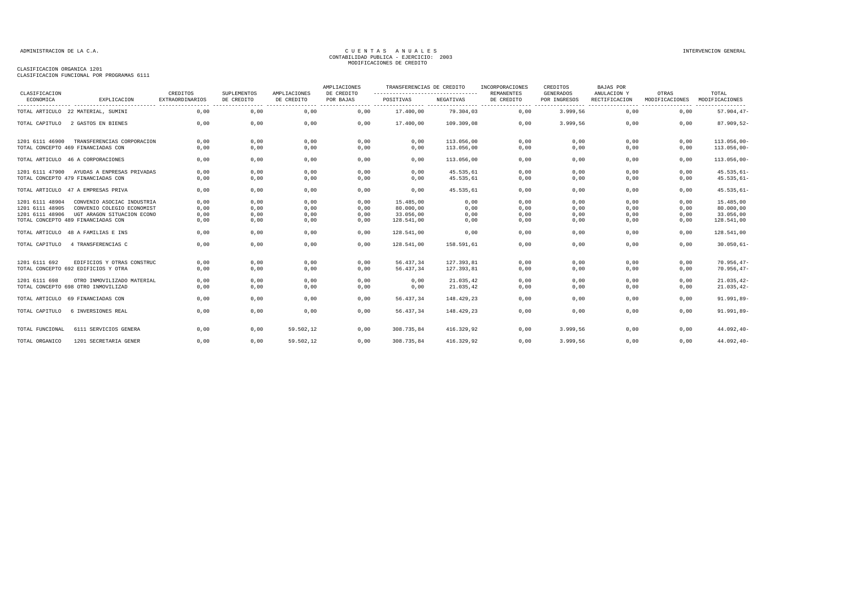#### CLASIFICACION ORGANICA 1201

CLASIFICACION FUNCIONAL POR PROGRAMAS 6111

|                            |                                     |                                    |                           |                            | AMPLIACIONES            | TRANSFERENCIAS DE CREDITO                      |            | INCORPORACIONES                 | CREDITOS                         | <b>BAJAS POR</b>             |                         |                         |
|----------------------------|-------------------------------------|------------------------------------|---------------------------|----------------------------|-------------------------|------------------------------------------------|------------|---------------------------------|----------------------------------|------------------------------|-------------------------|-------------------------|
| CLASIFICACION<br>ECONOMICA | EXPLICACION                         | CREDITOS<br><b>EXTRAORDINARIOS</b> | SUPLEMENTOS<br>DE CREDITO | AMPLIACIONES<br>DE CREDITO | DE CREDITO<br>POR BAJAS | ---------------------------------<br>POSITIVAS | NEGATIVAS  | <b>REMANENTES</b><br>DE CREDITO | <b>GENERADOS</b><br>POR INGRESOS | ANULACION Y<br>RECTIFICACION | OTRAS<br>MODIFICACIONES | TOTAL<br>MODIFICACIONES |
|                            | TOTAL ARTICULO 22 MATERIAL, SUMINI  | 0,00                               | 0,00                      | 0,00                       | 0,00                    | 17.400,00                                      | 79.304,03  | 0,00                            | 3.999,56                         | 0,00                         | 0,00                    | $57.904, 47-$           |
| TOTAL CAPITULO             | 2 GASTOS EN BIENES                  | 0.00                               | 0,00                      | 0,00                       | 0,00                    | 17.400,00                                      | 109.309,08 | 0.00                            | 3.999,56                         | 0.00                         | 0,00                    | 87.909,52-              |
| 1201 6111 46900            | TRANSFERENCIAS CORPORACION          | 0,00                               | 0,00                      | 0,00                       | 0,00                    | 0,00                                           | 113.056.00 | 0,00                            | 0,00                             | 0,00                         | 0,00                    | $113.056,00 -$          |
|                            | TOTAL CONCEPTO 469 FINANCIADAS CON  | 0,00                               | 0,00                      | 0,00                       | 0,00                    | 0,00                                           | 113.056,00 | 0,00                            | 0,00                             | 0,00                         | 0,00                    | $113.056,00 -$          |
|                            | TOTAL ARTICULO 46 A CORPORACIONES   | 0,00                               | 0,00                      | 0,00                       | 0,00                    | 0,00                                           | 113.056,00 | 0,00                            | 0,00                             | 0,00                         | 0,00                    | $113.056,00 -$          |
| 1201 6111 47900            | AYUDAS A ENPRESAS PRIVADAS          | 0,00                               | 0,00                      | 0,00                       | 0,00                    | 0,00                                           | 45.535,61  | 0,00                            | 0,00                             | 0,00                         | 0,00                    | $45.535,61-$            |
|                            | TOTAL CONCEPTO 479 FINANCIADAS CON  | 0,00                               | 0,00                      | 0,00                       | 0,00                    | 0,00                                           | 45.535,61  | 0,00                            | 0,00                             | 0,00                         | 0,00                    | $45.535,61-$            |
|                            | TOTAL ARTICULO 47 A EMPRESAS PRIVA  | 0,00                               | 0,00                      | 0,00                       | 0,00                    | 0,00                                           | 45.535,61  | 0,00                            | 0,00                             | 0,00                         | 0,00                    | $45.535,61-$            |
| 1201 6111 48904            | CONVENIO ASOCIAC INDUSTRIA          | 0,00                               | 0,00                      | 0,00                       | 0,00                    | 15.485,00                                      | 0,00       | 0,00                            | 0,00                             | 0,00                         | 0,00                    | 15.485,00               |
| 1201 6111 48905            | CONVENIO COLEGIO ECONOMIST          | 0,00                               | 0,00                      | 0,00                       | 0,00                    | 80.000,00                                      | 0,00       | 0,00                            | 0,00                             | 0,00                         | 0,00                    | 80.000,00               |
| 1201 6111 48906            | UGT ARAGON SITUACION ECONO          | 0,00                               | 0,00                      | 0,00                       | 0,00                    | 33.056.00                                      | 0,00       | 0,00                            | 0,00                             | 0,00                         | 0,00                    | 33.056,00               |
|                            | TOTAL CONCEPTO 489 FINANCIADAS CON  | 0,00                               | 0,00                      | 0,00                       | 0,00                    | 128.541,00                                     | 0,00       | 0,00                            | 0,00                             | 0,00                         | 0,00                    | 128.541,00              |
|                            | TOTAL ARTICULO 48 A FAMILIAS E INS  | 0,00                               | 0,00                      | 0,00                       | 0,00                    | 128.541,00                                     | 0,00       | 0,00                            | 0,00                             | 0.00                         | 0,00                    | 128.541,00              |
| TOTAL CAPITULO             | 4 TRANSFERENCIAS C                  | 0.00                               | 0,00                      | 0,00                       | 0,00                    | 128.541,00                                     | 158.591.61 | 0,00                            | 0,00                             | 0.00                         | 0,00                    | $30.050, 61 -$          |
| 1201 6111 692              | EDIFICIOS Y OTRAS CONSTRUC          | 0,00                               | 0,00                      | 0,00                       | 0,00                    | 56.437,34                                      | 127.393,81 | 0,00                            | 0,00                             | 0,00                         | 0,00                    | $70.956, 47 -$          |
|                            | TOTAL CONCEPTO 692 EDIFICIOS Y OTRA | 0,00                               | 0,00                      | 0,00                       | 0,00                    | 56.437,34                                      | 127.393,81 | 0,00                            | 0,00                             | 0,00                         | 0,00                    | $70.956, 47 -$          |
| 1201 6111 698              | OTRO INMOVILIZADO MATERIAL          | 0,00                               | 0,00                      | 0,00                       | 0,00                    | 0,00                                           | 21.035,42  | 0,00                            | 0,00                             | 0,00                         | 0,00                    | $21.035, 42-$           |
|                            | TOTAL CONCEPTO 698 OTRO INMOVILIZAD | 0,00                               | 0,00                      | 0,00                       | 0,00                    | 0,00                                           | 21.035,42  | 0,00                            | 0,00                             | 0,00                         | 0,00                    | $21.035, 42-$           |
| TOTAL ARTICULO             | 69 FINANCIADAS CON                  | 0,00                               | 0,00                      | 0,00                       | 0,00                    | 56.437.34                                      | 148.429,23 | 0,00                            | 0,00                             | 0.00                         | 0,00                    | $91.991,89-$            |
| TOTAL CAPITULO             | 6 INVERSIONES REAL                  | 0,00                               | 0,00                      | 0,00                       | 0,00                    | 56.437,34                                      | 148.429,23 | 0,00                            | 0,00                             | 0,00                         | 0,00                    | $91.991,89-$            |
| TOTAL FUNCIONAL            | 6111 SERVICIOS GENERA               | 0,00                               | 0,00                      | 59.502,12                  | 0,00                    | 308.735,84                                     | 416.329,92 | 0,00                            | 3.999,56                         | 0,00                         | 0,00                    | $44.092, 40 -$          |
| TOTAL ORGANICO             | 1201 SECRETARIA GENER               | 0.00                               | 0.00                      | 59.502.12                  | 0.00                    | 308.735.84                                     | 416.329.92 | 0.00                            | 3.999.56                         | 0.00                         | 0.00                    | $44.092, 40 -$          |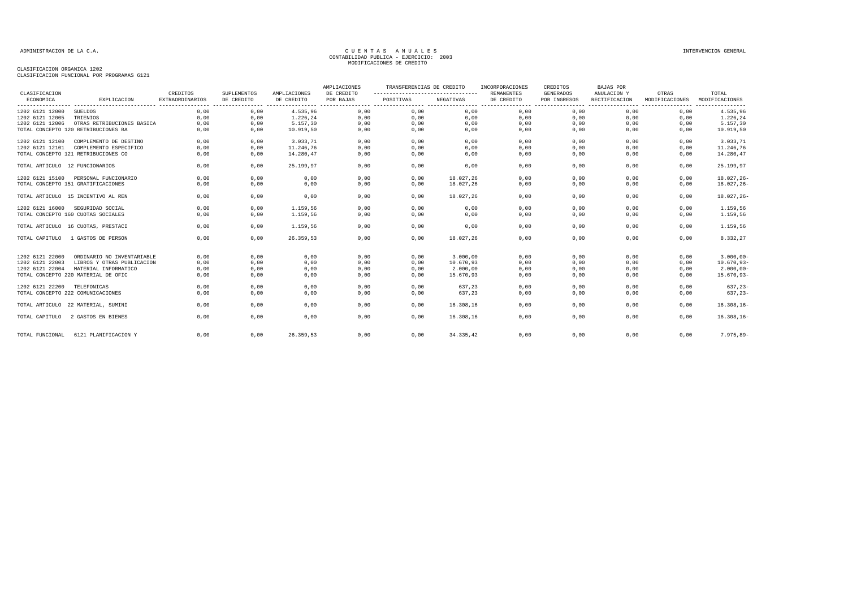| CLASIFICACION                     |                                     | CREDITOS               | <b>SUPLEMENTOS</b> | AMPLIACIONES | AMPLIACIONES<br>DE CREDITO | TRANSFERENCIAS DE CREDITO<br>--------------------------------- |           | INCORPORACIONES<br><b>REMANENTES</b> | CREDITOS<br>GENERADOS | <b>BAJAS POR</b><br>ANULACION Y | OTRAS          | TOTAL          |
|-----------------------------------|-------------------------------------|------------------------|--------------------|--------------|----------------------------|----------------------------------------------------------------|-----------|--------------------------------------|-----------------------|---------------------------------|----------------|----------------|
| ECONOMICA                         | EXPLICACION                         | <b>EXTRAORDINARIOS</b> | DE CREDITO         | DE CREDITO   | POR BAJAS                  | POSITIVAS                                                      | NEGATIVAS | DE CREDITO                           | POR INGRESOS          | RECTIFICACION                   | MODIFICACIONES | MODIFICACIONES |
| 1202 6121 12000                   | SUELDOS                             | 0,00                   | 0,00               | 4.535,96     | 0,00                       | 0,00                                                           | 0,00      | 0,00                                 | 0,00                  | 0,00                            | 0,00           | 4.535,96       |
| 1202 6121 12005                   | TRIENIOS                            | 0,00                   | 0,00               | 1.226,24     | 0,00                       | 0,00                                                           | 0,00      | 0,00                                 | 0,00                  | 0,00                            | 0,00           | 1.226,24       |
| 1202 6121 12006                   | OTRAS RETRIBUCIONES BASICA          | 0,00                   | 0,00               | 5.157,30     | 0,00                       | 0,00                                                           | 0,00      | 0,00                                 | 0,00                  | 0,00                            | 0,00           | 5.157,30       |
|                                   | TOTAL CONCEPTO 120 RETRIBUCIONES BA | 0,00                   | 0,00               | 10.919,50    | 0,00                       | 0,00                                                           | 0,00      | 0,00                                 | 0,00                  | 0,00                            | 0,00           | 10.919,50      |
| 1202 6121 12100                   | COMPLEMENTO DE DESTINO              | 0.00                   | 0.00               | 3.033.71     | 0.00                       | 0,00                                                           | 0.00      | 0.00                                 | 0.00                  | 0.00                            | 0.00           | 3.033,71       |
| 1202 6121 12101                   | COMPLEMENTO ESPECIFICO              | 0.00                   | 0,00               | 11.246.76    | 0,00                       | 0,00                                                           | 0,00      | 0,00                                 | 0,00                  | 0,00                            | 0,00           | 11.246,76      |
|                                   | TOTAL CONCEPTO 121 RETRIBUCIONES CO | 0,00                   | 0,00               | 14.280,47    | 0,00                       | 0,00                                                           | 0,00      | 0,00                                 | 0,00                  | 0,00                            | 0,00           | 14.280,47      |
| TOTAL ARTICULO 12 FUNCIONARIOS    |                                     | 0,00                   | 0,00               | 25.199,97    | 0,00                       | 0,00                                                           | 0,00      | 0,00                                 | 0,00                  | 0,00                            | 0,00           | 25.199,97      |
| 1202 6121 15100                   | PERSONAL FUNCIONARIO                | 0.00                   | 0,00               | 0,00         | 0,00                       | 0,00                                                           | 18.027,26 | 0,00                                 | 0,00                  | 0,00                            | 0.00           | $18.027, 26 -$ |
|                                   | TOTAL CONCEPTO 151 GRATIFICACIONES  | 0,00                   | 0,00               | 0,00         | 0,00                       | 0,00                                                           | 18.027,26 | 0,00                                 | 0,00                  | 0,00                            | 0,00           | $18.027, 26 -$ |
|                                   | TOTAL ARTICULO 15 INCENTIVO AL REN  | 0,00                   | 0,00               | 0,00         | 0,00                       | 0,00                                                           | 18.027.26 | 0,00                                 | 0,00                  | 0,00                            | 0.00           | $18.027, 26 -$ |
| 1202 6121 16000                   | SEGURIDAD SOCIAL                    | 0,00                   | 0,00               | 1.159,56     | 0,00                       | 0,00                                                           | 0,00      | 0,00                                 | 0,00                  | 0,00                            | 0,00           | 1.159,56       |
|                                   | TOTAL CONCEPTO 160 CUOTAS SOCIALES  | 0,00                   | 0,00               | 1.159,56     | 0,00                       | 0,00                                                           | 0,00      | 0,00                                 | 0,00                  | 0,00                            | 0,00           | 1.159,56       |
|                                   | TOTAL ARTICULO 16 CUOTAS, PRESTACI  | 0,00                   | 0,00               | 1.159,56     | 0,00                       | 0,00                                                           | 0,00      | 0,00                                 | 0,00                  | 0,00                            | 0,00           | 1.159,56       |
| TOTAL CAPITULO                    | 1 GASTOS DE PERSON                  | 0,00                   | 0,00               | 26.359,53    | 0,00                       | 0,00                                                           | 18.027,26 | 0,00                                 | 0,00                  | 0,00                            | 0,00           | 8.332,27       |
| 1202 6121 22000                   | ORDINARIO NO INVENTARIABLE          | 0,00                   | 0,00               | 0,00         | 0,00                       | 0,00                                                           | 3.000,00  | 0,00                                 | 0,00                  | 0,00                            | 0,00           | $3.000,00 -$   |
| 1202 6121 22003                   | LIBROS Y OTRAS PUBLICACION          | 0,00                   | 0,00               | 0,00         | 0,00                       | 0,00                                                           | 10.670,93 | 0,00                                 | 0,00                  | 0,00                            | 0,00           | $10.670, 93 -$ |
| 1202 6121 22004                   | MATERIAL INFORMATICO                | 0,00                   | 0,00               | 0,00         | 0,00                       | 0,00                                                           | 2.000,00  | 0,00                                 | 0,00                  | 0,00                            | 0,00           | $2.000,00 -$   |
|                                   | TOTAL CONCEPTO 220 MATERIAL DE OFIC | 0.00                   | 0,00               | 0,00         | 0,00                       | 0.00                                                           | 15.670,93 | 0,00                                 | 0,00                  | 0,00                            | 0,00           | $15.670, 93-$  |
| 1202 6121 22200                   | TELEFONICAS                         | 0,00                   | 0,00               | 0,00         | 0,00                       | 0,00                                                           | 637,23    | 0,00                                 | 0,00                  | 0,00                            | 0,00           | $637, 23-$     |
| TOTAL CONCEPTO 222 COMUNICACIONES |                                     | 0,00                   | 0,00               | 0,00         | 0,00                       | 0,00                                                           | 637,23    | 0,00                                 | 0,00                  | 0,00                            | 0,00           | $637, 23-$     |
|                                   | TOTAL ARTICULO 22 MATERIAL, SUMINI  | 0,00                   | 0,00               | 0,00         | 0,00                       | 0,00                                                           | 16.308,16 | 0,00                                 | 0,00                  | 0,00                            | 0,00           | $16.308, 16 -$ |
| TOTAL CAPITULO                    | 2 GASTOS EN BIENES                  | 0,00                   | 0,00               | 0,00         | 0,00                       | 0,00                                                           | 16.308,16 | 0,00                                 | 0,00                  | 0,00                            | 0,00           | $16.308, 16 -$ |
| TOTAL FUNCIONAL                   | 6121 PLANIFICACION Y                | 0,00                   | 0,00               | 26.359,53    | 0,00                       | 0,00                                                           | 34.335,42 | 0,00                                 | 0,00                  | 0,00                            | 0,00           | 7.975,89-      |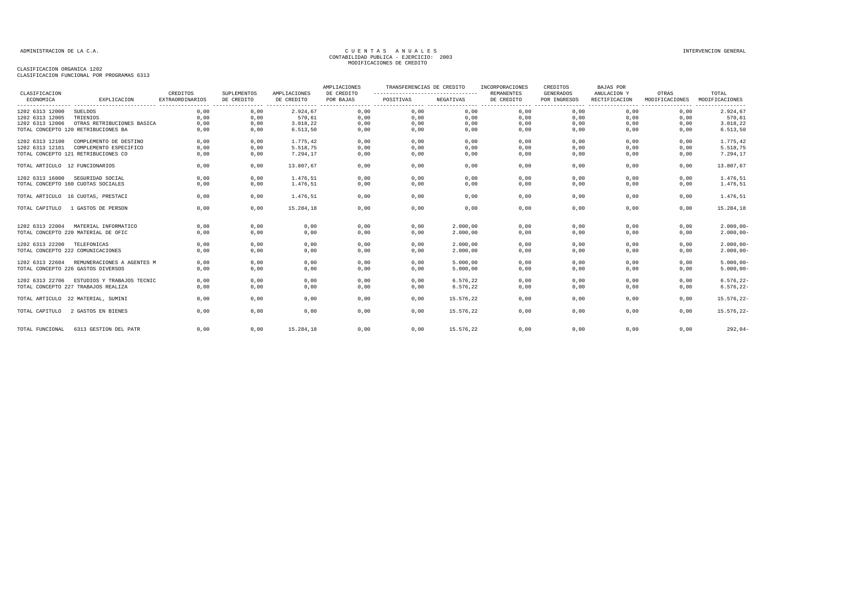| CLASIFICACION                     |                                            | CREDITOS        | <b>SUPLEMENTOS</b> | AMPLIACIONES | AMPLIACIONES<br>DE CREDITO | TRANSFERENCIAS DE CREDITO<br>____________________________________ |           | INCORPORACIONES<br><b>REMANENTES</b> | CREDITOS<br><b>GENERADOS</b> | <b>BAJAS POR</b><br>ANULACION Y | OTRAS          | TOTAL          |
|-----------------------------------|--------------------------------------------|-----------------|--------------------|--------------|----------------------------|-------------------------------------------------------------------|-----------|--------------------------------------|------------------------------|---------------------------------|----------------|----------------|
| ECONOMICA                         | EXPLICACION                                | EXTRAORDINARIOS | DE CREDITO         | DE CREDITO   | POR BAJAS                  | POSITIVAS                                                         | NEGATIVAS | DE CREDITO                           | POR INGRESOS                 | RECTIFICACION                   | MODIFICACIONES | MODIFICACIONES |
| 1202 6313 12000                   | SUELDOS                                    | 0,00            | 0,00               | 2.924,67     | 0,00                       | 0,00                                                              | 0,00      | 0,00                                 | 0,00                         | 0,00                            | 0,00           | 2.924,67       |
| 1202 6313 12005                   | TRIENIOS                                   | 0,00            | 0,00               | 570,61       | 0,00                       | 0,00                                                              | 0,00      | 0,00                                 | 0,00                         | 0,00                            | 0,00           | 570,61         |
| 1202 6313 12006                   | OTRAS RETRIBUCIONES BASICA                 | 0.00            | 0,00               | 3.018,22     | 0,00                       | 0,00                                                              | 0,00      | 0,00                                 | 0,00                         | 0,00                            | 0,00           | 3.018,22       |
|                                   | TOTAL CONCEPTO 120 RETRIBUCIONES BA        | 0,00            | 0,00               | 6.513, 50    | 0,00                       | 0,00                                                              | 0,00      | 0,00                                 | 0,00                         | 0,00                            | 0,00           | 6.513,50       |
| 1202 6313 12100                   | COMPLEMENTO DE DESTINO                     | 0,00            | 0,00               | 1.775,42     | 0,00                       | 0,00                                                              | 0,00      | 0,00                                 | 0,00                         | 0,00                            | 0,00           | 1.775,42       |
| 1202 6313 12101                   | COMPLEMENTO ESPECIFICO                     | 0,00            | 0,00               | 5.518,75     | 0,00                       | 0,00                                                              | 0,00      | 0,00                                 | 0,00                         | 0,00                            | 0,00           | 5.518,75       |
|                                   | TOTAL CONCEPTO 121 RETRIBUCIONES CO        | 0,00            | 0,00               | 7.294,17     | 0,00                       | 0,00                                                              | 0,00      | 0,00                                 | 0,00                         | 0,00                            | 0,00           | 7.294,17       |
| TOTAL ARTICULO 12 FUNCIONARIOS    |                                            | 0,00            | 0,00               | 13.807,67    | 0,00                       | 0,00                                                              | 0,00      | 0,00                                 | 0,00                         | 0,00                            | 0,00           | 13.807,67      |
| 1202 6313 16000                   | SEGURIDAD SOCIAL                           | 0,00            | 0,00               | 1.476,51     | 0,00                       | 0,00                                                              | 0,00      | 0,00                                 | 0,00                         | 0,00                            | 0,00           | 1.476,51       |
|                                   | TOTAL CONCEPTO 160 CUOTAS SOCIALES         | 0,00            | 0,00               | 1.476,51     | 0,00                       | 0,00                                                              | 0,00      | 0,00                                 | 0,00                         | 0,00                            | 0,00           | 1.476,51       |
|                                   | TOTAL ARTICULO 16 CUOTAS, PRESTACI         | 0,00            | 0,00               | 1.476,51     | 0,00                       | 0,00                                                              | 0,00      | 0,00                                 | 0,00                         | 0,00                            | 0,00           | 1.476,51       |
| TOTAL CAPITULO                    | 1 GASTOS DE PERSON                         | 0.00            | 0,00               | 15.284,18    | 0,00                       | 0,00                                                              | 0,00      | 0,00                                 | 0,00                         | 0.00                            | 0.00           | 15.284,18      |
| 1202 6313 22004                   | MATERIAL INFORMATICO                       | 0.00            | 0,00               | 0,00         | 0.00                       | 0,00                                                              | 2.000.00  | 0,00                                 | 0.00                         | 0.00                            | 0.00           | $2.000,00 -$   |
|                                   | TOTAL CONCEPTO 220 MATERIAL DE OFIC        | 0,00            | 0,00               | 0,00         | 0,00                       | 0,00                                                              | 2.000,00  | 0,00                                 | 0,00                         | 0,00                            | 0,00           | $2.000,00 -$   |
| 1202 6313 22200 TELEFONICAS       |                                            | 0,00            | 0,00               | 0,00         | 0,00                       | 0,00                                                              | 2.000,00  | 0,00                                 | 0,00                         | 0,00                            | 0,00           | $2.000,00 -$   |
| TOTAL CONCEPTO 222 COMUNICACIONES |                                            | 0,00            | 0,00               | 0,00         | 0,00                       | 0,00                                                              | 2.000,00  | 0,00                                 | 0,00                         | 0,00                            | 0,00           | $2.000,00 -$   |
|                                   | 1202 6313 22604 REMUNERACIONES A AGENTES M | 0,00            | 0,00               | 0,00         | 0,00                       | 0,00                                                              | 5.000,00  | 0,00                                 | 0,00                         | 0,00                            | 0.00           | $5.000,00 -$   |
|                                   | TOTAL CONCEPTO 226 GASTOS DIVERSOS         | 0,00            | 0,00               | 0,00         | 0,00                       | 0,00                                                              | 5.000,00  | 0,00                                 | 0,00                         | 0,00                            | 0,00           | $5.000,00 -$   |
| 1202 6313 22706                   | ESTUDIOS Y TRABAJOS TECNIC                 | 0,00            | 0,00               | 0,00         | 0,00                       | 0,00                                                              | 6.576,22  | 0,00                                 | 0,00                         | 0,00                            | 0,00           | $6.576, 22-$   |
|                                   | TOTAL CONCEPTO 227 TRABAJOS REALIZA        | 0,00            | 0,00               | 0,00         | 0,00                       | 0,00                                                              | 6.576,22  | 0,00                                 | 0,00                         | 0,00                            | 0,00           | $6.576, 22 -$  |
|                                   | TOTAL ARTICULO 22 MATERIAL, SUMINI         | 0,00            | 0,00               | 0,00         | 0,00                       | 0,00                                                              | 15.576,22 | 0,00                                 | 0,00                         | 0,00                            | 0,00           | 15.576,22-     |
| TOTAL CAPITULO                    | 2 GASTOS EN BIENES                         | 0.00            | 0,00               | 0,00         | 0,00                       | 0,00                                                              | 15.576.22 | 0,00                                 | 0,00                         | 0,00                            | 0,00           | 15.576,22-     |
| TOTAL FUNCIONAL                   | 6313 GESTION DEL PATR                      | 0,00            | 0,00               | 15.284,18    | 0,00                       | 0,00                                                              | 15.576,22 | 0,00                                 | 0,00                         | 0,00                            | 0,00           | $292,04-$      |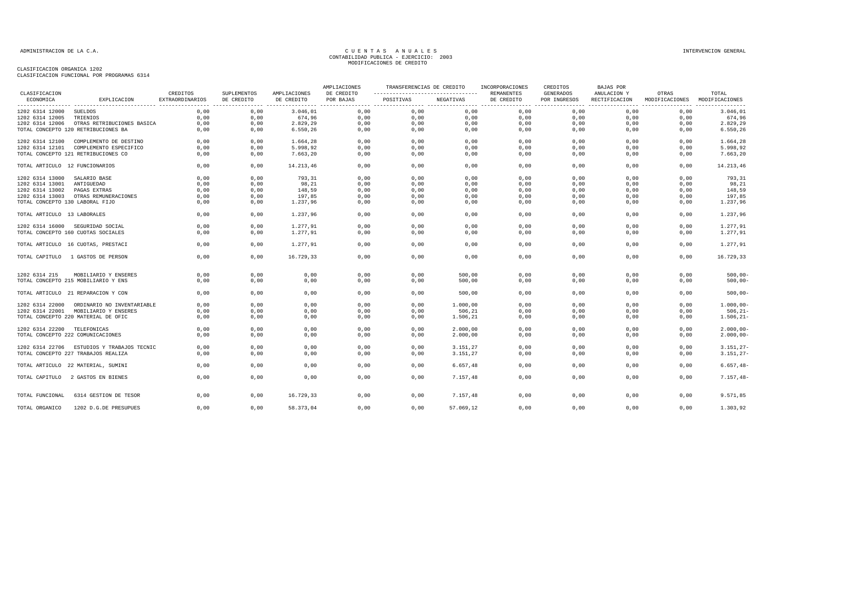|                                 |                                            |                                    |                                               |                                                 | AMPLIACIONES            | TRANSFERENCIAS DE CREDITO                          |           | INCORPORACIONES                          | CREDITOS                                           | <b>BAJAS POR</b>                                 |                                             |                         |
|---------------------------------|--------------------------------------------|------------------------------------|-----------------------------------------------|-------------------------------------------------|-------------------------|----------------------------------------------------|-----------|------------------------------------------|----------------------------------------------------|--------------------------------------------------|---------------------------------------------|-------------------------|
| CLASIFICACION<br>ECONOMICA      | EXPLICACION                                | CREDITOS<br><b>EXTRAORDINARIOS</b> | SUPLEMENTOS<br>DE CREDITO<br>---------------- | AMPLIACIONES<br>DE CREDITO<br>----------------- | DE CREDITO<br>POR BAJAS | -------------------------------------<br>POSITIVAS | NEGATIVAS | REMANENTES<br>DE CREDITO<br>. <u>.</u> . | <b>GENERADOS</b><br>POR INGRESOS<br>-------------- | ANULACION Y<br>RECTIFICACION<br>---------------- | OTRAS<br>MODIFICACIONES<br>---------------- | TOTAL<br>MODIFICACIONES |
| 1202 6314 12000                 | SUELDOS                                    | 0,00                               | 0,00                                          | 3.046,01                                        | 0,00                    | 0,00                                               | 0,00      | 0,00                                     | 0,00                                               | 0,00                                             | 0,00                                        | 3.046,01                |
| 1202 6314 12005                 | TRIENIOS                                   | 0.00                               | 0,00                                          | 674,96                                          | 0,00                    | 0,00                                               | 0,00      | 0,00                                     | 0,00                                               | 0,00                                             | 0,00                                        | 674,96                  |
| 1202 6314 12006                 | OTRAS RETRIBUCIONES BASICA                 | 0,00                               | 0,00                                          | 2.829,29                                        | 0,00                    | 0,00                                               | 0,00      | 0,00                                     | 0,00                                               | 0,00                                             | 0,00                                        | 2.829,29                |
|                                 | TOTAL CONCEPTO 120 RETRIBUCIONES BA        | 0.00                               | 0,00                                          | 6.550,26                                        | 0,00                    | 0,00                                               | 0,00      | 0,00                                     | 0,00                                               | 0,00                                             | 0,00                                        | 6.550,26                |
| 1202 6314 12100                 | COMPLEMENTO DE DESTINO                     | 0,00                               | 0,00                                          | 1.664,28                                        | 0,00                    | 0,00                                               | 0,00      | 0,00                                     | 0,00                                               | 0,00                                             | 0,00                                        | 1.664,28                |
| 1202 6314 12101                 | COMPLEMENTO ESPECIFICO                     | 0,00                               | 0,00                                          | 5.998,92                                        | 0,00                    | 0,00                                               | 0,00      | 0,00                                     | 0,00                                               | 0,00                                             | 0,00                                        | 5.998,92                |
|                                 | TOTAL CONCEPTO 121 RETRIBUCIONES CO        | 0,00                               | 0,00                                          | 7.663,20                                        | 0,00                    | 0,00                                               | 0,00      | 0,00                                     | 0,00                                               | 0,00                                             | 0,00                                        | 7.663,20                |
| TOTAL ARTICULO 12 FUNCIONARIOS  |                                            | 0,00                               | 0,00                                          | 14.213,46                                       | 0,00                    | 0,00                                               | 0,00      | 0,00                                     | 0,00                                               | 0,00                                             | 0,00                                        | 14.213,46               |
| 1202 6314 13000                 | SALARIO BASE                               | 0,00                               | 0,00                                          | 793,31                                          | 0,00                    | 0,00                                               | 0,00      | 0,00                                     | 0,00                                               | 0,00                                             | 0,00                                        | 793,31                  |
| 1202 6314 13001                 | ANTIGUEDAD                                 | 0.00                               | 0.00                                          | 98,21                                           | 0,00                    | 0,00                                               | 0,00      | 0,00                                     | 0.00                                               | 0.00                                             | 0.00                                        | 98,21                   |
| 1202 6314 13002                 | PAGAS EXTRAS                               | 0,00                               | 0,00                                          | 148,59                                          | 0,00                    | 0,00                                               | 0,00      | 0,00                                     | 0,00                                               | 0,00                                             | 0,00                                        | 148,59                  |
|                                 |                                            |                                    |                                               |                                                 |                         |                                                    |           |                                          |                                                    |                                                  |                                             |                         |
| 1202 6314 13003                 | OTRAS REMUNERACIONES                       | 0,00                               | 0,00                                          | 197,85                                          | 0,00                    | 0,00                                               | 0,00      | 0,00                                     | 0,00                                               | 0,00                                             | 0,00                                        | 197,85                  |
| TOTAL CONCEPTO 130 LABORAL FIJO |                                            | 0,00                               | 0,00                                          | 1.237,96                                        | 0,00                    | 0,00                                               | 0,00      | 0,00                                     | 0,00                                               | 0,00                                             | 0,00                                        | 1.237,96                |
| TOTAL ARTICULO 13 LABORALES     |                                            | 0,00                               | 0,00                                          | 1.237,96                                        | 0,00                    | 0,00                                               | 0,00      | 0,00                                     | 0,00                                               | 0,00                                             | 0,00                                        | 1.237,96                |
|                                 | 1202 6314 16000 SEGURIDAD SOCIAL           | 0,00                               | 0,00                                          | 1.277,91                                        | 0,00                    | 0,00                                               | 0,00      | 0,00                                     | 0,00                                               | 0,00                                             | 0,00                                        | 1.277,91                |
|                                 | TOTAL CONCEPTO 160 CUOTAS SOCIALES         | 0,00                               | 0,00                                          | 1.277,91                                        | 0,00                    | 0,00                                               | 0,00      | 0,00                                     | 0,00                                               | 0,00                                             | 0,00                                        | 1.277,91                |
|                                 | TOTAL ARTICULO 16 CUOTAS, PRESTACI         | 0,00                               | 0,00                                          | 1.277,91                                        | 0,00                    | 0,00                                               | 0,00      | 0,00                                     | 0,00                                               | 0,00                                             | 0,00                                        | 1.277,91                |
|                                 | TOTAL CAPITULO 1 GASTOS DE PERSON          | 0,00                               | 0,00                                          | 16.729,33                                       | 0,00                    | 0,00                                               | 0,00      | 0,00                                     | 0,00                                               | 0,00                                             | 0,00                                        | 16.729,33               |
| 1202 6314 215                   | MOBILIARIO Y ENSERES                       | 0,00                               | 0,00                                          | 0,00                                            | 0,00                    | 0,00                                               | 500,00    | 0,00                                     | 0,00                                               | 0,00                                             | 0,00                                        | $500,00 -$              |
|                                 | TOTAL CONCEPTO 215 MOBILIARIO Y ENS        | 0,00                               | 0,00                                          | 0,00                                            | 0,00                    | 0,00                                               | 500,00    | 0,00                                     | 0,00                                               | 0,00                                             | 0,00                                        | $500,00-$               |
|                                 |                                            |                                    |                                               |                                                 |                         |                                                    |           |                                          |                                                    |                                                  |                                             |                         |
|                                 | TOTAL ARTICULO 21 REPARACION Y CON         | 0.00                               | 0,00                                          | 0,00                                            | 0.00                    | 0,00                                               | 500,00    | 0,00                                     | 0.00                                               | 0.00                                             | 0.00                                        | $500,00-$               |
| 1202 6314 22000                 | ORDINARIO NO INVENTARIABLE                 | 0,00                               | 0,00                                          | 0,00                                            | 0,00                    | 0,00                                               | 1.000,00  | 0,00                                     | 0,00                                               | 0,00                                             | 0,00                                        | $1.000,00 -$            |
| 1202 6314 22001                 | MOBILIARIO Y ENSERES                       | 0,00                               | 0,00                                          | 0,00                                            | 0,00                    | 0,00                                               | 506,21    | 0,00                                     | 0,00                                               | 0,00                                             | 0,00                                        | $506, 21 -$             |
|                                 | TOTAL CONCEPTO 220 MATERIAL DE OFIC        | 0,00                               | 0,00                                          | 0,00                                            | 0,00                    | 0,00                                               | 1.506,21  | 0,00                                     | 0,00                                               | 0,00                                             | 0,00                                        | $1.506, 21 -$           |
| 1202 6314 22200 TELEFONICAS     |                                            | 0.00                               | 0.00                                          | 0,00                                            | 0,00                    | 0.00                                               | 2,000,00  | 0,00                                     | 0.00                                               | 0.00                                             | 0.00                                        | $2.000,00 -$            |
|                                 | TOTAL CONCEPTO 222 COMUNICACIONES          | 0,00                               | 0,00                                          | 0,00                                            | 0,00                    | 0,00                                               | 2.000,00  | 0,00                                     | 0,00                                               | 0,00                                             | 0,00                                        | $2.000,00 -$            |
|                                 | 1202 6314 22706 ESTUDIOS Y TRABAJOS TECNIC | 0,00                               | 0,00                                          | 0,00                                            | 0,00                    | 0,00                                               | 3.151,27  | 0,00                                     | 0,00                                               | 0,00                                             | 0,00                                        | $3.151, 27-$            |
|                                 | TOTAL CONCEPTO 227 TRABAJOS REALIZA        | 0,00                               | 0,00                                          | 0,00                                            | 0,00                    | 0,00                                               | 3.151,27  | 0,00                                     | 0,00                                               | 0,00                                             | 0,00                                        | $3.151, 27-$            |
|                                 | TOTAL ARTICULO 22 MATERIAL, SUMINI         | 0,00                               | 0,00                                          | 0,00                                            | 0,00                    | 0,00                                               | 6.657, 48 | 0,00                                     | 0,00                                               | 0.00                                             | 0.00                                        | $6.657, 48-$            |
|                                 | TOTAL CAPITULO 2 GASTOS EN BIENES          | 0,00                               | 0,00                                          | 0,00                                            | 0,00                    | 0,00                                               | 7.157,48  | 0,00                                     | 0,00                                               | 0,00                                             | 0,00                                        | $7.157,48-$             |
| TOTAL FUNCIONAL                 | 6314 GESTION DE TESOR                      | 0.00                               | 0.00                                          | 16.729,33                                       | 0.00                    | 0.00                                               | 7.157.48  | 0.00                                     | 0.00                                               | 0.00                                             | 0.00                                        | 9.571,85                |
| TOTAL ORGANICO                  | 1202 D.G.DE PRESUPUES                      | 0.00                               | 0.00                                          | 58.373.04                                       | 0.00                    | 0.00                                               | 57.069.12 | 0.00                                     | 0.00                                               | 0.00                                             | 0.00                                        | 1.303,92                |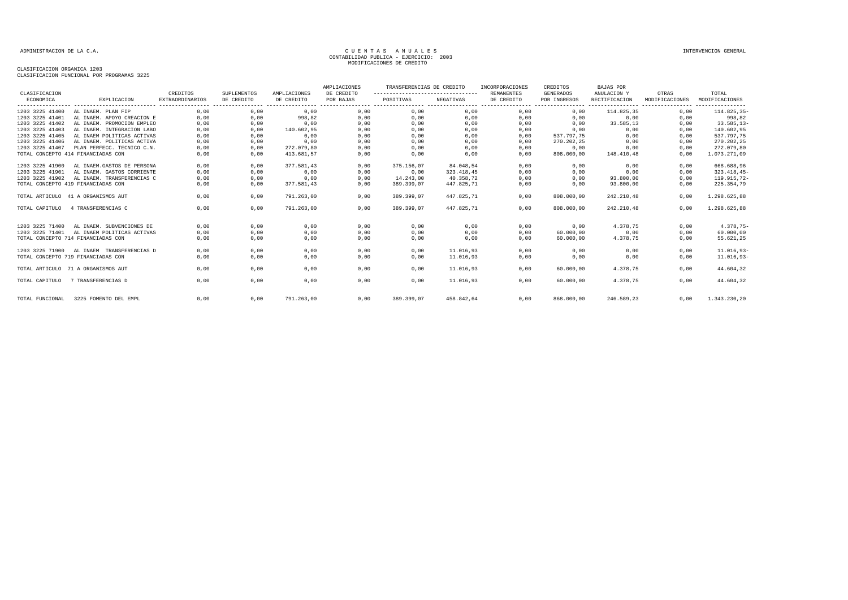| CLASIFICACION   |                                    | CREDITOS               | SUPLEMENTOS                     | AMPLIACIONES                    | AMPLIACIONES<br>DE CREDITO | TRANSFERENCIAS DE CREDITO<br>---------------------------------- |            | INCORPORACIONES<br><b>REMANENTES</b> | CREDITOS<br><b>GENERADOS</b>   | <b>BAJAS POR</b><br>ANULACION Y | OTRAS                              | TOTAL                              |
|-----------------|------------------------------------|------------------------|---------------------------------|---------------------------------|----------------------------|-----------------------------------------------------------------|------------|--------------------------------------|--------------------------------|---------------------------------|------------------------------------|------------------------------------|
| ECONOMICA       | EXPLICACION                        | <b>EXTRAORDINARIOS</b> | DE CREDITO<br>----------------- | DE CREDITO<br>----------------- | POR BAJAS                  | POSITIVAS                                                       | NEGATIVAS  | DE CREDITO                           | POR INGRESOS<br>-------------- | RECTIFICACION<br>---------      | MODIFICACIONES<br>---------------- | MODIFICACIONES<br>---------------- |
| 1203 3225 41400 | AL INAEM. PLAN FIP                 | 0,00                   | 0,00                            | 0,00                            | 0,00                       | 0,00                                                            | 0,00       | 0,00                                 | 0,00                           | 114.825,35                      | 0,00                               | 114.825,35-                        |
| 1203 3225 41401 | AL INAEM. APOYO CREACION E         | 0,00                   | 0,00                            | 998,82                          | 0,00                       | 0,00                                                            | 0,00       | 0,00                                 | 0,00                           | 0,00                            | 0,00                               | 998,82                             |
| 1203 3225 41402 | AL INAEM. PROMOCION EMPLEO         | 0,00                   | 0,00                            | 0,00                            | 0,00                       | 0,00                                                            | 0,00       | 0,00                                 | 0,00                           | 33.585,13                       | 0,00                               | $33.585, 13-$                      |
| 1203 3225 41403 | AL INAEM. INTEGRACION LABO         | 0,00                   | 0,00                            | 140.602,95                      | 0,00                       | 0,00                                                            | 0,00       | 0,00                                 | 0,00                           | 0,00                            | 0,00                               | 140.602,95                         |
| 1203 3225 41405 | AL INAEM POLITICAS ACTIVAS         | 0,00                   | 0,00                            | 0,00                            | 0,00                       | 0,00                                                            | 0,00       | 0,00                                 | 537.797.75                     | 0,00                            | 0,00                               | 537.797,75                         |
| 1203 3225 41406 | AL INAEM. POLITICAS ACTIVA         | 0,00                   | 0,00                            | 0,00                            | 0,00                       | 0,00                                                            | 0,00       | 0,00                                 | 270.202,25                     | 0,00                            | 0,00                               | 270.202,25                         |
| 1203 3225 41407 | PLAN PERFECC. TECNICO C.N.         | 0,00                   | 0,00                            | 272.079,80                      | 0,00                       | 0,00                                                            | 0,00       | 0,00                                 | 0,00                           | 0,00                            | 0.00                               | 272.079,80                         |
|                 | TOTAL CONCEPTO 414 FINANCIADAS CON | 0,00                   | 0,00                            | 413.681,57                      | 0,00                       | 0,00                                                            | 0,00       | 0,00                                 | 808.000,00                     | 148.410,48                      | 0,00                               | 1.073.271,09                       |
| 1203 3225 41900 | AL INAEM. GASTOS DE PERSONA        | 0,00                   | 0,00                            | 377.581,43                      | 0,00                       | 375.156,07                                                      | 84.048,54  | 0,00                                 | 0,00                           | 0,00                            | 0,00                               | 668.688,96                         |
| 1203 3225 41901 | AL INAEM. GASTOS CORRIENTE         | 0,00                   | 0,00                            | 0,00                            | 0,00                       | 0,00                                                            | 323.418,45 | 0,00                                 | 0,00                           | 0,00                            | 0,00                               | $323.418,45-$                      |
| 1203 3225 41902 | AL INAEM. TRANSFERENCIAS C         | 0,00                   | 0,00                            | 0,00                            | 0,00                       | 14, 243, 00                                                     | 40.358.72  | 0,00                                 | 0,00                           | 93.800,00                       | 0,00                               | 119.915,72-                        |
|                 | TOTAL CONCEPTO 419 FINANCIADAS CON | 0,00                   | 0,00                            | 377.581,43                      | 0,00                       | 389.399,07                                                      | 447.825,71 | 0,00                                 | 0,00                           | 93.800,00                       | 0,00                               | 225.354,79                         |
|                 | TOTAL ARTICULO 41 A ORGANISMOS AUT | 0,00                   | 0,00                            | 791.263,00                      | 0,00                       | 389.399,07                                                      | 447.825,71 | 0,00                                 | 808.000,00                     | 242.210,48                      | 0,00                               | 1.298.625,88                       |
| TOTAL CAPITULO  | 4 TRANSFERENCIAS C                 | 0,00                   | 0,00                            | 791.263,00                      | 0,00                       | 389.399,07                                                      | 447.825,71 | 0,00                                 | 808.000,00                     | 242.210,48                      | 0,00                               | 1.298.625,88                       |
| 1203 3225 71400 | AL INAEM. SUBVENCIONES DE          | 0,00                   | 0,00                            | 0,00                            | 0,00                       | 0,00                                                            | 0,00       | 0,00                                 | 0,00                           | 4.378,75                        | 0,00                               | 4.378,75-                          |
| 1203 3225 71401 | AL INAEM POLITICAS ACTIVAS         | 0,00                   | 0,00                            | 0,00                            | 0,00                       | 0,00                                                            | 0,00       | 0,00                                 | 60.000,00                      | 0,00                            | 0,00                               | 60.000,00                          |
|                 | TOTAL CONCEPTO 714 FINANCIADAS CON | 0.00                   | 0,00                            | 0,00                            | 0,00                       | 0,00                                                            | 0,00       | 0.00                                 | 60.000,00                      | 4.378,75                        | 0.00                               | 55.621,25                          |
| 1203 3225 71900 | AL INAEM TRANSFERENCIAS D          | 0,00                   | 0,00                            | 0,00                            | 0,00                       | 0,00                                                            | 11.016,93  | 0,00                                 | 0,00                           | 0,00                            | 0,00                               | $11.016,93-$                       |
|                 | TOTAL CONCEPTO 719 FINANCIADAS CON | 0,00                   | 0,00                            | 0,00                            | 0,00                       | 0,00                                                            | 11.016,93  | 0,00                                 | 0,00                           | 0.00                            | 0,00                               | $11.016,93-$                       |
|                 | TOTAL ARTICULO 71 A ORGANISMOS AUT | 0.00                   | 0.00                            | 0,00                            | 0.00                       | 0,00                                                            | 11,016,93  | 0.00                                 | 60,000,00                      | 4.378.75                        | 0,00                               | 44.604,32                          |
| TOTAL CAPITULO  | 7 TRANSFERENCIAS D                 | 0.00                   | 0.00                            | 0,00                            | 0.00                       | 0.00                                                            | 11.016.93  | 0.00                                 | 60.000,00                      | 4.378.75                        | 0.00                               | 44.604,32                          |
| TOTAL FUNCIONAL | 3225 FOMENTO DEL EMPL              | 0,00                   | 0,00                            | 791.263,00                      | 0,00                       | 389.399,07                                                      | 458.842,64 | 0,00                                 | 868.000,00                     | 246.589,23                      | 0,00                               | 1.343.230,20                       |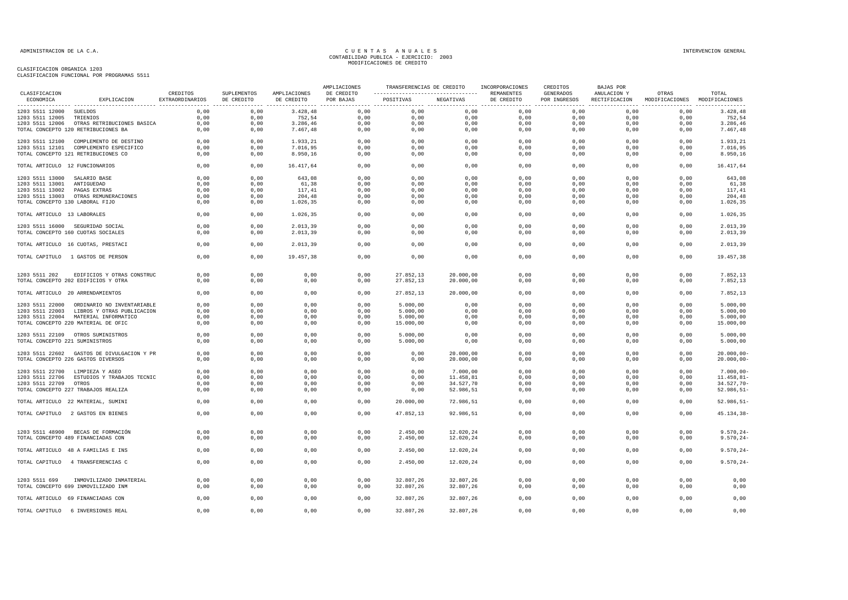| CLASIFICACION                   |                                            | CREDITOS        | SUPLEMENTOS | AMPLIACIONES | AMPLIACIONES<br>DE CREDITO | TRANSFERENCIAS DE CREDITO |           | INCORPORACIONES<br>REMANENTES | CREDITOS<br>GENERADOS | BAJAS POR<br>ANULACION Y | OTRAS                         | TOTAL          |
|---------------------------------|--------------------------------------------|-----------------|-------------|--------------|----------------------------|---------------------------|-----------|-------------------------------|-----------------------|--------------------------|-------------------------------|----------------|
| ECONOMICA                       | EXPLICACION                                | EXTRAORDINARIOS | DE CREDITO  | DE CREDITO   | POR BAJAS                  | POSITIVAS                 | NEGATIVAS | DE CREDITO                    | POR INGRESOS          | RECTIFICACION            | MODIFICACIONES MODIFICACIONES |                |
| 1203 5511 12000 SUELDOS         |                                            | 0,00            | 0,00        | 3.428,48     | 0,00                       | 0,00                      | 0,00      | 0,00                          | 0,00                  | 0,00                     | 0,00                          | 3.428,48       |
| 1203 5511 12005 TRIENIOS        |                                            | 0,00            | 0,00        | 752,54       | 0,00                       | 0,00                      | 0,00      | 0,00                          | 0,00                  | 0,00                     | 0,00                          | 752,54         |
|                                 | 1203 5511 12006 OTRAS RETRIBUCIONES BASICA | 0,00            | 0,00        | 3.286,46     | 0,00                       | 0,00                      | 0,00      | 0,00                          | 0,00                  | 0,00                     | 0,00                          | 3.286,46       |
|                                 | TOTAL CONCEPTO 120 RETRIBUCIONES BA        | 0,00            | 0,00        | 7.467,48     | 0,00                       | 0,00                      | 0,00      | 0,00                          | 0,00                  | 0,00                     | 0,00                          | 7.467,48       |
|                                 | 1203 5511 12100 COMPLEMENTO DE DESTINO     | 0,00            | 0,00        | 1.933,21     | 0,00                       | 0,00                      | 0,00      | 0,00                          | 0,00                  | 0,00                     | 0,00                          | 1.933,21       |
|                                 | 1203 5511 12101 COMPLEMENTO ESPECIFICO     | 0.00            | 0.00        | 7.016.95     | 0,00                       | 0,00                      | 0,00      | 0,00                          | 0.00                  | 0.00                     | 0.00                          | 7.016,95       |
|                                 | TOTAL CONCEPTO 121 RETRIBUCIONES CO        | 0,00            | 0,00        | 8.950,16     | 0,00                       | 0,00                      | 0,00      | 0,00                          | 0,00                  | 0,00                     | 0,00                          | 8.950,16       |
| TOTAL ARTICULO 12 FUNCIONARIOS  |                                            | 0,00            | 0,00        | 16.417,64    | 0,00                       | 0,00                      | 0,00      | 0,00                          | 0,00                  | 0,00                     | 0,00                          | 16.417,64      |
| 1203 5511 13000 SALARIO BASE    |                                            | 0,00            | 0,00        | 643,08       | 0,00                       | 0,00                      | 0,00      | 0,00                          | 0,00                  | 0,00                     | 0,00                          | 643,08         |
| 1203 5511 13001                 | ANTIGUEDAD                                 | 0,00            | 0,00        | 61,38        | 0,00                       | 0,00                      | 0,00      | 0,00                          | 0,00                  | 0,00                     | 0,00                          | 61,38          |
| 1203 5511 13002                 | PAGAS EXTRAS                               | 0,00            | 0,00        | 117,41       | 0,00                       | 0,00                      | 0,00      | 0,00                          | 0,00                  | 0,00                     | 0,00                          | 117,41         |
|                                 | 1203 5511 13003 OTRAS REMUNERACIONES       | 0,00            | 0,00        | 204,48       | 0,00                       | 0,00                      | 0,00      | 0,00                          | 0,00                  | 0,00                     | 0,00                          | 204,48         |
| TOTAL CONCEPTO 130 LABORAL FIJO |                                            | 0,00            | 0,00        | 1.026,35     | 0,00                       | 0,00                      | 0,00      | 0,00                          | 0,00                  | 0,00                     | 0,00                          | 1.026,35       |
| TOTAL ARTICULO 13 LABORALES     |                                            | 0,00            | 0,00        | 1.026,35     | 0,00                       | 0,00                      | 0,00      | 0,00                          | 0,00                  | 0,00                     | 0,00                          | 1.026,35       |
|                                 | 1203 5511 16000 SEGURIDAD SOCIAL           | 0,00            | 0,00        | 2.013,39     | 0,00                       | 0,00                      | 0,00      | 0,00                          | 0,00                  | 0,00                     | 0,00                          | 2.013,39       |
|                                 | TOTAL CONCEPTO 160 CUOTAS SOCIALES         | 0,00            | 0,00        | 2.013,39     | 0,00                       | 0,00                      | 0,00      | 0,00                          | 0,00                  | 0,00                     | 0,00                          | 2.013,39       |
|                                 | TOTAL ARTICULO 16 CUOTAS, PRESTACI         | 0,00            | 0,00        | 2.013,39     | 0,00                       | 0,00                      | 0,00      | 0,00                          | 0,00                  | 0,00                     | 0,00                          | 2.013,39       |
|                                 | TOTAL CAPITULO 1 GASTOS DE PERSON          | 0,00            | 0,00        | 19.457,38    | 0,00                       | 0,00                      | 0,00      | 0,00                          | 0,00                  | 0,00                     | 0,00                          | 19.457,38      |
| 1203 5511 202                   | EDIFICIOS Y OTRAS CONSTRUC                 | 0,00            | 0,00        | 0,00         | 0,00                       | 27.852,13                 | 20.000,00 | 0,00                          | 0,00                  | 0,00                     | 0,00                          | 7.852,13       |
|                                 | TOTAL CONCEPTO 202 EDIFICIOS Y OTRA        | 0,00            | 0,00        | 0,00         | 0,00                       | 27.852,13                 | 20.000,00 | 0,00                          | 0,00                  | 0,00                     | 0,00                          | 7.852,13       |
|                                 | TOTAL ARTICULO 20 ARRENDAMIENTOS           | 0,00            | 0,00        | 0,00         | 0,00                       | 27.852,13                 | 20.000,00 | 0,00                          | 0,00                  | 0,00                     | 0,00                          | 7.852,13       |
|                                 | 1203 5511 22000 ORDINARIO NO INVENTARIABLE | 0,00            | 0,00        | 0,00         | 0,00                       | 5.000,00                  | 0,00      | 0,00                          | 0,00                  | 0,00                     | 0,00                          | 5.000,00       |
| 1203 5511 22003                 | LIBROS Y OTRAS PUBLICACION                 | 0,00            | 0,00        | 0,00         | 0,00                       | 5.000,00                  | 0,00      | 0,00                          | 0,00                  | 0,00                     | 0,00                          | 5.000,00       |
|                                 | 1203 5511 22004 MATERIAL INFORMATICO       | 0.00            | 0,00        | 0,00         | 0,00                       | 5.000,00                  | 0,00      | 0,00                          | 0.00                  | 0.00                     | 0.00                          | 5.000,00       |
|                                 | TOTAL CONCEPTO 220 MATERIAL DE OFIC        | 0,00            | 0,00        | 0,00         | 0,00                       | 15.000,00                 | 0,00      | 0,00                          | 0,00                  | 0,00                     | 0,00                          | 15.000,00      |
|                                 | 1203 5511 22109 OTROS SUMINISTROS          | 0,00            | 0,00        | 0,00         | 0,00                       | 5.000,00                  | 0,00      | 0,00                          | 0,00                  | 0,00                     | 0,00                          | 5.000,00       |
| TOTAL CONCEPTO 221 SUMINISTROS  |                                            | 0,00            | 0,00        | 0,00         | 0,00                       | 5.000,00                  | 0,00      | 0,00                          | 0,00                  | 0,00                     | 0,00                          | 5.000,00       |
|                                 | 1203 5511 22602 GASTOS DE DIVULGACION Y PR | 0,00            | 0,00        | 0,00         | 0,00                       | 0,00                      | 20.000,00 | 0,00                          | 0,00                  | 0,00                     | 0,00                          | $20.000,00 -$  |
|                                 | TOTAL CONCEPTO 226 GASTOS DIVERSOS         | 0,00            | 0,00        | 0,00         | 0,00                       | 0,00                      | 20.000,00 | 0,00                          | 0,00                  | 0,00                     | 0,00                          | $20.000,00 -$  |
|                                 | 1203 5511 22700 LIMPIEZA Y ASEO            | 0,00            | 0,00        | 0,00         | 0,00                       | 0,00                      | 7.000,00  | 0,00                          | 0,00                  | 0,00                     | 0,00                          | $7.000,00 -$   |
|                                 | 1203 5511 22706 ESTUDIOS Y TRABAJOS TECNIC | 0,00            | 0,00        | 0,00         | 0,00                       | 0,00                      | 11.458,81 | 0,00                          | 0,00                  | 0,00                     | 0,00                          | $11.458, 81 -$ |
| 1203 5511 22709 OTROS           |                                            | 0,00            | 0,00        | 0,00         | 0,00                       | 0,00                      | 34.527,70 | 0,00                          | 0,00                  | 0,00                     | 0,00                          | 34.527,70-     |
|                                 | TOTAL CONCEPTO 227 TRABAJOS REALIZA        | 0,00            | 0,00        | 0,00         | 0,00                       | 0,00                      | 52.986,51 | 0,00                          | 0,00                  | 0,00                     | 0,00                          | $52.986, 51 -$ |
|                                 | TOTAL ARTICULO 22 MATERIAL, SUMINI         | 0,00            | 0,00        | 0,00         | 0,00                       | 20.000,00                 | 72.986,51 | 0,00                          | 0,00                  | 0,00                     | 0,00                          | $52.986, 51 -$ |
|                                 | TOTAL CAPITULO 2 GASTOS EN BIENES          | 0,00            | 0,00        | 0,00         | 0,00                       | 47.852,13                 | 92.986,51 | 0,00                          | 0,00                  | 0,00                     | 0,00                          | $45.134, 38 -$ |
|                                 |                                            |                 |             |              |                            |                           |           |                               |                       |                          |                               |                |
|                                 | 1203 5511 48900 BECAS DE FORMACIÓN         | 0,00            | 0,00        | 0,00         | 0,00                       | 2.450,00                  | 12.020,24 | 0,00                          | 0,00                  | 0,00                     | 0,00                          | $9.570, 24 -$  |
|                                 | TOTAL CONCEPTO 489 FINANCIADAS CON         | 0,00            | 0,00        | 0,00         | 0,00                       | 2.450,00                  | 12.020,24 | 0,00                          | 0,00                  | 0,00                     | 0,00                          | $9.570, 24 -$  |
|                                 | TOTAL ARTICULO 48 A FAMILIAS E INS         | 0,00            | 0,00        | 0,00         | 0,00                       | 2.450,00                  | 12.020,24 | 0,00                          | 0,00                  | 0,00                     | 0,00                          | $9.570, 24 -$  |
|                                 | TOTAL CAPITULO 4 TRANSFERENCIAS C          | 0,00            | 0,00        | 0,00         | 0,00                       | 2.450,00                  | 12.020,24 | 0,00                          | 0,00                  | 0,00                     | 0,00                          | $9.570, 24 -$  |
|                                 |                                            |                 |             |              |                            |                           |           |                               |                       |                          |                               |                |
| 1203 5511 699                   | INMOVILIZADO INMATERIAL                    | 0,00            | 0,00        | 0,00         | 0,00                       | 32.807,26                 | 32.807,26 | 0,00                          | 0,00                  | 0,00                     | 0,00                          | 0,00           |
|                                 | TOTAL CONCEPTO 699 INMOVILIZADO INM        | 0,00            | 0,00        | 0,00         | 0,00                       | 32.807,26                 | 32.807,26 | 0,00                          | 0,00                  | 0,00                     | 0,00                          | 0,00           |
|                                 | TOTAL ARTICULO 69 FINANCIADAS CON          | 0,00            | 0,00        | 0,00         | 0,00                       | 32.807,26                 | 32.807,26 | 0,00                          | 0,00                  | 0,00                     | 0,00                          | 0,00           |
|                                 | TOTAL CAPITULO 6 INVERSIONES REAL          | 0,00            | 0,00        | 0,00         | 0,00                       | 32.807,26                 | 32.807,26 | 0,00                          | 0,00                  | 0,00                     | 0,00                          | 0,00           |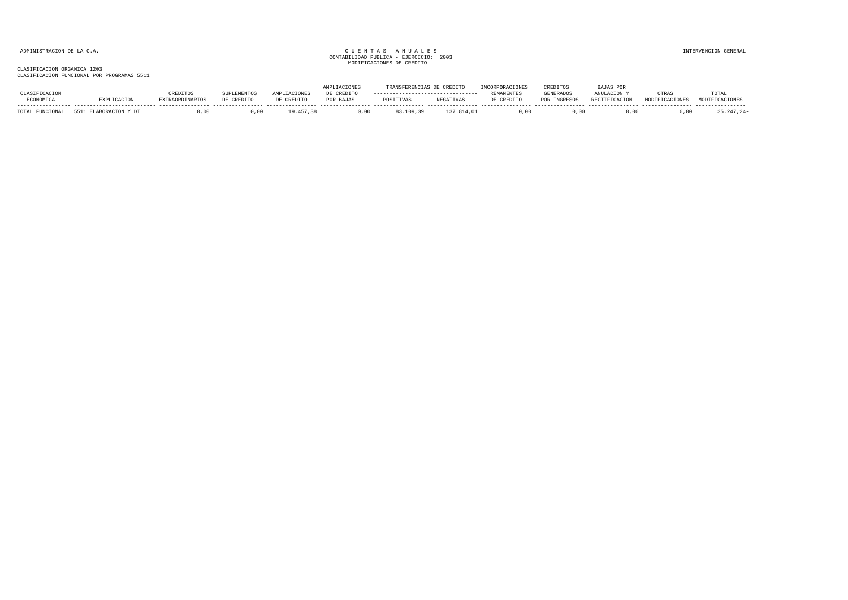|                                |             |                        |            |             | <b>ACTONES</b> | TRANSFERENCESS C |            |                   | CREDITOS                | .AJAS POR            |                |                |
|--------------------------------|-------------|------------------------|------------|-------------|----------------|------------------|------------|-------------------|-------------------------|----------------------|----------------|----------------|
|                                |             | <b>REDITOS</b>         |            | TACIONES    | : CREDITC      |                  |            | <b>REMANENTES</b> | <b>GENERADOS</b>        | ANULACTON            | OTRAS          | TOTAI          |
| ECONOMICA                      |             | <b>EXTRAORDINARIOS</b> | DE CREDITO | DE CREDITO  | POR BAJAS      | POSITIVAS        | NEGATIVAS  | DE CREDITO        | <b>INGRESOS</b><br>DOD. | <b>RECTIFICACION</b> | MODIFICACIONES | MODIFICACIONES |
| TOTAL.<br><b><i>ITONAT</i></b> | <b>CC11</b> | 0 <sup>n</sup>         |            | $-9.457.38$ | 0.00           | 83.109.39        | 137.814.01 | 0.00              | 0.00                    |                      |                |                |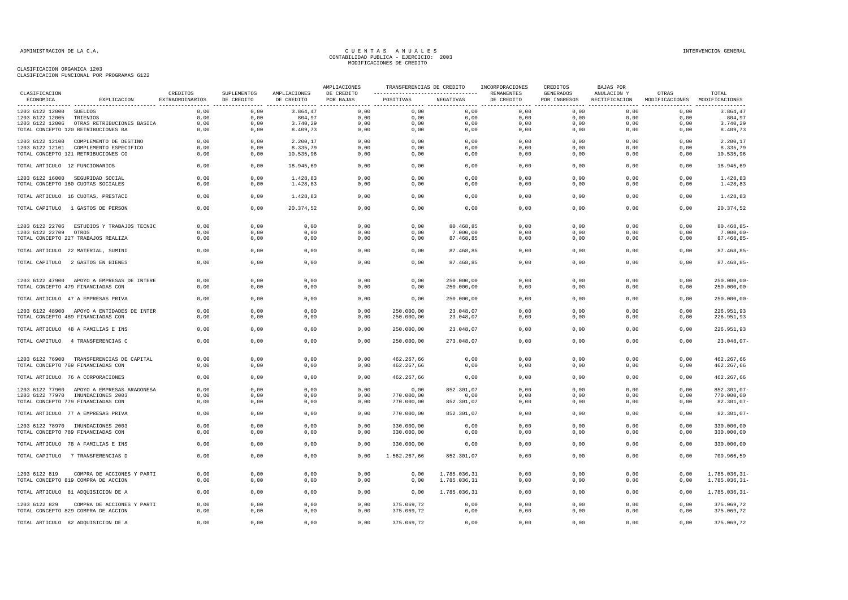|                                |                                                                                  |                             |                           |                            | AMPLIACIONES            | TRANSFERENCIAS DE CREDITO |                          | INCORPORACIONES          | CREDITOS                         | <b>BAJAS POR</b>             |                                        |                                 |
|--------------------------------|----------------------------------------------------------------------------------|-----------------------------|---------------------------|----------------------------|-------------------------|---------------------------|--------------------------|--------------------------|----------------------------------|------------------------------|----------------------------------------|---------------------------------|
| CLASIFICACION<br>ECONOMICA     | EXPLICACION                                                                      | CREDITOS<br>EXTRAORDINARIOS | SUPLEMENTOS<br>DE CREDITO | AMPLIACIONES<br>DE CREDITO | DE CREDITO<br>POR BAJAS | POSITIVAS                 | NEGATIVAS                | REMANENTES<br>DE CREDITO | <b>GENERADOS</b><br>POR INGRESOS | ANULACION Y<br>RECTIFICACION | OTRAS<br>MODIFICACIONES MODIFICACIONES | TOTAL                           |
| 1203 6122 12000 SUELDOS        |                                                                                  | 0,00                        | 0,00                      | 3.864,47                   | 0,00                    | 0,00                      | 0,00                     | 0,00                     | 0,00                             | 0,00                         | 0,00                                   | 3.864,47                        |
| 1203 6122 12005                | TRIENIOS                                                                         | 0,00                        | 0,00                      | 804,97                     | 0,00                    | 0,00                      | 0,00                     | 0,00                     | 0,00                             | 0,00                         | 0,00                                   | 804,97                          |
|                                | 1203 6122 12006 OTRAS RETRIBUCIONES BASICA                                       | 0,00                        | 0,00                      | 3.740,29                   | 0,00                    | 0,00                      | 0,00                     | 0,00                     | 0,00                             | 0,00                         | 0,00                                   | 3.740,29                        |
|                                | TOTAL CONCEPTO 120 RETRIBUCIONES BA                                              | 0,00                        | 0,00                      | 8.409,73                   | 0,00                    | 0,00                      | 0,00                     | 0,00                     | 0,00                             | 0,00                         | 0,00                                   | 8.409,73                        |
|                                | 1203 6122 12100 COMPLEMENTO DE DESTINO                                           | 0,00                        | 0,00                      | 2.200,17                   | 0,00                    | 0,00                      | 0,00                     | 0,00                     | 0,00                             | 0,00                         | 0,00                                   | 2.200,17                        |
|                                | 1203 6122 12101 COMPLEMENTO ESPECIFICO                                           | 0,00                        | 0,00                      | 8.335,79                   | 0,00                    | 0,00                      | 0,00                     | 0,00                     | 0,00                             | 0,00                         | 0,00                                   | 8.335,79                        |
|                                | TOTAL CONCEPTO 121 RETRIBUCIONES CO                                              | 0,00                        | 0,00                      | 10.535,96                  | 0,00                    | 0,00                      | 0,00                     | 0,00                     | 0,00                             | 0,00                         | 0,00                                   | 10.535,96                       |
| TOTAL ARTICULO 12 FUNCIONARIOS |                                                                                  | 0,00                        | 0,00                      | 18.945,69                  | 0,00                    | 0,00                      | 0,00                     | 0,00                     | 0,00                             | 0,00                         | 0,00                                   | 18.945,69                       |
|                                | 1203 6122 16000 SEGURIDAD SOCIAL                                                 | 0.00                        | 0,00                      | 1.428,83                   | 0,00                    | 0.00                      | 0,00                     | 0,00                     | 0,00                             | 0.00                         | 0,00                                   | 1.428,83                        |
|                                | TOTAL CONCEPTO 160 CUOTAS SOCIALES                                               | 0,00                        | 0,00                      | 1.428,83                   | 0,00                    | 0,00                      | 0,00                     | 0,00                     | 0,00                             | 0,00                         | 0,00                                   | 1.428,83                        |
|                                | TOTAL ARTICULO 16 CUOTAS, PRESTACI                                               | 0,00                        | 0,00                      | 1.428,83                   | 0,00                    | 0,00                      | 0,00                     | 0,00                     | 0,00                             | 0,00                         | 0,00                                   | 1.428,83                        |
|                                | TOTAL CAPITULO 1 GASTOS DE PERSON                                                | 0,00                        | 0,00                      | 20.374,52                  | 0,00                    | 0,00                      | 0,00                     | 0,00                     | 0,00                             | 0,00                         | 0,00                                   | 20.374,52                       |
| 1203 6122 22706                | ESTUDIOS Y TRABAJOS TECNIC                                                       | 0,00                        | 0,00                      | 0,00                       | 0,00                    | 0,00                      | 80.468,85                | 0,00                     | 0,00                             | 0,00                         | 0,00                                   | $80.468, 85 -$                  |
| 1203 6122 22709                | OTROS                                                                            | 0,00                        | 0,00                      | 0,00                       | 0,00                    | 0,00                      | 7.000,00                 | 0,00                     | 0,00                             | 0,00                         | 0,00                                   | $7.000,00 -$                    |
|                                | TOTAL CONCEPTO 227 TRABAJOS REALIZA                                              | 0,00                        | 0,00                      | 0,00                       | 0,00                    | 0,00                      | 87.468,85                | 0,00                     | 0,00                             | 0,00                         | 0,00                                   | 87.468,85-                      |
|                                | TOTAL ARTICULO 22 MATERIAL, SUMINI                                               | 0,00                        | 0,00                      | 0,00                       | 0,00                    | 0,00                      | 87.468,85                | 0,00                     | 0,00                             | 0,00                         | 0,00                                   | 87.468,85-                      |
|                                | TOTAL CAPITULO 2 GASTOS EN BIENES                                                | 0,00                        | 0,00                      | 0,00                       | 0,00                    | 0,00                      | 87.468,85                | 0,00                     | 0,00                             | 0,00                         | 0,00                                   | 87.468,85-                      |
|                                |                                                                                  |                             |                           |                            |                         |                           |                          |                          |                                  |                              |                                        |                                 |
|                                | 1203 6122 47900 APOYO A EMPRESAS DE INTERE<br>TOTAL CONCEPTO 479 FINANCIADAS CON | 0,00<br>0,00                | 0,00<br>0,00              | 0,00<br>0,00               | 0,00<br>0,00            | 0,00<br>0,00              | 250.000,00<br>250.000,00 | 0,00<br>0,00             | 0,00<br>0,00                     | 0,00<br>0,00                 | 0,00<br>0,00                           | $250.000,00 -$<br>$250.000,00-$ |
|                                |                                                                                  |                             |                           |                            |                         |                           |                          |                          |                                  |                              |                                        |                                 |
|                                | TOTAL ARTICULO 47 A EMPRESAS PRIVA                                               | 0,00                        | 0,00                      | 0,00                       | 0,00                    | 0,00                      | 250.000,00               | 0,00                     | 0,00                             | 0,00                         | 0,00                                   | $250.000,00 -$                  |
|                                | 1203 6122 48900 APOYO A ENTIDADES DE INTER                                       | 0,00                        | 0,00                      | 0,00                       | 0,00                    | 250.000,00                | 23.048,07                | 0,00                     | 0,00                             | 0,00                         | 0,00                                   | 226.951,93                      |
|                                | TOTAL CONCEPTO 489 FINANCIADAS CON                                               | 0,00                        | 0,00                      | 0,00                       | 0,00                    | 250.000,00                | 23.048,07                | 0,00                     | 0,00                             | 0,00                         | 0,00                                   | 226.951,93                      |
|                                | TOTAL ARTICULO 48 A FAMILIAS E INS                                               | 0,00                        | 0,00                      | 0,00                       | 0,00                    | 250.000,00                | 23.048,07                | 0,00                     | 0,00                             | 0,00                         | 0,00                                   | 226.951,93                      |
|                                | TOTAL CAPITULO 4 TRANSFERENCIAS C                                                | 0,00                        | 0,00                      | 0,00                       | 0,00                    | 250.000,00                | 273.048,07               | 0,00                     | 0,00                             | 0,00                         | 0,00                                   | $23.048,07-$                    |
|                                | 1203 6122 76900 TRANSFERENCIAS DE CAPITAL                                        | 0,00                        | 0,00                      | 0,00                       | 0,00                    | 462.267,66                | 0,00                     | 0,00                     | 0,00                             | 0,00                         | 0,00                                   | 462.267,66                      |
|                                | TOTAL CONCEPTO 769 FINANCIADAS CON                                               | 0,00                        | 0,00                      | 0,00                       | 0,00                    | 462.267,66                | 0,00                     | 0,00                     | 0,00                             | 0,00                         | 0,00                                   | 462.267,66                      |
|                                | TOTAL ARTICULO 76 A CORPORACIONES                                                | 0,00                        | 0,00                      | 0,00                       | 0,00                    | 462.267,66                | 0,00                     | 0,00                     | 0,00                             | 0,00                         | 0,00                                   | 462.267,66                      |
|                                | 1203 6122 77900 APOYO A EMPRESAS ARAGONESA                                       | 0.00                        | 0,00                      | 0,00                       | 0,00                    | 0,00                      | 852.301,07               | 0,00                     | 0,00                             | 0,00                         | 0,00                                   | 852.301,07-                     |
|                                | 1203 6122 77970 INUNDACIONES 2003                                                | 0.00                        | 0,00                      | 0,00                       | 0,00                    | 770.000,00                | 0,00                     | 0,00                     | 0,00                             | 0,00                         | 0,00                                   | 770.000,00                      |
|                                | TOTAL CONCEPTO 779 FINANCIADAS CON                                               | 0,00                        | 0,00                      | 0,00                       | 0,00                    | 770.000,00                | 852.301,07               | 0,00                     | 0,00                             | 0,00                         | 0,00                                   | $82.301,07-$                    |
|                                | TOTAL ARTICULO 77 A EMPRESAS PRIVA                                               | 0,00                        | 0,00                      | 0,00                       | 0,00                    | 770.000,00                | 852.301,07               | 0,00                     | 0,00                             | 0,00                         | 0,00                                   | $82.301,07-$                    |
|                                |                                                                                  | 0,00                        | 0,00                      | 0,00                       | 0,00                    |                           | 0,00                     | 0,00                     | 0,00                             | 0,00                         | 0,00                                   | 330.000,00                      |
|                                | 1203 6122 78970 INUNDACIONES 2003<br>TOTAL CONCEPTO 789 FINANCIADAS CON          | 0,00                        | 0,00                      | 0,00                       | 0,00                    | 330.000,00<br>330.000,00  | 0,00                     | 0,00                     | 0,00                             | 0,00                         | 0,00                                   | 330.000,00                      |
|                                | TOTAL ARTICULO 78 A FAMILIAS E INS                                               | 0,00                        | 0,00                      | 0,00                       | 0,00                    | 330.000,00                | 0,00                     | 0,00                     | 0,00                             | 0,00                         | 0,00                                   | 330.000,00                      |
|                                | TOTAL CAPITULO 7 TRANSFERENCIAS D                                                | 0.00                        | 0.00                      | 0,00                       | 0.00                    | 1.562.267.66              | 852.301,07               | 0,00                     | 0.00                             | 0.00                         | 0.00                                   | 709.966,59                      |
|                                |                                                                                  |                             |                           |                            |                         |                           |                          |                          |                                  |                              |                                        |                                 |
| 1203 6122 819                  | COMPRA DE ACCIONES Y PARTI                                                       | 0.00                        | 0,00                      | 0,00                       | 0,00                    | 0,00                      | 1.785.036,31             | 0,00                     | 0,00                             | 0,00                         | 0,00                                   | 1.785.036,31-                   |
|                                | TOTAL CONCEPTO 819 COMPRA DE ACCION                                              | 0,00                        | 0,00                      | 0,00                       | 0,00                    | 0,00                      | 1.785.036,31             | 0,00                     | 0,00                             | 0,00                         | 0,00                                   | $1.785.036, 31-$                |
|                                | TOTAL ARTICULO 81 ADQUISICION DE A                                               | 0,00                        | 0,00                      | 0,00                       | 0,00                    | 0,00                      | 1.785.036,31             | 0,00                     | 0,00                             | 0,00                         | 0,00                                   | 1.785.036,31-                   |
| 1203 6122 829                  | COMPRA DE ACCIONES Y PARTI                                                       | 0,00                        | 0,00                      | 0,00                       | 0,00                    | 375.069,72                | 0,00                     | 0,00                     | 0,00                             | 0,00                         | 0,00                                   | 375.069,72                      |
|                                | TOTAL CONCEPTO 829 COMPRA DE ACCION                                              | 0.00                        | 0,00                      | 0,00                       | 0,00                    | 375.069,72                | 0,00                     | 0,00                     | 0.00                             | 0.00                         | 0,00                                   | 375.069,72                      |
|                                | TOTAL ARTICULO 82 ADQUISICION DE A                                               | 0,00                        | 0,00                      | 0,00                       | 0,00                    | 375.069,72                | 0,00                     | 0,00                     | 0,00                             | 0,00                         | 0,00                                   | 375.069,72                      |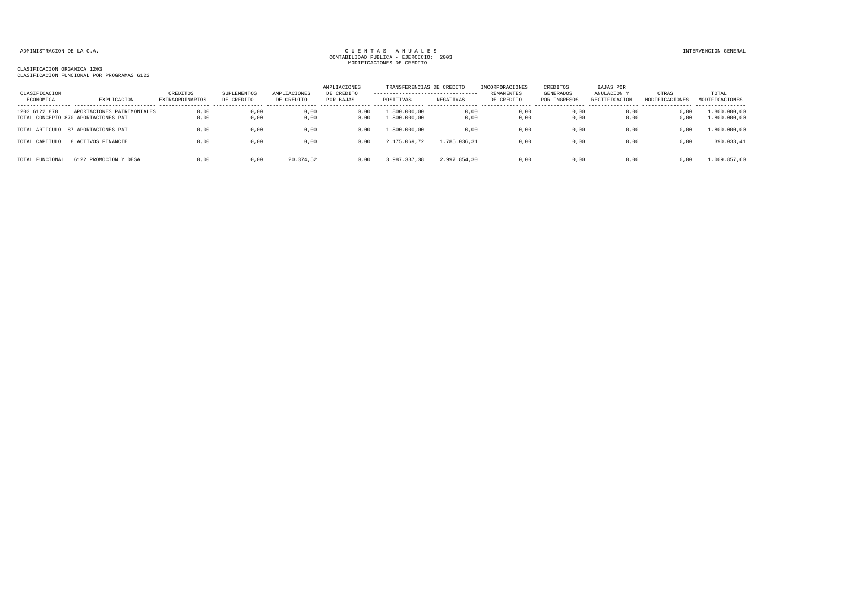| CLASIFICACION<br>ECONOMICA | EXPLICACION                                                       | CREDITOS<br><b>EXTRAORDINARIOS</b> | SUPLEMENTOS<br>DE CREDITO | AMPLIACIONES<br>DE CREDITO | AMPLIACIONES<br>DE CREDITO<br>POR BAJAS | TRANSFERENCIAS DE CREDITO<br>---------------------------------<br>POSITIVAS | NEGATIVAS    | INCORPORACIONES<br>REMANENTES<br>DE CREDITO | CREDITOS<br>GENERADOS<br>POR INGRESOS | <b>BAJAS POR</b><br>ANULACION Y<br>RECTIFICACION | OTRAS<br>MODIFICACIONES | TOTAL<br>MODIFICACIONES      |
|----------------------------|-------------------------------------------------------------------|------------------------------------|---------------------------|----------------------------|-----------------------------------------|-----------------------------------------------------------------------------|--------------|---------------------------------------------|---------------------------------------|--------------------------------------------------|-------------------------|------------------------------|
| 1203 6122 870              | APORTACIONES PATRIMONIALES<br>TOTAL CONCEPTO 870 APORTACIONES PAT | 0,00<br>0,00                       | 0,00<br>0,00              | 0,00<br>0,00               | 0,00<br>0,00                            | 1.800.000,00<br>1.800.000,00                                                | 0,00<br>0,00 | 0,00<br>0,00                                | 0,00<br>0,00                          | 0,00<br>0,00                                     | 0,00<br>0,00            | 1.800.000,00<br>1.800.000,00 |
| TOTAL ARTICULO             | 87 APORTACIONES PAT                                               | 0.00                               | 0,00                      | 0,00                       | 0,00                                    | 1.800.000,00                                                                | 0,00         | 0,00                                        | 0,00                                  | 0,00                                             | 0,00                    | 1.800.000,00                 |
| TOTAL CAPITULO             | 8 ACTIVOS FINANCIE                                                | 0.00                               | 0,00                      | 0,00                       | 0.00                                    | 2.175.069,72                                                                | 1.785.036.31 | 0,00                                        | 0.00                                  | 0.00                                             | 0,00                    | 390.033,41                   |
| TOTAL FUNCIONAL            | 6122 PROMOCION Y DESA                                             | 0.00                               | 0,00                      | 20.374.52                  | 0.00                                    | 3.987.337,38                                                                | 2.997.854.30 | 0,00                                        | 0.00                                  | 0.00                                             | 0.00                    | 1.009.857,60                 |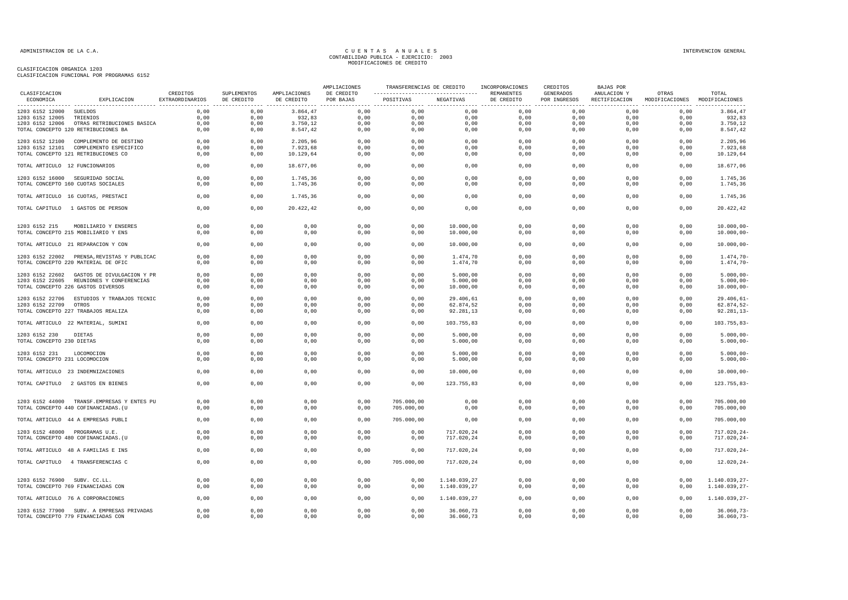| CLASIFICACION                  |                                             | CREDITOS        | SUPLEMENTOS | AMPLIACIONES | AMPLIACIONES<br>DE CREDITO | TRANSFERENCIAS DE CREDITO |                          | INCORPORACIONES<br>REMANENTES | CREDITOS<br><b>GENERADOS</b> | <b>BAJAS POR</b><br>ANULACION Y | OTRAS                         | TOTAL                              |
|--------------------------------|---------------------------------------------|-----------------|-------------|--------------|----------------------------|---------------------------|--------------------------|-------------------------------|------------------------------|---------------------------------|-------------------------------|------------------------------------|
| ECONOMICA                      | EXPLICACION                                 | EXTRAORDINARIOS | DE CREDITO  | DE CREDITO   | POR BAJAS                  | POSITIVAS                 | NEGATIVAS                | DE CREDITO                    | POR INGRESOS                 | RECTIFICACION                   | MODIFICACIONES MODIFICACIONES |                                    |
| 1203 6152 12000 SUELDOS        |                                             | 0,00            | 0,00        | 3.864,47     | 0,00                       | 0,00                      | 0,00                     | 0,00                          | 0,00                         | 0,00                            | 0,00                          | 3.864,47                           |
| 1203 6152 12005 TRIENIOS       |                                             | 0,00            | 0,00        | 932,83       | 0,00                       | 0,00                      | 0,00                     | $0$ , $00$                    | 0,00                         | 0,00                            | 0,00                          | 932,83                             |
|                                | 1203 6152 12006 OTRAS RETRIBUCIONES BASICA  | 0,00            | 0,00        | 3.750,12     | 0,00                       | 0,00                      | 0,00                     | 0,00                          | 0,00                         | 0,00                            | 0,00                          | 3.750,12                           |
|                                | TOTAL CONCEPTO 120 RETRIBUCIONES BA         | 0,00            | 0,00        | 8.547,42     | 0,00                       | 0,00                      | 0,00                     | 0,00                          | 0,00                         | 0,00                            | 0,00                          | 8.547,42                           |
|                                | 1203 6152 12100 COMPLEMENTO DE DESTINO      | 0.00            | 0.00        | 2.205,96     | 0,00                       | 0,00                      | 0,00                     | 0,00                          | 0,00                         | 0.00                            | 0,00                          | 2.205,96                           |
|                                | 1203 6152 12101 COMPLEMENTO ESPECIFICO      | 0,00            | 0,00        | 7.923,68     | 0,00                       | 0,00                      | 0,00                     | 0,00                          | 0,00                         | 0,00                            | 0,00                          | 7.923,68                           |
|                                | TOTAL CONCEPTO 121 RETRIBUCIONES CO         | 0,00            | 0,00        | 10.129,64    | 0,00                       | 0,00                      | 0,00                     | 0,00                          | 0,00                         | 0,00                            | 0,00                          | 10.129,64                          |
| TOTAL ARTICULO 12 FUNCIONARIOS |                                             | 0,00            | 0,00        | 18.677,06    | 0,00                       | 0,00                      | 0,00                     | 0,00                          | 0,00                         | 0,00                            | 0,00                          | 18.677,06                          |
|                                | 1203 6152 16000 SEGURIDAD SOCIAL            | 0,00            | 0,00        | 1.745,36     | 0,00                       | 0,00                      | 0,00                     | 0,00                          | 0,00                         | 0,00                            | 0,00                          | 1.745,36                           |
|                                | TOTAL CONCEPTO 160 CUOTAS SOCIALES          | 0,00            | 0,00        | 1.745,36     | 0,00                       | 0,00                      | 0,00                     | 0,00                          | 0,00                         | 0,00                            | 0,00                          | 1.745,36                           |
|                                | TOTAL ARTICULO 16 CUOTAS, PRESTACI          | 0,00            | 0,00        | 1.745,36     | 0,00                       | 0,00                      | 0,00                     | 0,00                          | 0,00                         | 0,00                            | 0,00                          | 1.745,36                           |
|                                | TOTAL CAPITULO 1 GASTOS DE PERSON           | 0,00            | 0,00        | 20.422,42    | 0,00                       | 0,00                      | 0,00                     | 0,00                          | 0,00                         | 0,00                            | 0,00                          | 20.422,42                          |
|                                |                                             |                 |             |              |                            |                           |                          |                               |                              |                                 |                               |                                    |
| 1203 6152 215                  | MOBILIARIO Y ENSERES                        | 0,00            | 0,00        | 0,00         | 0,00                       | 0,00                      | 10.000,00                | 0,00                          | 0,00                         | 0,00                            | 0,00                          | $10.000,00-$                       |
|                                | TOTAL CONCEPTO 215 MOBILIARIO Y ENS         | 0,00            | 0,00        | 0,00         | 0,00                       | 0,00                      | 10.000,00                | 0,00                          | 0,00                         | 0,00                            | 0,00                          | $10.000,00-$                       |
|                                | TOTAL ARTICULO 21 REPARACION Y CON          | 0,00            | 0,00        | 0,00         | 0,00                       | 0,00                      | 10.000,00                | 0,00                          | 0,00                         | 0,00                            | 0,00                          | $10.000,00 -$                      |
|                                | 1203 6152 22002 PRENSA, REVISTAS Y PUBLICAC | 0,00            | 0,00        | 0,00         | 0,00                       | 0,00                      | 1.474,70                 | 0,00                          | 0,00                         | 0,00                            | 0,00                          | $1.474, 70-$                       |
|                                | TOTAL CONCEPTO 220 MATERIAL DE OFIC         | 0,00            | 0,00        | 0,00         | 0,00                       | 0,00                      | 1.474,70                 | 0,00                          | 0,00                         | 0,00                            | 0,00                          | $1.474, 70-$                       |
|                                | 1203 6152 22602 GASTOS DE DIVULGACION Y PR  | 0,00            | 0,00        | 0,00         | 0,00                       | 0,00                      | 5.000,00                 | 0,00                          | 0,00                         | 0,00                            | 0,00                          | $5.000,00-$                        |
|                                | 1203 6152 22605 REUNIONES Y CONFERENCIAS    | 0,00            | 0,00        | 0,00         | 0,00                       | 0,00                      | 5.000,00                 | 0,00                          | 0,00                         | 0,00                            | 0,00                          | $5.000,00 -$                       |
|                                | TOTAL CONCEPTO 226 GASTOS DIVERSOS          | 0,00            | 0,00        | 0,00         | 0,00                       | 0,00                      | 10.000,00                | 0,00                          | 0,00                         | 0,00                            | 0,00                          | $10.000,00 -$                      |
|                                | 1203 6152 22706 ESTUDIOS Y TRABAJOS TECNIC  | 0,00            | 0,00        | 0,00         | 0,00                       | 0,00                      | 29.406,61                | 0,00                          | 0,00                         | 0,00                            | 0,00                          | $29.406, 61 -$                     |
| 1203 6152 22709 OTROS          |                                             | 0,00            | 0,00        | 0,00         | 0,00                       | 0,00                      | 62.874,52                | 0,00                          | 0,00                         | 0,00                            | 0,00                          | 62.874,52-                         |
|                                | TOTAL CONCEPTO 227 TRABAJOS REALIZA         | 0,00            | 0,00        | 0,00         | 0,00                       | 0,00                      | 92.281,13                | 0,00                          | 0,00                         | 0,00                            | 0,00                          | $92.281, 13 -$                     |
|                                | TOTAL ARTICULO 22 MATERIAL, SUMINI          | 0,00            | 0,00        | 0,00         | 0,00                       | 0,00                      | 103.755,83               | 0,00                          | 0,00                         | 0,00                            | 0,00                          | $103.755,83-$                      |
| 1203 6152 230                  | DIETAS                                      | 0.00            | 0.00        | 0,00         | 0.00                       | 0,00                      | 5.000,00                 | 0,00                          | 0.00                         | 0.00                            | 0,00                          | $5.000,00 -$                       |
| TOTAL CONCEPTO 230 DIETAS      |                                             | 0,00            | 0,00        | 0,00         | 0,00                       | 0,00                      | 5.000,00                 | 0,00                          | 0,00                         | 0,00                            | 0,00                          | $5.000,00-$                        |
| 1203 6152 231                  | LOCOMOCION                                  | 0,00            | 0,00        | 0,00         | 0,00                       | 0,00                      | 5.000,00                 | 0,00                          | 0,00                         | 0,00                            | 0,00                          | $5.000,00-$                        |
| TOTAL CONCEPTO 231 LOCOMOCION  |                                             | 0,00            | 0,00        | 0,00         | 0,00                       | 0,00                      | 5.000,00                 | 0,00                          | 0,00                         | 0,00                            | 0,00                          | $5.000,00 -$                       |
|                                | TOTAL ARTICULO 23 INDEMNIZACIONES           | 0,00            | 0,00        | 0,00         | 0,00                       | 0,00                      | 10.000,00                | 0,00                          | 0,00                         | 0,00                            | 0,00                          | $10.000,00-$                       |
|                                | TOTAL CAPITULO 2 GASTOS EN BIENES           | 0,00            | 0,00        | 0,00         | 0,00                       | 0,00                      | 123.755,83               | 0,00                          | 0,00                         | 0,00                            | 0,00                          | 123.755,83-                        |
|                                |                                             |                 |             |              |                            |                           |                          |                               |                              |                                 |                               |                                    |
|                                | 1203 6152 44000 TRANSF.EMPRESAS Y ENTES PU  | 0,00            | 0,00        | 0,00         | 0,00                       | 705.000,00                | 0,00                     | 0,00                          | 0,00                         | 0,00                            | 0,00                          | 705.000,00                         |
|                                | TOTAL CONCEPTO 440 COFINANCIADAS. (U        | 0,00            | 0,00        | 0,00         | 0,00                       | 705.000,00                | 0,00                     | 0,00                          | 0,00                         | 0,00                            | 0,00                          | 705.000,00                         |
|                                | TOTAL ARTICULO 44 A EMPRESAS PUBLI          | 0,00            | 0,00        | 0,00         | 0,00                       | 705.000,00                | 0,00                     | 0,00                          | 0,00                         | 0,00                            | 0,00                          | 705.000,00                         |
|                                |                                             | 0.00            | 0,00        |              |                            |                           |                          |                               | 0,00                         | 0.00                            | 0,00                          |                                    |
| 1203 6152 48000 PROGRAMAS U.E. | TOTAL CONCEPTO 480 COFINANCIADAS. (U        | 0,00            | 0,00        | 0,00<br>0,00 | 0,00<br>0,00               | 0,00<br>0,00              | 717.020,24<br>717.020,24 | 0,00<br>0,00                  | 0,00                         | 0,00                            | 0,00                          | $717.020, 24 -$<br>$717.020, 24 -$ |
|                                |                                             |                 |             |              |                            |                           |                          |                               |                              |                                 |                               |                                    |
|                                | TOTAL ARTICULO 48 A FAMILIAS E INS          | 0,00            | 0,00        | 0,00         | 0,00                       | 0,00                      | 717.020,24               | 0,00                          | 0,00                         | 0,00                            | 0,00                          | 717.020,24-                        |
|                                | TOTAL CAPITULO 4 TRANSFERENCIAS C           | 0,00            | 0,00        | 0,00         | 0,00                       | 705.000,00                | 717.020,24               | 0,00                          | 0,00                         | 0,00                            | 0,00                          | $12.020, 24 -$                     |
| 1203 6152 76900 SUBV. CC.LL.   |                                             | 0.00            | 0.00        | 0.00         | 0.00                       | 0.00                      | 1.140.039.27             | 0.00                          | 0.00                         | 0.00                            | 0.00                          | 1.140.039,27-                      |
|                                | TOTAL CONCEPTO 769 FINANCIADAS CON          | 0,00            | 0,00        | 0,00         | 0,00                       | 0,00                      | 1.140.039,27             | 0,00                          | 0,00                         | 0,00                            | 0,00                          | 1.140.039,27-                      |
|                                | TOTAL ARTICULO 76 A CORPORACIONES           | 0,00            | 0,00        | 0,00         | 0,00                       | 0,00                      | 1.140.039,27             | 0,00                          | 0,00                         | 0,00                            | 0,00                          | 1.140.039,27-                      |
|                                | 1203 6152 77900 SUBV. A EMPRESAS PRIVADAS   | 0.00            | 0.00        | 0,00         | 0,00                       | 0.00                      | 36.060,73                | 0,00                          | 0.00                         | 0.00                            | 0,00                          | $36.060, 73 -$                     |
|                                | TOTAL CONCEPTO 779 FINANCIADAS CON          | 0,00            | 0,00        | 0,00         | 0,00                       | 0,00                      | 36.060,73                | 0,00                          | 0,00                         | 0,00                            | 0,00                          | $36.060, 73-$                      |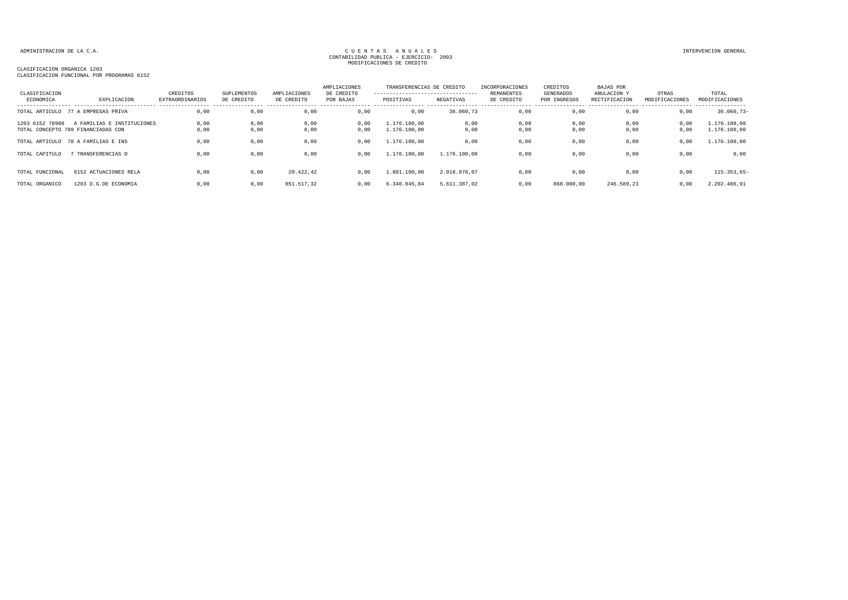| CLASIFICACION<br>ECONOMICA | EXPLICACION                        | CREDITOS<br>EXTRAORDINARIOS | SUPLEMENTOS<br>DE CREDITO | AMPLIACIONES<br>DE CREDITO | AMPLIACIONES<br>DE CREDITO<br>POR BAJAS | TRANSFERENCIAS DE CREDITO<br>---------------------------------<br>POSITIVAS | NEGATIVAS    | INCORPORACIONES<br><b>REMANENTES</b><br>DE CREDITO | CREDITOS<br>GENERADOS<br>POR INGRESOS | BAJAS POR<br>ANULACION Y<br>RECTIFICACION | OTRAS<br>MODIFICACIONES | TOTAL<br>MODIFICACIONES |
|----------------------------|------------------------------------|-----------------------------|---------------------------|----------------------------|-----------------------------------------|-----------------------------------------------------------------------------|--------------|----------------------------------------------------|---------------------------------------|-------------------------------------------|-------------------------|-------------------------|
|                            |                                    |                             |                           |                            |                                         |                                                                             |              |                                                    |                                       |                                           |                         |                         |
| TOTAL ARTICULO             | 77 A EMPRESAS PRIVA                | 0,00                        | 0,00                      | 0,00                       | 0,00                                    | 0,00                                                                        | 36.060,73    | 0,00                                               | 0,00                                  | 0,00                                      | 0,00                    | $36.060, 73-$           |
| 1203 6152 78900            | A FAMILIAS E INSTITUCIONES         | 0,00                        | 0,00                      | 0,00                       | 0,00                                    | 1.176.100.00                                                                | 0,00         | 0,00                                               | 0,00                                  | 0,00                                      | 0,00                    | 1.176.100,00            |
|                            | TOTAL CONCEPTO 789 FINANCIADAS CON | 0.00                        | 0.00                      | 0,00                       | 0,00                                    | 1.176.100.00                                                                | 0,00         | 0.00                                               | 0,00                                  | 0,00                                      | 0,00                    | 1.176.100,00            |
|                            | TOTAL ARTICULO 78 A FAMILIAS E INS | 0,00                        | 0,00                      | 0,00                       | 0,00                                    | 1,176,100,00                                                                | 0,00         | 0,00                                               | 0,00                                  | 0,00                                      | 0,00                    | 1.176.100,00            |
| TOTAL CAPITULO             | TRANSFERENCIAS D                   | 0,00                        | 0,00                      | 0,00                       | 0,00                                    | 1.176.100,00                                                                | 1.176.100,00 | 0,00                                               | 0,00                                  | 0,00                                      | 0,00                    | 0,00                    |
|                            |                                    |                             |                           |                            |                                         |                                                                             |              |                                                    |                                       |                                           |                         |                         |
| TOTAL FUNCIONAL            | 6152 ACTUACIONES RELA              | 0,00                        | 0,00                      | 20.422,42                  | 0,00                                    | 1.881.100,00                                                                | 2.016.876.07 | 0,00                                               | 0,00                                  | 0,00                                      | 0,00                    | $115.353.65 -$          |
| TOTAL ORGANICO             | 1203 D.G.DE ECONOMIA               | 0.00                        | 0,00                      | 851.517,32                 | 0.00                                    | 6.340.945.84                                                                | 5.611.387.02 | 0.00                                               | 868.000,00                            | 246.589.23                                | 0,00                    | 2.202.486,91            |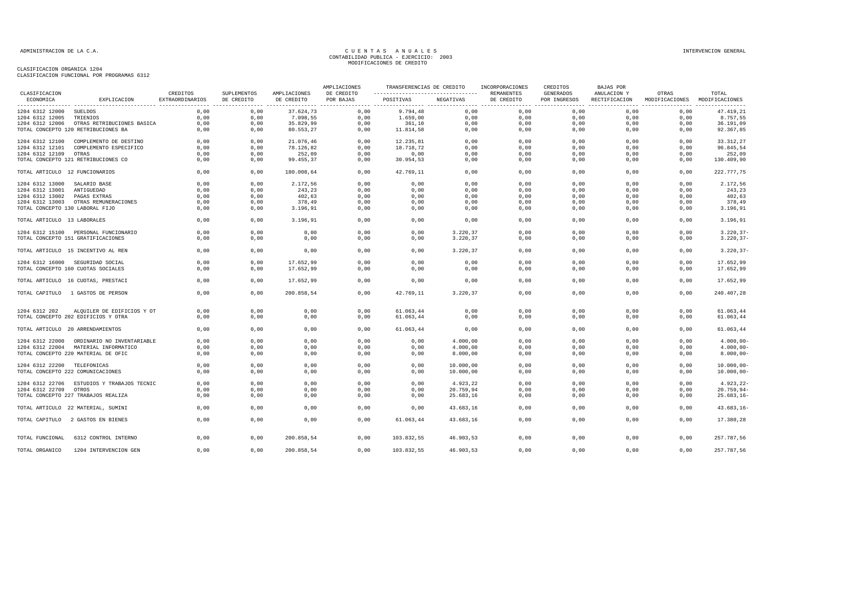|                                 |                                            |                             |                           |                            | AMPLIACIONES            | TRANSFERENCIAS DE CREDITO                        |           | INCORPORACIONES          | CREDITOS                         | <b>BAJAS POR</b>             |                                        |                |
|---------------------------------|--------------------------------------------|-----------------------------|---------------------------|----------------------------|-------------------------|--------------------------------------------------|-----------|--------------------------|----------------------------------|------------------------------|----------------------------------------|----------------|
| CLASIFICACION<br>ECONOMICA      | EXPLICACION                                | CREDITOS<br>EXTRAORDINARIOS | SUPLEMENTOS<br>DE CREDITO | AMPLIACIONES<br>DE CREDITO | DE CREDITO<br>POR BAJAS | -----------------------------------<br>POSITIVAS | NEGATIVAS | REMANENTES<br>DE CREDITO | <b>GENERADOS</b><br>POR INGRESOS | ANULACION Y<br>RECTIFICACION | OTRAS<br>MODIFICACIONES MODIFICACIONES | TOTAL          |
| 1204 6312 12000                 | SUELDOS                                    | 0,00                        | 0,00                      | 37.624,73                  | 0,00                    | 9.794,48                                         | 0,00      | 0,00                     | 0,00                             | 0,00                         | 0,00                                   | 47.419,21      |
| 1204 6312 12005                 | TRIENIOS                                   | 0,00                        | 0,00                      | 7.098,55                   | 0,00                    | 1.659,00                                         | 0,00      | 0,00                     | 0,00                             | 0,00                         | 0,00                                   | 8.757,55       |
| 1204 6312 12006                 | OTRAS RETRIBUCIONES BASICA                 | 0,00                        | 0,00                      | 35.829,99                  | 0,00                    | 361,10                                           | 0,00      | 0,00                     | 0,00                             | 0,00                         | 0,00                                   | 36.191,09      |
|                                 | TOTAL CONCEPTO 120 RETRIBUCIONES BA        | 0,00                        | 0,00                      | 80.553,27                  | 0,00                    | 11.814,58                                        | 0,00      | 0,00                     | 0,00                             | 0,00                         | 0,00                                   | 92.367,85      |
|                                 | 1204 6312 12100 COMPLEMENTO DE DESTINO     | 0,00                        | 0,00                      | 21.076,46                  | 0,00                    | 12.235,81                                        | 0,00      | 0,00                     | 0,00                             | 0,00                         | 0,00                                   | 33.312,27      |
|                                 | 1204 6312 12101 COMPLEMENTO ESPECIFICO     | 0,00                        | 0,00                      | 78.126,82                  | 0,00                    | 18.718,72                                        | 0,00      | 0,00                     | 0,00                             | 0,00                         | 0,00                                   | 96.845,54      |
|                                 |                                            | 0,00                        | 0,00                      | 252,09                     | 0,00                    | 0,00                                             |           |                          | 0,00                             | 0,00                         | 0,00                                   |                |
| 1204 6312 12109 OTRAS           |                                            |                             |                           |                            |                         |                                                  | 0,00      | 0,00                     |                                  |                              |                                        | 252,09         |
|                                 | TOTAL CONCEPTO 121 RETRIBUCIONES CO        | 0.00                        | 0.00                      | 99.455,37                  | 0.00                    | 30.954,53                                        | 0,00      | 0,00                     | 0.00                             | 0.00                         | 0.00                                   | 130.409,90     |
| TOTAL ARTICULO 12 FUNCIONARIOS  |                                            | 0.00                        | 0.00                      | 180.008,64                 | 0.00                    | 42.769,11                                        | 0,00      | 0.00                     | 0.00                             | 0.00                         | 0.00                                   | 222.777,75     |
| 1204 6312 13000                 | SALARIO BASE                               | 0,00                        | 0,00                      | 2.172,56                   | 0,00                    | 0,00                                             | 0,00      | 0,00                     | 0,00                             | 0,00                         | 0,00                                   | 2.172,56       |
| 1204 6312 13001                 | ANTIGUEDAD                                 | 0.00                        | 0,00                      | 243,23                     | 0,00                    | 0,00                                             | 0,00      | 0,00                     | 0,00                             | 0,00                         | 0,00                                   | 243,23         |
| 1204 6312 13002                 | PAGAS EXTRAS                               | 0,00                        | 0,00                      | 402,63                     | 0,00                    | 0,00                                             | 0,00      | 0,00                     | 0,00                             | 0,00                         | 0,00                                   | 402,63         |
| 1204 6312 13003                 | OTRAS REMUNERACIONES                       | 0,00                        | 0,00                      | 378,49                     | 0,00                    | 0,00                                             | 0,00      | 0,00                     | 0,00                             | 0.00                         | 0,00                                   | 378,49         |
| TOTAL CONCEPTO 130 LABORAL FIJO |                                            | 0,00                        | 0,00                      | 3.196,91                   | 0,00                    | 0,00                                             | 0,00      | 0,00                     | 0,00                             | 0,00                         | 0,00                                   | 3.196,91       |
| TOTAL ARTICULO 13 LABORALES     |                                            | 0,00                        | 0,00                      | 3.196,91                   | 0,00                    | 0,00                                             | 0,00      | 0,00                     | 0,00                             | 0,00                         | 0,00                                   | 3.196,91       |
|                                 |                                            |                             |                           |                            |                         |                                                  |           |                          |                                  |                              |                                        |                |
|                                 | 1204 6312 15100 PERSONAL FUNCIONARIO       | 0,00                        | 0,00                      | 0,00                       | 0,00                    | 0,00                                             | 3.220,37  | 0,00                     | 0,00                             | 0,00                         | 0,00                                   | $3.220, 37-$   |
|                                 | TOTAL CONCEPTO 151 GRATIFICACIONES         | 0,00                        | 0,00                      | 0,00                       | 0,00                    | 0,00                                             | 3.220,37  | 0,00                     | 0,00                             | 0,00                         | 0,00                                   | $3.220, 37-$   |
|                                 | TOTAL ARTICULO 15 INCENTIVO AL REN         | 0,00                        | 0,00                      | 0,00                       | 0,00                    | 0,00                                             | 3.220,37  | 0,00                     | 0,00                             | 0,00                         | 0,00                                   | $3.220, 37 -$  |
|                                 | 1204 6312 16000 SEGURIDAD SOCIAL           | 0,00                        | 0,00                      | 17.652,99                  | 0,00                    | 0,00                                             | 0,00      | 0,00                     | 0,00                             | 0,00                         | 0,00                                   | 17.652,99      |
|                                 | TOTAL CONCEPTO 160 CUOTAS SOCIALES         | 0,00                        | 0,00                      | 17.652,99                  | 0,00                    | 0,00                                             | 0,00      | 0,00                     | 0,00                             | 0,00                         | 0,00                                   | 17.652,99      |
|                                 |                                            |                             |                           |                            |                         |                                                  |           |                          |                                  |                              |                                        |                |
|                                 | TOTAL ARTICULO 16 CUOTAS, PRESTACI         | 0,00                        | 0,00                      | 17.652,99                  | 0,00                    | 0,00                                             | 0,00      | 0,00                     | 0,00                             | 0,00                         | 0.00                                   | 17.652,99      |
|                                 | TOTAL CAPITULO 1 GASTOS DE PERSON          | 0.00                        | 0.00                      | 200.858.54                 | 0.00                    | 42.769.11                                        | 3.220.37  | 0.00                     | 0.00                             | 0.00                         | 0.00                                   | 240.407.28     |
| 1204 6312 202                   | ALQUILER DE EDIFICIOS Y OT                 | 0,00                        | 0,00                      | 0,00                       | 0,00                    | 61.063,44                                        | 0,00      | 0,00                     | 0,00                             | 0,00                         | 0,00                                   | 61.063,44      |
|                                 | TOTAL CONCEPTO 202 EDIFICIOS Y OTRA        | 0,00                        | 0,00                      | 0,00                       | 0,00                    | 61.063,44                                        | 0,00      | 0,00                     | 0,00                             | 0,00                         | 0,00                                   | 61.063,44      |
|                                 |                                            |                             |                           |                            |                         |                                                  |           |                          |                                  |                              |                                        |                |
|                                 | TOTAL ARTICULO 20 ARRENDAMIENTOS           | 0,00                        | 0,00                      | 0,00                       | 0,00                    | 61.063,44                                        | 0,00      | 0,00                     | 0,00                             | 0,00                         | 0.00                                   | 61.063,44      |
|                                 | 1204 6312 22000 ORDINARIO NO INVENTARIABLE | 0,00                        | 0,00                      | 0,00                       | 0,00                    | 0,00                                             | 4.000,00  | 0,00                     | 0,00                             | 0,00                         | 0,00                                   | $4.000,00 -$   |
|                                 | 1204 6312 22004 MATERIAL INFORMATICO       | 0.00                        | 0,00                      | 0,00                       | 0,00                    | 0,00                                             | 4.000,00  | 0,00                     | 0,00                             | 0,00                         | 0,00                                   | $4.000,00 -$   |
|                                 | TOTAL CONCEPTO 220 MATERIAL DE OFIC        | 0,00                        | 0,00                      | 0,00                       | 0,00                    | 0,00                                             | 8.000,00  | 0,00                     | 0,00                             | 0,00                         | 0,00                                   | $8.000,00 -$   |
|                                 |                                            |                             |                           |                            |                         |                                                  |           |                          |                                  |                              |                                        |                |
| 1204 6312 22200 TELEFONICAS     |                                            | 0,00                        | 0,00                      | 0,00                       | 0,00                    | 0,00                                             | 10.000,00 | 0,00                     | 0,00                             | 0,00                         | 0,00                                   | $10.000,00 -$  |
|                                 | TOTAL CONCEPTO 222 COMUNICACIONES          | 0,00                        | 0,00                      | 0,00                       | 0,00                    | 0,00                                             | 10.000,00 | 0,00                     | 0,00                             | 0,00                         | 0,00                                   | $10.000,00 -$  |
|                                 | 1204 6312 22706 ESTUDIOS Y TRABAJOS TECNIC | 0,00                        | 0,00                      | 0,00                       | 0,00                    | 0,00                                             | 4.923,22  | 0,00                     | 0,00                             | 0,00                         | 0,00                                   | $4.923, 22 -$  |
| 1204 6312 22709 OTROS           |                                            | 0.00                        | 0,00                      | 0,00                       | 0,00                    | 0,00                                             | 20.759,94 | 0,00                     | 0,00                             | 0,00                         | 0,00                                   | $20.759,94-$   |
|                                 | TOTAL CONCEPTO 227 TRABAJOS REALIZA        | 0,00                        | 0,00                      | 0,00                       | 0,00                    | 0,00                                             | 25.683,16 | 0,00                     | 0,00                             | 0,00                         | 0,00                                   | $25.683, 16 -$ |
|                                 |                                            |                             |                           |                            |                         |                                                  |           |                          |                                  |                              |                                        |                |
|                                 | TOTAL ARTICULO 22 MATERIAL, SUMINI         | 0,00                        | 0,00                      | 0,00                       | 0,00                    | 0,00                                             | 43.683,16 | 0,00                     | 0,00                             | 0,00                         | 0,00                                   | $43.683, 16 -$ |
|                                 | TOTAL CAPITULO 2 GASTOS EN BIENES          | 0.00                        | 0,00                      | 0,00                       | 0,00                    | 61.063.44                                        | 43.683,16 | 0,00                     | 0,00                             | 0.00                         | 0,00                                   | 17.380,28      |
| TOTAL FUNCIONAL                 | 6312 CONTROL INTERNO                       | 0,00                        | 0,00                      | 200.858,54                 | 0,00                    | 103.832,55                                       | 46.903,53 | 0,00                     | 0,00                             | 0,00                         | 0,00                                   | 257.787,56     |
| TOTAL ORGANICO                  | 1204 INTERVENCION GEN                      | 0,00                        | 0,00                      | 200.858,54                 | 0,00                    | 103.832,55                                       | 46.903,53 | 0,00                     | 0,00                             | 0,00                         | 0,00                                   | 257.787,56     |
|                                 |                                            |                             |                           |                            |                         |                                                  |           |                          |                                  |                              |                                        |                |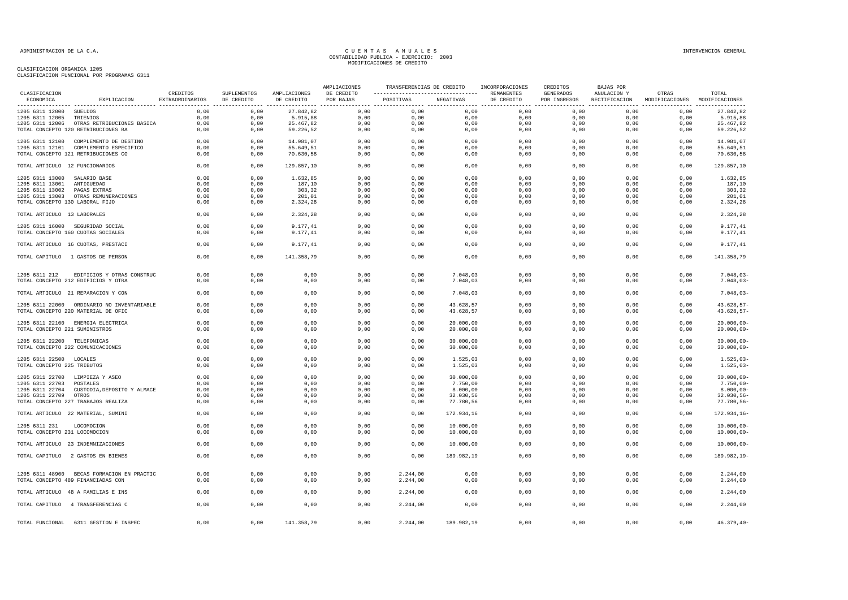| CLASTFICACION                   |                                                                                  | CREDITOS        | SUPLEMENTOS | AMPLIACIONES | AMPLIACIONES<br>DE CREDITO | ----------------------------------- REMANENTES |            | TRANSFERENCIAS DE CREDITO INCORPORACIONES | CREDITOS<br>GENERADOS | BAJAS POR<br>ANULACION Y                                 | OTRAS | TOTAL                |
|---------------------------------|----------------------------------------------------------------------------------|-----------------|-------------|--------------|----------------------------|------------------------------------------------|------------|-------------------------------------------|-----------------------|----------------------------------------------------------|-------|----------------------|
| ECONOMICA                       | EXPLICACION                                                                      | EXTRAORDINARIOS | DE CREDITO  | DE CREDITO   | POR BAJAS                  | POSITIVAS                                      | NEGATIVAS  | DE CREDITO                                |                       | POR INGRESOS RECTIFICACION MODIFICACIONES MODIFICACIONES |       |                      |
| 1205 6311 12000 SUELDOS         |                                                                                  | 0,00            | 0,00        | 27.842,82    | 0,00                       | 0,00                                           | 0,00       | 0,00                                      | 0,00                  | 0,00                                                     | 0,00  | 27.842,82            |
| 1205 6311 12005 TRIENIOS        |                                                                                  | 0,00            | 0,00        | 5.915,88     | 0,00                       | 0,00                                           | 0,00       | 0,00                                      | 0,00                  | 0,00                                                     | 0,00  | 5.915,88             |
|                                 | 1205 6311 12006 OTRAS RETRIBUCIONES BASICA                                       | 0,00            | 0,00        | 25.467,82    | 0,00                       | 0,00                                           | 0,00       | 0,00                                      | 0,00                  | 0,00                                                     | 0,00  | 25.467,82            |
|                                 | TOTAL CONCEPTO 120 RETRIBUCIONES BA                                              | 0,00            | 0,00        | 59.226,52    | 0,00                       | 0,00                                           | 0,00       | 0,00                                      | 0,00                  | 0,00                                                     | 0,00  | 59.226,52            |
|                                 | 1205 6311 12100 COMPLEMENTO DE DESTINO                                           | 0.00            | 0,00        | 14.981,07    | 0,00                       | 0,00                                           | 0,00       | 0,00                                      | 0,00                  | 0,00                                                     | 0,00  | 14.981,07            |
|                                 | 1205 6311 12101 COMPLEMENTO ESPECIFICO                                           | 0,00            | 0,00        | 55.649,51    | 0,00                       | 0,00                                           | 0,00       | 0,00                                      | 0,00                  | 0,00                                                     | 0,00  | 55.649,51            |
|                                 | TOTAL CONCEPTO 121 RETRIBUCIONES CO                                              | 0,00            | 0,00        | 70.630,58    | 0,00                       | 0,00                                           | 0,00       | 0,00                                      | 0,00                  | 0,00                                                     | 0,00  | 70.630,58            |
| TOTAL ARTICULO 12 FUNCIONARIOS  |                                                                                  | 0,00            | 0,00        | 129.857,10   | 0,00                       | 0,00                                           | 0,00       | 0,00                                      | 0,00                  | 0,00                                                     | 0,00  | 129.857,10           |
| 1205 6311 13000                 | SALARIO BASE                                                                     | 0,00            | 0,00        | 1.632,85     | 0,00                       | 0,00                                           | 0,00       | 0,00                                      | 0,00                  | 0,00                                                     | 0,00  | 1.632,85             |
| 1205 6311 13001                 | ANTIGUEDAD                                                                       | 0,00            | 0,00        | 187,10       | 0,00                       | 0,00                                           | 0,00       | 0,00                                      | 0,00                  | 0,00                                                     | 0,00  | 187,10               |
| 1205 6311 13002                 | PAGAS EXTRAS                                                                     | 0,00            | 0,00        | 303,32       | 0,00                       | 0,00                                           | 0,00       | 0,00                                      | 0,00                  | 0,00                                                     | 0,00  | 303,32               |
| TOTAL CONCEPTO 130 LABORAL FIJO | 1205 6311 13003 OTRAS REMUNERACIONES                                             | 0,00            | 0,00        | 201,01       | 0,00                       | 0,00                                           | 0,00       | 0,00                                      | 0,00<br>0,00          | 0,00                                                     | 0,00  | 201,01               |
|                                 |                                                                                  | 0,00            | 0,00        | 2.324,28     | 0,00                       | 0,00                                           | 0,00       | 0,00                                      |                       | 0,00                                                     | 0,00  | 2.324,28             |
| TOTAL ARTICULO 13 LABORALES     |                                                                                  | 0,00            | 0,00        | 2.324,28     | 0,00                       | 0,00                                           | 0,00       | 0,00                                      | 0,00                  | 0,00                                                     | 0,00  | 2.324,28             |
|                                 | 1205 6311 16000 SEGURIDAD SOCIAL                                                 | 0,00            | 0,00        | 9.177,41     | 0,00                       | 0,00                                           | 0,00       | 0,00                                      | 0,00                  | 0,00                                                     | 0,00  | 9.177,41             |
|                                 | TOTAL CONCEPTO 160 CUOTAS SOCIALES                                               | 0,00            | 0,00        | 9.177,41     | 0,00                       | 0,00                                           | 0,00       | 0,00                                      | 0,00                  | 0,00                                                     | 0,00  | 9.177,41             |
|                                 | TOTAL ARTICULO 16 CUOTAS, PRESTACI                                               | 0,00            | 0,00        | 9.177,41     | 0,00                       | 0,00                                           | 0,00       | 0,00                                      | 0,00                  | 0,00                                                     | 0,00  | 9.177,41             |
|                                 | TOTAL CAPITULO 1 GASTOS DE PERSON                                                | 0,00            | 0,00        | 141.358,79   | 0,00                       | 0,00                                           | 0,00       | 0,00                                      | 0.00                  | 0.00                                                     | 0.00  | 141.358,79           |
| 1205 6311 212                   | EDIFICIOS Y OTRAS CONSTRUC                                                       | 0,00            | 0,00        | 0,00         | 0,00                       | 0,00                                           | 7.048,03   | 0,00                                      | 0,00                  | 0,00                                                     | 0,00  | $7.048,03-$          |
|                                 | TOTAL CONCEPTO 212 EDIFICIOS Y OTRA                                              | 0,00            | 0,00        | 0,00         | 0,00                       | 0,00                                           | 7.048,03   | 0,00                                      | 0,00                  | 0,00                                                     | 0,00  | $7.048,03-$          |
|                                 | TOTAL ARTICULO 21 REPARACION Y CON                                               | 0,00            | 0,00        | 0,00         | 0,00                       | 0,00                                           | 7.048,03   | 0,00                                      | 0,00                  | 0,00                                                     | 0,00  | $7.048,03-$          |
|                                 | 1205 6311 22000 ORDINARIO NO INVENTARIABLE                                       | 0,00            | 0,00        | 0,00         | 0,00                       | 0,00                                           | 43.628,57  | 0,00                                      | 0,00                  | 0,00                                                     | 0,00  | 43.628,57-           |
|                                 | TOTAL CONCEPTO 220 MATERIAL DE OFIC                                              | 0,00            | 0,00        | 0,00         | 0,00                       | 0,00                                           | 43.628,57  | 0,00                                      | 0,00                  | 0,00                                                     | 0,00  | 43.628,57-           |
|                                 | 1205 6311 22100 ENERGIA ELECTRICA                                                | 0.00            | 0,00        | 0,00         | 0,00                       | 0.00                                           | 20.000,00  | 0,00                                      | 0,00                  | 0.00                                                     | 0,00  | $20.000,00-$         |
| TOTAL CONCEPTO 221 SUMINISTROS  |                                                                                  | 0,00            | 0,00        | 0,00         | 0,00                       | 0,00                                           | 20.000,00  | 0,00                                      | 0,00                  | 0,00                                                     | 0,00  | $20.000,00 -$        |
| 1205 6311 22200 TELEFONICAS     |                                                                                  | 0,00            | 0,00        | 0,00         | 0,00                       | 0,00                                           | 30.000,00  | 0,00                                      | 0,00                  | 0,00                                                     | 0,00  | $30.000,00-$         |
|                                 | TOTAL CONCEPTO 222 COMUNICACIONES                                                | 0,00            | 0,00        | 0,00         | 0,00                       | 0,00                                           | 30.000,00  | 0,00                                      | 0,00                  | 0,00                                                     | 0,00  | $30.000,00-$         |
| 1205 6311 22500 LOCALES         |                                                                                  | 0,00            | 0,00        | 0,00         | 0,00                       | 0,00                                           | 1.525,03   | 0,00                                      | 0,00                  | 0,00                                                     | 0,00  | $1.525.03 -$         |
| TOTAL CONCEPTO 225 TRIBUTOS     |                                                                                  | 0,00            | 0,00        | 0,00         | 0,00                       | 0,00                                           | 1.525,03   | 0,00                                      | 0,00                  | 0,00                                                     | 0,00  | $1.525,03-$          |
|                                 | 1205 6311 22700 LIMPIEZA Y ASEO                                                  | 0,00            | 0,00        | 0,00         | 0,00                       | 0,00                                           | 30.000,00  | 0,00                                      | 0,00                  | 0,00                                                     | 0,00  | $30.000,00-$         |
| 1205 6311 22703                 | POSTALES                                                                         | 0,00            | 0,00        | 0,00         | 0,00                       | 0,00                                           | 7.750,00   | 0,00                                      | 0,00                  | 0,00                                                     | 0,00  | $7.750,00 -$         |
|                                 | 1205 6311 22704 CUSTODIA, DEPOSITO Y ALMACE                                      | 0,00            | 0,00        | 0,00         | 0,00                       | 0,00                                           | 8.000,00   | 0,00                                      | 0,00                  | 0,00                                                     | 0,00  | $8.000,00 -$         |
| 1205 6311 22709 OTROS           |                                                                                  | 0.00            | 0.00        | 0.00         | 0,00                       | 0,00                                           | 32.030,56  | 0,00                                      | 0.00                  | 0.00                                                     | 0.00  | $32.030,56 -$        |
|                                 | TOTAL CONCEPTO 227 TRABAJOS REALIZA                                              | 0,00            | 0,00        | 0,00         | 0,00                       | 0,00                                           | 77.780,56  | 0,00                                      | 0,00                  | 0,00                                                     | 0,00  | 77.780,56-           |
|                                 | TOTAL ARTICULO 22 MATERIAL, SUMINI                                               | 0,00            | 0,00        | 0,00         | 0,00                       | 0,00                                           | 172.934,16 | 0,00                                      | 0,00                  | 0,00                                                     | 0,00  | 172.934,16-          |
| 1205 6311 231                   | LOCOMOCION                                                                       | 0,00            | 0,00        | 0,00         | 0,00                       | 0,00                                           | 10.000,00  | 0,00                                      | 0,00                  | 0,00                                                     | 0,00  | $10.000,00-$         |
| TOTAL CONCEPTO 231 LOCOMOCION   |                                                                                  | 0,00            | 0,00        | 0,00         | 0,00                       | 0,00                                           | 10.000,00  | 0,00                                      | 0,00                  | 0,00                                                     | 0,00  | $10.000,00-$         |
|                                 | TOTAL ARTICULO 23 INDEMNIZACIONES                                                | 0,00            | 0,00        | 0,00         | 0,00                       | 0,00                                           | 10.000,00  | 0,00                                      | 0,00                  | 0,00                                                     | 0,00  | $10.000,00-$         |
|                                 | TOTAL CAPITULO 2 GASTOS EN BIENES                                                | 0,00            | 0,00        | 0,00         | 0,00                       | 0,00                                           | 189.982,19 | 0,00                                      | 0,00                  | 0,00                                                     | 0,00  | 189.982,19-          |
|                                 |                                                                                  |                 |             |              |                            |                                                |            |                                           |                       |                                                          |       |                      |
|                                 | 1205 6311 48900 BECAS FORMACION EN PRACTIC<br>TOTAL CONCEPTO 489 FINANCIADAS CON | 0.00<br>0,00    | 0.00        | 0,00<br>0,00 | 0,00<br>0,00               | 2.244,00<br>2.244,00                           | 0,00       | 0,00                                      | 0.00<br>0,00          | 0.00                                                     | 0.00  | 2.244,00<br>2.244,00 |
|                                 |                                                                                  |                 | 0,00        |              |                            |                                                | 0,00       | 0,00                                      |                       | 0,00                                                     | 0,00  |                      |
|                                 | TOTAL ARTICULO 48 A FAMILIAS E INS                                               | 0,00            | 0,00        | 0,00         | 0,00                       | 2.244,00                                       | 0,00       | 0,00                                      | 0,00                  | 0,00                                                     | 0,00  | 2.244,00             |
|                                 | TOTAL CAPITULO 4 TRANSFERENCIAS C                                                | 0,00            | 0,00        | 0,00         | 0,00                       | 2.244,00                                       | 0,00       | 0,00                                      | 0,00                  | 0,00                                                     | 0,00  | 2.244,00             |
|                                 | TOTAL FUNCIONAL 6311 GESTION E INSPEC                                            | 0,00            | 0,00        | 141.358,79   | 0,00                       | 2.244,00                                       | 189.982,19 | 0,00                                      | 0,00                  | 0,00                                                     | 0,00  | $46.379, 40-$        |
|                                 |                                                                                  |                 |             |              |                            |                                                |            |                                           |                       |                                                          |       |                      |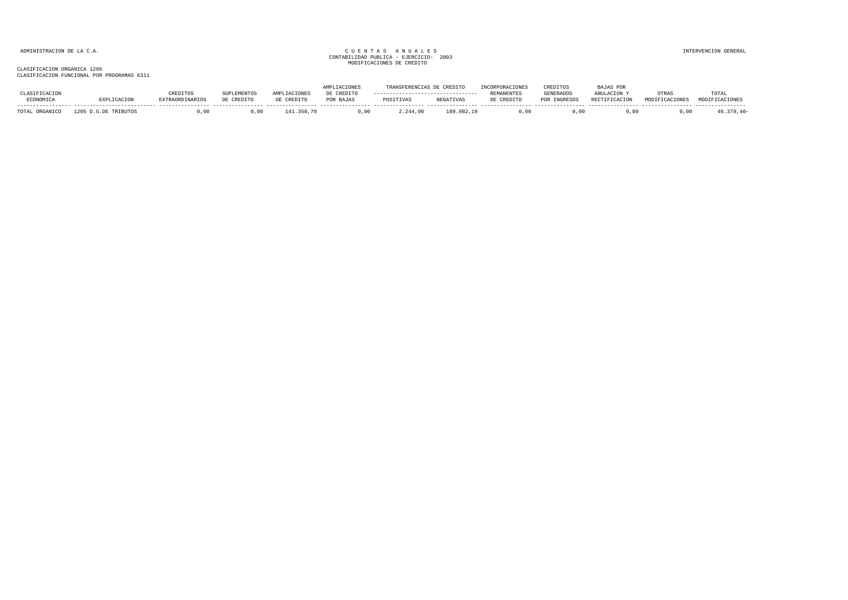|              |                |                 |            |             |            |           | CREDITO          |                   | CREDITOS        | AJAS POR             |       |                |
|--------------|----------------|-----------------|------------|-------------|------------|-----------|------------------|-------------------|-----------------|----------------------|-------|----------------|
|              |                | REDITOS         |            | <b>AMDT</b> | DE CREDITO |           |                  | <b>REMANENTES</b> | GENERADOS       | ANULACTON            | OTRAS | TOTAL          |
| ECONOMICA    | <b>LGACTON</b> | EXTRAORDINARIOS | DE CREDITO | DE CREDITC  | POR BAJAS  | POSITIVAS | <b>NEGATIVAS</b> | : CREDITO         | <b>INGRESOS</b> | <b>RECTIFICACION</b> | MODIE | MODIFICACIONES |
| <b>TOTAL</b> |                |                 | 00,        |             | ,00        | 2.244,00  | . 982. 19        |                   |                 | .00.                 |       |                |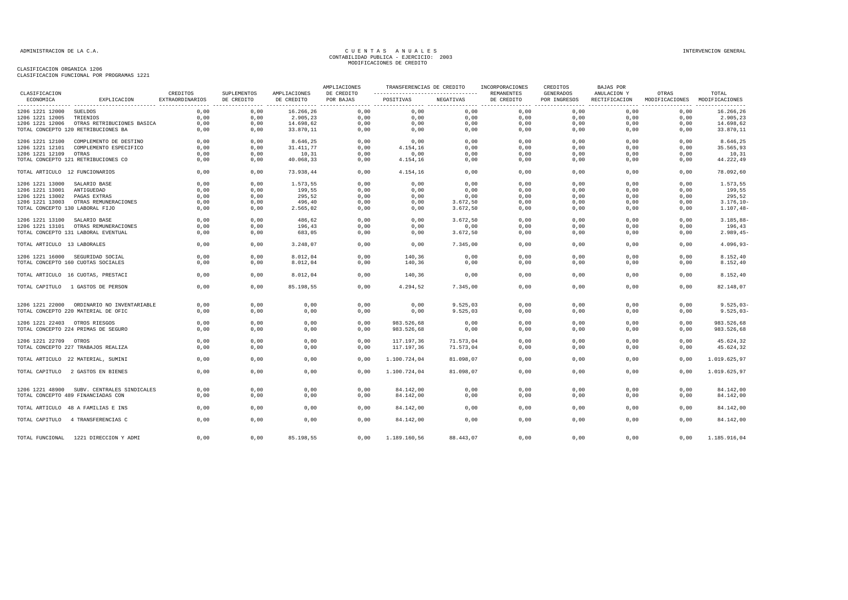| -----------------------------------<br>ECONOMICA<br>EXPLICACION<br>EXTRAORDINARIOS<br>DE CREDITO<br>DE CREDITO<br>POR BAJAS<br>POSITIVAS<br>NEGATIVAS<br>DE CREDITO<br>POR INGRESOS<br>RECTIFICACION<br>MODIFICACIONES MODIFICACIONES<br>0,00<br>16.266,26<br>0,00<br>0,00<br>0,00<br>0,00<br>0,00<br>0,00<br>16.266,26<br>1206 1221 12000<br>SUELDOS<br>0,00<br>0,00<br>0,00<br>2.905,23<br>0,00<br>0,00<br>0,00<br>0,00<br>0,00<br>0,00<br>0,00<br>2.905,23<br>1206 1221 12005<br>TRIENIOS<br>0,00<br>0,00<br>14.698,62<br>0,00<br>0,00<br>0,00<br>0,00<br>0,00<br>0,00<br>0,00<br>14.698,62<br>1206 1221 12006 OTRAS RETRIBUCIONES BASICA<br>0,00<br>0,00<br>33.870,11<br>0,00<br>0,00<br>0,00<br>0,00<br>0,00<br>33.870,11<br>TOTAL CONCEPTO 120 RETRIBUCIONES BA<br>0,00<br>0,00<br>0,00<br>0,00<br>0,00<br>0.00<br>0.00<br>0,00<br>8.646,25<br>1206 1221 12100<br>0,00<br>0,00<br>8.646,25<br>0,00<br>0,00<br>COMPLEMENTO DE DESTINO<br>0,00<br>0,00<br>0,00<br>0,00<br>35.565,93<br>1206 1221 12101<br>COMPLEMENTO ESPECIFICO<br>0,00<br>31.411,77<br>0,00<br>4.154,16<br>0,00<br>0,00<br>0,00<br>0,00<br>1206 1221 12109<br>0,00<br>0,00<br>10,31<br>0,00<br>0,00<br>0,00<br>0,00<br>0,00<br>10,31<br>OTRAS<br>TOTAL CONCEPTO 121 RETRIBUCIONES CO<br>0,00<br>44.222,49<br>0,00<br>0,00<br>40.068,33<br>0,00<br>4.154,16<br>0,00<br>0,00<br>0,00<br>0,00<br>0,00<br>0,00<br>0,00<br>0,00<br>TOTAL ARTICULO 12 FUNCIONARIOS<br>0,00<br>0,00<br>73.938,44<br>4.154,16<br>0,00<br>0,00<br>78.092,60<br>0.00<br>0.00<br>0.00<br>0.00<br>0.00<br>0.00<br>0.00<br>0.00<br>0.00<br>1206 1221 13000<br>1.573.55<br>1.573.55<br>SALARIO BASE<br>0.00<br>199,55<br>1206 1221 13001<br>0.00<br>0,00<br>199.55<br>0.00<br>0.00<br>0,00<br>0,00<br>0.00<br>0.00<br>ANTIGUEDAD<br>0.00<br>295,52<br>1206 1221 13002<br>PAGAS EXTRAS<br>0.00<br>295.52<br>0,00<br>0,00<br>0,00<br>0,00<br>0.00<br>0,00<br>0,00<br>0,00<br>0,00<br>0,00<br>0,00<br>0,00<br>1206 1221 13003 OTRAS REMUNERACIONES<br>0,00<br>0,00<br>496,40<br>3.672,50<br>0,00<br>$3.176, 10 -$<br>TOTAL CONCEPTO 130 LABORAL FIJO<br>0,00<br>0,00<br>2.565,02<br>0,00<br>0,00<br>3.672,50<br>0,00<br>0,00<br>0,00<br>0,00<br>$1.107, 48-$<br>0,00<br>0,00<br>486,62<br>0,00<br>0,00<br>0,00<br>0,00<br>0,00<br>0,00<br>$3.185, 88 -$<br>1206 1221 13100<br>SALARIO BASE<br>3.672,50<br>0.00<br>1206 1221 13101 OTRAS REMUNERACIONES<br>0.00<br>0,00<br>196,43<br>0,00<br>0,00<br>0,00<br>0,00<br>0.00<br>0.00<br>196,43<br>TOTAL CONCEPTO 131 LABORAL EVENTUAL<br>0.00<br>0,00<br>683,05<br>0,00<br>0,00<br>3.672,50<br>0,00<br>0.00<br>0.00<br>0.00<br>$2.989, 45-$<br>0,00<br>TOTAL ARTICULO 13 LABORALES<br>0,00<br>0,00<br>3.248,07<br>0,00<br>7.345,00<br>0,00<br>0,00<br>0,00<br>0,00<br>$4.096,93-$<br>0,00<br>0,00<br>8.012,04<br>0,00<br>140,36<br>0,00<br>0,00<br>0,00<br>0,00<br>0,00<br>8.152,40<br>1206 1221 16000 SEGURIDAD SOCIAL<br>8.152,40<br>TOTAL CONCEPTO 160 CUOTAS SOCIALES<br>0,00<br>0,00<br>8.012,04<br>0,00<br>140,36<br>0,00<br>0,00<br>0,00<br>0,00<br>0,00<br>0,00<br>8.152,40<br>TOTAL ARTICULO 16 CUOTAS, PRESTACI<br>0.00<br>0,00<br>8.012,04<br>0.00<br>140,36<br>0,00<br>0,00<br>0,00<br>0,00<br>0,00<br>0,00<br>0,00<br>0,00<br>0,00<br>82.148,07<br>TOTAL CAPITULO 1 GASTOS DE PERSON<br>85.198,55<br>0,00<br>4.294,52<br>7.345,00<br>0,00<br>0,00<br>0,00<br>0,00<br>0,00<br>0,00<br>9.525,03<br>0,00<br>0,00<br>0,00<br>0,00<br>$9.525,03-$<br>1206 1221 22000 ORDINARIO NO INVENTARIABLE<br>0,00<br>0,00<br>0,00<br>9.525,03<br>0,00<br>0,00<br>0,00<br>0,00<br>$9.525.03 -$<br>TOTAL CONCEPTO 220 MATERIAL DE OFIC<br>0,00<br>0,00<br>0.00<br>0.00<br>0,00<br>0.00<br>983.526,68<br>0,00<br>0,00<br>0.00<br>0.00<br>0.00<br>983.526,68<br>1206 1221 22403 OTROS RIESGOS<br>TOTAL CONCEPTO 224 PRIMAS DE SEGURO<br>0,00<br>0,00<br>0,00<br>0,00<br>983.526,68<br>0,00<br>0,00<br>0,00<br>0,00<br>0.00<br>983.526,68<br>0,00<br>0,00<br>0,00<br>0,00<br>0,00<br>0,00<br>0,00<br>0,00<br>45.624,32<br>1206 1221 22709 OTROS<br>117.197,36<br>71.573,04<br>117.197,36<br>71.573,04<br>TOTAL CONCEPTO 227 TRABAJOS REALIZA<br>0,00<br>0,00<br>0,00<br>0,00<br>0,00<br>0,00<br>0,00<br>0,00<br>45.624,32<br>0,00<br>0,00<br>0,00<br>0,00<br>0,00<br>0,00<br>0,00<br>0,00<br>1.100.724,04<br>81.098,07<br>1.019.625,97<br>TOTAL ARTICULO 22 MATERIAL, SUMINI<br>0.00<br>0.00<br>0.00<br>0.00<br>0.00<br>1.019.625,97<br>0.00<br>0.00<br>0.00<br>1.100.724.04<br>81.098.07<br>TOTAL CAPITULO 2 GASTOS EN BIENES<br>0,00<br>0,00<br>84.142,00<br>0,00<br>0,00<br>0,00<br>1206 1221 48900 SUBV. CENTRALES SINDICALES<br>0,00<br>0,00<br>0,00<br>0,00<br>84.142,00<br>84.142,00<br>TOTAL CONCEPTO 489 FINANCIADAS CON<br>0,00<br>0,00<br>0,00<br>0,00<br>84.142,00<br>0,00<br>0,00<br>0,00<br>0,00<br>0,00<br>0,00<br>0,00<br>0,00<br>0,00<br>0,00<br>TOTAL ARTICULO 48 A FAMILIAS E INS<br>0,00<br>0,00<br>0,00<br>84.142,00<br>0,00<br>84.142,00<br>TOTAL CAPITULO 4 TRANSFERENCIAS C<br>0.00<br>0,00<br>0,00<br>0.00<br>84.142,00<br>0,00<br>0.00<br>0.00<br>0.00<br>0.00<br>84.142,00<br>TOTAL FUNCIONAL 1221 DIRECCION Y ADMI<br>0,00<br>0,00<br>85.198,55<br>0,00<br>1.189.160,56<br>88.443,07<br>0.00<br>0.00<br>0,00<br>0,00<br>1.185.916,04 |               |          |             |              | AMPLIACIONES | TRANSFERENCIAS DE CREDITO | INCORPORACIONES | CREDITOS         | <b>BAJAS POR</b> |       |       |
|--------------------------------------------------------------------------------------------------------------------------------------------------------------------------------------------------------------------------------------------------------------------------------------------------------------------------------------------------------------------------------------------------------------------------------------------------------------------------------------------------------------------------------------------------------------------------------------------------------------------------------------------------------------------------------------------------------------------------------------------------------------------------------------------------------------------------------------------------------------------------------------------------------------------------------------------------------------------------------------------------------------------------------------------------------------------------------------------------------------------------------------------------------------------------------------------------------------------------------------------------------------------------------------------------------------------------------------------------------------------------------------------------------------------------------------------------------------------------------------------------------------------------------------------------------------------------------------------------------------------------------------------------------------------------------------------------------------------------------------------------------------------------------------------------------------------------------------------------------------------------------------------------------------------------------------------------------------------------------------------------------------------------------------------------------------------------------------------------------------------------------------------------------------------------------------------------------------------------------------------------------------------------------------------------------------------------------------------------------------------------------------------------------------------------------------------------------------------------------------------------------------------------------------------------------------------------------------------------------------------------------------------------------------------------------------------------------------------------------------------------------------------------------------------------------------------------------------------------------------------------------------------------------------------------------------------------------------------------------------------------------------------------------------------------------------------------------------------------------------------------------------------------------------------------------------------------------------------------------------------------------------------------------------------------------------------------------------------------------------------------------------------------------------------------------------------------------------------------------------------------------------------------------------------------------------------------------------------------------------------------------------------------------------------------------------------------------------------------------------------------------------------------------------------------------------------------------------------------------------------------------------------------------------------------------------------------------------------------------------------------------------------------------------------------------------------------------------------------------------------------------------------------------------------------------------------------------------------------------------------------------------------------------------------------------------------------------------------------------------------------------------------------------------------------------------------------------------------------------------------------------------------------------------------------------------------------------------------------------------------------------------------------------------------------------------------------------------------------------------------------------------------------------------------------------------------------------------------------------------------------------------------------------------------------------------------------------------------------------------------------------------------------------------------------------------------------------------------------------------------------------------------------------------------------------------------------------------------------------------------|---------------|----------|-------------|--------------|--------------|---------------------------|-----------------|------------------|------------------|-------|-------|
|                                                                                                                                                                                                                                                                                                                                                                                                                                                                                                                                                                                                                                                                                                                                                                                                                                                                                                                                                                                                                                                                                                                                                                                                                                                                                                                                                                                                                                                                                                                                                                                                                                                                                                                                                                                                                                                                                                                                                                                                                                                                                                                                                                                                                                                                                                                                                                                                                                                                                                                                                                                                                                                                                                                                                                                                                                                                                                                                                                                                                                                                                                                                                                                                                                                                                                                                                                                                                                                                                                                                                                                                                                                                                                                                                                                                                                                                                                                                                                                                                                                                                                                                                                                                                                                                                                                                                                                                                                                                                                                                                                                                                                                                                                                                                                                                                                                                                                                                                                                                                                                                                                                                                                                                                                            | CLASIFICACION | CREDITOS | SUPLEMENTOS | AMPLIACIONES | DE CREDITO   |                           | REMANENTES      | <b>GENERADOS</b> | ANULACION Y      | OTRAS | TOTAL |
|                                                                                                                                                                                                                                                                                                                                                                                                                                                                                                                                                                                                                                                                                                                                                                                                                                                                                                                                                                                                                                                                                                                                                                                                                                                                                                                                                                                                                                                                                                                                                                                                                                                                                                                                                                                                                                                                                                                                                                                                                                                                                                                                                                                                                                                                                                                                                                                                                                                                                                                                                                                                                                                                                                                                                                                                                                                                                                                                                                                                                                                                                                                                                                                                                                                                                                                                                                                                                                                                                                                                                                                                                                                                                                                                                                                                                                                                                                                                                                                                                                                                                                                                                                                                                                                                                                                                                                                                                                                                                                                                                                                                                                                                                                                                                                                                                                                                                                                                                                                                                                                                                                                                                                                                                                            |               |          |             |              |              |                           |                 |                  |                  |       |       |
|                                                                                                                                                                                                                                                                                                                                                                                                                                                                                                                                                                                                                                                                                                                                                                                                                                                                                                                                                                                                                                                                                                                                                                                                                                                                                                                                                                                                                                                                                                                                                                                                                                                                                                                                                                                                                                                                                                                                                                                                                                                                                                                                                                                                                                                                                                                                                                                                                                                                                                                                                                                                                                                                                                                                                                                                                                                                                                                                                                                                                                                                                                                                                                                                                                                                                                                                                                                                                                                                                                                                                                                                                                                                                                                                                                                                                                                                                                                                                                                                                                                                                                                                                                                                                                                                                                                                                                                                                                                                                                                                                                                                                                                                                                                                                                                                                                                                                                                                                                                                                                                                                                                                                                                                                                            |               |          |             |              |              |                           |                 |                  |                  |       |       |
|                                                                                                                                                                                                                                                                                                                                                                                                                                                                                                                                                                                                                                                                                                                                                                                                                                                                                                                                                                                                                                                                                                                                                                                                                                                                                                                                                                                                                                                                                                                                                                                                                                                                                                                                                                                                                                                                                                                                                                                                                                                                                                                                                                                                                                                                                                                                                                                                                                                                                                                                                                                                                                                                                                                                                                                                                                                                                                                                                                                                                                                                                                                                                                                                                                                                                                                                                                                                                                                                                                                                                                                                                                                                                                                                                                                                                                                                                                                                                                                                                                                                                                                                                                                                                                                                                                                                                                                                                                                                                                                                                                                                                                                                                                                                                                                                                                                                                                                                                                                                                                                                                                                                                                                                                                            |               |          |             |              |              |                           |                 |                  |                  |       |       |
|                                                                                                                                                                                                                                                                                                                                                                                                                                                                                                                                                                                                                                                                                                                                                                                                                                                                                                                                                                                                                                                                                                                                                                                                                                                                                                                                                                                                                                                                                                                                                                                                                                                                                                                                                                                                                                                                                                                                                                                                                                                                                                                                                                                                                                                                                                                                                                                                                                                                                                                                                                                                                                                                                                                                                                                                                                                                                                                                                                                                                                                                                                                                                                                                                                                                                                                                                                                                                                                                                                                                                                                                                                                                                                                                                                                                                                                                                                                                                                                                                                                                                                                                                                                                                                                                                                                                                                                                                                                                                                                                                                                                                                                                                                                                                                                                                                                                                                                                                                                                                                                                                                                                                                                                                                            |               |          |             |              |              |                           |                 |                  |                  |       |       |
|                                                                                                                                                                                                                                                                                                                                                                                                                                                                                                                                                                                                                                                                                                                                                                                                                                                                                                                                                                                                                                                                                                                                                                                                                                                                                                                                                                                                                                                                                                                                                                                                                                                                                                                                                                                                                                                                                                                                                                                                                                                                                                                                                                                                                                                                                                                                                                                                                                                                                                                                                                                                                                                                                                                                                                                                                                                                                                                                                                                                                                                                                                                                                                                                                                                                                                                                                                                                                                                                                                                                                                                                                                                                                                                                                                                                                                                                                                                                                                                                                                                                                                                                                                                                                                                                                                                                                                                                                                                                                                                                                                                                                                                                                                                                                                                                                                                                                                                                                                                                                                                                                                                                                                                                                                            |               |          |             |              |              |                           |                 |                  |                  |       |       |
|                                                                                                                                                                                                                                                                                                                                                                                                                                                                                                                                                                                                                                                                                                                                                                                                                                                                                                                                                                                                                                                                                                                                                                                                                                                                                                                                                                                                                                                                                                                                                                                                                                                                                                                                                                                                                                                                                                                                                                                                                                                                                                                                                                                                                                                                                                                                                                                                                                                                                                                                                                                                                                                                                                                                                                                                                                                                                                                                                                                                                                                                                                                                                                                                                                                                                                                                                                                                                                                                                                                                                                                                                                                                                                                                                                                                                                                                                                                                                                                                                                                                                                                                                                                                                                                                                                                                                                                                                                                                                                                                                                                                                                                                                                                                                                                                                                                                                                                                                                                                                                                                                                                                                                                                                                            |               |          |             |              |              |                           |                 |                  |                  |       |       |
|                                                                                                                                                                                                                                                                                                                                                                                                                                                                                                                                                                                                                                                                                                                                                                                                                                                                                                                                                                                                                                                                                                                                                                                                                                                                                                                                                                                                                                                                                                                                                                                                                                                                                                                                                                                                                                                                                                                                                                                                                                                                                                                                                                                                                                                                                                                                                                                                                                                                                                                                                                                                                                                                                                                                                                                                                                                                                                                                                                                                                                                                                                                                                                                                                                                                                                                                                                                                                                                                                                                                                                                                                                                                                                                                                                                                                                                                                                                                                                                                                                                                                                                                                                                                                                                                                                                                                                                                                                                                                                                                                                                                                                                                                                                                                                                                                                                                                                                                                                                                                                                                                                                                                                                                                                            |               |          |             |              |              |                           |                 |                  |                  |       |       |
|                                                                                                                                                                                                                                                                                                                                                                                                                                                                                                                                                                                                                                                                                                                                                                                                                                                                                                                                                                                                                                                                                                                                                                                                                                                                                                                                                                                                                                                                                                                                                                                                                                                                                                                                                                                                                                                                                                                                                                                                                                                                                                                                                                                                                                                                                                                                                                                                                                                                                                                                                                                                                                                                                                                                                                                                                                                                                                                                                                                                                                                                                                                                                                                                                                                                                                                                                                                                                                                                                                                                                                                                                                                                                                                                                                                                                                                                                                                                                                                                                                                                                                                                                                                                                                                                                                                                                                                                                                                                                                                                                                                                                                                                                                                                                                                                                                                                                                                                                                                                                                                                                                                                                                                                                                            |               |          |             |              |              |                           |                 |                  |                  |       |       |
|                                                                                                                                                                                                                                                                                                                                                                                                                                                                                                                                                                                                                                                                                                                                                                                                                                                                                                                                                                                                                                                                                                                                                                                                                                                                                                                                                                                                                                                                                                                                                                                                                                                                                                                                                                                                                                                                                                                                                                                                                                                                                                                                                                                                                                                                                                                                                                                                                                                                                                                                                                                                                                                                                                                                                                                                                                                                                                                                                                                                                                                                                                                                                                                                                                                                                                                                                                                                                                                                                                                                                                                                                                                                                                                                                                                                                                                                                                                                                                                                                                                                                                                                                                                                                                                                                                                                                                                                                                                                                                                                                                                                                                                                                                                                                                                                                                                                                                                                                                                                                                                                                                                                                                                                                                            |               |          |             |              |              |                           |                 |                  |                  |       |       |
|                                                                                                                                                                                                                                                                                                                                                                                                                                                                                                                                                                                                                                                                                                                                                                                                                                                                                                                                                                                                                                                                                                                                                                                                                                                                                                                                                                                                                                                                                                                                                                                                                                                                                                                                                                                                                                                                                                                                                                                                                                                                                                                                                                                                                                                                                                                                                                                                                                                                                                                                                                                                                                                                                                                                                                                                                                                                                                                                                                                                                                                                                                                                                                                                                                                                                                                                                                                                                                                                                                                                                                                                                                                                                                                                                                                                                                                                                                                                                                                                                                                                                                                                                                                                                                                                                                                                                                                                                                                                                                                                                                                                                                                                                                                                                                                                                                                                                                                                                                                                                                                                                                                                                                                                                                            |               |          |             |              |              |                           |                 |                  |                  |       |       |
|                                                                                                                                                                                                                                                                                                                                                                                                                                                                                                                                                                                                                                                                                                                                                                                                                                                                                                                                                                                                                                                                                                                                                                                                                                                                                                                                                                                                                                                                                                                                                                                                                                                                                                                                                                                                                                                                                                                                                                                                                                                                                                                                                                                                                                                                                                                                                                                                                                                                                                                                                                                                                                                                                                                                                                                                                                                                                                                                                                                                                                                                                                                                                                                                                                                                                                                                                                                                                                                                                                                                                                                                                                                                                                                                                                                                                                                                                                                                                                                                                                                                                                                                                                                                                                                                                                                                                                                                                                                                                                                                                                                                                                                                                                                                                                                                                                                                                                                                                                                                                                                                                                                                                                                                                                            |               |          |             |              |              |                           |                 |                  |                  |       |       |
|                                                                                                                                                                                                                                                                                                                                                                                                                                                                                                                                                                                                                                                                                                                                                                                                                                                                                                                                                                                                                                                                                                                                                                                                                                                                                                                                                                                                                                                                                                                                                                                                                                                                                                                                                                                                                                                                                                                                                                                                                                                                                                                                                                                                                                                                                                                                                                                                                                                                                                                                                                                                                                                                                                                                                                                                                                                                                                                                                                                                                                                                                                                                                                                                                                                                                                                                                                                                                                                                                                                                                                                                                                                                                                                                                                                                                                                                                                                                                                                                                                                                                                                                                                                                                                                                                                                                                                                                                                                                                                                                                                                                                                                                                                                                                                                                                                                                                                                                                                                                                                                                                                                                                                                                                                            |               |          |             |              |              |                           |                 |                  |                  |       |       |
|                                                                                                                                                                                                                                                                                                                                                                                                                                                                                                                                                                                                                                                                                                                                                                                                                                                                                                                                                                                                                                                                                                                                                                                                                                                                                                                                                                                                                                                                                                                                                                                                                                                                                                                                                                                                                                                                                                                                                                                                                                                                                                                                                                                                                                                                                                                                                                                                                                                                                                                                                                                                                                                                                                                                                                                                                                                                                                                                                                                                                                                                                                                                                                                                                                                                                                                                                                                                                                                                                                                                                                                                                                                                                                                                                                                                                                                                                                                                                                                                                                                                                                                                                                                                                                                                                                                                                                                                                                                                                                                                                                                                                                                                                                                                                                                                                                                                                                                                                                                                                                                                                                                                                                                                                                            |               |          |             |              |              |                           |                 |                  |                  |       |       |
|                                                                                                                                                                                                                                                                                                                                                                                                                                                                                                                                                                                                                                                                                                                                                                                                                                                                                                                                                                                                                                                                                                                                                                                                                                                                                                                                                                                                                                                                                                                                                                                                                                                                                                                                                                                                                                                                                                                                                                                                                                                                                                                                                                                                                                                                                                                                                                                                                                                                                                                                                                                                                                                                                                                                                                                                                                                                                                                                                                                                                                                                                                                                                                                                                                                                                                                                                                                                                                                                                                                                                                                                                                                                                                                                                                                                                                                                                                                                                                                                                                                                                                                                                                                                                                                                                                                                                                                                                                                                                                                                                                                                                                                                                                                                                                                                                                                                                                                                                                                                                                                                                                                                                                                                                                            |               |          |             |              |              |                           |                 |                  |                  |       |       |
|                                                                                                                                                                                                                                                                                                                                                                                                                                                                                                                                                                                                                                                                                                                                                                                                                                                                                                                                                                                                                                                                                                                                                                                                                                                                                                                                                                                                                                                                                                                                                                                                                                                                                                                                                                                                                                                                                                                                                                                                                                                                                                                                                                                                                                                                                                                                                                                                                                                                                                                                                                                                                                                                                                                                                                                                                                                                                                                                                                                                                                                                                                                                                                                                                                                                                                                                                                                                                                                                                                                                                                                                                                                                                                                                                                                                                                                                                                                                                                                                                                                                                                                                                                                                                                                                                                                                                                                                                                                                                                                                                                                                                                                                                                                                                                                                                                                                                                                                                                                                                                                                                                                                                                                                                                            |               |          |             |              |              |                           |                 |                  |                  |       |       |
|                                                                                                                                                                                                                                                                                                                                                                                                                                                                                                                                                                                                                                                                                                                                                                                                                                                                                                                                                                                                                                                                                                                                                                                                                                                                                                                                                                                                                                                                                                                                                                                                                                                                                                                                                                                                                                                                                                                                                                                                                                                                                                                                                                                                                                                                                                                                                                                                                                                                                                                                                                                                                                                                                                                                                                                                                                                                                                                                                                                                                                                                                                                                                                                                                                                                                                                                                                                                                                                                                                                                                                                                                                                                                                                                                                                                                                                                                                                                                                                                                                                                                                                                                                                                                                                                                                                                                                                                                                                                                                                                                                                                                                                                                                                                                                                                                                                                                                                                                                                                                                                                                                                                                                                                                                            |               |          |             |              |              |                           |                 |                  |                  |       |       |
|                                                                                                                                                                                                                                                                                                                                                                                                                                                                                                                                                                                                                                                                                                                                                                                                                                                                                                                                                                                                                                                                                                                                                                                                                                                                                                                                                                                                                                                                                                                                                                                                                                                                                                                                                                                                                                                                                                                                                                                                                                                                                                                                                                                                                                                                                                                                                                                                                                                                                                                                                                                                                                                                                                                                                                                                                                                                                                                                                                                                                                                                                                                                                                                                                                                                                                                                                                                                                                                                                                                                                                                                                                                                                                                                                                                                                                                                                                                                                                                                                                                                                                                                                                                                                                                                                                                                                                                                                                                                                                                                                                                                                                                                                                                                                                                                                                                                                                                                                                                                                                                                                                                                                                                                                                            |               |          |             |              |              |                           |                 |                  |                  |       |       |
|                                                                                                                                                                                                                                                                                                                                                                                                                                                                                                                                                                                                                                                                                                                                                                                                                                                                                                                                                                                                                                                                                                                                                                                                                                                                                                                                                                                                                                                                                                                                                                                                                                                                                                                                                                                                                                                                                                                                                                                                                                                                                                                                                                                                                                                                                                                                                                                                                                                                                                                                                                                                                                                                                                                                                                                                                                                                                                                                                                                                                                                                                                                                                                                                                                                                                                                                                                                                                                                                                                                                                                                                                                                                                                                                                                                                                                                                                                                                                                                                                                                                                                                                                                                                                                                                                                                                                                                                                                                                                                                                                                                                                                                                                                                                                                                                                                                                                                                                                                                                                                                                                                                                                                                                                                            |               |          |             |              |              |                           |                 |                  |                  |       |       |
|                                                                                                                                                                                                                                                                                                                                                                                                                                                                                                                                                                                                                                                                                                                                                                                                                                                                                                                                                                                                                                                                                                                                                                                                                                                                                                                                                                                                                                                                                                                                                                                                                                                                                                                                                                                                                                                                                                                                                                                                                                                                                                                                                                                                                                                                                                                                                                                                                                                                                                                                                                                                                                                                                                                                                                                                                                                                                                                                                                                                                                                                                                                                                                                                                                                                                                                                                                                                                                                                                                                                                                                                                                                                                                                                                                                                                                                                                                                                                                                                                                                                                                                                                                                                                                                                                                                                                                                                                                                                                                                                                                                                                                                                                                                                                                                                                                                                                                                                                                                                                                                                                                                                                                                                                                            |               |          |             |              |              |                           |                 |                  |                  |       |       |
|                                                                                                                                                                                                                                                                                                                                                                                                                                                                                                                                                                                                                                                                                                                                                                                                                                                                                                                                                                                                                                                                                                                                                                                                                                                                                                                                                                                                                                                                                                                                                                                                                                                                                                                                                                                                                                                                                                                                                                                                                                                                                                                                                                                                                                                                                                                                                                                                                                                                                                                                                                                                                                                                                                                                                                                                                                                                                                                                                                                                                                                                                                                                                                                                                                                                                                                                                                                                                                                                                                                                                                                                                                                                                                                                                                                                                                                                                                                                                                                                                                                                                                                                                                                                                                                                                                                                                                                                                                                                                                                                                                                                                                                                                                                                                                                                                                                                                                                                                                                                                                                                                                                                                                                                                                            |               |          |             |              |              |                           |                 |                  |                  |       |       |
|                                                                                                                                                                                                                                                                                                                                                                                                                                                                                                                                                                                                                                                                                                                                                                                                                                                                                                                                                                                                                                                                                                                                                                                                                                                                                                                                                                                                                                                                                                                                                                                                                                                                                                                                                                                                                                                                                                                                                                                                                                                                                                                                                                                                                                                                                                                                                                                                                                                                                                                                                                                                                                                                                                                                                                                                                                                                                                                                                                                                                                                                                                                                                                                                                                                                                                                                                                                                                                                                                                                                                                                                                                                                                                                                                                                                                                                                                                                                                                                                                                                                                                                                                                                                                                                                                                                                                                                                                                                                                                                                                                                                                                                                                                                                                                                                                                                                                                                                                                                                                                                                                                                                                                                                                                            |               |          |             |              |              |                           |                 |                  |                  |       |       |
|                                                                                                                                                                                                                                                                                                                                                                                                                                                                                                                                                                                                                                                                                                                                                                                                                                                                                                                                                                                                                                                                                                                                                                                                                                                                                                                                                                                                                                                                                                                                                                                                                                                                                                                                                                                                                                                                                                                                                                                                                                                                                                                                                                                                                                                                                                                                                                                                                                                                                                                                                                                                                                                                                                                                                                                                                                                                                                                                                                                                                                                                                                                                                                                                                                                                                                                                                                                                                                                                                                                                                                                                                                                                                                                                                                                                                                                                                                                                                                                                                                                                                                                                                                                                                                                                                                                                                                                                                                                                                                                                                                                                                                                                                                                                                                                                                                                                                                                                                                                                                                                                                                                                                                                                                                            |               |          |             |              |              |                           |                 |                  |                  |       |       |
|                                                                                                                                                                                                                                                                                                                                                                                                                                                                                                                                                                                                                                                                                                                                                                                                                                                                                                                                                                                                                                                                                                                                                                                                                                                                                                                                                                                                                                                                                                                                                                                                                                                                                                                                                                                                                                                                                                                                                                                                                                                                                                                                                                                                                                                                                                                                                                                                                                                                                                                                                                                                                                                                                                                                                                                                                                                                                                                                                                                                                                                                                                                                                                                                                                                                                                                                                                                                                                                                                                                                                                                                                                                                                                                                                                                                                                                                                                                                                                                                                                                                                                                                                                                                                                                                                                                                                                                                                                                                                                                                                                                                                                                                                                                                                                                                                                                                                                                                                                                                                                                                                                                                                                                                                                            |               |          |             |              |              |                           |                 |                  |                  |       |       |
|                                                                                                                                                                                                                                                                                                                                                                                                                                                                                                                                                                                                                                                                                                                                                                                                                                                                                                                                                                                                                                                                                                                                                                                                                                                                                                                                                                                                                                                                                                                                                                                                                                                                                                                                                                                                                                                                                                                                                                                                                                                                                                                                                                                                                                                                                                                                                                                                                                                                                                                                                                                                                                                                                                                                                                                                                                                                                                                                                                                                                                                                                                                                                                                                                                                                                                                                                                                                                                                                                                                                                                                                                                                                                                                                                                                                                                                                                                                                                                                                                                                                                                                                                                                                                                                                                                                                                                                                                                                                                                                                                                                                                                                                                                                                                                                                                                                                                                                                                                                                                                                                                                                                                                                                                                            |               |          |             |              |              |                           |                 |                  |                  |       |       |
|                                                                                                                                                                                                                                                                                                                                                                                                                                                                                                                                                                                                                                                                                                                                                                                                                                                                                                                                                                                                                                                                                                                                                                                                                                                                                                                                                                                                                                                                                                                                                                                                                                                                                                                                                                                                                                                                                                                                                                                                                                                                                                                                                                                                                                                                                                                                                                                                                                                                                                                                                                                                                                                                                                                                                                                                                                                                                                                                                                                                                                                                                                                                                                                                                                                                                                                                                                                                                                                                                                                                                                                                                                                                                                                                                                                                                                                                                                                                                                                                                                                                                                                                                                                                                                                                                                                                                                                                                                                                                                                                                                                                                                                                                                                                                                                                                                                                                                                                                                                                                                                                                                                                                                                                                                            |               |          |             |              |              |                           |                 |                  |                  |       |       |
|                                                                                                                                                                                                                                                                                                                                                                                                                                                                                                                                                                                                                                                                                                                                                                                                                                                                                                                                                                                                                                                                                                                                                                                                                                                                                                                                                                                                                                                                                                                                                                                                                                                                                                                                                                                                                                                                                                                                                                                                                                                                                                                                                                                                                                                                                                                                                                                                                                                                                                                                                                                                                                                                                                                                                                                                                                                                                                                                                                                                                                                                                                                                                                                                                                                                                                                                                                                                                                                                                                                                                                                                                                                                                                                                                                                                                                                                                                                                                                                                                                                                                                                                                                                                                                                                                                                                                                                                                                                                                                                                                                                                                                                                                                                                                                                                                                                                                                                                                                                                                                                                                                                                                                                                                                            |               |          |             |              |              |                           |                 |                  |                  |       |       |
|                                                                                                                                                                                                                                                                                                                                                                                                                                                                                                                                                                                                                                                                                                                                                                                                                                                                                                                                                                                                                                                                                                                                                                                                                                                                                                                                                                                                                                                                                                                                                                                                                                                                                                                                                                                                                                                                                                                                                                                                                                                                                                                                                                                                                                                                                                                                                                                                                                                                                                                                                                                                                                                                                                                                                                                                                                                                                                                                                                                                                                                                                                                                                                                                                                                                                                                                                                                                                                                                                                                                                                                                                                                                                                                                                                                                                                                                                                                                                                                                                                                                                                                                                                                                                                                                                                                                                                                                                                                                                                                                                                                                                                                                                                                                                                                                                                                                                                                                                                                                                                                                                                                                                                                                                                            |               |          |             |              |              |                           |                 |                  |                  |       |       |
|                                                                                                                                                                                                                                                                                                                                                                                                                                                                                                                                                                                                                                                                                                                                                                                                                                                                                                                                                                                                                                                                                                                                                                                                                                                                                                                                                                                                                                                                                                                                                                                                                                                                                                                                                                                                                                                                                                                                                                                                                                                                                                                                                                                                                                                                                                                                                                                                                                                                                                                                                                                                                                                                                                                                                                                                                                                                                                                                                                                                                                                                                                                                                                                                                                                                                                                                                                                                                                                                                                                                                                                                                                                                                                                                                                                                                                                                                                                                                                                                                                                                                                                                                                                                                                                                                                                                                                                                                                                                                                                                                                                                                                                                                                                                                                                                                                                                                                                                                                                                                                                                                                                                                                                                                                            |               |          |             |              |              |                           |                 |                  |                  |       |       |
|                                                                                                                                                                                                                                                                                                                                                                                                                                                                                                                                                                                                                                                                                                                                                                                                                                                                                                                                                                                                                                                                                                                                                                                                                                                                                                                                                                                                                                                                                                                                                                                                                                                                                                                                                                                                                                                                                                                                                                                                                                                                                                                                                                                                                                                                                                                                                                                                                                                                                                                                                                                                                                                                                                                                                                                                                                                                                                                                                                                                                                                                                                                                                                                                                                                                                                                                                                                                                                                                                                                                                                                                                                                                                                                                                                                                                                                                                                                                                                                                                                                                                                                                                                                                                                                                                                                                                                                                                                                                                                                                                                                                                                                                                                                                                                                                                                                                                                                                                                                                                                                                                                                                                                                                                                            |               |          |             |              |              |                           |                 |                  |                  |       |       |
|                                                                                                                                                                                                                                                                                                                                                                                                                                                                                                                                                                                                                                                                                                                                                                                                                                                                                                                                                                                                                                                                                                                                                                                                                                                                                                                                                                                                                                                                                                                                                                                                                                                                                                                                                                                                                                                                                                                                                                                                                                                                                                                                                                                                                                                                                                                                                                                                                                                                                                                                                                                                                                                                                                                                                                                                                                                                                                                                                                                                                                                                                                                                                                                                                                                                                                                                                                                                                                                                                                                                                                                                                                                                                                                                                                                                                                                                                                                                                                                                                                                                                                                                                                                                                                                                                                                                                                                                                                                                                                                                                                                                                                                                                                                                                                                                                                                                                                                                                                                                                                                                                                                                                                                                                                            |               |          |             |              |              |                           |                 |                  |                  |       |       |
|                                                                                                                                                                                                                                                                                                                                                                                                                                                                                                                                                                                                                                                                                                                                                                                                                                                                                                                                                                                                                                                                                                                                                                                                                                                                                                                                                                                                                                                                                                                                                                                                                                                                                                                                                                                                                                                                                                                                                                                                                                                                                                                                                                                                                                                                                                                                                                                                                                                                                                                                                                                                                                                                                                                                                                                                                                                                                                                                                                                                                                                                                                                                                                                                                                                                                                                                                                                                                                                                                                                                                                                                                                                                                                                                                                                                                                                                                                                                                                                                                                                                                                                                                                                                                                                                                                                                                                                                                                                                                                                                                                                                                                                                                                                                                                                                                                                                                                                                                                                                                                                                                                                                                                                                                                            |               |          |             |              |              |                           |                 |                  |                  |       |       |
|                                                                                                                                                                                                                                                                                                                                                                                                                                                                                                                                                                                                                                                                                                                                                                                                                                                                                                                                                                                                                                                                                                                                                                                                                                                                                                                                                                                                                                                                                                                                                                                                                                                                                                                                                                                                                                                                                                                                                                                                                                                                                                                                                                                                                                                                                                                                                                                                                                                                                                                                                                                                                                                                                                                                                                                                                                                                                                                                                                                                                                                                                                                                                                                                                                                                                                                                                                                                                                                                                                                                                                                                                                                                                                                                                                                                                                                                                                                                                                                                                                                                                                                                                                                                                                                                                                                                                                                                                                                                                                                                                                                                                                                                                                                                                                                                                                                                                                                                                                                                                                                                                                                                                                                                                                            |               |          |             |              |              |                           |                 |                  |                  |       |       |
|                                                                                                                                                                                                                                                                                                                                                                                                                                                                                                                                                                                                                                                                                                                                                                                                                                                                                                                                                                                                                                                                                                                                                                                                                                                                                                                                                                                                                                                                                                                                                                                                                                                                                                                                                                                                                                                                                                                                                                                                                                                                                                                                                                                                                                                                                                                                                                                                                                                                                                                                                                                                                                                                                                                                                                                                                                                                                                                                                                                                                                                                                                                                                                                                                                                                                                                                                                                                                                                                                                                                                                                                                                                                                                                                                                                                                                                                                                                                                                                                                                                                                                                                                                                                                                                                                                                                                                                                                                                                                                                                                                                                                                                                                                                                                                                                                                                                                                                                                                                                                                                                                                                                                                                                                                            |               |          |             |              |              |                           |                 |                  |                  |       |       |
|                                                                                                                                                                                                                                                                                                                                                                                                                                                                                                                                                                                                                                                                                                                                                                                                                                                                                                                                                                                                                                                                                                                                                                                                                                                                                                                                                                                                                                                                                                                                                                                                                                                                                                                                                                                                                                                                                                                                                                                                                                                                                                                                                                                                                                                                                                                                                                                                                                                                                                                                                                                                                                                                                                                                                                                                                                                                                                                                                                                                                                                                                                                                                                                                                                                                                                                                                                                                                                                                                                                                                                                                                                                                                                                                                                                                                                                                                                                                                                                                                                                                                                                                                                                                                                                                                                                                                                                                                                                                                                                                                                                                                                                                                                                                                                                                                                                                                                                                                                                                                                                                                                                                                                                                                                            |               |          |             |              |              |                           |                 |                  |                  |       |       |
|                                                                                                                                                                                                                                                                                                                                                                                                                                                                                                                                                                                                                                                                                                                                                                                                                                                                                                                                                                                                                                                                                                                                                                                                                                                                                                                                                                                                                                                                                                                                                                                                                                                                                                                                                                                                                                                                                                                                                                                                                                                                                                                                                                                                                                                                                                                                                                                                                                                                                                                                                                                                                                                                                                                                                                                                                                                                                                                                                                                                                                                                                                                                                                                                                                                                                                                                                                                                                                                                                                                                                                                                                                                                                                                                                                                                                                                                                                                                                                                                                                                                                                                                                                                                                                                                                                                                                                                                                                                                                                                                                                                                                                                                                                                                                                                                                                                                                                                                                                                                                                                                                                                                                                                                                                            |               |          |             |              |              |                           |                 |                  |                  |       |       |
|                                                                                                                                                                                                                                                                                                                                                                                                                                                                                                                                                                                                                                                                                                                                                                                                                                                                                                                                                                                                                                                                                                                                                                                                                                                                                                                                                                                                                                                                                                                                                                                                                                                                                                                                                                                                                                                                                                                                                                                                                                                                                                                                                                                                                                                                                                                                                                                                                                                                                                                                                                                                                                                                                                                                                                                                                                                                                                                                                                                                                                                                                                                                                                                                                                                                                                                                                                                                                                                                                                                                                                                                                                                                                                                                                                                                                                                                                                                                                                                                                                                                                                                                                                                                                                                                                                                                                                                                                                                                                                                                                                                                                                                                                                                                                                                                                                                                                                                                                                                                                                                                                                                                                                                                                                            |               |          |             |              |              |                           |                 |                  |                  |       |       |
|                                                                                                                                                                                                                                                                                                                                                                                                                                                                                                                                                                                                                                                                                                                                                                                                                                                                                                                                                                                                                                                                                                                                                                                                                                                                                                                                                                                                                                                                                                                                                                                                                                                                                                                                                                                                                                                                                                                                                                                                                                                                                                                                                                                                                                                                                                                                                                                                                                                                                                                                                                                                                                                                                                                                                                                                                                                                                                                                                                                                                                                                                                                                                                                                                                                                                                                                                                                                                                                                                                                                                                                                                                                                                                                                                                                                                                                                                                                                                                                                                                                                                                                                                                                                                                                                                                                                                                                                                                                                                                                                                                                                                                                                                                                                                                                                                                                                                                                                                                                                                                                                                                                                                                                                                                            |               |          |             |              |              |                           |                 |                  |                  |       |       |
|                                                                                                                                                                                                                                                                                                                                                                                                                                                                                                                                                                                                                                                                                                                                                                                                                                                                                                                                                                                                                                                                                                                                                                                                                                                                                                                                                                                                                                                                                                                                                                                                                                                                                                                                                                                                                                                                                                                                                                                                                                                                                                                                                                                                                                                                                                                                                                                                                                                                                                                                                                                                                                                                                                                                                                                                                                                                                                                                                                                                                                                                                                                                                                                                                                                                                                                                                                                                                                                                                                                                                                                                                                                                                                                                                                                                                                                                                                                                                                                                                                                                                                                                                                                                                                                                                                                                                                                                                                                                                                                                                                                                                                                                                                                                                                                                                                                                                                                                                                                                                                                                                                                                                                                                                                            |               |          |             |              |              |                           |                 |                  |                  |       |       |
|                                                                                                                                                                                                                                                                                                                                                                                                                                                                                                                                                                                                                                                                                                                                                                                                                                                                                                                                                                                                                                                                                                                                                                                                                                                                                                                                                                                                                                                                                                                                                                                                                                                                                                                                                                                                                                                                                                                                                                                                                                                                                                                                                                                                                                                                                                                                                                                                                                                                                                                                                                                                                                                                                                                                                                                                                                                                                                                                                                                                                                                                                                                                                                                                                                                                                                                                                                                                                                                                                                                                                                                                                                                                                                                                                                                                                                                                                                                                                                                                                                                                                                                                                                                                                                                                                                                                                                                                                                                                                                                                                                                                                                                                                                                                                                                                                                                                                                                                                                                                                                                                                                                                                                                                                                            |               |          |             |              |              |                           |                 |                  |                  |       |       |
|                                                                                                                                                                                                                                                                                                                                                                                                                                                                                                                                                                                                                                                                                                                                                                                                                                                                                                                                                                                                                                                                                                                                                                                                                                                                                                                                                                                                                                                                                                                                                                                                                                                                                                                                                                                                                                                                                                                                                                                                                                                                                                                                                                                                                                                                                                                                                                                                                                                                                                                                                                                                                                                                                                                                                                                                                                                                                                                                                                                                                                                                                                                                                                                                                                                                                                                                                                                                                                                                                                                                                                                                                                                                                                                                                                                                                                                                                                                                                                                                                                                                                                                                                                                                                                                                                                                                                                                                                                                                                                                                                                                                                                                                                                                                                                                                                                                                                                                                                                                                                                                                                                                                                                                                                                            |               |          |             |              |              |                           |                 |                  |                  |       |       |
|                                                                                                                                                                                                                                                                                                                                                                                                                                                                                                                                                                                                                                                                                                                                                                                                                                                                                                                                                                                                                                                                                                                                                                                                                                                                                                                                                                                                                                                                                                                                                                                                                                                                                                                                                                                                                                                                                                                                                                                                                                                                                                                                                                                                                                                                                                                                                                                                                                                                                                                                                                                                                                                                                                                                                                                                                                                                                                                                                                                                                                                                                                                                                                                                                                                                                                                                                                                                                                                                                                                                                                                                                                                                                                                                                                                                                                                                                                                                                                                                                                                                                                                                                                                                                                                                                                                                                                                                                                                                                                                                                                                                                                                                                                                                                                                                                                                                                                                                                                                                                                                                                                                                                                                                                                            |               |          |             |              |              |                           |                 |                  |                  |       |       |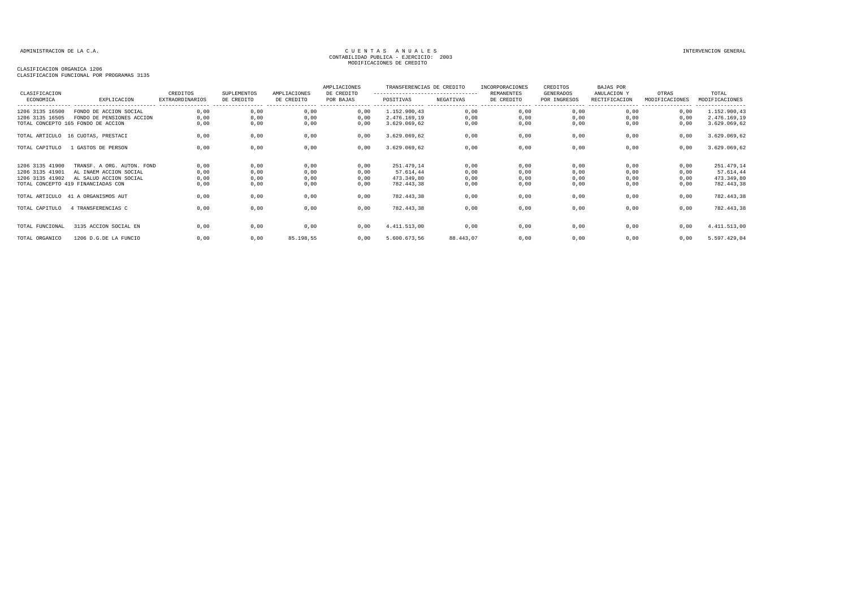| CLASIFICACION   |                                            | CREDITOS               | SUPLEMENTOS | AMPLIACIONES | AMPLIACIONES<br>DE CREDITO       | TRANSFERENCIAS DE CREDITO<br>---------------------------------- |           | INCORPORACIONES<br>REMANENTES | CREDITOS<br>GENERADOS | <b>BAJAS POR</b><br>ANULACION Y                      | OTRAS          | TOTAL                              |
|-----------------|--------------------------------------------|------------------------|-------------|--------------|----------------------------------|-----------------------------------------------------------------|-----------|-------------------------------|-----------------------|------------------------------------------------------|----------------|------------------------------------|
| ECONOMICA       | EXPLICACION<br>--------------------------- | <b>EXTRAORDINARIOS</b> | DE CREDITO  | DE CREDITO   | POR BAJAS<br>---------------- -- | POSITIVAS                                                       | NEGATIVAS | DE CREDITO                    | POR INGRESOS          | RECTIFICACION<br>----------------- ----------------- | MODIFICACIONES | MODIFICACIONES<br>---------------- |
| 1206 3135 16500 | FONDO DE ACCION SOCIAL                     | 0,00                   | 0,00        | 0,00         | 0,00                             | 1.152.900,43                                                    | 0,00      | 0,00                          | 0,00                  | 0,00                                                 | 0,00           | 1.152.900,43                       |
| 1206 3135 16505 | FONDO DE PENSIONES ACCION                  | 0,00                   | 0,00        | 0,00         | 0,00                             | 2.476.169.19                                                    | 0,00      | 0,00                          | 0,00                  | 0,00                                                 | 0,00           | 2.476.169,19                       |
|                 | TOTAL CONCEPTO 165 FONDO DE ACCION         | 0,00                   | 0,00        | 0,00         | 0,00                             | 3.629.069,62                                                    | 0,00      | 0,00                          | 0,00                  | 0.00                                                 | 0,00           | 3.629.069,62                       |
|                 | TOTAL ARTICULO 16 CUOTAS, PRESTACI         | 0,00                   | 0,00        | 0,00         | 0,00                             | 3.629.069,62                                                    | 0,00      | 0,00                          | 0,00                  | 0,00                                                 | 0,00           | 3.629.069,62                       |
| TOTAL CAPITULO  | GASTOS DE PERSON                           | 0,00                   | 0,00        | 0,00         | 0,00                             | 3.629.069,62                                                    | 0,00      | 0,00                          | 0,00                  | 0,00                                                 | 0,00           | 3.629.069,62                       |
| 1206 3135 41900 | TRANSF. A ORG. AUTON. FOND                 | 0,00                   | 0,00        | 0,00         | 0,00                             | 251.479,14                                                      | 0,00      | 0,00                          | 0,00                  | 0,00                                                 | 0,00           | 251.479,14                         |
| 1206 3135 41901 | AL INAEM ACCION SOCIAL                     | 0,00                   | 0,00        | 0,00         | 0,00                             | 57.614,44                                                       | 0,00      | 0,00                          | 0,00                  | 0,00                                                 | 0,00           | 57.614,44                          |
| 1206 3135 41902 | AL SALUD ACCION SOCIAL                     | 0,00                   | 0,00        | 0,00         | 0,00                             | 473.349,80                                                      | 0,00      | 0,00                          | 0,00                  | 0,00                                                 | 0,00           | 473.349,80                         |
|                 | TOTAL CONCEPTO 419 FINANCIADAS CON         | 0.00                   | 0.00        | 0,00         | 0.00                             | 782.443.38                                                      | 0,00      | 0,00                          | 0,00                  | 0.00                                                 | 0,00           | 782.443,38                         |
|                 | TOTAL ARTICULO 41 A ORGANISMOS AUT         | 0,00                   | 0,00        | 0,00         | 0,00                             | 782.443,38                                                      | 0,00      | 0,00                          | 0,00                  | 0.00                                                 | 0,00           | 782.443,38                         |
| TOTAL CAPITULO  | 4 TRANSFERENCIAS C                         | 0,00                   | 0,00        | 0,00         | 0,00                             | 782.443,38                                                      | 0,00      | 0,00                          | 0,00                  | 0,00                                                 | 0,00           | 782.443,38                         |
|                 |                                            |                        |             |              |                                  |                                                                 |           |                               |                       |                                                      |                |                                    |
| TOTAL FUNCIONAL | 3135 ACCION SOCIAL EN                      | 0.00                   | 0,00        | 0,00         | 0,00                             | 4.411.513,00                                                    | 0,00      | 0,00                          | 0,00                  | 0,00                                                 | 0,00           | 4.411.513,00                       |
| TOTAL ORGANICO  | 1206 D.G.DE LA FUNCIO                      | 0,00                   | 0,00        | 85.198,55    | 0.00                             | 5.600.673,56                                                    | 88.443,07 | 0,00                          | 0,00                  | 0.00                                                 | 0.00           | 5.597.429,04                       |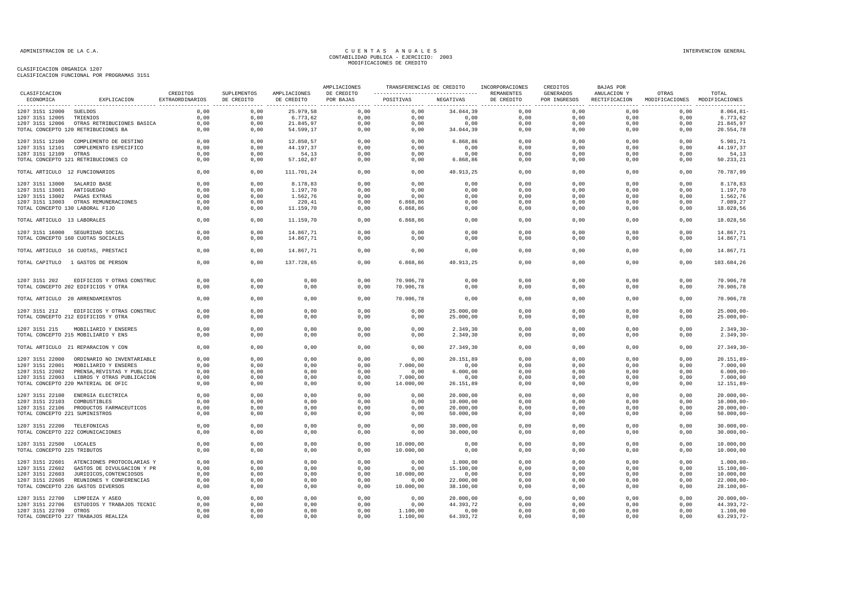|                                 |                                            |                             |                           |                            | AMPLIACIONES            | TRANSFERENCIAS DE CREDITO                      |                     | INCORPORACIONES | CREDITOS                  | BAJAS POR   |                                                      |                |
|---------------------------------|--------------------------------------------|-----------------------------|---------------------------|----------------------------|-------------------------|------------------------------------------------|---------------------|-----------------|---------------------------|-------------|------------------------------------------------------|----------------|
| CLASIFICACION<br>ECONOMICA      | EXPLICACION                                | CREDITOS<br>EXTRAORDINARIOS | SUPLEMENTOS<br>DE CREDITO | AMPLIACIONES<br>DE CREDITO | DE CREDITO<br>POR BAJAS | ----------------------------------  REMANENTES | POSITIVAS NEGATIVAS | DE CREDITO      | GENERADOS<br>POR INGRESOS | ANULACION Y | OTRAS<br>RECTIFICACION MODIFICACIONES MODIFICACIONES | TOTAL          |
| 1207 3151 12000 SUELDOS         |                                            | 0.00                        | 0.00                      | 25.979.58                  |                         | $0.00$ 0.00                                    | 34.044,39           | 0.00            | 0.00                      | 0.00        | 0.00                                                 | $8.064, 81 -$  |
| 1207 3151 12005 TRIENIOS        |                                            | 0,00                        | 0,00                      | 6.773,62                   | 0,00                    | 0,00                                           | $0,00$<br>0,00      |                 | 0,00                      | 0,00        | 0,00                                                 | 6.773,62       |
|                                 | 1207 3151 12006 OTRAS RETRIBUCIONES BASICA | 0,00                        | 0,00                      | 21.845,97                  | 0,00                    | 0,00                                           |                     |                 | 0,00                      | 0,00        | $0$ , $00$                                           | 21.845,97      |
|                                 | TOTAL CONCEPTO 120 RETRIBUCIONES BA        | 0,00                        | 0,00                      | 54.599,17                  | 0,00                    | 0,00                                           | 34.044,39           | $0,00$<br>0,00  | 0,00                      | 0,00        | 0,00                                                 | 20.554,78      |
|                                 | 1207 3151 12100 COMPLEMENTO DE DESTINO     | 0,00                        | 0,00                      | 12.850,57                  | 0,00                    | 0,00                                           | 6.868,86            | 0,00            | 0,00                      | 0,00        | 0,00                                                 | 5.981,71       |
|                                 | 1207 3151 12101 COMPLEMENTO ESPECIFICO     | 0,00                        | 0,00                      | 44.197,37                  | 0,00                    | 0,00                                           | 0,00                | 0,00            | 0,00                      | 0,00        | 0,00                                                 | 44.197,37      |
| 1207 3151 12109 OTRAS           |                                            | 0,00                        | 0,00                      | 54,13                      | 0,00                    | 0,00                                           | 0,00                | 0,00            | 0,00                      | 0,00        | 0,00                                                 | 54,13          |
|                                 | TOTAL CONCEPTO 121 RETRIBUCIONES CO        | 0,00                        | 0,00                      | 57.102,07                  | 0,00                    | 0,00                                           | 6.868,86            | 0,00            | 0,00                      | 0,00        | 0,00                                                 | 50.233,21      |
| TOTAL ARTICULO 12 FUNCIONARIOS  |                                            | 0.00                        | 0.00                      | 111.701.24                 | 0.00                    | 0.00                                           | 40.913.25           | 0.00            | 0.00                      | 0.00        | 0.00                                                 | 70.787.99      |
| 1207 3151 13000 SALARIO BASE    |                                            | 0,00                        | 0,00                      | 8.178,83                   | 0,00                    | 0,00                                           | 0,00                | 0,00            | 0,00                      | 0,00        | 0,00                                                 | 8.178,83       |
| 1207 3151 13001 ANTIGUEDAD      |                                            | 0,00                        | 0,00                      | 1.197,70                   | 0,00                    | 0,00                                           | 0,00                | 0,00            | 0,00                      | 0,00        | 0,00                                                 | 1.197,70       |
| 1207 3151 13002 PAGAS EXTRAS    |                                            | 0,00                        | 0,00                      | 1.562,76                   | 0,00                    | 0,00                                           | 0,00                | 0,00            | 0,00                      | 0,00        | 0,00                                                 | 1.562,76       |
|                                 | 1207 3151 13003 OTRAS REMUNERACIONES       | 0,00                        | 0,00                      | 220,41                     | 0,00                    | 6.868,86                                       | 0,00                | 0,00            | 0,00                      | 0,00        | 0,00                                                 | 7.089,27       |
| TOTAL CONCEPTO 130 LABORAL FIJO |                                            | 0.00                        | 0,00                      | 11.159,70                  | 0,00                    | 6.868,86                                       | 0,00                | 0,00            | 0,00                      | 0,00        | 0,00                                                 | 18.028,56      |
| TOTAL ARTICULO 13 LABORALES     |                                            | 0,00                        | 0,00                      | 11.159,70                  | 0,00                    | 6.868,86                                       | 0,00                | 0,00            | 0,00                      | 0,00        | 0,00                                                 | 18.028,56      |
|                                 | 1207 3151 16000 SEGURIDAD SOCIAL           | 0,00                        | 0,00                      | 14.867,71                  | 0,00                    | 0,00                                           | 0,00                | 0,00            | 0,00                      | 0,00        | 0,00                                                 | 14.867,71      |
|                                 | TOTAL CONCEPTO 160 CUOTAS SOCIALES         | 0,00                        | 0,00                      | 14.867,71                  | 0,00                    | 0,00                                           | 0,00                | 0,00            | 0,00                      | 0,00        | 0,00                                                 | 14.867,71      |
|                                 | TOTAL ARTICULO 16 CUOTAS, PRESTACI         | 0,00                        | 0,00                      | 14.867,71                  | 0,00                    | 0,00                                           | 0,00                | 0,00            | 0,00                      | 0,00        | 0,00                                                 | 14.867,71      |
|                                 |                                            |                             |                           |                            |                         |                                                |                     | 0,00            |                           |             |                                                      |                |
|                                 | TOTAL CAPITULO 1 GASTOS DE PERSON          | 0,00                        | 0,00                      | 137.728,65                 | 0,00                    | 6.868,86                                       | 40.913,25           |                 | 0,00                      | 0,00        | 0,00                                                 | 103.684,26     |
| 1207 3151 202                   | EDIFICIOS Y OTRAS CONSTRUC                 | 0.00                        | 0.00                      | 0,00                       | 0,00                    | 70.906.78                                      | 0,00                | 0.00            | 0.00                      | 0.00        | 0.00                                                 | 70.906,78      |
|                                 | TOTAL CONCEPTO 202 EDIFICIOS Y OTRA        | 0,00                        | 0,00                      | 0,00                       | 0,00                    | 70.906,78                                      | 0,00                | 0,00            | 0,00                      | 0,00        | 0,00                                                 | 70.906,78      |
|                                 | TOTAL ARTICULO 20 ARRENDAMIENTOS           | 0,00                        | 0,00                      | 0,00                       | 0,00                    | 70.906,78                                      | 0,00                | 0,00            | 0,00                      | 0,00        | 0,00                                                 | 70.906,78      |
|                                 | 1207 3151 212 EDIFICIOS Y OTRAS CONSTRUC   | 0,00                        | 0,00                      | 0,00                       | 0,00                    | 0,00                                           | 25.000,00           | 0,00            | 0,00                      | 0,00        | 0,00                                                 | $25.000,00 -$  |
|                                 | TOTAL CONCEPTO 212 EDIFICIOS Y OTRA        | 0.00                        | 0,00                      | 0,00                       | 0,00                    | 0,00                                           | 25.000,00           | 0,00            | 0,00                      | 0,00        | 0.00                                                 | $25.000,00 -$  |
|                                 | 1207 3151 215 MOBILIARIO Y ENSERES         | 0,00                        | 0,00                      | 0,00                       | 0,00                    | 0,00                                           | 2.349,30            | 0,00            | 0,00                      | 0,00        | 0,00                                                 | $2.349, 30 -$  |
|                                 | TOTAL CONCEPTO 215 MOBILIARIO Y ENS        | 0,00                        | 0,00                      | 0,00                       | 0,00                    | 0,00                                           | 2.349,30            | 0,00            | 0,00                      | 0,00        | 0,00                                                 | $2.349, 30 -$  |
|                                 |                                            |                             |                           |                            |                         |                                                |                     |                 |                           |             |                                                      |                |
|                                 | TOTAL ARTICULO 21 REPARACION Y CON         | 0,00                        | 0,00                      | 0,00                       | 0,00                    | 0,00                                           | 27.349,30           | 0,00            | 0,00                      | 0,00        | 0,00                                                 | $27.349, 30 -$ |
|                                 | 1207 3151 22000 ORDINARIO NO INVENTARIABLE | 0,00                        | 0,00                      | 0,00                       | 0,00                    | 0,00                                           | 20.151,89           | 0,00            | 0,00                      | 0,00        | 0,00                                                 | $20.151, 89 -$ |
| 1207 3151 22001                 | MOBILIARIO Y ENSERES                       | 0,00                        | 0,00                      | 0,00                       | 0,00                    | 7.000,00                                       | 0,00                | 0,00            | 0,00                      | 0,00        | 0,00                                                 | 7.000,00       |
| 1207 3151 22002                 | PRENSA, REVISTAS Y PUBLICAC                | 0,00                        | 0,00                      | 0,00                       | 0,00                    | 0,00                                           | 6.000,00            | 0,00            | 0,00                      | 0,00        | 0,00                                                 | $6.000,00 -$   |
|                                 | 1207 3151 22003 LIBROS Y OTRAS PUBLICACION | 0,00                        | 0,00                      | 0,00                       | 0,00                    | 7.000,00                                       | 0,00                | 0,00            | 0,00                      | 0,00        | 0,00                                                 | 7.000,00       |
|                                 | TOTAL CONCEPTO 220 MATERIAL DE OFIC        | 0,00                        | 0,00                      | 0,00                       | 0,00                    | 14.000,00                                      | 26.151,89           | 0,00            | 0,00                      | 0,00        | 0,00                                                 | $12.151,89-$   |
|                                 | 1207 3151 22100 ENERGIA ELECTRICA          | 0,00                        | 0,00                      | 0,00                       | 0,00                    | 0,00                                           | 20.000,00           | 0,00            | 0,00                      | 0,00        | 0,00                                                 | $20.000,00 -$  |
| 1207 3151 22103 COMBUSTIBLES    |                                            | 0,00                        | 0,00                      | 0,00                       | 0,00                    | 0,00                                           | 10.000,00           | 0,00            | 0,00                      | 0,00        | 0,00                                                 | $10.000,00-$   |
|                                 | 1207 3151 22106 PRODUCTOS FARMACEUTICOS    | 0,00                        | 0,00                      | 0,00                       | 0,00                    | 0,00                                           | 20.000,00           | 0,00            | 0,00                      | 0,00        | 0,00                                                 | $20.000,00-$   |
| TOTAL CONCEPTO 221 SUMINISTROS  |                                            | 0,00                        | 0,00                      | 0,00                       | 0,00                    | 0,00                                           | 50.000,00           | 0,00            | 0,00                      | 0,00        | 0,00                                                 | $50.000,00 -$  |
| 1207 3151 22200 TELEFONICAS     |                                            | 0,00                        | 0,00                      | 0,00                       | 0,00                    | 0,00                                           | 30.000,00           | 0,00            | 0,00                      | 0,00        | 0,00                                                 | $30.000,00-$   |
|                                 | TOTAL CONCEPTO 222 COMUNICACIONES          | 0,00                        | 0,00                      | 0,00                       | 0,00                    | 0,00                                           | 30.000,00           | 0,00            | 0,00                      | 0,00        | 0,00                                                 | $30.000,00-$   |
| 1207 3151 22500 LOCALES         |                                            | 0,00                        | 0,00                      | 0,00                       | 0,00                    | 10.000,00                                      | 0,00                | 0,00            | 0,00                      | 0,00        | 0,00                                                 | 10.000,00      |
| TOTAL CONCEPTO 225 TRIBUTOS     |                                            | 0,00                        | 0,00                      | 0,00                       | 0,00                    | 10.000,00                                      | 0,00                | 0,00            | 0,00                      | 0,00        | 0,00                                                 | 10.000,00      |
|                                 | 1207 3151 22601 ATENCIONES PROTOCOLARIAS Y | 0,00                        | 0,00                      | 0,00                       | 0,00                    | 0,00                                           | 1.000,00            | 0,00            | 0,00                      | 0,00        | 0,00                                                 | $1.000,00 -$   |
|                                 | 1207 3151 22602 GASTOS DE DIVULGACION Y PR | 0,00                        | 0,00                      | 0,00                       | 0,00                    | 0,00                                           | 15.100,00           | 0,00            | 0,00                      | 0,00        | 0,00                                                 | $15.100,00 -$  |
|                                 | 1207 3151 22603 JURIDICOS, CONTENCIOSOS    | 0,00                        | 0,00                      | 0,00                       | 0,00                    | 10.000,00                                      | 0,00                | 0,00            | 0,00                      | 0,00        | 0,00                                                 | 10.000,00      |
|                                 | 1207 3151 22605 REUNIONES Y CONFERENCIAS   | 0,00                        | 0,00                      | 0,00                       | 0,00                    | 0,00                                           | 22.000,00           | 0,00            | 0,00                      | 0,00        | 0,00                                                 | $22.000,00 -$  |
|                                 | TOTAL CONCEPTO 226 GASTOS DIVERSOS         | 0,00                        | 0,00                      | 0,00                       | 0,00                    | 10.000,00                                      | 38.100,00           | 0,00            | 0,00                      | 0,00        | 0,00                                                 | $28.100,00 -$  |
|                                 |                                            |                             |                           |                            |                         |                                                |                     |                 |                           |             |                                                      |                |
|                                 | 1207 3151 22700 LIMPIEZA Y ASEO            | 0,00                        | 0,00                      | 0,00                       | 0,00                    | 0,00                                           | 20.000,00           | 0,00            | 0,00                      | 0,00        | 0,00                                                 | $20.000,00 -$  |
|                                 | 1207 3151 22706 ESTUDIOS Y TRABAJOS TECNIC | 0,00                        | 0,00                      | 0,00                       | 0,00                    | 0,00                                           | 44.393,72           | 0,00            | 0,00                      | 0,00        | 0,00                                                 | 44.393,72-     |
| 1207 3151 22709 OTROS           |                                            | 0,00                        | 0,00                      | 0,00                       | 0,00                    | 1.100,00                                       | 0,00                | 0,00            | 0,00                      | 0,00        | 0,00                                                 | 1.100,00       |
|                                 | TOTAL CONCEPTO 227 TRABAJOS REALIZA        | 0,00                        | 0,00                      | 0,00                       | 0,00                    | 1.100,00                                       | 64.393,72           | 0,00            | 0,00                      | 0,00        | 0,00                                                 | 63.293,72-     |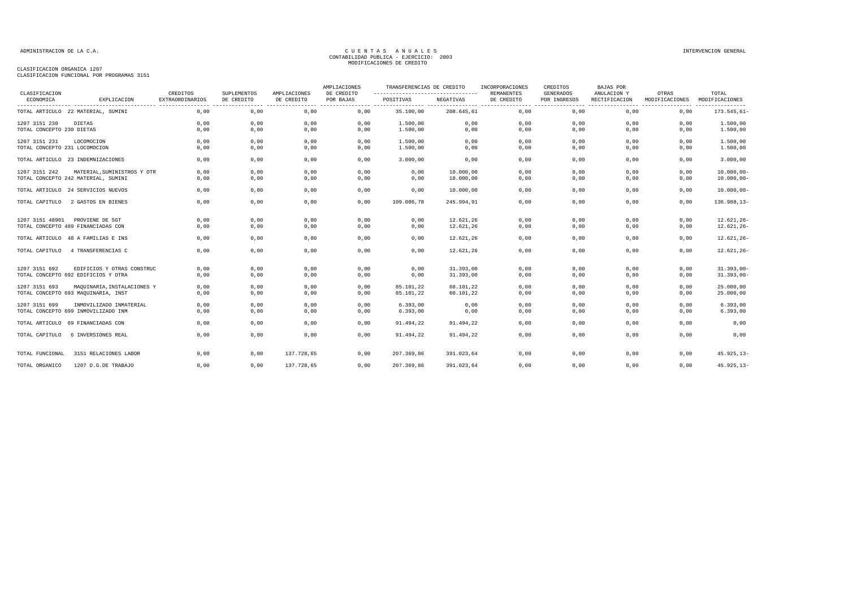| CLASIFICACION                 |                                     | CREDITOS               | SUPLEMENTOS | AMPLIACIONES | AMPLIACIONES<br>DE CREDITO | TRANSFERENCIAS DE CREDITO<br>--------------------------------- |            | INCORPORACIONES<br><b>REMANENTES</b> | CREDITOS<br>GENERADOS | <b>BAJAS POR</b><br>ANULACION Y | OTRAS          | TOTAL          |
|-------------------------------|-------------------------------------|------------------------|-------------|--------------|----------------------------|----------------------------------------------------------------|------------|--------------------------------------|-----------------------|---------------------------------|----------------|----------------|
| ECONOMICA                     | EXPLICACION                         | <b>EXTRAORDINARIOS</b> | DE CREDITO  | DE CREDITO   | POR BAJAS                  | POSITIVAS                                                      | NEGATIVAS  | DE CREDITO                           | POR INGRESOS          | RECTIFICACION                   | MODIFICACIONES | MODIFICACIONES |
|                               | TOTAL ARTICULO 22 MATERIAL, SUMINI  | 0,00                   | 0,00        | 0,00         | 0,00                       | 35.100,00                                                      | 208.645,61 | 0,00                                 | 0,00                  | 0,00                            | 0,00           | $173.545.61 -$ |
| 1207 3151 230                 | DIETAS                              | 0,00                   | 0,00        | 0,00         | 0,00                       | 1.500,00                                                       | 0,00       | 0,00                                 | 0,00                  | 0,00                            | 0,00           | 1.500,00       |
| TOTAL CONCEPTO 230 DIETAS     |                                     | 0,00                   | 0,00        | 0,00         | 0,00                       | 1.500,00                                                       | 0,00       | 0,00                                 | 0,00                  | 0,00                            | 0,00           | 1.500,00       |
| 1207 3151 231                 | LOCOMOCION                          | 0,00                   | 0,00        | 0,00         | 0,00                       | 1.500,00                                                       | 0,00       | 0,00                                 | 0,00                  | 0,00                            | 0,00           | 1.500,00       |
| TOTAL CONCEPTO 231 LOCOMOCION |                                     | 0,00                   | 0,00        | 0,00         | 0,00                       | 1.500,00                                                       | 0,00       | 0,00                                 | 0,00                  | 0,00                            | 0,00           | 1.500,00       |
|                               | TOTAL ARTICULO 23 INDEMNIZACIONES   | 0,00                   | 0,00        | 0,00         | 0,00                       | 3.000,00                                                       | 0,00       | 0,00                                 | 0,00                  | 0,00                            | 0,00           | 3.000,00       |
| 1207 3151 242                 | MATERIAL, SUMINISTROS Y OTR         | 0,00                   | 0,00        | 0,00         | 0,00                       | 0,00                                                           | 10.000,00  | 0,00                                 | 0,00                  | 0,00                            | 0,00           | $10.000,00 -$  |
|                               | TOTAL CONCEPTO 242 MATERIAL, SUMINI | 0,00                   | 0,00        | 0,00         | 0,00                       | 0,00                                                           | 10.000,00  | 0,00                                 | 0,00                  | 0,00                            | 0,00           | $10.000,00 -$  |
|                               | TOTAL ARTICULO 24 SERVICIOS NUEVOS  | 0,00                   | 0,00        | 0,00         | 0,00                       | 0,00                                                           | 10.000,00  | 0,00                                 | 0,00                  | 0,00                            | 0,00           | $10.000,00 -$  |
| TOTAL CAPITULO                | 2 GASTOS EN BIENES                  | 0,00                   | 0,00        | 0,00         | 0,00                       | 109.006,78                                                     | 245.994,91 | 0,00                                 | 0,00                  | 0,00                            | 0,00           | 136.988,13-    |
| 1207 3151 48901               | PROVIENE DE SGT                     | 0,00                   | 0,00        | 0,00         | 0,00                       | 0,00                                                           | 12.621,26  | 0,00                                 | 0,00                  | 0,00                            | 0,00           | $12.621, 26 -$ |
|                               | TOTAL CONCEPTO 489 FINANCIADAS CON  | 0,00                   | 0,00        | 0,00         | 0,00                       | 0,00                                                           | 12.621,26  | 0,00                                 | 0,00                  | 0,00                            | 0,00           | $12.621, 26 -$ |
|                               | TOTAL ARTICULO 48 A FAMILIAS E INS  | 0,00                   | 0,00        | 0,00         | 0,00                       | 0,00                                                           | 12.621,26  | 0,00                                 | 0,00                  | 0,00                            | 0,00           | $12.621, 26 -$ |
| TOTAL CAPITULO                | 4 TRANSFERENCIAS C                  | 0,00                   | 0,00        | 0,00         | 0,00                       | 0,00                                                           | 12.621,26  | 0,00                                 | 0,00                  | 0,00                            | 0,00           | $12.621, 26 -$ |
| 1207 3151 692                 | EDIFICIOS Y OTRAS CONSTRUC          | 0,00                   | 0,00        | 0,00         | 0,00                       | 0,00                                                           | 31.393,00  | 0,00                                 | 0,00                  | 0,00                            | 0,00           | $31.393,00 -$  |
|                               | TOTAL CONCEPTO 692 EDIFICIOS Y OTRA | 0,00                   | 0,00        | 0,00         | 0,00                       | 0,00                                                           | 31.393,00  | 0,00                                 | 0,00                  | 0,00                            | 0,00           | $31.393,00-$   |
| 1207 3151 693                 | MAQUINARIA, INSTALACIONES Y         | 0,00                   | 0,00        | 0,00         | 0,00                       | 85.101,22                                                      | 60.101,22  | 0,00                                 | 0,00                  | 0,00                            | 0,00           | 25.000,00      |
|                               | TOTAL CONCEPTO 693 MAQUINARIA, INST | 0,00                   | 0,00        | 0,00         | 0,00                       | 85.101,22                                                      | 60.101,22  | 0,00                                 | 0.00                  | 0,00                            | 0,00           | 25.000,00      |
| 1207 3151 699                 | INMOVILIZADO INMATERIAL             | 0,00                   | 0,00        | 0,00         | 0,00                       | 6.393,00                                                       | 0,00       | 0,00                                 | 0,00                  | 0,00                            | 0,00           | 6.393,00       |
|                               | TOTAL CONCEPTO 699 INMOVILIZADO INM | 0,00                   | 0,00        | 0,00         | 0,00                       | 6.393,00                                                       | 0,00       | 0,00                                 | 0,00                  | 0,00                            | 0,00           | 6.393,00       |
| TOTAL ARTICULO                | 69 FINANCIADAS CON                  | 0,00                   | 0,00        | 0,00         | 0,00                       | 91.494,22                                                      | 91.494,22  | 0,00                                 | 0,00                  | 0,00                            | 0,00           | 0,00           |
| TOTAL CAPITULO                | 6 INVERSIONES REAL                  | 0,00                   | 0,00        | 0,00         | 0,00                       | 91.494,22                                                      | 91.494,22  | 0,00                                 | 0,00                  | 0,00                            | 0,00           | 0,00           |
| TOTAL FUNCIONAL               | 3151 RELACIONES LABOR               | 0,00                   | 0,00        | 137.728,65   | 0,00                       | 207.369,86                                                     | 391.023,64 | 0,00                                 | 0,00                  | 0,00                            | 0,00           | $45.925, 13 -$ |
| TOTAL ORGANICO                | 1207 D.G.DE TRABAJO                 | 0,00                   | 0,00        | 137.728,65   | 0,00                       | 207.369,86                                                     | 391.023,64 | 0,00                                 | 0,00                  | 0,00                            | 0,00           | $45.925, 13 -$ |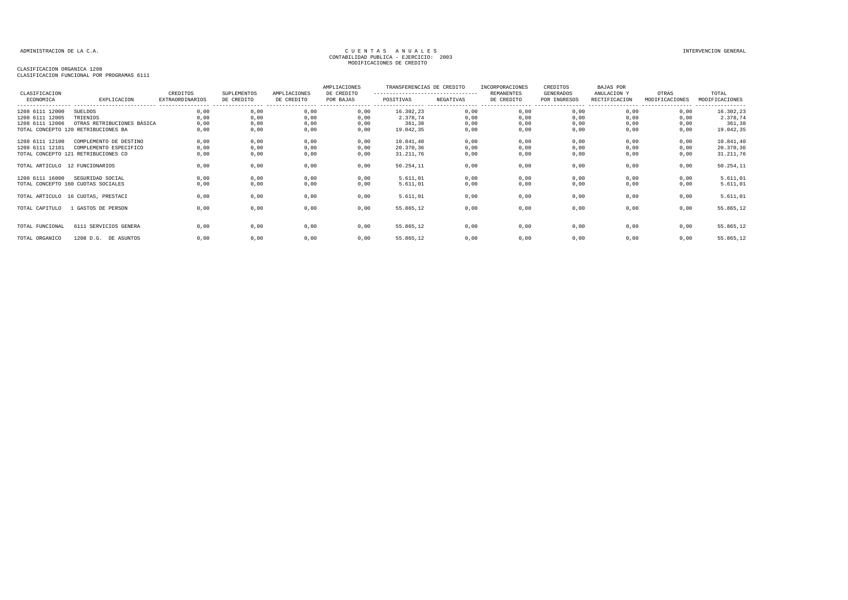| CLASIFICACION<br>ECONOMICA         | EXPLICACION                                                                             | CREDITOS<br><b>EXTRAORDINARIOS</b><br>---------------- | <b>SUPLEMENTOS</b><br>DE CREDITO | AMPLIACIONES<br>DE CREDITO | AMPLIACIONES<br>DE CREDITO<br>POR BAJAS | TRANSFERENCIAS DE CREDITO<br>---------------------------------<br>POSITIVAS | NEGATIVAS            | INCORPORACIONES<br>REMANENTES<br>DE CREDITO | CREDITOS<br>GENERADOS<br>POR INGRESOS | BAJAS POR<br>ANULACION Y<br>RECTIFICACION | OTRAS<br>MODIFICACIONES | TOTAL<br>MODIFICACIONES<br>--------- |
|------------------------------------|-----------------------------------------------------------------------------------------|--------------------------------------------------------|----------------------------------|----------------------------|-----------------------------------------|-----------------------------------------------------------------------------|----------------------|---------------------------------------------|---------------------------------------|-------------------------------------------|-------------------------|--------------------------------------|
| 1208 6111 12000<br>1208 6111 12005 | SUELDOS<br>TRIENIOS                                                                     | 0,00<br>0,00                                           | 0,00<br>0,00                     | 0,00<br>0,00               | 0,00<br>0.00                            | 16.302,23<br>2.378,74                                                       | 0,00<br>0,00         | 0,00<br>0,00                                | 0,00<br>0,00                          | 0,00<br>0.00                              | 0,00<br>0.00            | 16.302,23<br>2.378,74                |
| 1208 6111 12006                    | OTRAS RETRIBUCIONES BÁSICA<br>TOTAL CONCEPTO 120 RETRIBUCIONES BA                       | 0.00<br>0,00                                           | 0,00<br>0,00                     | 0,00<br>0,00               | 0,00<br>0,00                            | 361,38<br>19.042,35                                                         | 0,00<br>0,00         | 0,00<br>0,00                                | 0,00<br>0,00                          | 0,00<br>0.00                              | 0.00<br>0,00            | 361,38<br>19.042,35                  |
| 1208 6111 12100<br>1208 6111 12101 | COMPLEMENTO DE DESTINO<br>COMPLEMENTO ESPECIFICO<br>TOTAL CONCEPTO 121 RETRIBUCIONES CO | 0,00<br>0,00<br>0,00                                   | 0,00<br>0,00<br>0,00             | 0,00<br>0,00<br>0,00       | 0,00<br>0,00<br>0,00                    | 10.841,40<br>20.370,36<br>31.211,76                                         | 0,00<br>0,00<br>0,00 | 0,00<br>0,00<br>0,00                        | 0,00<br>0,00<br>0,00                  | 0,00<br>0,00<br>0,00                      | 0,00<br>0,00<br>0,00    | 10.841,40<br>20.370,36<br>31.211,76  |
| TOTAL ARTICULO 12 FUNCIONARIOS     |                                                                                         | 0,00                                                   | 0,00                             | 0,00                       | 0,00                                    | 50.254,11                                                                   | 0,00                 | 0,00                                        | 0,00                                  | 0,00                                      | 0,00                    | 50.254,11                            |
| 1208 6111 16000                    | SEGURIDAD SOCIAL<br>TOTAL CONCEPTO 160 CUOTAS SOCIALES                                  | 0,00<br>0,00                                           | 0,00<br>0,00                     | 0,00<br>0,00               | 0,00<br>0,00                            | 5.611,01<br>5.611,01                                                        | 0,00<br>0,00         | 0,00<br>0,00                                | 0,00<br>0,00                          | 0,00<br>0,00                              | 0,00<br>0,00            | 5.611,01<br>5.611,01                 |
|                                    | TOTAL ARTICULO 16 CUOTAS, PRESTACI                                                      | 0,00                                                   | 0,00                             | 0,00                       | 0,00                                    | 5.611,01                                                                    | 0,00                 | 0,00                                        | 0,00                                  | 0,00                                      | 0,00                    | 5.611,01                             |
| TOTAL CAPITULO                     | 1 GASTOS DE PERSON                                                                      | 0,00                                                   | 0,00                             | 0,00                       | 0,00                                    | 55.865,12                                                                   | 0,00                 | 0,00                                        | 0,00                                  | 0,00                                      | 0,00                    | 55.865,12                            |
| TOTAL FUNCIONAL                    | 6111 SERVICIOS GENERA                                                                   | 0,00                                                   | 0,00                             | 0,00                       | 0,00                                    | 55.865,12                                                                   | 0,00                 | 0,00                                        | 0,00                                  | 0,00                                      | 0,00                    | 55.865,12                            |
| TOTAL ORGANICO                     | 1208 D.G. DE ASUNTOS                                                                    | 0,00                                                   | 0,00                             | 0,00                       | 0,00                                    | 55.865,12                                                                   | 0,00                 | 0,00                                        | 0,00                                  | 0,00                                      | 0,00                    | 55.865,12                            |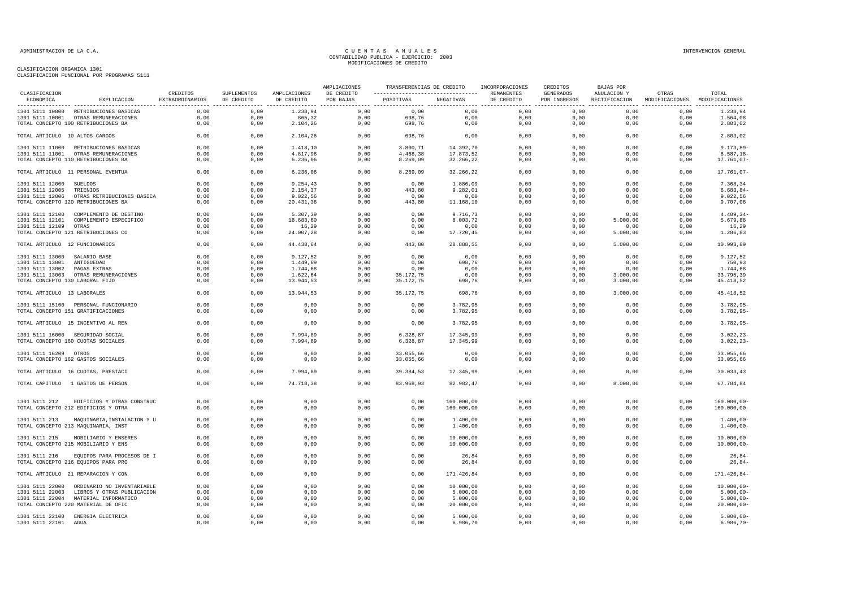| CLASIFICACION                   |                                            | CREDITOS        | SUPLEMENTOS  | AMPLIACIONES | AMPLIACIONES<br>DE CREDITO | ----------------------------------  REMANENTES | TRANSFERENCIAS DE CREDITO INCORPORACIONES |              | CREDITOS<br>GENERADOS | BAJAS POR<br>ANULACION Y | OTRAS                                       | TOTAL                  |
|---------------------------------|--------------------------------------------|-----------------|--------------|--------------|----------------------------|------------------------------------------------|-------------------------------------------|--------------|-----------------------|--------------------------|---------------------------------------------|------------------------|
| ECONOMICA                       | EXPLICACION                                | EXTRAORDINARIOS | DE CREDITO   | DE CREDITO   | POR BAJAS                  | POSITIVAS                                      | NEGATIVAS                                 | DE CREDITO   | POR INGRESOS          |                          | RECTIFICACION MODIFICACIONES MODIFICACIONES |                        |
|                                 | 1301 5111 10000 RETRIBUCIONES BASICAS      | 0,00            | 0,00         | 1.238,94     | 0,00                       | 0,00                                           | 0,00                                      | 0,00         | 0,00                  | 0,00                     | 0,00                                        | 1.238,94               |
|                                 | 1301 5111 10001 OTRAS REMUNERACIONES       | 0,00            | 0,00         | 865,32       | 0,00                       | 698,76                                         | 0,00                                      | 0,00         | 0,00                  | 0,00                     | 0,00                                        | 1.564,08               |
|                                 | TOTAL CONCEPTO 100 RETRIBUCIONES BA        | 0,00            | 0,00         | 2.104,26     | 0,00                       | 698,76                                         | 0,00                                      | 0,00         | 0,00                  | 0,00                     | 0,00                                        | 2.803,02               |
| TOTAL ARTICULO 10 ALTOS CARGOS  |                                            | 0,00            | 0,00         | 2.104,26     | 0,00                       | 698,76                                         | 0,00                                      | 0.00         | 0,00                  | 0,00                     | 0,00                                        | 2.803,02               |
|                                 | 1301 5111 11000 RETRIBUCIONES BASICAS      | 0,00            | 0,00         | 1.418,10     | 0,00                       | 3.800,71                                       | 14.392,70                                 | 0,00         | 0,00                  | 0,00                     | 0,00                                        | $9.173,89-$            |
|                                 | 1301 5111 11001 OTRAS REMUNERACIONES       | 0,00            | 0,00         | 4.817,96     | 0,00                       | 4.468,38                                       | 17.873,52                                 | 0,00         | 0,00                  | 0,00                     | 0,00                                        | $8.587, 18-$           |
|                                 | TOTAL CONCEPTO 110 RETRIBUCIONES BA        | 0,00            | 0,00         | 6.236,06     | 0,00                       | 8.269,09                                       | 32.266,22                                 | 0,00         | 0,00                  | 0,00                     | 0,00                                        | 17.761,07-             |
|                                 | TOTAL ARTICULO 11 PERSONAL EVENTUA         | 0,00            | 0,00         | 6.236,06     | 0,00                       | 8.269,09                                       | 32.266,22                                 | 0,00         | 0,00                  | 0,00                     | 0,00                                        | 17.761,07-             |
| 1301 5111 12000 SUELDOS         |                                            | 0,00            | 0,00         | 9.254,43     | 0,00                       | 0,00                                           | 1.886,09                                  | 0,00         | 0,00                  | 0,00                     | 0,00                                        | 7.368,34               |
| 1301 5111 12005 TRIENIOS        |                                            | 0,00            | 0,00         | 2.154,37     | 0,00                       | 443,80                                         | 9.282,01                                  | 0,00         | 0,00                  | 0,00                     | 0,00                                        | $6.683, 84-$           |
|                                 | 1301 5111 12006 OTRAS RETRIBUCIONES BASICA | 0,00            | 0,00         | 9.022,56     | 0,00                       | 0,00                                           | 0,00                                      | 0,00         | 0,00                  | 0,00                     | 0,00                                        | 9.022, 56              |
|                                 | TOTAL CONCEPTO 120 RETRIBUCIONES BA        | 0,00            | 0,00         | 20.431,36    | 0,00                       | 443,80                                         | 11.168,10                                 | 0,00         | 0,00                  | 0,00                     | 0,00                                        | 9.707,06               |
|                                 | 1301 5111 12100 COMPLEMENTO DE DESTINO     | 0,00            | 0,00         | 5.307,39     | 0,00                       | 0,00                                           | 9.716,73                                  | 0,00         | 0,00                  | 0,00                     | 0.00                                        | $4.409, 34-$           |
|                                 | 1301 5111 12101 COMPLEMENTO ESPECIFICO     | 0,00            | 0,00         | 18.683,60    | 0,00                       | 0,00                                           | 8.003,72                                  | 0,00         | 0,00                  | 5.000,00                 | 0,00                                        | 5.679,88               |
| 1301 5111 12109 OTRAS           |                                            | 0.00            | 0.00         | 16.29        | 0.00                       | 0.00                                           | 0.00                                      | 0.00         | 0,00                  | 0.00                     | 0.00                                        | 16,29                  |
|                                 | TOTAL CONCEPTO 121 RETRIBUCIONES CO        | 0,00            | 0,00         | 24.007,28    | 0,00                       | 0,00                                           | 17.720,45                                 | 0,00         | 0,00                  | 5.000,00                 | 0,00                                        | 1.286,83               |
|                                 |                                            |                 |              |              |                            |                                                |                                           |              |                       |                          |                                             |                        |
| TOTAL ARTICULO 12 FUNCIONARIOS  |                                            | 0,00            | 0,00         | 44.438,64    | 0,00                       | 443,80                                         | 28.888,55                                 | 0,00         | 0,00                  | 5.000,00                 | 0,00                                        | 10.993,89              |
| 1301 5111 13000 SALARIO BASE    |                                            | 0,00            | 0,00         | 9.127,52     | 0,00                       | 0,00                                           | 0,00                                      | 0,00         | 0,00                  | 0,00                     | 0,00                                        | 9.127,52               |
| 1301 5111 13001 ANTIGUEDAD      |                                            | 0,00            | 0,00         | 1.449,69     | 0,00                       | 0,00                                           | 698,76                                    | 0,00         | 0,00                  | 0,00                     | 0,00                                        | 750,93                 |
| 1301 5111 13002 PAGAS EXTRAS    |                                            | 0,00            | 0,00         | 1.744,68     | 0,00                       | 0,00                                           | 0,00                                      | 0,00         | 0,00                  | 0,00                     | 0,00                                        | 1.744,68               |
|                                 | 1301 5111 13003 OTRAS REMUNERACIONES       | 0,00            | 0,00         | 1.622,64     | 0,00                       | 35.172,75                                      | 0,00                                      | 0,00         | 0,00                  | 3.000,00                 | 0,00                                        | 33.795,39              |
| TOTAL CONCEPTO 130 LABORAL FIJO |                                            | 0,00            | 0,00         | 13.944,53    | 0,00                       | 35.172,75                                      | 698,76                                    | 0,00         | 0,00                  | 3.000,00                 | 0,00                                        | 45.418,52              |
| TOTAL ARTICULO 13 LABORALES     |                                            | 0,00            | 0,00         | 13.944,53    | 0,00                       | 35.172,75                                      | 698,76                                    | 0,00         | 0,00                  | 3.000,00                 | 0,00                                        | 45.418,52              |
|                                 | 1301 5111 15100 PERSONAL FUNCIONARIO       | 0,00            | 0,00         | 0,00         | 0,00                       | 0,00                                           | 3.782,95                                  | 0,00         | 0,00                  | 0,00                     | 0,00                                        | $3.782,95-$            |
|                                 | TOTAL CONCEPTO 151 GRATIFICACIONES         | 0,00            | 0,00         | 0,00         | 0,00                       | 0,00                                           | 3.782,95                                  | 0,00         | 0,00                  | 0,00                     | 0,00                                        | $3.782, 95 -$          |
|                                 | TOTAL ARTICULO 15 INCENTIVO AL REN         | 0,00            | 0,00         | 0,00         | 0,00                       | 0,00                                           | 3.782,95                                  | 0,00         | 0,00                  | 0,00                     | 0,00                                        | $3.782,95-$            |
|                                 | 1301 5111 16000 SEGURIDAD SOCIAL           | 0.00            | 0.00         | 7.994.89     | 0,00                       | 6.328.87                                       | 17.345,99                                 | 0.00         | 0.00                  | 0.00                     | 0.00                                        | $3.022.23 -$           |
|                                 | TOTAL CONCEPTO 160 CUOTAS SOCIALES         | 0,00            | 0,00         | 7.994,89     | 0,00                       | 6.328,87                                       | 17.345,99                                 | 0,00         | 0,00                  | 0,00                     | 0,00                                        | $3.022, 23-$           |
|                                 |                                            |                 |              |              |                            |                                                |                                           |              |                       |                          |                                             |                        |
| 1301 5111 16209 OTROS           | TOTAL CONCEPTO 162 GASTOS SOCIALES         | 0,00            | 0,00<br>0,00 | 0,00<br>0,00 | 0,00<br>0,00               | 33.055,66                                      | 0,00                                      | 0,00<br>0,00 | 0,00<br>0,00          | 0,00                     | 0,00<br>0,00                                | 33.055,66<br>33.055,66 |
|                                 |                                            | 0,00            |              |              |                            | 33.055,66                                      | 0,00                                      |              |                       | 0,00                     |                                             |                        |
|                                 | TOTAL ARTICULO 16 CUOTAS, PRESTACI         | 0,00            | 0,00         | 7.994,89     | 0,00                       | 39.384,53                                      | 17.345,99                                 | 0,00         | 0,00                  | 0,00                     | 0,00                                        | 30.033,43              |
|                                 | TOTAL CAPITULO 1 GASTOS DE PERSON          | 0.00            | 0.00         | 74.718.38    | 0.00                       | 83.968.93                                      | 82.982.47                                 | 0.00         | 0.00                  | 8,000,00                 | 0.00                                        | 67.704.84              |
| 1301 5111 212                   | EDIFICIOS Y OTRAS CONSTRUC                 | 0,00            | 0,00         | 0,00         | 0,00                       | 0,00                                           | 160.000,00                                | 0,00         | 0,00                  | 0,00                     | 0,00                                        | $160.000,00 -$         |
|                                 | TOTAL CONCEPTO 212 EDIFICIOS Y OTRA        | 0,00            | 0,00         | 0,00         | 0,00                       | 0,00                                           | 160.000,00                                | 0,00         | 0,00                  | 0,00                     | 0,00                                        | $160.000,00 -$         |
| 1301 5111 213                   | MAQUINARIA, INSTALACION Y U                | 0,00            | 0,00         | 0,00         | 0,00                       | 0,00                                           | 1.400,00                                  | 0,00         | 0,00                  | 0,00                     | 0,00                                        | $1.400,00 -$           |
|                                 | TOTAL CONCEPTO 213 MAQUINARIA, INST        | 0,00            | 0,00         | 0,00         | 0,00                       | 0,00                                           | 1.400,00                                  | 0,00         | 0,00                  | 0,00                     | 0,00                                        | $1.400,00 -$           |
| 1301 5111 215                   | MOBILIARIO Y ENSERES                       | 0.00            | 0.00         | 0.00         | 0.00                       | 0.00                                           | 10,000,00                                 | 0.00         | 0.00                  | 0.00                     | 0,00                                        | $10.000.00 -$          |
|                                 | TOTAL CONCEPTO 215 MOBILIARIO Y ENS        | 0,00            | 0,00         | 0,00         | 0,00                       | 0,00                                           | 10.000,00                                 | 0,00         | 0,00                  | 0,00                     | 0,00                                        | $10.000,00 -$          |
|                                 | 1301 5111 216 EQUIPOS PARA PROCESOS DE I   | 0,00            | 0,00         | 0,00         | 0,00                       | 0,00                                           | 26,84                                     | 0,00         | 0,00                  | 0,00                     | 0,00                                        | $26,84-$               |
|                                 | TOTAL CONCEPTO 216 EQUIPOS PARA PRO        | 0,00            | 0,00         | 0,00         | 0,00                       | 0,00                                           | 26,84                                     | 0,00         | 0,00                  | 0,00                     | 0,00                                        | $26,84-$               |
|                                 | TOTAL ARTICULO 21 REPARACION Y CON         | 0,00            | 0,00         | 0,00         | 0,00                       | 0,00                                           | 171.426,84                                | 0,00         | 0,00                  | 0,00                     | 0,00                                        | 171.426,84-            |
|                                 | 1301 5111 22000 ORDINARIO NO INVENTARIABLE | 0.00            | 0.00         | 0.00         | 0.00                       | 0.00                                           | 10.000,00                                 | 0.00         | 0.00                  | 0.00                     | 0.00                                        | $10.000.00 -$          |
|                                 | 1301 5111 22003 LIBROS Y OTRAS PUBLICACION | 0,00            | 0,00         | 0,00         | 0,00                       | 0,00                                           | 5.000,00                                  | 0,00         | 0,00                  | 0,00                     | 0,00                                        | $5.000,00 -$           |
|                                 | 1301 5111 22004 MATERIAL INFORMATICO       | 0,00            | 0,00         | 0,00         | 0,00                       | 0,00                                           | 5.000,00                                  | 0,00         | 0,00                  | 0,00                     | 0,00                                        | $5.000,00 -$           |
|                                 | TOTAL CONCEPTO 220 MATERIAL DE OFIC        | 0,00            | 0,00         | 0,00         | 0,00                       | 0,00                                           | 20.000,00                                 | 0,00         | 0,00                  | 0,00                     | 0,00                                        | $20.000,00-$           |
|                                 |                                            | 0,00            | 0,00         | 0,00         | 0,00                       | 0,00                                           | 5.000,00                                  | 0,00         | 0,00                  | 0,00                     | 0,00                                        | $5.000,00 -$           |
| 1301 5111 22101                 | 1301 5111 22100 ENERGIA ELECTRICA<br>AGUA  | 0,00            | 0,00         | 0,00         | 0,00                       | 0,00                                           | 6.986,70                                  | 0,00         | 0,00                  | 0,00                     | 0,00                                        | $6.986, 70 -$          |
|                                 |                                            |                 |              |              |                            |                                                |                                           |              |                       |                          |                                             |                        |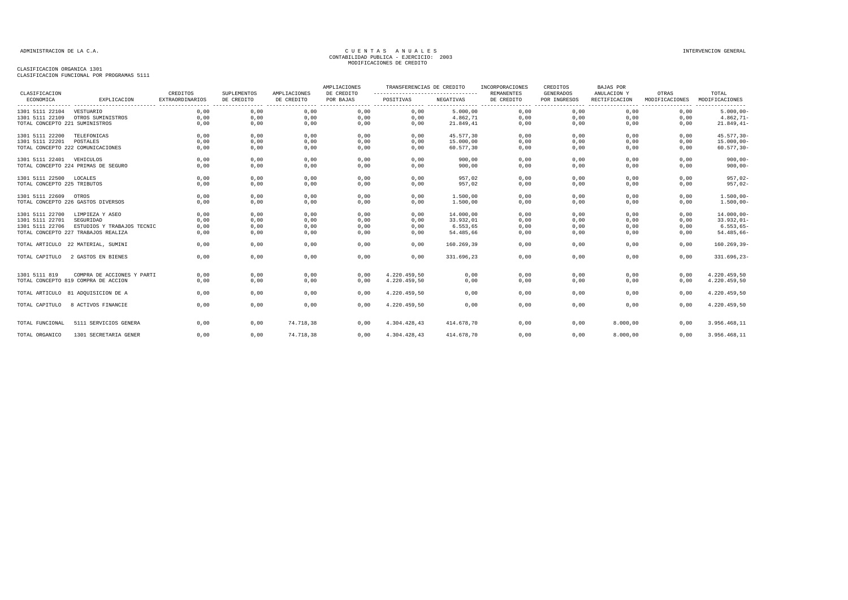| CLASIFICACION                  |                                     | CREDITOS                            | SUPLEMENTOS                                | AMPLIACIONES           | AMPLIACIONES<br>DE CREDITO | TRANSFERENCIAS DE CREDITO<br>----------------------------------- |            | INCORPORACIONES<br><b>REMANENTES</b> | CREDITOS<br><b>GENERADOS</b> | <b>BAJAS POR</b><br>ANULACION Y | OTRAS          | TOTAL                      |
|--------------------------------|-------------------------------------|-------------------------------------|--------------------------------------------|------------------------|----------------------------|------------------------------------------------------------------|------------|--------------------------------------|------------------------------|---------------------------------|----------------|----------------------------|
| ECONOMICA                      | EXPLICACION                         | EXTRAORDINARIOS<br>---------------- | DE CREDITO<br>---------------------------- | DE CREDITO<br>-------- | POR BAJAS                  | POSITIVAS<br>-------------- ---------------- ------              | NEGATIVAS  | DE CREDITO<br>.<br>--------          | POR INGRESOS                 | RECTIFICACION                   | MODIFICACIONES | MODIFICACIONES<br>-------- |
| 1301 5111 22104                | VESTUARIO                           | 0,00                                | 0,00                                       | 0,00                   | 0,00                       | 0,00                                                             | 5.000,00   | 0,00                                 | 0,00                         | 0,00                            | 0,00           | $5.000,00 -$               |
| 1301 5111 22109                | OTROS SUMINISTROS                   | 0,00                                | 0,00                                       | 0,00                   | 0,00                       | 0,00                                                             | 4.862,71   | 0,00                                 | 0,00                         | 0,00                            | 0,00           | $4.862, 71 -$              |
| TOTAL CONCEPTO 221 SUMINISTROS |                                     | 0,00                                | 0,00                                       | 0,00                   | 0,00                       | 0,00                                                             | 21.849,41  | 0,00                                 | 0,00                         | 0,00                            | 0,00           | $21.849, 41-$              |
| 1301 5111 22200                | TELEFONICAS                         | 0,00                                | 0,00                                       | 0,00                   | 0,00                       | 0,00                                                             | 45.577,30  | 0,00                                 | 0,00                         | 0,00                            | 0,00           | $45.577, 30 -$             |
| 1301 5111 22201                | POSTALES                            | 0.00                                | 0.00                                       | 0.00                   | 0.00                       | 0.00                                                             | 15,000,00  | 0.00                                 | 0.00                         | 0.00                            | 0.00           | $15.000.00 -$              |
|                                | TOTAL CONCEPTO 222 COMUNICACIONES   | 0,00                                | 0,00                                       | 0,00                   | 0,00                       | 0,00                                                             | 60.577,30  | 0,00                                 | 0,00                         | 0,00                            | 0,00           | $60.577, 30 -$             |
| 1301 5111 22401 VEHICULOS      |                                     | 0,00                                | 0,00                                       | 0,00                   | 0,00                       | 0,00                                                             | 900,00     | 0,00                                 | 0,00                         | 0,00                            | 0,00           | $900.00 -$                 |
|                                | TOTAL CONCEPTO 224 PRIMAS DE SEGURO | 0,00                                | 0,00                                       | 0,00                   | 0,00                       | 0,00                                                             | 900,00     | 0,00                                 | 0,00                         | 0,00                            | 0,00           | $900,00-$                  |
| 1301 5111 22500                | LOCALES                             | 0,00                                | 0,00                                       | 0,00                   | 0,00                       | 0,00                                                             | 957,02     | 0,00                                 | 0,00                         | 0,00                            | 0,00           | $957,02-$                  |
| TOTAL CONCEPTO 225 TRIBUTOS    |                                     | 0.00                                | 0,00                                       | 0,00                   | 0,00                       | 0,00                                                             | 957,02     | 0,00                                 | 0,00                         | 0.00                            | 0,00           | $957,02-$                  |
| 1301 5111 22609 OTROS          |                                     | 0,00                                | 0,00                                       | 0,00                   | 0,00                       | 0,00                                                             | 1,500,00   | 0,00                                 | 0,00                         | 0,00                            | 0,00           | $1.500,00 -$               |
|                                | TOTAL CONCEPTO 226 GASTOS DIVERSOS  | 0,00                                | 0,00                                       | 0,00                   | 0,00                       | 0,00                                                             | 1.500,00   | 0,00                                 | 0,00                         | 0,00                            | 0,00           | $1.500,00 -$               |
| 1301 5111 22700                | LIMPIEZA Y ASEO                     | 0,00                                | 0,00                                       | 0,00                   | 0,00                       | 0,00                                                             | 14.000,00  | 0,00                                 | 0,00                         | 0,00                            | 0,00           | $14.000,00 -$              |
| 1301 5111 22701                | SEGURIDAD                           | 0,00                                | 0,00                                       | 0,00                   | 0,00                       | 0,00                                                             | 33.932,01  | 0,00                                 | 0,00                         | 0,00                            | 0,00           | $33.932,01-$               |
| 1301 5111 22706                | ESTUDIOS Y TRABAJOS TECNIC          | 0,00                                | 0,00                                       | 0,00                   | 0,00                       | 0,00                                                             | 6.553,65   | 0,00                                 | 0,00                         | 0,00                            | 0,00           | $6.553, 65-$               |
|                                | TOTAL CONCEPTO 227 TRABAJOS REALIZA | 0.00                                | 0,00                                       | 0,00                   | 0,00                       | 0,00                                                             | 54.485,66  | 0,00                                 | 0,00                         | 0,00                            | 0,00           | 54.485,66-                 |
|                                | TOTAL ARTICULO 22 MATERIAL, SUMINI  | 0,00                                | 0,00                                       | 0,00                   | 0,00                       | 0,00                                                             | 160.269,39 | 0,00                                 | 0,00                         | 0,00                            | 0,00           | $160.269, 39 -$            |
| TOTAL CAPITULO                 | 2 GASTOS EN BIENES                  | 0,00                                | 0,00                                       | 0,00                   | 0,00                       | 0,00                                                             | 331.696,23 | 0,00                                 | 0,00                         | 0,00                            | 0,00           | 331.696,23-                |
| 1301 5111 819                  | COMPRA DE ACCIONES Y PARTI          | 0,00                                | 0,00                                       | 0,00                   | 0,00                       | 4.220.459,50                                                     | 0,00       | 0,00                                 | 0,00                         | 0,00                            | 0,00           | 4.220.459,50               |
|                                | TOTAL CONCEPTO 819 COMPRA DE ACCION | 0.00                                | 0,00                                       | 0,00                   | 0,00                       | 4.220.459,50                                                     | 0,00       | 0,00                                 | 0,00                         | 0.00                            | 0,00           | 4.220.459,50               |
|                                | TOTAL ARTICULO 81 ADQUISICION DE A  | 0,00                                | 0,00                                       | 0,00                   | 0,00                       | 4.220.459,50                                                     | 0,00       | 0,00                                 | 0,00                         | 0,00                            | 0,00           | 4.220.459,50               |
| TOTAL CAPITULO                 | 8 ACTIVOS FINANCIE                  | 0.00                                | 0,00                                       | 0.00                   | 0.00                       | 4.220.459,50                                                     | 0.00       | 0.00                                 | 0.00                         | 0.00                            | 0.00           | 4.220.459,50               |
| TOTAL FUNCIONAL                | 5111 SERVICIOS GENERA               | 0,00                                | 0,00                                       | 74.718,38              | 0,00                       | 4.304.428,43                                                     | 414.678,70 | 0,00                                 | 0,00                         | 8.000,00                        | 0,00           | 3.956.468,11               |
|                                |                                     |                                     |                                            |                        |                            |                                                                  |            |                                      |                              |                                 |                |                            |
| TOTAL ORGANICO                 | 1301 SECRETARIA GENER               | 0,00                                | 0,00                                       | 74.718,38              | 0,00                       | 4.304.428,43                                                     | 414.678.70 | 0,00                                 | 0,00                         | 8.000,00                        | 0,00           | 3.956.468,11               |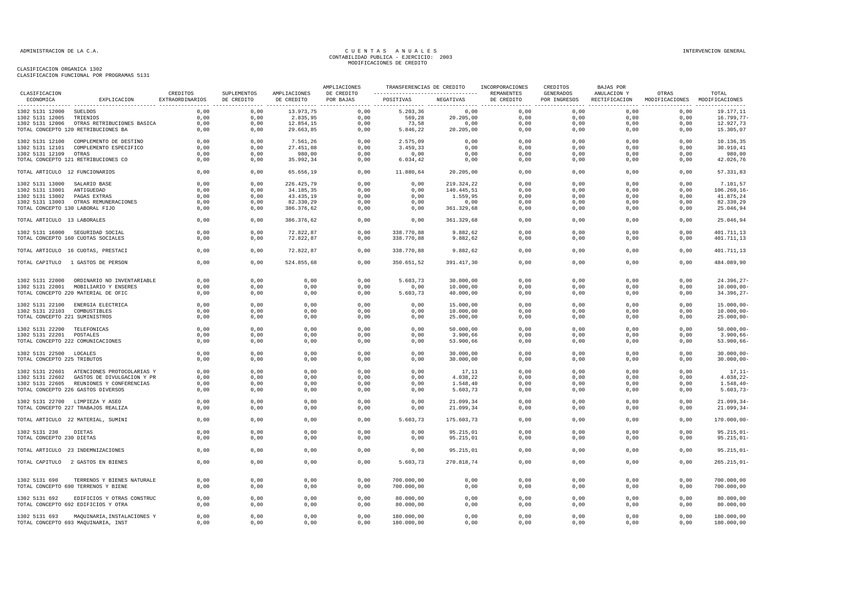|                                 |                                            |                                    |                           | AMPLIACIONES               | TRANSFERENCIAS DE CREDITO |            | INCORPORACIONES | CREDITOS                 | BAJAS POR                        |                              |                                        |                |
|---------------------------------|--------------------------------------------|------------------------------------|---------------------------|----------------------------|---------------------------|------------|-----------------|--------------------------|----------------------------------|------------------------------|----------------------------------------|----------------|
| CLASIFICACION<br>ECONOMICA      | EXPLICACION                                | CREDITOS<br><b>EXTRAORDINARIOS</b> | SUPLEMENTOS<br>DE CREDITO | AMPLIACIONES<br>DE CREDITO | DE CREDITO<br>POR BAJAS   | POSITIVAS  | NEGATIVAS       | REMANENTES<br>DE CREDITO | <b>GENERADOS</b><br>POR INGRESOS | ANULACION Y<br>RECTIFICACION | OTRAS<br>MODIFICACIONES MODIFICACIONES | TOTAL          |
| 1302 5131 12000 SUELDOS         |                                            | 0,00                               | 0,00                      | 13.973,75                  | 0,00                      | 5.203, 36  | 0,00            | 0,00                     | 0,00                             | 0,00                         | 0,00                                   | 19.177,11      |
| 1302 5131 12005                 | TRIENIOS                                   | 0,00                               | 0,00                      | 2.835,95                   | 0,00                      | 569,28     | 20.205,00       | 0,00                     | 0,00                             | 0,00                         | 0,00                                   | 16.799,77-     |
| 1302 5131 12006                 | OTRAS RETRIBUCIONES BASICA                 | 0,00                               | 0,00                      | 12.854,15                  | 0,00                      | 73,58      | 0,00            | 0,00                     | 0,00                             | 0,00                         | 0,00                                   | 12.927,73      |
|                                 | TOTAL CONCEPTO 120 RETRIBUCIONES BA        | 0,00                               | 0,00                      | 29.663,85                  | 0,00                      | 5.846,22   | 20.205,00       | 0,00                     | 0,00                             | 0,00                         | 0,00                                   | 15.305,07      |
| 1302 5131 12100                 | COMPLEMENTO DE DESTINO                     | 0,00                               | 0,00                      | 7.561,26                   | 0,00                      | 2.575,09   | 0,00            | 0,00                     | 0,00                             | 0,00                         | 0,00                                   | 10.136,35      |
| 1302 5131 12101                 | COMPLEMENTO ESPECIFICO                     | 0,00                               | 0,00                      | 27.451,08                  | 0,00                      | 3.459,33   | 0,00            | 0,00                     | 0,00                             | 0,00                         | 0,00                                   | 30.910,41      |
| 1302 5131 12109 OTRAS           |                                            | 0,00                               | 0,00                      | 980,00                     | 0,00                      | 0,00       | 0,00            | 0,00                     | 0,00                             | 0,00                         | 0,00                                   | 980,00         |
|                                 | TOTAL CONCEPTO 121 RETRIBUCIONES CO        | 0,00                               | 0,00                      | 35.992,34                  | 0,00                      | 6.034, 42  | 0,00            | 0,00                     | 0,00                             | 0,00                         | 0,00                                   | 42.026,76      |
| TOTAL ARTICULO 12 FUNCIONARIOS  |                                            | 0,00                               | 0,00                      | 65.656,19                  | 0,00                      | 11.880,64  | 20.205,00       | 0,00                     | 0,00                             | 0,00                         | 0,00                                   | 57.331,83      |
| 1302 5131 13000 SALARIO BASE    |                                            | 0,00                               | 0,00                      | 226.425,79                 | 0,00                      | 0,00       | 219.324,22      | 0,00                     | 0,00                             | 0,00                         | 0,00                                   | 7.101,57       |
| 1302 5131 13001 ANTIGUEDAD      |                                            | 0,00                               | 0,00                      | 34.185,35                  | 0,00                      | 0,00       | 140.445,51      | 0,00                     | 0,00                             | 0,00                         | 0,00                                   | 106.260, 16    |
| 1302 5131 13002 PAGAS EXTRAS    |                                            | 0,00                               | 0,00                      | 43.435,19                  | 0,00                      | 0,00       | 1.559,95        | 0,00                     | 0,00                             | 0,00                         | 0,00                                   | 41.875,24      |
|                                 | 1302 5131 13003 OTRAS REMUNERACIONES       | 0,00                               | 0,00                      | 82.330,29                  | 0,00                      | 0,00       | 0,00            | 0,00                     | 0,00                             | 0,00                         | 0,00                                   | 82.330,29      |
| TOTAL CONCEPTO 130 LABORAL FIJO |                                            | 0,00                               | 0,00                      | 386.376,62                 | 0,00                      | 0,00       | 361.329,68      | 0,00                     | 0,00                             | 0,00                         | 0,00                                   | 25.046,94      |
| TOTAL ARTICULO 13 LABORALES     |                                            | 0,00                               | 0,00                      | 386.376,62                 | 0,00                      | 0,00       | 361.329,68      | 0,00                     | 0,00                             | 0,00                         | 0,00                                   | 25.046,94      |
|                                 | 1302 5131 16000 SEGURIDAD SOCIAL           | 0.00                               | 0.00                      | 72.822.87                  | 0,00                      | 338,770.88 | 9.882.62        | 0,00                     | 0,00                             | 0.00                         | 0.00                                   | 401.711,13     |
|                                 | TOTAL CONCEPTO 160 CUOTAS SOCIALES         | 0,00                               | 0,00                      | 72.822,87                  | 0,00                      | 338.770,88 | 9.882,62        | 0,00                     | 0,00                             | 0,00                         | 0,00                                   | 401.711,13     |
|                                 | TOTAL ARTICULO 16 CUOTAS, PRESTACI         | 0,00                               | 0,00                      | 72.822,87                  | 0,00                      | 338.770,88 | 9.882,62        | 0,00                     | 0,00                             | 0,00                         | 0,00                                   | 401.711,13     |
|                                 | TOTAL CAPITULO 1 GASTOS DE PERSON          | 0,00                               | 0,00                      | 524.855,68                 | 0,00                      | 350.651,52 | 391.417,30      | 0,00                     | 0,00                             | 0,00                         | 0,00                                   | 484.089,90     |
|                                 |                                            |                                    |                           |                            |                           |            |                 |                          |                                  |                              |                                        |                |
|                                 | 1302 5131 22000 ORDINARIO NO INVENTARIABLE | 0,00                               | 0,00                      | 0,00                       | 0,00                      | 5.603,73   | 30.000,00       | 0,00                     | 0,00                             | 0,00                         | 0,00                                   | $24.396, 27 -$ |
|                                 | 1302 5131 22001 MOBILIARIO Y ENSERES       | 0,00                               | 0,00                      | 0,00                       | 0,00                      | 0,00       | 10.000,00       | 0,00                     | 0,00                             | 0,00                         | 0,00                                   | $10.000,00 -$  |
|                                 | TOTAL CONCEPTO 220 MATERIAL DE OFIC        | 0,00                               | 0,00                      | 0,00                       | 0,00                      | 5.603,73   | 40.000,00       | 0,00                     | 0,00                             | 0,00                         | 0,00                                   | $34.396, 27-$  |
|                                 | 1302 5131 22100 ENERGIA ELECTRICA          | 0,00                               | 0,00                      | 0,00                       | 0,00                      | 0,00       | 15.000,00       | 0,00                     | 0,00                             | 0,00                         | 0,00                                   | $15.000,00 -$  |
| 1302 5131 22103 COMBUSTIBLES    |                                            | 0.00                               | 0.00                      | 0,00                       | 0.00                      | 0,00       | 10.000,00       | 0,00                     | 0.00                             | 0,00                         | 0,00                                   | $10.000,00 -$  |
| TOTAL CONCEPTO 221 SUMINISTROS  |                                            | 0,00                               | 0,00                      | 0,00                       | 0,00                      | 0,00       | 25.000,00       | 0,00                     | 0,00                             | 0,00                         | 0,00                                   | $25.000,00 -$  |
| 1302 5131 22200 TELEFONICAS     |                                            | 0,00                               | 0,00                      | 0,00                       | 0,00                      | 0,00       | 50.000,00       | 0,00                     | 0,00                             | 0,00                         | 0,00                                   | $50.000,00-$   |
| 1302 5131 22201 POSTALES        |                                            | 0,00                               | 0,00                      | 0,00                       | 0,00                      | 0,00       | 3.900,66        | 0,00                     | 0,00                             | 0,00                         | 0,00                                   | $3.900,66 -$   |
|                                 | TOTAL CONCEPTO 222 COMUNICACIONES          | 0,00                               | 0,00                      | 0,00                       | 0,00                      | 0,00       | 53.900,66       | 0,00                     | 0,00                             | 0,00                         | 0,00                                   | $53.900,66 -$  |
|                                 |                                            | 0,00                               | 0,00                      | 0,00                       | 0,00                      | 0,00       | 30.000,00       | 0,00                     | 0,00                             | 0,00                         | 0,00                                   | $30.000,00-$   |
| 1302 5131 22500 LOCALES         |                                            |                                    |                           |                            |                           |            |                 |                          |                                  |                              |                                        |                |
| TOTAL CONCEPTO 225 TRIBUTOS     |                                            | 0,00                               | 0,00                      | 0,00                       | 0,00                      | 0,00       | 30.000,00       | 0,00                     | 0,00                             | 0,00                         | 0,00                                   | $30.000,00 -$  |
|                                 | 1302 5131 22601 ATENCIONES PROTOCOLARIAS Y | 0,00                               | 0,00                      | 0,00                       | 0,00                      | 0,00       | 17,11           | 0,00                     | 0,00                             | 0,00                         | 0,00                                   | $17, 11-$      |
| 1302 5131 22602                 | GASTOS DE DIVULGACION Y PR                 | 0,00                               | 0,00                      | 0,00                       | 0,00                      | 0,00       | 4.038,22        | 0,00                     | 0,00                             | 0,00                         | 0,00                                   | $4.038, 22 -$  |
|                                 | 1302 5131 22605 REUNIONES Y CONFERENCIAS   | 0,00                               | 0,00                      | 0,00                       | 0,00                      | 0,00       | 1.548,40        | 0,00                     | 0,00                             | 0,00                         | 0,00                                   | $1.548, 40-$   |
|                                 | TOTAL CONCEPTO 226 GASTOS DIVERSOS         | 0,00                               | 0,00                      | 0,00                       | 0,00                      | 0,00       | 5.603,73        | 0,00                     | 0,00                             | 0,00                         | 0,00                                   | $5.603, 73-$   |
|                                 | 1302 5131 22700 LIMPIEZA Y ASEO            | 0,00                               | 0,00                      | 0,00                       | 0,00                      | 0,00       | 21.099,34       | 0,00                     | 0,00                             | 0,00                         | 0,00                                   | $21.099, 34-$  |
|                                 | TOTAL CONCEPTO 227 TRABAJOS REALIZA        | 0,00                               | 0,00                      | 0,00                       | 0,00                      | 0,00       | 21.099,34       | 0,00                     | 0,00                             | 0,00                         | 0,00                                   | $21.099, 34-$  |
|                                 | TOTAL ARTICULO 22 MATERIAL, SUMINI         | 0,00                               | 0,00                      | 0,00                       | 0,00                      | 5.603,73   | 175.603,73      | 0,00                     | 0,00                             | 0,00                         | 0,00                                   | $170.000,00 -$ |
| 1302 5131 230                   | DIETAS                                     | 0.00                               | 0.00                      | 0,00                       | 0,00                      | 0,00       | 95.215,01       | 0,00                     | 0.00                             | 0.00                         | 0.00                                   | $95.215,01 -$  |
| TOTAL CONCEPTO 230 DIETAS       |                                            | 0,00                               | 0,00                      | 0,00                       | 0,00                      | 0,00       | 95.215,01       | 0,00                     | 0,00                             | 0,00                         | 0,00                                   | $95.215,01 -$  |
|                                 | TOTAL ARTICULO 23 INDEMNIZACIONES          | 0,00                               | 0,00                      | 0,00                       | 0,00                      | 0,00       | 95.215,01       | 0,00                     | 0,00                             | 0,00                         | 0,00                                   | $95.215.01 -$  |
|                                 |                                            | 0,00                               |                           | 0,00                       |                           |            |                 | 0,00                     |                                  | 0,00                         | 0,00                                   |                |
|                                 | TOTAL CAPITULO 2 GASTOS EN BIENES          |                                    | 0,00                      |                            | 0,00                      | 5.603,73   | 270.818,74      |                          | 0,00                             |                              |                                        | $265.215,01-$  |
| 1302 5131 690                   | TERRENOS Y BIENES NATURALE                 | 0,00                               | 0,00                      | 0,00                       | 0,00                      | 700.000,00 | 0,00            | 0,00                     | 0,00                             | 0,00                         | 0,00                                   | 700.000,00     |
|                                 | TOTAL CONCEPTO 690 TERRENOS Y BIENE        | 0,00                               | 0,00                      | 0,00                       | 0,00                      | 700.000,00 | 0,00            | 0,00                     | 0,00                             | 0,00                         | 0,00                                   | 700.000,00     |
| 1302 5131 692                   | EDIFICIOS Y OTRAS CONSTRUC                 | 0,00                               | 0.00                      | 0,00                       | 0,00                      | 80.000,00  | 0,00            | 0,00                     | 0,00                             | 0,00                         | 0,00                                   | 80.000,00      |
|                                 | TOTAL CONCEPTO 692 EDIFICIOS Y OTRA        | 0,00                               | 0,00                      | 0,00                       | 0,00                      | 80.000,00  | 0,00            | 0,00                     | 0,00                             | 0,00                         | 0,00                                   | 80.000,00      |
|                                 |                                            |                                    |                           |                            |                           |            |                 |                          |                                  |                              |                                        |                |
| 1302 5131 693                   | MAQUINARIA, INSTALACIONES Y                | 0,00                               | 0,00                      | 0,00                       | 0,00                      | 180.000,00 | 0,00            | 0,00                     | 0,00                             | 0,00                         | 0,00                                   | 180.000,00     |
|                                 | TOTAL CONCEPTO 693 MAQUINARIA, INST        | 0,00                               | 0,00                      | 0,00                       | 0,00                      | 180.000,00 | 0,00            | 0,00                     | 0,00                             | 0,00                         | 0,00                                   | 180.000,00     |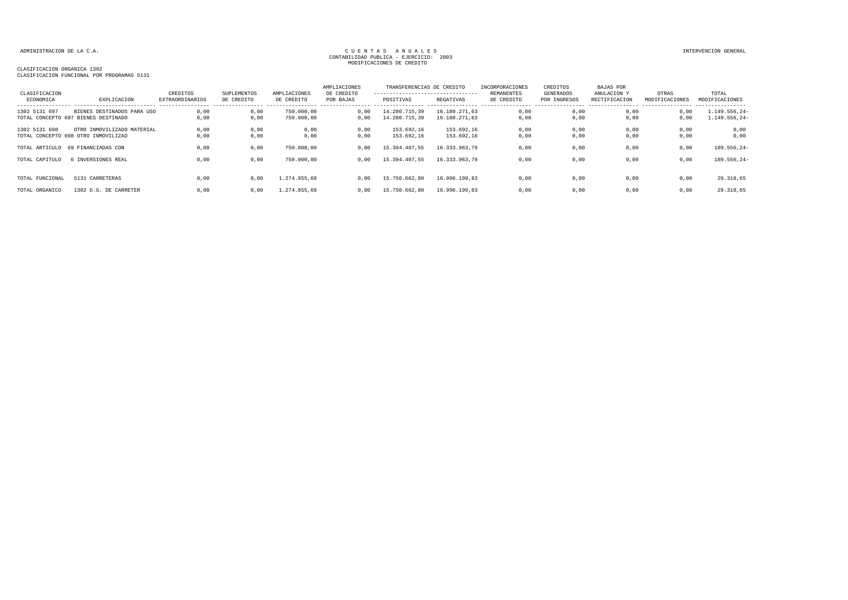| CLASIFICACION   |                                     | CREDITOS               | SUPLEMENTOS | AMPLIACIONES | AMPLIACIONES<br>DE CREDITO | TRANSFERENCIAS DE CREDITO<br>---------------------------------- |               | INCORPORACIONES<br><b>REMANENTES</b> | CREDITOS<br>GENERADOS | <b>BAJAS POR</b><br>ANULACION Y | OTRAS          | TOTAL                              |
|-----------------|-------------------------------------|------------------------|-------------|--------------|----------------------------|-----------------------------------------------------------------|---------------|--------------------------------------|-----------------------|---------------------------------|----------------|------------------------------------|
| ECONOMICA       | EXPLICACION                         | <b>EXTRAORDINARIOS</b> | DE CREDITO  | DE CREDITO   | POR BAJAS                  | POSITIVAS                                                       | NEGATIVAS     | DE CREDITO                           | POR INGRESOS          | RECTIFICACION                   | MODIFICACIONES | MODIFICACIONES<br>---------------- |
| 1302 5131 697   | BIENES DESTINADOS PARA USO          | 0,00                   | 0,00        | 750.000,00   | 0,00                       | 14.280.715,39                                                   | 16.180.271.63 | 0,00                                 | 0,00                  | 0,00                            | 0,00           | $1.149.556, 24-$                   |
|                 | TOTAL CONCEPTO 697 BIENES DESTINADO | 0,00                   | 0,00        | 750.000,00   | 0.00                       | 14.280.715,39                                                   | 16.180.271,63 | 0,00                                 | 0,00                  | 0.00                            | 0,00           | $1.149.556, 24-$                   |
| 1302 5131 698   | OTRO INMOVILIZADO MATERIAL          | 0,00                   | 0,00        | 0,00         | 0,00                       | 153.692.16                                                      | 153.692,16    | 0,00                                 | 0,00                  | 0.00                            | 0,00           | 0,00                               |
|                 | TOTAL CONCEPTO 698 OTRO INMOVILIZAD | 0,00                   | 0,00        | 0,00         | 0,00                       | 153.692,16                                                      | 153.692,16    | 0,00                                 | 0,00                  | 0.00                            | 0,00           | 0,00                               |
| TOTAL ARTICULO  | 69 FINANCIADAS CON                  | 0,00                   | 0,00        | 750.000,00   | 0,00                       | 15.394.407,55                                                   | 16.333.963,79 | 0,00                                 | 0,00                  | 0,00                            | 0,00           | 189.556,24-                        |
| TOTAL CAPITULO  | 6 INVERSIONES REAL                  | 0,00                   | 0.00        | 750.000,00   | 0.00                       | 15.394.407.55                                                   | 16.333.963.79 | 0,00                                 | 0,00                  | 0,00                            | 0,00           | 189.556,24-                        |
|                 |                                     |                        |             |              |                            |                                                                 |               |                                      |                       |                                 |                |                                    |
| TOTAL FUNCIONAL | 5131 CARRETERAS                     | 0.00                   | 0.00        | 1.274.855.68 | 0.00                       | 15,750,662,80                                                   | 16.996.199.83 | 0,00                                 | 0,00                  | 0.00                            | 0,00           | 29.318,65                          |
| TOTAL ORGANICO  | 1302 D.G. DE CARRETER               | 0.00                   | 0.00        | 1.274.855.68 | 0.00                       | 15.750.662.80                                                   | 16,996,199,83 | 0,00                                 | 0,00                  | 0.00                            | 0,00           | 29.318.65                          |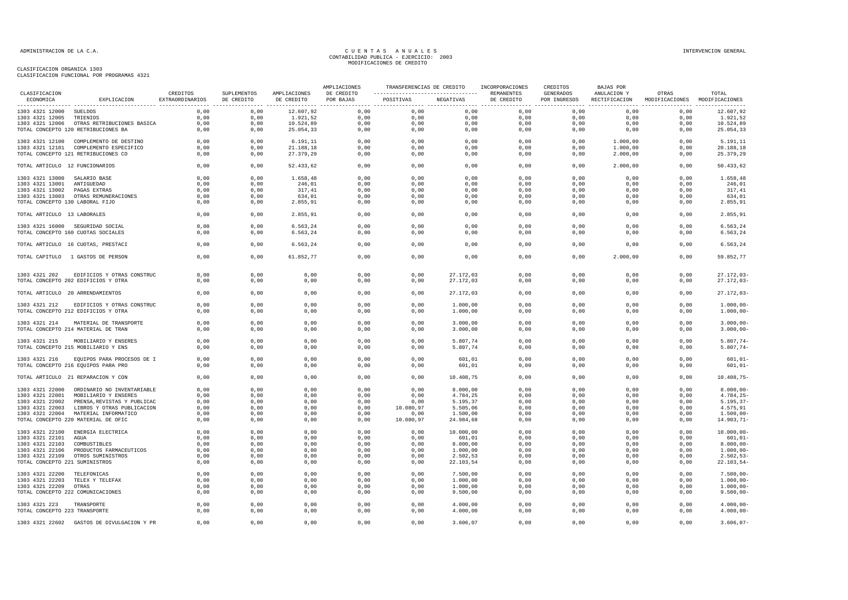| CLASIFICACION                   |                                                                                 | CREDITOS        | SUPLEMENTOS  | AMPLIACIONES | AMPLIACIONES<br>DE CREDITO | TRANSFERENCIAS DE CREDITO<br>---------------------------------- |                        | INCORPORACIONES<br>REMANENTES | CREDITOS<br>GENERADOS | <b>BAJAS POR</b><br>ANULACION Y | OTRAS                         | TOTAL                          |
|---------------------------------|---------------------------------------------------------------------------------|-----------------|--------------|--------------|----------------------------|-----------------------------------------------------------------|------------------------|-------------------------------|-----------------------|---------------------------------|-------------------------------|--------------------------------|
| ECONOMICA                       | EXPLICACION                                                                     | EXTRAORDINARIOS | DE CREDITO   | DE CREDITO   | POR BAJAS                  | POSITIVAS NEGATIVAS                                             |                        | DE CREDITO                    | POR INGRESOS          | RECTIFICACION                   | MODIFICACIONES MODIFICACIONES |                                |
| 1303 4321 12000 SUELDOS         |                                                                                 | 0.00            | 0.00         | 12.607.92    |                            | $0.00$ 0.00                                                     | 0.00                   | 0.00                          | 0.00                  | 0.00                            | 0.00                          | 12.607,92                      |
| 1303 4321 12005 TRIENIOS        |                                                                                 | 0,00            | 0,00         | 1.921,52     | 0,00                       | 0,00                                                            | 0,00                   | 0.00                          | 0.00                  | 0.00                            | 0.00                          | 1.921,52                       |
|                                 | 1303 4321 12006 OTRAS RETRIBUCIONES BASICA                                      | 0, 00           | 0,00         | 10.524,89    | 0,00                       | 0,00                                                            | 0,00                   | 0,00                          | 0,00                  | 0,00                            | 0,00                          | 10.524,89                      |
|                                 | TOTAL CONCEPTO 120 RETRIBUCIONES BA                                             | 0,00            | 0,00         | 25.054,33    | 0,00                       | 0,00                                                            | 0,00                   | 0,00                          | 0,00                  | 0,00                            | 0,00                          | 25.054,33                      |
|                                 | 1303 4321 12100 COMPLEMENTO DE DESTINO                                          | 0,00            | 0,00         | 6.191, 11    | 0,00                       | 0,00                                                            | 0,00                   | 0,00                          | 0,00                  | 1.000,00                        | 0,00                          | 5.191,11                       |
|                                 | 1303 4321 12101 COMPLEMENTO ESPECIFICO                                          | 0,00            | 0,00         | 21.188,18    | 0,00                       | 0,00                                                            | 0,00                   | 0,00                          | 0,00                  | 1.000,00                        | 0,00                          | 20.188,18                      |
|                                 | TOTAL CONCEPTO 121 RETRIBUCIONES CO                                             | 0,00            | 0,00         | 27.379,29    | 0,00                       | 0,00                                                            | 0,00                   | 0,00                          | 0,00                  | 2.000,00                        | 0,00                          | 25.379,29                      |
| TOTAL ARTICULO 12 FUNCIONARIOS  |                                                                                 | 0.00            | 0,00         | 52.433,62    | 0,00                       | 0,00                                                            | 0,00                   | 0,00                          | 0.00                  | 2.000,00                        | 0.00                          | 50.433.62                      |
| 1303 4321 13000 SALARIO BASE    |                                                                                 | 0,00            | 0,00         | 1.658,48     | 0,00                       | 0,00                                                            | 0,00                   | 0,00                          | 0,00                  | 0,00                            | 0,00                          | 1.658,48                       |
| 1303 4321 13001 ANTIGUEDAD      |                                                                                 | 0,00            | 0,00         | 246,01       | 0,00                       | 0,00                                                            | 0,00                   | 0,00                          | 0,00                  | 0,00                            | 0,00                          | 246,01                         |
| 1303 4321 13002 PAGAS EXTRAS    |                                                                                 | 0,00            | 0,00         | 317,41       | 0,00                       | 0,00                                                            | 0,00                   | 0,00                          | 0,00                  | 0,00                            | 0,00                          | 317,41                         |
|                                 | 1303 4321 13003 OTRAS REMUNERACIONES                                            | 0,00            | 0,00         | 634,01       | 0,00                       | 0,00                                                            | 0,00                   | 0,00                          | 0,00                  | 0,00                            | 0,00                          | 634,01                         |
| TOTAL CONCEPTO 130 LABORAL FIJO |                                                                                 | 0,00            | 0,00         | 2.855,91     | 0,00                       | 0,00                                                            | 0,00                   | 0,00                          | 0,00                  | 0,00                            | 0,00                          | 2.855,91                       |
| TOTAL ARTICULO 13 LABORALES     |                                                                                 | 0,00            | 0,00         | 2.855,91     | 0,00                       | 0,00                                                            | 0,00                   | 0,00                          | 0,00                  | 0,00                            | 0,00                          | 2.855,91                       |
|                                 | 1303 4321 16000 SEGURIDAD SOCIAL                                                | 0,00            | 0.00         | 6.563,24     | 0,00                       | 0.00                                                            | 0,00                   | 0.00                          | 0.00                  | 0.00                            | 0,00                          | 6.563,24                       |
|                                 | TOTAL CONCEPTO 160 CUOTAS SOCIALES                                              | 0,00            | 0,00         | 6.563,24     | 0,00                       | 0,00                                                            | 0,00                   | 0,00                          | 0,00                  | 0,00                            | 0,00                          | 6.563,24                       |
|                                 | TOTAL ARTICULO 16 CUOTAS, PRESTACI                                              | 0,00            | 0,00         | 6.563,24     | 0,00                       | 0,00                                                            | 0,00                   | 0,00                          | 0,00                  | 0,00                            | 0,00                          | 6.563,24                       |
|                                 | TOTAL CAPITULO 1 GASTOS DE PERSON                                               | 0,00            | 0,00         | 61.852,77    | 0,00                       | 0,00                                                            | 0,00                   | 0,00                          | 0,00                  | 2.000,00                        | 0,00                          | 59.852,77                      |
|                                 |                                                                                 |                 |              |              |                            |                                                                 |                        |                               |                       |                                 |                               |                                |
|                                 | 1303 4321 202 EDIFICIOS Y OTRAS CONSTRUC<br>TOTAL CONCEPTO 202 EDIFICIOS Y OTRA | 0,00<br>0,00    | 0,00<br>0,00 | 0,00<br>0,00 | 0,00<br>0,00               | 0,00<br>0,00                                                    | 27.172,03<br>27.172,03 | 0,00<br>0,00                  | 0,00<br>0,00          | 0,00<br>0,00                    | 0,00<br>0,00                  | $27.172.03 -$<br>$27.172,03-$  |
|                                 | TOTAL ARTICULO 20 ARRENDAMIENTOS                                                | 0,00            | 0,00         | 0,00         | 0,00                       | 0,00                                                            | 27.172,03              | 0,00                          | 0,00                  | 0,00                            | 0,00                          | $27.172.03 -$                  |
|                                 |                                                                                 |                 |              |              |                            |                                                                 |                        |                               |                       |                                 |                               |                                |
| 1303 4321 212                   | EDIFICIOS Y OTRAS CONSTRUC<br>TOTAL CONCEPTO 212 EDIFICIOS Y OTRA               | 0,00<br>0,00    | 0,00<br>0,00 | 0,00<br>0,00 | 0,00<br>0,00               | 0,00<br>0,00                                                    | 1.000,00<br>1.000,00   | 0,00<br>0,00                  | 0,00<br>0,00          | 0,00<br>0,00                    | 0,00<br>0,00                  | $1.000,00 -$<br>$1.000,00-$    |
|                                 |                                                                                 |                 |              |              |                            |                                                                 |                        |                               |                       |                                 |                               |                                |
|                                 | 1303 4321 214 MATERIAL DE TRANSPORTE<br>TOTAL CONCEPTO 214 MATERIAL DE TRAN     | 0,00<br>0,00    | 0,00<br>0,00 | 0,00<br>0,00 | 0,00<br>0,00               | 0,00<br>0,00                                                    | 3.000,00               | 0,00<br>0,00                  | 0,00<br>0,00          | 0,00<br>0,00                    | 0,00<br>0,00                  | $3.000,00 -$                   |
|                                 |                                                                                 |                 |              |              |                            |                                                                 | 3.000,00               |                               |                       |                                 |                               | $3.000,00 -$                   |
|                                 | 1303 4321 215 MOBILIARIO Y ENSERES                                              | 0,00            | 0,00         | 0,00         | 0,00                       | 0,00                                                            | 5.807,74               | 0,00                          | 0,00                  | 0,00                            | 0,00                          | $5.807,74-$                    |
|                                 | TOTAL CONCEPTO 215 MOBILIARIO Y ENS                                             | 0,00            | 0,00         | 0,00         | 0,00                       | 0,00                                                            | 5.807,74               | 0,00                          | 0,00                  | 0,00                            | 0,00                          | $5.807,74-$                    |
|                                 | 1303 4321 216 EQUIPOS PARA PROCESOS DE I                                        | 0,00            | 0,00         | 0,00         | 0,00                       | 0,00                                                            | 601,01                 | 0,00                          | 0,00                  | 0,00                            | 0,00                          | $601,01-$                      |
|                                 | TOTAL CONCEPTO 216 EQUIPOS PARA PRO                                             | 0,00            | 0,00         | 0,00         | 0,00                       | 0,00                                                            | 601,01                 | 0,00                          | 0,00                  | 0,00                            | 0,00                          | $601,01-$                      |
|                                 | TOTAL ARTICULO 21 REPARACION Y CON                                              | 0,00            | 0,00         | 0,00         | 0,00                       | 0,00                                                            | 10.408,75              | 0,00                          | 0,00                  | 0,00                            | 0,00                          | $10.408,75 -$                  |
|                                 |                                                                                 |                 |              |              |                            |                                                                 |                        |                               |                       |                                 |                               |                                |
|                                 | 1303 4321 22000 ORDINARIO NO INVENTARIABLE                                      | 0.00            | 0,00         | 0,00         | 0,00                       | 0.00                                                            | 8.000,00               | 0,00                          | 0.00                  | 0.00                            | 0,00                          | $8.000.00 -$                   |
|                                 | 1303 4321 22001 MOBILIARIO Y ENSERES                                            | 0,00            | 0,00         | 0,00         | 0,00                       | 0,00                                                            | 4.784,25               | 0,00                          | 0,00                  | 0,00                            | 0,00                          | $4.784, 25 -$                  |
|                                 | 1303 4321 22002 PRENSA, REVISTAS Y PUBLICAC                                     | 0,00            | 0,00         | 0,00         | 0,00                       | 0,00                                                            | 5.195,37               | 0,00                          | 0,00                  | 0,00                            | 0,00                          | $5.195, 37-$                   |
|                                 | 1303 4321 22003 LIBROS Y OTRAS PUBLICACION                                      | 0,00            | 0,00         | 0,00         | 0,00                       | 10.080,97                                                       | 5.505,06               | 0,00                          | 0,00                  | 0,00                            | 0,00                          | 4.575,91                       |
|                                 | 1303 4321 22004 MATERIAL INFORMATICO<br>TOTAL CONCEPTO 220 MATERIAL DE OFIC     | 0,00<br>0,00    | 0,00<br>0,00 | 0,00<br>0,00 | 0,00<br>0,00               | 0,00<br>10.080,97                                               | 1.500,00<br>24.984,68  | 0,00<br>0,00                  | 0,00<br>0,00          | 0,00<br>0,00                    | 0,00<br>0,00                  | $1.500,00 -$<br>$14.903, 71 -$ |
|                                 |                                                                                 |                 |              |              |                            |                                                                 |                        |                               |                       |                                 |                               |                                |
|                                 | 1303 4321 22100 ENERGIA ELECTRICA                                               | 0,00            | 0,00         | 0,00         | 0,00                       | 0,00                                                            | 10.000,00              | 0,00                          | 0,00                  | 0,00                            | 0,00                          | $10.000,00-$                   |
| 1303 4321 22101 AGUA            |                                                                                 | 0,00            | 0,00         | 0,00         | 0,00                       | 0,00                                                            | 601,01                 | 0,00                          | 0,00                  | 0,00                            | 0,00                          | $601,01-$                      |
| 1303 4321 22103 COMBUSTIBLES    |                                                                                 | 0,00            | 0.00         | 0,00         | 0,00                       | 0.00                                                            | 8.000,00               | 0,00                          | 0.00                  | 0.00                            | 0.00                          | $8.000.00 -$                   |
|                                 | 1303 4321 22106 PRODUCTOS FARMACEUTICOS                                         | 0,00            | 0,00         | 0,00         | 0,00                       | 0,00                                                            | 1.000,00               | 0,00                          | 0,00                  | 0,00                            | 0,00                          | $1.000,00 -$                   |
|                                 | 1303 4321 22109 OTROS SUMINISTROS                                               | 0,00            | 0,00         | 0,00         | 0,00                       | 0,00                                                            | 2.502,53               | 0,00                          | 0,00                  | 0,00                            | 0,00                          | $2.502, 53-$                   |
| TOTAL CONCEPTO 221 SUMINISTROS  |                                                                                 | 0,00            | 0,00         | 0,00         | 0,00                       | 0,00                                                            | 22.103,54              | 0,00                          | 0,00                  | 0,00                            | 0,00                          | $22.103,54-$                   |
| 1303 4321 22200 TELEFONICAS     |                                                                                 | 0,00            | 0,00         | 0,00         | 0,00                       | 0,00                                                            | 7.500,00               | 0,00                          | 0,00                  | 0,00                            | 0,00                          | $7.500,00 -$                   |
|                                 | 1303 4321 22203 TELEX Y TELEFAX                                                 | 0,00            | 0,00         | 0,00         | 0,00                       | 0,00                                                            | 1.000,00               | 0,00                          | 0,00                  | 0,00                            | 0,00                          | $1.000,00-$                    |
| 1303 4321 22209 OTRAS           |                                                                                 | 0,00            | 0,00         | 0,00         | 0,00                       | 0,00                                                            | 1.000,00               | 0,00                          | 0,00                  | 0,00                            | 0,00                          | $1.000,00 -$                   |
|                                 | TOTAL CONCEPTO 222 COMUNICACIONES                                               | 0,00            | 0,00         | 0,00         | 0,00                       | 0,00                                                            | 9.500,00               | 0,00                          | 0,00                  | 0,00                            | 0,00                          | $9.500,00 -$                   |
| 1303 4321 223                   | TRANSPORTE                                                                      | 0,00            | 0,00         | 0,00         | 0,00                       | 0,00                                                            | 4.000,00               | 0,00                          | 0,00                  | 0,00                            | 0,00                          | $4.000,00-$                    |
| TOTAL CONCEPTO 223 TRANSPORTE   |                                                                                 | 0,00            | 0,00         | 0,00         | 0,00                       | 0,00                                                            | 4.000,00               | 0,00                          | 0,00                  | 0,00                            | 0,00                          | $4.000,00 -$                   |
|                                 | 1303 4321 22602 GASTOS DE DIVULGACION Y PR                                      | 0,00            | 0,00         | 0,00         | 0,00                       | 0,00                                                            | 3.606,07               | 0,00                          | 0,00                  | 0,00                            | 0,00                          | $3.606,07-$                    |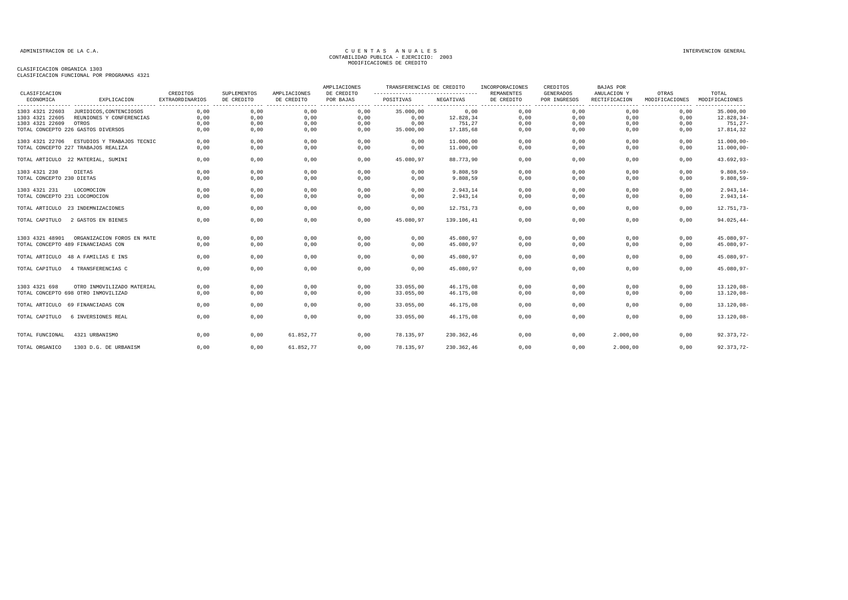| CLASIFICACION                 |                                     | CREDITOS               | SUPLEMENTOS | AMPLIACIONES | AMPLIACIONES<br>DE CREDITO | TRANSFERENCIAS DE CREDITO<br>--------------------------------- |            | INCORPORACIONES<br><b>REMANENTES</b> | CREDITOS<br><b>GENERADOS</b> | <b>BAJAS POR</b><br>ANULACION Y | OTRAS          | TOTAL          |
|-------------------------------|-------------------------------------|------------------------|-------------|--------------|----------------------------|----------------------------------------------------------------|------------|--------------------------------------|------------------------------|---------------------------------|----------------|----------------|
| ECONOMICA                     | EXPLICACION                         | <b>EXTRAORDINARIOS</b> | DE CREDITO  | DE CREDITO   | POR BAJAS                  | POSITIVAS                                                      | NEGATIVAS  | DE CREDITO                           | POR INGRESOS                 | RECTIFICACION                   | MODIFICACIONES | MODIFICACIONES |
| 1303 4321 22603               | JURIDICOS, CONTENCIOSOS             | 0,00                   | 0,00        | 0,00         | 0,00                       | 35.000,00                                                      | 0,00       | 0,00                                 | 0,00                         | 0,00                            | 0,00           | 35.000,00      |
| 1303 4321 22605               | REUNIONES Y CONFERENCIAS            | 0.00                   | 0,00        | 0,00         | 0,00                       | 0,00                                                           | 12.828,34  | 0,00                                 | 0,00                         | 0,00                            | 0,00           | $12.828, 34-$  |
| 1303 4321 22609               | OTROS                               | 0,00                   | 0,00        | 0,00         | 0,00                       | 0,00                                                           | 751,27     | 0,00                                 | 0,00                         | 0,00                            | 0,00           | $751, 27 -$    |
|                               | TOTAL CONCEPTO 226 GASTOS DIVERSOS  | 0,00                   | 0,00        | 0,00         | 0,00                       | 35.000,00                                                      | 17.185,68  | 0,00                                 | 0,00                         | 0,00                            | 0,00           | 17.814,32      |
| 1303 4321 22706               | ESTUDIOS Y TRABAJOS TECNIC          | 0,00                   | 0,00        | 0,00         | 0,00                       | 0,00                                                           | 11.000,00  | 0,00                                 | 0,00                         | 0,00                            | 0,00           | $11.000,00 -$  |
|                               | TOTAL CONCEPTO 227 TRABAJOS REALIZA | 0,00                   | 0,00        | 0,00         | 0,00                       | 0,00                                                           | 11.000,00  | 0,00                                 | 0,00                         | 0,00                            | 0,00           | $11.000,00 -$  |
|                               | TOTAL ARTICULO 22 MATERIAL, SUMINI  | 0,00                   | 0,00        | 0,00         | 0,00                       | 45.080,97                                                      | 88.773,90  | 0,00                                 | 0,00                         | 0,00                            | 0,00           | $43.692,93-$   |
| 1303 4321 230                 | DIETAS                              | 0,00                   | 0,00        | 0,00         | 0,00                       | 0,00                                                           | 9.808,59   | 0,00                                 | 0,00                         | 0,00                            | 0,00           | $9.808, 59 -$  |
| TOTAL CONCEPTO 230 DIETAS     |                                     | 0,00                   | 0,00        | 0,00         | 0,00                       | 0,00                                                           | 9.808,59   | 0,00                                 | 0,00                         | 0,00                            | 0,00           | $9.808, 59 -$  |
| 1303 4321 231                 | LOCOMOCION                          | 0,00                   | 0,00        | 0,00         | 0,00                       | 0,00                                                           | 2.943,14   | 0,00                                 | 0,00                         | 0,00                            | 0,00           | $2.943, 14-$   |
| TOTAL CONCEPTO 231 LOCOMOCION |                                     | 0,00                   | 0,00        | 0,00         | 0,00                       | 0,00                                                           | 2.943,14   | 0,00                                 | 0,00                         | 0,00                            | 0,00           | $2.943, 14-$   |
|                               | TOTAL ARTICULO 23 INDEMNIZACIONES   | 0,00                   | 0,00        | 0,00         | 0,00                       | 0,00                                                           | 12.751,73  | 0,00                                 | 0,00                         | 0,00                            | 0,00           | 12.751,73-     |
| TOTAL CAPITULO                | 2 GASTOS EN BIENES                  | 0.00                   | 0,00        | 0,00         | 0,00                       | 45.080.97                                                      | 139.106.41 | 0,00                                 | 0.00                         | 0.00                            | 0.00           | $94.025, 44-$  |
| 1303 4321 48901               | ORGANIZACION FOROS EN MATE          | 0,00                   | 0,00        | 0,00         | 0,00                       | 0,00                                                           | 45.080,97  | 0,00                                 | 0,00                         | 0,00                            | 0,00           | 45.080,97-     |
|                               | TOTAL CONCEPTO 489 FINANCIADAS CON  | 0,00                   | 0,00        | 0,00         | 0,00                       | 0,00                                                           | 45.080,97  | 0,00                                 | 0,00                         | 0,00                            | 0,00           | 45.080,97-     |
|                               | TOTAL ARTICULO 48 A FAMILIAS E INS  | 0,00                   | 0,00        | 0,00         | 0,00                       | 0,00                                                           | 45.080,97  | 0,00                                 | 0,00                         | 0,00                            | 0,00           | 45.080,97-     |
| TOTAL CAPITULO                | 4 TRANSFERENCIAS C                  | 0.00                   | 0,00        | 0,00         | 0,00                       | 0,00                                                           | 45.080,97  | 0,00                                 | 0,00                         | 0,00                            | 0,00           | 45.080,97-     |
| 1303 4321 698                 | OTRO INMOVILIZADO MATERIAL          | 0.00                   | 0.00        | 0.00         | 0,00                       | 33.055.00                                                      | 46.175,08  | 0,00                                 | 0.00                         | 0.00                            | 0.00           | $13.120,08 -$  |
|                               | TOTAL CONCEPTO 698 OTRO INMOVILIZAD | 0,00                   | 0,00        | 0,00         | 0,00                       | 33.055,00                                                      | 46.175,08  | 0,00                                 | 0,00                         | 0,00                            | 0,00           | $13.120.08 -$  |
|                               | TOTAL ARTICULO 69 FINANCIADAS CON   | 0.00                   | 0,00        | 0,00         | 0,00                       | 33.055,00                                                      | 46.175,08  | 0,00                                 | 0,00                         | 0,00                            | 0,00           | $13.120,08 -$  |
| TOTAL CAPITULO                | 6 INVERSIONES REAL                  | 0.00                   | 0.00        | 0,00         | 0.00                       | 33.055,00                                                      | 46.175.08  | 0,00                                 | 0,00                         | 0.00                            | 0.00           | $13.120,08 -$  |
| TOTAL FUNCIONAL               | 4321 URBANISMO                      | 0,00                   | 0,00        | 61.852,77    | 0,00                       | 78.135,97                                                      | 230.362,46 | 0,00                                 | 0,00                         | 2.000,00                        | 0,00           | 92.373,72-     |
|                               |                                     |                        |             |              |                            |                                                                |            |                                      |                              |                                 |                |                |
| TOTAL ORGANICO                | 1303 D.G. DE URBANISM               | 0,00                   | 0,00        | 61.852,77    | 0,00                       | 78.135.97                                                      | 230.362,46 | 0,00                                 | 0,00                         | 2.000,00                        | 0,00           | 92.373,72-     |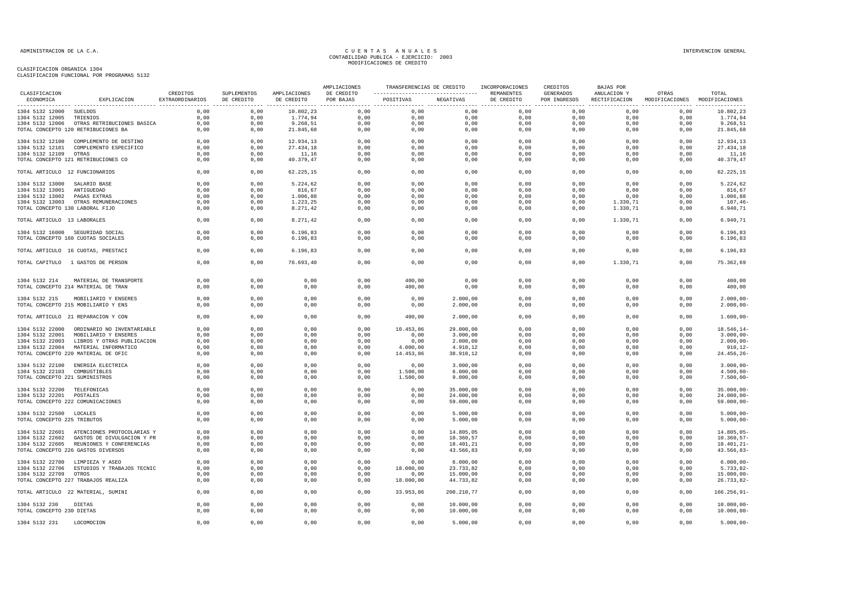|                                 |                                            |                             |                           |                            | AMPLIACIONES            | TRANSFERENCIAS DE CREDITO |            | INCORPORACIONES          | CREDITOS                  | <b>BAJAS POR</b>             |                                        |                 |
|---------------------------------|--------------------------------------------|-----------------------------|---------------------------|----------------------------|-------------------------|---------------------------|------------|--------------------------|---------------------------|------------------------------|----------------------------------------|-----------------|
| CLASIFICACION<br>ECONOMICA      | EXPLICACION                                | CREDITOS<br>EXTRAORDINARIOS | SUPLEMENTOS<br>DE CREDITO | AMPLIACIONES<br>DE CREDITO | DE CREDITO<br>POR BAJAS | POSITIVAS NEGATIVAS       |            | REMANENTES<br>DE CREDITO | GENERADOS<br>POR INGRESOS | ANULACION Y<br>RECTIFICACION | OTRAS<br>MODIFICACIONES MODIFICACIONES | TOTAL           |
| 1304 5132 12000 SUELDOS         |                                            | 0,00                        | 0,00                      | 10.802,23                  | 0,00                    | 0,00                      | 0,00       | 0,00                     | 0,00                      | 0,00                         | 0,00                                   | 10.802,23       |
| 1304 5132 12005 TRIENIOS        |                                            | 0,00                        | 0,00                      | 1.774,94                   | 0,00                    | 0,00                      | 0,00       | 0,00                     | 0,00                      | 0,00                         | 0,00                                   | 1.774,94        |
|                                 | 1304 5132 12006 OTRAS RETRIBUCIONES BASICA | 0,00                        | 0,00                      | 9.268,51                   | 0,00                    | 0,00                      | 0,00       | 0,00                     | 0,00                      | 0,00                         | 0,00                                   | 9.268,51        |
|                                 | TOTAL CONCEPTO 120 RETRIBUCIONES BA        | 0,00                        | 0,00                      | 21.845,68                  | 0,00                    | 0,00                      | 0,00       | 0,00                     | 0,00                      | 0,00                         | 0,00                                   | 21.845,68       |
|                                 | 1304 5132 12100 COMPLEMENTO DE DESTINO     | 0,00                        | 0,00                      | 12.934,13                  | 0,00                    | 0,00                      | 0,00       | 0,00                     | 0,00                      | 0,00                         | 0,00                                   | 12.934,13       |
|                                 | 1304 5132 12101 COMPLEMENTO ESPECIFICO     | 0,00                        | 0,00                      | 27.434,18                  | 0,00                    | 0,00                      | 0,00       | 0,00                     | 0,00                      | 0,00                         | 0,00                                   | 27.434,18       |
| 1304 5132 12109 OTRAS           |                                            | 0,00                        | 0,00                      | 11,16                      | 0,00                    | 0,00                      | 0,00       | 0,00                     | 0,00                      | 0,00                         | 0,00                                   | 11,16           |
|                                 | TOTAL CONCEPTO 121 RETRIBUCIONES CO        | 0,00                        | 0,00                      | 40.379,47                  | 0,00                    | 0,00                      | 0,00       | 0,00                     | 0,00                      | 0,00                         | 0,00                                   | 40.379,47       |
| TOTAL ARTICULO 12 FUNCIONARIOS  |                                            | 0.00                        | 0,00                      | 62.225, 15                 | 0,00                    | 0,00                      | 0,00       | 0,00                     | 0.00                      | 0.00                         | 0.00                                   | 62.225.15       |
| 1304 5132 13000 SALARIO BASE    |                                            | 0,00                        | 0,00                      | 5.224,62                   | 0,00                    | 0,00                      | 0,00       | 0,00                     | 0,00                      | 0,00                         | 0,00                                   | 5.224,62        |
| 1304 5132 13001 ANTIGUEDAD      |                                            | 0,00                        | 0,00                      | 816,67                     | 0,00                    | 0,00                      | 0,00       | 0,00                     | 0,00                      | 0,00                         | 0,00                                   | 816,67          |
| 1304 5132 13002 PAGAS EXTRAS    |                                            | 0,00                        | 0,00                      | 1.006,88                   | 0,00                    | 0,00                      | 0,00       | 0,00                     | 0,00                      | 0,00                         | 0,00                                   | 1.006,88        |
|                                 | 1304 5132 13003 OTRAS REMUNERACIONES       | 0,00                        | 0,00                      | 1.223,25                   | 0,00                    | 0,00                      | 0,00       | 0,00                     | 0,00                      | 1.330,71                     | 0,00                                   | 107,46          |
| TOTAL CONCEPTO 130 LABORAL FIJO |                                            | 0,00                        | 0,00                      | 8.271, 42                  | 0,00                    | 0,00                      | 0,00       | 0,00                     | 0,00                      | 1.330,71                     | 0,00                                   | 6.940,71        |
| TOTAL ARTICULO 13 LABORALES     |                                            | 0,00                        | 0,00                      | 8.271,42                   | 0,00                    | 0,00                      | 0,00       | 0,00                     | 0,00                      | 1.330,71                     | 0,00                                   | 6.940,71        |
|                                 |                                            |                             |                           |                            |                         |                           |            |                          |                           |                              |                                        |                 |
|                                 | 1304 5132 16000 SEGURIDAD SOCIAL           | 0,00                        | 0,00                      | 6.196,83                   | 0,00                    | 0,00                      | 0,00       | 0,00                     | 0,00                      | 0,00                         | 0,00                                   | 6.196,83        |
|                                 | TOTAL CONCEPTO 160 CUOTAS SOCIALES         | 0,00                        | 0,00                      | 6.196,83                   | 0,00                    | 0,00                      | 0,00       | 0,00                     | 0,00                      | 0,00                         | 0,00                                   | 6.196,83        |
|                                 | TOTAL ARTICULO 16 CUOTAS, PRESTACI         | 0,00                        | 0,00                      | 6.196,83                   | 0,00                    | 0,00                      | 0,00       | 0,00                     | 0,00                      | 0,00                         | 0,00                                   | 6.196,83        |
|                                 | TOTAL CAPITULO 1 GASTOS DE PERSON          | 0,00                        | 0,00                      | 76.693,40                  | 0,00                    | 0,00                      | 0,00       | 0,00                     | 0,00                      | 1.330,71                     | 0,00                                   | 75.362,69       |
| 1304 5132 214                   | MATERIAL DE TRANSPORTE                     | 0,00                        | 0,00                      | 0,00                       | 0,00                    | 400,00                    | 0,00       | 0,00                     | 0,00                      | 0,00                         | 0,00                                   | 400,00          |
|                                 | TOTAL CONCEPTO 214 MATERIAL DE TRAN        | 0,00                        | 0,00                      | 0,00                       | 0,00                    | 400,00                    | 0,00       | 0,00                     | 0,00                      | 0,00                         | 0,00                                   | 400,00          |
|                                 |                                            |                             |                           |                            |                         |                           |            |                          |                           |                              |                                        |                 |
|                                 | 1304 5132 215 MOBILIARIO Y ENSERES         | 0,00                        | 0,00                      | 0,00                       | 0,00                    | 0,00                      | 2.000,00   | 0,00                     | 0,00                      | 0,00                         | 0,00                                   | $2.000,00 -$    |
|                                 | TOTAL CONCEPTO 215 MOBILIARIO Y ENS        | 0.00                        | 0,00                      | 0,00                       | 0.00                    | 0.00                      | 2.000,00   | 0,00                     | 0.00                      | 0.00                         | 0.00                                   | $2.000,00 -$    |
|                                 | TOTAL ARTICULO 21 REPARACION Y CON         | 0,00                        | 0,00                      | 0,00                       | 0,00                    | 400,00                    | 2.000,00   | 0,00                     | 0,00                      | 0,00                         | 0,00                                   | $1.600,00 -$    |
|                                 | 1304 5132 22000 ORDINARIO NO INVENTARIABLE | 0,00                        | 0,00                      | 0,00                       | 0,00                    | 10.453,86                 | 29.000,00  | 0,00                     | 0,00                      | 0,00                         | 0,00                                   | $18.546, 14-$   |
| 1304 5132 22001                 | MOBILIARIO Y ENSERES                       | 0,00                        | 0,00                      | 0,00                       | 0,00                    | 0,00                      | 3.000,00   | 0,00                     | 0,00                      | 0,00                         | 0,00                                   | $3.000,00 -$    |
|                                 | 1304 5132 22003 LIBROS Y OTRAS PUBLICACION | 0,00                        | 0,00                      | 0,00                       | 0,00                    | 0,00                      | 2.000,00   | 0,00                     | 0,00                      | 0,00                         | 0,00                                   | $2.000,00 -$    |
|                                 | 1304 5132 22004 MATERIAL INFORMATICO       | 0,00                        | 0,00                      | 0,00                       | 0,00                    | 4.000,00                  | 4.910,12   | 0,00                     | 0,00                      | 0,00                         | 0,00                                   | $910, 12-$      |
|                                 | TOTAL CONCEPTO 220 MATERIAL DE OFIC        | 0,00                        | 0,00                      | 0,00                       | 0,00                    | 14.453,86                 | 38.910,12  | 0,00                     | 0,00                      | 0,00                         | 0,00                                   | $24.456, 26 -$  |
|                                 | 1304 5132 22100 ENERGIA ELECTRICA          | 0,00                        | 0,00                      | 0,00                       | 0,00                    | 0,00                      | 3.000,00   | 0,00                     | 0,00                      | 0,00                         | 0,00                                   | $3.000,00 -$    |
| 1304 5132 22103 COMBUSTIBLES    |                                            | 0.00                        | 0.00                      | 0.00                       | 0,00                    | 1,500,00                  | 6.000,00   | 0.00                     | 0.00                      | 0.00                         | 0.00                                   | $4.500.00 -$    |
| TOTAL CONCEPTO 221 SUMINISTROS  |                                            | 0,00                        | 0,00                      | 0,00                       | 0,00                    | 1.500,00                  | 9.000,00   | 0,00                     | 0,00                      | 0,00                         | 0,00                                   | $7.500,00 -$    |
|                                 |                                            |                             |                           |                            |                         |                           |            |                          |                           |                              |                                        |                 |
| 1304 5132 22200 TELEFONICAS     |                                            | 0,00                        | 0,00                      | 0,00                       | 0,00                    | 0,00                      | 35.000,00  | 0,00                     | 0,00                      | 0,00                         | 0,00                                   | $35.000,00 -$   |
| 1304 5132 22201 POSTALES        |                                            | 0,00                        | 0,00                      | 0,00                       | 0,00                    | 0,00                      | 24.000,00  | 0,00                     | 0,00                      | 0,00                         | 0,00                                   | $24.000,00 -$   |
|                                 | TOTAL CONCEPTO 222 COMUNICACIONES          | 0,00                        | 0,00                      | 0,00                       | 0,00                    | 0,00                      | 59.000,00  | 0,00                     | 0,00                      | 0,00                         | 0,00                                   | $59.000,00 -$   |
| 1304 5132 22500 LOCALES         |                                            | 0,00                        | 0,00                      | 0,00                       | 0,00                    | 0,00                      | 5.000,00   | 0,00                     | 0,00                      | 0,00                         | 0,00                                   | $5.000,00 -$    |
| TOTAL CONCEPTO 225 TRIBUTOS     |                                            | 0,00                        | 0,00                      | 0,00                       | 0,00                    | 0,00                      | 5.000,00   | 0,00                     | 0,00                      | 0,00                         | 0,00                                   | $5.000,00 -$    |
|                                 | 1304 5132 22601 ATENCIONES PROTOCOLARIAS Y | 0,00                        | 0,00                      | 0,00                       | 0,00                    | 0,00                      | 14.805,05  | 0,00                     | 0,00                      | 0,00                         | 0,00                                   | 14.805,05-      |
|                                 | 1304 5132 22602 GASTOS DE DIVULGACION Y PR | 0,00                        | 0,00                      | 0,00                       | 0,00                    | 0,00                      | 10.360,57  | 0,00                     | 0,00                      | 0,00                         | 0,00                                   | $10.360, 57 -$  |
|                                 | 1304 5132 22605 REUNIONES Y CONFERENCIAS   | 0.00                        | 0,00                      | 0,00                       | 0,00                    | 0,00                      | 18.401,21  | 0,00                     | 0,00                      | 0,00                         | 0,00                                   | $18.401, 21 -$  |
|                                 | TOTAL CONCEPTO 226 GASTOS DIVERSOS         | 0,00                        | 0,00                      | 0,00                       | 0,00                    | 0,00                      | 43.566,83  | 0,00                     | 0,00                      | 0,00                         | 0,00                                   | $43.566, 83 -$  |
|                                 |                                            |                             |                           |                            |                         |                           |            |                          |                           |                              |                                        |                 |
|                                 | 1304 5132 22700 LIMPIEZA Y ASEO            | 0,00                        | 0,00                      | 0,00                       | 0,00                    | 0,00                      | 6.000,00   | 0,00                     | 0,00                      | 0,00                         | 0,00                                   | $6.000,00 -$    |
|                                 | 1304 5132 22706 ESTUDIOS Y TRABAJOS TECNIC | 0,00                        | 0,00                      | 0,00                       | 0,00                    | 18.000,00                 | 23.733,82  | 0,00                     | 0,00                      | 0,00                         | 0,00                                   | 5.733,82-       |
| 1304 5132 22709 OTROS           |                                            | 0,00                        | 0,00                      | 0,00                       | 0,00                    | 0,00                      | 15.000,00  | 0,00                     | 0,00                      | 0,00                         | 0,00                                   | $15.000,00 -$   |
|                                 | TOTAL CONCEPTO 227 TRABAJOS REALIZA        | 0,00                        | 0,00                      | 0,00                       | 0,00                    | 18.000,00                 | 44.733,82  | 0,00                     | 0,00                      | 0,00                         | 0,00                                   | $26.733,82-$    |
|                                 | TOTAL ARTICULO 22 MATERIAL, SUMINI         | 0,00                        | 0,00                      | 0,00                       | 0,00                    | 33.953,86                 | 200.210,77 | 0,00                     | 0,00                      | 0,00                         | 0,00                                   | $166.256, 91 -$ |
| 1304 5132 230                   | <b>DIETAS</b>                              | 0,00                        | 0,00                      | 0,00                       | 0,00                    | 0,00                      | 10.000,00  | 0,00                     | 0,00                      | 0,00                         | 0,00                                   | $10.000,00-$    |
| TOTAL CONCEPTO 230 DIETAS       |                                            | 0,00                        | 0,00                      | 0,00                       | 0,00                    | 0,00                      | 10.000,00  | 0,00                     | 0,00                      | 0,00                         | 0,00                                   | $10.000,00-$    |
| 1304 5132 231                   | LOCOMOCION                                 | 0,00                        | 0,00                      | 0,00                       | 0,00                    | 0,00                      | 5.000,00   | 0,00                     | 0,00                      | 0,00                         | 0,00                                   | $5.000,00-$     |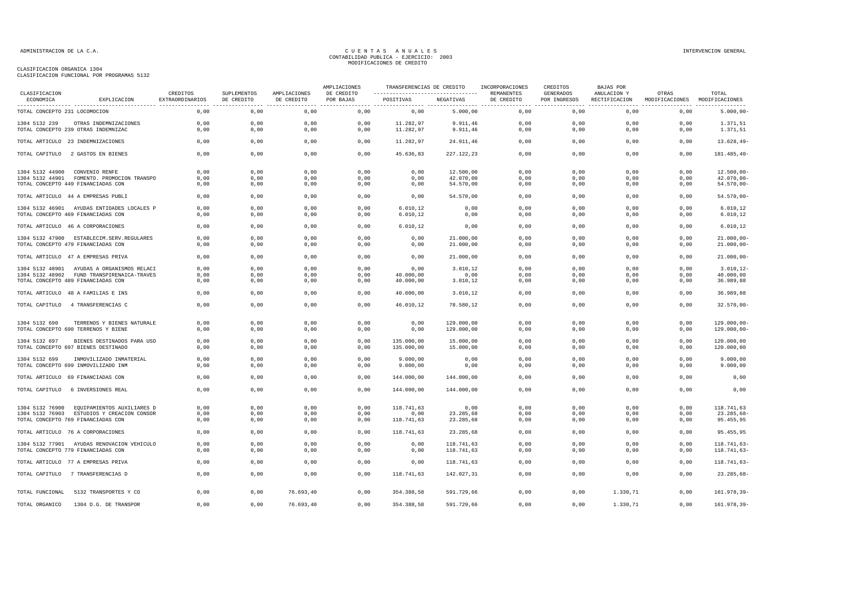| COMPUTE TOMOTON FUNCTONAL FOR FROGRAMMO JIJA |  |  |
|----------------------------------------------|--|--|
|                                              |  |  |
|                                              |  |  |

| CLASIFICACION                  |                                                                                 |                                    |                           |                            | AMPLIACIONES            |                     |                        | TRANSFERENCIAS DE CREDITO INCORPORACIONES | CREDITOS                  | <b>BAJAS POR</b> |                                                      |                        |
|--------------------------------|---------------------------------------------------------------------------------|------------------------------------|---------------------------|----------------------------|-------------------------|---------------------|------------------------|-------------------------------------------|---------------------------|------------------|------------------------------------------------------|------------------------|
| ECONOMICA                      | EXPLICACION                                                                     | CREDITOS<br><b>EXTRAORDINARIOS</b> | SUPLEMENTOS<br>DE CREDITO | AMPLIACIONES<br>DE CREDITO | DE CREDITO<br>POR BAJAS | POSITIVAS NEGATIVAS |                        | REMANENTES<br>DE CREDITO                  | GENERADOS<br>POR INGRESOS | ANULACION Y      | OTRAS<br>RECTIFICACION MODIFICACIONES MODIFICACIONES | TOTAL                  |
| TOTAL CONCEPTO 231 LOCOMOCION  |                                                                                 | 0,00                               | 0,00                      | 0,00                       | 0,00                    | 0,00                | 5.000,00               | 0,00                                      | 0,00                      | 0,00             | 0,00                                                 | $5.000,00 -$           |
| 1304 5132 239                  | OTRAS INDEMNIZACIONES                                                           | 0,00                               | 0,00                      | 0,00                       | 0,00                    | 11.282,97           | 9.911,46               | 0,00                                      | 0,00                      | 0.00             | 0,00                                                 | 1.371,51               |
|                                | TOTAL CONCEPTO 239 OTRAS INDEMNIZAC                                             | 0,00                               | 0,00                      | 0,00                       | 0,00                    | 11.282,97           | 9.911,46               | 0,00                                      | 0,00                      | 0,00             | 0,00                                                 | 1.371,51               |
|                                | TOTAL ARTICULO 23 INDEMNIZACIONES                                               | 0.00                               | 0.00                      | 0.00                       | 0.00                    | 11.282.97           | 24.911.46              | 0.00                                      | 0.00                      | 0.00             | 0.00                                                 | 13.628.49-             |
|                                | TOTAL CAPITULO 2 GASTOS EN BIENES                                               | 0,00                               | 0,00                      | 0,00                       | 0,00                    | 45.636,83           | 227.122,23             | 0,00                                      | 0,00                      | 0,00             | 0,00                                                 | 181.485,40-            |
| 1304 5132 44900 CONVENIO RENFE |                                                                                 | 0.00                               | 0,00                      | 0,00                       | 0,00                    | 0,00                | 12.500,00              | 0,00                                      | 0,00                      | 0,00             | 0,00                                                 | 12.500,00              |
|                                | 1304 5132 44901 FOMENTO. PROMOCION TRANSPO                                      | 0,00                               | 0,00                      | 0,00                       | 0,00                    | 0,00                | 42.070,00              | 0,00                                      | 0,00                      | 0,00             | 0,00                                                 | 42.070,00-             |
|                                | TOTAL CONCEPTO 449 FINANCIADAS CON                                              | 0,00                               | 0,00                      | 0,00                       | 0,00                    | 0,00                | 54.570,00              | 0,00                                      | 0,00                      | 0,00             | 0,00                                                 | $54.570,00 -$          |
|                                | TOTAL ARTICULO 44 A EMPRESAS PUBLI                                              | 0,00                               | 0,00                      | 0,00                       | 0,00                    | 0,00                | 54.570,00              | 0,00                                      | 0,00                      | 0,00             | 0,00                                                 | 54.570,00-             |
|                                | 1304 5132 46901 AYUDAS ENTIDADES LOCALES P                                      | 0,00                               | 0,00                      | 0,00                       | 0,00                    | 6.010, 12           | 0,00                   | 0,00                                      | 0,00                      | 0,00             | 0,00                                                 | 6.010, 12              |
|                                | TOTAL CONCEPTO 469 FINANCIADAS CON                                              | 0,00                               | 0,00                      | 0,00                       | 0,00                    | 6.010, 12           | 0,00                   | 0,00                                      | 0,00                      | 0,00             | 0,00                                                 | 6.010, 12              |
|                                | TOTAL ARTICULO 46 A CORPORACIONES                                               | 0,00                               | 0,00                      | 0,00                       | 0,00                    | 6.010, 12           | 0,00                   | 0,00                                      | 0,00                      | 0,00             | 0,00                                                 | 6.010, 12              |
|                                |                                                                                 |                                    |                           |                            |                         |                     |                        |                                           |                           |                  |                                                      |                        |
|                                | 1304 5132 47900 ESTABLECIM.SERV.REGULARES<br>TOTAL CONCEPTO 479 FINANCIADAS CON | 0,00<br>0.00                       | 0,00<br>0,00              | 0,00<br>0,00               | 0,00<br>0,00            | 0,00<br>0,00        | 21.000,00<br>21.000,00 | 0,00<br>0,00                              | 0,00<br>0.00              | 0,00<br>0,00     | 0,00<br>0,00                                         | 21.000,00<br>21.000,00 |
|                                | TOTAL ARTICULO 47 A EMPRESAS PRIVA                                              | 0,00                               | 0,00                      | 0,00                       | 0,00                    | 0,00                | 21.000,00              | 0,00                                      | 0,00                      | 0,00             | 0,00                                                 | 21.000,00              |
|                                | 1304 5132 48901 AYUDAS A ORGANISMOS RELACI                                      | 0.00                               | 0.00                      | 0,00                       | 0,00                    | 0.00                | 3.010,12               | 0.00                                      | 0.00                      | 0.00             | 0,00                                                 | 3.010, 12              |
|                                | 1304 5132 48902 FUND TRANSPIRENAICA-TRAVES                                      | 0,00                               | 0,00                      | 0,00                       | 0,00                    | 40.000,00           | 0,00                   | 0,00                                      | 0,00                      | 0,00             | 0,00                                                 | 40.000,00              |
|                                | TOTAL CONCEPTO 489 FINANCIADAS CON                                              | 0,00                               | 0,00                      | 0,00                       | 0,00                    | 40.000,00           | 3.010,12               | 0,00                                      | 0,00                      | 0,00             | 0,00                                                 | 36.989,88              |
|                                | TOTAL ARTICULO 48 A FAMILIAS E INS                                              | 0,00                               | 0,00                      | 0,00                       | 0,00                    | 40.000.00           | 3.010,12               | 0.00                                      | 0.00                      | 0.00             | 0,00                                                 | 36,989,88              |
|                                | TOTAL CAPITULO 4 TRANSFERENCIAS C                                               | 0,00                               | 0,00                      | 0,00                       | 0,00                    | 46.010,12           | 78.580,12              | 0,00                                      | 0,00                      | 0,00             | 0,00                                                 | 32.570,00              |
|                                |                                                                                 |                                    |                           |                            |                         |                     |                        |                                           |                           |                  |                                                      |                        |
| 1304 5132 690                  | TERRENOS Y BIENES NATURALE                                                      | 0.00                               | 0.00                      | 0,00                       | 0,00                    | 0,00                | 129,000,00             | 0.00                                      | 0,00                      | 0.00             | 0,00                                                 | 129.000,00-            |
|                                | TOTAL CONCEPTO 690 TERRENOS Y BIENE                                             | 0,00                               | 0,00                      | 0,00                       | 0,00                    | 0,00                | 129.000,00             | 0,00                                      | 0,00                      | 0,00             | 0,00                                                 | 129.000,00-            |
| 1304 5132 697                  | BIENES DESTINADOS PARA USO                                                      | 0.00                               | 0.00                      | 0.00                       | 0.00                    | 135,000,00          | 15,000,00              | 0.00                                      | 0.00                      | 0.00             | 0.00                                                 | 120.000.00             |
|                                | TOTAL CONCEPTO 697 BIENES DESTINADO                                             | 0.00                               | 0,00                      | 0,00                       | 0,00                    | 135.000,00          | 15.000,00              | 0,00                                      | 0.00                      | 0,00             | 0,00                                                 | 120.000,00             |
| 1304 5132 699                  | INMOVILIZADO INMATERIAL                                                         | 0.00                               | 0,00                      | 0,00                       | 0,00                    | 9.000,00            | 0,00                   | 0.00                                      | 0,00                      | 0.00             | 0,00                                                 | 9.000,00               |
|                                | TOTAL CONCEPTO 699 INMOVILIZADO INM                                             | 0.00                               | 0,00                      | 0,00                       | 0,00                    | 9.000,00            | 0,00                   | 0,00                                      | 0.00                      | 0,00             | 0,00                                                 | 9.000,00               |
|                                | TOTAL ARTICULO 69 FINANCIADAS CON                                               | 0,00                               | 0,00                      | 0,00                       | 0,00                    | 144.000,00          | 144.000,00             | 0,00                                      | 0,00                      | 0,00             | 0,00                                                 | 0,00                   |
|                                | TOTAL CAPITULO 6 INVERSIONES REAL                                               | 0.00                               | 0.00                      | 0.00                       | 0.00                    | 144,000,00          | 144,000,00             | 0.00                                      | 0.00                      | 0.00             | 0.00                                                 | 0.00                   |
|                                |                                                                                 |                                    |                           |                            |                         |                     |                        |                                           |                           |                  |                                                      |                        |
|                                | 1304 5132 76900 EQUIPAMIENTOS AUXILIARES D                                      | 0,00                               | 0,00                      | 0,00                       | 0,00                    | 118.741,63          | 0,00                   | 0,00                                      | 0,00                      | 0,00             | 0,00                                                 | 118.741,63             |
|                                | 1304 5132 76903 ESTUDIOS Y CREACION CONSOR                                      | 0,00                               | 0,00                      | 0,00                       | 0,00                    | 0,00                | 23.285,68              | 0,00                                      | 0,00                      | 0,00             | 0,00                                                 | 23.285,68              |
|                                | TOTAL CONCEPTO 769 FINANCIADAS CON                                              | 0,00                               | 0,00                      | 0,00                       | 0,00                    | 118.741,63          | 23.285,68              | 0,00                                      | 0,00                      | 0,00             | 0,00                                                 | 95.455,95              |
|                                | TOTAL ARTICULO 76 A CORPORACIONES                                               | 0,00                               | 0,00                      | 0,00                       | 0,00                    | 118.741,63          | 23.285,68              | 0,00                                      | 0,00                      | 0,00             | 0,00                                                 | 95.455,95              |
|                                | 1304 5132 77901 AYUDAS RENOVACION VEHICULO                                      | 0.00                               | 0,00                      | 0,00                       | 0,00                    | 0,00                | 118.741,63             | 0,00                                      | 0,00                      | 0,00             | 0,00                                                 | 118.741,63-            |
|                                | TOTAL CONCEPTO 779 FINANCIADAS CON                                              | 0,00                               | 0,00                      | 0,00                       | 0,00                    | 0,00                | 118.741,63             | 0,00                                      | 0,00                      | 0,00             | 0,00                                                 | 118.741,63-            |
|                                | TOTAL ARTICULO 77 A EMPRESAS PRIVA                                              | 0,00                               | 0,00                      | 0,00                       | 0,00                    | 0,00                | 118.741,63             | 0,00                                      | 0,00                      | 0,00             | 0,00                                                 | $118.741,63-$          |
|                                | TOTAL CAPITULO 7 TRANSFERENCIAS D                                               | 0,00                               | 0,00                      | 0,00                       | 0,00                    | 118.741,63          | 142.027,31             | 0,00                                      | 0,00                      | 0,00             | 0,00                                                 | 23.285,68-             |
| TOTAL FUNCIONAL                | 5132 TRANSPORTES Y CO                                                           | 0,00                               | 0,00                      | 76.693,40                  | 0,00                    | 354.388,58          | 591.729,66             | 0.00                                      | 0,00                      | 1.330,71         | 0,00                                                 | 161.978,39-            |
| TOTAL ORGANICO                 | 1304 D.G. DE TRANSPOR                                                           | 0,00                               | 0,00                      | 76.693,40                  | 0,00                    | 354.388,58          | 591.729,66             | 0,00                                      | 0,00                      | 1.330,71         | 0,00                                                 | 161.978,39-            |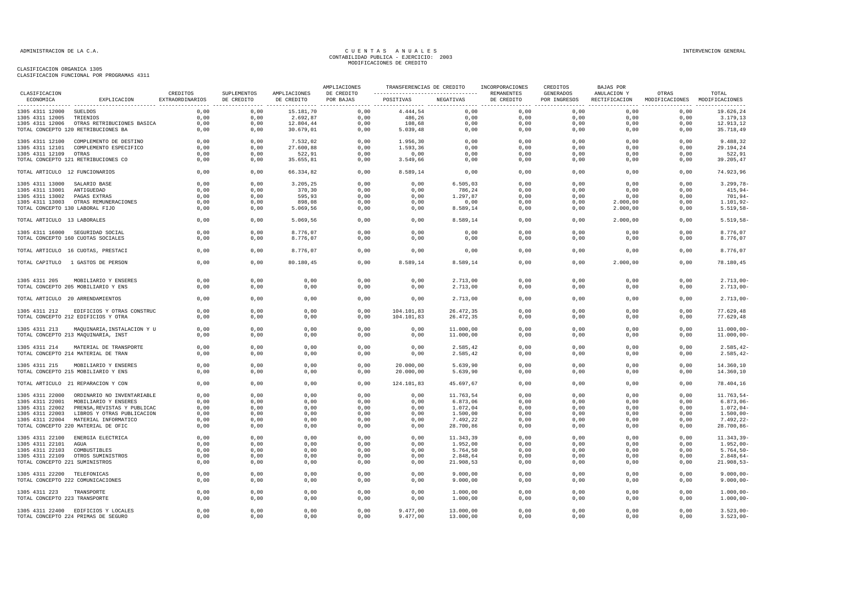### ADMINISTRACION DE LA C.A. INTERVENCION GENERAL CONTABILIDAD PUBLICA - EJERCICIO: 2003<br>CONTABILIDAD PUBLICA - EJERCICIO: 2003 MODIFICACIONES DE CREDITO

|                                 |                                            |                             |                           |                            | AMPLIACIONES            | TRANSFERENCIAS DE CREDITO |              | INCORPORACIONES                             | CREDITOS                  | BAJAS POR                    |                                        |                     |
|---------------------------------|--------------------------------------------|-----------------------------|---------------------------|----------------------------|-------------------------|---------------------------|--------------|---------------------------------------------|---------------------------|------------------------------|----------------------------------------|---------------------|
| CLASIFICACION<br>ECONOMICA      | EXPLICACION                                | CREDITOS<br>EXTRAORDINARIOS | SUPLEMENTOS<br>DE CREDITO | AMPLIACIONES<br>DE CREDITO | DE CREDITO<br>POR BAJAS | POSITIVAS                 | NEGATIVAS    | REMANENTES<br>DE CREDITO                    | GENERADOS<br>POR INGRESOS | ANULACION Y<br>RECTIFICACION | OTRAS<br>MODIFICACIONES MODIFICACIONES | TOTAL               |
| 1305 4311 12000 SUELDOS         |                                            | 0,00                        | 0,00                      | 15.181,70                  | 0,00                    | 4.444,54                  | 0,00         | ----------------- -----------------<br>0,00 | 0,00                      | 0,00                         | 0,00                                   | 19.626,24           |
| 1305 4311 12005                 | TRIENIOS                                   | 0,00                        | 0,00                      | 2.692,87                   | 0,00                    | 486,26                    | 0,00         | 0,00                                        | 0,00                      | 0,00                         | 0,00                                   | 3.179,13            |
|                                 | 1305 4311 12006 OTRAS RETRIBUCIONES BASICA | 0,00                        | 0,00                      | 12.804,44                  | 0,00                    | 108,68                    | 0,00         | 0,00                                        | 0,00                      | 0,00                         | 0,00                                   | 12.913,12           |
|                                 | TOTAL CONCEPTO 120 RETRIBUCIONES BA        | 0,00                        | 0,00                      | 30.679,01                  | 0,00                    | 5.039, 48                 | 0,00         | 0,00                                        | 0,00                      | 0,00                         | 0,00                                   | 35.718,49           |
| 1305 4311 12100                 | COMPLEMENTO DE DESTINO                     | 0,00                        | 0,00                      | 7.532,02                   | 0,00                    | 1.956,30                  | 0,00         | 0,00                                        | 0,00                      | 0,00                         | 0,00                                   | 9.488,32            |
| 1305 4311 12101                 | COMPLEMENTO ESPECIFICO                     | 0,00                        | 0,00                      | 27.600,88                  | 0,00                    | 1.593,36                  | 0,00         | 0,00                                        | 0,00                      | 0,00                         | 0,00                                   | 29.194,24           |
| 1305 4311 12109 OTRAS           | TOTAL CONCEPTO 121 RETRIBUCIONES CO        | 0,00<br>0,00                | 0,00<br>0,00              | 522,91<br>35.655,81        | 0,00<br>0,00            | 0,00<br>3.549,66          | 0,00<br>0,00 | 0,00<br>0,00                                | 0,00<br>0,00              | 0,00<br>0,00                 | 0,00<br>0,00                           | 522,91<br>39.205,47 |
| TOTAL ARTICULO 12 FUNCIONARIOS  |                                            | 0,00                        | 0,00                      | 66.334,82                  | 0,00                    | 8.589,14                  | 0,00         | 0,00                                        | 0,00                      | 0,00                         | 0,00                                   | 74.923,96           |
| 1305 4311 13000 SALARIO BASE    |                                            | 0,00                        | 0,00                      | 3.205,25                   | 0,00                    | 0,00                      | 6.505,03     | 0,00                                        | 0,00                      | 0,00                         | 0,00                                   | $3.299,78-$         |
| 1305 4311 13001                 | ANTIGUEDAD                                 | 0.00                        | 0,00                      | 370,30                     | 0.00                    | 0.00                      | 786,24       | 0.00                                        | 0.00                      | 0.00                         | 0.00                                   | $415,94-$           |
| 1305 4311 13002                 | PAGAS EXTRAS                               | 0,00                        | 0,00                      | 595,93                     | 0,00                    | 0,00                      | 1.297,87     | 0,00                                        | 0,00                      | 0,00                         | 0,00                                   | 701,94-             |
|                                 | 1305 4311 13003 OTRAS REMUNERACIONES       | 0,00                        | 0,00                      | 898,08                     | 0,00                    | 0,00                      | 0,00         | 0,00                                        | 0,00                      | 2.000,00                     | 0,00                                   | 1.101,92-           |
| TOTAL CONCEPTO 130 LABORAL FIJO |                                            | 0,00                        | 0,00                      | 5.069,56                   | 0,00                    | 0,00                      | 8.589,14     | 0,00                                        | 0,00                      | 2.000,00                     | 0,00                                   | 5.519,58-           |
| TOTAL ARTICULO 13 LABORALES     |                                            | 0,00                        | 0,00                      | 5.069,56                   | 0,00                    | 0,00                      | 8.589,14     | 0,00                                        | 0,00                      | 2.000,00                     | 0,00                                   | 5.519,58-           |
|                                 | 1305 4311 16000 SEGURIDAD SOCIAL           | 0,00                        | 0,00                      | 8.776,07                   | 0,00                    | 0,00                      | 0,00         | 0,00                                        | 0,00                      | 0,00                         | 0,00                                   | 8.776,07            |
|                                 | TOTAL CONCEPTO 160 CUOTAS SOCIALES         | 0,00                        | 0,00                      | 8.776,07                   | 0,00                    | 0,00                      | 0,00         | 0,00                                        | 0,00                      | 0,00                         | 0,00                                   | 8.776,07            |
|                                 | TOTAL ARTICULO 16 CUOTAS, PRESTACI         | 0,00                        | 0,00                      | 8.776,07                   | 0,00                    | 0,00                      | 0,00         | 0,00                                        | 0,00                      | 0,00                         | 0,00                                   | 8.776,07            |
|                                 | TOTAL CAPITULO 1 GASTOS DE PERSON          | 0,00                        | 0,00                      | 80.180,45                  | 0.00                    | 8.589,14                  | 8.589,14     | 0.00                                        | 0.00                      | 2.000,00                     | 0.00                                   | 78.180,45           |
|                                 |                                            |                             |                           |                            |                         |                           |              |                                             |                           |                              |                                        |                     |
| 1305 4311 205                   | MOBILIARIO Y ENSERES                       | 0,00                        | 0,00                      | 0,00                       | 0,00                    | 0,00                      | 2.713,00     | 0,00                                        | 0,00                      | 0,00                         | 0,00                                   | $2.713,00 -$        |
|                                 | TOTAL CONCEPTO 205 MOBILIARIO Y ENS        | 0,00                        | 0,00                      | 0,00                       | 0,00                    | 0,00                      | 2.713,00     | 0,00                                        | 0,00                      | 0,00                         | 0,00                                   | $2.713,00-$         |
|                                 | TOTAL ARTICULO 20 ARRENDAMIENTOS           | 0,00                        | 0,00                      | 0,00                       | 0,00                    | 0,00                      | 2.713,00     | 0,00                                        | 0,00                      | 0,00                         | 0,00                                   | $2.713,00 -$        |
| 1305 4311 212                   | EDIFICIOS Y OTRAS CONSTRUC                 | 0,00                        | 0,00                      | 0,00                       | 0,00                    | 104.101,83                | 26.472,35    | 0,00                                        | 0,00                      | 0,00                         | 0,00                                   | 77.629,48           |
|                                 | TOTAL CONCEPTO 212 EDIFICIOS Y OTRA        | 0,00                        | 0,00                      | 0,00                       | 0,00                    | 104.101,83                | 26.472,35    | 0,00                                        | 0,00                      | 0,00                         | 0,00                                   | 77.629,48           |
| 1305 4311 213                   | MAQUINARIA, INSTALACION Y U                | 0,00                        | 0,00                      | 0,00                       | 0,00                    | 0,00                      | 11.000,00    | 0,00                                        | 0,00                      | 0,00                         | 0,00                                   | $11.000,00 -$       |
|                                 | TOTAL CONCEPTO 213 MAQUINARIA, INST        | 0,00                        | 0,00                      | 0,00                       | 0,00                    | 0,00                      | 11.000,00    | 0,00                                        | 0,00                      | 0,00                         | 0,00                                   | 11.000,00           |
| 1305 4311 214                   | MATERIAL DE TRANSPORTE                     | 0,00                        | 0,00                      | 0,00                       | 0,00                    | 0,00                      | 2.585,42     | 0,00                                        | 0,00                      | 0,00                         | 0,00                                   | 2.585,42-           |
|                                 | TOTAL CONCEPTO 214 MATERIAL DE TRAN        | 0,00                        | 0,00                      | 0,00                       | 0,00                    | 0,00                      | 2.585,42     | 0,00                                        | 0,00                      | 0,00                         | 0,00                                   | 2.585,42-           |
| 1305 4311 215                   | MOBILIARIO Y ENSERES                       | 0,00                        | 0,00                      | 0,00                       | 0,00                    | 20.000,00                 | 5.639,90     | 0,00                                        | 0,00                      | 0,00                         | 0,00                                   | 14.360,10           |
|                                 | TOTAL CONCEPTO 215 MOBILIARIO Y ENS        | 0,00                        | 0,00                      | 0,00                       | 0,00                    | 20.000,00                 | 5.639,90     | 0,00                                        | 0,00                      | 0,00                         | 0,00                                   | 14.360,10           |
|                                 | TOTAL ARTICULO 21 REPARACION Y CON         | 0,00                        | 0,00                      | 0,00                       | 0,00                    | 124.101,83                | 45.697,67    | 0,00                                        | 0,00                      | 0,00                         | 0,00                                   | 78.404,16           |
| 1305 4311 22000                 | ORDINARIO NO INVENTARIABLE                 | 0,00                        | 0,00                      | 0,00                       | 0,00                    | 0,00                      | 11.763,54    | 0,00                                        | 0,00                      | 0,00                         | 0,00                                   | 11.763,54-          |
| 1305 4311 22001                 | MOBILIARIO Y ENSERES                       | 0,00                        | 0,00                      | 0,00                       | 0,00                    | 0,00                      | 6.873,06     | 0,00                                        | 0,00                      | 0,00                         | 0,00                                   | $6.873,06-$         |
| 1305 4311 22002                 | PRENSA, REVISTAS Y PUBLICAC                | 0,00                        | 0,00                      | 0,00                       | 0,00                    | 0,00                      | 1.072,04     | 0,00                                        | 0,00                      | 0,00                         | 0,00                                   | 1.072,04-           |
| 1305 4311 22003                 | LIBROS Y OTRAS PUBLICACION                 | 0,00                        | 0,00                      | 0,00                       | 0,00                    | 0,00                      | 1.500,00     | 0,00                                        | 0,00                      | 0,00                         | 0,00                                   | $1.500,00 -$        |
|                                 | 1305 4311 22004 MATERIAL INFORMATICO       | 0,00                        | 0,00                      | 0,00                       | 0,00                    | 0,00                      | 7.492,22     | 0,00                                        | 0,00                      | 0,00                         | 0,00                                   | 7.492,22-           |
|                                 | TOTAL CONCEPTO 220 MATERIAL DE OFIC        | 0,00                        | 0,00                      | 0,00                       | 0,00                    | 0,00                      | 28.700,86    | 0,00                                        | 0,00                      | 0,00                         | 0,00                                   | 28.700,86-          |
| 1305 4311 22100                 | ENERGIA ELECTRICA                          | 0,00                        | 0,00                      | 0,00                       | 0,00                    | 0,00                      | 11.343,39    | 0,00                                        | 0,00                      | 0,00                         | 0,00                                   | $11.343, 39-$       |
| 1305 4311 22101                 | AGUA                                       | 0,00                        | 0,00                      | 0,00                       | 0,00                    | 0,00                      | 1.952,00     | 0,00                                        | 0,00                      | 0,00                         | 0,00                                   | 1.952,00-           |
| 1305 4311 22103                 | COMBUSTIBLES                               | 0,00                        | 0,00                      | 0,00                       | 0,00                    | 0,00                      | 5.764,50     | 0,00                                        | 0,00                      | 0,00                         | 0,00                                   | 5.764,50-           |
| 1305 4311 22109                 | OTROS SUMINISTROS                          | 0,00                        | 0,00                      | 0,00                       | 0,00                    | 0,00                      | 2.848,64     | 0,00                                        | 0,00                      | 0,00                         | 0,00                                   | 2.848,64-           |
| TOTAL CONCEPTO 221 SUMINISTROS  |                                            | 0,00                        | 0,00                      | 0,00                       | 0,00                    | 0,00                      | 21.908,53    | 0,00                                        | 0,00                      | 0,00                         | 0,00                                   | 21.908,53-          |
| 1305 4311 22200 TELEFONICAS     |                                            | 0.00                        | 0,00                      | 0.00                       | 0.00                    | 0.00                      | 9.000,00     | 0.00                                        | 0.00                      | 0.00                         | 0.00                                   | $9.000,00 -$        |
|                                 | TOTAL CONCEPTO 222 COMUNICACIONES          | 0,00                        | 0,00                      | 0,00                       | 0,00                    | 0,00                      | 9.000,00     | 0,00                                        | 0,00                      | 0,00                         | 0,00                                   | $9.000,00 -$        |
| 1305 4311 223 TRANSPORTE        |                                            | 0,00                        | 0,00                      | 0,00                       | 0,00                    | 0,00                      | 1.000,00     | 0,00                                        | 0,00                      | 0,00                         | 0,00                                   | $1.000,00 -$        |
| TOTAL CONCEPTO 223 TRANSPORTE   |                                            | 0,00                        | 0,00                      | 0,00                       | 0,00                    | 0,00                      | 1.000,00     | 0,00                                        | 0,00                      | 0,00                         | 0,00                                   | $1.000,00 -$        |
|                                 | 1305 4311 22400 EDIFICIOS Y LOCALES        | 0,00                        | 0,00                      | 0,00                       | 0,00                    | 9.477,00                  | 13.000,00    | 0,00                                        | 0,00                      | 0,00                         | 0,00                                   | $3.523,00-$         |
|                                 | TOTAL CONCEPTO 224 PRIMAS DE SEGURO        | 0,00                        | 0,00                      | 0,00                       | 0,00                    | 9.477,00                  | 13.000,00    | 0,00                                        | 0,00                      | 0,00                         | 0,00                                   | $3.523,00-$         |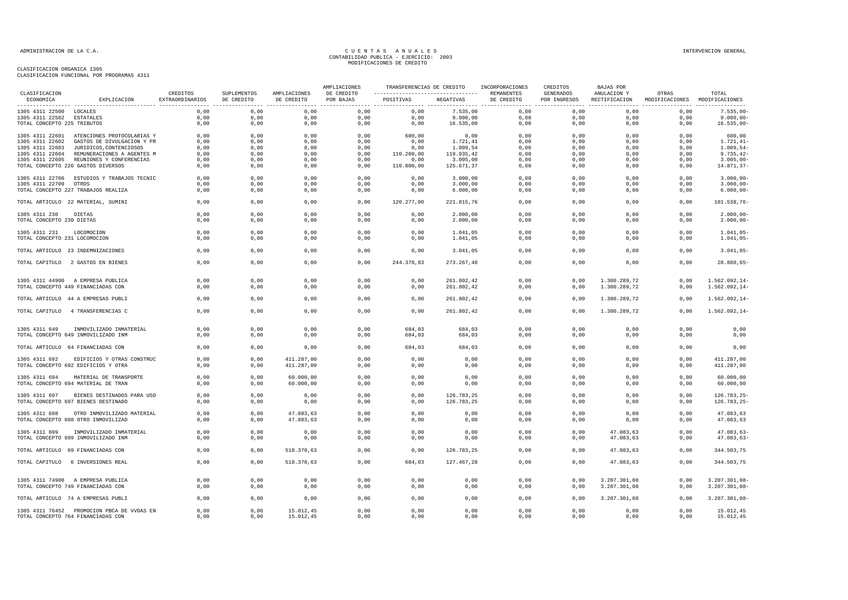| CLASIFICACION                 |                                                                                  |                                    |                           |                            | AMPLIACIONES            |                                                                     |                        | TRANSFERENCIAS DE CREDITO INCORPORACIONES | CREDITOS                  | BAJAS POR    |                                                      |                            |
|-------------------------------|----------------------------------------------------------------------------------|------------------------------------|---------------------------|----------------------------|-------------------------|---------------------------------------------------------------------|------------------------|-------------------------------------------|---------------------------|--------------|------------------------------------------------------|----------------------------|
| ECONOMICA                     | EXPLICACION                                                                      | CREDITOS<br><b>EXTRAORDINARIOS</b> | SUPLEMENTOS<br>DE CREDITO | AMPLIACIONES<br>DE CREDITO | DE CREDITO<br>POR BAJAS | --------------------------------- REMANENTES<br>POSITIVAS NEGATIVAS |                        | DE CREDITO                                | GENERADOS<br>POR INGRESOS | ANULACION Y  | OTRAS<br>RECTIFICACION MODIFICACIONES MODIFICACIONES | TOTAL                      |
| 1305 4311 22500 LOCALES       |                                                                                  | 0,00                               | 0,00                      | 0,00                       | 0,00                    | 0,00                                                                | 7.535,00               | 0,00                                      | 0,00                      | 0,00         | 0,00                                                 | $7.535,00 -$               |
| 1305 4311 22502 ESTATALES     |                                                                                  | 0,00                               | 0,00                      | 0,00                       | 0,00                    | 0.00                                                                | 9.000,00               | 0.00                                      | 0,00                      | 0.00         | 0,00                                                 | $9.000,00 -$               |
| TOTAL CONCEPTO 225 TRIBUTOS   |                                                                                  | 0,00                               | 0,00                      | 0,00                       | 0,00                    | 0,00                                                                | 16.535,00              | 0,00                                      | 0,00                      | 0,00         | 0,00                                                 | $16.535,00-$               |
|                               | 1305 4311 22601 ATENCIONES PROTOCOLARIAS Y                                       | 0,00                               | 0,00                      | 0,00                       | 0,00                    | 600,00                                                              | 0,00                   | 0,00                                      | 0,00                      | 0,00         | 0,00                                                 | 600,00                     |
| 1305 4311 22602               | GASTOS DE DIVULGACION Y PR                                                       | 0,00                               | 0,00                      | 0,00                       | 0,00                    | 0,00                                                                | 1.721,41               | 0,00                                      | 0,00                      | 0,00         | 0,00                                                 | $1.721, 41-$               |
| 1305 4311 22603               | JURIDICOS, CONTENCIOSOS                                                          | 0,00                               | 0,00                      | 0,00                       | 0,00                    | 0,00                                                                | 1.009,54               | 0,00                                      | 0,00                      | 0,00         | 0,00                                                 | $1.009, 54-$               |
|                               | 1305 4311 22604 REMUNERACIONES A AGENTES M                                       | 0,00                               | 0,00                      | 0,00                       | 0,00                    | 110.200,00                                                          | 119.935,42             | 0,00                                      | 0,00                      | 0,00         | 0,00                                                 | $9.735, 42-$               |
|                               | 1305 4311 22605 REUNIONES Y CONFERENCIAS<br>TOTAL CONCEPTO 226 GASTOS DIVERSOS   | 0,00<br>0,00                       | 0,00<br>0,00              | 0,00<br>0,00               | 0,00<br>0,00            | 0,00<br>110.800,00                                                  | 3.005,00<br>125.671,37 | 0,00<br>0,00                              | 0,00<br>0,00              | 0,00<br>0,00 | 0,00<br>0,00                                         | $3.005,00 -$<br>14.871,37- |
|                               |                                                                                  |                                    |                           |                            |                         |                                                                     |                        |                                           |                           |              |                                                      |                            |
|                               | 1305 4311 22706 ESTUDIOS Y TRABAJOS TECNIC                                       | 0,00                               | 0,00                      | 0,00                       | 0,00                    | 0,00                                                                | 3.000,00               | 0,00                                      | 0,00                      | 0,00         | 0,00                                                 | $3.000,00 -$               |
| 1305 4311 22709 OTROS         |                                                                                  | 0,00                               | 0,00                      | 0,00                       | 0,00                    | 0,00                                                                | 3.000,00               | 0,00                                      | 0,00                      | 0,00         | 0,00                                                 | $3.000,00 -$               |
|                               | TOTAL CONCEPTO 227 TRABAJOS REALIZA                                              | 0,00                               | 0,00                      | 0,00                       | 0,00                    | 0,00                                                                | 6.000,00               | 0,00                                      | 0,00                      | 0,00         | 0,00                                                 | $6.000,00 -$               |
|                               | TOTAL ARTICULO 22 MATERIAL, SUMINI                                               | 0,00                               | 0,00                      | 0,00                       | 0,00                    | 120.277,00                                                          | 221.815,76             | 0,00                                      | 0,00                      | 0,00         | 0,00                                                 | 101.538,76-                |
| 1305 4311 230                 | DIETAS                                                                           | 0.00                               | 0.00                      | 0.00                       | 0.00                    | 0.00                                                                | 2,000,00               | 0.00                                      | 0.00                      | 0.00         | 0.00                                                 | $2.000.00 -$               |
| TOTAL CONCEPTO 230 DIETAS     |                                                                                  | 0,00                               | 0,00                      | 0,00                       | 0,00                    | 0,00                                                                | 2.000,00               | 0,00                                      | 0,00                      | 0,00         | 0,00                                                 | $2.000,00-$                |
| 1305 4311 231                 | LOCOMOCION                                                                       | 0,00                               | 0,00                      | 0,00                       | 0,00                    | 0,00                                                                | 1.041,05               | 0,00                                      | 0,00                      | 0,00         | 0,00                                                 | $1.041,05-$                |
| TOTAL CONCEPTO 231 LOCOMOCION |                                                                                  | 0,00                               | 0,00                      | 0,00                       | 0,00                    | 0,00                                                                | 1.041,05               | 0,00                                      | 0,00                      | 0,00         | 0,00                                                 | $1.041,05-$                |
|                               | TOTAL ARTICULO 23 INDEMNIZACIONES                                                | 0,00                               | 0,00                      | 0,00                       | 0,00                    | 0,00                                                                | 3.041,05               | 0,00                                      | 0,00                      | 0,00         | 0,00                                                 | $3.041,05-$                |
|                               |                                                                                  |                                    |                           |                            |                         |                                                                     |                        |                                           |                           |              |                                                      |                            |
|                               | TOTAL CAPITULO 2 GASTOS EN BIENES                                                | 0,00                               | 0,00                      | 0,00                       | 0,00                    | 244.378.83                                                          | 273.267.48             | 0.00                                      | 0,00                      | 0.00         | 0.00                                                 | 28.888,65-                 |
|                               | 1305 4311 44900 A EMPRESA PUBLICA                                                | 0,00                               | 0,00                      | 0,00                       | 0,00                    | 0,00                                                                | 261.802,42             | 0,00                                      | 0,00                      | 1.300.289,72 | 0,00                                                 | 1.562.092,14-              |
|                               | TOTAL CONCEPTO 449 FINANCIADAS CON                                               | 0,00                               | 0,00                      | 0,00                       | 0,00                    | 0,00                                                                | 261.802,42             | 0,00                                      | 0,00                      | 1.300.289,72 | 0,00                                                 | 1.562.092,14-              |
|                               | TOTAL ARTICULO 44 A EMPRESAS PUBLI                                               | 0,00                               | 0,00                      | 0,00                       | 0,00                    | 0,00                                                                | 261.802,42             | 0,00                                      | 0,00                      | 1.300.289,72 | 0,00                                                 | 1.562.092,14-              |
|                               | TOTAL CAPITULO 4 TRANSFERENCIAS C                                                | 0,00                               | 0,00                      | 0.00                       | 0,00                    | 0.00                                                                | 261.802.42             | 0.00                                      | 0.00                      | 1,300,289.72 | 0.00                                                 | 1.562.092,14-              |
| 1305 4311 649                 | INMOVILIZADO INMATERIAL                                                          | 0,00                               | 0,00                      | 0,00                       | 0,00                    | 684,03                                                              | 684,03                 | 0,00                                      | 0,00                      | 0,00         | 0,00                                                 | 0,00                       |
|                               | TOTAL CONCEPTO 649 INMOVILIZADO INM                                              | 0,00                               | 0,00                      | 0,00                       | 0,00                    | 684,03                                                              | 684,03                 | 0,00                                      | 0,00                      | 0,00         | 0,00                                                 | 0,00                       |
|                               | TOTAL ARTICULO 64 FINANCIADAS CON                                                | 0,00                               | 0,00                      | 0,00                       | 0,00                    | 684,03                                                              | 684,03                 | 0,00                                      | 0,00                      | 0,00         | 0,00                                                 | 0,00                       |
|                               |                                                                                  |                                    |                           |                            |                         |                                                                     |                        |                                           |                           |              |                                                      |                            |
| 1305 4311 692                 | EDIFICIOS Y OTRAS CONSTRUC<br>TOTAL CONCEPTO 692 EDIFICIOS Y OTRA                | 0,00<br>0,00                       | 0,00<br>0,00              | 411.287,00<br>411.287.00   | 0,00<br>0,00            | 0,00<br>0,00                                                        | 0,00<br>0,00           | 0,00<br>0,00                              | 0,00<br>0,00              | 0,00<br>0,00 | 0,00<br>0,00                                         | 411.287,00<br>411.287,00   |
|                               |                                                                                  |                                    |                           |                            |                         |                                                                     |                        |                                           |                           |              |                                                      |                            |
| 1305 4311 694                 | MATERIAL DE TRANSPORTE                                                           | 0,00                               | 0,00                      | 60.000,00                  | 0,00                    | 0,00                                                                | 0,00                   | 0,00                                      | 0,00                      | 0,00         | 0,00                                                 | 60.000,00                  |
|                               | TOTAL CONCEPTO 694 MATERIAL DE TRAN                                              | 0,00                               | 0,00                      | 60.000,00                  | 0,00                    | 0,00                                                                | 0,00                   | 0,00                                      | 0,00                      | 0,00         | 0,00                                                 | 60.000,00                  |
| 1305 4311 697                 | BIENES DESTINADOS PARA USO                                                       | 0,00                               | 0,00                      | 0,00                       | 0,00                    | 0,00                                                                | 126.783,25             | 0,00                                      | 0,00                      | 0,00         | 0,00                                                 | 126.783,25-                |
|                               | TOTAL CONCEPTO 697 BIENES DESTINADO                                              | 0.00                               | 0,00                      | 0.00                       | 0.00                    | 0.00                                                                | 126.783,25             | 0.00                                      | 0.00                      | 0.00         | 0.00                                                 | $126.783, 25 -$            |
| 1305 4311 698                 | OTRO INMOVILIZADO MATERIAL                                                       | 0,00                               | 0,00                      | 47.083,63                  | 0,00                    | 0,00                                                                | 0,00                   | 0,00                                      | 0,00                      | 0.00         | 0,00                                                 | 47.083.63                  |
|                               | TOTAL CONCEPTO 698 OTRO INMOVILIZAD                                              | 0,00                               | 0,00                      | 47.083,63                  | 0,00                    | 0,00                                                                | 0,00                   | 0,00                                      | 0,00                      | 0,00         | 0,00                                                 | 47.083,63                  |
|                               |                                                                                  |                                    |                           |                            |                         |                                                                     |                        |                                           |                           |              |                                                      |                            |
| 1305 4311 699                 | INMOVILIZADO INMATERIAL                                                          | 0,00                               | 0,00                      | 0,00                       | 0,00                    | 0,00                                                                | 0,00                   | 0,00                                      | 0,00                      | 47.083,63    | 0,00                                                 | $47.083,63-$               |
|                               | TOTAL CONCEPTO 699 INMOVILIZADO INM                                              | 0,00                               | 0,00                      | 0,00                       | 0,00                    | 0,00                                                                | 0,00                   | 0,00                                      | 0,00                      | 47.083,63    | 0,00                                                 | $47.083,63-$               |
|                               | TOTAL ARTICULO 69 FINANCIADAS CON                                                | 0,00                               | 0,00                      | 518,370.63                 | 0.00                    | 0.00                                                                | 126.783.25             | 0.00                                      | 0.00                      | 47.083.63    | 0.00                                                 | 344.503.75                 |
|                               | TOTAL CAPITULO 6 INVERSIONES REAL                                                | 0,00                               | 0,00                      | 518.370,63                 | 0,00                    | 684,03                                                              | 127.467,28             | 0,00                                      | 0,00                      | 47.083,63    | 0,00                                                 | 344.503,75                 |
|                               | 1305 4311 74900 A EMPRESA PUBLICA                                                | 0,00                               | 0,00                      | 0,00                       | 0,00                    | 0,00                                                                | 0,00                   | 0,00                                      | 0,00                      | 3.207.301,08 | 0,00                                                 | 3.207.301,08-              |
|                               | TOTAL CONCEPTO 749 FINANCIADAS CON                                               | 0,00                               | 0,00                      | 0,00                       | 0,00                    | 0,00                                                                | 0,00                   | 0,00                                      | 0,00                      | 3.207.301,08 | 0,00                                                 | $3.207.301,08-$            |
|                               | TOTAL ARTICULO 74 A EMPRESAS PUBLI                                               | 0.00                               | 0,00                      | 0.00                       | 0,00                    | 0.00                                                                | 0.00                   | 0.00                                      | 0.00                      | 3.207.301.08 | 0.00                                                 | 3.207.301.08-              |
|                               |                                                                                  |                                    |                           |                            |                         |                                                                     |                        |                                           |                           |              |                                                      |                            |
|                               | 1305 4311 76452 PROMOCION PBCA DE VVDAS EN<br>TOTAL CONCEPTO 764 FINANCIADAS CON | 0,00<br>0,00                       | 0,00<br>0,00              | 15.012,45<br>15.012,45     | 0,00<br>0,00            | 0,00<br>0,00                                                        | 0,00<br>0,00           | 0,00<br>0,00                              | 0,00<br>0,00              | 0,00<br>0,00 | 0,00<br>0,00                                         | 15.012,45<br>15.012,45     |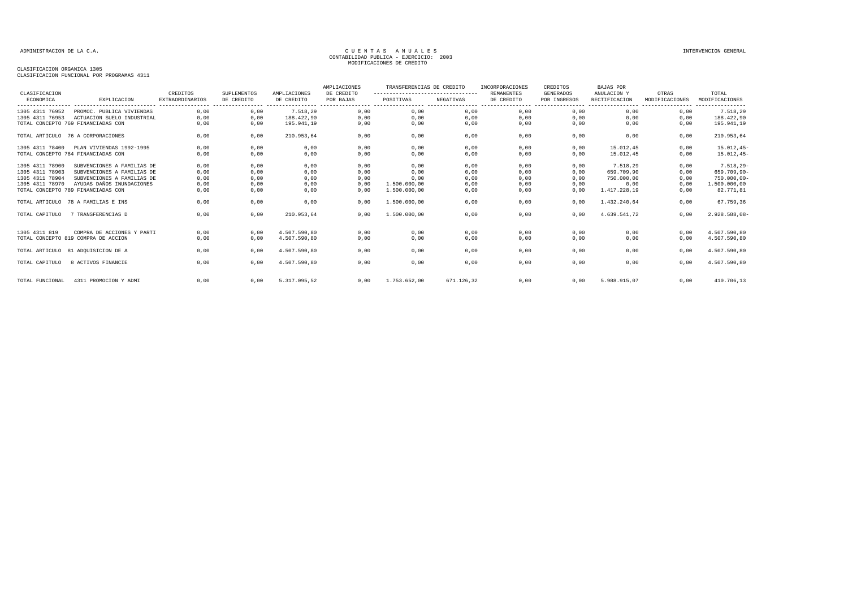| CLASIFICACION   |                                     | CREDITOS               | SUPLEMENTOS | AMPLIACIONES | AMPLIACIONES<br>DE CREDITO | TRANSFERENCIAS DE CREDITO<br>---------------------------------- |            | INCORPORACIONES<br><b>REMANENTES</b> | CREDITOS<br><b>GENERADOS</b> | <b>BAJAS POR</b><br>ANULACION Y                       | OTRAS          | TOTAL                              |
|-----------------|-------------------------------------|------------------------|-------------|--------------|----------------------------|-----------------------------------------------------------------|------------|--------------------------------------|------------------------------|-------------------------------------------------------|----------------|------------------------------------|
| ECONOMICA       | EXPLICACION                         | <b>EXTRAORDINARIOS</b> | DE CREDITO  | DE CREDITO   | POR BAJAS                  | POSITIVAS                                                       | NEGATIVAS  | DE CREDITO                           | POR INGRESOS                 | RECTIFICACION<br>------------------------------------ | MODIFICACIONES | MODIFICACIONES<br>---------------- |
| 1305 4311 76952 | PROMOC. PUBLICA VIVIENDAS           | 0,00                   | 0,00        | 7.518,29     | 0,00                       | 0,00                                                            | 0,00       | 0,00                                 | 0,00                         | 0,00                                                  | 0,00           | 7.518,29                           |
| 1305 4311 76953 | ACTUACION SUELO INDUSTRIAL          | 0,00                   | 0,00        | 188.422.90   | 0,00                       | 0,00                                                            | 0,00       | 0,00                                 | 0,00                         | 0.00                                                  | 0,00           | 188.422,90                         |
|                 | TOTAL CONCEPTO 769 FINANCIADAS CON  | 0,00                   | 0,00        | 195.941,19   | 0,00                       | 0,00                                                            | 0,00       | 0,00                                 | 0,00                         | 0,00                                                  | 0,00           | 195.941,19                         |
|                 | TOTAL ARTICULO 76 A CORPORACIONES   | 0,00                   | 0,00        | 210.953,64   | 0,00                       | 0,00                                                            | 0,00       | 0,00                                 | 0,00                         | 0,00                                                  | 0,00           | 210.953,64                         |
| 1305 4311 78400 | PLAN VIVIENDAS 1992-1995            | 0,00                   | 0,00        | 0,00         | 0,00                       | 0,00                                                            | 0,00       | 0,00                                 | 0,00                         | 15.012.45                                             | 0.00           | $15.012, 45-$                      |
|                 | TOTAL CONCEPTO 784 FINANCIADAS CON  | 0,00                   | 0,00        | 0,00         | 0,00                       | 0,00                                                            | 0,00       | 0,00                                 | 0,00                         | 15.012.45                                             | 0,00           | $15.012, 45-$                      |
| 1305 4311 78900 | SUBVENCIONES A FAMILIAS DE          | 0,00                   | 0,00        | 0,00         | 0,00                       | 0,00                                                            | 0,00       | 0,00                                 | 0,00                         | 7.518,29                                              | 0,00           | $7.518, 29-$                       |
| 1305 4311 78903 | SUBVENCIONES A FAMILIAS DE          | 0,00                   | 0,00        | 0,00         | 0,00                       | 0,00                                                            | 0,00       | 0,00                                 | 0,00                         | 659.709.90                                            | 0,00           | 659.709,90-                        |
| 1305 4311 78904 | SUBVENCIONES A FAMILIAS DE          | 0,00                   | 0,00        | 0,00         | 0,00                       | 0,00                                                            | 0,00       | 0,00                                 | 0,00                         | 750,000,00                                            | 0,00           | $750.000,00 -$                     |
| 1305 4311 78970 | AYUDAS DAÑOS INUNDACIONES           | 0,00                   | 0,00        | 0,00         | 0,00                       | 1.500.000,00                                                    | 0,00       | 0,00                                 | 0,00                         | 0,00                                                  | 0,00           | 1.500.000,00                       |
|                 | TOTAL CONCEPTO 789 FINANCIADAS CON  | 0,00                   | 0,00        | 0,00         | 0,00                       | 1.500.000,00                                                    | 0,00       | 0,00                                 | 0,00                         | 1.417.228,19                                          | 0,00           | 82.771,81                          |
|                 | TOTAL ARTICULO 78 A FAMILIAS E INS  | 0,00                   | 0,00        | 0,00         | 0,00                       | 1.500.000,00                                                    | 0,00       | 0,00                                 | 0,00                         | 1.432.240,64                                          | 0,00           | 67.759,36                          |
| TOTAL CAPITULO  | 7 TRANSFERENCIAS D                  | 0.00                   | 0,00        | 210.953.64   | 0.00                       | 1.500.000.00                                                    | 0.00       | 0,00                                 | 0.00                         | 4.639.541.72                                          | 0.00           | 2.928.588,08-                      |
| 1305 4311 819   | COMPRA DE ACCIONES Y PARTI          | 0,00                   | 0,00        | 4.507.590,80 | 0,00                       | 0,00                                                            | 0,00       | 0,00                                 | 0,00                         | 0,00                                                  | 0,00           | 4.507.590,80                       |
|                 | TOTAL CONCEPTO 819 COMPRA DE ACCION | 0,00                   | 0,00        | 4.507.590,80 | 0,00                       | 0,00                                                            | 0,00       | 0,00                                 | 0,00                         | 0,00                                                  | 0,00           | 4.507.590,80                       |
|                 | TOTAL ARTICULO 81 ADOUISICION DE A  | 0.00                   | 0,00        | 4.507.590.80 | 0,00                       | 0,00                                                            | 0,00       | 0,00                                 | 0,00                         | 0.00                                                  | 0,00           | 4.507.590,80                       |
| TOTAL CAPITULO  | 8 ACTIVOS FINANCIE                  | 0,00                   | 0,00        | 4.507.590,80 | 0,00                       | 0,00                                                            | 0,00       | 0,00                                 | 0,00                         | 0,00                                                  | 0,00           | 4.507.590,80                       |
| TOTAL FUNCIONAL | 4311 PROMOCION Y ADMI               | 0,00                   | 0,00        | 5.317.095.52 | 0,00                       | 1.753.652,00                                                    | 671.126.32 | 0,00                                 | 0,00                         | 5.988.915.07                                          | 0,00           | 410.706,13                         |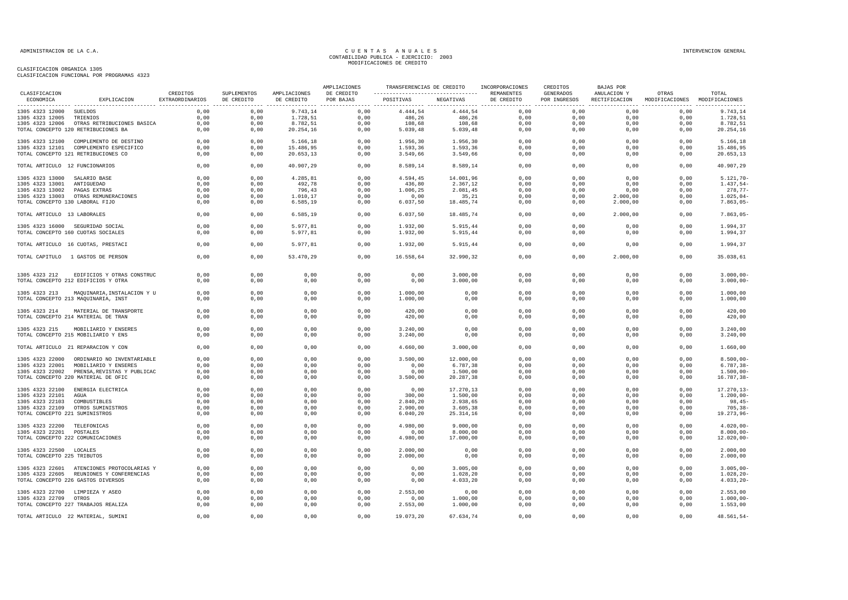|                                 |                                                                   |                             |                           |                            | AMPLIACIONES            | TRANSFERENCIAS DE CREDITO                                  |                      | INCORPORACIONES | CREDITOS                  | BAJAS POR                    |                                        |                              |
|---------------------------------|-------------------------------------------------------------------|-----------------------------|---------------------------|----------------------------|-------------------------|------------------------------------------------------------|----------------------|-----------------|---------------------------|------------------------------|----------------------------------------|------------------------------|
| CLASIFICACION<br>ECONOMICA      | EXPLICACION                                                       | CREDITOS<br>EXTRAORDINARIOS | SUPLEMENTOS<br>DE CREDITO | AMPLIACIONES<br>DE CREDITO | DE CREDITO<br>POR BAJAS | ---------------------------------- REMANENTES<br>POSITIVAS | NEGATIVAS            | DE CREDITO      | GENERADOS<br>POR INGRESOS | ANULACION Y<br>RECTIFICACION | OTRAS<br>MODIFICACIONES MODIFICACIONES | TOTAL                        |
| 1305 4323 12000 SUELDOS         |                                                                   | 0.00                        | 0.00                      | 9.743,14                   | 0.00                    | 4.444,54                                                   | 4.444,54             | 0.00            | 0.00                      | 0.00                         | 0,00                                   | 9.743,14                     |
| 1305 4323 12005 TRIENIOS        |                                                                   | 0,00                        | 0,00                      | 1.728,51                   | 0,00                    | 486,26                                                     | 486,26               | 0,00            | 0,00                      | 0,00                         | 0,00                                   | 1.728,51                     |
|                                 |                                                                   | 0,00                        |                           | 8.782,51                   | 0,00                    | 108,68                                                     | 108,68               | 0,00            | 0,00                      | 0,00                         | 0,00                                   | 8.782,51                     |
|                                 | 1305 4323 12006 OTRAS RETRIBUCIONES BASICA                        |                             | 0,00                      |                            |                         |                                                            |                      |                 |                           |                              |                                        |                              |
|                                 | TOTAL CONCEPTO 120 RETRIBUCIONES BA                               | 0,00                        | 0,00                      | 20.254,16                  | 0,00                    | 5.039,48                                                   | 5.039, 48            | 0,00            | 0,00                      | 0,00                         | 0,00                                   | 20.254,16                    |
|                                 | 1305 4323 12100 COMPLEMENTO DE DESTINO                            | 0,00                        | 0,00                      | 5.166,18                   | 0,00                    | 1.956,30                                                   | 1.956,30             | 0,00            | 0,00                      | 0.00                         | 0.00                                   | 5.166,18                     |
|                                 | 1305 4323 12101 COMPLEMENTO ESPECIFICO                            | 0,00                        | 0,00                      | 15.486,95                  | 0,00                    | 1.593,36                                                   | 1.593,36             | 0,00            | 0,00                      | 0,00                         | 0,00                                   | 15.486,95                    |
|                                 | TOTAL CONCEPTO 121 RETRIBUCIONES CO                               | 0,00                        | 0,00                      | 20.653,13                  | 0,00                    | 3.549,66                                                   | 3.549,66             | 0,00            | 0,00                      | 0,00                         | 0,00                                   | 20.653, 13                   |
| TOTAL ARTICULO 12 FUNCIONARIOS  |                                                                   | 0,00                        | 0,00                      | 40.907,29                  | 0,00                    | 8.589,14                                                   | 8.589,14             | 0,00            | 0,00                      | 0,00                         | 0,00                                   | 40.907,29                    |
| 1305 4323 13000 SALARIO BASE    |                                                                   | 0.00                        | 0.00                      | 4.285.81                   | 0.00                    | 4.594.45                                                   | 14.001,96            | 0.00            | 0.00                      | 0.00                         | 0.00                                   | $5.121.70 -$                 |
| 1305 4323 13001 ANTIGUEDAD      |                                                                   | 0,00                        | 0,00                      | 492,78                     | 0,00                    | 436,80                                                     | 2.367,12             | 0,00            | 0,00                      | 0,00                         | 0,00                                   | $1.437,54-$                  |
| 1305 4323 13002 PAGAS EXTRAS    |                                                                   | 0,00                        | 0,00                      | 796,43                     | 0,00                    | 1.006,25                                                   | 2.081,45             | 0,00            | 0,00                      | 0,00                         | 0,00                                   | 278,77-                      |
|                                 | 1305 4323 13003 OTRAS REMUNERACIONES                              | 0,00                        | 0,00                      | 1.010,17                   | 0,00                    | 0,00                                                       | 35,21                | 0,00            | 0,00                      | 2.000,00                     | 0,00                                   | $1.025,04-$                  |
| TOTAL CONCEPTO 130 LABORAL FIJO |                                                                   | 0,00                        | 0,00                      | 6.585, 19                  | 0,00                    | 6.037,50                                                   | 18.485,74            | 0,00            | 0,00                      | 2.000,00                     | 0,00                                   | $7.863,05-$                  |
| TOTAL ARTICULO 13 LABORALES     |                                                                   | 0,00                        | 0,00                      | 6.585, 19                  | 0,00                    | 6.037,50                                                   | 18.485,74            | 0,00            | 0,00                      | 2.000,00                     | 0,00                                   | $7.863,05 -$                 |
|                                 | 1305 4323 16000 SEGURIDAD SOCIAL                                  | 0,00                        | 0,00                      | 5.977,81                   | 0,00                    | 1.932,00                                                   | 5.915,44             | 0,00            | 0,00                      | 0,00                         | 0,00                                   | 1.994,37                     |
|                                 | TOTAL CONCEPTO 160 CUOTAS SOCIALES                                | 0,00                        | 0,00                      | 5.977,81                   | 0,00                    | 1.932,00                                                   | 5.915,44             | 0,00            | 0,00                      | 0,00                         | 0,00                                   | 1.994,37                     |
|                                 | TOTAL ARTICULO 16 CUOTAS, PRESTACI                                | 0,00                        | 0,00                      | 5.977,81                   | 0,00                    | 1.932,00                                                   | 5.915,44             | 0,00            | 0,00                      | 0,00                         | 0,00                                   | 1.994,37                     |
|                                 | TOTAL CAPITULO 1 GASTOS DE PERSON                                 | 0,00                        | 0,00                      | 53.470,29                  | 0,00                    | 16.558,64                                                  | 32.990,32            | 0.00            | 0,00                      | 2.000,00                     | 0,00                                   | 35.038,61                    |
|                                 |                                                                   |                             |                           |                            |                         |                                                            |                      |                 |                           |                              |                                        |                              |
| 1305 4323 212                   | EDIFICIOS Y OTRAS CONSTRUC<br>TOTAL CONCEPTO 212 EDIFICIOS Y OTRA | 0,00<br>0,00                | 0,00<br>0,00              | 0,00<br>0,00               | 0,00<br>0,00            | 0,00<br>0,00                                               | 3.000,00<br>3.000,00 | 0,00<br>0,00    | 0,00<br>0,00              | 0,00<br>0,00                 | 0,00<br>0,00                           | $3.000,00 -$<br>$3.000,00 -$ |
| 1305 4323 213                   | MAQUINARIA, INSTALACION Y U                                       | 0,00                        | 0,00                      | 0,00                       | 0,00                    | 1.000,00                                                   | 0,00                 | 0.00            | 0.00                      | 0.00                         | 0,00                                   | 1.000,00                     |
|                                 | TOTAL CONCEPTO 213 MAQUINARIA, INST                               | 0,00                        | 0,00                      | 0,00                       | 0,00                    | 1.000,00                                                   | 0,00                 | 0,00            | 0,00                      | 0,00                         | 0,00                                   | 1.000,00                     |
| 1305 4323 214                   | MATERIAL DE TRANSPORTE                                            | 0,00                        | 0,00                      | 0,00                       | 0,00                    | 420,00                                                     | 0,00                 | 0,00            | 0,00                      | 0,00                         | 0,00                                   | 420,00                       |
|                                 | TOTAL CONCEPTO 214 MATERIAL DE TRAN                               | 0,00                        | 0,00                      | 0,00                       | 0,00                    | 420,00                                                     | 0,00                 | 0,00            | 0,00                      | 0,00                         | 0,00                                   | 420,00                       |
|                                 | 1305 4323 215 MOBILIARIO Y ENSERES                                | 0,00                        | 0,00                      | 0,00                       | 0,00                    | 3.240,00                                                   | 0,00                 | 0,00            | 0,00                      | 0,00                         | 0,00                                   | 3.240,00                     |
|                                 | TOTAL CONCEPTO 215 MOBILIARIO Y ENS                               | 0,00                        | 0,00                      | 0,00                       | 0,00                    | 3.240,00                                                   | 0,00                 | 0,00            | 0,00                      | 0,00                         | 0,00                                   | 3.240,00                     |
|                                 | TOTAL ARTICULO 21 REPARACION Y CON                                | 0,00                        | 0,00                      | 0,00                       | 0,00                    | 4.660,00                                                   | 3.000,00             | 0,00            | 0,00                      | 0,00                         | 0,00                                   | 1.660,00                     |
|                                 | 1305 4323 22000 ORDINARIO NO INVENTARIABLE                        | 0,00                        | 0,00                      | 0,00                       | 0,00                    | 3.500,00                                                   | 12.000,00            | 0,00            | 0,00                      | 0,00                         | 0,00                                   | $8.500,00 -$                 |
|                                 | 1305 4323 22001 MOBILIARIO Y ENSERES                              | 0,00                        | 0,00                      | 0,00                       | 0,00                    | 0,00                                                       | 6.787,38             | 0,00            | 0,00                      | 0,00                         | 0,00                                   | $6.787, 38 -$                |
|                                 | 1305 4323 22002 PRENSA, REVISTAS Y PUBLICAC                       | 0,00                        | 0,00                      | 0,00                       | 0,00                    | 0,00                                                       | 1.500,00             | 0,00            | 0,00                      | 0,00                         | 0,00                                   | $1.500,00 -$                 |
|                                 | TOTAL CONCEPTO 220 MATERIAL DE OFIC                               | 0,00                        | 0,00                      | 0,00                       | 0,00                    | 3.500,00                                                   | 20.287,38            | 0,00            | 0,00                      | 0,00                         | 0,00                                   | $16.787, 38 -$               |
|                                 | 1305 4323 22100 ENERGIA ELECTRICA                                 | 0,00                        | 0,00                      | 0,00                       | 0,00                    | 0,00                                                       | 17.270,13            | 0,00            | 0,00                      | 0,00                         | 0,00                                   | $17.270, 13 -$               |
| 1305 4323 22101 AGUA            |                                                                   | 0,00                        | 0,00                      | 0,00                       | 0,00                    | 300,00                                                     | 1.500,00             | 0,00            | 0,00                      | 0,00                         | 0,00                                   | $1.200,00 -$                 |
| 1305 4323 22103 COMBUSTIBLES    |                                                                   | 0,00                        | 0,00                      | 0,00                       | 0,00                    | 2.840,20                                                   | 2.938,65             | 0,00            | 0,00                      | 0,00                         | 0,00                                   | $98,45-$                     |
|                                 | 1305 4323 22109 OTROS SUMINISTROS                                 | 0,00                        | 0,00                      | 0,00                       | 0,00                    | 2.900,00                                                   | 3.605,38             | 0,00            | 0,00                      | 0.00                         | 0.00                                   | $705, 38 -$                  |
| TOTAL CONCEPTO 221 SUMINISTROS  |                                                                   | 0,00                        | 0,00                      | 0,00                       | 0,00                    | 6.040, 20                                                  | 25.314,16            | 0,00            | 0,00                      | 0,00                         | 0,00                                   | 19.273,96-                   |
| 1305 4323 22200 TELEFONICAS     |                                                                   | 0,00                        | 0,00                      | 0,00                       | 0,00                    | 4.980,00                                                   | 9.000,00             | 0,00            | 0,00                      | 0,00                         | 0,00                                   | $4.020,00 -$                 |
| 1305 4323 22201 POSTALES        |                                                                   | 0,00                        | 0,00                      | 0,00                       | 0,00                    | 0,00                                                       | 8.000,00             | 0,00            | 0,00                      | 0,00                         | 0,00                                   | $8.000,00 -$                 |
|                                 | TOTAL CONCEPTO 222 COMUNICACIONES                                 | 0,00                        | 0,00                      | 0,00                       | 0,00                    | 4.980,00                                                   | 17.000,00            | 0,00            | 0,00                      | 0,00                         | 0,00                                   | $12.020,00 -$                |
|                                 |                                                                   |                             |                           |                            |                         |                                                            |                      |                 |                           |                              |                                        |                              |
| 1305 4323 22500 LOCALES         |                                                                   | 0,00                        | 0,00                      | 0,00                       | 0,00                    | 2.000,00                                                   | 0,00                 | 0,00            | 0,00                      | 0,00                         | 0,00                                   | 2.000,00                     |
| TOTAL CONCEPTO 225 TRIBUTOS     |                                                                   | 0,00                        | 0,00                      | 0,00                       | 0,00                    | 2.000,00                                                   | 0,00                 | 0,00            | 0,00                      | 0,00                         | 0,00                                   | 2.000,00                     |
|                                 | 1305 4323 22601 ATENCIONES PROTOCOLARIAS Y                        | 0,00                        | 0,00                      | 0,00                       | 0,00                    | 0,00                                                       | 3.005,00             | 0,00            | 0,00                      | 0,00                         | 0,00                                   | $3.005,00-$                  |
|                                 | 1305 4323 22605 REUNIONES Y CONFERENCIAS                          | 0,00                        | 0,00                      | 0,00                       | 0,00                    | 0,00                                                       | 1.028,20             | 0,00            | 0,00                      | 0,00                         | 0,00                                   | $1.028, 20 -$                |
|                                 | TOTAL CONCEPTO 226 GASTOS DIVERSOS                                | 0,00                        | 0,00                      | 0,00                       | 0,00                    | 0,00                                                       | 4.033,20             | 0,00            | 0,00                      | 0,00                         | 0,00                                   | $4.033, 20 -$                |
|                                 | 1305 4323 22700 LIMPIEZA Y ASEO                                   | 0,00                        | 0,00                      | 0,00                       | 0,00                    | 2.553,00                                                   | 0,00                 | 0,00            | 0,00                      | 0,00                         | 0,00                                   | 2.553,00                     |
| 1305 4323 22709 OTROS           |                                                                   | 0,00                        | 0,00                      | 0,00                       | 0,00                    | 0,00                                                       | 1.000,00             | 0,00            | 0,00                      | 0,00                         | 0,00                                   | $1.000,00 -$                 |
|                                 | TOTAL CONCEPTO 227 TRABAJOS REALIZA                               | 0,00                        | 0,00                      | 0,00                       | 0,00                    | 2.553,00                                                   | 1.000,00             | 0,00            | 0,00                      | 0,00                         | 0,00                                   | 1.553,00                     |
|                                 | TOTAL ARTICULO 22 MATERIAL, SUMINI                                | 0,00                        | 0,00                      | 0,00                       | 0,00                    | 19.073,20                                                  | 67.634,74            | 0,00            | 0,00                      | 0,00                         | 0,00                                   | 48.561,54-                   |
|                                 |                                                                   |                             |                           |                            |                         |                                                            |                      |                 |                           |                              |                                        |                              |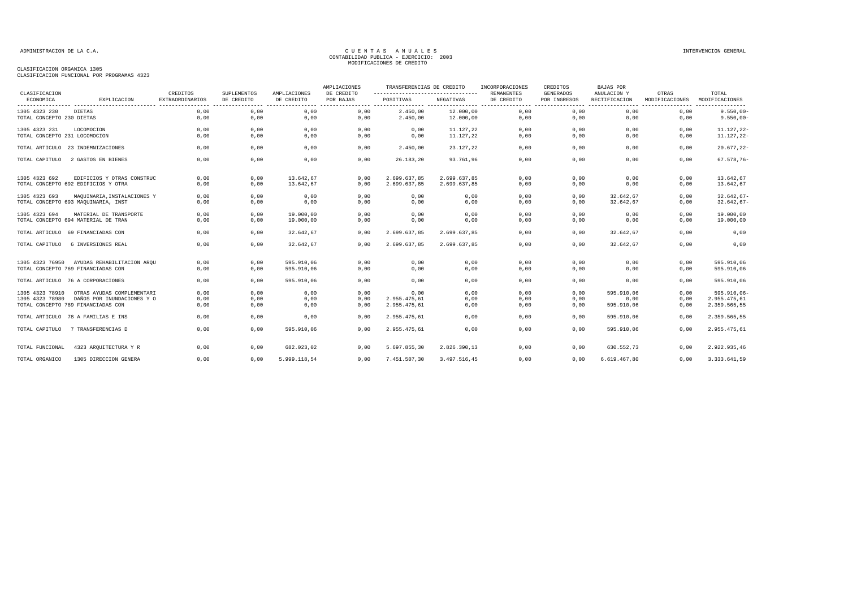| CLASIFICACION                 |                                     | CREDITOS               | SUPLEMENTOS | AMPLIACIONES | AMPLIACIONES<br>DE CREDITO | TRANSFERENCIAS DE CREDITO<br>--------------------------------- |              | INCORPORACIONES<br>REMANENTES | CREDITOS<br>GENERADOS | BAJAS POR<br>ANULACION Y          | OTRAS                              | TOTAL                              |
|-------------------------------|-------------------------------------|------------------------|-------------|--------------|----------------------------|----------------------------------------------------------------|--------------|-------------------------------|-----------------------|-----------------------------------|------------------------------------|------------------------------------|
| ECONOMICA                     | EXPLICACION                         | <b>EXTRAORDINARIOS</b> | DE CREDITO  | DE CREDITO   | POR BAJAS                  | POSITIVAS                                                      | NEGATIVAS    | DE CREDITO                    | POR INGRESOS          | RECTIFICACION<br>---------------- | MODIFICACIONES<br>---------------- | MODIFICACIONES<br>---------------- |
| 1305 4323 230                 | DIETAS                              | 0,00                   | 0,00        | 0,00         | 0,00                       | 2.450,00                                                       | 12.000,00    | 0,00                          | 0,00                  | 0,00                              | 0,00                               | $9.550,00 -$                       |
| TOTAL CONCEPTO 230 DIETAS     |                                     | 0,00                   | 0,00        | 0,00         | 0,00                       | 2.450,00                                                       | 12.000,00    | 0,00                          | 0,00                  | 0,00                              | 0,00                               | $9.550,00 -$                       |
| 1305 4323 231                 | LOCOMOCION                          | 0.00                   | 0.00        | 0,00         | 0.00                       | 0,00                                                           | 11.127,22    | 0,00                          | 0.00                  | 0.00                              | 0.00                               | $11.127.22 -$                      |
| TOTAL CONCEPTO 231 LOCOMOCION |                                     | 0,00                   | 0,00        | 0,00         | 0,00                       | 0,00                                                           | 11.127,22    | 0,00                          | 0,00                  | 0,00                              | 0,00                               | $11.127, 22 -$                     |
|                               | TOTAL ARTICULO 23 INDEMNIZACIONES   | 0,00                   | 0,00        | 0,00         | 0,00                       | 2.450,00                                                       | 23.127,22    | 0,00                          | 0,00                  | 0,00                              | 0,00                               | $20.677, 22 -$                     |
| TOTAL CAPITULO                | 2 GASTOS EN BIENES                  | 0,00                   | 0,00        | 0,00         | 0,00                       | 26.183,20                                                      | 93.761,96    | 0,00                          | 0,00                  | 0,00                              | 0,00                               | $67.578,76-$                       |
| 1305 4323 692                 | EDIFICIOS Y OTRAS CONSTRUC          | 0,00                   | 0,00        | 13.642,67    | 0,00                       | 2.699.637,85                                                   | 2.699.637,85 | 0,00                          | 0,00                  | 0,00                              | 0,00                               | 13.642,67                          |
|                               | TOTAL CONCEPTO 692 EDIFICIOS Y OTRA | 0,00                   | 0,00        | 13.642,67    | 0,00                       | 2.699.637,85                                                   | 2.699.637,85 | 0,00                          | 0,00                  | 0,00                              | 0,00                               | 13.642,67                          |
| 1305 4323 693                 | MAQUINARIA, INSTALACIONES Y         | 0,00                   | 0,00        | 0,00         | 0,00                       | 0,00                                                           | 0,00         | 0,00                          | 0,00                  | 32.642,67                         | 0,00                               | $32.642,67-$                       |
|                               | TOTAL CONCEPTO 693 MAQUINARIA, INST | 0,00                   | 0,00        | 0,00         | 0,00                       | 0,00                                                           | 0,00         | 0,00                          | 0.00                  | 32.642,67                         | 0,00                               | $32.642,67-$                       |
| 1305 4323 694                 | MATERIAL DE TRANSPORTE              | 0,00                   | 0,00        | 19.000,00    | 0,00                       | 0,00                                                           | 0,00         | 0,00                          | 0.00                  | 0,00                              | 0,00                               | 19.000,00                          |
|                               | TOTAL CONCEPTO 694 MATERIAL DE TRAN | 0,00                   | 0,00        | 19.000,00    | 0,00                       | 0,00                                                           | 0,00         | 0,00                          | 0,00                  | 0,00                              | 0,00                               | 19.000,00                          |
|                               | TOTAL ARTICULO 69 FINANCIADAS CON   | 0,00                   | 0,00        | 32.642,67    | 0,00                       | 2.699.637,85                                                   | 2.699.637,85 | 0,00                          | 0,00                  | 32.642,67                         | 0,00                               | 0,00                               |
| TOTAL CAPITULO                | 6 INVERSIONES REAL                  | 0,00                   | 0,00        | 32.642,67    | 0.00                       | 2.699.637,85                                                   | 2.699.637,85 | 0,00                          | 0,00                  | 32.642,67                         | 0,00                               | 0,00                               |
| 1305 4323 76950               | AYUDAS REHABILITACION ARQU          | 0,00                   | 0,00        | 595.910,06   | 0,00                       | 0,00                                                           | 0,00         | 0,00                          | 0,00                  | 0,00                              | 0,00                               | 595.910,06                         |
|                               | TOTAL CONCEPTO 769 FINANCIADAS CON  | 0,00                   | 0,00        | 595.910,06   | 0,00                       | 0,00                                                           | 0,00         | 0,00                          | 0,00                  | 0,00                              | 0,00                               | 595.910,06                         |
|                               | TOTAL ARTICULO 76 A CORPORACIONES   | 0,00                   | 0,00        | 595.910,06   | 0,00                       | 0,00                                                           | 0,00         | 0,00                          | 0,00                  | 0.00                              | 0,00                               | 595.910,06                         |
| 1305 4323 78910               | OTRAS AYUDAS COMPLEMENTARI          | 0,00                   | 0,00        | 0,00         | 0,00                       | 0,00                                                           | 0,00         | 0,00                          | 0,00                  | 595.910,06                        | 0,00                               | 595.910,06-                        |
| 1305 4323 78980               | DAÑOS POR INUNDACIONES Y O          | 0,00                   | 0,00        | 0,00         | 0,00                       | 2.955.475,61                                                   | 0,00         | 0,00                          | 0,00                  | 0,00                              | 0,00                               | 2.955.475,61                       |
|                               | TOTAL CONCEPTO 789 FINANCIADAS CON  | 0.00                   | 0,00        | 0,00         | 0,00                       | 2.955.475,61                                                   | 0,00         | 0,00                          | 0.00                  | 595.910,06                        | 0,00                               | 2.359.565,55                       |
| TOTAL ARTICULO                | 78 A FAMILIAS E INS                 | 0,00                   | 0,00        | 0,00         | 0,00                       | 2.955.475,61                                                   | 0,00         | 0,00                          | 0,00                  | 595.910,06                        | 0,00                               | 2.359.565,55                       |
| TOTAL CAPITULO                | 7 TRANSFERENCIAS D                  | 0,00                   | 0,00        | 595.910,06   | 0.00                       | 2.955.475,61                                                   | 0,00         | 0,00                          | 0,00                  | 595.910,06                        | 0,00                               | 2.955.475,61                       |
| TOTAL FUNCIONAL               | 4323 ARQUITECTURA Y R               | 0,00                   | 0,00        | 682.023,02   | 0,00                       | 5.697.855,30                                                   | 2.826.390,13 | 0,00                          | 0,00                  | 630.552,73                        | 0,00                               | 2.922.935,46                       |
| TOTAL ORGANICO                | 1305 DIRECCION GENERA               | 0,00                   | 0,00        | 5.999.118,54 | 0.00                       | 7.451.507,30                                                   | 3.497.516,45 | 0,00                          | 0,00                  | 6.619.467,80                      | 0.00                               | 3.333.641,59                       |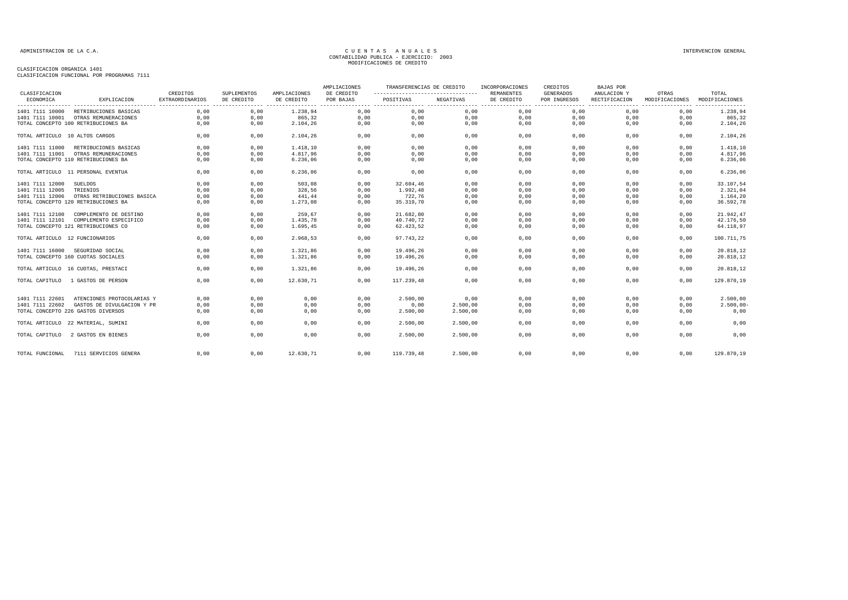| CLASIFICACION                  |                                     | CREDITOS               | SUPLEMENTOS | AMPLIACIONES | AMPLIACIONES<br>DE CREDITO | TRANSFERENCIAS DE CREDITO<br>--------------------------------- |           | INCORPORACIONES<br><b>REMANENTES</b> | CREDITOS<br><b>GENERADOS</b> | <b>BAJAS POR</b><br>ANULACION Y | OTRAS                                                 | TOTAL                              |
|--------------------------------|-------------------------------------|------------------------|-------------|--------------|----------------------------|----------------------------------------------------------------|-----------|--------------------------------------|------------------------------|---------------------------------|-------------------------------------------------------|------------------------------------|
| ECONOMICA                      | EXPLICACION                         | <b>EXTRAORDINARIOS</b> | DE CREDITO  | DE CREDITO   | POR BAJAS                  | POSITIVAS                                                      | NEGATIVAS | DE CREDITO                           | POR INGRESOS                 | RECTIFICACION                   | MODIFICACIONES<br>----------------- ----------------- | MODIFICACIONES<br>---------------- |
| 1401 7111 10000                | RETRIBUCIONES BASICAS               | 0,00                   | 0,00        | 1.238,94     | 0,00                       | 0,00                                                           | 0,00      | 0,00                                 | 0,00                         | 0,00                            | 0,00                                                  | 1.238,94                           |
| 1401 7111 10001                | OTRAS REMUNERACIONES                | 0,00                   | 0,00        | 865,32       | 0,00                       | 0,00                                                           | 0,00      | 0,00                                 | 0,00                         | 0,00                            | 0,00                                                  | 865,32                             |
|                                | TOTAL CONCEPTO 100 RETRIBUCIONES BA | 0,00                   | 0,00        | 2.104,26     | 0,00                       | 0,00                                                           | 0,00      | 0,00                                 | 0,00                         | 0,00                            | 0,00                                                  | 2.104,26                           |
| TOTAL ARTICULO 10 ALTOS CARGOS |                                     | 0,00                   | 0,00        | 2.104,26     | 0,00                       | 0,00                                                           | 0,00      | 0,00                                 | 0,00                         | 0,00                            | 0.00                                                  | 2.104,26                           |
| 1401 7111 11000                | RETRIBUCIONES BASICAS               | 0,00                   | 0,00        | 1.418,10     | 0,00                       | 0,00                                                           | 0,00      | 0,00                                 | 0,00                         | 0,00                            | 0,00                                                  | 1.418,10                           |
| 1401 7111 11001                | OTRAS REMUNERACIONES                | 0,00                   | 0,00        | 4.817,96     | 0,00                       | 0,00                                                           | 0,00      | 0,00                                 | 0,00                         | 0,00                            | 0,00                                                  | 4.817,96                           |
|                                | TOTAL CONCEPTO 110 RETRIBUCIONES BA | 0,00                   | 0,00        | 6.236,06     | 0,00                       | 0,00                                                           | 0,00      | 0,00                                 | 0,00                         | 0,00                            | 0,00                                                  | 6.236,06                           |
|                                | TOTAL ARTICULO 11 PERSONAL EVENTUA  | 0,00                   | 0,00        | 6.236,06     | 0,00                       | 0,00                                                           | 0,00      | 0,00                                 | 0,00                         | 0,00                            | 0,00                                                  | 6.236,06                           |
| 1401 7111 12000                | SUELDOS                             | 0,00                   | 0,00        | 503,08       | 0,00                       | 32.604,46                                                      | 0,00      | 0,00                                 | 0,00                         | 0,00                            | 0,00                                                  | 33.107,54                          |
| 1401 7111 12005                | TRIENIOS                            | 0,00                   | 0,00        | 328,56       | 0,00                       | 1.992,48                                                       | 0,00      | 0,00                                 | 0,00                         | 0,00                            | 0.00                                                  | 2.321,04                           |
| 1401 7111 12006                | OTRAS RETRIBUCIONES BASICA          | 0,00                   | 0,00        | 441,44       | 0,00                       | 722,76                                                         | 0,00      | 0,00                                 | 0,00                         | 0,00                            | 0,00                                                  | 1.164,20                           |
|                                | TOTAL CONCEPTO 120 RETRIBUCIONES BA | 0,00                   | 0,00        | 1.273,08     | 0,00                       | 35.319,70                                                      | 0,00      | 0,00                                 | 0,00                         | 0,00                            | 0,00                                                  | 36.592,78                          |
| 1401 7111 12100                | COMPLEMENTO DE DESTINO              | 0,00                   | 0,00        | 259.67       | 0,00                       | 21.682,80                                                      | 0,00      | 0,00                                 | 0,00                         | 0,00                            | 0,00                                                  | 21.942,47                          |
| 1401 7111 12101                | COMPLEMENTO ESPECIFICO              | 0,00                   | 0,00        | 1.435,78     | 0,00                       | 40.740,72                                                      | 0,00      | 0,00                                 | 0,00                         | 0,00                            | 0,00                                                  | 42.176,50                          |
|                                | TOTAL CONCEPTO 121 RETRIBUCIONES CO | 0,00                   | 0,00        | 1.695,45     | 0,00                       | 62.423,52                                                      | 0,00      | 0,00                                 | 0,00                         | 0,00                            | 0,00                                                  | 64.118,97                          |
| TOTAL ARTICULO 12 FUNCIONARIOS |                                     | 0,00                   | 0,00        | 2.968,53     | 0,00                       | 97.743,22                                                      | 0,00      | 0,00                                 | 0,00                         | 0,00                            | 0,00                                                  | 100.711,75                         |
| 1401 7111 16000                | SEGURIDAD SOCIAL                    | 0,00                   | 0,00        | 1.321,86     | 0,00                       | 19.496.26                                                      | 0,00      | 0,00                                 | 0,00                         | 0,00                            | 0,00                                                  | 20.818,12                          |
|                                | TOTAL CONCEPTO 160 CUOTAS SOCIALES  | 0,00                   | 0,00        | 1.321,86     | 0,00                       | 19.496,26                                                      | 0,00      | 0,00                                 | 0,00                         | 0,00                            | 0,00                                                  | 20.818,12                          |
|                                | TOTAL ARTICULO 16 CUOTAS, PRESTACI  | 0,00                   | 0,00        | 1.321,86     | 0,00                       | 19.496.26                                                      | 0,00      | 0,00                                 | 0,00                         | 0,00                            | 0,00                                                  | 20.818,12                          |
| TOTAL CAPITULO                 | 1 GASTOS DE PERSON                  | 0,00                   | 0,00        | 12.630,71    | 0,00                       | 117.239,48                                                     | 0,00      | 0,00                                 | 0,00                         | 0,00                            | 0.00                                                  | 129.870,19                         |
| 1401 7111 22601                | ATENCIONES PROTOCOLARIAS Y          | 0,00                   | 0,00        | 0,00         | 0,00                       | 2.500,00                                                       | 0,00      | 0,00                                 | 0,00                         | 0,00                            | 0,00                                                  | 2.500,00                           |
| 1401 7111 22602                | GASTOS DE DIVULGACION Y PR          | 0,00                   | 0,00        | 0,00         | 0,00                       | 0,00                                                           | 2.500,00  | 0,00                                 | 0,00                         | 0,00                            | 0,00                                                  | $2.500,00 -$                       |
|                                | TOTAL CONCEPTO 226 GASTOS DIVERSOS  | 0,00                   | 0,00        | 0,00         | 0,00                       | 2.500,00                                                       | 2.500,00  | 0,00                                 | 0,00                         | 0,00                            | 0,00                                                  | 0,00                               |
|                                | TOTAL ARTICULO 22 MATERIAL, SUMINI  | 0.00                   | 0,00        | 0,00         | 0.00                       | 2.500,00                                                       | 2.500,00  | 0,00                                 | 0,00                         | 0.00                            | 0,00                                                  | 0,00                               |
| TOTAL CAPITULO                 | 2 GASTOS EN BIENES                  | 0.00                   | 0,00        | 0,00         | 0,00                       | 2.500,00                                                       | 2.500.00  | 0.00                                 | 0,00                         | 0.00                            | 0.00                                                  | 0,00                               |
| TOTAL FUNCIONAL                | 7111 SERVICIOS GENERA               | 0,00                   | 0,00        | 12.630,71    | 0,00                       | 119.739,48                                                     | 2.500,00  | 0,00                                 | 0,00                         | 0,00                            | 0,00                                                  | 129.870,19                         |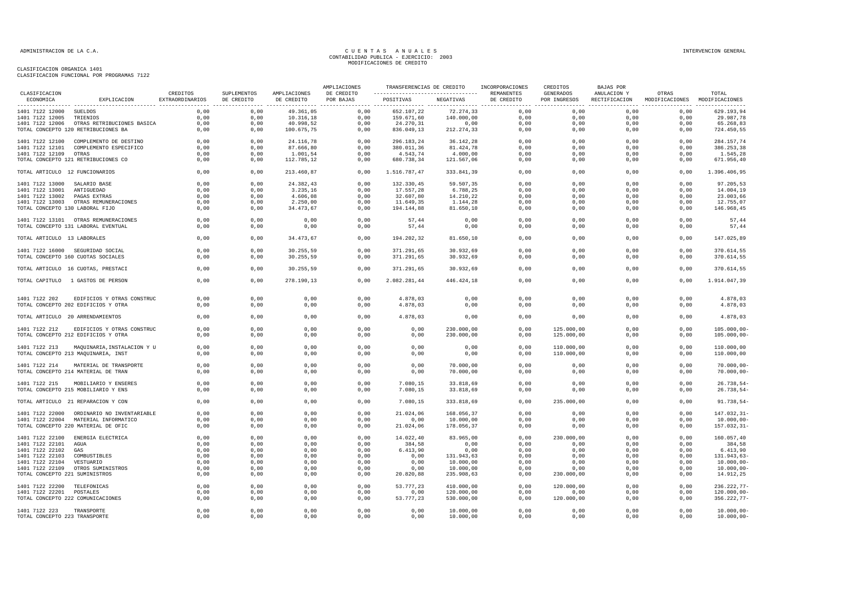| ECONOMICA<br>EXPLICACION<br>EXTRAORDINARIOS<br>DE CREDITO<br>DE CREDITO<br>POR BAJAS<br>POSITIVAS<br>NEGATIVAS<br>DE CREDITO<br>POR INGRESOS<br>RECTIFICACION<br>MODIFICACIONES MODIFICACIONES<br>0,00<br>652.107,22<br>72.274,33<br>0,00<br>0,00<br>629.193,94<br>1401 7122 12000 SUELDOS<br>0,00<br>0,00<br>49.361,05<br>0,00<br>0,00<br>1401 7122 12005<br>TRIENIOS<br>0,00<br>0,00<br>10.316,18<br>0,00<br>159.671,60<br>140.000,00<br>0,00<br>0,00<br>0,00<br>0,00<br>29.987,78<br>1401 7122 12006 OTRAS RETRIBUCIONES BASICA<br>0,00<br>0,00<br>40.998,52<br>0,00<br>24.270,31<br>0,00<br>0,00<br>0,00<br>0,00<br>65.268,83<br>0,00<br>836.049,13<br>TOTAL CONCEPTO 120 RETRIBUCIONES BA<br>0,00<br>100.675,75<br>0,00<br>212.274,33<br>0,00<br>0,00<br>0,00<br>724.450,55<br>0,00<br>0,00<br>1401 7122 12100<br>COMPLEMENTO DE DESTINO<br>0,00<br>0,00<br>24.116,78<br>0,00<br>296.183,24<br>36.142,28<br>0,00<br>0,00<br>0,00<br>0,00<br>284.157,74<br>0,00<br>87.666,80<br>0,00<br>81.424,78<br>0,00<br>0,00<br>386.253,38<br>1401 7122 12101<br>COMPLEMENTO ESPECIFICO<br>0,00<br>380.011,36<br>0,00<br>0,00<br>1401 7122 12109<br>0,00<br>0,00<br>1.001,54<br>0,00<br>4.543,74<br>4.000,00<br>0,00<br>0,00<br>0,00<br>0,00<br>1.545,28<br>OTRAS<br>0,00<br>671.956,40<br>TOTAL CONCEPTO 121 RETRIBUCIONES CO<br>0,00<br>112.785,12<br>0,00<br>680.738,34<br>121.567,06<br>0,00<br>0,00<br>0,00<br>0,00<br>0,00<br>0,00<br>213.460,87<br>0,00<br>1.516.787,47<br>333.841,39<br>0,00<br>0,00<br>0,00<br>0,00<br>1.396.406,95<br>TOTAL ARTICULO 12 FUNCIONARIOS<br>1401 7122 13000 SALARIO BASE<br>0,00<br>0,00<br>24.382,43<br>0,00<br>132.330,45<br>59.507,35<br>0,00<br>0,00<br>0,00<br>0,00<br>97.205,53<br>1401 7122 13001 ANTIGUEDAD<br>0,00<br>0,00<br>3.235,16<br>0,00<br>17.557,28<br>6.788,25<br>0,00<br>0.00<br>0,00<br>0,00<br>14.004,19<br>1401 7122 13002 PAGAS EXTRAS<br>0,00<br>0,00<br>4.606,08<br>0,00<br>32.607,80<br>14.210,22<br>0,00<br>0,00<br>0,00<br>0,00<br>23.003,66<br>11.649,35<br>12.755,07<br>1401 7122 13003 OTRAS REMUNERACIONES<br>0,00<br>0,00<br>2.250,00<br>0,00<br>1.144,28<br>0,00<br>0,00<br>0,00<br>0,00<br>146.968,45<br>TOTAL CONCEPTO 130 LABORAL FIJO<br>0,00<br>34.473,67<br>0,00<br>194.144,88<br>81.650,10<br>0,00<br>0,00<br>0,00<br>0,00<br>0,00<br>0,00<br>0,00<br>0,00<br>0,00<br>57,44<br>0,00<br>0,00<br>0,00<br>0,00<br>0,00<br>57,44<br>1401 7122 13101 OTRAS REMUNERACIONES<br>TOTAL CONCEPTO 131 LABORAL EVENTUAL<br>0,00<br>0,00<br>0,00<br>0,00<br>57,44<br>0,00<br>0,00<br>0,00<br>0,00<br>0,00<br>57,44<br>0,00<br>34.473,67<br>0,00<br>194.202,32<br>0,00<br>147.025,89<br>0,00<br>81.650,10<br>0,00<br>0,00<br>0,00<br>TOTAL ARTICULO 13 LABORALES<br>0,00<br>0,00<br>0,00<br>0,00<br>370.614,55<br>1401 7122 16000 SEGURIDAD SOCIAL<br>30.255,59<br>371.291,65<br>30.932,69<br>0,00<br>0,00<br>0,00<br>TOTAL CONCEPTO 160 CUOTAS SOCIALES<br>0,00<br>0,00<br>30.255,59<br>0,00<br>371.291,65<br>30.932,69<br>0,00<br>0,00<br>0,00<br>0,00<br>370.614,55<br>TOTAL ARTICULO 16 CUOTAS, PRESTACI<br>0.00<br>0,00<br>30.255,59<br>0,00<br>371.291,65<br>30.932,69<br>0,00<br>0,00<br>0,00<br>0,00<br>370.614,55<br>0,00<br>0,00<br>278.190,13<br>2.082.281,44<br>446.424,18<br>0,00<br>0,00<br>0,00<br>0,00<br>1.914.047,39<br>TOTAL CAPITULO 1 GASTOS DE PERSON<br>0,00<br>0,00<br>0,00<br>0,00<br>0,00<br>4.878,03<br>0,00<br>0,00<br>0,00<br>0,00<br>0,00<br>4.878,03<br>1401 7122 202<br>EDIFICIOS Y OTRAS CONSTRUC<br>TOTAL CONCEPTO 202 EDIFICIOS Y OTRA<br>0,00<br>0,00<br>0,00<br>0,00<br>4.878,03<br>0,00<br>0,00<br>0,00<br>0,00<br>0,00<br>4.878,03<br>0,00<br>0,00<br>0,00<br>0,00<br>0,00<br>0,00<br>0,00<br>4.878,03<br>TOTAL ARTICULO 20 ARRENDAMIENTOS<br>0,00<br>4.878,03<br>0,00<br>1401 7122 212<br>EDIFICIOS Y OTRAS CONSTRUC<br>0,00<br>0,00<br>0,00<br>0,00<br>0,00<br>230.000,00<br>0,00<br>125.000,00<br>0,00<br>0,00<br>$105.000,00 -$<br>TOTAL CONCEPTO 212 EDIFICIOS Y OTRA<br>0,00<br>0,00<br>0,00<br>0,00<br>230.000,00<br>0,00<br>125.000,00<br>0,00<br>0,00<br>105.000,00-<br>0,00<br>0,00<br>0,00<br>0,00<br>0,00<br>0,00<br>0,00<br>0,00<br>110.000,00<br>0,00<br>0,00<br>110.000,00<br>1401 7122 213 MAQUINARIA, INSTALACION Y U<br>TOTAL CONCEPTO 213 MAQUINARIA, INST<br>0,00<br>0,00<br>0,00<br>0,00<br>0,00<br>0,00<br>110.000,00<br>0,00<br>110.000,00<br>0,00<br>0,00<br>0,00<br>0,00<br>1401 7122 214<br>MATERIAL DE TRANSPORTE<br>0,00<br>0,00<br>0,00<br>0,00<br>70.000,00<br>0,00<br>0,00<br>0,00<br>70.000,00<br>TOTAL CONCEPTO 214 MATERIAL DE TRAN<br>0,00<br>0,00<br>0,00<br>0,00<br>0,00<br>70.000,00<br>0,00<br>0,00<br>0,00<br>0,00<br>$70.000,00 -$<br>0,00<br>0,00<br>0,00<br>0,00<br>7.080,15<br>33.818,69<br>0,00<br>0,00<br>0,00<br>0,00<br>26.738,54<br>1401 7122 215<br>MOBILIARIO Y ENSERES<br>7.080,15<br>26.738,54<br>TOTAL CONCEPTO 215 MOBILIARIO Y ENS<br>0,00<br>0,00<br>0,00<br>0,00<br>33.818,69<br>0,00<br>0,00<br>0,00<br>0,00<br>0,00<br>0,00<br>235.000,00<br>0,00<br>91.738,54-<br>TOTAL ARTICULO 21 REPARACION Y CON<br>0,00<br>0,00<br>7.080,15<br>333.818,69<br>0,00<br>0,00<br>0,00<br>0,00<br>0,00<br>0,00<br>21.024,06<br>168.056,37<br>0,00<br>0,00<br>0,00<br>0,00<br>147.032,31-<br>1401 7122 22000 ORDINARIO NO INVENTARIABLE<br>1401 7122 22004 MATERIAL INFORMATICO<br>0.00<br>0,00<br>0,00<br>0,00<br>0.00<br>10.000,00<br>0.00<br>0.00<br>0.00<br>0,00<br>10.000,00<br>0,00<br>0,00<br>178.056,37<br>0,00<br>157.032,31-<br>TOTAL CONCEPTO 220 MATERIAL DE OFIC<br>0,00<br>0,00<br>21.024,06<br>0,00<br>0,00<br>0,00<br>0,00<br>0,00<br>0,00<br>0,00<br>14.022,40<br>83.965,00<br>0,00<br>230.000,00<br>0,00<br>0,00<br>160.057,40<br>1401 7122 22100<br>ENERGIA ELECTRICA<br>1401 7122 22101<br>0,00<br>0,00<br>0,00<br>0,00<br>384,58<br>0,00<br>0,00<br>0,00<br>0,00<br>0,00<br>384,58<br>AGUA<br>1401 7122 22102<br>0,00<br>0,00<br>0,00<br>6.413,90<br>0,00<br>0,00<br>0,00<br>0,00<br>6.413,90<br>GAS<br>0,00<br>0,00<br>131.943,63<br>1401 7122 22103<br>COMBUSTIBLES<br>0,00<br>0,00<br>0,00<br>0,00<br>0,00<br>131.943,63<br>0,00<br>0,00<br>0,00<br>0,00<br>0,00<br>0,00<br>10.000,00<br>0,00<br>0,00<br>10.000,00<br>1401 7122 22104<br>VESTUARIO<br>0,00<br>0,00<br>0,00<br>0,00<br>0,00<br>0,00<br>0,00<br>10.000,00<br>1401 7122 22109<br>OTROS SUMINISTROS<br>0,00<br>0,00<br>0,00<br>10.000,00<br>0,00<br>0,00<br>0,00<br>0,00<br>0,00<br>0,00<br>0,00<br>14.912,25<br>TOTAL CONCEPTO 221 SUMINISTROS<br>0,00<br>0,00<br>20.820,88<br>235.908,63<br>230.000,00<br>0,00<br>0,00<br>1401 7122 22200 TELEFONICAS<br>0,00<br>0,00<br>0,00<br>0,00<br>53.777,23<br>410.000,00<br>0,00<br>120.000,00<br>0,00<br>0,00<br>236.222,77-<br>1401 7122 22201 POSTALES<br>0.00<br>0,00<br>0,00<br>0,00<br>0.00<br>120.000,00<br>0.00<br>0,00<br>0,00<br>0,00<br>$120.000,00 -$<br>TOTAL CONCEPTO 222 COMUNICACIONES<br>0,00<br>0,00<br>53.777,23<br>530.000,00<br>0,00<br>120.000,00<br>0,00<br>0,00<br>356.222,77-<br>0,00<br>0,00<br>0,00<br>0,00<br>0.00<br>0.00<br>0,00<br>1401 7122 223<br>TRANSPORTE<br>0,00<br>0,00<br>0.00<br>10.000,00<br>0,00<br>$10.000,00 -$<br>$10.000,00-$<br>TOTAL CONCEPTO 223 TRANSPORTE<br>0,00<br>0,00<br>0,00<br>0,00<br>0,00<br>10.000,00<br>0,00<br>0,00<br>0,00<br>0,00 |               |          |             |              | AMPLIACIONES | TRANSFERENCIAS DE CREDITO | INCORPORACIONES | CREDITOS  | BAJAS POR   |       |       |
|------------------------------------------------------------------------------------------------------------------------------------------------------------------------------------------------------------------------------------------------------------------------------------------------------------------------------------------------------------------------------------------------------------------------------------------------------------------------------------------------------------------------------------------------------------------------------------------------------------------------------------------------------------------------------------------------------------------------------------------------------------------------------------------------------------------------------------------------------------------------------------------------------------------------------------------------------------------------------------------------------------------------------------------------------------------------------------------------------------------------------------------------------------------------------------------------------------------------------------------------------------------------------------------------------------------------------------------------------------------------------------------------------------------------------------------------------------------------------------------------------------------------------------------------------------------------------------------------------------------------------------------------------------------------------------------------------------------------------------------------------------------------------------------------------------------------------------------------------------------------------------------------------------------------------------------------------------------------------------------------------------------------------------------------------------------------------------------------------------------------------------------------------------------------------------------------------------------------------------------------------------------------------------------------------------------------------------------------------------------------------------------------------------------------------------------------------------------------------------------------------------------------------------------------------------------------------------------------------------------------------------------------------------------------------------------------------------------------------------------------------------------------------------------------------------------------------------------------------------------------------------------------------------------------------------------------------------------------------------------------------------------------------------------------------------------------------------------------------------------------------------------------------------------------------------------------------------------------------------------------------------------------------------------------------------------------------------------------------------------------------------------------------------------------------------------------------------------------------------------------------------------------------------------------------------------------------------------------------------------------------------------------------------------------------------------------------------------------------------------------------------------------------------------------------------------------------------------------------------------------------------------------------------------------------------------------------------------------------------------------------------------------------------------------------------------------------------------------------------------------------------------------------------------------------------------------------------------------------------------------------------------------------------------------------------------------------------------------------------------------------------------------------------------------------------------------------------------------------------------------------------------------------------------------------------------------------------------------------------------------------------------------------------------------------------------------------------------------------------------------------------------------------------------------------------------------------------------------------------------------------------------------------------------------------------------------------------------------------------------------------------------------------------------------------------------------------------------------------------------------------------------------------------------------------------------------------------------------------------------------------------------------------------------------------------------------------------------------------------------------------------------------------------------------------------------------------------------------------------------------------------------------------------------------------------------------------------------------------------------------------------------------------------------------------------------------------------------------------------------------------------------------------------------------------------------------------------------------------------------------------------------------------------------------------------------------------------------------------------------------------------------------------------------------------------------------------------------------------------------------------------------------------------------------------------------------------------------------------------------------------------------------------------------------------------------------------------------------------------------------------------------------------------------------------------------------------------------------------------------------------------------------------------------------------------------------------------------------------------------------------------------------------------------------------------------------------------------------------------------------------------------------------------------------------------------------------------------------------------------------------------------------------------------------------------------------------------------------------------------------------------------------------------------------------------------------------------------------------------------------------------------------------------------------------------------------------------------------------------------------------------------------------|---------------|----------|-------------|--------------|--------------|---------------------------|-----------------|-----------|-------------|-------|-------|
|                                                                                                                                                                                                                                                                                                                                                                                                                                                                                                                                                                                                                                                                                                                                                                                                                                                                                                                                                                                                                                                                                                                                                                                                                                                                                                                                                                                                                                                                                                                                                                                                                                                                                                                                                                                                                                                                                                                                                                                                                                                                                                                                                                                                                                                                                                                                                                                                                                                                                                                                                                                                                                                                                                                                                                                                                                                                                                                                                                                                                                                                                                                                                                                                                                                                                                                                                                                                                                                                                                                                                                                                                                                                                                                                                                                                                                                                                                                                                                                                                                                                                                                                                                                                                                                                                                                                                                                                                                                                                                                                                                                                                                                                                                                                                                                                                                                                                                                                                                                                                                                                                                                                                                                                                                                                                                                                                                                                                                                                                                                                                                                                                                                                                                                                                                                                                                                                                                                                                                                                                                                                                                                                                                                                                                                                                                                                                                                                                                                                                                                                                                                                                                                                                                                                                                                                                                                                                                                                                                                                                                                                                                                                                                                                                                                                              | CLASIFICACION | CREDITOS | SUPLEMENTOS | AMPLIACIONES | DE CREDITO   |                           | REMANENTES      | GENERADOS | ANULACION Y | OTRAS | TOTAL |
|                                                                                                                                                                                                                                                                                                                                                                                                                                                                                                                                                                                                                                                                                                                                                                                                                                                                                                                                                                                                                                                                                                                                                                                                                                                                                                                                                                                                                                                                                                                                                                                                                                                                                                                                                                                                                                                                                                                                                                                                                                                                                                                                                                                                                                                                                                                                                                                                                                                                                                                                                                                                                                                                                                                                                                                                                                                                                                                                                                                                                                                                                                                                                                                                                                                                                                                                                                                                                                                                                                                                                                                                                                                                                                                                                                                                                                                                                                                                                                                                                                                                                                                                                                                                                                                                                                                                                                                                                                                                                                                                                                                                                                                                                                                                                                                                                                                                                                                                                                                                                                                                                                                                                                                                                                                                                                                                                                                                                                                                                                                                                                                                                                                                                                                                                                                                                                                                                                                                                                                                                                                                                                                                                                                                                                                                                                                                                                                                                                                                                                                                                                                                                                                                                                                                                                                                                                                                                                                                                                                                                                                                                                                                                                                                                                                                              |               |          |             |              |              |                           |                 |           |             |       |       |
|                                                                                                                                                                                                                                                                                                                                                                                                                                                                                                                                                                                                                                                                                                                                                                                                                                                                                                                                                                                                                                                                                                                                                                                                                                                                                                                                                                                                                                                                                                                                                                                                                                                                                                                                                                                                                                                                                                                                                                                                                                                                                                                                                                                                                                                                                                                                                                                                                                                                                                                                                                                                                                                                                                                                                                                                                                                                                                                                                                                                                                                                                                                                                                                                                                                                                                                                                                                                                                                                                                                                                                                                                                                                                                                                                                                                                                                                                                                                                                                                                                                                                                                                                                                                                                                                                                                                                                                                                                                                                                                                                                                                                                                                                                                                                                                                                                                                                                                                                                                                                                                                                                                                                                                                                                                                                                                                                                                                                                                                                                                                                                                                                                                                                                                                                                                                                                                                                                                                                                                                                                                                                                                                                                                                                                                                                                                                                                                                                                                                                                                                                                                                                                                                                                                                                                                                                                                                                                                                                                                                                                                                                                                                                                                                                                                                              |               |          |             |              |              |                           |                 |           |             |       |       |
|                                                                                                                                                                                                                                                                                                                                                                                                                                                                                                                                                                                                                                                                                                                                                                                                                                                                                                                                                                                                                                                                                                                                                                                                                                                                                                                                                                                                                                                                                                                                                                                                                                                                                                                                                                                                                                                                                                                                                                                                                                                                                                                                                                                                                                                                                                                                                                                                                                                                                                                                                                                                                                                                                                                                                                                                                                                                                                                                                                                                                                                                                                                                                                                                                                                                                                                                                                                                                                                                                                                                                                                                                                                                                                                                                                                                                                                                                                                                                                                                                                                                                                                                                                                                                                                                                                                                                                                                                                                                                                                                                                                                                                                                                                                                                                                                                                                                                                                                                                                                                                                                                                                                                                                                                                                                                                                                                                                                                                                                                                                                                                                                                                                                                                                                                                                                                                                                                                                                                                                                                                                                                                                                                                                                                                                                                                                                                                                                                                                                                                                                                                                                                                                                                                                                                                                                                                                                                                                                                                                                                                                                                                                                                                                                                                                                              |               |          |             |              |              |                           |                 |           |             |       |       |
|                                                                                                                                                                                                                                                                                                                                                                                                                                                                                                                                                                                                                                                                                                                                                                                                                                                                                                                                                                                                                                                                                                                                                                                                                                                                                                                                                                                                                                                                                                                                                                                                                                                                                                                                                                                                                                                                                                                                                                                                                                                                                                                                                                                                                                                                                                                                                                                                                                                                                                                                                                                                                                                                                                                                                                                                                                                                                                                                                                                                                                                                                                                                                                                                                                                                                                                                                                                                                                                                                                                                                                                                                                                                                                                                                                                                                                                                                                                                                                                                                                                                                                                                                                                                                                                                                                                                                                                                                                                                                                                                                                                                                                                                                                                                                                                                                                                                                                                                                                                                                                                                                                                                                                                                                                                                                                                                                                                                                                                                                                                                                                                                                                                                                                                                                                                                                                                                                                                                                                                                                                                                                                                                                                                                                                                                                                                                                                                                                                                                                                                                                                                                                                                                                                                                                                                                                                                                                                                                                                                                                                                                                                                                                                                                                                                                              |               |          |             |              |              |                           |                 |           |             |       |       |
|                                                                                                                                                                                                                                                                                                                                                                                                                                                                                                                                                                                                                                                                                                                                                                                                                                                                                                                                                                                                                                                                                                                                                                                                                                                                                                                                                                                                                                                                                                                                                                                                                                                                                                                                                                                                                                                                                                                                                                                                                                                                                                                                                                                                                                                                                                                                                                                                                                                                                                                                                                                                                                                                                                                                                                                                                                                                                                                                                                                                                                                                                                                                                                                                                                                                                                                                                                                                                                                                                                                                                                                                                                                                                                                                                                                                                                                                                                                                                                                                                                                                                                                                                                                                                                                                                                                                                                                                                                                                                                                                                                                                                                                                                                                                                                                                                                                                                                                                                                                                                                                                                                                                                                                                                                                                                                                                                                                                                                                                                                                                                                                                                                                                                                                                                                                                                                                                                                                                                                                                                                                                                                                                                                                                                                                                                                                                                                                                                                                                                                                                                                                                                                                                                                                                                                                                                                                                                                                                                                                                                                                                                                                                                                                                                                                                              |               |          |             |              |              |                           |                 |           |             |       |       |
|                                                                                                                                                                                                                                                                                                                                                                                                                                                                                                                                                                                                                                                                                                                                                                                                                                                                                                                                                                                                                                                                                                                                                                                                                                                                                                                                                                                                                                                                                                                                                                                                                                                                                                                                                                                                                                                                                                                                                                                                                                                                                                                                                                                                                                                                                                                                                                                                                                                                                                                                                                                                                                                                                                                                                                                                                                                                                                                                                                                                                                                                                                                                                                                                                                                                                                                                                                                                                                                                                                                                                                                                                                                                                                                                                                                                                                                                                                                                                                                                                                                                                                                                                                                                                                                                                                                                                                                                                                                                                                                                                                                                                                                                                                                                                                                                                                                                                                                                                                                                                                                                                                                                                                                                                                                                                                                                                                                                                                                                                                                                                                                                                                                                                                                                                                                                                                                                                                                                                                                                                                                                                                                                                                                                                                                                                                                                                                                                                                                                                                                                                                                                                                                                                                                                                                                                                                                                                                                                                                                                                                                                                                                                                                                                                                                                              |               |          |             |              |              |                           |                 |           |             |       |       |
|                                                                                                                                                                                                                                                                                                                                                                                                                                                                                                                                                                                                                                                                                                                                                                                                                                                                                                                                                                                                                                                                                                                                                                                                                                                                                                                                                                                                                                                                                                                                                                                                                                                                                                                                                                                                                                                                                                                                                                                                                                                                                                                                                                                                                                                                                                                                                                                                                                                                                                                                                                                                                                                                                                                                                                                                                                                                                                                                                                                                                                                                                                                                                                                                                                                                                                                                                                                                                                                                                                                                                                                                                                                                                                                                                                                                                                                                                                                                                                                                                                                                                                                                                                                                                                                                                                                                                                                                                                                                                                                                                                                                                                                                                                                                                                                                                                                                                                                                                                                                                                                                                                                                                                                                                                                                                                                                                                                                                                                                                                                                                                                                                                                                                                                                                                                                                                                                                                                                                                                                                                                                                                                                                                                                                                                                                                                                                                                                                                                                                                                                                                                                                                                                                                                                                                                                                                                                                                                                                                                                                                                                                                                                                                                                                                                                              |               |          |             |              |              |                           |                 |           |             |       |       |
|                                                                                                                                                                                                                                                                                                                                                                                                                                                                                                                                                                                                                                                                                                                                                                                                                                                                                                                                                                                                                                                                                                                                                                                                                                                                                                                                                                                                                                                                                                                                                                                                                                                                                                                                                                                                                                                                                                                                                                                                                                                                                                                                                                                                                                                                                                                                                                                                                                                                                                                                                                                                                                                                                                                                                                                                                                                                                                                                                                                                                                                                                                                                                                                                                                                                                                                                                                                                                                                                                                                                                                                                                                                                                                                                                                                                                                                                                                                                                                                                                                                                                                                                                                                                                                                                                                                                                                                                                                                                                                                                                                                                                                                                                                                                                                                                                                                                                                                                                                                                                                                                                                                                                                                                                                                                                                                                                                                                                                                                                                                                                                                                                                                                                                                                                                                                                                                                                                                                                                                                                                                                                                                                                                                                                                                                                                                                                                                                                                                                                                                                                                                                                                                                                                                                                                                                                                                                                                                                                                                                                                                                                                                                                                                                                                                                              |               |          |             |              |              |                           |                 |           |             |       |       |
|                                                                                                                                                                                                                                                                                                                                                                                                                                                                                                                                                                                                                                                                                                                                                                                                                                                                                                                                                                                                                                                                                                                                                                                                                                                                                                                                                                                                                                                                                                                                                                                                                                                                                                                                                                                                                                                                                                                                                                                                                                                                                                                                                                                                                                                                                                                                                                                                                                                                                                                                                                                                                                                                                                                                                                                                                                                                                                                                                                                                                                                                                                                                                                                                                                                                                                                                                                                                                                                                                                                                                                                                                                                                                                                                                                                                                                                                                                                                                                                                                                                                                                                                                                                                                                                                                                                                                                                                                                                                                                                                                                                                                                                                                                                                                                                                                                                                                                                                                                                                                                                                                                                                                                                                                                                                                                                                                                                                                                                                                                                                                                                                                                                                                                                                                                                                                                                                                                                                                                                                                                                                                                                                                                                                                                                                                                                                                                                                                                                                                                                                                                                                                                                                                                                                                                                                                                                                                                                                                                                                                                                                                                                                                                                                                                                                              |               |          |             |              |              |                           |                 |           |             |       |       |
|                                                                                                                                                                                                                                                                                                                                                                                                                                                                                                                                                                                                                                                                                                                                                                                                                                                                                                                                                                                                                                                                                                                                                                                                                                                                                                                                                                                                                                                                                                                                                                                                                                                                                                                                                                                                                                                                                                                                                                                                                                                                                                                                                                                                                                                                                                                                                                                                                                                                                                                                                                                                                                                                                                                                                                                                                                                                                                                                                                                                                                                                                                                                                                                                                                                                                                                                                                                                                                                                                                                                                                                                                                                                                                                                                                                                                                                                                                                                                                                                                                                                                                                                                                                                                                                                                                                                                                                                                                                                                                                                                                                                                                                                                                                                                                                                                                                                                                                                                                                                                                                                                                                                                                                                                                                                                                                                                                                                                                                                                                                                                                                                                                                                                                                                                                                                                                                                                                                                                                                                                                                                                                                                                                                                                                                                                                                                                                                                                                                                                                                                                                                                                                                                                                                                                                                                                                                                                                                                                                                                                                                                                                                                                                                                                                                                              |               |          |             |              |              |                           |                 |           |             |       |       |
|                                                                                                                                                                                                                                                                                                                                                                                                                                                                                                                                                                                                                                                                                                                                                                                                                                                                                                                                                                                                                                                                                                                                                                                                                                                                                                                                                                                                                                                                                                                                                                                                                                                                                                                                                                                                                                                                                                                                                                                                                                                                                                                                                                                                                                                                                                                                                                                                                                                                                                                                                                                                                                                                                                                                                                                                                                                                                                                                                                                                                                                                                                                                                                                                                                                                                                                                                                                                                                                                                                                                                                                                                                                                                                                                                                                                                                                                                                                                                                                                                                                                                                                                                                                                                                                                                                                                                                                                                                                                                                                                                                                                                                                                                                                                                                                                                                                                                                                                                                                                                                                                                                                                                                                                                                                                                                                                                                                                                                                                                                                                                                                                                                                                                                                                                                                                                                                                                                                                                                                                                                                                                                                                                                                                                                                                                                                                                                                                                                                                                                                                                                                                                                                                                                                                                                                                                                                                                                                                                                                                                                                                                                                                                                                                                                                                              |               |          |             |              |              |                           |                 |           |             |       |       |
|                                                                                                                                                                                                                                                                                                                                                                                                                                                                                                                                                                                                                                                                                                                                                                                                                                                                                                                                                                                                                                                                                                                                                                                                                                                                                                                                                                                                                                                                                                                                                                                                                                                                                                                                                                                                                                                                                                                                                                                                                                                                                                                                                                                                                                                                                                                                                                                                                                                                                                                                                                                                                                                                                                                                                                                                                                                                                                                                                                                                                                                                                                                                                                                                                                                                                                                                                                                                                                                                                                                                                                                                                                                                                                                                                                                                                                                                                                                                                                                                                                                                                                                                                                                                                                                                                                                                                                                                                                                                                                                                                                                                                                                                                                                                                                                                                                                                                                                                                                                                                                                                                                                                                                                                                                                                                                                                                                                                                                                                                                                                                                                                                                                                                                                                                                                                                                                                                                                                                                                                                                                                                                                                                                                                                                                                                                                                                                                                                                                                                                                                                                                                                                                                                                                                                                                                                                                                                                                                                                                                                                                                                                                                                                                                                                                                              |               |          |             |              |              |                           |                 |           |             |       |       |
|                                                                                                                                                                                                                                                                                                                                                                                                                                                                                                                                                                                                                                                                                                                                                                                                                                                                                                                                                                                                                                                                                                                                                                                                                                                                                                                                                                                                                                                                                                                                                                                                                                                                                                                                                                                                                                                                                                                                                                                                                                                                                                                                                                                                                                                                                                                                                                                                                                                                                                                                                                                                                                                                                                                                                                                                                                                                                                                                                                                                                                                                                                                                                                                                                                                                                                                                                                                                                                                                                                                                                                                                                                                                                                                                                                                                                                                                                                                                                                                                                                                                                                                                                                                                                                                                                                                                                                                                                                                                                                                                                                                                                                                                                                                                                                                                                                                                                                                                                                                                                                                                                                                                                                                                                                                                                                                                                                                                                                                                                                                                                                                                                                                                                                                                                                                                                                                                                                                                                                                                                                                                                                                                                                                                                                                                                                                                                                                                                                                                                                                                                                                                                                                                                                                                                                                                                                                                                                                                                                                                                                                                                                                                                                                                                                                                              |               |          |             |              |              |                           |                 |           |             |       |       |
|                                                                                                                                                                                                                                                                                                                                                                                                                                                                                                                                                                                                                                                                                                                                                                                                                                                                                                                                                                                                                                                                                                                                                                                                                                                                                                                                                                                                                                                                                                                                                                                                                                                                                                                                                                                                                                                                                                                                                                                                                                                                                                                                                                                                                                                                                                                                                                                                                                                                                                                                                                                                                                                                                                                                                                                                                                                                                                                                                                                                                                                                                                                                                                                                                                                                                                                                                                                                                                                                                                                                                                                                                                                                                                                                                                                                                                                                                                                                                                                                                                                                                                                                                                                                                                                                                                                                                                                                                                                                                                                                                                                                                                                                                                                                                                                                                                                                                                                                                                                                                                                                                                                                                                                                                                                                                                                                                                                                                                                                                                                                                                                                                                                                                                                                                                                                                                                                                                                                                                                                                                                                                                                                                                                                                                                                                                                                                                                                                                                                                                                                                                                                                                                                                                                                                                                                                                                                                                                                                                                                                                                                                                                                                                                                                                                                              |               |          |             |              |              |                           |                 |           |             |       |       |
|                                                                                                                                                                                                                                                                                                                                                                                                                                                                                                                                                                                                                                                                                                                                                                                                                                                                                                                                                                                                                                                                                                                                                                                                                                                                                                                                                                                                                                                                                                                                                                                                                                                                                                                                                                                                                                                                                                                                                                                                                                                                                                                                                                                                                                                                                                                                                                                                                                                                                                                                                                                                                                                                                                                                                                                                                                                                                                                                                                                                                                                                                                                                                                                                                                                                                                                                                                                                                                                                                                                                                                                                                                                                                                                                                                                                                                                                                                                                                                                                                                                                                                                                                                                                                                                                                                                                                                                                                                                                                                                                                                                                                                                                                                                                                                                                                                                                                                                                                                                                                                                                                                                                                                                                                                                                                                                                                                                                                                                                                                                                                                                                                                                                                                                                                                                                                                                                                                                                                                                                                                                                                                                                                                                                                                                                                                                                                                                                                                                                                                                                                                                                                                                                                                                                                                                                                                                                                                                                                                                                                                                                                                                                                                                                                                                                              |               |          |             |              |              |                           |                 |           |             |       |       |
|                                                                                                                                                                                                                                                                                                                                                                                                                                                                                                                                                                                                                                                                                                                                                                                                                                                                                                                                                                                                                                                                                                                                                                                                                                                                                                                                                                                                                                                                                                                                                                                                                                                                                                                                                                                                                                                                                                                                                                                                                                                                                                                                                                                                                                                                                                                                                                                                                                                                                                                                                                                                                                                                                                                                                                                                                                                                                                                                                                                                                                                                                                                                                                                                                                                                                                                                                                                                                                                                                                                                                                                                                                                                                                                                                                                                                                                                                                                                                                                                                                                                                                                                                                                                                                                                                                                                                                                                                                                                                                                                                                                                                                                                                                                                                                                                                                                                                                                                                                                                                                                                                                                                                                                                                                                                                                                                                                                                                                                                                                                                                                                                                                                                                                                                                                                                                                                                                                                                                                                                                                                                                                                                                                                                                                                                                                                                                                                                                                                                                                                                                                                                                                                                                                                                                                                                                                                                                                                                                                                                                                                                                                                                                                                                                                                                              |               |          |             |              |              |                           |                 |           |             |       |       |
|                                                                                                                                                                                                                                                                                                                                                                                                                                                                                                                                                                                                                                                                                                                                                                                                                                                                                                                                                                                                                                                                                                                                                                                                                                                                                                                                                                                                                                                                                                                                                                                                                                                                                                                                                                                                                                                                                                                                                                                                                                                                                                                                                                                                                                                                                                                                                                                                                                                                                                                                                                                                                                                                                                                                                                                                                                                                                                                                                                                                                                                                                                                                                                                                                                                                                                                                                                                                                                                                                                                                                                                                                                                                                                                                                                                                                                                                                                                                                                                                                                                                                                                                                                                                                                                                                                                                                                                                                                                                                                                                                                                                                                                                                                                                                                                                                                                                                                                                                                                                                                                                                                                                                                                                                                                                                                                                                                                                                                                                                                                                                                                                                                                                                                                                                                                                                                                                                                                                                                                                                                                                                                                                                                                                                                                                                                                                                                                                                                                                                                                                                                                                                                                                                                                                                                                                                                                                                                                                                                                                                                                                                                                                                                                                                                                                              |               |          |             |              |              |                           |                 |           |             |       |       |
|                                                                                                                                                                                                                                                                                                                                                                                                                                                                                                                                                                                                                                                                                                                                                                                                                                                                                                                                                                                                                                                                                                                                                                                                                                                                                                                                                                                                                                                                                                                                                                                                                                                                                                                                                                                                                                                                                                                                                                                                                                                                                                                                                                                                                                                                                                                                                                                                                                                                                                                                                                                                                                                                                                                                                                                                                                                                                                                                                                                                                                                                                                                                                                                                                                                                                                                                                                                                                                                                                                                                                                                                                                                                                                                                                                                                                                                                                                                                                                                                                                                                                                                                                                                                                                                                                                                                                                                                                                                                                                                                                                                                                                                                                                                                                                                                                                                                                                                                                                                                                                                                                                                                                                                                                                                                                                                                                                                                                                                                                                                                                                                                                                                                                                                                                                                                                                                                                                                                                                                                                                                                                                                                                                                                                                                                                                                                                                                                                                                                                                                                                                                                                                                                                                                                                                                                                                                                                                                                                                                                                                                                                                                                                                                                                                                                              |               |          |             |              |              |                           |                 |           |             |       |       |
|                                                                                                                                                                                                                                                                                                                                                                                                                                                                                                                                                                                                                                                                                                                                                                                                                                                                                                                                                                                                                                                                                                                                                                                                                                                                                                                                                                                                                                                                                                                                                                                                                                                                                                                                                                                                                                                                                                                                                                                                                                                                                                                                                                                                                                                                                                                                                                                                                                                                                                                                                                                                                                                                                                                                                                                                                                                                                                                                                                                                                                                                                                                                                                                                                                                                                                                                                                                                                                                                                                                                                                                                                                                                                                                                                                                                                                                                                                                                                                                                                                                                                                                                                                                                                                                                                                                                                                                                                                                                                                                                                                                                                                                                                                                                                                                                                                                                                                                                                                                                                                                                                                                                                                                                                                                                                                                                                                                                                                                                                                                                                                                                                                                                                                                                                                                                                                                                                                                                                                                                                                                                                                                                                                                                                                                                                                                                                                                                                                                                                                                                                                                                                                                                                                                                                                                                                                                                                                                                                                                                                                                                                                                                                                                                                                                                              |               |          |             |              |              |                           |                 |           |             |       |       |
|                                                                                                                                                                                                                                                                                                                                                                                                                                                                                                                                                                                                                                                                                                                                                                                                                                                                                                                                                                                                                                                                                                                                                                                                                                                                                                                                                                                                                                                                                                                                                                                                                                                                                                                                                                                                                                                                                                                                                                                                                                                                                                                                                                                                                                                                                                                                                                                                                                                                                                                                                                                                                                                                                                                                                                                                                                                                                                                                                                                                                                                                                                                                                                                                                                                                                                                                                                                                                                                                                                                                                                                                                                                                                                                                                                                                                                                                                                                                                                                                                                                                                                                                                                                                                                                                                                                                                                                                                                                                                                                                                                                                                                                                                                                                                                                                                                                                                                                                                                                                                                                                                                                                                                                                                                                                                                                                                                                                                                                                                                                                                                                                                                                                                                                                                                                                                                                                                                                                                                                                                                                                                                                                                                                                                                                                                                                                                                                                                                                                                                                                                                                                                                                                                                                                                                                                                                                                                                                                                                                                                                                                                                                                                                                                                                                                              |               |          |             |              |              |                           |                 |           |             |       |       |
|                                                                                                                                                                                                                                                                                                                                                                                                                                                                                                                                                                                                                                                                                                                                                                                                                                                                                                                                                                                                                                                                                                                                                                                                                                                                                                                                                                                                                                                                                                                                                                                                                                                                                                                                                                                                                                                                                                                                                                                                                                                                                                                                                                                                                                                                                                                                                                                                                                                                                                                                                                                                                                                                                                                                                                                                                                                                                                                                                                                                                                                                                                                                                                                                                                                                                                                                                                                                                                                                                                                                                                                                                                                                                                                                                                                                                                                                                                                                                                                                                                                                                                                                                                                                                                                                                                                                                                                                                                                                                                                                                                                                                                                                                                                                                                                                                                                                                                                                                                                                                                                                                                                                                                                                                                                                                                                                                                                                                                                                                                                                                                                                                                                                                                                                                                                                                                                                                                                                                                                                                                                                                                                                                                                                                                                                                                                                                                                                                                                                                                                                                                                                                                                                                                                                                                                                                                                                                                                                                                                                                                                                                                                                                                                                                                                                              |               |          |             |              |              |                           |                 |           |             |       |       |
|                                                                                                                                                                                                                                                                                                                                                                                                                                                                                                                                                                                                                                                                                                                                                                                                                                                                                                                                                                                                                                                                                                                                                                                                                                                                                                                                                                                                                                                                                                                                                                                                                                                                                                                                                                                                                                                                                                                                                                                                                                                                                                                                                                                                                                                                                                                                                                                                                                                                                                                                                                                                                                                                                                                                                                                                                                                                                                                                                                                                                                                                                                                                                                                                                                                                                                                                                                                                                                                                                                                                                                                                                                                                                                                                                                                                                                                                                                                                                                                                                                                                                                                                                                                                                                                                                                                                                                                                                                                                                                                                                                                                                                                                                                                                                                                                                                                                                                                                                                                                                                                                                                                                                                                                                                                                                                                                                                                                                                                                                                                                                                                                                                                                                                                                                                                                                                                                                                                                                                                                                                                                                                                                                                                                                                                                                                                                                                                                                                                                                                                                                                                                                                                                                                                                                                                                                                                                                                                                                                                                                                                                                                                                                                                                                                                                              |               |          |             |              |              |                           |                 |           |             |       |       |
|                                                                                                                                                                                                                                                                                                                                                                                                                                                                                                                                                                                                                                                                                                                                                                                                                                                                                                                                                                                                                                                                                                                                                                                                                                                                                                                                                                                                                                                                                                                                                                                                                                                                                                                                                                                                                                                                                                                                                                                                                                                                                                                                                                                                                                                                                                                                                                                                                                                                                                                                                                                                                                                                                                                                                                                                                                                                                                                                                                                                                                                                                                                                                                                                                                                                                                                                                                                                                                                                                                                                                                                                                                                                                                                                                                                                                                                                                                                                                                                                                                                                                                                                                                                                                                                                                                                                                                                                                                                                                                                                                                                                                                                                                                                                                                                                                                                                                                                                                                                                                                                                                                                                                                                                                                                                                                                                                                                                                                                                                                                                                                                                                                                                                                                                                                                                                                                                                                                                                                                                                                                                                                                                                                                                                                                                                                                                                                                                                                                                                                                                                                                                                                                                                                                                                                                                                                                                                                                                                                                                                                                                                                                                                                                                                                                                              |               |          |             |              |              |                           |                 |           |             |       |       |
|                                                                                                                                                                                                                                                                                                                                                                                                                                                                                                                                                                                                                                                                                                                                                                                                                                                                                                                                                                                                                                                                                                                                                                                                                                                                                                                                                                                                                                                                                                                                                                                                                                                                                                                                                                                                                                                                                                                                                                                                                                                                                                                                                                                                                                                                                                                                                                                                                                                                                                                                                                                                                                                                                                                                                                                                                                                                                                                                                                                                                                                                                                                                                                                                                                                                                                                                                                                                                                                                                                                                                                                                                                                                                                                                                                                                                                                                                                                                                                                                                                                                                                                                                                                                                                                                                                                                                                                                                                                                                                                                                                                                                                                                                                                                                                                                                                                                                                                                                                                                                                                                                                                                                                                                                                                                                                                                                                                                                                                                                                                                                                                                                                                                                                                                                                                                                                                                                                                                                                                                                                                                                                                                                                                                                                                                                                                                                                                                                                                                                                                                                                                                                                                                                                                                                                                                                                                                                                                                                                                                                                                                                                                                                                                                                                                                              |               |          |             |              |              |                           |                 |           |             |       |       |
|                                                                                                                                                                                                                                                                                                                                                                                                                                                                                                                                                                                                                                                                                                                                                                                                                                                                                                                                                                                                                                                                                                                                                                                                                                                                                                                                                                                                                                                                                                                                                                                                                                                                                                                                                                                                                                                                                                                                                                                                                                                                                                                                                                                                                                                                                                                                                                                                                                                                                                                                                                                                                                                                                                                                                                                                                                                                                                                                                                                                                                                                                                                                                                                                                                                                                                                                                                                                                                                                                                                                                                                                                                                                                                                                                                                                                                                                                                                                                                                                                                                                                                                                                                                                                                                                                                                                                                                                                                                                                                                                                                                                                                                                                                                                                                                                                                                                                                                                                                                                                                                                                                                                                                                                                                                                                                                                                                                                                                                                                                                                                                                                                                                                                                                                                                                                                                                                                                                                                                                                                                                                                                                                                                                                                                                                                                                                                                                                                                                                                                                                                                                                                                                                                                                                                                                                                                                                                                                                                                                                                                                                                                                                                                                                                                                                              |               |          |             |              |              |                           |                 |           |             |       |       |
|                                                                                                                                                                                                                                                                                                                                                                                                                                                                                                                                                                                                                                                                                                                                                                                                                                                                                                                                                                                                                                                                                                                                                                                                                                                                                                                                                                                                                                                                                                                                                                                                                                                                                                                                                                                                                                                                                                                                                                                                                                                                                                                                                                                                                                                                                                                                                                                                                                                                                                                                                                                                                                                                                                                                                                                                                                                                                                                                                                                                                                                                                                                                                                                                                                                                                                                                                                                                                                                                                                                                                                                                                                                                                                                                                                                                                                                                                                                                                                                                                                                                                                                                                                                                                                                                                                                                                                                                                                                                                                                                                                                                                                                                                                                                                                                                                                                                                                                                                                                                                                                                                                                                                                                                                                                                                                                                                                                                                                                                                                                                                                                                                                                                                                                                                                                                                                                                                                                                                                                                                                                                                                                                                                                                                                                                                                                                                                                                                                                                                                                                                                                                                                                                                                                                                                                                                                                                                                                                                                                                                                                                                                                                                                                                                                                                              |               |          |             |              |              |                           |                 |           |             |       |       |
|                                                                                                                                                                                                                                                                                                                                                                                                                                                                                                                                                                                                                                                                                                                                                                                                                                                                                                                                                                                                                                                                                                                                                                                                                                                                                                                                                                                                                                                                                                                                                                                                                                                                                                                                                                                                                                                                                                                                                                                                                                                                                                                                                                                                                                                                                                                                                                                                                                                                                                                                                                                                                                                                                                                                                                                                                                                                                                                                                                                                                                                                                                                                                                                                                                                                                                                                                                                                                                                                                                                                                                                                                                                                                                                                                                                                                                                                                                                                                                                                                                                                                                                                                                                                                                                                                                                                                                                                                                                                                                                                                                                                                                                                                                                                                                                                                                                                                                                                                                                                                                                                                                                                                                                                                                                                                                                                                                                                                                                                                                                                                                                                                                                                                                                                                                                                                                                                                                                                                                                                                                                                                                                                                                                                                                                                                                                                                                                                                                                                                                                                                                                                                                                                                                                                                                                                                                                                                                                                                                                                                                                                                                                                                                                                                                                                              |               |          |             |              |              |                           |                 |           |             |       |       |
|                                                                                                                                                                                                                                                                                                                                                                                                                                                                                                                                                                                                                                                                                                                                                                                                                                                                                                                                                                                                                                                                                                                                                                                                                                                                                                                                                                                                                                                                                                                                                                                                                                                                                                                                                                                                                                                                                                                                                                                                                                                                                                                                                                                                                                                                                                                                                                                                                                                                                                                                                                                                                                                                                                                                                                                                                                                                                                                                                                                                                                                                                                                                                                                                                                                                                                                                                                                                                                                                                                                                                                                                                                                                                                                                                                                                                                                                                                                                                                                                                                                                                                                                                                                                                                                                                                                                                                                                                                                                                                                                                                                                                                                                                                                                                                                                                                                                                                                                                                                                                                                                                                                                                                                                                                                                                                                                                                                                                                                                                                                                                                                                                                                                                                                                                                                                                                                                                                                                                                                                                                                                                                                                                                                                                                                                                                                                                                                                                                                                                                                                                                                                                                                                                                                                                                                                                                                                                                                                                                                                                                                                                                                                                                                                                                                                              |               |          |             |              |              |                           |                 |           |             |       |       |
|                                                                                                                                                                                                                                                                                                                                                                                                                                                                                                                                                                                                                                                                                                                                                                                                                                                                                                                                                                                                                                                                                                                                                                                                                                                                                                                                                                                                                                                                                                                                                                                                                                                                                                                                                                                                                                                                                                                                                                                                                                                                                                                                                                                                                                                                                                                                                                                                                                                                                                                                                                                                                                                                                                                                                                                                                                                                                                                                                                                                                                                                                                                                                                                                                                                                                                                                                                                                                                                                                                                                                                                                                                                                                                                                                                                                                                                                                                                                                                                                                                                                                                                                                                                                                                                                                                                                                                                                                                                                                                                                                                                                                                                                                                                                                                                                                                                                                                                                                                                                                                                                                                                                                                                                                                                                                                                                                                                                                                                                                                                                                                                                                                                                                                                                                                                                                                                                                                                                                                                                                                                                                                                                                                                                                                                                                                                                                                                                                                                                                                                                                                                                                                                                                                                                                                                                                                                                                                                                                                                                                                                                                                                                                                                                                                                                              |               |          |             |              |              |                           |                 |           |             |       |       |
|                                                                                                                                                                                                                                                                                                                                                                                                                                                                                                                                                                                                                                                                                                                                                                                                                                                                                                                                                                                                                                                                                                                                                                                                                                                                                                                                                                                                                                                                                                                                                                                                                                                                                                                                                                                                                                                                                                                                                                                                                                                                                                                                                                                                                                                                                                                                                                                                                                                                                                                                                                                                                                                                                                                                                                                                                                                                                                                                                                                                                                                                                                                                                                                                                                                                                                                                                                                                                                                                                                                                                                                                                                                                                                                                                                                                                                                                                                                                                                                                                                                                                                                                                                                                                                                                                                                                                                                                                                                                                                                                                                                                                                                                                                                                                                                                                                                                                                                                                                                                                                                                                                                                                                                                                                                                                                                                                                                                                                                                                                                                                                                                                                                                                                                                                                                                                                                                                                                                                                                                                                                                                                                                                                                                                                                                                                                                                                                                                                                                                                                                                                                                                                                                                                                                                                                                                                                                                                                                                                                                                                                                                                                                                                                                                                                                              |               |          |             |              |              |                           |                 |           |             |       |       |
|                                                                                                                                                                                                                                                                                                                                                                                                                                                                                                                                                                                                                                                                                                                                                                                                                                                                                                                                                                                                                                                                                                                                                                                                                                                                                                                                                                                                                                                                                                                                                                                                                                                                                                                                                                                                                                                                                                                                                                                                                                                                                                                                                                                                                                                                                                                                                                                                                                                                                                                                                                                                                                                                                                                                                                                                                                                                                                                                                                                                                                                                                                                                                                                                                                                                                                                                                                                                                                                                                                                                                                                                                                                                                                                                                                                                                                                                                                                                                                                                                                                                                                                                                                                                                                                                                                                                                                                                                                                                                                                                                                                                                                                                                                                                                                                                                                                                                                                                                                                                                                                                                                                                                                                                                                                                                                                                                                                                                                                                                                                                                                                                                                                                                                                                                                                                                                                                                                                                                                                                                                                                                                                                                                                                                                                                                                                                                                                                                                                                                                                                                                                                                                                                                                                                                                                                                                                                                                                                                                                                                                                                                                                                                                                                                                                                              |               |          |             |              |              |                           |                 |           |             |       |       |
|                                                                                                                                                                                                                                                                                                                                                                                                                                                                                                                                                                                                                                                                                                                                                                                                                                                                                                                                                                                                                                                                                                                                                                                                                                                                                                                                                                                                                                                                                                                                                                                                                                                                                                                                                                                                                                                                                                                                                                                                                                                                                                                                                                                                                                                                                                                                                                                                                                                                                                                                                                                                                                                                                                                                                                                                                                                                                                                                                                                                                                                                                                                                                                                                                                                                                                                                                                                                                                                                                                                                                                                                                                                                                                                                                                                                                                                                                                                                                                                                                                                                                                                                                                                                                                                                                                                                                                                                                                                                                                                                                                                                                                                                                                                                                                                                                                                                                                                                                                                                                                                                                                                                                                                                                                                                                                                                                                                                                                                                                                                                                                                                                                                                                                                                                                                                                                                                                                                                                                                                                                                                                                                                                                                                                                                                                                                                                                                                                                                                                                                                                                                                                                                                                                                                                                                                                                                                                                                                                                                                                                                                                                                                                                                                                                                                              |               |          |             |              |              |                           |                 |           |             |       |       |
|                                                                                                                                                                                                                                                                                                                                                                                                                                                                                                                                                                                                                                                                                                                                                                                                                                                                                                                                                                                                                                                                                                                                                                                                                                                                                                                                                                                                                                                                                                                                                                                                                                                                                                                                                                                                                                                                                                                                                                                                                                                                                                                                                                                                                                                                                                                                                                                                                                                                                                                                                                                                                                                                                                                                                                                                                                                                                                                                                                                                                                                                                                                                                                                                                                                                                                                                                                                                                                                                                                                                                                                                                                                                                                                                                                                                                                                                                                                                                                                                                                                                                                                                                                                                                                                                                                                                                                                                                                                                                                                                                                                                                                                                                                                                                                                                                                                                                                                                                                                                                                                                                                                                                                                                                                                                                                                                                                                                                                                                                                                                                                                                                                                                                                                                                                                                                                                                                                                                                                                                                                                                                                                                                                                                                                                                                                                                                                                                                                                                                                                                                                                                                                                                                                                                                                                                                                                                                                                                                                                                                                                                                                                                                                                                                                                                              |               |          |             |              |              |                           |                 |           |             |       |       |
|                                                                                                                                                                                                                                                                                                                                                                                                                                                                                                                                                                                                                                                                                                                                                                                                                                                                                                                                                                                                                                                                                                                                                                                                                                                                                                                                                                                                                                                                                                                                                                                                                                                                                                                                                                                                                                                                                                                                                                                                                                                                                                                                                                                                                                                                                                                                                                                                                                                                                                                                                                                                                                                                                                                                                                                                                                                                                                                                                                                                                                                                                                                                                                                                                                                                                                                                                                                                                                                                                                                                                                                                                                                                                                                                                                                                                                                                                                                                                                                                                                                                                                                                                                                                                                                                                                                                                                                                                                                                                                                                                                                                                                                                                                                                                                                                                                                                                                                                                                                                                                                                                                                                                                                                                                                                                                                                                                                                                                                                                                                                                                                                                                                                                                                                                                                                                                                                                                                                                                                                                                                                                                                                                                                                                                                                                                                                                                                                                                                                                                                                                                                                                                                                                                                                                                                                                                                                                                                                                                                                                                                                                                                                                                                                                                                                              |               |          |             |              |              |                           |                 |           |             |       |       |
|                                                                                                                                                                                                                                                                                                                                                                                                                                                                                                                                                                                                                                                                                                                                                                                                                                                                                                                                                                                                                                                                                                                                                                                                                                                                                                                                                                                                                                                                                                                                                                                                                                                                                                                                                                                                                                                                                                                                                                                                                                                                                                                                                                                                                                                                                                                                                                                                                                                                                                                                                                                                                                                                                                                                                                                                                                                                                                                                                                                                                                                                                                                                                                                                                                                                                                                                                                                                                                                                                                                                                                                                                                                                                                                                                                                                                                                                                                                                                                                                                                                                                                                                                                                                                                                                                                                                                                                                                                                                                                                                                                                                                                                                                                                                                                                                                                                                                                                                                                                                                                                                                                                                                                                                                                                                                                                                                                                                                                                                                                                                                                                                                                                                                                                                                                                                                                                                                                                                                                                                                                                                                                                                                                                                                                                                                                                                                                                                                                                                                                                                                                                                                                                                                                                                                                                                                                                                                                                                                                                                                                                                                                                                                                                                                                                                              |               |          |             |              |              |                           |                 |           |             |       |       |
|                                                                                                                                                                                                                                                                                                                                                                                                                                                                                                                                                                                                                                                                                                                                                                                                                                                                                                                                                                                                                                                                                                                                                                                                                                                                                                                                                                                                                                                                                                                                                                                                                                                                                                                                                                                                                                                                                                                                                                                                                                                                                                                                                                                                                                                                                                                                                                                                                                                                                                                                                                                                                                                                                                                                                                                                                                                                                                                                                                                                                                                                                                                                                                                                                                                                                                                                                                                                                                                                                                                                                                                                                                                                                                                                                                                                                                                                                                                                                                                                                                                                                                                                                                                                                                                                                                                                                                                                                                                                                                                                                                                                                                                                                                                                                                                                                                                                                                                                                                                                                                                                                                                                                                                                                                                                                                                                                                                                                                                                                                                                                                                                                                                                                                                                                                                                                                                                                                                                                                                                                                                                                                                                                                                                                                                                                                                                                                                                                                                                                                                                                                                                                                                                                                                                                                                                                                                                                                                                                                                                                                                                                                                                                                                                                                                                              |               |          |             |              |              |                           |                 |           |             |       |       |
|                                                                                                                                                                                                                                                                                                                                                                                                                                                                                                                                                                                                                                                                                                                                                                                                                                                                                                                                                                                                                                                                                                                                                                                                                                                                                                                                                                                                                                                                                                                                                                                                                                                                                                                                                                                                                                                                                                                                                                                                                                                                                                                                                                                                                                                                                                                                                                                                                                                                                                                                                                                                                                                                                                                                                                                                                                                                                                                                                                                                                                                                                                                                                                                                                                                                                                                                                                                                                                                                                                                                                                                                                                                                                                                                                                                                                                                                                                                                                                                                                                                                                                                                                                                                                                                                                                                                                                                                                                                                                                                                                                                                                                                                                                                                                                                                                                                                                                                                                                                                                                                                                                                                                                                                                                                                                                                                                                                                                                                                                                                                                                                                                                                                                                                                                                                                                                                                                                                                                                                                                                                                                                                                                                                                                                                                                                                                                                                                                                                                                                                                                                                                                                                                                                                                                                                                                                                                                                                                                                                                                                                                                                                                                                                                                                                                              |               |          |             |              |              |                           |                 |           |             |       |       |
|                                                                                                                                                                                                                                                                                                                                                                                                                                                                                                                                                                                                                                                                                                                                                                                                                                                                                                                                                                                                                                                                                                                                                                                                                                                                                                                                                                                                                                                                                                                                                                                                                                                                                                                                                                                                                                                                                                                                                                                                                                                                                                                                                                                                                                                                                                                                                                                                                                                                                                                                                                                                                                                                                                                                                                                                                                                                                                                                                                                                                                                                                                                                                                                                                                                                                                                                                                                                                                                                                                                                                                                                                                                                                                                                                                                                                                                                                                                                                                                                                                                                                                                                                                                                                                                                                                                                                                                                                                                                                                                                                                                                                                                                                                                                                                                                                                                                                                                                                                                                                                                                                                                                                                                                                                                                                                                                                                                                                                                                                                                                                                                                                                                                                                                                                                                                                                                                                                                                                                                                                                                                                                                                                                                                                                                                                                                                                                                                                                                                                                                                                                                                                                                                                                                                                                                                                                                                                                                                                                                                                                                                                                                                                                                                                                                                              |               |          |             |              |              |                           |                 |           |             |       |       |
|                                                                                                                                                                                                                                                                                                                                                                                                                                                                                                                                                                                                                                                                                                                                                                                                                                                                                                                                                                                                                                                                                                                                                                                                                                                                                                                                                                                                                                                                                                                                                                                                                                                                                                                                                                                                                                                                                                                                                                                                                                                                                                                                                                                                                                                                                                                                                                                                                                                                                                                                                                                                                                                                                                                                                                                                                                                                                                                                                                                                                                                                                                                                                                                                                                                                                                                                                                                                                                                                                                                                                                                                                                                                                                                                                                                                                                                                                                                                                                                                                                                                                                                                                                                                                                                                                                                                                                                                                                                                                                                                                                                                                                                                                                                                                                                                                                                                                                                                                                                                                                                                                                                                                                                                                                                                                                                                                                                                                                                                                                                                                                                                                                                                                                                                                                                                                                                                                                                                                                                                                                                                                                                                                                                                                                                                                                                                                                                                                                                                                                                                                                                                                                                                                                                                                                                                                                                                                                                                                                                                                                                                                                                                                                                                                                                                              |               |          |             |              |              |                           |                 |           |             |       |       |
|                                                                                                                                                                                                                                                                                                                                                                                                                                                                                                                                                                                                                                                                                                                                                                                                                                                                                                                                                                                                                                                                                                                                                                                                                                                                                                                                                                                                                                                                                                                                                                                                                                                                                                                                                                                                                                                                                                                                                                                                                                                                                                                                                                                                                                                                                                                                                                                                                                                                                                                                                                                                                                                                                                                                                                                                                                                                                                                                                                                                                                                                                                                                                                                                                                                                                                                                                                                                                                                                                                                                                                                                                                                                                                                                                                                                                                                                                                                                                                                                                                                                                                                                                                                                                                                                                                                                                                                                                                                                                                                                                                                                                                                                                                                                                                                                                                                                                                                                                                                                                                                                                                                                                                                                                                                                                                                                                                                                                                                                                                                                                                                                                                                                                                                                                                                                                                                                                                                                                                                                                                                                                                                                                                                                                                                                                                                                                                                                                                                                                                                                                                                                                                                                                                                                                                                                                                                                                                                                                                                                                                                                                                                                                                                                                                                                              |               |          |             |              |              |                           |                 |           |             |       |       |
|                                                                                                                                                                                                                                                                                                                                                                                                                                                                                                                                                                                                                                                                                                                                                                                                                                                                                                                                                                                                                                                                                                                                                                                                                                                                                                                                                                                                                                                                                                                                                                                                                                                                                                                                                                                                                                                                                                                                                                                                                                                                                                                                                                                                                                                                                                                                                                                                                                                                                                                                                                                                                                                                                                                                                                                                                                                                                                                                                                                                                                                                                                                                                                                                                                                                                                                                                                                                                                                                                                                                                                                                                                                                                                                                                                                                                                                                                                                                                                                                                                                                                                                                                                                                                                                                                                                                                                                                                                                                                                                                                                                                                                                                                                                                                                                                                                                                                                                                                                                                                                                                                                                                                                                                                                                                                                                                                                                                                                                                                                                                                                                                                                                                                                                                                                                                                                                                                                                                                                                                                                                                                                                                                                                                                                                                                                                                                                                                                                                                                                                                                                                                                                                                                                                                                                                                                                                                                                                                                                                                                                                                                                                                                                                                                                                                              |               |          |             |              |              |                           |                 |           |             |       |       |
|                                                                                                                                                                                                                                                                                                                                                                                                                                                                                                                                                                                                                                                                                                                                                                                                                                                                                                                                                                                                                                                                                                                                                                                                                                                                                                                                                                                                                                                                                                                                                                                                                                                                                                                                                                                                                                                                                                                                                                                                                                                                                                                                                                                                                                                                                                                                                                                                                                                                                                                                                                                                                                                                                                                                                                                                                                                                                                                                                                                                                                                                                                                                                                                                                                                                                                                                                                                                                                                                                                                                                                                                                                                                                                                                                                                                                                                                                                                                                                                                                                                                                                                                                                                                                                                                                                                                                                                                                                                                                                                                                                                                                                                                                                                                                                                                                                                                                                                                                                                                                                                                                                                                                                                                                                                                                                                                                                                                                                                                                                                                                                                                                                                                                                                                                                                                                                                                                                                                                                                                                                                                                                                                                                                                                                                                                                                                                                                                                                                                                                                                                                                                                                                                                                                                                                                                                                                                                                                                                                                                                                                                                                                                                                                                                                                                              |               |          |             |              |              |                           |                 |           |             |       |       |
|                                                                                                                                                                                                                                                                                                                                                                                                                                                                                                                                                                                                                                                                                                                                                                                                                                                                                                                                                                                                                                                                                                                                                                                                                                                                                                                                                                                                                                                                                                                                                                                                                                                                                                                                                                                                                                                                                                                                                                                                                                                                                                                                                                                                                                                                                                                                                                                                                                                                                                                                                                                                                                                                                                                                                                                                                                                                                                                                                                                                                                                                                                                                                                                                                                                                                                                                                                                                                                                                                                                                                                                                                                                                                                                                                                                                                                                                                                                                                                                                                                                                                                                                                                                                                                                                                                                                                                                                                                                                                                                                                                                                                                                                                                                                                                                                                                                                                                                                                                                                                                                                                                                                                                                                                                                                                                                                                                                                                                                                                                                                                                                                                                                                                                                                                                                                                                                                                                                                                                                                                                                                                                                                                                                                                                                                                                                                                                                                                                                                                                                                                                                                                                                                                                                                                                                                                                                                                                                                                                                                                                                                                                                                                                                                                                                                              |               |          |             |              |              |                           |                 |           |             |       |       |
|                                                                                                                                                                                                                                                                                                                                                                                                                                                                                                                                                                                                                                                                                                                                                                                                                                                                                                                                                                                                                                                                                                                                                                                                                                                                                                                                                                                                                                                                                                                                                                                                                                                                                                                                                                                                                                                                                                                                                                                                                                                                                                                                                                                                                                                                                                                                                                                                                                                                                                                                                                                                                                                                                                                                                                                                                                                                                                                                                                                                                                                                                                                                                                                                                                                                                                                                                                                                                                                                                                                                                                                                                                                                                                                                                                                                                                                                                                                                                                                                                                                                                                                                                                                                                                                                                                                                                                                                                                                                                                                                                                                                                                                                                                                                                                                                                                                                                                                                                                                                                                                                                                                                                                                                                                                                                                                                                                                                                                                                                                                                                                                                                                                                                                                                                                                                                                                                                                                                                                                                                                                                                                                                                                                                                                                                                                                                                                                                                                                                                                                                                                                                                                                                                                                                                                                                                                                                                                                                                                                                                                                                                                                                                                                                                                                                              |               |          |             |              |              |                           |                 |           |             |       |       |
|                                                                                                                                                                                                                                                                                                                                                                                                                                                                                                                                                                                                                                                                                                                                                                                                                                                                                                                                                                                                                                                                                                                                                                                                                                                                                                                                                                                                                                                                                                                                                                                                                                                                                                                                                                                                                                                                                                                                                                                                                                                                                                                                                                                                                                                                                                                                                                                                                                                                                                                                                                                                                                                                                                                                                                                                                                                                                                                                                                                                                                                                                                                                                                                                                                                                                                                                                                                                                                                                                                                                                                                                                                                                                                                                                                                                                                                                                                                                                                                                                                                                                                                                                                                                                                                                                                                                                                                                                                                                                                                                                                                                                                                                                                                                                                                                                                                                                                                                                                                                                                                                                                                                                                                                                                                                                                                                                                                                                                                                                                                                                                                                                                                                                                                                                                                                                                                                                                                                                                                                                                                                                                                                                                                                                                                                                                                                                                                                                                                                                                                                                                                                                                                                                                                                                                                                                                                                                                                                                                                                                                                                                                                                                                                                                                                                              |               |          |             |              |              |                           |                 |           |             |       |       |
|                                                                                                                                                                                                                                                                                                                                                                                                                                                                                                                                                                                                                                                                                                                                                                                                                                                                                                                                                                                                                                                                                                                                                                                                                                                                                                                                                                                                                                                                                                                                                                                                                                                                                                                                                                                                                                                                                                                                                                                                                                                                                                                                                                                                                                                                                                                                                                                                                                                                                                                                                                                                                                                                                                                                                                                                                                                                                                                                                                                                                                                                                                                                                                                                                                                                                                                                                                                                                                                                                                                                                                                                                                                                                                                                                                                                                                                                                                                                                                                                                                                                                                                                                                                                                                                                                                                                                                                                                                                                                                                                                                                                                                                                                                                                                                                                                                                                                                                                                                                                                                                                                                                                                                                                                                                                                                                                                                                                                                                                                                                                                                                                                                                                                                                                                                                                                                                                                                                                                                                                                                                                                                                                                                                                                                                                                                                                                                                                                                                                                                                                                                                                                                                                                                                                                                                                                                                                                                                                                                                                                                                                                                                                                                                                                                                                              |               |          |             |              |              |                           |                 |           |             |       |       |
|                                                                                                                                                                                                                                                                                                                                                                                                                                                                                                                                                                                                                                                                                                                                                                                                                                                                                                                                                                                                                                                                                                                                                                                                                                                                                                                                                                                                                                                                                                                                                                                                                                                                                                                                                                                                                                                                                                                                                                                                                                                                                                                                                                                                                                                                                                                                                                                                                                                                                                                                                                                                                                                                                                                                                                                                                                                                                                                                                                                                                                                                                                                                                                                                                                                                                                                                                                                                                                                                                                                                                                                                                                                                                                                                                                                                                                                                                                                                                                                                                                                                                                                                                                                                                                                                                                                                                                                                                                                                                                                                                                                                                                                                                                                                                                                                                                                                                                                                                                                                                                                                                                                                                                                                                                                                                                                                                                                                                                                                                                                                                                                                                                                                                                                                                                                                                                                                                                                                                                                                                                                                                                                                                                                                                                                                                                                                                                                                                                                                                                                                                                                                                                                                                                                                                                                                                                                                                                                                                                                                                                                                                                                                                                                                                                                                              |               |          |             |              |              |                           |                 |           |             |       |       |
|                                                                                                                                                                                                                                                                                                                                                                                                                                                                                                                                                                                                                                                                                                                                                                                                                                                                                                                                                                                                                                                                                                                                                                                                                                                                                                                                                                                                                                                                                                                                                                                                                                                                                                                                                                                                                                                                                                                                                                                                                                                                                                                                                                                                                                                                                                                                                                                                                                                                                                                                                                                                                                                                                                                                                                                                                                                                                                                                                                                                                                                                                                                                                                                                                                                                                                                                                                                                                                                                                                                                                                                                                                                                                                                                                                                                                                                                                                                                                                                                                                                                                                                                                                                                                                                                                                                                                                                                                                                                                                                                                                                                                                                                                                                                                                                                                                                                                                                                                                                                                                                                                                                                                                                                                                                                                                                                                                                                                                                                                                                                                                                                                                                                                                                                                                                                                                                                                                                                                                                                                                                                                                                                                                                                                                                                                                                                                                                                                                                                                                                                                                                                                                                                                                                                                                                                                                                                                                                                                                                                                                                                                                                                                                                                                                                                              |               |          |             |              |              |                           |                 |           |             |       |       |
|                                                                                                                                                                                                                                                                                                                                                                                                                                                                                                                                                                                                                                                                                                                                                                                                                                                                                                                                                                                                                                                                                                                                                                                                                                                                                                                                                                                                                                                                                                                                                                                                                                                                                                                                                                                                                                                                                                                                                                                                                                                                                                                                                                                                                                                                                                                                                                                                                                                                                                                                                                                                                                                                                                                                                                                                                                                                                                                                                                                                                                                                                                                                                                                                                                                                                                                                                                                                                                                                                                                                                                                                                                                                                                                                                                                                                                                                                                                                                                                                                                                                                                                                                                                                                                                                                                                                                                                                                                                                                                                                                                                                                                                                                                                                                                                                                                                                                                                                                                                                                                                                                                                                                                                                                                                                                                                                                                                                                                                                                                                                                                                                                                                                                                                                                                                                                                                                                                                                                                                                                                                                                                                                                                                                                                                                                                                                                                                                                                                                                                                                                                                                                                                                                                                                                                                                                                                                                                                                                                                                                                                                                                                                                                                                                                                                              |               |          |             |              |              |                           |                 |           |             |       |       |
|                                                                                                                                                                                                                                                                                                                                                                                                                                                                                                                                                                                                                                                                                                                                                                                                                                                                                                                                                                                                                                                                                                                                                                                                                                                                                                                                                                                                                                                                                                                                                                                                                                                                                                                                                                                                                                                                                                                                                                                                                                                                                                                                                                                                                                                                                                                                                                                                                                                                                                                                                                                                                                                                                                                                                                                                                                                                                                                                                                                                                                                                                                                                                                                                                                                                                                                                                                                                                                                                                                                                                                                                                                                                                                                                                                                                                                                                                                                                                                                                                                                                                                                                                                                                                                                                                                                                                                                                                                                                                                                                                                                                                                                                                                                                                                                                                                                                                                                                                                                                                                                                                                                                                                                                                                                                                                                                                                                                                                                                                                                                                                                                                                                                                                                                                                                                                                                                                                                                                                                                                                                                                                                                                                                                                                                                                                                                                                                                                                                                                                                                                                                                                                                                                                                                                                                                                                                                                                                                                                                                                                                                                                                                                                                                                                                                              |               |          |             |              |              |                           |                 |           |             |       |       |
|                                                                                                                                                                                                                                                                                                                                                                                                                                                                                                                                                                                                                                                                                                                                                                                                                                                                                                                                                                                                                                                                                                                                                                                                                                                                                                                                                                                                                                                                                                                                                                                                                                                                                                                                                                                                                                                                                                                                                                                                                                                                                                                                                                                                                                                                                                                                                                                                                                                                                                                                                                                                                                                                                                                                                                                                                                                                                                                                                                                                                                                                                                                                                                                                                                                                                                                                                                                                                                                                                                                                                                                                                                                                                                                                                                                                                                                                                                                                                                                                                                                                                                                                                                                                                                                                                                                                                                                                                                                                                                                                                                                                                                                                                                                                                                                                                                                                                                                                                                                                                                                                                                                                                                                                                                                                                                                                                                                                                                                                                                                                                                                                                                                                                                                                                                                                                                                                                                                                                                                                                                                                                                                                                                                                                                                                                                                                                                                                                                                                                                                                                                                                                                                                                                                                                                                                                                                                                                                                                                                                                                                                                                                                                                                                                                                                              |               |          |             |              |              |                           |                 |           |             |       |       |
|                                                                                                                                                                                                                                                                                                                                                                                                                                                                                                                                                                                                                                                                                                                                                                                                                                                                                                                                                                                                                                                                                                                                                                                                                                                                                                                                                                                                                                                                                                                                                                                                                                                                                                                                                                                                                                                                                                                                                                                                                                                                                                                                                                                                                                                                                                                                                                                                                                                                                                                                                                                                                                                                                                                                                                                                                                                                                                                                                                                                                                                                                                                                                                                                                                                                                                                                                                                                                                                                                                                                                                                                                                                                                                                                                                                                                                                                                                                                                                                                                                                                                                                                                                                                                                                                                                                                                                                                                                                                                                                                                                                                                                                                                                                                                                                                                                                                                                                                                                                                                                                                                                                                                                                                                                                                                                                                                                                                                                                                                                                                                                                                                                                                                                                                                                                                                                                                                                                                                                                                                                                                                                                                                                                                                                                                                                                                                                                                                                                                                                                                                                                                                                                                                                                                                                                                                                                                                                                                                                                                                                                                                                                                                                                                                                                                              |               |          |             |              |              |                           |                 |           |             |       |       |
|                                                                                                                                                                                                                                                                                                                                                                                                                                                                                                                                                                                                                                                                                                                                                                                                                                                                                                                                                                                                                                                                                                                                                                                                                                                                                                                                                                                                                                                                                                                                                                                                                                                                                                                                                                                                                                                                                                                                                                                                                                                                                                                                                                                                                                                                                                                                                                                                                                                                                                                                                                                                                                                                                                                                                                                                                                                                                                                                                                                                                                                                                                                                                                                                                                                                                                                                                                                                                                                                                                                                                                                                                                                                                                                                                                                                                                                                                                                                                                                                                                                                                                                                                                                                                                                                                                                                                                                                                                                                                                                                                                                                                                                                                                                                                                                                                                                                                                                                                                                                                                                                                                                                                                                                                                                                                                                                                                                                                                                                                                                                                                                                                                                                                                                                                                                                                                                                                                                                                                                                                                                                                                                                                                                                                                                                                                                                                                                                                                                                                                                                                                                                                                                                                                                                                                                                                                                                                                                                                                                                                                                                                                                                                                                                                                                                              |               |          |             |              |              |                           |                 |           |             |       |       |
|                                                                                                                                                                                                                                                                                                                                                                                                                                                                                                                                                                                                                                                                                                                                                                                                                                                                                                                                                                                                                                                                                                                                                                                                                                                                                                                                                                                                                                                                                                                                                                                                                                                                                                                                                                                                                                                                                                                                                                                                                                                                                                                                                                                                                                                                                                                                                                                                                                                                                                                                                                                                                                                                                                                                                                                                                                                                                                                                                                                                                                                                                                                                                                                                                                                                                                                                                                                                                                                                                                                                                                                                                                                                                                                                                                                                                                                                                                                                                                                                                                                                                                                                                                                                                                                                                                                                                                                                                                                                                                                                                                                                                                                                                                                                                                                                                                                                                                                                                                                                                                                                                                                                                                                                                                                                                                                                                                                                                                                                                                                                                                                                                                                                                                                                                                                                                                                                                                                                                                                                                                                                                                                                                                                                                                                                                                                                                                                                                                                                                                                                                                                                                                                                                                                                                                                                                                                                                                                                                                                                                                                                                                                                                                                                                                                                              |               |          |             |              |              |                           |                 |           |             |       |       |
|                                                                                                                                                                                                                                                                                                                                                                                                                                                                                                                                                                                                                                                                                                                                                                                                                                                                                                                                                                                                                                                                                                                                                                                                                                                                                                                                                                                                                                                                                                                                                                                                                                                                                                                                                                                                                                                                                                                                                                                                                                                                                                                                                                                                                                                                                                                                                                                                                                                                                                                                                                                                                                                                                                                                                                                                                                                                                                                                                                                                                                                                                                                                                                                                                                                                                                                                                                                                                                                                                                                                                                                                                                                                                                                                                                                                                                                                                                                                                                                                                                                                                                                                                                                                                                                                                                                                                                                                                                                                                                                                                                                                                                                                                                                                                                                                                                                                                                                                                                                                                                                                                                                                                                                                                                                                                                                                                                                                                                                                                                                                                                                                                                                                                                                                                                                                                                                                                                                                                                                                                                                                                                                                                                                                                                                                                                                                                                                                                                                                                                                                                                                                                                                                                                                                                                                                                                                                                                                                                                                                                                                                                                                                                                                                                                                                              |               |          |             |              |              |                           |                 |           |             |       |       |
|                                                                                                                                                                                                                                                                                                                                                                                                                                                                                                                                                                                                                                                                                                                                                                                                                                                                                                                                                                                                                                                                                                                                                                                                                                                                                                                                                                                                                                                                                                                                                                                                                                                                                                                                                                                                                                                                                                                                                                                                                                                                                                                                                                                                                                                                                                                                                                                                                                                                                                                                                                                                                                                                                                                                                                                                                                                                                                                                                                                                                                                                                                                                                                                                                                                                                                                                                                                                                                                                                                                                                                                                                                                                                                                                                                                                                                                                                                                                                                                                                                                                                                                                                                                                                                                                                                                                                                                                                                                                                                                                                                                                                                                                                                                                                                                                                                                                                                                                                                                                                                                                                                                                                                                                                                                                                                                                                                                                                                                                                                                                                                                                                                                                                                                                                                                                                                                                                                                                                                                                                                                                                                                                                                                                                                                                                                                                                                                                                                                                                                                                                                                                                                                                                                                                                                                                                                                                                                                                                                                                                                                                                                                                                                                                                                                                              |               |          |             |              |              |                           |                 |           |             |       |       |
|                                                                                                                                                                                                                                                                                                                                                                                                                                                                                                                                                                                                                                                                                                                                                                                                                                                                                                                                                                                                                                                                                                                                                                                                                                                                                                                                                                                                                                                                                                                                                                                                                                                                                                                                                                                                                                                                                                                                                                                                                                                                                                                                                                                                                                                                                                                                                                                                                                                                                                                                                                                                                                                                                                                                                                                                                                                                                                                                                                                                                                                                                                                                                                                                                                                                                                                                                                                                                                                                                                                                                                                                                                                                                                                                                                                                                                                                                                                                                                                                                                                                                                                                                                                                                                                                                                                                                                                                                                                                                                                                                                                                                                                                                                                                                                                                                                                                                                                                                                                                                                                                                                                                                                                                                                                                                                                                                                                                                                                                                                                                                                                                                                                                                                                                                                                                                                                                                                                                                                                                                                                                                                                                                                                                                                                                                                                                                                                                                                                                                                                                                                                                                                                                                                                                                                                                                                                                                                                                                                                                                                                                                                                                                                                                                                                                              |               |          |             |              |              |                           |                 |           |             |       |       |
|                                                                                                                                                                                                                                                                                                                                                                                                                                                                                                                                                                                                                                                                                                                                                                                                                                                                                                                                                                                                                                                                                                                                                                                                                                                                                                                                                                                                                                                                                                                                                                                                                                                                                                                                                                                                                                                                                                                                                                                                                                                                                                                                                                                                                                                                                                                                                                                                                                                                                                                                                                                                                                                                                                                                                                                                                                                                                                                                                                                                                                                                                                                                                                                                                                                                                                                                                                                                                                                                                                                                                                                                                                                                                                                                                                                                                                                                                                                                                                                                                                                                                                                                                                                                                                                                                                                                                                                                                                                                                                                                                                                                                                                                                                                                                                                                                                                                                                                                                                                                                                                                                                                                                                                                                                                                                                                                                                                                                                                                                                                                                                                                                                                                                                                                                                                                                                                                                                                                                                                                                                                                                                                                                                                                                                                                                                                                                                                                                                                                                                                                                                                                                                                                                                                                                                                                                                                                                                                                                                                                                                                                                                                                                                                                                                                                              |               |          |             |              |              |                           |                 |           |             |       |       |
|                                                                                                                                                                                                                                                                                                                                                                                                                                                                                                                                                                                                                                                                                                                                                                                                                                                                                                                                                                                                                                                                                                                                                                                                                                                                                                                                                                                                                                                                                                                                                                                                                                                                                                                                                                                                                                                                                                                                                                                                                                                                                                                                                                                                                                                                                                                                                                                                                                                                                                                                                                                                                                                                                                                                                                                                                                                                                                                                                                                                                                                                                                                                                                                                                                                                                                                                                                                                                                                                                                                                                                                                                                                                                                                                                                                                                                                                                                                                                                                                                                                                                                                                                                                                                                                                                                                                                                                                                                                                                                                                                                                                                                                                                                                                                                                                                                                                                                                                                                                                                                                                                                                                                                                                                                                                                                                                                                                                                                                                                                                                                                                                                                                                                                                                                                                                                                                                                                                                                                                                                                                                                                                                                                                                                                                                                                                                                                                                                                                                                                                                                                                                                                                                                                                                                                                                                                                                                                                                                                                                                                                                                                                                                                                                                                                                              |               |          |             |              |              |                           |                 |           |             |       |       |
|                                                                                                                                                                                                                                                                                                                                                                                                                                                                                                                                                                                                                                                                                                                                                                                                                                                                                                                                                                                                                                                                                                                                                                                                                                                                                                                                                                                                                                                                                                                                                                                                                                                                                                                                                                                                                                                                                                                                                                                                                                                                                                                                                                                                                                                                                                                                                                                                                                                                                                                                                                                                                                                                                                                                                                                                                                                                                                                                                                                                                                                                                                                                                                                                                                                                                                                                                                                                                                                                                                                                                                                                                                                                                                                                                                                                                                                                                                                                                                                                                                                                                                                                                                                                                                                                                                                                                                                                                                                                                                                                                                                                                                                                                                                                                                                                                                                                                                                                                                                                                                                                                                                                                                                                                                                                                                                                                                                                                                                                                                                                                                                                                                                                                                                                                                                                                                                                                                                                                                                                                                                                                                                                                                                                                                                                                                                                                                                                                                                                                                                                                                                                                                                                                                                                                                                                                                                                                                                                                                                                                                                                                                                                                                                                                                                                              |               |          |             |              |              |                           |                 |           |             |       |       |
|                                                                                                                                                                                                                                                                                                                                                                                                                                                                                                                                                                                                                                                                                                                                                                                                                                                                                                                                                                                                                                                                                                                                                                                                                                                                                                                                                                                                                                                                                                                                                                                                                                                                                                                                                                                                                                                                                                                                                                                                                                                                                                                                                                                                                                                                                                                                                                                                                                                                                                                                                                                                                                                                                                                                                                                                                                                                                                                                                                                                                                                                                                                                                                                                                                                                                                                                                                                                                                                                                                                                                                                                                                                                                                                                                                                                                                                                                                                                                                                                                                                                                                                                                                                                                                                                                                                                                                                                                                                                                                                                                                                                                                                                                                                                                                                                                                                                                                                                                                                                                                                                                                                                                                                                                                                                                                                                                                                                                                                                                                                                                                                                                                                                                                                                                                                                                                                                                                                                                                                                                                                                                                                                                                                                                                                                                                                                                                                                                                                                                                                                                                                                                                                                                                                                                                                                                                                                                                                                                                                                                                                                                                                                                                                                                                                                              |               |          |             |              |              |                           |                 |           |             |       |       |
|                                                                                                                                                                                                                                                                                                                                                                                                                                                                                                                                                                                                                                                                                                                                                                                                                                                                                                                                                                                                                                                                                                                                                                                                                                                                                                                                                                                                                                                                                                                                                                                                                                                                                                                                                                                                                                                                                                                                                                                                                                                                                                                                                                                                                                                                                                                                                                                                                                                                                                                                                                                                                                                                                                                                                                                                                                                                                                                                                                                                                                                                                                                                                                                                                                                                                                                                                                                                                                                                                                                                                                                                                                                                                                                                                                                                                                                                                                                                                                                                                                                                                                                                                                                                                                                                                                                                                                                                                                                                                                                                                                                                                                                                                                                                                                                                                                                                                                                                                                                                                                                                                                                                                                                                                                                                                                                                                                                                                                                                                                                                                                                                                                                                                                                                                                                                                                                                                                                                                                                                                                                                                                                                                                                                                                                                                                                                                                                                                                                                                                                                                                                                                                                                                                                                                                                                                                                                                                                                                                                                                                                                                                                                                                                                                                                                              |               |          |             |              |              |                           |                 |           |             |       |       |
|                                                                                                                                                                                                                                                                                                                                                                                                                                                                                                                                                                                                                                                                                                                                                                                                                                                                                                                                                                                                                                                                                                                                                                                                                                                                                                                                                                                                                                                                                                                                                                                                                                                                                                                                                                                                                                                                                                                                                                                                                                                                                                                                                                                                                                                                                                                                                                                                                                                                                                                                                                                                                                                                                                                                                                                                                                                                                                                                                                                                                                                                                                                                                                                                                                                                                                                                                                                                                                                                                                                                                                                                                                                                                                                                                                                                                                                                                                                                                                                                                                                                                                                                                                                                                                                                                                                                                                                                                                                                                                                                                                                                                                                                                                                                                                                                                                                                                                                                                                                                                                                                                                                                                                                                                                                                                                                                                                                                                                                                                                                                                                                                                                                                                                                                                                                                                                                                                                                                                                                                                                                                                                                                                                                                                                                                                                                                                                                                                                                                                                                                                                                                                                                                                                                                                                                                                                                                                                                                                                                                                                                                                                                                                                                                                                                                              |               |          |             |              |              |                           |                 |           |             |       |       |
|                                                                                                                                                                                                                                                                                                                                                                                                                                                                                                                                                                                                                                                                                                                                                                                                                                                                                                                                                                                                                                                                                                                                                                                                                                                                                                                                                                                                                                                                                                                                                                                                                                                                                                                                                                                                                                                                                                                                                                                                                                                                                                                                                                                                                                                                                                                                                                                                                                                                                                                                                                                                                                                                                                                                                                                                                                                                                                                                                                                                                                                                                                                                                                                                                                                                                                                                                                                                                                                                                                                                                                                                                                                                                                                                                                                                                                                                                                                                                                                                                                                                                                                                                                                                                                                                                                                                                                                                                                                                                                                                                                                                                                                                                                                                                                                                                                                                                                                                                                                                                                                                                                                                                                                                                                                                                                                                                                                                                                                                                                                                                                                                                                                                                                                                                                                                                                                                                                                                                                                                                                                                                                                                                                                                                                                                                                                                                                                                                                                                                                                                                                                                                                                                                                                                                                                                                                                                                                                                                                                                                                                                                                                                                                                                                                                                              |               |          |             |              |              |                           |                 |           |             |       |       |
|                                                                                                                                                                                                                                                                                                                                                                                                                                                                                                                                                                                                                                                                                                                                                                                                                                                                                                                                                                                                                                                                                                                                                                                                                                                                                                                                                                                                                                                                                                                                                                                                                                                                                                                                                                                                                                                                                                                                                                                                                                                                                                                                                                                                                                                                                                                                                                                                                                                                                                                                                                                                                                                                                                                                                                                                                                                                                                                                                                                                                                                                                                                                                                                                                                                                                                                                                                                                                                                                                                                                                                                                                                                                                                                                                                                                                                                                                                                                                                                                                                                                                                                                                                                                                                                                                                                                                                                                                                                                                                                                                                                                                                                                                                                                                                                                                                                                                                                                                                                                                                                                                                                                                                                                                                                                                                                                                                                                                                                                                                                                                                                                                                                                                                                                                                                                                                                                                                                                                                                                                                                                                                                                                                                                                                                                                                                                                                                                                                                                                                                                                                                                                                                                                                                                                                                                                                                                                                                                                                                                                                                                                                                                                                                                                                                                              |               |          |             |              |              |                           |                 |           |             |       |       |
|                                                                                                                                                                                                                                                                                                                                                                                                                                                                                                                                                                                                                                                                                                                                                                                                                                                                                                                                                                                                                                                                                                                                                                                                                                                                                                                                                                                                                                                                                                                                                                                                                                                                                                                                                                                                                                                                                                                                                                                                                                                                                                                                                                                                                                                                                                                                                                                                                                                                                                                                                                                                                                                                                                                                                                                                                                                                                                                                                                                                                                                                                                                                                                                                                                                                                                                                                                                                                                                                                                                                                                                                                                                                                                                                                                                                                                                                                                                                                                                                                                                                                                                                                                                                                                                                                                                                                                                                                                                                                                                                                                                                                                                                                                                                                                                                                                                                                                                                                                                                                                                                                                                                                                                                                                                                                                                                                                                                                                                                                                                                                                                                                                                                                                                                                                                                                                                                                                                                                                                                                                                                                                                                                                                                                                                                                                                                                                                                                                                                                                                                                                                                                                                                                                                                                                                                                                                                                                                                                                                                                                                                                                                                                                                                                                                                              |               |          |             |              |              |                           |                 |           |             |       |       |
|                                                                                                                                                                                                                                                                                                                                                                                                                                                                                                                                                                                                                                                                                                                                                                                                                                                                                                                                                                                                                                                                                                                                                                                                                                                                                                                                                                                                                                                                                                                                                                                                                                                                                                                                                                                                                                                                                                                                                                                                                                                                                                                                                                                                                                                                                                                                                                                                                                                                                                                                                                                                                                                                                                                                                                                                                                                                                                                                                                                                                                                                                                                                                                                                                                                                                                                                                                                                                                                                                                                                                                                                                                                                                                                                                                                                                                                                                                                                                                                                                                                                                                                                                                                                                                                                                                                                                                                                                                                                                                                                                                                                                                                                                                                                                                                                                                                                                                                                                                                                                                                                                                                                                                                                                                                                                                                                                                                                                                                                                                                                                                                                                                                                                                                                                                                                                                                                                                                                                                                                                                                                                                                                                                                                                                                                                                                                                                                                                                                                                                                                                                                                                                                                                                                                                                                                                                                                                                                                                                                                                                                                                                                                                                                                                                                                              |               |          |             |              |              |                           |                 |           |             |       |       |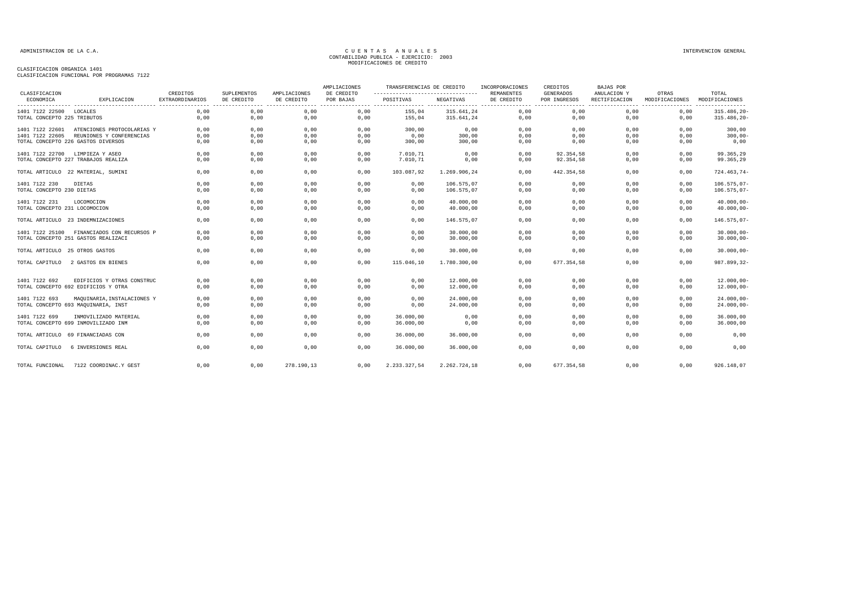| CLASIFICACION                      |                                            | CREDITOS                              | SUPLEMENTOS            | AMPLIACIONES               | AMPLIACIONES<br>DE CREDITO | TRANSFERENCIAS DE CREDITO |                                  | INCORPORACIONES<br>REMANENTES | CREDITOS<br><b>GENERADOS</b> | <b>BAJAS POR</b><br>ANULACION Y | OTRAS          | TOTAL               |
|------------------------------------|--------------------------------------------|---------------------------------------|------------------------|----------------------------|----------------------------|---------------------------|----------------------------------|-------------------------------|------------------------------|---------------------------------|----------------|---------------------|
| ECONOMICA                          | EXPLICACION                                | <b>EXTRAORDINARIOS</b><br>$- - - - -$ | DE CREDITO<br>-------- | DE CREDITO<br>.<br>------- | POR BAJAS                  | POSITIVAS                 | NEGATIVAS<br>---------- -------- | DE CREDITO                    | POR INGRESOS<br>.            | RECTIFICACION                   | MODIFICACIONES | MODIFICACIONES<br>. |
| 1401 7122 22500 LOCALES            |                                            | 0.00                                  | 0,00                   | 0,00                       | 0,00                       | 155,04                    | 315.641,24                       | 0,00                          | 0,00                         | ------<br>0,00                  | 0,00           | 315.486,20-         |
| TOTAL CONCEPTO 225 TRIBUTOS        |                                            | 0,00                                  | 0,00                   | 0,00                       | 0,00                       | 155,04                    | 315.641,24                       | 0,00                          | 0,00                         | 0,00                            | 0,00           | 315.486,20-         |
| 1401 7122 22601                    | ATENCIONES PROTOCOLARIAS Y                 | 0.00                                  | 0,00                   | 0,00                       | 0,00                       | 300,00                    | 0,00                             | 0,00                          | 0,00                         | 0.00                            | 0.00           | 300,00              |
| 1401 7122 22605                    | REUNIONES Y CONFERENCIAS                   | 0,00                                  | 0,00                   | 0,00                       | 0,00                       | 0,00                      | 300,00                           | 0,00                          | 0,00                         | 0,00                            | 0,00           | $300,00 -$          |
| TOTAL CONCEPTO 226 GASTOS DIVERSOS |                                            | 0,00                                  | 0,00                   | 0,00                       | 0,00                       | 300,00                    | 300,00                           | 0,00                          | 0,00                         | 0,00                            | 0,00           | 0,00                |
| 1401 7122 22700 LIMPIEZA Y ASEO    |                                            | 0.00                                  | 0,00                   | 0,00                       | 0,00                       | 7.010,71                  | 0,00                             | 0,00                          | 92.354,58                    | 0,00                            | 0,00           | 99.365,29           |
|                                    | TOTAL CONCEPTO 227 TRABAJOS REALIZA        | 0,00                                  | 0,00                   | 0,00                       | 0,00                       | 7.010,71                  | 0,00                             | 0,00                          | 92.354,58                    | 0,00                            | 0,00           | 99.365,29           |
|                                    | TOTAL ARTICULO 22 MATERIAL, SUMINI         | 0,00                                  | 0,00                   | 0,00                       | 0,00                       | 103.087,92                | 1.269.906,24                     | 0,00                          | 442.354,58                   | 0,00                            | 0,00           | $724.463,74-$       |
| 1401 7122 230                      | DIETAS                                     | 0,00                                  | 0,00                   | 0,00                       | 0.00                       | 0,00                      | 106.575,07                       | 0,00                          | 0,00                         | 0,00                            | 0,00           | $106.575,07-$       |
| TOTAL CONCEPTO 230 DIETAS          |                                            | 0,00                                  | 0,00                   | 0,00                       | 0,00                       | 0,00                      | 106.575,07                       | 0,00                          | 0,00                         | 0,00                            | 0,00           | $106.575,07-$       |
| 1401 7122 231                      | LOCOMOCION                                 | 0,00                                  | 0,00                   | 0,00                       | 0,00                       | 0,00                      | 40.000,00                        | 0,00                          | 0,00                         | 0,00                            | 0,00           | $40.000,00 -$       |
| TOTAL CONCEPTO 231 LOCOMOCION      |                                            | 0,00                                  | 0,00                   | 0,00                       | 0,00                       | 0,00                      | 40.000,00                        | 0,00                          | 0,00                         | 0,00                            | 0,00           | $40.000,00 -$       |
| TOTAL ARTICULO 23 INDEMNIZACIONES  |                                            | 0.00                                  | 0.00                   | 0,00                       | 0.00                       | 0.00                      | 146.575.07                       | 0,00                          | 0.00                         | 0.00                            | 0.00           | 146.575,07-         |
|                                    | 1401 7122 25100 FINANCIADOS CON RECURSOS P | 0,00                                  | 0,00                   | 0,00                       | 0,00                       | 0,00                      | 30.000,00                        | 0,00                          | 0,00                         | 0,00                            | 0.00           | $30.000,00-$        |
|                                    | TOTAL CONCEPTO 251 GASTOS REALIZACI        | 0,00                                  | 0,00                   | 0,00                       | 0,00                       | 0,00                      | 30.000,00                        | 0,00                          | 0,00                         | 0,00                            | 0,00           | $30.000,00-$        |
| TOTAL ARTICULO 25 OTROS GASTOS     |                                            | 0,00                                  | 0,00                   | 0,00                       | 0,00                       | 0,00                      | 30.000,00                        | 0,00                          | 0,00                         | 0,00                            | 0,00           | $30.000,00-$        |
| TOTAL CAPITULO                     | 2 GASTOS EN BIENES                         | 0,00                                  | 0,00                   | 0,00                       | 0,00                       | 115.046,10                | 1.780.300,00                     | 0,00                          | 677.354,58                   | 0,00                            | 0,00           | 987.899,32-         |
| 1401 7122 692                      | EDIFICIOS Y OTRAS CONSTRUC                 | 0,00                                  | 0,00                   | 0,00                       | 0,00                       | 0,00                      | 12.000,00                        | 0,00                          | 0,00                         | 0,00                            | 0,00           | $12.000,00 -$       |
|                                    | TOTAL CONCEPTO 692 EDIFICIOS Y OTRA        | 0,00                                  | 0,00                   | 0,00                       | 0,00                       | 0,00                      | 12.000,00                        | 0,00                          | 0,00                         | 0,00                            | 0,00           | $12.000,00 -$       |
| 1401 7122 693                      | MAQUINARIA, INSTALACIONES Y                | 0.00                                  | 0,00                   | 0,00                       | 0.00                       | 0,00                      | 24.000,00                        | 0,00                          | 0,00                         | 0,00                            | 0,00           | $24.000,00 -$       |
|                                    | TOTAL CONCEPTO 693 MAQUINARIA, INST        | 0,00                                  | 0,00                   | 0,00                       | 0,00                       | 0,00                      | 24.000,00                        | 0,00                          | 0,00                         | 0,00                            | 0,00           | $24.000,00 -$       |
| 1401 7122 699                      | INMOVILIZADO MATERIAL                      | 0,00                                  | 0,00                   | 0,00                       | 0,00                       | 36.000,00                 | 0,00                             | 0,00                          | 0,00                         | 0,00                            | 0,00           | 36.000,00           |
|                                    | TOTAL CONCEPTO 699 INMOVILIZADO INM        | 0,00                                  | 0,00                   | 0,00                       | 0,00                       | 36.000,00                 | 0,00                             | 0,00                          | 0,00                         | 0,00                            | 0,00           | 36.000,00           |
|                                    | TOTAL ARTICULO 69 FINANCIADAS CON          | 0.00                                  | 0,00                   | 0,00                       | 0.00                       | 36.000,00                 | 36.000,00                        | 0,00                          | 0.00                         | 0.00                            | 0.00           | 0,00                |
| TOTAL CAPITULO                     | 6 INVERSIONES REAL                         | 0.00                                  | 0,00                   | 0,00                       | 0.00                       | 36,000,00                 | 36.000,00                        | 0,00                          | 0,00                         | 0.00                            | 0.00           | 0,00                |
| TOTAL FUNCIONAL                    | 7122 COORDINAC.Y GEST                      | 0,00                                  | 0,00                   | 278.190,13                 | 0,00                       | 2.233.327,54              | 2.262.724,18                     | 0,00                          | 677.354,58                   | 0,00                            | 0,00           | 926.148,07          |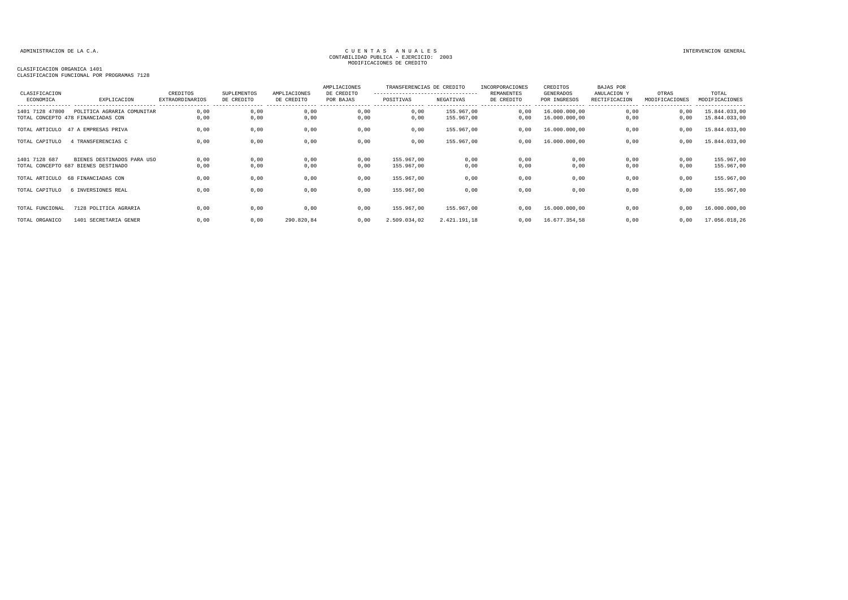### ADMINISTRACION DE LA C.A. INTERVENCION GENERAL CONTABILIDAD PUBLICA - EJERCICIO: 2003<br>CONTABILIDAD PUBLICA - EJERCICIO: 2003 MODIFICACIONES DE CREDITO

| CLASIFICACION<br>ECONOMICA                            | EXPLICACION                | CREDITOS<br><b>EXTRAORDINARIOS</b> | SUPLEMENTOS<br>DE CREDITO | AMPLIACIONES<br>DE CREDITO | AMPLIACIONES<br>DE CREDITO<br>POR BAJAS | TRANSFERENCIAS DE CREDITO<br>----------------------------------<br>POSITIVAS | NEGATIVAS                | INCORPORACIONES<br>REMANENTES<br>DE CREDITO | CREDITOS<br><b>GENERADOS</b><br>POR INGRESOS | <b>BAJAS POR</b><br>ANULACION Y<br>RECTIFICACION | OTRAS<br>MODIFICACIONES | TOTAL<br>MODIFICACIONES        |
|-------------------------------------------------------|----------------------------|------------------------------------|---------------------------|----------------------------|-----------------------------------------|------------------------------------------------------------------------------|--------------------------|---------------------------------------------|----------------------------------------------|--------------------------------------------------|-------------------------|--------------------------------|
| 1401 7128 47800<br>TOTAL CONCEPTO 478 FINANCIADAS CON | POLITICA AGRARIA COMUNITAR | ,00<br>.00                         | 0,00<br>0,00              | 0,00<br>0,00               | 0,00<br>0,00                            | 0,00<br>0,00                                                                 | 155.967,00<br>155.967,00 | 0.00<br>0,00                                | 16.000.000,00<br>16.000.000,00               | 0,00<br>0,00                                     | 0,00<br>0,00            | 15.844.033,00<br>15.844.033,00 |
| TOTAL ARTICULO 47 A EMPRESAS PRIVA                    |                            | .00                                | 0.00                      | ).OC                       | 0,00                                    | 00، ر                                                                        | 155,967,00               | 0.00                                        | 16,000,000,00                                | 0.00                                             |                         | 15.844.033,00                  |

| 1401 7128 47800 | POLITICA AGRARIA COMUNITAR<br>TOTAL CONCEPTO 478 FINANCIADAS CON | 0,00<br>0,00 | 0,00<br>0,00 | 0,00<br>0,00 | 0,00<br>0,00 | 0,00<br>0,00 | 155,967,00<br>155.967,00 | 0,00<br>0,00 | 16.000.000,00<br>16.000.000,00 | 0,00<br>0,00 | 0,00<br>0,00 | 15.844.033,00<br>15.844.033,00 |
|-----------------|------------------------------------------------------------------|--------------|--------------|--------------|--------------|--------------|--------------------------|--------------|--------------------------------|--------------|--------------|--------------------------------|
| TOTAL ARTICULO  | 47 A EMPRESAS PRIVA                                              | 0,00         | 0,00         | 0,00         | 0,00         | 0,00         | 155.967,00               | 0,00         | 16.000.000,00                  | 0,00         | 0,00         | 15.844.033,00                  |
| TOTAL CAPITULO  | 4 TRANSFERENCIAS C                                               | 0,00         | 0,00         | 0,00         | 0,00         | 0,00         | 155.967,00               | 0,00         | 16.000.000,00                  | 0,00         | 0,00         | 15.844.033,00                  |
|                 |                                                                  |              |              |              |              |              |                          |              |                                |              |              |                                |
| 1401 7128 687   | BIENES DESTINADOS PARA USO                                       | 0,00         | 0,00         | 0,00         | 0,00         | 155.967,00   | 0,00                     | 0,00         | 0,00                           | 0,00         | 0,00         | 155.967,00                     |
|                 | TOTAL CONCEPTO 687 BIENES DESTINADO                              | 0,00         | 0,00         | 0,00         | 0,00         | 155.967,00   | 0,00                     | 0,00         | 0,00                           | 0,00         | 0,00         | 155.967,00                     |
| TOTAL ARTICULO  | 68 FINANCIADAS CON                                               | 0,00         | 0,00         | 0,00         | 0,00         | 155.967,00   | 0,00                     | 0,00         | 0,00                           | 0,00         | 0,00         | 155.967,00                     |
| TOTAL CAPITULO  | 6 INVERSIONES REAL                                               | 0,00         | 0,00         | 0,00         | 0,00         | 155.967,00   | 0,00                     | 0,00         | 0,00                           | 0,00         | 0,00         | 155.967,00                     |
|                 |                                                                  |              |              |              |              |              |                          |              |                                |              |              |                                |
| TOTAL FUNCIONAL | 7128 POLITICA AGRARIA                                            | 0,00         | 0,00         | 0,00         | 0,00         | 155.967,00   | 155.967,00               | 0,00         | 16.000.000,00                  | 0,00         | 0,00         | 16.000.000,00                  |
| TOTAL ORGANICO  | 1401 SECRETARIA GENER                                            | 0,00         | 0,00         | 290.820,84   | 0,00         | 2.509.034,02 | 2.421.191,18             | 0.00         | 16.677.354,58                  | 0,00         | 0,00         | 17.056.018,26                  |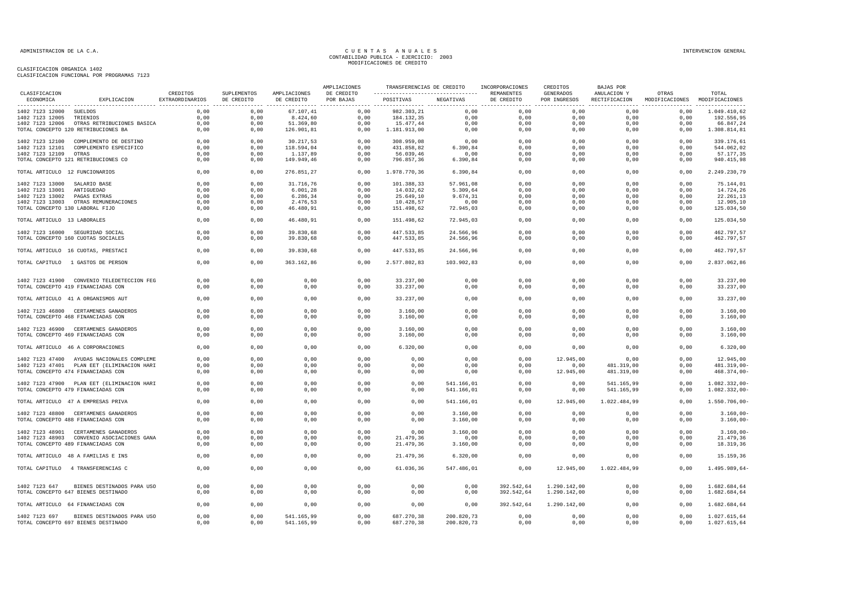| <b>CLASTFICACION</b>            |                                                                            |                             | SUPLEMENTOS  |                            | AMPLIACIONES            | TRANSFERENCIAS DE CREDITO                                  |                      | INCORPORACIONES | CREDITOS                  | BAJAS POR    |                                                      | TOTAL                        |
|---------------------------------|----------------------------------------------------------------------------|-----------------------------|--------------|----------------------------|-------------------------|------------------------------------------------------------|----------------------|-----------------|---------------------------|--------------|------------------------------------------------------|------------------------------|
| ECONOMICA                       | EXPLICACION                                                                | CREDITOS<br>EXTRAORDINARIOS | DE CREDITO   | AMPLIACIONES<br>DE CREDITO | DE CREDITO<br>POR BAJAS | ---------------------------------- REMANENTES<br>POSITIVAS | NEGATIVAS            | DE CREDITO      | GENERADOS<br>POR INGRESOS | ANULACION Y  | OTRAS<br>RECTIFICACION MODIFICACIONES MODIFICACIONES |                              |
| 1402 7123 12000 SUELDOS         |                                                                            | 0,00                        | 0,00         | 67.107,41                  | 0,00                    | 982.303,21                                                 | 0,00                 | 0,00            | 0,00                      | 0,00         | 0,00                                                 | 1.049.410,62                 |
| 1402 7123 12005                 | TRIENIOS                                                                   | 0,00                        | 0,00         | 8.424,60                   | 0,00                    | 184.132,35                                                 | 0,00                 | 0,00            | 0,00                      | 0,00         | 0,00                                                 | 192.556,95                   |
| 1402 7123 12006                 | OTRAS RETRIBUCIONES BASICA                                                 | 0,00                        | 0,00         | 51.369,80                  | 0,00                    | 15.477,44                                                  | 0,00                 | 0,00            | 0,00                      | 0,00         | 0,00                                                 | 66.847,24                    |
|                                 | TOTAL CONCEPTO 120 RETRIBUCIONES BA                                        | 0,00                        | 0,00         | 126.901,81                 | 0,00                    | 1.181.913,00                                               | 0,00                 | 0,00            | 0,00                      | 0,00         | 0,00                                                 | 1.308.814,81                 |
|                                 | 1402 7123 12100 COMPLEMENTO DE DESTINO                                     | 0.00                        | 0.00         | 30.217,53                  | 0,00                    | 308.959,08                                                 | 0,00                 | 0.00            | 0.00                      | 0.00         | 0.00                                                 | 339.176,61                   |
| 1402 7123 12101                 | COMPLEMENTO ESPECIFICO                                                     | 0,00                        | 0,00         | 118.594,04                 | 0,00                    | 431.858,82                                                 | 6.390, 84            | 0,00            | 0,00                      | 0,00         | 0,00                                                 | 544.062,02                   |
| 1402 7123 12109                 | OTRAS                                                                      | 0,00                        | 0,00         | 1.137,89                   | 0,00                    | 56.039,46                                                  | 0,00                 | 0,00            | 0,00                      | 0,00         | 0,00                                                 | 57.177,35                    |
|                                 | TOTAL CONCEPTO 121 RETRIBUCIONES CO                                        | 0,00                        | 0,00         | 149.949,46                 | 0,00                    | 796.857,36                                                 | 6.390, 84            | 0,00            | 0,00                      | 0,00         | 0,00                                                 | 940.415,98                   |
| TOTAL ARTICULO 12 FUNCIONARIOS  |                                                                            | 0,00                        | 0,00         | 276.851,27                 | 0,00                    | 1.978.770,36                                               | 6.390,84             | 0,00            | 0,00                      | 0,00         | 0,00                                                 | 2.249.230,79                 |
| 1402 7123 13000 SALARIO BASE    |                                                                            | 0,00                        | 0,00         | 31.716,76                  | 0,00                    | 101.388,33                                                 | 57.961,08            | 0,00            | 0,00                      | 0,00         | 0,00                                                 | 75.144,01                    |
| 1402 7123 13001                 | ANTIGUEDAD                                                                 | 0,00                        | 0,00         | 6.001, 28                  | 0,00                    | 14.032,62                                                  | 5.309,64             | 0,00            | 0,00                      | 0,00         | 0,00                                                 | 14.724,26                    |
| 1402 7123 13002                 | PAGAS EXTRAS                                                               | 0,00                        | 0,00         | 6.286,34                   | 0,00                    | 25.649,10                                                  | 9.674,31             | 0,00            | 0,00                      | 0,00         | 0,00                                                 | 22.261,13                    |
|                                 | 1402 7123 13003 OTRAS REMUNERACIONES                                       | 0,00                        | 0.00         | 2.476.53                   | 0.00                    | 10.428,57                                                  | 0,00                 | 0,00            | 0,00                      | 0.00         | 0.00                                                 | 12.905,10                    |
| TOTAL CONCEPTO 130 LABORAL FIJO |                                                                            | 0,00                        | 0,00         | 46.480,91                  | 0,00                    | 151.498,62                                                 | 72.945,03            | 0,00            | 0,00                      | 0,00         | 0,00                                                 | 125.034,50                   |
|                                 |                                                                            |                             |              |                            |                         |                                                            |                      |                 |                           |              |                                                      |                              |
| TOTAL ARTICULO 13 LABORALES     |                                                                            | 0,00                        | 0,00         | 46.480,91                  | 0,00                    | 151.498,62                                                 | 72.945,03            | 0,00            | 0,00                      | 0,00         | 0,00                                                 | 125.034,50                   |
|                                 | 1402 7123 16000 SEGURIDAD SOCIAL                                           | 0,00                        | 0,00         | 39.830,68                  | 0,00                    | 447.533,85                                                 | 24.566,96            | 0,00            | 0,00                      | 0,00         | 0,00                                                 | 462.797,57                   |
|                                 | TOTAL CONCEPTO 160 CUOTAS SOCIALES                                         | 0,00                        | 0,00         | 39.830,68                  | 0,00                    | 447.533,85                                                 | 24.566,96            | 0,00            | 0,00                      | 0,00         | 0,00                                                 | 462.797,57                   |
|                                 | TOTAL ARTICULO 16 CUOTAS, PRESTACI                                         | 0,00                        | 0,00         | 39.830,68                  | 0,00                    | 447.533,85                                                 | 24.566,96            | 0,00            | 0,00                      | 0,00         | 0,00                                                 | 462.797,57                   |
|                                 | TOTAL CAPITULO 1 GASTOS DE PERSON                                          | 0,00                        | 0,00         | 363.162,86                 | 0.00                    | 2.577.802,83                                               | 103.902,83           | 0,00            | 0,00                      | 0.00         | 0,00                                                 | 2.837.062,86                 |
|                                 |                                                                            |                             |              |                            |                         |                                                            |                      |                 |                           |              |                                                      |                              |
|                                 | 1402 7123 41900 CONVENIO TELEDETECCION FEG                                 | 0,00                        | 0,00         | 0,00                       | 0,00                    | 33.237,00                                                  | 0,00                 | 0,00            | 0,00                      | 0,00         | 0,00                                                 | 33.237,00                    |
|                                 | TOTAL CONCEPTO 419 FINANCIADAS CON                                         | 0,00                        | 0,00         | 0,00                       | 0,00                    | 33.237,00                                                  | 0,00                 | 0,00            | 0,00                      | 0,00         | 0,00                                                 | 33.237,00                    |
|                                 |                                                                            | 0,00                        |              |                            | 0,00                    | 33.237,00                                                  |                      |                 | 0,00                      | 0,00         |                                                      |                              |
|                                 | TOTAL ARTICULO 41 A ORGANISMOS AUT                                         |                             | 0,00         | 0,00                       |                         |                                                            | 0,00                 | 0,00            |                           |              | 0,00                                                 | 33.237,00                    |
|                                 | 1402 7123 46800 CERTAMENES GANADEROS                                       | 0,00                        | 0,00         | 0,00                       | 0,00                    | 3.160,00                                                   | 0,00                 | 0,00            | 0,00                      | 0,00         | 0,00                                                 | 3.160,00                     |
|                                 | TOTAL CONCEPTO 468 FINANCIADAS CON                                         | 0,00                        | 0,00         | 0,00                       | 0,00                    | 3.160,00                                                   | 0,00                 | 0,00            | 0,00                      | 0,00         | 0,00                                                 | 3.160,00                     |
|                                 |                                                                            |                             |              |                            |                         |                                                            |                      |                 |                           |              |                                                      |                              |
|                                 | 1402 7123 46900 CERTAMENES GANADEROS                                       | 0,00                        | 0,00         | 0,00                       | 0,00                    | 3.160,00                                                   | 0,00                 | 0,00            | 0,00                      | 0,00         | 0,00                                                 | 3.160,00                     |
|                                 | TOTAL CONCEPTO 469 FINANCIADAS CON                                         | 0,00                        | 0,00         | 0,00                       | 0,00                    | 3.160,00                                                   | 0,00                 | 0,00            | 0,00                      | 0,00         | 0,00                                                 | 3.160,00                     |
|                                 | TOTAL ARTICULO 46 A CORPORACIONES                                          | 0,00                        | 0,00         | 0,00                       | 0,00                    | 6.320,00                                                   | 0,00                 | 0,00            | 0,00                      | 0,00         | 0,00                                                 | 6.320,00                     |
|                                 | 1402 7123 47400 AYUDAS NACIONALES COMPLEME                                 | 0,00                        | 0,00         | 0,00                       | 0,00                    | 0,00                                                       | 0,00                 | 0,00            | 12.945,00                 | 0,00         | 0,00                                                 | 12.945,00                    |
|                                 | 1402 7123 47401 PLAN EET (ELIMINACION HARI                                 | 0,00                        | 0,00         | 0,00                       | 0,00                    | 0,00                                                       | 0,00                 | 0,00            | 0,00                      | 481.319,00   | 0,00                                                 | 481.319,00-                  |
|                                 | TOTAL CONCEPTO 474 FINANCIADAS CON                                         | 0,00                        | 0,00         | 0,00                       | 0,00                    | 0,00                                                       | 0,00                 | 0,00            | 12.945,00                 | 481.319,00   | 0,00                                                 | 468.374,00-                  |
|                                 |                                                                            |                             |              |                            |                         |                                                            |                      |                 |                           |              |                                                      |                              |
|                                 | 1402 7123 47900 PLAN EET (ELIMINACION HARI                                 | 0,00                        | 0,00         | 0.00                       | 0,00                    | 0,00                                                       | 541.166,01           | 0,00            | 0,00                      | 541.165,99   | 0,00                                                 | 1.082.332,00-                |
|                                 | TOTAL CONCEPTO 479 FINANCIADAS CON                                         | 0,00                        | 0,00         | 0,00                       | 0,00                    | 0,00                                                       | 541.166,01           | 0,00            | 0,00                      | 541.165,99   | 0,00                                                 | 1.082.332,00-                |
|                                 | TOTAL ARTICULO 47 A EMPRESAS PRIVA                                         | 0,00                        | 0,00         | 0,00                       | 0,00                    | 0,00                                                       | 541.166,01           | 0,00            | 12.945,00                 | 1.022.484,99 | 0,00                                                 | 1.550.706,00-                |
|                                 |                                                                            |                             |              |                            |                         |                                                            |                      |                 |                           |              |                                                      |                              |
|                                 | 1402 7123 48800 CERTAMENES GANADEROS<br>TOTAL CONCEPTO 488 FINANCIADAS CON | 0,00<br>0,00                | 0,00<br>0,00 | 0,00<br>0,00               | 0,00<br>0,00            | 0,00<br>0,00                                               | 3.160,00<br>3.160,00 | 0,00<br>0,00    | 0,00<br>0,00              | 0,00<br>0,00 | 0,00<br>0,00                                         | $3.160,00 -$<br>$3.160,00 -$ |
|                                 |                                                                            |                             |              |                            |                         |                                                            |                      |                 |                           |              |                                                      |                              |
|                                 | 1402 7123 48901 CERTAMENES GANADEROS                                       | 0,00                        | 0,00         | 0,00                       | 0,00                    | 0,00                                                       | 3.160,00             | 0,00            | 0,00                      | 0,00         | 0,00                                                 | $3.160,00 -$                 |
|                                 | 1402 7123 48903 CONVENIO ASOCIACIONES GANA                                 | 0.00                        | 0.00         | 0.00                       | 0.00                    | 21.479.36                                                  | 0,00                 | 0,00            | 0,00                      | 0.00         | 0.00                                                 | 21.479,36                    |
|                                 | TOTAL CONCEPTO 489 FINANCIADAS CON                                         | 0,00                        | 0,00         | 0,00                       | 0,00                    | 21.479,36                                                  | 3.160,00             | 0,00            | 0,00                      | 0,00         | 0,00                                                 | 18.319,36                    |
|                                 | TOTAL ARTICULO 48 A FAMILIAS E INS                                         | 0,00                        | 0,00         | 0,00                       | 0,00                    | 21.479,36                                                  | 6.320,00             | 0,00            | 0,00                      | 0,00         | 0,00                                                 | 15.159,36                    |
|                                 | TOTAL CAPITULO 4 TRANSFERENCIAS C                                          | 0,00                        | 0,00         | 0,00                       | 0,00                    | 61.036,36                                                  | 547.486,01           | 0,00            | 12.945,00                 | 1.022.484,99 | 0,00                                                 | 1.495.989,64-                |
|                                 |                                                                            |                             |              |                            |                         |                                                            |                      |                 |                           |              |                                                      |                              |
| 1402 7123 647                   | BIENES DESTINADOS PARA USO                                                 | 0,00                        | 0,00         | 0,00                       | 0,00                    | 0,00                                                       | 0,00                 | 392.542,64      | 1.290.142,00              | 0,00         | 0,00                                                 | 1.682.684,64                 |
|                                 | TOTAL CONCEPTO 647 BIENES DESTINADO                                        | 0,00                        | 0,00         | 0,00                       | 0,00                    | 0,00                                                       | 0,00                 | 392.542,64      | 1.290.142,00              | 0,00         | 0,00                                                 | 1.682.684,64                 |
|                                 | TOTAL ARTICULO 64 FINANCIADAS CON                                          | 0,00                        | 0,00         | 0,00                       | 0,00                    | 0,00                                                       | 0,00                 | 392.542,64      | 1.290.142,00              | 0,00         | 0,00                                                 | 1.682.684,64                 |
|                                 |                                                                            |                             |              |                            |                         |                                                            |                      |                 |                           |              |                                                      |                              |
|                                 | 1402 7123 697 BIENES DESTINADOS PARA USO                                   | 0,00                        | 0,00         | 541.165,99                 | 0,00                    | 687.270,38                                                 | 200.820,73           | 0,00            | 0,00                      | 0,00         | 0,00                                                 | 1.027.615,64                 |
|                                 | TOTAL CONCEPTO 697 BIENES DESTINADO                                        | 0,00                        | 0,00         | 541.165,99                 | 0,00                    | 687.270,38                                                 | 200.820,73           | 0,00            | 0,00                      | 0,00         | 0,00                                                 | 1.027.615,64                 |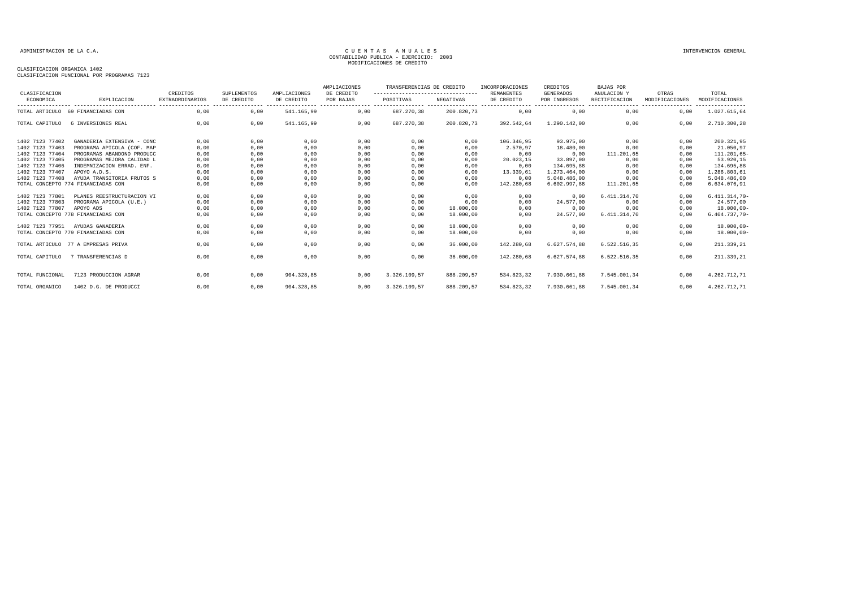### CLASIFICACION ORGANICA 1402

CLASIFICACION FUNCIONAL POR PROGRAMAS 7123

| CLASIFICACION<br>ECONOMICA | EXPLICACION                        | CREDITOS<br><b>EXTRAORDINARIOS</b> | SUPLEMENTOS<br>DE CREDITO | AMPLIACIONES<br>DE CREDITO | AMPLIACIONES<br>DE CREDITO<br>POR BAJAS | TRANSFERENCIAS DE CREDITO<br>---------------------------------- |            | INCORPORACIONES<br><b>REMANENTES</b> | CREDITOS<br><b>GENERADOS</b> | <b>BAJAS POR</b><br>ANULACION Y | OTRAS                                       | TOTAL                            |
|----------------------------|------------------------------------|------------------------------------|---------------------------|----------------------------|-----------------------------------------|-----------------------------------------------------------------|------------|--------------------------------------|------------------------------|---------------------------------|---------------------------------------------|----------------------------------|
|                            |                                    |                                    |                           |                            |                                         | POSITIVAS                                                       | NEGATIVAS  | DE CREDITO                           | POR INGRESOS                 | RECTIFICACION                   | MODIFICACIONES                              | MODIFICACIONES                   |
|                            | TOTAL ARTICULO 69 FINANCIADAS CON  | 0,00                               | 0,00                      | 541.165,99                 | 0,00                                    | 687.270,38                                                      | 200.820,73 | 0,00                                 | ----------------<br>0,00     | 0,00                            | ----------------- -----------------<br>0,00 | ----------------<br>1.027.615,64 |
| TOTAL CAPITULO             | 6 INVERSIONES REAL                 | 0,00                               | 0,00                      | 541.165,99                 | 0,00                                    | 687.270,38                                                      | 200.820,73 | 392.542,64                           | 1.290.142,00                 | 0,00                            | 0,00                                        | 2.710.300,28                     |
| 1402 7123 77402            | GANADERIA EXTENSIVA - CONC         | 0,00                               | 0,00                      | 0,00                       | 0,00                                    | 0,00                                                            | 0,00       | 106.346.95                           | 93.975.00                    | 0,00                            | 0.00                                        | 200.321,95                       |
| 1402 7123 77403            | PROGRAMA APICOLA (COF. MAP         | 0,00                               | 0,00                      | 0,00                       | 0,00                                    | 0,00                                                            | 0,00       | 2.570,97                             | 18.480,00                    | 0,00                            | 0,00                                        | 21.050,97                        |
| 1402 7123 77404            | PROGRAMAS ABANDONO PRODUCC         | 0,00                               | 0,00                      | 0,00                       | 0,00                                    | 0,00                                                            | 0,00       | 0,00                                 | 0,00                         | 111.201,65                      | 0,00                                        | $111.201,65-$                    |
| 1402 7123 77405            | PROGRAMAS MEJORA CALIDAD L         | 0,00                               | 0,00                      | 0,00                       | 0,00                                    | 0,00                                                            | 0,00       | 20.023,15                            | 33.897,00                    | 0,00                            | 0,00                                        | 53.920,15                        |
| 1402 7123 77406            | INDEMNIZACION ERRAD. ENF.          | 0,00                               | 0,00                      | 0,00                       | 0,00                                    | 0,00                                                            | 0,00       | 0,00                                 | 134.695,88                   | 0,00                            | 0,00                                        | 134.695,88                       |
| 1402 7123 77407            | APOYO A.D.S.                       | 0,00                               | 0,00                      | 0,00                       | 0,00                                    | 0,00                                                            | 0,00       | 13.339,61                            | 1.273.464,00                 | 0,00                            | 0,00                                        | 1.286.803,61                     |
| 1402 7123 77408            | AYUDA TRANSITORIA FRUTOS S         | 0,00                               | 0,00                      | 0,00                       | 0,00                                    | 0,00                                                            | 0,00       | 0,00                                 | 5.048.486,00                 | 0,00                            | 0,00                                        | 5.048.486,00                     |
|                            | TOTAL CONCEPTO 774 FINANCIADAS CON | 0,00                               | 0,00                      | 0,00                       | 0,00                                    | 0,00                                                            | 0,00       | 142.280,68                           | 6.602.997,88                 | 111.201,65                      | 0,00                                        | 6.634.076,91                     |
| 1402 7123 77801            | PLANES REESTRUCTURACION VI         | 0,00                               | 0,00                      | 0,00                       | 0,00                                    | 0,00                                                            | 0,00       | 0,00                                 | 0,00                         | 6.411.314,70                    | 0,00                                        | $6.411.314,70-$                  |
| 1402 7123 77803            | PROGRAMA APICOLA (U.E.)            | 0,00                               | 0,00                      | 0,00                       | 0,00                                    | 0,00                                                            | 0,00       | 0,00                                 | 24.577,00                    | 0,00                            | 0,00                                        | 24.577,00                        |
| 1402 7123 77807            | APOYO ADS                          | 0,00                               | 0,00                      | 0,00                       | 0,00                                    | 0,00                                                            | 18.000,00  | 0,00                                 | 0,00                         | 0,00                            | 0,00                                        | $18.000,00 -$                    |
|                            | TOTAL CONCEPTO 778 FINANCIADAS CON | 0,00                               | 0,00                      | 0,00                       | 0,00                                    | 0,00                                                            | 18.000,00  | 0,00                                 | 24.577,00                    | 6.411.314,70                    | 0,00                                        | $6.404.737,70-$                  |
| 1402 7123 77951            | AYUDAS GANADERIA                   | 0,00                               | 0,00                      | 0,00                       | 0,00                                    | 0,00                                                            | 18.000,00  | 0,00                                 | 0,00                         | 0,00                            | 0,00                                        | $18.000,00 -$                    |
|                            | TOTAL CONCEPTO 779 FINANCIADAS CON | 0,00                               | 0,00                      | 0,00                       | 0,00                                    | 0,00                                                            | 18.000,00  | 0,00                                 | 0,00                         | 0,00                            | 0,00                                        | $18.000,00 -$                    |
|                            | TOTAL ARTICULO 77 A EMPRESAS PRIVA | 0,00                               | 0,00                      | 0,00                       | 0,00                                    | 0,00                                                            | 36.000,00  | 142.280,68                           | 6.627.574.88                 | 6.522.516,35                    | 0,00                                        | 211.339,21                       |
| TOTAL CAPITULO             | 7 TRANSFERENCIAS D                 | 0.00                               | 0,00                      | 0,00                       | 0,00                                    | 0.00                                                            | 36,000,00  | 142.280,68                           | 6.627.574.88                 | 6.522.516.35                    | 0.00                                        | 211.339,21                       |
| TOTAL FUNCIONAL            | 7123 PRODUCCION AGRAR              | 0,00                               | 0,00                      | 904.328,85                 | 0.00                                    | 3.326.109,57                                                    | 888.209,57 | 534.823,32                           | 7.930.661.88                 | 7.545.001.34                    | 0,00                                        | 4.262.712,71                     |
| TOTAL ORGANICO             | 1402 D.G. DE PRODUCCI              | 0.00                               | 0,00                      | 904.328.85                 | 0,00                                    | 3.326.109.57                                                    | 888.209,57 | 534.823,32                           | 7.930.661.88                 | 7.545.001.34                    | 0.00                                        | 4.262.712,71                     |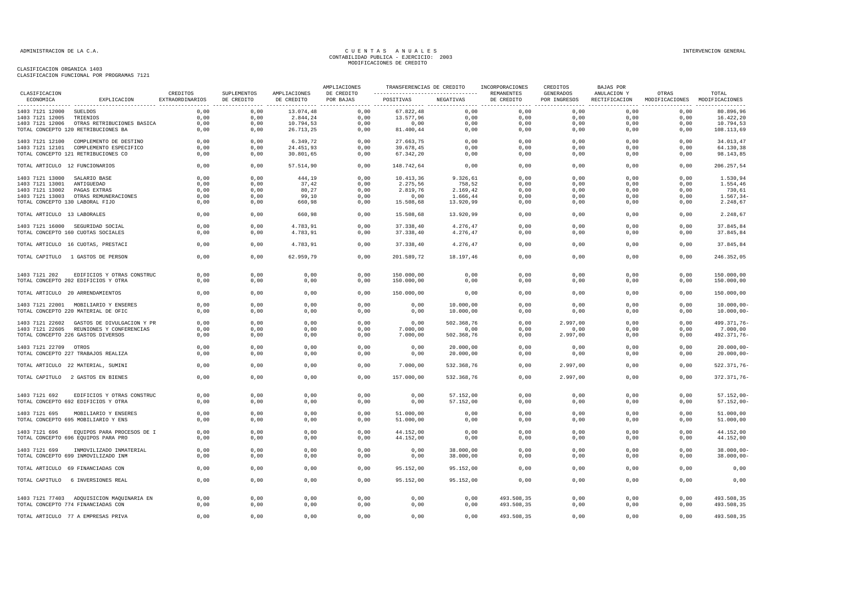| CLASIFICACION<br>ECONOMICA      | EXPLICACION                                                            | CREDITOS<br>EXTRAORDINARIOS | SUPLEMENTOS<br>DE CREDITO | AMPLIACIONES<br>DE CREDITO | AMPLIACIONES<br>DE CREDITO<br>POR BAJAS | TRANSFERENCIAS DE CREDITO INCORPORACIONES<br>---------------------------------- REMANENTES |                        |              | CREDITOS                  | <b>BAJAS POR</b> |                                                      |                                |
|---------------------------------|------------------------------------------------------------------------|-----------------------------|---------------------------|----------------------------|-----------------------------------------|--------------------------------------------------------------------------------------------|------------------------|--------------|---------------------------|------------------|------------------------------------------------------|--------------------------------|
|                                 |                                                                        |                             |                           |                            |                                         | POSITIVAS NEGATIVAS                                                                        |                        | DE CREDITO   | GENERADOS<br>POR INGRESOS | ANULACION Y      | OTRAS<br>RECTIFICACION MODIFICACIONES MODIFICACIONES | TOTAL                          |
| 1403 7121 12000 SUELDOS         |                                                                        | 0,00                        | 0,00                      | 13.074,48                  | 0,00                                    | 67.822,48                                                                                  | 0,00                   | 0,00         | 0,00                      | 0,00             | 0,00                                                 | 80.896,96                      |
| 1403 7121 12005 TRIENIOS        |                                                                        | 0.00                        | 0.00                      | 2.844,24                   | 0,00                                    | 13.577,96                                                                                  | 0,00                   | 0,00         | 0,00                      | 0,00             | 0,00                                                 | 16.422,20                      |
|                                 | 1403 7121 12006 OTRAS RETRIBUCIONES BASICA                             | 0,00                        | 0,00                      | 10.794,53                  | 0,00                                    | 0,00                                                                                       | 0,00                   | 0,00         | 0,00                      | 0,00             | 0,00                                                 | 10.794,53                      |
|                                 | TOTAL CONCEPTO 120 RETRIBUCIONES BA                                    | 0,00                        | 0,00                      | 26.713,25                  | 0,00                                    | 81.400,44                                                                                  | 0,00                   | 0,00         | 0,00                      | 0,00             | 0,00                                                 | 108.113,69                     |
|                                 | 1403 7121 12100 COMPLEMENTO DE DESTINO                                 | 0,00                        | 0,00                      | 6.349,72                   | 0,00                                    | 27.663,75                                                                                  | 0,00                   | 0,00         | 0,00                      | 0,00             | 0,00                                                 | 34.013,47                      |
|                                 | 1403 7121 12101 COMPLEMENTO ESPECIFICO                                 | 0,00                        | 0,00                      | 24.451,93                  | 0,00                                    | 39.678,45                                                                                  | 0,00                   | 0,00         | 0,00                      | 0,00             | 0,00                                                 | 64.130,38                      |
|                                 | TOTAL CONCEPTO 121 RETRIBUCIONES CO                                    | 0,00                        | 0,00                      | 30.801,65                  | 0,00                                    | 67.342,20                                                                                  | 0,00                   | 0,00         | 0,00                      | 0,00             | 0,00                                                 | 98.143,85                      |
| TOTAL ARTICULO 12 FUNCIONARIOS  |                                                                        | 0,00                        | 0,00                      | 57.514,90                  | 0,00                                    | 148.742,64                                                                                 | 0,00                   | 0,00         | 0,00                      | 0,00             | 0,00                                                 | 206.257,54                     |
| 1403 7121 13000 SALARIO BASE    |                                                                        | 0,00                        | 0,00                      | 444,19                     | 0,00                                    | 10.413,36                                                                                  | 9.326, 61              | 0,00         | 0,00                      | 0,00             | 0,00                                                 | 1.530,94                       |
| 1403 7121 13001 ANTIGUEDAD      |                                                                        | 0,00                        | 0,00                      | 37,42                      | 0,00                                    | 2.275,56                                                                                   | 758,52                 | 0,00         | 0,00                      | 0,00             | 0,00                                                 | 1.554,46                       |
| 1403 7121 13002 PAGAS EXTRAS    |                                                                        | 0,00                        | 0,00                      | 80,27                      | 0,00                                    | 2.819,76                                                                                   | 2.169,42               | 0,00         | 0,00                      | 0,00             | 0,00                                                 | 730,61                         |
|                                 | 1403 7121 13003 OTRAS REMUNERACIONES                                   | 0.00                        | 0.00                      | 99.10                      | 0.00                                    | 0.00                                                                                       | 1.666,44               | 0.00         | 0.00                      | 0.00             | 0.00                                                 | 1.567,34                       |
| TOTAL CONCEPTO 130 LABORAL FIJO |                                                                        | 0,00                        | 0,00                      | 660,98                     | 0,00                                    | 15.508,68                                                                                  | 13.920,99              | 0,00         | 0,00                      | 0,00             | 0,00                                                 | 2.248,67                       |
| TOTAL ARTICULO 13 LABORALES     |                                                                        | 0,00                        | 0,00                      | 660,98                     | 0,00                                    | 15.508,68                                                                                  | 13.920,99              | 0,00         | 0,00                      | 0,00             | 0,00                                                 | 2.248,67                       |
|                                 |                                                                        |                             |                           |                            |                                         |                                                                                            |                        |              |                           |                  |                                                      |                                |
|                                 | 1403 7121 16000 SEGURIDAD SOCIAL<br>TOTAL CONCEPTO 160 CUOTAS SOCIALES | 0,00<br>0,00                | 0,00<br>0,00              | 4.783,91<br>4.783,91       | 0,00<br>0,00                            | 37.338,40<br>37.338,40                                                                     | 4.276,47<br>4.276,47   | 0,00<br>0,00 | 0,00<br>0,00              | 0,00<br>0,00     | 0,00<br>0,00                                         | 37.845,84<br>37.845,84         |
|                                 |                                                                        |                             |                           |                            |                                         |                                                                                            |                        |              |                           |                  |                                                      |                                |
|                                 | TOTAL ARTICULO 16 CUOTAS, PRESTACI                                     | 0,00                        | 0,00                      | 4.783,91                   | 0,00                                    | 37.338,40                                                                                  | 4.276,47               | 0,00         | 0,00                      | 0,00             | 0.00                                                 | 37.845,84                      |
|                                 | TOTAL CAPITULO 1 GASTOS DE PERSON                                      | 0,00                        | 0,00                      | 62.959,79                  | 0,00                                    | 201.589,72                                                                                 | 18.197,46              | 0,00         | 0,00                      | 0,00             | 0,00                                                 | 246.352,05                     |
| 1403 7121 202                   | EDIFICIOS Y OTRAS CONSTRUC                                             | 0,00                        | 0,00                      | 0,00                       | 0,00                                    | 150.000,00                                                                                 | 0,00                   | 0,00         | 0,00                      | 0,00             | 0,00                                                 | 150.000,00                     |
|                                 | TOTAL CONCEPTO 202 EDIFICIOS Y OTRA                                    | 0,00                        | 0,00                      | 0,00                       | 0,00                                    | 150.000,00                                                                                 | 0,00                   | 0,00         | 0,00                      | 0,00             | 0,00                                                 | 150.000,00                     |
|                                 | TOTAL ARTICULO 20 ARRENDAMIENTOS                                       | 0,00                        | 0,00                      | 0,00                       | 0,00                                    | 150.000,00                                                                                 | 0,00                   | 0,00         | 0,00                      | 0,00             | 0,00                                                 | 150.000,00                     |
|                                 |                                                                        |                             |                           |                            |                                         |                                                                                            |                        |              |                           |                  |                                                      |                                |
|                                 | 1403 7121 22001 MOBILIARIO Y ENSERES                                   | 0,00                        | 0,00                      | 0,00                       | 0,00                                    | 0,00                                                                                       | 10.000,00              | 0,00         | 0,00                      | 0,00             | 0,00                                                 | $10.000,00 -$                  |
|                                 | TOTAL CONCEPTO 220 MATERIAL DE OFIC                                    | 0,00                        | 0,00                      | 0,00                       | 0,00                                    | 0,00                                                                                       | 10.000,00              | 0,00         | 0,00                      | 0,00             | 0,00                                                 | $10.000,00 -$                  |
|                                 | 1403 7121 22602 GASTOS DE DIVULGACION Y PR                             | 0,00                        | 0,00                      | 0,00                       | 0,00                                    | 0,00                                                                                       | 502.368,76             | 0,00         | 2.997,00                  | 0,00             | 0,00                                                 | 499.371,76-                    |
|                                 | 1403 7121 22605 REUNIONES Y CONFERENCIAS                               | 0,00                        | 0,00                      | 0,00                       | 0,00                                    | 7.000,00                                                                                   | 0,00                   | 0,00         | 0,00                      | 0,00             | 0,00                                                 | 7.000,00                       |
|                                 | TOTAL CONCEPTO 226 GASTOS DIVERSOS                                     | 0,00                        | 0,00                      | 0,00                       | 0,00                                    | 7.000,00                                                                                   | 502.368,76             | 0,00         | 2.997,00                  | 0,00             | 0,00                                                 | 492.371,76-                    |
|                                 |                                                                        |                             |                           |                            |                                         |                                                                                            |                        |              |                           |                  |                                                      |                                |
| 1403 7121 22709 OTROS           |                                                                        | 0,00                        | 0.00                      | 0,00                       | 0,00                                    | 0,00                                                                                       | 20.000,00              | 0,00         | 0,00                      | 0,00             | 0,00                                                 | $20.000,00 -$                  |
|                                 | TOTAL CONCEPTO 227 TRABAJOS REALIZA                                    | 0,00                        | 0,00                      | 0,00                       | 0,00                                    | 0,00                                                                                       | 20.000,00              | 0,00         | 0,00                      | 0,00             | 0,00                                                 | $20.000,00-$                   |
|                                 |                                                                        |                             |                           |                            |                                         |                                                                                            |                        |              |                           |                  |                                                      |                                |
|                                 | TOTAL ARTICULO 22 MATERIAL, SUMINI                                     | 0,00                        | 0,00                      | 0,00                       | 0,00                                    | 7.000,00                                                                                   | 532.368,76             | 0,00         | 2.997,00                  | 0,00             | 0,00                                                 | 522.371,76-                    |
|                                 | TOTAL CAPITULO 2 GASTOS EN BIENES                                      | 0,00                        | 0,00                      | 0,00                       | 0,00                                    | 157.000,00                                                                                 | 532.368,76             | 0,00         | 2.997,00                  | 0,00             | 0,00                                                 | 372.371,76-                    |
|                                 |                                                                        |                             |                           |                            |                                         |                                                                                            |                        |              |                           |                  |                                                      |                                |
| 1403 7121 692                   | EDIFICIOS Y OTRAS CONSTRUC                                             | 0,00                        | 0,00                      | 0,00                       | 0,00                                    | 0,00                                                                                       | 57.152,00              | 0,00         | 0,00                      | 0,00             | 0,00                                                 | $57.152,00 -$                  |
|                                 | TOTAL CONCEPTO 692 EDIFICIOS Y OTRA                                    | 0,00                        | 0,00                      | 0,00                       | 0,00                                    | 0,00                                                                                       | 57.152,00              | 0,00         | 0,00                      | 0,00             | 0,00                                                 | $57.152,00 -$                  |
| 1403 7121 695                   | MOBILIARIO Y ENSERES                                                   | 0,00                        | 0,00                      | 0,00                       | 0,00                                    | 51.000,00                                                                                  | 0,00                   | 0,00         | 0,00                      | 0,00             | 0,00                                                 | 51.000,00                      |
|                                 | TOTAL CONCEPTO 695 MOBILIARIO Y ENS                                    | 0,00                        | 0,00                      | 0,00                       | 0,00                                    | 51.000,00                                                                                  | 0,00                   | 0,00         | 0,00                      | 0,00             | 0,00                                                 | 51.000,00                      |
|                                 |                                                                        |                             |                           |                            |                                         |                                                                                            |                        |              |                           |                  |                                                      |                                |
| 1403 7121 696                   | EQUIPOS PARA PROCESOS DE I                                             | 0.00                        | 0.00                      | 0,00                       | 0,00                                    | 44.152,00                                                                                  | 0,00                   | 0,00         | 0,00                      | 0.00             | 0,00                                                 | 44.152,00                      |
|                                 | TOTAL CONCEPTO 696 EQUIPOS PARA PRO                                    | 0,00                        | 0,00                      | 0,00                       | 0,00                                    | 44.152,00                                                                                  | 0,00                   | 0,00         | 0,00                      | 0,00             | 0,00                                                 | 44.152,00                      |
|                                 |                                                                        |                             |                           | 0,00                       |                                         |                                                                                            |                        |              | 0,00                      |                  | 0,00                                                 |                                |
| 1403 7121 699                   | INMOVILIZADO INMATERIAL<br>TOTAL CONCEPTO 699 INMOVILIZADO INM         | 0,00<br>0,00                | 0,00<br>0,00              | 0,00                       | 0,00<br>0,00                            | 0,00<br>0,00                                                                               | 38.000,00<br>38.000,00 | 0,00<br>0,00 | 0,00                      | 0,00<br>0,00     | 0,00                                                 | $38.000,00 -$<br>$38.000,00 -$ |
|                                 |                                                                        |                             |                           |                            |                                         |                                                                                            |                        |              |                           |                  |                                                      |                                |
|                                 | TOTAL ARTICULO 69 FINANCIADAS CON                                      | 0,00                        | 0,00                      | 0,00                       | 0,00                                    | 95.152,00                                                                                  | 95.152,00              | 0,00         | 0,00                      | 0,00             | 0,00                                                 | 0,00                           |
|                                 | TOTAL CAPITULO 6 INVERSIONES REAL                                      | 0,00                        | 0,00                      | 0,00                       | 0,00                                    | 95.152,00                                                                                  | 95.152,00              | 0,00         | 0,00                      | 0,00             | 0,00                                                 | 0,00                           |
|                                 | 1403 7121 77403 ADQUISICION MAQUINARIA EN                              | 0,00                        | 0,00                      | 0,00                       | 0,00                                    | 0,00                                                                                       | 0,00                   | 493.508,35   | 0,00                      | 0,00             | 0,00                                                 | 493.508,35                     |
|                                 | TOTAL CONCEPTO 774 FINANCIADAS CON                                     | 0,00                        | 0,00                      | 0,00                       | 0,00                                    | 0,00                                                                                       | 0,00                   | 493.508,35   | 0,00                      | 0,00             | 0,00                                                 | 493.508,35                     |
|                                 | TOTAL ARTICULO 77 A EMPRESAS PRIVA                                     | 0,00                        | 0,00                      | 0,00                       | 0,00                                    | 0,00                                                                                       | 0,00                   | 493.508,35   | 0,00                      | 0,00             | 0,00                                                 | 493.508,35                     |
|                                 |                                                                        |                             |                           |                            |                                         |                                                                                            |                        |              |                           |                  |                                                      |                                |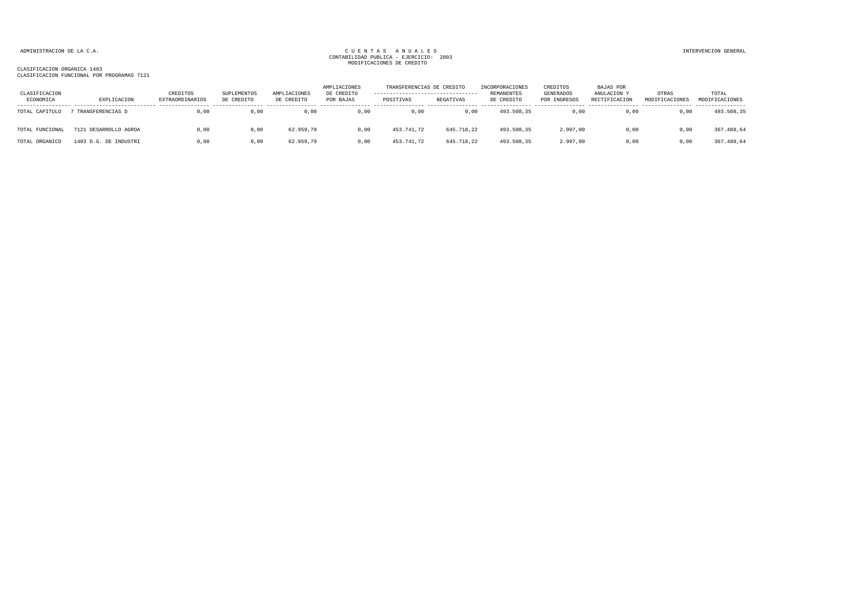| CLASIFICACION<br>ECONOMICA | EXPLICACION           | CREDITOS<br><b>EXTRAORDINARIOS</b> | <b>SUPLEMENTOS</b><br>DE CREDITO | AMPLIACIONES<br>DE CREDITO | AMPLIACIONES<br>DE CREDITO<br>POR BAJAS | TRANSFERENCIAS DE CREDITO<br>---------------------------------<br>POSITIVAS | NEGATIVAS  | INCORPORACIONES<br>REMANENTES<br>DE CREDITO | CREDITOS<br><b>GENERADOS</b><br>POR INGRESOS | <b>BAJAS POR</b><br>ANULACION Y<br>RECTIFICACION | OTRAS<br>MODIFICACIONES | TOTAL<br>MODIFICACIONES |
|----------------------------|-----------------------|------------------------------------|----------------------------------|----------------------------|-----------------------------------------|-----------------------------------------------------------------------------|------------|---------------------------------------------|----------------------------------------------|--------------------------------------------------|-------------------------|-------------------------|
| TOTAL CAPITULO             | TRANSFERENCIAS D      | 0,00                               | 0,00                             | 0,00                       | 0,00                                    | 0,00                                                                        | 0,00       | 493.508,35                                  | 0,00                                         | 0,00                                             | 0,00                    | 493.508,35              |
| TOTAL FUNCIONAL            | 7121 DESARROLLO AGROA | 0,00                               | 0,00                             | 62.959,79                  | 0,00                                    | 453.741,72                                                                  | 645.718,22 | 493.508,35                                  | 2.997,00                                     | 0,00                                             | 0,00                    | 367.488,64              |
| TOTAL ORGANICO             | 1403 D.G. DE INDUSTRI | 0.00                               | 0,00                             | 62.959.79                  | 0.00                                    | 453.741.72                                                                  | 645.718.22 | 493.508,35                                  | 2.997.00                                     | 0.00                                             | 0.00                    | 367.488,64              |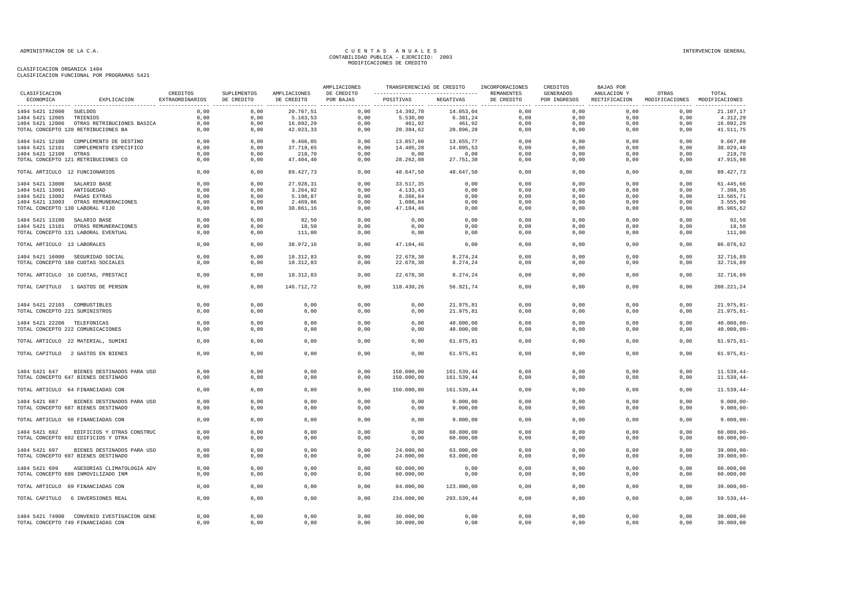| CLASIFICACION                   |                                                                                 |                             |                           |                            | AMPLIACIONES            |                                                |                        | TRANSFERENCIAS DE CREDITO INCORPORACIONES | CREDITOS                  | <b>BAJAS POR</b> |                                                      |                                |
|---------------------------------|---------------------------------------------------------------------------------|-----------------------------|---------------------------|----------------------------|-------------------------|------------------------------------------------|------------------------|-------------------------------------------|---------------------------|------------------|------------------------------------------------------|--------------------------------|
| ECONOMICA                       | EXPLICACION                                                                     | CREDITOS<br>EXTRAORDINARIOS | SUPLEMENTOS<br>DE CREDITO | AMPLIACIONES<br>DE CREDITO | DE CREDITO<br>POR BAJAS | ----------------------------------  REMANENTES | POSITIVAS NEGATIVAS    | DE CREDITO                                | GENERADOS<br>POR INGRESOS | ANULACION Y      | OTRAS<br>RECTIFICACION MODIFICACIONES MODIFICACIONES | TOTAL                          |
| 1404 5421 12000 SUELDOS         |                                                                                 | 0,00                        | 0,00                      | 20.767,51                  | 0,00                    | 14.392,70                                      | 14.053,04              | 0,00                                      | 0,00                      | 0,00             | 0,00                                                 | 21.107,17                      |
| 1404 5421 12005 TRIENIOS        |                                                                                 | 0.00                        | 0.00                      | 5.163,53                   | 0.00                    | 5.530,00                                       | 6.381,24               | 0.00                                      | 0.00                      | 0.00             | 0.00                                                 | 4.312,29                       |
|                                 | 1404 5421 12006 OTRAS RETRIBUCIONES BASICA                                      | 0,00                        | 0,00                      | 16.092,29                  | 0,00                    | 461,92                                         | 461,92                 | 0.00                                      | 0,00                      | 0.00             | 0,00                                                 | 16.092,29                      |
|                                 | TOTAL CONCEPTO 120 RETRIBUCIONES BA                                             | 0,00                        | 0,00                      | 42.023,33                  | 0,00                    | 20.384,62                                      | 20.896,20              | 0,00                                      | 0,00                      | 0,00             | 0,00                                                 | 41.511,75                      |
| 1404 5421 12100                 | COMPLEMENTO DE DESTINO                                                          | 0,00                        | 0,00                      | 9.466,05                   | 0,00                    | 13.857,60                                      | 13.655,77              | 0,00                                      | 0,00                      | 0,00             | 0,00                                                 | 9.667,88                       |
|                                 | 1404 5421 12101 COMPLEMENTO ESPECIFICO                                          | 0,00                        | 0,00                      | 37.719,65                  | 0,00                    | 14.405,28                                      | 14.095,53              | 0,00                                      | 0,00                      | 0,00             | 0,00                                                 | 38.029,40                      |
| 1404 5421 12109 OTRAS           |                                                                                 | 0,00                        | 0,00                      | 218,70                     | 0,00                    | 0,00                                           | 0,00                   | 0,00                                      | 0,00                      | 0,00             | 0,00                                                 | 218,70                         |
|                                 | TOTAL CONCEPTO 121 RETRIBUCIONES CO                                             | 0,00                        | 0,00                      | 47.404,40                  | 0,00                    | 28.262,88                                      | 27.751,30              | 0,00                                      | 0,00                      | 0,00             | 0,00                                                 | 47.915,98                      |
| TOTAL ARTICULO 12 FUNCIONARIOS  |                                                                                 | 0,00                        | 0,00                      | 89.427,73                  | 0,00                    | 48.647,50                                      | 48.647,50              | 0,00                                      | 0,00                      | 0,00             | 0,00                                                 | 89.427,73                      |
| 1404 5421 13000 SALARIO BASE    |                                                                                 | 0,00                        | 0,00                      | 27.928,31                  | 0,00                    | 33.517,35                                      | 0,00                   | 0,00                                      | 0,00                      | 0,00             | 0,00                                                 | 61.445,66                      |
| 1404 5421 13001 ANTIGUEDAD      |                                                                                 | 0,00                        | 0,00                      | 3.264,92                   | 0,00                    | 4.133,43                                       | 0,00                   | 0,00                                      | 0,00                      | 0,00             | 0,00                                                 | 7.398,35                       |
| 1404 5421 13002                 | PAGAS EXTRAS                                                                    | 0,00                        | 0,00                      | 5.198,87                   | 0,00                    | 8.366,84                                       | 0,00                   | 0,00                                      | 0,00                      | 0,00             | 0,00                                                 | 13.565,71                      |
|                                 | 1404 5421 13003 OTRAS REMUNERACIONES                                            | 0,00                        | 0,00                      | 2.469,06                   | 0,00                    | 1.086,84                                       | 0,00                   | 0,00                                      | 0,00                      | 0,00             | 0,00                                                 | 3.555,90                       |
| TOTAL CONCEPTO 130 LABORAL FIJO |                                                                                 | 0,00                        | 0,00                      | 38.861,16                  | 0,00                    | 47.104,46                                      | 0,00                   | 0,00                                      | 0,00                      | 0,00             | 0,00                                                 | 85.965,62                      |
| 1404 5421 13100 SALARIO BASE    |                                                                                 | 0,00                        | 0,00                      | 92,50                      | 0,00                    | 0,00                                           | 0,00                   | 0,00                                      | 0,00                      | 0,00             | 0,00                                                 | 92,50                          |
|                                 | 1404 5421 13101 OTRAS REMUNERACIONES                                            | 0,00                        | 0,00                      | 18,50                      | 0,00                    | 0,00                                           | 0,00                   | 0,00                                      | 0,00                      | 0,00             | 0,00                                                 | 18,50                          |
|                                 | TOTAL CONCEPTO 131 LABORAL EVENTUAL                                             | 0,00                        | 0,00                      | 111,00                     | 0,00                    | 0,00                                           | 0,00                   | 0,00                                      | 0,00                      | 0,00             | 0,00                                                 | 111,00                         |
| TOTAL ARTICULO 13 LABORALES     |                                                                                 | 0,00                        | 0,00                      | 38.972,16                  | 0,00                    | 47.104,46                                      | 0,00                   | 0,00                                      | 0,00                      | 0,00             | 0,00                                                 | 86.076,62                      |
|                                 |                                                                                 |                             |                           |                            |                         |                                                |                        |                                           |                           |                  |                                                      |                                |
|                                 | 1404 5421 16000 SEGURIDAD SOCIAL<br>TOTAL CONCEPTO 160 CUOTAS SOCIALES          | 0,00<br>0,00                | 0,00<br>0,00              | 18.312,83<br>18.312,83     | 0,00<br>0,00            | 22.678,30<br>22.678,30                         | 8.274,24<br>8.274,24   | 0,00<br>0,00                              | 0,00<br>0,00              | 0,00<br>0,00     | 0,00<br>0,00                                         | 32.716,89<br>32.716,89         |
|                                 | TOTAL ARTICULO 16 CUOTAS, PRESTACI                                              | 0,00                        | 0.00                      | 18.312,83                  | 0,00                    | 22.678,30                                      | 8.274,24               | 0.00                                      | 0.00                      | 0.00             | 0.00                                                 | 32.716.89                      |
|                                 |                                                                                 | 0,00                        | 0,00                      | 146.712,72                 | 0,00                    | 118.430,26                                     | 56.921,74              | 0,00                                      | 0,00                      | 0,00             | 0,00                                                 | 208.221,24                     |
|                                 | TOTAL CAPITULO 1 GASTOS DE PERSON                                               |                             |                           |                            |                         |                                                |                        |                                           |                           |                  |                                                      |                                |
| 1404 5421 22103 COMBUSTIBLES    |                                                                                 | 0,00                        | 0,00                      | 0,00                       | 0,00                    | 0,00                                           | 21.975,81              | 0,00                                      | 0,00                      | 0,00             | 0,00                                                 | $21.975,81-$                   |
| TOTAL CONCEPTO 221 SUMINISTROS  |                                                                                 | 0,00                        | 0,00                      | 0,00                       | 0,00                    | 0,00                                           | 21.975,81              | 0,00                                      | 0,00                      | 0,00             | 0,00                                                 | $21.975, 81 -$                 |
|                                 |                                                                                 |                             |                           |                            |                         |                                                |                        |                                           |                           |                  |                                                      |                                |
| 1404 5421 22200 TELEFONICAS     | TOTAL CONCEPTO 222 COMUNICACIONES                                               | 0,00<br>0,00                | 0,00<br>0,00              | 0,00<br>0,00               | 0,00<br>0,00            | 0.00<br>0,00                                   | 40.000,00<br>40.000,00 | 0.00<br>0,00                              | 0,00<br>0,00              | 0.00<br>0,00     | 0,00<br>0,00                                         | $40.000,00 -$<br>$40.000,00 -$ |
|                                 |                                                                                 |                             |                           |                            |                         |                                                |                        |                                           |                           |                  |                                                      |                                |
|                                 | TOTAL ARTICULO 22 MATERIAL, SUMINI                                              | 0,00                        | 0,00                      | 0,00                       | 0,00                    | 0,00                                           | 61.975,81              | 0,00                                      | 0,00                      | 0,00             | 0,00                                                 | $61.975, 81 -$                 |
|                                 | TOTAL CAPITULO 2 GASTOS EN BIENES                                               | 0,00                        | 0,00                      | 0,00                       | 0,00                    | 0,00                                           | 61.975,81              | 0,00                                      | 0,00                      | 0,00             | 0,00                                                 | $61.975, 81 -$                 |
| 1404 5421 647                   | BIENES DESTINADOS PARA USO                                                      | 0,00                        | 0,00                      | 0,00                       | 0,00                    | 150.000,00                                     | 161.539,44             | 0,00                                      | 0,00                      | 0,00             | 0,00                                                 | $11.539, 44-$                  |
|                                 | TOTAL CONCEPTO 647 BIENES DESTINADO                                             | 0,00                        | 0,00                      | 0,00                       | 0,00                    | 150.000,00                                     | 161.539,44             | 0,00                                      | 0,00                      | 0,00             | 0,00                                                 | $11.539.44-$                   |
|                                 | TOTAL ARTICULO 64 FINANCIADAS CON                                               | 0,00                        | 0,00                      | 0,00                       | 0,00                    | 150.000,00                                     | 161.539,44             | 0,00                                      | 0,00                      | 0,00             | 0,00                                                 | $11.539,44-$                   |
|                                 |                                                                                 |                             |                           |                            |                         |                                                |                        |                                           |                           |                  |                                                      |                                |
|                                 | 1404 5421 687 BIENES DESTINADOS PARA USO<br>TOTAL CONCEPTO 687 BIENES DESTINADO | 0,00<br>0,00                | 0,00<br>0,00              | 0,00<br>0,00               | 0,00<br>0,00            | 0,00<br>0,00                                   | 9.000,00<br>9.000,00   | 0,00<br>0,00                              | 0,00<br>0,00              | 0,00<br>0,00     | 0,00<br>0,00                                         | $9.000,00 -$<br>$9.000,00 -$   |
|                                 | TOTAL ARTICULO 68 FINANCIADAS CON                                               | 0,00                        | 0,00                      | 0,00                       | 0,00                    | 0,00                                           | 9.000,00               | 0,00                                      | 0,00                      | 0,00             | 0.00                                                 | $9.000,00 -$                   |
|                                 |                                                                                 |                             |                           |                            |                         |                                                |                        |                                           |                           |                  |                                                      |                                |
| 1404 5421 692                   | EDIFICIOS Y OTRAS CONSTRUC<br>TOTAL CONCEPTO 692 EDIFICIOS Y OTRA               | 0,00<br>0,00                | 0,00<br>0,00              | 0,00<br>0,00               | 0,00<br>0,00            | 0,00<br>0,00                                   | 60.000,00<br>60.000,00 | 0,00<br>0,00                              | 0,00<br>0,00              | 0.00<br>0,00     | 0,00<br>0,00                                         | $60.000.00 -$<br>$60.000,00 -$ |
|                                 |                                                                                 |                             |                           |                            |                         |                                                |                        |                                           |                           |                  |                                                      |                                |
| 1404 5421 697                   | BIENES DESTINADOS PARA USO<br>TOTAL CONCEPTO 697 BIENES DESTINADO               | 0,00<br>0,00                | 0,00<br>0,00              | 0,00<br>0,00               | 0,00<br>0,00            | 24.000,00<br>24.000,00                         | 63.000,00<br>63.000,00 | 0,00<br>0,00                              | 0,00<br>0,00              | 0,00<br>0,00     | 0,00<br>0,00                                         | $39.000,00 -$<br>$39.000,00 -$ |
|                                 |                                                                                 |                             |                           |                            |                         |                                                |                        |                                           |                           |                  |                                                      |                                |
| 1404 5421 699                   | ASESORIAS CLIMATOLOGIA ADV<br>TOTAL CONCEPTO 699 INMOVILIZADO INM               | 0,00<br>0,00                | 0,00<br>0,00              | 0,00<br>0,00               | 0,00<br>0,00            | 60.000,00<br>60.000,00                         | 0,00<br>0,00           | 0,00<br>0,00                              | 0,00<br>0,00              | 0,00<br>0,00     | 0,00<br>0,00                                         | 60.000,00<br>60.000,00         |
|                                 | TOTAL ARTICULO 69 FINANCIADAS CON                                               | 0,00                        | 0,00                      | 0,00                       | 0,00                    | 84.000,00                                      | 123.000,00             | 0,00                                      | 0,00                      | 0,00             | 0,00                                                 | $39.000,00 -$                  |
|                                 | TOTAL CAPITULO 6 INVERSIONES REAL                                               | 0,00                        | 0,00                      | 0,00                       | 0,00                    | 234.000,00                                     | 293.539,44             | 0,00                                      | 0,00                      | 0,00             | 0,00                                                 | $59.539, 44-$                  |
|                                 |                                                                                 |                             |                           |                            |                         |                                                |                        |                                           |                           |                  |                                                      |                                |
|                                 | 1404 5421 74900 CONVENIO IVESTIGACION GENE                                      | 0,00                        | 0,00                      | 0,00                       | 0,00                    | 30.000,00                                      | 0,00                   | 0,00                                      | 0,00                      | 0,00             | 0,00                                                 | 30.000,00                      |
|                                 | TOTAL CONCEPTO 749 FINANCIADAS CON                                              | 0,00                        | 0,00                      | 0,00                       | 0,00                    | 30.000,00                                      | 0,00                   | 0,00                                      | 0,00                      | 0,00             | 0,00                                                 | 30.000,00                      |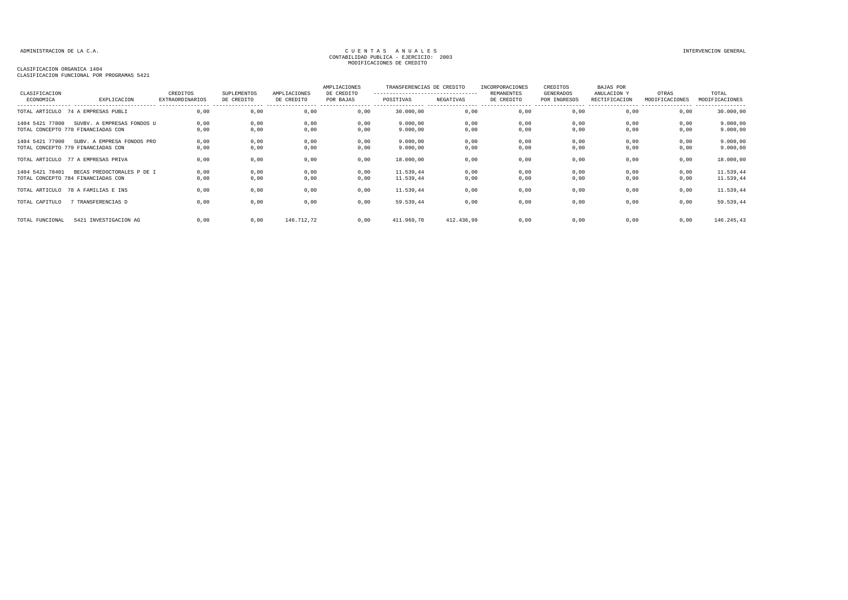## CLASIFICACION ORGANICA 1404

CLASIFICACION FUNCIONAL POR PROGRAMAS 5421

| CLASIFICACION   |                                                                  | CREDITOS               | SUPLEMENTOS  | AMPLIACIONES | AMPLIACIONES<br>DE CREDITO | TRANSFERENCIAS DE CREDITO<br>---------------------------------- |              | INCORPORACIONES<br><b>REMANENTES</b> | CREDITOS<br>GENERADOS | <b>BAJAS POR</b><br>ANULACION Y | OTRAS          | TOTAL                  |
|-----------------|------------------------------------------------------------------|------------------------|--------------|--------------|----------------------------|-----------------------------------------------------------------|--------------|--------------------------------------|-----------------------|---------------------------------|----------------|------------------------|
| ECONOMICA       | EXPLICACION                                                      | <b>EXTRAORDINARIOS</b> | DE CREDITO   | DE CREDITO   | POR BAJAS                  | POSITIVAS                                                       | NEGATIVAS    | DE CREDITO                           | POR INGRESOS          | RECTIFICACION                   | MODIFICACIONES | MODIFICACIONES         |
|                 | TOTAL ARTICULO 74 A EMPRESAS PUBLI                               | 0,00                   | 0,00         | 0,00         | 0,00                       | 30.000,00                                                       | 0,00         | 0,00                                 | 0,00                  | 0,00                            | 0,00           | 30.000,00              |
| 1404 5421 77800 | SUVBV. A EMPRESAS FONDOS U<br>TOTAL CONCEPTO 778 FINANCIADAS CON | 0,00<br>0,00           | 0,00<br>0,00 | 0,00<br>0,00 | 0,00<br>0,00               | 9.000,00<br>9.000,00                                            | 0,00<br>0,00 | 0,00<br>0,00                         | 0,00<br>0,00          | 0,00<br>0,00                    | 0,00<br>0,00   | 9.000,00<br>9.000,00   |
| 1404 5421 77900 | SUBV. A EMPRESA FONDOS PRO<br>TOTAL CONCEPTO 779 FINANCIADAS CON | 0,00<br>0,00           | 0,00<br>0,00 | 0,00<br>0,00 | 0,00<br>0,00               | 9.000,00<br>9.000,00                                            | 0,00<br>0,00 | 0,00<br>0,00                         | 0,00<br>0,00          | 0,00<br>0,00                    | 0,00<br>0,00   | 9.000,00<br>9.000,00   |
|                 | TOTAL ARTICULO 77 A EMPRESAS PRIVA                               | 0,00                   | 0,00         | 0,00         | 0,00                       | 18.000,00                                                       | 0,00         | 0,00                                 | 0,00                  | 0,00                            | 0,00           | 18.000,00              |
| 1404 5421 78401 | BECAS PREDOCTORALES P DE I<br>TOTAL CONCEPTO 784 FINANCIADAS CON | 0,00<br>0,00           | 0,00<br>0,00 | 0,00<br>0,00 | 0,00<br>0,00               | 11.539,44<br>11.539,44                                          | 0,00<br>0,00 | 0,00<br>0,00                         | 0,00<br>0,00          | 0,00<br>0,00                    | 0,00<br>0,00   | 11.539,44<br>11.539,44 |
|                 | TOTAL ARTICULO 78 A FAMILIAS E INS                               | 0.00                   | 0,00         | 0,00         | 0,00                       | 11.539,44                                                       | 0,00         | 0,00                                 | 0,00                  | 0,00                            | 0,00           | 11.539,44              |
| TOTAL CAPITULO  | 7 TRANSFERENCIAS D                                               | 0,00                   | 0,00         | 0,00         | 0,00                       | 59.539,44                                                       | 0,00         | 0,00                                 | 0,00                  | 0,00                            | 0,00           | 59.539,44              |
| TOTAL FUNCIONAL | 5421 INVESTIGACION AG                                            | 0.00                   | 0,00         | 146.712,72   | 0,00                       | 411.969,70                                                      | 412.436,99   | 0,00                                 | 0,00                  | 0,00                            | 0,00           | 146.245,43             |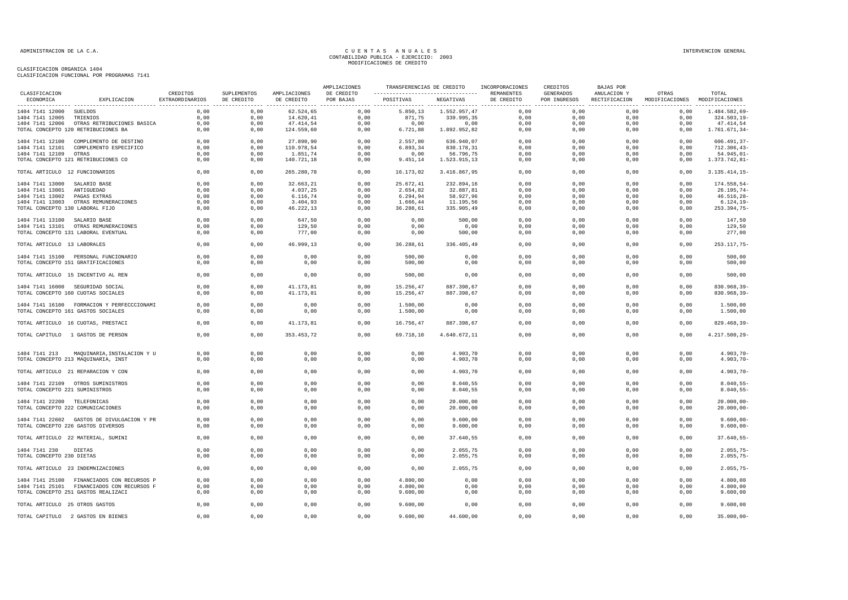| CLASIFICACION                   |                                            |          |                           |                            | AMPLIACIONES            |                                                                      |                       | TRANSFERENCIAS DE CREDITO INCORPORACIONES | CREDITOS                  | BAJAS POR   |                                                      |                  |
|---------------------------------|--------------------------------------------|----------|---------------------------|----------------------------|-------------------------|----------------------------------------------------------------------|-----------------------|-------------------------------------------|---------------------------|-------------|------------------------------------------------------|------------------|
| ECONOMICA                       | EXPLICACION EXTRAORDINARIOS                | CREDITOS | SUPLEMENTOS<br>DE CREDITO | AMPLIACIONES<br>DE CREDITO | DE CREDITO<br>POR BAJAS | ---------------------------------- REMANENTES<br>POSITIVAS NEGATIVAS |                       | DE CREDITO                                | GENERADOS<br>POR INGRESOS | ANULACION Y | OTRAS<br>RECTIFICACION MODIFICACIONES MODIFICACIONES | TOTAL            |
| 1404 7141 12000 SUELDOS         |                                            | 0,00     | 0,00                      | 62.524,65                  | 0,00                    |                                                                      | 5.850,13 1.552.957,47 | 0,00                                      | 0,00                      | 0,00        | 0,00                                                 | 1.484.582,69-    |
| 1404 7141 12005 TRIENIOS        |                                            | 0,00     | 0,00                      | 14.620,41                  | 0,00                    | 871,75                                                               | 339.995,35            | 0,00                                      | 0,00                      | 0,00        | 0,00                                                 | 324.503,19-      |
|                                 | 1404 7141 12006 OTRAS RETRIBUCIONES BASICA | 0,00     | 0,00                      | 47.414,54                  | 0,00                    | 0,00                                                                 | 0,00                  | 0,00                                      | 0,00                      | 0,00        | 0,00                                                 | 47.414,54        |
|                                 | TOTAL CONCEPTO 120 RETRIBUCIONES BA        | 0,00     | 0,00                      | 124.559,60                 | 0,00                    | 6.721, 88                                                            | 1.892.952,82          | 0,00                                      | 0,00                      | 0,00        | 0,00                                                 | 1.761.671,34-    |
|                                 | 1404 7141 12100 COMPLEMENTO DE DESTINO     | 0,00     | 0,00                      | 27.890,90                  | 0,00                    | 2.557,80                                                             | 636.940,07            | 0,00                                      | 0,00                      | 0,00        | 0,00                                                 | $606.491, 37 -$  |
|                                 | 1404 7141 12101 COMPLEMENTO ESPECIFICO     | 0,00     | 0,00                      | 110.978,54                 | 0,00                    | 6.893,34                                                             | 830.178,31            | 0,00                                      | 0,00                      | 0,00        | 0,00                                                 | $712.306,43-$    |
| 1404 7141 12109 OTRAS           |                                            | 0,00     | 0,00                      | 1.851,74                   | 0,00                    | 0,00                                                                 | 56.796,75             | 0,00                                      | 0,00                      | 0,00        | 0,00                                                 | 54.945,01-       |
|                                 | TOTAL CONCEPTO 121 RETRIBUCIONES CO        | 0,00     | 0,00                      | 140.721,18                 | 0,00                    | 9.451, 14                                                            | 1.523.915,13          | 0,00                                      | 0,00                      | 0,00        | 0,00                                                 | 1.373.742,81-    |
| TOTAL ARTICULO 12 FUNCIONARIOS  |                                            | 0,00     | 0,00                      | 265.280,78                 | 0,00                    | 16.173,02                                                            | 3.416.867,95          | 0,00                                      | 0,00                      | 0,00        | 0,00                                                 | $3.135.414, 15-$ |
| 1404 7141 13000 SALARIO BASE    |                                            | 0,00     | 0,00                      | 32.663,21                  | 0,00                    | 25.672,41                                                            | 232.894,16            | 0,00                                      | 0,00                      | 0,00        | 0,00                                                 | 174.558,54-      |
| 1404 7141 13001                 | ANTIGUEDAD                                 | 0.00     | 0.00                      | 4.037,25                   | 0,00                    | 2.654,82                                                             | 32.887,81             | 0.00                                      | 0.00                      | 0.00        | 0,00                                                 | $26.195,74-$     |
| 1404 7141 13002                 | PAGAS EXTRAS                               | 0,00     | 0,00                      | 6.116, 74                  | 0,00                    | 6.294,94                                                             | 58.927,96             | 0,00                                      | 0,00                      | 0,00        | 0,00                                                 | $46.516, 28 -$   |
|                                 | 1404 7141 13003 OTRAS REMUNERACIONES       | 0,00     | 0,00                      | 3.404,93                   | 0,00                    | 1.666,44                                                             | 11.195,56             | 0,00                                      | 0,00                      | 0,00        | 0,00                                                 | $6.124, 19-$     |
| TOTAL CONCEPTO 130 LABORAL FIJO |                                            | 0,00     | 0,00                      | 46.222,13                  | 0,00                    | 36.288,61                                                            | 335.905,49            | 0,00                                      | 0,00                      | 0,00        | 0,00                                                 | 253.394,75-      |
| 1404 7141 13100 SALARIO BASE    |                                            | 0,00     | 0,00                      | 647,50                     | 0,00                    | 0,00                                                                 | 500,00                | 0,00                                      | 0,00                      | 0,00        | 0,00                                                 | 147,50           |
|                                 | 1404 7141 13101 OTRAS REMUNERACIONES       | 0,00     | 0,00                      | 129,50                     | 0,00                    | 0,00                                                                 | 0,00                  | 0,00                                      | 0,00                      | 0,00        | 0,00                                                 | 129,50           |
|                                 | TOTAL CONCEPTO 131 LABORAL EVENTUAL        | 0,00     | 0,00                      | 777,00                     | 0,00                    | 0,00                                                                 | 500,00                | 0,00                                      | 0,00                      | 0,00        | 0,00                                                 | 277,00           |
| TOTAL ARTICULO 13 LABORALES     |                                            | 0,00     | 0,00                      | 46.999,13                  | 0,00                    | 36.288,61                                                            | 336.405,49            | 0,00                                      | 0,00                      | 0,00        | 0,00                                                 | 253.117,75-      |
|                                 |                                            |          |                           |                            |                         |                                                                      |                       |                                           |                           |             |                                                      |                  |
|                                 | 1404 7141 15100 PERSONAL FUNCIONARIO       | 0,00     | 0,00                      | 0,00                       | 0,00                    | 500,00                                                               | 0,00                  | 0,00                                      | 0,00                      | 0,00        | 0,00                                                 | 500,00           |
|                                 | TOTAL CONCEPTO 151 GRATIFICACIONES         | 0,00     | 0,00                      | 0,00                       | 0,00                    | 500,00                                                               | 0,00                  | 0,00                                      | 0,00                      | 0,00        | 0,00                                                 | 500,00           |
|                                 | TOTAL ARTICULO 15 INCENTIVO AL REN         | 0,00     | 0,00                      | 0,00                       | 0,00                    | 500,00                                                               | 0,00                  | 0,00                                      | 0,00                      | 0,00        | 0,00                                                 | 500,00           |
|                                 | 1404 7141 16000 SEGURIDAD SOCIAL           | 0,00     | 0,00                      | 41.173,81                  | 0,00                    | 15.256,47                                                            | 887.398,67            | 0,00                                      | 0,00                      | 0,00        | 0,00                                                 | 830.968,39-      |
|                                 | TOTAL CONCEPTO 160 CUOTAS SOCIALES         | 0,00     | 0,00                      | 41.173,81                  | 0,00                    | 15.256,47                                                            | 887.398,67            | 0,00                                      | 0,00                      | 0,00        | 0,00                                                 | 830.968,39-      |
|                                 | 1404 7141 16100 FORMACION Y PERFECCCIONAMI | 0,00     | 0.00                      | 0,00                       | 0,00                    | 1.500,00                                                             | 0,00                  | 0,00                                      | 0,00                      | 0.00        | 0,00                                                 | 1.500,00         |
|                                 | TOTAL CONCEPTO 161 GASTOS SOCIALES         | 0,00     | 0,00                      | 0,00                       | 0,00                    | 1.500,00                                                             | 0,00                  | 0,00                                      | 0,00                      | 0,00        | 0,00                                                 | 1.500,00         |
|                                 | TOTAL ARTICULO 16 CUOTAS, PRESTACI         | 0,00     | 0,00                      | 41.173,81                  | 0,00                    | 16.756,47                                                            | 887.398,67            | 0,00                                      | 0,00                      | 0,00        | 0,00                                                 | 829.468,39-      |
|                                 | TOTAL CAPITULO 1 GASTOS DE PERSON          | 0,00     | 0,00                      | 353.453,72                 | 0,00                    | 69.718,10                                                            | 4.640.672,11          | 0,00                                      | 0,00                      | 0,00        | 0,00                                                 | 4.217.500,29-    |
|                                 |                                            |          |                           |                            |                         |                                                                      |                       |                                           |                           |             |                                                      |                  |
|                                 | 1404 7141 213 MAQUINARIA, INSTALACION Y U  | 0,00     | 0,00                      | 0,00                       | 0,00                    | 0,00                                                                 | 4.903,70              | 0,00                                      | 0,00                      | 0,00        | 0,00                                                 | $4.903, 70 -$    |
|                                 | TOTAL CONCEPTO 213 MAQUINARIA, INST        | 0.00     | 0.00                      | 0.00                       | 0,00                    | 0.00                                                                 | 4.903,70              | 0.00                                      | 0.00                      | 0.00        | 0.00                                                 | $4.903, 70 -$    |
|                                 | TOTAL ARTICULO 21 REPARACION Y CON         | 0,00     | 0,00                      | 0,00                       | 0,00                    | 0,00                                                                 | 4.903,70              | 0,00                                      | 0,00                      | 0,00        | 0,00                                                 | $4.903, 70 -$    |
|                                 |                                            |          |                           |                            |                         |                                                                      |                       |                                           |                           |             |                                                      |                  |
|                                 | 1404 7141 22109 OTROS SUMINISTROS          | 0,00     | 0,00                      | 0,00                       | 0,00                    | 0,00                                                                 | 8.040,55              | 0,00                                      | 0,00                      | 0,00        | 0,00                                                 | $8.040, 55 -$    |
| TOTAL CONCEPTO 221 SUMINISTROS  |                                            | 0,00     | 0,00                      | 0,00                       | 0,00                    | 0,00                                                                 | 8.040,55              | 0,00                                      | 0,00                      | 0,00        | 0,00                                                 | $8.040, 55 -$    |
| 1404 7141 22200 TELEFONICAS     |                                            | 0.00     | 0.00                      | 0.00                       | 0.00                    | 0.00                                                                 | 20,000,00             | 0.00                                      | 0.00                      | 0.00        | 0.00                                                 | $20.000.00 -$    |
|                                 | TOTAL CONCEPTO 222 COMUNICACIONES          | 0,00     | 0,00                      | 0,00                       | 0,00                    | 0,00                                                                 | 20.000,00             | 0,00                                      | 0,00                      | 0,00        | 0,00                                                 | $20.000,00 -$    |
|                                 |                                            |          |                           |                            |                         |                                                                      |                       |                                           |                           |             |                                                      |                  |
|                                 | 1404 7141 22602 GASTOS DE DIVULGACION Y PR | 0,00     | 0,00                      | 0,00                       | 0,00                    | 0,00                                                                 | 9.600,00              | 0,00                                      | 0,00                      | 0,00        | 0,00                                                 | $9.600,00 -$     |
|                                 | TOTAL CONCEPTO 226 GASTOS DIVERSOS         | 0,00     | 0,00                      | 0,00                       | 0,00                    | 0,00                                                                 | 9.600,00              | 0,00                                      | 0,00                      | 0,00        | 0,00                                                 | $9.600,00 -$     |
|                                 | TOTAL ARTICULO 22 MATERIAL, SUMINI         | 0,00     | 0,00                      | 0,00                       | 0,00                    | 0,00                                                                 | 37.640,55             | 0,00                                      | 0,00                      | 0,00        | 0,00                                                 | $37.640, 55 -$   |
|                                 |                                            |          |                           |                            |                         |                                                                      |                       |                                           |                           |             |                                                      |                  |
| 1404 7141 230                   | <b>DIETAS</b>                              | 0,00     | 0.00                      | 0,00                       | 0,00                    | 0,00                                                                 | 2.055,75              | 0,00                                      | 0,00                      | 0.00        | 0,00                                                 | $2.055,75-$      |
| TOTAL CONCEPTO 230 DIETAS       |                                            | 0,00     | 0,00                      | 0,00                       | 0,00                    | 0,00                                                                 | 2.055,75              | 0,00                                      | 0,00                      | 0,00        | 0,00                                                 | $2.055,75-$      |
|                                 | TOTAL ARTICULO 23 INDEMNIZACIONES          | 0,00     | 0,00                      | 0,00                       | 0,00                    | 0,00                                                                 | 2.055,75              | 0,00                                      | 0,00                      | 0,00        | 0,00                                                 | $2.055,75-$      |
|                                 | 1404 7141 25100 FINANCIADOS CON RECURSOS P | 0,00     | 0,00                      | 0,00                       | 0,00                    | 4.800,00                                                             | 0,00                  | 0,00                                      | 0,00                      | 0,00        | 0,00                                                 | 4.800,00         |
|                                 | 1404 7141 25101 FINANCIADOS CON RECURSOS F | 0.00     | 0.00                      | 0,00                       | 0,00                    | 4.800.00                                                             | 0,00                  | 0,00                                      | 0,00                      | 0.00        | 0,00                                                 | 4.800,00         |
|                                 | TOTAL CONCEPTO 251 GASTOS REALIZACI        | 0,00     | 0,00                      | 0,00                       | 0,00                    | 9.600,00                                                             | 0,00                  | 0,00                                      | 0,00                      | 0,00        | 0,00                                                 | 9.600,00         |
| TOTAL ARTICULO 25 OTROS GASTOS  |                                            | 0,00     | 0,00                      | 0,00                       | 0,00                    | 9.600,00                                                             | 0,00                  | 0,00                                      | 0,00                      | 0,00        | 0,00                                                 | 9.600,00         |
|                                 | TOTAL CAPITULO 2 GASTOS EN BIENES          | 0,00     | 0,00                      | 0,00                       | 0,00                    | 9.600,00                                                             | 44.600,00             | 0,00                                      | 0,00                      | 0,00        | 0,00                                                 | $35.000,00 -$    |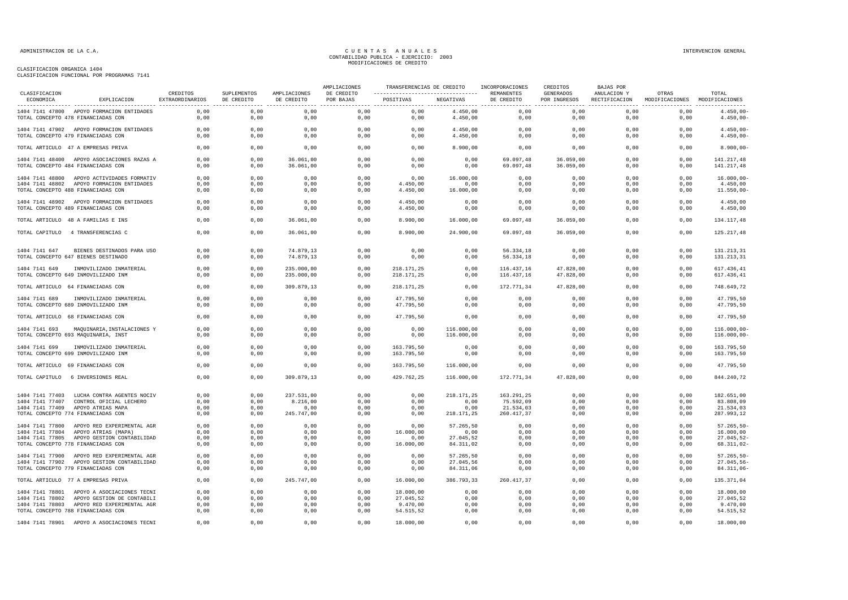| CLASIFICACION                      |                                                                                  |                             |                           |                                                 | AMPLIACIONES            |              |                      | TRANSFERENCIAS DE CREDITO INCORPORACIONES | CREDITOS                         | <b>BAJAS POR</b>             |                                        |                              |
|------------------------------------|----------------------------------------------------------------------------------|-----------------------------|---------------------------|-------------------------------------------------|-------------------------|--------------|----------------------|-------------------------------------------|----------------------------------|------------------------------|----------------------------------------|------------------------------|
| ECONOMICA                          | EXPLICACION                                                                      | CREDITOS<br>EXTRAORDINARIOS | SUPLEMENTOS<br>DE CREDITO | AMPLIACIONES<br>DE CREDITO<br>_________________ | DE CREDITO<br>POR BAJAS | POSITIVAS    | NEGATIVAS            | REMANENTES<br>DE CREDITO                  | <b>GENERADOS</b><br>POR INGRESOS | ANULACION Y<br>RECTIFICACION | OTRAS<br>MODIFICACIONES MODIFICACIONES | TOTAL<br>.                   |
|                                    | 1404 7141 47800 APOYO FORMACION ENTIDADES<br>TOTAL CONCEPTO 478 FINANCIADAS CON  | 0.00<br>0,00                | 0,00                      | 0,00                                            | 0,00<br>0,00            | 0,00         | 4.450,00             | 0,00                                      | 0,00                             | 0,00<br>0,00                 | 0,00                                   | $4.450,00 -$                 |
|                                    |                                                                                  |                             | 0,00                      | 0,00                                            |                         | 0,00         | 4.450,00             | 0,00                                      | 0,00                             |                              | 0,00                                   | $4.450,00 -$                 |
|                                    | 1404 7141 47902 APOYO FORMACION ENTIDADES<br>TOTAL CONCEPTO 479 FINANCIADAS CON  | 0,00<br>0,00                | 0,00<br>0,00              | 0,00<br>0,00                                    | 0,00<br>0,00            | 0,00<br>0,00 | 4.450,00<br>4.450,00 | 0,00<br>0,00                              | 0,00<br>0,00                     | 0,00<br>0,00                 | 0,00<br>0,00                           | $4.450,00 -$<br>$4.450,00 -$ |
|                                    | TOTAL ARTICULO 47 A EMPRESAS PRIVA                                               | 0,00                        | 0,00                      | 0,00                                            | 0,00                    | 0,00         | 8.900,00             | 0,00                                      | 0,00                             | 0,00                         | 0,00                                   | $8.900,00 -$                 |
|                                    |                                                                                  |                             |                           |                                                 |                         |              |                      |                                           |                                  |                              |                                        |                              |
|                                    | 1404 7141 48400 APOYO ASOCIACIONES RAZAS A<br>TOTAL CONCEPTO 484 FINANCIADAS CON | 0,00<br>0,00                | 0,00<br>0,00              | 36.061,00<br>36.061,00                          | 0,00<br>0,00            | 0,00<br>0,00 | 0,00<br>0,00         | 69.097,48<br>69.097,48                    | 36.059,00<br>36.059,00           | 0,00<br>0,00                 | 0,00<br>0,00                           | 141.217,48<br>141.217,48     |
|                                    | 1404 7141 48800 APOYO ACTIVIDADES FORMATIV                                       | 0,00                        | 0,00                      | 0,00                                            | 0,00                    | 0,00         | 16.000,00            | 0,00                                      | 0,00                             | 0,00                         | 0,00                                   | $16.000,00 -$                |
|                                    | 1404 7141 48802 APOYO FORMACION ENTIDADES                                        | 0,00                        | 0,00                      | 0,00                                            | 0,00                    | 4.450,00     | 0,00                 | 0,00                                      | 0,00                             | 0,00                         | 0,00                                   | 4.450,00                     |
|                                    | TOTAL CONCEPTO 488 FINANCIADAS CON                                               | 0,00                        | 0,00                      | 0,00                                            | 0,00                    | 4.450,00     | 16.000,00            | 0,00                                      | 0,00                             | 0,00                         | 0,00                                   | $11.550,00 -$                |
|                                    | 1404 7141 48902 APOYO FORMACION ENTIDADES                                        | 0,00                        | 0,00                      | 0,00                                            | 0,00                    | 4.450,00     | 0,00                 | 0,00                                      | 0,00                             | 0,00                         | 0,00                                   | 4.450,00                     |
|                                    | TOTAL CONCEPTO 489 FINANCIADAS CON                                               | 0,00                        | 0,00                      | 0,00                                            | 0,00                    | 4.450,00     | 0,00                 | 0,00                                      | 0,00                             | 0,00                         | 0,00                                   | 4.450,00                     |
|                                    | TOTAL ARTICULO 48 A FAMILIAS E INS                                               | 0,00                        | 0,00                      | 36.061,00                                       | 0,00                    | 8.900,00     | 16.000,00            | 69.097,48                                 | 36.059,00                        | 0,00                         | 0,00                                   | 134.117,48                   |
|                                    | TOTAL CAPITULO 4 TRANSFERENCIAS C                                                | 0,00                        | 0,00                      | 36.061,00                                       | 0,00                    | 8.900,00     | 24.900,00            | 69.097,48                                 | 36.059,00                        | 0,00                         | 0,00                                   | 125.217,48                   |
|                                    |                                                                                  |                             |                           |                                                 |                         |              |                      |                                           |                                  |                              |                                        |                              |
| 1404 7141 647                      | BIENES DESTINADOS PARA USO                                                       | 0.00                        | 0.00                      | 74.879,13                                       | 0,00                    | 0,00         | 0,00                 | 56.334,18                                 | 0,00                             | 0.00                         | 0,00                                   | 131.213,31                   |
|                                    | TOTAL CONCEPTO 647 BIENES DESTINADO                                              | 0,00                        | 0,00                      | 74.879,13                                       | 0,00                    | 0,00         | 0,00                 | 56.334,18                                 | 0,00                             | 0,00                         | 0,00                                   | 131.213,31                   |
| 1404 7141 649                      | INMOVILIZADO INMATERIAL                                                          | 0,00                        | 0,00                      | 235.000,00                                      | 0,00                    | 218.171,25   | 0,00                 | 116.437,16                                | 47.828,00                        | 0,00                         | 0,00                                   | 617.436,41                   |
|                                    | TOTAL CONCEPTO 649 INMOVILIZADO INM                                              | 0.00                        | 0.00                      | 235,000,00                                      | 0.00                    | 218.171,25   | 0.00                 | 116.437.16                                | 47.828.00                        | 0.00                         | 0.00                                   | 617.436,41                   |
|                                    | TOTAL ARTICULO 64 FINANCIADAS CON                                                | 0,00                        | 0,00                      | 309.879,13                                      | 0,00                    | 218.171,25   | 0,00                 | 172.771,34                                | 47.828,00                        | 0,00                         | 0,00                                   | 748.649,72                   |
| 1404 7141 689                      | INMOVILIZADO INMATERIAL                                                          | 0,00                        | 0.00                      | 0,00                                            | 0,00                    | 47.795.50    | 0,00                 | 0,00                                      | 0,00                             | 0,00                         | 0,00                                   | 47.795,50                    |
|                                    | TOTAL CONCEPTO 689 INMOVILIZADO INM                                              | 0,00                        | 0,00                      | 0,00                                            | 0,00                    | 47.795,50    | 0,00                 | 0,00                                      | 0,00                             | 0,00                         | 0,00                                   | 47.795,50                    |
|                                    | TOTAL ARTICULO 68 FINANCIADAS CON                                                | 0,00                        | 0,00                      | 0,00                                            | 0,00                    | 47.795,50    | 0,00                 | 0,00                                      | 0,00                             | 0,00                         | 0,00                                   | 47.795,50                    |
| 1404 7141 693                      | MAQUINARIA, INSTALACIONES Y                                                      | 0,00                        | 0,00                      | 0,00                                            | 0,00                    | 0,00         | 116.000,00           | 0,00                                      | 0,00                             | 0,00                         | 0,00                                   | $116.000,00 -$               |
|                                    | TOTAL CONCEPTO 693 MAQUINARIA, INST                                              | 0,00                        | 0,00                      | 0,00                                            | 0,00                    | 0,00         | 116.000,00           | 0,00                                      | 0,00                             | 0,00                         | 0,00                                   | $116.000,00 -$               |
| 1404 7141 699                      | INMOVILIZADO INMATERIAL                                                          | 0,00                        | 0,00                      | 0,00                                            | 0,00                    | 163.795,50   | 0,00                 | 0,00                                      | 0,00                             | 0,00                         | 0,00                                   | 163.795,50                   |
|                                    | TOTAL CONCEPTO 699 INMOVILIZADO INM                                              | 0,00                        | 0,00                      | 0,00                                            | 0,00                    | 163.795,50   | 0,00                 | 0,00                                      | 0,00                             | 0,00                         | 0,00                                   | 163.795,50                   |
|                                    | TOTAL ARTICULO 69 FINANCIADAS CON                                                | 0,00                        | 0,00                      | 0,00                                            | 0,00                    | 163.795,50   | 116.000,00           | 0,00                                      | 0,00                             | 0,00                         | 0,00                                   | 47.795,50                    |
| TOTAL CAPITULO                     | 6 INVERSIONES REAL                                                               | 0.00                        | 0.00                      | 309.879,13                                      | 0.00                    | 429.762,25   | 116.000,00           | 172.771.34                                | 47.828,00                        | 0.00                         | 0.00                                   | 844.240,72                   |
|                                    |                                                                                  |                             |                           |                                                 |                         |              |                      |                                           |                                  |                              |                                        |                              |
| 1404 7141 77403<br>1404 7141 77407 | LUCHA CONTRA AGENTES NOCIV<br>CONTROL OFICIAL LECHERO                            | 0,00<br>0,00                | 0,00<br>0,00              | 237.531,00<br>8.216,00                          | 0,00<br>0,00            | 0,00<br>0,00 | 218.171,25<br>0,00   | 163.291,25<br>75.592,09                   | 0,00<br>0,00                     | 0,00<br>0,00                 | 0,00<br>0,00                           | 182.651,00<br>83.808,09      |
| 1404 7141 77409                    | APOYO ATRIAS MAPA                                                                | 0,00                        | 0,00                      | 0,00                                            | 0,00                    | 0,00         | 0,00                 | 21.534,03                                 | 0,00                             | 0,00                         | 0,00                                   | 21.534,03                    |
|                                    | TOTAL CONCEPTO 774 FINANCIADAS CON                                               | 0,00                        | 0,00                      | 245.747,00                                      | 0,00                    | 0,00         | 218.171,25           | 260.417,37                                | 0,00                             | 0,00                         | 0,00                                   | 287.993,12                   |
|                                    | 1404 7141 77800 APOYO RED EXPERIMENTAL AGR                                       | 0.00                        | 0.00                      | 0,00                                            | 0,00                    | 0,00         | 57.265,50            | 0,00                                      | 0,00                             | 0,00                         | 0,00                                   | 57.265,50-                   |
| 1404 7141 77804                    | APOYO ATRIAS (MAPA)                                                              | 0,00                        | 0,00                      | 0,00                                            | 0,00                    | 16.000,00    | 0,00                 | 0,00                                      | 0,00                             | 0,00                         | 0,00                                   | 16.000,00                    |
| 1404 7141 77805                    | APOYO GESTION CONTABILIDAD                                                       | 0,00                        | 0,00                      | 0,00                                            | 0,00                    | 0,00         | 27.045,52            | 0,00                                      | 0,00                             | 0,00                         | 0,00                                   | 27.045,52-                   |
|                                    | TOTAL CONCEPTO 778 FINANCIADAS CON                                               | 0.00                        | 0,00                      | 0,00                                            | 0.00                    | 16.000,00    | 84.311,02            | 0,00                                      | 0.00                             | 0.00                         | 0.00                                   | 68.311.02-                   |
|                                    | 1404 7141 77900 APOYO RED EXPERIMENTAL AGR                                       | 0,00                        | 0,00                      | 0,00                                            | 0,00                    | 0,00         | 57.265,50            | 0,00                                      | 0,00                             | 0,00                         | 0,00                                   | $57.265, 50 -$               |
|                                    | 1404 7141 77902 APOYO GESTION CONTABILIDAD                                       | 0.00                        | 0.00                      | 0,00                                            | 0.00                    | 0,00         | 27.045,56            | 0,00                                      | 0.00                             | 0,00                         | 0,00                                   | 27.045,56-                   |
|                                    | TOTAL CONCEPTO 779 FINANCIADAS CON                                               | 0,00                        | 0,00                      | 0,00                                            | 0,00                    | 0,00         | 84.311,06            | 0,00                                      | 0,00                             | 0,00                         | 0,00                                   | 84.311,06-                   |
|                                    | TOTAL ARTICULO 77 A EMPRESAS PRIVA                                               | 0,00                        | 0,00                      | 245.747,00                                      | 0,00                    | 16.000,00    | 386.793,33           | 260.417,37                                | 0,00                             | 0,00                         | 0,00                                   | 135.371,04                   |
|                                    | 1404 7141 78801 APOYO A ASOCIACIONES TECNI                                       | 0,00                        | 0,00                      | 0,00                                            | 0,00                    | 18.000,00    | 0,00                 | 0,00                                      | 0,00                             | 0,00                         | 0,00                                   | 18.000,00                    |
|                                    | 1404 7141 78802 APOYO GESTION DE CONTABILI                                       | 0,00                        | 0,00                      | 0,00                                            | 0,00                    | 27.045,52    | 0,00                 | 0,00                                      | 0,00                             | 0,00                         | 0,00                                   | 27.045,52                    |
|                                    | 1404 7141 78803 APOYO RED EXPERIMENTAL AGR                                       | 0,00                        | 0,00                      | 0,00                                            | 0,00                    | 9.470,00     | 0,00                 | 0,00                                      | 0,00                             | 0,00                         | 0,00                                   | 9.470,00                     |
|                                    | TOTAL CONCEPTO 788 FINANCIADAS CON                                               | 0,00                        | 0,00                      | 0,00                                            | 0,00                    | 54.515,52    | 0,00                 | 0,00                                      | 0,00                             | 0,00                         | 0,00                                   | 54.515,52                    |
|                                    | 1404 7141 78901 APOYO A ASOCIACIONES TECNI                                       | 0,00                        | 0,00                      | 0,00                                            | 0,00                    | 18.000,00    | 0,00                 | 0,00                                      | 0,00                             | 0,00                         | 0,00                                   | 18.000,00                    |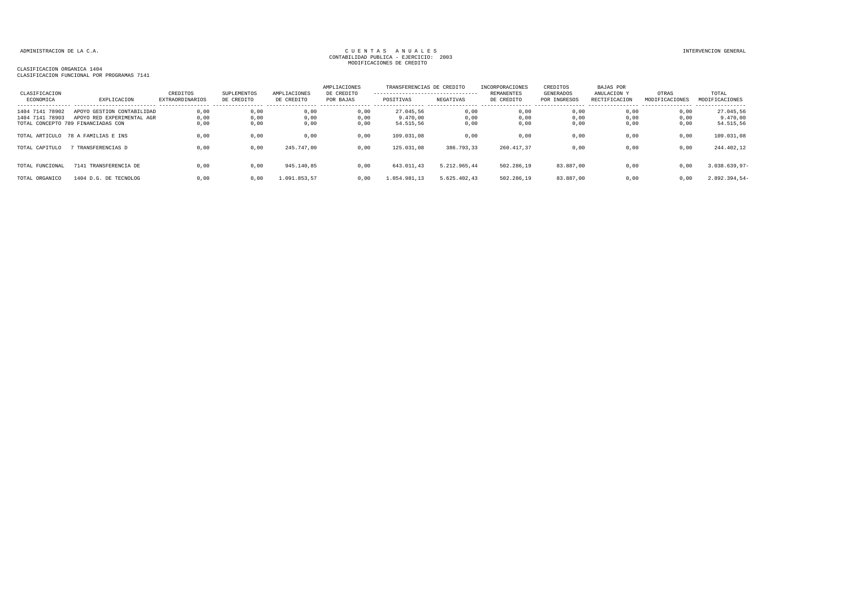TOTAL ORGANICO 1404 D.G. DE TECNOLOG 0,00 0,00 1.091.853,57 0,00 1.054.981,13 5.625.402,43 502.286,19 83.887,00 0,00 0,00 2.892.394,54-

| CLASIFICACION<br>ECONOMICA | EXPLICACION                        | CREDITOS<br><b>EXTRAORDINARIOS</b> | SUPLEMENTOS<br>DE CREDITO | AMPLIACIONES<br>DE CREDITO | AMPLIACIONES<br>DE CREDITO<br>POR BAJAS | TRANSFERENCIAS DE CREDITO<br>---------------------------------<br>POSITIVAS | NEGATIVAS    | INCORPORACIONES<br>REMANENTES<br>DE CREDITO | CREDITOS<br>GENERADOS<br>POR INGRESOS | BAJAS POR<br>ANULACION Y<br>RECTIFICACION | OTRAS<br>MODIFICACIONES | TOTAL<br>MODIFICACIONES |
|----------------------------|------------------------------------|------------------------------------|---------------------------|----------------------------|-----------------------------------------|-----------------------------------------------------------------------------|--------------|---------------------------------------------|---------------------------------------|-------------------------------------------|-------------------------|-------------------------|
| 1404 7141 78902            | APOYO GESTION CONTABILIDAD         | 0,00                               | 0,00                      | 0,00                       | 0,00                                    | 27.045.56                                                                   | 0,00         | 0,00                                        | 0,00                                  | 0,00                                      | 0,00                    | 27.045,56               |
| 1404 7141 78903            | APOYO RED EXPERIMENTAL AGR         | 0,00                               | 0,00                      | 0,00                       | 0,00                                    | 9.470.00                                                                    | 0,00         | 0,00                                        | 0,00                                  | 0,00                                      | 0,00                    | 9.470,00                |
|                            | TOTAL CONCEPTO 789 FINANCIADAS CON | 0,00                               | 0,00                      | 0,00                       | 0,00                                    | 54.515,56                                                                   | 0,00         | 0,00                                        | 0,00                                  | 0,00                                      | 0,00                    | 54.515,56               |
|                            | TOTAL ARTICULO 78 A FAMILIAS E INS | 0,00                               | 0,00                      | 0,00                       | 0,00                                    | 109.031,08                                                                  | 0,00         | 0,00                                        | 0,00                                  | 0,00                                      | 0,00                    | 109.031,08              |
| TOTAL CAPITULO             | TRANSFERENCIAS D                   | 0,00                               | 0,00                      | 245.747,00                 | 0,00                                    | 125.031,08                                                                  | 386.793,33   | 260.417.37                                  | 0,00                                  | 0,00                                      | 0,00                    | 244.402,12              |
| TOTAL FUNCIONAL            | 7141 TRANSFERENCIA DE              | 0.00                               | 0,00                      | 945.140.85                 | 0.00                                    | 643.011.43                                                                  | 5.212.965.44 | 502.286.19                                  | 83.887.00                             | 0.00                                      | 0,00                    | $3.038.639,97-$         |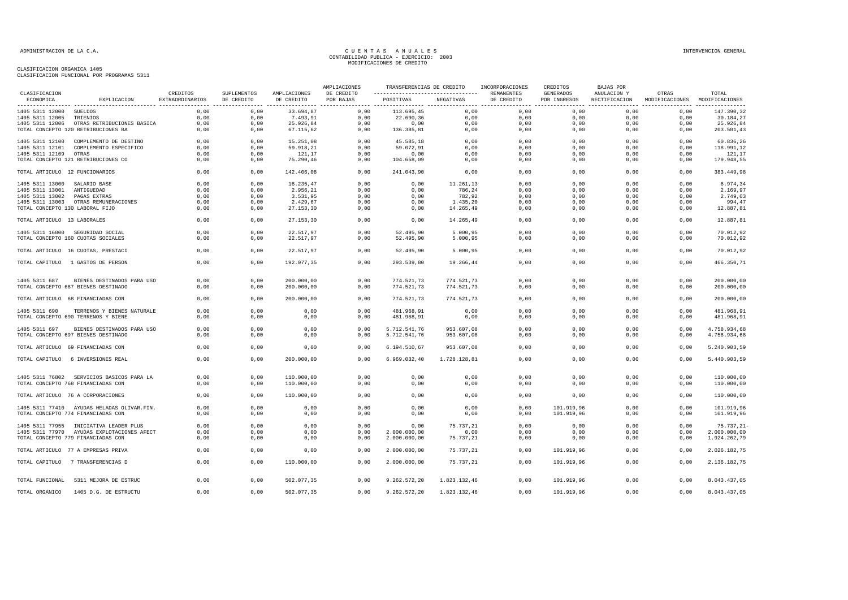|                                            |                                            |                             |                           |                            | AMPLIACIONES            |                                                                       |              | TRANSFERENCIAS DE CREDITO INCORPORACIONES | CREDITOS                         | <b>BAJAS POR</b>             |                                        |                         |
|--------------------------------------------|--------------------------------------------|-----------------------------|---------------------------|----------------------------|-------------------------|-----------------------------------------------------------------------|--------------|-------------------------------------------|----------------------------------|------------------------------|----------------------------------------|-------------------------|
| CLASIFICACION<br>ECONOMICA                 | EXPLICACION                                | CREDITOS<br>EXTRAORDINARIOS | SUPLEMENTOS<br>DE CREDITO | AMPLIACIONES<br>DE CREDITO | DE CREDITO<br>POR BAJAS | ----------------------------------  REMANENTES<br>POSITIVAS NEGATIVAS |              | DE CREDITO                                | <b>GENERADOS</b><br>POR INGRESOS | ANULACION Y<br>RECTIFICACION | OTRAS<br>MODIFICACIONES MODIFICACIONES | TOTAL                   |
| 1405 5311 12000 SUELDOS<br>1405 5311 12005 | TRIENIOS                                   | 0,00<br>0,00                | 0,00<br>0,00              | 33.694,87<br>7.493,91      | 0,00<br>0,00            | 113.695,45<br>22.690,36                                               | 0,00<br>0,00 | 0,00<br>0,00                              | 0,00<br>0,00                     | 0,00<br>0,00                 | 0,00<br>0,00                           | 147.390,32<br>30.184,27 |
| 1405 5311 12006                            | OTRAS RETRIBUCIONES BASICA                 | 0,00                        | 0,00                      | 25.926,84                  | 0,00                    | 0,00                                                                  | 0,00         | 0,00                                      | 0,00                             | 0,00                         | 0,00                                   | 25.926,84               |
|                                            | TOTAL CONCEPTO 120 RETRIBUCIONES BA        | 0.00                        | 0.00                      | 67.115,62                  | 0.00                    | 136.385,81                                                            | 0,00         | 0,00                                      | 0.00                             | 0.00                         | 0.00                                   | 203.501,43              |
|                                            |                                            |                             |                           |                            |                         |                                                                       |              |                                           |                                  |                              |                                        |                         |
| 1405 5311 12100                            | COMPLEMENTO DE DESTINO                     | 0.00                        | 0.00                      | 15.251,08                  | 0.00                    | 45.585,18                                                             | 0,00         | 0.00                                      | 0.00                             | 0.00                         | 0.00                                   | 60.836,26               |
| 1405 5311 12101                            | COMPLEMENTO ESPECIFICO                     | 0.00                        | 0,00                      | 59.918,21                  | 0,00                    | 59.072.91                                                             | 0,00         | 0,00                                      | 0,00                             | 0.00                         | 0,00                                   | 118.991,12              |
| 1405 5311 12109                            | OTRAS                                      | 0,00                        | 0,00                      | 121,17                     | 0,00                    | 0,00                                                                  | 0,00         | 0,00                                      | 0,00                             | 0,00                         | 0,00                                   | 121,17                  |
|                                            | TOTAL CONCEPTO 121 RETRIBUCIONES CO        | 0,00                        | 0,00                      | 75.290,46                  | 0,00                    | 104.658,09                                                            | 0,00         | 0,00                                      | 0,00                             | 0,00                         | 0,00                                   | 179.948,55              |
| TOTAL ARTICULO 12 FUNCIONARIOS             |                                            | 0,00                        | 0,00                      | 142.406,08                 | 0,00                    | 241.043,90                                                            | 0,00         | 0,00                                      | 0,00                             | 0,00                         | 0,00                                   | 383.449,98              |
| 1405 5311 13000 SALARIO BASE               |                                            | 0,00                        | 0,00                      | 18.235,47                  | 0,00                    | 0,00                                                                  | 11.261,13    | 0,00                                      | 0,00                             | 0,00                         | 0,00                                   | 6.974,34                |
| 1405 5311 13001                            | ANTIGUEDAD                                 | 0,00                        | 0,00                      | 2.956,21                   | 0,00                    | 0,00                                                                  | 786,24       | 0,00                                      | 0,00                             | 0,00                         | 0,00                                   | 2.169,97                |
| 1405 5311 13002 PAGAS EXTRAS               |                                            | 0.00                        | 0.00                      | 3.531,95                   | 0,00                    | 0.00                                                                  | 782,92       | 0,00                                      | 0.00                             | 0.00                         | 0.00                                   | 2.749,03                |
|                                            | 1405 5311 13003 OTRAS REMUNERACIONES       | 0,00                        | 0,00                      | 2.429,67                   | 0,00                    | 0,00                                                                  | 1.435,20     | 0,00                                      | 0,00                             | 0,00                         | 0,00                                   | 994,47                  |
| TOTAL CONCEPTO 130 LABORAL FIJO            |                                            | 0,00                        | 0,00                      | 27.153,30                  | 0,00                    | 0,00                                                                  | 14.265,49    | 0,00                                      | 0,00                             | 0,00                         | 0,00                                   | 12.887,81               |
| TOTAL ARTICULO 13 LABORALES                |                                            | 0,00                        | 0,00                      | 27.153,30                  | 0,00                    | 0,00                                                                  | 14.265,49    | 0,00                                      | 0,00                             | 0,00                         | 0,00                                   | 12.887,81               |
|                                            | 1405 5311 16000 SEGURIDAD SOCIAL           | 0,00                        | 0.00                      | 22.517.97                  | 0.00                    | 52.495.90                                                             | 5.000.95     | 0,00                                      | 0.00                             | 0,00                         | 0,00                                   | 70.012.92               |
|                                            | TOTAL CONCEPTO 160 CUOTAS SOCIALES         | 0,00                        | 0,00                      | 22.517,97                  | 0,00                    | 52.495,90                                                             | 5.000, 95    | 0,00                                      | 0,00                             | 0,00                         | 0,00                                   | 70.012,92               |
|                                            | TOTAL ARTICULO 16 CUOTAS, PRESTACI         | 0,00                        | 0,00                      | 22.517,97                  | 0,00                    | 52.495,90                                                             | 5.000, 95    | 0,00                                      | 0,00                             | 0,00                         | 0,00                                   | 70.012,92               |
|                                            | TOTAL CAPITULO 1 GASTOS DE PERSON          | 0,00                        | 0,00                      | 192.077,35                 | 0.00                    | 293.539,80                                                            | 19.266,44    | 0,00                                      | 0,00                             | 0.00                         | 0.00                                   | 466.350,71              |
|                                            |                                            |                             |                           |                            |                         |                                                                       |              |                                           |                                  |                              |                                        |                         |
| 1405 5311 687                              | BIENES DESTINADOS PARA USO                 | 0.00                        | 0.00                      | 200.000,00                 | 0,00                    | 774.521,73                                                            | 774.521,73   | 0,00                                      | 0,00                             | 0.00                         | 0,00                                   | 200.000,00              |
|                                            |                                            |                             |                           |                            |                         |                                                                       |              |                                           |                                  |                              |                                        |                         |
|                                            | TOTAL CONCEPTO 687 BIENES DESTINADO        | 0,00                        | 0,00                      | 200.000,00                 | 0,00                    | 774.521,73                                                            | 774.521,73   | 0,00                                      | 0,00                             | 0,00                         | 0,00                                   | 200.000,00              |
|                                            | TOTAL ARTICULO 68 FINANCIADAS CON          | 0,00                        | 0,00                      | 200.000,00                 | 0,00                    | 774.521,73                                                            | 774.521,73   | 0,00                                      | 0,00                             | 0,00                         | 0,00                                   | 200.000,00              |
| 1405 5311 690                              | TERRENOS Y BIENES NATURALE                 | 0,00                        | 0,00                      | 0,00                       | 0,00                    | 481.968,91                                                            | 0,00         | 0,00                                      | 0,00                             | 0.00                         | 0,00                                   | 481.968,91              |
|                                            | TOTAL CONCEPTO 690 TERRENOS Y BIENE        | 0,00                        | 0,00                      | 0,00                       | 0,00                    | 481.968,91                                                            | 0,00         | 0,00                                      | 0,00                             | 0,00                         | 0,00                                   | 481.968,91              |
| 1405 5311 697                              | BIENES DESTINADOS PARA USO                 | 0.00                        | 0.00                      | 0,00                       | 0.00                    | 5.712.541,76                                                          | 953.607,08   | 0,00                                      | 0.00                             | 0.00                         | 0.00                                   | 4.758.934.68            |
|                                            | TOTAL CONCEPTO 697 BIENES DESTINADO        | 0,00                        | 0,00                      | 0,00                       | 0,00                    | 5.712.541,76                                                          | 953.607,08   | 0,00                                      | 0,00                             | 0,00                         | 0,00                                   | 4.758.934,68            |
|                                            | TOTAL ARTICULO 69 FINANCIADAS CON          | 0,00                        | 0,00                      | 0,00                       | 0,00                    | 6.194.510,67                                                          | 953.607,08   | 0,00                                      | 0,00                             | 0,00                         | 0,00                                   | 5.240.903,59            |
| TOTAL CAPITULO                             | 6 INVERSIONES REAL                         | 0.00                        | 0.00                      | 200,000,00                 | 0.00                    | 6.969.032,40                                                          | 1.728.128,81 | 0.00                                      | 0.00                             | 0.00                         | 0.00                                   | 5.440.903,59            |
|                                            |                                            |                             |                           |                            |                         |                                                                       |              |                                           |                                  |                              |                                        |                         |
|                                            | 1405 5311 76802 SERVICIOS BASICOS PARA LA  | 0.00                        | 0.00                      | 110,000,00                 | 0.00                    | 0,00                                                                  | 0,00         | 0,00                                      | 0.00                             | 0.00                         | 0.00                                   | 110.000,00              |
|                                            | TOTAL CONCEPTO 768 FINANCIADAS CON         | 0,00                        | 0,00                      | 110.000,00                 | 0,00                    | 0,00                                                                  | 0,00         | 0,00                                      | 0,00                             | 0,00                         | 0,00                                   | 110.000,00              |
|                                            | TOTAL ARTICULO 76 A CORPORACIONES          | 0,00                        | 0,00                      | 110.000,00                 | 0,00                    | 0,00                                                                  | 0,00         | 0,00                                      | 0,00                             | 0,00                         | 0,00                                   | 110.000,00              |
|                                            | 1405 5311 77410 AYUDAS HELADAS OLIVAR.FIN. | 0.00                        | 0.00                      | 0,00                       | 0,00                    | 0.00                                                                  | 0,00         | 0,00                                      | 101.919,96                       | 0.00                         | 0,00                                   | 101.919,96              |
|                                            | TOTAL CONCEPTO 774 FINANCIADAS CON         | 0,00                        | 0,00                      | 0,00                       | 0,00                    | 0,00                                                                  | 0,00         | 0,00                                      | 101.919,96                       | 0,00                         | 0,00                                   | 101.919,96              |
|                                            | 1405 5311 77955 INICIATIVA LEADER PLUS     | 0,00                        | 0,00                      | 0,00                       | 0,00                    | 0,00                                                                  | 75.737,21    | 0,00                                      | 0,00                             | 0,00                         | 0,00                                   | 75.737,21-              |
|                                            | 1405 5311 77970 AYUDAS EXPLOTACIONES AFECT | 0,00                        | 0,00                      | 0,00                       | 0,00                    | 2.000.000,00                                                          | 0,00         | 0,00                                      | 0,00                             | 0,00                         | 0,00                                   | 2.000.000,00            |
|                                            | TOTAL CONCEPTO 779 FINANCIADAS CON         | 0,00                        |                           | 0,00                       | 0,00                    | 2.000.000,00                                                          |              |                                           | 0,00                             | 0,00                         | 0,00                                   | 1.924.262,79            |
|                                            |                                            |                             | 0,00                      |                            |                         |                                                                       | 75.737,21    | 0,00                                      |                                  |                              |                                        |                         |
|                                            | TOTAL ARTICULO 77 A EMPRESAS PRIVA         | 0,00                        | 0,00                      | 0,00                       | 0,00                    | 2.000.000,00                                                          | 75.737,21    | 0,00                                      | 101.919,96                       | 0,00                         | 0,00                                   | 2.026.182,75            |
|                                            | TOTAL CAPITULO 7 TRANSFERENCIAS D          | 0,00                        | 0,00                      | 110.000,00                 | 0,00                    | 2.000.000,00                                                          | 75.737,21    | 0,00                                      | 101.919,96                       | 0,00                         | 0,00                                   | 2.136.182,75            |
| TOTAL FUNCIONAL                            | 5311 MEJORA DE ESTRUC                      | 0,00                        | 0,00                      | 502.077,35                 | 0,00                    | 9.262.572,20                                                          | 1.823.132,46 | 0,00                                      | 101.919,96                       | 0,00                         | 0,00                                   | 8.043.437,05            |
| TOTAL ORGANICO                             | 1405 D.G. DE ESTRUCTU                      | 0,00                        | 0,00                      | 502.077,35                 | 0,00                    | 9.262.572,20                                                          | 1.823.132,46 | 0.00                                      | 101.919,96                       | 0,00                         | 0,00                                   | 8.043.437,05            |
|                                            |                                            |                             |                           |                            |                         |                                                                       |              |                                           |                                  |                              |                                        |                         |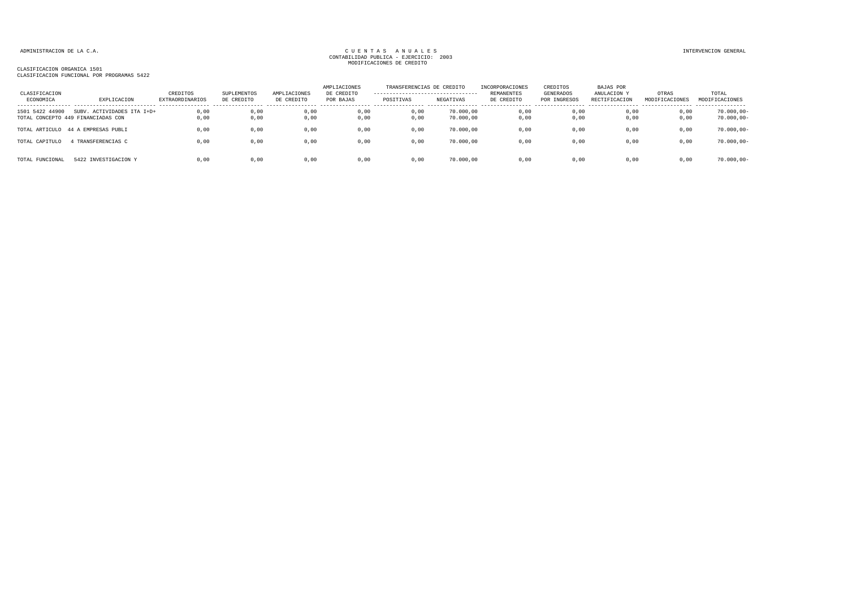| CLASIFICACION<br>ECONOMICA                            | EXPLICACION                | CREDITOS<br><b>EXTRAORDINARIOS</b> | SUPLEMENTOS<br>DE CREDITO | AMPLIACIONES<br>DE CREDITO | AMPLIACIONES<br>DE CREDITO<br>POR BAJAS | TRANSFERENCIAS DE CREDITO<br>---------------------------------<br>POSITIVAS | NEGATIVAS              | INCORPORACIONES<br>REMANENTES<br>DE CREDITO | CREDITOS<br>GENERADOS<br>POR INGRESOS | <b>BAJAS POR</b><br>ANULACION Y<br>RECTIFICACION | OTRAS<br>MODIFICACIONES | TOTAL<br>MODIFICACIONES        |
|-------------------------------------------------------|----------------------------|------------------------------------|---------------------------|----------------------------|-----------------------------------------|-----------------------------------------------------------------------------|------------------------|---------------------------------------------|---------------------------------------|--------------------------------------------------|-------------------------|--------------------------------|
| 1501 5422 44900<br>TOTAL CONCEPTO 449 FINANCIADAS CON | SUBV. ACTIVIDADES ITA I+D+ | 0,00<br>0,00                       | 0,00<br>0,00              | 0,00<br>0,00               | 0,00<br>0,00                            | 0,00<br>0,00                                                                | 70.000,00<br>70.000,00 | 0,00<br>0,00                                | 0,00<br>0,00                          | 0,00<br>0,00                                     | 0,00<br>0,00            | $70.000,00 -$<br>$70.000,00 -$ |
| TOTAL ARTICULO 44 A EMPRESAS PUBLI                    |                            | 0.00                               | 0,00                      | 0,00                       | 0,00                                    | 0,00                                                                        | 70.000.00              | 0,00                                        | 0,00                                  | 0,00                                             | 0,00                    | $70.000,00 -$                  |
| TOTAL CAPITULO                                        | TRANSFERENCIAS C           | 0,00                               | 0,00                      | 0,00                       | 0,00                                    | 0,00                                                                        | 70.000,00              | 0,00                                        | 0,00                                  | 0,00                                             | 0,00                    | $70.000,00 -$                  |
| TOTAL FUNCIONAL                                       | 5422 INVESTIGACION Y       | 0,00                               | 0,00                      | 0,00                       | 0,00                                    | 0,00                                                                        | 70.000,00              | 0,00                                        | 0,00                                  | 0,00                                             | 0,00                    | $70.000,00 -$                  |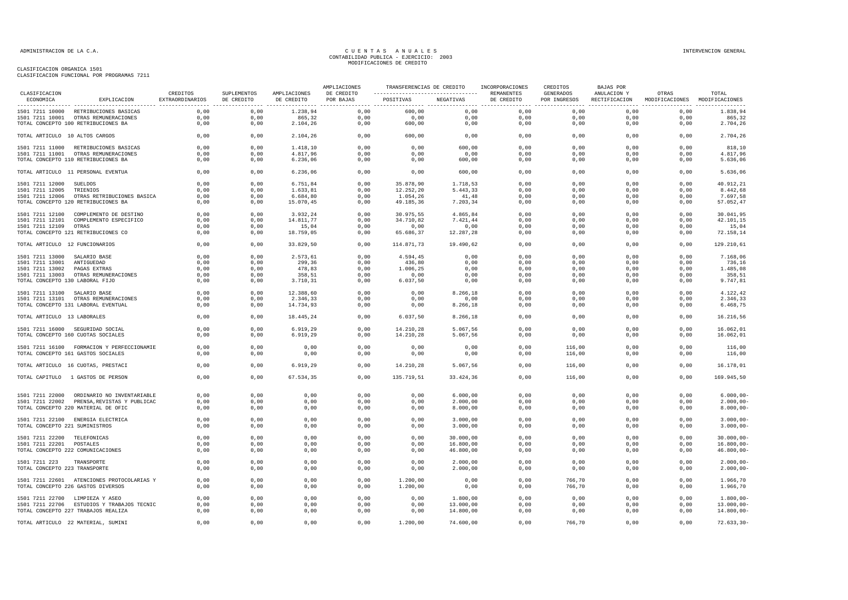| CLASIFICACION                                  |                                             |                             |                           |                            | AMPLIACIONES            |                                                                      |           | TRANSFERENCIAS DE CREDITO INCORPORACIONES | CREDITOS  | BAJAS POR                                                               |       |                |
|------------------------------------------------|---------------------------------------------|-----------------------------|---------------------------|----------------------------|-------------------------|----------------------------------------------------------------------|-----------|-------------------------------------------|-----------|-------------------------------------------------------------------------|-------|----------------|
| ECONOMICA                                      | EXPLICACION                                 | CREDITOS<br>EXTRAORDINARIOS | SUPLEMENTOS<br>DE CREDITO | AMPLIACIONES<br>DE CREDITO | DE CREDITO<br>POR BAJAS | ---------------------------------- REMANENTES<br>POSITIVAS NEGATIVAS |           | DE CREDITO                                | GENERADOS | ANULACION Y<br>POR INGRESOS RECTIFICACION MODIFICACIONES MODIFICACIONES | OTRAS | TOTAL          |
|                                                | 1501 7211 10000 RETRIBUCIONES BASICAS       | 0,00                        | 0,00                      | 1.238,94                   | 0,00                    | 600,00                                                               | 0,00      | 0,00                                      | 0,00      | 0,00                                                                    | 0,00  | 1.838,94       |
|                                                | 1501 7211 10001 OTRAS REMUNERACIONES        | 0,00                        | 0,00                      | 865,32                     | 0,00                    | 0,00                                                                 | 0,00      | 0,00                                      | 0,00      | 0,00                                                                    | 0,00  | 865,32         |
|                                                | TOTAL CONCEPTO 100 RETRIBUCIONES BA         | 0,00                        | 0,00                      | 2.104,26                   | 0,00                    | 600,00                                                               | 0,00      | 0,00                                      | 0,00      | 0,00                                                                    | 0,00  | 2.704,26       |
| TOTAL ARTICULO 10 ALTOS CARGOS                 |                                             | 0,00                        | 0,00                      | 2.104,26                   | 0,00                    | 600,00                                                               | 0,00      | 0,00                                      | 0,00      | 0,00                                                                    | 0,00  | 2.704,26       |
|                                                | 1501 7211 11000 RETRIBUCIONES BASICAS       | 0,00                        | 0,00                      | 1.418,10                   | 0,00                    | 0,00                                                                 | 600,00    | 0,00                                      | 0,00      | 0.00                                                                    | 0,00  | 818,10         |
|                                                | 1501 7211 11001 OTRAS REMUNERACIONES        | 0,00                        | 0,00                      | 4.817,96                   | 0,00                    | 0,00                                                                 | 0,00      | 0,00                                      | 0,00      | 0,00                                                                    | 0,00  | 4.817,96       |
|                                                | TOTAL CONCEPTO 110 RETRIBUCIONES BA         | 0,00                        | 0,00                      | 6.236,06                   | 0,00                    | 0,00                                                                 | 600,00    | 0,00                                      | 0,00      | 0,00                                                                    | 0,00  | 5.636,06       |
|                                                | TOTAL ARTICULO 11 PERSONAL EVENTUA          | 0,00                        | 0,00                      | 6.236,06                   | 0,00                    | 0,00                                                                 | 600,00    | 0,00                                      | 0,00      | 0,00                                                                    | 0,00  | 5.636,06       |
| 1501 7211 12000 SUELDOS                        |                                             | 0,00                        | 0,00                      | 6.751,84                   | 0,00                    | 35.878,90                                                            | 1.718,53  | 0,00                                      | 0,00      | 0,00                                                                    | 0,00  | 40.912,21      |
| 1501 7211 12005 TRIENIOS                       |                                             | 0,00                        | 0,00                      | 1.633,81                   | 0,00                    | 12.252,20                                                            | 5.443,33  | 0,00                                      | 0,00      | 0,00                                                                    | 0,00  | 8.442,68       |
|                                                | 1501 7211 12006 OTRAS RETRIBUCIONES BASICA  | 0.00                        | 0.00                      | 6.684.80                   | 0.00                    | 1.054,26                                                             | 41,48     | 0.00                                      | 0.00      | 0.00                                                                    | 0.00  | 7.697.58       |
|                                                | TOTAL CONCEPTO 120 RETRIBUCIONES BA         | 0,00                        | 0,00                      | 15.070,45                  | 0,00                    | 49.185,36                                                            | 7.203,34  | 0,00                                      | 0,00      | 0,00                                                                    | 0,00  | 57.052,47      |
|                                                | 1501 7211 12100 COMPLEMENTO DE DESTINO      | 0,00                        | 0,00                      | 3.932,24                   | 0,00                    | 30.975,55                                                            | 4.865,84  | 0,00                                      | 0,00      | 0,00                                                                    | 0,00  | 30.041,95      |
|                                                | 1501 7211 12101 COMPLEMENTO ESPECIFICO      | 0,00                        | 0,00                      | 14.811,77                  | 0,00                    | 34.710,82                                                            | 7.421,44  | 0,00                                      | 0,00      | 0,00                                                                    | 0,00  | 42.101,15      |
| 1501 7211 12109 OTRAS                          |                                             | 0,00                        | 0,00                      | 15,04                      | 0,00                    | 0,00                                                                 | 0,00      | 0,00                                      | 0,00      | 0,00                                                                    | 0,00  | 15,04          |
|                                                | TOTAL CONCEPTO 121 RETRIBUCIONES CO         | 0,00                        | 0,00                      | 18.759,05                  | 0,00                    | 65.686,37                                                            | 12.287,28 | 0,00                                      | 0,00      | 0,00                                                                    | 0,00  | 72.158,14      |
| TOTAL ARTICULO 12 FUNCIONARIOS                 |                                             | 0,00                        | 0,00                      | 33.829,50                  | 0,00                    | 114.871,73                                                           | 19.490,62 | 0,00                                      | 0,00      | 0,00                                                                    | 0,00  | 129.210,61     |
| 1501 7211 13000 SALARIO BASE                   |                                             | 0,00                        | 0,00                      | 2.573,61                   | 0,00                    | 4.594.45                                                             | 0,00      | 0,00                                      | 0,00      | 0,00                                                                    | 0,00  | 7.168,06       |
| 1501 7211 13001 ANTIGUEDAD                     |                                             | 0,00                        | 0,00                      | 299,36                     | 0,00                    | 436,80                                                               | 0,00      | 0,00                                      | 0,00      | 0,00                                                                    | 0,00  | 736,16         |
| 1501 7211 13002                                | PAGAS EXTRAS                                | 0,00                        | 0,00                      | 478,83                     | 0,00                    | 1.006,25                                                             | 0,00      | 0,00                                      | 0,00      | 0,00                                                                    | 0,00  | 1.485,08       |
|                                                | 1501 7211 13003 OTRAS REMUNERACIONES        | 0,00                        | 0,00                      | 358,51                     | 0,00                    | 0,00                                                                 | 0,00      | 0,00                                      | 0,00      | 0,00                                                                    | 0,00  | 358,51         |
| TOTAL CONCEPTO 130 LABORAL FIJO                |                                             | 0,00                        | 0,00                      | 3.710,31                   | 0,00                    | 6.037,50                                                             | 0,00      | 0,00                                      | 0,00      | 0,00                                                                    | 0,00  | 9.747,81       |
| 1501 7211 13100 SALARIO BASE                   |                                             | 0,00                        | 0,00                      | 12.388,60                  | 0,00                    | 0,00                                                                 | 8.266,18  | 0,00                                      | 0,00      | 0,00                                                                    | 0,00  | 4.122,42       |
|                                                | 1501 7211 13101 OTRAS REMUNERACIONES        | 0,00                        | 0,00                      | 2.346,33                   | 0,00                    | 0,00                                                                 | 0,00      | 0,00                                      | 0,00      | 0,00                                                                    | 0,00  | 2.346,33       |
|                                                | TOTAL CONCEPTO 131 LABORAL EVENTUAL         | 0,00                        | 0,00                      | 14.734,93                  | 0,00                    | 0,00                                                                 | 8.266,18  | 0,00                                      | 0,00      | 0,00                                                                    | 0,00  | 6.468,75       |
| TOTAL ARTICULO 13 LABORALES                    |                                             | 0,00                        | 0,00                      | 18.445,24                  | 0,00                    | 6.037,50                                                             | 8.266,18  | 0,00                                      | 0,00      | 0,00                                                                    | 0,00  | 16.216,56      |
|                                                | 1501 7211 16000 SEGURIDAD SOCIAL            | 0,00                        | 0,00                      | 6.919,29                   | 0,00                    | 14.210,28                                                            | 5.067,56  | 0,00                                      | 0,00      | 0,00                                                                    | 0,00  | 16.062,01      |
|                                                | TOTAL CONCEPTO 160 CUOTAS SOCIALES          | 0,00                        | 0,00                      | 6.919,29                   | 0,00                    | 14.210,28                                                            | 5.067,56  | 0,00                                      | 0,00      | 0,00                                                                    | 0,00  | 16.062,01      |
|                                                | 1501 7211 16100 FORMACION Y PERFECCIONAMIE  | 0,00                        | 0,00                      | 0,00                       | 0,00                    | 0,00                                                                 | 0,00      | 0,00                                      | 116,00    | 0,00                                                                    | 0,00  | 116,00         |
|                                                | TOTAL CONCEPTO 161 GASTOS SOCIALES          | 0,00                        | 0,00                      | 0,00                       | 0,00                    | 0,00                                                                 | 0,00      | 0,00                                      | 116,00    | 0,00                                                                    | 0,00  | 116,00         |
|                                                | TOTAL ARTICULO 16 CUOTAS, PRESTACI          | 0,00                        | 0,00                      | 6.919, 29                  | 0,00                    | 14.210,28                                                            | 5.067,56  | 0,00                                      | 116,00    | 0,00                                                                    | 0,00  | 16.178,01      |
|                                                | TOTAL CAPITULO 1 GASTOS DE PERSON           | 0,00                        | 0,00                      | 67.534,35                  | 0,00                    | 135.719,51                                                           | 33.424,36 | 0,00                                      | 116,00    | 0,00                                                                    | 0,00  | 169.945,50     |
|                                                | 1501 7211 22000 ORDINARIO NO INVENTARIABLE  | 0,00                        | 0,00                      | 0,00                       | 0,00                    | 0,00                                                                 | 6.000,00  | 0,00                                      | 0,00      | 0,00                                                                    | 0,00  | $6.000,00 -$   |
|                                                | 1501 7211 22002 PRENSA, REVISTAS Y PUBLICAC | 0,00                        | 0,00                      | 0,00                       | 0,00                    | 0,00                                                                 | 2.000,00  | 0,00                                      | 0,00      | 0,00                                                                    | 0,00  | $2.000,00-$    |
|                                                | TOTAL CONCEPTO 220 MATERIAL DE OFIC         | 0,00                        | 0,00                      | 0,00                       | 0,00                    | 0,00                                                                 | 8.000,00  | 0,00                                      | 0,00      | 0,00                                                                    | 0,00  | $8.000,00 -$   |
|                                                | 1501 7211 22100 ENERGIA ELECTRICA           | 0,00                        | 0,00                      | 0,00                       | 0,00                    | 0,00                                                                 | 3.000,00  | 0,00                                      | 0,00      | 0,00                                                                    | 0,00  | $3.000,00 -$   |
| TOTAL CONCEPTO 221 SUMINISTROS                 |                                             | 0,00                        | 0,00                      | 0,00                       | 0,00                    | 0,00                                                                 | 3.000,00  | 0,00                                      | 0,00      | 0.00                                                                    | 0.00  | $3.000,00 -$   |
| 1501 7211 22200 TELEFONICAS                    |                                             | 0,00                        | 0,00                      | 0,00                       | 0,00                    | 0,00                                                                 | 30.000,00 | 0,00                                      | 0,00      | 0,00                                                                    | 0,00  | $30.000,00 -$  |
| 1501 7211 22201 POSTALES                       |                                             | 0,00                        | 0,00                      | 0,00                       | 0,00                    | 0,00                                                                 | 16.800,00 | 0,00                                      | 0,00      | 0,00                                                                    | 0,00  | $16.800,00 -$  |
|                                                | TOTAL CONCEPTO 222 COMUNICACIONES           | 0,00                        | 0,00                      | 0,00                       | 0,00                    | 0,00                                                                 | 46.800,00 | 0,00                                      | 0,00      | 0,00                                                                    | 0,00  | $46.800,00 -$  |
|                                                | TRANSPORTE                                  | 0,00                        | 0,00                      | 0,00                       | 0,00                    | 0,00                                                                 | 2.000,00  | 0,00                                      | 0,00      | 0,00                                                                    | 0,00  | $2.000,00 -$   |
| 1501 7211 223<br>TOTAL CONCEPTO 223 TRANSPORTE |                                             | 0,00                        | 0,00                      | 0,00                       | 0,00                    | 0,00                                                                 | 2.000,00  | 0,00                                      | 0,00      | 0,00                                                                    | 0,00  | $2.000,00 -$   |
|                                                |                                             |                             |                           |                            |                         |                                                                      |           |                                           |           |                                                                         |       |                |
|                                                | 1501 7211 22601 ATENCIONES PROTOCOLARIAS Y  | 0,00                        | 0,00                      | 0,00                       | 0,00                    | 1.200,00                                                             | 0,00      | 0,00                                      | 766,70    | 0,00                                                                    | 0,00  | 1.966,70       |
|                                                | TOTAL CONCEPTO 226 GASTOS DIVERSOS          | 0,00                        | 0,00                      | 0,00                       | 0,00                    | 1.200,00                                                             | 0,00      | 0,00                                      | 766,70    | 0,00                                                                    | 0,00  | 1.966,70       |
|                                                | 1501 7211 22700 LIMPIEZA Y ASEO             | 0,00                        | 0,00                      | 0,00                       | 0,00                    | 0,00                                                                 | 1.800,00  | 0,00                                      | 0,00      | 0,00                                                                    | 0,00  | $1.800,00 -$   |
|                                                | 1501 7211 22706 ESTUDIOS Y TRABAJOS TECNIC  | 0,00                        | 0,00                      | 0,00                       | 0,00                    | 0,00                                                                 | 13.000,00 | 0,00                                      | 0,00      | 0,00                                                                    | 0,00  | $13.000,00 -$  |
|                                                | TOTAL CONCEPTO 227 TRABAJOS REALIZA         | 0,00                        | 0,00                      | 0,00                       | 0,00                    | 0,00                                                                 | 14.800,00 | 0,00                                      | 0,00      | 0,00                                                                    | 0,00  | $14.800,00 -$  |
|                                                | TOTAL ARTICULO 22 MATERIAL, SUMINI          | 0,00                        | 0,00                      | 0,00                       | 0,00                    | 1.200,00                                                             | 74.600,00 | 0,00                                      | 766,70    | 0,00                                                                    | 0,00  | $72.633, 30 -$ |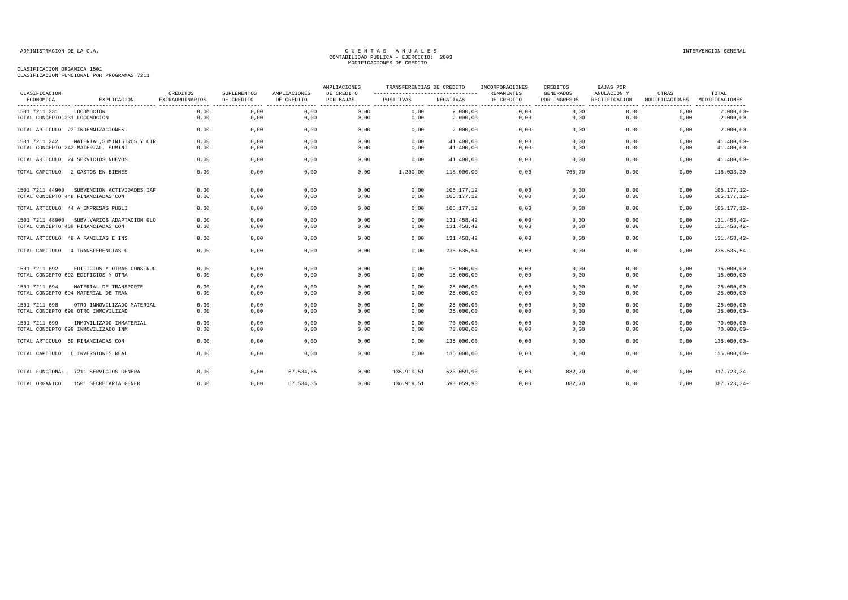## CLASIFICACION ORGANICA 1501

CLASIFICACION FUNCIONAL POR PROGRAMAS 7211

| CLASIFICACION                 |                                             |                                    |                           |                            | AMPLIACIONES            | TRANSFERENCIAS DE CREDITO |            | INCORPORACIONES                 | CREDITOS                         | <b>BAJAS POR</b>             |                                                                 |                                                  |
|-------------------------------|---------------------------------------------|------------------------------------|---------------------------|----------------------------|-------------------------|---------------------------|------------|---------------------------------|----------------------------------|------------------------------|-----------------------------------------------------------------|--------------------------------------------------|
| ECONOMICA                     | EXPLICACION                                 | CREDITOS<br><b>EXTRAORDINARIOS</b> | SUPLEMENTOS<br>DE CREDITO | AMPLIACIONES<br>DE CREDITO | DE CREDITO<br>POR BAJAS | POSITIVAS                 | NEGATIVAS  | <b>REMANENTES</b><br>DE CREDITO | <b>GENERADOS</b><br>POR INGRESOS | ANULACION Y<br>RECTIFICACION | OTRAS<br>MODIFICACIONES<br>------------------------------------ | TOTAL<br>MODIFICACIONES<br>---------<br>-------- |
| 1501 7211 231                 | LOCOMOCION                                  | 0.00                               | 0,00                      | 0,00                       | 0,00                    | 0,00                      | 2.000,00   | 0,00                            | 0,00                             | 0,00                         | 0,00                                                            | $2.000,00-$                                      |
| TOTAL CONCEPTO 231 LOCOMOCION |                                             | 0.00                               | 0,00                      | 0,00                       | 0,00                    | 0,00                      | 2.000,00   | 0,00                            | 0,00                             | 0,00                         | 0,00                                                            | $2.000,00-$                                      |
|                               | TOTAL ARTICULO 23 INDEMNIZACIONES           | 0.00                               | 0,00                      | 0,00                       | 0,00                    | 0,00                      | 2.000,00   | 0,00                            | 0.00                             | 0.00                         | 0.00                                                            | $2.000,00-$                                      |
| 1501 7211 242                 | MATERIAL, SUMINISTROS Y OTR                 | 0,00                               | 0,00                      | 0,00                       | 0,00                    | 0,00                      | 41.400,00  | 0,00                            | 0,00                             | 0,00                         | 0.00                                                            | $41.400,00 -$                                    |
|                               | TOTAL CONCEPTO 242 MATERIAL, SUMINI         | 0,00                               | 0,00                      | 0,00                       | 0,00                    | 0,00                      | 41.400,00  | 0,00                            | 0,00                             | 0,00                         | 0,00                                                            | $41.400,00 -$                                    |
|                               | TOTAL ARTICULO 24 SERVICIOS NUEVOS          | 0,00                               | 0,00                      | 0,00                       | 0,00                    | 0.00                      | 41.400,00  | 0,00                            | 0,00                             | 0.00                         | 0.00                                                            | $41.400,00 -$                                    |
| TOTAL CAPITULO                | 2 GASTOS EN BIENES                          | 0.00                               | 0,00                      | 0,00                       | 0,00                    | 1.200,00                  | 118,000,00 | 0,00                            | 766,70                           | 0.00                         | 0,00                                                            | $116.033,30-$                                    |
| 1501 7211 44900               | SUBVENCION ACTIVIDADES IAF                  | 0,00                               | 0,00                      | 0,00                       | 0,00                    | 0,00                      | 105.177,12 | 0,00                            | 0,00                             | 0,00                         | 0,00                                                            | 105.177,12-                                      |
|                               | TOTAL CONCEPTO 449 FINANCIADAS CON          | 0,00                               | 0,00                      | 0,00                       | 0,00                    | 0,00                      | 105.177,12 | 0,00                            | 0,00                             | 0,00                         | 0,00                                                            | 105.177,12-                                      |
|                               | TOTAL ARTICULO 44 A EMPRESAS PUBLI          | 0,00                               | 0,00                      | 0,00                       | 0,00                    | 0,00                      | 105.177,12 | 0,00                            | 0,00                             | 0,00                         | 0,00                                                            | 105.177,12-                                      |
|                               | 1501 7211 48900 SUBV. VARIOS ADAPTACION GLO | 0,00                               | 0,00                      | 0,00                       | 0,00                    | 0,00                      | 131.458,42 | 0,00                            | 0,00                             | 0,00                         | 0,00                                                            | 131.458,42-                                      |
|                               | TOTAL CONCEPTO 489 FINANCIADAS CON          | 0.00                               | 0,00                      | 0,00                       | 0,00                    | 0,00                      | 131.458,42 | 0,00                            | 0,00                             | 0,00                         | 0,00                                                            | 131.458,42-                                      |
|                               | TOTAL ARTICULO 48 A FAMILIAS E INS          | 0,00                               | 0,00                      | 0,00                       | 0,00                    | 0,00                      | 131.458,42 | 0,00                            | 0,00                             | 0,00                         | 0,00                                                            | 131.458,42-                                      |
| TOTAL CAPITULO                | 4 TRANSFERENCIAS C                          | 0,00                               | 0,00                      | 0,00                       | 0,00                    | 0,00                      | 236.635,54 | 0,00                            | 0,00                             | 0,00                         | 0,00                                                            | $236.635,54-$                                    |
| 1501 7211 692                 | EDIFICIOS Y OTRAS CONSTRUC                  | 0,00                               | 0,00                      | 0,00                       | 0,00                    | 0,00                      | 15.000,00  | 0,00                            | 0,00                             | 0,00                         | 0,00                                                            | $15.000,00 -$                                    |
|                               | TOTAL CONCEPTO 692 EDIFICIOS Y OTRA         | 0.00                               | 0,00                      | 0,00                       | 0,00                    | 0,00                      | 15.000,00  | 0,00                            | 0,00                             | 0,00                         | 0,00                                                            | $15.000,00-$                                     |
| 1501 7211 694                 | MATERIAL DE TRANSPORTE                      | 0,00                               | 0,00                      | 0,00                       | 0,00                    | 0,00                      | 25.000,00  | 0,00                            | 0,00                             | 0,00                         | 0,00                                                            | $25.000,00 -$                                    |
|                               | TOTAL CONCEPTO 694 MATERIAL DE TRAN         | 0,00                               | 0,00                      | 0,00                       | 0,00                    | 0,00                      | 25.000,00  | 0,00                            | 0,00                             | 0,00                         | 0,00                                                            | $25.000,00 -$                                    |
| 1501 7211 698                 | OTRO INMOVILIZADO MATERIAL                  | 0,00                               | 0,00                      | 0,00                       | 0,00                    | 0,00                      | 25.000,00  | 0,00                            | 0,00                             | 0,00                         | 0,00                                                            | $25.000,00 -$                                    |
|                               | TOTAL CONCEPTO 698 OTRO INMOVILIZAD         | 0,00                               | 0,00                      | 0,00                       | 0,00                    | 0,00                      | 25.000,00  | 0,00                            | 0,00                             | 0,00                         | 0,00                                                            | $25.000,00 -$                                    |
| 1501 7211 699                 | INMOVILIZADO INMATERIAL                     | 0,00                               | 0,00                      | 0,00                       | 0,00                    | 0,00                      | 70,000,00  | 0,00                            | 0,00                             | 0,00                         | 0,00                                                            | $70.000,00 -$                                    |
|                               | TOTAL CONCEPTO 699 INMOVILIZADO INM         | 0.00                               | 0,00                      | 0,00                       | 0,00                    | 0,00                      | 70,000,00  | 0,00                            | 0.00                             | 0,00                         | 0.00                                                            | $70.000,00 -$                                    |
|                               | TOTAL ARTICULO 69 FINANCIADAS CON           | 0,00                               | 0,00                      | 0,00                       | 0,00                    | 0,00                      | 135.000,00 | 0,00                            | 0,00                             | 0,00                         | 0,00                                                            | $135.000,00 -$                                   |
| TOTAL CAPITULO                | 6 INVERSIONES REAL                          | 0,00                               | 0,00                      | 0,00                       | 0,00                    | 0,00                      | 135.000,00 | 0,00                            | 0,00                             | 0,00                         | 0,00                                                            | $135.000,00 -$                                   |
| TOTAL FUNCIONAL               | 7211 SERVICIOS GENERA                       | 0.00                               | 0,00                      | 67.534.35                  | 0.00                    | 136.919.51                | 523.059.90 | 0.00                            | 882,70                           | 0.00                         | 0,00                                                            | $317.723.34-$                                    |
| TOTAL ORGANICO                | 1501 SECRETARIA GENER                       | 0.00                               | 0.00                      | 67.534.35                  | 0.00                    | 136.919.51                | 593.059.90 | 0.00                            | 882.70                           | 0.00                         | 0.00                                                            | 387.723.34-                                      |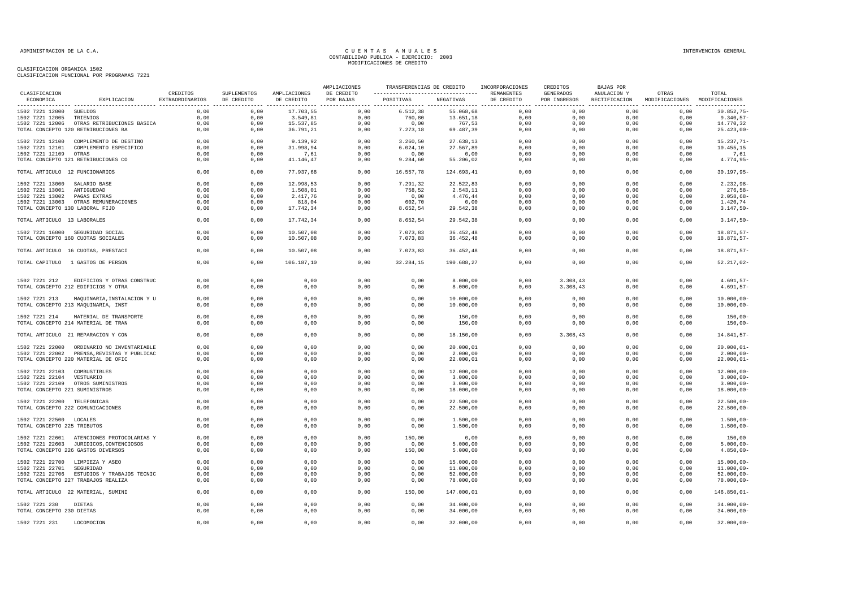| CLASIFICACION                   |                                             |                                    |                           |                            | AMPLIACIONES            | TRANSFERENCIAS DE CREDITO |            | INCORPORACIONES          | CREDITOS                         | BAJAS POR                    |                         |                         |
|---------------------------------|---------------------------------------------|------------------------------------|---------------------------|----------------------------|-------------------------|---------------------------|------------|--------------------------|----------------------------------|------------------------------|-------------------------|-------------------------|
| ECONOMICA                       | EXPLICACION                                 | CREDITOS<br><b>EXTRAORDINARIOS</b> | SUPLEMENTOS<br>DE CREDITO | AMPLIACIONES<br>DE CREDITO | DE CREDITO<br>POR BAJAS | POSITIVAS                 | NEGATIVAS  | REMANENTES<br>DE CREDITO | <b>GENERADOS</b><br>POR INGRESOS | ANULACION Y<br>RECTIFICACION | OTRAS<br>MODIFICACIONES | TOTAL<br>MODIFICACIONES |
| 1502 7221 12000 SUELDOS         |                                             | 0,00                               | 0,00                      | 17.703,55                  | 0,00                    | 6.512, 38                 | 55.068,68  | 0,00                     | 0,00                             | 0,00                         | 0,00                    | $30.852,75 -$           |
| 1502 7221 12005 TRIENIOS        |                                             | 0,00                               | 0,00                      | 3.549,81                   | 0,00                    | 760,80                    | 13.651,18  | 0,00                     | 0,00                             | 0,00                         | 0,00                    | $9.340,57-$             |
|                                 | 1502 7221 12006 OTRAS RETRIBUCIONES BASICA  | 0,00                               | 0,00                      | 15.537,85                  | 0,00                    | 0,00                      | 767,53     | 0,00                     | 0,00                             | 0,00                         | 0,00                    | 14.770,32               |
|                                 | TOTAL CONCEPTO 120 RETRIBUCIONES BA         | 0,00                               | 0,00                      | 36.791,21                  | 0,00                    | 7.273,18                  | 69.487,39  | 0,00                     | 0,00                             | 0,00                         | 0,00                    | $25.423,00-$            |
|                                 | 1502 7221 12100 COMPLEMENTO DE DESTINO      | 0,00                               | 0,00                      | 9.139,92                   | 0,00                    | 3.260,50                  | 27.638,13  | 0,00                     | 0,00                             | 0,00                         | 0,00                    | 15.237,71-              |
|                                 | 1502 7221 12101 COMPLEMENTO ESPECIFICO      | 0,00                               | 0,00                      | 31.998,94                  | 0,00                    | 6.024, 10                 | 27.567,89  | 0,00                     | 0,00                             | 0,00                         | 0,00                    | 10.455,15               |
| 1502 7221 12109 OTRAS           |                                             | 0.00                               | 0.00                      | 7.61                       | 0.00                    | 0,00                      | 0.00       | 0.00                     | 0.00                             | 0.00                         | 0.00                    | 7,61                    |
|                                 | TOTAL CONCEPTO 121 RETRIBUCIONES CO         | 0,00                               | 0,00                      | 41.146,47                  | 0,00                    | 9.284,60                  | 55.206,02  | 0,00                     | 0,00                             | 0,00                         | 0,00                    | 4.774,95-               |
| TOTAL ARTICULO 12 FUNCIONARIOS  |                                             | 0,00                               | 0,00                      | 77.937,68                  | 0,00                    | 16.557,78                 | 124.693,41 | 0,00                     | 0,00                             | 0,00                         | 0,00                    | $30.197,95 -$           |
| 1502 7221 13000 SALARIO BASE    |                                             | 0,00                               | 0,00                      | 12.998,53                  | 0,00                    | 7.291,32                  | 22.522,83  | 0,00                     | 0,00                             | 0,00                         | 0,00                    | $2.232,98-$             |
| 1502 7221 13001                 | ANTIGUEDAD                                  | 0,00                               | 0,00                      | 1.508,01                   | 0,00                    | 758,52                    | 2.543,11   | 0,00                     | 0,00                             | 0,00                         | 0,00                    | $276,58-$               |
| 1502 7221 13002                 | PAGAS EXTRAS                                | 0,00                               | 0,00                      | 2.417,76                   | 0,00                    | 0,00                      | 4.476,44   | 0,00                     | 0,00                             | 0,00                         | 0,00                    | $2.058,68-$             |
|                                 | 1502 7221 13003 OTRAS REMUNERACIONES        | 0,00                               | 0,00                      | 818,04                     | 0,00                    | 602,70                    | 0,00       | 0,00                     | 0,00                             | 0,00                         | 0,00                    | 1.420,74                |
| TOTAL CONCEPTO 130 LABORAL FIJO |                                             | 0,00                               | 0,00                      | 17.742,34                  | 0,00                    | 8.652,54                  | 29.542,38  | 0,00                     | 0,00                             | 0,00                         | 0,00                    | $3.147,50-$             |
| TOTAL ARTICULO 13 LABORALES     |                                             | 0,00                               | 0,00                      | 17.742,34                  | 0,00                    | 8.652,54                  | 29.542,38  | 0,00                     | 0,00                             | 0,00                         | 0,00                    | $3.147,50-$             |
|                                 | 1502 7221 16000 SEGURIDAD SOCIAL            | 0,00                               | 0,00                      | 10.507,08                  | 0,00                    | 7.073,83                  | 36.452,48  | 0,00                     | 0,00                             | 0,00                         | 0,00                    | 18.871,57-              |
|                                 | TOTAL CONCEPTO 160 CUOTAS SOCIALES          | 0,00                               | 0,00                      | 10.507,08                  | 0,00                    | 7.073,83                  | 36.452,48  | 0,00                     | 0,00                             | 0,00                         | 0,00                    | $18.871, 57 -$          |
|                                 | TOTAL ARTICULO 16 CUOTAS, PRESTACI          | 0,00                               | 0,00                      | 10.507,08                  | 0,00                    | 7.073,83                  | 36.452,48  | 0,00                     | 0,00                             | 0,00                         | 0,00                    | 18.871,57-              |
|                                 | TOTAL CAPITULO 1 GASTOS DE PERSON           | 0,00                               | 0,00                      | 106.187,10                 | 0,00                    | 32.284,15                 | 190.688,27 | 0,00                     | 0,00                             | 0,00                         | 0,00                    | $52.217,02-$            |
|                                 |                                             |                                    |                           |                            |                         |                           |            |                          |                                  |                              |                         |                         |
| 1502 7221 212                   | EDIFICIOS Y OTRAS CONSTRUC                  | 0,00                               | 0,00                      | 0,00                       | 0,00                    | 0,00                      | 8.000,00   | 0,00                     | 3.308,43                         | 0,00                         | 0,00                    | $4.691, 57 -$           |
|                                 | TOTAL CONCEPTO 212 EDIFICIOS Y OTRA         | 0.00                               | 0,00                      | 0.00                       | 0.00                    | 0,00                      | 8.000,00   | 0.00                     | 3.308.43                         | 0.00                         | 0.00                    | $4.691, 57 -$           |
| 1502 7221 213                   | MAQUINARIA, INSTALACION Y U                 | 0,00                               | 0,00                      | 0,00                       | 0,00                    | 0,00                      | 10.000,00  | 0,00                     | 0,00                             | 0,00                         | 0,00                    | $10.000,00 -$           |
|                                 | TOTAL CONCEPTO 213 MAQUINARIA, INST         | 0,00                               | 0,00                      | 0,00                       | 0,00                    | 0,00                      | 10.000,00  | 0,00                     | 0,00                             | 0,00                         | 0,00                    | $10.000,00-$            |
| 1502 7221 214                   | MATERIAL DE TRANSPORTE                      | 0,00                               | 0,00                      | 0,00                       | 0,00                    | 0,00                      | 150,00     | 0,00                     | 0,00                             | 0,00                         | 0,00                    | $150,00-$               |
|                                 | TOTAL CONCEPTO 214 MATERIAL DE TRAN         | 0,00                               | 0,00                      | 0,00                       | 0,00                    | 0,00                      | 150,00     | 0,00                     | 0,00                             | 0,00                         | 0,00                    | $150,00 -$              |
|                                 |                                             |                                    |                           |                            |                         |                           |            |                          |                                  |                              |                         |                         |
|                                 | TOTAL ARTICULO 21 REPARACION Y CON          | 0,00                               | 0,00                      | 0,00                       | 0,00                    | 0,00                      | 18.150,00  | 0,00                     | 3.308,43                         | 0,00                         | 0,00                    | 14.841,57-              |
|                                 | 1502 7221 22000 ORDINARIO NO INVENTARIABLE  | 0,00                               | 0,00                      | 0,00                       | 0,00                    | 0,00                      | 20.000,01  | 0,00                     | 0,00                             | 0,00                         | 0,00                    | $20.000, 01 -$          |
|                                 | 1502 7221 22002 PRENSA, REVISTAS Y PUBLICAC | 0,00                               | 0,00                      | 0,00                       | 0,00                    | 0,00                      | 2.000,00   | 0,00                     | 0,00                             | 0,00                         | 0,00                    | $2.000,00-$             |
|                                 | TOTAL CONCEPTO 220 MATERIAL DE OFIC         | 0,00                               | 0,00                      | 0,00                       | 0,00                    | 0,00                      | 22.000,01  | 0,00                     | 0,00                             | 0,00                         | 0,00                    | $22.000, 01 -$          |
| 1502 7221 22103                 | COMBUSTIBLES                                | 0,00                               | 0,00                      | 0,00                       | 0,00                    | 0,00                      | 12.000,00  | 0,00                     | 0,00                             | 0.00                         | 0.00                    | $12.000,00 -$           |
| 1502 7221 22104 VESTUARIO       |                                             | 0,00                               | 0,00                      | 0,00                       | 0,00                    | 0,00                      | 3.000,00   | 0,00                     | 0,00                             | 0,00                         | 0,00                    | $3.000,00-$             |
|                                 | 1502 7221 22109 OTROS SUMINISTROS           | 0,00                               | 0,00                      | 0,00                       | 0,00                    | 0,00                      | 3.000,00   | 0,00                     | 0,00                             | 0,00                         | 0,00                    | $3.000,00-$             |
| TOTAL CONCEPTO 221 SUMINISTROS  |                                             | 0,00                               | 0,00                      | 0,00                       | 0,00                    | 0,00                      | 18.000,00  | 0,00                     | 0,00                             | 0,00                         | 0,00                    | $18.000,00 -$           |
| 1502 7221 22200 TELEFONICAS     |                                             | 0,00                               | 0,00                      | 0,00                       | 0,00                    | 0,00                      | 22.500,00  | 0,00                     | 0,00                             | 0,00                         | 0,00                    | $22.500,00 -$           |
|                                 | TOTAL CONCEPTO 222 COMUNICACIONES           | 0,00                               | 0,00                      | 0,00                       | 0,00                    | 0,00                      | 22.500,00  | 0,00                     | 0,00                             | 0,00                         | 0,00                    | $22.500,00 -$           |
| 1502 7221 22500 LOCALES         |                                             | 0,00                               | 0,00                      | 0,00                       | 0,00                    | 0,00                      | 1.500,00   | 0,00                     | 0,00                             | 0,00                         | 0,00                    | $1.500,00 -$            |
| TOTAL CONCEPTO 225 TRIBUTOS     |                                             | 0.00                               | 0,00                      | 0,00                       | 0.00                    | 0.00                      | 1.500,00   | 0.00                     | 0.00                             | 0.00                         | 0,00                    | $1.500,00 -$            |
|                                 | 1502 7221 22601 ATENCIONES PROTOCOLARIAS Y  | 0,00                               | 0,00                      | 0,00                       | 0,00                    | 150,00                    | 0,00       | 0,00                     | 0,00                             | 0,00                         | 0,00                    | 150,00                  |
|                                 | 1502 7221 22603 JURIDICOS, CONTENCIOSOS     | 0,00                               | 0,00                      | 0,00                       | 0,00                    | 0,00                      | 5.000,00   | 0,00                     | 0,00                             | 0,00                         | 0,00                    | $5.000,00 -$            |
|                                 | TOTAL CONCEPTO 226 GASTOS DIVERSOS          | 0,00                               | 0,00                      | 0,00                       | 0,00                    | 150,00                    | 5.000,00   | 0,00                     | 0,00                             | 0,00                         | 0,00                    | $4.850,00 -$            |
|                                 |                                             |                                    |                           |                            |                         |                           |            |                          |                                  |                              |                         |                         |
| 1502 7221 22700                 | LIMPIEZA Y ASEO                             | 0,00                               | 0,00                      | 0,00                       | 0,00                    | 0,00                      | 15.000,00  | 0,00                     | 0,00                             | 0,00                         | 0,00                    | $15.000,00 -$           |
| 1502 7221 22701                 | SEGURIDAD                                   | 0,00                               | 0,00                      | 0,00                       | 0,00                    | 0,00                      | 11.000,00  | 0,00                     | 0,00                             | 0,00                         | 0,00                    | $11.000,00 -$           |
|                                 | 1502 7221 22706 ESTUDIOS Y TRABAJOS TECNIC  | 0,00                               | 0,00                      | 0,00                       | 0,00                    | 0,00                      | 52.000,00  | 0,00                     | 0,00                             | 0,00                         | 0,00                    | $52.000,00-$            |
|                                 | TOTAL CONCEPTO 227 TRABAJOS REALIZA         | 0,00                               | 0,00                      | 0,00                       | 0,00                    | 0,00                      | 78.000,00  | 0,00                     | 0,00                             | 0,00                         | 0,00                    | $78.000,00 -$           |
|                                 | TOTAL ARTICULO 22 MATERIAL, SUMINI          | 0,00                               | 0,00                      | 0,00                       | 0,00                    | 150,00                    | 147.000,01 | 0,00                     | 0,00                             | 0,00                         | 0,00                    | $146.850,01 -$          |
| 1502 7221 230                   | <b>DIETAS</b>                               | 0,00                               | 0,00                      | 0,00                       | 0,00                    | 0,00                      | 34.000,00  | 0,00                     | 0,00                             | 0,00                         | 0,00                    | $34.000,00-$            |
| TOTAL CONCEPTO 230 DIETAS       |                                             | 0,00                               | 0,00                      | 0,00                       | 0,00                    | 0,00                      | 34.000,00  | 0,00                     | 0,00                             | 0,00                         | 0,00                    | $34.000,00-$            |
| 1502 7221 231                   | LOCOMOCION                                  | 0,00                               | 0,00                      | 0,00                       | 0,00                    | 0,00                      | 32.000,00  | 0,00                     | 0,00                             | 0,00                         | 0,00                    | $32.000,00 -$           |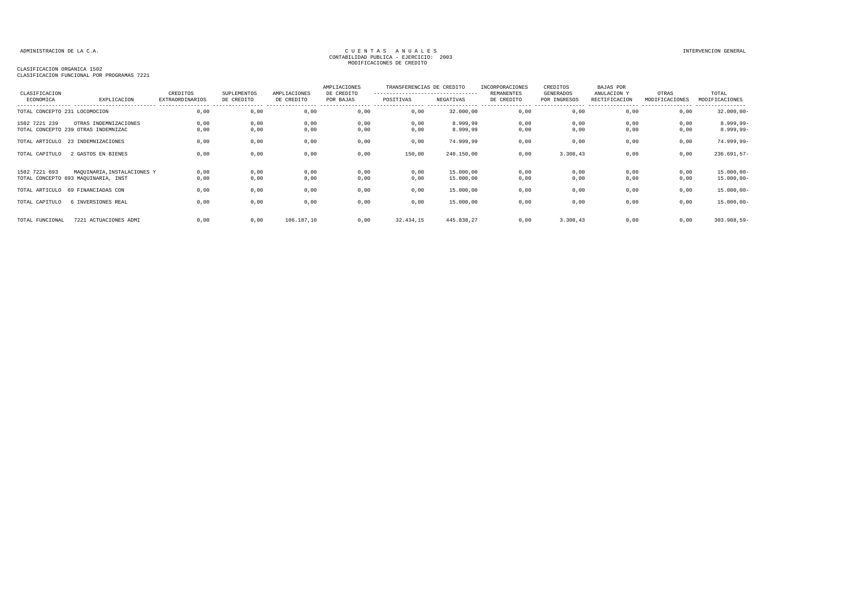| CLASIFICACION<br>ECONOMICA    |                                     | CREDITOS               | SUPLEMENTOS | AMPLIACIONES | AMPLIACIONES<br>DE CREDITO | TRANSFERENCIAS DE CREDITO<br>--------------------------------- |            | INCORPORACIONES<br><b>REMANENTES</b> | CREDITOS<br>GENERADOS | <b>BAJAS POR</b><br>ANULACION Y | OTRAS          | TOTAL                        |
|-------------------------------|-------------------------------------|------------------------|-------------|--------------|----------------------------|----------------------------------------------------------------|------------|--------------------------------------|-----------------------|---------------------------------|----------------|------------------------------|
|                               | EXPLICACION                         | <b>EXTRAORDINARIOS</b> | DE CREDITO  | DE CREDITO   | POR BAJAS                  | POSITIVAS                                                      | NEGATIVAS  | DE CREDITO                           | POR INGRESOS          | RECTIFICACION                   | MODIFICACIONES | MODIFICACIONES<br>---------- |
| TOTAL CONCEPTO 231 LOCOMOCION |                                     | 0,00                   | 0,00        | 0,00         | 0,00                       | 0,00                                                           | 32.000,00  | 0,00                                 | 0,00                  | 0,00                            | 0,00           | $32.000,00 -$                |
| 1502 7221 239                 | OTRAS INDEMNIZACIONES               | 0,00                   | 0,00        | 0,00         | 0,00                       | 0,00                                                           | 8.999,99   | 0,00                                 | 0,00                  | 0,00                            | 0,00           | $8.999,99-$                  |
|                               | TOTAL CONCEPTO 239 OTRAS INDEMNIZAC | 0,00                   | 0,00        | 0,00         | 0,00                       | 0,00                                                           | 8.999,99   | 0,00                                 | 0,00                  | 0,00                            | 0,00           | $8.999,99-$                  |
|                               | TOTAL ARTICULO 23 INDEMNIZACIONES   | 0,00                   | 0,00        | 0,00         | 0,00                       | 0,00                                                           | 74.999,99  | 0,00                                 | 0,00                  | 0,00                            | 0,00           | 74.999,99-                   |
| TOTAL CAPITULO                | 2 GASTOS EN BIENES                  | 0.00                   | 0,00        | 0,00         | 0,00                       | 150,00                                                         | 240.150,00 | 0,00                                 | 3.308,43              | 0,00                            | 0,00           | $236.691,57-$                |
| 1502 7221 693                 | MAQUINARIA, INSTALACIONES Y         | 0,00                   | 0,00        | 0,00         | 0,00                       | 0,00                                                           | 15.000,00  | 0,00                                 | 0,00                  | 0,00                            | 0,00           | $15.000,00 -$                |
|                               | TOTAL CONCEPTO 693 MAQUINARIA, INST | 0,00                   | 0,00        | 0,00         | 0,00                       | 0,00                                                           | 15.000,00  | 0,00                                 | 0,00                  | 0,00                            | 0,00           | $15.000,00 -$                |
|                               | TOTAL ARTICULO 69 FINANCIADAS CON   | 0,00                   | 0,00        | 0,00         | 0,00                       | 0,00                                                           | 15.000,00  | 0,00                                 | 0,00                  | 0,00                            | 0,00           | $15.000,00-$                 |
| TOTAL CAPITULO                | 6 INVERSIONES REAL                  | 0,00                   | 0,00        | 0,00         | 0,00                       | 0,00                                                           | 15.000,00  | 0,00                                 | 0,00                  | 0,00                            | 0,00           | $15.000,00 -$                |
| TOTAL FUNCIONAL               | 7221 ACTUACIONES ADMI               | 0.00                   | 0,00        | 106.187,10   | 0,00                       | 32.434,15                                                      | 445.838,27 | 0.00                                 | 3.308,43              | 0.00                            | 0,00           | $303.908, 59 -$              |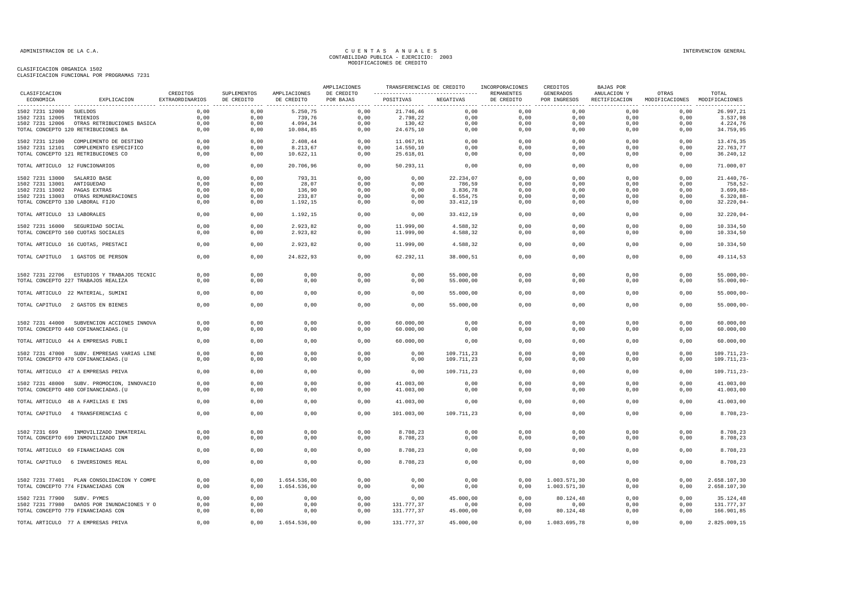|                                 |                                            |                             |                           |                            | AMPLIACIONES            | TRANSFERENCIAS DE CREDITO<br>------------------------------------- |            | INCORPORACIONES          | CREDITOS                         | <b>BAJAS POR</b>             |                                        |                           |
|---------------------------------|--------------------------------------------|-----------------------------|---------------------------|----------------------------|-------------------------|--------------------------------------------------------------------|------------|--------------------------|----------------------------------|------------------------------|----------------------------------------|---------------------------|
| CLASIFICACION<br>ECONOMICA      | EXPLICACION                                | CREDITOS<br>EXTRAORDINARIOS | SUPLEMENTOS<br>DE CREDITO | AMPLIACIONES<br>DE CREDITO | DE CREDITO<br>POR BAJAS | POSITIVAS                                                          | NEGATIVAS  | REMANENTES<br>DE CREDITO | <b>GENERADOS</b><br>POR INGRESOS | ANULACION Y<br>RECTIFICACION | OTRAS<br>MODIFICACIONES MODIFICACIONES | TOTAL<br>---------------- |
| 1502 7231 12000 SUELDOS         |                                            | 0,00                        | 0,00                      | 5.250,75                   | 0,00                    | 21.746,46                                                          | 0,00       | 0,00                     | 0,00                             | 0,00                         | 0,00                                   | 26.997,21                 |
| 1502 7231 12005                 | TRIENIOS                                   | 0,00                        | 0,00                      | 739,76                     | 0,00                    | 2.798,22                                                           | 0,00       | 0,00                     | 0,00                             | 0,00                         | 0,00                                   | 3.537,98                  |
| 1502 7231 12006                 | OTRAS RETRIBUCIONES BASICA                 | 0,00                        | 0,00                      | 4.094,34                   | 0,00                    | 130,42                                                             | 0,00       | 0,00                     | 0,00                             | 0,00                         | 0,00                                   | 4.224,76                  |
|                                 | TOTAL CONCEPTO 120 RETRIBUCIONES BA        | 0,00                        | 0,00                      | 10.084,85                  | 0,00                    | 24.675,10                                                          | 0,00       | 0,00                     | 0,00                             | 0,00                         | 0,00                                   | 34.759,95                 |
|                                 | 1502 7231 12100 COMPLEMENTO DE DESTINO     | 0,00                        | 0,00                      | 2.408,44                   | 0,00                    | 11.067,91                                                          | 0,00       | 0,00                     | 0,00                             | 0,00                         | 0,00                                   | 13.476,35                 |
|                                 | 1502 7231 12101 COMPLEMENTO ESPECIFICO     | 0,00                        | 0,00                      | 8.213,67                   | 0,00                    | 14.550,10                                                          | 0,00       | 0,00                     | 0,00                             | 0,00                         | 0,00                                   | 22.763,77                 |
|                                 | TOTAL CONCEPTO 121 RETRIBUCIONES CO        | 0,00                        | 0,00                      | 10.622,11                  | 0,00                    | 25.618,01                                                          | 0,00       | 0,00                     | 0,00                             | 0,00                         | 0,00                                   | 36.240,12                 |
| TOTAL ARTICULO 12 FUNCIONARIOS  |                                            | 0,00                        | 0,00                      | 20.706,96                  | 0,00                    | 50.293,11                                                          | 0,00       | 0,00                     | 0,00                             | 0,00                         | 0,00                                   | 71.000,07                 |
| 1502 7231 13000 SALARIO BASE    |                                            | 0.00                        | 0.00                      | 793.31                     | 0.00                    | 0.00                                                               | 22.234.07  | 0.00                     | 0.00                             | 0.00                         | 0.00                                   | $21.440.76 -$             |
| 1502 7231 13001 ANTIGUEDAD      |                                            | 0,00                        | 0.00                      | 28,07                      | 0,00                    | 0.00                                                               | 786,59     | 0,00                     | 0,00                             | 0,00                         | 0.00                                   | 758,52-                   |
| 1502 7231 13002 PAGAS EXTRAS    |                                            | 0,00                        | 0,00                      | 136,90                     | 0,00                    | 0,00                                                               | 3.836,78   | 0,00                     | 0,00                             | 0,00                         | 0,00                                   | $3.699, 88 -$             |
|                                 | 1502 7231 13003 OTRAS REMUNERACIONES       | 0,00                        | 0,00                      | 233,87                     | 0,00                    | 0,00                                                               | 6.554,75   | 0,00                     | 0,00                             | 0,00                         | 0,00                                   | $6.320, 88 -$             |
| TOTAL CONCEPTO 130 LABORAL FIJO |                                            | 0,00                        | 0,00                      | 1.192,15                   | 0,00                    | 0,00                                                               | 33.412,19  | 0,00                     | 0,00                             | 0,00                         | 0,00                                   | $32.220,04-$              |
| TOTAL ARTICULO 13 LABORALES     |                                            | 0,00                        | 0,00                      | 1.192,15                   | 0,00                    | 0,00                                                               | 33.412,19  | 0,00                     | 0,00                             | 0,00                         | 0,00                                   | $32.220,04-$              |
|                                 | 1502 7231 16000 SEGURIDAD SOCIAL           | 0,00                        | 0,00                      | 2.923,82                   | 0,00                    | 11.999,00                                                          | 4.588,32   | 0,00                     | 0,00                             | 0,00                         | 0,00                                   | 10.334,50                 |
|                                 | TOTAL CONCEPTO 160 CUOTAS SOCIALES         | 0,00                        | 0,00                      | 2.923,82                   | 0,00                    | 11.999,00                                                          | 4.588,32   | 0,00                     | 0,00                             | 0,00                         | 0,00                                   | 10.334,50                 |
|                                 | TOTAL ARTICULO 16 CUOTAS, PRESTACI         | 0,00                        | 0,00                      | 2.923,82                   | 0.00                    | 11.999,00                                                          | 4.588,32   | 0,00                     | 0,00                             | 0,00                         | 0,00                                   | 10.334,50                 |
|                                 | TOTAL CAPITULO 1 GASTOS DE PERSON          | 0,00                        | 0,00                      | 24.822,93                  | 0.00                    | 62.292,11                                                          | 38.000,51  | 0,00                     | 0,00                             | 0.00                         | 0,00                                   | 49.114,53                 |
|                                 |                                            |                             |                           |                            |                         |                                                                    |            |                          |                                  |                              |                                        |                           |
|                                 | 1502 7231 22706 ESTUDIOS Y TRABAJOS TECNIC | 0,00                        | 0,00                      | 0,00                       | 0,00                    | 0,00                                                               | 55.000,00  | 0,00                     | 0,00                             | 0,00                         | 0,00                                   | $55.000,00-$              |
|                                 | TOTAL CONCEPTO 227 TRABAJOS REALIZA        | 0,00                        | 0,00                      | 0,00                       | 0,00                    | 0,00                                                               | 55.000,00  | 0,00                     | 0,00                             | 0,00                         | 0,00                                   | $55.000,00-$              |
|                                 | TOTAL ARTICULO 22 MATERIAL, SUMINI         | 0,00                        | 0,00                      | 0,00                       | 0,00                    | 0,00                                                               | 55.000,00  | 0,00                     | 0,00                             | 0,00                         | 0,00                                   | $55.000,00-$              |
|                                 | TOTAL CAPITULO 2 GASTOS EN BIENES          | 0.00                        | 0.00                      | 0,00                       | 0.00                    | 0.00                                                               | 55.000,00  | 0.00                     | 0.00                             | 0.00                         | 0.00                                   | $55.000,00-$              |
|                                 | 1502 7231 44000 SUBVENCION ACCIONES INNOVA | 0,00                        | 0,00                      | 0,00                       | 0,00                    | 60,000,00                                                          | 0,00       | 0,00                     | 0,00                             | 0,00                         | 0,00                                   | 60.000,00                 |
|                                 | TOTAL CONCEPTO 440 COFINANCIADAS. (U       | 0,00                        | 0,00                      | 0,00                       | 0,00                    | 60.000,00                                                          | 0,00       | 0,00                     | 0,00                             | 0,00                         | 0,00                                   | 60.000,00                 |
|                                 |                                            |                             |                           |                            |                         |                                                                    |            |                          |                                  |                              |                                        |                           |
|                                 | TOTAL ARTICULO 44 A EMPRESAS PUBLI         | 0,00                        | 0,00                      | 0,00                       | 0,00                    | 60.000,00                                                          | 0,00       | 0,00                     | 0,00                             | 0,00                         | 0,00                                   | 60.000,00                 |
|                                 | 1502 7231 47000 SUBV. EMPRESAS VARIAS LINE | 0,00                        | 0,00                      | 0,00                       | 0,00                    | 0,00                                                               | 109.711,23 | 0,00                     | 0,00                             | 0,00                         | 0,00                                   | $109.711, 23 -$           |
|                                 | TOTAL CONCEPTO 470 COFINANCIADAS. (U       | 0,00                        | 0,00                      | 0,00                       | 0,00                    | 0,00                                                               | 109.711,23 | 0,00                     | 0,00                             | 0,00                         | 0,00                                   | $109.711, 23 -$           |
|                                 | TOTAL ARTICULO 47 A EMPRESAS PRIVA         | 0,00                        | 0,00                      | 0,00                       | 0,00                    | 0,00                                                               | 109.711,23 | 0,00                     | 0,00                             | 0,00                         | 0,00                                   | $109.711, 23 -$           |
|                                 | 1502 7231 48000 SUBV. PROMOCION, INNOVACIO | 0,00                        | 0,00                      | 0,00                       | 0,00                    | 41.003,00                                                          | 0,00       | 0,00                     | 0,00                             | 0.00                         | 0,00                                   | 41.003,00                 |
|                                 | TOTAL CONCEPTO 480 COFINANCIADAS. (U       | 0,00                        | 0,00                      | 0,00                       | 0,00                    | 41.003,00                                                          | 0,00       | 0,00                     | 0,00                             | 0,00                         | 0,00                                   | 41.003,00                 |
|                                 | TOTAL ARTICULO 48 A FAMILIAS E INS         | 0,00                        | 0,00                      | 0,00                       | 0,00                    | 41.003,00                                                          | 0,00       | 0,00                     | 0,00                             | 0,00                         | 0,00                                   | 41.003,00                 |
| TOTAL CAPITULO                  | 4 TRANSFERENCIAS C                         | 0,00                        | 0,00                      | 0,00                       | 0.00                    | 101.003,00                                                         | 109.711,23 | 0,00                     | 0,00                             | 0.00                         | 0,00                                   | $8.708, 23 -$             |
|                                 |                                            |                             |                           |                            |                         |                                                                    |            |                          |                                  |                              |                                        |                           |
| 1502 7231 699                   | INMOVILIZADO INMATERIAL                    | 0.00                        | 0.00                      | 0.00                       | 0.00                    | 8.708.23                                                           | 0.00       | 0.00                     | 0.00                             | 0.00                         | 0.00                                   | 8.708,23                  |
|                                 | TOTAL CONCEPTO 699 INMOVILIZADO INM        | 0,00                        | 0,00                      | 0,00                       | 0,00                    | 8.708,23                                                           | 0,00       | 0,00                     | 0,00                             | 0,00                         | 0,00                                   | 8.708,23                  |
|                                 | TOTAL ARTICULO 69 FINANCIADAS CON          | 0,00                        | 0,00                      | 0,00                       | 0,00                    | 8.708,23                                                           | 0,00       | 0,00                     | 0,00                             | 0,00                         | 0,00                                   | 8.708,23                  |
|                                 | TOTAL CAPITULO 6 INVERSIONES REAL          | 0,00                        | 0,00                      | 0,00                       | 0,00                    | 8.708,23                                                           | 0,00       | 0,00                     | 0,00                             | 0,00                         | 0,00                                   | 8.708,23                  |
|                                 |                                            |                             |                           |                            |                         |                                                                    |            |                          |                                  |                              |                                        |                           |
|                                 | 1502 7231 77401 PLAN CONSOLIDACION Y COMPE | 0,00                        | 0.00                      | 1.654.536,00               | 0,00                    | 0,00                                                               | 0,00       | 0,00                     | 1.003.571,30                     | 0,00                         | 0,00                                   | 2.658.107,30              |
|                                 | TOTAL CONCEPTO 774 FINANCIADAS CON         | 0,00                        | 0,00                      | 1.654.536,00               | 0,00                    | 0,00                                                               | 0,00       | 0,00                     | 1.003.571,30                     | 0,00                         | 0,00                                   | 2.658.107,30              |
| 1502 7231 77900 SUBV. PYMES     |                                            | 0,00                        | 0,00                      | 0,00                       | 0,00                    | 0,00                                                               | 45.000,00  | 0,00                     | 80.124,48                        | 0,00                         | 0,00                                   | 35.124,48                 |
|                                 | 1502 7231 77980 DAñOS POR INUNDACIONES Y O | 0,00                        | 0,00                      | 0,00                       | 0,00                    | 131.777,37                                                         | 0,00       | 0,00                     | 0,00                             | 0,00                         | 0,00                                   | 131.777,37                |
|                                 | TOTAL CONCEPTO 779 FINANCIADAS CON         | 0,00                        | 0,00                      | 0,00                       | 0,00                    | 131.777,37                                                         | 45.000,00  | 0,00                     | 80.124,48                        | 0,00                         | 0,00                                   | 166.901,85                |
|                                 |                                            |                             |                           |                            |                         |                                                                    |            |                          |                                  |                              |                                        |                           |
|                                 | TOTAL ARTICULO 77 A EMPRESAS PRIVA         | 0,00                        | 0,00                      | 1.654.536,00               | 0,00                    | 131.777,37                                                         | 45.000,00  | 0,00                     | 1.083.695,78                     | 0,00                         | 0,00                                   | 2.825.009,15              |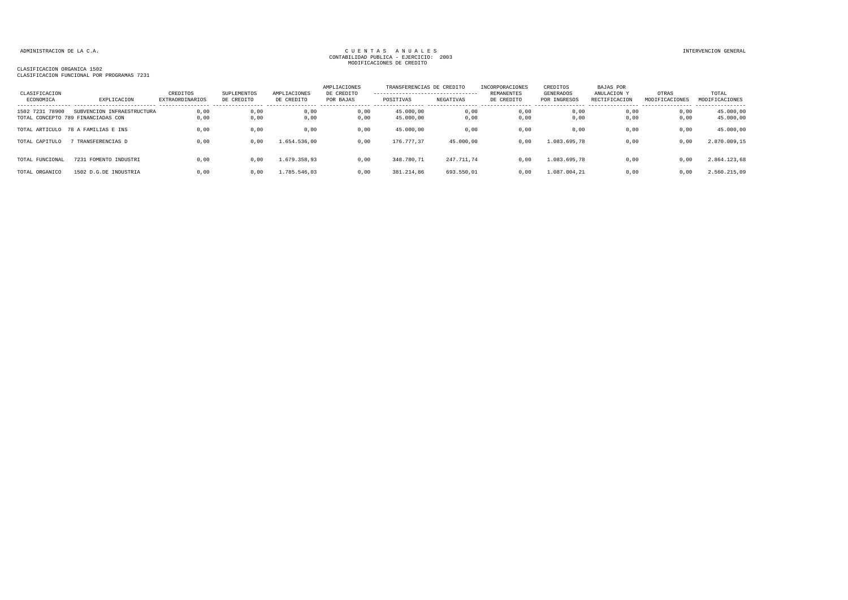| CLASIFICACION<br>ECONOMICA | EXPLICACION                                                      | CREDITOS<br>EXTRAORDINARIOS | <b>SUPLEMENTOS</b><br>DE CREDITO | AMPLIACIONES<br>DE CREDITO | AMPLIACIONES<br>DE CREDITO<br>POR BAJAS | TRANSFERENCIAS DE CREDITO<br>----------------------------------<br>POSITIVAS | NEGATIVAS    | INCORPORACIONES<br>REMANENTES<br>DE CREDITO | CREDITOS<br>GENERADOS<br>POR INGRESOS | <b>BAJAS POR</b><br>ANULACION ?<br>RECTIFICACION | OTRAS<br>MODIFICACIONES | TOTAL<br>MODIFICACIONES |
|----------------------------|------------------------------------------------------------------|-----------------------------|----------------------------------|----------------------------|-----------------------------------------|------------------------------------------------------------------------------|--------------|---------------------------------------------|---------------------------------------|--------------------------------------------------|-------------------------|-------------------------|
| 78900<br>1502 7231         | SUBVENCION INFRAESTRUCTURA<br>TOTAL CONCEPTO 789 FINANCIADAS CON | 0,00<br>0,00                | 0,00<br>0,00                     | 0,00<br>0,00               | 0,00<br>0,00                            | 45,000,00<br>45.000,00                                                       | 0,00<br>0,00 | 0,00<br>0,00                                | 0,00<br>0,00                          | 0.00<br>0,00                                     | 0,00<br>0,00            | 45.000,00<br>45.000,00  |
| TOTAL ARTICULO             | 78 A FAMILIAS E INS                                              | 0,00                        | 0,00                             | 0,00                       | 0,00                                    | 45.000,00                                                                    | 0,00         | 0,00                                        | 0,00                                  | 0,00                                             | 0,00                    | 45.000,00               |
| TOTAL CAPITULO             | TRANSFERENCIAS D                                                 | 0,00                        | 0,00                             | 1.654.536.00               | 0,00                                    | 176.777,37                                                                   | 45.000,00    | 0.00                                        | 1.083.695.78                          | 0.00                                             | 0,00                    | 2.870.009,15            |
| TOTAL FUNCIONAL            | 7231 FOMENTO INDUSTRI                                            | 0,00                        | 0,00                             | 1.679.358.93               | 0,00                                    | 348.780,71                                                                   | 247.711,74   | 0,00                                        | 1.083.695,78                          | 0,00                                             | 0,00                    | 2.864.123,68            |
| TOTAL ORGANICO             | 1502 D.G.DE INDUSTRIA                                            | 0.00                        | 0,00                             | 1.785.546.03               | 0.00                                    | 381.214,86                                                                   | 693.550,01   | 0.00                                        | 1.087.004.21                          | 0.00                                             | 0,00                    | 2.560.215,09            |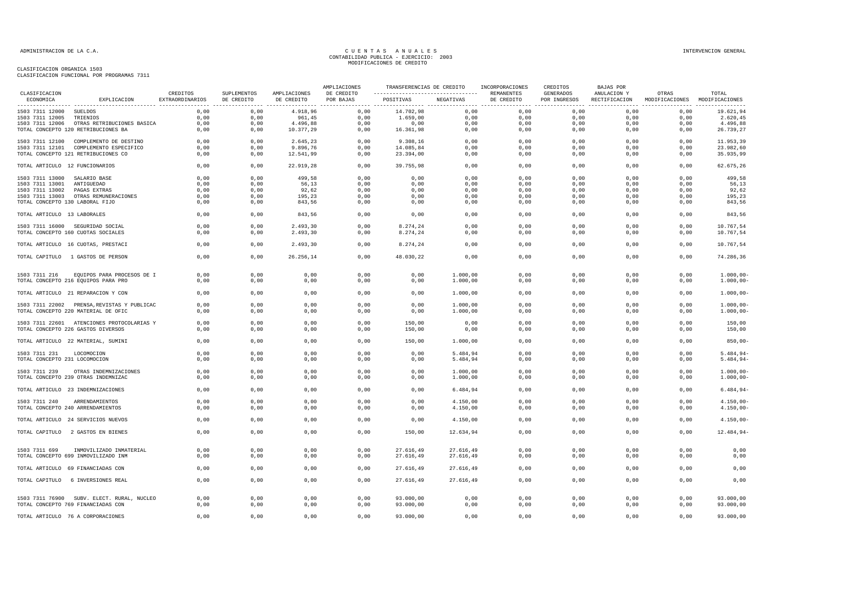|                                 |                                                              |                             |                           |                                                | AMPLIACIONES            | TRANSFERENCIAS DE CREDITO |                      | INCORPORACIONES          | CREDITOS                                      | BAJAS POR                    |                         |                            |
|---------------------------------|--------------------------------------------------------------|-----------------------------|---------------------------|------------------------------------------------|-------------------------|---------------------------|----------------------|--------------------------|-----------------------------------------------|------------------------------|-------------------------|----------------------------|
| CLASIFICACION<br>ECONOMICA      | EXPLICACION                                                  | CREDITOS<br>EXTRAORDINARIOS | SUPLEMENTOS<br>DE CREDITO | AMPLIACIONES<br>DE CREDITO<br>---------------- | DE CREDITO<br>POR BAJAS | POSITIVAS                 | NEGATIVAS            | REMANENTES<br>DE CREDITO | GENERADOS<br>POR INGRESOS<br>---------------- | ANULACION Y<br>RECTIFICACION | OTRAS<br>MODIFICACIONES | TOTAL<br>MODIFICACIONES    |
| 1503 7311 12000 SUELDOS         |                                                              | 0,00                        | 0,00                      | 4.918,96                                       | 0,00                    | 14.702,98                 | 0,00                 | 0,00                     | 0,00                                          | 0,00                         | 0,00                    | 19.621,94                  |
| 1503 7311 12005 TRIENIOS        |                                                              | 0,00                        | 0.00                      | 961,45                                         | 0,00                    | 1.659.00                  | 0,00                 | 0,00                     | 0,00                                          | 0.00                         | 0.00                    | 2.620,45                   |
|                                 | 1503 7311 12006 OTRAS RETRIBUCIONES BASICA                   | 0,00                        | 0,00                      | 4.496,88                                       | 0,00                    | 0,00                      | 0,00                 | 0,00                     | 0,00                                          | 0,00                         | 0,00                    | 4.496,88                   |
|                                 | TOTAL CONCEPTO 120 RETRIBUCIONES BA                          | 0,00                        | 0,00                      | 10.377,29                                      | 0,00                    | 16.361,98                 | 0,00                 | 0,00                     | 0,00                                          | 0,00                         | 0,00                    | 26.739,27                  |
|                                 | 1503 7311 12100 COMPLEMENTO DE DESTINO                       | 0,00                        | 0,00                      | 2.645,23                                       | 0,00                    | 9.308,16                  | 0,00                 | 0,00                     | 0,00                                          | 0,00                         | 0,00                    | 11.953,39                  |
|                                 | 1503 7311 12101 COMPLEMENTO ESPECIFICO                       | 0,00                        | 0,00                      | 9.896,76                                       | 0,00                    | 14.085,84                 | 0,00                 | 0,00                     | 0,00                                          | 0,00                         | 0,00                    | 23.982,60                  |
|                                 | TOTAL CONCEPTO 121 RETRIBUCIONES CO                          | 0,00                        | 0,00                      | 12.541,99                                      | 0,00                    | 23.394,00                 | 0,00                 | 0,00                     | 0,00                                          | 0,00                         | 0,00                    | 35.935,99                  |
| TOTAL ARTICULO 12 FUNCIONARIOS  |                                                              | 0,00                        | 0,00                      | 22.919,28                                      | 0,00                    | 39.755,98                 | 0,00                 | 0,00                     | 0,00                                          | 0,00                         | 0,00                    | 62.675,26                  |
| 1503 7311 13000 SALARIO BASE    |                                                              | 0,00                        | 0,00                      | 499,58                                         | 0,00                    | 0,00                      | 0,00                 | 0,00                     | 0,00                                          | 0,00                         | 0,00                    | 499,58                     |
| 1503 7311 13001                 | ANTIGUEDAD                                                   | 0,00                        | 0,00                      | 56,13                                          | 0,00                    | 0,00                      | 0,00                 | 0,00                     | 0,00                                          | 0,00                         | 0,00                    | 56,13                      |
| 1503 7311 13002                 | PAGAS EXTRAS                                                 | 0,00                        | 0,00                      | 92,62                                          | 0,00                    | 0,00                      | 0,00                 | 0,00                     | 0,00                                          | 0,00                         | 0,00                    | 92,62                      |
|                                 | 1503 7311 13003 OTRAS REMUNERACIONES                         | 0,00                        | 0,00                      | 195,23                                         | 0,00                    | 0,00                      | 0,00                 | 0,00                     | 0,00                                          | 0,00                         | 0,00                    | 195,23                     |
| TOTAL CONCEPTO 130 LABORAL FIJO |                                                              | 0,00                        | 0,00                      | 843,56                                         | 0,00                    | 0,00                      | 0,00                 | 0,00                     | 0,00                                          | 0,00                         | 0,00                    | 843,56                     |
| TOTAL ARTICULO 13 LABORALES     |                                                              | 0,00                        | 0,00                      | 843,56                                         | 0,00                    | 0,00                      | 0,00                 | 0,00                     | 0,00                                          | 0.00                         | 0,00                    | 843,56                     |
|                                 | 1503 7311 16000 SEGURIDAD SOCIAL                             | 0,00                        | 0,00                      | 2.493,30                                       | 0,00                    | 8.274,24                  | 0,00                 | 0,00                     | 0,00                                          | 0,00                         | 0,00                    | 10.767,54                  |
|                                 | TOTAL CONCEPTO 160 CUOTAS SOCIALES                           | 0,00                        | 0,00                      | 2.493,30                                       | 0,00                    | 8.274,24                  | 0,00                 | 0,00                     | 0,00                                          | 0,00                         | 0,00                    | 10.767,54                  |
|                                 | TOTAL ARTICULO 16 CUOTAS, PRESTACI                           | 0,00                        | 0,00                      | 2.493,30                                       | 0,00                    | 8.274,24                  | 0,00                 | 0,00                     | 0,00                                          | 0,00                         | 0,00                    | 10.767,54                  |
|                                 | TOTAL CAPITULO 1 GASTOS DE PERSON                            | 0,00                        | 0,00                      | 26.256,14                                      | 0,00                    | 48.030,22                 | 0,00                 | 0,00                     | 0,00                                          | 0,00                         | 0,00                    | 74.286,36                  |
|                                 |                                                              |                             |                           |                                                |                         |                           |                      |                          |                                               |                              |                         |                            |
| 1503 7311 216                   | EQUIPOS PARA PROCESOS DE I                                   | 0,00                        | 0,00                      | 0,00                                           | 0,00                    | 0,00                      | 1.000,00             | 0,00                     | 0,00                                          | 0,00                         | 0,00                    | $1.000,00 -$               |
|                                 | TOTAL CONCEPTO 216 EQUIPOS PARA PRO                          | 0,00                        | 0,00                      | 0,00                                           | 0,00                    | 0,00                      | 1.000,00             | 0,00                     | 0,00                                          | 0,00                         | 0,00                    | $1.000,00-$                |
|                                 | TOTAL ARTICULO 21 REPARACION Y CON                           | 0,00                        | 0,00                      | 0,00                                           | 0,00                    | 0,00                      | 1.000,00             | 0,00                     | 0,00                                          | 0,00                         | 0,00                    | $1.000,00-$                |
|                                 | 1503 7311 22002 PRENSA, REVISTAS Y PUBLICAC                  | 0,00                        | 0,00                      | 0,00                                           | 0,00                    | 0,00                      | 1.000,00             | 0,00                     | 0,00                                          | 0,00                         | 0,00                    | $1.000,00-$                |
|                                 | TOTAL CONCEPTO 220 MATERIAL DE OFIC                          | 0,00                        | 0,00                      | 0,00                                           | 0,00                    | 0,00                      | 1.000,00             | 0,00                     | 0,00                                          | 0,00                         | 0,00                    | $1.000,00-$                |
|                                 |                                                              |                             |                           |                                                |                         |                           |                      |                          |                                               |                              |                         |                            |
|                                 | 1503 7311 22601 ATENCIONES PROTOCOLARIAS Y                   | 0,00                        | 0,00                      | 0,00                                           | 0,00                    | 150,00                    | 0,00                 | 0,00                     | 0,00                                          | 0,00                         | 0,00                    | 150,00                     |
|                                 | TOTAL CONCEPTO 226 GASTOS DIVERSOS                           | 0,00                        | 0,00                      | 0,00                                           | 0,00                    | 150,00                    | 0,00                 | 0,00                     | 0,00                                          | 0,00                         | 0,00                    | 150,00                     |
|                                 | TOTAL ARTICULO 22 MATERIAL, SUMINI                           | 0,00                        | 0,00                      | 0,00                                           | 0,00                    | 150,00                    | 1.000,00             | 0,00                     | 0,00                                          | 0,00                         | 0,00                    | $850,00 -$                 |
|                                 |                                                              |                             |                           |                                                |                         |                           |                      |                          |                                               |                              |                         |                            |
| 1503 7311 231                   | LOCOMOCION                                                   | 0.00                        | 0.00                      | 0.00                                           | 0.00                    | 0.00                      | 5.484.94             | 0.00                     | 0.00                                          | 0.00                         | 0.00                    | $5.484.94-$                |
| TOTAL CONCEPTO 231 LOCOMOCION   |                                                              | 0,00                        | 0,00                      | 0,00                                           | 0,00                    | 0,00                      | 5.484,94             | 0,00                     | 0,00                                          | 0,00                         | 0,00                    | $5.484, 94-$               |
|                                 |                                                              |                             |                           |                                                |                         |                           |                      |                          |                                               |                              |                         |                            |
| 1503 7311 239                   | OTRAS INDEMNIZACIONES<br>TOTAL CONCEPTO 239 OTRAS INDEMNIZAC | 0,00<br>0,00                | 0,00<br>0,00              | 0,00<br>0,00                                   | 0,00<br>0,00            | 0,00<br>0,00              | 1.000,00<br>1.000,00 | 0,00<br>0,00             | 0,00<br>0,00                                  | 0,00<br>0,00                 | 0,00<br>0,00            | $1.000,00-$<br>$1.000,00-$ |
|                                 |                                                              |                             |                           |                                                |                         |                           |                      |                          |                                               |                              |                         |                            |
|                                 | TOTAL ARTICULO 23 INDEMNIZACIONES                            | 0,00                        | 0,00                      | 0,00                                           | 0,00                    | 0,00                      | 6.484,94             | 0,00                     | 0,00                                          | 0,00                         | 0,00                    | $6.484,94-$                |
| 1503 7311 240 ARRENDAMIENTOS    |                                                              | 0.00                        | 0.00                      | 0.00                                           | 0.00                    | 0.00                      | 4.150.00             | 0.00                     | 0.00                                          | 0.00                         | 0.00                    | $4.150.00 -$               |
|                                 | TOTAL CONCEPTO 240 ARRENDAMIENTOS                            | 0,00                        | 0,00                      | 0,00                                           | 0,00                    | 0,00                      | 4.150,00             | 0,00                     | 0,00                                          | 0,00                         | 0,00                    | $4.150,00 -$               |
|                                 | TOTAL ARTICULO 24 SERVICIOS NUEVOS                           | 0,00                        | 0,00                      | 0,00                                           | 0,00                    | 0,00                      | 4.150,00             | 0,00                     | 0,00                                          | 0,00                         | 0,00                    | $4.150,00 -$               |
|                                 | TOTAL CAPITULO 2 GASTOS EN BIENES                            | 0,00                        | 0,00                      | 0,00                                           | 0,00                    | 150,00                    | 12.634,94            | 0,00                     | 0,00                                          | 0,00                         | 0,00                    | 12.484,94-                 |
|                                 |                                                              |                             |                           |                                                |                         |                           |                      |                          |                                               |                              |                         |                            |
|                                 |                                                              | 0.00                        |                           |                                                | 0.00                    |                           |                      |                          |                                               |                              | 0.00                    |                            |
| 1503 7311 699                   | INMOVILIZADO INMATERIAL                                      |                             | 0.00                      | 0.00                                           |                         | 27.616.49                 | 27.616,49            | 0.00                     | 0.00                                          | 0.00                         |                         | 0,00                       |
|                                 | TOTAL CONCEPTO 699 INMOVILIZADO INM                          | 0,00                        | 0,00                      | 0,00                                           | 0,00                    | 27.616,49                 | 27.616,49            | 0,00                     | 0,00                                          | 0,00                         | 0,00                    | 0,00                       |
|                                 | TOTAL ARTICULO 69 FINANCIADAS CON                            | 0,00                        | 0,00                      | 0,00                                           | 0,00                    | 27.616,49                 | 27.616,49            | 0,00                     | 0,00                                          | 0,00                         | 0,00                    | 0,00                       |
| TOTAL CAPITULO                  | 6 INVERSIONES REAL                                           | 0,00                        | 0,00                      | 0,00                                           | 0,00                    | 27.616,49                 | 27.616,49            | 0,00                     | 0,00                                          | 0,00                         | 0,00                    | 0,00                       |
|                                 |                                                              |                             |                           |                                                |                         |                           |                      |                          |                                               |                              |                         |                            |
|                                 | 1503 7311 76900 SUBV. ELECT. RURAL, NUCLEO                   | 0,00                        | 0.00                      | 0.00                                           | 0.00                    | 93.000,00                 | 0.00                 | 0.00                     | 0.00                                          | 0.00                         | 0.00                    | 93.000,00                  |
|                                 | TOTAL CONCEPTO 769 FINANCIADAS CON                           | 0,00                        | 0,00                      | 0,00                                           | 0,00                    | 93.000,00                 | 0,00                 | 0,00                     | 0,00                                          | 0,00                         | 0,00                    | 93.000,00                  |
|                                 |                                                              |                             |                           |                                                |                         |                           |                      |                          |                                               |                              |                         |                            |
|                                 | TOTAL ARTICULO 76 A CORPORACIONES                            | 0,00                        | 0,00                      | 0,00                                           | 0,00                    | 93.000,00                 | 0,00                 | 0,00                     | 0,00                                          | 0,00                         | 0,00                    | 93.000,00                  |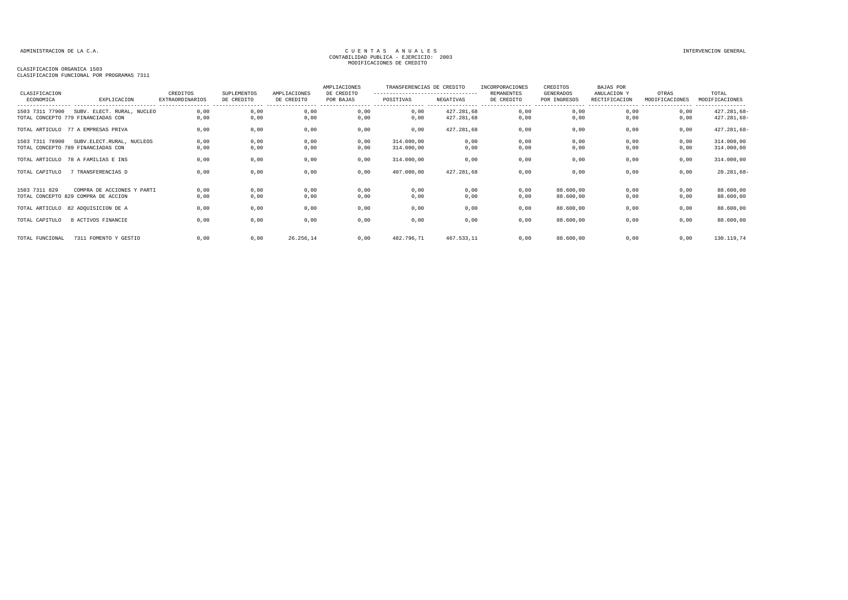## CLASIFICACION ORGANICA 1503

CLASIFICACION FUNCIONAL POR PROGRAMAS 7311

| CLASIFICACION<br>ECONOMICA | EXPLICACION                         | CREDITOS<br><b>EXTRAORDINARIOS</b> | SUPLEMENTOS<br>DE CREDITO | AMPLIACIONES<br>DE CREDITO | AMPLIACIONES<br>DE CREDITO<br>POR BAJAS | TRANSFERENCIAS DE CREDITO<br>----------------------------------<br>POSITIVAS | NEGATIVAS  | INCORPORACIONES<br>REMANENTES<br>DE CREDITO | CREDITOS<br>GENERADOS<br>POR INGRESOS | <b>BAJAS POR</b><br>ANULACION Y<br>RECTIFICACION | OTRAS<br>MODIFICACIONES | TOTAL<br>MODIFICACIONES   |
|----------------------------|-------------------------------------|------------------------------------|---------------------------|----------------------------|-----------------------------------------|------------------------------------------------------------------------------|------------|---------------------------------------------|---------------------------------------|--------------------------------------------------|-------------------------|---------------------------|
| 1503 7311 77900            | SUBV. ELECT. RURAL, NUCLEO          | 0,00                               | 0,00                      | 0,00                       | 0,00                                    | 0,00                                                                         | 427.281,68 | 0,00                                        | 0,00                                  | 0.00                                             | 0,00                    | --------<br>$427.281,68-$ |
|                            | TOTAL CONCEPTO 779 FINANCIADAS CON  | 0,00                               | 0,00                      | 0,00                       | 0,00                                    | 0,00                                                                         | 427.281,68 | 0,00                                        | 0,00                                  | 0,00                                             | 0,00                    | $427.281,68-$             |
|                            | TOTAL ARTICULO 77 A EMPRESAS PRIVA  | 0,00                               | 0,00                      | 0,00                       | 0,00                                    | 0,00                                                                         | 427.281,68 | 0,00                                        | 0,00                                  | 0,00                                             | 0,00                    | $427.281,68-$             |
| 1503 7311 78900            | SUBV. ELECT. RURAL, NUCLEOS         | 0,00                               | 0,00                      | 0,00                       | 0,00                                    | 314.000,00                                                                   | 0,00       | 0,00                                        | 0,00                                  | 0,00                                             | 0,00                    | 314.000,00                |
|                            | TOTAL CONCEPTO 789 FINANCIADAS CON  | 0,00                               | 0,00                      | 0,00                       | 0,00                                    | 314.000,00                                                                   | 0,00       | 0,00                                        | 0,00                                  | 0,00                                             | 0,00                    | 314.000,00                |
|                            | TOTAL ARTICULO 78 A FAMILIAS E INS  | 0,00                               | 0,00                      | 0,00                       | 0,00                                    | 314.000,00                                                                   | 0,00       | 0,00                                        | 0,00                                  | 0,00                                             | 0,00                    | 314.000,00                |
| TOTAL CAPITULO             | 7 TRANSFERENCIAS D                  | 0,00                               | 0,00                      | 0,00                       | 0,00                                    | 407.000,00                                                                   | 427.281,68 | 0,00                                        | 0,00                                  | 0,00                                             | 0,00                    | $20.281,68-$              |
| 1503 7311 829              | COMPRA DE ACCIONES Y PARTI          | 0,00                               | 0,00                      | 0,00                       | 0,00                                    | 0,00                                                                         | 0,00       | 0.00                                        | 88.600,00                             | 0.00                                             | 0,00                    | 88.600,00                 |
|                            | TOTAL CONCEPTO 829 COMPRA DE ACCION | 0,00                               | 0,00                      | 0,00                       | 0,00                                    | 0,00                                                                         | 0,00       | 0,00                                        | 88.600,00                             | 0,00                                             | 0,00                    | 88.600,00                 |
|                            | TOTAL ARTICULO 82 ADQUISICION DE A  | 0,00                               | 0,00                      | 0,00                       | 0,00                                    | 0,00                                                                         | 0,00       | 0,00                                        | 88.600,00                             | 0,00                                             | 0,00                    | 88.600,00                 |
| TOTAL CAPITULO             | 8 ACTIVOS FINANCIE                  | 0,00                               | 0,00                      | 0,00                       | 0,00                                    | 0,00                                                                         | 0,00       | 0,00                                        | 88.600,00                             | 0,00                                             | 0,00                    | 88.600,00                 |
| TOTAL FUNCIONAL            | 7311 FOMENTO Y GESTIO               | 0,00                               | 0,00                      | 26.256,14                  | 0,00                                    | 482.796,71                                                                   | 467.533,11 | 0,00                                        | 88.600,00                             | 0,00                                             | 0,00                    | 130.119,74                |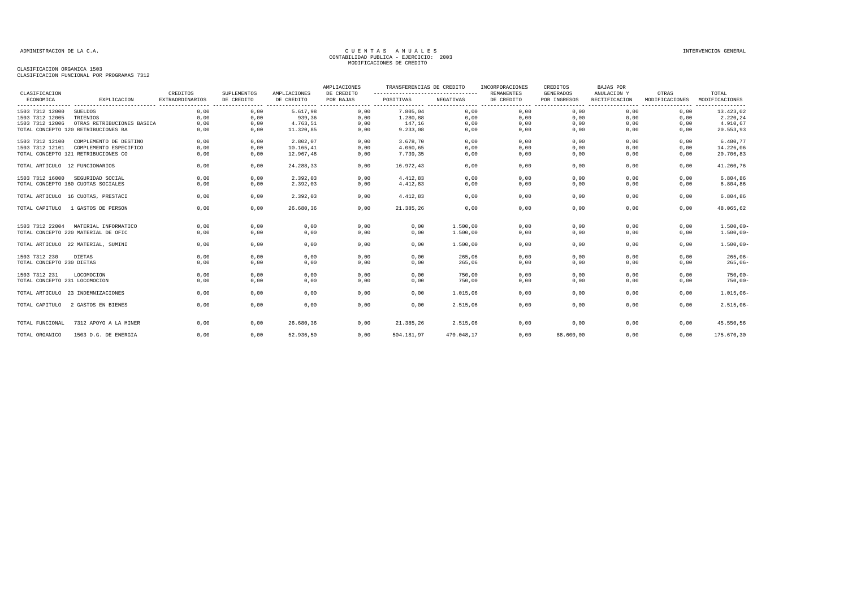|                                            |                                                             |                                                         |                                                                     |                            | AMPLIACIONES            | TRANSFERENCIAS DE CREDITO<br>---------------------------------- |                      | INCORPORACIONES<br><b>REMANENTES</b> | CREDITOS                         | <b>BAJAS POR</b>                                                    |                         |                                      |
|--------------------------------------------|-------------------------------------------------------------|---------------------------------------------------------|---------------------------------------------------------------------|----------------------------|-------------------------|-----------------------------------------------------------------|----------------------|--------------------------------------|----------------------------------|---------------------------------------------------------------------|-------------------------|--------------------------------------|
| CLASIFICACION<br>ECONOMICA                 | EXPLICACION                                                 | CREDITOS<br><b>EXTRAORDINARIOS</b><br>----------------- | SUPLEMENTOS<br>DE CREDITO<br>-------------------------------------- | AMPLIACIONES<br>DE CREDITO | DE CREDITO<br>POR BAJAS | POSITIVAS                                                       | NEGATIVAS            | DE CREDITO                           | <b>GENERADOS</b><br>POR INGRESOS | ANULACION Y<br>RECTIFICACION<br>----------------- ----------------- | OTRAS<br>MODIFICACIONES | TOTAL<br>MODIFICACIONES<br>--------- |
| 1503 7312 12000                            | SUELDOS                                                     | 0,00                                                    | 0,00                                                                | 5.617,98                   | 0,00                    | 7.805,04                                                        | 0,00                 | 0,00                                 | 0,00                             | 0,00                                                                | 0,00                    | 13.423,02                            |
| 1503 7312 12005                            | TRIENIOS                                                    | 0,00                                                    | 0,00                                                                | 939,36                     | 0,00                    | 1.280,88                                                        | 0,00                 | 0,00                                 | 0,00                             | 0,00                                                                | 0,00                    | 2.220,24                             |
| 1503 7312 12006                            | OTRAS RETRIBUCIONES BASICA                                  | 0,00                                                    | 0,00                                                                | 4.763,51                   | 0,00                    | 147,16                                                          | 0,00                 | 0,00                                 | 0,00                             | 0,00                                                                | 0,00                    | 4.910,67                             |
|                                            | TOTAL CONCEPTO 120 RETRIBUCIONES BA                         | 0.00                                                    | 0.00                                                                | 11.320,85                  | 0.00                    | 9.233,08                                                        | 0,00                 | 0,00                                 | 0.00                             | 0.00                                                                | 0,00                    | 20.553,93                            |
| 1503 7312 12100                            | COMPLEMENTO DE DESTINO                                      | 0.00                                                    | 0.00                                                                | 2.802,07                   | 0.00                    | 3.678.70                                                        | 0.00                 | 0.00                                 | 0.00                             | 0.00                                                                | 0.00                    | 6.480,77                             |
| 1503 7312 12101                            | COMPLEMENTO ESPECIFICO                                      | 0,00                                                    | 0,00                                                                | 10.165,41                  | 0,00                    | 4.060,65                                                        | 0,00                 | 0,00                                 | 0,00                             | 0,00                                                                | 0,00                    | 14.226,06                            |
|                                            | TOTAL CONCEPTO 121 RETRIBUCIONES CO                         | 0,00                                                    | 0,00                                                                | 12.967,48                  | 0,00                    | 7.739,35                                                        | 0,00                 | 0,00                                 | 0,00                             | 0,00                                                                | 0,00                    | 20.706,83                            |
| TOTAL ARTICULO 12 FUNCIONARIOS             |                                                             | 0,00                                                    | 0,00                                                                | 24.288,33                  | 0,00                    | 16.972,43                                                       | 0,00                 | 0,00                                 | 0,00                             | 0,00                                                                | 0,00                    | 41.260,76                            |
| 1503 7312 16000                            | SEGURIDAD SOCIAL                                            | 0,00                                                    | 0,00                                                                | 2.392,03                   | 0,00                    | 4.412,83                                                        | 0,00                 | 0,00                                 | 0,00                             | 0,00                                                                | 0.00                    | 6.804,86                             |
| TOTAL CONCEPTO 160 CUOTAS SOCIALES         |                                                             | 0,00                                                    | 0,00                                                                | 2.392,03                   | 0,00                    | 4.412,83                                                        | 0,00                 | 0,00                                 | 0,00                             | 0,00                                                                | 0,00                    | 6.804,86                             |
|                                            | TOTAL ARTICULO 16 CUOTAS, PRESTACI                          | 0,00                                                    | 0,00                                                                | 2.392,03                   | 0,00                    | 4.412,83                                                        | 0,00                 | 0,00                                 | 0,00                             | 0,00                                                                | 0,00                    | 6.804,86                             |
| TOTAL CAPITULO                             | 1 GASTOS DE PERSON                                          | 0,00                                                    | 0,00                                                                | 26.680,36                  | 0,00                    | 21.385,26                                                       | 0,00                 | 0,00                                 | 0,00                             | 0,00                                                                | 0,00                    | 48.065,62                            |
| 1503 7312 22004                            | MATERIAL INFORMATICO<br>TOTAL CONCEPTO 220 MATERIAL DE OFIC | 0,00<br>0.00                                            | 0,00<br>0,00                                                        | 0,00<br>0,00               | 0,00<br>0,00            | 0,00<br>0,00                                                    | 1.500,00<br>1.500,00 | 0,00<br>0,00                         | 0,00<br>0,00                     | 0,00<br>0.00                                                        | 0,00<br>0,00            | $1.500,00 -$<br>$1.500,00 -$         |
|                                            |                                                             |                                                         |                                                                     |                            |                         |                                                                 |                      |                                      |                                  |                                                                     |                         |                                      |
|                                            | TOTAL ARTICULO 22 MATERIAL, SUMINI                          | 0,00                                                    | 0,00                                                                | 0,00                       | 0,00                    | 0,00                                                            | 1.500,00             | 0,00                                 | 0,00                             | 0,00                                                                | 0,00                    | $1.500,00 -$                         |
| 1503 7312 230<br>TOTAL CONCEPTO 230 DIETAS | <b>DIETAS</b>                                               | 0,00<br>0,00                                            | 0,00<br>0,00                                                        | 0,00<br>0,00               | 0.00<br>0,00            | 0,00<br>0,00                                                    | 265,06<br>265,06     | 0,00<br>0,00                         | 0.00<br>0,00                     | 0,00<br>0,00                                                        | 0.00<br>0,00            | $265,06-$<br>$265,06 -$              |
| 1503 7312 231                              | LOCOMOCION                                                  | 0,00                                                    | 0,00                                                                | 0,00                       | 0,00                    | 0,00                                                            | 750,00               | 0,00                                 | 0,00                             | 0,00<br>0,00                                                        | 0,00                    | $750,00 -$<br>$750,00 -$             |
| TOTAL CONCEPTO 231 LOCOMOCION              |                                                             | 0,00                                                    | 0,00                                                                | 0,00                       | 0,00                    | 0,00                                                            | 750,00               | 0,00                                 | 0,00                             |                                                                     | 0,00                    |                                      |
|                                            | TOTAL ARTICULO 23 INDEMNIZACIONES                           | 0,00                                                    | 0,00                                                                | 0,00                       | 0,00                    | 0,00                                                            | 1.015,06             | 0,00                                 | 0,00                             | 0,00                                                                | 0.00                    | $1.015,06 -$                         |
| TOTAL CAPITULO                             | 2 GASTOS EN BIENES                                          | 0,00                                                    | 0,00                                                                | 0,00                       | 0,00                    | 0,00                                                            | 2.515,06             | 0,00                                 | 0,00                             | 0,00                                                                | 0,00                    | $2.515,06 -$                         |
| TOTAL FUNCIONAL                            | 7312 APOYO A LA MINER                                       | 0,00                                                    | 0,00                                                                | 26.680,36                  | 0.00                    | 21.385,26                                                       | 2.515,06             | 0,00                                 | 0,00                             | 0.00                                                                | 0,00                    | 45.550,56                            |
| TOTAL ORGANICO                             | 1503 D.G. DE ENERGIA                                        | 0,00                                                    | 0,00                                                                | 52.936,50                  | 0,00                    | 504.181,97                                                      | 470.048,17           | 0,00                                 | 88.600,00                        | 0,00                                                                | 0,00                    | 175.670,30                           |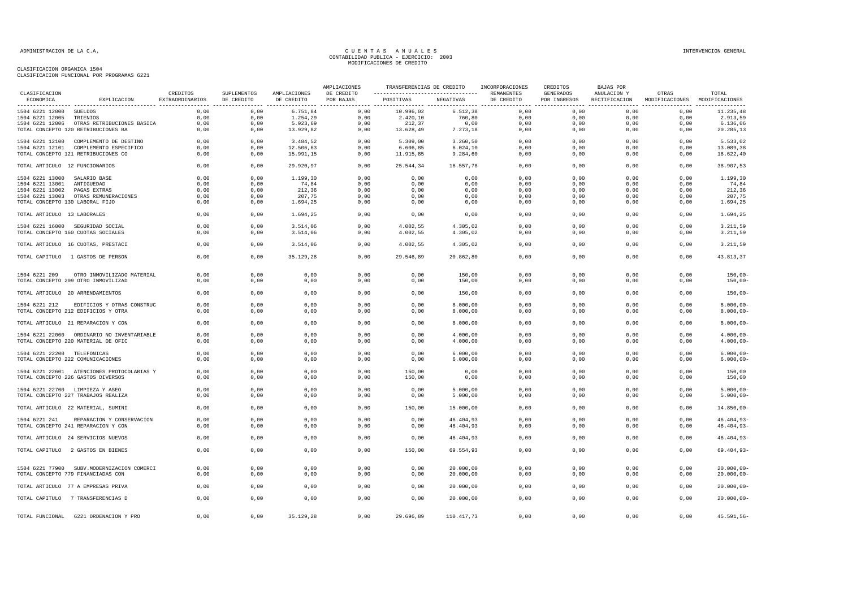|                                 |                                                                   |                             |                           |                            | AMPLIACIONES            | TRANSFERENCIAS DE CREDITO                       |                        | INCORPORACIONES          | CREDITOS                  | BAJAS POR                    |                                        |                              |
|---------------------------------|-------------------------------------------------------------------|-----------------------------|---------------------------|----------------------------|-------------------------|-------------------------------------------------|------------------------|--------------------------|---------------------------|------------------------------|----------------------------------------|------------------------------|
| CLASIFICACION<br>ECONOMICA      | EXPLICACION                                                       | CREDITOS<br>EXTRAORDINARIOS | SUPLEMENTOS<br>DE CREDITO | AMPLIACIONES<br>DE CREDITO | DE CREDITO<br>POR BAJAS | ----------------------------------<br>POSITIVAS | NEGATIVAS              | REMANENTES<br>DE CREDITO | GENERADOS<br>POR INGRESOS | ANULACION Y<br>RECTIFICACION | OTRAS<br>MODIFICACIONES MODIFICACIONES | TOTAL                        |
| 1504 6221 12000 SUELDOS         |                                                                   | 0,00                        | 0,00                      | 6.751,84                   | 0,00                    | 10.996,02                                       | 6.512,38               | 0,00                     | 0,00                      | 0,00                         | 0,00                                   | 11.235,48                    |
| 1504 6221 12005                 | TRIENIOS                                                          | 0,00                        | 0,00                      | 1.254,29                   | 0,00                    | 2.420,10                                        | 760,80                 | 0,00                     | 0,00                      | 0,00                         | 0,00                                   | 2.913,59                     |
|                                 | 1504 6221 12006 OTRAS RETRIBUCIONES BASICA                        | 0,00                        | 0,00                      | 5.923,69                   | 0,00                    | 212,37                                          | 0,00                   | 0,00                     | 0,00                      | 0,00                         | 0,00                                   | 6.136,06                     |
|                                 | TOTAL CONCEPTO 120 RETRIBUCIONES BA                               | 0,00                        | 0,00                      | 13.929,82                  | 0,00                    | 13.628,49                                       | 7.273,18               | 0,00                     | 0,00                      | 0,00                         | 0,00                                   | 20.285,13                    |
|                                 | 1504 6221 12100 COMPLEMENTO DE DESTINO                            | 0,00                        | 0,00                      | 3.484,52                   | 0,00                    | 5.309,00                                        | 3.260,50               | 0,00                     | 0,00                      | 0,00                         | 0,00                                   | 5.533,02                     |
|                                 | 1504 6221 12101 COMPLEMENTO ESPECIFICO                            | 0,00                        | 0,00                      | 12.506,63                  | 0,00                    | 6.606,85                                        | 6.024, 10              | 0,00                     | 0,00                      | 0,00                         | 0,00                                   | 13.089,38                    |
|                                 | TOTAL CONCEPTO 121 RETRIBUCIONES CO                               | 0,00                        | 0,00                      | 15.991,15                  | 0,00                    | 11.915,85                                       | 9.284,60               | 0,00                     | 0,00                      | 0,00                         | 0,00                                   | 18.622,40                    |
| TOTAL ARTICULO 12 FUNCIONARIOS  |                                                                   | 0,00                        | 0,00                      | 29.920,97                  | 0,00                    | 25.544,34                                       | 16.557,78              | 0,00                     | 0,00                      | 0,00                         | 0,00                                   | 38.907,53                    |
| 1504 6221 13000                 | SALARIO BASE                                                      | 0,00                        | 0,00                      | 1.199,30                   | 0,00                    | 0,00                                            | 0,00                   | 0,00                     | 0,00                      | 0,00                         | 0,00                                   | 1.199,30                     |
| 1504 6221 13001                 | ANTIGUEDAD                                                        | 0,00                        | 0,00                      | 74,84                      | 0,00                    | 0,00                                            | 0,00                   | 0,00                     | 0,00                      | 0,00                         | 0,00                                   | 74,84                        |
| 1504 6221 13002                 | PAGAS EXTRAS                                                      | 0,00                        | 0,00                      | 212,36                     | 0,00                    | 0,00                                            | 0,00                   | 0,00                     | 0,00                      | 0,00                         | 0,00                                   | 212,36                       |
|                                 | 1504 6221 13003 OTRAS REMUNERACIONES                              | 0,00                        | 0,00                      | 207,75                     | 0,00                    | 0,00                                            | 0,00                   | 0,00                     | 0.00                      | 0.00                         | 0,00                                   | 207,75                       |
| TOTAL CONCEPTO 130 LABORAL FIJO |                                                                   | 0,00                        | 0,00                      | 1.694,25                   | 0,00                    | 0,00                                            | 0,00                   | 0,00                     | 0,00                      | 0,00                         | 0,00                                   | 1.694,25                     |
| TOTAL ARTICULO 13 LABORALES     |                                                                   | 0,00                        | 0,00                      | 1.694,25                   | 0,00                    | 0,00                                            | 0,00                   | 0,00                     | 0,00                      | 0,00                         | 0,00                                   | 1.694,25                     |
|                                 | 1504 6221 16000 SEGURIDAD SOCIAL                                  | 0,00                        | 0,00                      | 3.514,06                   | 0,00                    | 4.002,55                                        | 4.305,02               | 0,00                     | 0,00                      | 0,00                         | 0,00                                   | 3.211,59                     |
|                                 | TOTAL CONCEPTO 160 CUOTAS SOCIALES                                | 0,00                        | 0,00                      | 3.514,06                   | 0,00                    | 4.002,55                                        | 4.305,02               | 0,00                     | 0,00                      | 0,00                         | 0,00                                   | 3.211,59                     |
|                                 | TOTAL ARTICULO 16 CUOTAS, PRESTACI                                | 0,00                        | 0,00                      | 3.514,06                   | 0,00                    | 4.002,55                                        | 4.305,02               | 0,00                     | 0,00                      | 0,00                         | 0,00                                   | 3.211,59                     |
|                                 | TOTAL CAPITULO 1 GASTOS DE PERSON                                 | 0,00                        | 0,00                      | 35.129,28                  | 0,00                    | 29.546,89                                       | 20.862,80              | 0,00                     | 0,00                      | 0,00                         | 0,00                                   | 43.813,37                    |
|                                 | OTRO INMOVILIZADO MATERIAL                                        | 0,00                        | 0,00                      | 0,00                       | 0,00                    | 0,00                                            | 150,00                 | 0,00                     | 0,00                      | 0,00                         | 0,00                                   | $150,00 -$                   |
| 1504 6221 209                   | TOTAL CONCEPTO 209 OTRO INMOVILIZAD                               | 0,00                        | 0,00                      | 0,00                       | 0,00                    | 0,00                                            | 150,00                 | 0,00                     | 0,00                      | 0,00                         | 0,00                                   | $150,00 -$                   |
|                                 | TOTAL ARTICULO 20 ARRENDAMIENTOS                                  | 0,00                        | 0,00                      | 0,00                       | 0,00                    | 0,00                                            | 150,00                 | 0,00                     | 0,00                      | 0,00                         | 0,00                                   | $150,00 -$                   |
|                                 |                                                                   | 0,00                        | 0,00                      | 0,00                       | 0,00                    | 0,00                                            | 8.000,00               | 0,00                     | 0,00                      | 0,00                         | 0,00                                   | $8.000,00 -$                 |
| 1504 6221 212                   | EDIFICIOS Y OTRAS CONSTRUC<br>TOTAL CONCEPTO 212 EDIFICIOS Y OTRA | 0,00                        | 0,00                      | 0,00                       | 0,00                    | 0,00                                            | 8.000,00               | 0,00                     | 0,00                      | 0,00                         | 0,00                                   | $8.000,00 -$                 |
|                                 |                                                                   |                             |                           |                            |                         |                                                 |                        |                          |                           |                              |                                        |                              |
|                                 | TOTAL ARTICULO 21 REPARACION Y CON                                | 0,00                        | 0,00                      | 0,00                       | 0,00                    | 0,00                                            | 8.000,00               | 0,00                     | 0,00                      | 0,00                         | 0,00                                   | $8.000,00 -$                 |
|                                 | 1504 6221 22000 ORDINARIO NO INVENTARIABLE                        | 0,00                        | 0,00                      | 0,00                       | 0,00                    | 0,00                                            | 4.000,00               | 0,00                     | 0,00                      | 0,00                         | 0,00                                   | $4.000,00 -$                 |
|                                 | TOTAL CONCEPTO 220 MATERIAL DE OFIC                               | 0,00                        | 0,00                      | 0,00                       | 0,00                    | 0,00                                            | 4.000,00               | 0,00                     | 0,00                      | 0,00                         | 0,00                                   | $4.000,00-$                  |
| 1504 6221 22200 TELEFONICAS     |                                                                   | 0,00                        | 0,00                      | 0,00                       | 0,00                    | 0,00                                            | 6.000,00               | 0,00                     | 0,00                      | 0,00                         | 0,00                                   | $6.000,00 -$                 |
|                                 | TOTAL CONCEPTO 222 COMUNICACIONES                                 | 0,00                        | 0,00                      | 0,00                       | 0,00                    | 0,00                                            | 6.000,00               | 0,00                     | 0,00                      | 0,00                         | 0,00                                   | $6.000,00 -$                 |
|                                 | 1504 6221 22601 ATENCIONES PROTOCOLARIAS Y                        | 0,00                        | 0,00                      | 0,00                       | 0,00                    | 150,00                                          | 0,00                   | 0,00                     | 0,00                      | 0,00                         | 0,00                                   | 150,00                       |
|                                 | TOTAL CONCEPTO 226 GASTOS DIVERSOS                                | 0,00                        | 0,00                      | 0,00                       | 0,00                    | 150,00                                          | 0,00                   | 0,00                     | 0,00                      | 0,00                         | 0,00                                   | 150,00                       |
|                                 | 1504 6221 22700 LIMPIEZA Y ASEO                                   | 0.00                        | 0.00                      | 0,00                       | 0.00                    | 0,00                                            | 5.000,00               | 0,00                     | 0.00                      | 0.00                         | 0,00                                   | $5.000,00 -$                 |
|                                 | TOTAL CONCEPTO 227 TRABAJOS REALIZA                               | 0,00                        | 0,00                      | 0,00                       | 0,00                    | 0,00                                            | 5.000,00               | 0,00                     | 0,00                      | 0,00                         | 0,00                                   | $5.000,00-$                  |
|                                 | TOTAL ARTICULO 22 MATERIAL, SUMINI                                | 0,00                        | 0,00                      | 0,00                       | 0,00                    | 150,00                                          | 15.000,00              | 0,00                     | 0,00                      | 0,00                         | 0,00                                   | 14.850,00-                   |
|                                 |                                                                   |                             |                           |                            |                         |                                                 |                        |                          |                           |                              |                                        |                              |
| 1504 6221 241                   | REPARACION Y CONSERVACION<br>TOTAL CONCEPTO 241 REPARACION Y CON  | 0.00<br>0,00                | 0,00<br>0,00              | 0,00<br>0,00               | 0,00<br>0,00            | 0,00<br>0,00                                    | 46.404,93<br>46.404,93 | 0,00<br>0,00             | 0.00<br>0,00              | 0.00<br>0,00                 | 0,00<br>0,00                           | $46.404,93-$<br>$46.404,93-$ |
|                                 | TOTAL ARTICULO 24 SERVICIOS NUEVOS                                | 0,00                        | 0,00                      | 0,00                       | 0,00                    | 0,00                                            | 46.404,93              | 0,00                     | 0,00                      | 0,00                         | 0,00                                   | $46.404,93-$                 |
|                                 | TOTAL CAPITULO 2 GASTOS EN BIENES                                 | 0,00                        | 0,00                      | 0,00                       | 0,00                    | 150,00                                          | 69.554,93              | 0,00                     | 0,00                      | 0,00                         | 0,00                                   | $69.404, 93 -$               |
|                                 |                                                                   |                             |                           |                            |                         |                                                 |                        |                          |                           |                              |                                        |                              |
|                                 | 1504 6221 77900 SUBV. MODERNIZACION COMERCI                       | 0,00                        | 0,00                      | 0,00                       | 0,00                    | 0,00                                            | 20.000,00              | 0,00                     | 0,00                      | 0,00                         | 0,00                                   | $20.000,00 -$                |
|                                 | TOTAL CONCEPTO 779 FINANCIADAS CON                                | 0,00                        | 0,00                      | 0,00                       | 0,00                    | 0,00                                            | 20.000,00              | 0,00                     | 0,00                      | 0,00                         | 0,00                                   | $20.000,00 -$                |
|                                 | TOTAL ARTICULO 77 A EMPRESAS PRIVA                                | 0,00                        | 0,00                      | 0,00                       | 0,00                    | 0,00                                            | 20.000,00              | 0,00                     | 0,00                      | 0,00                         | 0,00                                   | $20.000,00 -$                |
|                                 | TOTAL CAPITULO 7 TRANSFERENCIAS D                                 | 0,00                        | 0,00                      | 0,00                       | 0,00                    | 0,00                                            | 20.000,00              | 0,00                     | 0,00                      | 0,00                         | 0,00                                   | $20.000,00 -$                |
|                                 |                                                                   |                             |                           |                            |                         |                                                 |                        |                          |                           |                              |                                        |                              |
|                                 | TOTAL FUNCIONAL 6221 ORDENACION Y PRO                             | 0,00                        | 0,00                      | 35.129,28                  | 0,00                    | 29.696,89                                       | 110.417,73             | 0,00                     | 0,00                      | 0,00                         | 0,00                                   | 45.591,56-                   |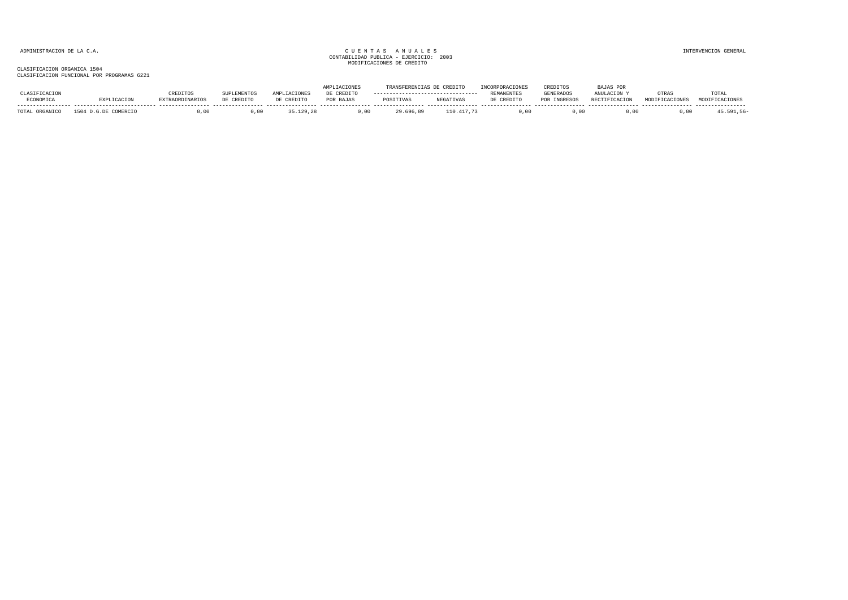|                      |              |                |            |            | <b>TRANSFERENCIAS</b> | CREDIT           | RPORACTONE: | CREDITOS        | JAS POR          |       |       |
|----------------------|--------------|----------------|------------|------------|-----------------------|------------------|-------------|-----------------|------------------|-------|-------|
|                      | REDITOS      | <b>LEMENTO</b> |            | DE CREDITO |                       |                  | REMANENTE:  | GENERADOS       | ANULACTON        | OTRA: | TOTA. |
| <b>ECONOMICA</b>     | RAORDINARIOS | DE CREDITO     | DE CREDITO | POR BAJAS  | POSITIVAS             | <b>NEGATIVAS</b> | CREDIT/     | <b>INGRESOS</b> | <b>DRATITION</b> |       |       |
| TOTAL.<br>. ORGANICO | . 00         |                |            | .00        | 29.696.89             | .417.73          | J.00        | 00              |                  |       |       |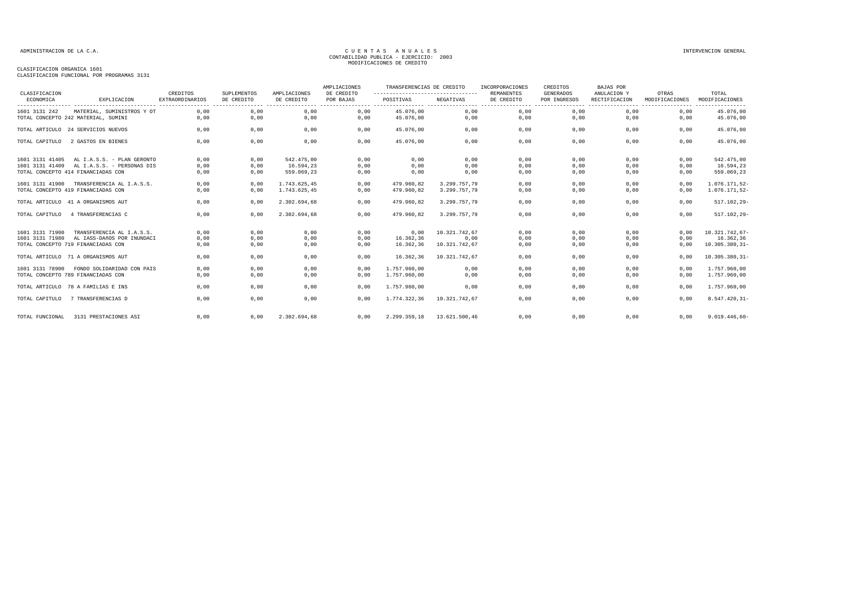| CLASIFICACION   |                                                                  | CREDITOS               | <b>SUPLEMENTOS</b> | AMPLIACIONES            | AMPLIACIONES<br>DE CREDITO | TRANSFERENCIAS DE CREDITO<br>----------------------------------- |               | INCORPORACIONES<br><b>REMANENTES</b> | CREDITOS<br><b>GENERADOS</b> | <b>BAJAS POR</b><br>ANULACION Y | OTRAS          | TOTAL             |
|-----------------|------------------------------------------------------------------|------------------------|--------------------|-------------------------|----------------------------|------------------------------------------------------------------|---------------|--------------------------------------|------------------------------|---------------------------------|----------------|-------------------|
| ECONOMICA       | EXPLICACION                                                      | <b>EXTRAORDINARIOS</b> | DE CREDITO         | DE CREDITO              | POR BAJAS                  | POSITIVAS                                                        | NEGATIVAS     | DE CREDITO                           | POR INGRESOS                 | RECTIFICACION                   | MODIFICACIONES | MODIFICACIONES    |
| 1601 3131 242   | MATERIAL, SUMINISTROS Y OT                                       | 0.00                   | 0,00               | 0,00                    | 0.00                       | 45.076.00                                                        | 0,00          | 0,00                                 | 0,00                         | 0,00                            | 0.00           | 45.076,00         |
|                 | TOTAL CONCEPTO 242 MATERIAL, SUMINI                              | 0.00                   | 0,00               | 0,00                    | 0.00                       | 45.076.00                                                        | 0,00          | 0,00                                 | 0,00                         | 0.00                            | 0,00           | 45.076,00         |
|                 | TOTAL ARTICULO 24 SERVICIOS NUEVOS                               | 0,00                   | 0,00               | 0,00                    | 0,00                       | 45.076.00                                                        | 0,00          | 0,00                                 | 0,00                         | 0,00                            | 0,00           | 45.076,00         |
| TOTAL CAPITULO  | 2 GASTOS EN BIENES                                               | 0,00                   | 0,00               | 0,00                    | 0,00                       | 45.076,00                                                        | 0,00          | 0,00                                 | 0,00                         | 0,00                            | 0,00           | 45.076,00         |
| 1601 3131 41405 | AL I.A.S.S. - PLAN GERONTO                                       | 0,00                   | 0,00               | 542.475,00              | 0,00                       | 0,00                                                             | 0,00          | 0,00                                 | 0,00                         | 0,00                            | 0,00           | 542.475,00        |
| 1601 3131 41409 | AL I.A.S.S. - PERSONAS DIS<br>TOTAL CONCEPTO 414 FINANCIADAS CON | 0,00<br>0,00           | 0,00<br>0,00       | 16.594,23<br>559.069,23 | 0,00<br>0,00               | 0,00<br>0,00                                                     | 0,00<br>0,00  | 0,00<br>0,00                         | 0,00<br>0,00                 | 0,00<br>0,00                    | 0,00<br>0,00   | 16.594,23         |
|                 |                                                                  |                        |                    |                         |                            |                                                                  |               |                                      |                              |                                 |                | 559.069,23        |
| 1601 3131 41900 | TRANSFERENCIA AL I.A.S.S.                                        | 0.00                   | 0.00               | 1.743.625.45            | 0.00                       | 479.960.82                                                       | 3.299.757.79  | 0,00                                 | 0.00                         | 0.00                            | 0.00           | 1.076.171,52-     |
|                 | TOTAL CONCEPTO 419 FINANCIADAS CON                               | 0,00                   | 0,00               | 1.743.625,45            | 0,00                       | 479.960,82                                                       | 3.299.757,79  | 0,00                                 | 0,00                         | 0,00                            | 0,00           | 1.076.171,52-     |
|                 | TOTAL ARTICULO 41 A ORGANISMOS AUT                               | 0,00                   | 0,00               | 2.302.694,68            | 0,00                       | 479.960,82                                                       | 3.299.757,79  | 0,00                                 | 0,00                         | 0,00                            | 0,00           | $517.102, 29 -$   |
| TOTAL CAPITULO  | 4 TRANSFERENCIAS C                                               | 0,00                   | 0,00               | 2.302.694,68            | 0,00                       | 479.960,82                                                       | 3.299.757,79  | 0,00                                 | 0,00                         | 0,00                            | 0,00           | $517.102, 29 -$   |
| 1601 3131 71900 | TRANSFERENCIA AL I.A.S.S.                                        | 0,00                   | 0,00               | 0,00                    | 0.00                       | 0,00                                                             | 10.321.742.67 | 0,00                                 | 0.00                         | 0,00                            | 0,00           | 10.321.742.67-    |
| 1601 3131 71980 | AL IASS-DAÑOS POR INUNDACI                                       | 0,00                   | 0,00               | 0,00                    | 0,00                       | 16.362,36                                                        | 0,00          | 0,00                                 | 0,00                         | 0,00                            | 0,00           | 16.362,36         |
|                 | TOTAL CONCEPTO 719 FINANCIADAS CON                               | 0.00                   | 0,00               | 0,00                    | 0.00                       | 16.362,36                                                        | 10.321.742,67 | 0,00                                 | 0,00                         | 0.00                            | 0,00           | $10.305.380, 31-$ |
|                 | TOTAL ARTICULO 71 A ORGANISMOS AUT                               | 0,00                   | 0,00               | 0,00                    | 0,00                       | 16.362,36                                                        | 10.321.742.67 | 0,00                                 | 0,00                         | 0,00                            | 0,00           | $10.305.380, 31-$ |
| 1601 3131 78900 | FONDO SOLIDARIDAD CON PAIS                                       | 0.00                   | 0,00               | 0,00                    | 0,00                       | 1,757,960,00                                                     | 0,00          | 0,00                                 | 0,00                         | 0,00                            | 0.00           | 1.757.960,00      |
|                 | TOTAL CONCEPTO 789 FINANCIADAS CON                               | 0,00                   | 0,00               | 0,00                    | 0,00                       | 1.757.960,00                                                     | 0,00          | 0,00                                 | 0,00                         | 0,00                            | 0,00           | 1.757.960,00      |
|                 | TOTAL ARTICULO 78 A FAMILIAS E INS                               | 0,00                   | 0,00               | 0,00                    | 0,00                       | 1.757.960,00                                                     | 0,00          | 0,00                                 | 0,00                         | 0,00                            | 0,00           | 1.757.960,00      |
| TOTAL CAPITULO  | 7 TRANSFERENCIAS D                                               | 0,00                   | 0,00               | 0,00                    | 0,00                       | 1.774.322,36                                                     | 10.321.742,67 | 0,00                                 | 0,00                         | 0,00                            | 0,00           | $8.547.420, 31-$  |
| TOTAL FUNCIONAL | 3131 PRESTACIONES ASI                                            | 0,00                   | 0,00               | 2.302.694,68            | 0,00                       | 2.299.359.18                                                     | 13.621.500.46 | 0,00                                 | 0,00                         | 0,00                            | 0,00           | $9.019.446,60 -$  |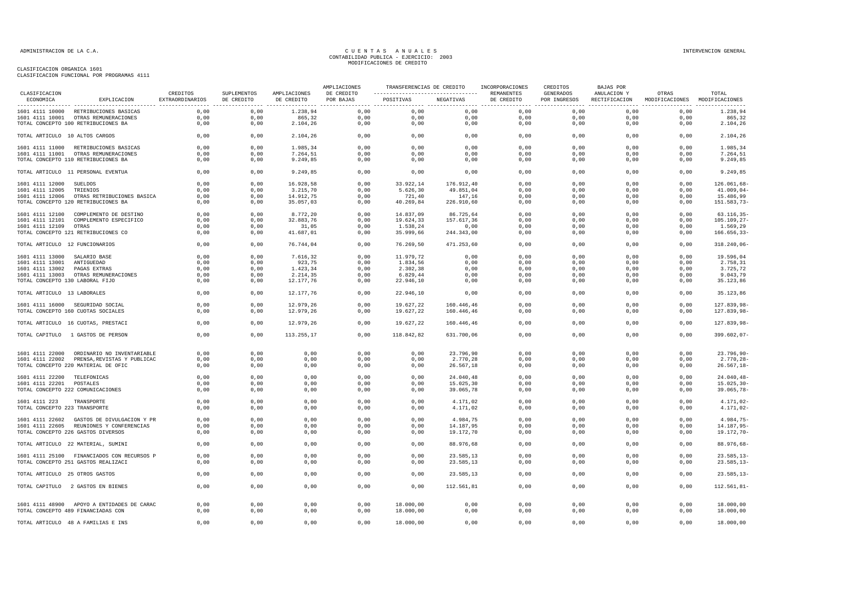|                                                           |                                                                                  |                             |                           |                            | AMPLIACIONES            |                                                             | TRANSFERENCIAS DE CREDITO INCORPORACIONES |              | CREDITOS                  | BAJAS POR    |                                                      |                            |
|-----------------------------------------------------------|----------------------------------------------------------------------------------|-----------------------------|---------------------------|----------------------------|-------------------------|-------------------------------------------------------------|-------------------------------------------|--------------|---------------------------|--------------|------------------------------------------------------|----------------------------|
| CLASIFICACION<br>ECONOMICA                                | EXPLICACION                                                                      | CREDITOS<br>EXTRAORDINARIOS | SUPLEMENTOS<br>DE CREDITO | AMPLIACIONES<br>DE CREDITO | DE CREDITO<br>POR BAJAS | ----------------------------------  REMANENTES<br>POSITIVAS | NEGATIVAS                                 | DE CREDITO   | GENERADOS<br>POR INGRESOS | ANULACION Y  | OTRAS<br>RECTIFICACION MODIFICACIONES MODIFICACIONES | TOTAL                      |
|                                                           | 1601 4111 10000 RETRIBUCIONES BASICAS                                            | 0,00                        | 0,00                      | 1.238,94                   | 0,00                    | 0,00                                                        | 0,00                                      | 0,00         | 0,00                      | 0,00         | 0,00                                                 | 1.238,94                   |
|                                                           | 1601 4111 10001 OTRAS REMUNERACIONES                                             | 0,00                        | 0,00                      | 865,32                     | 0,00                    | 0,00                                                        | 0,00                                      | 0,00         | 0,00                      | 0,00         | 0,00                                                 | 865,32                     |
|                                                           | TOTAL CONCEPTO 100 RETRIBUCIONES BA                                              | 0,00                        | 0,00                      | 2.104,26                   | 0,00                    | 0,00                                                        | 0,00                                      | 0,00         | 0,00                      | 0,00         | 0,00                                                 | 2.104,26                   |
| TOTAL ARTICULO 10 ALTOS CARGOS                            |                                                                                  | 0,00                        | 0,00                      | 2.104,26                   | 0,00                    | 0,00                                                        | 0,00                                      | 0.00         | 0,00                      | 0,00         | 0,00                                                 | 2.104,26                   |
|                                                           | 1601 4111 11000 RETRIBUCIONES BASICAS                                            | 0.00                        | 0,00                      | 1.985,34                   | 0,00                    | 0.00                                                        | 0,00                                      | 0.00         | 0.00                      | 0.00         | 0.00                                                 | 1.985,34                   |
|                                                           | 1601 4111 11001 OTRAS REMUNERACIONES                                             | 0,00                        | 0,00                      | 7.264,51                   | 0,00                    | 0,00                                                        | 0,00                                      | 0,00         | 0,00                      | 0,00         | 0,00                                                 | 7.264,51                   |
|                                                           | TOTAL CONCEPTO 110 RETRIBUCIONES BA                                              | 0,00                        | 0,00                      | 9.249,85                   | 0,00                    | 0,00                                                        | 0,00                                      | 0,00         | 0,00                      | 0,00         | 0,00                                                 | 9.249,85                   |
|                                                           | TOTAL ARTICULO 11 PERSONAL EVENTUA                                               | 0,00                        | 0,00                      | 9.249,85                   | 0,00                    | 0,00                                                        | 0,00                                      | 0,00         | 0,00                      | 0,00         | 0,00                                                 | 9.249,85                   |
| 1601 4111 12000 SUELDOS                                   |                                                                                  | 0,00                        | 0,00                      | 16.928,58                  | 0,00                    | 33.922,14                                                   | 176.912,40                                | 0,00         | 0,00                      | 0,00         | 0,00                                                 | 126.061,68-                |
| 1601 4111 12005 TRIENIOS                                  |                                                                                  | 0,00                        | 0,00                      | 3.215,70                   | 0,00                    | 5.626, 30                                                   | 49.851,04                                 | 0,00         | 0,00                      | 0,00         | 0,00                                                 | $41.009,04-$               |
|                                                           | 1601 4111 12006 OTRAS RETRIBUCIONES BASICA                                       | 0,00                        | 0,00                      | 14.912,75                  | 0,00                    | 721,40                                                      | 147,16                                    | 0,00         | 0,00                      | 0,00         | 0,00                                                 | 15.486,99                  |
|                                                           | TOTAL CONCEPTO 120 RETRIBUCIONES BA                                              | 0,00                        | 0,00                      | 35.057,03                  | 0,00                    | 40.269,84                                                   | 226.910,60                                | 0,00         | 0,00                      | 0,00         | 0,00                                                 | 151.583,73-                |
|                                                           | 1601 4111 12100 COMPLEMENTO DE DESTINO                                           | 0,00                        | 0,00                      | 8.772,20                   | 0,00                    | 14.837,09                                                   | 86.725,64                                 | 0,00         | 0,00                      | 0,00         | 0,00                                                 | $63.116, 35 -$             |
|                                                           | 1601 4111 12101 COMPLEMENTO ESPECIFICO                                           | 0,00                        | 0,00                      | 32.883,76                  | 0,00                    | 19.624,33                                                   | 157.617,36                                | 0,00         | 0,00                      | 0,00         | 0,00                                                 | $105.109, 27 -$            |
| 1601 4111 12109 OTRAS                                     |                                                                                  | 0,00                        | 0,00                      | 31,05                      | 0,00                    | 1.538,24                                                    | 0,00                                      | 0,00         | 0,00                      | 0,00         | 0,00                                                 | 1.569,29                   |
|                                                           | TOTAL CONCEPTO 121 RETRIBUCIONES CO                                              | 0,00                        | 0,00                      | 41.687,01                  | 0,00                    | 35.999,66                                                   | 244.343,00                                | 0,00         | 0,00                      | 0,00         | 0,00                                                 | $166.656, 33-$             |
|                                                           |                                                                                  |                             |                           |                            |                         |                                                             |                                           |              |                           |              |                                                      |                            |
| TOTAL ARTICULO 12 FUNCIONARIOS                            |                                                                                  | 0,00                        | 0,00                      | 76.744,04                  | 0,00                    | 76.269,50                                                   | 471.253,60                                | 0,00         | 0,00                      | 0,00         | 0,00                                                 | 318.240,06-                |
| 1601 4111 13000 SALARIO BASE                              |                                                                                  | 0,00                        | 0,00                      | 7.616,32                   | 0,00                    | 11.979,72                                                   | 0,00                                      | 0,00         | 0,00                      | 0,00         | 0,00                                                 | 19.596,04                  |
| 1601 4111 13001 ANTIGUEDAD                                |                                                                                  | 0,00                        | 0,00                      | 923,75                     | 0,00                    | 1.834,56                                                    | 0,00                                      | 0,00         | 0,00                      | 0,00         | 0,00                                                 | 2.758,31                   |
| 1601 4111 13002 PAGAS EXTRAS                              |                                                                                  | 0,00                        | 0,00                      | 1.423,34                   | 0,00                    | 2.302,38                                                    | 0,00                                      | 0,00         | 0,00                      | 0,00         | 0,00                                                 | 3.725,72                   |
|                                                           | 1601 4111 13003 OTRAS REMUNERACIONES                                             | 0,00                        | 0,00                      | 2.214,35                   | 0,00                    | 6.829,44                                                    | 0,00                                      | 0,00         | 0,00                      | 0,00         | 0,00                                                 | 9.043,79                   |
| TOTAL CONCEPTO 130 LABORAL FIJO                           |                                                                                  | 0,00                        | 0,00                      | 12.177,76                  | 0,00                    | 22.946,10                                                   | 0,00                                      | 0,00         | 0,00                      | 0,00         | 0,00                                                 | 35.123,86                  |
| TOTAL ARTICULO 13 LABORALES                               |                                                                                  | 0,00                        | 0,00                      | 12.177,76                  | 0,00                    | 22.946,10                                                   | 0,00                                      | 0,00         | 0,00                      | 0,00         | 0,00                                                 | 35.123,86                  |
|                                                           | 1601 4111 16000 SEGURIDAD SOCIAL                                                 | 0,00                        | 0,00                      | 12.979.26                  | 0,00                    | 19.627,22                                                   | 160.446,46                                | 0.00         | 0,00                      | 0,00         | 0,00                                                 | 127.839,98-                |
|                                                           | TOTAL CONCEPTO 160 CUOTAS SOCIALES                                               | 0,00                        | 0,00                      | 12.979,26                  | 0,00                    | 19.627,22                                                   | 160.446,46                                | 0,00         | 0,00                      | 0,00         | 0,00                                                 | 127.839,98-                |
|                                                           | TOTAL ARTICULO 16 CUOTAS, PRESTACI                                               | 0,00                        | 0,00                      | 12.979.26                  | 0,00                    | 19.627,22                                                   | 160.446,46                                | 0.00         | 0,00                      | 0.00         | 0.00                                                 | 127.839.98-                |
|                                                           | TOTAL CAPITULO 1 GASTOS DE PERSON                                                | 0,00                        | 0,00                      | 113.255,17                 | 0,00                    | 118.842,82                                                  | 631.700,06                                | 0,00         | 0,00                      | 0,00         | 0,00                                                 | 399.602,07-                |
|                                                           |                                                                                  |                             |                           |                            |                         |                                                             |                                           |              |                           |              |                                                      |                            |
|                                                           | 1601 4111 22000 ORDINARIO NO INVENTARIABLE                                       | 0,00                        | 0,00                      | 0,00                       | 0,00                    | 0,00                                                        | 23.796,90                                 | 0,00         | 0,00                      | 0,00         | 0,00                                                 | $23.796,90 -$              |
|                                                           | 1601 4111 22002 PRENSA, REVISTAS Y PUBLICAC                                      | 0,00                        | 0,00                      | 0,00                       | 0,00                    | 0,00                                                        | 2.770,28                                  | 0,00         | 0,00                      | 0,00         | 0,00                                                 | $2.770, 28 -$              |
|                                                           | TOTAL CONCEPTO 220 MATERIAL DE OFIC                                              | 0,00                        | 0,00                      | 0,00                       | 0,00                    | 0,00                                                        | 26.567,18                                 | 0,00         | 0,00                      | 0,00         | 0,00                                                 | $26.567, 18-$              |
| 1601 4111 22200 TELEFONICAS                               |                                                                                  | 0,00                        | 0,00                      | 0,00                       | 0,00                    | 0,00                                                        | 24.040,48                                 | 0,00         | 0,00                      | 0,00         | 0,00                                                 | $24.040, 48 -$             |
| 1601 4111 22201 POSTALES                                  |                                                                                  | 0,00                        | 0,00                      | 0,00                       | 0,00                    | 0,00                                                        | 15.025,30                                 | 0,00         | 0,00                      | 0,00         | 0,00                                                 | $15.025, 30 -$             |
|                                                           | TOTAL CONCEPTO 222 COMUNICACIONES                                                | 0,00                        | 0,00                      | 0,00                       | 0,00                    | 0,00                                                        | 39.065,78                                 | 0,00         | 0,00                      | 0,00         | 0.00                                                 | $39.065,78-$               |
|                                                           |                                                                                  |                             |                           |                            |                         |                                                             |                                           |              |                           |              |                                                      |                            |
| 1601 4111 223 TRANSPORTE<br>TOTAL CONCEPTO 223 TRANSPORTE |                                                                                  | 0,00<br>0,00                | 0,00<br>0,00              | 0,00<br>0,00               | 0,00<br>0,00            | 0,00<br>0,00                                                | 4.171,02<br>4.171,02                      | 0,00<br>0,00 | 0,00<br>0,00              | 0.00<br>0,00 | 0,00<br>0,00                                         | $4.171,02-$<br>$4.171,02-$ |
|                                                           |                                                                                  |                             |                           |                            |                         |                                                             |                                           |              |                           |              |                                                      |                            |
|                                                           | 1601 4111 22602 GASTOS DE DIVULGACION Y PR                                       | 0,00                        | 0,00                      | 0,00                       | 0,00                    | 0,00                                                        | 4.984,75                                  | 0,00         | 0,00                      | 0,00         | 0,00                                                 | 4.984,75-                  |
|                                                           | 1601 4111 22605 REUNIONES Y CONFERENCIAS                                         | 0,00                        | 0,00                      | 0,00                       | 0,00                    | 0,00                                                        | 14.187,95                                 | 0,00         | 0,00                      | 0,00         | 0,00                                                 | 14.187,95-                 |
|                                                           | TOTAL CONCEPTO 226 GASTOS DIVERSOS                                               | 0,00                        | 0,00                      | 0,00                       | 0,00                    | 0,00                                                        | 19.172,70                                 | 0,00         | 0,00                      | 0,00         | 0,00                                                 | 19.172,70-                 |
|                                                           | TOTAL ARTICULO 22 MATERIAL, SUMINI                                               | 0,00                        | 0,00                      | 0,00                       | 0,00                    | 0,00                                                        | 88.976,68                                 | 0,00         | 0,00                      | 0,00         | 0,00                                                 | 88.976,68-                 |
|                                                           | 1601 4111 25100 FINANCIADOS CON RECURSOS P                                       | 0.00                        | 0.00                      | 0.00                       | 0,00                    | 0.00                                                        | 23.585,13                                 | 0.00         | 0,00                      | 0.00         | 0,00                                                 | $23.585, 13-$              |
|                                                           | TOTAL CONCEPTO 251 GASTOS REALIZACI                                              |                             |                           |                            |                         |                                                             |                                           |              |                           |              |                                                      | $23.585, 13-$              |
|                                                           |                                                                                  | 0,00                        | 0,00                      | 0,00                       | 0,00                    | 0,00                                                        | 23.585,13                                 | 0,00         | 0,00                      | 0,00         | 0,00                                                 |                            |
| TOTAL ARTICULO 25 OTROS GASTOS                            |                                                                                  | 0,00                        | 0,00                      | 0,00                       | 0,00                    | 0,00                                                        | 23.585,13                                 | 0,00         | 0,00                      | 0,00         | 0,00                                                 | $23.585, 13-$              |
|                                                           | TOTAL CAPITULO 2 GASTOS EN BIENES                                                | 0,00                        | 0,00                      | 0,00                       | 0,00                    | 0,00                                                        | 112.561,81                                | 0,00         | 0,00                      | 0,00         | 0,00                                                 | $112.561,81-$              |
|                                                           |                                                                                  |                             |                           |                            |                         |                                                             |                                           |              |                           |              |                                                      |                            |
|                                                           | 1601 4111 48900 APOYO A ENTIDADES DE CARAC<br>TOTAL CONCEPTO 489 FINANCIADAS CON | 0,00<br>0,00                | 0,00<br>0,00              | 0,00<br>0,00               | 0,00<br>0,00            | 18.000,00<br>18.000,00                                      | 0,00<br>0,00                              | 0,00<br>0,00 | 0,00<br>0,00              | 0,00<br>0,00 | 0,00<br>0,00                                         | 18.000,00<br>18.000,00     |
|                                                           | TOTAL ARTICULO 48 A FAMILIAS E INS                                               | 0,00                        | 0,00                      | 0,00                       | 0,00                    | 18.000,00                                                   | 0,00                                      | 0,00         | 0,00                      | 0,00         | 0,00                                                 | 18.000,00                  |
|                                                           |                                                                                  |                             |                           |                            |                         |                                                             |                                           |              |                           |              |                                                      |                            |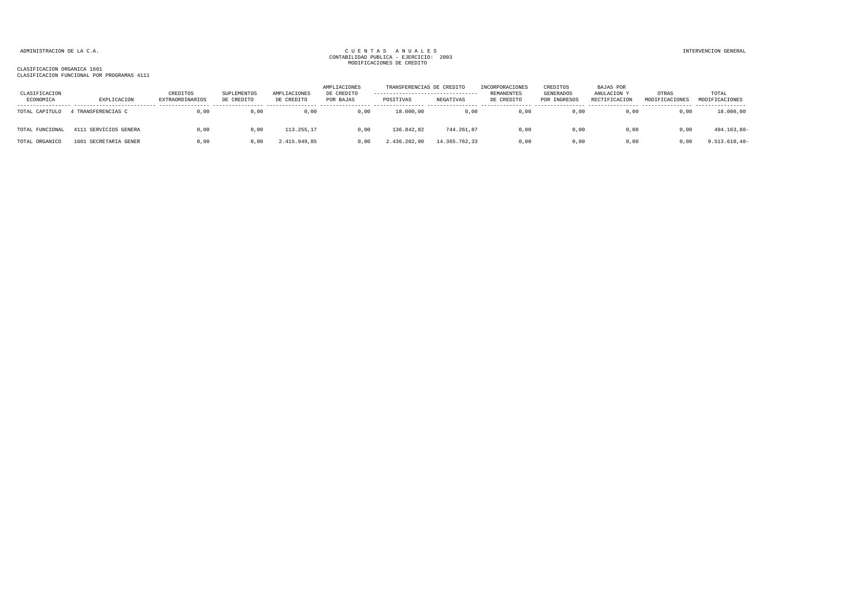| CLASIFICACION<br>ECONOMICA | EXPLICACION           | CREDITOS<br><b>EXTRAORDINARIOS</b> | SUPLEMENTOS<br>DE CREDITO | AMPLIACIONES<br>DE CREDITO | AMPLIACIONES<br>DE CREDITO<br>POR BAJAS | TRANSFERENCIAS DE CREDITO<br>----------------------------------<br>POSITIVAS | NEGATIVAS     | INCORPORACIONES<br>REMANENTES<br>DE CREDITO | CREDITOS<br>GENERADOS<br>POR INGRESOS | <b>BAJAS POR</b><br>ANULACION Y<br>RECTIFICACION | OTRAS<br>MODIFICACIONES | TOTAL<br>MODIFICACIONES |
|----------------------------|-----------------------|------------------------------------|---------------------------|----------------------------|-----------------------------------------|------------------------------------------------------------------------------|---------------|---------------------------------------------|---------------------------------------|--------------------------------------------------|-------------------------|-------------------------|
| TOTAL CAPITULO             | 4 TRANSFERENCIAS C    | 0.00                               | 0.00                      | 0,00                       | 0,00                                    | 18,000,00                                                                    | 0,00          | 0,00                                        | 0,00                                  | 0.00                                             | 0,00                    | 18.000,00               |
| TOTAL FUNCIONAL            | 4111 SERVICIOS GENERA | 0,00                               | 0,00                      | 113.255,17                 | 0,00                                    | 136.842,82                                                                   | 744.261,87    | 0,00                                        | 0,00                                  | 0,00                                             | 0,00                    | 494.163,88-             |
| TOTAL ORGANICO             | 1601 SECRETARIA GENER | 0.00                               | 0.00                      | 2.415.949.85               | 0.00                                    | 2.436.202.00                                                                 | 14.365.762.33 | 0.00                                        | 0.00                                  | 0.00                                             | 0.00                    | $9.513.610,48-$         |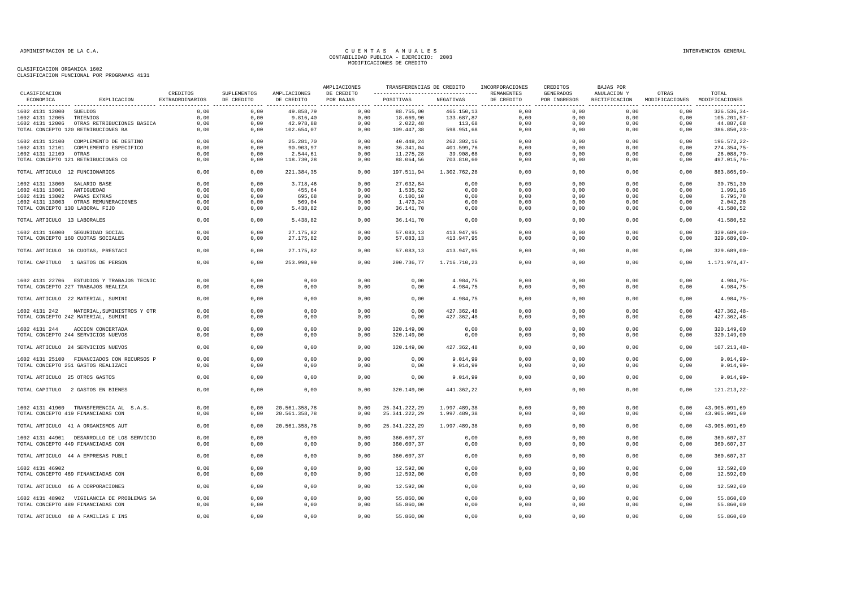|                                                                                     |                             |                           |                                | AMPLIACIONES            |                                                            |                              | TRANSFERENCIAS DE CREDITO INCORPORACIONES | CREDITOS                  | <b>BAJAS POR</b> |                                                      |                                  |
|-------------------------------------------------------------------------------------|-----------------------------|---------------------------|--------------------------------|-------------------------|------------------------------------------------------------|------------------------------|-------------------------------------------|---------------------------|------------------|------------------------------------------------------|----------------------------------|
| CLASIFICACION<br>EXPLICACION<br>ECONOMICA                                           | CREDITOS<br>EXTRAORDINARIOS | SUPLEMENTOS<br>DE CREDITO | AMPLIACIONES<br>DE CREDITO     | DE CREDITO<br>POR BAJAS | ---------------------------------- REMANENTES<br>POSITIVAS | NEGATIVAS                    | DE CREDITO                                | GENERADOS<br>POR INGRESOS | ANULACION Y      | OTRAS<br>RECTIFICACION MODIFICACIONES MODIFICACIONES | TOTAL                            |
| 1602 4131 12000 SUELDOS                                                             | 0.00                        | 0,00                      | 49.858,79                      | 0,00                    | 88.755,00                                                  | 465.150,13                   | 0.00                                      | 0,00                      | 0,00             | 0,00                                                 | $326.536, 34-$                   |
| 1602 4131 12005 TRIENIOS                                                            | 0,00                        | 0,00                      | 9.816,40                       | 0,00                    | 18.669,90                                                  | 133.687,87                   | 0,00                                      | 0,00                      | 0,00             | 0,00                                                 | $105.201, 57 -$                  |
| 1602 4131 12006 OTRAS RETRIBUCIONES BASICA                                          | 0,00                        | 0,00                      | 42.978,88                      | 0,00                    | 2.022,48                                                   | 113,68                       | 0,00                                      | 0,00                      | 0,00             | 0,00                                                 | 44.887,68                        |
| TOTAL CONCEPTO 120 RETRIBUCIONES BA                                                 | 0,00                        | 0,00                      | 102.654,07                     | 0,00                    | 109.447,38                                                 | 598.951,68                   | 0,00                                      | 0,00                      | 0,00             | 0,00                                                 | 386.850,23-                      |
| 1602 4131 12100 COMPLEMENTO DE DESTINO                                              | 0,00                        | 0,00                      | 25.281,70                      | 0,00                    | 40.448,24                                                  | 262.302,16                   | 0,00                                      | 0,00                      | 0,00             | 0,00                                                 | 196.572,22-                      |
| 1602 4131 12101 COMPLEMENTO ESPECIFICO                                              | 0,00                        | 0,00                      | 90.903,97                      | 0,00                    | 36.341,04                                                  | 401.599,76                   | 0,00                                      | 0,00                      | 0,00             | 0,00                                                 | 274.354,75-                      |
| 1602 4131 12109 OTRAS                                                               | 0,00                        | 0,00                      | 2.544,61                       | 0,00                    | 11.275,28                                                  | 39.908,68                    | 0,00                                      | 0,00                      | 0,00             | 0,00                                                 | 26.088,79-                       |
| TOTAL CONCEPTO 121 RETRIBUCIONES CO                                                 | 0.00                        | 0.00                      | 118.730.28                     | 0.00                    | 88.064,56                                                  | 703.810.60                   | 0,00                                      | 0.00                      | 0.00             | 0.00                                                 | 497.015.76-                      |
| TOTAL ARTICULO 12 FUNCIONARIOS                                                      | 0,00                        | 0,00                      | 221.384,35                     | 0,00                    | 197.511,94                                                 | 1.302.762,28                 | 0,00                                      | 0,00                      | 0,00             | 0,00                                                 | 883.865.99-                      |
|                                                                                     | 0,00                        | 0,00                      | 3.718,46                       | 0,00                    |                                                            |                              | 0,00                                      | 0,00                      | 0,00             | 0,00                                                 |                                  |
| 1602 4131 13000 SALARIO BASE                                                        |                             |                           |                                |                         | 27.032,84                                                  | 0,00                         |                                           |                           |                  |                                                      | 30.751,30                        |
| 1602 4131 13001 ANTIGUEDAD                                                          | 0,00                        | 0,00                      | 455,64                         | 0,00                    | 1.535,52                                                   | 0,00                         | 0,00                                      | 0,00                      | 0,00             | 0,00                                                 | 1.991,16                         |
| 1602 4131 13002 PAGAS EXTRAS                                                        | 0,00                        | 0,00                      | 695,68                         | 0,00                    | 6.100, 10                                                  | 0,00                         | 0,00                                      | 0,00                      | 0,00             | 0,00                                                 | 6.795,78                         |
| 1602 4131 13003 OTRAS REMUNERACIONES                                                | 0,00                        | 0.00                      | 569,04                         | 0,00                    | 1.473,24                                                   | 0,00                         | 0,00                                      | 0,00                      | 0,00             | 0,00                                                 | 2.042,28                         |
| TOTAL CONCEPTO 130 LABORAL FIJO                                                     | 0,00                        | 0,00                      | 5.438,82                       | 0,00                    | 36.141,70                                                  | 0,00                         | 0,00                                      | 0,00                      | 0,00             | 0,00                                                 | 41.580,52                        |
| TOTAL ARTICULO 13 LABORALES                                                         | 0,00                        | 0,00                      | 5.438,82                       | 0,00                    | 36.141,70                                                  | 0,00                         | 0,00                                      | 0,00                      | 0,00             | 0,00                                                 | 41.580,52                        |
|                                                                                     |                             |                           |                                |                         |                                                            |                              |                                           |                           |                  |                                                      |                                  |
| 1602 4131 16000 SEGURIDAD SOCIAL<br>TOTAL CONCEPTO 160 CUOTAS SOCIALES              | 0,00<br>0.00                | 0,00<br>0,00              | 27.175,82<br>27.175,82         | 0,00<br>0.00            | 57.083,13<br>57.083,13                                     | 413.947,95<br>413.947,95     | 0,00<br>0,00                              | 0,00<br>0.00              | 0,00<br>0.00     | 0,00<br>0.00                                         | 329.689,00-<br>$329.689,00 -$    |
|                                                                                     |                             |                           |                                |                         |                                                            |                              |                                           |                           |                  |                                                      |                                  |
| TOTAL ARTICULO 16 CUOTAS, PRESTACI                                                  | 0,00                        | 0,00                      | 27.175,82                      | 0,00                    | 57.083,13                                                  | 413.947,95                   | 0,00                                      | 0,00                      | 0,00             | 0,00                                                 | 329.689.00-                      |
| TOTAL CAPITULO 1 GASTOS DE PERSON                                                   | 0,00                        | 0,00                      | 253.998,99                     | 0,00                    | 290.736,77                                                 | 1.716.710,23                 | 0,00                                      | 0,00                      | 0,00             | 0,00                                                 | 1.171.974,47-                    |
|                                                                                     |                             |                           |                                |                         |                                                            |                              |                                           |                           |                  |                                                      |                                  |
| 1602 4131 22706 ESTUDIOS Y TRABAJOS TECNIC                                          | 0.00                        | 0.00                      | 0.00                           | 0,00                    | 0,00                                                       | 4.984,75                     | 0,00                                      | 0.00                      | 0.00             | 0.00                                                 | 4.984,75-                        |
| TOTAL CONCEPTO 227 TRABAJOS REALIZA                                                 | 0,00                        | 0,00                      | 0,00                           | 0,00                    | 0,00                                                       | 4.984,75                     | 0,00                                      | 0,00                      | 0,00             | 0,00                                                 | $4.984,75-$                      |
| TOTAL ARTICULO 22 MATERIAL, SUMINI                                                  | 0,00                        | 0,00                      | 0,00                           | 0,00                    | 0,00                                                       | 4.984,75                     | 0,00                                      | 0,00                      | 0,00             | 0,00                                                 | 4.984,75-                        |
|                                                                                     |                             |                           |                                |                         |                                                            |                              |                                           |                           |                  |                                                      |                                  |
| MATERIAL, SUMINISTROS Y OTR<br>1602 4131 242<br>TOTAL CONCEPTO 242 MATERIAL, SUMINI | 0,00<br>0.00                | 0,00<br>0,00              | 0,00<br>0,00                   | 0,00<br>0,00            | 0,00<br>0.00                                               | 427.362,48<br>427.362,48     | 0,00<br>0,00                              | 0,00<br>0,00              | 0,00<br>0.00     | 0,00<br>0.00                                         | $427.362, 48 -$<br>$427.362,48-$ |
|                                                                                     |                             |                           |                                |                         |                                                            |                              |                                           |                           |                  |                                                      |                                  |
| 1602 4131 244<br>ACCION CONCERTADA                                                  | 0,00                        | 0,00                      | 0,00                           | 0,00                    | 320.149,00                                                 | 0,00                         | 0,00                                      | 0,00                      | 0,00             | 0,00                                                 | 320.149,00                       |
| TOTAL CONCEPTO 244 SERVICIOS NUEVOS                                                 | 0,00                        | 0,00                      | 0,00                           | 0,00                    | 320.149,00                                                 | 0,00                         | 0,00                                      | 0,00                      | 0,00             | 0,00                                                 | 320.149,00                       |
|                                                                                     |                             |                           |                                |                         |                                                            |                              |                                           |                           |                  |                                                      |                                  |
| TOTAL ARTICULO 24 SERVICIOS NUEVOS                                                  | 0,00                        | 0,00                      | 0,00                           | 0,00                    | 320.149,00                                                 | 427.362,48                   | 0,00                                      | 0,00                      | 0,00             | 0,00                                                 | $107.213,48-$                    |
| 1602 4131 25100 FINANCIADOS CON RECURSOS P                                          | 0,00                        | 0,00                      | 0,00                           | 0,00                    | 0,00                                                       | 9.014,99                     | 0,00                                      | 0,00                      | 0,00             | 0,00                                                 | $9.014,99-$                      |
| TOTAL CONCEPTO 251 GASTOS REALIZACI                                                 | 0,00                        | 0,00                      | 0,00                           | 0,00                    | 0,00                                                       | 9.014,99                     | 0,00                                      | 0,00                      | 0,00             | 0,00                                                 | $9.014,99-$                      |
| TOTAL ARTICULO 25 OTROS GASTOS                                                      | 0,00                        | 0,00                      | 0,00                           | 0,00                    | 0,00                                                       | 9.014,99                     | 0,00                                      | 0,00                      | 0,00             | 0,00                                                 | $9.014,99-$                      |
|                                                                                     |                             |                           |                                |                         |                                                            |                              |                                           |                           |                  |                                                      |                                  |
| TOTAL CAPITULO 2 GASTOS EN BIENES                                                   | 0,00                        | 0,00                      | 0,00                           | 0,00                    | 320.149,00                                                 | 441.362,22                   | 0,00                                      | 0,00                      | 0,00             | 0,00                                                 | 121.213,22-                      |
|                                                                                     |                             |                           |                                |                         |                                                            |                              |                                           |                           |                  |                                                      |                                  |
| 1602 4131 41900 TRANSFERENCIA AL S.A.S.<br>TOTAL CONCEPTO 419 FINANCIADAS CON       | 0,00<br>0,00                | 0,00<br>0,00              | 20.561.358,78<br>20.561.358,78 | 0,00<br>0,00            | 25.341.222,29<br>25.341.222,29                             | 1.997.489,38<br>1.997.489,38 | 0,00<br>0,00                              | 0,00<br>0,00              | 0,00<br>0,00     | 0,00<br>0,00                                         | 43.905.091,69<br>43.905.091,69   |
|                                                                                     |                             |                           |                                |                         |                                                            |                              |                                           |                           |                  |                                                      |                                  |
| TOTAL ARTICULO 41 A ORGANISMOS AUT                                                  | 0,00                        | 0,00                      | 20.561.358,78                  | 0,00                    | 25.341.222,29                                              | 1.997.489,38                 | 0,00                                      | 0,00                      | 0,00             | 0,00                                                 | 43.905.091,69                    |
| 1602 4131 44901 DESARROLLO DE LOS SERVICIO                                          | 0,00                        | 0,00                      | 0,00                           | 0,00                    | 360.607,37                                                 | 0,00                         | 0,00                                      | 0,00                      | 0,00             | 0,00                                                 | 360.607,37                       |
| TOTAL CONCEPTO 449 FINANCIADAS CON                                                  | 0,00                        | 0,00                      | 0,00                           | 0,00                    | 360.607,37                                                 | 0,00                         | 0,00                                      | 0,00                      | 0,00             | 0,00                                                 | 360.607,37                       |
|                                                                                     |                             |                           |                                |                         |                                                            |                              |                                           |                           |                  |                                                      |                                  |
| TOTAL ARTICULO 44 A EMPRESAS PUBLI                                                  | 0,00                        | 0,00                      | 0,00                           | 0,00                    | 360.607,37                                                 | 0,00                         | 0,00                                      | 0,00                      | 0,00             | 0,00                                                 | 360.607,37                       |
| 1602 4131 46902                                                                     | 0,00                        | 0,00                      | 0,00                           | 0,00                    | 12.592,00                                                  | 0,00                         | 0,00                                      | 0,00                      | 0,00             | 0,00                                                 | 12.592,00                        |
| TOTAL CONCEPTO 469 FINANCIADAS CON                                                  | 0,00                        | 0,00                      | 0,00                           | 0,00                    | 12.592,00                                                  | 0,00                         | 0,00                                      | 0,00                      | 0,00             | 0,00                                                 | 12.592,00                        |
| TOTAL ARTICULO 46 A CORPORACIONES                                                   | 0,00                        | 0,00                      | 0,00                           | 0,00                    | 12.592,00                                                  | 0,00                         | 0,00                                      | 0,00                      | 0,00             | 0,00                                                 | 12.592,00                        |
|                                                                                     |                             |                           |                                |                         |                                                            |                              |                                           |                           |                  |                                                      |                                  |
| 1602 4131 48902 VIGILANCIA DE PROBLEMAS SA                                          | 0,00                        | 0,00                      | 0,00                           | 0,00                    | 55.860,00                                                  | 0,00                         | 0,00                                      | 0,00                      | 0,00             | 0,00                                                 | 55.860,00                        |
| TOTAL CONCEPTO 489 FINANCIADAS CON                                                  | 0,00                        | 0,00                      | 0,00                           | 0,00                    | 55.860,00                                                  | 0,00                         | 0,00                                      | 0,00                      | 0,00             | 0,00                                                 | 55.860,00                        |
|                                                                                     |                             |                           |                                |                         |                                                            |                              |                                           |                           |                  |                                                      |                                  |
| TOTAL ARTICULO 48 A FAMILIAS E INS                                                  | 0,00                        | 0,00                      | 0,00                           | 0,00                    | 55.860,00                                                  | 0,00                         | 0,00                                      | 0,00                      | 0,00             | 0,00                                                 | 55.860,00                        |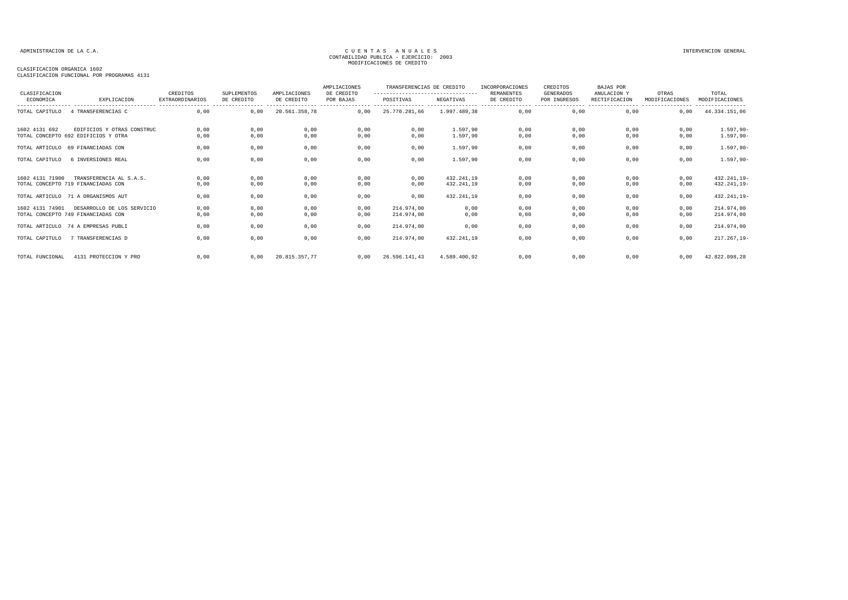| CLASIFICACION   |                                                                   | CREDITOS                                   | SUPLEMENTOS                    | AMPLIACIONES  | AMPLIACIONES<br>DE CREDITO | TRANSFERENCIAS DE CREDITO<br>--------------------------------- |                          | INCORPORACIONES<br>REMANENTES | CREDITOS<br><b>GENERADOS</b> | <b>BAJAS POR</b><br>ANULACION Y | OTRAS          | TOTAL                              |
|-----------------|-------------------------------------------------------------------|--------------------------------------------|--------------------------------|---------------|----------------------------|----------------------------------------------------------------|--------------------------|-------------------------------|------------------------------|---------------------------------|----------------|------------------------------------|
| ECONOMICA       | EXPLICACION                                                       | <b>EXTRAORDINARIOS</b><br>---------------- | DE CREDITO<br>---------------- | DE CREDITO    | POR BAJAS                  | POSITIVAS<br>----------------                                  | NEGATIVAS                | DE CREDITO                    | POR INGRESOS                 | RECTIFICACION                   | MODIFICACIONES | MODIFICACIONES<br>---------------- |
| TOTAL CAPITULO  | 4 TRANSFERENCIAS C                                                | 0.00                                       | 0,00                           | 20.561.358,78 | 0,00                       | 25.770.281,66                                                  | 1.997.489.38             | 0.00                          | 0,00                         | 0.00                            | 0,00           | 44.334.151,06                      |
| 1602 4131 692   | EDIFICIOS Y OTRAS CONSTRUC<br>TOTAL CONCEPTO 692 EDIFICIOS Y OTRA | 0,00<br>0,00                               | 0,00<br>0,00                   | 0,00<br>0,00  | 0,00<br>0,00               | 0,00<br>0,00                                                   | 1.597,90<br>1.597,90     | 0,00<br>0,00                  | 0,00<br>0,00                 | 0,00<br>0,00                    | 0,00<br>0,00   | $1.597,90 -$<br>$1.597,90 -$       |
| TOTAL ARTICULO  | 69 FINANCIADAS CON                                                | 0,00                                       | 0,00                           | 0,00          | 0,00                       | 0,00                                                           | 1.597,90                 | 0,00                          | 0,00                         | 0,00                            | 0,00           | $1.597,90 -$                       |
| TOTAL CAPITULO  | 6 INVERSIONES REAL                                                | 0,00                                       | 0,00                           | 0,00          | 0,00                       | 0,00                                                           | 1.597.90                 | 0,00                          | 0,00                         | 0,00                            | 0,00           | $1.597,90 -$                       |
| 1602 4131 71900 | TRANSFERENCIA AL S.A.S.<br>TOTAL CONCEPTO 719 FINANCIADAS CON     | 0,00<br>0,00                               | 0,00<br>0,00                   | 0,00<br>0,00  | 0,00<br>0,00               | 0,00<br>0,00                                                   | 432.241,19<br>432.241,19 | 0,00<br>0,00                  | 0,00<br>0,00                 | 0,00<br>0,00                    | 0,00<br>0,00   | 432.241,19-<br>432.241,19-         |
|                 | TOTAL ARTICULO 71 A ORGANISMOS AUT                                | 0,00                                       | 0,00                           | 0,00          | 0,00                       | 0,00                                                           | 432.241,19               | 0,00                          | 0,00                         | 0,00                            | 0,00           | 432.241,19-                        |
| 1602 4131 74901 | DESARROLLO DE LOS SERVICIO<br>TOTAL CONCEPTO 749 FINANCIADAS CON  | 0,00<br>0,00                               | 0,00<br>0,00                   | 0,00<br>0,00  | 0,00<br>0,00               | 214.974.00<br>214.974.00                                       | 0,00<br>0,00             | 0,00<br>0,00                  | 0,00<br>0,00                 | 0,00<br>0,00                    | 0,00<br>0,00   | 214.974,00<br>214.974,00           |
|                 | TOTAL ARTICULO 74 A EMPRESAS PUBLI                                | 0,00                                       | 0,00                           | 0,00          | 0,00                       | 214.974,00                                                     | 0,00                     | 0,00                          | 0,00                         | 0,00                            | 0,00           | 214.974,00                         |
| TOTAL CAPITULO  | 7 TRANSFERENCIAS D                                                | 0,00                                       | 0,00                           | 0,00          | 0,00                       | 214.974,00                                                     | 432.241,19               | 0,00                          | 0,00                         | 0,00                            | 0,00           | $217.267,19-$                      |
| TOTAL FUNCIONAL | 4131 PROTECCION Y PRO                                             | 0.00                                       | 0.00                           | 20.815.357.77 | 0.00                       | 26.596.141.43                                                  | 4.589.400.92             | 0,00                          | 0,00                         | 0.00                            | 0.00           | 42.822.098,28                      |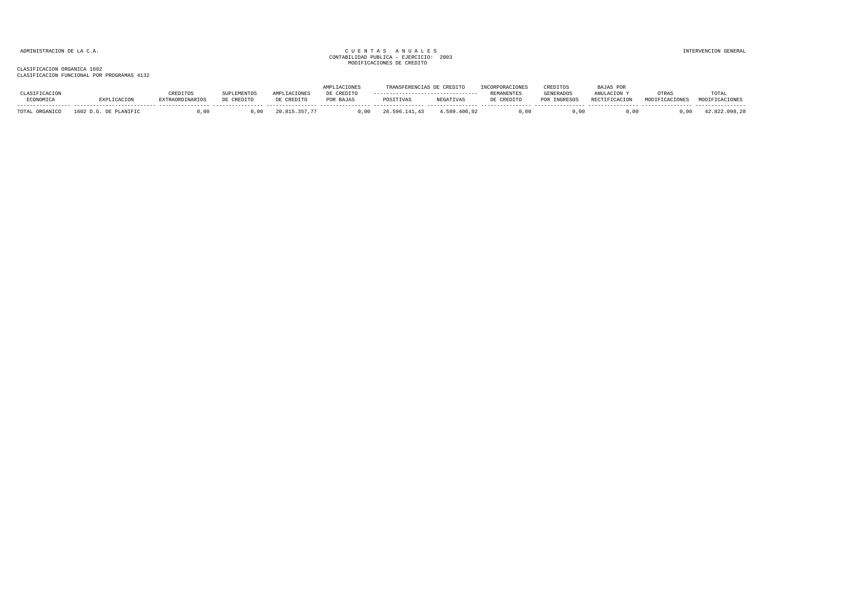|                     |                            |            |                    |                    |            |               | <b>CREDIT</b> |                        | CREDITOS         | <b>PAJAS POR</b>     |       |                |
|---------------------|----------------------------|------------|--------------------|--------------------|------------|---------------|---------------|------------------------|------------------|----------------------|-------|----------------|
| <b>LASIFICACION</b> |                            |            | <b>NUPLEMENTOS</b> | <b>AMPLIACIONE</b> | DE CREDITO |               |               | REMANENTE <sup>®</sup> | <b>GENERADOS</b> | ANIILACTON           | OTRA: | TOTAL          |
| ECONOMICA           |                            | ORDINARIOS | DE CREDITO         | DE CREDITO         | POR BAJAS  | POSITIVAS     | NEGATIVAS     | DE CREDITO             | POR INGRESOS     | <b>RECTIFICACION</b> |       | MODIFICACIONES |
| TOTAL ORGANICO      | 1602<br>. D.G. DE PLANIFIC |            |                    |                    |            | 26.596.141.43 | 1.589.400.92  | .00                    | . 00             | 00                   |       | .098.28        |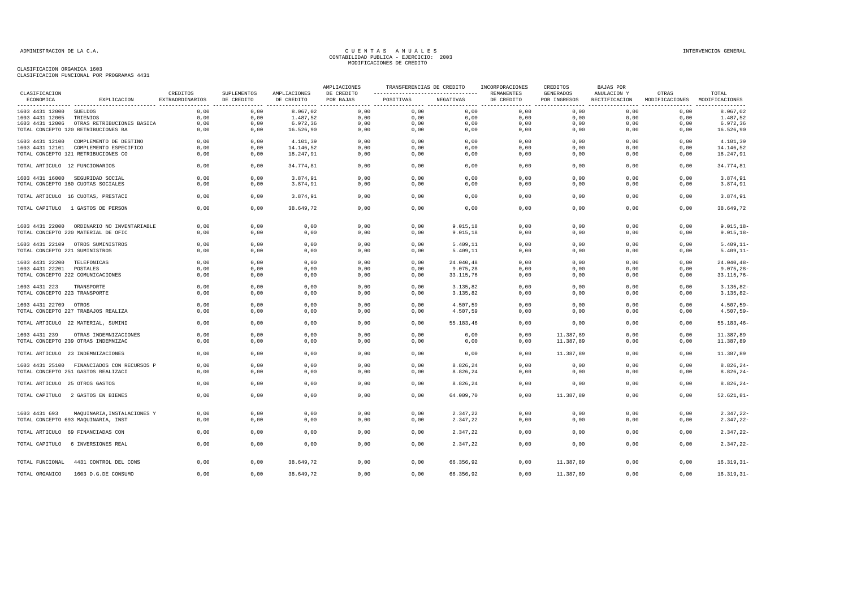| CLASIFICACION                  |                                                                    | CREDITOS        | <b>SUPLEMENTOS</b> | AMPLIACIONES | AMPLIACIONES<br>DE CREDITO | TRANSFERENCIAS DE CREDITO<br>---------------------------------- |                      | INCORPORACIONES<br>REMANENTES | CREDITOS<br>GENERADOS | BAJAS POR<br>ANULACION Y | OTRAS                         | TOTAL                          |
|--------------------------------|--------------------------------------------------------------------|-----------------|--------------------|--------------|----------------------------|-----------------------------------------------------------------|----------------------|-------------------------------|-----------------------|--------------------------|-------------------------------|--------------------------------|
| ECONOMICA                      | EXPLICACION                                                        | EXTRAORDINARIOS | DE CREDITO         | DE CREDITO   | POR BAJAS                  | POSITIVAS                                                       | NEGATIVAS            | DE CREDITO                    | POR INGRESOS          | RECTIFICACION            | MODIFICACIONES MODIFICACIONES |                                |
| 1603 4431 12000 SUELDOS        |                                                                    | 0,00            | 0,00               | 8.067,02     | 0,00                       | 0,00                                                            | 0,00                 | 0,00                          | 0,00                  | 0,00                     | 0,00                          | 8.067,02                       |
| 1603 4431 12005 TRIENIOS       |                                                                    | 0,00            | 0,00               | 1.487,52     | 0,00                       | 0,00                                                            | 0,00                 | 0,00                          | 0,00                  | 0,00                     | 0,00                          | 1.487,52                       |
|                                | 1603 4431 12006 OTRAS RETRIBUCIONES BASICA                         | 0,00            | 0,00               | 6.972,36     | 0,00                       | 0,00                                                            | 0,00                 | 0,00                          | 0,00                  | 0,00                     | 0,00                          | 6.972,36                       |
|                                | TOTAL CONCEPTO 120 RETRIBUCIONES BA                                | 0.00            | 0,00               | 16.526,90    | 0,00                       | 0,00                                                            | 0,00                 | 0,00                          | 0,00                  | 0,00                     | 0,00                          | 16.526,90                      |
|                                | 1603 4431 12100 COMPLEMENTO DE DESTINO                             | 0.00            | 0.00               | 4.101,39     | 0.00                       | 0.00                                                            | 0.00                 | 0.00                          | 0.00                  | 0.00                     | 0.00                          | 4.101,39                       |
|                                | 1603 4431 12101 COMPLEMENTO ESPECIFICO                             | 0,00            | 0,00               | 14.146,52    | 0,00                       | 0,00                                                            | 0,00                 | 0,00                          | 0,00                  | 0,00                     | 0,00                          | 14.146,52                      |
|                                | TOTAL CONCEPTO 121 RETRIBUCIONES CO                                | 0,00            | 0,00               | 18.247,91    | 0,00                       | 0,00                                                            | 0,00                 | 0,00                          | 0.00                  | 0,00                     | 0.00                          | 18.247,91                      |
| TOTAL ARTICULO 12 FUNCIONARIOS |                                                                    | 0,00            | 0,00               | 34.774,81    | 0,00                       | 0,00                                                            | 0,00                 | 0,00                          | 0,00                  | 0,00                     | 0,00                          | 34.774,81                      |
|                                | 1603 4431 16000 SEGURIDAD SOCIAL                                   | 0.00            | 0,00               | 3.874,91     | 0,00                       | 0,00                                                            | 0,00                 | 0,00                          | 0,00                  | 0.00                     | 0.00                          | 3.874,91                       |
|                                | TOTAL CONCEPTO 160 CUOTAS SOCIALES                                 | 0,00            | 0,00               | 3.874,91     | 0,00                       | 0,00                                                            | 0,00                 | 0,00                          | 0,00                  | 0,00                     | 0,00                          | 3.874,91                       |
|                                | TOTAL ARTICULO 16 CUOTAS, PRESTACI                                 | 0,00            | 0,00               | 3.874,91     | 0,00                       | 0,00                                                            | 0,00                 | 0,00                          | 0,00                  | 0,00                     | 0,00                          | 3.874,91                       |
|                                | TOTAL CAPITULO 1 GASTOS DE PERSON                                  | 0,00            | 0,00               | 38.649,72    | 0,00                       | 0,00                                                            | 0,00                 | 0,00                          | 0,00                  | 0,00                     | 0,00                          | 38.649,72                      |
|                                | 1603 4431 22000 ORDINARIO NO INVENTARIABLE                         | 0,00            | 0,00               | 0,00         | 0,00                       | 0,00                                                            | 9.015, 18            | 0,00                          | 0,00                  | 0,00                     | 0,00                          | $9.015, 18-$                   |
|                                | TOTAL CONCEPTO 220 MATERIAL DE OFIC                                | 0,00            | 0,00               | 0,00         | 0,00                       | 0,00                                                            | 9.015, 18            | 0,00                          | 0,00                  | 0,00                     | 0,00                          | $9.015, 18-$                   |
|                                | 1603 4431 22109 OTROS SUMINISTROS                                  | 0,00            | 0,00               | 0,00         | 0,00                       | 0,00                                                            | 5.409,11             | 0,00                          | 0,00                  | 0,00                     | 0,00                          | $5.409, 11-$                   |
| TOTAL CONCEPTO 221 SUMINISTROS |                                                                    | 0,00            | 0,00               | 0,00         | 0,00                       | 0,00                                                            | 5.409,11             | 0,00                          | 0,00                  | 0,00                     | 0,00                          | $5.409, 11-$                   |
| 1603 4431 22200 TELEFONICAS    |                                                                    | 0,00            | 0,00               | 0,00         | 0,00                       | 0,00                                                            | 24.040,48            | 0,00                          | 0,00                  | 0,00                     | 0,00                          | $24.040, 48 -$                 |
| 1603 4431 22201 POSTALES       |                                                                    | 0,00            | 0,00               | 0,00         | 0,00                       | 0,00                                                            | 9.075,28             | 0,00                          | 0,00                  | 0,00                     | 0,00                          | $9.075, 28 -$                  |
|                                | TOTAL CONCEPTO 222 COMUNICACIONES                                  | 0,00            | 0,00               | 0,00         | 0,00                       | 0,00                                                            | 33.115,76            | 0,00                          | 0,00                  | 0,00                     | 0,00                          | $33.115,76 -$                  |
| 1603 4431 223                  | TRANSPORTE                                                         | 0,00            | 0,00               | 0,00         | 0,00                       | 0,00                                                            | 3.135,82             | 0,00                          | 0,00                  | 0,00                     | 0,00                          | $3.135,82-$                    |
| TOTAL CONCEPTO 223 TRANSPORTE  |                                                                    | 0,00            | 0,00               | 0,00         | 0,00                       | 0,00                                                            | 3.135,82             | 0,00                          | 0,00                  | 0,00                     | 0,00                          | $3.135, 82-$                   |
| 1603 4431 22709 OTROS          |                                                                    | 0,00            | 0,00               | 0,00         | 0,00                       | 0,00                                                            | 4.507,59             | 0,00                          | 0,00                  | 0,00                     | 0,00                          | $4.507, 59-$                   |
|                                | TOTAL CONCEPTO 227 TRABAJOS REALIZA                                | 0,00            | 0,00               | 0,00         | 0,00                       | 0,00                                                            | 4.507,59             | 0,00                          | 0,00                  | 0,00                     | 0,00                          | $4.507, 59-$                   |
|                                | TOTAL ARTICULO 22 MATERIAL, SUMINI                                 | 0,00            | 0,00               | 0,00         | 0,00                       | 0,00                                                            | 55.183,46            | 0,00                          | 0,00                  | 0,00                     | 0,00                          | $55.183, 46 -$                 |
| 1603 4431 239                  | OTRAS INDEMNIZACIONES                                              | 0,00            | 0,00               | 0,00         | 0,00                       | 0,00                                                            | 0,00                 | 0,00                          | 11.387,89             | 0,00                     | 0,00                          | 11.387,89                      |
|                                | TOTAL CONCEPTO 239 OTRAS INDEMNIZAC                                | 0,00            | 0,00               | 0,00         | 0,00                       | 0,00                                                            | 0,00                 | 0,00                          | 11.387,89             | 0,00                     | 0,00                          | 11.387,89                      |
|                                | TOTAL ARTICULO 23 INDEMNIZACIONES                                  | 0,00            | 0,00               | 0,00         | 0,00                       | 0,00                                                            | 0,00                 | 0,00                          | 11.387,89             | 0,00                     | 0,00                          | 11.387,89                      |
|                                | 1603 4431 25100 FINANCIADOS CON RECURSOS P                         | 0.00            | 0,00               | 0,00         | 0,00                       | 0,00                                                            | 8.826,24             | 0,00                          | 0,00                  | 0,00                     | 0,00                          | $8.826, 24-$                   |
|                                | TOTAL CONCEPTO 251 GASTOS REALIZACI                                | 0,00            | 0,00               | 0,00         | 0,00                       | 0,00                                                            | 8.826,24             | 0,00                          | 0,00                  | 0,00                     | 0,00                          | $8.826, 24-$                   |
| TOTAL ARTICULO 25 OTROS GASTOS |                                                                    | 0,00            | 0,00               | 0,00         | 0,00                       | 0,00                                                            | 8.826,24             | 0,00                          | 0,00                  | 0,00                     | 0,00                          | $8.826, 24-$                   |
|                                | TOTAL CAPITULO 2 GASTOS EN BIENES                                  | 0,00            | 0,00               | 0,00         | 0,00                       | 0,00                                                            | 64.009,70            | 0,00                          | 11.387,89             | 0,00                     | 0,00                          | $52.621, 81 -$                 |
|                                |                                                                    | 0.00            | 0.00               | 0.00         |                            | 0.00                                                            |                      | 0.00                          | 0.00                  | 0.00                     | 0.00                          |                                |
| 1603 4431 693                  | MAQUINARIA, INSTALACIONES Y<br>TOTAL CONCEPTO 693 MAQUINARIA, INST | 0,00            | 0,00               | 0,00         | 0,00<br>0,00               | 0,00                                                            | 2.347,22<br>2.347,22 | 0,00                          | 0,00                  | 0,00                     | 0,00                          | $2.347, 22 -$<br>$2.347, 22 -$ |
|                                |                                                                    |                 |                    |              |                            |                                                                 |                      |                               |                       |                          |                               |                                |
|                                | TOTAL ARTICULO 69 FINANCIADAS CON                                  | 0,00            | 0,00               | 0,00         | 0,00                       | 0,00                                                            | 2.347,22             | 0,00                          | 0,00                  | 0,00                     | 0,00                          | $2.347, 22 -$                  |
|                                | TOTAL CAPITULO 6 INVERSIONES REAL                                  | 0,00            | 0,00               | 0,00         | 0,00                       | 0,00                                                            | 2.347,22             | 0,00                          | 0,00                  | 0,00                     | 0,00                          | $2.347, 22 -$                  |
| TOTAL FUNCIONAL                | 4431 CONTROL DEL CONS                                              | 0.00            | 0,00               | 38.649,72    | 0,00                       | 0.00                                                            | 66.356,92            | 0.00                          | 11.387,89             | 0.00                     | 0.00                          | $16.319, 31-$                  |
| TOTAL ORGANICO                 | 1603 D.G.DE CONSUMO                                                | 0.00            | 0.00               | 38.649.72    | 0.00                       | 0.00                                                            | 66.356.92            | 0.00                          | 11.387,89             | 0.00                     | 0.00                          | $16.319, 31-$                  |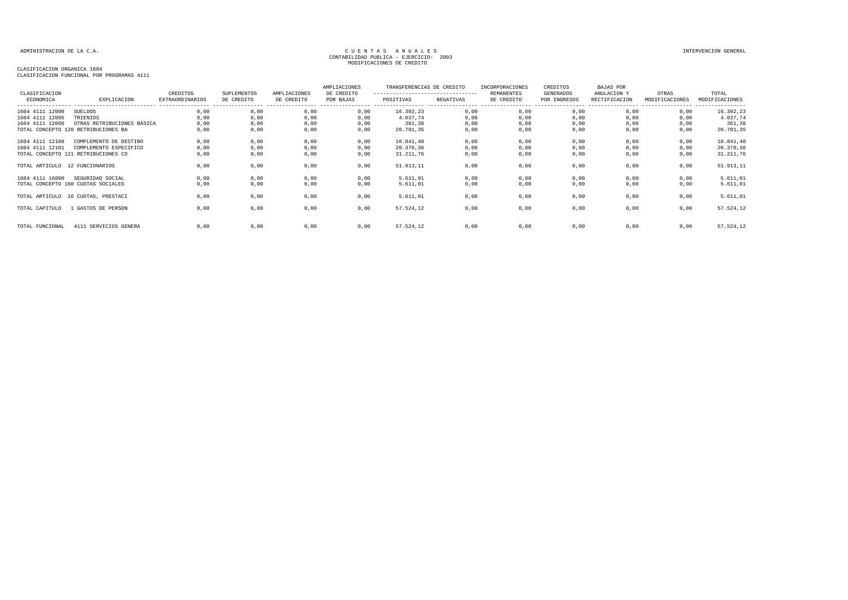| CLASIFICACION<br>ECONOMICA                            | EXPLICACION                                                                              | CREDITOS<br><b>EXTRAORDINARIOS</b> | <b>SUPLEMENTOS</b><br>DE CREDITO | AMPLIACIONES<br>DE CREDITO   | AMPLIACIONES<br>DE CREDITO<br>POR BAJAS | TRANSFERENCIAS DE CREDITO<br>----------------------------------<br>POSITIVAS | NEGATIVAS                    | INCORPORACIONES<br>REMANENTES<br>DE CREDITO | CREDITOS<br>GENERADOS<br>POR INGRESOS | BAJAS POR<br>ANULACION Y<br>RECTIFICACION | OTRAS<br>MODIFICACIONES      | TOTAL<br>MODIFICACIONES<br>----------------  |
|-------------------------------------------------------|------------------------------------------------------------------------------------------|------------------------------------|----------------------------------|------------------------------|-----------------------------------------|------------------------------------------------------------------------------|------------------------------|---------------------------------------------|---------------------------------------|-------------------------------------------|------------------------------|----------------------------------------------|
| 1604 4111 12000<br>1604 4111 12005<br>1604 4111 12006 | SUELDOS<br>TRIENIOS<br>OTRAS RETRIBUCIONES BÁSICA<br>TOTAL CONCEPTO 120 RETRIBUCIONES BA | 0,00<br>0,00<br>0,00<br>0,00       | 0,00<br>0,00<br>0,00<br>0,00     | 0,00<br>0,00<br>0,00<br>0,00 | 0,00<br>0,00<br>0,00<br>0,00            | 16.302,23<br>4.037,74<br>361,38<br>20.701,35                                 | 0,00<br>0,00<br>0,00<br>0,00 | 0,00<br>0,00<br>0,00<br>0,00                | 0,00<br>0,00<br>0,00<br>0,00          | 0,00<br>0,00<br>0,00<br>0,00              | 0,00<br>0,00<br>0,00<br>0,00 | 16.302,23<br>4.037,74<br>361,38<br>20.701,35 |
| 1604 4111 12100<br>1604 4111 12101                    | COMPLEMENTO DE DESTINO<br>COMPLEMENTO ESPECIFICO<br>TOTAL CONCEPTO 121 RETRIBUCIONES CO  | 0,00<br>0,00<br>0,00               | 0.00<br>0,00<br>0,00             | 0.00<br>0,00<br>0,00         | 0.00<br>0,00<br>0,00                    | 10.841,40<br>20.370,36<br>31.211,76                                          | 0.00<br>0,00<br>0,00         | 0.00<br>0,00<br>0,00                        | 0,00<br>0,00<br>0,00                  | 0.00<br>0,00<br>0,00                      | 0.00<br>0,00<br>0,00         | 10.841,40<br>20.370,36<br>31.211,76          |
| TOTAL ARTICULO 12 FUNCIONARIOS<br>1604 4111 16000     | SEGURIDAD SOCIAL                                                                         | 0,00<br>0,00                       | 0,00<br>0,00                     | 0,00<br>0,00                 | 0,00<br>0,00                            | 51.913,11<br>5.611,01                                                        | 0,00<br>0,00                 | 0,00<br>0,00                                | 0,00<br>0,00                          | 0,00<br>0,00                              | 0,00<br>0,00                 | 51.913,11<br>5.611,01                        |
|                                                       | TOTAL CONCEPTO 160 CUOTAS SOCIALES<br>TOTAL ARTICULO 16 CUOTAS, PRESTACI                 | 0,00<br>0,00                       | 0,00<br>0,00                     | 0,00<br>0,00                 | 0,00<br>0,00                            | 5.611,01<br>5.611,01                                                         | 0,00<br>0,00                 | 0,00<br>0,00                                | 0,00<br>0,00                          | 0,00<br>0,00                              | 0,00<br>0,00                 | 5.611,01<br>5.611,01                         |
| TOTAL CAPITULO                                        | 1 GASTOS DE PERSON                                                                       | 0.00                               | 0,00                             | 0,00                         | 0,00                                    | 57.524,12                                                                    | 0,00                         | 0,00                                        | 0,00                                  | 0,00                                      | 0,00                         | 57.524,12                                    |
| TOTAL FUNCIONAL                                       | 4111 SERVICIOS GENERA                                                                    | 0.00                               | 0,00                             | 0,00                         | 0,00                                    | 57.524,12                                                                    | 0,00                         | 0,00                                        | 0,00                                  | 0,00                                      | 0,00                         | 57.524,12                                    |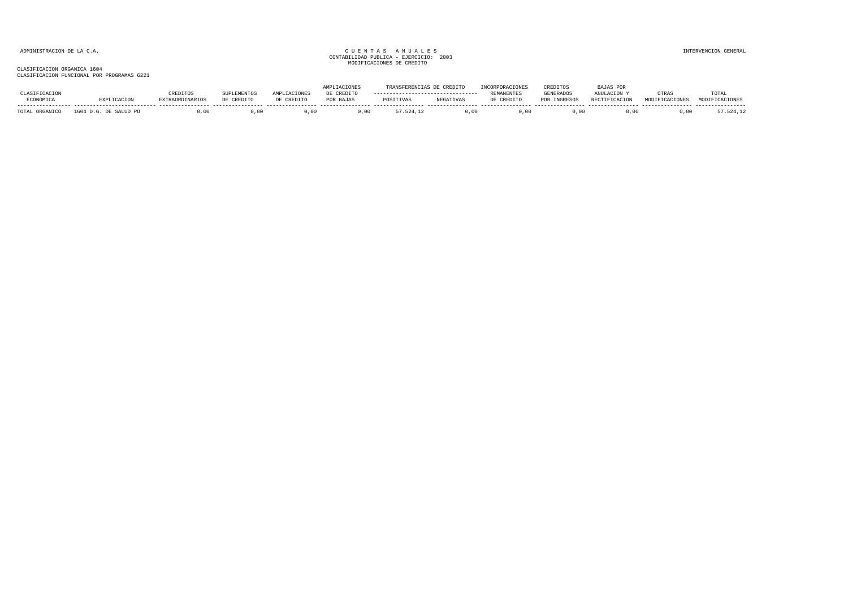|                |                       |                        |             |              | <b>AMPLIACIONES</b> | TRANSFERENCIAS DE CREDITO |           | INCORPORACIONES   | CREDITOS     | <b>BAJAS POR</b> |                |                |
|----------------|-----------------------|------------------------|-------------|--------------|---------------------|---------------------------|-----------|-------------------|--------------|------------------|----------------|----------------|
| CLASIFICACION  |                       | <b>CREDITOS</b>        | SUPLEMENTOS | AMPLIACIONES | DE CREDITO          |                           |           | <b>REMANENTES</b> | GENERADOS    | ANULACION Y      | OTRAS          | TOTAL          |
| ECONOMICA      | EXPLICACION           | <b>EXTRAORDINARIOS</b> | DE CREDITO  | DE CREDITO   | POR BAJAS           | POSITIVAS                 | NEGATIVAS | DE CREDITO        | POR INGRESOS | RECTIFICACION    | MODIFICACIONES | MODIFICACIONES |
| TOTAL ORGANICO | 1604 D.G. DE SALUD PÚ |                        | .00.        | .00          | .00                 | .524.12                   | .00       | 0.00              | 0.00         | J.00             | J.OC           | 7.524.12       |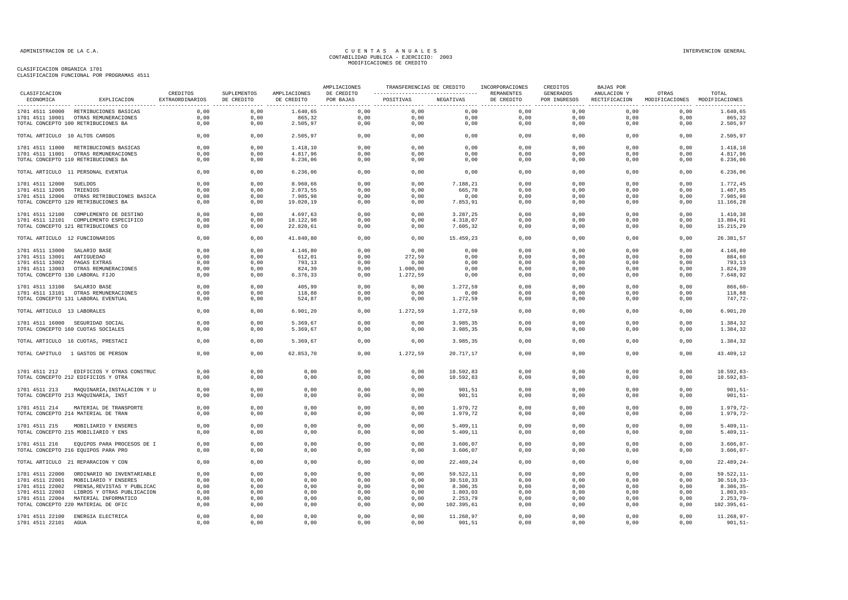| CLASIFICACION                   |                                                               | CREDITOS        | SUPLEMENTOS  | AMPLIACIONES | AMPLIACIONES<br>DE CREDITO | TRANSFERENCIAS DE CREDITO |                      | INCORPORACIONES<br>REMANENTES | CREDITOS<br>GENERADOS | <b>BAJAS POR</b><br>ANULACION Y | OTRAS                         | TOTAL                        |
|---------------------------------|---------------------------------------------------------------|-----------------|--------------|--------------|----------------------------|---------------------------|----------------------|-------------------------------|-----------------------|---------------------------------|-------------------------------|------------------------------|
| ECONOMICA                       | EXPLICACION                                                   | EXTRAORDINARIOS | DE CREDITO   | DE CREDITO   | POR BAJAS                  | POSITIVAS                 | NEGATIVAS            | DE CREDITO                    | POR INGRESOS          | RECTIFICACION                   | MODIFICACIONES MODIFICACIONES |                              |
|                                 | 1701 4511 10000 RETRIBUCIONES BASICAS                         | 0.00            | 0.00         | 1.640.65     | 0.00                       | 0.00                      | 0.00                 | 0.00                          | 0.00                  | 0.00                            | 0.00                          | 1.640.65                     |
|                                 | 1701 4511 10001 OTRAS REMUNERACIONES                          | 0,00            | 0,00         | 865,32       | 0,00                       | 0,00                      | 0,00                 | 0,00                          | 0,00                  | 0,00                            | 0,00                          | 865,32                       |
|                                 | TOTAL CONCEPTO 100 RETRIBUCIONES BA                           | 0,00            | 0,00         | 2.505,97     | 0,00                       | 0,00                      | 0,00                 | 0,00                          | 0,00                  | 0,00                            | 0,00                          | 2.505,97                     |
| TOTAL ARTICULO 10 ALTOS CARGOS  |                                                               | 0,00            | 0,00         | 2.505,97     | 0,00                       | 0,00                      | 0,00                 | 0,00                          | 0,00                  | 0,00                            | 0,00                          | 2.505,97                     |
|                                 | 1701 4511 11000 RETRIBUCIONES BASICAS                         | 0,00            | 0,00         | 1.418,10     | 0,00                       | 0,00                      | 0,00                 | 0,00                          | 0,00                  | 0,00                            | 0,00                          | 1.418,10                     |
|                                 | 1701 4511 11001 OTRAS REMUNERACIONES                          | 0.00            | 0.00         | 4.817.96     | 0.00                       | 0.00                      | 0.00                 | 0.00                          | 0.00                  | 0.00                            | 0.00                          | 4.817,96                     |
|                                 | TOTAL CONCEPTO 110 RETRIBUCIONES BA                           | 0,00            | 0,00         | 6.236,06     | 0,00                       | 0,00                      | 0,00                 | 0,00                          | 0,00                  | 0,00                            | 0,00                          | 6.236,06                     |
|                                 | TOTAL ARTICULO 11 PERSONAL EVENTUA                            | 0,00            | 0,00         | 6.236,06     | 0,00                       | 0,00                      | 0,00                 | 0,00                          | 0,00                  | 0,00                            | 0,00                          | 6.236,06                     |
| 1701 4511 12000                 | SUELDOS                                                       | 0,00            | 0,00         | 8.960,66     | 0,00                       | 0,00                      | 7.188,21             | 0,00                          | 0,00                  | 0,00                            | 0,00                          | 1.772,45                     |
| 1701 4511 12005                 | TRIENIOS                                                      | 0,00            | 0,00         | 2.073,55     | 0,00                       | 0,00                      | 665,70               | 0,00                          | 0,00                  | 0,00                            | 0,00                          | 1.407,85                     |
|                                 | 1701 4511 12006 OTRAS RETRIBUCIONES BASICA                    | 0,00            | 0,00         | 7.985,98     | 0,00                       | 0,00                      | 0,00                 | 0,00                          | 0,00                  | 0,00                            | 0,00                          | 7.985,98                     |
|                                 | TOTAL CONCEPTO 120 RETRIBUCIONES BA                           | 0,00            | 0,00         | 19.020,19    | 0,00                       | 0,00                      | 7.853,91             | 0,00                          | 0,00                  | 0,00                            | 0,00                          | 11.166,28                    |
|                                 |                                                               |                 |              |              |                            |                           |                      |                               |                       |                                 |                               |                              |
|                                 | 1701 4511 12100 COMPLEMENTO DE DESTINO                        | 0.00            | 0.00         | 4.697.63     | 0,00                       | 0.00                      | 3.287,25             | 0.00                          | 0.00                  | 0.00                            | 0,00                          | 1.410,38                     |
|                                 | 1701 4511 12101 COMPLEMENTO ESPECIFICO                        | 0,00            | 0,00         | 18.122,98    | 0,00                       | 0,00                      | 4.318,07             | 0,00                          | 0,00                  | 0,00                            | 0,00                          | 13.804,91                    |
|                                 | TOTAL CONCEPTO 121 RETRIBUCIONES CO                           | 0,00            | 0,00         | 22.820,61    | 0,00                       | 0,00                      | 7.605,32             | 0,00                          | 0,00                  | 0,00                            | 0,00                          | 15.215,29                    |
| TOTAL ARTICULO 12 FUNCIONARIOS  |                                                               | 0,00            | 0,00         | 41.840,80    | 0,00                       | 0,00                      | 15.459,23            | 0,00                          | 0,00                  | 0,00                            | 0,00                          | 26.381,57                    |
| 1701 4511 13000 SALARIO BASE    |                                                               | 0,00            | 0,00         | 4.146,80     | 0,00                       | 0,00                      | 0,00                 | 0,00                          | 0,00                  | 0,00                            | 0,00                          | 4.146,80                     |
| 1701 4511 13001 ANTIGUEDAD      |                                                               | 0,00            | 0,00         | 612,01       | 0,00                       | 272,59                    | 0,00                 | 0,00                          | 0,00                  | 0,00                            | 0,00                          | 884,60                       |
| 1701 4511 13002 PAGAS EXTRAS    |                                                               | 0,00            | 0,00         | 793,13       | 0,00                       | 0,00                      | 0,00                 | 0,00                          | 0,00                  | 0,00                            | 0,00                          | 793,13                       |
|                                 | 1701 4511 13003 OTRAS REMUNERACIONES                          | 0,00            | 0,00         | 824,39       | 0,00                       | 1.000,00                  | 0,00                 | 0,00                          | 0,00                  | 0,00                            | 0,00                          | 1.824,39                     |
| TOTAL CONCEPTO 130 LABORAL FIJO |                                                               | 0,00            | 0,00         | 6.376,33     | 0,00                       | 1.272,59                  | 0,00                 | 0,00                          | 0,00                  | 0,00                            | 0,00                          | 7.648,92                     |
|                                 |                                                               |                 |              |              |                            |                           |                      |                               |                       |                                 |                               |                              |
| 1701 4511 13100 SALARIO BASE    |                                                               | 0,00            | 0,00         | 405,99       | 0,00                       | 0,00                      | 1.272,59             | 0,00                          | 0,00                  | 0,00                            | 0,00                          | $866, 60 -$                  |
|                                 | 1701 4511 13101 OTRAS REMUNERACIONES                          | 0,00            | 0,00         | 118,88       | 0,00                       | 0,00                      | 0,00                 | 0,00                          | 0,00                  | 0,00                            | 0,00                          | 118,88                       |
|                                 | TOTAL CONCEPTO 131 LABORAL EVENTUAL                           | 0,00            | 0,00         | 524,87       | 0,00                       | 0,00                      | 1.272,59             | 0,00                          | 0,00                  | 0,00                            | 0,00                          | 747,72-                      |
| TOTAL ARTICULO 13 LABORALES     |                                                               | 0,00            | 0,00         | 6.901, 20    | 0,00                       | 1.272,59                  | 1.272,59             | 0,00                          | 0,00                  | 0,00                            | 0,00                          | 6.901, 20                    |
|                                 | 1701 4511 16000 SEGURIDAD SOCIAL                              | 0,00            | 0,00         | 5.369,67     | 0,00                       | 0,00                      | 3.985,35             | 0,00                          | 0,00                  | 0,00                            | 0,00                          | 1.384,32                     |
|                                 | TOTAL CONCEPTO 160 CUOTAS SOCIALES                            | 0,00            | 0,00         | 5.369,67     | 0,00                       | 0,00                      | 3.985,35             | 0,00                          | 0,00                  | 0,00                            | 0,00                          | 1.384,32                     |
|                                 | TOTAL ARTICULO 16 CUOTAS, PRESTACI                            | 0.00            | 0,00         | 5.369,67     | 0,00                       | 0,00                      | 3.985,35             | 0,00                          | 0,00                  | 0,00                            | 0,00                          | 1.384,32                     |
|                                 | TOTAL CAPITULO 1 GASTOS DE PERSON                             | 0,00            | 0,00         | 62.853,70    | 0,00                       | 1.272,59                  | 20.717,17            | 0,00                          | 0,00                  | 0,00                            | 0,00                          | 43.409,12                    |
|                                 |                                                               |                 |              |              |                            |                           |                      |                               |                       |                                 |                               |                              |
| 1701 4511 212                   | EDIFICIOS Y OTRAS CONSTRUC                                    | 0,00            | 0,00         | 0,00         | 0,00                       | 0,00                      | 10.592,83            | 0,00                          | 0,00                  | 0,00                            | 0,00                          | $10.592,83-$                 |
|                                 | TOTAL CONCEPTO 212 EDIFICIOS Y OTRA                           | 0,00            | 0,00         | 0,00         | 0,00                       | 0,00                      | 10.592,83            | 0,00                          | 0,00                  | 0,00                            | 0,00                          | $10.592, 83 -$               |
| 1701 4511 213                   | MAQUINARIA, INSTALACION Y U                                   | 0.00            | 0,00         | 0,00         | 0,00                       | 0.00                      | 901,51               | 0,00                          | 0,00                  | 0.00                            | 0,00                          | $901, 51 -$                  |
|                                 | TOTAL CONCEPTO 213 MAQUINARIA, INST                           | 0,00            | 0,00         | 0,00         | 0,00                       | 0,00                      | 901,51               | 0,00                          | 0,00                  | 0,00                            | 0,00                          | $901, 51 -$                  |
|                                 |                                                               |                 |              |              |                            |                           |                      |                               |                       |                                 |                               |                              |
| 1701 4511 214                   | MATERIAL DE TRANSPORTE<br>TOTAL CONCEPTO 214 MATERIAL DE TRAN | 0,00<br>0,00    | 0,00<br>0,00 | 0,00<br>0,00 | 0,00<br>0,00               | 0,00<br>0,00              | 1.979,72<br>1.979,72 | 0,00<br>0,00                  | 0,00<br>0,00          | 0,00<br>0,00                    | 0,00<br>0,00                  | $1.979, 72-$<br>$1.979, 72-$ |
|                                 |                                                               |                 |              |              |                            |                           |                      |                               |                       |                                 |                               |                              |
| 1701 4511 215                   | MOBILIARIO Y ENSERES                                          | 0.00            | 0,00         | 0,00         | 0,00                       | 0,00                      | 5.409,11             | 0,00                          | 0,00                  | 0,00                            | 0,00                          | $5.409, 11-$                 |
|                                 | TOTAL CONCEPTO 215 MOBILIARIO Y ENS                           | 0,00            | 0,00         | 0,00         | 0,00                       | 0,00                      | 5.409,11             | 0,00                          | 0,00                  | 0,00                            | 0,00                          | $5.409, 11-$                 |
| 1701 4511 216                   | EQUIPOS PARA PROCESOS DE I                                    | 0.00            | 0.00         | 0.00         | 0,00                       | 0.00                      | 3.606,07             | 0.00                          | 0,00                  | 0.00                            | 0,00                          | $3.606,07-$                  |
|                                 | TOTAL CONCEPTO 216 EQUIPOS PARA PRO                           | 0,00            | 0,00         | 0,00         | 0,00                       | 0,00                      | 3.606,07             | 0,00                          | 0,00                  | 0,00                            | 0,00                          | $3.606,07-$                  |
|                                 |                                                               |                 |              |              |                            |                           |                      |                               |                       |                                 |                               |                              |
|                                 | TOTAL ARTICULO 21 REPARACION Y CON                            | 0,00            | 0,00         | 0,00         | 0,00                       | 0,00                      | 22.489,24            | 0,00                          | 0,00                  | 0,00                            | 0,00                          | $22.489, 24 -$               |
|                                 | 1701 4511 22000 ORDINARIO NO INVENTARIABLE                    | 0,00            | 0,00         | 0,00         | 0,00                       | 0,00                      | 59.522,11            | 0,00                          | 0,00                  | 0,00                            | 0,00                          | $59.522, 11-$                |
| 1701 4511 22001                 | MOBILIARIO Y ENSERES                                          | 0,00            | 0,00         | 0,00         | 0,00                       | 0,00                      | 30.510,33            | 0,00                          | 0,00                  | 0,00                            | 0,00                          | $30.510, 33 -$               |
| 1701 4511 22002                 | PRENSA, REVISTAS Y PUBLICAC                                   | 0,00            | 0,00         | 0,00         | 0,00                       | 0,00                      | 8.306,35             | 0,00                          | 0,00                  | 0,00                            | 0,00                          | $8.306, 35 -$                |
| 1701 4511 22003                 | LIBROS Y OTRAS PUBLICACION                                    | 0,00            | 0,00         | 0,00         | 0,00                       | 0,00                      | 1.803,03             | 0,00                          | 0,00                  | 0,00                            | 0,00                          | $1.803,03-$                  |
|                                 | 1701 4511 22004 MATERIAL INFORMATICO                          | 0,00            | 0,00         | 0,00         | 0,00                       | 0,00                      | 2.253,79             | 0,00                          | 0,00                  | 0,00                            | 0,00                          | $2.253,79-$                  |
|                                 | TOTAL CONCEPTO 220 MATERIAL DE OFIC                           | 0,00            | 0,00         | 0,00         | 0,00                       | 0,00                      | 102.395,61           | 0,00                          | 0,00                  | 0,00                            | 0,00                          | $102.395,61-$                |
|                                 | 1701 4511 22100 ENERGIA ELECTRICA                             | 0,00            | 0,00         | 0,00         | 0,00                       | 0,00                      | 11.268,97            | 0,00                          | 0,00                  | 0,00                            | 0,00                          | $11.268,97-$                 |
| 1701 4511 22101                 | AGUA                                                          | 0,00            | 0,00         | 0,00         | 0,00                       | 0,00                      | 901,51               | 0,00                          | 0,00                  | 0,00                            | 0,00                          | $901, 51 -$                  |
|                                 |                                                               |                 |              |              |                            |                           |                      |                               |                       |                                 |                               |                              |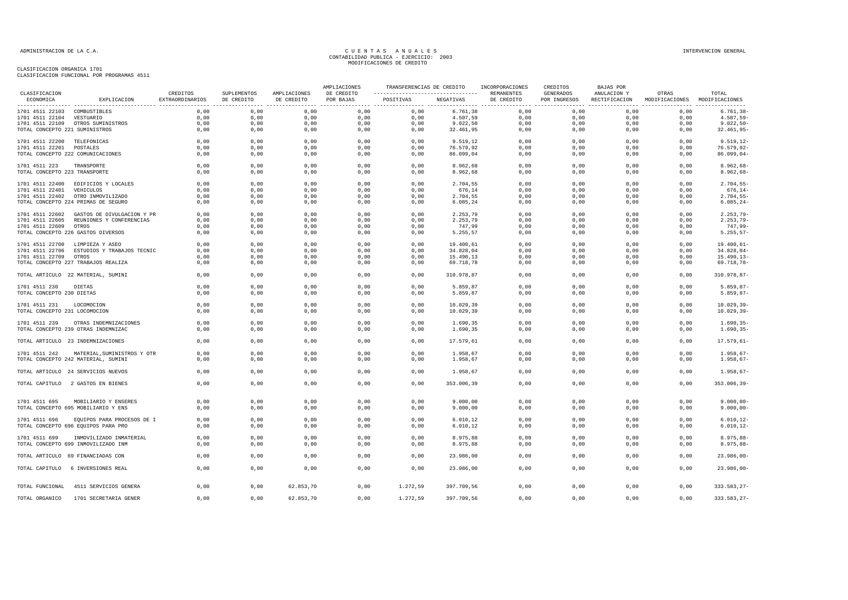| ----------------------------------<br>ECONOMICA<br>EXPLICACION<br><b>EXTRAORDINARIOS</b><br>DE CREDITO<br>DE CREDITO<br>POR BAJAS<br>POSITIVAS<br>NEGATIVAS<br>DE CREDITO<br>POR INGRESOS<br>RECTIFICACION<br>MODIFICACIONES MODIFICACIONES<br>0,00<br>0,00<br>0,00<br>0,00<br>0,00<br>0,00<br>0,00<br>$6.761, 38 -$<br>1701 4511 22103 COMBUSTIBLES<br>0,00<br>6.761,38<br>0,00<br>0.00<br>0.00<br>0.00<br>0,00<br>0.00<br>4.507,59<br>0.00<br>0.00<br>0.00<br>0,00<br>$4.507, 59 -$<br>1701 4511 22104 VESTUARIO<br>0,00<br>0,00<br>9.022, 50<br>0,00<br>0,00<br>0,00<br>$9.022, 50 -$<br>1701 4511 22109 OTROS SUMINISTROS<br>0,00<br>0,00<br>0,00<br>0,00<br>0,00<br>0,00<br>0,00<br>$32.461,95-$<br>TOTAL CONCEPTO 221 SUMINISTROS<br>0,00<br>0,00<br>0,00<br>32.461,95<br>0,00<br>0,00<br>0,00<br>0,00<br>0,00<br>0,00<br>0,00<br>0,00<br>0,00<br>0,00<br>0,00<br>0,00<br>$9.519, 12-$<br>1701 4511 22200 TELEFONICAS<br>9.519,12<br>0,00<br>0,00<br>$76.579, 92 -$<br>1701 4511 22201 POSTALES<br>0,00<br>0,00<br>0,00<br>0,00<br>0,00<br>76.579,92<br>0,00<br>0,00<br>TOTAL CONCEPTO 222 COMUNICACIONES<br>0.00<br>0.00<br>86.099,04<br>0.00<br>0.00<br>0,00<br>$86.099,04-$<br>0,00<br>0,00<br>0,00<br>0,00<br>0,00<br>0,00<br>0,00<br>0,00<br>0,00<br>$8.962, 68 -$<br>0,00<br>0,00<br>0,00<br>8.962,68<br>0,00<br>1701 4511 223<br>TRANSPORTE<br>TOTAL CONCEPTO 223 TRANSPORTE<br>0,00<br>0,00<br>0,00<br>$8.962,68-$<br>0,00<br>0,00<br>0,00<br>8.962,68<br>0,00<br>0,00<br>0,00<br>0,00<br>0,00<br>0,00<br>0,00<br>0,00<br>0,00<br>0,00<br>0,00<br>0,00<br>$2.704, 55 -$<br>1701 4511 22400<br>EDIFICIOS Y LOCALES<br>2.704,55<br>1701 4511 22401 VEHICULOS<br>0,00<br>0,00<br>0,00<br>0,00<br>0,00<br>676,14<br>0,00<br>0,00<br>0,00<br>0,00<br>$676, 14-$<br>1701 4511 22402 OTRO INMOVILIZADO<br>0,00<br>0,00<br>0,00<br>0,00<br>0,00<br>2.704,55<br>0,00<br>0,00<br>0,00<br>0,00<br>$2.704, 55 -$<br>TOTAL CONCEPTO 224 PRIMAS DE SEGURO<br>6.085,24<br>0,00<br>$6.085, 24-$<br>0,00<br>0,00<br>0,00<br>0,00<br>0,00<br>0,00<br>0,00<br>0,00<br>1701 4511 22602 GASTOS DE DIVULGACION Y PR<br>0,00<br>0,00<br>0,00<br>0,00<br>0,00<br>0,00<br>0,00<br>0,00<br>0,00<br>$2.253,79-$<br>2.253,79<br>0,00<br>0,00<br>2.253,79<br>0,00<br>0,00<br>$2.253,79-$<br>1701 4511 22605 REUNIONES Y CONFERENCIAS<br>0,00<br>0,00<br>0,00<br>0,00<br>0,00<br>1701 4511 22609 OTROS<br>0,00<br>0,00<br>0,00<br>0,00<br>0,00<br>747,99<br>0,00<br>0,00<br>0,00<br>0,00<br>747,99-<br>TOTAL CONCEPTO 226 GASTOS DIVERSOS<br>0,00<br>0,00<br>0,00<br>0,00<br>0,00<br>5.255,57<br>0,00<br>0,00<br>0,00<br>0,00<br>$5.255, 57-$<br>0,00<br>0,00<br>0,00<br>0,00<br>0,00<br>0,00<br>19.400,61<br>0,00<br>0,00<br>0,00<br>$19.400,61 -$<br>1701 4511 22700 LIMPIEZA Y ASEO<br>0,00<br>0,00<br>0,00<br>$34.828,04-$<br>1701 4511 22706<br>ESTUDIOS Y TRABAJOS TECNIC<br>0,00<br>0,00<br>0,00<br>34.828,04<br>0,00<br>0,00<br>0,00<br>$15.490, 13 -$<br>1701 4511 22709 OTROS<br>0,00<br>0,00<br>0,00<br>0,00<br>0,00<br>15.490,13<br>0,00<br>0,00<br>0,00<br>0,00<br>TOTAL CONCEPTO 227 TRABAJOS REALIZA<br>0,00<br>0,00<br>0,00<br>0,00<br>0,00<br>69.718,78<br>0,00<br>0,00<br>0,00<br>0,00<br>$69.718,78-$<br>0,00<br>0,00<br>310.978,87-<br>0,00<br>0,00<br>0,00<br>0,00<br>310.978,87<br>0,00<br>0,00<br>0,00<br>TOTAL ARTICULO 22 MATERIAL, SUMINI<br>0,00<br>0,00<br>0,00<br>0,00<br>0,00<br>5.859,87<br>0,00<br>0,00<br>0,00<br>0,00<br>$5.859, 87 -$<br>1701 4511 230<br>DIETAS<br>TOTAL CONCEPTO 230 DIETAS<br>0,00<br>0,00<br>0,00<br>5.859,87<br>0,00<br>0,00<br>0,00<br>0,00<br>0,00<br>0,00<br>LOCOMOCION<br>0,00<br>0,00<br>0,00<br>0,00<br>0,00<br>10.029,39<br>0,00<br>0,00<br>0,00<br>0,00<br>1701 4511 231<br>TOTAL CONCEPTO 231 LOCOMOCION<br>0,00<br>0,00<br>0,00<br>0,00<br>0,00<br>10.029,39<br>0,00<br>0,00<br>0,00<br>0,00<br>0,00<br>0,00<br>0,00<br>0,00<br>0,00<br>0,00<br>0,00<br>0,00<br>0,00<br>1701 4511 239<br>OTRAS INDEMNIZACIONES<br>1.690,35<br>TOTAL CONCEPTO 239 OTRAS INDEMNIZAC<br>0,00<br>0,00<br>0,00<br>0,00<br>0,00<br>1.690,35<br>0,00<br>0,00<br>0,00<br>0,00<br>TOTAL ARTICULO 23 INDEMNIZACIONES<br>0,00<br>0,00<br>0,00<br>0,00<br>0,00<br>17.579,61<br>0,00<br>0,00<br>0,00<br>0,00<br>0,00<br>0,00<br>0,00<br>0,00<br>1.958,67<br>0,00<br>0,00<br>0,00<br>0,00<br>1701 4511 242<br>MATERIAL, SUMINISTROS Y OTR<br>0,00<br>TOTAL CONCEPTO 242 MATERIAL, SUMINI<br>0,00<br>0,00<br>0,00<br>0,00<br>0,00<br>1.958,67<br>0,00<br>0,00<br>0,00<br>0,00<br>0,00<br>TOTAL ARTICULO 24 SERVICIOS NUEVOS<br>0,00<br>0,00<br>0,00<br>0,00<br>1.958,67<br>0,00<br>0,00<br>0,00<br>0,00<br>0.00<br>0,00<br>0,00<br>0.00<br>0,00<br>0.00<br>TOTAL CAPITULO 2 GASTOS EN BIENES<br>0,00<br>353.006,39<br>0.00<br>0.00<br>1701 4511 695<br>MOBILIARIO Y ENSERES<br>0.00<br>0.00<br>0.00<br>0.00<br>0.00<br>9,000,00<br>0.00<br>0.00<br>0.00<br>0.00<br>9.000,00<br>TOTAL CONCEPTO 695 MOBILIARIO Y ENS<br>0,00<br>0,00<br>0,00<br>0,00<br>0,00<br>0,00<br>0,00<br>0,00<br>0,00<br>EQUIPOS PARA PROCESOS DE I<br>0,00<br>0,00<br>0,00<br>0,00<br>0,00<br>6.010, 12<br>0,00<br>0,00<br>0,00<br>0,00<br>1701 4511 696<br>TOTAL CONCEPTO 696 EQUIPOS PARA PRO<br>0,00<br>0,00<br>0,00<br>0,00<br>0,00<br>6.010, 12<br>0,00<br>0,00<br>0,00<br>0,00<br>INMOVILIZADO INMATERIAL<br>0,00<br>0,00<br>0,00<br>0,00<br>0,00<br>8.975,88<br>0,00<br>0,00<br>0,00<br>0,00<br>1701 4511 699<br>TOTAL CONCEPTO 699 INMOVILIZADO INM<br>0,00<br>0,00<br>0,00<br>8.975,88<br>0,00<br>0,00<br>0,00<br>0,00<br>0,00<br>0,00<br>0,00<br>TOTAL ARTICULO 69 FINANCIADAS CON<br>0,00<br>0,00<br>0,00<br>0,00<br>0,00<br>23.986,00<br>0,00<br>0,00<br>0,00<br>0,00<br>0,00<br>0,00<br>0,00<br>23.986,00<br>0,00<br>0,00<br>0,00<br>0,00<br>TOTAL CAPITULO 6 INVERSIONES REAL<br>0,00<br>4511 SERVICIOS GENERA<br>0,00<br>0,00<br>62.853,70<br>0,00<br>1.272,59<br>397.709,56<br>0,00<br>0,00<br>0,00<br>0,00<br>TOTAL FUNCIONAL<br>TOTAL ORGANICO<br>1701 SECRETARIA GENER<br>0.00<br>0.00<br>62.853.70<br>0.00<br>1.272.59<br>397.709.56<br>0.00<br>0.00<br>0.00<br>0.00 | CLASIFICACION |          |             |              | AMPLIACIONES | TRANSFERENCIAS DE CREDITO | INCORPORACIONES | CREDITOS  | <b>BAJAS POR</b> |       |               |
|-----------------------------------------------------------------------------------------------------------------------------------------------------------------------------------------------------------------------------------------------------------------------------------------------------------------------------------------------------------------------------------------------------------------------------------------------------------------------------------------------------------------------------------------------------------------------------------------------------------------------------------------------------------------------------------------------------------------------------------------------------------------------------------------------------------------------------------------------------------------------------------------------------------------------------------------------------------------------------------------------------------------------------------------------------------------------------------------------------------------------------------------------------------------------------------------------------------------------------------------------------------------------------------------------------------------------------------------------------------------------------------------------------------------------------------------------------------------------------------------------------------------------------------------------------------------------------------------------------------------------------------------------------------------------------------------------------------------------------------------------------------------------------------------------------------------------------------------------------------------------------------------------------------------------------------------------------------------------------------------------------------------------------------------------------------------------------------------------------------------------------------------------------------------------------------------------------------------------------------------------------------------------------------------------------------------------------------------------------------------------------------------------------------------------------------------------------------------------------------------------------------------------------------------------------------------------------------------------------------------------------------------------------------------------------------------------------------------------------------------------------------------------------------------------------------------------------------------------------------------------------------------------------------------------------------------------------------------------------------------------------------------------------------------------------------------------------------------------------------------------------------------------------------------------------------------------------------------------------------------------------------------------------------------------------------------------------------------------------------------------------------------------------------------------------------------------------------------------------------------------------------------------------------------------------------------------------------------------------------------------------------------------------------------------------------------------------------------------------------------------------------------------------------------------------------------------------------------------------------------------------------------------------------------------------------------------------------------------------------------------------------------------------------------------------------------------------------------------------------------------------------------------------------------------------------------------------------------------------------------------------------------------------------------------------------------------------------------------------------------------------------------------------------------------------------------------------------------------------------------------------------------------------------------------------------------------------------------------------------------------------------------------------------------------------------------------------------------------------------------------------------------------------------------------------------------------------------------------------------------------------------------------------------------------------------------------------------------------------------------------------------------------------------------------------------------------------------------------------------------------------------------------------------------------------------------------------------------------------------------------------------------------------------------------------------------------------------------------------------------------------------------------------------------------------------------------------------------------------------------------------------------------------------------------------------------------------------------------------------------------------------------------------------------------------------------------------------------------------------------------------------------------------------------------------------------------------------------------------------------------------------------------------------------------------------------------------------------------------------------------------------------------------------------------------------------------------------|---------------|----------|-------------|--------------|--------------|---------------------------|-----------------|-----------|------------------|-------|---------------|
|                                                                                                                                                                                                                                                                                                                                                                                                                                                                                                                                                                                                                                                                                                                                                                                                                                                                                                                                                                                                                                                                                                                                                                                                                                                                                                                                                                                                                                                                                                                                                                                                                                                                                                                                                                                                                                                                                                                                                                                                                                                                                                                                                                                                                                                                                                                                                                                                                                                                                                                                                                                                                                                                                                                                                                                                                                                                                                                                                                                                                                                                                                                                                                                                                                                                                                                                                                                                                                                                                                                                                                                                                                                                                                                                                                                                                                                                                                                                                                                                                                                                                                                                                                                                                                                                                                                                                                                                                                                                                                                                                                                                                                                                                                                                                                                                                                                                                                                                                                                                                                                                                                                                                                                                                                                                                                                                                                                                                                                                                                                                                                                                                                                                                                                                                                                                                                                                                                                                                                                                                                                                                   |               | CREDITOS | SUPLEMENTOS | AMPLIACIONES | DE CREDITO   |                           | REMANENTES      | GENERADOS | ANULACION Y      | OTRAS | TOTAL         |
|                                                                                                                                                                                                                                                                                                                                                                                                                                                                                                                                                                                                                                                                                                                                                                                                                                                                                                                                                                                                                                                                                                                                                                                                                                                                                                                                                                                                                                                                                                                                                                                                                                                                                                                                                                                                                                                                                                                                                                                                                                                                                                                                                                                                                                                                                                                                                                                                                                                                                                                                                                                                                                                                                                                                                                                                                                                                                                                                                                                                                                                                                                                                                                                                                                                                                                                                                                                                                                                                                                                                                                                                                                                                                                                                                                                                                                                                                                                                                                                                                                                                                                                                                                                                                                                                                                                                                                                                                                                                                                                                                                                                                                                                                                                                                                                                                                                                                                                                                                                                                                                                                                                                                                                                                                                                                                                                                                                                                                                                                                                                                                                                                                                                                                                                                                                                                                                                                                                                                                                                                                                                                   |               |          |             |              |              |                           |                 |           |                  |       |               |
|                                                                                                                                                                                                                                                                                                                                                                                                                                                                                                                                                                                                                                                                                                                                                                                                                                                                                                                                                                                                                                                                                                                                                                                                                                                                                                                                                                                                                                                                                                                                                                                                                                                                                                                                                                                                                                                                                                                                                                                                                                                                                                                                                                                                                                                                                                                                                                                                                                                                                                                                                                                                                                                                                                                                                                                                                                                                                                                                                                                                                                                                                                                                                                                                                                                                                                                                                                                                                                                                                                                                                                                                                                                                                                                                                                                                                                                                                                                                                                                                                                                                                                                                                                                                                                                                                                                                                                                                                                                                                                                                                                                                                                                                                                                                                                                                                                                                                                                                                                                                                                                                                                                                                                                                                                                                                                                                                                                                                                                                                                                                                                                                                                                                                                                                                                                                                                                                                                                                                                                                                                                                                   |               |          |             |              |              |                           |                 |           |                  |       |               |
|                                                                                                                                                                                                                                                                                                                                                                                                                                                                                                                                                                                                                                                                                                                                                                                                                                                                                                                                                                                                                                                                                                                                                                                                                                                                                                                                                                                                                                                                                                                                                                                                                                                                                                                                                                                                                                                                                                                                                                                                                                                                                                                                                                                                                                                                                                                                                                                                                                                                                                                                                                                                                                                                                                                                                                                                                                                                                                                                                                                                                                                                                                                                                                                                                                                                                                                                                                                                                                                                                                                                                                                                                                                                                                                                                                                                                                                                                                                                                                                                                                                                                                                                                                                                                                                                                                                                                                                                                                                                                                                                                                                                                                                                                                                                                                                                                                                                                                                                                                                                                                                                                                                                                                                                                                                                                                                                                                                                                                                                                                                                                                                                                                                                                                                                                                                                                                                                                                                                                                                                                                                                                   |               |          |             |              |              |                           |                 |           |                  |       |               |
|                                                                                                                                                                                                                                                                                                                                                                                                                                                                                                                                                                                                                                                                                                                                                                                                                                                                                                                                                                                                                                                                                                                                                                                                                                                                                                                                                                                                                                                                                                                                                                                                                                                                                                                                                                                                                                                                                                                                                                                                                                                                                                                                                                                                                                                                                                                                                                                                                                                                                                                                                                                                                                                                                                                                                                                                                                                                                                                                                                                                                                                                                                                                                                                                                                                                                                                                                                                                                                                                                                                                                                                                                                                                                                                                                                                                                                                                                                                                                                                                                                                                                                                                                                                                                                                                                                                                                                                                                                                                                                                                                                                                                                                                                                                                                                                                                                                                                                                                                                                                                                                                                                                                                                                                                                                                                                                                                                                                                                                                                                                                                                                                                                                                                                                                                                                                                                                                                                                                                                                                                                                                                   |               |          |             |              |              |                           |                 |           |                  |       |               |
|                                                                                                                                                                                                                                                                                                                                                                                                                                                                                                                                                                                                                                                                                                                                                                                                                                                                                                                                                                                                                                                                                                                                                                                                                                                                                                                                                                                                                                                                                                                                                                                                                                                                                                                                                                                                                                                                                                                                                                                                                                                                                                                                                                                                                                                                                                                                                                                                                                                                                                                                                                                                                                                                                                                                                                                                                                                                                                                                                                                                                                                                                                                                                                                                                                                                                                                                                                                                                                                                                                                                                                                                                                                                                                                                                                                                                                                                                                                                                                                                                                                                                                                                                                                                                                                                                                                                                                                                                                                                                                                                                                                                                                                                                                                                                                                                                                                                                                                                                                                                                                                                                                                                                                                                                                                                                                                                                                                                                                                                                                                                                                                                                                                                                                                                                                                                                                                                                                                                                                                                                                                                                   |               |          |             |              |              |                           |                 |           |                  |       |               |
|                                                                                                                                                                                                                                                                                                                                                                                                                                                                                                                                                                                                                                                                                                                                                                                                                                                                                                                                                                                                                                                                                                                                                                                                                                                                                                                                                                                                                                                                                                                                                                                                                                                                                                                                                                                                                                                                                                                                                                                                                                                                                                                                                                                                                                                                                                                                                                                                                                                                                                                                                                                                                                                                                                                                                                                                                                                                                                                                                                                                                                                                                                                                                                                                                                                                                                                                                                                                                                                                                                                                                                                                                                                                                                                                                                                                                                                                                                                                                                                                                                                                                                                                                                                                                                                                                                                                                                                                                                                                                                                                                                                                                                                                                                                                                                                                                                                                                                                                                                                                                                                                                                                                                                                                                                                                                                                                                                                                                                                                                                                                                                                                                                                                                                                                                                                                                                                                                                                                                                                                                                                                                   |               |          |             |              |              |                           |                 |           |                  |       |               |
|                                                                                                                                                                                                                                                                                                                                                                                                                                                                                                                                                                                                                                                                                                                                                                                                                                                                                                                                                                                                                                                                                                                                                                                                                                                                                                                                                                                                                                                                                                                                                                                                                                                                                                                                                                                                                                                                                                                                                                                                                                                                                                                                                                                                                                                                                                                                                                                                                                                                                                                                                                                                                                                                                                                                                                                                                                                                                                                                                                                                                                                                                                                                                                                                                                                                                                                                                                                                                                                                                                                                                                                                                                                                                                                                                                                                                                                                                                                                                                                                                                                                                                                                                                                                                                                                                                                                                                                                                                                                                                                                                                                                                                                                                                                                                                                                                                                                                                                                                                                                                                                                                                                                                                                                                                                                                                                                                                                                                                                                                                                                                                                                                                                                                                                                                                                                                                                                                                                                                                                                                                                                                   |               |          |             |              |              |                           |                 |           |                  |       |               |
|                                                                                                                                                                                                                                                                                                                                                                                                                                                                                                                                                                                                                                                                                                                                                                                                                                                                                                                                                                                                                                                                                                                                                                                                                                                                                                                                                                                                                                                                                                                                                                                                                                                                                                                                                                                                                                                                                                                                                                                                                                                                                                                                                                                                                                                                                                                                                                                                                                                                                                                                                                                                                                                                                                                                                                                                                                                                                                                                                                                                                                                                                                                                                                                                                                                                                                                                                                                                                                                                                                                                                                                                                                                                                                                                                                                                                                                                                                                                                                                                                                                                                                                                                                                                                                                                                                                                                                                                                                                                                                                                                                                                                                                                                                                                                                                                                                                                                                                                                                                                                                                                                                                                                                                                                                                                                                                                                                                                                                                                                                                                                                                                                                                                                                                                                                                                                                                                                                                                                                                                                                                                                   |               |          |             |              |              |                           |                 |           |                  |       |               |
|                                                                                                                                                                                                                                                                                                                                                                                                                                                                                                                                                                                                                                                                                                                                                                                                                                                                                                                                                                                                                                                                                                                                                                                                                                                                                                                                                                                                                                                                                                                                                                                                                                                                                                                                                                                                                                                                                                                                                                                                                                                                                                                                                                                                                                                                                                                                                                                                                                                                                                                                                                                                                                                                                                                                                                                                                                                                                                                                                                                                                                                                                                                                                                                                                                                                                                                                                                                                                                                                                                                                                                                                                                                                                                                                                                                                                                                                                                                                                                                                                                                                                                                                                                                                                                                                                                                                                                                                                                                                                                                                                                                                                                                                                                                                                                                                                                                                                                                                                                                                                                                                                                                                                                                                                                                                                                                                                                                                                                                                                                                                                                                                                                                                                                                                                                                                                                                                                                                                                                                                                                                                                   |               |          |             |              |              |                           |                 |           |                  |       |               |
|                                                                                                                                                                                                                                                                                                                                                                                                                                                                                                                                                                                                                                                                                                                                                                                                                                                                                                                                                                                                                                                                                                                                                                                                                                                                                                                                                                                                                                                                                                                                                                                                                                                                                                                                                                                                                                                                                                                                                                                                                                                                                                                                                                                                                                                                                                                                                                                                                                                                                                                                                                                                                                                                                                                                                                                                                                                                                                                                                                                                                                                                                                                                                                                                                                                                                                                                                                                                                                                                                                                                                                                                                                                                                                                                                                                                                                                                                                                                                                                                                                                                                                                                                                                                                                                                                                                                                                                                                                                                                                                                                                                                                                                                                                                                                                                                                                                                                                                                                                                                                                                                                                                                                                                                                                                                                                                                                                                                                                                                                                                                                                                                                                                                                                                                                                                                                                                                                                                                                                                                                                                                                   |               |          |             |              |              |                           |                 |           |                  |       |               |
|                                                                                                                                                                                                                                                                                                                                                                                                                                                                                                                                                                                                                                                                                                                                                                                                                                                                                                                                                                                                                                                                                                                                                                                                                                                                                                                                                                                                                                                                                                                                                                                                                                                                                                                                                                                                                                                                                                                                                                                                                                                                                                                                                                                                                                                                                                                                                                                                                                                                                                                                                                                                                                                                                                                                                                                                                                                                                                                                                                                                                                                                                                                                                                                                                                                                                                                                                                                                                                                                                                                                                                                                                                                                                                                                                                                                                                                                                                                                                                                                                                                                                                                                                                                                                                                                                                                                                                                                                                                                                                                                                                                                                                                                                                                                                                                                                                                                                                                                                                                                                                                                                                                                                                                                                                                                                                                                                                                                                                                                                                                                                                                                                                                                                                                                                                                                                                                                                                                                                                                                                                                                                   |               |          |             |              |              |                           |                 |           |                  |       |               |
|                                                                                                                                                                                                                                                                                                                                                                                                                                                                                                                                                                                                                                                                                                                                                                                                                                                                                                                                                                                                                                                                                                                                                                                                                                                                                                                                                                                                                                                                                                                                                                                                                                                                                                                                                                                                                                                                                                                                                                                                                                                                                                                                                                                                                                                                                                                                                                                                                                                                                                                                                                                                                                                                                                                                                                                                                                                                                                                                                                                                                                                                                                                                                                                                                                                                                                                                                                                                                                                                                                                                                                                                                                                                                                                                                                                                                                                                                                                                                                                                                                                                                                                                                                                                                                                                                                                                                                                                                                                                                                                                                                                                                                                                                                                                                                                                                                                                                                                                                                                                                                                                                                                                                                                                                                                                                                                                                                                                                                                                                                                                                                                                                                                                                                                                                                                                                                                                                                                                                                                                                                                                                   |               |          |             |              |              |                           |                 |           |                  |       |               |
|                                                                                                                                                                                                                                                                                                                                                                                                                                                                                                                                                                                                                                                                                                                                                                                                                                                                                                                                                                                                                                                                                                                                                                                                                                                                                                                                                                                                                                                                                                                                                                                                                                                                                                                                                                                                                                                                                                                                                                                                                                                                                                                                                                                                                                                                                                                                                                                                                                                                                                                                                                                                                                                                                                                                                                                                                                                                                                                                                                                                                                                                                                                                                                                                                                                                                                                                                                                                                                                                                                                                                                                                                                                                                                                                                                                                                                                                                                                                                                                                                                                                                                                                                                                                                                                                                                                                                                                                                                                                                                                                                                                                                                                                                                                                                                                                                                                                                                                                                                                                                                                                                                                                                                                                                                                                                                                                                                                                                                                                                                                                                                                                                                                                                                                                                                                                                                                                                                                                                                                                                                                                                   |               |          |             |              |              |                           |                 |           |                  |       |               |
|                                                                                                                                                                                                                                                                                                                                                                                                                                                                                                                                                                                                                                                                                                                                                                                                                                                                                                                                                                                                                                                                                                                                                                                                                                                                                                                                                                                                                                                                                                                                                                                                                                                                                                                                                                                                                                                                                                                                                                                                                                                                                                                                                                                                                                                                                                                                                                                                                                                                                                                                                                                                                                                                                                                                                                                                                                                                                                                                                                                                                                                                                                                                                                                                                                                                                                                                                                                                                                                                                                                                                                                                                                                                                                                                                                                                                                                                                                                                                                                                                                                                                                                                                                                                                                                                                                                                                                                                                                                                                                                                                                                                                                                                                                                                                                                                                                                                                                                                                                                                                                                                                                                                                                                                                                                                                                                                                                                                                                                                                                                                                                                                                                                                                                                                                                                                                                                                                                                                                                                                                                                                                   |               |          |             |              |              |                           |                 |           |                  |       |               |
|                                                                                                                                                                                                                                                                                                                                                                                                                                                                                                                                                                                                                                                                                                                                                                                                                                                                                                                                                                                                                                                                                                                                                                                                                                                                                                                                                                                                                                                                                                                                                                                                                                                                                                                                                                                                                                                                                                                                                                                                                                                                                                                                                                                                                                                                                                                                                                                                                                                                                                                                                                                                                                                                                                                                                                                                                                                                                                                                                                                                                                                                                                                                                                                                                                                                                                                                                                                                                                                                                                                                                                                                                                                                                                                                                                                                                                                                                                                                                                                                                                                                                                                                                                                                                                                                                                                                                                                                                                                                                                                                                                                                                                                                                                                                                                                                                                                                                                                                                                                                                                                                                                                                                                                                                                                                                                                                                                                                                                                                                                                                                                                                                                                                                                                                                                                                                                                                                                                                                                                                                                                                                   |               |          |             |              |              |                           |                 |           |                  |       |               |
|                                                                                                                                                                                                                                                                                                                                                                                                                                                                                                                                                                                                                                                                                                                                                                                                                                                                                                                                                                                                                                                                                                                                                                                                                                                                                                                                                                                                                                                                                                                                                                                                                                                                                                                                                                                                                                                                                                                                                                                                                                                                                                                                                                                                                                                                                                                                                                                                                                                                                                                                                                                                                                                                                                                                                                                                                                                                                                                                                                                                                                                                                                                                                                                                                                                                                                                                                                                                                                                                                                                                                                                                                                                                                                                                                                                                                                                                                                                                                                                                                                                                                                                                                                                                                                                                                                                                                                                                                                                                                                                                                                                                                                                                                                                                                                                                                                                                                                                                                                                                                                                                                                                                                                                                                                                                                                                                                                                                                                                                                                                                                                                                                                                                                                                                                                                                                                                                                                                                                                                                                                                                                   |               |          |             |              |              |                           |                 |           |                  |       |               |
|                                                                                                                                                                                                                                                                                                                                                                                                                                                                                                                                                                                                                                                                                                                                                                                                                                                                                                                                                                                                                                                                                                                                                                                                                                                                                                                                                                                                                                                                                                                                                                                                                                                                                                                                                                                                                                                                                                                                                                                                                                                                                                                                                                                                                                                                                                                                                                                                                                                                                                                                                                                                                                                                                                                                                                                                                                                                                                                                                                                                                                                                                                                                                                                                                                                                                                                                                                                                                                                                                                                                                                                                                                                                                                                                                                                                                                                                                                                                                                                                                                                                                                                                                                                                                                                                                                                                                                                                                                                                                                                                                                                                                                                                                                                                                                                                                                                                                                                                                                                                                                                                                                                                                                                                                                                                                                                                                                                                                                                                                                                                                                                                                                                                                                                                                                                                                                                                                                                                                                                                                                                                                   |               |          |             |              |              |                           |                 |           |                  |       |               |
|                                                                                                                                                                                                                                                                                                                                                                                                                                                                                                                                                                                                                                                                                                                                                                                                                                                                                                                                                                                                                                                                                                                                                                                                                                                                                                                                                                                                                                                                                                                                                                                                                                                                                                                                                                                                                                                                                                                                                                                                                                                                                                                                                                                                                                                                                                                                                                                                                                                                                                                                                                                                                                                                                                                                                                                                                                                                                                                                                                                                                                                                                                                                                                                                                                                                                                                                                                                                                                                                                                                                                                                                                                                                                                                                                                                                                                                                                                                                                                                                                                                                                                                                                                                                                                                                                                                                                                                                                                                                                                                                                                                                                                                                                                                                                                                                                                                                                                                                                                                                                                                                                                                                                                                                                                                                                                                                                                                                                                                                                                                                                                                                                                                                                                                                                                                                                                                                                                                                                                                                                                                                                   |               |          |             |              |              |                           |                 |           |                  |       |               |
|                                                                                                                                                                                                                                                                                                                                                                                                                                                                                                                                                                                                                                                                                                                                                                                                                                                                                                                                                                                                                                                                                                                                                                                                                                                                                                                                                                                                                                                                                                                                                                                                                                                                                                                                                                                                                                                                                                                                                                                                                                                                                                                                                                                                                                                                                                                                                                                                                                                                                                                                                                                                                                                                                                                                                                                                                                                                                                                                                                                                                                                                                                                                                                                                                                                                                                                                                                                                                                                                                                                                                                                                                                                                                                                                                                                                                                                                                                                                                                                                                                                                                                                                                                                                                                                                                                                                                                                                                                                                                                                                                                                                                                                                                                                                                                                                                                                                                                                                                                                                                                                                                                                                                                                                                                                                                                                                                                                                                                                                                                                                                                                                                                                                                                                                                                                                                                                                                                                                                                                                                                                                                   |               |          |             |              |              |                           |                 |           |                  |       |               |
|                                                                                                                                                                                                                                                                                                                                                                                                                                                                                                                                                                                                                                                                                                                                                                                                                                                                                                                                                                                                                                                                                                                                                                                                                                                                                                                                                                                                                                                                                                                                                                                                                                                                                                                                                                                                                                                                                                                                                                                                                                                                                                                                                                                                                                                                                                                                                                                                                                                                                                                                                                                                                                                                                                                                                                                                                                                                                                                                                                                                                                                                                                                                                                                                                                                                                                                                                                                                                                                                                                                                                                                                                                                                                                                                                                                                                                                                                                                                                                                                                                                                                                                                                                                                                                                                                                                                                                                                                                                                                                                                                                                                                                                                                                                                                                                                                                                                                                                                                                                                                                                                                                                                                                                                                                                                                                                                                                                                                                                                                                                                                                                                                                                                                                                                                                                                                                                                                                                                                                                                                                                                                   |               |          |             |              |              |                           |                 |           |                  |       |               |
|                                                                                                                                                                                                                                                                                                                                                                                                                                                                                                                                                                                                                                                                                                                                                                                                                                                                                                                                                                                                                                                                                                                                                                                                                                                                                                                                                                                                                                                                                                                                                                                                                                                                                                                                                                                                                                                                                                                                                                                                                                                                                                                                                                                                                                                                                                                                                                                                                                                                                                                                                                                                                                                                                                                                                                                                                                                                                                                                                                                                                                                                                                                                                                                                                                                                                                                                                                                                                                                                                                                                                                                                                                                                                                                                                                                                                                                                                                                                                                                                                                                                                                                                                                                                                                                                                                                                                                                                                                                                                                                                                                                                                                                                                                                                                                                                                                                                                                                                                                                                                                                                                                                                                                                                                                                                                                                                                                                                                                                                                                                                                                                                                                                                                                                                                                                                                                                                                                                                                                                                                                                                                   |               |          |             |              |              |                           |                 |           |                  |       |               |
|                                                                                                                                                                                                                                                                                                                                                                                                                                                                                                                                                                                                                                                                                                                                                                                                                                                                                                                                                                                                                                                                                                                                                                                                                                                                                                                                                                                                                                                                                                                                                                                                                                                                                                                                                                                                                                                                                                                                                                                                                                                                                                                                                                                                                                                                                                                                                                                                                                                                                                                                                                                                                                                                                                                                                                                                                                                                                                                                                                                                                                                                                                                                                                                                                                                                                                                                                                                                                                                                                                                                                                                                                                                                                                                                                                                                                                                                                                                                                                                                                                                                                                                                                                                                                                                                                                                                                                                                                                                                                                                                                                                                                                                                                                                                                                                                                                                                                                                                                                                                                                                                                                                                                                                                                                                                                                                                                                                                                                                                                                                                                                                                                                                                                                                                                                                                                                                                                                                                                                                                                                                                                   |               |          |             |              |              |                           |                 |           |                  |       |               |
|                                                                                                                                                                                                                                                                                                                                                                                                                                                                                                                                                                                                                                                                                                                                                                                                                                                                                                                                                                                                                                                                                                                                                                                                                                                                                                                                                                                                                                                                                                                                                                                                                                                                                                                                                                                                                                                                                                                                                                                                                                                                                                                                                                                                                                                                                                                                                                                                                                                                                                                                                                                                                                                                                                                                                                                                                                                                                                                                                                                                                                                                                                                                                                                                                                                                                                                                                                                                                                                                                                                                                                                                                                                                                                                                                                                                                                                                                                                                                                                                                                                                                                                                                                                                                                                                                                                                                                                                                                                                                                                                                                                                                                                                                                                                                                                                                                                                                                                                                                                                                                                                                                                                                                                                                                                                                                                                                                                                                                                                                                                                                                                                                                                                                                                                                                                                                                                                                                                                                                                                                                                                                   |               |          |             |              |              |                           |                 |           |                  |       |               |
| $10.029, 39 -$<br>$10.029, 39 -$<br>$1.690, 35 -$<br>$1.690, 35 -$<br>$17.579.61 -$<br>$1.958,67-$<br>$1.958,67-$<br>$1.958,67-$<br>$353.006.39 -$<br>$9.000.00 -$<br>$9.000,00-$<br>$6.010, 12 -$<br>$6.010, 12 -$<br>$8.975, 88 -$<br>$8.975, 88 -$<br>$23.986,00 -$<br>$23.986,00 -$<br>$333.583, 27 -$<br>333.583,27-                                                                                                                                                                                                                                                                                                                                                                                                                                                                                                                                                                                                                                                                                                                                                                                                                                                                                                                                                                                                                                                                                                                                                                                                                                                                                                                                                                                                                                                                                                                                                                                                                                                                                                                                                                                                                                                                                                                                                                                                                                                                                                                                                                                                                                                                                                                                                                                                                                                                                                                                                                                                                                                                                                                                                                                                                                                                                                                                                                                                                                                                                                                                                                                                                                                                                                                                                                                                                                                                                                                                                                                                                                                                                                                                                                                                                                                                                                                                                                                                                                                                                                                                                                                                                                                                                                                                                                                                                                                                                                                                                                                                                                                                                                                                                                                                                                                                                                                                                                                                                                                                                                                                                                                                                                                                                                                                                                                                                                                                                                                                                                                                                                                                                                                                                         |               |          |             |              |              |                           |                 |           |                  |       | $5.859, 87 -$ |
|                                                                                                                                                                                                                                                                                                                                                                                                                                                                                                                                                                                                                                                                                                                                                                                                                                                                                                                                                                                                                                                                                                                                                                                                                                                                                                                                                                                                                                                                                                                                                                                                                                                                                                                                                                                                                                                                                                                                                                                                                                                                                                                                                                                                                                                                                                                                                                                                                                                                                                                                                                                                                                                                                                                                                                                                                                                                                                                                                                                                                                                                                                                                                                                                                                                                                                                                                                                                                                                                                                                                                                                                                                                                                                                                                                                                                                                                                                                                                                                                                                                                                                                                                                                                                                                                                                                                                                                                                                                                                                                                                                                                                                                                                                                                                                                                                                                                                                                                                                                                                                                                                                                                                                                                                                                                                                                                                                                                                                                                                                                                                                                                                                                                                                                                                                                                                                                                                                                                                                                                                                                                                   |               |          |             |              |              |                           |                 |           |                  |       |               |
|                                                                                                                                                                                                                                                                                                                                                                                                                                                                                                                                                                                                                                                                                                                                                                                                                                                                                                                                                                                                                                                                                                                                                                                                                                                                                                                                                                                                                                                                                                                                                                                                                                                                                                                                                                                                                                                                                                                                                                                                                                                                                                                                                                                                                                                                                                                                                                                                                                                                                                                                                                                                                                                                                                                                                                                                                                                                                                                                                                                                                                                                                                                                                                                                                                                                                                                                                                                                                                                                                                                                                                                                                                                                                                                                                                                                                                                                                                                                                                                                                                                                                                                                                                                                                                                                                                                                                                                                                                                                                                                                                                                                                                                                                                                                                                                                                                                                                                                                                                                                                                                                                                                                                                                                                                                                                                                                                                                                                                                                                                                                                                                                                                                                                                                                                                                                                                                                                                                                                                                                                                                                                   |               |          |             |              |              |                           |                 |           |                  |       |               |
|                                                                                                                                                                                                                                                                                                                                                                                                                                                                                                                                                                                                                                                                                                                                                                                                                                                                                                                                                                                                                                                                                                                                                                                                                                                                                                                                                                                                                                                                                                                                                                                                                                                                                                                                                                                                                                                                                                                                                                                                                                                                                                                                                                                                                                                                                                                                                                                                                                                                                                                                                                                                                                                                                                                                                                                                                                                                                                                                                                                                                                                                                                                                                                                                                                                                                                                                                                                                                                                                                                                                                                                                                                                                                                                                                                                                                                                                                                                                                                                                                                                                                                                                                                                                                                                                                                                                                                                                                                                                                                                                                                                                                                                                                                                                                                                                                                                                                                                                                                                                                                                                                                                                                                                                                                                                                                                                                                                                                                                                                                                                                                                                                                                                                                                                                                                                                                                                                                                                                                                                                                                                                   |               |          |             |              |              |                           |                 |           |                  |       |               |
|                                                                                                                                                                                                                                                                                                                                                                                                                                                                                                                                                                                                                                                                                                                                                                                                                                                                                                                                                                                                                                                                                                                                                                                                                                                                                                                                                                                                                                                                                                                                                                                                                                                                                                                                                                                                                                                                                                                                                                                                                                                                                                                                                                                                                                                                                                                                                                                                                                                                                                                                                                                                                                                                                                                                                                                                                                                                                                                                                                                                                                                                                                                                                                                                                                                                                                                                                                                                                                                                                                                                                                                                                                                                                                                                                                                                                                                                                                                                                                                                                                                                                                                                                                                                                                                                                                                                                                                                                                                                                                                                                                                                                                                                                                                                                                                                                                                                                                                                                                                                                                                                                                                                                                                                                                                                                                                                                                                                                                                                                                                                                                                                                                                                                                                                                                                                                                                                                                                                                                                                                                                                                   |               |          |             |              |              |                           |                 |           |                  |       |               |
|                                                                                                                                                                                                                                                                                                                                                                                                                                                                                                                                                                                                                                                                                                                                                                                                                                                                                                                                                                                                                                                                                                                                                                                                                                                                                                                                                                                                                                                                                                                                                                                                                                                                                                                                                                                                                                                                                                                                                                                                                                                                                                                                                                                                                                                                                                                                                                                                                                                                                                                                                                                                                                                                                                                                                                                                                                                                                                                                                                                                                                                                                                                                                                                                                                                                                                                                                                                                                                                                                                                                                                                                                                                                                                                                                                                                                                                                                                                                                                                                                                                                                                                                                                                                                                                                                                                                                                                                                                                                                                                                                                                                                                                                                                                                                                                                                                                                                                                                                                                                                                                                                                                                                                                                                                                                                                                                                                                                                                                                                                                                                                                                                                                                                                                                                                                                                                                                                                                                                                                                                                                                                   |               |          |             |              |              |                           |                 |           |                  |       |               |
|                                                                                                                                                                                                                                                                                                                                                                                                                                                                                                                                                                                                                                                                                                                                                                                                                                                                                                                                                                                                                                                                                                                                                                                                                                                                                                                                                                                                                                                                                                                                                                                                                                                                                                                                                                                                                                                                                                                                                                                                                                                                                                                                                                                                                                                                                                                                                                                                                                                                                                                                                                                                                                                                                                                                                                                                                                                                                                                                                                                                                                                                                                                                                                                                                                                                                                                                                                                                                                                                                                                                                                                                                                                                                                                                                                                                                                                                                                                                                                                                                                                                                                                                                                                                                                                                                                                                                                                                                                                                                                                                                                                                                                                                                                                                                                                                                                                                                                                                                                                                                                                                                                                                                                                                                                                                                                                                                                                                                                                                                                                                                                                                                                                                                                                                                                                                                                                                                                                                                                                                                                                                                   |               |          |             |              |              |                           |                 |           |                  |       |               |
|                                                                                                                                                                                                                                                                                                                                                                                                                                                                                                                                                                                                                                                                                                                                                                                                                                                                                                                                                                                                                                                                                                                                                                                                                                                                                                                                                                                                                                                                                                                                                                                                                                                                                                                                                                                                                                                                                                                                                                                                                                                                                                                                                                                                                                                                                                                                                                                                                                                                                                                                                                                                                                                                                                                                                                                                                                                                                                                                                                                                                                                                                                                                                                                                                                                                                                                                                                                                                                                                                                                                                                                                                                                                                                                                                                                                                                                                                                                                                                                                                                                                                                                                                                                                                                                                                                                                                                                                                                                                                                                                                                                                                                                                                                                                                                                                                                                                                                                                                                                                                                                                                                                                                                                                                                                                                                                                                                                                                                                                                                                                                                                                                                                                                                                                                                                                                                                                                                                                                                                                                                                                                   |               |          |             |              |              |                           |                 |           |                  |       |               |
|                                                                                                                                                                                                                                                                                                                                                                                                                                                                                                                                                                                                                                                                                                                                                                                                                                                                                                                                                                                                                                                                                                                                                                                                                                                                                                                                                                                                                                                                                                                                                                                                                                                                                                                                                                                                                                                                                                                                                                                                                                                                                                                                                                                                                                                                                                                                                                                                                                                                                                                                                                                                                                                                                                                                                                                                                                                                                                                                                                                                                                                                                                                                                                                                                                                                                                                                                                                                                                                                                                                                                                                                                                                                                                                                                                                                                                                                                                                                                                                                                                                                                                                                                                                                                                                                                                                                                                                                                                                                                                                                                                                                                                                                                                                                                                                                                                                                                                                                                                                                                                                                                                                                                                                                                                                                                                                                                                                                                                                                                                                                                                                                                                                                                                                                                                                                                                                                                                                                                                                                                                                                                   |               |          |             |              |              |                           |                 |           |                  |       |               |
|                                                                                                                                                                                                                                                                                                                                                                                                                                                                                                                                                                                                                                                                                                                                                                                                                                                                                                                                                                                                                                                                                                                                                                                                                                                                                                                                                                                                                                                                                                                                                                                                                                                                                                                                                                                                                                                                                                                                                                                                                                                                                                                                                                                                                                                                                                                                                                                                                                                                                                                                                                                                                                                                                                                                                                                                                                                                                                                                                                                                                                                                                                                                                                                                                                                                                                                                                                                                                                                                                                                                                                                                                                                                                                                                                                                                                                                                                                                                                                                                                                                                                                                                                                                                                                                                                                                                                                                                                                                                                                                                                                                                                                                                                                                                                                                                                                                                                                                                                                                                                                                                                                                                                                                                                                                                                                                                                                                                                                                                                                                                                                                                                                                                                                                                                                                                                                                                                                                                                                                                                                                                                   |               |          |             |              |              |                           |                 |           |                  |       |               |
|                                                                                                                                                                                                                                                                                                                                                                                                                                                                                                                                                                                                                                                                                                                                                                                                                                                                                                                                                                                                                                                                                                                                                                                                                                                                                                                                                                                                                                                                                                                                                                                                                                                                                                                                                                                                                                                                                                                                                                                                                                                                                                                                                                                                                                                                                                                                                                                                                                                                                                                                                                                                                                                                                                                                                                                                                                                                                                                                                                                                                                                                                                                                                                                                                                                                                                                                                                                                                                                                                                                                                                                                                                                                                                                                                                                                                                                                                                                                                                                                                                                                                                                                                                                                                                                                                                                                                                                                                                                                                                                                                                                                                                                                                                                                                                                                                                                                                                                                                                                                                                                                                                                                                                                                                                                                                                                                                                                                                                                                                                                                                                                                                                                                                                                                                                                                                                                                                                                                                                                                                                                                                   |               |          |             |              |              |                           |                 |           |                  |       |               |
|                                                                                                                                                                                                                                                                                                                                                                                                                                                                                                                                                                                                                                                                                                                                                                                                                                                                                                                                                                                                                                                                                                                                                                                                                                                                                                                                                                                                                                                                                                                                                                                                                                                                                                                                                                                                                                                                                                                                                                                                                                                                                                                                                                                                                                                                                                                                                                                                                                                                                                                                                                                                                                                                                                                                                                                                                                                                                                                                                                                                                                                                                                                                                                                                                                                                                                                                                                                                                                                                                                                                                                                                                                                                                                                                                                                                                                                                                                                                                                                                                                                                                                                                                                                                                                                                                                                                                                                                                                                                                                                                                                                                                                                                                                                                                                                                                                                                                                                                                                                                                                                                                                                                                                                                                                                                                                                                                                                                                                                                                                                                                                                                                                                                                                                                                                                                                                                                                                                                                                                                                                                                                   |               |          |             |              |              |                           |                 |           |                  |       |               |
|                                                                                                                                                                                                                                                                                                                                                                                                                                                                                                                                                                                                                                                                                                                                                                                                                                                                                                                                                                                                                                                                                                                                                                                                                                                                                                                                                                                                                                                                                                                                                                                                                                                                                                                                                                                                                                                                                                                                                                                                                                                                                                                                                                                                                                                                                                                                                                                                                                                                                                                                                                                                                                                                                                                                                                                                                                                                                                                                                                                                                                                                                                                                                                                                                                                                                                                                                                                                                                                                                                                                                                                                                                                                                                                                                                                                                                                                                                                                                                                                                                                                                                                                                                                                                                                                                                                                                                                                                                                                                                                                                                                                                                                                                                                                                                                                                                                                                                                                                                                                                                                                                                                                                                                                                                                                                                                                                                                                                                                                                                                                                                                                                                                                                                                                                                                                                                                                                                                                                                                                                                                                                   |               |          |             |              |              |                           |                 |           |                  |       |               |
|                                                                                                                                                                                                                                                                                                                                                                                                                                                                                                                                                                                                                                                                                                                                                                                                                                                                                                                                                                                                                                                                                                                                                                                                                                                                                                                                                                                                                                                                                                                                                                                                                                                                                                                                                                                                                                                                                                                                                                                                                                                                                                                                                                                                                                                                                                                                                                                                                                                                                                                                                                                                                                                                                                                                                                                                                                                                                                                                                                                                                                                                                                                                                                                                                                                                                                                                                                                                                                                                                                                                                                                                                                                                                                                                                                                                                                                                                                                                                                                                                                                                                                                                                                                                                                                                                                                                                                                                                                                                                                                                                                                                                                                                                                                                                                                                                                                                                                                                                                                                                                                                                                                                                                                                                                                                                                                                                                                                                                                                                                                                                                                                                                                                                                                                                                                                                                                                                                                                                                                                                                                                                   |               |          |             |              |              |                           |                 |           |                  |       |               |
|                                                                                                                                                                                                                                                                                                                                                                                                                                                                                                                                                                                                                                                                                                                                                                                                                                                                                                                                                                                                                                                                                                                                                                                                                                                                                                                                                                                                                                                                                                                                                                                                                                                                                                                                                                                                                                                                                                                                                                                                                                                                                                                                                                                                                                                                                                                                                                                                                                                                                                                                                                                                                                                                                                                                                                                                                                                                                                                                                                                                                                                                                                                                                                                                                                                                                                                                                                                                                                                                                                                                                                                                                                                                                                                                                                                                                                                                                                                                                                                                                                                                                                                                                                                                                                                                                                                                                                                                                                                                                                                                                                                                                                                                                                                                                                                                                                                                                                                                                                                                                                                                                                                                                                                                                                                                                                                                                                                                                                                                                                                                                                                                                                                                                                                                                                                                                                                                                                                                                                                                                                                                                   |               |          |             |              |              |                           |                 |           |                  |       |               |
|                                                                                                                                                                                                                                                                                                                                                                                                                                                                                                                                                                                                                                                                                                                                                                                                                                                                                                                                                                                                                                                                                                                                                                                                                                                                                                                                                                                                                                                                                                                                                                                                                                                                                                                                                                                                                                                                                                                                                                                                                                                                                                                                                                                                                                                                                                                                                                                                                                                                                                                                                                                                                                                                                                                                                                                                                                                                                                                                                                                                                                                                                                                                                                                                                                                                                                                                                                                                                                                                                                                                                                                                                                                                                                                                                                                                                                                                                                                                                                                                                                                                                                                                                                                                                                                                                                                                                                                                                                                                                                                                                                                                                                                                                                                                                                                                                                                                                                                                                                                                                                                                                                                                                                                                                                                                                                                                                                                                                                                                                                                                                                                                                                                                                                                                                                                                                                                                                                                                                                                                                                                                                   |               |          |             |              |              |                           |                 |           |                  |       |               |
|                                                                                                                                                                                                                                                                                                                                                                                                                                                                                                                                                                                                                                                                                                                                                                                                                                                                                                                                                                                                                                                                                                                                                                                                                                                                                                                                                                                                                                                                                                                                                                                                                                                                                                                                                                                                                                                                                                                                                                                                                                                                                                                                                                                                                                                                                                                                                                                                                                                                                                                                                                                                                                                                                                                                                                                                                                                                                                                                                                                                                                                                                                                                                                                                                                                                                                                                                                                                                                                                                                                                                                                                                                                                                                                                                                                                                                                                                                                                                                                                                                                                                                                                                                                                                                                                                                                                                                                                                                                                                                                                                                                                                                                                                                                                                                                                                                                                                                                                                                                                                                                                                                                                                                                                                                                                                                                                                                                                                                                                                                                                                                                                                                                                                                                                                                                                                                                                                                                                                                                                                                                                                   |               |          |             |              |              |                           |                 |           |                  |       |               |
|                                                                                                                                                                                                                                                                                                                                                                                                                                                                                                                                                                                                                                                                                                                                                                                                                                                                                                                                                                                                                                                                                                                                                                                                                                                                                                                                                                                                                                                                                                                                                                                                                                                                                                                                                                                                                                                                                                                                                                                                                                                                                                                                                                                                                                                                                                                                                                                                                                                                                                                                                                                                                                                                                                                                                                                                                                                                                                                                                                                                                                                                                                                                                                                                                                                                                                                                                                                                                                                                                                                                                                                                                                                                                                                                                                                                                                                                                                                                                                                                                                                                                                                                                                                                                                                                                                                                                                                                                                                                                                                                                                                                                                                                                                                                                                                                                                                                                                                                                                                                                                                                                                                                                                                                                                                                                                                                                                                                                                                                                                                                                                                                                                                                                                                                                                                                                                                                                                                                                                                                                                                                                   |               |          |             |              |              |                           |                 |           |                  |       |               |
|                                                                                                                                                                                                                                                                                                                                                                                                                                                                                                                                                                                                                                                                                                                                                                                                                                                                                                                                                                                                                                                                                                                                                                                                                                                                                                                                                                                                                                                                                                                                                                                                                                                                                                                                                                                                                                                                                                                                                                                                                                                                                                                                                                                                                                                                                                                                                                                                                                                                                                                                                                                                                                                                                                                                                                                                                                                                                                                                                                                                                                                                                                                                                                                                                                                                                                                                                                                                                                                                                                                                                                                                                                                                                                                                                                                                                                                                                                                                                                                                                                                                                                                                                                                                                                                                                                                                                                                                                                                                                                                                                                                                                                                                                                                                                                                                                                                                                                                                                                                                                                                                                                                                                                                                                                                                                                                                                                                                                                                                                                                                                                                                                                                                                                                                                                                                                                                                                                                                                                                                                                                                                   |               |          |             |              |              |                           |                 |           |                  |       |               |
|                                                                                                                                                                                                                                                                                                                                                                                                                                                                                                                                                                                                                                                                                                                                                                                                                                                                                                                                                                                                                                                                                                                                                                                                                                                                                                                                                                                                                                                                                                                                                                                                                                                                                                                                                                                                                                                                                                                                                                                                                                                                                                                                                                                                                                                                                                                                                                                                                                                                                                                                                                                                                                                                                                                                                                                                                                                                                                                                                                                                                                                                                                                                                                                                                                                                                                                                                                                                                                                                                                                                                                                                                                                                                                                                                                                                                                                                                                                                                                                                                                                                                                                                                                                                                                                                                                                                                                                                                                                                                                                                                                                                                                                                                                                                                                                                                                                                                                                                                                                                                                                                                                                                                                                                                                                                                                                                                                                                                                                                                                                                                                                                                                                                                                                                                                                                                                                                                                                                                                                                                                                                                   |               |          |             |              |              |                           |                 |           |                  |       |               |
|                                                                                                                                                                                                                                                                                                                                                                                                                                                                                                                                                                                                                                                                                                                                                                                                                                                                                                                                                                                                                                                                                                                                                                                                                                                                                                                                                                                                                                                                                                                                                                                                                                                                                                                                                                                                                                                                                                                                                                                                                                                                                                                                                                                                                                                                                                                                                                                                                                                                                                                                                                                                                                                                                                                                                                                                                                                                                                                                                                                                                                                                                                                                                                                                                                                                                                                                                                                                                                                                                                                                                                                                                                                                                                                                                                                                                                                                                                                                                                                                                                                                                                                                                                                                                                                                                                                                                                                                                                                                                                                                                                                                                                                                                                                                                                                                                                                                                                                                                                                                                                                                                                                                                                                                                                                                                                                                                                                                                                                                                                                                                                                                                                                                                                                                                                                                                                                                                                                                                                                                                                                                                   |               |          |             |              |              |                           |                 |           |                  |       |               |
|                                                                                                                                                                                                                                                                                                                                                                                                                                                                                                                                                                                                                                                                                                                                                                                                                                                                                                                                                                                                                                                                                                                                                                                                                                                                                                                                                                                                                                                                                                                                                                                                                                                                                                                                                                                                                                                                                                                                                                                                                                                                                                                                                                                                                                                                                                                                                                                                                                                                                                                                                                                                                                                                                                                                                                                                                                                                                                                                                                                                                                                                                                                                                                                                                                                                                                                                                                                                                                                                                                                                                                                                                                                                                                                                                                                                                                                                                                                                                                                                                                                                                                                                                                                                                                                                                                                                                                                                                                                                                                                                                                                                                                                                                                                                                                                                                                                                                                                                                                                                                                                                                                                                                                                                                                                                                                                                                                                                                                                                                                                                                                                                                                                                                                                                                                                                                                                                                                                                                                                                                                                                                   |               |          |             |              |              |                           |                 |           |                  |       |               |
|                                                                                                                                                                                                                                                                                                                                                                                                                                                                                                                                                                                                                                                                                                                                                                                                                                                                                                                                                                                                                                                                                                                                                                                                                                                                                                                                                                                                                                                                                                                                                                                                                                                                                                                                                                                                                                                                                                                                                                                                                                                                                                                                                                                                                                                                                                                                                                                                                                                                                                                                                                                                                                                                                                                                                                                                                                                                                                                                                                                                                                                                                                                                                                                                                                                                                                                                                                                                                                                                                                                                                                                                                                                                                                                                                                                                                                                                                                                                                                                                                                                                                                                                                                                                                                                                                                                                                                                                                                                                                                                                                                                                                                                                                                                                                                                                                                                                                                                                                                                                                                                                                                                                                                                                                                                                                                                                                                                                                                                                                                                                                                                                                                                                                                                                                                                                                                                                                                                                                                                                                                                                                   |               |          |             |              |              |                           |                 |           |                  |       |               |
|                                                                                                                                                                                                                                                                                                                                                                                                                                                                                                                                                                                                                                                                                                                                                                                                                                                                                                                                                                                                                                                                                                                                                                                                                                                                                                                                                                                                                                                                                                                                                                                                                                                                                                                                                                                                                                                                                                                                                                                                                                                                                                                                                                                                                                                                                                                                                                                                                                                                                                                                                                                                                                                                                                                                                                                                                                                                                                                                                                                                                                                                                                                                                                                                                                                                                                                                                                                                                                                                                                                                                                                                                                                                                                                                                                                                                                                                                                                                                                                                                                                                                                                                                                                                                                                                                                                                                                                                                                                                                                                                                                                                                                                                                                                                                                                                                                                                                                                                                                                                                                                                                                                                                                                                                                                                                                                                                                                                                                                                                                                                                                                                                                                                                                                                                                                                                                                                                                                                                                                                                                                                                   |               |          |             |              |              |                           |                 |           |                  |       |               |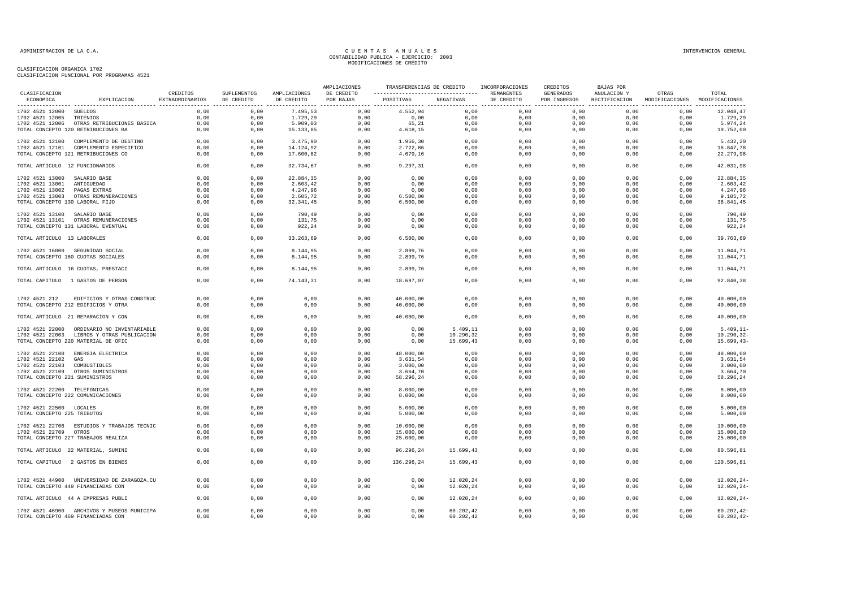| CLASIFICACION                   |                                                                   | CREDITOS        | SUPLEMENTOS  | AMPLIACIONES | AMPLIACIONES<br>DE CREDITO | TRANSFERENCIAS DE CREDITO |              | INCORPORACIONES<br>REMANENTES | CREDITOS<br><b>GENERADOS</b> | <b>BAJAS POR</b><br>ANULACION Y | OTRAS                         | TOTAL                  |
|---------------------------------|-------------------------------------------------------------------|-----------------|--------------|--------------|----------------------------|---------------------------|--------------|-------------------------------|------------------------------|---------------------------------|-------------------------------|------------------------|
| ECONOMICA                       | EXPLICACION                                                       | EXTRAORDINARIOS | DE CREDITO   | DE CREDITO   | POR BAJAS                  | POSITIVAS                 | NEGATIVAS    | DE CREDITO                    | POR INGRESOS                 | RECTIFICACION                   | MODIFICACIONES MODIFICACIONES |                        |
| 1702 4521 12000 SUELDOS         |                                                                   | 0.00            | 0,00         | 7.495,53     | 0,00                       | 4.552,94                  | 0,00         | 0,00                          | 0,00                         | 0,00                            | 0,00                          | 12.048,47              |
| 1702 4521 12005                 | TRIENIOS                                                          | 0,00            | 0,00         | 1.729,29     | 0,00                       | 0,00                      | 0,00         | $0$ , $00$                    | 0,00                         | 0,00                            | 0,00                          | 1.729,29               |
|                                 | 1702 4521 12006 OTRAS RETRIBUCIONES BASICA                        | 0,00            | 0,00         | 5.909,03     | 0,00                       | 65,21                     | 0,00         | 0,00                          | 0,00                         | 0,00                            | 0,00                          | 5.974,24               |
|                                 | TOTAL CONCEPTO 120 RETRIBUCIONES BA                               | 0,00            | 0,00         | 15.133,85    | 0,00                       | 4.618,15                  | 0,00         | 0,00                          | 0,00                         | 0,00                            | 0,00                          | 19.752,00              |
|                                 | 1702 4521 12100 COMPLEMENTO DE DESTINO                            | 0,00            | 0,00         | 3.475,90     | 0,00                       | 1.956,30                  | 0,00         | 0,00                          | 0,00                         | 0,00                            | 0,00                          | 5.432,20               |
|                                 | 1702 4521 12101 COMPLEMENTO ESPECIFICO                            | 0,00            | 0,00         | 14.124,92    | 0,00                       | 2.722,86                  | 0,00         | 0,00                          | 0,00                         | 0,00                            | 0,00                          | 16.847,78              |
|                                 | TOTAL CONCEPTO 121 RETRIBUCIONES CO                               | 0,00            | 0,00         | 17.600,82    | 0,00                       | 4.679,16                  | 0,00         | 0,00                          | 0,00                         | 0,00                            | 0,00                          | 22.279,98              |
| TOTAL ARTICULO 12 FUNCIONARIOS  |                                                                   | 0,00            | 0,00         | 32.734,67    | 0,00                       | 9.297,31                  | 0,00         | 0,00                          | 0,00                         | 0,00                            | 0,00                          | 42.031,98              |
| 1702 4521 13000 SALARIO BASE    |                                                                   | 0,00            | 0,00         | 22.884,35    | 0,00                       | 0,00                      | 0,00         | 0,00                          | 0.00                         | 0,00                            | 0,00                          | 22.884,35              |
| 1702 4521 13001 ANTIGUEDAD      |                                                                   | 0,00            | 0,00         | 2.603,42     | 0,00                       | 0,00                      | 0,00         | 0,00                          | 0,00                         | 0,00                            | 0,00                          | 2.603, 42              |
| 1702 4521 13002 PAGAS EXTRAS    |                                                                   | 0,00            | 0,00         | 4.247,96     | 0,00                       | 0,00                      | 0,00         | 0,00                          | 0,00                         | 0,00                            | 0,00                          | 4.247,96               |
|                                 | 1702 4521 13003 OTRAS REMUNERACIONES                              | 0,00            | 0,00         | 2.605,72     | 0,00                       | 6.500,00                  | 0,00         | 0,00                          | 0,00                         | 0,00                            | 0,00                          | 9.105,72               |
| TOTAL CONCEPTO 130 LABORAL FIJO |                                                                   | 0,00            | 0,00         | 32.341,45    | 0,00                       | 6.500,00                  | 0,00         | 0,00                          | 0,00                         | 0,00                            | 0,00                          | 38.841,45              |
| 1702 4521 13100 SALARIO BASE    |                                                                   | 0,00            | 0,00         | 790,49       | 0,00                       | 0,00                      | 0,00         | 0,00                          | 0,00                         | 0,00                            | 0,00                          | 790,49                 |
|                                 | 1702 4521 13101 OTRAS REMUNERACIONES                              | 0,00            | 0,00         | 131,75       | 0,00                       | 0,00                      | 0,00         | 0,00                          | 0,00                         | 0,00                            | 0,00                          | 131,75                 |
|                                 | TOTAL CONCEPTO 131 LABORAL EVENTUAL                               | 0,00            | 0,00         | 922,24       | 0,00                       | 0,00                      | 0,00         | 0,00                          | 0,00                         | 0,00                            | 0,00                          | 922,24                 |
| TOTAL ARTICULO 13 LABORALES     |                                                                   | 0,00            | 0,00         | 33.263,69    | 0,00                       | 6.500,00                  | 0,00         | 0,00                          | 0,00                         | 0,00                            | 0,00                          | 39.763,69              |
|                                 | 1702 4521 16000 SEGURIDAD SOCIAL                                  | 0,00            | 0,00         | 8.144,95     | 0,00                       | 2.899,76                  | 0,00         | 0,00                          | 0,00                         | 0,00                            | 0,00                          | 11.044,71              |
|                                 | TOTAL CONCEPTO 160 CUOTAS SOCIALES                                | 0,00            | 0,00         | 8.144,95     | 0,00                       | 2.899,76                  | 0,00         | 0,00                          | 0,00                         | 0,00                            | 0,00                          | 11.044,71              |
|                                 | TOTAL ARTICULO 16 CUOTAS, PRESTACI                                | 0,00            | 0,00         | 8.144,95     | 0,00                       | 2.899,76                  | 0,00         | 0,00                          | 0,00                         | 0,00                            | 0,00                          | 11.044,71              |
|                                 | TOTAL CAPITULO 1 GASTOS DE PERSON                                 | 0,00            | 0,00         | 74.143,31    | 0,00                       | 18.697,07                 | 0,00         | 0,00                          | 0,00                         | 0,00                            | 0,00                          | 92.840,38              |
|                                 |                                                                   | 0,00            |              |              |                            |                           |              |                               |                              |                                 |                               |                        |
| 1702 4521 212                   | EDIFICIOS Y OTRAS CONSTRUC<br>TOTAL CONCEPTO 212 EDIFICIOS Y OTRA | 0,00            | 0,00<br>0,00 | 0,00<br>0,00 | 0,00<br>0,00               | 40.000,00<br>40.000,00    | 0,00<br>0,00 | 0,00<br>0,00                  | 0,00<br>0,00                 | 0,00<br>0,00                    | 0,00<br>0,00                  | 40.000,00<br>40.000,00 |
|                                 | TOTAL ARTICULO 21 REPARACION Y CON                                | 0,00            | 0,00         | 0,00         | 0,00                       | 40.000,00                 | 0,00         | 0,00                          | 0,00                         | 0,00                            | 0,00                          | 40.000,00              |
|                                 |                                                                   |                 |              |              |                            |                           |              |                               |                              |                                 |                               |                        |
|                                 | 1702 4521 22000 ORDINARIO NO INVENTARIABLE                        | 0.00            | 0.00         | 0,00         | 0.00                       | 0.00                      | 5.409,11     | 0,00                          | 0.00                         | 0.00                            | 0.00                          | $5.409.11 -$           |
|                                 | 1702 4521 22003 LIBROS Y OTRAS PUBLICACION                        | 0,00            | 0,00         | 0,00         | 0,00                       | 0,00                      | 10.290,32    | 0,00                          | 0,00                         | 0,00                            | 0,00                          | $10.290, 32 -$         |
|                                 | TOTAL CONCEPTO 220 MATERIAL DE OFIC                               | 0,00            | 0,00         | 0,00         | 0,00                       | 0,00                      | 15.699,43    | 0,00                          | 0,00                         | 0,00                            | 0,00                          | $15.699, 43-$          |
|                                 | 1702 4521 22100 ENERGIA ELECTRICA                                 | 0,00            | 0,00         | 0,00         | 0,00                       | 48.000,00                 | 0,00         | 0,00                          | 0,00                         | 0,00                            | 0,00                          | 48.000,00              |
| 1702 4521 22102                 | GAS                                                               | 0.00            | 0.00         | 0,00         | 0,00                       | 3.631,54                  | 0,00         | 0,00                          | 0,00                         | 0.00                            | 0,00                          | 3.631,54               |
| 1702 4521 22103                 | COMBUSTIBLES                                                      | 0,00            | 0,00         | 0,00         | 0,00                       | 3.000,00                  | 0,00         | 0,00                          | 0,00                         | 0,00                            | 0,00                          | 3.000,00               |
|                                 | 1702 4521 22109 OTROS SUMINISTROS                                 | 0,00            | 0,00         | 0,00         | 0,00                       | 3.664,70                  | 0,00         | 0,00                          | 0,00                         | 0,00                            | 0,00                          | 3.664,70               |
| TOTAL CONCEPTO 221 SUMINISTROS  |                                                                   | 0,00            | 0,00         | 0,00         | 0,00                       | 58.296,24                 | 0,00         | 0,00                          | 0,00                         | 0,00                            | 0,00                          | 58.296,24              |
| 1702 4521 22200 TELEFONICAS     |                                                                   | 0,00            | 0,00         | 0,00         | 0,00                       | 8.000,00                  | 0,00         | 0,00                          | 0,00                         | 0,00                            | 0,00                          | 8.000,00               |
|                                 | TOTAL CONCEPTO 222 COMUNICACIONES                                 | 0.00            | 0.00         | 0.00         | 0.00                       | 8.000,00                  | 0,00         | 0,00                          | 0.00                         | 0.00                            | 0.00                          | 8.000,00               |
| 1702 4521 22500 LOCALES         |                                                                   | 0,00            | 0,00         | 0,00         | 0,00                       | 5.000,00                  | 0,00         | 0,00                          | 0,00                         | 0,00                            | 0,00                          | 5.000,00               |
| TOTAL CONCEPTO 225 TRIBUTOS     |                                                                   | 0,00            | 0,00         | 0,00         | 0,00                       | 5.000,00                  | 0,00         | 0,00                          | 0,00                         | 0,00                            | 0,00                          | 5.000,00               |
|                                 | 1702 4521 22706 ESTUDIOS Y TRABAJOS TECNIC                        | 0,00            | 0,00         | 0,00         | 0,00                       | 10.000,00                 | 0,00         | 0,00                          | 0,00                         | 0,00                            | 0,00                          | 10.000,00              |
| 1702 4521 22709 OTROS           |                                                                   | 0,00            | 0,00         | 0,00         | 0,00                       | 15.000,00                 | 0,00         | 0,00                          | 0,00                         | 0,00                            | 0,00                          | 15.000,00              |
|                                 | TOTAL CONCEPTO 227 TRABAJOS REALIZA                               | 0,00            | 0,00         | 0,00         | 0,00                       | 25.000,00                 | 0,00         | 0,00                          | 0,00                         | 0,00                            | 0,00                          | 25.000,00              |
|                                 | TOTAL ARTICULO 22 MATERIAL, SUMINI                                | 0,00            | 0,00         | 0,00         | 0,00                       | 96.296,24                 | 15.699,43    | 0,00                          | 0,00                         | 0,00                            | 0,00                          | 80.596,81              |
|                                 | TOTAL CAPITULO 2 GASTOS EN BIENES                                 | 0,00            | 0,00         | 0,00         | 0,00                       | 136.296,24                | 15.699,43    | 0,00                          | 0,00                         | 0,00                            | 0,00                          | 120.596,81             |
|                                 |                                                                   |                 |              |              |                            |                           |              |                               |                              |                                 |                               |                        |
|                                 | 1702 4521 44900 UNIVERSIDAD DE ZARAGOZA.CU                        | 0,00            | 0,00         | 0,00         | 0,00                       | 0,00                      | 12.020,24    | 0,00                          | 0,00                         | 0,00                            | 0,00                          | $12.020, 24 -$         |
|                                 | TOTAL CONCEPTO 449 FINANCIADAS CON                                | 0,00            | 0,00         | 0,00         | 0,00                       | 0,00                      | 12.020,24    | 0,00                          | 0,00                         | 0,00                            | 0,00                          | $12.020, 24 -$         |
|                                 | TOTAL ARTICULO 44 A EMPRESAS PUBLI                                | 0,00            | 0,00         | 0,00         | 0,00                       | 0,00                      | 12.020,24    | 0,00                          | 0,00                         | 0,00                            | 0,00                          | $12.020, 24-$          |
|                                 | 1702 4521 46900 ARCHIVOS Y MUSEOS MUNICIPA                        | 0,00            | 0.00         | 0,00         | 0,00                       | 0,00                      | 60.202,42    | 0,00                          | 0,00                         | 0,00                            | 0,00                          | $60.202, 42-$          |
|                                 | TOTAL CONCEPTO 469 FINANCIADAS CON                                | 0,00            | 0,00         | 0,00         | 0,00                       | 0,00                      | 60.202,42    | 0,00                          | 0,00                         | 0,00                            | 0,00                          | $60.202, 42-$          |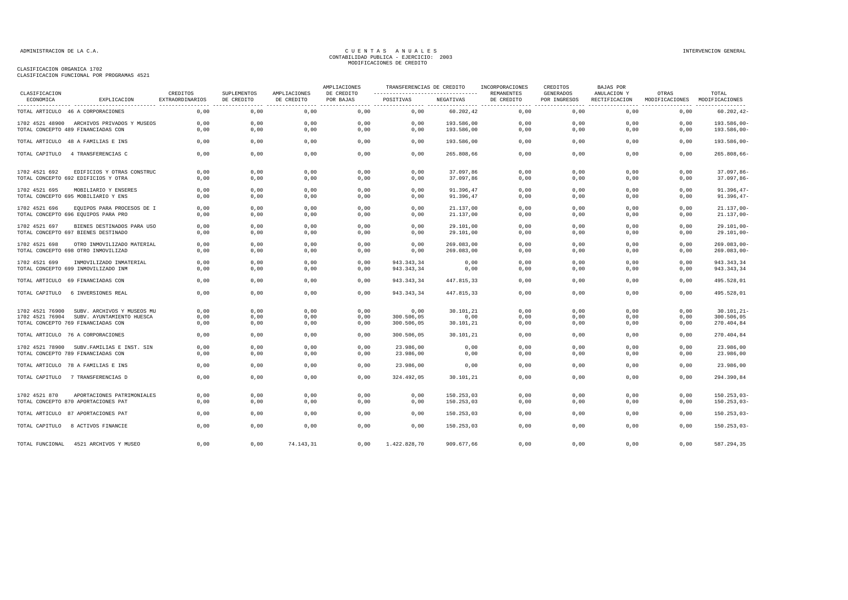|                            |                                            |                                    |                           |                            | AMPLIACIONES            | TRANSFERENCIAS DE CREDITO                       |            | INCORPORACIONES          | CREDITOS                  | <b>BAJAS POR</b>                  |                         |                         |
|----------------------------|--------------------------------------------|------------------------------------|---------------------------|----------------------------|-------------------------|-------------------------------------------------|------------|--------------------------|---------------------------|-----------------------------------|-------------------------|-------------------------|
| CLASIFICACION<br>ECONOMICA | EXPLICACION                                | CREDITOS<br><b>EXTRAORDINARIOS</b> | SUPLEMENTOS<br>DE CREDITO | AMPLIACIONES<br>DE CREDITO | DE CREDITO<br>POR BAJAS | ----------------------------------<br>POSITIVAS | NEGATIVAS  | REMANENTES<br>DE CREDITO | GENERADOS<br>POR INGRESOS | ANULACION Y<br>RECTIFICACION<br>. | OTRAS<br>MODIFICACIONES | TOTAL<br>MODIFICACIONES |
|                            | TOTAL ARTICULO 46 A CORPORACIONES          | 0,00                               | ---------------<br>0,00   | 0,00                       | 0,00                    | 0,00                                            | 60.202,42  | 0,00                     | 0,00                      | 0,00                              | 0,00                    | $60.202, 42-$           |
|                            | 1702 4521 48900 ARCHIVOS PRIVADOS Y MUSEOS | 0,00                               | 0,00                      | 0,00                       | 0,00                    | 0,00                                            | 193.586,00 | 0,00                     | 0,00                      | 0,00                              | 0,00                    | 193.586,00-             |
|                            | TOTAL CONCEPTO 489 FINANCIADAS CON         | 0,00                               | 0,00                      | 0,00                       | 0,00                    | 0,00                                            | 193.586,00 | 0,00                     | 0,00                      | 0,00                              | 0,00                    | 193.586,00-             |
|                            | TOTAL ARTICULO 48 A FAMILIAS E INS         | 0,00                               | 0,00                      | 0,00                       | 0,00                    | 0,00                                            | 193.586,00 | 0,00                     | 0,00                      | 0,00                              | 0,00                    | $193.586,00 -$          |
|                            | TOTAL CAPITULO 4 TRANSFERENCIAS C          | 0.00                               | 0,00                      | 0,00                       | 0.00                    | 0.00                                            | 265.808.66 | 0,00                     | 0,00                      | 0.00                              | 0,00                    | $265.808,66 -$          |
| 1702 4521 692              | EDIFICIOS Y OTRAS CONSTRUC                 | 0.00                               | 0,00                      | 0,00                       | 0,00                    | 0,00                                            | 37.097,86  | 0,00                     | 0,00                      | 0,00                              | 0,00                    | $37.097.86 -$           |
|                            | TOTAL CONCEPTO 692 EDIFICIOS Y OTRA        | 0,00                               | 0,00                      | 0,00                       | 0.00                    | 0,00                                            | 37.097,86  | 0,00                     | 0,00                      | 0,00                              | 0,00                    | $37.097,86-$            |
| 1702 4521 695              | MOBILIARIO Y ENSERES                       | 0,00                               | 0,00                      | 0,00                       | 0,00                    | 0,00                                            | 91.396,47  | 0,00                     | 0,00                      | 0,00                              | 0,00                    | $91.396, 47-$           |
|                            | TOTAL CONCEPTO 695 MOBILIARIO Y ENS        | 0,00                               | 0,00                      | 0,00                       | 0,00                    | 0,00                                            | 91.396,47  | 0,00                     | 0,00                      | 0,00                              | 0,00                    | $91.396, 47-$           |
| 1702 4521 696              | EQUIPOS PARA PROCESOS DE I                 | 0,00                               | 0,00                      | 0,00                       | 0,00                    | 0,00                                            | 21.137,00  | 0,00                     | 0,00                      | 0,00                              | 0,00                    | $21.137,00 -$           |
|                            | TOTAL CONCEPTO 696 EQUIPOS PARA PRO        | 0,00                               | 0,00                      | 0,00                       | 0,00                    | 0,00                                            | 21.137,00  | 0,00                     | 0,00                      | 0,00                              | 0,00                    | $21.137,00-$            |
| 1702 4521 697              | BIENES DESTINADOS PARA USO                 | 0,00                               | 0,00                      | 0,00                       | 0,00                    | 0,00                                            | 29.101,00  | 0,00                     | 0,00                      | 0,00                              | 0,00                    | 29.101,00-              |
|                            | TOTAL CONCEPTO 697 BIENES DESTINADO        | 0,00                               | 0,00                      | 0,00                       | 0,00                    | 0,00                                            | 29.101,00  | 0,00                     | 0,00                      | 0,00                              | 0,00                    | $29.101,00 -$           |
| 1702 4521 698              | OTRO INMOVILIZADO MATERIAL                 | 0,00                               | 0,00                      | 0,00                       | 0,00                    | 0,00                                            | 269.083,00 | 0,00                     | 0,00                      | 0,00                              | 0,00                    | $269.083,00 -$          |
|                            | TOTAL CONCEPTO 698 OTRO INMOVILIZAD        | 0,00                               | 0,00                      | 0,00                       | 0,00                    | 0,00                                            | 269.083,00 | 0,00                     | 0,00                      | 0,00                              | 0,00                    | $269.083,00 -$          |
| 1702 4521 699              | INMOVILIZADO INMATERIAL                    | 0,00                               | 0,00                      | 0,00                       | 0,00                    | 943.343,34                                      | 0,00       | 0,00                     | 0,00                      | 0,00                              | 0,00                    | 943.343,34              |
|                            | TOTAL CONCEPTO 699 INMOVILIZADO INM        | 0,00                               | 0,00                      | 0,00                       | 0,00                    | 943.343,34                                      | 0,00       | 0,00                     | 0,00                      | 0,00                              | 0,00                    | 943.343,34              |
|                            | TOTAL ARTICULO 69 FINANCIADAS CON          | 0.00                               | 0.00                      | 0.00                       | 0.00                    | 943.343.34                                      | 447.815.33 | 0.00                     | 0.00                      | 0.00                              | 0.00                    | 495.528.01              |
| TOTAL CAPITULO             | 6 INVERSIONES REAL                         | 0,00                               | 0,00                      | 0,00                       | 0,00                    | 943.343,34                                      | 447.815,33 | 0,00                     | 0,00                      | 0,00                              | 0,00                    | 495.528,01              |
| 1702 4521 76900            | SUBV. ARCHIVOS Y MUSEOS MU                 | 0,00                               | 0,00                      | 0,00                       | 0,00                    | 0,00                                            | 30.101,21  | 0,00                     | 0,00                      | 0,00                              | 0,00                    | 30.101,21               |
| 1702 4521 76904            | SUBV. AYUNTAMIENTO HUESCA                  | 0,00                               | 0,00                      | 0,00                       | 0,00                    | 300.506,05                                      | 0,00       | 0,00                     | 0,00                      | 0,00                              | 0,00                    | 300.506,05              |
|                            | TOTAL CONCEPTO 769 FINANCIADAS CON         | 0,00                               | 0,00                      | 0,00                       | 0,00                    | 300.506,05                                      | 30.101,21  | 0,00                     | 0,00                      | 0,00                              | 0,00                    | 270.404,84              |
|                            | TOTAL ARTICULO 76 A CORPORACIONES          | 0,00                               | 0,00                      | 0,00                       | 0,00                    | 300.506,05                                      | 30.101,21  | 0,00                     | 0,00                      | 0,00                              | 0,00                    | 270.404,84              |
|                            | 1702 4521 78900 SUBV. FAMILIAS E INST. SIN | 0,00                               | 0,00                      | 0,00                       | 0,00                    | 23.986.00                                       | 0,00       | 0,00                     | 0,00                      | 0,00                              | 0,00                    | 23.986,00               |
|                            | TOTAL CONCEPTO 789 FINANCIADAS CON         | 0,00                               | 0,00                      | 0,00                       | 0,00                    | 23.986,00                                       | 0,00       | 0,00                     | 0.00                      | 0,00                              | 0,00                    | 23.986,00               |
|                            | TOTAL ARTICULO 78 A FAMILIAS E INS         | 0,00                               | 0,00                      | 0,00                       | 0,00                    | 23.986,00                                       | 0,00       | 0,00                     | 0,00                      | 0,00                              | 0,00                    | 23.986,00               |
|                            | TOTAL CAPITULO 7 TRANSFERENCIAS D          | 0.00                               | 0,00                      | 0.00                       | 0.00                    | 324.492.05                                      | 30.101,21  | 0.00                     | 0.00                      | 0.00                              | 0.00                    | 294.390.84              |
| 1702 4521 870              | APORTACIONES PATRIMONIALES                 | 0,00                               | 0,00                      | 0,00                       | 0,00                    | 0,00                                            | 150.253,03 | 0,00                     | 0,00                      | 0,00                              | 0,00                    | $150.253,03-$           |
|                            | TOTAL CONCEPTO 870 APORTACIONES PAT        | 0,00                               | 0,00                      | 0,00                       | 0,00                    | 0,00                                            | 150.253,03 | 0,00                     | 0,00                      | 0,00                              | 0,00                    | $150.253,03-$           |
|                            |                                            |                                    |                           |                            |                         |                                                 |            |                          |                           |                                   |                         |                         |
|                            | TOTAL ARTICULO 87 APORTACIONES PAT         | 0,00                               | 0,00                      | 0,00                       | 0,00                    | 0,00                                            | 150.253,03 | 0,00                     | 0,00                      | 0,00                              | 0,00                    | $150.253,03-$           |
|                            | TOTAL CAPITULO 8 ACTIVOS FINANCIE          | 0,00                               | 0,00                      | 0,00                       | 0,00                    | 0,00                                            | 150.253,03 | 0,00                     | 0,00                      | 0,00                              | 0,00                    | $150.253,03-$           |
| TOTAL FUNCIONAL            | 4521 ARCHIVOS Y MUSEO                      | 0,00                               | 0,00                      | 74.143,31                  | 0.00                    | 1.422.828,70                                    | 909.677.66 | 0.00                     | 0.00                      | 0,00                              | 0.00                    | 587.294,35              |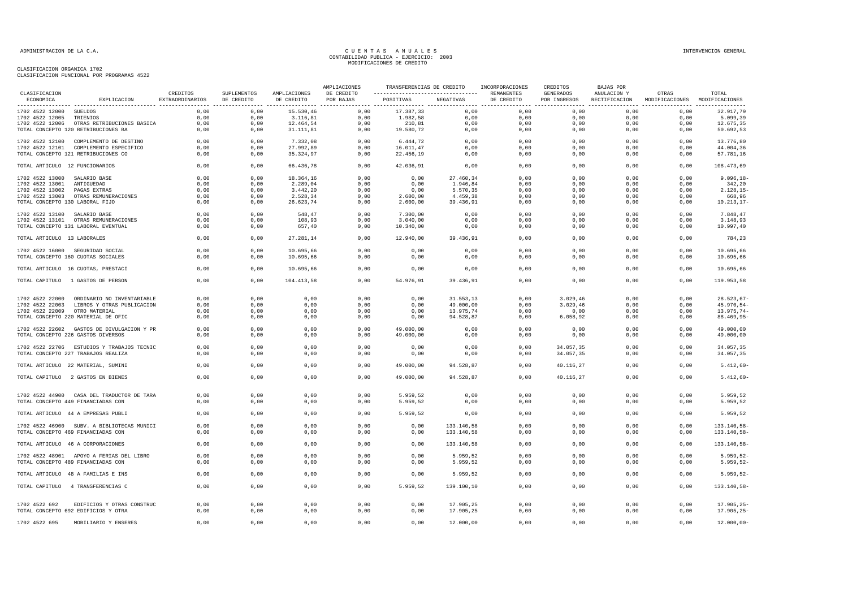|                                                 |                                                                                   |                             |                           |                            | AMPLIACIONES            | TRANSFERENCIAS DE CREDITO |                          | INCORPORACIONES          | CREDITOS                  | BAJAS POR                    |                                        |                            |
|-------------------------------------------------|-----------------------------------------------------------------------------------|-----------------------------|---------------------------|----------------------------|-------------------------|---------------------------|--------------------------|--------------------------|---------------------------|------------------------------|----------------------------------------|----------------------------|
| CLASIFICACION<br>ECONOMICA<br>----------------- | EXPLICACION                                                                       | CREDITOS<br>EXTRAORDINARIOS | SUPLEMENTOS<br>DE CREDITO | AMPLIACIONES<br>DE CREDITO | DE CREDITO<br>POR BAJAS | POSITIVAS                 | NEGATIVAS                | REMANENTES<br>DE CREDITO | GENERADOS<br>POR INGRESOS | ANULACION Y<br>RECTIFICACION | OTRAS<br>MODIFICACIONES MODIFICACIONES | TOTAL<br>----------------  |
| 1702 4522 12000 SUELDOS                         |                                                                                   | 0,00                        | 0,00                      | 15.530,46                  | 0,00                    | 17.387,33                 | 0,00                     | 0,00                     | 0,00                      | 0,00                         | 0,00                                   | 32.917,79                  |
| 1702 4522 12005                                 | TRIENIOS                                                                          | 0,00                        | 0,00                      | 3.116, 81                  | 0,00                    | 1.982,58                  | 0,00                     | 0,00                     | 0,00                      | 0,00                         | 0,00                                   | 5.099,39                   |
|                                                 | 1702 4522 12006 OTRAS RETRIBUCIONES BASICA                                        | 0,00                        | 0,00                      | 12.464,54                  | 0,00                    | 210,81                    | 0,00                     | 0,00                     | 0,00                      | 0,00                         | 0,00                                   | 12.675,35                  |
|                                                 | TOTAL CONCEPTO 120 RETRIBUCIONES BA                                               | 0.00                        | 0,00                      | 31.111,81                  | 0.00                    | 19.580,72                 | 0,00                     | 0.00                     | 0.00                      | 0.00                         | 0.00                                   | 50.692,53                  |
|                                                 | 1702 4522 12100 COMPLEMENTO DE DESTINO                                            | 0,00                        | 0,00                      | 7.332,08                   | 0,00                    | 6.444,72                  | 0,00                     | 0,00                     | 0,00                      | 0,00                         | 0,00                                   | 13.776,80                  |
|                                                 | 1702 4522 12101 COMPLEMENTO ESPECIFICO                                            | 0,00                        | 0.00                      | 27.992,89                  | 0,00                    | 16.011,47                 | 0,00                     | 0,00                     | 0,00                      | 0,00                         | 0,00                                   | 44.004,36                  |
|                                                 | TOTAL CONCEPTO 121 RETRIBUCIONES CO                                               | 0,00                        | 0,00                      | 35.324,97                  | 0,00                    | 22.456,19                 | 0,00                     | 0,00                     | 0,00                      | 0,00                         | 0,00                                   | 57.781,16                  |
| TOTAL ARTICULO 12 FUNCIONARIOS                  |                                                                                   | 0,00                        | 0,00                      | 66.436,78                  | 0,00                    | 42.036,91                 | 0,00                     | 0,00                     | 0,00                      | 0,00                         | 0,00                                   | 108.473,69                 |
| 1702 4522 13000                                 | SALARIO BASE                                                                      | 0,00                        | 0,00                      | 18.364,16                  | 0,00                    | 0,00                      | 27.460,34                | 0,00                     | 0,00                      | 0,00                         | 0,00                                   | $9.096, 18 -$              |
| 1702 4522 13001                                 | ANTIGUEDAD                                                                        | 0,00                        | 0,00                      | 2.289,04                   | 0,00                    | 0,00                      | 1.946,84                 | 0,00                     | 0,00                      | 0,00                         | 0,00                                   | 342,20                     |
| 1702 4522 13002                                 | PAGAS EXTRAS                                                                      | 0,00                        | 0,00                      | 3.442,20                   | 0,00                    | 0,00                      | 5.570,35                 | 0,00                     | 0.00                      | 0.00                         | 0,00                                   | $2.128, 15-$               |
|                                                 | 1702 4522 13003 OTRAS REMUNERACIONES                                              | 0,00                        | 0,00                      | 2.528,34                   | 0,00                    | 2.600,00                  | 4.459,38                 | 0,00                     | 0,00                      | 0,00                         | 0,00                                   | 668,96                     |
| TOTAL CONCEPTO 130 LABORAL FIJO                 |                                                                                   | 0,00                        | 0,00                      | 26.623,74                  | 0,00                    | 2.600,00                  | 39.436,91                | 0,00                     | 0,00                      | 0,00                         | 0,00                                   | $10.213, 17-$              |
| 1702 4522 13100                                 | SALARIO BASE                                                                      | 0,00                        | 0,00                      | 548,47                     | 0,00                    | 7.300,00                  | 0,00                     | 0,00                     | 0,00                      | 0,00                         | 0,00                                   | 7.848,47                   |
|                                                 | 1702 4522 13101 OTRAS REMUNERACIONES                                              | 0,00                        | 0,00                      | 108,93                     | 0,00                    | 3.040,00                  | 0,00                     | 0,00                     | 0,00                      | 0,00                         | 0,00                                   | 3.148,93                   |
|                                                 | TOTAL CONCEPTO 131 LABORAL EVENTUAL                                               | 0,00                        | 0,00                      | 657,40                     | 0,00                    | 10.340,00                 | 0,00                     | 0,00                     | 0,00                      | 0,00                         | 0,00                                   | 10.997,40                  |
| TOTAL ARTICULO 13 LABORALES                     |                                                                                   | 0,00                        | 0,00                      | 27.281,14                  | 0,00                    | 12.940,00                 | 39.436,91                | 0,00                     | 0,00                      | 0,00                         | 0,00                                   | 784,23                     |
|                                                 | 1702 4522 16000 SEGURIDAD SOCIAL                                                  | 0,00                        | 0,00                      | 10.695,66                  | 0,00                    | 0,00                      | 0,00                     | 0,00                     | 0,00                      | 0,00                         | 0,00                                   | 10.695,66                  |
|                                                 | TOTAL CONCEPTO 160 CUOTAS SOCIALES                                                | 0,00                        | 0,00                      | 10.695,66                  | 0,00                    | 0,00                      | 0,00                     | 0,00                     | 0,00                      | 0,00                         | 0,00                                   | 10.695,66                  |
|                                                 | TOTAL ARTICULO 16 CUOTAS, PRESTACI                                                | 0,00                        | 0,00                      | 10.695,66                  | 0,00                    | 0,00                      | 0,00                     | 0,00                     | 0,00                      | 0,00                         | 0.00                                   | 10.695.66                  |
|                                                 | TOTAL CAPITULO 1 GASTOS DE PERSON                                                 | 0,00                        | 0,00                      | 104.413,58                 | 0,00                    | 54.976,91                 | 39.436,91                | 0,00                     | 0,00                      | 0,00                         | 0,00                                   | 119.953,58                 |
|                                                 |                                                                                   |                             |                           |                            |                         |                           |                          |                          |                           |                              |                                        |                            |
|                                                 | 1702 4522 22000 ORDINARIO NO INVENTARIABLE                                        | 0,00                        | 0,00                      | 0,00                       | 0,00                    | 0,00                      | 31.553,13                | 0,00                     | 3.029,46                  | 0,00                         | 0,00                                   | $28.523,67-$               |
|                                                 | 1702 4522 22003 LIBROS Y OTRAS PUBLICACION                                        | 0,00                        | 0,00                      | 0,00                       | 0,00                    | 0,00                      | 49.000,00                | 0,00                     | 3.029, 46                 | 0,00                         | 0,00                                   | 45.970,54-                 |
| 1702 4522 22009 OTRO MATERIAL                   |                                                                                   | 0,00                        | 0,00                      | 0,00                       | 0,00                    | 0,00                      | 13.975,74                | 0,00                     | 0,00                      | 0,00                         | 0,00                                   | 13.975,74-                 |
|                                                 | TOTAL CONCEPTO 220 MATERIAL DE OFIC                                               | 0,00                        | 0,00                      | 0,00                       | 0,00                    | 0,00                      | 94.528,87                | 0,00                     | 6.058,92                  | 0,00                         | 0,00                                   | 88.469,95-                 |
|                                                 | 1702 4522 22602 GASTOS DE DIVULGACION Y PR                                        | 0,00                        | 0,00                      | 0,00                       | 0,00                    | 49.000,00                 | 0,00                     | 0,00                     | 0,00                      | 0,00                         | 0,00                                   | 49.000,00                  |
|                                                 | TOTAL CONCEPTO 226 GASTOS DIVERSOS                                                | 0,00                        | 0,00                      | 0,00                       | 0,00                    | 49.000,00                 | 0,00                     | 0,00                     | 0,00                      | 0,00                         | 0,00                                   | 49.000,00                  |
|                                                 |                                                                                   |                             |                           |                            |                         |                           |                          |                          |                           |                              |                                        |                            |
|                                                 | 1702 4522 22706 ESTUDIOS Y TRABAJOS TECNIC<br>TOTAL CONCEPTO 227 TRABAJOS REALIZA | 0,00<br>0,00                | 0,00<br>0,00              | 0,00<br>0,00               | 0,00<br>0,00            | 0,00<br>0,00              | 0,00<br>0,00             | 0,00<br>0,00             | 34.057,35<br>34.057,35    | 0,00<br>0,00                 | 0,00<br>0,00                           | 34.057,35<br>34.057,35     |
|                                                 |                                                                                   |                             |                           |                            |                         |                           |                          |                          |                           |                              |                                        |                            |
|                                                 | TOTAL ARTICULO 22 MATERIAL, SUMINI                                                | 0,00                        | 0,00                      | 0,00                       | 0,00                    | 49.000,00                 | 94.528,87                | 0,00                     | 40.116,27                 | 0,00                         | 0,00                                   | $5.412,60-$                |
|                                                 | TOTAL CAPITULO 2 GASTOS EN BIENES                                                 | 0.00                        | 0.00                      | 0.00                       | 0.00                    | 49,000,00                 | 94.528,87                | 0.00                     | 40.116,27                 | 0.00                         | 0.00                                   | $5.412.60 -$               |
|                                                 | 1702 4522 44900 CASA DEL TRADUCTOR DE TARA                                        | 0,00                        | 0,00                      | 0,00                       | 0,00                    | 5.959,52                  | 0,00                     | 0,00                     | 0,00                      | 0,00                         | 0,00                                   | 5.959,52                   |
|                                                 | TOTAL CONCEPTO 449 FINANCIADAS CON                                                | 0,00                        | 0,00                      | 0,00                       | 0,00                    | 5.959,52                  | 0,00                     | 0,00                     | 0,00                      | 0,00                         | 0,00                                   | 5.959,52                   |
|                                                 | TOTAL ARTICULO 44 A EMPRESAS PUBLI                                                | 0,00                        | 0,00                      | 0,00                       | 0,00                    | 5.959,52                  | 0,00                     | 0,00                     | 0,00                      | 0,00                         | 0,00                                   | 5.959,52                   |
|                                                 |                                                                                   |                             |                           |                            |                         |                           |                          |                          |                           |                              |                                        |                            |
|                                                 | 1702 4522 46900 SUBV. A BIBLIOTECAS MUNICI<br>TOTAL CONCEPTO 469 FINANCIADAS CON  | 0,00<br>0,00                | 0,00<br>0,00              | 0,00<br>0,00               | 0,00<br>0,00            | 0,00<br>0,00              | 133.140,58<br>133.140,58 | 0,00<br>0,00             | 0,00<br>0,00              | 0,00<br>0,00                 | 0,00<br>0,00                           | 133.140,58-<br>133.140,58- |
|                                                 | TOTAL ARTICULO 46 A CORPORACIONES                                                 | 0,00                        | 0,00                      | 0,00                       | 0,00                    | 0,00                      | 133.140,58               | 0,00                     | 0,00                      | 0,00                         | 0,00                                   | 133.140,58-                |
|                                                 |                                                                                   |                             |                           |                            |                         |                           |                          |                          |                           |                              |                                        |                            |
|                                                 | 1702 4522 48901 APOYO A FERIAS DEL LIBRO                                          | 0,00                        | 0,00                      | 0,00                       | 0,00                    | 0,00                      | 5.959,52                 | 0,00                     | 0,00                      | 0,00                         | 0,00                                   | 5.959,52-                  |
|                                                 | TOTAL CONCEPTO 489 FINANCIADAS CON                                                | 0,00                        | 0,00                      | 0,00                       | 0,00                    | 0,00                      | 5.959,52                 | 0,00                     | 0,00                      | 0,00                         | 0,00                                   | $5.959, 52-$               |
|                                                 | TOTAL ARTICULO 48 A FAMILIAS E INS                                                | 0,00                        | 0,00                      | 0,00                       | 0,00                    | 0,00                      | 5.959,52                 | 0,00                     | 0,00                      | 0,00                         | 0,00                                   | $5.959, 52-$               |
|                                                 | TOTAL CAPITULO 4 TRANSFERENCIAS C                                                 | 0,00                        | 0,00                      | 0,00                       | 0,00                    | 5.959,52                  | 139.100,10               | 0,00                     | 0,00                      | 0,00                         | 0,00                                   | 133.140,58-                |
|                                                 |                                                                                   |                             |                           |                            |                         |                           |                          |                          |                           |                              |                                        |                            |
| 1702 4522 692                                   | EDIFICIOS Y OTRAS CONSTRUC                                                        | 0,00                        | 0.00                      | 0,00                       | 0,00                    | 0,00                      | 17.905,25                | 0,00                     | 0,00                      | 0.00                         | 0,00                                   | 17.905,25-                 |
|                                                 | TOTAL CONCEPTO 692 EDIFICIOS Y OTRA                                               | 0,00                        | 0,00                      | 0,00                       | 0,00                    | 0,00                      | 17.905,25                | 0,00                     | 0,00                      | 0,00                         | 0,00                                   | $17.905, 25 -$             |
| 1702 4522 695                                   | MOBILIARIO Y ENSERES                                                              | 0,00                        | 0,00                      | 0,00                       | 0,00                    | 0,00                      | 12.000,00                | 0,00                     | 0,00                      | 0,00                         | 0,00                                   | $12.000,00 -$              |
|                                                 |                                                                                   |                             |                           |                            |                         |                           |                          |                          |                           |                              |                                        |                            |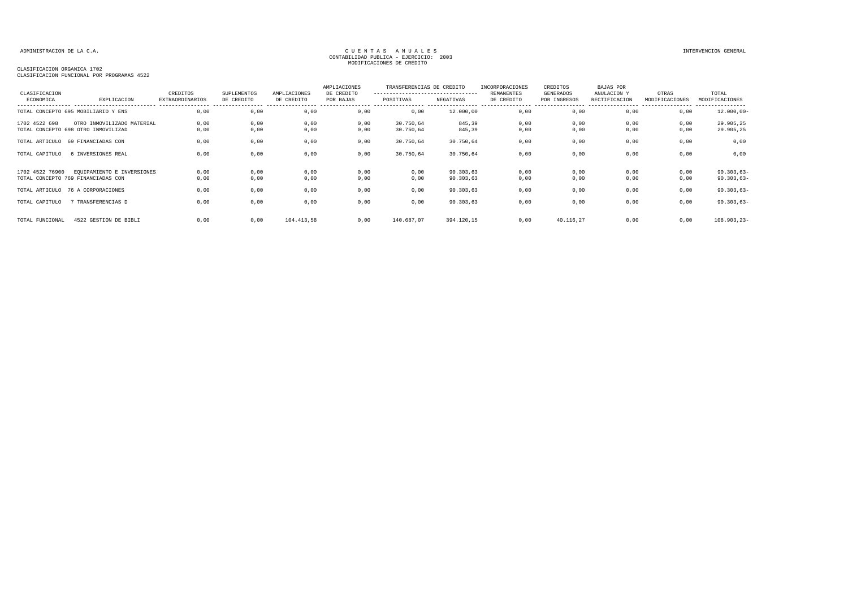| CLASIFICACION   |                                                                   | CREDITOS               | <b>SUPLEMENTOS</b> | AMPLIACIONES | AMPLIACIONES<br>DE CREDITO | TRANSFERENCIAS DE CREDITO<br>--------------------------------- |                        | INCORPORACIONES<br><b>REMANENTES</b> | CREDITOS<br>GENERADOS | BAJAS POR<br>ANULACION Y | OTRAS          | TOTAL                        |
|-----------------|-------------------------------------------------------------------|------------------------|--------------------|--------------|----------------------------|----------------------------------------------------------------|------------------------|--------------------------------------|-----------------------|--------------------------|----------------|------------------------------|
| ECONOMICA       | EXPLICACION                                                       | <b>EXTRAORDINARIOS</b> | DE CREDITO         | DE CREDITO   | POR BAJAS                  | POSITIVAS                                                      | NEGATIVAS              | DE CREDITO                           | POR INGRESOS          | RECTIFICACION            | MODIFICACIONES | MODIFICACIONES<br>---------  |
|                 | TOTAL CONCEPTO 695 MOBILIARIO Y ENS                               | 0,00                   | 0,00               | 0,00         | 0,00                       | 0,00                                                           | 12.000,00              | 0,00                                 | 0,00                  | 0,00                     | 0,00           | $12.000,00 -$                |
| 1702 4522 698   | OTRO INMOVILIZADO MATERIAL<br>TOTAL CONCEPTO 698 OTRO INMOVILIZAD | 0,00<br>0,00           | 0,00<br>0,00       | 0,00<br>0,00 | 0,00<br>0,00               | 30.750,64<br>30.750,64                                         | 845,39<br>845,39       | 0,00<br>0,00                         | 0,00<br>0,00          | 0,00<br>0,00             | 0,00<br>0,00   | 29.905,25<br>29.905,25       |
| TOTAL ARTICULO  | 69 FINANCIADAS CON                                                | 0,00                   | 0,00               | 0,00         | 0,00                       | 30.750,64                                                      | 30.750,64              | 0,00                                 | 0,00                  | 0,00                     | 0,00           | 0,00                         |
| TOTAL CAPITULO  | 6 INVERSIONES REAL                                                | 0.00                   | 0,00               | 0,00         | 0,00                       | 30.750,64                                                      | 30.750,64              | 0,00                                 | 0,00                  | 0,00                     | 0,00           | 0,00                         |
| 1702 4522 76900 | EQUIPAMIENTO E INVERSIONES<br>TOTAL CONCEPTO 769 FINANCIADAS CON  | 0,00<br>0,00           | 0,00<br>0,00       | 0,00<br>0,00 | 0,00<br>0,00               | 0,00<br>0,00                                                   | 90.303,63<br>90.303,63 | 0,00<br>0,00                         | 0,00<br>0,00          | 0,00<br>0,00             | 0,00<br>0,00   | $90.303,63-$<br>$90.303,63-$ |
|                 | TOTAL ARTICULO 76 A CORPORACIONES                                 | 0,00                   | 0,00               | 0,00         | 0,00                       | 0,00                                                           | 90.303,63              | 0,00                                 | 0,00                  | 0,00                     | 0,00           | $90.303,63-$                 |
| TOTAL CAPITULO  | 7 TRANSFERENCIAS D                                                | 0,00                   | 0,00               | 0,00         | 0,00                       | 0,00                                                           | 90.303,63              | 0,00                                 | 0,00                  | 0,00                     | 0,00           | $90.303,63-$                 |
| TOTAL FUNCIONAL | 4522 GESTION DE BIBLI                                             | 0.00                   | 0,00               | 104.413,58   | 0,00                       | 140.687,07                                                     | 394.120,15             | 0.00                                 | 40.116,27             | 0.00                     | 0,00           | $108.903, 23 -$              |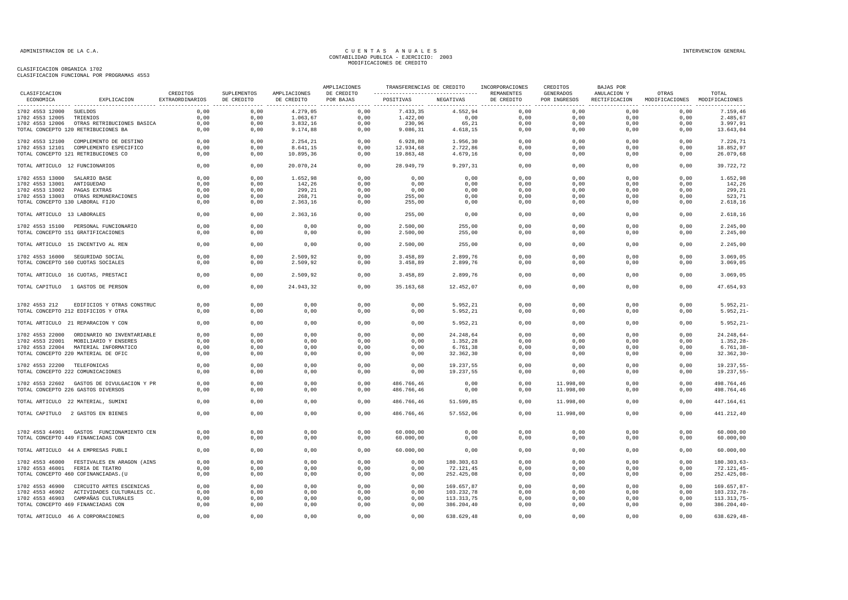|                                 |                                            |                             |                           |                            | AMPLIACIONES            |                                               | TRANSFERENCIAS DE CREDITO INCORPORACIONES |            | CREDITOS                  | BAJAS POR                    |                                        |                |
|---------------------------------|--------------------------------------------|-----------------------------|---------------------------|----------------------------|-------------------------|-----------------------------------------------|-------------------------------------------|------------|---------------------------|------------------------------|----------------------------------------|----------------|
| CLASIFICACION<br>ECONOMICA      | EXPLICACION                                | CREDITOS<br>EXTRAORDINARIOS | SUPLEMENTOS<br>DE CREDITO | AMPLIACIONES<br>DE CREDITO | DE CREDITO<br>POR BAJAS | ---------------------------------  REMANENTES | POSITIVAS NEGATIVAS                       | DE CREDITO | GENERADOS<br>POR INGRESOS | ANULACION Y<br>RECTIFICACION | OTRAS<br>MODIFICACIONES MODIFICACIONES | TOTAL          |
| 1702 4553 12000 SUELDOS         |                                            | 0,00                        | 0,00                      | 4.279,05                   | 0,00                    | 7.433,35                                      | 4.552,94                                  | 0,00       | 0,00                      | 0,00                         | 0,00                                   | 7.159,46       |
| 1702 4553 12005                 | TRIENIOS                                   | 0,00                        | 0,00                      | 1.063,67                   | 0,00                    | 1.422,00                                      | 0,00                                      | 0,00       | 0,00                      | 0,00                         | 0,00                                   | 2.485,67       |
|                                 | 1702 4553 12006 OTRAS RETRIBUCIONES BASICA | 0,00                        | 0,00                      | 3.832,16                   | 0,00                    | 230,96                                        | 65,21                                     | 0,00       | 0,00                      | 0,00                         | 0,00                                   | 3.997,91       |
|                                 | TOTAL CONCEPTO 120 RETRIBUCIONES BA        | 0,00                        | 0,00                      | 9.174,88                   | 0,00                    | 9.086,31                                      | 4.618,15                                  | 0,00       | 0,00                      | 0,00                         | 0,00                                   | 13.643,04      |
|                                 |                                            |                             |                           |                            |                         |                                               |                                           |            |                           |                              |                                        |                |
|                                 | 1702 4553 12100 COMPLEMENTO DE DESTINO     | 0.00                        | 0.00                      | 2.254,21                   | 0,00                    | 6.928,80                                      | 1.956,30                                  | 0.00       | 0.00                      | 0.00                         | 0.00                                   | 7.226.71       |
|                                 | 1702 4553 12101 COMPLEMENTO ESPECIFICO     | 0,00                        | 0,00                      | 8.641, 15                  | 0,00                    | 12.934,68                                     | 2.722,86                                  | 0,00       | 0,00                      | 0,00                         | 0,00                                   | 18.852,97      |
|                                 | TOTAL CONCEPTO 121 RETRIBUCIONES CO        | 0,00                        | 0,00                      | 10.895,36                  | 0,00                    | 19.863,48                                     | 4.679,16                                  | 0,00       | 0,00                      | 0,00                         | 0,00                                   | 26.079,68      |
| TOTAL ARTICULO 12 FUNCIONARIOS  |                                            | 0,00                        | 0,00                      | 20.070,24                  | 0,00                    | 28.949,79                                     | 9.297,31                                  | 0,00       | 0,00                      | 0,00                         | 0,00                                   | 39.722,72      |
| 1702 4553 13000 SALARIO BASE    |                                            | 0,00                        | 0,00                      | 1.652,98                   | 0,00                    | 0,00                                          | 0,00                                      | 0,00       | 0,00                      | 0,00                         | 0,00                                   | 1.652,98       |
| 1702 4553 13001 ANTIGUEDAD      |                                            | 0,00                        | 0,00                      | 142,26                     | 0,00                    | 0,00                                          | 0,00                                      | 0,00       | 0.00                      | 0,00                         | 0,00                                   | 142,26         |
| 1702 4553 13002 PAGAS EXTRAS    |                                            | 0,00                        | 0,00                      | 299,21                     | 0,00                    | 0,00                                          | 0,00                                      | 0,00       | 0,00                      | 0,00                         | 0,00                                   | 299,21         |
|                                 | 1702 4553 13003 OTRAS REMUNERACIONES       | 0,00                        | 0,00                      | 268,71                     | 0,00                    | 255,00                                        | 0,00                                      | 0,00       | 0,00                      | 0,00                         | 0,00                                   | 523,71         |
| TOTAL CONCEPTO 130 LABORAL FIJO |                                            | 0,00                        | 0,00                      | 2.363,16                   | 0,00                    | 255,00                                        | 0,00                                      | 0,00       | 0,00                      | 0,00                         | 0,00                                   | 2.618,16       |
| TOTAL ARTICULO 13 LABORALES     |                                            | 0,00                        | 0,00                      | 2.363,16                   | 0,00                    | 255,00                                        | 0,00                                      | 0,00       | 0,00                      | 0,00                         | 0,00                                   | 2.618,16       |
|                                 | 1702 4553 15100 PERSONAL FUNCIONARIO       | 0,00                        | 0,00                      | 0,00                       | 0,00                    | 2.500,00                                      | 255,00                                    | 0,00       | 0,00                      | 0,00                         | 0,00                                   | 2.245,00       |
|                                 | TOTAL CONCEPTO 151 GRATIFICACIONES         | 0,00                        | 0,00                      | 0,00                       | 0,00                    | 2.500,00                                      | 255,00                                    | 0,00       | 0,00                      | 0,00                         | 0,00                                   | 2.245,00       |
|                                 | TOTAL ARTICULO 15 INCENTIVO AL REN         | 0,00                        | 0,00                      | 0,00                       | 0,00                    | 2.500,00                                      | 255,00                                    | 0,00       | 0,00                      | 0,00                         | 0,00                                   | 2.245,00       |
|                                 | 1702 4553 16000 SEGURIDAD SOCIAL           | 0,00                        | 0,00                      | 2.509,92                   | 0,00                    | 3.458,89                                      | 2.899,76                                  | 0,00       | 0,00                      | 0,00                         | 0,00                                   | 3.069,05       |
|                                 | TOTAL CONCEPTO 160 CUOTAS SOCIALES         | 0,00                        | 0,00                      | 2.509,92                   | 0,00                    | 3.458,89                                      | 2.899,76                                  | 0,00       | 0,00                      | 0,00                         | 0,00                                   | 3.069,05       |
|                                 | TOTAL ARTICULO 16 CUOTAS, PRESTACI         | 0,00                        | 0,00                      | 2.509,92                   | 0,00                    | 3.458,89                                      | 2.899,76                                  | 0,00       | 0,00                      | 0,00                         | 0,00                                   | 3.069,05       |
|                                 | TOTAL CAPITULO 1 GASTOS DE PERSON          | 0,00                        | 0,00                      | 24.943,32                  | 0,00                    | 35.163,68                                     | 12.452,07                                 | 0,00       | 0,00                      | 0,00                         | 0,00                                   | 47.654,93      |
|                                 |                                            |                             |                           |                            |                         |                                               |                                           |            |                           |                              |                                        |                |
| 1702 4553 212                   | EDIFICIOS Y OTRAS CONSTRUC                 | 0,00                        | 0,00                      | 0,00                       | 0,00                    | 0,00                                          | 5.952,21                                  | 0,00       | 0,00                      | 0,00                         | 0,00                                   | $5.952, 21 -$  |
|                                 | TOTAL CONCEPTO 212 EDIFICIOS Y OTRA        | 0,00                        | 0,00                      | 0,00                       | 0,00                    | 0,00                                          | 5.952,21                                  | 0,00       | 0,00                      | 0,00                         | 0,00                                   | $5.952, 21 -$  |
|                                 | TOTAL ARTICULO 21 REPARACION Y CON         | 0,00                        | 0,00                      | 0,00                       | 0,00                    | 0,00                                          | 5.952,21                                  | 0,00       | 0,00                      | 0,00                         | 0,00                                   | $5.952, 21 -$  |
|                                 | 1702 4553 22000 ORDINARIO NO INVENTARIABLE | 0.00                        | 0.00                      | 0,00                       | 0.00                    | 0.00                                          | 24.248,64                                 | 0.00       | 0.00                      | 0.00                         | 0.00                                   | $24.248,64-$   |
|                                 | 1702 4553 22001 MOBILIARIO Y ENSERES       | 0.00                        | 0,00                      | 0,00                       | 0,00                    | 0,00                                          | 1.352,28                                  | 0,00       | 0,00                      | 0,00                         | 0,00                                   | $1.352, 28 -$  |
|                                 | 1702 4553 22004 MATERIAL INFORMATICO       | 0,00                        | 0,00                      | 0,00                       | 0,00                    | 0,00                                          | 6.761,38                                  | 0,00       | 0,00                      | 0,00                         | 0,00                                   | $6.761, 38 -$  |
|                                 | TOTAL CONCEPTO 220 MATERIAL DE OFIC        | 0,00                        |                           | 0,00                       | 0,00                    | 0,00                                          | 32.362,30                                 | 0,00       | 0,00                      | 0,00                         | 0,00                                   | $32.362, 30 -$ |
|                                 |                                            |                             | 0,00                      |                            |                         |                                               |                                           |            |                           |                              |                                        |                |
| 1702 4553 22200 TELEFONICAS     |                                            | 0,00                        | 0,00                      | 0,00                       | 0,00                    | 0,00                                          | 19.237,55                                 | 0,00       | 0,00                      | 0,00                         | 0,00                                   | $19.237,55-$   |
|                                 | TOTAL CONCEPTO 222 COMUNICACIONES          | 0,00                        | 0,00                      | 0,00                       | 0,00                    | 0,00                                          | 19.237,55                                 | 0,00       | 0,00                      | 0,00                         | 0,00                                   | 19.237,55-     |
|                                 | 1702 4553 22602 GASTOS DE DIVULGACION Y PR | 0,00                        | 0,00                      | 0,00                       | 0,00                    | 486.766,46                                    | 0,00                                      | 0,00       | 11.998,00                 | 0.00                         | 0,00                                   | 498.764.46     |
|                                 | TOTAL CONCEPTO 226 GASTOS DIVERSOS         | 0,00                        | 0,00                      | 0,00                       | 0,00                    | 486.766,46                                    | 0,00                                      | 0,00       | 11.998,00                 | 0,00                         | 0,00                                   | 498.764,46     |
|                                 | TOTAL ARTICULO 22 MATERIAL, SUMINI         | 0,00                        | 0,00                      | 0,00                       | 0,00                    | 486.766,46                                    | 51.599,85                                 | 0,00       | 11.998,00                 | 0,00                         | 0,00                                   | 447.164,61     |
|                                 | TOTAL CAPITULO 2 GASTOS EN BIENES          | 0.00                        | 0.00                      | 0,00                       | 0,00                    | 486.766,46                                    | 57.552,06                                 | 0.00       | 11.998,00                 | 0.00                         | 0.00                                   | 441.212,40     |
|                                 |                                            |                             |                           |                            |                         |                                               |                                           |            |                           |                              |                                        |                |
|                                 | 1702 4553 44901 GASTOS FUNCIONAMIENTO CEN  | 0,00                        | 0,00                      | 0,00                       | 0,00                    | 60.000,00                                     | 0,00                                      | 0,00       | 0,00                      | 0,00                         | 0,00                                   | 60.000,00      |
|                                 | TOTAL CONCEPTO 449 FINANCIADAS CON         | 0,00                        | 0,00                      | 0,00                       | 0,00                    | 60.000,00                                     | 0,00                                      | 0,00       | 0,00                      | 0,00                         | 0,00                                   | 60.000,00      |
|                                 | TOTAL ARTICULO 44 A EMPRESAS PUBLI         | 0,00                        | 0,00                      | 0,00                       | 0,00                    | 60.000,00                                     | 0,00                                      | 0,00       | 0,00                      | 0,00                         | 0,00                                   | 60.000,00      |
|                                 | 1702 4553 46000 FESTIVALES EN ARAGON (AINS | 0,00                        | 0,00                      | 0,00                       | 0,00                    | 0,00                                          | 180.303,63                                | 0,00       | 0,00                      | 0,00                         | 0,00                                   | $180.303,63-$  |
|                                 | 1702 4553 46001 FERIA DE TEATRO            | 0,00                        | 0,00                      | 0,00                       | 0,00                    | 0,00                                          | 72.121,45                                 | 0,00       | 0,00                      | 0,00                         | 0,00                                   | $72.121, 45-$  |
|                                 | TOTAL CONCEPTO 460 COFINANCIADAS. (U       | 0,00                        | 0,00                      | 0,00                       | 0,00                    | 0,00                                          | 252.425,08                                | 0,00       | 0,00                      | 0,00                         | 0,00                                   | 252.425,08-    |
|                                 |                                            |                             |                           |                            |                         |                                               |                                           |            |                           |                              |                                        |                |
|                                 | 1702 4553 46900 CIRCUITO ARTES ESCENICAS   | 0,00                        | 0,00                      | 0,00                       | 0,00                    | 0,00                                          | 169.657,87                                | 0,00       | 0,00                      | 0,00                         | 0,00                                   | 169.657,87-    |
|                                 | 1702 4553 46902 ACTIVIDADES CULTURALES CC. | 0.00                        | 0,00                      | 0,00                       | 0,00                    | 0,00                                          | 103.232,78                                | 0,00       | 0,00                      | 0,00                         | 0,00                                   | 103.232,78-    |
|                                 | 1702 4553 46903 CAMPAÑAS CULTURALES        | 0,00                        | 0,00                      | 0,00                       | 0,00                    | 0,00                                          | 113.313,75                                | 0,00       | 0,00                      | 0,00                         | 0,00                                   | 113.313,75-    |
|                                 | TOTAL CONCEPTO 469 FINANCIADAS CON         | 0,00                        | 0,00                      | 0,00                       | 0,00                    | 0,00                                          | 386.204,40                                | 0,00       | 0,00                      | 0,00                         | 0,00                                   | $386.204, 40-$ |
|                                 | TOTAL ARTICULO 46 A CORPORACIONES          | 0,00                        | 0,00                      | 0,00                       | 0,00                    | 0,00                                          | 638.629,48                                | 0,00       | 0,00                      | 0,00                         | 0,00                                   | $638.629, 48-$ |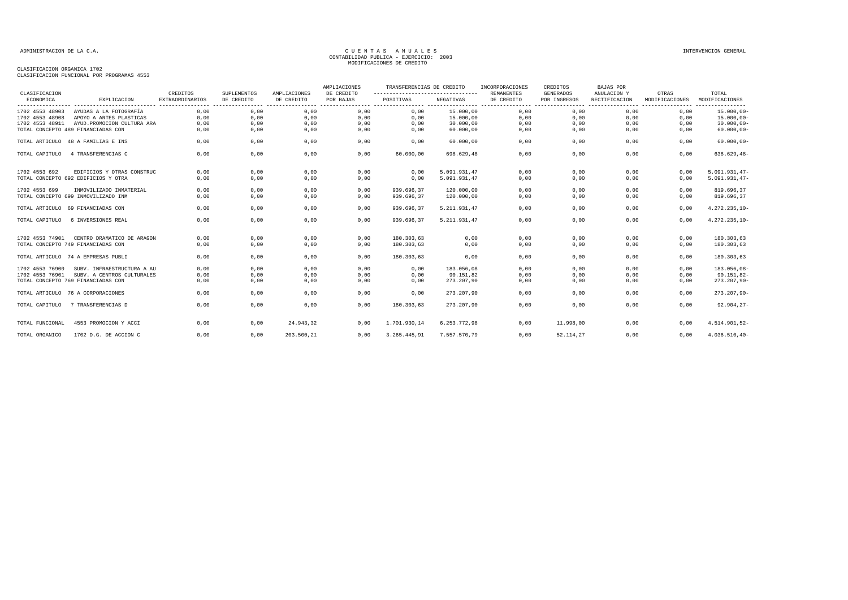| CLASIFICACION                        |                             | CREDITOS               | SUPLEMENTOS | AMPLIACIONES | AMPLIACIONES<br>DE CREDITO | TRANSFERENCIAS DE CREDITO<br>----------------------------------- |              | INCORPORACIONES<br><b>REMANENTES</b> | CREDITOS<br><b>GENERADOS</b> | BAJAS POR<br>ANULACION Y                                | OTRAS          | TOTAL                              |
|--------------------------------------|-----------------------------|------------------------|-------------|--------------|----------------------------|------------------------------------------------------------------|--------------|--------------------------------------|------------------------------|---------------------------------------------------------|----------------|------------------------------------|
| ECONOMICA                            | EXPLICACION                 | <b>EXTRAORDINARIOS</b> | DE CREDITO  | DE CREDITO   | POR BAJAS                  | POSITIVAS                                                        | NEGATIVAS    | DE CREDITO                           | POR INGRESOS<br>. <u>.</u> . | RECTIFICACION<br>-------------------------------------- | MODIFICACIONES | MODIFICACIONES<br>---------------- |
| 1702 4553 48903                      | AYUDAS A LA FOTOGRAFÍA      | 0,00                   | 0,00        | 0,00         | 0,00                       | 0,00                                                             | 15.000,00    | 0,00                                 | 0,00                         | 0,00                                                    | 0,00           | $15.000,00 -$                      |
| 1702 4553 48908                      | APOYO A ARTES PLASTICAS     | 0,00                   | 0,00        | 0,00         | 0,00                       | 0,00                                                             | 15.000,00    | 0,00                                 | 0,00                         | 0,00                                                    | 0,00           | $15.000,00 -$                      |
| 1702 4553 48911                      | AYUD. PROMOCION CULTURA ARA | 0,00                   | 0,00        | 0,00         | 0,00                       | 0,00                                                             | 30.000,00    | 0,00                                 | 0,00                         | 0,00                                                    | 0,00           | $30.000,00-$                       |
| TOTAL CONCEPTO 489 FINANCIADAS CON   |                             | 0,00                   | 0,00        | 0,00         | 0,00                       | 0,00                                                             | 60.000,00    | 0,00                                 | 0,00                         | 0,00                                                    | 0,00           | $60.000,00 -$                      |
| TOTAL ARTICULO 48 A FAMILIAS E INS   |                             | 0,00                   | 0,00        | 0,00         | 0,00                       | 0,00                                                             | 60.000,00    | 0,00                                 | 0,00                         | 0,00                                                    | 0,00           | $60.000,00 -$                      |
| TOTAL CAPITULO<br>4 TRANSFERENCIAS C |                             | 0,00                   | 0,00        | 0,00         | 0,00                       | 60.000,00                                                        | 698.629,48   | 0,00                                 | 0,00                         | 0,00                                                    | 0,00           | $638.629, 48-$                     |
| 1702 4553 692                        | EDIFICIOS Y OTRAS CONSTRUC  | 0,00                   | 0,00        | 0,00         | 0.00                       | 0.00                                                             | 5.091.931,47 | 0,00                                 | 0.00                         | 0,00                                                    | 0.00           | $5.091.931,47-$                    |
| TOTAL CONCEPTO 692 EDIFICIOS Y OTRA  |                             | 0,00                   | 0,00        | 0,00         | 0,00                       | 0,00                                                             | 5.091.931,47 | 0,00                                 | 0,00                         | 0,00                                                    | 0,00           | 5.091.931,47-                      |
| 1702 4553 699                        | INMOVILIZADO INMATERIAL     | 0,00                   | 0,00        | 0,00         | 0,00                       | 939.696.37                                                       | 120.000,00   | 0,00                                 | 0,00                         | 0,00                                                    | 0,00           | 819.696,37                         |
| TOTAL CONCEPTO 699 INMOVILIZADO INM  |                             | 0,00                   | 0,00        | 0,00         | 0,00                       | 939.696,37                                                       | 120.000,00   | 0,00                                 | 0,00                         | 0,00                                                    | 0,00           | 819.696,37                         |
| TOTAL ARTICULO 69 FINANCIADAS CON    |                             | 0,00                   | 0,00        | 0,00         | 0,00                       | 939.696,37                                                       | 5.211.931,47 | 0,00                                 | 0,00                         | 0,00                                                    | 0,00           | 4.272.235,10-                      |
| TOTAL CAPITULO<br>6 INVERSIONES REAL |                             | 0,00                   | 0,00        | 0,00         | 0.00                       | 939.696,37                                                       | 5.211.931,47 | 0,00                                 | 0,00                         | 0.00                                                    | 0,00           | 4.272.235,10-                      |
| 1702 4553 74901                      | CENTRO DRAMATICO DE ARAGON  | 0,00                   | 0,00        | 0,00         | 0,00                       | 180.303,63                                                       | 0,00         | 0,00                                 | 0,00                         | 0,00                                                    | 0,00           | 180.303,63                         |
| TOTAL CONCEPTO 749 FINANCIADAS CON   |                             | 0,00                   | 0,00        | 0,00         | 0,00                       | 180.303,63                                                       | 0,00         | 0,00                                 | 0,00                         | 0,00                                                    | 0,00           | 180.303,63                         |
| TOTAL ARTICULO 74 A EMPRESAS PUBLI   |                             | 0,00                   | 0,00        | 0,00         | 0,00                       | 180.303,63                                                       | 0,00         | 0,00                                 | 0,00                         | 0,00                                                    | 0,00           | 180.303,63                         |
| 1702 4553 76900                      | SUBV. INFRAESTRUCTURA A AU  | 0.00                   | 0.00        | 0,00         | 0.00                       | 0.00                                                             | 183.056.08   | 0,00                                 | 0.00                         | 0.00                                                    | 0.00           | 183.056,08-                        |
| 1702 4553 76901                      | SUBV. A CENTROS CULTURALES  | 0,00                   | 0,00        | 0,00         | 0,00                       | 0,00                                                             | 90.151,82    | 0,00                                 | 0,00                         | 0,00                                                    | 0,00           | $90.151,82-$                       |
| TOTAL CONCEPTO 769 FINANCIADAS CON   |                             | 0,00                   | 0,00        | 0,00         | 0,00                       | 0,00                                                             | 273.207,90   | 0,00                                 | 0,00                         | 0,00                                                    | 0,00           | $273.207,90 -$                     |
| TOTAL ARTICULO 76 A CORPORACIONES    |                             | 0,00                   | 0,00        | 0,00         | 0,00                       | 0,00                                                             | 273.207,90   | 0,00                                 | 0,00                         | 0,00                                                    | 0,00           | $273.207,90 -$                     |
| 7 TRANSFERENCIAS D<br>TOTAL CAPITULO |                             | 0.00                   | 0,00        | 0,00         | 0.00                       | 180.303,63                                                       | 273.207.90   | 0,00                                 | 0,00                         | 0.00                                                    | 0,00           | $92.904, 27 -$                     |
| TOTAL FUNCIONAL                      | 4553 PROMOCION Y ACCI       | 0,00                   | 0,00        | 24.943,32    | 0.00                       | 1.701.930,14                                                     | 6.253.772,98 | 0,00                                 | 11.998,00                    | 0,00                                                    | 0,00           | 4.514.901,52-                      |
| TOTAL ORGANICO                       | 1702 D.G. DE ACCION C       | 0,00                   | 0,00        | 203.500,21   | 0.00                       | 3.265.445,91                                                     | 7.557.570,79 | 0.00                                 | 52.114,27                    | 0.00                                                    | 0.00           | 4.036.510,40-                      |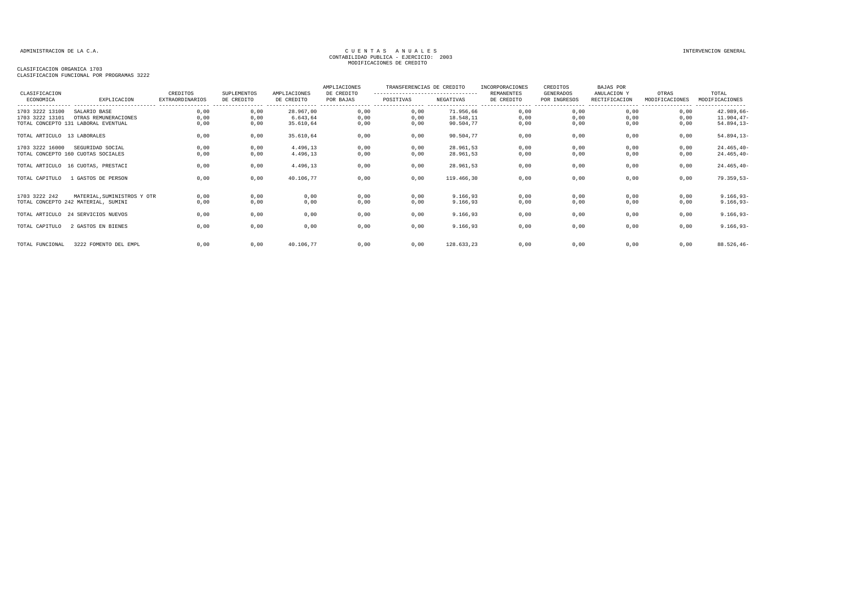| CLASIFICACION<br>ECONOMICA  | EXPLICACION                         | CREDITOS<br><b>EXTRAORDINARIOS</b> | <b>SUPLEMENTOS</b><br>DE CREDITO | AMPLIACIONES<br>DE CREDITO | AMPLIACIONES<br>DE CREDITO<br>POR BAJAS | TRANSFERENCIAS DE CREDITO<br>----------------------------------<br>POSITIVAS | NEGATIVAS  | INCORPORACIONES<br>REMANENTES<br>DE CREDITO | CREDITOS<br>GENERADOS<br>POR INGRESOS | <b>BAJAS POR</b><br>ANULACION Y<br>RECTIFICACION | OTRAS<br>MODIFICACIONES   | TOTAL<br>MODIFICACIONES        |
|-----------------------------|-------------------------------------|------------------------------------|----------------------------------|----------------------------|-----------------------------------------|------------------------------------------------------------------------------|------------|---------------------------------------------|---------------------------------------|--------------------------------------------------|---------------------------|--------------------------------|
| 1703 3222 13100             | SALARIO BASE                        | 0,00                               | 0,00                             | 28.967,00                  | 0,00                                    | 0,00                                                                         | 71.956,66  | 0,00                                        | ----------------<br>0,00              | -----------------<br>0,00                        | -----------------<br>0,00 | ----------------<br>42.989,66- |
| 1703 3222 13101             | OTRAS REMUNERACIONES                | 0,00                               | 0,00                             | 6.643,64                   | 0,00                                    | 0,00                                                                         | 18.548,11  | 0,00                                        | 0,00                                  | 0,00                                             | 0,00                      | $11.904, 47-$                  |
|                             | TOTAL CONCEPTO 131 LABORAL EVENTUAL | 0,00                               | 0,00                             | 35.610.64                  | 0,00                                    | 0,00                                                                         | 90.504,77  | 0,00                                        | 0,00                                  | 0,00                                             | 0,00                      | $54.894, 13-$                  |
| TOTAL ARTICULO 13 LABORALES |                                     | 0,00                               | 0,00                             | 35.610.64                  | 0,00                                    | 0,00                                                                         | 90.504,77  | 0,00                                        | 0,00                                  | 0,00                                             | 0,00                      | $54.894, 13-$                  |
| 1703 3222 16000             | SEGURIDAD SOCIAL                    | 0,00                               | 0,00                             | 4.496.13                   | 0,00                                    | 0,00                                                                         | 28.961.53  | 0,00                                        | 0,00                                  | 0,00                                             | 0,00                      | $24.465, 40-$                  |
|                             | TOTAL CONCEPTO 160 CUOTAS SOCIALES  | 0,00                               | 0,00                             | 4.496,13                   | 0,00                                    | 0,00                                                                         | 28.961,53  | 0,00                                        | 0,00                                  | 0,00                                             | 0,00                      | $24.465, 40-$                  |
|                             | TOTAL ARTICULO 16 CUOTAS, PRESTACI  | 0,00                               | 0,00                             | 4.496,13                   | 0,00                                    | 0,00                                                                         | 28.961,53  | 0,00                                        | 0,00                                  | 0,00                                             | 0,00                      | $24.465, 40-$                  |
| TOTAL CAPITULO              | 1 GASTOS DE PERSON                  | 0,00                               | 0,00                             | 40.106,77                  | 0,00                                    | 0,00                                                                         | 119,466,30 | 0,00                                        | 0,00                                  | 0,00                                             | 0,00                      | $79.359,53-$                   |
|                             |                                     |                                    |                                  |                            |                                         |                                                                              |            |                                             |                                       |                                                  |                           |                                |
| 1703 3222 242               | MATERIAL. SUMINISTROS Y OTR         | 0,00                               | 0,00                             | 0,00                       | 0,00                                    | 0,00                                                                         | 9.166,93   | 0,00                                        | 0,00                                  | 0,00                                             | 0,00                      | $9.166, 93 -$                  |
|                             | TOTAL CONCEPTO 242 MATERIAL, SUMINI | 0,00                               | 0,00                             | 0,00                       | 0,00                                    | 0,00                                                                         | 9.166,93   | 0,00                                        | 0,00                                  | 0,00                                             | 0,00                      | $9.166, 93 -$                  |
|                             | TOTAL ARTICULO 24 SERVICIOS NUEVOS  | 0,00                               | 0,00                             | 0,00                       | 0,00                                    | 0,00                                                                         | 9.166,93   | 0,00                                        | 0,00                                  | 0,00                                             | 0,00                      | $9.166, 93 -$                  |
| TOTAL CAPITULO              | 2 GASTOS EN BIENES                  | 0,00                               | 0,00                             | 0,00                       | 0,00                                    | 0,00                                                                         | 9.166,93   | 0,00                                        | 0,00                                  | 0,00                                             | 0,00                      | $9.166, 93 -$                  |
| TOTAL FUNCIONAL             | 3222 FOMENTO DEL EMPL               | 0.00                               | 0,00                             | 40.106.77                  | 0,00                                    | 0,00                                                                         | 128.633,23 | 0,00                                        | 0,00                                  | 0,00                                             | 0,00                      | $88.526, 46 -$                 |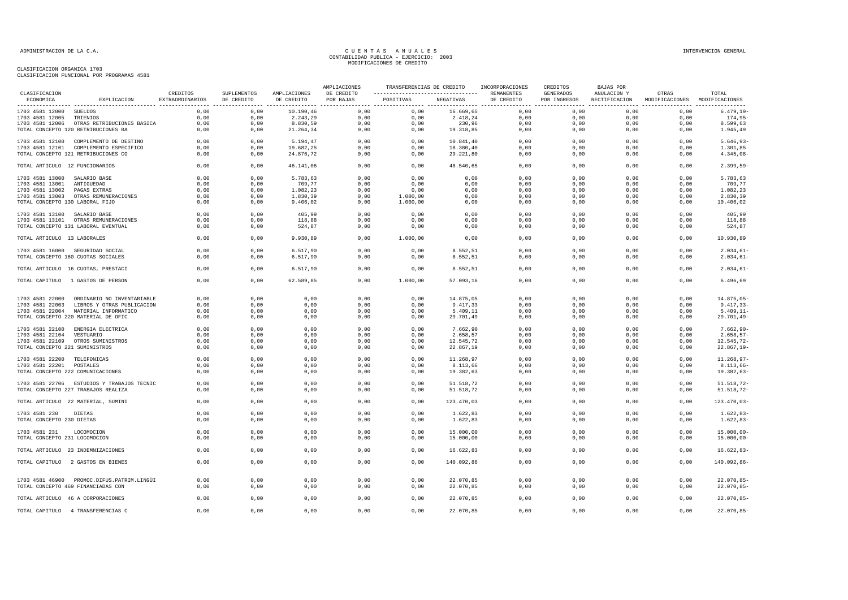| CLASIFICACION                   |                                            | CREDITOS        | SUPLEMENTOS |                            | AMPLIACIONES            | ---------------------------------- REMANENTES |            | TRANSFERENCIAS DE CREDITO INCORPORACIONES | CREDITOS<br>GENERADOS | <b>BAJAS POR</b>                                                       | OTRAS                         | TOTAL            |
|---------------------------------|--------------------------------------------|-----------------|-------------|----------------------------|-------------------------|-----------------------------------------------|------------|-------------------------------------------|-----------------------|------------------------------------------------------------------------|-------------------------------|------------------|
| ECONOMICA                       | EXPLICACION                                | EXTRAORDINARIOS | DE CREDITO  | AMPLIACIONES<br>DE CREDITO | DE CREDITO<br>POR BAJAS | POSITIVAS                                     | NEGATIVAS  | DE CREDITO                                | POR INGRESOS          | ANULACION Y<br>RECTIFICACION<br>-------------------------------------- | MODIFICACIONES MODIFICACIONES | ---------------- |
| 1703 4581 12000 SUELDOS         |                                            | 0,00            | 0,00        | 10.190,46                  | 0,00                    | 0,00                                          | 16.669,65  | 0,00                                      | 0,00                  | 0,00                                                                   | 0,00                          | $6.479, 19-$     |
| 1703 4581 12005                 | TRIENIOS                                   | 0,00            | 0,00        | 2.243,29                   | 0,00                    | 0,00                                          | 2.418,24   | 0,00                                      | 0,00                  | 0,00                                                                   | 0,00                          | 174,95-          |
|                                 | 1703 4581 12006 OTRAS RETRIBUCIONES BASICA | 0,00            | 0,00        | 8.830,59                   | 0,00                    | 0,00                                          | 230,96     | 0,00                                      | 0,00                  | 0,00                                                                   | 0,00                          | 8.599,63         |
|                                 | TOTAL CONCEPTO 120 RETRIBUCIONES BA        | 0,00            | 0,00        | 21.264,34                  | 0,00                    | 0,00                                          | 19.318,85  | 0,00                                      | 0,00                  | 0,00                                                                   | 0,00                          | 1.945,49         |
|                                 | 1703 4581 12100 COMPLEMENTO DE DESTINO     | 0.00            | 0.00        | 5.194.47                   | 0.00                    | 0.00                                          | 10.841.40  | 0.00                                      | 0.00                  | 0.00                                                                   | 0.00                          | $5.646.93-$      |
|                                 | 1703 4581 12101 COMPLEMENTO ESPECIFICO     | 0,00            | 0,00        | 19.682,25                  | 0,00                    | 0,00                                          | 18.380,40  | 0,00                                      | 0,00                  | 0,00                                                                   | 0,00                          | 1.301,85         |
|                                 | TOTAL CONCEPTO 121 RETRIBUCIONES CO        | 0,00            | 0,00        | 24.876,72                  | 0,00                    | 0,00                                          | 29.221,80  | 0,00                                      | 0,00                  | 0,00                                                                   | 0,00                          | $4.345,08-$      |
| TOTAL ARTICULO 12 FUNCIONARIOS  |                                            | 0,00            | 0,00        | 46.141,06                  | 0,00                    | 0,00                                          | 48.540,65  | 0,00                                      | 0,00                  | 0,00                                                                   | 0,00                          | $2.399,59-$      |
| 1703 4581 13000 SALARIO BASE    |                                            | 0,00            | 0,00        | 5.783,63                   | 0,00                    | 0,00                                          | 0,00       | 0,00                                      | 0,00                  | 0,00                                                                   | 0,00                          | 5.783,63         |
| 1703 4581 13001                 | ANTIGUEDAD                                 | 0,00            | 0,00        | 709,77                     | 0,00                    | 0,00                                          | 0,00       | 0,00                                      | 0,00                  | 0,00                                                                   | 0,00                          | 709,77           |
| 1703 4581 13002                 | PAGAS EXTRAS                               | 0,00            | 0,00        | 1.082,23                   | 0,00                    | 0,00                                          | 0,00       | 0,00                                      | 0,00                  | 0,00                                                                   | 0,00                          | 1.082,23         |
|                                 | 1703 4581 13003 OTRAS REMUNERACIONES       | 0,00            | 0,00        | 1.830,39                   | 0,00                    | 1.000,00                                      | 0,00       | 0,00                                      | 0,00                  | 0,00                                                                   | 0,00                          | 2.830,39         |
| TOTAL CONCEPTO 130 LABORAL FIJO |                                            | 0,00            | 0,00        | 9.406,02                   | 0,00                    | 1.000,00                                      | 0,00       | 0,00                                      | 0,00                  | 0,00                                                                   | 0.00                          | 10.406,02        |
| 1703 4581 13100 SALARIO BASE    |                                            | 0,00            | 0,00        | 405,99                     | 0,00                    | 0,00                                          | 0,00       | 0,00                                      | 0,00                  | 0,00                                                                   | 0,00                          | 405,99           |
|                                 | 1703 4581 13101 OTRAS REMUNERACIONES       | 0,00            | 0,00        | 118,88                     | 0,00                    | 0,00                                          | 0,00       | 0,00                                      | 0,00                  | 0,00                                                                   | 0,00                          | 118,88           |
|                                 | TOTAL CONCEPTO 131 LABORAL EVENTUAL        | 0,00            | 0,00        | 524,87                     | 0,00                    | 0,00                                          | 0,00       | 0,00                                      | 0,00                  | 0,00                                                                   | 0,00                          | 524,87           |
| TOTAL ARTICULO 13 LABORALES     |                                            | 0,00            | 0,00        | 9.930,89                   | 0,00                    | 1.000,00                                      | 0,00       | 0,00                                      | 0,00                  | 0,00                                                                   | 0,00                          | 10.930,89        |
|                                 | 1703 4581 16000 SEGURIDAD SOCIAL           | 0,00            | 0,00        | 6.517,90                   | 0,00                    | 0,00                                          | 8.552,51   | 0,00                                      | 0,00                  | 0,00                                                                   | 0,00                          | $2.034,61-$      |
|                                 | TOTAL CONCEPTO 160 CUOTAS SOCIALES         | 0,00            | 0,00        | 6.517,90                   | 0,00                    | 0,00                                          | 8.552,51   | 0,00                                      | 0,00                  | 0,00                                                                   | 0,00                          | $2.034,61-$      |
|                                 | TOTAL ARTICULO 16 CUOTAS, PRESTACI         | 0,00            | 0,00        | 6.517,90                   | 0,00                    | 0,00                                          | 8.552,51   | 0,00                                      | 0,00                  | 0,00                                                                   | 0,00                          | $2.034,61-$      |
|                                 | TOTAL CAPITULO 1 GASTOS DE PERSON          | 0,00            | 0,00        | 62.589,85                  | 0,00                    | 1.000,00                                      | 57.093,16  | 0,00                                      | 0,00                  | 0,00                                                                   | 0,00                          | 6.496,69         |
|                                 | 1703 4581 22000 ORDINARIO NO INVENTARIABLE | 0,00            | 0,00        | 0,00                       | 0,00                    | 0,00                                          | 14.875,05  | 0,00                                      | 0,00                  | 0,00                                                                   | 0,00                          | 14.875,05-       |
| 1703 4581 22003                 | LIBROS Y OTRAS PUBLICACION                 | 0,00            | 0,00        | 0,00                       | 0,00                    | 0,00                                          | 9.417,33   | 0,00                                      | 0,00                  | 0,00                                                                   | 0,00                          | $9.417,33-$      |
|                                 | 1703 4581 22004 MATERIAL INFORMATICO       | 0,00            | 0,00        | 0,00                       | 0,00                    | 0,00                                          | 5.409, 11  | 0,00                                      | 0,00                  | 0,00                                                                   | 0,00                          | $5.409, 11-$     |
|                                 | TOTAL CONCEPTO 220 MATERIAL DE OFIC        | 0,00            | 0,00        | 0,00                       | 0,00                    | 0,00                                          | 29.701,49  | 0,00                                      | 0,00                  | 0,00                                                                   | 0,00                          | $29.701, 49-$    |
|                                 |                                            |                 |             |                            |                         |                                               |            |                                           |                       |                                                                        |                               |                  |
|                                 | 1703 4581 22100 ENERGIA ELECTRICA          | 0,00            | 0,00        | 0,00                       | 0.00                    | 0,00                                          | 7.662,90   | 0,00                                      | 0,00                  | 0,00                                                                   | 0,00                          | $7.662.90 -$     |
| 1703 4581 22104 VESTUARIO       |                                            | 0,00            | 0,00        | 0,00                       | 0,00                    | 0,00                                          | 2.658,57   | 0,00                                      | 0,00                  | 0,00                                                                   | 0,00                          | $2.658, 57-$     |
|                                 | 1703 4581 22109 OTROS SUMINISTROS          | 0,00            | 0,00        | 0,00                       | 0,00                    | 0,00                                          | 12.545,72  | 0,00                                      | 0,00                  | 0,00                                                                   | 0,00                          | 12.545,72-       |
| TOTAL CONCEPTO 221 SUMINISTROS  |                                            | 0,00            | 0,00        | 0,00                       | 0,00                    | 0,00                                          | 22.867,19  | 0,00                                      | 0,00                  | 0,00                                                                   | 0,00                          | $22.867, 19-$    |
| 1703 4581 22200 TELEFONICAS     |                                            | 0,00            | 0,00        | 0,00                       | 0,00                    | 0,00                                          | 11.268,97  | 0,00                                      | 0,00                  | 0,00                                                                   | 0,00                          | 11.268,97-       |
| 1703 4581 22201 POSTALES        |                                            | 0,00            | 0,00        | 0,00                       | 0,00                    | 0,00                                          | 8.113,66   | 0,00                                      | 0,00                  | 0,00                                                                   | 0,00                          | $8.113,66 -$     |
|                                 | TOTAL CONCEPTO 222 COMUNICACIONES          | 0,00            | 0,00        | 0,00                       | 0,00                    | 0,00                                          | 19.382,63  | 0,00                                      | 0,00                  | 0,00                                                                   | 0,00                          | 19.382,63-       |
|                                 |                                            |                 | 0.00        |                            |                         |                                               |            |                                           |                       |                                                                        |                               |                  |
|                                 | 1703 4581 22706 ESTUDIOS Y TRABAJOS TECNIC | 0,00            |             | 0,00                       | 0,00                    | 0,00                                          | 51.518,72  | 0,00                                      | 0,00                  | 0,00                                                                   | 0,00                          | $51.518, 72-$    |
|                                 | TOTAL CONCEPTO 227 TRABAJOS REALIZA        | 0,00            | 0,00        | 0,00                       | 0,00                    | 0,00                                          | 51.518,72  | 0,00                                      | 0,00                  | 0,00                                                                   | 0,00                          | 51.518,72-       |
|                                 | TOTAL ARTICULO 22 MATERIAL, SUMINI         | 0,00            | 0,00        | 0,00                       | 0,00                    | 0,00                                          | 123.470,03 | 0,00                                      | 0,00                  | 0,00                                                                   | 0,00                          | $123.470,03-$    |
| 1703 4581 230                   | DIETAS                                     | 0,00            | 0,00        | 0,00                       | 0,00                    | 0,00                                          | 1.622,83   | 0,00                                      | 0,00                  | 0,00                                                                   | 0,00                          | $1.622, 83-$     |
| TOTAL CONCEPTO 230 DIETAS       |                                            | 0,00            | 0,00        | 0,00                       | 0,00                    | 0,00                                          | 1.622,83   | 0,00                                      | 0,00                  | 0,00                                                                   | 0,00                          | $1.622, 83-$     |
| 1703 4581 231                   | LOCOMOCION                                 | 0,00            | 0.00        | 0,00                       | 0,00                    | 0,00                                          | 15.000,00  | 0,00                                      | 0,00                  | 0,00                                                                   | 0,00                          | $15.000,00 -$    |
| TOTAL CONCEPTO 231 LOCOMOCION   |                                            | 0,00            | 0,00        | 0,00                       | 0,00                    | 0,00                                          | 15.000,00  | 0,00                                      | 0,00                  | 0,00                                                                   | 0,00                          | $15.000,00 -$    |
|                                 | TOTAL ARTICULO 23 INDEMNIZACIONES          | 0,00            | 0,00        | 0,00                       | 0,00                    | 0,00                                          | 16.622,83  | 0,00                                      | 0,00                  | 0,00                                                                   | 0,00                          | $16.622, 83-$    |
|                                 | TOTAL CAPITULO 2 GASTOS EN BIENES          | 0,00            | 0,00        | 0,00                       | 0,00                    | 0,00                                          | 140.092,86 | 0,00                                      | 0,00                  | 0,00                                                                   | 0,00                          | 140.092,86-      |
|                                 |                                            |                 |             |                            |                         |                                               |            |                                           |                       |                                                                        |                               |                  |
|                                 | 1703 4581 46900 PROMOC.DIFUS.PATRIM.LINGÜI | 0,00            | 0,00        | 0,00                       | 0,00                    | 0,00                                          | 22.070,85  | 0,00                                      | 0,00                  | 0,00                                                                   | 0,00                          | $22.070,85-$     |
|                                 | TOTAL CONCEPTO 469 FINANCIADAS CON         | 0,00            | 0,00        | 0,00                       | 0,00                    | 0,00                                          | 22.070,85  | 0,00                                      | 0,00                  | 0,00                                                                   | 0,00                          | $22.070, 85 -$   |
|                                 | TOTAL ARTICULO 46 A CORPORACIONES          | 0,00            | 0,00        | 0,00                       | 0,00                    | 0,00                                          | 22.070,85  | 0,00                                      | 0,00                  | 0,00                                                                   | 0,00                          | $22.070, 85 -$   |
|                                 | TOTAL CAPITULO 4 TRANSFERENCIAS C          | 0,00            | 0,00        | 0,00                       | 0,00                    | 0,00                                          | 22.070,85  | 0,00                                      | 0,00                  | 0,00                                                                   | 0,00                          | $22.070, 85 -$   |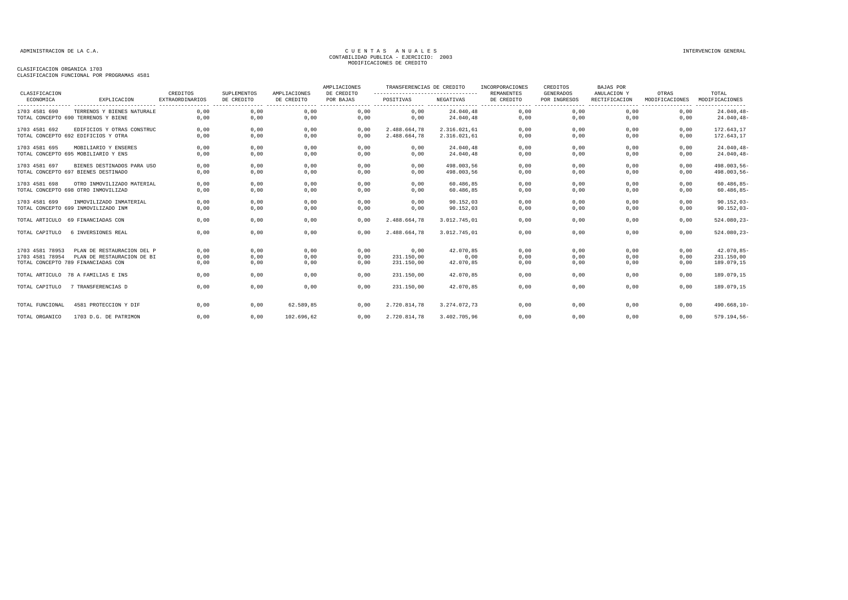| CLASIFICACION   |                                     | CREDITOS               | <b>SUPLEMENTOS</b> | AMPLIACIONES | AMPLIACIONES<br>DE CREDITO | TRANSFERENCIAS DE CREDITO<br>---------------------------------- |              | INCORPORACIONES<br><b>REMANENTES</b> | CREDITOS<br><b>GENERADOS</b> | <b>BAJAS POR</b><br>ANULACION Y | OTRAS          | TOTAL           |
|-----------------|-------------------------------------|------------------------|--------------------|--------------|----------------------------|-----------------------------------------------------------------|--------------|--------------------------------------|------------------------------|---------------------------------|----------------|-----------------|
| ECONOMICA       | EXPLICACION                         | <b>EXTRAORDINARIOS</b> | DE CREDITO         | DE CREDITO   | POR BAJAS                  | POSITIVAS                                                       | NEGATIVAS    | DE CREDITO                           | POR INGRESOS                 | RECTIFICACION                   | MODIFICACIONES | MODIFICACIONES  |
| 1703 4581 690   | TERRENOS Y BIENES NATURALE          | 0,00                   | 0,00               | 0,00         | 0,00                       | 0,00                                                            | 24.040,48    | 0,00                                 | 0,00                         | 0,00                            | 0,00           | $24.040, 48-$   |
|                 | TOTAL CONCEPTO 690 TERRENOS Y BIENE | 0,00                   | 0,00               | 0,00         | 0,00                       | 0,00                                                            | 24.040.48    | 0,00                                 | 0,00                         | 0.00                            | 0,00           | $24.040, 48 -$  |
| 1703 4581 692   | EDIFICIOS Y OTRAS CONSTRUC          | 0,00                   | 0,00               | 0,00         | 0,00                       | 2.488.664.78                                                    | 2.316.021.61 | 0,00                                 | 0,00                         | 0,00                            | 0,00           | 172.643,17      |
|                 | TOTAL CONCEPTO 692 EDIFICIOS Y OTRA | 0,00                   | 0,00               | 0,00         | 0,00                       | 2.488.664,78                                                    | 2.316.021,61 | 0,00                                 | 0,00                         | 0,00                            | 0,00           | 172.643,17      |
| 1703 4581 695   | MOBILIARIO Y ENSERES                | 0,00                   | 0,00               | 0,00         | 0,00                       | 0,00                                                            | 24.040,48    | 0,00                                 | 0,00                         | 0,00                            | 0,00           | 24.040,48-      |
|                 | TOTAL CONCEPTO 695 MOBILIARIO Y ENS | 0,00                   | 0,00               | 0,00         | 0,00                       | 0,00                                                            | 24.040.48    | 0,00                                 | 0,00                         | 0,00                            | 0,00           | $24.040, 48-$   |
| 1703 4581 697   | BIENES DESTINADOS PARA USO          | 0,00                   | 0,00               | 0,00         | 0,00                       | 0,00                                                            | 498.003.56   | 0,00                                 | 0,00                         | 0,00                            | 0,00           | 498.003,56-     |
|                 | TOTAL CONCEPTO 697 BIENES DESTINADO | 0,00                   | 0,00               | 0,00         | 0,00                       | 0,00                                                            | 498.003,56   | 0,00                                 | 0,00                         | 0,00                            | 0,00           | $498.003,56 -$  |
| 1703 4581 698   | OTRO INMOVILIZADO MATERIAL          | 0.00                   | 0.00               | 0.00         | 0.00                       | 0.00                                                            | 60.486.85    | 0,00                                 | 0.00                         | 0.00                            | 0.00           | $60.486, 85 -$  |
|                 | TOTAL CONCEPTO 698 OTRO INMOVILIZAD | 0,00                   | 0,00               | 0,00         | 0,00                       | 0,00                                                            | 60.486,85    | 0,00                                 | 0,00                         | 0,00                            | 0,00           | $60.486, 85 -$  |
| 1703 4581 699   | INMOVILIZADO INMATERIAL             | 0,00                   | 0,00               | 0,00         | 0,00                       | 0,00                                                            | 90.152,03    | 0,00                                 | 0,00                         | 0,00                            | 0,00           | $90.152,03-$    |
|                 | TOTAL CONCEPTO 699 INMOVILIZADO INM | 0,00                   | 0,00               | 0,00         | 0,00                       | 0,00                                                            | 90.152,03    | 0,00                                 | 0,00                         | 0,00                            | 0,00           | $90.152,03-$    |
|                 | TOTAL ARTICULO 69 FINANCIADAS CON   | 0.00                   | 0.00               | 0,00         | 0.00                       | 2.488.664,78                                                    | 3.012.745.01 | 0,00                                 | 0,00                         | 0.00                            | 0,00           | $524.080, 23 -$ |
| TOTAL CAPITULO  | 6 INVERSIONES REAL                  | 0.00                   | 0,00               | 0,00         | 0.00                       | 2.488.664.78                                                    | 3.012.745.01 | 0.00                                 | 0,00                         | 0.00                            | 0,00           | 524.080,23-     |
| 1703 4581 78953 | PLAN DE RESTAURACION DEL P          | 0,00                   | 0,00               | 0,00         | 0,00                       | 0,00                                                            | 42.070,85    | 0,00                                 | 0,00                         | 0,00                            | 0,00           | $42.070, 85 -$  |
| 1703 4581 78954 | PLAN DE RESTAURACION DE BI          | 0,00                   | 0,00               | 0,00         | 0,00                       | 231.150,00                                                      | 0,00         | 0,00                                 | 0,00                         | 0,00                            | 0,00           | 231.150,00      |
|                 | TOTAL CONCEPTO 789 FINANCIADAS CON  | 0,00                   | 0,00               | 0,00         | 0,00                       | 231.150,00                                                      | 42.070,85    | 0,00                                 | 0,00                         | 0,00                            | 0,00           | 189.079,15      |
|                 | TOTAL ARTICULO 78 A FAMILIAS E INS  | 0,00                   | 0,00               | 0,00         | 0,00                       | 231.150,00                                                      | 42.070,85    | 0,00                                 | 0,00                         | 0,00                            | 0,00           | 189.079,15      |
| TOTAL CAPITULO  | 7 TRANSFERENCIAS D                  | 0,00                   | 0,00               | 0,00         | 0,00                       | 231.150,00                                                      | 42.070,85    | 0,00                                 | 0,00                         | 0,00                            | 0,00           | 189.079,15      |
| TOTAL FUNCIONAL | 4581 PROTECCION Y DIF               | 0,00                   | 0,00               | 62.589.85    | 0,00                       | 2.720.814,78                                                    | 3.274.072.73 | 0,00                                 | 0,00                         | 0,00                            | 0,00           | 490.668,10-     |
| TOTAL ORGANICO  | 1703 D.G. DE PATRIMON               | 0,00                   | 0,00               | 102.696,62   | 0,00                       | 2.720.814,78                                                    | 3.402.705,96 | 0,00                                 | 0,00                         | 0,00                            | 0,00           | 579.194,56-     |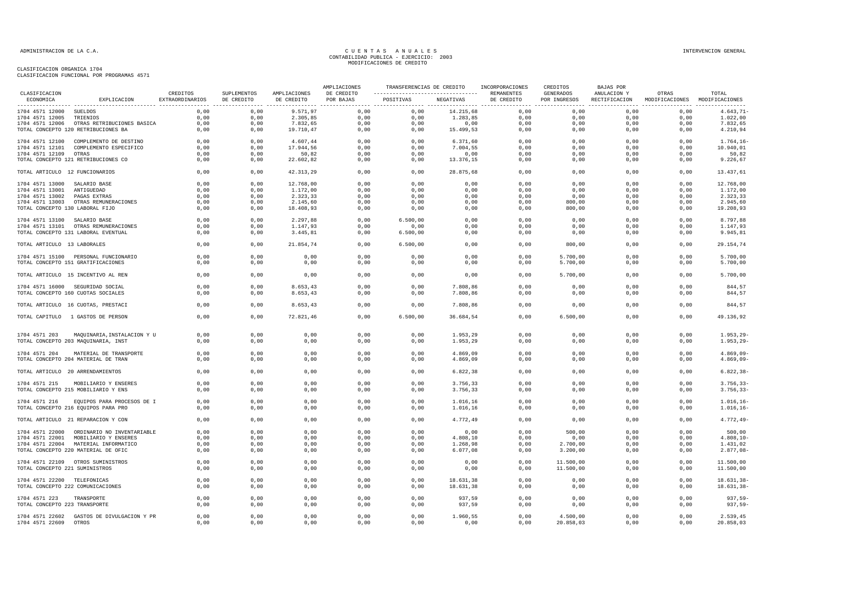|                                   |                                            |                             |                           |                            | AMPLIACIONES            | TRANSFERENCIAS DE CREDITO                       |           | INCORPORACIONES          | CREDITOS                  | BAJAS POR                    |                                        |                   |
|-----------------------------------|--------------------------------------------|-----------------------------|---------------------------|----------------------------|-------------------------|-------------------------------------------------|-----------|--------------------------|---------------------------|------------------------------|----------------------------------------|-------------------|
| CLASIFICACION<br>ECONOMICA        | EXPLICACION                                | CREDITOS<br>EXTRAORDINARIOS | SUPLEMENTOS<br>DE CREDITO | AMPLIACIONES<br>DE CREDITO | DE CREDITO<br>POR BAJAS | ----------------------------------<br>POSITIVAS | NEGATIVAS | REMANENTES<br>DE CREDITO | GENERADOS<br>POR INGRESOS | ANULACION Y<br>RECTIFICACION | OTRAS<br>MODIFICACIONES MODIFICACIONES | TOTAL<br>-------- |
| 1704 4571 12000 SUELDOS           |                                            | 0,00                        | 0,00                      | 9.571,97                   | 0,00                    | 0,00                                            | 14.215,68 | 0,00                     | 0,00                      | 0,00                         | 0,00                                   | $4.643, 71-$      |
| 1704 4571 12005                   | TRIENIOS                                   | 0,00                        | 0,00                      | 2.305,85                   | 0,00                    | 0,00                                            | 1.283,85  | 0,00                     | 0,00                      | 0,00                         | 0,00                                   | 1.022,00          |
|                                   | 1704 4571 12006 OTRAS RETRIBUCIONES BASICA | 0,00                        | 0,00                      | 7.832,65                   | 0,00                    | 0,00                                            | 0,00      | 0,00                     | 0,00                      | 0,00                         | 0,00                                   | 7.832,65          |
|                                   | TOTAL CONCEPTO 120 RETRIBUCIONES BA        | 0,00                        | 0,00                      | 19.710,47                  | 0,00                    | 0,00                                            | 15.499,53 | 0,00                     | 0,00                      | 0,00                         | 0,00                                   | 4.210,94          |
|                                   | 1704 4571 12100 COMPLEMENTO DE DESTINO     | 0,00                        | 0,00                      | 4.607,44                   | 0,00                    | 0,00                                            | 6.371, 60 | 0,00                     | 0,00                      | 0,00                         | 0,00                                   | $1.764, 16-$      |
|                                   | 1704 4571 12101 COMPLEMENTO ESPECIFICO     | 0,00                        | 0,00                      | 17.944,56                  | 0,00                    | 0,00                                            | 7.004,55  | 0,00                     | 0.00                      | 0,00                         | 0,00                                   | 10.940,01         |
| 1704 4571 12109 OTRAS             |                                            | 0,00                        | 0,00                      | 50,82                      | 0,00                    | 0,00                                            | 0,00      | 0,00                     | 0,00                      | 0,00                         | 0,00                                   | 50,82             |
|                                   | TOTAL CONCEPTO 121 RETRIBUCIONES CO        | 0,00                        | 0,00                      | 22.602,82                  | 0,00                    | 0,00                                            | 13.376,15 | 0,00                     | 0,00                      | 0,00                         | 0,00                                   | 9.226,67          |
| TOTAL ARTICULO 12 FUNCIONARIOS    |                                            | 0,00                        | 0,00                      | 42.313,29                  | 0,00                    | 0,00                                            | 28.875,68 | 0,00                     | 0,00                      | 0,00                         | 0,00                                   | 13.437,61         |
| 1704 4571 13000                   | SALARIO BASE                               | 0,00                        | 0,00                      | 12.768,00                  | 0,00                    | 0,00                                            | 0,00      | 0,00                     | 0,00                      | 0,00                         | 0,00                                   | 12.768,00         |
| 1704 4571 13001                   | ANTIGUEDAD                                 | 0,00                        | 0,00                      | 1.172,00                   | 0,00                    | 0,00                                            | 0,00      | 0,00                     | 0,00                      | 0,00                         | 0,00                                   | 1.172,00          |
| 1704 4571 13002                   | PAGAS EXTRAS                               | 0,00                        | 0,00                      | 2.323,33                   | 0,00                    | 0,00                                            | 0,00      | 0,00                     | 0,00                      | 0,00                         | 0,00                                   | 2.323,33          |
|                                   | 1704 4571 13003 OTRAS REMUNERACIONES       | 0,00                        | 0,00                      | 2.145,60                   | 0,00                    | 0,00                                            | 0,00      | 0,00                     | 800,00                    | 0,00                         | 0,00                                   | 2.945,60          |
| TOTAL CONCEPTO 130 LABORAL FIJO   |                                            | 0,00                        | 0,00                      | 18.408,93                  | 0,00                    | 0,00                                            | 0,00      | 0,00                     | 800,00                    | 0,00                         | 0,00                                   | 19.208,93         |
| 1704 4571 13100 SALARIO BASE      |                                            | 0,00                        | 0,00                      | 2.297,88                   | 0,00                    | 6.500,00                                        | 0,00      | 0,00                     | 0,00                      | 0,00                         | 0,00                                   | 8.797,88          |
|                                   | 1704 4571 13101 OTRAS REMUNERACIONES       | 0,00                        | 0,00                      | 1.147,93                   | 0,00                    | 0,00                                            | 0,00      | 0,00                     | 0,00                      | 0,00                         | 0,00                                   | 1.147,93          |
|                                   | TOTAL CONCEPTO 131 LABORAL EVENTUAL        | 0,00                        | 0,00                      | 3.445,81                   | 0,00                    | 6.500,00                                        | 0,00      | 0,00                     | 0,00                      | 0,00                         | 0,00                                   | 9.945,81          |
| TOTAL ARTICULO 13 LABORALES       |                                            | 0,00                        | 0,00                      | 21.854,74                  | 0,00                    | 6.500,00                                        | 0,00      | 0,00                     | 800,00                    | 0,00                         | 0,00                                   | 29.154,74         |
|                                   | 1704 4571 15100 PERSONAL FUNCIONARIO       | 0,00                        | 0,00                      | 0,00                       | 0,00                    | 0,00                                            | 0,00      | 0,00                     | 5.700,00                  | 0,00                         | 0,00                                   | 5.700,00          |
|                                   | TOTAL CONCEPTO 151 GRATIFICACIONES         | 0,00                        | 0,00                      | 0,00                       | 0,00                    | 0,00                                            | 0,00      | 0,00                     | 5.700,00                  | 0,00                         | 0,00                                   | 5.700,00          |
|                                   | TOTAL ARTICULO 15 INCENTIVO AL REN         | 0,00                        | 0,00                      | 0,00                       | 0,00                    | 0,00                                            | 0,00      | 0,00                     | 5.700,00                  | 0,00                         | 0,00                                   | 5.700,00          |
|                                   | 1704 4571 16000 SEGURIDAD SOCIAL           | 0.00                        | 0.00                      | 8.653.43                   | 0.00                    | 0.00                                            | 7.808.86  | 0.00                     | 0.00                      | 0.00                         | 0.00                                   | 844.57            |
|                                   | TOTAL CONCEPTO 160 CUOTAS SOCIALES         | 0,00                        | 0,00                      | 8.653, 43                  | 0,00                    | 0,00                                            | 7.808,86  | 0,00                     | 0,00                      | 0,00                         | 0,00                                   | 844,57            |
|                                   | TOTAL ARTICULO 16 CUOTAS, PRESTACI         | 0,00                        | 0,00                      | 8.653,43                   | 0,00                    | 0,00                                            | 7.808,86  | 0,00                     | 0,00                      | 0,00                         | 0,00                                   | 844,57            |
|                                   |                                            |                             |                           |                            |                         |                                                 |           |                          |                           |                              |                                        |                   |
|                                   | TOTAL CAPITULO 1 GASTOS DE PERSON          | 0,00                        | 0,00                      | 72.821,46                  | 0,00                    | 6.500,00                                        | 36.684,54 | 0,00                     | 6.500,00                  | 0,00                         | 0,00                                   | 49.136,92         |
| 1704 4571 203                     | MAQUINARIA, INSTALACION Y U                | 0.00                        | 0.00                      | 0.00                       | 0.00                    | 0.00                                            | 1.953.29  | 0.00                     | 0.00                      | 0.00                         | 0.00                                   | $1.953.29 -$      |
|                                   | TOTAL CONCEPTO 203 MAQUINARIA, INST        | 0,00                        | 0,00                      | 0,00                       | 0,00                    | 0,00                                            | 1.953,29  | 0,00                     | 0,00                      | 0,00                         | 0,00                                   | $1.953, 29-$      |
|                                   |                                            |                             |                           |                            |                         |                                                 |           |                          |                           |                              |                                        |                   |
| 1704 4571 204                     | MATERIAL DE TRANSPORTE                     | 0,00                        | 0,00                      | 0,00                       | 0,00                    | 0,00                                            | 4.869,09  | 0,00                     | 0,00                      | 0,00                         | 0,00                                   | 4.869,09-         |
|                                   | TOTAL CONCEPTO 204 MATERIAL DE TRAN        | 0,00                        | 0,00                      | 0,00                       | 0,00                    | 0,00                                            | 4.869,09  | 0,00                     | 0,00                      | 0,00                         | 0,00                                   | $4.869,09-$       |
| TOTAL ARTICULO 20 ARRENDAMIENTOS  |                                            | 0,00                        | 0,00                      | 0,00                       | 0,00                    | 0,00                                            | 6.822,38  | 0,00                     | 0,00                      | 0,00                         | 0,00                                   | $6.822, 38-$      |
| 1704 4571 215                     | MOBILIARIO Y ENSERES                       | 0,00                        | 0,00                      | 0,00                       | 0,00                    | 0,00                                            | 3.756,33  | 0,00                     | 0,00                      | 0,00                         | 0,00                                   | $3.756, 33-$      |
|                                   | TOTAL CONCEPTO 215 MOBILIARIO Y ENS        | 0,00                        | 0,00                      | 0,00                       | 0,00                    | 0,00                                            | 3.756,33  | 0,00                     | 0,00                      | 0,00                         | 0,00                                   | $3.756, 33-$      |
| 1704 4571 216                     | EQUIPOS PARA PROCESOS DE I                 | 0,00                        | 0,00                      | 0,00                       | 0,00                    | 0,00                                            | 1.016,16  | 0,00                     | 0,00                      | 0,00                         | 0,00                                   | $1.016, 16 -$     |
|                                   | TOTAL CONCEPTO 216 EQUIPOS PARA PRO        | 0,00                        | 0,00                      | 0,00                       | 0,00                    | 0,00                                            | 1.016,16  | 0,00                     | 0,00                      | 0,00                         | 0,00                                   | $1.016, 16 -$     |
|                                   | TOTAL ARTICULO 21 REPARACION Y CON         | 0,00                        | 0,00                      | 0,00                       | 0,00                    | 0,00                                            | 4.772,49  | 0,00                     | 0,00                      | 0,00                         | 0,00                                   | $4.772, 49-$      |
|                                   | 1704 4571 22000 ORDINARIO NO INVENTARIABLE | 0,00                        | 0,00                      | 0,00                       | 0,00                    | 0,00                                            | 0,00      | 0,00                     | 500,00                    | 0,00                         | 0,00                                   | 500,00            |
|                                   | 1704 4571 22001 MOBILIARIO Y ENSERES       | 0.00                        | 0,00                      | 0,00                       | 0,00                    | 0,00                                            | 4.808,10  | 0,00                     | 0,00                      | 0,00                         | 0,00                                   | 4.808,10-         |
|                                   | 1704 4571 22004 MATERIAL INFORMATICO       | 0,00                        | 0,00                      | 0,00                       | 0,00                    | 0,00                                            | 1.268,98  | 0,00                     | 2.700,00                  | 0,00                         | 0,00                                   | 1.431,02          |
|                                   | TOTAL CONCEPTO 220 MATERIAL DE OFIC        | 0,00                        | 0,00                      | 0,00                       | 0,00                    | 0,00                                            | 6.077,08  | 0,00                     | 3.200,00                  | 0,00                         | 0,00                                   | 2.877,08-         |
|                                   |                                            |                             |                           |                            |                         |                                                 |           |                          |                           |                              |                                        |                   |
|                                   | 1704 4571 22109 OTROS SUMINISTROS          | 0,00                        | 0,00                      | 0,00                       | 0,00                    | 0,00                                            | 0,00      | 0,00                     | 11.500,00                 | 0,00                         | 0,00                                   | 11.500,00         |
| TOTAL CONCEPTO 221 SUMINISTROS    |                                            | 0,00                        | 0,00                      | 0,00                       | 0,00                    | 0,00                                            | 0,00      | 0,00                     | 11.500,00                 | 0,00                         | 0,00                                   | 11.500,00         |
| 1704 4571 22200 TELEFONICAS       |                                            | 0,00                        | 0,00                      | 0,00                       | 0,00                    | 0,00                                            | 18.631,38 | 0,00                     | 0,00                      | 0,00                         | 0,00                                   | $18.631, 38 -$    |
| TOTAL CONCEPTO 222 COMUNICACIONES |                                            | 0,00                        | 0,00                      | 0,00                       | 0,00                    | 0,00                                            | 18.631,38 | 0,00                     | 0,00                      | 0,00                         | 0,00                                   | $18.631, 38 -$    |
| 1704 4571 223                     | TRANSPORTE                                 | 0,00                        | 0,00                      | 0,00                       | 0,00                    | 0,00                                            | 937,59    | 0,00                     | 0,00                      | 0,00                         | 0,00                                   | $937,59-$         |
| TOTAL CONCEPTO 223 TRANSPORTE     |                                            | 0,00                        | 0,00                      | 0,00                       | 0,00                    | 0,00                                            | 937,59    | 0,00                     | 0,00                      | 0,00                         | 0,00                                   | $937,59-$         |
|                                   |                                            |                             |                           |                            |                         |                                                 |           |                          |                           |                              |                                        |                   |
|                                   | 1704 4571 22602 GASTOS DE DIVULGACION Y PR | 0,00                        | 0,00                      | 0,00                       | 0,00                    | 0,00                                            | 1.960,55  | 0,00                     | 4.500,00                  | 0,00                         | 0,00                                   | 2.539,45          |
| 1704 4571 22609                   | OTROS                                      | 0,00                        | 0,00                      | 0,00                       | 0,00                    | 0,00                                            | 0,00      | 0,00                     | 20.858,03                 | 0,00                         | 0,00                                   | 20.858,03         |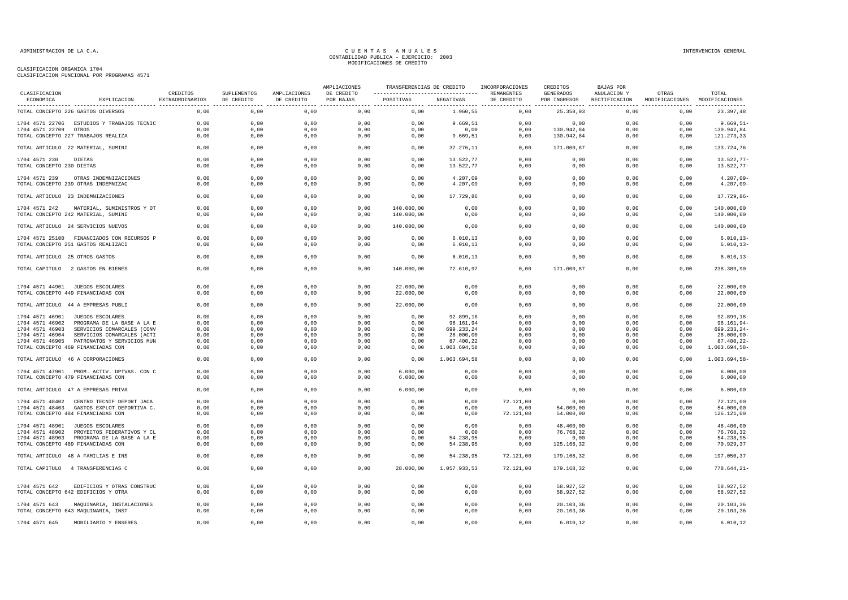| CLASIFICACION             |                                            |                             |                           |                            | AMPLIACIONES            |                                                                       |              | TRANSFERENCIAS DE CREDITO INCORPORACIONES | CREDITOS                  | BAJAS POR   |                                                      |                 |
|---------------------------|--------------------------------------------|-----------------------------|---------------------------|----------------------------|-------------------------|-----------------------------------------------------------------------|--------------|-------------------------------------------|---------------------------|-------------|------------------------------------------------------|-----------------|
| ECONOMICA                 | EXPLICACION                                | CREDITOS<br>EXTRAORDINARIOS | SUPLEMENTOS<br>DE CREDITO | AMPLIACIONES<br>DE CREDITO | DE CREDITO<br>POR BAJAS | ----------------------------------- REMANENTES<br>POSITIVAS NEGATIVAS |              | DE CREDITO                                | GENERADOS<br>POR INGRESOS | ANULACION Y | OTRAS<br>RECTIFICACION MODIFICACIONES MODIFICACIONES | TOTAL           |
|                           | TOTAL CONCEPTO 226 GASTOS DIVERSOS         | 0,00                        | 0,00                      | 0,00                       | 0,00                    | 0,00                                                                  | 1.960,55     | 0,00                                      | 25.358,03                 | 0,00        | 0,00                                                 | 23.397,48       |
|                           | 1704 4571 22706 ESTUDIOS Y TRABAJOS TECNIC | 0,00                        | 0,00                      | 0,00                       | 0,00                    | 0,00                                                                  | 9.669,51     | 0,00                                      | 0,00                      | 0,00        | 0,00                                                 | $9.669, 51 -$   |
| 1704 4571 22709 OTROS     |                                            | 0,00                        | 0,00                      | 0,00                       | 0,00                    | 0,00                                                                  | 0,00         | 0,00                                      | 130.942,84                | 0,00        | 0,00                                                 | 130.942,84      |
|                           | TOTAL CONCEPTO 227 TRABAJOS REALIZA        | 0,00                        | 0,00                      | 0,00                       | 0,00                    | 0,00                                                                  | 9.669,51     | 0,00                                      | 130.942,84                | 0,00        | 0,00                                                 | 121.273,33      |
|                           | TOTAL ARTICULO 22 MATERIAL, SUMINI         | 0,00                        | 0,00                      | 0,00                       | 0,00                    | 0,00                                                                  | 37.276,11    | 0,00                                      | 171.000,87                | 0,00        | 0,00                                                 | 133.724,76      |
| 1704 4571 230             | DIETAS                                     | 0,00                        | 0,00                      | 0,00                       | 0,00                    | 0,00                                                                  | 13.522,77    | 0,00                                      | 0,00                      | 0,00        | 0,00                                                 | 13.522,77-      |
| TOTAL CONCEPTO 230 DIETAS |                                            | 0,00                        | 0,00                      | 0,00                       | 0,00                    | 0,00                                                                  | 13.522,77    | 0,00                                      | 0,00                      | 0,00        | 0,00                                                 | 13.522,77-      |
| 1704 4571 239             | OTRAS INDEMNIZACIONES                      | 0,00                        | 0,00                      | 0,00                       | 0,00                    | 0,00                                                                  | 4.207,09     | 0,00                                      | 0,00                      | 0,00        | 0,00                                                 | $4.207,09-$     |
|                           | TOTAL CONCEPTO 239 OTRAS INDEMNIZAC        | 0,00                        | 0,00                      | 0,00                       | 0,00                    | 0,00                                                                  | 4.207,09     | 0,00                                      | 0,00                      | 0,00        | 0,00                                                 | $4.207,09-$     |
|                           | TOTAL ARTICULO 23 INDEMNIZACIONES          | 0,00                        | 0,00                      | 0,00                       | 0,00                    | 0,00                                                                  | 17.729,86    | 0,00                                      | 0,00                      | 0,00        | 0,00                                                 | 17.729,86-      |
| 1704 4571 242             | MATERIAL, SUMINISTROS Y OT                 | 0.00                        | 0,00                      | 0.00                       | 0.00                    | 140,000,00                                                            | 0.00         | 0.00                                      | 0.00                      | 0.00        | 0.00                                                 | 140.000.00      |
|                           | TOTAL CONCEPTO 242 MATERIAL, SUMINI        | 0,00                        | 0,00                      | 0,00                       | 0,00                    | 140.000,00                                                            | 0,00         | 0,00                                      | 0,00                      | 0,00        | 0,00                                                 | 140.000,00      |
|                           | TOTAL ARTICULO 24 SERVICIOS NUEVOS         | 0,00                        | 0,00                      | 0,00                       | 0,00                    | 140.000,00                                                            | 0,00         | 0,00                                      | 0,00                      | 0,00        | 0,00                                                 | 140.000,00      |
|                           | 1704 4571 25100 FINANCIADOS CON RECURSOS P | 0,00                        | 0,00                      | 0,00                       | 0,00                    | 0,00                                                                  | 6.010, 13    | 0,00                                      | 0,00                      | 0,00        | 0,00                                                 | $6.010, 13-$    |
|                           | TOTAL CONCEPTO 251 GASTOS REALIZACI        | 0,00                        | 0,00                      | 0,00                       | 0,00                    | 0,00                                                                  | 6.010, 13    | 0,00                                      | 0,00                      | 0,00        | 0,00                                                 | $6.010, 13-$    |
|                           | TOTAL ARTICULO 25 OTROS GASTOS             | 0,00                        | 0,00                      | 0,00                       | 0,00                    | 0,00                                                                  | 6.010, 13    | 0,00                                      | 0,00                      | 0,00        | 0,00                                                 | $6.010, 13-$    |
|                           | TOTAL CAPITULO 2 GASTOS EN BIENES          | 0,00                        | 0,00                      | 0,00                       | 0,00                    | 140.000,00                                                            | 72.610,97    | 0,00                                      | 171.000,87                | 0,00        | 0,00                                                 | 238.389,90      |
|                           | 1704 4571 44901 JUEGOS ESCOLARES           | 0,00                        | 0,00                      | 0,00                       | 0,00                    | 22.000,00                                                             | 0,00         | 0,00                                      | 0,00                      | 0,00        | 0,00                                                 | 22.000,00       |
|                           | TOTAL CONCEPTO 449 FINANCIADAS CON         | 0,00                        | 0,00                      | 0,00                       | 0,00                    | 22.000,00                                                             | 0,00         | 0,00                                      | 0,00                      | 0,00        | 0,00                                                 | 22.000,00       |
|                           | TOTAL ARTICULO 44 A EMPRESAS PUBLI         | 0,00                        | 0,00                      | 0,00                       | 0,00                    | 22.000,00                                                             | 0,00         | 0,00                                      | 0,00                      | 0,00        | 0,00                                                 | 22.000,00       |
|                           | 1704 4571 46901 JUEGOS ESCOLARES           | 0,00                        | 0,00                      | 0,00                       | 0,00                    | 0,00                                                                  | 92.899,18    | 0,00                                      | 0,00                      | 0,00        | 0,00                                                 | 92.899,18-      |
| 1704 4571 46902           | PROGRAMA DE LA BASE A LA E                 | 0,00                        | 0,00                      | 0,00                       | 0,00                    | 0,00                                                                  | 96.161,94    | 0,00                                      | 0,00                      | 0,00        | 0,00                                                 | $96.161, 94-$   |
| 1704 4571 46903           | SERVICIOS COMARCALES (CONV                 | 0,00                        | 0,00                      | 0,00                       | 0,00                    | 0,00                                                                  | 699.233,24   | 0,00                                      | 0,00                      | 0,00        | 0,00                                                 | 699.233,24-     |
| 1704 4571 46904           | SERVICIOS COMARCALES (ACTI                 | 0,00                        | 0,00                      | 0,00                       | 0,00                    | 0,00                                                                  | 28.000,00    | 0,00                                      | 0,00                      | 0,00        | 0,00                                                 | $28.000,00 -$   |
| 1704 4571 46905           | PATRONATOS Y SERVICIOS MUN                 | 0,00                        | 0,00                      | 0,00                       | 0,00                    | 0,00                                                                  | 87.400,22    | 0,00                                      | 0,00                      | 0,00        | 0,00                                                 | $87.400, 22 -$  |
|                           | TOTAL CONCEPTO 469 FINANCIADAS CON         | 0,00                        | 0,00                      | 0,00                       | 0,00                    | 0,00                                                                  | 1.003.694,58 | 0,00                                      | 0,00                      | 0,00        | 0,00                                                 | 1.003.694,58-   |
|                           | TOTAL ARTICULO 46 A CORPORACIONES          | 0,00                        | 0,00                      | 0,00                       | 0,00                    | 0,00                                                                  | 1.003.694,58 | 0,00                                      | 0,00                      | 0,00        | 0,00                                                 | 1.003.694,58-   |
|                           | 1704 4571 47901 PROM. ACTIV. DPTVAS. CON C | 0,00                        | 0,00                      | 0,00                       | 0,00                    | 6.000,00                                                              | 0,00         | 0,00                                      | 0,00                      | 0,00        | 0,00                                                 | 6.000,00        |
|                           | TOTAL CONCEPTO 479 FINANCIADAS CON         | 0,00                        | 0,00                      | 0,00                       | 0,00                    | 6.000,00                                                              | 0,00         | 0,00                                      | 0,00                      | 0,00        | 0,00                                                 | 6.000,00        |
|                           | TOTAL ARTICULO 47 A EMPRESAS PRIVA         | 0,00                        | 0,00                      | 0,00                       | 0,00                    | 6.000,00                                                              | 0,00         | 0,00                                      | 0,00                      | 0,00        | 0,00                                                 | 6.000,00        |
|                           | 1704 4571 48402 CENTRO TECNIF DEPORT JACA  | 0,00                        | 0,00                      | 0,00                       | 0,00                    | 0,00                                                                  | 0,00         | 72.121,00                                 | 0,00                      | 0,00        | 0,00                                                 | 72.121,00       |
|                           | 1704 4571 48403 GASTOS EXPLOT DEPORTIVA C. | 0,00                        | 0,00                      | 0,00                       | 0,00                    | 0,00                                                                  | 0,00         | 0,00                                      | 54.000,00                 | 0,00        | 0,00                                                 | 54.000,00       |
|                           | TOTAL CONCEPTO 484 FINANCIADAS CON         | 0,00                        | 0,00                      | 0,00                       | 0,00                    | 0,00                                                                  | 0,00         | 72.121,00                                 | 54.000,00                 | 0,00        | 0,00                                                 | 126.121,00      |
|                           | 1704 4571 48901 JUEGOS ESCOLARES           | 0,00                        | 0,00                      | 0,00                       | 0,00                    | 0,00                                                                  | 0,00         | 0,00                                      | 48.400,00                 | 0.00        | 0,00                                                 | 48.400,00       |
|                           | 1704 4571 48902 PROYECTOS FEDERATIVOS Y CL | 0,00                        | 0,00                      | 0,00                       | 0,00                    | 0,00                                                                  | 0,00         | 0,00                                      | 76.768,32                 | 0,00        | 0,00                                                 | 76.768,32       |
|                           | 1704 4571 48903 PROGRAMA DE LA BASE A LA E | 0,00                        | 0,00                      | 0,00                       | 0,00                    | 0,00                                                                  | 54.238,95    | 0,00                                      | 0,00                      | 0,00        | 0,00                                                 | 54.238,95-      |
|                           | TOTAL CONCEPTO 489 FINANCIADAS CON         | 0,00                        | 0,00                      | 0,00                       | 0,00                    | 0,00                                                                  | 54.238,95    | 0,00                                      | 125.168,32                | 0,00        | 0,00                                                 | 70.929,37       |
|                           | TOTAL ARTICULO 48 A FAMILIAS E INS         | 0,00                        | 0,00                      | 0,00                       | 0,00                    | 0,00                                                                  | 54.238,95    | 72.121,00                                 | 179.168,32                | 0,00        | 0,00                                                 | 197.050,37      |
|                           | TOTAL CAPITULO 4 TRANSFERENCIAS C          | 0,00                        | 0,00                      | 0,00                       | 0,00                    | 28.000,00                                                             | 1.057.933,53 | 72.121,00                                 | 179.168,32                | 0,00        | 0,00                                                 | $778.644, 21 -$ |
| 1704 4571 642             | EDIFICIOS Y OTRAS CONSTRUC                 | 0,00                        | 0,00                      | 0,00                       | 0,00                    | 0,00                                                                  | 0,00         | 0,00                                      | 58.927,52                 | 0,00        | 0,00                                                 | 58.927,52       |
|                           | TOTAL CONCEPTO 642 EDIFICIOS Y OTRA        | 0,00                        | 0,00                      | 0,00                       | 0,00                    | 0,00                                                                  | 0,00         | 0,00                                      | 58.927,52                 | 0,00        | 0,00                                                 | 58.927,52       |
| 1704 4571 643             | MAQUINARIA, INSTALACIONES                  | 0,00                        | 0,00                      | 0,00                       | 0,00                    | 0,00                                                                  | 0,00         | 0,00                                      | 20.103,36                 | 0,00        | 0,00                                                 | 20.103,36       |
|                           | TOTAL CONCEPTO 643 MAQUINARIA, INST        | 0,00                        | 0,00                      | 0,00                       | 0,00                    | 0,00                                                                  | 0,00         | 0,00                                      | 20.103,36                 | 0,00        | 0,00                                                 | 20.103,36       |
| 1704 4571 645             | MOBILIARIO Y ENSERES                       | 0,00                        | 0,00                      | 0,00                       | 0,00                    | 0,00                                                                  | 0,00         | 0,00                                      | 6.010, 12                 | 0,00        | 0,00                                                 | 6.010, 12       |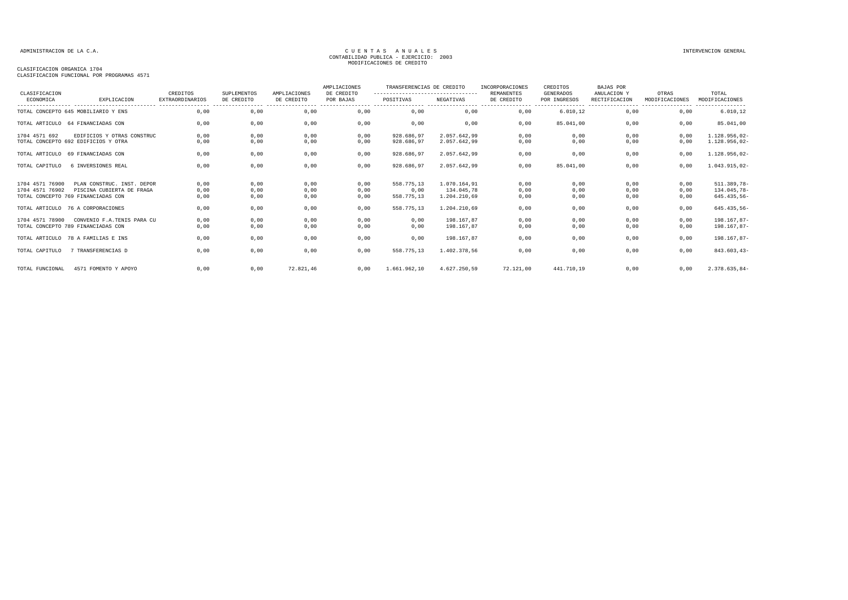### CLASIFICACION ORGANICA 1704

CLASIFICACION FUNCIONAL POR PROGRAMAS 4571

| CLASIFICACION   |                                                                 | CREDITOS                                   | SUPLEMENTOS                    | AMPLIACIONES                   | AMPLIACIONES<br>DE CREDITO | TRANSFERENCIAS DE CREDITO<br>---------------------------------- |                            | INCORPORACIONES<br><b>REMANENTES</b> | CREDITOS<br>GENERADOS            | <b>BAJAS POR</b><br>ANULACION Y   | OTRAS                               | TOTAL                              |
|-----------------|-----------------------------------------------------------------|--------------------------------------------|--------------------------------|--------------------------------|----------------------------|-----------------------------------------------------------------|----------------------------|--------------------------------------|----------------------------------|-----------------------------------|-------------------------------------|------------------------------------|
| ECONOMICA       | EXPLICACION                                                     | <b>EXTRAORDINARIOS</b><br>---------------- | DE CREDITO<br>---------------- | DE CREDITO<br>---------------- | POR BAJAS                  | POSITIVAS                                                       | NEGATIVAS                  | DE CREDITO<br>-----------------      | POR INGRESOS<br>---------------- | RECTIFICACION<br>---------------- | MODIFICACIONES<br>----------------- | MODIFICACIONES<br>---------------- |
|                 | TOTAL CONCEPTO 645 MOBILIARIO Y ENS                             | 0.00                                       | 0,00                           | 0,00                           | 0.00                       | 0.00                                                            | 0,00                       | 0,00                                 | 6.010.12                         | 0.00                              | 0,00                                | 6.010, 12                          |
|                 | TOTAL ARTICULO 64 FINANCIADAS CON                               | 0,00                                       | 0,00                           | 0,00                           | 0,00                       | 0,00                                                            | 0,00                       | 0,00                                 | 85.041,00                        | 0,00                              | 0,00                                | 85.041,00                          |
| 1704 4571 692   | EDIFICIOS Y OTRAS CONSTRUC                                      | 0,00                                       | 0,00                           | 0,00                           | 0,00                       | 928.686.97                                                      | 2.057.642.99               | 0,00                                 | 0,00                             | 0,00                              | 0,00                                | 1.128.956,02-                      |
|                 | TOTAL CONCEPTO 692 EDIFICIOS Y OTRA                             | 0,00                                       | 0,00                           | 0,00                           | 0,00                       | 928.686,97                                                      | 2.057.642,99               | 0,00                                 | 0,00                             | 0,00                              | 0,00                                | 1.128.956,02-                      |
|                 | TOTAL ARTICULO 69 FINANCIADAS CON                               | 0,00                                       | 0,00                           | 0,00                           | 0,00                       | 928.686,97                                                      | 2.057.642.99               | 0,00                                 | 0,00                             | 0.00                              | 0,00                                | 1.128.956,02-                      |
| TOTAL CAPITULO  | 6 INVERSIONES REAL                                              | 0,00                                       | 0,00                           | 0,00                           | 0,00                       | 928.686,97                                                      | 2.057.642,99               | 0,00                                 | 85.041,00                        | 0,00                              | 0,00                                | 1.043.915,02-                      |
| 1704 4571 76900 | PLAN CONSTRUC, INST. DEPOR                                      | 0,00                                       | 0,00                           | 0,00                           | 0,00                       | 558.775,13                                                      | 1.070.164,91               | 0,00                                 | 0,00                             | 0,00                              | 0,00                                | 511.389,78-                        |
| 1704 4571 76902 | PISCINA CUBIERTA DE FRAGA<br>TOTAL CONCEPTO 769 FINANCIADAS CON | 0,00<br>0,00                               | 0,00<br>0,00                   | 0,00<br>0,00                   | 0,00<br>0,00               | 0,00<br>558.775,13                                              | 134.045.78<br>1.204.210,69 | 0,00<br>0,00                         | 0,00<br>0,00                     | 0,00<br>0,00                      | 0,00<br>0,00                        | 134.045,78-<br>645.435,56-         |
|                 | TOTAL ARTICULO 76 A CORPORACIONES                               | 0,00                                       | 0,00                           | 0,00                           | 0,00                       | 558.775,13                                                      | 1.204.210,69               | 0,00                                 | 0,00                             | 0,00                              | 0,00                                | 645.435,56-                        |
| 1704 4571 78900 | CONVENIO F.A. TENIS PARA CU                                     | 0,00                                       | 0,00                           | 0,00                           | 0,00                       | 0,00                                                            | 198.167.87                 | 0,00                                 | 0,00                             | 0,00                              | 0,00                                | 198.167,87-                        |
|                 | TOTAL CONCEPTO 789 FINANCIADAS CON                              | 0,00                                       | 0,00                           | 0,00                           | 0,00                       | 0,00                                                            | 198.167,87                 | 0,00                                 | 0,00                             | 0,00                              | 0,00                                | 198.167,87-                        |
|                 | TOTAL ARTICULO 78 A FAMILIAS E INS                              | 0.00                                       | 0,00                           | 0,00                           | 0,00                       | 0,00                                                            | 198.167.87                 | 0,00                                 | 0,00                             | 0,00                              | 0,00                                | 198.167,87-                        |
| TOTAL CAPITULO  | 7 TRANSFERENCIAS D                                              | 0.00                                       | 0,00                           | 0,00                           | 0,00                       | 558.775.13                                                      | 1.402.378.56               | 0.00                                 | 0,00                             | 0.00                              | 0,00                                | 843.603,43-                        |
| TOTAL FUNCIONAL | 4571 FOMENTO Y APOYO                                            | 0.00                                       | 0,00                           | 72.821.46                      | 0,00                       | 1.661.962,10                                                    | 4.627.250.59               | 72.121,00                            | 441.710.19                       | 0.00                              | 0,00                                | 2.378.635,84-                      |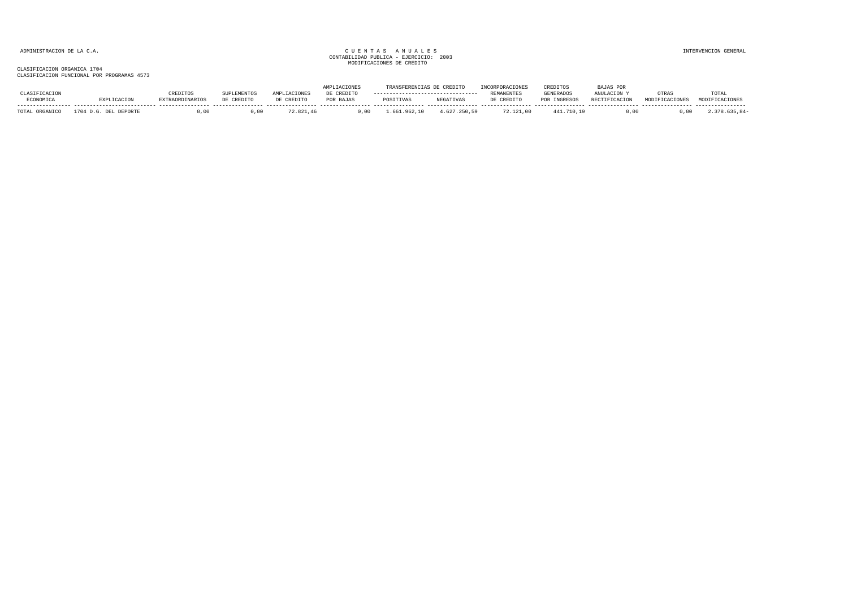|                          |                              |           |                 |            | <b>IPLIACIONES</b> | TRANSFERENCIAS DE CREDITO |                  |                   | CREDITOS         | BAJAS POR     |                     |       |
|--------------------------|------------------------------|-----------|-----------------|------------|--------------------|---------------------------|------------------|-------------------|------------------|---------------|---------------------|-------|
|                          |                              |           | <b>LEMENTOS</b> |            | DE CREDITO         |                           |                  | <b>REMANENTES</b> | <b>GENERADOS</b> | ANULACION.    | JTRA'               | TOTAL |
| CONOMICA                 |                              | RDINARTOS | DE CREDITO      | DE CREDITO | POR BAJAS          | POSITIVAS                 | <b>NEGATIVAS</b> | CREDITO           | POR INGRESOS     | RECTIFICACION | <b>MODIRIALOIDE</b> |       |
|                          |                              |           |                 |            |                    |                           |                  |                   |                  |               |                     |       |
| <b>TOTAL</b><br>ORGANICO | 1704 h<br>DEL DEPORTE<br>D G |           |                 | 72.821.46  | 00                 | 661                       | .627.250.59      | 72.121.00         | .11.710.19       |               |                     |       |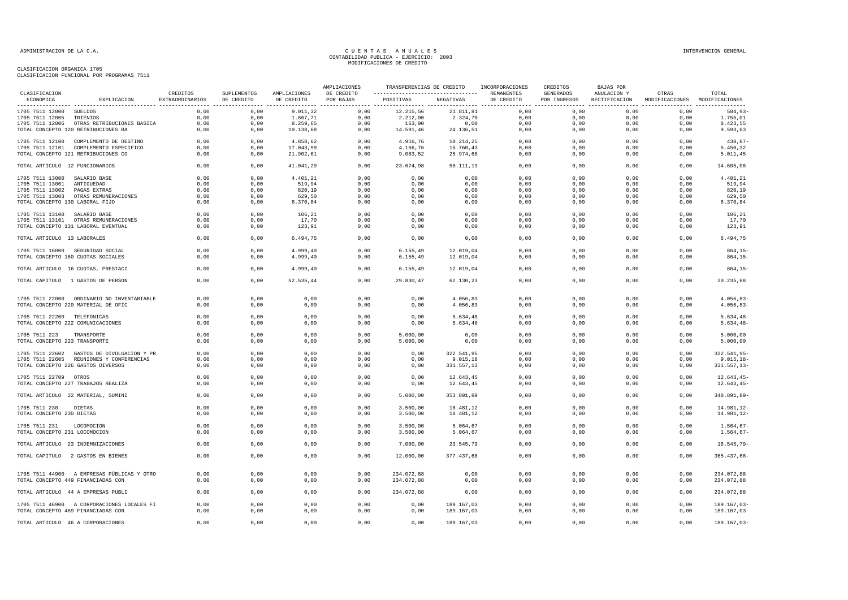| NEGATIVAS<br>ECONOMICA<br>EXPLICACION<br>EXTRAORDINARIOS<br>DE CREDITO<br>DE CREDITO<br>POSITIVAS<br>DE CREDITO<br>POR INGRESOS<br>RECTIFICACION MODIFICACIONES MODIFICACIONES<br>POR BAJAS<br>.<br>---------------<br>0,00<br>12.215,56<br>21.811,81<br>0,00<br>1705 7511 12000 SUELDOS<br>0,00<br>0,00<br>9.011,32<br>0,00<br>0,00<br>0,00<br>$584,93-$<br>0,00<br>0,00<br>1.867,71<br>0,00<br>2.212,00<br>2.324,70<br>0,00<br>0,00<br>0,00<br>0,00<br>1.755,01<br>1705 7511 12005<br>TRIENIOS<br>8.423,55<br>1705 7511 12006 OTRAS RETRIBUCIONES BASICA<br>0,00<br>0,00<br>8.259,65<br>0,00<br>163,90<br>0,00<br>0,00<br>0,00<br>0,00<br>0,00<br>TOTAL CONCEPTO 120 RETRIBUCIONES BA<br>0,00<br>0,00<br>19.138,68<br>0,00<br>14.591,46<br>24.136,51<br>0,00<br>0,00<br>0,00<br>0,00<br>9.593,63<br>0,00<br>0,00<br>0.00<br>438,87-<br>1705 7511 12100 COMPLEMENTO DE DESTINO<br>0,00<br>0,00<br>4.858,62<br>4.916,76<br>10.214,25<br>0,00<br>0,00<br>1705 7511 12101 COMPLEMENTO ESPECIFICO<br>0,00<br>0,00<br>17.043,99<br>0,00<br>4.166,76<br>15.760,43<br>0,00<br>0,00<br>0,00<br>0,00<br>5.450,32<br>21.902,61<br>0,00<br>9.083,52<br>25.974,68<br>0,00<br>0,00<br>0,00<br>5.011,45<br>TOTAL CONCEPTO 121 RETRIBUCIONES CO<br>0,00<br>0,00<br>0,00<br>41.041,29<br>0,00<br>23.674,98<br>0,00<br>0,00<br>14.605,08<br>TOTAL ARTICULO 12 FUNCIONARIOS<br>0,00<br>0,00<br>50.111,19<br>0,00<br>0,00<br>0,00<br>0,00<br>0,00<br>0,00<br>1705 7511 13000<br>SALARIO BASE<br>0,00<br>0,00<br>4.401,21<br>0,00<br>0,00<br>0,00<br>4.401,21<br>1705 7511 13001<br>0,00<br>0,00<br>519,94<br>0,00<br>0,00<br>0,00<br>0,00<br>0,00<br>0,00<br>0,00<br>519,94<br>ANTIGUEDAD<br>820,19<br>0,00<br>0,00<br>0,00<br>0,00<br>820,19<br>1705 7511 13002<br>PAGAS EXTRAS<br>0,00<br>0,00<br>0,00<br>0,00<br>0,00<br>1705 7511 13003<br>OTRAS REMUNERACIONES<br>0,00<br>0,00<br>629,50<br>0,00<br>0,00<br>0,00<br>0,00<br>0,00<br>0,00<br>0,00<br>629,50<br>6.370,84<br>0,00<br>0,00<br>0,00<br>0,00<br>0,00<br>0,00<br>0,00<br>6.370,84<br>TOTAL CONCEPTO 130 LABORAL FIJO<br>0,00<br>0,00<br>0,00<br>0,00<br>0,00<br>106,21<br>0,00<br>0,00<br>0,00<br>0,00<br>0,00<br>0,00<br>106,21<br>1705 7511 13100 SALARIO BASE<br>17,70<br>0,00<br>0,00<br>17,70<br>1705 7511 13101 OTRAS REMUNERACIONES<br>0,00<br>0,00<br>0,00<br>0,00<br>0,00<br>0,00<br>0,00<br>123,91<br>TOTAL CONCEPTO 131 LABORAL EVENTUAL<br>0,00<br>0,00<br>123,91<br>0,00<br>0,00<br>0,00<br>0,00<br>0,00<br>0,00<br>0,00<br>0,00<br>6.494,75<br>0,00<br>0,00<br>0,00<br>0,00<br>0,00<br>0,00<br>0,00<br>6.494,75<br>TOTAL ARTICULO 13 LABORALES<br>0,00<br>$864, 15-$<br>1705 7511 16000 SEGURIDAD SOCIAL<br>0.00<br>0.00<br>4.999.40<br>0,00<br>6.155, 49<br>12.019.04<br>0.00<br>0.00<br>0.00<br>0,00<br>TOTAL CONCEPTO 160 CUOTAS SOCIALES<br>0,00<br>0,00<br>4.999,40<br>0,00<br>6.155, 49<br>12.019,04<br>0,00<br>0,00<br>0,00<br>0,00<br>$864, 15-$<br>0,00<br>0,00<br>$864, 15-$<br>0,00<br>0,00<br>4.999,40<br>6.155, 49<br>12.019,04<br>0,00<br>0,00<br>0,00<br>TOTAL ARTICULO 16 CUOTAS, PRESTACI<br>TOTAL CAPITULO 1 GASTOS DE PERSON<br>0,00<br>0,00<br>52.535,44<br>0,00<br>29.830,47<br>62.130,23<br>0,00<br>0,00<br>0,00<br>0,00<br>20.235,68<br>0.00<br>0.00<br>0.00<br>0,00<br>4.056.83<br>0.00<br>0.00<br>0.00<br>0.00<br>$4.056.83-$<br>1705 7511 22000 ORDINARIO NO INVENTARIABLE<br>0.00<br>TOTAL CONCEPTO 220 MATERIAL DE OFIC<br>0,00<br>0,00<br>0,00<br>0,00<br>0,00<br>4.056,83<br>0,00<br>0,00<br>0,00<br>0,00<br>$4.056, 83-$<br>0,00<br>0,00<br>0,00<br>0,00<br>0,00<br>0,00<br>0,00<br>0,00<br>0,00<br>$5.634, 48-$<br>1705 7511 22200 TELEFONICAS<br>5.634,48<br>0,00<br>$5.634, 48-$<br>TOTAL CONCEPTO 222 COMUNICACIONES<br>0,00<br>0,00<br>0,00<br>0,00<br>5.634,48<br>0,00<br>0,00<br>0,00<br>0,00<br>0,00<br>0,00<br>0,00<br>0,00<br>0,00<br>0,00<br>0,00<br>0,00<br>5.000,00<br>1705 7511 223<br>TRANSPORTE<br>5.000,00<br>0,00<br>TOTAL CONCEPTO 223 TRANSPORTE<br>0,00<br>0,00<br>0,00<br>0,00<br>5.000,00<br>0,00<br>0,00<br>0,00<br>0,00<br>0,00<br>5.000,00<br>0.00<br>0.00<br>0.00<br>0,00<br>322.541,95<br>0.00<br>0.00<br>0.00<br>0.00<br>322.541.95-<br>1705 7511 22602 GASTOS DE DIVULGACION Y PR<br>0.00<br>0,00<br>$9.015, 18-$<br>1705 7511 22605 REUNIONES Y CONFERENCIAS<br>0.00<br>0,00<br>0,00<br>0,00<br>0.00<br>9.015,18<br>0,00<br>0,00<br>0,00<br>TOTAL CONCEPTO 226 GASTOS DIVERSOS<br>0,00<br>0,00<br>0,00<br>0,00<br>331.557,13<br>0,00<br>0,00<br>0,00<br>0,00<br>$331.557, 13-$<br>0,00<br>0,00<br>0,00<br>0,00<br>0,00<br>0,00<br>0,00<br>$12.643, 45-$<br>1705 7511 22709 OTROS<br>0,00<br>0,00<br>0,00<br>12.643,45<br>0,00<br>0,00<br>0,00<br>$12.643, 45-$<br>TOTAL CONCEPTO 227 TRABAJOS REALIZA<br>0,00<br>0,00<br>0,00<br>0,00<br>12.643,45<br>0,00<br>0,00<br>TOTAL ARTICULO 22 MATERIAL, SUMINI<br>0,00<br>0,00<br>0,00<br>0,00<br>5.000,00<br>353.891,89<br>0,00<br>0,00<br>0,00<br>0,00<br>348.891,89-<br>0.00<br>0.00<br>0,00<br>3,500,00<br>0.00<br>0.00<br>0.00<br>0.00<br>1705 7511 230<br>DIETAS<br>0.00<br>18.481.12<br>14.981.12-<br>TOTAL CONCEPTO 230 DIETAS<br>0,00<br>0,00<br>3.500,00<br>18.481,12<br>0,00<br>0,00<br>14.981,12-<br>0,00<br>0,00<br>0,00<br>0,00<br>0,00<br>0,00<br>0,00<br>0,00<br>0,00<br>0,00<br>0,00<br>0,00<br>$1.564, 67-$<br>1705 7511 231<br>LOCOMOCION<br>3.500,00<br>5.064,67<br>0,00<br>0,00<br>3.500,00<br>0,00<br>0,00<br>0,00<br>0,00<br>$1.564, 67-$<br>TOTAL CONCEPTO 231 LOCOMOCION<br>0,00<br>0,00<br>5.064,67<br>0,00<br>0,00<br>0,00<br>0,00<br>TOTAL ARTICULO 23 INDEMNIZACIONES<br>0,00<br>0,00<br>0,00<br>7.000,00<br>23.545,79<br>0,00<br>$16.545,79-$<br>0,00<br>0,00<br>12.000,00<br>377.437,68<br>0,00<br>0,00<br>0,00<br>$365.437,68-$<br>TOTAL CAPITULO 2 GASTOS EN BIENES<br>0,00<br>0,00<br>0,00<br>0,00<br>0,00<br>0,00<br>0,00<br>0,00<br>234.072,88<br>1705 7511 44900 A EMPRESAS PÚBLICAS Y OTRO<br>0,00<br>0,00<br>234.072,88<br>0,00<br>0,00<br>0,00<br>0,00<br>234.072,88<br>0,00<br>0,00<br>234.072,88<br>TOTAL CONCEPTO 449 FINANCIADAS CON<br>0,00<br>0,00<br>0,00<br>0,00<br>0,00<br>0,00<br>0,00<br>234.072,88<br>0,00<br>0,00<br>0,00<br>0,00<br>234.072,88<br>TOTAL ARTICULO 44 A EMPRESAS PUBLI<br>0,00<br>0,00<br>0,00<br>1705 7511 46900 A CORPORACIONES LOCALES FI<br>0,00<br>0,00<br>0,00<br>0,00<br>0,00<br>189.167,03<br>0,00<br>0,00<br>0,00<br>0,00<br>189.167,03-<br>TOTAL CONCEPTO 469 FINANCIADAS CON<br>0,00<br>0,00<br>0,00<br>189.167,03<br>0,00<br>0,00<br>0,00<br>189.167,03-<br>0,00<br>0,00<br>0,00<br>0,00<br>0,00<br>0,00<br>0,00<br>0,00<br>189.167,03<br>0,00<br>0,00<br>0,00<br>0,00<br>189.167,03-<br>TOTAL ARTICULO 46 A CORPORACIONES | CLASIFICACION | CREDITOS | SUPLEMENTOS |              | AMPLIACIONES | TRANSFERENCIAS DE CREDITO | INCORPORACIONES | CREDITOS  | BAJAS POR   | OTRAS | TOTAL |
|------------------------------------------------------------------------------------------------------------------------------------------------------------------------------------------------------------------------------------------------------------------------------------------------------------------------------------------------------------------------------------------------------------------------------------------------------------------------------------------------------------------------------------------------------------------------------------------------------------------------------------------------------------------------------------------------------------------------------------------------------------------------------------------------------------------------------------------------------------------------------------------------------------------------------------------------------------------------------------------------------------------------------------------------------------------------------------------------------------------------------------------------------------------------------------------------------------------------------------------------------------------------------------------------------------------------------------------------------------------------------------------------------------------------------------------------------------------------------------------------------------------------------------------------------------------------------------------------------------------------------------------------------------------------------------------------------------------------------------------------------------------------------------------------------------------------------------------------------------------------------------------------------------------------------------------------------------------------------------------------------------------------------------------------------------------------------------------------------------------------------------------------------------------------------------------------------------------------------------------------------------------------------------------------------------------------------------------------------------------------------------------------------------------------------------------------------------------------------------------------------------------------------------------------------------------------------------------------------------------------------------------------------------------------------------------------------------------------------------------------------------------------------------------------------------------------------------------------------------------------------------------------------------------------------------------------------------------------------------------------------------------------------------------------------------------------------------------------------------------------------------------------------------------------------------------------------------------------------------------------------------------------------------------------------------------------------------------------------------------------------------------------------------------------------------------------------------------------------------------------------------------------------------------------------------------------------------------------------------------------------------------------------------------------------------------------------------------------------------------------------------------------------------------------------------------------------------------------------------------------------------------------------------------------------------------------------------------------------------------------------------------------------------------------------------------------------------------------------------------------------------------------------------------------------------------------------------------------------------------------------------------------------------------------------------------------------------------------------------------------------------------------------------------------------------------------------------------------------------------------------------------------------------------------------------------------------------------------------------------------------------------------------------------------------------------------------------------------------------------------------------------------------------------------------------------------------------------------------------------------------------------------------------------------------------------------------------------------------------------------------------------------------------------------------------------------------------------------------------------------------------------------------------------------------------------------------------------------------------------------------------------------------------------------------------------------------------------------------------------------------------------------------------------------------------------------------------------------------------------------------------------------------------------------------------------------------------------------------------------------------------------------------------------------------------------------------------------------------------------------------------------------------------------------------------------------------------------------------------------------------------------------------------------------------------------------------------------------------------------------------------------------------------------------------------------------------------------------------------------------------------------------------------------------------------------------------------------------------------------------------------------------------------------------------------------------------------------------------------------------------------------------------------------------------------------------------------------------------------------------------------------------------------------------------------------------------------------------------------------------------------------------------------------------------|---------------|----------|-------------|--------------|--------------|---------------------------|-----------------|-----------|-------------|-------|-------|
|                                                                                                                                                                                                                                                                                                                                                                                                                                                                                                                                                                                                                                                                                                                                                                                                                                                                                                                                                                                                                                                                                                                                                                                                                                                                                                                                                                                                                                                                                                                                                                                                                                                                                                                                                                                                                                                                                                                                                                                                                                                                                                                                                                                                                                                                                                                                                                                                                                                                                                                                                                                                                                                                                                                                                                                                                                                                                                                                                                                                                                                                                                                                                                                                                                                                                                                                                                                                                                                                                                                                                                                                                                                                                                                                                                                                                                                                                                                                                                                                                                                                                                                                                                                                                                                                                                                                                                                                                                                                                                                                                                                                                                                                                                                                                                                                                                                                                                                                                                                                                                                                                                                                                                                                                                                                                                                                                                                                                                                                                                                                                                                                                                                                                                                                                                                                                                                                                                                                                                                                                                                                                                                                                                                                                                                                                                                                                                                                                                                                                                                                                                                                                                                                              |               |          |             | AMPLIACIONES | DE CREDITO   |                           | REMANENTES      | GENERADOS | ANULACION Y |       |       |
|                                                                                                                                                                                                                                                                                                                                                                                                                                                                                                                                                                                                                                                                                                                                                                                                                                                                                                                                                                                                                                                                                                                                                                                                                                                                                                                                                                                                                                                                                                                                                                                                                                                                                                                                                                                                                                                                                                                                                                                                                                                                                                                                                                                                                                                                                                                                                                                                                                                                                                                                                                                                                                                                                                                                                                                                                                                                                                                                                                                                                                                                                                                                                                                                                                                                                                                                                                                                                                                                                                                                                                                                                                                                                                                                                                                                                                                                                                                                                                                                                                                                                                                                                                                                                                                                                                                                                                                                                                                                                                                                                                                                                                                                                                                                                                                                                                                                                                                                                                                                                                                                                                                                                                                                                                                                                                                                                                                                                                                                                                                                                                                                                                                                                                                                                                                                                                                                                                                                                                                                                                                                                                                                                                                                                                                                                                                                                                                                                                                                                                                                                                                                                                                                              |               |          |             |              |              |                           |                 |           |             |       |       |
|                                                                                                                                                                                                                                                                                                                                                                                                                                                                                                                                                                                                                                                                                                                                                                                                                                                                                                                                                                                                                                                                                                                                                                                                                                                                                                                                                                                                                                                                                                                                                                                                                                                                                                                                                                                                                                                                                                                                                                                                                                                                                                                                                                                                                                                                                                                                                                                                                                                                                                                                                                                                                                                                                                                                                                                                                                                                                                                                                                                                                                                                                                                                                                                                                                                                                                                                                                                                                                                                                                                                                                                                                                                                                                                                                                                                                                                                                                                                                                                                                                                                                                                                                                                                                                                                                                                                                                                                                                                                                                                                                                                                                                                                                                                                                                                                                                                                                                                                                                                                                                                                                                                                                                                                                                                                                                                                                                                                                                                                                                                                                                                                                                                                                                                                                                                                                                                                                                                                                                                                                                                                                                                                                                                                                                                                                                                                                                                                                                                                                                                                                                                                                                                                              |               |          |             |              |              |                           |                 |           |             |       |       |
|                                                                                                                                                                                                                                                                                                                                                                                                                                                                                                                                                                                                                                                                                                                                                                                                                                                                                                                                                                                                                                                                                                                                                                                                                                                                                                                                                                                                                                                                                                                                                                                                                                                                                                                                                                                                                                                                                                                                                                                                                                                                                                                                                                                                                                                                                                                                                                                                                                                                                                                                                                                                                                                                                                                                                                                                                                                                                                                                                                                                                                                                                                                                                                                                                                                                                                                                                                                                                                                                                                                                                                                                                                                                                                                                                                                                                                                                                                                                                                                                                                                                                                                                                                                                                                                                                                                                                                                                                                                                                                                                                                                                                                                                                                                                                                                                                                                                                                                                                                                                                                                                                                                                                                                                                                                                                                                                                                                                                                                                                                                                                                                                                                                                                                                                                                                                                                                                                                                                                                                                                                                                                                                                                                                                                                                                                                                                                                                                                                                                                                                                                                                                                                                                              |               |          |             |              |              |                           |                 |           |             |       |       |
|                                                                                                                                                                                                                                                                                                                                                                                                                                                                                                                                                                                                                                                                                                                                                                                                                                                                                                                                                                                                                                                                                                                                                                                                                                                                                                                                                                                                                                                                                                                                                                                                                                                                                                                                                                                                                                                                                                                                                                                                                                                                                                                                                                                                                                                                                                                                                                                                                                                                                                                                                                                                                                                                                                                                                                                                                                                                                                                                                                                                                                                                                                                                                                                                                                                                                                                                                                                                                                                                                                                                                                                                                                                                                                                                                                                                                                                                                                                                                                                                                                                                                                                                                                                                                                                                                                                                                                                                                                                                                                                                                                                                                                                                                                                                                                                                                                                                                                                                                                                                                                                                                                                                                                                                                                                                                                                                                                                                                                                                                                                                                                                                                                                                                                                                                                                                                                                                                                                                                                                                                                                                                                                                                                                                                                                                                                                                                                                                                                                                                                                                                                                                                                                                              |               |          |             |              |              |                           |                 |           |             |       |       |
|                                                                                                                                                                                                                                                                                                                                                                                                                                                                                                                                                                                                                                                                                                                                                                                                                                                                                                                                                                                                                                                                                                                                                                                                                                                                                                                                                                                                                                                                                                                                                                                                                                                                                                                                                                                                                                                                                                                                                                                                                                                                                                                                                                                                                                                                                                                                                                                                                                                                                                                                                                                                                                                                                                                                                                                                                                                                                                                                                                                                                                                                                                                                                                                                                                                                                                                                                                                                                                                                                                                                                                                                                                                                                                                                                                                                                                                                                                                                                                                                                                                                                                                                                                                                                                                                                                                                                                                                                                                                                                                                                                                                                                                                                                                                                                                                                                                                                                                                                                                                                                                                                                                                                                                                                                                                                                                                                                                                                                                                                                                                                                                                                                                                                                                                                                                                                                                                                                                                                                                                                                                                                                                                                                                                                                                                                                                                                                                                                                                                                                                                                                                                                                                                              |               |          |             |              |              |                           |                 |           |             |       |       |
|                                                                                                                                                                                                                                                                                                                                                                                                                                                                                                                                                                                                                                                                                                                                                                                                                                                                                                                                                                                                                                                                                                                                                                                                                                                                                                                                                                                                                                                                                                                                                                                                                                                                                                                                                                                                                                                                                                                                                                                                                                                                                                                                                                                                                                                                                                                                                                                                                                                                                                                                                                                                                                                                                                                                                                                                                                                                                                                                                                                                                                                                                                                                                                                                                                                                                                                                                                                                                                                                                                                                                                                                                                                                                                                                                                                                                                                                                                                                                                                                                                                                                                                                                                                                                                                                                                                                                                                                                                                                                                                                                                                                                                                                                                                                                                                                                                                                                                                                                                                                                                                                                                                                                                                                                                                                                                                                                                                                                                                                                                                                                                                                                                                                                                                                                                                                                                                                                                                                                                                                                                                                                                                                                                                                                                                                                                                                                                                                                                                                                                                                                                                                                                                                              |               |          |             |              |              |                           |                 |           |             |       |       |
|                                                                                                                                                                                                                                                                                                                                                                                                                                                                                                                                                                                                                                                                                                                                                                                                                                                                                                                                                                                                                                                                                                                                                                                                                                                                                                                                                                                                                                                                                                                                                                                                                                                                                                                                                                                                                                                                                                                                                                                                                                                                                                                                                                                                                                                                                                                                                                                                                                                                                                                                                                                                                                                                                                                                                                                                                                                                                                                                                                                                                                                                                                                                                                                                                                                                                                                                                                                                                                                                                                                                                                                                                                                                                                                                                                                                                                                                                                                                                                                                                                                                                                                                                                                                                                                                                                                                                                                                                                                                                                                                                                                                                                                                                                                                                                                                                                                                                                                                                                                                                                                                                                                                                                                                                                                                                                                                                                                                                                                                                                                                                                                                                                                                                                                                                                                                                                                                                                                                                                                                                                                                                                                                                                                                                                                                                                                                                                                                                                                                                                                                                                                                                                                                              |               |          |             |              |              |                           |                 |           |             |       |       |
|                                                                                                                                                                                                                                                                                                                                                                                                                                                                                                                                                                                                                                                                                                                                                                                                                                                                                                                                                                                                                                                                                                                                                                                                                                                                                                                                                                                                                                                                                                                                                                                                                                                                                                                                                                                                                                                                                                                                                                                                                                                                                                                                                                                                                                                                                                                                                                                                                                                                                                                                                                                                                                                                                                                                                                                                                                                                                                                                                                                                                                                                                                                                                                                                                                                                                                                                                                                                                                                                                                                                                                                                                                                                                                                                                                                                                                                                                                                                                                                                                                                                                                                                                                                                                                                                                                                                                                                                                                                                                                                                                                                                                                                                                                                                                                                                                                                                                                                                                                                                                                                                                                                                                                                                                                                                                                                                                                                                                                                                                                                                                                                                                                                                                                                                                                                                                                                                                                                                                                                                                                                                                                                                                                                                                                                                                                                                                                                                                                                                                                                                                                                                                                                                              |               |          |             |              |              |                           |                 |           |             |       |       |
|                                                                                                                                                                                                                                                                                                                                                                                                                                                                                                                                                                                                                                                                                                                                                                                                                                                                                                                                                                                                                                                                                                                                                                                                                                                                                                                                                                                                                                                                                                                                                                                                                                                                                                                                                                                                                                                                                                                                                                                                                                                                                                                                                                                                                                                                                                                                                                                                                                                                                                                                                                                                                                                                                                                                                                                                                                                                                                                                                                                                                                                                                                                                                                                                                                                                                                                                                                                                                                                                                                                                                                                                                                                                                                                                                                                                                                                                                                                                                                                                                                                                                                                                                                                                                                                                                                                                                                                                                                                                                                                                                                                                                                                                                                                                                                                                                                                                                                                                                                                                                                                                                                                                                                                                                                                                                                                                                                                                                                                                                                                                                                                                                                                                                                                                                                                                                                                                                                                                                                                                                                                                                                                                                                                                                                                                                                                                                                                                                                                                                                                                                                                                                                                                              |               |          |             |              |              |                           |                 |           |             |       |       |
|                                                                                                                                                                                                                                                                                                                                                                                                                                                                                                                                                                                                                                                                                                                                                                                                                                                                                                                                                                                                                                                                                                                                                                                                                                                                                                                                                                                                                                                                                                                                                                                                                                                                                                                                                                                                                                                                                                                                                                                                                                                                                                                                                                                                                                                                                                                                                                                                                                                                                                                                                                                                                                                                                                                                                                                                                                                                                                                                                                                                                                                                                                                                                                                                                                                                                                                                                                                                                                                                                                                                                                                                                                                                                                                                                                                                                                                                                                                                                                                                                                                                                                                                                                                                                                                                                                                                                                                                                                                                                                                                                                                                                                                                                                                                                                                                                                                                                                                                                                                                                                                                                                                                                                                                                                                                                                                                                                                                                                                                                                                                                                                                                                                                                                                                                                                                                                                                                                                                                                                                                                                                                                                                                                                                                                                                                                                                                                                                                                                                                                                                                                                                                                                                              |               |          |             |              |              |                           |                 |           |             |       |       |
|                                                                                                                                                                                                                                                                                                                                                                                                                                                                                                                                                                                                                                                                                                                                                                                                                                                                                                                                                                                                                                                                                                                                                                                                                                                                                                                                                                                                                                                                                                                                                                                                                                                                                                                                                                                                                                                                                                                                                                                                                                                                                                                                                                                                                                                                                                                                                                                                                                                                                                                                                                                                                                                                                                                                                                                                                                                                                                                                                                                                                                                                                                                                                                                                                                                                                                                                                                                                                                                                                                                                                                                                                                                                                                                                                                                                                                                                                                                                                                                                                                                                                                                                                                                                                                                                                                                                                                                                                                                                                                                                                                                                                                                                                                                                                                                                                                                                                                                                                                                                                                                                                                                                                                                                                                                                                                                                                                                                                                                                                                                                                                                                                                                                                                                                                                                                                                                                                                                                                                                                                                                                                                                                                                                                                                                                                                                                                                                                                                                                                                                                                                                                                                                                              |               |          |             |              |              |                           |                 |           |             |       |       |
|                                                                                                                                                                                                                                                                                                                                                                                                                                                                                                                                                                                                                                                                                                                                                                                                                                                                                                                                                                                                                                                                                                                                                                                                                                                                                                                                                                                                                                                                                                                                                                                                                                                                                                                                                                                                                                                                                                                                                                                                                                                                                                                                                                                                                                                                                                                                                                                                                                                                                                                                                                                                                                                                                                                                                                                                                                                                                                                                                                                                                                                                                                                                                                                                                                                                                                                                                                                                                                                                                                                                                                                                                                                                                                                                                                                                                                                                                                                                                                                                                                                                                                                                                                                                                                                                                                                                                                                                                                                                                                                                                                                                                                                                                                                                                                                                                                                                                                                                                                                                                                                                                                                                                                                                                                                                                                                                                                                                                                                                                                                                                                                                                                                                                                                                                                                                                                                                                                                                                                                                                                                                                                                                                                                                                                                                                                                                                                                                                                                                                                                                                                                                                                                                              |               |          |             |              |              |                           |                 |           |             |       |       |
|                                                                                                                                                                                                                                                                                                                                                                                                                                                                                                                                                                                                                                                                                                                                                                                                                                                                                                                                                                                                                                                                                                                                                                                                                                                                                                                                                                                                                                                                                                                                                                                                                                                                                                                                                                                                                                                                                                                                                                                                                                                                                                                                                                                                                                                                                                                                                                                                                                                                                                                                                                                                                                                                                                                                                                                                                                                                                                                                                                                                                                                                                                                                                                                                                                                                                                                                                                                                                                                                                                                                                                                                                                                                                                                                                                                                                                                                                                                                                                                                                                                                                                                                                                                                                                                                                                                                                                                                                                                                                                                                                                                                                                                                                                                                                                                                                                                                                                                                                                                                                                                                                                                                                                                                                                                                                                                                                                                                                                                                                                                                                                                                                                                                                                                                                                                                                                                                                                                                                                                                                                                                                                                                                                                                                                                                                                                                                                                                                                                                                                                                                                                                                                                                              |               |          |             |              |              |                           |                 |           |             |       |       |
|                                                                                                                                                                                                                                                                                                                                                                                                                                                                                                                                                                                                                                                                                                                                                                                                                                                                                                                                                                                                                                                                                                                                                                                                                                                                                                                                                                                                                                                                                                                                                                                                                                                                                                                                                                                                                                                                                                                                                                                                                                                                                                                                                                                                                                                                                                                                                                                                                                                                                                                                                                                                                                                                                                                                                                                                                                                                                                                                                                                                                                                                                                                                                                                                                                                                                                                                                                                                                                                                                                                                                                                                                                                                                                                                                                                                                                                                                                                                                                                                                                                                                                                                                                                                                                                                                                                                                                                                                                                                                                                                                                                                                                                                                                                                                                                                                                                                                                                                                                                                                                                                                                                                                                                                                                                                                                                                                                                                                                                                                                                                                                                                                                                                                                                                                                                                                                                                                                                                                                                                                                                                                                                                                                                                                                                                                                                                                                                                                                                                                                                                                                                                                                                                              |               |          |             |              |              |                           |                 |           |             |       |       |
|                                                                                                                                                                                                                                                                                                                                                                                                                                                                                                                                                                                                                                                                                                                                                                                                                                                                                                                                                                                                                                                                                                                                                                                                                                                                                                                                                                                                                                                                                                                                                                                                                                                                                                                                                                                                                                                                                                                                                                                                                                                                                                                                                                                                                                                                                                                                                                                                                                                                                                                                                                                                                                                                                                                                                                                                                                                                                                                                                                                                                                                                                                                                                                                                                                                                                                                                                                                                                                                                                                                                                                                                                                                                                                                                                                                                                                                                                                                                                                                                                                                                                                                                                                                                                                                                                                                                                                                                                                                                                                                                                                                                                                                                                                                                                                                                                                                                                                                                                                                                                                                                                                                                                                                                                                                                                                                                                                                                                                                                                                                                                                                                                                                                                                                                                                                                                                                                                                                                                                                                                                                                                                                                                                                                                                                                                                                                                                                                                                                                                                                                                                                                                                                                              |               |          |             |              |              |                           |                 |           |             |       |       |
|                                                                                                                                                                                                                                                                                                                                                                                                                                                                                                                                                                                                                                                                                                                                                                                                                                                                                                                                                                                                                                                                                                                                                                                                                                                                                                                                                                                                                                                                                                                                                                                                                                                                                                                                                                                                                                                                                                                                                                                                                                                                                                                                                                                                                                                                                                                                                                                                                                                                                                                                                                                                                                                                                                                                                                                                                                                                                                                                                                                                                                                                                                                                                                                                                                                                                                                                                                                                                                                                                                                                                                                                                                                                                                                                                                                                                                                                                                                                                                                                                                                                                                                                                                                                                                                                                                                                                                                                                                                                                                                                                                                                                                                                                                                                                                                                                                                                                                                                                                                                                                                                                                                                                                                                                                                                                                                                                                                                                                                                                                                                                                                                                                                                                                                                                                                                                                                                                                                                                                                                                                                                                                                                                                                                                                                                                                                                                                                                                                                                                                                                                                                                                                                                              |               |          |             |              |              |                           |                 |           |             |       |       |
|                                                                                                                                                                                                                                                                                                                                                                                                                                                                                                                                                                                                                                                                                                                                                                                                                                                                                                                                                                                                                                                                                                                                                                                                                                                                                                                                                                                                                                                                                                                                                                                                                                                                                                                                                                                                                                                                                                                                                                                                                                                                                                                                                                                                                                                                                                                                                                                                                                                                                                                                                                                                                                                                                                                                                                                                                                                                                                                                                                                                                                                                                                                                                                                                                                                                                                                                                                                                                                                                                                                                                                                                                                                                                                                                                                                                                                                                                                                                                                                                                                                                                                                                                                                                                                                                                                                                                                                                                                                                                                                                                                                                                                                                                                                                                                                                                                                                                                                                                                                                                                                                                                                                                                                                                                                                                                                                                                                                                                                                                                                                                                                                                                                                                                                                                                                                                                                                                                                                                                                                                                                                                                                                                                                                                                                                                                                                                                                                                                                                                                                                                                                                                                                                              |               |          |             |              |              |                           |                 |           |             |       |       |
|                                                                                                                                                                                                                                                                                                                                                                                                                                                                                                                                                                                                                                                                                                                                                                                                                                                                                                                                                                                                                                                                                                                                                                                                                                                                                                                                                                                                                                                                                                                                                                                                                                                                                                                                                                                                                                                                                                                                                                                                                                                                                                                                                                                                                                                                                                                                                                                                                                                                                                                                                                                                                                                                                                                                                                                                                                                                                                                                                                                                                                                                                                                                                                                                                                                                                                                                                                                                                                                                                                                                                                                                                                                                                                                                                                                                                                                                                                                                                                                                                                                                                                                                                                                                                                                                                                                                                                                                                                                                                                                                                                                                                                                                                                                                                                                                                                                                                                                                                                                                                                                                                                                                                                                                                                                                                                                                                                                                                                                                                                                                                                                                                                                                                                                                                                                                                                                                                                                                                                                                                                                                                                                                                                                                                                                                                                                                                                                                                                                                                                                                                                                                                                                                              |               |          |             |              |              |                           |                 |           |             |       |       |
|                                                                                                                                                                                                                                                                                                                                                                                                                                                                                                                                                                                                                                                                                                                                                                                                                                                                                                                                                                                                                                                                                                                                                                                                                                                                                                                                                                                                                                                                                                                                                                                                                                                                                                                                                                                                                                                                                                                                                                                                                                                                                                                                                                                                                                                                                                                                                                                                                                                                                                                                                                                                                                                                                                                                                                                                                                                                                                                                                                                                                                                                                                                                                                                                                                                                                                                                                                                                                                                                                                                                                                                                                                                                                                                                                                                                                                                                                                                                                                                                                                                                                                                                                                                                                                                                                                                                                                                                                                                                                                                                                                                                                                                                                                                                                                                                                                                                                                                                                                                                                                                                                                                                                                                                                                                                                                                                                                                                                                                                                                                                                                                                                                                                                                                                                                                                                                                                                                                                                                                                                                                                                                                                                                                                                                                                                                                                                                                                                                                                                                                                                                                                                                                                              |               |          |             |              |              |                           |                 |           |             |       |       |
|                                                                                                                                                                                                                                                                                                                                                                                                                                                                                                                                                                                                                                                                                                                                                                                                                                                                                                                                                                                                                                                                                                                                                                                                                                                                                                                                                                                                                                                                                                                                                                                                                                                                                                                                                                                                                                                                                                                                                                                                                                                                                                                                                                                                                                                                                                                                                                                                                                                                                                                                                                                                                                                                                                                                                                                                                                                                                                                                                                                                                                                                                                                                                                                                                                                                                                                                                                                                                                                                                                                                                                                                                                                                                                                                                                                                                                                                                                                                                                                                                                                                                                                                                                                                                                                                                                                                                                                                                                                                                                                                                                                                                                                                                                                                                                                                                                                                                                                                                                                                                                                                                                                                                                                                                                                                                                                                                                                                                                                                                                                                                                                                                                                                                                                                                                                                                                                                                                                                                                                                                                                                                                                                                                                                                                                                                                                                                                                                                                                                                                                                                                                                                                                                              |               |          |             |              |              |                           |                 |           |             |       |       |
|                                                                                                                                                                                                                                                                                                                                                                                                                                                                                                                                                                                                                                                                                                                                                                                                                                                                                                                                                                                                                                                                                                                                                                                                                                                                                                                                                                                                                                                                                                                                                                                                                                                                                                                                                                                                                                                                                                                                                                                                                                                                                                                                                                                                                                                                                                                                                                                                                                                                                                                                                                                                                                                                                                                                                                                                                                                                                                                                                                                                                                                                                                                                                                                                                                                                                                                                                                                                                                                                                                                                                                                                                                                                                                                                                                                                                                                                                                                                                                                                                                                                                                                                                                                                                                                                                                                                                                                                                                                                                                                                                                                                                                                                                                                                                                                                                                                                                                                                                                                                                                                                                                                                                                                                                                                                                                                                                                                                                                                                                                                                                                                                                                                                                                                                                                                                                                                                                                                                                                                                                                                                                                                                                                                                                                                                                                                                                                                                                                                                                                                                                                                                                                                                              |               |          |             |              |              |                           |                 |           |             |       |       |
|                                                                                                                                                                                                                                                                                                                                                                                                                                                                                                                                                                                                                                                                                                                                                                                                                                                                                                                                                                                                                                                                                                                                                                                                                                                                                                                                                                                                                                                                                                                                                                                                                                                                                                                                                                                                                                                                                                                                                                                                                                                                                                                                                                                                                                                                                                                                                                                                                                                                                                                                                                                                                                                                                                                                                                                                                                                                                                                                                                                                                                                                                                                                                                                                                                                                                                                                                                                                                                                                                                                                                                                                                                                                                                                                                                                                                                                                                                                                                                                                                                                                                                                                                                                                                                                                                                                                                                                                                                                                                                                                                                                                                                                                                                                                                                                                                                                                                                                                                                                                                                                                                                                                                                                                                                                                                                                                                                                                                                                                                                                                                                                                                                                                                                                                                                                                                                                                                                                                                                                                                                                                                                                                                                                                                                                                                                                                                                                                                                                                                                                                                                                                                                                                              |               |          |             |              |              |                           |                 |           |             |       |       |
|                                                                                                                                                                                                                                                                                                                                                                                                                                                                                                                                                                                                                                                                                                                                                                                                                                                                                                                                                                                                                                                                                                                                                                                                                                                                                                                                                                                                                                                                                                                                                                                                                                                                                                                                                                                                                                                                                                                                                                                                                                                                                                                                                                                                                                                                                                                                                                                                                                                                                                                                                                                                                                                                                                                                                                                                                                                                                                                                                                                                                                                                                                                                                                                                                                                                                                                                                                                                                                                                                                                                                                                                                                                                                                                                                                                                                                                                                                                                                                                                                                                                                                                                                                                                                                                                                                                                                                                                                                                                                                                                                                                                                                                                                                                                                                                                                                                                                                                                                                                                                                                                                                                                                                                                                                                                                                                                                                                                                                                                                                                                                                                                                                                                                                                                                                                                                                                                                                                                                                                                                                                                                                                                                                                                                                                                                                                                                                                                                                                                                                                                                                                                                                                                              |               |          |             |              |              |                           |                 |           |             |       |       |
|                                                                                                                                                                                                                                                                                                                                                                                                                                                                                                                                                                                                                                                                                                                                                                                                                                                                                                                                                                                                                                                                                                                                                                                                                                                                                                                                                                                                                                                                                                                                                                                                                                                                                                                                                                                                                                                                                                                                                                                                                                                                                                                                                                                                                                                                                                                                                                                                                                                                                                                                                                                                                                                                                                                                                                                                                                                                                                                                                                                                                                                                                                                                                                                                                                                                                                                                                                                                                                                                                                                                                                                                                                                                                                                                                                                                                                                                                                                                                                                                                                                                                                                                                                                                                                                                                                                                                                                                                                                                                                                                                                                                                                                                                                                                                                                                                                                                                                                                                                                                                                                                                                                                                                                                                                                                                                                                                                                                                                                                                                                                                                                                                                                                                                                                                                                                                                                                                                                                                                                                                                                                                                                                                                                                                                                                                                                                                                                                                                                                                                                                                                                                                                                                              |               |          |             |              |              |                           |                 |           |             |       |       |
|                                                                                                                                                                                                                                                                                                                                                                                                                                                                                                                                                                                                                                                                                                                                                                                                                                                                                                                                                                                                                                                                                                                                                                                                                                                                                                                                                                                                                                                                                                                                                                                                                                                                                                                                                                                                                                                                                                                                                                                                                                                                                                                                                                                                                                                                                                                                                                                                                                                                                                                                                                                                                                                                                                                                                                                                                                                                                                                                                                                                                                                                                                                                                                                                                                                                                                                                                                                                                                                                                                                                                                                                                                                                                                                                                                                                                                                                                                                                                                                                                                                                                                                                                                                                                                                                                                                                                                                                                                                                                                                                                                                                                                                                                                                                                                                                                                                                                                                                                                                                                                                                                                                                                                                                                                                                                                                                                                                                                                                                                                                                                                                                                                                                                                                                                                                                                                                                                                                                                                                                                                                                                                                                                                                                                                                                                                                                                                                                                                                                                                                                                                                                                                                                              |               |          |             |              |              |                           |                 |           |             |       |       |
|                                                                                                                                                                                                                                                                                                                                                                                                                                                                                                                                                                                                                                                                                                                                                                                                                                                                                                                                                                                                                                                                                                                                                                                                                                                                                                                                                                                                                                                                                                                                                                                                                                                                                                                                                                                                                                                                                                                                                                                                                                                                                                                                                                                                                                                                                                                                                                                                                                                                                                                                                                                                                                                                                                                                                                                                                                                                                                                                                                                                                                                                                                                                                                                                                                                                                                                                                                                                                                                                                                                                                                                                                                                                                                                                                                                                                                                                                                                                                                                                                                                                                                                                                                                                                                                                                                                                                                                                                                                                                                                                                                                                                                                                                                                                                                                                                                                                                                                                                                                                                                                                                                                                                                                                                                                                                                                                                                                                                                                                                                                                                                                                                                                                                                                                                                                                                                                                                                                                                                                                                                                                                                                                                                                                                                                                                                                                                                                                                                                                                                                                                                                                                                                                              |               |          |             |              |              |                           |                 |           |             |       |       |
|                                                                                                                                                                                                                                                                                                                                                                                                                                                                                                                                                                                                                                                                                                                                                                                                                                                                                                                                                                                                                                                                                                                                                                                                                                                                                                                                                                                                                                                                                                                                                                                                                                                                                                                                                                                                                                                                                                                                                                                                                                                                                                                                                                                                                                                                                                                                                                                                                                                                                                                                                                                                                                                                                                                                                                                                                                                                                                                                                                                                                                                                                                                                                                                                                                                                                                                                                                                                                                                                                                                                                                                                                                                                                                                                                                                                                                                                                                                                                                                                                                                                                                                                                                                                                                                                                                                                                                                                                                                                                                                                                                                                                                                                                                                                                                                                                                                                                                                                                                                                                                                                                                                                                                                                                                                                                                                                                                                                                                                                                                                                                                                                                                                                                                                                                                                                                                                                                                                                                                                                                                                                                                                                                                                                                                                                                                                                                                                                                                                                                                                                                                                                                                                                              |               |          |             |              |              |                           |                 |           |             |       |       |
|                                                                                                                                                                                                                                                                                                                                                                                                                                                                                                                                                                                                                                                                                                                                                                                                                                                                                                                                                                                                                                                                                                                                                                                                                                                                                                                                                                                                                                                                                                                                                                                                                                                                                                                                                                                                                                                                                                                                                                                                                                                                                                                                                                                                                                                                                                                                                                                                                                                                                                                                                                                                                                                                                                                                                                                                                                                                                                                                                                                                                                                                                                                                                                                                                                                                                                                                                                                                                                                                                                                                                                                                                                                                                                                                                                                                                                                                                                                                                                                                                                                                                                                                                                                                                                                                                                                                                                                                                                                                                                                                                                                                                                                                                                                                                                                                                                                                                                                                                                                                                                                                                                                                                                                                                                                                                                                                                                                                                                                                                                                                                                                                                                                                                                                                                                                                                                                                                                                                                                                                                                                                                                                                                                                                                                                                                                                                                                                                                                                                                                                                                                                                                                                                              |               |          |             |              |              |                           |                 |           |             |       |       |
|                                                                                                                                                                                                                                                                                                                                                                                                                                                                                                                                                                                                                                                                                                                                                                                                                                                                                                                                                                                                                                                                                                                                                                                                                                                                                                                                                                                                                                                                                                                                                                                                                                                                                                                                                                                                                                                                                                                                                                                                                                                                                                                                                                                                                                                                                                                                                                                                                                                                                                                                                                                                                                                                                                                                                                                                                                                                                                                                                                                                                                                                                                                                                                                                                                                                                                                                                                                                                                                                                                                                                                                                                                                                                                                                                                                                                                                                                                                                                                                                                                                                                                                                                                                                                                                                                                                                                                                                                                                                                                                                                                                                                                                                                                                                                                                                                                                                                                                                                                                                                                                                                                                                                                                                                                                                                                                                                                                                                                                                                                                                                                                                                                                                                                                                                                                                                                                                                                                                                                                                                                                                                                                                                                                                                                                                                                                                                                                                                                                                                                                                                                                                                                                                              |               |          |             |              |              |                           |                 |           |             |       |       |
|                                                                                                                                                                                                                                                                                                                                                                                                                                                                                                                                                                                                                                                                                                                                                                                                                                                                                                                                                                                                                                                                                                                                                                                                                                                                                                                                                                                                                                                                                                                                                                                                                                                                                                                                                                                                                                                                                                                                                                                                                                                                                                                                                                                                                                                                                                                                                                                                                                                                                                                                                                                                                                                                                                                                                                                                                                                                                                                                                                                                                                                                                                                                                                                                                                                                                                                                                                                                                                                                                                                                                                                                                                                                                                                                                                                                                                                                                                                                                                                                                                                                                                                                                                                                                                                                                                                                                                                                                                                                                                                                                                                                                                                                                                                                                                                                                                                                                                                                                                                                                                                                                                                                                                                                                                                                                                                                                                                                                                                                                                                                                                                                                                                                                                                                                                                                                                                                                                                                                                                                                                                                                                                                                                                                                                                                                                                                                                                                                                                                                                                                                                                                                                                                              |               |          |             |              |              |                           |                 |           |             |       |       |
|                                                                                                                                                                                                                                                                                                                                                                                                                                                                                                                                                                                                                                                                                                                                                                                                                                                                                                                                                                                                                                                                                                                                                                                                                                                                                                                                                                                                                                                                                                                                                                                                                                                                                                                                                                                                                                                                                                                                                                                                                                                                                                                                                                                                                                                                                                                                                                                                                                                                                                                                                                                                                                                                                                                                                                                                                                                                                                                                                                                                                                                                                                                                                                                                                                                                                                                                                                                                                                                                                                                                                                                                                                                                                                                                                                                                                                                                                                                                                                                                                                                                                                                                                                                                                                                                                                                                                                                                                                                                                                                                                                                                                                                                                                                                                                                                                                                                                                                                                                                                                                                                                                                                                                                                                                                                                                                                                                                                                                                                                                                                                                                                                                                                                                                                                                                                                                                                                                                                                                                                                                                                                                                                                                                                                                                                                                                                                                                                                                                                                                                                                                                                                                                                              |               |          |             |              |              |                           |                 |           |             |       |       |
|                                                                                                                                                                                                                                                                                                                                                                                                                                                                                                                                                                                                                                                                                                                                                                                                                                                                                                                                                                                                                                                                                                                                                                                                                                                                                                                                                                                                                                                                                                                                                                                                                                                                                                                                                                                                                                                                                                                                                                                                                                                                                                                                                                                                                                                                                                                                                                                                                                                                                                                                                                                                                                                                                                                                                                                                                                                                                                                                                                                                                                                                                                                                                                                                                                                                                                                                                                                                                                                                                                                                                                                                                                                                                                                                                                                                                                                                                                                                                                                                                                                                                                                                                                                                                                                                                                                                                                                                                                                                                                                                                                                                                                                                                                                                                                                                                                                                                                                                                                                                                                                                                                                                                                                                                                                                                                                                                                                                                                                                                                                                                                                                                                                                                                                                                                                                                                                                                                                                                                                                                                                                                                                                                                                                                                                                                                                                                                                                                                                                                                                                                                                                                                                                              |               |          |             |              |              |                           |                 |           |             |       |       |
|                                                                                                                                                                                                                                                                                                                                                                                                                                                                                                                                                                                                                                                                                                                                                                                                                                                                                                                                                                                                                                                                                                                                                                                                                                                                                                                                                                                                                                                                                                                                                                                                                                                                                                                                                                                                                                                                                                                                                                                                                                                                                                                                                                                                                                                                                                                                                                                                                                                                                                                                                                                                                                                                                                                                                                                                                                                                                                                                                                                                                                                                                                                                                                                                                                                                                                                                                                                                                                                                                                                                                                                                                                                                                                                                                                                                                                                                                                                                                                                                                                                                                                                                                                                                                                                                                                                                                                                                                                                                                                                                                                                                                                                                                                                                                                                                                                                                                                                                                                                                                                                                                                                                                                                                                                                                                                                                                                                                                                                                                                                                                                                                                                                                                                                                                                                                                                                                                                                                                                                                                                                                                                                                                                                                                                                                                                                                                                                                                                                                                                                                                                                                                                                                              |               |          |             |              |              |                           |                 |           |             |       |       |
|                                                                                                                                                                                                                                                                                                                                                                                                                                                                                                                                                                                                                                                                                                                                                                                                                                                                                                                                                                                                                                                                                                                                                                                                                                                                                                                                                                                                                                                                                                                                                                                                                                                                                                                                                                                                                                                                                                                                                                                                                                                                                                                                                                                                                                                                                                                                                                                                                                                                                                                                                                                                                                                                                                                                                                                                                                                                                                                                                                                                                                                                                                                                                                                                                                                                                                                                                                                                                                                                                                                                                                                                                                                                                                                                                                                                                                                                                                                                                                                                                                                                                                                                                                                                                                                                                                                                                                                                                                                                                                                                                                                                                                                                                                                                                                                                                                                                                                                                                                                                                                                                                                                                                                                                                                                                                                                                                                                                                                                                                                                                                                                                                                                                                                                                                                                                                                                                                                                                                                                                                                                                                                                                                                                                                                                                                                                                                                                                                                                                                                                                                                                                                                                                              |               |          |             |              |              |                           |                 |           |             |       |       |
|                                                                                                                                                                                                                                                                                                                                                                                                                                                                                                                                                                                                                                                                                                                                                                                                                                                                                                                                                                                                                                                                                                                                                                                                                                                                                                                                                                                                                                                                                                                                                                                                                                                                                                                                                                                                                                                                                                                                                                                                                                                                                                                                                                                                                                                                                                                                                                                                                                                                                                                                                                                                                                                                                                                                                                                                                                                                                                                                                                                                                                                                                                                                                                                                                                                                                                                                                                                                                                                                                                                                                                                                                                                                                                                                                                                                                                                                                                                                                                                                                                                                                                                                                                                                                                                                                                                                                                                                                                                                                                                                                                                                                                                                                                                                                                                                                                                                                                                                                                                                                                                                                                                                                                                                                                                                                                                                                                                                                                                                                                                                                                                                                                                                                                                                                                                                                                                                                                                                                                                                                                                                                                                                                                                                                                                                                                                                                                                                                                                                                                                                                                                                                                                                              |               |          |             |              |              |                           |                 |           |             |       |       |
|                                                                                                                                                                                                                                                                                                                                                                                                                                                                                                                                                                                                                                                                                                                                                                                                                                                                                                                                                                                                                                                                                                                                                                                                                                                                                                                                                                                                                                                                                                                                                                                                                                                                                                                                                                                                                                                                                                                                                                                                                                                                                                                                                                                                                                                                                                                                                                                                                                                                                                                                                                                                                                                                                                                                                                                                                                                                                                                                                                                                                                                                                                                                                                                                                                                                                                                                                                                                                                                                                                                                                                                                                                                                                                                                                                                                                                                                                                                                                                                                                                                                                                                                                                                                                                                                                                                                                                                                                                                                                                                                                                                                                                                                                                                                                                                                                                                                                                                                                                                                                                                                                                                                                                                                                                                                                                                                                                                                                                                                                                                                                                                                                                                                                                                                                                                                                                                                                                                                                                                                                                                                                                                                                                                                                                                                                                                                                                                                                                                                                                                                                                                                                                                                              |               |          |             |              |              |                           |                 |           |             |       |       |
|                                                                                                                                                                                                                                                                                                                                                                                                                                                                                                                                                                                                                                                                                                                                                                                                                                                                                                                                                                                                                                                                                                                                                                                                                                                                                                                                                                                                                                                                                                                                                                                                                                                                                                                                                                                                                                                                                                                                                                                                                                                                                                                                                                                                                                                                                                                                                                                                                                                                                                                                                                                                                                                                                                                                                                                                                                                                                                                                                                                                                                                                                                                                                                                                                                                                                                                                                                                                                                                                                                                                                                                                                                                                                                                                                                                                                                                                                                                                                                                                                                                                                                                                                                                                                                                                                                                                                                                                                                                                                                                                                                                                                                                                                                                                                                                                                                                                                                                                                                                                                                                                                                                                                                                                                                                                                                                                                                                                                                                                                                                                                                                                                                                                                                                                                                                                                                                                                                                                                                                                                                                                                                                                                                                                                                                                                                                                                                                                                                                                                                                                                                                                                                                                              |               |          |             |              |              |                           |                 |           |             |       |       |
|                                                                                                                                                                                                                                                                                                                                                                                                                                                                                                                                                                                                                                                                                                                                                                                                                                                                                                                                                                                                                                                                                                                                                                                                                                                                                                                                                                                                                                                                                                                                                                                                                                                                                                                                                                                                                                                                                                                                                                                                                                                                                                                                                                                                                                                                                                                                                                                                                                                                                                                                                                                                                                                                                                                                                                                                                                                                                                                                                                                                                                                                                                                                                                                                                                                                                                                                                                                                                                                                                                                                                                                                                                                                                                                                                                                                                                                                                                                                                                                                                                                                                                                                                                                                                                                                                                                                                                                                                                                                                                                                                                                                                                                                                                                                                                                                                                                                                                                                                                                                                                                                                                                                                                                                                                                                                                                                                                                                                                                                                                                                                                                                                                                                                                                                                                                                                                                                                                                                                                                                                                                                                                                                                                                                                                                                                                                                                                                                                                                                                                                                                                                                                                                                              |               |          |             |              |              |                           |                 |           |             |       |       |
|                                                                                                                                                                                                                                                                                                                                                                                                                                                                                                                                                                                                                                                                                                                                                                                                                                                                                                                                                                                                                                                                                                                                                                                                                                                                                                                                                                                                                                                                                                                                                                                                                                                                                                                                                                                                                                                                                                                                                                                                                                                                                                                                                                                                                                                                                                                                                                                                                                                                                                                                                                                                                                                                                                                                                                                                                                                                                                                                                                                                                                                                                                                                                                                                                                                                                                                                                                                                                                                                                                                                                                                                                                                                                                                                                                                                                                                                                                                                                                                                                                                                                                                                                                                                                                                                                                                                                                                                                                                                                                                                                                                                                                                                                                                                                                                                                                                                                                                                                                                                                                                                                                                                                                                                                                                                                                                                                                                                                                                                                                                                                                                                                                                                                                                                                                                                                                                                                                                                                                                                                                                                                                                                                                                                                                                                                                                                                                                                                                                                                                                                                                                                                                                                              |               |          |             |              |              |                           |                 |           |             |       |       |
|                                                                                                                                                                                                                                                                                                                                                                                                                                                                                                                                                                                                                                                                                                                                                                                                                                                                                                                                                                                                                                                                                                                                                                                                                                                                                                                                                                                                                                                                                                                                                                                                                                                                                                                                                                                                                                                                                                                                                                                                                                                                                                                                                                                                                                                                                                                                                                                                                                                                                                                                                                                                                                                                                                                                                                                                                                                                                                                                                                                                                                                                                                                                                                                                                                                                                                                                                                                                                                                                                                                                                                                                                                                                                                                                                                                                                                                                                                                                                                                                                                                                                                                                                                                                                                                                                                                                                                                                                                                                                                                                                                                                                                                                                                                                                                                                                                                                                                                                                                                                                                                                                                                                                                                                                                                                                                                                                                                                                                                                                                                                                                                                                                                                                                                                                                                                                                                                                                                                                                                                                                                                                                                                                                                                                                                                                                                                                                                                                                                                                                                                                                                                                                                                              |               |          |             |              |              |                           |                 |           |             |       |       |
|                                                                                                                                                                                                                                                                                                                                                                                                                                                                                                                                                                                                                                                                                                                                                                                                                                                                                                                                                                                                                                                                                                                                                                                                                                                                                                                                                                                                                                                                                                                                                                                                                                                                                                                                                                                                                                                                                                                                                                                                                                                                                                                                                                                                                                                                                                                                                                                                                                                                                                                                                                                                                                                                                                                                                                                                                                                                                                                                                                                                                                                                                                                                                                                                                                                                                                                                                                                                                                                                                                                                                                                                                                                                                                                                                                                                                                                                                                                                                                                                                                                                                                                                                                                                                                                                                                                                                                                                                                                                                                                                                                                                                                                                                                                                                                                                                                                                                                                                                                                                                                                                                                                                                                                                                                                                                                                                                                                                                                                                                                                                                                                                                                                                                                                                                                                                                                                                                                                                                                                                                                                                                                                                                                                                                                                                                                                                                                                                                                                                                                                                                                                                                                                                              |               |          |             |              |              |                           |                 |           |             |       |       |
|                                                                                                                                                                                                                                                                                                                                                                                                                                                                                                                                                                                                                                                                                                                                                                                                                                                                                                                                                                                                                                                                                                                                                                                                                                                                                                                                                                                                                                                                                                                                                                                                                                                                                                                                                                                                                                                                                                                                                                                                                                                                                                                                                                                                                                                                                                                                                                                                                                                                                                                                                                                                                                                                                                                                                                                                                                                                                                                                                                                                                                                                                                                                                                                                                                                                                                                                                                                                                                                                                                                                                                                                                                                                                                                                                                                                                                                                                                                                                                                                                                                                                                                                                                                                                                                                                                                                                                                                                                                                                                                                                                                                                                                                                                                                                                                                                                                                                                                                                                                                                                                                                                                                                                                                                                                                                                                                                                                                                                                                                                                                                                                                                                                                                                                                                                                                                                                                                                                                                                                                                                                                                                                                                                                                                                                                                                                                                                                                                                                                                                                                                                                                                                                                              |               |          |             |              |              |                           |                 |           |             |       |       |
|                                                                                                                                                                                                                                                                                                                                                                                                                                                                                                                                                                                                                                                                                                                                                                                                                                                                                                                                                                                                                                                                                                                                                                                                                                                                                                                                                                                                                                                                                                                                                                                                                                                                                                                                                                                                                                                                                                                                                                                                                                                                                                                                                                                                                                                                                                                                                                                                                                                                                                                                                                                                                                                                                                                                                                                                                                                                                                                                                                                                                                                                                                                                                                                                                                                                                                                                                                                                                                                                                                                                                                                                                                                                                                                                                                                                                                                                                                                                                                                                                                                                                                                                                                                                                                                                                                                                                                                                                                                                                                                                                                                                                                                                                                                                                                                                                                                                                                                                                                                                                                                                                                                                                                                                                                                                                                                                                                                                                                                                                                                                                                                                                                                                                                                                                                                                                                                                                                                                                                                                                                                                                                                                                                                                                                                                                                                                                                                                                                                                                                                                                                                                                                                                              |               |          |             |              |              |                           |                 |           |             |       |       |
|                                                                                                                                                                                                                                                                                                                                                                                                                                                                                                                                                                                                                                                                                                                                                                                                                                                                                                                                                                                                                                                                                                                                                                                                                                                                                                                                                                                                                                                                                                                                                                                                                                                                                                                                                                                                                                                                                                                                                                                                                                                                                                                                                                                                                                                                                                                                                                                                                                                                                                                                                                                                                                                                                                                                                                                                                                                                                                                                                                                                                                                                                                                                                                                                                                                                                                                                                                                                                                                                                                                                                                                                                                                                                                                                                                                                                                                                                                                                                                                                                                                                                                                                                                                                                                                                                                                                                                                                                                                                                                                                                                                                                                                                                                                                                                                                                                                                                                                                                                                                                                                                                                                                                                                                                                                                                                                                                                                                                                                                                                                                                                                                                                                                                                                                                                                                                                                                                                                                                                                                                                                                                                                                                                                                                                                                                                                                                                                                                                                                                                                                                                                                                                                                              |               |          |             |              |              |                           |                 |           |             |       |       |
|                                                                                                                                                                                                                                                                                                                                                                                                                                                                                                                                                                                                                                                                                                                                                                                                                                                                                                                                                                                                                                                                                                                                                                                                                                                                                                                                                                                                                                                                                                                                                                                                                                                                                                                                                                                                                                                                                                                                                                                                                                                                                                                                                                                                                                                                                                                                                                                                                                                                                                                                                                                                                                                                                                                                                                                                                                                                                                                                                                                                                                                                                                                                                                                                                                                                                                                                                                                                                                                                                                                                                                                                                                                                                                                                                                                                                                                                                                                                                                                                                                                                                                                                                                                                                                                                                                                                                                                                                                                                                                                                                                                                                                                                                                                                                                                                                                                                                                                                                                                                                                                                                                                                                                                                                                                                                                                                                                                                                                                                                                                                                                                                                                                                                                                                                                                                                                                                                                                                                                                                                                                                                                                                                                                                                                                                                                                                                                                                                                                                                                                                                                                                                                                                              |               |          |             |              |              |                           |                 |           |             |       |       |
|                                                                                                                                                                                                                                                                                                                                                                                                                                                                                                                                                                                                                                                                                                                                                                                                                                                                                                                                                                                                                                                                                                                                                                                                                                                                                                                                                                                                                                                                                                                                                                                                                                                                                                                                                                                                                                                                                                                                                                                                                                                                                                                                                                                                                                                                                                                                                                                                                                                                                                                                                                                                                                                                                                                                                                                                                                                                                                                                                                                                                                                                                                                                                                                                                                                                                                                                                                                                                                                                                                                                                                                                                                                                                                                                                                                                                                                                                                                                                                                                                                                                                                                                                                                                                                                                                                                                                                                                                                                                                                                                                                                                                                                                                                                                                                                                                                                                                                                                                                                                                                                                                                                                                                                                                                                                                                                                                                                                                                                                                                                                                                                                                                                                                                                                                                                                                                                                                                                                                                                                                                                                                                                                                                                                                                                                                                                                                                                                                                                                                                                                                                                                                                                                              |               |          |             |              |              |                           |                 |           |             |       |       |
|                                                                                                                                                                                                                                                                                                                                                                                                                                                                                                                                                                                                                                                                                                                                                                                                                                                                                                                                                                                                                                                                                                                                                                                                                                                                                                                                                                                                                                                                                                                                                                                                                                                                                                                                                                                                                                                                                                                                                                                                                                                                                                                                                                                                                                                                                                                                                                                                                                                                                                                                                                                                                                                                                                                                                                                                                                                                                                                                                                                                                                                                                                                                                                                                                                                                                                                                                                                                                                                                                                                                                                                                                                                                                                                                                                                                                                                                                                                                                                                                                                                                                                                                                                                                                                                                                                                                                                                                                                                                                                                                                                                                                                                                                                                                                                                                                                                                                                                                                                                                                                                                                                                                                                                                                                                                                                                                                                                                                                                                                                                                                                                                                                                                                                                                                                                                                                                                                                                                                                                                                                                                                                                                                                                                                                                                                                                                                                                                                                                                                                                                                                                                                                                                              |               |          |             |              |              |                           |                 |           |             |       |       |
|                                                                                                                                                                                                                                                                                                                                                                                                                                                                                                                                                                                                                                                                                                                                                                                                                                                                                                                                                                                                                                                                                                                                                                                                                                                                                                                                                                                                                                                                                                                                                                                                                                                                                                                                                                                                                                                                                                                                                                                                                                                                                                                                                                                                                                                                                                                                                                                                                                                                                                                                                                                                                                                                                                                                                                                                                                                                                                                                                                                                                                                                                                                                                                                                                                                                                                                                                                                                                                                                                                                                                                                                                                                                                                                                                                                                                                                                                                                                                                                                                                                                                                                                                                                                                                                                                                                                                                                                                                                                                                                                                                                                                                                                                                                                                                                                                                                                                                                                                                                                                                                                                                                                                                                                                                                                                                                                                                                                                                                                                                                                                                                                                                                                                                                                                                                                                                                                                                                                                                                                                                                                                                                                                                                                                                                                                                                                                                                                                                                                                                                                                                                                                                                                              |               |          |             |              |              |                           |                 |           |             |       |       |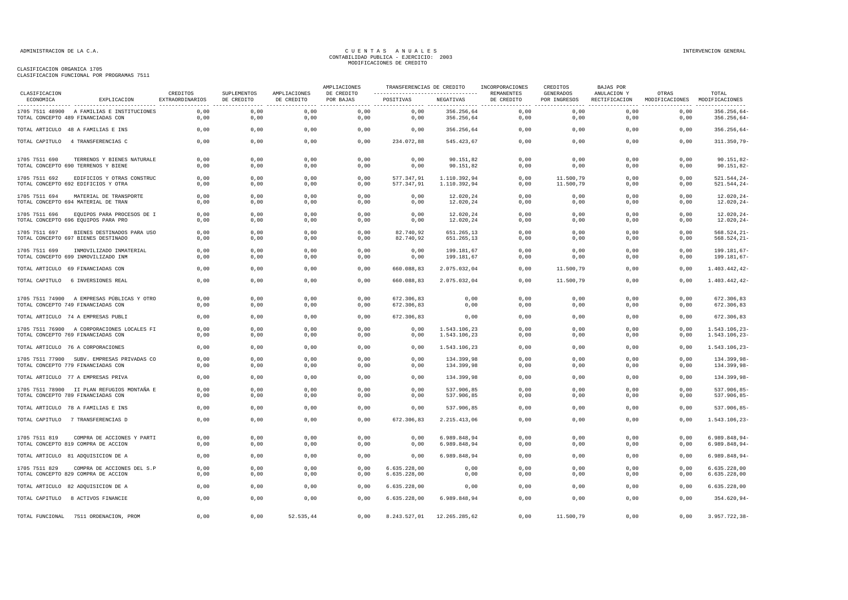### CLASIFICACION ORGANICA 1705

CLASIFICACION FUNCIONAL POR PROGRAMAS 7511

| CLASIFICACION   |                                                                                  |                             |                                              |                                                | AMPLIACIONES                 | TRANSFERENCIAS DE CREDITO    |                              | INCORPORACIONES                               | CREDITOS                                             | <b>BAJAS POR</b>             |                         |                                |
|-----------------|----------------------------------------------------------------------------------|-----------------------------|----------------------------------------------|------------------------------------------------|------------------------------|------------------------------|------------------------------|-----------------------------------------------|------------------------------------------------------|------------------------------|-------------------------|--------------------------------|
| ECONOMICA       | EXPLICACION                                                                      | CREDITOS<br>EXTRAORDINARIOS | SUPLEMENTOS<br>DE CREDITO<br>--------------- | AMPLIACIONES<br>DE CREDITO<br>---------------- | DE CREDITO<br>POR BAJAS<br>. | POSITIVAS                    | NEGATIVAS                    | REMANENTES<br>DE CREDITO<br>----------------- | <b>GENERADOS</b><br>POR INGRESOS<br>---------------- | ANULACION Y<br>RECTIFICACION | OTRAS<br>MODIFICACIONES | TOTAL<br>MODIFICACIONES        |
|                 | 1705 7511 48900 A FAMILIAS E INSTITUCIONES<br>TOTAL CONCEPTO 489 FINANCIADAS CON | 0,00<br>0,00                | 0,00<br>0,00                                 | 0,00<br>0,00                                   | 0,00<br>0,00                 | 0,00<br>0,00                 | 356.256,64<br>356.256,64     | 0,00<br>0,00                                  | 0,00<br>0,00                                         | 0,00<br>0,00                 | 0,00<br>0,00            | 356.256,64-<br>356.256,64-     |
|                 | TOTAL ARTICULO 48 A FAMILIAS E INS                                               | 0,00                        | 0,00                                         | 0,00                                           | 0,00                         | 0,00                         | 356.256,64                   | 0,00                                          | 0,00                                                 | 0,00                         | 0,00                    | 356.256,64-                    |
| TOTAL CAPITULO  | 4 TRANSFERENCIAS C                                                               | 0,00                        | 0,00                                         | 0,00                                           | 0,00                         | 234.072,88                   | 545.423,67                   | 0,00                                          | 0,00                                                 | 0,00                         | 0,00                    | 311.350,79-                    |
| 1705 7511 690   | TERRENOS Y BIENES NATURALE<br>TOTAL CONCEPTO 690 TERRENOS Y BIENE                | 0,00<br>0,00                | 0,00<br>0,00                                 | 0,00<br>0,00                                   | 0,00<br>0,00                 | 0,00<br>0,00                 | 90.151,82<br>90.151,82       | 0,00<br>0,00                                  | 0,00<br>0,00                                         | 0.00<br>0,00                 | 0,00<br>0,00            | 90.151,82-<br>90.151,82-       |
| 1705 7511 692   | EDIFICIOS Y OTRAS CONSTRUC<br>TOTAL CONCEPTO 692 EDIFICIOS Y OTRA                | 0,00<br>0,00                | 0,00<br>0,00                                 | 0,00<br>0,00                                   | 0,00<br>0,00                 | 577.347.91<br>577.347,91     | 1.110.392,94<br>1.110.392,94 | 0,00<br>0,00                                  | 11,500,79<br>11.500,79                               | 0,00<br>0,00                 | 0,00<br>0,00            | 521.544,24<br>521.544,24-      |
| 1705 7511 694   | MATERIAL DE TRANSPORTE<br>TOTAL CONCEPTO 694 MATERIAL DE TRAN                    | 0,00<br>0,00                | 0,00<br>0,00                                 | 0,00<br>0,00                                   | 0,00<br>0,00                 | 0,00<br>0,00                 | 12.020,24<br>12.020,24       | 0,00<br>0,00                                  | 0,00<br>0,00                                         | 0,00<br>0,00                 | 0,00<br>0,00            | 12.020,24<br>12.020,24-        |
| 1705 7511 696   | EQUIPOS PARA PROCESOS DE I<br>TOTAL CONCEPTO 696 EQUIPOS PARA PRO                | 0,00<br>0,00                | 0,00<br>0,00                                 | 0,00<br>0,00                                   | 0,00<br>0.00                 | 0,00<br>0,00                 | 12.020,24<br>12.020,24       | 0,00<br>0,00                                  | 0,00<br>0,00                                         | 0,00<br>0,00                 | 0,00<br>0,00            | 12.020,24-<br>$12.020, 24 -$   |
| 1705 7511 697   | BIENES DESTINADOS PARA USO<br>TOTAL CONCEPTO 697 BIENES DESTINADO                | 0,00<br>0,00                | 0,00<br>0,00                                 | 0,00<br>0,00                                   | 0,00<br>0,00                 | 82.740,92<br>82.740,92       | 651.265,13<br>651.265,13     | 0,00<br>0,00                                  | 0,00<br>0,00                                         | 0,00<br>0,00                 | 0,00<br>0,00            | 568.524,21-<br>568.524,21-     |
| 1705 7511 699   | INMOVILIZADO INMATERIAL<br>TOTAL CONCEPTO 699 INMOVILIZADO INM                   | 0,00<br>0,00                | 0,00<br>0,00                                 | 0,00<br>0,00                                   | 0,00<br>0,00                 | 0,00<br>0,00                 | 199.181,67<br>199.181,67     | 0,00<br>0,00                                  | 0,00<br>0,00                                         | 0,00<br>0,00                 | 0,00<br>0,00            | 199.181,67-<br>199.181,67-     |
|                 | TOTAL ARTICULO 69 FINANCIADAS CON                                                | 0,00                        | 0,00                                         | 0,00                                           | 0,00                         | 660.088,83                   | 2.075.032,04                 | 0,00                                          | 11.500,79                                            | 0,00                         | 0,00                    | 1.403.442,42-                  |
| TOTAL CAPITULO  | 6 INVERSIONES REAL                                                               | 0,00                        | 0,00                                         | 0,00                                           | 0,00                         | 660.088,83                   | 2.075.032,04                 | 0,00                                          | 11.500,79                                            | 0,00                         | 0,00                    | 1.403.442,42-                  |
|                 | 1705 7511 74900 A EMPRESAS PÚBLICAS Y OTRO<br>TOTAL CONCEPTO 749 FINANCIADAS CON | 0,00<br>0,00                | 0,00<br>0,00                                 | 0,00<br>0,00                                   | 0,00<br>0,00                 | 672.306,83<br>672.306,83     | 0,00<br>0,00                 | 0,00<br>0,00                                  | 0,00<br>0,00                                         | 0,00<br>0,00                 | 0,00<br>0,00            | 672.306,83<br>672.306,83       |
|                 | TOTAL ARTICULO 74 A EMPRESAS PUBLI                                               | 0,00                        | 0,00                                         | 0,00                                           | 0,00                         | 672.306,83                   | 0,00                         | 0,00                                          | 0,00                                                 | 0,00                         | 0,00                    | 672.306,83                     |
|                 | 1705 7511 76900 A CORPORACIONES LOCALES FI<br>TOTAL CONCEPTO 769 FINANCIADAS CON | 0,00<br>0,00                | 0,00<br>0,00                                 | 0,00<br>0,00                                   | 0,00<br>0,00                 | 0,00<br>0,00                 | 1.543.106,23<br>1.543.106,23 | 0,00<br>0,00                                  | 0,00<br>0,00                                         | 0,00<br>0,00                 | 0,00<br>0,00            | 1.543.106,23-<br>1.543.106,23- |
|                 | TOTAL ARTICULO 76 A CORPORACIONES                                                | 0,00                        | 0,00                                         | 0,00                                           | 0,00                         | 0,00                         | 1.543.106,23                 | 0,00                                          | 0,00                                                 | 0,00                         | 0,00                    | 1.543.106,23-                  |
|                 | 1705 7511 77900 SUBV. EMPRESAS PRIVADAS CO<br>TOTAL CONCEPTO 779 FINANCIADAS CON | 0,00<br>0,00                | 0,00<br>0,00                                 | 0,00<br>0,00                                   | 0,00<br>0,00                 | 0,00<br>0,00                 | 134.399,98<br>134.399,98     | 0,00<br>0,00                                  | 0,00<br>0,00                                         | 0,00<br>0,00                 | 0,00<br>0,00            | 134.399,98-<br>134.399,98-     |
|                 | TOTAL ARTICULO 77 A EMPRESAS PRIVA                                               | 0,00                        | 0,00                                         | 0,00                                           | 0,00                         | 0,00                         | 134.399,98                   | 0,00                                          | 0,00                                                 | 0,00                         | 0,00                    | 134.399,98-                    |
|                 | 1705 7511 78900 II PLAN REFUGIOS MONTAÑA E<br>TOTAL CONCEPTO 789 FINANCIADAS CON | 0,00<br>0.00                | 0,00<br>0,00                                 | 0,00<br>0,00                                   | 0,00<br>0.00                 | 0,00<br>0,00                 | 537.906,85<br>537.906,85     | 0,00<br>0,00                                  | 0,00<br>0,00                                         | 0,00<br>0,00                 | 0,00<br>0,00            | 537.906,85-<br>537.906,85-     |
|                 | TOTAL ARTICULO 78 A FAMILIAS E INS                                               | 0,00                        | 0,00                                         | 0,00                                           | 0,00                         | 0.00                         | 537.906,85                   | 0,00                                          | 0,00                                                 | 0,00                         | 0,00                    | 537.906,85-                    |
|                 | TOTAL CAPITULO 7 TRANSFERENCIAS D                                                | 0,00                        | 0,00                                         | 0,00                                           | 0,00                         | 672.306,83                   | 2.215.413,06                 | 0,00                                          | 0,00                                                 | 0,00                         | 0,00                    | 1.543.106,23-                  |
| 1705 7511 819   | COMPRA DE ACCIONES Y PARTI<br>TOTAL CONCEPTO 819 COMPRA DE ACCION                | 0,00<br>0,00                | 0,00<br>0,00                                 | 0,00<br>0,00                                   | 0,00<br>0,00                 | 0,00<br>0,00                 | 6.989.848,94<br>6.989.848,94 | 0,00<br>0,00                                  | 0,00<br>0,00                                         | 0,00<br>0,00                 | 0,00<br>0,00            | 6.989.848,94-<br>6.989.848,94- |
|                 | TOTAL ARTICULO 81 ADQUISICION DE A                                               | 0,00                        | 0,00                                         | 0,00                                           | 0,00                         | 0,00                         | 6.989.848,94                 | 0,00                                          | 0,00                                                 | 0,00                         | 0,00                    | 6.989.848,94-                  |
| 1705 7511 829   | COMPRA DE ACCIONES DEL S.P<br>TOTAL CONCEPTO 829 COMPRA DE ACCION                | 0,00<br>0,00                | 0,00<br>0,00                                 | 0,00<br>0,00                                   | 0,00<br>0,00                 | 6.635.228,00<br>6.635.228,00 | 0,00<br>0,00                 | 0,00<br>0,00                                  | 0,00<br>0,00                                         | 0,00<br>0,00                 | 0,00<br>0,00            | 6.635.228,00<br>6.635.228,00   |
|                 | TOTAL ARTICULO 82 ADQUISICION DE A                                               | 0,00                        | 0,00                                         | 0,00                                           | 0.00                         | 6.635.228.00                 | 0.00                         | 0,00                                          | 0.00                                                 | 0.00                         | 0.00                    | 6.635.228.00                   |
|                 | TOTAL CAPITULO 8 ACTIVOS FINANCIE                                                | 0,00                        | 0,00                                         | 0,00                                           | 0,00                         | 6.635.228,00                 | 6.989.848,94                 | 0,00                                          | 0,00                                                 | 0,00                         | 0,00                    | 354.620,94-                    |
| TOTAL FUNCIONAL | 7511 ORDENACION, PROM                                                            | 0,00                        | 0,00                                         | 52.535,44                                      | 0,00                         | 8.243.527,01                 | 12.265.285,62                | 0,00                                          | 11.500,79                                            | 0,00                         | 0,00                    | 3.957.722,38-                  |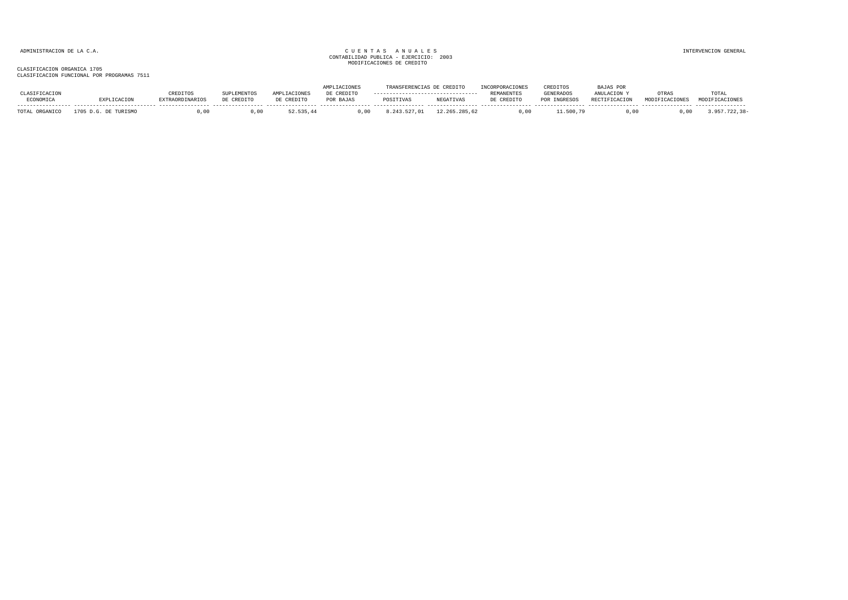|                     |            |                        |            |                | <b>ACTONES</b> | TRANSFERENCESS C |                  |            | CREDITOS         | AJAS POR             |                |                |
|---------------------|------------|------------------------|------------|----------------|----------------|------------------|------------------|------------|------------------|----------------------|----------------|----------------|
|                     |            | REDITOS                |            | <b>ACTOMES</b> | CREDITO        |                  |                  | REMANENTES | <b>GENERADOS</b> | ANULACION Y          | OTRAS          | TOTAL          |
| ECONOMICA           |            | <b>EXTRAORDINARIOS</b> | DE CREDITO | DE CREDITO     | POR BAJAS      | POSITIVAS        | <b>NEGATIVAS</b> | DE CREDITO | <b>INGRESOS</b>  | <b>RECTIFICACION</b> | MODIFICACIONES | MODIFICACIONES |
| TOTAL 1<br>ORGANICO | TITR T SMO |                        |            | 52.535.44      | .00            |                  | 12.265.285.62    |            | 500              |                      |                |                |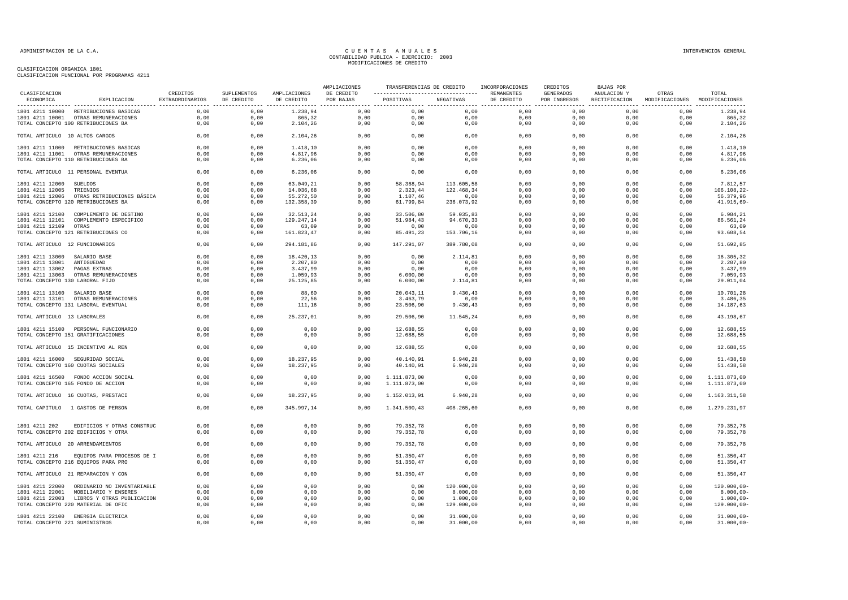| CLASIFICACION                                                                   | CREDITOS        | SUPLEMENTOS  | AMPLIACIONES    | AMPLIACIONES<br>DE CREDITO | ---------------------------------- REMANENTES |                  | TRANSFERENCIAS DE CREDITO INCORPORACIONES | CREDITOS<br>GENERADOS | BAJAS POR<br>ANULACION Y | OTRAS                                       | TOTAL                  |
|---------------------------------------------------------------------------------|-----------------|--------------|-----------------|----------------------------|-----------------------------------------------|------------------|-------------------------------------------|-----------------------|--------------------------|---------------------------------------------|------------------------|
| ECONOMICA<br>EXPLICACION                                                        | EXTRAORDINARIOS | DE CREDITO   | DE CREDITO      | POR BAJAS                  | POSITIVAS NEGATIVAS                           |                  | DE CREDITO                                | POR INGRESOS          |                          | RECTIFICACION MODIFICACIONES MODIFICACIONES |                        |
| 1801 4211 10000 RETRIBUCIONES BASICAS                                           | 0.00            | 0.00         | 1.238.94        |                            | $0.00$ $0.00$ $0.00$                          |                  | 0.00                                      | 0.00                  | 0.00                     | 0.00                                        | 1.238.94               |
| 1801 4211 10001 OTRAS REMUNERACIONES                                            | 0,00            | 0,00         | 865,32          | 0,00                       | 0,00                                          | 0,00             | 0,00                                      | 0,00                  | 0,00                     | 0.00                                        | 865,32                 |
| TOTAL CONCEPTO 100 RETRIBUCIONES BA                                             | 0,00            | 0,00         | 2.104,26        | 0,00                       | 0,00                                          | 0,00             | 0,00                                      | 0,00                  | 0,00                     | 0,00                                        | 2.104,26               |
| TOTAL ARTICULO 10 ALTOS CARGOS                                                  | 0,00            | 0,00         | 2.104,26        |                            | 0,00<br>0,00                                  | 0,00             | 0,00                                      | 0,00                  | 0,00                     | 0,00                                        | 2.104,26               |
| 1801 4211 11000 RETRIBUCIONES BASICAS                                           | 0,00            | 0,00         | 1.418,10        | 0,00                       | 0,00                                          | 0,00             | 0,00                                      | 0,00                  | 0,00                     | 0,00                                        | 1.418,10               |
| 1801 4211 11001 OTRAS REMUNERACIONES                                            | 0,00            | 0,00         | 4.817,96        | 0,00                       | 0,00                                          | 0,00             | 0,00                                      | 0,00                  | 0,00                     | 0,00                                        | 4.817,96               |
| TOTAL CONCEPTO 110 RETRIBUCIONES BA                                             | 0,00            | 0,00         | 6.236,06        | 0,00                       | 0,00                                          | 0,00             | 0,00                                      | 0,00                  | 0,00                     | 0,00                                        | 6.236,06               |
| TOTAL ARTICULO 11 PERSONAL EVENTUA                                              | 0,00            | 0,00         | 6.236,06        | 0,00                       | 0,00                                          | 0,00             | 0,00                                      | 0,00                  | 0,00                     | 0,00                                        | 6.236,06               |
| 1801 4211 12000 SUELDOS                                                         | 0,00            | 0,00         | 63.049,21       | 0.00                       | 58.368,94                                     | 113.605,58       | 0,00                                      | 0,00                  | 0,00                     | 0,00                                        | 7.812,57               |
| 1801 4211 12005 TRIENIOS                                                        | 0,00            | 0,00         | 14.036,68       | 0,00                       | 2.323,44                                      | 122.468,34       | 0,00                                      | 0,00                  | 0,00                     | 0,00                                        | 106.108,22-            |
| 1801 4211 12006 OTRAS RETRIBUCIONES BÁSICA                                      | 0,00            | 0,00         | 55.272,50       | 0,00                       | 1.107,46                                      | 0,00             | 0,00                                      | 0,00                  | 0,00                     | 0,00                                        | 56.379,96              |
| TOTAL CONCEPTO 120 RETRIBUCIONES BA                                             | 0,00            | 0,00         | 132.358,39      | 0,00                       | 61.799,84                                     | 236.073,92       | 0,00                                      | 0,00                  | 0,00                     | 0,00                                        | 41.915,69-             |
| 1801 4211 12100 COMPLEMENTO DE DESTINO                                          | 0,00            | 0,00         | 32.513,24       | 0,00                       | 33.506,80                                     | 59.035,83        | 0,00                                      | 0,00                  | 0,00                     | 0,00                                        | 6.984,21               |
| 1801 4211 12101 COMPLEMENTO ESPECIFICO                                          | 0,00            | 0,00         | 129.247,14      | 0,00                       | 51.984,43                                     | 94.670,33        | 0,00                                      | 0,00                  | 0,00                     | 0,00                                        | 86.561,24              |
| 1801 4211 12109 OTRAS                                                           | 0.00            | 0.00         | 63,09           | 0.00                       | 0,00                                          | 0,00             | 0.00                                      | 0,00                  | 0.00                     | 0,00                                        | 63,09                  |
| TOTAL CONCEPTO 121 RETRIBUCIONES CO                                             | 0,00            | 0,00         | 161.823,47      | 0,00                       | 85.491,23                                     | 153.706,16       | 0,00                                      | 0,00                  | 0,00                     | 0,00                                        | 93.608,54              |
| TOTAL ARTICULO 12 FUNCIONARIOS                                                  | 0,00            | 0,00         | 294.181,86      | 0,00                       | 147.291,07                                    | 389.780,08       | 0,00                                      | 0,00                  | 0,00                     | 0,00                                        | 51.692,85              |
| 1801 4211 13000 SALARIO BASE                                                    | 0,00            | 0,00         | 18.420,13       | 0,00                       | 0,00                                          | 2.114,81         | 0,00                                      | 0,00                  | 0,00                     | 0,00                                        | 16.305,32              |
| 1801 4211 13001 ANTIGUEDAD                                                      | 0,00            | 0,00         | 2.207,80        | 0,00                       | 0,00                                          | 0,00             | 0,00                                      | 0,00                  | 0,00                     | 0,00                                        | 2.207,80               |
| 1801 4211 13002 PAGAS EXTRAS                                                    | 0,00            | 0,00         | 3.437,99        | 0,00                       | 0,00                                          | 0,00             | 0,00                                      | 0,00                  | 0,00                     | 0,00                                        | 3.437,99               |
| 1801 4211 13003 OTRAS REMUNERACIONES                                            | 0,00            | 0,00         | 1.059,93        | 0,00                       | 6.000,00                                      | 0,00             | 0,00                                      | 0,00                  | 0,00                     | 0,00                                        | 7.059,93               |
| TOTAL CONCEPTO 130 LABORAL FIJO                                                 | 0,00            | 0,00         | 25.125,85       | 0,00                       | 6.000,00                                      | 2.114,81         | 0,00                                      | 0,00                  | 0,00                     | 0,00                                        | 29.011,04              |
|                                                                                 |                 |              |                 |                            |                                               |                  |                                           |                       |                          |                                             |                        |
| 1801 4211 13100 SALARIO BASE                                                    | 0,00            | 0,00         | 88,60           | 0,00                       | 20.043,11                                     | 9.430,43         | 0,00                                      | 0,00                  | 0,00                     | 0,00                                        | 10.701,28              |
| 1801 4211 13101 OTRAS REMUNERACIONES<br>TOTAL CONCEPTO 131 LABORAL EVENTUAL     | 0,00<br>0,00    | 0,00<br>0,00 | 22,56<br>111,16 | 0,00<br>0,00               | 3.463,79<br>23.506,90                         | 0,00<br>9.430,43 | 0,00<br>0,00                              | 0,00<br>0,00          | 0,00<br>0,00             | 0,00<br>0,00                                | 3.486,35<br>14.187,63  |
|                                                                                 |                 |              |                 |                            |                                               |                  |                                           |                       |                          |                                             |                        |
| TOTAL ARTICULO 13 LABORALES                                                     | 0,00            | 0,00         | 25.237,01       | 0,00                       | 29.506,90                                     | 11.545,24        | 0,00                                      | 0,00                  | 0,00                     | 0,00                                        | 43.198,67              |
| 1801 4211 15100 PERSONAL FUNCIONARIO                                            | 0,00            | 0,00         | 0,00            | 0,00                       | 12.688,55                                     | 0,00             | 0,00                                      | 0,00                  | 0,00                     | 0,00                                        | 12.688,55              |
| TOTAL CONCEPTO 151 GRATIFICACIONES                                              | 0,00            | 0,00         | 0,00            | 0,00                       | 12.688,55                                     | 0,00             | 0,00                                      | 0,00                  | 0,00                     | 0,00                                        | 12.688,55              |
| TOTAL ARTICULO 15 INCENTIVO AL REN                                              | 0,00            | 0,00         | 0.00            | 0,00                       | 12.688,55                                     | 0,00             | 0,00                                      | 0,00                  | 0,00                     | 0,00                                        | 12.688,55              |
| 1801 4211 16000 SEGURIDAD SOCIAL                                                | 0,00            | 0,00         | 18.237,95       | 0,00                       | 40.140,91                                     | 6.940,28         | 0,00                                      | 0,00                  | 0,00                     | 0,00                                        | 51.438,58              |
| TOTAL CONCEPTO 160 CUOTAS SOCIALES                                              | 0,00            | 0,00         | 18.237,95       | 0,00                       | 40.140,91                                     | 6.940,28         | 0,00                                      | 0,00                  | 0,00                     | 0,00                                        | 51.438,58              |
| 1801 4211 16500 FONDO ACCION SOCIAL                                             | 0,00            | 0,00         | 0,00            | 0,00                       | 1.111.873,00                                  | 0,00             | 0,00                                      | 0,00                  | 0,00                     | 0,00                                        | 1.111.873,00           |
| TOTAL CONCEPTO 165 FONDO DE ACCION                                              | 0,00            | 0,00         | 0,00            | 0,00                       | 1.111.873,00                                  | 0,00             | 0,00                                      | 0,00                  | 0,00                     | 0,00                                        | 1.111.873,00           |
| TOTAL ARTICULO 16 CUOTAS, PRESTACI                                              | 0,00            | 0,00         | 18.237,95       | 0,00                       | 1.152.013,91                                  | 6.940,28         | 0,00                                      | 0,00                  | 0,00                     | 0,00                                        | 1.163.311,58           |
| TOTAL CAPITULO 1 GASTOS DE PERSON                                               | 0,00            | 0,00         | 345.997,14      | 0,00                       | 1.341.500,43                                  | 408.265,60       | 0,00                                      | 0,00                  | 0,00                     | 0,00                                        | 1.279.231,97           |
|                                                                                 |                 |              |                 |                            |                                               |                  |                                           |                       |                          |                                             |                        |
| 1801 4211 202 EDIFICIOS Y OTRAS CONSTRUC                                        | 0,00            | 0,00         | 0,00            | 0,00                       | 79.352,78                                     | 0,00             | 0,00                                      | 0,00                  | 0,00                     | 0,00                                        | 79.352,78              |
| TOTAL CONCEPTO 202 EDIFICIOS Y OTRA                                             | 0,00            | 0,00         | 0,00            | 0,00                       | 79.352,78                                     | 0,00             | 0,00                                      | 0,00                  | 0,00                     | 0,00                                        | 79.352,78              |
| TOTAL ARTICULO 20 ARRENDAMIENTOS                                                | 0,00            | 0,00         | 0,00            | 0,00                       | 79.352,78                                     | 0,00             | 0,00                                      | 0,00                  | 0,00                     | 0,00                                        | 79.352,78              |
|                                                                                 |                 |              |                 |                            |                                               |                  | 0.00                                      |                       | 0.00                     |                                             |                        |
| 1801 4211 216 EQUIPOS PARA PROCESOS DE I<br>TOTAL CONCEPTO 216 EQUIPOS PARA PRO | 0.00<br>0,00    | 0.00<br>0,00 | 0.00<br>0,00    | 0,00<br>0,00               | 51.350.47<br>51.350,47                        | 0.00<br>0,00     | 0,00                                      | 0,00<br>0,00          | 0,00                     | 0.00<br>0,00                                | 51.350,47<br>51.350,47 |
|                                                                                 |                 |              |                 |                            |                                               |                  |                                           |                       |                          |                                             |                        |
| TOTAL ARTICULO 21 REPARACION Y CON                                              | 0,00            | 0,00         | 0,00            | 0,00                       | 51.350,47                                     | 0,00             | 0,00                                      | 0,00                  | 0,00                     | 0,00                                        | 51.350,47              |
| 1801 4211 22000 ORDINARIO NO INVENTARIABLE                                      | 0,00            | 0,00         | 0,00            | 0,00                       | 0,00                                          | 120.000,00       | 0,00                                      | 0,00                  | 0,00                     | 0,00                                        | $120.000,00-$          |
| 1801 4211 22001 MOBILIARIO Y ENSERES                                            | 0,00            | 0,00         | 0,00            | 0,00                       | 0,00                                          | 8.000,00         | 0,00                                      | 0,00                  | 0,00                     | 0,00                                        | $8.000,00 -$           |
| 1801 4211 22003 LIBROS Y OTRAS PUBLICACION                                      | 0,00            | 0,00         | 0,00            | 0,00                       | 0,00                                          | 1.000,00         | 0,00                                      | 0,00                  | 0,00                     | 0,00                                        | $1.000,00-$            |
| TOTAL CONCEPTO 220 MATERIAL DE OFIC                                             | 0,00            | 0,00         | 0,00            | 0,00                       | 0,00                                          | 129.000,00       | 0,00                                      | 0,00                  | 0,00                     | 0,00                                        | 129.000,00-            |
| 1801 4211 22100 ENERGIA ELECTRICA                                               | 0,00            | 0,00         | 0,00            | 0,00                       | 0,00                                          | 31.000,00        | 0,00                                      | 0,00                  | 0,00                     | 0,00                                        | $31.000,00 -$          |
| TOTAL CONCEPTO 221 SUMINISTROS                                                  | 0,00            | 0,00         | 0,00            | 0,00                       | 0,00                                          | 31.000,00        | 0,00                                      | 0,00                  | 0,00                     | 0,00                                        | $31.000,00 -$          |
|                                                                                 |                 |              |                 |                            |                                               |                  |                                           |                       |                          |                                             |                        |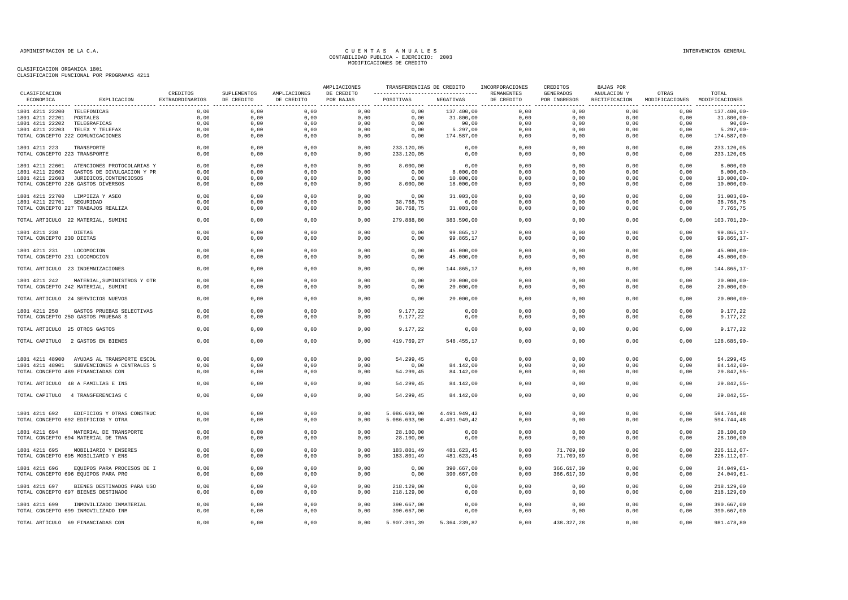| CLASIFICACION                                  |                                                                    |              |                           |                            | AMPLIACIONES            |                                                            |                              | TRANSFERENCIAS DE CREDITO INCORPORACIONES | CREDITOS                  | BAJAS POR                                                  | OTRAS        | TOTAL                        |
|------------------------------------------------|--------------------------------------------------------------------|--------------|---------------------------|----------------------------|-------------------------|------------------------------------------------------------|------------------------------|-------------------------------------------|---------------------------|------------------------------------------------------------|--------------|------------------------------|
| ECONOMICA                                      | EXPLICACION EXTRAORDINARIOS                                        | CREDITOS     | SUPLEMENTOS<br>DE CREDITO | AMPLIACIONES<br>DE CREDITO | DE CREDITO<br>POR BAJAS | ---------------------------------- REMANENTES<br>POSITIVAS | NEGATIVAS                    | DE CREDITO                                | GENERADOS<br>POR INGRESOS | ANULACION Y<br>RECTIFICACION MODIFICACIONES MODIFICACIONES |              |                              |
| 1801 4211 22200 TELEFONICAS                    |                                                                    | 0,00         | 0,00                      | 0,00                       | 0,00                    | 0,00                                                       | 137.400,00                   | 0,00                                      | 0,00                      | 0,00                                                       | 0,00         | 137.400,00-                  |
| 1801 4211 22201 POSTALES                       |                                                                    | 0,00         | 0,00                      | 0,00                       | 0,00                    | 0,00                                                       | 31.800,00                    | 0,00                                      | 0,00                      | 0,00                                                       | 0,00         | 31.800,00                    |
| 1801 4211 22202                                | TELEGRAFICAS                                                       | 0,00         | 0,00                      | 0,00                       | 0,00                    | 0,00                                                       | 90,00                        | 0,00                                      | 0,00                      | 0,00                                                       | 0,00         | 90,00-                       |
|                                                | 1801 4211 22203 TELEX Y TELEFAX                                    | 0,00         | 0,00                      | 0,00                       | 0,00                    | 0,00                                                       | 5.297,00                     | 0,00                                      | 0,00                      | 0,00                                                       | 0,00         | 5.297,00                     |
|                                                | TOTAL CONCEPTO 222 COMUNICACIONES                                  | 0,00         | 0,00                      | 0,00                       | 0,00                    | 0,00                                                       | 174.587,00                   | 0,00                                      | 0,00                      | 0,00                                                       | 0,00         | 174.587,00-                  |
| 1801 4211 223                                  | TRANSPORTE                                                         | 0,00         | 0,00                      | 0,00                       | 0,00                    | 233.120,05                                                 | 0,00                         | 0,00                                      | 0,00                      | 0,00                                                       | 0,00         | 233.120,05                   |
| TOTAL CONCEPTO 223 TRANSPORTE                  |                                                                    | 0,00         | 0,00                      | 0,00                       | 0,00                    | 233.120,05                                                 | 0,00                         | 0,00                                      | 0,00                      | 0,00                                                       | 0,00         | 233.120,05                   |
|                                                | 1801 4211 22601 ATENCIONES PROTOCOLARIAS Y                         | 0,00         | 0,00                      | 0,00                       | 0,00                    | 8.000,00                                                   | 0,00                         | 0,00                                      | 0,00                      | 0,00                                                       | 0,00         | 8.000,00                     |
|                                                | 1801 4211 22602 GASTOS DE DIVULGACION Y PR                         | 0,00         | 0,00                      | 0,00                       | 0,00                    | 0,00                                                       | 8.000,00                     | 0,00                                      | 0,00                      | 0,00                                                       | 0,00         | 8.000,00                     |
|                                                | 1801 4211 22603 JURIDICOS, CONTENCIOSOS                            | 0,00         | 0,00                      | 0,00                       | 0,00                    | 0,00                                                       | 10.000,00                    | 0,00                                      | 0,00                      | 0,00                                                       | 0,00         | $10.000,00 -$                |
|                                                | TOTAL CONCEPTO 226 GASTOS DIVERSOS                                 | 0,00         | 0,00                      | 0,00                       | 0,00                    | 8.000,00                                                   | 18.000,00                    | 0,00                                      | 0,00                      | 0,00                                                       | 0,00         | $10.000,00 -$                |
|                                                | 1801 4211 22700 LIMPIEZA Y ASEO                                    | 0.00         | 0.00                      | 0.00                       | 0.00                    | 0.00                                                       | 31,003,00                    | 0.00                                      | 0.00                      | 0.00                                                       | 0.00         | $31.003.00 -$                |
| 1801 4211 22701 SEGURIDAD                      |                                                                    | 0.00         | 0.00                      | 0,00                       | 0,00                    | 38.768,75                                                  | 0,00                         | 0,00                                      | 0.00                      | 0.00                                                       | 0,00         | 38.768,75                    |
|                                                | TOTAL CONCEPTO 227 TRABAJOS REALIZA                                | 0,00         | 0,00                      | 0,00                       | 0,00                    | 38.768,75                                                  | 31.003,00                    | 0,00                                      | 0,00                      | 0,00                                                       | 0,00         | 7.765,75                     |
|                                                | TOTAL ARTICULO 22 MATERIAL, SUMINI                                 | 0,00         | 0,00                      | 0,00                       | 0,00                    | 279.888,80                                                 | 383.590,00                   | 0,00                                      | 0,00                      | 0,00                                                       | 0,00         | 103.701,20-                  |
| 1801 4211 230                                  | DIETAS                                                             | 0,00         | 0,00                      | 0,00                       | 0,00                    | 0,00                                                       | 99.865,17                    | 0,00                                      | 0,00                      | 0,00                                                       | 0,00         | 99.865,17-                   |
| TOTAL CONCEPTO 230 DIETAS                      |                                                                    | 0,00         | 0,00                      | 0,00                       | 0,00                    | 0,00                                                       | 99.865,17                    | 0,00                                      | 0,00                      | 0,00                                                       | 0,00         | $99.865, 17 -$               |
|                                                |                                                                    |              |                           |                            |                         |                                                            |                              |                                           |                           |                                                            |              |                              |
| 1801 4211 231<br>TOTAL CONCEPTO 231 LOCOMOCION | LOCOMOCION                                                         | 0,00<br>0,00 | 0,00<br>0,00              | 0,00<br>0,00               | 0,00<br>0,00            | 0,00<br>0,00                                               | 45.000,00<br>45.000,00       | 0,00<br>0,00                              | 0,00<br>0,00              | 0,00<br>0,00                                               | 0,00<br>0,00 | 45.000,00-<br>$45.000,00 -$  |
|                                                | TOTAL ARTICULO 23 INDEMNIZACIONES                                  | 0,00         | 0,00                      | 0,00                       | 0,00                    | 0,00                                                       | 144.865,17                   | 0,00                                      | 0,00                      | 0,00                                                       | 0,00         | 144.865,17-                  |
|                                                |                                                                    |              |                           |                            |                         |                                                            |                              |                                           |                           |                                                            |              |                              |
| 1801 4211 242                                  | MATERIAL, SUMINISTROS Y OTR<br>TOTAL CONCEPTO 242 MATERIAL, SUMINI | 0,00<br>0,00 | 0,00<br>0,00              | 0,00<br>0,00               | 0,00<br>0,00            | 0,00<br>0,00                                               | 20.000,00<br>20.000,00       | 0,00<br>0,00                              | 0,00<br>0,00              | 0,00<br>0,00                                               | 0,00<br>0,00 | $20.000,00-$<br>$20.000,00-$ |
|                                                |                                                                    |              |                           |                            |                         |                                                            |                              |                                           |                           |                                                            |              |                              |
|                                                | TOTAL ARTICULO 24 SERVICIOS NUEVOS                                 | 0,00         | 0,00                      | 0,00                       | 0,00                    | 0,00                                                       | 20.000,00                    | 0,00                                      | 0,00                      | 0,00                                                       | 0,00         | $20.000,00 -$                |
|                                                | 1801 4211 250 GASTOS PRUEBAS SELECTIVAS                            | 0.00         | 0.00                      | 0.00                       | 0.00                    | 9.177.22                                                   | 0.00                         | 0.00                                      | 0.00                      | 0.00                                                       | 0.00         | 9.177.22                     |
|                                                | TOTAL CONCEPTO 250 GASTOS PRUEBAS S                                | 0.00         | 0,00                      | 0,00                       | 0,00                    | 9.177,22                                                   | 0,00                         | 0,00                                      | 0,00                      | 0,00                                                       | 0,00         | 9.177,22                     |
|                                                | TOTAL ARTICULO 25 OTROS GASTOS                                     | 0,00         | 0,00                      | 0,00                       | 0,00                    | 9.177,22                                                   | 0,00                         | 0,00                                      | 0,00                      | 0,00                                                       | 0,00         | 9.177,22                     |
|                                                | TOTAL CAPITULO 2 GASTOS EN BIENES                                  | 0,00         | 0,00                      | 0,00                       | 0,00                    | 419.769,27                                                 | 548.455,17                   | 0,00                                      | 0,00                      | 0,00                                                       | 0,00         | 128.685,90-                  |
|                                                | 1801 4211 48900 AYUDAS AL TRANSPORTE ESCOL                         | 0,00         | 0,00                      | 0,00                       | 0,00                    | 54.299,45                                                  | 0,00                         | 0,00                                      | 0,00                      | 0,00                                                       | 0,00         | 54.299,45                    |
|                                                | 1801 4211 48901 SUBVENCIONES A CENTRALES S                         | 0,00         | 0,00                      | 0,00                       | 0,00                    | 0,00                                                       | 84.142,00                    | 0,00                                      | 0,00                      | 0,00                                                       | 0,00         | 84.142,00                    |
|                                                | TOTAL CONCEPTO 489 FINANCIADAS CON                                 | 0,00         | 0,00                      | 0,00                       | 0,00                    | 54.299,45                                                  | 84.142,00                    | 0,00                                      | 0,00                      | 0,00                                                       | 0,00         | 29.842,55-                   |
|                                                |                                                                    |              |                           |                            |                         |                                                            |                              |                                           |                           |                                                            |              |                              |
|                                                | TOTAL ARTICULO 48 A FAMILIAS E INS                                 | 0,00         | 0,00                      | 0,00                       | 0,00                    | 54.299,45                                                  | 84.142,00                    | 0,00                                      | 0,00                      | 0,00                                                       | 0,00         | $29.842,55-$                 |
|                                                | TOTAL CAPITULO 4 TRANSFERENCIAS C                                  | 0,00         | 0,00                      | 0,00                       | 0,00                    | 54.299,45                                                  | 84.142,00                    | 0,00                                      | 0,00                      | 0,00                                                       | 0,00         | $29.842,55-$                 |
|                                                |                                                                    |              |                           |                            |                         |                                                            |                              |                                           |                           |                                                            |              |                              |
| 1801 4211 692                                  | EDIFICIOS Y OTRAS CONSTRUC<br>TOTAL CONCEPTO 692 EDIFICIOS Y OTRA  | 0,00<br>0,00 | 0,00<br>0,00              | 0,00<br>0,00               | 0,00<br>0,00            | 5.086.693,90<br>5.086.693,90                               | 4.491.949,42<br>4.491.949,42 | 0,00<br>0,00                              | 0,00<br>0,00              | 0,00<br>0,00                                               | 0,00<br>0,00 | 594.744,48<br>594.744,48     |
|                                                |                                                                    |              |                           |                            |                         |                                                            |                              |                                           |                           |                                                            |              |                              |
| 1801 4211 694                                  | MATERIAL DE TRANSPORTE                                             | 0.00         | 0.00                      | 0,00                       | 0,00                    | 28.100,00                                                  | 0,00                         | 0.00                                      | 0,00                      | 0.00                                                       | 0,00         | 28.100,00                    |
|                                                | TOTAL CONCEPTO 694 MATERIAL DE TRAN                                | 0,00         | 0,00                      | 0,00                       | 0,00                    | 28.100,00                                                  | 0,00                         | 0,00                                      | 0,00                      | 0,00                                                       | 0,00         | 28.100,00                    |
| 1801 4211 695                                  | MOBILIARIO Y ENSERES                                               | 0,00         | 0,00                      | 0,00                       | 0,00                    | 183.801,49                                                 | 481.623,45                   | 0,00                                      | 71.709,89                 | 0,00                                                       | 0,00         | 226.112,07                   |
|                                                | TOTAL CONCEPTO 695 MOBILIARIO Y ENS                                | 0,00         | 0,00                      | 0,00                       | 0,00                    | 183.801,49                                                 | 481.623,45                   | 0,00                                      | 71.709,89                 | 0,00                                                       | 0,00         | $226.112,07-$                |
| 1801 4211 696                                  | EQUIPOS PARA PROCESOS DE I                                         | 0,00         | 0,00                      | 0,00                       | 0,00                    | 0,00                                                       | 390.667,00                   | 0,00                                      | 366.617,39                | 0,00                                                       | 0,00         | 24.049,61                    |
|                                                | TOTAL CONCEPTO 696 EQUIPOS PARA PRO                                | 0,00         | 0,00                      | 0,00                       | 0,00                    | 0,00                                                       | 390.667,00                   | 0,00                                      | 366.617,39                | 0,00                                                       | 0,00         | 24.049,61                    |
|                                                |                                                                    |              |                           |                            |                         |                                                            |                              |                                           |                           |                                                            |              |                              |
| 1801 4211 697                                  | BIENES DESTINADOS PARA USO                                         | 0,00         | 0,00                      | 0,00                       | 0,00                    | 218.129,00                                                 | 0,00                         | 0.00                                      | 0,00                      | 0,00                                                       | 0.00         | 218.129,00                   |
|                                                | TOTAL CONCEPTO 697 BIENES DESTINADO                                | 0,00         | 0,00                      | 0,00                       | 0,00                    | 218.129,00                                                 | 0,00                         | 0,00                                      | 0,00                      | 0,00                                                       | 0,00         | 218.129,00                   |
| 1801 4211 699                                  | INMOVILIZADO INMATERIAL                                            | 0,00         | 0,00                      | 0,00                       | 0,00                    | 390.667,00                                                 | 0,00                         | 0,00                                      | 0,00                      | 0,00                                                       | 0,00         | 390.667,00                   |
|                                                | TOTAL CONCEPTO 699 INMOVILIZADO INM                                | 0,00         | 0,00                      | 0,00                       | 0,00                    | 390.667,00                                                 | 0,00                         | 0,00                                      | 0,00                      | 0,00                                                       | 0,00         | 390.667,00                   |
|                                                | TOTAL ARTICULO 69 FINANCIADAS CON                                  | 0,00         | 0,00                      | 0,00                       | 0,00                    | 5.907.391,39                                               | 5.364.239,87                 | 0,00                                      | 438.327,28                | 0,00                                                       | 0,00         | 981.478,80                   |
|                                                |                                                                    |              |                           |                            |                         |                                                            |                              |                                           |                           |                                                            |              |                              |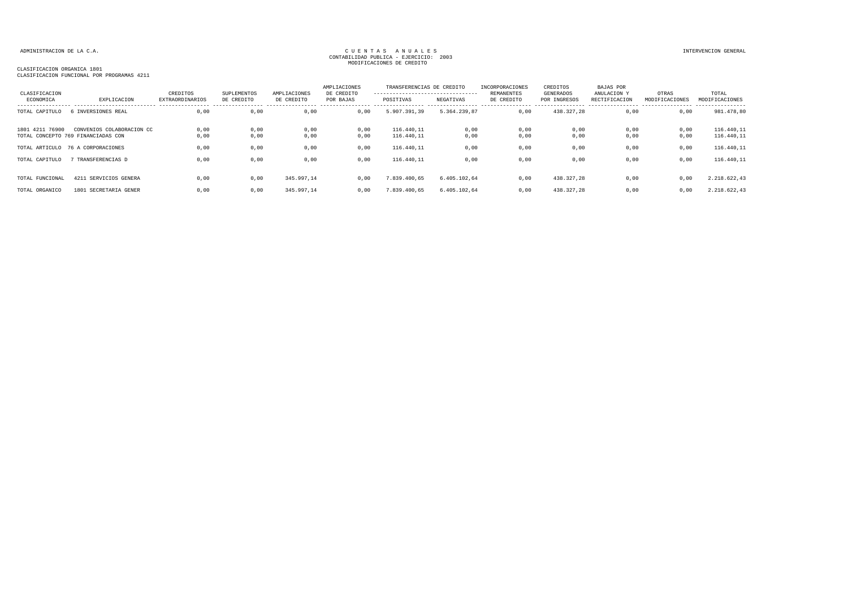| CLASIFICACION   |                                                                 | CREDITOS               | SUPLEMENTOS  | AMPLIACIONES | AMPLIACIONES<br>DE CREDITO | TRANSFERENCIAS DE CREDITO<br>---------------------------------- |              | INCORPORACIONES<br>REMANENTES | CREDITOS<br>GENERADOS | BAJAS POR<br>ANULACION Y | OTRAS          | TOTAL                      |
|-----------------|-----------------------------------------------------------------|------------------------|--------------|--------------|----------------------------|-----------------------------------------------------------------|--------------|-------------------------------|-----------------------|--------------------------|----------------|----------------------------|
| ECONOMICA       | EXPLICACION                                                     | <b>EXTRAORDINARIOS</b> | DE CREDITO   | DE CREDITO   | POR BAJAS                  | POSITIVAS                                                       | NEGATIVAS    | DE CREDITO                    | POR INGRESOS          | RECTIFICACION            | MODIFICACIONES | MODIFICACIONES             |
| TOTAL CAPITULO  | INVERSIONES REAL                                                | 0,00                   | 0,00         | 0,00         | 0,00                       | 5.907.391,39                                                    | 5.364.239,87 | 0,00                          | 438.327,28            | 0,00                     | 0,00           | ------------<br>981.478,80 |
| 1801 4211 76900 | CONVENIOS COLABORACION CC<br>TOTAL CONCEPTO 769 FINANCIADAS CON | 0,00<br>0,00           | 0,00<br>0,00 | 0,00<br>0,00 | 0,00<br>0,00               | 116.440,11<br>116.440,11                                        | 0,00<br>0,00 | 0,00<br>0,00                  | 0,00<br>0,00          | 0,00<br>0,00             | 0,00<br>0,00   | 116.440,11<br>116.440,11   |
|                 | TOTAL ARTICULO 76 A CORPORACIONES                               | 0,00                   | 0,00         | 0,00         | 0,00                       | 116.440,11                                                      | 0,00         | 0,00                          | 0,00                  | 0,00                     | 0,00           | 116.440,11                 |
| TOTAL CAPITULO  | TRANSFERENCIAS D                                                | 0,00                   | 0,00         | 0,00         | 0,00                       | 116.440,11                                                      | 0,00         | 0,00                          | 0,00                  | 0,00                     | 0,00           | 116.440,11                 |
| TOTAL FUNCIONAL | 4211 SERVICIOS GENERA                                           | 0,00                   | 0,00         | 345.997,14   | 0.00                       | 7.839.400,65                                                    | 6.405.102,64 | 0,00                          | 438.327,28            | 0,00                     | 0,00           | 2.218.622,43               |
| TOTAL ORGANICO  | 1801 SECRETARIA GENER                                           | 0,00                   | 0,00         | 345.997,14   | 0,00                       | 7.839.400,65                                                    | 6.405.102.64 | 0,00                          | 438.327.28            | 0.00                     | 0,00           | 2.218.622,43               |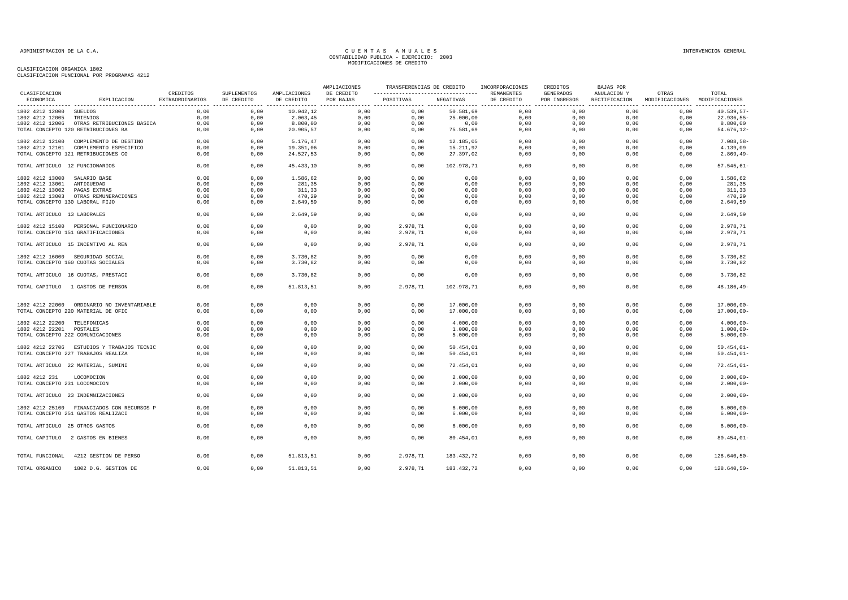|                                 |                                            |                             |                           |                            | AMPLIACIONES            | TRANSFERENCIAS DE CREDITO<br>----------------------------------- |            | INCORPORACIONES          | CREDITOS                  | BAJAS POR                    |                                        | TOTAL           |
|---------------------------------|--------------------------------------------|-----------------------------|---------------------------|----------------------------|-------------------------|------------------------------------------------------------------|------------|--------------------------|---------------------------|------------------------------|----------------------------------------|-----------------|
| CLASIFICACION<br>ECONOMICA      | EXPLICACION                                | CREDITOS<br>EXTRAORDINARIOS | SUPLEMENTOS<br>DE CREDITO | AMPLIACIONES<br>DE CREDITO | DE CREDITO<br>POR BAJAS | POSITIVAS                                                        | NEGATIVAS  | REMANENTES<br>DE CREDITO | GENERADOS<br>POR INGRESOS | ANULACION Y<br>RECTIFICACION | OTRAS<br>MODIFICACIONES MODIFICACIONES |                 |
| 1802 4212 12000 SUELDOS         |                                            | 0.00                        | 0,00                      | 10.042.12                  | 0,00                    | 0.00                                                             | 50.581.69  | 0,00                     | 0,00                      | 0.00                         | 0.00                                   | 40.539,57-      |
| 1802 4212 12005 TRIENIOS        |                                            | 0,00                        | 0,00                      | 2.063,45                   | 0,00                    | 0,00                                                             | 25.000,00  | 0,00                     | 0,00                      | 0,00                         | 0,00                                   | 22.936,55-      |
|                                 | 1802 4212 12006 OTRAS RETRIBUCIONES BASICA | 0,00                        | 0,00                      | 8.800,00                   | 0,00                    | 0,00                                                             | 0,00       | 0,00                     | 0,00                      | 0,00                         | 0,00                                   | 8.800,00        |
|                                 | TOTAL CONCEPTO 120 RETRIBUCIONES BA        | 0,00                        | 0,00                      | 20.905,57                  | 0,00                    | 0,00                                                             | 75.581,69  | 0,00                     | 0,00                      | 0,00                         | 0,00                                   | 54.676,12-      |
|                                 | 1802 4212 12100 COMPLEMENTO DE DESTINO     | 0,00                        | 0,00                      | 5.176,47                   | 0,00                    | 0,00                                                             | 12.185,05  | 0,00                     | 0,00                      | 0,00                         | 0,00                                   | $7.008,58-$     |
|                                 | 1802 4212 12101 COMPLEMENTO ESPECIFICO     | 0,00                        | 0,00                      | 19.351,06                  | 0,00                    | 0,00                                                             | 15.211,97  | 0,00                     | 0,00                      | 0,00                         | 0,00                                   | 4.139,09        |
|                                 | TOTAL CONCEPTO 121 RETRIBUCIONES CO        | 0,00                        | 0,00                      | 24.527,53                  | 0,00                    | 0,00                                                             | 27.397,02  | 0,00                     | 0,00                      | 0,00                         | 0,00                                   | $2.869, 49-$    |
| TOTAL ARTICULO 12 FUNCIONARIOS  |                                            | 0,00                        | 0,00                      | 45.433,10                  | 0,00                    | 0,00                                                             | 102.978,71 | 0,00                     | 0,00                      | 0,00                         | 0,00                                   | $57.545,61-$    |
| 1802 4212 13000 SALARIO BASE    |                                            | 0,00                        | 0,00                      | 1.586,62                   | 0,00                    | 0,00                                                             | 0,00       | 0,00                     | 0,00                      | 0,00                         | 0,00                                   | 1.586,62        |
| 1802 4212 13001 ANTIGUEDAD      |                                            | 0.00                        | 0.00                      | 281,35                     | 0,00                    | 0,00                                                             | 0,00       | 0,00                     | 0.00                      | 0,00                         | 0.00                                   | 281,35          |
| 1802 4212 13002 PAGAS EXTRAS    |                                            | 0,00                        | 0,00                      | 311,33                     | 0,00                    | 0,00                                                             | 0,00       | 0,00                     | 0,00                      | 0,00                         | 0,00                                   | 311,33          |
|                                 | 1802 4212 13003 OTRAS REMUNERACIONES       | 0,00                        | 0,00                      | 470,29                     | 0,00                    | 0,00                                                             | 0,00       | 0,00                     | 0,00                      | 0,00                         | 0,00                                   | 470,29          |
| TOTAL CONCEPTO 130 LABORAL FIJO |                                            | 0.00                        | 0,00                      | 2.649,59                   | 0,00                    | 0,00                                                             | 0,00       | 0,00                     | 0,00                      | 0,00                         | 0,00                                   | 2.649,59        |
| TOTAL ARTICULO 13 LABORALES     |                                            | 0,00                        | 0,00                      | 2.649,59                   | 0,00                    | 0,00                                                             | 0,00       | 0,00                     | 0,00                      | 0,00                         | 0,00                                   | 2.649,59        |
|                                 | 1802 4212 15100 PERSONAL FUNCIONARIO       | 0.00                        | 0.00                      | 0,00                       | 0,00                    | 2.978.71                                                         | 0,00       | 0.00                     | 0.00                      | 0.00                         | 0.00                                   | 2.978,71        |
|                                 | TOTAL CONCEPTO 151 GRATIFICACIONES         | 0,00                        | 0,00                      | 0,00                       | 0,00                    | 2.978,71                                                         | 0,00       | 0,00                     | 0,00                      | 0,00                         | 0,00                                   | 2.978,71        |
|                                 | TOTAL ARTICULO 15 INCENTIVO AL REN         | 0.00                        | 0.00                      | 0,00                       | 0.00                    | 2.978.71                                                         | 0.00       | 0,00                     | 0.00                      | 0.00                         | 0.00                                   | 2.978.71        |
|                                 | 1802 4212 16000 SEGURIDAD SOCIAL           | 0,00                        | 0,00                      | 3.730,82                   | 0,00                    | 0,00                                                             | 0,00       | 0,00                     | 0,00                      | 0,00                         | 0,00                                   | 3.730,82        |
|                                 | TOTAL CONCEPTO 160 CUOTAS SOCIALES         | 0,00                        | 0,00                      | 3.730,82                   | 0,00                    | 0,00                                                             | 0,00       | 0,00                     | 0,00                      | 0,00                         | 0,00                                   | 3.730,82        |
|                                 | TOTAL ARTICULO 16 CUOTAS, PRESTACI         | 0,00                        | 0,00                      | 3.730,82                   | 0,00                    | 0,00                                                             | 0,00       | 0,00                     | 0,00                      | 0,00                         | 0,00                                   | 3.730,82        |
|                                 | TOTAL CAPITULO 1 GASTOS DE PERSON          | 0,00                        | 0.00                      | 51.813,51                  | 0,00                    | 2.978,71                                                         | 102.978,71 | 0.00                     | 0,00                      | 0.00                         | 0.00                                   | $48.186, 49-$   |
|                                 | 1802 4212 22000 ORDINARIO NO INVENTARIABLE | 0,00                        | 0,00                      | 0,00                       | 0,00                    | 0,00                                                             | 17.000,00  | 0,00                     | 0,00                      | 0,00                         | 0,00                                   | $17.000,00 -$   |
|                                 | TOTAL CONCEPTO 220 MATERIAL DE OFIC        | 0,00                        | 0,00                      | 0,00                       | 0,00                    | 0,00                                                             | 17.000,00  | 0,00                     | 0,00                      | 0,00                         | 0,00                                   | $17.000,00 -$   |
|                                 |                                            |                             |                           |                            |                         |                                                                  |            |                          |                           |                              |                                        |                 |
| 1802 4212 22200 TELEFONICAS     |                                            | 0,00                        | 0,00                      | 0,00                       | 0,00                    | 0,00                                                             | 4.000,00   | 0,00                     | 0,00                      | 0,00                         | 0,00                                   | $4.000,00 -$    |
| 1802 4212 22201 POSTALES        |                                            | 0,00                        | 0,00                      | 0,00                       | 0,00                    | 0,00                                                             | 1.000,00   | 0,00                     | 0,00                      | 0,00                         | 0,00                                   | $1.000,00 -$    |
|                                 | TOTAL CONCEPTO 222 COMUNICACIONES          | 0,00                        | 0,00                      | 0,00                       | 0,00                    | 0,00                                                             | 5.000,00   | 0,00                     | 0,00                      | 0,00                         | 0,00                                   | $5.000,00 -$    |
|                                 | 1802 4212 22706 ESTUDIOS Y TRABAJOS TECNIC | 0,00                        | 0,00                      | 0,00                       | 0,00                    | 0,00                                                             | 50.454,01  | 0,00                     | 0,00                      | 0,00                         | 0,00                                   | $50.454, 01 -$  |
|                                 | TOTAL CONCEPTO 227 TRABAJOS REALIZA        | 0.00                        | 0,00                      | 0,00                       | 0,00                    | 0,00                                                             | 50.454,01  | 0,00                     | 0,00                      | 0,00                         | 0,00                                   | $50.454, 01 -$  |
|                                 | TOTAL ARTICULO 22 MATERIAL, SUMINI         | 0,00                        | 0,00                      | 0,00                       | 0,00                    | 0,00                                                             | 72.454,01  | 0,00                     | 0,00                      | 0,00                         | 0,00                                   | $72.454,01-$    |
| 1802 4212 231                   | LOCOMOCION                                 | 0,00                        | 0,00                      | 0,00                       | 0,00                    | 0,00                                                             | 2.000,00   | 0,00                     | 0,00                      | 0,00                         | 0,00                                   | $2.000,00 -$    |
| TOTAL CONCEPTO 231 LOCOMOCION   |                                            | 0,00                        | 0,00                      | 0,00                       | 0,00                    | 0,00                                                             | 2.000,00   | 0,00                     | 0,00                      | 0,00                         | 0,00                                   | $2.000,00 -$    |
|                                 | TOTAL ARTICULO 23 INDEMNIZACIONES          | 0.00                        | 0.00                      | 0.00                       | 0.00                    | 0.00                                                             | 2.000,00   | 0.00                     | 0.00                      | 0.00                         | 0.00                                   | $2.000,00 -$    |
|                                 | 1802 4212 25100 FINANCIADOS CON RECURSOS P | 0,00                        | 0,00                      | 0,00                       | 0,00                    | 0,00                                                             | 6.000,00   | 0,00                     | 0,00                      | 0,00                         | 0,00                                   | $6.000,00 -$    |
|                                 | TOTAL CONCEPTO 251 GASTOS REALIZACI        | 0.00                        | 0.00                      | 0.00                       | 0.00                    | 0.00                                                             | 6.000.00   | 0.00                     | 0.00                      | 0.00                         | 0.00                                   | $6.000,00 -$    |
| TOTAL ARTICULO 25 OTROS GASTOS  |                                            | 0,00                        | 0,00                      | 0,00                       | 0,00                    | 0,00                                                             | 6.000,00   | 0,00                     | 0,00                      | 0,00                         | 0,00                                   | $6.000,00 -$    |
|                                 |                                            | 0,00                        | 0,00                      | 0,00                       | 0,00                    | 0.00                                                             | 80.454,01  | 0,00                     | 0,00                      | 0.00                         | 0.00                                   | $80.454,01-$    |
|                                 | TOTAL CAPITULO 2 GASTOS EN BIENES          |                             |                           |                            |                         |                                                                  |            |                          |                           |                              |                                        |                 |
| TOTAL FUNCIONAL                 | 4212 GESTION DE PERSO                      | 0.00                        | 0.00                      | 51.813,51                  | 0.00                    | 2.978,71                                                         | 183.432,72 | 0,00                     | 0.00                      | 0.00                         | 0.00                                   | $128.640, 50 -$ |
| TOTAL ORGANICO                  | 1802 D.G. GESTION DE                       | 0,00                        | 0,00                      | 51.813,51                  | 0,00                    | 2.978,71                                                         | 183.432,72 | 0.00                     | 0,00                      | 0.00                         | 0.00                                   | 128.640,50-     |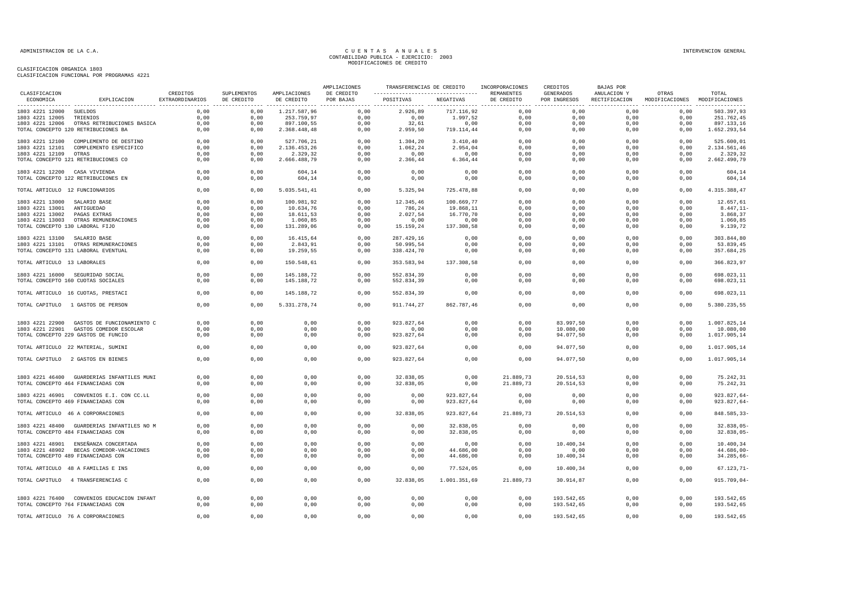|                                 |                                                                                  |                             |                                                |                            | AMPLIACIONES            | TRANSFERENCIAS DE CREDITO                       |                          | INCORPORACIONES          | CREDITOS                         | BAJAS POR                    |                                        |                            |
|---------------------------------|----------------------------------------------------------------------------------|-----------------------------|------------------------------------------------|----------------------------|-------------------------|-------------------------------------------------|--------------------------|--------------------------|----------------------------------|------------------------------|----------------------------------------|----------------------------|
| CLASIFICACION<br>ECONOMICA      | EXPLICACION                                                                      | CREDITOS<br>EXTRAORDINARIOS | SUPLEMENTOS<br>DE CREDITO<br>----------------- | AMPLIACIONES<br>DE CREDITO | DE CREDITO<br>POR BAJAS | ----------------------------------<br>POSITIVAS | NEGATIVAS                | REMANENTES<br>DE CREDITO | <b>GENERADOS</b><br>POR INGRESOS | ANULACION Y<br>RECTIFICACION | OTRAS<br>MODIFICACIONES MODIFICACIONES | TOTAL                      |
| 1803 4221 12000 SUELDOS         |                                                                                  | 0,00                        | 0,00                                           | 1.217.587,96               | 0,00                    | 2.926,89                                        | 717.116,92               | 0,00                     | 0,00                             | 0,00                         | 0,00                                   | 503.397,93                 |
| 1803 4221 12005                 | TRIENIOS                                                                         | 0,00                        | 0,00                                           | 253.759,97                 | 0,00                    | 0,00                                            | 1.997,52                 | 0,00                     | 0,00                             | 0,00                         | 0,00                                   | 251.762,45                 |
|                                 | 1803 4221 12006 OTRAS RETRIBUCIONES BASICA                                       | 0.00                        | 0,00                                           | 897.100,55                 | 0,00                    | 32,61                                           | 0,00                     | 0,00                     | 0,00                             | 0.00                         | 0,00                                   | 897.133,16                 |
|                                 | TOTAL CONCEPTO 120 RETRIBUCIONES BA                                              | 0,00                        | 0,00                                           | 2.368.448,48               | 0,00                    | 2.959,50                                        | 719.114,44               | 0,00                     | 0,00                             | 0,00                         | 0,00                                   | 1.652.293,54               |
| 1803 4221 12100                 | COMPLEMENTO DE DESTINO                                                           | 0,00                        | 0,00                                           | 527.706,21                 | 0,00                    | 1.304,20                                        | 3.410,40                 | 0,00                     | 0,00                             | 0,00                         | 0,00                                   | 525.600,01                 |
| 1803 4221 12101                 | COMPLEMENTO ESPECIFICO                                                           | 0,00                        | 0,00                                           | 2.136.453,26               | 0,00                    | 1.062,24                                        | 2.954,04                 | 0,00                     | 0,00                             | 0,00                         | 0,00                                   | 2.134.561,46               |
| 1803 4221 12109                 | OTRAS                                                                            | 0,00                        | 0,00                                           | 2.329,32                   | 0,00                    | 0,00                                            | 0,00                     | 0,00                     | 0,00                             | 0,00                         | 0,00                                   | 2.329,32                   |
|                                 | TOTAL CONCEPTO 121 RETRIBUCIONES CO                                              | 0,00                        | 0,00                                           | 2.666.488,79               | 0,00                    | 2.366,44                                        | 6.364,44                 | 0,00                     | 0,00                             | 0,00                         | 0,00                                   | 2.662.490,79               |
| 1803 4221 12200 CASA VIVIENDA   |                                                                                  | 0,00                        | 0,00                                           | 604,14                     | 0,00                    | 0,00                                            | 0,00                     | 0,00                     | 0,00                             | 0,00                         | 0,00                                   | 604,14                     |
|                                 | TOTAL CONCEPTO 122 RETRIBUCIONES EN                                              | 0,00                        | 0,00                                           | 604,14                     | 0,00                    | 0,00                                            | 0,00                     | 0,00                     | 0,00                             | 0,00                         | 0,00                                   | 604,14                     |
| TOTAL ARTICULO 12 FUNCIONARIOS  |                                                                                  | 0,00                        | 0,00                                           | 5.035.541,41               | 0,00                    | 5.325,94                                        | 725.478,88               | 0,00                     | 0,00                             | 0,00                         | 0,00                                   | 4.315.388,47               |
| 1803 4221 13000 SALARIO BASE    |                                                                                  | 0,00                        | 0,00                                           | 100.981,92                 | 0,00                    | 12.345,46                                       | 100.669,77               | 0,00                     | 0,00                             | 0,00                         | 0,00                                   | 12.657,61                  |
| 1803 4221 13001 ANTIGUEDAD      |                                                                                  | 0,00                        | 0,00                                           | 10.634,76                  | 0,00                    | 786,24                                          | 19.868,11                | 0,00                     | 0,00                             | 0,00                         | 0,00                                   | 8.447,11-                  |
| 1803 4221 13002                 | PAGAS EXTRAS                                                                     | 0,00                        | 0,00                                           | 18.611,53                  | 0,00                    | 2.027,54                                        | 16.770,70                | 0,00                     | 0,00                             | 0,00                         | 0,00                                   | 3.868,37                   |
|                                 | 1803 4221 13003 OTRAS REMUNERACIONES                                             | 0,00                        | 0,00                                           | 1.060,85                   | 0,00                    | 0,00                                            | 0,00                     | 0,00                     | 0,00                             | 0,00                         | 0,00                                   | 1.060,85                   |
| TOTAL CONCEPTO 130 LABORAL FIJO |                                                                                  | 0,00                        | 0,00                                           | 131.289,06                 | 0,00                    | 15.159,24                                       | 137.308,58               | 0,00                     | 0,00                             | 0,00                         | 0,00                                   | 9.139,72                   |
|                                 |                                                                                  |                             |                                                |                            |                         |                                                 |                          |                          |                                  |                              |                                        |                            |
| 1803 4221 13100 SALARIO BASE    |                                                                                  | 0,00                        | 0,00                                           | 16.415,64                  | 0,00                    | 287.429,16                                      | 0,00                     | 0,00                     | 0,00                             | 0,00                         | 0,00                                   | 303.844,80                 |
|                                 | 1803 4221 13101 OTRAS REMUNERACIONES                                             | 0,00                        | 0,00                                           | 2.843,91                   | 0,00                    | 50.995,54                                       | 0,00                     | 0,00                     | 0,00                             | 0,00                         | 0,00                                   | 53.839,45                  |
|                                 | TOTAL CONCEPTO 131 LABORAL EVENTUAL                                              | 0,00                        | 0,00                                           | 19.259,55                  | 0,00                    | 338.424,70                                      | 0,00                     | 0,00                     | 0,00                             | 0,00                         | 0,00                                   | 357.684,25                 |
| TOTAL ARTICULO 13 LABORALES     |                                                                                  | 0,00                        | 0,00                                           | 150.548,61                 | 0,00                    | 353.583,94                                      | 137.308,58               | 0,00                     | 0,00                             | 0,00                         | 0,00                                   | 366.823,97                 |
|                                 | 1803 4221 16000 SEGURIDAD SOCIAL                                                 | 0,00                        | 0,00                                           | 145.188,72                 | 0,00                    | 552.834,39                                      | 0,00                     | 0,00                     | 0,00                             | 0,00                         | 0,00                                   | 698.023,11                 |
|                                 | TOTAL CONCEPTO 160 CUOTAS SOCIALES                                               | 0,00                        | 0,00                                           | 145.188,72                 | 0,00                    | 552.834,39                                      | 0,00                     | 0,00                     | 0,00                             | 0,00                         | 0,00                                   | 698.023,11                 |
|                                 | TOTAL ARTICULO 16 CUOTAS, PRESTACI                                               | 0,00                        | 0,00                                           | 145.188,72                 | 0,00                    | 552.834,39                                      | 0,00                     | 0,00                     | 0,00                             | 0,00                         | 0,00                                   | 698.023,11                 |
|                                 | TOTAL CAPITULO 1 GASTOS DE PERSON                                                | 0,00                        | 0,00                                           | 5.331.278,74               | 0,00                    | 911.744,27                                      | 862.787,46               | 0,00                     | 0,00                             | 0,00                         | 0,00                                   | 5.380.235,55               |
|                                 | 1803 4221 22900 GASTOS DE FUNCIONAMIENTO C                                       | 0,00                        | 0,00                                           | 0,00                       | 0,00                    | 923.827,64                                      | 0,00                     | 0,00                     | 83.997,50                        | 0,00                         | 0,00                                   | 1.007.825,14               |
|                                 | 1803 4221 22901 GASTOS COMEDOR ESCOLAR                                           | 0,00                        | 0,00                                           | 0,00                       | 0,00                    | 0,00                                            | 0,00                     | 0,00                     | 10.080,00                        | 0,00                         | 0,00                                   | 10.080,00                  |
|                                 | TOTAL CONCEPTO 229 GASTOS DE FUNCIO                                              | 0,00                        | 0,00                                           | 0,00                       | 0,00                    | 923.827,64                                      | 0,00                     | 0,00                     | 94.077,50                        | 0,00                         | 0,00                                   | 1.017.905,14               |
|                                 |                                                                                  |                             |                                                |                            |                         |                                                 |                          |                          |                                  |                              |                                        |                            |
|                                 | TOTAL ARTICULO 22 MATERIAL, SUMINI                                               | 0.00                        | 0,00                                           | 0,00                       | 0.00                    | 923.827,64                                      | 0,00                     | 0.00                     | 94.077,50                        | 0.00                         | 0.00                                   | 1.017.905.14               |
|                                 | TOTAL CAPITULO 2 GASTOS EN BIENES                                                | 0,00                        | 0,00                                           | 0,00                       | 0,00                    | 923.827,64                                      | 0,00                     | 0,00                     | 94.077,50                        | 0,00                         | 0,00                                   | 1.017.905,14               |
|                                 | 1803 4221 46400 GUARDERIAS INFANTILES MUNI                                       | 0,00                        | 0,00                                           | 0,00                       | 0,00                    | 32.838,05                                       | 0,00                     | 21.889,73                | 20.514,53                        | 0,00                         | 0,00                                   | 75.242,31                  |
|                                 | TOTAL CONCEPTO 464 FINANCIADAS CON                                               | 0.00                        | 0,00                                           | 0,00                       | 0,00                    | 32.838,05                                       | 0,00                     | 21.889,73                | 20.514,53                        | 0,00                         | 0,00                                   | 75.242,31                  |
|                                 |                                                                                  | 0,00                        |                                                |                            |                         |                                                 |                          |                          |                                  |                              |                                        | 923.827,64-                |
|                                 | 1803 4221 46901 CONVENIOS E.I. CON CC.LL<br>TOTAL CONCEPTO 469 FINANCIADAS CON   | 0,00                        | 0,00<br>0,00                                   | 0,00<br>0,00               | 0,00<br>0,00            | 0,00<br>0,00                                    | 923.827,64<br>923.827,64 | 0,00<br>0,00             | 0,00<br>0,00                     | 0,00<br>0,00                 | 0,00<br>0,00                           | 923.827,64-                |
|                                 | TOTAL ARTICULO 46 A CORPORACIONES                                                | 0,00                        | 0,00                                           | 0,00                       | 0,00                    | 32.838,05                                       | 923.827,64               | 21.889,73                | 20.514,53                        | 0,00                         | 0,00                                   | 848.585,33-                |
|                                 |                                                                                  |                             |                                                |                            |                         |                                                 |                          |                          |                                  |                              |                                        |                            |
|                                 | 1803 4221 48400 GUARDERIAS INFANTILES NO M<br>TOTAL CONCEPTO 484 FINANCIADAS CON | 0,00<br>0,00                | 0,00<br>0,00                                   | 0,00<br>0,00               | 0,00<br>0,00            | 0,00<br>0,00                                    | 32.838,05<br>32.838,05   | 0,00<br>0,00             | 0,00<br>0,00                     | 0,00<br>0,00                 | 0,00<br>0,00                           | $32.838,05-$<br>32.838,05- |
|                                 |                                                                                  |                             |                                                |                            |                         |                                                 |                          |                          |                                  |                              |                                        |                            |
|                                 | 1803 4221 48901 ENSEÑANZA CONCERTADA                                             | 0,00                        | 0,00                                           | 0,00                       | 0,00                    | 0,00                                            | 0,00                     | 0,00                     | 10.400,34                        | 0,00                         | 0,00                                   | 10.400,34                  |
|                                 | 1803 4221 48902 BECAS COMEDOR-VACACIONES                                         | 0,00                        | 0,00                                           | 0,00                       | 0,00                    | 0,00                                            | 44.686,00                | 0,00                     | 0,00                             | 0,00                         | 0,00                                   | 44.686,00-                 |
|                                 | TOTAL CONCEPTO 489 FINANCIADAS CON                                               | 0,00                        | 0,00                                           | 0,00                       | 0,00                    | 0,00                                            | 44.686,00                | 0,00                     | 10.400,34                        | 0,00                         | 0,00                                   | $34.285,66-$               |
|                                 | TOTAL ARTICULO 48 A FAMILIAS E INS                                               | 0,00                        | 0,00                                           | 0,00                       | 0,00                    | 0,00                                            | 77.524,05                | 0,00                     | 10.400,34                        | 0,00                         | 0,00                                   | $67.123, 71 -$             |
|                                 | TOTAL CAPITULO 4 TRANSFERENCIAS C                                                | 0,00                        | 0,00                                           | 0,00                       | 0,00                    | 32.838,05                                       | 1.001.351,69             | 21.889,73                | 30.914,87                        | 0,00                         | 0,00                                   | $915.709,04-$              |
|                                 |                                                                                  |                             |                                                |                            |                         |                                                 |                          |                          |                                  |                              |                                        |                            |
|                                 | 1803 4221 76400 CONVENIOS EDUCACION INFANT<br>TOTAL CONCEPTO 764 FINANCIADAS CON | 0,00<br>0,00                | 0,00<br>0,00                                   | 0,00<br>0,00               | 0,00<br>0,00            | 0,00<br>0,00                                    | 0,00<br>0,00             | 0,00<br>0,00             | 193.542,65<br>193.542,65         | 0,00<br>0,00                 | 0,00<br>0,00                           | 193.542,65<br>193.542,65   |
|                                 |                                                                                  |                             |                                                |                            |                         |                                                 |                          |                          |                                  |                              |                                        |                            |
|                                 | TOTAL ARTICULO 76 A CORPORACIONES                                                | 0,00                        | 0,00                                           | 0,00                       | 0,00                    | 0,00                                            | 0,00                     | 0,00                     | 193.542,65                       | 0,00                         | 0,00                                   | 193.542,65                 |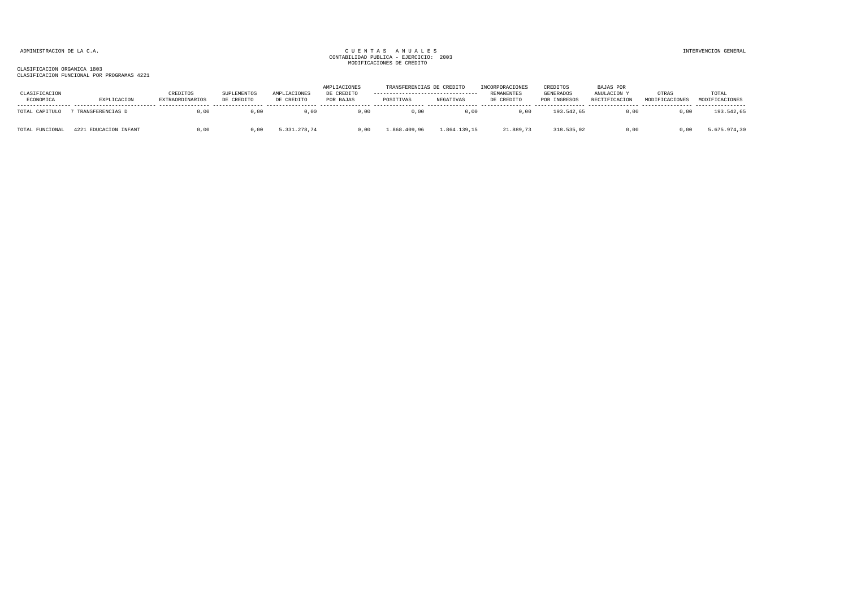### ADMINISTRACION DE LA C.A. INTERVENCION GENERAL CONTABILIDAD PUBLICA - EJERCICIO: 2003<br>CONTABILIDAD PUBLICA - EJERCICIO: 2003 MODIFICACIONES DE CREDITO

| CLASIFICACION<br>ECONOMICA | EXPLICACION           | CREDITOS<br>EXTRAORDINARIOS | SUPLEMENTOS<br>DE CREDITO | AMPLIACIONES<br>DE CREDITO | AMPLIACIONES<br>DE CREDITO<br>POR BAJAS | TRANSFERENCIAS DE CREDITO<br>----------------------------------<br>POSITIVAS | NEGATIVAS    | INCORPORACIONES<br>REMANENTES<br>DE CREDITO | CREDITOS<br>GENERADOS<br>POR INGRESOS | BAJAS POR<br><b>ANULACION</b><br>RECTIFICACION | OTRAS<br>MODIFICACIONES | TOTAL<br>MODIFICACIONES |
|----------------------------|-----------------------|-----------------------------|---------------------------|----------------------------|-----------------------------------------|------------------------------------------------------------------------------|--------------|---------------------------------------------|---------------------------------------|------------------------------------------------|-------------------------|-------------------------|
| TOTAL CAPITULO             | 7 TRANSFERENCIAS D    | 0.00                        | .00.                      | 0,00                       | 0.00                                    | 0.00                                                                         | 0.00         | 0.00                                        | 193.542.65                            | 0.00                                           | 0.00                    | 193.542,65              |
| TOTAL FUNCIONAL            | 4221 EDUCACION INFANT | .00                         | . 00                      | 5.331.278.74               | 0.00                                    | 1.868.409.96                                                                 | 1.864.139,15 | 21.889.73                                   | 318.535.02                            | J,00                                           | 0,00                    | 5.675.974,30            |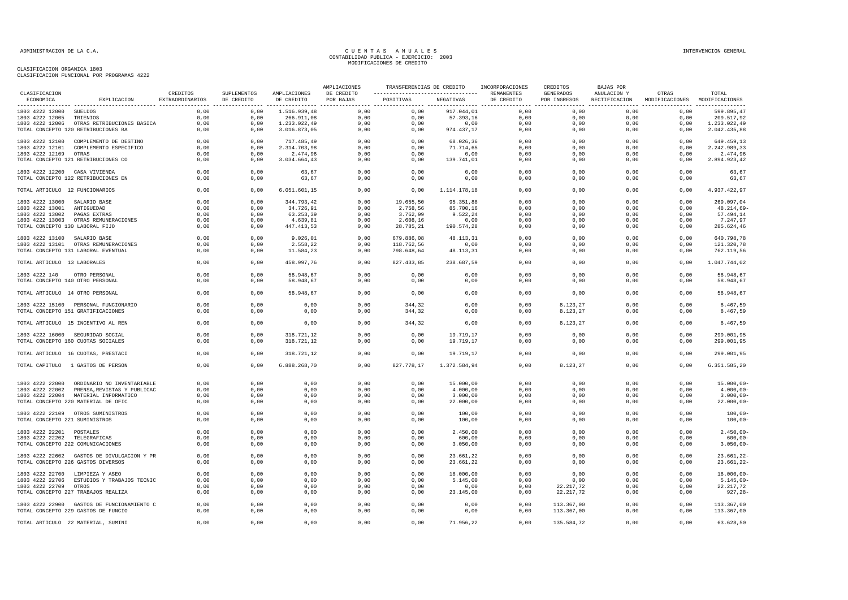|                                  |                                            |                             |                           |                            | AMPLIACIONES            | TRANSFERENCIAS DE CREDITO                                    |              | INCORPORACIONES | CREDITOS                  | BAJAS POR                    |                                        |                |
|----------------------------------|--------------------------------------------|-----------------------------|---------------------------|----------------------------|-------------------------|--------------------------------------------------------------|--------------|-----------------|---------------------------|------------------------------|----------------------------------------|----------------|
| CLASIFICACION<br>ECONOMICA       | EXPLICACION                                | CREDITOS<br>EXTRAORDINARIOS | SUPLEMENTOS<br>DE CREDITO | AMPLIACIONES<br>DE CREDITO | DE CREDITO<br>POR BAJAS | -----------------------------------  REMANENTES<br>POSITIVAS | NEGATIVAS    | DE CREDITO      | GENERADOS<br>POR INGRESOS | ANULACION Y<br>RECTIFICACION | OTRAS<br>MODIFICACIONES MODIFICACIONES | TOTAL          |
| 1803 4222 12000 SUELDOS          |                                            | 0,00                        | 0,00                      | 1.516.939,48               | 0,00                    | 0,00                                                         | 917.044,01   | 0,00            | 0,00                      | 0,00                         | 0,00                                   | 599.895,47     |
| 1803 4222 12005                  | TRIENIOS                                   | 0,00                        | 0,00                      | 266.911,08                 | 0,00                    | 0,00                                                         | 57.393,16    | 0,00            | 0,00                      | 0,00                         | 0,00                                   | 209.517,92     |
|                                  | 1803 4222 12006 OTRAS RETRIBUCIONES BASICA | 0,00                        | 0,00                      | 1.233.022,49               | 0,00                    | 0,00                                                         | 0,00         | 0.00            | 0,00                      | 0.00                         | 0.00                                   | 1.233.022,49   |
|                                  | TOTAL CONCEPTO 120 RETRIBUCIONES BA        | 0,00                        | 0,00                      | 3.016.873,05               | 0,00                    | 0,00                                                         | 974.437,17   | 0,00            | 0,00                      | 0,00                         | 0,00                                   | 2.042.435,88   |
|                                  | 1803 4222 12100 COMPLEMENTO DE DESTINO     | 0,00                        | 0,00                      | 717.485,49                 | 0,00                    | 0,00                                                         | 68.026,36    | 0,00            | 0,00                      | 0,00                         | 0,00                                   | 649.459,13     |
| 1803 4222 12101                  | COMPLEMENTO ESPECIFICO                     | 0,00                        | 0,00                      | 2.314.703,98               | 0,00                    | 0,00                                                         | 71.714,65    | 0,00            | 0,00                      | 0,00                         | 0,00                                   | 2.242.989,33   |
| 1803 4222 12109 OTRAS            |                                            | 0,00                        | 0,00                      | 2.474,96                   | 0,00                    | 0,00                                                         | 0,00         | 0,00            | 0,00                      | 0,00                         | 0,00                                   | 2.474,96       |
|                                  | TOTAL CONCEPTO 121 RETRIBUCIONES CO        | 0,00                        | 0,00                      | 3.034.664,43               | 0,00                    | 0,00                                                         | 139.741,01   | 0,00            | 0,00                      | 0,00                         | 0,00                                   | 2.894.923,42   |
| 1803 4222 12200 CASA VIVIENDA    |                                            | 0,00                        | 0,00                      | 63,67                      | 0,00                    | 0,00                                                         | 0,00         | 0,00            | 0,00                      | 0,00                         | 0,00                                   | 63,67          |
|                                  | TOTAL CONCEPTO 122 RETRIBUCIONES EN        | 0,00                        | 0,00                      | 63,67                      | 0,00                    | 0,00                                                         | 0,00         | 0,00            | 0,00                      | 0,00                         | 0,00                                   | 63,67          |
| TOTAL ARTICULO 12 FUNCIONARIOS   |                                            | 0,00                        | 0,00                      | 6.051.601,15               | 0,00                    | 0,00                                                         | 1.114.178,18 | 0.00            | 0.00                      | 0.00                         | 0.00                                   | 4.937.422,97   |
| 1803 4222 13000 SALARIO BASE     |                                            | 0,00                        | 0,00                      | 344.793,42                 | 0,00                    | 19.655,50                                                    | 95.351,88    | 0,00            | 0,00                      | 0,00                         | 0,00                                   | 269.097,04     |
| 1803 4222 13001 ANTIGUEDAD       |                                            | 0,00                        | 0,00                      | 34.726,91                  | 0,00                    | 2.758,56                                                     | 85.700,16    | 0,00            | 0,00                      | 0,00                         | 0,00                                   | 48.214,69      |
| 1803 4222 13002                  | PAGAS EXTRAS                               | 0,00                        | 0,00                      | 63.253,39                  | 0,00                    | 3.762,99                                                     | 9.522,24     | 0,00            | 0,00                      | 0,00                         | 0,00                                   | 57.494,14      |
|                                  | 1803 4222 13003 OTRAS REMUNERACIONES       | 0,00                        | 0,00                      | 4.639,81                   | 0,00                    | 2.608,16                                                     | 0,00         | 0,00            | 0,00                      | 0,00                         | 0,00                                   | 7.247,97       |
| TOTAL CONCEPTO 130 LABORAL FIJO  |                                            | 0,00                        | 0,00                      | 447.413,53                 | 0,00                    | 28.785,21                                                    | 190.574,28   | 0,00            | 0,00                      | 0,00                         | 0,00                                   | 285.624,46     |
| 1803 4222 13100 SALARIO BASE     |                                            | 0,00                        | 0,00                      | 9.026,01                   | 0,00                    | 679.886,08                                                   | 48.113,31    | 0.00            | 0.00                      | 0.00                         | 0,00                                   | 640.798,78     |
|                                  | 1803 4222 13101 OTRAS REMUNERACIONES       | 0.00                        | 0.00                      | 2.558,22                   | 0,00                    | 118.762,56                                                   | 0,00         | 0.00            | 0,00                      | 0.00                         | 0,00                                   | 121.320,78     |
|                                  | TOTAL CONCEPTO 131 LABORAL EVENTUAL        | 0,00                        | 0,00                      | 11.584,23                  | 0,00                    | 798.648,64                                                   | 48.113,31    | 0,00            | 0,00                      | 0,00                         | 0,00                                   | 762.119,56     |
| TOTAL ARTICULO 13 LABORALES      |                                            | 0,00                        | 0,00                      | 458.997,76                 | 0,00                    | 827.433,85                                                   | 238.687,59   | 0,00            | 0,00                      | 0,00                         | 0,00                                   | 1.047.744,02   |
| 1803 4222 140 OTRO PERSONAL      |                                            | 0,00                        | 0,00                      | 58.948.67                  | 0,00                    | 0,00                                                         | 0,00         | 0,00            | 0,00                      | 0,00                         | 0,00                                   | 58.948,67      |
| TOTAL CONCEPTO 140 OTRO PERSONAL |                                            | 0,00                        | 0,00                      | 58.948,67                  | 0,00                    | 0,00                                                         | 0,00         | 0,00            | 0,00                      | 0,00                         | 0,00                                   | 58.948,67      |
| TOTAL ARTICULO 14 OTRO PERSONAL  |                                            | 0,00                        | 0,00                      | 58.948,67                  | 0,00                    | 0,00                                                         | 0,00         | 0,00            | 0,00                      | 0,00                         | 0,00                                   | 58.948,67      |
|                                  | 1803 4222 15100 PERSONAL FUNCIONARIO       | 0,00                        | 0,00                      | 0,00                       | 0,00                    | 344,32                                                       | 0,00         | 0,00            | 8.123,27                  | 0,00                         | 0,00                                   | 8.467,59       |
|                                  | TOTAL CONCEPTO 151 GRATIFICACIONES         | 0,00                        | 0,00                      | 0,00                       | 0,00                    | 344,32                                                       | 0,00         | 0,00            | 8.123,27                  | 0,00                         | 0,00                                   | 8.467,59       |
|                                  | TOTAL ARTICULO 15 INCENTIVO AL REN         | 0,00                        | 0,00                      | 0,00                       | 0,00                    | 344,32                                                       | 0,00         | 0,00            | 8.123,27                  | 0,00                         | 0,00                                   | 8.467,59       |
|                                  | 1803 4222 16000 SEGURIDAD SOCIAL           | 0,00                        | 0,00                      | 318.721,12                 | 0,00                    | 0,00                                                         | 19.719,17    | 0,00            | 0,00                      | 0,00                         | 0,00                                   | 299.001,95     |
|                                  | TOTAL CONCEPTO 160 CUOTAS SOCIALES         | 0.00                        | 0.00                      | 318.721,12                 | 0,00                    | 0.00                                                         | 19.719,17    | 0.00            | 0.00                      | 0.00                         | 0.00                                   | 299.001.95     |
|                                  |                                            |                             |                           |                            |                         |                                                              |              |                 |                           |                              |                                        |                |
|                                  | TOTAL ARTICULO 16 CUOTAS, PRESTACI         | 0,00                        | 0,00                      | 318.721,12                 | 0,00                    | 0,00                                                         | 19.719,17    | 0,00            | 0,00                      | 0,00                         | 0,00                                   | 299.001,95     |
|                                  | TOTAL CAPITULO 1 GASTOS DE PERSON          | 0,00                        | 0,00                      | 6.888.268,70               | 0,00                    | 827.778,17                                                   | 1.372.584,94 | 0,00            | 8.123,27                  | 0,00                         | 0,00                                   | 6.351.585,20   |
| 1803 4222 22000                  | ORDINARIO NO INVENTARIABLE                 | 0,00                        | 0,00                      | 0,00                       | 0,00                    | 0,00                                                         | 15.000,00    | 0,00            | 0,00                      | 0,00                         | 0,00                                   | $15.000,00 -$  |
| 1803 4222 22002                  | PRENSA, REVISTAS Y PUBLICAC                | 0,00                        | 0,00                      | 0,00                       | 0,00                    | 0,00                                                         | 4.000,00     | 0,00            | 0,00                      | 0,00                         | 0,00                                   | $4.000,00 -$   |
|                                  | 1803 4222 22004 MATERIAL INFORMATICO       | 0,00                        | 0,00                      | 0,00                       | 0,00                    | 0,00                                                         | 3.000,00     | 0,00            | 0,00                      | 0,00                         | 0,00                                   | $3.000,00 -$   |
|                                  | TOTAL CONCEPTO 220 MATERIAL DE OFIC        | 0,00                        | 0,00                      | 0,00                       | 0,00                    | 0,00                                                         | 22.000,00    | 0,00            | 0,00                      | 0,00                         | 0,00                                   | $22.000,00 -$  |
|                                  | 1803 4222 22109 OTROS SUMINISTROS          | 0,00                        | 0,00                      | 0,00                       | 0,00                    | 0,00                                                         | 100,00       | 0,00            | 0,00                      | 0,00                         | 0,00                                   | $100,00 -$     |
| TOTAL CONCEPTO 221 SUMINISTROS   |                                            | 0,00                        | 0,00                      | 0,00                       | 0,00                    | 0,00                                                         | 100,00       | 0,00            | 0,00                      | 0,00                         | 0,00                                   | $100,00 -$     |
| 1803 4222 22201 POSTALES         |                                            | 0,00                        | 0,00                      | 0,00                       | 0,00                    | 0,00                                                         | 2.450,00     | 0,00            | 0.00                      | 0.00                         | 0,00                                   | $2.450,00 -$   |
| 1803 4222 22202 TELEGRAFICAS     |                                            | 0,00                        | 0,00                      | 0,00                       | 0,00                    | 0,00                                                         | 600,00       | 0,00            | 0,00                      | 0,00                         | 0,00                                   | $600,00 -$     |
|                                  | TOTAL CONCEPTO 222 COMUNICACIONES          | 0.00                        | 0,00                      | 0.00                       | 0.00                    | 0.00                                                         | 3.050.00     | 0.00            | 0.00                      | 0.00                         | 0.00                                   | $3.050.00 -$   |
|                                  | 1803 4222 22602 GASTOS DE DIVULGACION Y PR | 0,00                        | 0,00                      | 0,00                       | 0,00                    | 0,00                                                         | 23.661,22    | 0,00            | 0,00                      | 0,00                         | 0,00                                   | 23.661,22-     |
|                                  | TOTAL CONCEPTO 226 GASTOS DIVERSOS         | 0,00                        | 0,00                      | 0,00                       | 0,00                    | 0,00                                                         | 23.661,22    | 0,00            | 0,00                      | 0,00                         | 0,00                                   | $23.661, 22 -$ |
|                                  | 1803 4222 22700 LIMPIEZA Y ASEO            | 0,00                        | 0,00                      | 0,00                       | 0,00                    | 0,00                                                         | 18.000,00    | 0,00            | 0,00                      | 0,00                         | 0,00                                   | $18.000,00 -$  |
|                                  | 1803 4222 22706 ESTUDIOS Y TRABAJOS TECNIC | 0,00                        | 0,00                      | 0,00                       | 0,00                    | 0,00                                                         | 5.145,00     | 0,00            | 0,00                      | 0,00                         | 0,00                                   | $5.145,00 -$   |
| 1803 4222 22709 OTROS            |                                            | 0,00                        | 0,00                      | 0,00                       | 0,00                    | 0,00                                                         | 0,00         | 0,00            | 22.217,72                 | 0,00                         | 0,00                                   | 22.217,72      |
|                                  | TOTAL CONCEPTO 227 TRABAJOS REALIZA        | 0,00                        | 0,00                      | 0,00                       | 0,00                    | 0,00                                                         | 23.145,00    | 0,00            | 22.217,72                 | 0,00                         | 0,00                                   | $927, 28 -$    |
|                                  | 1803 4222 22900 GASTOS DE FUNCIONAMIENTO C | 0,00                        | 0,00                      | 0,00                       | 0,00                    | 0,00                                                         | 0,00         | 0,00            | 113.367,00                | 0,00                         | 0,00                                   | 113.367,00     |
|                                  | TOTAL CONCEPTO 229 GASTOS DE FUNCIO        | 0,00                        | 0,00                      | 0,00                       | 0,00                    | 0,00                                                         | 0,00         | 0,00            | 113.367,00                | 0,00                         | 0,00                                   | 113.367,00     |
|                                  | TOTAL ARTICULO 22 MATERIAL, SUMINI         | 0,00                        | 0,00                      | 0,00                       | 0,00                    | 0,00                                                         | 71.956,22    | 0,00            | 135.584,72                | 0,00                         | 0,00                                   | 63.628,50      |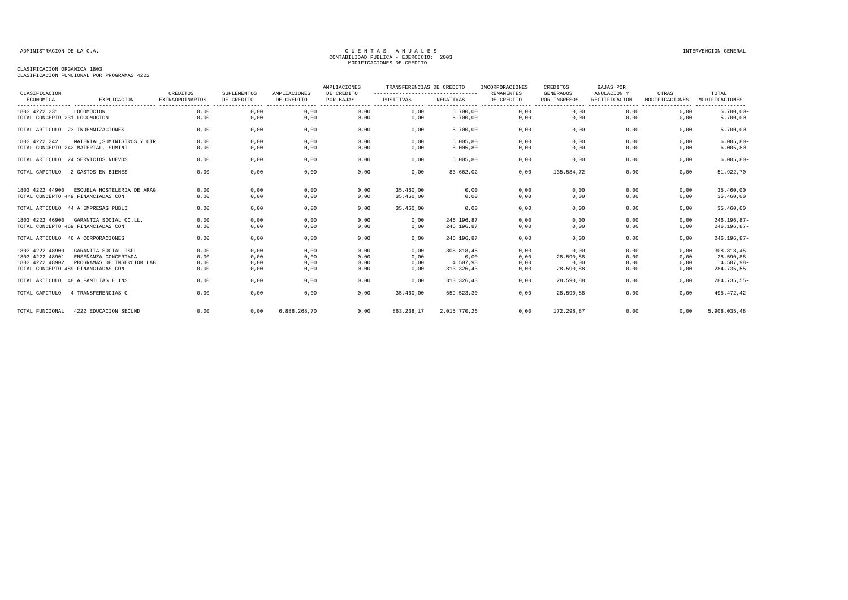| CLASIFICACIUN FUNCIUNAL PUR PRUGRAMAS 4222 |  |  |
|--------------------------------------------|--|--|
|                                            |  |  |

| CLASIFICACION                 |                                     | CREDITOS               | SUPLEMENTOS | AMPLIACIONES | AMPLIACIONES<br>DE CREDITO | TRANSFERENCIAS DE CREDITO                      |              | INCORPORACIONES                 | CREDITOS<br><b>GENERADOS</b> | <b>BAJAS POR</b><br>ANULACION Y                       |                         |                                             |
|-------------------------------|-------------------------------------|------------------------|-------------|--------------|----------------------------|------------------------------------------------|--------------|---------------------------------|------------------------------|-------------------------------------------------------|-------------------------|---------------------------------------------|
| ECONOMICA                     | EXPLICACION                         | <b>EXTRAORDINARIOS</b> | DE CREDITO  | DE CREDITO   | POR BAJAS                  | ---------------------------------<br>POSITIVAS | NEGATIVAS    | <b>REMANENTES</b><br>DE CREDITO | POR INGRESOS<br>. <u>.</u> . | RECTIFICACION<br>------------------------------------ | OTRAS<br>MODIFICACIONES | TOTAL<br>MODIFICACIONES<br>---------------- |
| 1803 4222 231                 | LOCOMOCION                          | 0,00                   | 0,00        | 0,00         | 0,00                       | 0,00                                           | 5.700,00     | 0,00                            | 0,00                         | 0,00                                                  | 0,00                    | $5.700,00 -$                                |
| TOTAL CONCEPTO 231 LOCOMOCION |                                     | 0,00                   | 0,00        | 0,00         | 0,00                       | 0,00                                           | 5.700,00     | 0,00                            | 0,00                         | 0,00                                                  | 0,00                    | $5.700,00 -$                                |
|                               | TOTAL ARTICULO 23 INDEMNIZACIONES   | 0,00                   | 0,00        | 0,00         | 0,00                       | 0,00                                           | 5.700,00     | 0,00                            | 0,00                         | 0,00                                                  | 0,00                    | $5.700,00 -$                                |
| 1803 4222 242                 | MATERIAL, SUMINISTROS Y OTR         | 0,00                   | 0,00        | 0,00         | 0,00                       | 0,00                                           | 6.005, 80    | 0,00                            | 0,00                         | 0,00                                                  | 0,00                    | $6.005, 80 -$                               |
|                               | TOTAL CONCEPTO 242 MATERIAL, SUMINI | 0.00                   | 0,00        | 0,00         | 0,00                       | 0.00                                           | 6.005.80     | 0,00                            | 0,00                         | 0.00                                                  | 0.00                    | $6.005, 80 -$                               |
|                               | TOTAL ARTICULO 24 SERVICIOS NUEVOS  | 0.00                   | 0,00        | 0,00         | 0,00                       | 0.00                                           | 6.005.80     | 0,00                            | 0.00                         | 0.00                                                  | 0.00                    | $6.005, 80 -$                               |
| TOTAL CAPITULO                | 2 GASTOS EN BIENES                  | 0.00                   | 0,00        | 0,00         | 0,00                       | 0.00                                           | 83.662.02    | 0.00                            | 135.584.72                   | 0.00                                                  | 0.00                    | 51.922,70                                   |
| 1803 4222 44900               | ESCUELA HOSTELERIA DE ARAG          | 0.00                   | 0,00        | 0,00         | 0,00                       | 35,460,00                                      | 0.00         | 0,00                            | 0.00                         | 0,00                                                  | 0,00                    | 35.460,00                                   |
|                               | TOTAL CONCEPTO 449 FINANCIADAS CON  | 0,00                   | 0,00        | 0,00         | 0.00                       | 35,460,00                                      | 0,00         | 0,00                            | 0,00                         | 0.00                                                  | 0,00                    | 35.460,00                                   |
|                               | TOTAL ARTICULO 44 A EMPRESAS PUBLI  | 0,00                   | 0,00        | 0,00         | 0,00                       | 35.460,00                                      | 0,00         | 0,00                            | 0,00                         | 0,00                                                  | 0,00                    | 35.460,00                                   |
| 1803 4222 46900               | GARANTIA SOCIAL CC.LL.              | 0,00                   | 0,00        | 0,00         | 0,00                       | 0,00                                           | 246.196,87   | 0,00                            | 0,00                         | 0,00                                                  | 0.00                    | 246.196,87-                                 |
|                               | TOTAL CONCEPTO 469 FINANCIADAS CON  | 0,00                   | 0,00        | 0,00         | 0,00                       | 0,00                                           | 246.196,87   | 0,00                            | 0,00                         | 0,00                                                  | 0,00                    | 246.196,87-                                 |
|                               | TOTAL ARTICULO 46 A CORPORACIONES   | 0.00                   | 0,00        | 0,00         | 0,00                       | 0,00                                           | 246.196.87   | 0,00                            | 0,00                         | 0,00                                                  | 0,00                    | $246.196,87-$                               |
| 1803 4222 48900               | GARANTIA SOCIAL ISFL                | 0,00                   | 0,00        | 0,00         | 0,00                       | 0,00                                           | 308.818.45   | 0,00                            | 0.00                         | 0,00                                                  | 0.00                    | $308.818, 45-$                              |
| 1803 4222 48901               | ENSEÑANZA CONCERTADA                | 0,00                   | 0,00        | 0,00         | 0,00                       | 0,00                                           | 0,00         | 0,00                            | 28.590,88                    | 0,00                                                  | 0,00                    | 28.590,88                                   |
| 1803 4222 48902               | PROGRAMAS DE INSERCION LAB          | 0,00                   | 0,00        | 0,00         | 0,00                       | 0,00                                           | 4.507,98     | 0,00                            | 0,00                         | 0,00                                                  | 0,00                    | $4.507,98 -$                                |
|                               | TOTAL CONCEPTO 489 FINANCIADAS CON  | 0,00                   | 0,00        | 0,00         | 0,00                       | 0,00                                           | 313.326,43   | 0,00                            | 28.590,88                    | 0,00                                                  | 0,00                    | 284.735,55-                                 |
|                               | TOTAL ARTICULO 48 A FAMILIAS E INS  | 0.00                   | 0,00        | 0,00         | 0,00                       | 0,00                                           | 313.326,43   | 0,00                            | 28.590,88                    | 0,00                                                  | 0,00                    | 284.735,55-                                 |
| TOTAL CAPITULO                | 4 TRANSFERENCIAS C                  | 0,00                   | 0,00        | 0,00         | 0,00                       | 35,460,00                                      | 559.523,30   | 0.00                            | 28.590,88                    | 0.00                                                  | 0,00                    | 495.472,42-                                 |
| TOTAL FUNCIONAL               | 4222 EDUCACION SECUND               | 0,00                   | 0,00        | 6.888.268,70 | 0,00                       | 863.238,17                                     | 2.015.770,26 | 0,00                            | 172.298,87                   | 0,00                                                  | 0,00                    | 5.908.035,48                                |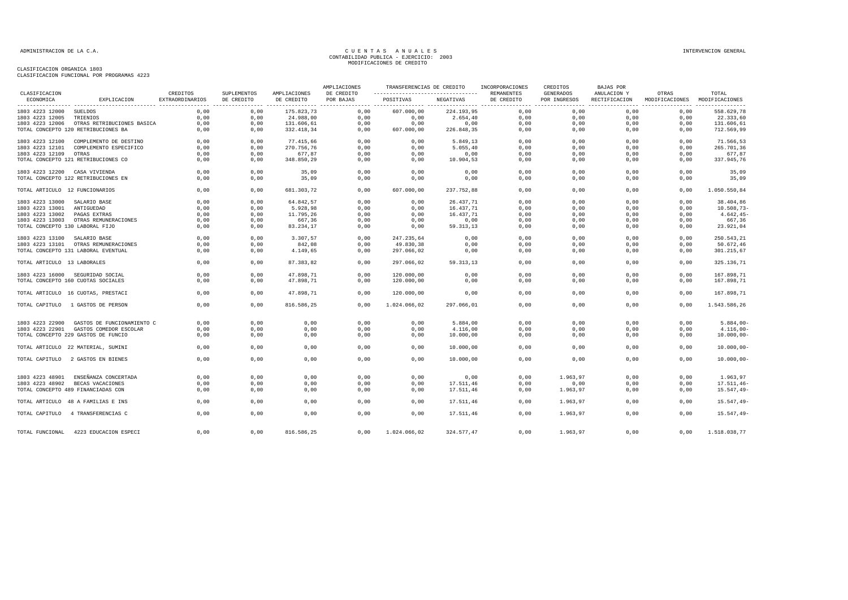|                                 |                                      |                                    |                           |                            | AMPLIACIONES            | TRANSFERENCIAS DE CREDITO                         |            | INCORPORACIONES                 | CREDITOS                         | BAJAS POR                    |                         |                         |
|---------------------------------|--------------------------------------|------------------------------------|---------------------------|----------------------------|-------------------------|---------------------------------------------------|------------|---------------------------------|----------------------------------|------------------------------|-------------------------|-------------------------|
| CLASIFICACION<br>ECONOMICA      | EXPLICACION                          | CREDITOS<br><b>EXTRAORDINARIOS</b> | SUPLEMENTOS<br>DE CREDITO | AMPLIACIONES<br>DE CREDITO | DE CREDITO<br>POR BAJAS | ------------------------------------<br>POSITIVAS | NEGATIVAS  | <b>REMANENTES</b><br>DE CREDITO | <b>GENERADOS</b><br>POR INGRESOS | ANULACION Y<br>RECTIFICACION | OTRAS<br>MODIFICACIONES | TOTAL<br>MODIFICACIONES |
| 1803 4223 12000                 | <b>SUELDOS</b>                       | 0,00                               | 0,00                      | 175.823,73                 | 0,00                    | 607.000,00                                        | 224.193,95 | 0,00                            | 0,00                             | 0,00                         | 0,00                    | 558.629,78              |
| 1803 4223 12005                 | TRIENIOS                             | 0,00                               | 0,00                      | 24.988,00                  | 0,00                    | 0,00                                              | 2.654,40   | 0,00                            | 0,00                             | 0,00                         | 0,00                    | 22.333,60               |
| 1803 4223 12006                 | OTRAS RETRIBUCIONES BASICA           | 0,00                               | 0,00                      | 131.606,61                 | 0,00                    | 0,00                                              | 0,00       | 0,00                            | 0,00                             | 0,00                         | 0,00                    | 131.606,61              |
|                                 | TOTAL CONCEPTO 120 RETRIBUCIONES BA  | 0,00                               | 0,00                      | 332.418,34                 | 0,00                    | 607.000,00                                        | 226.848,35 | 0,00                            | 0,00                             | 0,00                         | 0,00                    | 712.569,99              |
| 1803 4223 12100                 | COMPLEMENTO DE DESTINO               | 0,00                               | 0,00                      | 77.415,66                  | 0,00                    | 0,00                                              | 5.849,13   | 0,00                            | 0,00                             | 0,00                         | 0,00                    | 71.566,53               |
| 1803 4223 12101                 | COMPLEMENTO ESPECIFICO               | 0,00                               | 0,00                      | 270.756,76                 | 0,00                    | 0,00                                              | 5.055,40   | 0,00                            | 0,00                             | 0,00                         | 0,00                    | 265.701,36              |
| 1803 4223 12109                 | OTRAS                                | 0,00                               | 0,00                      | 677,87                     | 0,00                    | 0,00                                              | 0,00       | 0,00                            | 0,00                             | 0,00                         | 0,00                    | 677,87                  |
|                                 | TOTAL CONCEPTO 121 RETRIBUCIONES CO  | 0,00                               | 0,00                      | 348.850,29                 | 0,00                    | 0,00                                              | 10.904,53  | 0,00                            | 0,00                             | 0,00                         | 0,00                    | 337.945,76              |
| 1803 4223 12200 CASA VIVIENDA   |                                      | 0.00                               | 0.00                      | 35,09                      | 0.00                    | 0.00                                              | 0.00       | 0.00                            | 0.00                             | 0.00                         | 0.00                    | 35,09                   |
|                                 | TOTAL CONCEPTO 122 RETRIBUCIONES EN  | 0,00                               | 0,00                      | 35,09                      | 0,00                    | 0,00                                              | 0,00       | 0,00                            | 0,00                             | 0,00                         | 0,00                    | 35,09                   |
| TOTAL ARTICULO 12 FUNCIONARIOS  |                                      | 0,00                               | 0,00                      | 681.303,72                 | 0,00                    | 607.000,00                                        | 237.752,88 | 0,00                            | 0,00                             | 0,00                         | 0,00                    | 1.050.550,84            |
| 1803 4223 13000                 | SALARIO BASE                         | 0,00                               | 0,00                      | 64.842,57                  | 0,00                    | 0,00                                              | 26.437,71  | 0,00                            | 0,00                             | 0,00                         | 0,00                    | 38.404,86               |
| 1803 4223 13001                 | ANTIGUEDAD                           | 0.00                               | 0.00                      | 5.928,98                   | 0.00                    | 0,00                                              | 16.437.71  | 0,00                            | 0.00                             | 0.00                         | 0.00                    | $10.508,73-$            |
| 1803 4223 13002                 | PAGAS EXTRAS                         | 0,00                               | 0,00                      | 11.795,26                  | 0,00                    | 0,00                                              | 16.437,71  | 0,00                            | 0,00                             | 0,00                         | 0,00                    | $4.642, 45-$            |
|                                 | 1803 4223 13003 OTRAS REMUNERACIONES | 0,00                               | 0,00                      | 667,36                     | 0,00                    | 0,00                                              | 0,00       | 0,00                            | 0,00                             | 0,00                         | 0,00                    | 667,36                  |
| TOTAL CONCEPTO 130 LABORAL FIJO |                                      | 0,00                               | 0,00                      | 83.234,17                  | 0,00                    | 0,00                                              | 59.313,13  | 0,00                            | 0,00                             | 0,00                         | 0,00                    | 23.921,04               |
| 1803 4223 13100                 | SALARIO BASE                         | 0,00                               | 0,00                      | 3.307,57                   | 0,00                    | 247.235,64                                        | 0,00       | 0,00                            | 0,00                             | 0,00                         | 0,00                    | 250.543,21              |
| 1803 4223 13101                 | OTRAS REMUNERACIONES                 | 0,00                               | 0,00                      | 842,08                     | 0,00                    | 49.830,38                                         | 0,00       | 0,00                            | 0.00                             | 0.00                         | 0,00                    | 50.672,46               |
|                                 | TOTAL CONCEPTO 131 LABORAL EVENTUAL  | 0,00                               | 0,00                      | 4.149,65                   | 0,00                    | 297.066,02                                        | 0,00       | 0,00                            | 0,00                             | 0,00                         | 0,00                    | 301.215,67              |
| TOTAL ARTICULO 13 LABORALES     |                                      | 0,00                               | 0,00                      | 87.383,82                  | 0,00                    | 297.066,02                                        | 59.313,13  | 0,00                            | 0,00                             | 0,00                         | 0.00                    | 325.136,71              |
|                                 | 1803 4223 16000 SEGURIDAD SOCIAL     | 0,00                               | 0,00                      | 47.898,71                  | 0,00                    | 120.000,00                                        | 0,00       | 0,00                            | 0,00                             | 0,00                         | 0,00                    | 167.898,71              |
|                                 | TOTAL CONCEPTO 160 CUOTAS SOCIALES   | 0.00                               | 0,00                      | 47.898,71                  | 0,00                    | 120.000,00                                        | 0,00       | 0,00                            | 0,00                             | 0,00                         | 0,00                    | 167.898,71              |
|                                 | TOTAL ARTICULO 16 CUOTAS, PRESTACI   | 0,00                               | 0,00                      | 47.898,71                  | 0,00                    | 120.000,00                                        | 0,00       | 0,00                            | 0,00                             | 0,00                         | 0,00                    | 167.898,71              |
|                                 | TOTAL CAPITULO 1 GASTOS DE PERSON    | 0,00                               | 0,00                      | 816.586,25                 | 0,00                    | 1.024.066,02                                      | 297.066,01 | 0,00                            | 0,00                             | 0,00                         | 0,00                    | 1.543.586,26            |
| 1803 4223 22900                 | GASTOS DE FUNCIONAMIENTO C           | 0,00                               | 0,00                      | 0,00                       | 0,00                    | 0,00                                              | 5.884,00   | 0,00                            | 0,00                             | 0,00                         | 0,00                    | $5.884,00-$             |
| 1803 4223 22901                 | GASTOS COMEDOR ESCOLAR               | 0,00                               | 0,00                      | 0,00                       | 0,00                    | 0,00                                              | 4.116,00   | 0,00                            | 0,00                             | 0,00                         | 0,00                    | $4.116,00-$             |
|                                 | TOTAL CONCEPTO 229 GASTOS DE FUNCIO  | 0,00                               | 0,00                      | 0,00                       | 0,00                    | 0,00                                              | 10.000,00  | 0,00                            | 0,00                             | 0,00                         | 0,00                    | $10.000,00 -$           |
|                                 | TOTAL ARTICULO 22 MATERIAL, SUMINI   | 0,00                               | 0,00                      | 0,00                       | 0,00                    | 0,00                                              | 10.000,00  | 0,00                            | 0.00                             | 0,00                         | 0.00                    | $10.000,00 -$           |
|                                 | TOTAL CAPITULO 2 GASTOS EN BIENES    | 0,00                               | 0,00                      | 0,00                       | 0,00                    | 0,00                                              | 10.000,00  | 0,00                            | 0,00                             | 0,00                         | 0,00                    | $10.000,00 -$           |
| 1803 4223 48901                 | ENSEÑANZA CONCERTADA                 | 0,00                               | 0,00                      | 0,00                       | 0,00                    | 0,00                                              | 0,00       | 0,00                            | 1.963,97                         | 0,00                         | 0,00                    | 1.963,97                |
|                                 |                                      |                                    |                           |                            |                         | 0,00                                              |            | 0,00                            |                                  | 0,00                         |                         |                         |
| 1803 4223 48902                 | BECAS VACACIONES                     | 0,00                               | 0,00                      | 0,00                       | 0,00                    |                                                   | 17.511,46  |                                 | 0,00                             |                              | 0,00                    | $17.511, 46 -$          |
|                                 | TOTAL CONCEPTO 489 FINANCIADAS CON   | 0.00                               | 0,00                      | 0,00                       | 0.00                    | 0.00                                              | 17.511,46  | 0.00                            | 1.963.97                         | 0.00                         | 0.00                    | $15.547, 49-$           |
|                                 | TOTAL ARTICULO 48 A FAMILIAS E INS   | 0,00                               | 0,00                      | 0,00                       | 0,00                    | 0,00                                              | 17.511,46  | 0,00                            | 1.963,97                         | 0,00                         | 0,00                    | $15.547, 49-$           |
|                                 | TOTAL CAPITULO 4 TRANSFERENCIAS C    | 0,00                               | 0,00                      | 0,00                       | 0,00                    | 0,00                                              | 17.511,46  | 0,00                            | 1.963,97                         | 0,00                         | 0,00                    | $15.547, 49-$           |
| TOTAL FUNCIONAL                 | 4223 EDUCACION ESPECI                | 0,00                               | 0,00                      | 816.586,25                 | 0,00                    | 1.024.066,02                                      | 324.577,47 | 0.00                            | 1.963,97                         | 0,00                         | 0,00                    | 1.518.038,77            |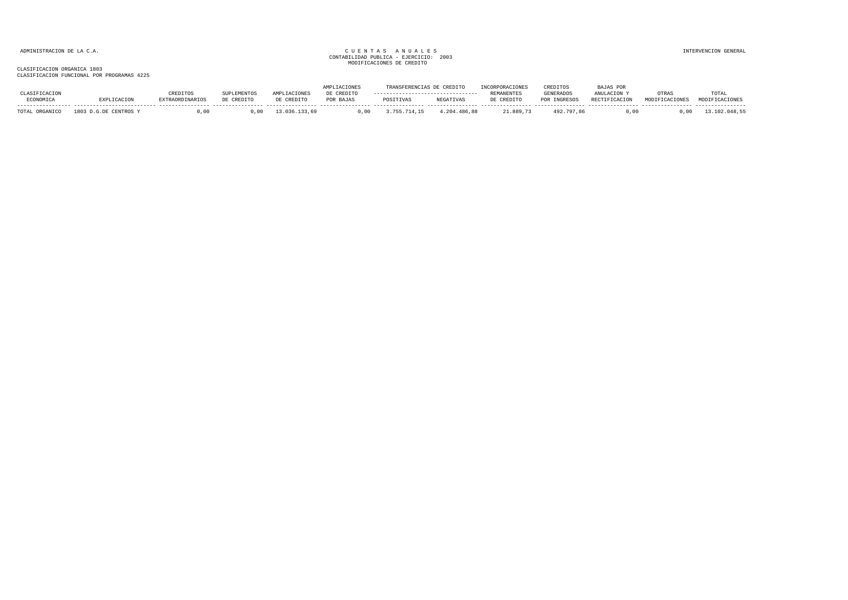|                   |              |                        |            |                              | TACTONE:   | <b>FRANSI</b> | <b>CREDITO</b>   | <b><i>INCORPORACIONES</i></b> | CREDITOS         | <b>BAJAS POR</b>     |       |                |
|-------------------|--------------|------------------------|------------|------------------------------|------------|---------------|------------------|-------------------------------|------------------|----------------------|-------|----------------|
|                   |              | CREDITOS               | UPLEMENTO  | <i>L</i> ACIONE <sup>C</sup> | DE CREDITO |               |                  | <b>REMANENTES</b>             | <b>GENERADOS</b> | ANULACTON            | OTRAS | TOTAL          |
| ECONOMICA         | EXPLICACION  | <b>EXTRAORDINARIOS</b> | DE CREDITC | DE CREDITO                   | POR BAJAS  | POSITIVAS     | <b>NEGATIVAS</b> | DE CREDITO                    | POR INGRESOS     | <b>RECTIFICACION</b> |       | <b>CALOMES</b> |
|                   | 1803         | 00                     |            |                              |            |               |                  |                               | 492              |                      |       |                |
| ORGANICO<br>TOTAL | G.DE CENTROS |                        |            |                              | J.00       | /14           | .204.486.88      | 21.889.73                     | .797.86          | .00                  |       |                |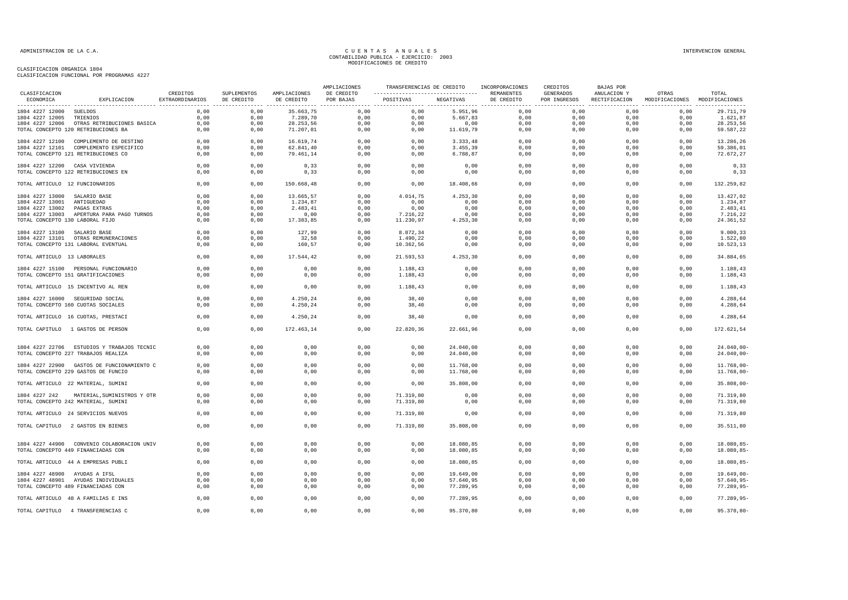| CLASIFICACION                   |                                                                                  |                             |                           | AMPLIACIONES               | TRANSFERENCIAS DE CREDITO |                                                   | INCORPORACIONES        | CREDITOS                 | BAJAS POR                 |                                                                   |                         |                                             |
|---------------------------------|----------------------------------------------------------------------------------|-----------------------------|---------------------------|----------------------------|---------------------------|---------------------------------------------------|------------------------|--------------------------|---------------------------|-------------------------------------------------------------------|-------------------------|---------------------------------------------|
| ECONOMICA                       | EXPLICACION                                                                      | CREDITOS<br>EXTRAORDINARIOS | SUPLEMENTOS<br>DE CREDITO | AMPLIACIONES<br>DE CREDITO | DE CREDITO<br>POR BAJAS   | ------------------------------------<br>POSITIVAS | NEGATIVAS              | REMANENTES<br>DE CREDITO | GENERADOS<br>POR INGRESOS | ANULACION Y<br>RECTIFICACION<br>---------------- ---------------- | OTRAS<br>MODIFICACIONES | TOTAL<br>MODIFICACIONES<br>---------------- |
| 1804 4227 12000 SUELDOS         |                                                                                  | 0,00                        | 0,00                      | 35.663,75                  | 0,00                      | 0,00                                              | 5.951,96               | 0,00                     | 0,00                      | 0,00                                                              | 0,00                    | 29.711,79                                   |
| 1804 4227 12005                 | TRIENIOS                                                                         | 0,00                        | 0,00                      | 7.289,70                   | 0,00                      | 0,00                                              | 5.667,83               | 0,00                     | 0,00                      | 0,00                                                              | 0,00                    | 1.621,87                                    |
| 1804 4227 12006                 | OTRAS RETRIBUCIONES BASICA                                                       | 0,00                        | 0,00                      | 28.253,56                  | 0,00                      | 0,00                                              | 0,00                   | 0,00                     | 0,00                      | 0,00                                                              | 0,00                    | 28.253,56                                   |
|                                 | TOTAL CONCEPTO 120 RETRIBUCIONES BA                                              | 0,00                        | 0,00                      | 71.207,01                  | 0,00                      | 0,00                                              | 11.619,79              | 0,00                     | 0,00                      | 0,00                                                              | 0,00                    | 59.587,22                                   |
| 1804 4227 12100                 | COMPLEMENTO DE DESTINO                                                           | 0.00                        | 0,00                      | 16.619,74                  | 0,00                      | 0.00                                              | 3.333,48               | 0,00                     | 0.00                      | 0.00                                                              | 0,00                    | 13.286,26                                   |
|                                 | 1804 4227 12101 COMPLEMENTO ESPECIFICO                                           | 0,00                        | 0,00                      | 62.841,40                  | 0,00                      | 0,00                                              | 3.455,39               | 0,00                     | 0,00                      | 0,00                                                              | 0,00                    | 59.386,01                                   |
|                                 | TOTAL CONCEPTO 121 RETRIBUCIONES CO                                              | 0,00                        | 0,00                      | 79.461,14                  | 0,00                      | 0,00                                              | 6.788,87               | 0,00                     | 0,00                      | 0,00                                                              | 0,00                    | 72.672,27                                   |
| 1804 4227 12200 CASA VIVIENDA   |                                                                                  | 0,00                        | 0,00                      | 0, 33                      | 0,00                      | 0,00                                              | 0,00                   | 0,00                     | 0,00                      | 0,00                                                              | 0,00                    | 0, 33                                       |
|                                 | TOTAL CONCEPTO 122 RETRIBUCIONES EN                                              | 0,00                        | 0,00                      | 0, 33                      | 0,00                      | 0,00                                              | 0,00                   | 0,00                     | 0,00                      | 0,00                                                              | 0,00                    | 0, 33                                       |
| TOTAL ARTICULO 12 FUNCIONARIOS  |                                                                                  | 0,00                        | 0,00                      | 150.668,48                 | 0,00                      | 0,00                                              | 18.408,66              | 0,00                     | 0,00                      | 0,00                                                              | 0,00                    | 132.259,82                                  |
| 1804 4227 13000 SALARIO BASE    |                                                                                  | 0,00                        | 0,00                      | 13.665,57                  | 0,00                      | 4.014,75                                          | 4.253,30               | 0,00                     | 0,00                      | 0,00                                                              | 0,00                    | 13.427,02                                   |
| 1804 4227 13001                 | ANTIGUEDAD                                                                       | 0,00                        | 0,00                      | 1.234,87                   | 0,00                      | 0,00                                              | 0,00                   | 0,00                     | 0,00                      | 0,00                                                              | 0,00                    | 1.234,87                                    |
| 1804 4227 13002                 | PAGAS EXTRAS                                                                     | 0,00                        | 0,00                      | 2.483, 41                  | 0,00                      | 0,00                                              | 0,00                   | 0,00                     | 0,00                      | 0,00                                                              | 0,00                    | 2.483,41                                    |
|                                 | 1804 4227 13003 APERTURA PARA PAGO TURNOS                                        | 0,00                        | 0,00                      | 0,00                       | 0,00                      | 7.216,22                                          | 0,00                   | 0,00                     | 0,00                      | 0,00                                                              | 0,00                    | 7.216,22                                    |
| TOTAL CONCEPTO 130 LABORAL FIJO |                                                                                  | 0,00                        | 0,00                      | 17.383,85                  | 0,00                      | 11.230,97                                         | 4.253,30               | 0,00                     | 0,00                      | 0,00                                                              | 0,00                    | 24.361,52                                   |
| 1804 4227 13100 SALARIO BASE    |                                                                                  | 0.00                        | 0,00                      | 127,99                     | 0,00                      | 8.872,34                                          | 0,00                   | 0,00                     | 0.00                      | 0,00                                                              | 0,00                    | 9.000,33                                    |
|                                 | 1804 4227 13101 OTRAS REMUNERACIONES                                             | 0,00                        | 0,00                      | 32,58                      | 0,00                      | 1.490,22                                          | 0,00                   | 0,00                     | 0,00                      | 0,00                                                              | 0,00                    | 1.522,80                                    |
|                                 | TOTAL CONCEPTO 131 LABORAL EVENTUAL                                              | 0,00                        | 0,00                      | 160,57                     | 0,00                      | 10.362,56                                         | 0,00                   | 0,00                     | 0,00                      | 0,00                                                              | 0,00                    | 10.523,13                                   |
| TOTAL ARTICULO 13 LABORALES     |                                                                                  | 0,00                        | 0,00                      | 17.544,42                  | 0,00                      | 21.593,53                                         | 4.253,30               | 0,00                     | 0,00                      | 0,00                                                              | 0,00                    | 34.884,65                                   |
|                                 | 1804 4227 15100 PERSONAL FUNCIONARIO                                             | 0,00                        | 0,00                      | 0,00                       | 0,00                      | 1.188,43                                          | 0,00                   | 0,00                     | 0,00                      | 0,00                                                              | 0,00                    | 1.188,43                                    |
|                                 | TOTAL CONCEPTO 151 GRATIFICACIONES                                               | 0,00                        | 0,00                      | 0,00                       | 0,00                      | 1.188,43                                          | 0,00                   | 0,00                     | 0,00                      | 0,00                                                              | 0,00                    | 1.188,43                                    |
|                                 | TOTAL ARTICULO 15 INCENTIVO AL REN                                               | 0,00                        | 0,00                      | 0,00                       | 0,00                      | 1.188,43                                          | 0,00                   | 0,00                     | 0,00                      | 0,00                                                              | 0,00                    | 1.188,43                                    |
|                                 | 1804 4227 16000 SEGURIDAD SOCIAL                                                 | 0,00                        | 0,00                      | 4.250,24                   | 0,00                      | 38,40                                             | 0,00                   | 0,00                     | 0,00                      | 0,00                                                              | 0,00                    | 4.288,64                                    |
|                                 | TOTAL CONCEPTO 160 CUOTAS SOCIALES                                               | 0,00                        | 0,00                      | 4.250,24                   | 0,00                      | 38,40                                             | 0,00                   | 0,00                     | 0,00                      | 0,00                                                              | 0,00                    | 4.288,64                                    |
|                                 | TOTAL ARTICULO 16 CUOTAS, PRESTACI                                               | 0,00                        | 0,00                      | 4.250,24                   | 0,00                      | 38,40                                             | 0,00                   | 0,00                     | 0,00                      | 0,00                                                              | 0,00                    | 4.288,64                                    |
|                                 | TOTAL CAPITULO 1 GASTOS DE PERSON                                                | 0,00                        | 0,00                      | 172.463,14                 | 0,00                      | 22.820,36                                         | 22.661,96              | 0,00                     | 0,00                      | 0,00                                                              | 0,00                    | 172.621,54                                  |
|                                 | 1804 4227 22706 ESTUDIOS Y TRABAJOS TECNIC                                       | 0,00                        | 0,00                      | 0,00                       | 0,00                      | 0,00                                              | 24.040,00              | 0,00                     | 0,00                      | 0,00                                                              | 0,00                    | $24.040,00 -$                               |
|                                 | TOTAL CONCEPTO 227 TRABAJOS REALIZA                                              | 0,00                        | 0,00                      | 0,00                       | 0,00                      | 0,00                                              | 24.040,00              | 0,00                     | 0,00                      | 0,00                                                              | 0,00                    | $24.040,00 -$                               |
|                                 |                                                                                  |                             |                           |                            |                           |                                                   |                        |                          |                           |                                                                   |                         |                                             |
|                                 | 1804 4227 22900 GASTOS DE FUNCIONAMIENTO C                                       | 0,00                        | 0,00                      | 0,00                       | 0,00                      | 0,00                                              | 11.768,00              | 0,00                     | 0,00                      | 0,00                                                              | 0,00                    | $11.768,00 -$                               |
|                                 | TOTAL CONCEPTO 229 GASTOS DE FUNCIO                                              | 0,00                        | 0,00                      | 0,00                       | 0,00                      | 0,00                                              | 11.768,00              | 0,00                     | 0,00                      | 0,00                                                              | 0,00                    | $11.768,00 -$                               |
|                                 | TOTAL ARTICULO 22 MATERIAL, SUMINI                                               | 0,00                        | 0,00                      | 0,00                       | 0,00                      | 0,00                                              | 35.808,00              | 0,00                     | 0,00                      | 0,00                                                              | 0,00                    | $35.808,00 -$                               |
| 1804 4227 242                   | MATERIAL, SUMINISTROS Y OTR                                                      | 0.00                        | 0.00                      | 0,00                       | 0,00                      | 71.319.80                                         | 0,00                   | 0,00                     | 0.00                      | 0.00                                                              | 0,00                    | 71.319,80                                   |
|                                 | TOTAL CONCEPTO 242 MATERIAL, SUMINI                                              | 0,00                        | 0,00                      | 0,00                       | 0,00                      | 71.319,80                                         | 0,00                   | 0,00                     | 0,00                      | 0,00                                                              | 0,00                    | 71.319,80                                   |
|                                 | TOTAL ARTICULO 24 SERVICIOS NUEVOS                                               | 0,00                        | 0,00                      | 0,00                       | 0,00                      | 71.319,80                                         | 0,00                   | 0,00                     | 0,00                      | 0,00                                                              | 0,00                    | 71.319,80                                   |
|                                 | TOTAL CAPITULO 2 GASTOS EN BIENES                                                | 0.00                        | 0,00                      | 0,00                       | 0,00                      | 71.319,80                                         | 35.808,00              | 0,00                     | 0,00                      | 0,00                                                              | 0,00                    | 35.511,80                                   |
|                                 |                                                                                  | 0.00                        | 0,00                      | 0,00                       | 0,00                      |                                                   |                        | 0,00                     | 0,00                      | 0,00                                                              | 0,00                    | 18.080,85-                                  |
|                                 | 1804 4227 44900 CONVENIO COLABORACION UNIV<br>TOTAL CONCEPTO 449 FINANCIADAS CON | 0,00                        | 0,00                      | 0,00                       | 0,00                      | 0,00<br>0,00                                      | 18.080,85<br>18.080,85 | 0,00                     | 0,00                      | 0,00                                                              | 0,00                    | 18.080,85-                                  |
|                                 |                                                                                  |                             |                           |                            |                           |                                                   |                        |                          |                           |                                                                   |                         |                                             |
|                                 | TOTAL ARTICULO 44 A EMPRESAS PUBLI                                               | 0,00                        | 0,00                      | 0,00                       | 0,00                      | 0,00                                              | 18.080,85              | 0,00                     | 0,00                      | 0,00                                                              | 0,00                    | 18.080,85-                                  |
| 1804 4227 48900 AYUDAS A IFSL   |                                                                                  | 0,00                        | 0,00                      | 0,00                       | 0,00                      | 0,00                                              | 19.649,00              | 0,00                     | 0,00                      | 0,00                                                              | 0,00                    | $19.649,00 -$                               |
|                                 | 1804 4227 48901 AYUDAS INDIVIDUALES                                              | 0.00                        | 0,00                      | 0,00                       | 0,00                      | 0,00                                              | 57.640,95              | 0,00                     | 0,00                      | 0,00                                                              | 0,00                    | $57.640, 95 -$                              |
|                                 | TOTAL CONCEPTO 489 FINANCIADAS CON                                               | 0,00                        | 0,00                      | 0,00                       | 0,00                      | 0,00                                              | 77.289,95              | 0,00                     | 0,00                      | 0,00                                                              | 0,00                    | $77.289,95 -$                               |
|                                 | TOTAL ARTICULO 48 A FAMILIAS E INS                                               | 0,00                        | 0,00                      | 0,00                       | 0,00                      | 0,00                                              | 77.289,95              | 0,00                     | 0,00                      | 0,00                                                              | 0,00                    | $77.289,95 -$                               |
|                                 | TOTAL CAPITULO 4 TRANSFERENCIAS C                                                | 0,00                        | 0,00                      | 0,00                       | 0,00                      | 0,00                                              | 95.370,80              | 0,00                     | 0,00                      | 0,00                                                              | 0,00                    | 95.370,80-                                  |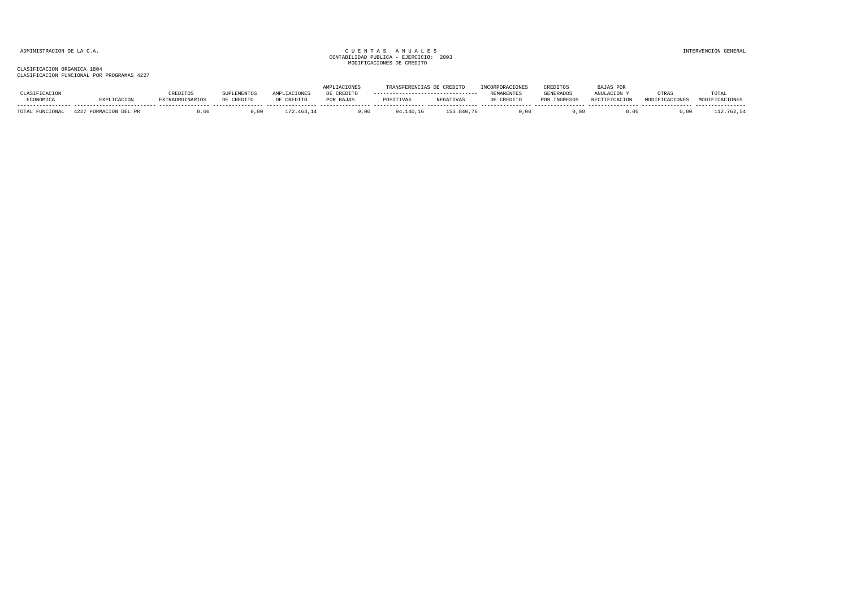|                             |        |             |                                      |            |            |           | <b>CREDITO</b>   |            | CREDITOS         | TAS POR              |       |                |
|-----------------------------|--------|-------------|--------------------------------------|------------|------------|-----------|------------------|------------|------------------|----------------------|-------|----------------|
|                             |        | REDITOS     | <sup>otid</sup> LEMENT <sub>Up</sub> |            | DE CREDITO |           |                  | REMANENTES | <b>GENERADOS</b> |                      | OTRA? | TOTAL          |
| ECONOMICA                   |        | AORDINARIOS | DE CREDITO                           | CREDITO אם | POR BAJAS  | POSITIVAS | <b>NEGATIVAS</b> | DE CREDITO | POR INGRESOS     | <b>RECTIFICACION</b> |       | MODIFICACIONES |
| <b>DIBICEONIA</b><br>TOTAL. | DEL PR |             |                                      |            |            | 140.16 ء  | 153.840.76       | . oc       | . 00             |                      |       | 112.762,54     |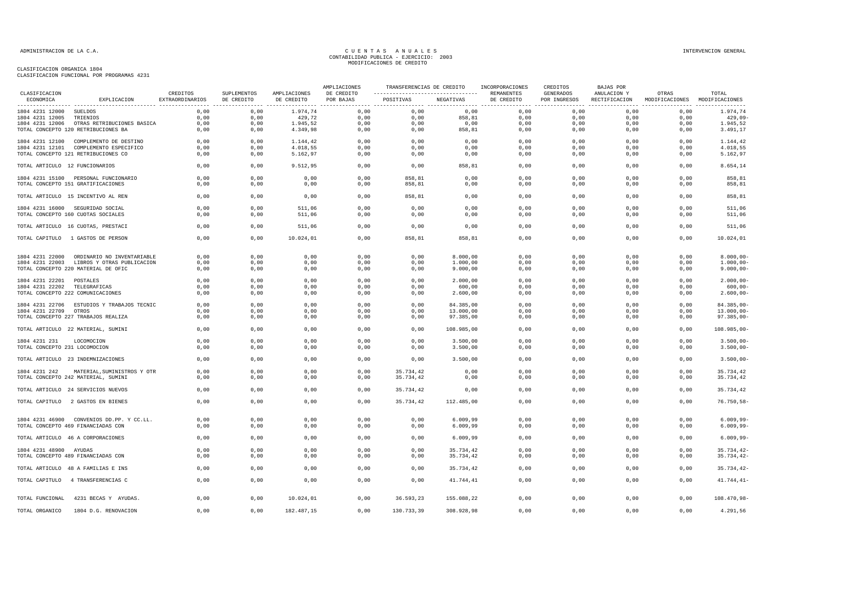|                                |                                            |                             |                           |                            | AMPLIACIONES            | TRANSFERENCIAS DE CREDITO |            | INCORPORACIONES          | CREDITOS                  | BAJAS POR                    |                                        |                |
|--------------------------------|--------------------------------------------|-----------------------------|---------------------------|----------------------------|-------------------------|---------------------------|------------|--------------------------|---------------------------|------------------------------|----------------------------------------|----------------|
| CLASIFICACION<br>ECONOMICA     | EXPLICACION                                | CREDITOS<br>EXTRAORDINARIOS | SUPLEMENTOS<br>DE CREDITO | AMPLIACIONES<br>DE CREDITO | DE CREDITO<br>POR BAJAS | POSITIVAS                 | NEGATIVAS  | REMANENTES<br>DE CREDITO | GENERADOS<br>POR INGRESOS | ANULACION Y<br>RECTIFICACION | OTRAS<br>MODIFICACIONES MODIFICACIONES | TOTAL          |
| 1804 4231 12000 SUELDOS        |                                            | 0.00                        | 0,00                      | 1.974.74                   | 0.00                    | 0.00                      | 0,00       | 0.00                     | 0.00                      | 0.00                         | 0.00                                   | 1.974,74       |
| 1804 4231 12005                | TRIENIOS                                   | 0,00                        | 0,00                      | 429,72                     | 0,00                    | 0,00                      | 858,81     | 0,00                     | 0,00                      | 0,00                         | 0,00                                   | 429,09         |
|                                | 1804 4231 12006 OTRAS RETRIBUCIONES BASICA | 0,00                        | 0,00                      | 1.945,52                   | 0,00                    | 0,00                      | 0,00       | 0,00                     | 0,00                      | 0,00                         | 0,00                                   | 1.945,52       |
|                                | TOTAL CONCEPTO 120 RETRIBUCIONES BA        | 0,00                        | 0,00                      | 4.349,98                   | 0,00                    | 0,00                      | 858,81     | 0,00                     | 0,00                      | 0,00                         | 0,00                                   | 3.491,17       |
|                                | 1804 4231 12100 COMPLEMENTO DE DESTINO     | 0.00                        | 0,00                      | 1.144,42                   | 0,00                    | 0,00                      | 0,00       | 0,00                     | 0.00                      | 0.00                         | 0,00                                   | 1.144,42       |
|                                | 1804 4231 12101 COMPLEMENTO ESPECIFICO     | 0,00                        | 0,00                      | 4.018,55                   | 0,00                    | 0,00                      | 0,00       | 0,00                     | 0,00                      | 0,00                         | 0,00                                   | 4.018,55       |
|                                | TOTAL CONCEPTO 121 RETRIBUCIONES CO        | 0,00                        | 0,00                      | 5.162,97                   | 0,00                    | 0,00                      | 0,00       | 0,00                     | 0,00                      | 0,00                         | 0,00                                   | 5.162,97       |
| TOTAL ARTICULO 12 FUNCIONARIOS |                                            | 0,00                        | 0,00                      | 9.512,95                   | 0,00                    | 0,00                      | 858,81     | 0,00                     | 0,00                      | 0,00                         | 0,00                                   | 8.654,14       |
|                                | 1804 4231 15100 PERSONAL FUNCIONARIO       | 0,00                        | 0,00                      | 0,00                       | 0,00                    | 858,81                    | 0,00       | 0,00                     | 0,00                      | 0,00                         | 0,00                                   | 858,81         |
|                                | TOTAL CONCEPTO 151 GRATIFICACIONES         | 0,00                        | 0,00                      | 0,00                       | 0,00                    | 858,81                    | 0,00       | 0,00                     | 0,00                      | 0,00                         | 0,00                                   | 858,81         |
|                                | TOTAL ARTICULO 15 INCENTIVO AL REN         | 0,00                        | 0,00                      | 0,00                       | 0.00                    | 858,81                    | 0,00       | 0,00                     | 0,00                      | 0,00                         | 0,00                                   | 858,81         |
|                                | 1804 4231 16000 SEGURIDAD SOCIAL           | 0,00                        | 0,00                      | 511,06                     | 0,00                    | 0,00                      | 0,00       | 0,00                     | 0,00                      | 0,00                         | 0,00                                   | 511,06         |
|                                | TOTAL CONCEPTO 160 CUOTAS SOCIALES         | 0,00                        | 0,00                      | 511,06                     | 0,00                    | 0,00                      | 0,00       | 0,00                     | 0,00                      | 0,00                         | 0,00                                   | 511,06         |
|                                | TOTAL ARTICULO 16 CUOTAS, PRESTACI         | 0,00                        | 0,00                      | 511,06                     | 0.00                    | 0,00                      | 0,00       | 0,00                     | 0,00                      | 0,00                         | 0,00                                   | 511,06         |
|                                | TOTAL CAPITULO 1 GASTOS DE PERSON          | 0,00                        | 0,00                      | 10.024,01                  | 0,00                    | 858,81                    | 858,81     | 0,00                     | 0,00                      | 0,00                         | 0,00                                   | 10.024,01      |
|                                | 1804 4231 22000 ORDINARIO NO INVENTARIABLE | 0,00                        | 0,00                      | 0,00                       | 0,00                    | 0,00                      | 8.000,00   | 0,00                     | 0,00                      | 0,00                         | 0,00                                   | $8.000,00 -$   |
|                                | 1804 4231 22003 LIBROS Y OTRAS PUBLICACION | 0,00                        | 0,00                      | 0,00                       | 0,00                    | 0,00                      | 1.000,00   | 0,00                     | 0,00                      | 0,00                         | 0,00                                   | $1.000,00 -$   |
|                                | TOTAL CONCEPTO 220 MATERIAL DE OFIC        | 0,00                        | 0,00                      | 0,00                       | 0,00                    | 0,00                      | 9.000,00   | 0,00                     | 0,00                      | 0,00                         | 0,00                                   | $9.000,00 -$   |
| 1804 4231 22201 POSTALES       |                                            | 0.00                        | 0.00                      | 0.00                       | 0.00                    | 0.00                      | 2,000,00   | 0.00                     | 0.00                      | 0.00                         | 0.00                                   | $2.000.00 -$   |
| 1804 4231 22202 TELEGRAFICAS   |                                            | 0,00                        | 0,00                      | 0,00                       | 0,00                    | 0,00                      | 600,00     | 0,00                     | 0,00                      | 0,00                         | 0,00                                   | $600,00 -$     |
|                                | TOTAL CONCEPTO 222 COMUNICACIONES          | 0,00                        | 0,00                      | 0,00                       | 0,00                    | 0,00                      | 2.600,00   | 0,00                     | 0,00                      | 0,00                         | 0,00                                   | $2.600,00 -$   |
|                                | 1804 4231 22706 ESTUDIOS Y TRABAJOS TECNIC | 0.00                        | 0.00                      | 0,00                       | 0,00                    | 0.00                      | 84.385,00  | 0,00                     | 0.00                      | 0.00                         | 0.00                                   | 84.385.00-     |
| 1804 4231 22709 OTROS          |                                            | 0.00                        | 0,00                      | 0,00                       | 0,00                    | 0,00                      | 13.000,00  | 0,00                     | 0,00                      | 0,00                         | 0,00                                   | $13.000,00 -$  |
|                                | TOTAL CONCEPTO 227 TRABAJOS REALIZA        | 0,00                        | 0,00                      | 0,00                       | 0,00                    | 0,00                      | 97.385,00  | 0,00                     | 0,00                      | 0,00                         | 0,00                                   | $97.385,00 -$  |
|                                | TOTAL ARTICULO 22 MATERIAL, SUMINI         | 0,00                        | 0,00                      | 0,00                       | 0,00                    | 0,00                      | 108.985,00 | 0,00                     | 0,00                      | 0,00                         | 0,00                                   | 108.985,00-    |
| 1804 4231 231                  | LOCOMOCION                                 | 0,00                        | 0,00                      | 0,00                       | 0,00                    | 0,00                      | 3.500,00   | 0,00                     | 0,00                      | 0,00                         | 0,00                                   | $3.500,00 -$   |
| TOTAL CONCEPTO 231 LOCOMOCION  |                                            | 0,00                        | 0,00                      | 0,00                       | 0,00                    | 0,00                      | 3.500,00   | 0,00                     | 0,00                      | 0,00                         | 0,00                                   | $3.500,00 -$   |
|                                | TOTAL ARTICULO 23 INDEMNIZACIONES          | 0.00                        | 0.00                      | 0,00                       | 0.00                    | 0.00                      | 3,500,00   | 0.00                     | 0.00                      | 0.00                         | 0.00                                   | $3.500.00 -$   |
| 1804 4231 242                  | MATERIAL, SUMINISTROS Y OTR                | 0,00                        | 0,00                      | 0,00                       | 0,00                    | 35.734,42                 | 0,00       | 0,00                     | 0,00                      | 0,00                         | 0,00                                   | 35.734,42      |
|                                | TOTAL CONCEPTO 242 MATERIAL, SUMINI        | 0,00                        | 0,00                      | 0,00                       | 0,00                    | 35.734,42                 | 0,00       | 0,00                     | 0,00                      | 0,00                         | 0,00                                   | 35.734,42      |
|                                | TOTAL ARTICULO 24 SERVICIOS NUEVOS         | 0,00                        | 0,00                      | 0,00                       | 0,00                    | 35.734,42                 | 0,00       | 0,00                     | 0,00                      | 0.00                         | 0.00                                   | 35.734,42      |
|                                | TOTAL CAPITULO 2 GASTOS EN BIENES          | 0,00                        | 0,00                      | 0,00                       | 0,00                    | 35.734,42                 | 112.485,00 | 0,00                     | 0,00                      | 0,00                         | 0,00                                   | $76.750, 58 -$ |
|                                |                                            |                             |                           |                            |                         |                           |            |                          |                           |                              |                                        |                |
|                                | 1804 4231 46900 CONVENIOS DD.PP. Y CC.LL.  | 0.00                        | 0,00                      | 0,00                       | 0,00                    | 0,00                      | 6.009,99   | 0,00                     | 0,00                      | 0,00                         | 0,00                                   | $6.009, 99 -$  |
|                                | TOTAL CONCEPTO 469 FINANCIADAS CON         | 0,00                        | 0,00                      | 0,00                       | 0,00                    | 0,00                      | 6.009,99   | 0,00                     | 0,00                      | 0,00                         | 0,00                                   | $6.009, 99 -$  |
|                                | TOTAL ARTICULO 46 A CORPORACIONES          | 0,00                        | 0,00                      | 0,00                       | 0,00                    | 0,00                      | 6.009,99   | 0,00                     | 0,00                      | 0,00                         | 0,00                                   | $6.009, 99 -$  |
| 1804 4231 48900 AYUDAS         |                                            | 0.00                        | 0,00                      | 0.00                       | 0.00                    | 0.00                      | 35.734,42  | 0.00                     | 0.00                      | 0.00                         | 0,00                                   | $35.734.42 -$  |
|                                | TOTAL CONCEPTO 489 FINANCIADAS CON         | 0,00                        | 0,00                      | 0,00                       | 0,00                    | 0,00                      | 35.734,42  | 0,00                     | 0,00                      | 0,00                         | 0,00                                   | 35.734,42-     |
|                                | TOTAL ARTICULO 48 A FAMILIAS E INS         | 0,00                        | 0,00                      | 0,00                       | 0,00                    | 0,00                      | 35.734,42  | 0,00                     | 0,00                      | 0,00                         | 0,00                                   | $35.734, 42-$  |
|                                | TOTAL CAPITULO 4 TRANSFERENCIAS C          | 0,00                        | 0,00                      | 0,00                       | 0,00                    | 0,00                      | 41.744,41  | 0,00                     | 0,00                      | 0,00                         | 0,00                                   | $41.744, 41-$  |
| TOTAL FUNCIONAL                | 4231 BECAS Y AYUDAS.                       | 0,00                        | 0,00                      | 10.024,01                  | 0,00                    | 36.593,23                 | 155.088,22 | 0,00                     | 0,00                      | 0,00                         | 0,00                                   | 108.470,98-    |
| TOTAL ORGANICO                 | 1804 D.G. RENOVACION                       | 0,00                        | 0,00                      | 182.487,15                 | 0,00                    | 130.733,39                | 308.928,98 | 0,00                     | 0,00                      | 0,00                         | 0,00                                   | 4.291,56       |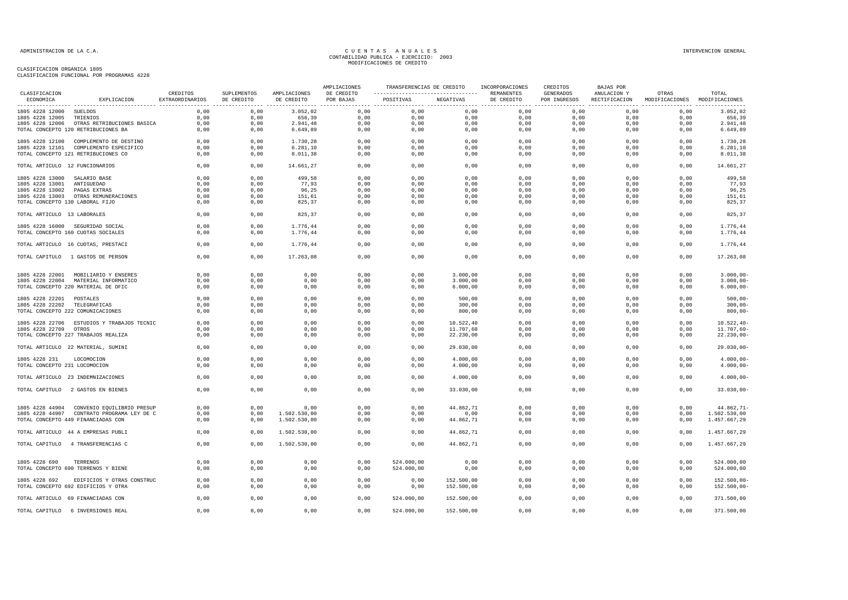|                                 |                                                                   |                             |                           |                            | AMPLIACIONES            | TRANSFERENCIAS DE CREDITO |            | INCORPORACIONES          | CREDITOS                  | BAJAS POR                    |                                        |                |
|---------------------------------|-------------------------------------------------------------------|-----------------------------|---------------------------|----------------------------|-------------------------|---------------------------|------------|--------------------------|---------------------------|------------------------------|----------------------------------------|----------------|
| CLASIFICACION<br>ECONOMICA      | EXPLICACION                                                       | CREDITOS<br>EXTRAORDINARIOS | SUPLEMENTOS<br>DE CREDITO | AMPLIACIONES<br>DE CREDITO | DE CREDITO<br>POR BAJAS | POSITIVAS                 | NEGATIVAS  | REMANENTES<br>DE CREDITO | GENERADOS<br>POR INGRESOS | ANULACION Y<br>RECTIFICACION | OTRAS<br>MODIFICACIONES MODIFICACIONES | TOTAL          |
| 1805 4228 12000 SUELDOS         |                                                                   | 0,00                        | 0,00                      | 3.052,02                   | 0,00                    | 0,00                      | 0,00       | 0,00                     | 0,00                      | 0,00                         | 0,00                                   | 3.052,02       |
| 1805 4228 12005                 | TRIENIOS                                                          | 0,00                        | 0,00                      | 656,39                     | 0,00                    | 0,00                      | 0,00       | 0,00                     | 0,00                      | 0,00                         | 0,00                                   | 656,39         |
|                                 | 1805 4228 12006 OTRAS RETRIBUCIONES BASICA                        | 0,00                        | 0,00                      | 2.941,48                   | 0,00                    | 0,00                      | 0,00       | 0,00                     | 0,00                      | 0,00                         | 0,00                                   | 2.941,48       |
|                                 | TOTAL CONCEPTO 120 RETRIBUCIONES BA                               | 0,00                        | 0,00                      | 6.649,89                   | 0,00                    | 0,00                      | 0,00       | 0,00                     | 0,00                      | 0,00                         | 0,00                                   | 6.649,89       |
|                                 | 1805 4228 12100 COMPLEMENTO DE DESTINO                            | 0,00                        | 0,00                      | 1.730,28                   | 0,00                    | 0,00                      | 0,00       | 0,00                     | 0,00                      | 0,00                         | 0,00                                   | 1.730,28       |
|                                 | 1805 4228 12101 COMPLEMENTO ESPECIFICO                            | 0,00                        | 0,00                      | 6.281, 10                  | 0,00                    | 0,00                      | 0,00       | 0,00                     | 0,00                      | 0,00                         | 0,00                                   | 6.281, 10      |
|                                 | TOTAL CONCEPTO 121 RETRIBUCIONES CO                               | 0,00                        | 0,00                      | 8.011,38                   | 0,00                    | 0,00                      | 0,00       | 0,00                     | 0,00                      | 0,00                         | 0,00                                   | 8.011,38       |
| TOTAL ARTICULO 12 FUNCIONARIOS  |                                                                   | 0,00                        | 0,00                      | 14.661,27                  | 0,00                    | 0,00                      | 0,00       | 0,00                     | 0,00                      | 0,00                         | 0,00                                   | 14.661,27      |
| 1805 4228 13000 SALARIO BASE    |                                                                   | 0,00                        | 0,00                      | 499,58                     | 0,00                    | 0,00                      | 0,00       | 0,00                     | 0,00                      | 0,00                         | 0,00                                   | 499,58         |
| 1805 4228 13001 ANTIGUEDAD      |                                                                   | 0,00                        | 0,00                      | 77,93                      | 0,00                    | 0,00                      | 0,00       | 0,00                     | 0,00                      | 0,00                         | 0,00                                   | 77,93          |
| 1805 4228 13002                 | PAGAS EXTRAS                                                      | 0.00                        | 0.00                      | 96,25                      | 0,00                    | 0,00                      | 0,00       | 0,00                     | 0,00                      | 0.00                         | 0,00                                   | 96,25          |
|                                 | 1805 4228 13003 OTRAS REMUNERACIONES                              | 0,00                        | 0,00                      | 151,61                     | 0,00                    | 0,00                      | 0,00       | $0$ , $00$               | 0,00                      | 0,00                         | 0,00                                   | 151,61         |
| TOTAL CONCEPTO 130 LABORAL FIJO |                                                                   | 0,00                        | 0,00                      | 825,37                     | 0,00                    | 0,00                      | 0,00       | 0,00                     | 0,00                      | 0,00                         | 0,00                                   | 825,37         |
| TOTAL ARTICULO 13 LABORALES     |                                                                   | 0,00                        | 0,00                      | 825,37                     | 0,00                    | 0,00                      | 0,00       | 0,00                     | 0,00                      | 0,00                         | 0,00                                   | 825,37         |
|                                 | 1805 4228 16000 SEGURIDAD SOCIAL                                  | 0,00                        | 0,00                      | 1.776,44                   | 0,00                    | 0,00                      | 0,00       | 0,00                     | 0,00                      | 0,00                         | 0,00                                   | 1.776,44       |
|                                 | TOTAL CONCEPTO 160 CUOTAS SOCIALES                                | 0,00                        | 0,00                      | 1.776,44                   | 0,00                    | 0,00                      | 0,00       | 0,00                     | 0,00                      | 0,00                         | 0,00                                   | 1.776,44       |
|                                 | TOTAL ARTICULO 16 CUOTAS, PRESTACI                                | 0,00                        | 0,00                      | 1.776,44                   | 0,00                    | 0,00                      | 0,00       | 0,00                     | 0,00                      | 0,00                         | 0,00                                   | 1.776,44       |
|                                 | TOTAL CAPITULO 1 GASTOS DE PERSON                                 | 0,00                        | 0,00                      | 17.263,08                  | 0,00                    | 0,00                      | 0,00       | 0,00                     | 0,00                      | 0,00                         | 0,00                                   | 17.263,08      |
|                                 | 1805 4228 22001 MOBILIARIO Y ENSERES                              | 0,00                        | 0,00                      | 0,00                       | 0,00                    | 0,00                      | 3.000,00   | 0,00                     | 0,00                      | 0,00                         | 0,00                                   | $3.000,00 -$   |
|                                 | 1805 4228 22004 MATERIAL INFORMATICO                              | 0.00                        | 0.00                      | 0,00                       | 0.00                    | 0.00                      | 3.000,00   | 0.00                     | 0.00                      | 0.00                         | 0.00                                   | $3.000,00 -$   |
|                                 | TOTAL CONCEPTO 220 MATERIAL DE OFIC                               | 0,00                        | 0,00                      | 0,00                       | 0,00                    | 0,00                      | 6.000,00   | 0,00                     | 0,00                      | 0,00                         | 0,00                                   | $6.000,00 -$   |
|                                 |                                                                   |                             |                           |                            |                         |                           |            |                          |                           |                              |                                        |                |
| 1805 4228 22201 POSTALES        |                                                                   | 0,00                        | 0,00                      | 0,00                       | 0,00                    | 0,00                      | 500,00     | 0,00                     | 0,00                      | 0,00                         | 0,00                                   | $500,00-$      |
| 1805 4228 22202 TELEGRAFICAS    |                                                                   | 0,00                        | 0,00                      | 0,00                       | 0,00                    | 0,00                      | 300,00     | 0,00                     | 0,00                      | 0,00                         | 0,00                                   | $300,00-$      |
|                                 | TOTAL CONCEPTO 222 COMUNICACIONES                                 | 0,00                        | 0,00                      | 0,00                       | 0,00                    | 0,00                      | 800,00     | 0,00                     | 0,00                      | 0,00                         | 0,00                                   | $800,00-$      |
|                                 | 1805 4228 22706 ESTUDIOS Y TRABAJOS TECNIC                        | 0,00                        | 0,00                      | 0,00                       | 0,00                    | 0,00                      | 10.522,40  | 0,00                     | 0,00                      | 0,00                         | 0,00                                   | $10.522, 40 -$ |
| 1805 4228 22709 OTROS           |                                                                   | 0,00                        | 0,00                      | 0,00                       | 0,00                    | 0,00                      | 11.707,60  | 0,00                     | 0,00                      | 0,00                         | 0,00                                   | 11.707,60-     |
|                                 | TOTAL CONCEPTO 227 TRABAJOS REALIZA                               | 0,00                        | 0,00                      | 0,00                       | 0,00                    | 0,00                      | 22.230,00  | 0,00                     | 0,00                      | 0,00                         | 0,00                                   | $22.230,00 -$  |
|                                 | TOTAL ARTICULO 22 MATERIAL, SUMINI                                | 0,00                        | 0,00                      | 0,00                       | 0,00                    | 0,00                      | 29.030,00  | 0,00                     | 0,00                      | 0,00                         | 0,00                                   | $29.030,00 -$  |
| 1805 4228 231                   | LOCOMOCION                                                        | 0,00                        | 0,00                      | 0,00                       | 0,00                    | 0,00                      | 4.000,00   | 0,00                     | 0,00                      | 0,00                         | 0,00                                   | $4.000,00 -$   |
| TOTAL CONCEPTO 231 LOCOMOCION   |                                                                   | 0,00                        | 0,00                      | 0,00                       | 0,00                    | 0,00                      | 4.000,00   | 0,00                     | 0,00                      | 0,00                         | 0,00                                   | $4.000,00 -$   |
|                                 | TOTAL ARTICULO 23 INDEMNIZACIONES                                 | 0,00                        | 0,00                      | 0,00                       | 0,00                    | 0,00                      | 4.000,00   | 0,00                     | 0,00                      | 0,00                         | 0,00                                   | $4.000,00 -$   |
|                                 | TOTAL CAPITULO 2 GASTOS EN BIENES                                 | 0,00                        | 0,00                      | 0,00                       | 0,00                    | 0,00                      | 33.030,00  | 0,00                     | 0,00                      | 0,00                         | 0,00                                   | $33.030,00 -$  |
|                                 |                                                                   |                             |                           |                            |                         |                           |            |                          |                           |                              |                                        |                |
|                                 | 1805 4228 44904 CONVENIO EQUILIBRIO PRESUP                        | 0,00                        | 0,00                      | 0,00                       | 0,00                    | 0,00                      | 44.862,71  | 0,00                     | 0,00                      | 0,00                         | 0,00                                   | 44.862,71-     |
|                                 | 1805 4228 44907 CONTRATO PROGRAMA LEY DE C                        | 0,00                        | 0,00                      | 1.502.530,00               | 0,00                    | 0,00                      | 0,00       | 0,00                     | 0,00                      | 0,00                         | 0,00                                   | 1.502.530,00   |
|                                 | TOTAL CONCEPTO 449 FINANCIADAS CON                                | 0,00                        | 0,00                      | 1.502.530,00               | 0,00                    | 0,00                      | 44.862,71  | 0,00                     | 0,00                      | 0,00                         | 0,00                                   | 1.457.667,29   |
|                                 | TOTAL ARTICULO 44 A EMPRESAS PUBLI                                | 0.00                        | 0,00                      | 1.502.530,00               | 0,00                    | 0,00                      | 44.862,71  | 0,00                     | 0,00                      | 0.00                         | 0,00                                   | 1.457.667,29   |
|                                 | TOTAL CAPITULO 4 TRANSFERENCIAS C                                 | 0,00                        | 0,00                      | 1.502.530,00               | 0,00                    | 0,00                      | 44.862,71  | 0,00                     | 0,00                      | 0,00                         | 0,00                                   | 1.457.667,29   |
|                                 |                                                                   |                             |                           |                            |                         |                           |            |                          |                           |                              |                                        |                |
| 1805 4228 690                   | TERRENOS                                                          | 0.00                        | 0.00                      | 0,00                       | 0,00                    | 524,000,00                | 0,00       | 0.00                     | 0.00                      | 0.00                         | 0.00                                   | 524.000,00     |
|                                 | TOTAL CONCEPTO 690 TERRENOS Y BIENE                               | 0,00                        | 0,00                      | 0,00                       | 0,00                    | 524.000,00                | 0,00       | 0,00                     | 0,00                      | 0,00                         | 0,00                                   | 524.000,00     |
|                                 |                                                                   | 0,00                        | 0,00                      | 0,00                       | 0,00                    |                           | 152.500,00 | 0,00                     | 0,00                      | 0,00                         | 0,00                                   | $152.500,00 -$ |
| 1805 4228 692                   | EDIFICIOS Y OTRAS CONSTRUC<br>TOTAL CONCEPTO 692 EDIFICIOS Y OTRA | 0,00                        | 0,00                      | 0,00                       | 0,00                    | 0,00<br>0,00              | 152.500,00 | 0,00                     | 0,00                      | 0,00                         | 0,00                                   | $152.500,00 -$ |
|                                 | TOTAL ARTICULO 69 FINANCIADAS CON                                 | 0,00                        | 0,00                      | 0,00                       | 0,00                    | 524.000,00                | 152.500,00 | 0,00                     | 0,00                      | 0,00                         | 0,00                                   | 371.500,00     |
|                                 |                                                                   |                             |                           |                            |                         |                           |            |                          |                           |                              |                                        |                |
|                                 | TOTAL CAPITULO 6 INVERSIONES REAL                                 | 0,00                        | 0,00                      | 0,00                       | 0,00                    | 524.000,00                | 152.500,00 | 0,00                     | 0,00                      | 0,00                         | 0,00                                   | 371.500,00     |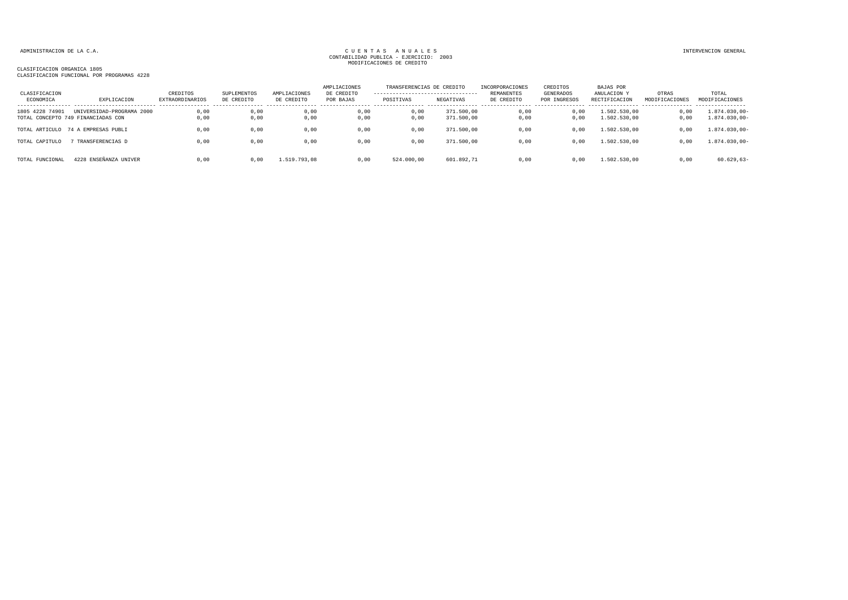| CLASIFICACION<br>ECONOMICA | EXPLICACION                                                     | CREDITOS<br>EXTRAORDINARIOS | SUPLEMENTOS<br>DE CREDITO | AMPLIACIONES<br>DE CREDITO | AMPLIACIONES<br>DE CREDITO<br>POR BAJAS | TRANSFERENCIAS DE CREDITO<br>---------------------------------<br>POSITIVAS | NEGATIVAS                | <b>INCORPORACIONES</b><br>REMANENTES<br>DE CREDITO | CREDITOS<br>GENERADOS<br>POR INGRESOS | BAJAS POR<br>ANULACION Y<br>RECTIFICACION | OTRAS<br>MODIFICACIONES | TOTAL<br>MODIFICACIONES              |
|----------------------------|-----------------------------------------------------------------|-----------------------------|---------------------------|----------------------------|-----------------------------------------|-----------------------------------------------------------------------------|--------------------------|----------------------------------------------------|---------------------------------------|-------------------------------------------|-------------------------|--------------------------------------|
| 1805 4228 74901            | UNIVERSIDAD-PROGRAMA 2000<br>TOTAL CONCEPTO 749 FINANCIADAS CON | 0.00<br>0.00                | 0,00<br>0,00              | 0,00<br>0,00               | 0.00<br>0.00                            | 0.00<br>0.00                                                                | 371.500,00<br>371,500,00 | 0.00<br>0.00                                       | 0.00<br>0.00                          | 1.502.530.00<br>1.502.530,00              | 0,00<br>0,00            | $1.874.030,00 -$<br>$1.874.030,00 -$ |
| TOTAL ARTICULO             | 74 A EMPRESAS PUBLI                                             | 0,00                        | 0,00                      | 0,00                       | 0,00                                    | 0,00                                                                        | 371.500,00               | 0,00                                               | 0,00                                  | 1.502.530,00                              | 0,00                    | $1.874.030,00 -$                     |
| TOTAL CAPITULO             | TRANSFERENCIAS D                                                | 0,00                        | 0,00                      | 0,00                       | 0,00                                    | 0,00                                                                        | 371.500,00               | 0,00                                               | 0.00                                  | 1.502.530,00                              | 0,00                    | $1.874.030,00 -$                     |
| TOTAL FUNCIONAL            | 4228 ENSEÑANZA UNIVER                                           | 0.00                        | 0,00                      | 1.519.793,08               | 0.00                                    | 524.000,00                                                                  | 601.892,71               | 0,00                                               | 0.00                                  | 1.502.530,00                              | 0,00                    | $60.629, 63 -$                       |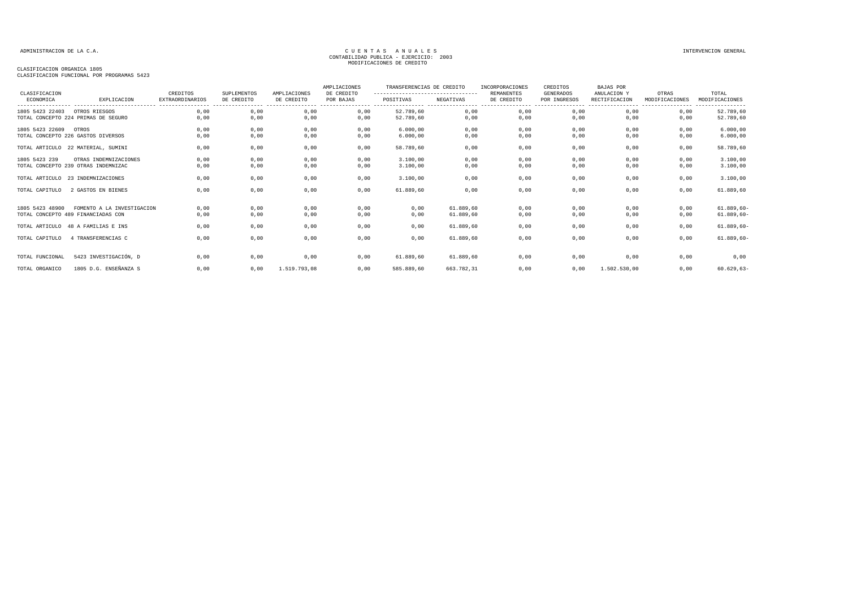| CLASIFICACION                 |                                     | CREDITOS               | <b>SUPLEMENTOS</b> | AMPLIACIONES | AMPLIACIONES<br>DE CREDITO | TRANSFERENCIAS DE CREDITO<br>---------------------------------- |            | INCORPORACIONES<br><b>REMANENTES</b> | CREDITOS<br>GENERADOS            | BAJAS POR<br>ANULACION Y | OTRAS          | TOTAL          |
|-------------------------------|-------------------------------------|------------------------|--------------------|--------------|----------------------------|-----------------------------------------------------------------|------------|--------------------------------------|----------------------------------|--------------------------|----------------|----------------|
| ECONOMICA                     | EXPLICACION                         | <b>EXTRAORDINARIOS</b> | DE CREDITO         | DE CREDITO   | POR BAJAS                  | POSITIVAS                                                       | NEGATIVAS  | DE CREDITO                           | POR INGRESOS<br>---------------- | RECTIFICACION            | MODIFICACIONES | MODIFICACIONES |
| 1805 5423 22403 OTROS RIESGOS |                                     | 0,00                   | 0,00               | 0,00         | 0,00                       | 52.789,60                                                       | 0,00       | 0,00                                 | 0,00                             | 0,00                     | 0,00           | 52.789,60      |
|                               | TOTAL CONCEPTO 224 PRIMAS DE SEGURO | 0,00                   | 0,00               | 0,00         | 0,00                       | 52.789,60                                                       | 0,00       | 0,00                                 | 0,00                             | 0,00                     | 0,00           | 52.789,60      |
| 1805 5423 22609               | OTROS                               | 0,00                   | 0,00               | 0,00         | 0,00                       | 6.000.00                                                        | 0,00       | 0,00                                 | 0,00                             | 0,00                     | 0,00           | 6.000,00       |
|                               | TOTAL CONCEPTO 226 GASTOS DIVERSOS  | 0,00                   | 0,00               | 0,00         | 0,00                       | 6.000,00                                                        | 0,00       | 0,00                                 | 0,00                             | 0,00                     | 0,00           | 6.000,00       |
|                               | TOTAL ARTICULO 22 MATERIAL, SUMINI  | 0,00                   | 0,00               | 0,00         | 0,00                       | 58.789,60                                                       | 0,00       | 0,00                                 | 0,00                             | 0,00                     | 0,00           | 58.789,60      |
| 1805 5423 239                 | OTRAS INDEMNIZACIONES               | 0,00                   | 0,00               | 0,00         | 0,00                       | 3.100,00                                                        | 0,00       | 0,00                                 | 0,00                             | 0,00                     | 0,00           | 3.100,00       |
|                               | TOTAL CONCEPTO 239 OTRAS INDEMNIZAC | 0,00                   | 0,00               | 0,00         | 0,00                       | 3.100,00                                                        | 0,00       | 0,00                                 | 0,00                             | 0,00                     | 0,00           | 3.100,00       |
|                               | TOTAL ARTICULO 23 INDEMNIZACIONES   | 0,00                   | 0,00               | 0,00         | 0,00                       | 3.100,00                                                        | 0,00       | 0,00                                 | 0,00                             | 0,00                     | 0,00           | 3.100,00       |
| TOTAL CAPITULO                | 2 GASTOS EN BIENES                  | 0,00                   | 0,00               | 0,00         | 0,00                       | 61.889,60                                                       | 0,00       | 0,00                                 | 0,00                             | 0,00                     | 0,00           | 61.889,60      |
| 1805 5423 48900               | FOMENTO A LA INVESTIGACION          | 0,00                   | 0,00               | 0,00         | 0,00                       | 0,00                                                            | 61.889.60  | 0,00                                 | 0,00                             | 0,00                     | 0,00           | $61.889, 60 -$ |
|                               | TOTAL CONCEPTO 489 FINANCIADAS CON  | 0,00                   | 0,00               | 0,00         | 0,00                       | 0,00                                                            | 61.889,60  | 0,00                                 | 0,00                             | 0,00                     | 0,00           | $61.889, 60 -$ |
|                               | TOTAL ARTICULO 48 A FAMILIAS E INS  | 0,00                   | 0,00               | 0,00         | 0,00                       | 0,00                                                            | 61.889,60  | 0,00                                 | 0,00                             | 0,00                     | 0,00           | $61.889, 60 -$ |
| TOTAL CAPITULO                | 4 TRANSFERENCIAS C                  | 0,00                   | 0,00               | 0,00         | 0,00                       | 0,00                                                            | 61.889.60  | 0,00                                 | 0,00                             | 0.00                     | 0,00           | $61.889, 60 -$ |
| TOTAL FUNCIONAL               | 5423 INVESTIGACIÓN, D               | 0,00                   | 0,00               | 0,00         | 0,00                       | 61.889,60                                                       | 61.889,60  | 0,00                                 | 0,00                             | 0,00                     | 0,00           | 0,00           |
| TOTAL ORGANICO                | 1805 D.G. ENSEÑANZA S               | 0,00                   | 0,00               | 1.519.793.08 | 0,00                       | 585.889,60                                                      | 663.782,31 | 0,00                                 | 0,00                             | 1.502.530,00             | 0,00           | $60.629, 63 -$ |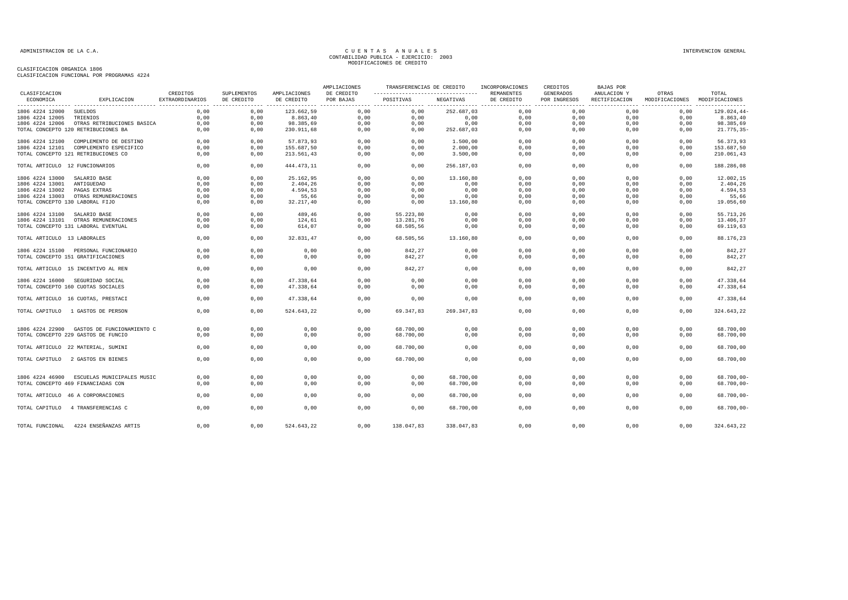| CLASIFICACION                  |                                            | CREDITOS               | SUPLEMENTOS | AMPLIACIONES | AMPLIACIONES<br>DE CREDITO | TRANSFERENCIAS DE CREDITO<br>------------------------------------ |            | INCORPORACIONES<br>REMANENTES | CREDITOS<br>GENERADOS | BAJAS POR<br>ANULACION Y | OTRAS                         | TOTAL          |
|--------------------------------|--------------------------------------------|------------------------|-------------|--------------|----------------------------|-------------------------------------------------------------------|------------|-------------------------------|-----------------------|--------------------------|-------------------------------|----------------|
| ECONOMICA                      | EXPLICACION                                | <b>EXTRAORDINARIOS</b> | DE CREDITO  | DE CREDITO   | POR BAJAS                  | POSITIVAS                                                         | NEGATIVAS  | DE CREDITO<br>------- -       | POR INGRESOS          | RECTIFICACION            | MODIFICACIONES MODIFICACIONES |                |
| 1806 4224 12000                | SUELDOS                                    | 0,00                   | 0,00        | 123.662,59   | 0,00                       | 0,00                                                              | 252.687,03 | 0,00                          | 0,00                  | 0,00                     | 0,00                          | $129.024,44-$  |
| 1806 4224 12005                | TRIENIOS                                   | 0,00                   | 0,00        | 8.863,40     | 0,00                       | 0,00                                                              | 0,00       | 0,00                          | 0,00                  | 0,00                     | 0,00                          | 8.863,40       |
|                                | 1806 4224 12006 OTRAS RETRIBUCIONES BASICA | 0,00                   | 0,00        | 98.385,69    | 0,00                       | 0,00                                                              | 0,00       | 0,00                          | 0,00                  | 0,00                     | 0,00                          | 98.385,69      |
|                                | TOTAL CONCEPTO 120 RETRIBUCIONES BA        | 0,00                   | 0,00        | 230.911,68   | 0,00                       | 0,00                                                              | 252.687,03 | 0,00                          | 0,00                  | 0,00                     | 0,00                          | $21.775, 35 -$ |
| 1806 4224 12100                | COMPLEMENTO DE DESTINO                     | 0,00                   | 0,00        | 57.873,93    | 0,00                       | 0,00                                                              | 1.500,00   | 0,00                          | 0,00                  | 0,00                     | 0,00                          | 56.373,93      |
|                                | 1806 4224 12101 COMPLEMENTO ESPECIFICO     | 0,00                   | 0,00        | 155.687,50   | 0,00                       | 0,00                                                              | 2.000,00   | 0,00                          | 0,00                  | 0,00                     | 0,00                          | 153.687,50     |
|                                | TOTAL CONCEPTO 121 RETRIBUCIONES CO        | 0,00                   | 0,00        | 213.561,43   | 0,00                       | 0,00                                                              | 3.500,00   | 0,00                          | 0,00                  | 0,00                     | 0,00                          | 210.061,43     |
|                                |                                            |                        |             |              |                            |                                                                   |            |                               |                       |                          |                               |                |
| TOTAL ARTICULO 12 FUNCIONARIOS |                                            | 0,00                   | 0,00        | 444.473,11   | 0,00                       | 0,00                                                              | 256.187,03 | 0,00                          | 0,00                  | 0,00                     | 0,00                          | 188.286,08     |
| 1806 4224 13000                | SALARIO BASE                               | 0,00                   | 0,00        | 25.162,95    | 0,00                       | 0,00                                                              | 13.160,80  | 0,00                          | 0,00                  | 0,00                     | 0,00                          | 12.002,15      |
| 1806 4224 13001                | ANTIGUEDAD                                 | 0,00                   | 0,00        | 2.404,26     | 0,00                       | 0,00                                                              | 0,00       | 0,00                          | 0,00                  | 0,00                     | 0,00                          | 2.404,26       |
| 1806 4224 13002                | PAGAS EXTRAS                               | 0,00                   | 0,00        | 4.594,53     | 0,00                       | 0,00                                                              | 0,00       | 0,00                          | 0.00                  | 0,00                     | 0.00                          | 4.594,53       |
| 1806 4224 13003                | OTRAS REMUNERACIONES                       | 0,00                   | 0,00        | 55,66        | 0,00                       | 0,00                                                              | 0,00       | 0,00                          | 0,00                  | 0,00                     | 0,00                          | 55,66          |
|                                | TOTAL CONCEPTO 130 LABORAL FIJO            | 0,00                   | 0,00        | 32.217,40    | 0,00                       | 0,00                                                              | 13.160,80  | 0,00                          | 0,00                  | 0,00                     | 0,00                          | 19.056,60      |
| 1806 4224 13100 SALARIO BASE   |                                            | 0.00                   | 0.00        | 489,46       | 0.00                       | 55.223,80                                                         | 0.00       | 0.00                          | 0.00                  | 0.00                     | 0.00                          | 55.713,26      |
|                                | 1806 4224 13101 OTRAS REMUNERACIONES       | 0.00                   | 0.00        | 124,61       | 0,00                       | 13.281,76                                                         | 0,00       | 0,00                          | 0.00                  | 0.00                     | 0,00                          | 13.406,37      |
|                                | TOTAL CONCEPTO 131 LABORAL EVENTUAL        | 0,00                   | 0,00        | 614,07       | 0,00                       | 68.505,56                                                         | 0,00       | 0,00                          | 0,00                  | 0,00                     | 0,00                          | 69.119,63      |
|                                |                                            |                        |             |              |                            |                                                                   |            |                               |                       |                          |                               |                |
| TOTAL ARTICULO 13 LABORALES    |                                            | 0,00                   | 0,00        | 32.831,47    | 0,00                       | 68.505,56                                                         | 13.160,80  | 0,00                          | 0,00                  | 0,00                     | 0,00                          | 88.176,23      |
|                                | 1806 4224 15100 PERSONAL FUNCIONARIO       | 0,00                   | 0,00        | 0,00         | 0,00                       | 842,27                                                            | 0,00       | 0,00                          | 0,00                  | 0,00                     | 0,00                          | 842,27         |
|                                | TOTAL CONCEPTO 151 GRATIFICACIONES         | 0,00                   | 0,00        | 0,00         | 0,00                       | 842,27                                                            | 0,00       | 0,00                          | 0,00                  | 0,00                     | 0,00                          | 842,27         |
|                                | TOTAL ARTICULO 15 INCENTIVO AL REN         | 0.00                   | 0,00        | 0,00         | 0.00                       | 842,27                                                            | 0,00       | 0,00                          | 0,00                  | 0.00                     | 0,00                          | 842,27         |
|                                | 1806 4224 16000 SEGURIDAD SOCIAL           | 0,00                   | 0,00        | 47.338,64    | 0,00                       | 0,00                                                              | 0,00       | 0,00                          | 0,00                  | 0,00                     | 0,00                          | 47.338,64      |
|                                | TOTAL CONCEPTO 160 CUOTAS SOCIALES         | 0,00                   | 0,00        | 47.338,64    | 0,00                       | 0,00                                                              | 0,00       | 0,00                          | 0,00                  | 0,00                     | 0,00                          | 47.338,64      |
|                                |                                            |                        |             |              |                            |                                                                   |            |                               |                       |                          |                               |                |
|                                | TOTAL ARTICULO 16 CUOTAS, PRESTACI         | 0,00                   | 0,00        | 47.338,64    | 0,00                       | 0,00                                                              | 0,00       | 0,00                          | 0,00                  | 0,00                     | 0,00                          | 47.338,64      |
|                                | TOTAL CAPITULO 1 GASTOS DE PERSON          | 0.00                   | 0.00        | 524.643,22   | 0.00                       | 69.347.83                                                         | 269.347.83 | 0.00                          | 0.00                  | 0.00                     | 0.00                          | 324.643,22     |
|                                |                                            |                        |             |              |                            |                                                                   |            |                               |                       |                          |                               |                |
|                                | 1806 4224 22900 GASTOS DE FUNCIONAMIENTO C | 0,00                   | 0,00        | 0,00         | 0,00                       | 68.700,00                                                         | 0,00       | 0,00                          | 0,00                  | 0,00                     | 0,00                          | 68.700,00      |
|                                | TOTAL CONCEPTO 229 GASTOS DE FUNCIO        | 0,00                   | 0,00        | 0,00         | 0,00                       | 68.700,00                                                         | 0,00       | 0,00                          | 0,00                  | 0,00                     | 0,00                          | 68.700,00      |
|                                | TOTAL ARTICULO 22 MATERIAL, SUMINI         | 0,00                   | 0,00        | 0,00         | 0,00                       | 68.700,00                                                         | 0,00       | 0,00                          | 0,00                  | 0,00                     | 0,00                          | 68.700,00      |
|                                | TOTAL CAPITULO 2 GASTOS EN BIENES          | 0,00                   | 0,00        | 0,00         | 0,00                       | 68.700,00                                                         | 0,00       | 0,00                          | 0,00                  | 0,00                     | 0,00                          | 68.700,00      |
|                                |                                            |                        |             |              |                            |                                                                   |            |                               |                       |                          |                               |                |
|                                | 1806 4224 46900 ESCUELAS MUNICIPALES MUSIC | 0,00                   | 0,00        | 0,00         | 0,00                       | 0,00                                                              | 68.700,00  | 0,00                          | 0,00                  | 0,00                     | 0,00                          | $68.700,00 -$  |
|                                | TOTAL CONCEPTO 469 FINANCIADAS CON         | 0,00                   | 0,00        | 0,00         | 0,00                       | 0,00                                                              | 68.700,00  | 0,00                          | 0,00                  | 0,00                     | 0,00                          | $68.700,00 -$  |
|                                | TOTAL ARTICULO 46 A CORPORACIONES          | 0.00                   | 0,00        | 0.00         | 0.00                       | 0.00                                                              | 68,700,00  | 0.00                          | 0.00                  | 0.00                     | 0.00                          | $68.700,00 -$  |
|                                |                                            |                        |             |              |                            |                                                                   |            |                               |                       |                          |                               |                |
| TOTAL CAPITULO                 | 4 TRANSFERENCIAS C                         | 0,00                   | 0,00        | 0,00         | 0,00                       | 0,00                                                              | 68.700,00  | 0,00                          | 0,00                  | 0,00                     | 0,00                          | $68.700,00 -$  |
|                                | TOTAL FUNCIONAL 4224 ENSEÑANZAS ARTIS      | 0,00                   | 0,00        | 524.643,22   | 0,00                       | 138.047,83                                                        | 338.047,83 | 0,00                          | 0,00                  | 0,00                     | 0,00                          | 324.643,22     |
|                                |                                            |                        |             |              |                            |                                                                   |            |                               |                       |                          |                               |                |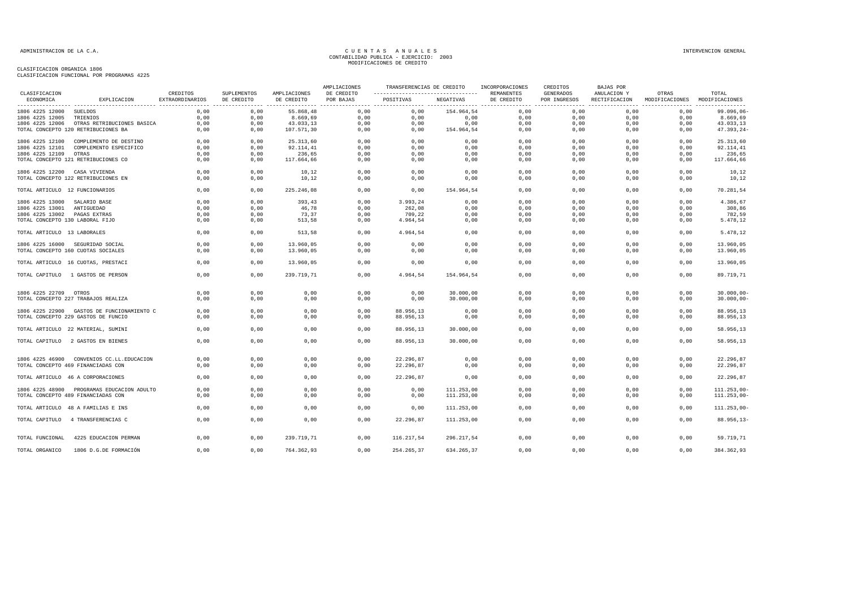| ----------------------------------<br>ECONOMICA<br>EXPLICACION<br>POSITIVAS<br>NEGATIVAS<br>POR INGRESOS<br>EXTRAORDINARIOS<br>DE CREDITO<br>DE CREDITO<br>POR BAJAS<br>DE CREDITO<br>RECTIFICACION<br>MODIFICACIONES<br>MODIFICACIONES<br>0,00<br>0,00<br>0,00<br>154.964,54<br>0,00<br>0,00<br>0,00<br>1806 4225 12000<br>SUELDOS<br>0,00<br>55.868,48<br>0,00<br>0,00<br>0,00<br>1806 4225 12005<br>TRIENIOS<br>0,00<br>0,00<br>8.669,69<br>0,00<br>0,00<br>0,00<br>0,00<br>0,00<br>8.669,69<br>0,00<br>0,00<br>0,00<br>0,00<br>0,00<br>0,00<br>43.033,13<br>1806 4225 12006 OTRAS RETRIBUCIONES BASICA<br>0,00<br>0,00<br>43.033,13<br>0,00<br>TOTAL CONCEPTO 120 RETRIBUCIONES BA<br>0,00<br>107.571,30<br>0,00<br>0,00<br>154.964,54<br>0,00<br>0,00<br>0,00<br>0,00<br>47.393,24-<br>0,00<br>0,00<br>0,00<br>0,00<br>0,00<br>0,00<br>0,00<br>0,00<br>0,00<br>1806 4225 12100 COMPLEMENTO DE DESTINO<br>25.313,60<br>0,00<br>25.313,60<br>0.00<br>0.00<br>0,00<br>92.114,41<br>0,00<br>0.00<br>0,00<br>0,00<br>0.00<br>0,00<br>92.114,41<br>1806 4225 12101<br>COMPLEMENTO ESPECIFICO<br>0,00<br>236,65<br>0,00<br>0,00<br>0,00<br>236,65<br>1806 4225 12109<br>0,00<br>0,00<br>0,00<br>0,00<br>0,00<br>OTRAS<br>0,00<br>TOTAL CONCEPTO 121 RETRIBUCIONES CO<br>0,00<br>117.664,66<br>0,00<br>0,00<br>0,00<br>0,00<br>0,00<br>117.664,66<br>0,00<br>0,00<br>1806 4225 12200 CASA VIVIENDA<br>0,00<br>0,00<br>10,12<br>0,00<br>0,00<br>0,00<br>0,00<br>0,00<br>0,00<br>0,00<br>10,12<br>TOTAL CONCEPTO 122 RETRIBUCIONES EN<br>0,00<br>0,00<br>10,12<br>0,00<br>0,00<br>0,00<br>0,00<br>0,00<br>0,00<br>0,00<br>10,12<br>TOTAL ARTICULO 12 FUNCIONARIOS<br>0,00<br>0,00<br>225.246,08<br>0.00<br>0.00<br>154.964,54<br>0,00<br>0,00<br>0.00<br>0,00<br>70.281,54<br>0.00<br>0.00<br>0.00<br>0.00<br>0.00<br>0.00<br>4.386,67<br>0.00<br>393.43<br>0.00<br>3.993.24<br>1806 4225 13000<br>SALARIO BASE<br>46,78<br>262,08<br>0,00<br>308,86<br>1806 4225 13001<br>0,00<br>0,00<br>0,00<br>0,00<br>0,00<br>0,00<br>0,00<br>ANTIGUEDAD<br>0,00<br>73,37<br>0,00<br>0,00<br>782,59<br>1806 4225 13002<br>0,00<br>0,00<br>709,22<br>0,00<br>0,00<br>0,00<br>PAGAS EXTRAS<br>TOTAL CONCEPTO 130 LABORAL FIJO<br>0,00<br>513,58<br>0,00<br>4.964,54<br>0,00<br>0,00<br>5.478,12<br>0,00<br>0,00<br>0,00<br>0,00<br>TOTAL ARTICULO 13 LABORALES<br>0,00<br>0,00<br>513,58<br>0,00<br>4.964,54<br>0,00<br>0,00<br>0,00<br>0,00<br>0,00<br>5.478,12<br>0.00<br>0.00<br>13,960,05<br>0.00<br>0.00<br>0.00<br>0.00<br>0.00<br>1806 4225 16000 SEGURIDAD SOCIAL<br>0.00<br>0.00<br>13.960.05<br>0.00<br>0,00<br>0,00<br>0,00<br>0.00<br>0.00<br>13.960,05<br>TOTAL CONCEPTO 160 CUOTAS SOCIALES<br>13.960,05<br>0,00<br>0,00<br>0,00<br>0,00<br>0,00<br>TOTAL ARTICULO 16 CUOTAS, PRESTACI<br>0,00<br>0,00<br>13.960,05<br>0,00<br>0,00<br>0,00<br>0,00<br>0,00<br>13.960,05<br>0,00<br>0,00<br>0,00<br>4.964,54<br>0,00<br>0,00<br>0,00<br>0,00<br>TOTAL CAPITULO 1 GASTOS DE PERSON<br>239.719,71<br>154.964,54<br>89.719,71<br>1806 4225 22709 OTROS<br>0,00<br>0,00<br>0,00<br>0,00<br>0,00<br>30.000,00<br>0,00<br>0,00<br>0,00<br>0,00<br>$30.000,00-$<br>TOTAL CONCEPTO 227 TRABAJOS REALIZA<br>0,00<br>0,00<br>0,00<br>0,00<br>0,00<br>30.000,00<br>0,00<br>0,00<br>0,00<br>0,00<br>0.00<br>0.00<br>0,00<br>0,00<br>88.956.13<br>0,00<br>0,00<br>0.00<br>0.00<br>0.00<br>88.956.13<br>1806 4225 22900 GASTOS DE FUNCIONAMIENTO C<br>88.956,13<br>0,00<br>88.956,13<br>TOTAL CONCEPTO 229 GASTOS DE FUNCIO<br>0,00<br>0,00<br>0,00<br>0,00<br>0,00<br>0,00<br>0,00<br>0,00<br>0,00<br>0,00<br>0,00<br>0,00<br>88.956,13<br>30.000,00<br>0,00<br>0,00<br>0,00<br>0,00<br>58.956,13<br>TOTAL ARTICULO 22 MATERIAL, SUMINI<br>0,00<br>0,00<br>0,00<br>0,00<br>0,00<br>0,00<br>0,00<br>0,00<br>58.956,13<br>TOTAL CAPITULO 2 GASTOS EN BIENES<br>88.956,13<br>30.000,00<br>0.00<br>0,00<br>0,00<br>0,00<br>22.296,87<br>0,00<br>0,00<br>0,00<br>0,00<br>22.296,87<br>1806 4225 46900 CONVENIOS CC.LL.EDUCACION<br>0,00<br>0,00<br>0.00<br>22.296.87<br>0,00<br>0.00<br>0.00<br>0.00<br>22.296,87<br>TOTAL CONCEPTO 469 FINANCIADAS CON<br>0.00<br>0,00<br>0,00<br>0,00<br>0,00<br>0,00<br>0.00<br>0.00<br>0.00<br>22.296,87<br>0,00<br>0.00<br>22.296,87<br>0,00<br>TOTAL ARTICULO 46 A CORPORACIONES<br>1806 4225 48900 PROGRAMAS EDUCACION ADULTO<br>0,00<br>0,00<br>0,00<br>0,00<br>0,00<br>111.253,00<br>0,00<br>0,00<br>0,00<br>0,00<br>TOTAL CONCEPTO 489 FINANCIADAS CON<br>0,00<br>0,00<br>0,00<br>0,00<br>0,00<br>111.253,00<br>0,00<br>0,00<br>0,00<br>0,00<br>0,00<br>0,00<br>0,00<br>0,00<br>0,00<br>111.253,00<br>0,00<br>0,00<br>0,00<br>0,00<br>TOTAL ARTICULO 48 A FAMILIAS E INS<br>0.00<br>0.00<br>0.00<br>0.00<br>0.00<br>0.00<br>0.00<br>0,00<br>22.296.87<br>111.253.00<br>TOTAL CAPITULO 4 TRANSFERENCIAS C<br>4225 EDUCACION PERMAN<br>0,00<br>0,00<br>239.719,71<br>0,00<br>0,00<br>0,00<br>0,00<br>59.719,71<br>TOTAL FUNCIONAL<br>0,00<br>116.217,54<br>296.217,54<br>1806 D.G.DE FORMACIÓN<br>0,00<br>0,00<br>0,00<br>254.265,37<br>634.265,37<br>0,00<br>0,00<br>0,00<br>0,00<br>384.362,93<br>TOTAL ORGANICO<br>764.362,93 | CLASIFICACION | CREDITOS | SUPLEMENTOS |              | AMPLIACIONES | TRANSFERENCIAS DE CREDITO | INCORPORACIONES<br>REMANENTES | CREDITOS  | <b>BAJAS POR</b><br>ANULACION Y | OTRAS | TOTAL          |
|----------------------------------------------------------------------------------------------------------------------------------------------------------------------------------------------------------------------------------------------------------------------------------------------------------------------------------------------------------------------------------------------------------------------------------------------------------------------------------------------------------------------------------------------------------------------------------------------------------------------------------------------------------------------------------------------------------------------------------------------------------------------------------------------------------------------------------------------------------------------------------------------------------------------------------------------------------------------------------------------------------------------------------------------------------------------------------------------------------------------------------------------------------------------------------------------------------------------------------------------------------------------------------------------------------------------------------------------------------------------------------------------------------------------------------------------------------------------------------------------------------------------------------------------------------------------------------------------------------------------------------------------------------------------------------------------------------------------------------------------------------------------------------------------------------------------------------------------------------------------------------------------------------------------------------------------------------------------------------------------------------------------------------------------------------------------------------------------------------------------------------------------------------------------------------------------------------------------------------------------------------------------------------------------------------------------------------------------------------------------------------------------------------------------------------------------------------------------------------------------------------------------------------------------------------------------------------------------------------------------------------------------------------------------------------------------------------------------------------------------------------------------------------------------------------------------------------------------------------------------------------------------------------------------------------------------------------------------------------------------------------------------------------------------------------------------------------------------------------------------------------------------------------------------------------------------------------------------------------------------------------------------------------------------------------------------------------------------------------------------------------------------------------------------------------------------------------------------------------------------------------------------------------------------------------------------------------------------------------------------------------------------------------------------------------------------------------------------------------------------------------------------------------------------------------------------------------------------------------------------------------------------------------------------------------------------------------------------------------------------------------------------------------------------------------------------------------------------------------------------------------------------------------------------------------------------------------------------------------------------------------------------------------------------------------------------------------------------------------------------------------------------------------------------------------------------------------------------------------------------------------------------------------------------------------------------------------------------------------------------------------------------------------------------------------------------------------------------------------------------------------------------------------------------------------------------------------------------------------------------------------------------------------------------------------------------------------------------------------------------------------------------------------------------------------------------------------------------------------------------------------------------------|---------------|----------|-------------|--------------|--------------|---------------------------|-------------------------------|-----------|---------------------------------|-------|----------------|
|                                                                                                                                                                                                                                                                                                                                                                                                                                                                                                                                                                                                                                                                                                                                                                                                                                                                                                                                                                                                                                                                                                                                                                                                                                                                                                                                                                                                                                                                                                                                                                                                                                                                                                                                                                                                                                                                                                                                                                                                                                                                                                                                                                                                                                                                                                                                                                                                                                                                                                                                                                                                                                                                                                                                                                                                                                                                                                                                                                                                                                                                                                                                                                                                                                                                                                                                                                                                                                                                                                                                                                                                                                                                                                                                                                                                                                                                                                                                                                                                                                                                                                                                                                                                                                                                                                                                                                                                                                                                                                                                                                                                                                                                                                                                                                                                                                                                                                                                                                                                                                                                                                                                                    |               |          |             | AMPLIACIONES | DE CREDITO   |                           |                               | GENERADOS |                                 |       |                |
|                                                                                                                                                                                                                                                                                                                                                                                                                                                                                                                                                                                                                                                                                                                                                                                                                                                                                                                                                                                                                                                                                                                                                                                                                                                                                                                                                                                                                                                                                                                                                                                                                                                                                                                                                                                                                                                                                                                                                                                                                                                                                                                                                                                                                                                                                                                                                                                                                                                                                                                                                                                                                                                                                                                                                                                                                                                                                                                                                                                                                                                                                                                                                                                                                                                                                                                                                                                                                                                                                                                                                                                                                                                                                                                                                                                                                                                                                                                                                                                                                                                                                                                                                                                                                                                                                                                                                                                                                                                                                                                                                                                                                                                                                                                                                                                                                                                                                                                                                                                                                                                                                                                                                    |               |          |             |              |              |                           |                               |           |                                 |       | 99.096,06-     |
|                                                                                                                                                                                                                                                                                                                                                                                                                                                                                                                                                                                                                                                                                                                                                                                                                                                                                                                                                                                                                                                                                                                                                                                                                                                                                                                                                                                                                                                                                                                                                                                                                                                                                                                                                                                                                                                                                                                                                                                                                                                                                                                                                                                                                                                                                                                                                                                                                                                                                                                                                                                                                                                                                                                                                                                                                                                                                                                                                                                                                                                                                                                                                                                                                                                                                                                                                                                                                                                                                                                                                                                                                                                                                                                                                                                                                                                                                                                                                                                                                                                                                                                                                                                                                                                                                                                                                                                                                                                                                                                                                                                                                                                                                                                                                                                                                                                                                                                                                                                                                                                                                                                                                    |               |          |             |              |              |                           |                               |           |                                 |       |                |
|                                                                                                                                                                                                                                                                                                                                                                                                                                                                                                                                                                                                                                                                                                                                                                                                                                                                                                                                                                                                                                                                                                                                                                                                                                                                                                                                                                                                                                                                                                                                                                                                                                                                                                                                                                                                                                                                                                                                                                                                                                                                                                                                                                                                                                                                                                                                                                                                                                                                                                                                                                                                                                                                                                                                                                                                                                                                                                                                                                                                                                                                                                                                                                                                                                                                                                                                                                                                                                                                                                                                                                                                                                                                                                                                                                                                                                                                                                                                                                                                                                                                                                                                                                                                                                                                                                                                                                                                                                                                                                                                                                                                                                                                                                                                                                                                                                                                                                                                                                                                                                                                                                                                                    |               |          |             |              |              |                           |                               |           |                                 |       |                |
|                                                                                                                                                                                                                                                                                                                                                                                                                                                                                                                                                                                                                                                                                                                                                                                                                                                                                                                                                                                                                                                                                                                                                                                                                                                                                                                                                                                                                                                                                                                                                                                                                                                                                                                                                                                                                                                                                                                                                                                                                                                                                                                                                                                                                                                                                                                                                                                                                                                                                                                                                                                                                                                                                                                                                                                                                                                                                                                                                                                                                                                                                                                                                                                                                                                                                                                                                                                                                                                                                                                                                                                                                                                                                                                                                                                                                                                                                                                                                                                                                                                                                                                                                                                                                                                                                                                                                                                                                                                                                                                                                                                                                                                                                                                                                                                                                                                                                                                                                                                                                                                                                                                                                    |               |          |             |              |              |                           |                               |           |                                 |       |                |
|                                                                                                                                                                                                                                                                                                                                                                                                                                                                                                                                                                                                                                                                                                                                                                                                                                                                                                                                                                                                                                                                                                                                                                                                                                                                                                                                                                                                                                                                                                                                                                                                                                                                                                                                                                                                                                                                                                                                                                                                                                                                                                                                                                                                                                                                                                                                                                                                                                                                                                                                                                                                                                                                                                                                                                                                                                                                                                                                                                                                                                                                                                                                                                                                                                                                                                                                                                                                                                                                                                                                                                                                                                                                                                                                                                                                                                                                                                                                                                                                                                                                                                                                                                                                                                                                                                                                                                                                                                                                                                                                                                                                                                                                                                                                                                                                                                                                                                                                                                                                                                                                                                                                                    |               |          |             |              |              |                           |                               |           |                                 |       |                |
|                                                                                                                                                                                                                                                                                                                                                                                                                                                                                                                                                                                                                                                                                                                                                                                                                                                                                                                                                                                                                                                                                                                                                                                                                                                                                                                                                                                                                                                                                                                                                                                                                                                                                                                                                                                                                                                                                                                                                                                                                                                                                                                                                                                                                                                                                                                                                                                                                                                                                                                                                                                                                                                                                                                                                                                                                                                                                                                                                                                                                                                                                                                                                                                                                                                                                                                                                                                                                                                                                                                                                                                                                                                                                                                                                                                                                                                                                                                                                                                                                                                                                                                                                                                                                                                                                                                                                                                                                                                                                                                                                                                                                                                                                                                                                                                                                                                                                                                                                                                                                                                                                                                                                    |               |          |             |              |              |                           |                               |           |                                 |       |                |
|                                                                                                                                                                                                                                                                                                                                                                                                                                                                                                                                                                                                                                                                                                                                                                                                                                                                                                                                                                                                                                                                                                                                                                                                                                                                                                                                                                                                                                                                                                                                                                                                                                                                                                                                                                                                                                                                                                                                                                                                                                                                                                                                                                                                                                                                                                                                                                                                                                                                                                                                                                                                                                                                                                                                                                                                                                                                                                                                                                                                                                                                                                                                                                                                                                                                                                                                                                                                                                                                                                                                                                                                                                                                                                                                                                                                                                                                                                                                                                                                                                                                                                                                                                                                                                                                                                                                                                                                                                                                                                                                                                                                                                                                                                                                                                                                                                                                                                                                                                                                                                                                                                                                                    |               |          |             |              |              |                           |                               |           |                                 |       |                |
|                                                                                                                                                                                                                                                                                                                                                                                                                                                                                                                                                                                                                                                                                                                                                                                                                                                                                                                                                                                                                                                                                                                                                                                                                                                                                                                                                                                                                                                                                                                                                                                                                                                                                                                                                                                                                                                                                                                                                                                                                                                                                                                                                                                                                                                                                                                                                                                                                                                                                                                                                                                                                                                                                                                                                                                                                                                                                                                                                                                                                                                                                                                                                                                                                                                                                                                                                                                                                                                                                                                                                                                                                                                                                                                                                                                                                                                                                                                                                                                                                                                                                                                                                                                                                                                                                                                                                                                                                                                                                                                                                                                                                                                                                                                                                                                                                                                                                                                                                                                                                                                                                                                                                    |               |          |             |              |              |                           |                               |           |                                 |       |                |
|                                                                                                                                                                                                                                                                                                                                                                                                                                                                                                                                                                                                                                                                                                                                                                                                                                                                                                                                                                                                                                                                                                                                                                                                                                                                                                                                                                                                                                                                                                                                                                                                                                                                                                                                                                                                                                                                                                                                                                                                                                                                                                                                                                                                                                                                                                                                                                                                                                                                                                                                                                                                                                                                                                                                                                                                                                                                                                                                                                                                                                                                                                                                                                                                                                                                                                                                                                                                                                                                                                                                                                                                                                                                                                                                                                                                                                                                                                                                                                                                                                                                                                                                                                                                                                                                                                                                                                                                                                                                                                                                                                                                                                                                                                                                                                                                                                                                                                                                                                                                                                                                                                                                                    |               |          |             |              |              |                           |                               |           |                                 |       |                |
|                                                                                                                                                                                                                                                                                                                                                                                                                                                                                                                                                                                                                                                                                                                                                                                                                                                                                                                                                                                                                                                                                                                                                                                                                                                                                                                                                                                                                                                                                                                                                                                                                                                                                                                                                                                                                                                                                                                                                                                                                                                                                                                                                                                                                                                                                                                                                                                                                                                                                                                                                                                                                                                                                                                                                                                                                                                                                                                                                                                                                                                                                                                                                                                                                                                                                                                                                                                                                                                                                                                                                                                                                                                                                                                                                                                                                                                                                                                                                                                                                                                                                                                                                                                                                                                                                                                                                                                                                                                                                                                                                                                                                                                                                                                                                                                                                                                                                                                                                                                                                                                                                                                                                    |               |          |             |              |              |                           |                               |           |                                 |       |                |
|                                                                                                                                                                                                                                                                                                                                                                                                                                                                                                                                                                                                                                                                                                                                                                                                                                                                                                                                                                                                                                                                                                                                                                                                                                                                                                                                                                                                                                                                                                                                                                                                                                                                                                                                                                                                                                                                                                                                                                                                                                                                                                                                                                                                                                                                                                                                                                                                                                                                                                                                                                                                                                                                                                                                                                                                                                                                                                                                                                                                                                                                                                                                                                                                                                                                                                                                                                                                                                                                                                                                                                                                                                                                                                                                                                                                                                                                                                                                                                                                                                                                                                                                                                                                                                                                                                                                                                                                                                                                                                                                                                                                                                                                                                                                                                                                                                                                                                                                                                                                                                                                                                                                                    |               |          |             |              |              |                           |                               |           |                                 |       |                |
|                                                                                                                                                                                                                                                                                                                                                                                                                                                                                                                                                                                                                                                                                                                                                                                                                                                                                                                                                                                                                                                                                                                                                                                                                                                                                                                                                                                                                                                                                                                                                                                                                                                                                                                                                                                                                                                                                                                                                                                                                                                                                                                                                                                                                                                                                                                                                                                                                                                                                                                                                                                                                                                                                                                                                                                                                                                                                                                                                                                                                                                                                                                                                                                                                                                                                                                                                                                                                                                                                                                                                                                                                                                                                                                                                                                                                                                                                                                                                                                                                                                                                                                                                                                                                                                                                                                                                                                                                                                                                                                                                                                                                                                                                                                                                                                                                                                                                                                                                                                                                                                                                                                                                    |               |          |             |              |              |                           |                               |           |                                 |       |                |
|                                                                                                                                                                                                                                                                                                                                                                                                                                                                                                                                                                                                                                                                                                                                                                                                                                                                                                                                                                                                                                                                                                                                                                                                                                                                                                                                                                                                                                                                                                                                                                                                                                                                                                                                                                                                                                                                                                                                                                                                                                                                                                                                                                                                                                                                                                                                                                                                                                                                                                                                                                                                                                                                                                                                                                                                                                                                                                                                                                                                                                                                                                                                                                                                                                                                                                                                                                                                                                                                                                                                                                                                                                                                                                                                                                                                                                                                                                                                                                                                                                                                                                                                                                                                                                                                                                                                                                                                                                                                                                                                                                                                                                                                                                                                                                                                                                                                                                                                                                                                                                                                                                                                                    |               |          |             |              |              |                           |                               |           |                                 |       |                |
|                                                                                                                                                                                                                                                                                                                                                                                                                                                                                                                                                                                                                                                                                                                                                                                                                                                                                                                                                                                                                                                                                                                                                                                                                                                                                                                                                                                                                                                                                                                                                                                                                                                                                                                                                                                                                                                                                                                                                                                                                                                                                                                                                                                                                                                                                                                                                                                                                                                                                                                                                                                                                                                                                                                                                                                                                                                                                                                                                                                                                                                                                                                                                                                                                                                                                                                                                                                                                                                                                                                                                                                                                                                                                                                                                                                                                                                                                                                                                                                                                                                                                                                                                                                                                                                                                                                                                                                                                                                                                                                                                                                                                                                                                                                                                                                                                                                                                                                                                                                                                                                                                                                                                    |               |          |             |              |              |                           |                               |           |                                 |       |                |
|                                                                                                                                                                                                                                                                                                                                                                                                                                                                                                                                                                                                                                                                                                                                                                                                                                                                                                                                                                                                                                                                                                                                                                                                                                                                                                                                                                                                                                                                                                                                                                                                                                                                                                                                                                                                                                                                                                                                                                                                                                                                                                                                                                                                                                                                                                                                                                                                                                                                                                                                                                                                                                                                                                                                                                                                                                                                                                                                                                                                                                                                                                                                                                                                                                                                                                                                                                                                                                                                                                                                                                                                                                                                                                                                                                                                                                                                                                                                                                                                                                                                                                                                                                                                                                                                                                                                                                                                                                                                                                                                                                                                                                                                                                                                                                                                                                                                                                                                                                                                                                                                                                                                                    |               |          |             |              |              |                           |                               |           |                                 |       |                |
|                                                                                                                                                                                                                                                                                                                                                                                                                                                                                                                                                                                                                                                                                                                                                                                                                                                                                                                                                                                                                                                                                                                                                                                                                                                                                                                                                                                                                                                                                                                                                                                                                                                                                                                                                                                                                                                                                                                                                                                                                                                                                                                                                                                                                                                                                                                                                                                                                                                                                                                                                                                                                                                                                                                                                                                                                                                                                                                                                                                                                                                                                                                                                                                                                                                                                                                                                                                                                                                                                                                                                                                                                                                                                                                                                                                                                                                                                                                                                                                                                                                                                                                                                                                                                                                                                                                                                                                                                                                                                                                                                                                                                                                                                                                                                                                                                                                                                                                                                                                                                                                                                                                                                    |               |          |             |              |              |                           |                               |           |                                 |       |                |
|                                                                                                                                                                                                                                                                                                                                                                                                                                                                                                                                                                                                                                                                                                                                                                                                                                                                                                                                                                                                                                                                                                                                                                                                                                                                                                                                                                                                                                                                                                                                                                                                                                                                                                                                                                                                                                                                                                                                                                                                                                                                                                                                                                                                                                                                                                                                                                                                                                                                                                                                                                                                                                                                                                                                                                                                                                                                                                                                                                                                                                                                                                                                                                                                                                                                                                                                                                                                                                                                                                                                                                                                                                                                                                                                                                                                                                                                                                                                                                                                                                                                                                                                                                                                                                                                                                                                                                                                                                                                                                                                                                                                                                                                                                                                                                                                                                                                                                                                                                                                                                                                                                                                                    |               |          |             |              |              |                           |                               |           |                                 |       |                |
|                                                                                                                                                                                                                                                                                                                                                                                                                                                                                                                                                                                                                                                                                                                                                                                                                                                                                                                                                                                                                                                                                                                                                                                                                                                                                                                                                                                                                                                                                                                                                                                                                                                                                                                                                                                                                                                                                                                                                                                                                                                                                                                                                                                                                                                                                                                                                                                                                                                                                                                                                                                                                                                                                                                                                                                                                                                                                                                                                                                                                                                                                                                                                                                                                                                                                                                                                                                                                                                                                                                                                                                                                                                                                                                                                                                                                                                                                                                                                                                                                                                                                                                                                                                                                                                                                                                                                                                                                                                                                                                                                                                                                                                                                                                                                                                                                                                                                                                                                                                                                                                                                                                                                    |               |          |             |              |              |                           |                               |           |                                 |       |                |
|                                                                                                                                                                                                                                                                                                                                                                                                                                                                                                                                                                                                                                                                                                                                                                                                                                                                                                                                                                                                                                                                                                                                                                                                                                                                                                                                                                                                                                                                                                                                                                                                                                                                                                                                                                                                                                                                                                                                                                                                                                                                                                                                                                                                                                                                                                                                                                                                                                                                                                                                                                                                                                                                                                                                                                                                                                                                                                                                                                                                                                                                                                                                                                                                                                                                                                                                                                                                                                                                                                                                                                                                                                                                                                                                                                                                                                                                                                                                                                                                                                                                                                                                                                                                                                                                                                                                                                                                                                                                                                                                                                                                                                                                                                                                                                                                                                                                                                                                                                                                                                                                                                                                                    |               |          |             |              |              |                           |                               |           |                                 |       |                |
|                                                                                                                                                                                                                                                                                                                                                                                                                                                                                                                                                                                                                                                                                                                                                                                                                                                                                                                                                                                                                                                                                                                                                                                                                                                                                                                                                                                                                                                                                                                                                                                                                                                                                                                                                                                                                                                                                                                                                                                                                                                                                                                                                                                                                                                                                                                                                                                                                                                                                                                                                                                                                                                                                                                                                                                                                                                                                                                                                                                                                                                                                                                                                                                                                                                                                                                                                                                                                                                                                                                                                                                                                                                                                                                                                                                                                                                                                                                                                                                                                                                                                                                                                                                                                                                                                                                                                                                                                                                                                                                                                                                                                                                                                                                                                                                                                                                                                                                                                                                                                                                                                                                                                    |               |          |             |              |              |                           |                               |           |                                 |       |                |
|                                                                                                                                                                                                                                                                                                                                                                                                                                                                                                                                                                                                                                                                                                                                                                                                                                                                                                                                                                                                                                                                                                                                                                                                                                                                                                                                                                                                                                                                                                                                                                                                                                                                                                                                                                                                                                                                                                                                                                                                                                                                                                                                                                                                                                                                                                                                                                                                                                                                                                                                                                                                                                                                                                                                                                                                                                                                                                                                                                                                                                                                                                                                                                                                                                                                                                                                                                                                                                                                                                                                                                                                                                                                                                                                                                                                                                                                                                                                                                                                                                                                                                                                                                                                                                                                                                                                                                                                                                                                                                                                                                                                                                                                                                                                                                                                                                                                                                                                                                                                                                                                                                                                                    |               |          |             |              |              |                           |                               |           |                                 |       |                |
|                                                                                                                                                                                                                                                                                                                                                                                                                                                                                                                                                                                                                                                                                                                                                                                                                                                                                                                                                                                                                                                                                                                                                                                                                                                                                                                                                                                                                                                                                                                                                                                                                                                                                                                                                                                                                                                                                                                                                                                                                                                                                                                                                                                                                                                                                                                                                                                                                                                                                                                                                                                                                                                                                                                                                                                                                                                                                                                                                                                                                                                                                                                                                                                                                                                                                                                                                                                                                                                                                                                                                                                                                                                                                                                                                                                                                                                                                                                                                                                                                                                                                                                                                                                                                                                                                                                                                                                                                                                                                                                                                                                                                                                                                                                                                                                                                                                                                                                                                                                                                                                                                                                                                    |               |          |             |              |              |                           |                               |           |                                 |       | $30.000,00-$   |
|                                                                                                                                                                                                                                                                                                                                                                                                                                                                                                                                                                                                                                                                                                                                                                                                                                                                                                                                                                                                                                                                                                                                                                                                                                                                                                                                                                                                                                                                                                                                                                                                                                                                                                                                                                                                                                                                                                                                                                                                                                                                                                                                                                                                                                                                                                                                                                                                                                                                                                                                                                                                                                                                                                                                                                                                                                                                                                                                                                                                                                                                                                                                                                                                                                                                                                                                                                                                                                                                                                                                                                                                                                                                                                                                                                                                                                                                                                                                                                                                                                                                                                                                                                                                                                                                                                                                                                                                                                                                                                                                                                                                                                                                                                                                                                                                                                                                                                                                                                                                                                                                                                                                                    |               |          |             |              |              |                           |                               |           |                                 |       |                |
|                                                                                                                                                                                                                                                                                                                                                                                                                                                                                                                                                                                                                                                                                                                                                                                                                                                                                                                                                                                                                                                                                                                                                                                                                                                                                                                                                                                                                                                                                                                                                                                                                                                                                                                                                                                                                                                                                                                                                                                                                                                                                                                                                                                                                                                                                                                                                                                                                                                                                                                                                                                                                                                                                                                                                                                                                                                                                                                                                                                                                                                                                                                                                                                                                                                                                                                                                                                                                                                                                                                                                                                                                                                                                                                                                                                                                                                                                                                                                                                                                                                                                                                                                                                                                                                                                                                                                                                                                                                                                                                                                                                                                                                                                                                                                                                                                                                                                                                                                                                                                                                                                                                                                    |               |          |             |              |              |                           |                               |           |                                 |       |                |
|                                                                                                                                                                                                                                                                                                                                                                                                                                                                                                                                                                                                                                                                                                                                                                                                                                                                                                                                                                                                                                                                                                                                                                                                                                                                                                                                                                                                                                                                                                                                                                                                                                                                                                                                                                                                                                                                                                                                                                                                                                                                                                                                                                                                                                                                                                                                                                                                                                                                                                                                                                                                                                                                                                                                                                                                                                                                                                                                                                                                                                                                                                                                                                                                                                                                                                                                                                                                                                                                                                                                                                                                                                                                                                                                                                                                                                                                                                                                                                                                                                                                                                                                                                                                                                                                                                                                                                                                                                                                                                                                                                                                                                                                                                                                                                                                                                                                                                                                                                                                                                                                                                                                                    |               |          |             |              |              |                           |                               |           |                                 |       |                |
|                                                                                                                                                                                                                                                                                                                                                                                                                                                                                                                                                                                                                                                                                                                                                                                                                                                                                                                                                                                                                                                                                                                                                                                                                                                                                                                                                                                                                                                                                                                                                                                                                                                                                                                                                                                                                                                                                                                                                                                                                                                                                                                                                                                                                                                                                                                                                                                                                                                                                                                                                                                                                                                                                                                                                                                                                                                                                                                                                                                                                                                                                                                                                                                                                                                                                                                                                                                                                                                                                                                                                                                                                                                                                                                                                                                                                                                                                                                                                                                                                                                                                                                                                                                                                                                                                                                                                                                                                                                                                                                                                                                                                                                                                                                                                                                                                                                                                                                                                                                                                                                                                                                                                    |               |          |             |              |              |                           |                               |           |                                 |       |                |
|                                                                                                                                                                                                                                                                                                                                                                                                                                                                                                                                                                                                                                                                                                                                                                                                                                                                                                                                                                                                                                                                                                                                                                                                                                                                                                                                                                                                                                                                                                                                                                                                                                                                                                                                                                                                                                                                                                                                                                                                                                                                                                                                                                                                                                                                                                                                                                                                                                                                                                                                                                                                                                                                                                                                                                                                                                                                                                                                                                                                                                                                                                                                                                                                                                                                                                                                                                                                                                                                                                                                                                                                                                                                                                                                                                                                                                                                                                                                                                                                                                                                                                                                                                                                                                                                                                                                                                                                                                                                                                                                                                                                                                                                                                                                                                                                                                                                                                                                                                                                                                                                                                                                                    |               |          |             |              |              |                           |                               |           |                                 |       |                |
|                                                                                                                                                                                                                                                                                                                                                                                                                                                                                                                                                                                                                                                                                                                                                                                                                                                                                                                                                                                                                                                                                                                                                                                                                                                                                                                                                                                                                                                                                                                                                                                                                                                                                                                                                                                                                                                                                                                                                                                                                                                                                                                                                                                                                                                                                                                                                                                                                                                                                                                                                                                                                                                                                                                                                                                                                                                                                                                                                                                                                                                                                                                                                                                                                                                                                                                                                                                                                                                                                                                                                                                                                                                                                                                                                                                                                                                                                                                                                                                                                                                                                                                                                                                                                                                                                                                                                                                                                                                                                                                                                                                                                                                                                                                                                                                                                                                                                                                                                                                                                                                                                                                                                    |               |          |             |              |              |                           |                               |           |                                 |       |                |
|                                                                                                                                                                                                                                                                                                                                                                                                                                                                                                                                                                                                                                                                                                                                                                                                                                                                                                                                                                                                                                                                                                                                                                                                                                                                                                                                                                                                                                                                                                                                                                                                                                                                                                                                                                                                                                                                                                                                                                                                                                                                                                                                                                                                                                                                                                                                                                                                                                                                                                                                                                                                                                                                                                                                                                                                                                                                                                                                                                                                                                                                                                                                                                                                                                                                                                                                                                                                                                                                                                                                                                                                                                                                                                                                                                                                                                                                                                                                                                                                                                                                                                                                                                                                                                                                                                                                                                                                                                                                                                                                                                                                                                                                                                                                                                                                                                                                                                                                                                                                                                                                                                                                                    |               |          |             |              |              |                           |                               |           |                                 |       |                |
|                                                                                                                                                                                                                                                                                                                                                                                                                                                                                                                                                                                                                                                                                                                                                                                                                                                                                                                                                                                                                                                                                                                                                                                                                                                                                                                                                                                                                                                                                                                                                                                                                                                                                                                                                                                                                                                                                                                                                                                                                                                                                                                                                                                                                                                                                                                                                                                                                                                                                                                                                                                                                                                                                                                                                                                                                                                                                                                                                                                                                                                                                                                                                                                                                                                                                                                                                                                                                                                                                                                                                                                                                                                                                                                                                                                                                                                                                                                                                                                                                                                                                                                                                                                                                                                                                                                                                                                                                                                                                                                                                                                                                                                                                                                                                                                                                                                                                                                                                                                                                                                                                                                                                    |               |          |             |              |              |                           |                               |           |                                 |       |                |
|                                                                                                                                                                                                                                                                                                                                                                                                                                                                                                                                                                                                                                                                                                                                                                                                                                                                                                                                                                                                                                                                                                                                                                                                                                                                                                                                                                                                                                                                                                                                                                                                                                                                                                                                                                                                                                                                                                                                                                                                                                                                                                                                                                                                                                                                                                                                                                                                                                                                                                                                                                                                                                                                                                                                                                                                                                                                                                                                                                                                                                                                                                                                                                                                                                                                                                                                                                                                                                                                                                                                                                                                                                                                                                                                                                                                                                                                                                                                                                                                                                                                                                                                                                                                                                                                                                                                                                                                                                                                                                                                                                                                                                                                                                                                                                                                                                                                                                                                                                                                                                                                                                                                                    |               |          |             |              |              |                           |                               |           |                                 |       | $111.253.00 -$ |
|                                                                                                                                                                                                                                                                                                                                                                                                                                                                                                                                                                                                                                                                                                                                                                                                                                                                                                                                                                                                                                                                                                                                                                                                                                                                                                                                                                                                                                                                                                                                                                                                                                                                                                                                                                                                                                                                                                                                                                                                                                                                                                                                                                                                                                                                                                                                                                                                                                                                                                                                                                                                                                                                                                                                                                                                                                                                                                                                                                                                                                                                                                                                                                                                                                                                                                                                                                                                                                                                                                                                                                                                                                                                                                                                                                                                                                                                                                                                                                                                                                                                                                                                                                                                                                                                                                                                                                                                                                                                                                                                                                                                                                                                                                                                                                                                                                                                                                                                                                                                                                                                                                                                                    |               |          |             |              |              |                           |                               |           |                                 |       | $111.253.00 -$ |
|                                                                                                                                                                                                                                                                                                                                                                                                                                                                                                                                                                                                                                                                                                                                                                                                                                                                                                                                                                                                                                                                                                                                                                                                                                                                                                                                                                                                                                                                                                                                                                                                                                                                                                                                                                                                                                                                                                                                                                                                                                                                                                                                                                                                                                                                                                                                                                                                                                                                                                                                                                                                                                                                                                                                                                                                                                                                                                                                                                                                                                                                                                                                                                                                                                                                                                                                                                                                                                                                                                                                                                                                                                                                                                                                                                                                                                                                                                                                                                                                                                                                                                                                                                                                                                                                                                                                                                                                                                                                                                                                                                                                                                                                                                                                                                                                                                                                                                                                                                                                                                                                                                                                                    |               |          |             |              |              |                           |                               |           |                                 |       | $111.253.00 -$ |
|                                                                                                                                                                                                                                                                                                                                                                                                                                                                                                                                                                                                                                                                                                                                                                                                                                                                                                                                                                                                                                                                                                                                                                                                                                                                                                                                                                                                                                                                                                                                                                                                                                                                                                                                                                                                                                                                                                                                                                                                                                                                                                                                                                                                                                                                                                                                                                                                                                                                                                                                                                                                                                                                                                                                                                                                                                                                                                                                                                                                                                                                                                                                                                                                                                                                                                                                                                                                                                                                                                                                                                                                                                                                                                                                                                                                                                                                                                                                                                                                                                                                                                                                                                                                                                                                                                                                                                                                                                                                                                                                                                                                                                                                                                                                                                                                                                                                                                                                                                                                                                                                                                                                                    |               |          |             |              |              |                           |                               |           |                                 |       | 88.956,13-     |
|                                                                                                                                                                                                                                                                                                                                                                                                                                                                                                                                                                                                                                                                                                                                                                                                                                                                                                                                                                                                                                                                                                                                                                                                                                                                                                                                                                                                                                                                                                                                                                                                                                                                                                                                                                                                                                                                                                                                                                                                                                                                                                                                                                                                                                                                                                                                                                                                                                                                                                                                                                                                                                                                                                                                                                                                                                                                                                                                                                                                                                                                                                                                                                                                                                                                                                                                                                                                                                                                                                                                                                                                                                                                                                                                                                                                                                                                                                                                                                                                                                                                                                                                                                                                                                                                                                                                                                                                                                                                                                                                                                                                                                                                                                                                                                                                                                                                                                                                                                                                                                                                                                                                                    |               |          |             |              |              |                           |                               |           |                                 |       |                |
|                                                                                                                                                                                                                                                                                                                                                                                                                                                                                                                                                                                                                                                                                                                                                                                                                                                                                                                                                                                                                                                                                                                                                                                                                                                                                                                                                                                                                                                                                                                                                                                                                                                                                                                                                                                                                                                                                                                                                                                                                                                                                                                                                                                                                                                                                                                                                                                                                                                                                                                                                                                                                                                                                                                                                                                                                                                                                                                                                                                                                                                                                                                                                                                                                                                                                                                                                                                                                                                                                                                                                                                                                                                                                                                                                                                                                                                                                                                                                                                                                                                                                                                                                                                                                                                                                                                                                                                                                                                                                                                                                                                                                                                                                                                                                                                                                                                                                                                                                                                                                                                                                                                                                    |               |          |             |              |              |                           |                               |           |                                 |       |                |
|                                                                                                                                                                                                                                                                                                                                                                                                                                                                                                                                                                                                                                                                                                                                                                                                                                                                                                                                                                                                                                                                                                                                                                                                                                                                                                                                                                                                                                                                                                                                                                                                                                                                                                                                                                                                                                                                                                                                                                                                                                                                                                                                                                                                                                                                                                                                                                                                                                                                                                                                                                                                                                                                                                                                                                                                                                                                                                                                                                                                                                                                                                                                                                                                                                                                                                                                                                                                                                                                                                                                                                                                                                                                                                                                                                                                                                                                                                                                                                                                                                                                                                                                                                                                                                                                                                                                                                                                                                                                                                                                                                                                                                                                                                                                                                                                                                                                                                                                                                                                                                                                                                                                                    |               |          |             |              |              |                           |                               |           |                                 |       |                |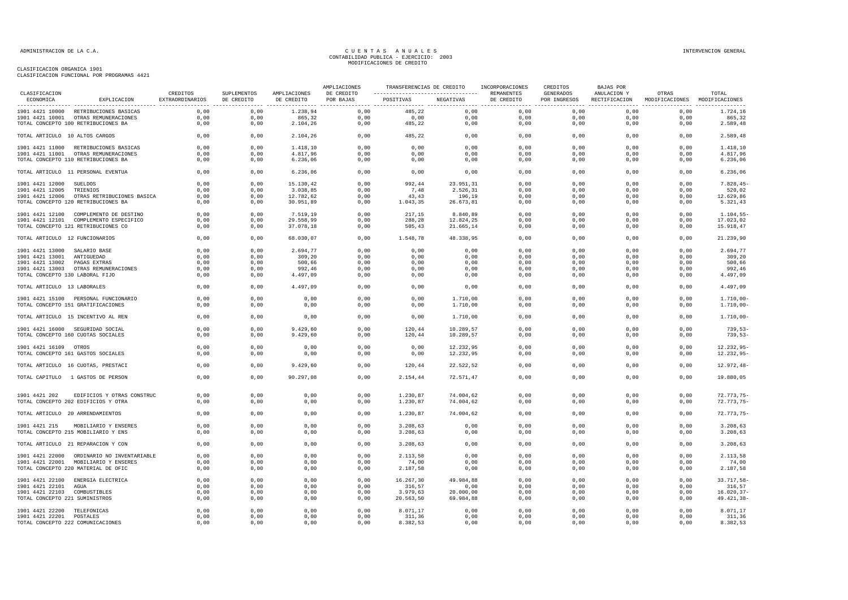| CLASIFICACION                   |                                            | CREDITOS        | SUPLEMENTOS | AMPLIACIONES | AMPLIACIONES<br>DE CREDITO | ---------------------------------  REMANENTES | TRANSFERENCIAS DE CREDITO INCORPORACIONES |            | CREDITOS<br>GENERADOS | <b>BAJAS POR</b><br>ANULACION Y | OTRAS                                       | TOTAL          |
|---------------------------------|--------------------------------------------|-----------------|-------------|--------------|----------------------------|-----------------------------------------------|-------------------------------------------|------------|-----------------------|---------------------------------|---------------------------------------------|----------------|
| ECONOMICA                       | EXPLICACION                                | EXTRAORDINARIOS | DE CREDITO  | DE CREDITO   | POR BAJAS                  | POSITIVAS NEGATIVAS                           |                                           | DE CREDITO | POR INGRESOS          |                                 | RECTIFICACION MODIFICACIONES MODIFICACIONES |                |
|                                 | 1901 4421 10000 RETRIBUCIONES BASICAS      | 0.00            | 0.00        | 1.238.94     | 0.00                       | 485.22                                        | 0.00                                      | 0.00       | 0.00                  | 0.00                            | 0.00                                        | 1.724,16       |
|                                 | 1901 4421 10001 OTRAS REMUNERACIONES       | 0,00            | 0,00        | 865,32       | 0,00                       | 0,00                                          | 0.00                                      | 0.00       | 0,00                  | 0.00                            | 0.00                                        | 865,32         |
|                                 | TOTAL CONCEPTO 100 RETRIBUCIONES BA        | 0,00            | 0,00        | 2.104,26     | 0,00                       | 485,22                                        | 0,00                                      | 0,00       | 0,00                  | 0,00                            | 0,00                                        | 2.589,48       |
| TOTAL ARTICULO 10 ALTOS CARGOS  |                                            | 0,00            | 0,00        | 2.104,26     | 0,00                       | 485,22                                        | 0,00                                      | 0,00       | 0,00                  | 0,00                            | 0,00                                        | 2.589,48       |
|                                 | 1901 4421 11000 RETRIBUCIONES BASICAS      | 0,00            | 0,00        | 1.418,10     | 0,00                       | 0,00                                          | 0,00                                      | 0,00       | 0,00                  | 0,00                            | 0,00                                        | 1.418,10       |
|                                 | 1901 4421 11001 OTRAS REMUNERACIONES       | 0,00            | 0,00        | 4.817,96     | 0,00                       | 0,00                                          | 0,00                                      | 0,00       | 0,00                  | 0,00                            | 0,00                                        | 4.817,96       |
|                                 | TOTAL CONCEPTO 110 RETRIBUCIONES BA        | 0,00            | 0,00        | 6.236,06     | 0,00                       | 0,00                                          | 0,00                                      | 0,00       | 0,00                  | 0,00                            | 0,00                                        | 6.236,06       |
|                                 | TOTAL ARTICULO 11 PERSONAL EVENTUA         | 0,00            | 0,00        | 6.236,06     | 0,00                       | 0,00                                          | 0,00                                      | 0,00       | 0,00                  | 0,00                            | 0,00                                        | 6.236,06       |
| 1901 4421 12000 SUELDOS         |                                            | 0,00            | 0,00        | 15.130,42    | 0,00                       | 992,44                                        | 23.951,31                                 | 0,00       | 0,00                  | 0,00                            | 0.00                                        | $7.828, 45-$   |
| 1901 4421 12005 TRIENIOS        |                                            | 0,00            | 0,00        | 3.038,85     | 0,00                       | 7,48                                          | 2.526,31                                  | 0,00       | 0,00                  | 0,00                            | 0,00                                        | 520,02         |
| 1901 4421 12006                 | OTRAS RETRIBUCIONES BASICA                 | 0,00            | 0,00        | 12.782,62    | 0,00                       | 43,43                                         | 196,19                                    | 0,00       | 0,00                  | 0,00                            | 0,00                                        | 12.629,86      |
|                                 | TOTAL CONCEPTO 120 RETRIBUCIONES BA        | 0,00            | 0,00        | 30.951,89    | 0,00                       | 1.043,35                                      | 26.673,81                                 | 0,00       | 0,00                  | 0,00                            | 0,00                                        | 5.321,43       |
|                                 | 1901 4421 12100 COMPLEMENTO DE DESTINO     | 0,00            | 0,00        | 7.519,19     | 0,00                       | 217,15                                        | 8.840,89                                  | 0,00       | 0,00                  | 0,00                            | 0,00                                        | 1.104, 55      |
|                                 | 1901 4421 12101 COMPLEMENTO ESPECIFICO     | 0,00            | 0,00        | 29.558,99    | 0,00                       | 288,28                                        | 12.824,25                                 | 0,00       | 0,00                  | 0,00                            | 0,00                                        | 17.023,02      |
|                                 | TOTAL CONCEPTO 121 RETRIBUCIONES CO        | 0,00            | 0,00        | 37.078,18    | 0.00                       | 505,43                                        | 21.665,14                                 | 0.00       | 0,00                  | 0.00                            | 0.00                                        | 15.918.47      |
| TOTAL ARTICULO 12 FUNCIONARIOS  |                                            | 0,00            | 0,00        | 68.030,07    | 0,00                       | 1.548,78                                      | 48.338,95                                 | 0,00       | 0,00                  | 0,00                            | 0,00                                        | 21.239,90      |
| 1901 4421 13000 SALARIO BASE    |                                            | 0,00            | 0,00        | 2.694,77     | 0,00                       | 0,00                                          | 0,00                                      | 0,00       | 0,00                  | 0,00                            | 0,00                                        | 2.694,77       |
| 1901 4421 13001 ANTIGUEDAD      |                                            | 0,00            | 0,00        | 309,20       | 0,00                       | 0,00                                          | 0,00                                      | 0,00       | 0,00                  | 0,00                            | 0,00                                        | 309,20         |
| 1901 4421 13002 PAGAS EXTRAS    |                                            | 0,00            | 0,00        | 500,66       | 0,00                       | 0,00                                          | 0,00                                      | 0,00       | 0,00                  | 0,00                            | 0,00                                        | 500,66         |
|                                 | 1901 4421 13003 OTRAS REMUNERACIONES       | 0,00            | 0,00        | 992,46       | 0,00                       | 0,00                                          | 0,00                                      | 0,00       | 0,00                  | 0,00                            | 0,00                                        | 992,46         |
| TOTAL CONCEPTO 130 LABORAL FIJO |                                            | 0,00            | 0,00        | 4.497,09     | 0,00                       | 0,00                                          | 0,00                                      | 0,00       | 0,00                  | 0,00                            | 0,00                                        | 4.497,09       |
| TOTAL ARTICULO 13 LABORALES     |                                            | 0,00            | 0,00        | 4.497.09     | 0,00                       | 0,00                                          | 0,00                                      | 0,00       | 0,00                  | 0,00                            | 0,00                                        | 4.497,09       |
|                                 | 1901 4421 15100 PERSONAL FUNCIONARIO       | 0,00            | 0,00        | 0,00         | 0,00                       | 0.00                                          | 1.710,00                                  | 0,00       | 0,00                  | 0,00                            | 0,00                                        | $1.710,00 -$   |
|                                 | TOTAL CONCEPTO 151 GRATIFICACIONES         | 0,00            | 0,00        | 0,00         | 0,00                       | 0,00                                          | 1.710,00                                  | 0,00       | 0,00                  | 0,00                            | 0,00                                        | $1.710,00 -$   |
|                                 |                                            |                 |             |              |                            |                                               |                                           |            |                       |                                 |                                             |                |
|                                 | TOTAL ARTICULO 15 INCENTIVO AL REN         | 0,00            | 0,00        | 0,00         | 0,00                       | 0,00                                          | 1.710,00                                  | 0,00       | 0,00                  | 0,00                            | 0,00                                        | $1.710,00 -$   |
|                                 | 1901 4421 16000 SEGURIDAD SOCIAL           | 0,00            | 0,00        | 9.429,60     | 0,00                       | 120,44                                        | 10.289,57                                 | 0,00       | 0,00                  | 0,00                            | 0,00                                        | $739,53-$      |
|                                 | TOTAL CONCEPTO 160 CUOTAS SOCIALES         | 0,00            | 0,00        | 9.429,60     | 0,00                       | 120,44                                        | 10.289,57                                 | 0,00       | 0,00                  | 0,00                            | 0,00                                        | $739,53-$      |
| 1901 4421 16109 OTROS           |                                            | 0,00            | 0,00        | 0,00         | 0,00                       | 0,00                                          | 12.232,95                                 | 0.00       | 0,00                  | 0.00                            | 0,00                                        | $12.232.95 -$  |
|                                 | TOTAL CONCEPTO 161 GASTOS SOCIALES         | 0,00            | 0,00        | 0,00         | 0,00                       | 0,00                                          | 12.232,95                                 | 0,00       | 0,00                  | 0,00                            | 0,00                                        | $12.232,95-$   |
|                                 | TOTAL ARTICULO 16 CUOTAS, PRESTACI         | 0,00            | 0,00        | 9.429,60     | 0,00                       | 120,44                                        | 22.522,52                                 | 0,00       | 0,00                  | 0,00                            | 0,00                                        | $12.972, 48-$  |
|                                 |                                            |                 |             |              |                            |                                               |                                           |            |                       |                                 |                                             |                |
|                                 | TOTAL CAPITULO 1 GASTOS DE PERSON          | 0,00            | 0,00        | 90.297,08    | 0,00                       | 2.154,44                                      | 72.571,47                                 | 0,00       | 0,00                  | 0,00                            | 0,00                                        | 19.880,05      |
| 1901 4421 202                   | EDIFICIOS Y OTRAS CONSTRUC                 | 0,00            | 0,00        | 0,00         | 0,00                       | 1.230,87                                      | 74.004,62                                 | 0,00       | 0,00                  | 0,00                            | 0,00                                        | 72.773,75-     |
|                                 | TOTAL CONCEPTO 202 EDIFICIOS Y OTRA        | 0,00            | 0,00        | 0,00         | 0,00                       | 1.230,87                                      | 74.004,62                                 | 0,00       | 0,00                  | 0,00                            | 0,00                                        | 72.773,75-     |
|                                 | TOTAL ARTICULO 20 ARRENDAMIENTOS           | 0,00            | 0,00        | 0,00         | 0,00                       | 1.230,87                                      | 74.004,62                                 | 0,00       | 0,00                  | 0,00                            | 0,00                                        | $72.773.75 -$  |
| 1901 4421 215                   | MOBILIARIO Y ENSERES                       | 0,00            | 0,00        | 0,00         | 0,00                       | 3.208,63                                      | 0,00                                      | 0,00       | 0,00                  | 0,00                            | 0,00                                        | 3.208,63       |
|                                 | TOTAL CONCEPTO 215 MOBILIARIO Y ENS        | 0,00            | 0,00        | 0,00         | 0,00                       | 3.208, 63                                     | 0,00                                      | 0,00       | 0,00                  | 0,00                            | 0,00                                        | 3.208,63       |
|                                 | TOTAL ARTICULO 21 REPARACION Y CON         | 0,00            | 0,00        | 0,00         | 0,00                       | 3.208,63                                      | 0,00                                      | 0,00       | 0,00                  | 0,00                            | 0,00                                        | 3.208,63       |
|                                 | 1901 4421 22000 ORDINARIO NO INVENTARIABLE | 0.00            | 0,00        | 0,00         | 0.00                       | 2.113.58                                      | 0.00                                      | 0.00       | 0.00                  | 0.00                            | 0.00                                        | 2.113.58       |
|                                 | 1901 4421 22001 MOBILIARIO Y ENSERES       | 0,00            | 0,00        | 0,00         | 0,00                       | 74,00                                         | 0,00                                      | 0,00       | 0,00                  | 0,00                            | 0,00                                        | 74,00          |
|                                 | TOTAL CONCEPTO 220 MATERIAL DE OFIC        | 0,00            | 0,00        | 0,00         | 0,00                       | 2.187,58                                      | 0,00                                      | 0,00       | 0,00                  | 0,00                            | 0,00                                        | 2.187,58       |
|                                 |                                            |                 |             |              |                            |                                               |                                           |            |                       |                                 |                                             |                |
|                                 | 1901 4421 22100 ENERGIA ELECTRICA          | 0,00            | 0,00        | 0,00         | 0,00                       | 16.267,30                                     | 49.984,88                                 | 0,00       | 0,00                  | 0,00                            | 0,00                                        | 33.717,58-     |
| 1901 4421 22101 AGUA            |                                            | 0,00            | 0,00        | 0,00         | 0,00                       | 316,57                                        | 0,00                                      | 0,00       | 0,00                  | 0,00                            | 0,00                                        | 316,57         |
| 1901 4421 22103 COMBUSTIBLES    |                                            | 0,00            | 0,00        | 0,00         | 0,00                       | 3.979,63                                      | 20.000,00                                 | 0,00       | 0,00                  | 0,00                            | 0,00                                        | $16.020, 37 -$ |
| TOTAL CONCEPTO 221 SUMINISTROS  |                                            | 0,00            | 0,00        | 0,00         | 0,00                       | 20.563,50                                     | 69.984,88                                 | 0,00       | 0,00                  | 0,00                            | 0,00                                        | 49.421,38-     |
| 1901 4421 22200 TELEFONICAS     |                                            | 0,00            | 0,00        | 0,00         | 0,00                       | 8.071.17                                      | 0.00                                      | 0,00       | 0,00                  | 0,00                            | 0,00                                        | 8.071,17       |
| 1901 4421 22201 POSTALES        |                                            | 0,00            | 0,00        | 0,00         | 0,00                       | 311,36                                        | 0,00                                      | 0,00       | 0,00                  | 0,00                            | 0,00                                        | 311,36         |
|                                 | TOTAL CONCEPTO 222 COMUNICACIONES          | 0,00            | 0,00        | 0,00         | 0,00                       | 8.382,53                                      | 0,00                                      | 0,00       | 0,00                  | 0,00                            | 0,00                                        | 8.382,53       |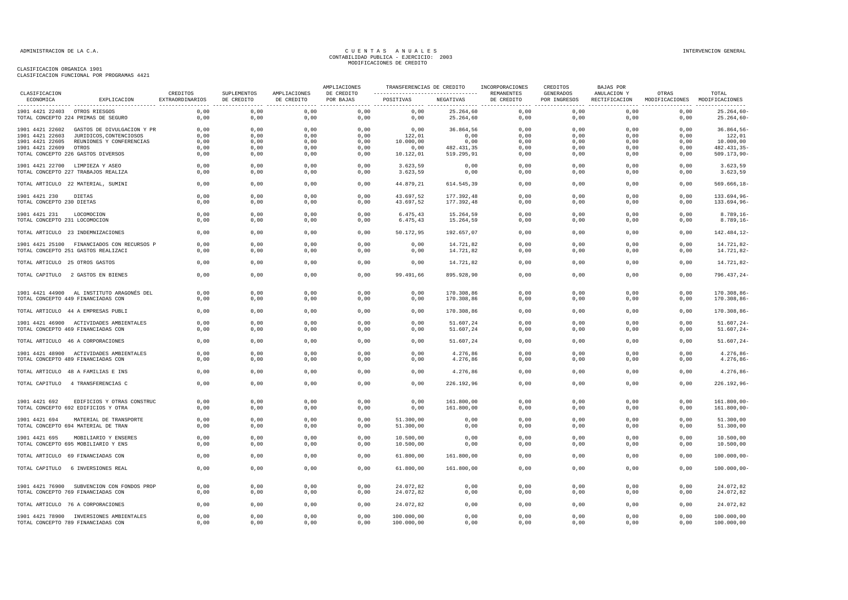| CLASIFICACION                      |                                                                   |                             |                           |                            | AMPLIACIONES            | TRANSFERENCIAS DE CREDITO |                          | INCORPORACIONES          | CREDITOS                         | <b>BAJAS POR</b>             |                         |                            |
|------------------------------------|-------------------------------------------------------------------|-----------------------------|---------------------------|----------------------------|-------------------------|---------------------------|--------------------------|--------------------------|----------------------------------|------------------------------|-------------------------|----------------------------|
| ECONOMICA                          | EXPLICACION                                                       | CREDITOS<br>EXTRAORDINARIOS | SUPLEMENTOS<br>DE CREDITO | AMPLIACIONES<br>DE CREDITO | DE CREDITO<br>POR BAJAS | POSITIVAS                 | NEGATIVAS                | REMANENTES<br>DE CREDITO | <b>GENERADOS</b><br>POR INGRESOS | ANULACION Y<br>RECTIFICACION | OTRAS<br>MODIFICACIONES | TOTAL<br>MODIFICACIONES    |
| 1901 4421 22403 OTROS RIESGOS      |                                                                   | 0,00                        | 0,00                      | ----------------<br>0,00   | 0,00                    | 0,00                      | 25.264,60                | 0,00                     | ---------------<br>0,00          | 0,00                         | 0,00                    | $25.264,60 -$              |
|                                    | TOTAL CONCEPTO 224 PRIMAS DE SEGURO                               | 0,00                        | 0,00                      | 0,00                       | 0,00                    | 0,00                      | 25.264,60                | 0,00                     | 0,00                             | 0,00                         | 0,00                    | $25.264,60 -$              |
| 1901 4421 22602                    | GASTOS DE DIVULGACION Y PR                                        | 0,00                        | 0,00                      | 0,00                       | 0,00                    | 0,00                      | 36.864,56                | 0,00                     | 0,00                             | 0,00                         | 0,00                    | $36.864,56-$               |
| 1901 4421 22603                    | JURIDICOS, CONTENCIOSOS                                           | 0,00                        | 0,00                      | 0,00                       | 0,00                    | 122,01                    | 0,00                     | 0,00                     | 0,00                             | 0,00                         | 0,00                    | 122,01                     |
| 1901 4421 22605<br>1901 4421 22609 | REUNIONES Y CONFERENCIAS<br>OTROS                                 | 0,00<br>0,00                | 0,00<br>0,00              | 0,00<br>0,00               | 0,00<br>0,00            | 10.000,00<br>0,00         | 0,00<br>482.431,35       | 0,00<br>0,00             | 0,00<br>0,00                     | 0,00<br>0,00                 | 0,00<br>0,00            | 10.000,00<br>482.431,35-   |
|                                    | TOTAL CONCEPTO 226 GASTOS DIVERSOS                                | 0,00                        | 0,00                      | 0,00                       | 0,00                    | 10.122,01                 | 519.295,91               | 0,00                     | 0,00                             | 0,00                         | 0,00                    | 509.173,90-                |
|                                    | 1901 4421 22700 LIMPIEZA Y ASEO                                   | 0.00                        | 0,00                      | 0,00                       | 0,00                    | 3.623,59                  |                          | 0,00                     | 0.00                             | 0.00                         | 0,00                    | 3.623,59                   |
|                                    | TOTAL CONCEPTO 227 TRABAJOS REALIZA                               | 0,00                        | 0,00                      | 0,00                       | 0,00                    | 3.623, 59                 | 0,00<br>0,00             | 0,00                     | 0,00                             | 0,00                         | 0,00                    | 3.623,59                   |
|                                    | TOTAL ARTICULO 22 MATERIAL, SUMINI                                | 0,00                        | 0,00                      | 0,00                       | 0,00                    | 44.879,21                 | 614.545,39               | 0,00                     | 0,00                             | 0,00                         | 0,00                    | $569.666, 18-$             |
| 1901 4421 230                      | DIETAS                                                            | 0,00                        | 0,00                      | 0,00                       | 0,00                    | 43.697,52                 | 177.392,48               | 0,00                     | 0,00                             | 0,00                         | 0,00                    | 133.694,96-                |
| TOTAL CONCEPTO 230 DIETAS          |                                                                   | 0,00                        | 0,00                      | 0,00                       | 0,00                    | 43.697,52                 | 177.392,48               | 0,00                     | 0,00                             | 0,00                         | 0,00                    | 133.694,96-                |
| 1901 4421 231                      | LOCOMOCION                                                        | 0,00                        | 0,00                      | 0,00                       | 0,00                    | 6.475, 43                 | 15.264,59                | 0,00                     | 0,00                             | 0,00                         | 0,00                    | $8.789, 16 -$              |
| TOTAL CONCEPTO 231 LOCOMOCION      |                                                                   | 0,00                        | 0,00                      | 0,00                       | 0,00                    | 6.475,43                  | 15.264,59                | 0,00                     | 0,00                             | 0,00                         | 0,00                    | $8.789, 16 -$              |
|                                    | TOTAL ARTICULO 23 INDEMNIZACIONES                                 | 0,00                        | 0,00                      | 0,00                       | 0,00                    | 50.172,95                 | 192.657,07               | 0,00                     | 0,00                             | 0,00                         | 0,00                    | 142.484,12-                |
|                                    | 1901 4421 25100 FINANCIADOS CON RECURSOS P                        | 0,00                        | 0,00                      | 0,00                       | 0,00                    | 0,00                      | 14.721,82                | 0,00                     | 0,00                             | 0.00                         | 0,00                    | 14.721,82-                 |
|                                    | TOTAL CONCEPTO 251 GASTOS REALIZACI                               | 0,00                        | 0,00                      | 0,00                       | 0,00                    | 0,00                      | 14.721,82                | 0,00                     | 0,00                             | 0,00                         | 0,00                    | 14.721,82-                 |
| TOTAL ARTICULO 25 OTROS GASTOS     |                                                                   | 0,00                        | 0,00                      | 0,00                       | 0,00                    | 0,00                      | 14.721,82                | 0,00                     | 0,00                             | 0,00                         | 0,00                    | 14.721,82-                 |
|                                    | TOTAL CAPITULO 2 GASTOS EN BIENES                                 | 0,00                        | 0,00                      | 0,00                       | 0,00                    | 99.491,66                 | 895.928,90               | 0,00                     | 0,00                             | 0,00                         | 0,00                    | $796.437, 24 -$            |
|                                    | 1901 4421 44900 AL INSTITUTO ARAGONÉS DEL                         | 0,00                        | 0,00                      | 0,00                       | 0,00                    | 0,00                      | 170.308,86               | 0,00                     | 0,00                             | 0,00                         | 0,00                    | 170.308,86-                |
|                                    | TOTAL CONCEPTO 449 FINANCIADAS CON                                | 0,00                        | 0,00                      | 0,00                       | 0,00                    | 0,00                      | 170.308,86               | 0,00                     | 0,00                             | 0,00                         | 0,00                    | 170.308,86-                |
|                                    | TOTAL ARTICULO 44 A EMPRESAS PUBLI                                | 0,00                        | 0,00                      | 0,00                       | 0,00                    | 0,00                      | 170.308,86               | 0,00                     | 0,00                             | 0,00                         | 0,00                    | 170.308,86-                |
|                                    | 1901 4421 46900 ACTIVIDADES AMBIENTALES                           | 0.00                        | 0.00                      | 0,00                       | 0,00                    | 0,00                      | 51.607,24                | 0,00                     | 0.00                             | 0.00                         | 0,00                    | $51.607.24 -$              |
|                                    | TOTAL CONCEPTO 469 FINANCIADAS CON                                | 0,00                        | 0,00                      | 0,00                       | 0,00                    | 0,00                      | 51.607,24                | 0,00                     | 0,00                             | 0,00                         | 0,00                    | $51.607, 24-$              |
|                                    | TOTAL ARTICULO 46 A CORPORACIONES                                 | 0,00                        | 0,00                      | 0,00                       | 0,00                    | 0,00                      | 51.607,24                | 0,00                     | 0,00                             | 0,00                         | 0,00                    | $51.607, 24-$              |
|                                    | 1901 4421 48900 ACTIVIDADES AMBIENTALES                           | 0,00                        | 0,00                      | 0,00                       | 0,00                    | 0,00                      | 4.276,86                 | 0,00                     | 0,00                             | 0,00                         | 0,00                    | $4.276, 86 -$              |
|                                    | TOTAL CONCEPTO 489 FINANCIADAS CON                                | 0,00                        | 0,00                      | 0,00                       | 0,00                    | 0,00                      | 4.276,86                 | 0,00                     | 0,00                             | 0,00                         | 0,00                    | $4.276, 86 -$              |
|                                    | TOTAL ARTICULO 48 A FAMILIAS E INS                                | 0,00                        | 0,00                      | 0,00                       | 0,00                    | 0,00                      | 4.276,86                 | 0,00                     | 0,00                             | 0,00                         | 0,00                    | $4.276,86-$                |
|                                    | TOTAL CAPITULO 4 TRANSFERENCIAS C                                 | 0,00                        | 0,00                      | 0,00                       | 0,00                    | 0,00                      | 226.192,96               | 0,00                     | 0,00                             | 0,00                         | 0,00                    | $226.192,96 -$             |
|                                    |                                                                   |                             |                           |                            |                         |                           |                          |                          |                                  |                              |                         |                            |
| 1901 4421 692                      | EDIFICIOS Y OTRAS CONSTRUC<br>TOTAL CONCEPTO 692 EDIFICIOS Y OTRA | 0.00<br>0,00                | 0,00<br>0,00              | 0,00<br>0,00               | 0,00<br>0,00            | 0,00<br>0,00              | 161.800,00<br>161.800,00 | 0,00<br>0,00             | 0,00<br>0,00                     | 0,00<br>0,00                 | 0,00<br>0,00            | 161.800,00-<br>161.800,00- |
| 1901 4421 694                      | MATERIAL DE TRANSPORTE                                            | 0,00                        | 0,00                      | 0,00                       | 0,00                    | 51.300,00                 | 0,00                     | 0,00                     | 0,00                             | 0,00                         | 0,00                    | 51.300,00                  |
|                                    | TOTAL CONCEPTO 694 MATERIAL DE TRAN                               | 0,00                        | 0,00                      | 0,00                       | 0,00                    | 51.300,00                 | 0,00                     | 0,00                     | 0,00                             | 0,00                         | 0,00                    | 51.300,00                  |
| 1901 4421 695                      | MOBILIARIO Y ENSERES                                              | 0,00                        | 0,00                      | 0,00                       | 0,00                    | 10.500,00                 | 0,00                     | 0,00                     | 0,00                             | 0,00                         | 0,00                    | 10.500,00                  |
|                                    | TOTAL CONCEPTO 695 MOBILIARIO Y ENS                               | 0,00                        | 0,00                      | 0,00                       | 0,00                    | 10.500,00                 | 0,00                     | 0,00                     | 0,00                             | 0,00                         | 0,00                    | 10.500,00                  |
|                                    | TOTAL ARTICULO 69 FINANCIADAS CON                                 | 0,00                        | 0,00                      | 0,00                       | 0,00                    | 61.800,00                 | 161.800,00               | 0,00                     | 0,00                             | 0,00                         | 0,00                    | $100.000,00-$              |
|                                    | TOTAL CAPITULO 6 INVERSIONES REAL                                 | 0.00                        | 0.00                      | 0,00                       | 0.00                    | 61,800,00                 | 161,800,00               | 0.00                     | 0.00                             | 0.00                         | 0.00                    | $100.000,00-$              |
|                                    | 1901 4421 76900 SUBVENCION CON FONDOS PROP                        | 0,00                        | 0,00                      | 0,00                       | 0,00                    | 24.072,82                 | 0,00                     | 0,00                     | 0,00                             | 0,00                         | 0,00                    | 24.072,82                  |
|                                    | TOTAL CONCEPTO 769 FINANCIADAS CON                                | 0,00                        | 0,00                      | 0,00                       | 0,00                    | 24.072,82                 | 0,00                     | 0,00                     | 0,00                             | 0,00                         | 0,00                    | 24.072,82                  |
|                                    | TOTAL ARTICULO 76 A CORPORACIONES                                 | 0,00                        | 0,00                      | 0,00                       | 0,00                    | 24.072,82                 | 0,00                     | 0,00                     | 0,00                             | 0,00                         | 0,00                    | 24.072,82                  |
|                                    | 1901 4421 78900 INVERSIONES AMBIENTALES                           | 0,00                        | 0,00                      | 0,00                       | 0,00                    | 100.000,00                | 0,00                     | 0,00                     | 0,00                             | 0,00                         | 0,00                    | 100.000,00                 |
|                                    | TOTAL CONCEPTO 789 FINANCIADAS CON                                | 0,00                        | 0,00                      | 0,00                       | 0,00                    | 100.000,00                | 0,00                     | 0,00                     | 0,00                             | 0,00                         | 0,00                    | 100.000,00                 |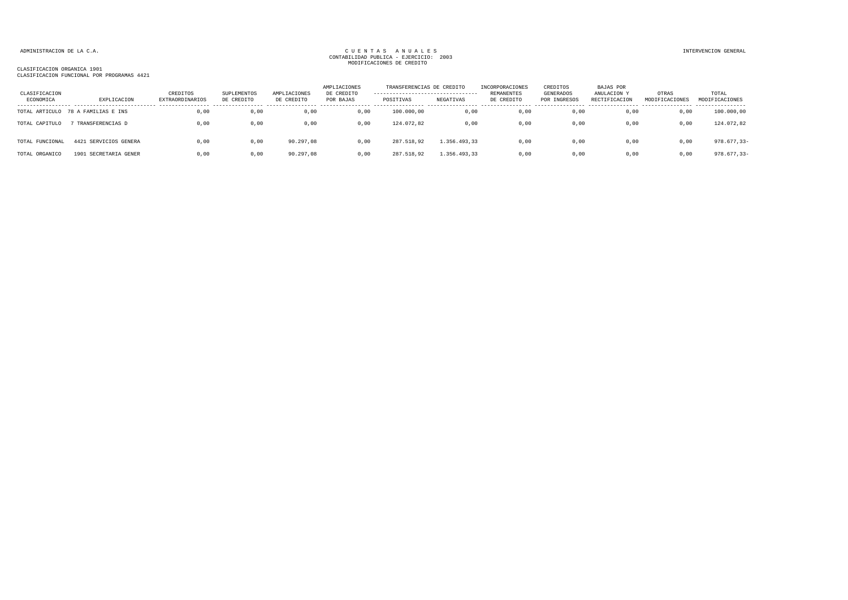| CLASIFICACION<br>ECONOMICA | EXPLICACION           | CREDITOS<br><b>EXTRAORDINARIOS</b> | SUPLEMENTOS<br>DE CREDITO | AMPLIACIONES<br>DE CREDITO | AMPLIACIONES<br>DE CREDITO<br>POR BAJAS | TRANSFERENCIAS DE CREDITO<br>----------------------------------<br>POSITIVAS | NEGATIVAS    | INCORPORACIONES<br>REMANENTES<br>DE CREDITO | CREDITOS<br>GENERADOS<br>POR INGRESOS | BAJAS POR<br>ANULACION Y<br>RECTIFICACION | OTRAS<br>MODIFICACIONES | TOTAL<br>MODIFICACIONES |
|----------------------------|-----------------------|------------------------------------|---------------------------|----------------------------|-----------------------------------------|------------------------------------------------------------------------------|--------------|---------------------------------------------|---------------------------------------|-------------------------------------------|-------------------------|-------------------------|
| TOTAL ARTICULO             | 78 A FAMILIAS E INS   | 0,00                               | 0,00                      | 0,00                       | 0,00                                    | 100.000,00                                                                   | 0,00         | 0,00                                        | 0,00                                  | 0,00                                      | 0,00                    | 100.000,00              |
| TOTAL CAPITULO             | TRANSFERENCIAS D      | 0.00                               | 0.00                      | 0,00                       | 0,00                                    | 124.072.82                                                                   | 0,00         | 0.00                                        | 0,00                                  | 0.00                                      | 0,00                    | 124.072,82              |
| TOTAL FUNCIONAL            | 4421 SERVICIOS GENERA | 0,00                               | 0,00                      | 90.297,08                  | 0,00                                    | 287.518,92                                                                   | 1.356.493,33 | 0,00                                        | 0,00                                  | 0,00                                      | 0,00                    | $978.677, 33 -$         |
| TOTAL ORGANICO             | 1901 SECRETARIA GENER | 0,00                               | 0,00                      | 90.297,08                  | 0,00                                    | 287.518,92                                                                   | 1.356.493,33 | 0,00                                        | 0,00                                  | 0,00                                      | 0,00                    | $978.677, 33 -$         |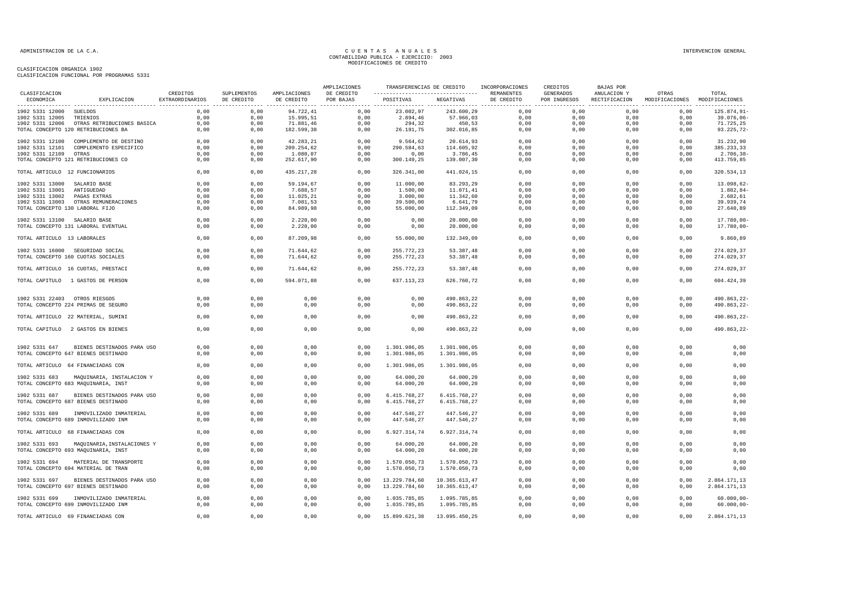|                                 |                                                                        |                             |                           |                            | AMPLIACIONES            | TRANSFERENCIAS DE CREDITO                       |                              | INCORPORACIONES          | CREDITOS                         | BAJAS POR                    |                                                                              |                                |
|---------------------------------|------------------------------------------------------------------------|-----------------------------|---------------------------|----------------------------|-------------------------|-------------------------------------------------|------------------------------|--------------------------|----------------------------------|------------------------------|------------------------------------------------------------------------------|--------------------------------|
| CLASIFICACION<br>ECONOMICA      | EXPLICACION                                                            | CREDITOS<br>EXTRAORDINARIOS | SUPLEMENTOS<br>DE CREDITO | AMPLIACIONES<br>DE CREDITO | DE CREDITO<br>POR BAJAS | ----------------------------------<br>POSITIVAS | NEGATIVAS                    | REMANENTES<br>DE CREDITO | <b>GENERADOS</b><br>POR INGRESOS | ANULACION Y<br>RECTIFICACION | OTRAS<br>MODIFICACIONES MODIFICACIONES<br>----------------- ---------------- | TOTAL                          |
| 1902 5331 12000 SUELDOS         |                                                                        | 0.00                        | 0.00                      | 94.722,41                  | 0.00                    | 23.002,97                                       | 243.600,29                   | 0.00                     | 0.00                             | 0.00                         | 0.00                                                                         | 125.874,91-                    |
| 1902 5331 12005                 | TRIENIOS                                                               | 0,00                        | 0,00                      | 15.995,51                  | 0,00                    | 2.894,46                                        | 57.966,03                    | 0,00                     | 0,00                             | 0,00                         | 0,00                                                                         | 39.076,06-                     |
|                                 | 1902 5331 12006 OTRAS RETRIBUCIONES BASICA                             | 0,00                        | 0,00                      | 71.881,46                  | 0,00                    | 294,32                                          | 450,53                       | 0,00                     | 0,00                             | 0,00                         | 0,00                                                                         | 71.725,25                      |
|                                 | TOTAL CONCEPTO 120 RETRIBUCIONES BA                                    | 0,00                        | 0,00                      | 182.599,38                 | 0,00                    | 26.191,75                                       | 302.016,85                   | 0,00                     | 0,00                             | 0,00                         | 0,00                                                                         | 93.225,72-                     |
| 1902 5331 12100                 | COMPLEMENTO DE DESTINO                                                 | 0,00                        | 0,00                      | 42.283,21                  | 0,00                    | 9.564,62                                        | 20.614,93                    | 0,00                     | 0,00                             | 0,00                         | 0,00                                                                         | 31.232,90                      |
| 1902 5331 12101                 | COMPLEMENTO ESPECIFICO                                                 | 0,00                        | 0,00                      | 209.254,62                 | 0,00                    | 290.584,63                                      | 114.605,92                   | 0,00                     | 0,00                             | 0,00                         | 0,00                                                                         | 385.233,33                     |
| 1902 5331 12109                 | OTRAS                                                                  | 0,00                        | 0,00                      | 1.080,07                   | 0,00                    | 0,00                                            | 3.786,45                     | 0,00                     | 0,00                             | 0,00                         | 0,00                                                                         | 2.706,38                       |
|                                 | TOTAL CONCEPTO 121 RETRIBUCIONES CO                                    | 0,00                        | 0,00                      | 252.617,90                 | 0,00                    | 300.149,25                                      | 139.007,30                   | 0,00                     | 0,00                             | 0,00                         | 0,00                                                                         | 413.759,85                     |
| TOTAL ARTICULO 12 FUNCIONARIOS  |                                                                        | 0,00                        | 0,00                      | 435.217,28                 | 0,00                    | 326.341,00                                      | 441.024,15                   | 0,00                     | 0,00                             | 0,00                         | 0,00                                                                         | 320.534,13                     |
| 1902 5331 13000 SALARIO BASE    |                                                                        | 0,00                        | 0,00                      | 59.194,67                  | 0,00                    | 11.000,00                                       | 83.293,29                    | 0,00                     | 0.00                             | 0.00                         | 0,00                                                                         | 13.098,62-                     |
| 1902 5331 13001                 | ANTIGUEDAD                                                             | 0,00                        | 0.00                      | 7.688,57                   | 0,00                    | 1.500,00                                        | 11.071,41                    | 0,00                     | 0,00                             | 0,00                         | 0,00                                                                         | 1.882,84-                      |
| 1902 5331 13002                 | PAGAS EXTRAS                                                           | 0,00                        | 0,00                      | 11.025,21                  | 0,00                    | 3.000,00                                        | 11.342,60                    | 0,00                     | 0,00                             | 0,00                         | 0,00                                                                         | 2.682,61                       |
|                                 | 1902 5331 13003 OTRAS REMUNERACIONES                                   | 0,00                        | 0,00                      | 7.081,53                   | 0,00                    | 39.500,00                                       | 6.641,79                     | 0,00                     | 0,00                             | 0,00                         | 0,00                                                                         | 39.939,74                      |
| TOTAL CONCEPTO 130 LABORAL FIJO |                                                                        | 0,00                        | 0,00                      | 84.989,98                  | 0,00                    | 55.000,00                                       | 112.349,09                   | 0,00                     | 0,00                             | 0,00                         | 0,00                                                                         | 27.640,89                      |
| 1902 5331 13100 SALARIO BASE    |                                                                        | 0,00                        | 0,00                      | 2.220,00                   | 0,00                    | 0,00                                            | 20.000,00                    | 0,00                     | 0,00                             | 0,00                         | 0,00                                                                         | 17.780,00-                     |
|                                 | TOTAL CONCEPTO 131 LABORAL EVENTUAL                                    | 0,00                        | 0,00                      | 2.220,00                   | 0,00                    | 0,00                                            | 20.000,00                    | 0,00                     | 0,00                             | 0,00                         | 0,00                                                                         | 17.780,00-                     |
| TOTAL ARTICULO 13 LABORALES     |                                                                        | 0,00                        | 0,00                      | 87.209,98                  | 0,00                    | 55.000,00                                       | 132.349,09                   | 0,00                     | 0,00                             | 0,00                         | 0,00                                                                         | 9.860,89                       |
|                                 |                                                                        |                             |                           |                            |                         |                                                 |                              |                          |                                  |                              |                                                                              |                                |
|                                 | 1902 5331 16000 SEGURIDAD SOCIAL<br>TOTAL CONCEPTO 160 CUOTAS SOCIALES | 0.00<br>0,00                | 0.00<br>0,00              | 71.644.62<br>71.644,62     | 0,00<br>0,00            | 255.772.23<br>255.772,23                        | 53.387,48<br>53.387,48       | 0,00<br>0,00             | 0.00<br>0,00                     | 0.00<br>0,00                 | 0.00<br>0,00                                                                 | 274.029,37<br>274.029,37       |
|                                 |                                                                        |                             |                           |                            |                         |                                                 |                              |                          |                                  |                              |                                                                              |                                |
|                                 | TOTAL ARTICULO 16 CUOTAS, PRESTACI                                     | 0,00                        | 0,00                      | 71.644,62                  | 0,00                    | 255.772,23                                      | 53.387,48                    | 0,00                     | 0,00                             | 0,00                         | 0,00                                                                         | 274.029,37                     |
|                                 | TOTAL CAPITULO 1 GASTOS DE PERSON                                      | 0,00                        | 0,00                      | 594.071,88                 | 0,00                    | 637.113,23                                      | 626.760,72                   | 0,00                     | 0,00                             | 0,00                         | 0,00                                                                         | 604.424,39                     |
| 1902 5331 22403 OTROS RIESGOS   |                                                                        | 0,00                        | 0,00                      | 0,00                       | 0,00                    | 0,00                                            | 490.863,22                   | 0,00                     | 0,00                             | 0,00                         | 0,00                                                                         | 490.863,22-                    |
|                                 | TOTAL CONCEPTO 224 PRIMAS DE SEGURO                                    | 0,00                        | 0,00                      | 0,00                       | 0,00                    | 0,00                                            | 490.863,22                   | 0,00                     | 0,00                             | 0,00                         | 0,00                                                                         | 490.863,22-                    |
|                                 | TOTAL ARTICULO 22 MATERIAL, SUMINI                                     | 0,00                        | 0,00                      | 0,00                       | 0,00                    | 0,00                                            | 490.863,22                   | 0,00                     | 0,00                             | 0,00                         | 0,00                                                                         | 490.863,22-                    |
|                                 | TOTAL CAPITULO 2 GASTOS EN BIENES                                      | 0,00                        | 0,00                      | 0,00                       | 0,00                    | 0,00                                            | 490.863,22                   | 0,00                     | 0,00                             | 0,00                         | 0,00                                                                         | 490.863,22-                    |
|                                 |                                                                        |                             |                           |                            |                         |                                                 |                              |                          |                                  |                              |                                                                              |                                |
| 1902 5331 647                   | BIENES DESTINADOS PARA USO<br>TOTAL CONCEPTO 647 BIENES DESTINADO      | 0,00<br>0.00                | 0,00<br>0,00              | 0,00<br>0,00               | 0,00<br>0,00            | 1.301.986,05<br>1.301.986,05                    | 1.301.986,05<br>1.301.986,05 | 0,00<br>0,00             | 0,00<br>0,00                     | 0,00<br>0,00                 | 0,00<br>0,00                                                                 | 0,00<br>0,00                   |
|                                 | TOTAL ARTICULO 64 FINANCIADAS CON                                      | 0,00                        | 0,00                      | 0,00                       | 0,00                    | 1.301.986,05                                    | 1.301.986,05                 | 0,00                     | 0,00                             | 0,00                         | 0,00                                                                         | 0,00                           |
|                                 |                                                                        |                             |                           |                            |                         |                                                 |                              |                          |                                  |                              |                                                                              |                                |
| 1902 5331 683                   | MAQUINARIA, INSTALACION Y<br>TOTAL CONCEPTO 683 MAQUINARIA, INST       | 0,00<br>0,00                | 0,00<br>0,00              | 0,00<br>0,00               | 0,00<br>0,00            | 64.000,20<br>64.000,20                          | 64.000,20<br>64.000,20       | 0,00<br>0,00             | 0,00<br>0,00                     | 0,00<br>0,00                 | 0,00<br>0,00                                                                 | 0,00<br>0,00                   |
|                                 |                                                                        |                             |                           |                            |                         |                                                 |                              |                          |                                  |                              |                                                                              |                                |
| 1902 5331 687                   | BIENES DESTINADOS PARA USO<br>TOTAL CONCEPTO 687 BIENES DESTINADO      | 0,00<br>0,00                | 0,00<br>0,00              | 0,00<br>0,00               | 0,00<br>0,00            | 6.415.768,27<br>6.415.768,27                    | 6.415.768,27<br>6.415.768,27 | 0,00<br>0,00             | 0,00<br>0,00                     | 0,00<br>0,00                 | 0,00<br>0,00                                                                 | 0,00<br>0,00                   |
|                                 |                                                                        |                             |                           |                            |                         |                                                 |                              |                          |                                  |                              |                                                                              |                                |
| 1902 5331 689                   | INMOVILIZADO INMATERIAL<br>TOTAL CONCEPTO 689 INMOVILIZADO INM         | 0.00<br>0,00                | 0,00<br>0,00              | 0,00<br>0,00               | 0,00<br>0,00            | 447.546,27<br>447.546,27                        | 447.546,27<br>447.546,27     | 0.00<br>0,00             | 0,00<br>0,00                     | 0.00<br>0,00                 | 0,00<br>0,00                                                                 | 0,00<br>0,00                   |
|                                 | TOTAL ARTICULO 68 FINANCIADAS CON                                      | 0,00                        | 0,00                      | 0,00                       | 0,00                    | 6.927.314,74                                    | 6.927.314,74                 | 0,00                     | 0,00                             | 0,00                         | 0,00                                                                         | 0,00                           |
|                                 |                                                                        |                             |                           |                            |                         |                                                 |                              |                          |                                  |                              |                                                                              |                                |
| 1902 5331 693                   | MAQUINARIA, INSTALACIONES Y<br>TOTAL CONCEPTO 693 MAQUINARIA, INST     | 0,00<br>0,00                | 0,00<br>0,00              | 0,00<br>0,00               | 0,00<br>0,00            | 64.000,20<br>64.000,20                          | 64.000,20<br>64.000,20       | 0,00<br>0,00             | 0,00<br>0,00                     | 0,00<br>0,00                 | 0,00<br>0,00                                                                 | 0,00<br>0,00                   |
| 1902 5331 694                   | MATERIAL DE TRANSPORTE                                                 | 0,00                        | 0,00                      | 0,00                       | 0,00                    | 1.570.050,73                                    | 1.570.050,73                 | 0,00                     | 0,00                             | 0.00                         | 0,00                                                                         | 0,00                           |
|                                 | TOTAL CONCEPTO 694 MATERIAL DE TRAN                                    | 0,00                        | 0,00                      | 0,00                       | 0,00                    | 1.570.050,73                                    | 1.570.050,73                 | 0,00                     | 0,00                             | 0,00                         | 0,00                                                                         | 0,00                           |
| 1902 5331 697                   | BIENES DESTINADOS PARA USO                                             | 0,00                        | 0,00                      | 0,00                       | 0,00                    | 13.229.784,60                                   | 10.365.613,47                | 0,00                     | 0,00                             | 0,00                         | 0,00                                                                         | 2.864.171,13                   |
|                                 | TOTAL CONCEPTO 697 BIENES DESTINADO                                    | 0,00                        | 0,00                      | 0,00                       | 0,00                    | 13.229.784,60                                   | 10.365.613,47                | 0,00                     | 0,00                             | 0,00                         | 0,00                                                                         | 2.864.171,13                   |
|                                 |                                                                        |                             |                           |                            |                         |                                                 |                              |                          |                                  |                              |                                                                              |                                |
| 1902 5331 699                   | INMOVILIZADO INMATERIAL<br>TOTAL CONCEPTO 699 INMOVILIZADO INM         | 0,00<br>0,00                | 0,00<br>0,00              | 0,00<br>0,00               | 0,00<br>0,00            | 1.035.785,85<br>1.035.785,85                    | 1.095.785,85<br>1.095.785,85 | 0,00<br>0,00             | 0,00<br>0,00                     | 0,00<br>0,00                 | 0,00<br>0,00                                                                 | $60.000,00 -$<br>$60.000,00 -$ |
|                                 | TOTAL ARTICULO 69 FINANCIADAS CON                                      | 0,00                        | 0,00                      | 0,00                       | 0,00                    | 15.899.621,38                                   | 13.095.450,25                | 0,00                     | 0,00                             | 0,00                         | 0,00                                                                         | 2.804.171,13                   |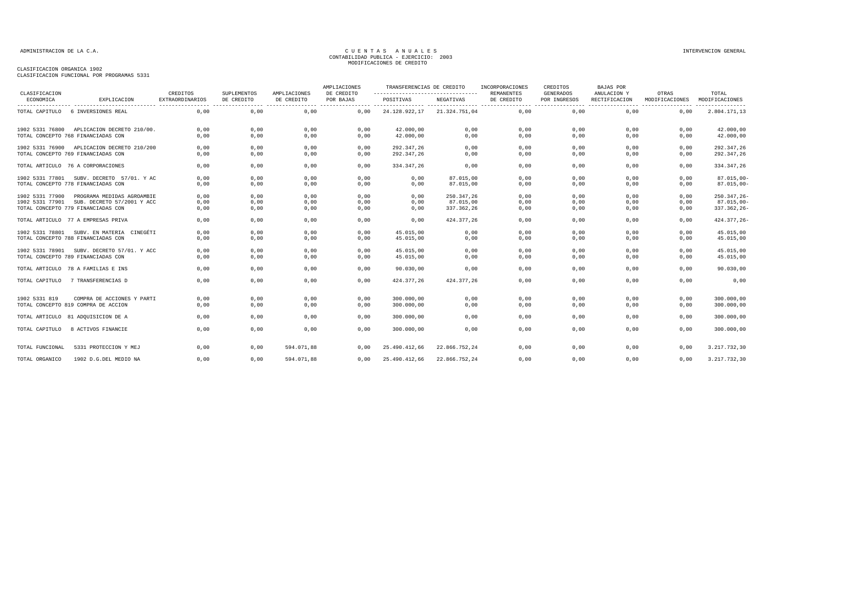| CLASIFICACION   |                                            | CREDITOS               | <b>SUPLEMENTOS</b> | AMPLIACIONES | AMPLIACIONES<br>DE CREDITO                  | TRANSFERENCIAS DE CREDITO<br>--------------------------------- |               | INCORPORACIONES<br><b>REMANENTES</b> | CREDITOS<br><b>GENERADOS</b> | <b>BAJAS POR</b><br>ANULACION Y | OTRAS          | TOTAL          |
|-----------------|--------------------------------------------|------------------------|--------------------|--------------|---------------------------------------------|----------------------------------------------------------------|---------------|--------------------------------------|------------------------------|---------------------------------|----------------|----------------|
| ECONOMICA       | EXPLICACION                                | <b>EXTRAORDINARIOS</b> | DE CREDITO<br>.    | DE CREDITO   | POR BAJAS<br>------- ---------------- ----- | POSITIVAS<br>                                                  | NEGATIVAS     | DE CREDITO                           | POR INGRESOS                 | RECTIFICACION                   | MODIFICACIONES | MODIFICACIONES |
| TOTAL CAPITULO  | 6 INVERSIONES REAL                         | 0,00                   | 0,00               | 0,00         | 0,00                                        | 24.128.922,17                                                  | 21.324.751,04 | 0,00                                 | 0,00                         | 0,00                            | 0,00           | 2.804.171,13   |
|                 | 1902 5331 76800 APLICACION DECRETO 210/00. | 0,00                   | 0,00               | 0,00         | 0,00                                        | 42.000,00                                                      | 0,00          | 0,00                                 | 0,00                         | 0,00                            | 0,00           | 42.000,00      |
|                 | TOTAL CONCEPTO 768 FINANCIADAS CON         | 0,00                   | 0,00               | 0,00         | 0,00                                        | 42.000,00                                                      | 0,00          | 0,00                                 | 0,00                         | 0.00                            | 0,00           | 42.000,00      |
| 1902 5331 76900 | APLICACION DECRETO 210/200                 | 0,00                   | 0,00               | 0,00         | 0,00                                        | 292.347.26                                                     | 0,00          | 0,00                                 | 0,00                         | 0,00                            | 0,00           | 292.347,26     |
|                 | TOTAL CONCEPTO 769 FINANCIADAS CON         | 0,00                   | 0,00               | 0,00         | 0,00                                        | 292.347,26                                                     | 0,00          | 0,00                                 | 0,00                         | 0,00                            | 0,00           | 292.347,26     |
|                 | TOTAL ARTICULO 76 A CORPORACIONES          | 0,00                   | 0,00               | 0,00         | 0,00                                        | 334.347,26                                                     | 0,00          | 0,00                                 | 0,00                         | 0,00                            | 0,00           | 334.347,26     |
| 1902 5331 77801 | SUBV, DECRETO 57/01, Y AC                  | 0,00                   | 0,00               | 0.00         | 0,00                                        | 0,00                                                           | 87.015.00     | 0.00                                 | 0,00                         | 0,00                            | 0.00           | $87.015,00 -$  |
|                 | TOTAL CONCEPTO 778 FINANCIADAS CON         | 0,00                   | 0,00               | 0,00         | 0,00                                        | 0,00                                                           | 87.015,00     | 0,00                                 | 0,00                         | 0,00                            | 0,00           | $87.015,00 -$  |
| 1902 5331 77900 | PROGRAMA MEDIDAS AGROAMBIE                 | 0,00                   | 0,00               | 0,00         | 0,00                                        | 0,00                                                           | 250.347,26    | 0,00                                 | 0,00                         | 0,00                            | 0,00           | 250.347,26-    |
| 1902 5331 77901 | SUB. DECRETO 57/2001 Y ACC                 | 0,00                   | 0,00               | 0,00         | 0,00                                        | 0,00                                                           | 87.015.00     | 0,00                                 | 0,00                         | 0,00                            | 0,00           | $87.015.00 -$  |
|                 | TOTAL CONCEPTO 779 FINANCIADAS CON         | 0,00                   | 0,00               | 0,00         | 0,00                                        | 0,00                                                           | 337.362,26    | 0,00                                 | 0,00                         | 0,00                            | 0,00           | 337.362,26-    |
|                 | TOTAL ARTICULO 77 A EMPRESAS PRIVA         | 0.00                   | 0,00               | 0,00         | 0.00                                        | 0,00                                                           | 424.377.26    | 0,00                                 | 0.00                         | 0.00                            | 0.00           | 424.377,26-    |
| 1902 5331 78801 | SUBV. EN MATERIA CINEGÉTI                  | 0,00                   | 0,00               | 0,00         | 0,00                                        | 45.015,00                                                      | 0,00          | 0,00                                 | 0,00                         | 0,00                            | 0,00           | 45.015,00      |
|                 | TOTAL CONCEPTO 788 FINANCIADAS CON         | 0,00                   | 0,00               | 0,00         | 0,00                                        | 45.015,00                                                      | 0,00          | 0,00                                 | 0,00                         | 0,00                            | 0,00           | 45.015,00      |
|                 | 1902 5331 78901 SUBV. DECRETO 57/01. Y ACC | 0,00                   | 0,00               | 0,00         | 0,00                                        | 45.015,00                                                      | 0,00          | 0,00                                 | 0,00                         | 0,00                            | 0,00           | 45.015,00      |
|                 | TOTAL CONCEPTO 789 FINANCIADAS CON         | 0,00                   | 0,00               | 0,00         | 0,00                                        | 45.015,00                                                      | 0,00          | 0,00                                 | 0,00                         | 0,00                            | 0,00           | 45.015,00      |
|                 | TOTAL ARTICULO 78 A FAMILIAS E INS         | 0,00                   | 0,00               | 0,00         | 0,00                                        | 90.030,00                                                      | 0,00          | 0,00                                 | 0,00                         | 0,00                            | 0,00           | 90.030,00      |
| TOTAL CAPITULO  | 7 TRANSFERENCIAS D                         | 0,00                   | 0,00               | 0,00         | 0,00                                        | 424.377,26                                                     | 424.377,26    | 0,00                                 | 0,00                         | 0,00                            | 0,00           | 0,00           |
| 1902 5331 819   | COMPRA DE ACCIONES Y PARTI                 | 0,00                   | 0,00               | 0,00         | 0,00                                        | 300.000,00                                                     | 0,00          | 0,00                                 | 0,00                         | 0,00                            | 0,00           | 300.000,00     |
|                 | TOTAL CONCEPTO 819 COMPRA DE ACCION        | 0.00                   | 0,00               | 0.00         | 0.00                                        | 300,000,00                                                     | 0,00          | 0.00                                 | 0.00                         | 0.00                            | 0.00           | 300.000,00     |
|                 | TOTAL ARTICULO 81 ADQUISICION DE A         | 0,00                   | 0,00               | 0,00         | 0,00                                        | 300.000,00                                                     | 0,00          | 0,00                                 | 0,00                         | 0,00                            | 0,00           | 300.000,00     |
| TOTAL CAPITULO  | 8 ACTIVOS FINANCIE                         | 0,00                   | 0,00               | 0,00         | 0,00                                        | 300.000,00                                                     | 0,00          | 0,00                                 | 0,00                         | 0,00                            | 0,00           | 300.000,00     |
| TOTAL FUNCIONAL | 5331 PROTECCION Y MEJ                      | 0,00                   | 0,00               | 594.071,88   | 0,00                                        | 25.490.412,66                                                  | 22.866.752,24 | 0,00                                 | 0,00                         | 0,00                            | 0,00           | 3.217.732,30   |
| TOTAL ORGANICO  | 1902 D.G.DEL MEDIO NA                      | 0.00                   | 0,00               | 594.071.88   | 0.00                                        | 25.490.412,66                                                  | 22.866.752,24 | 0.00                                 | 0.00                         | 0.00                            | 0.00           | 3.217.732,30   |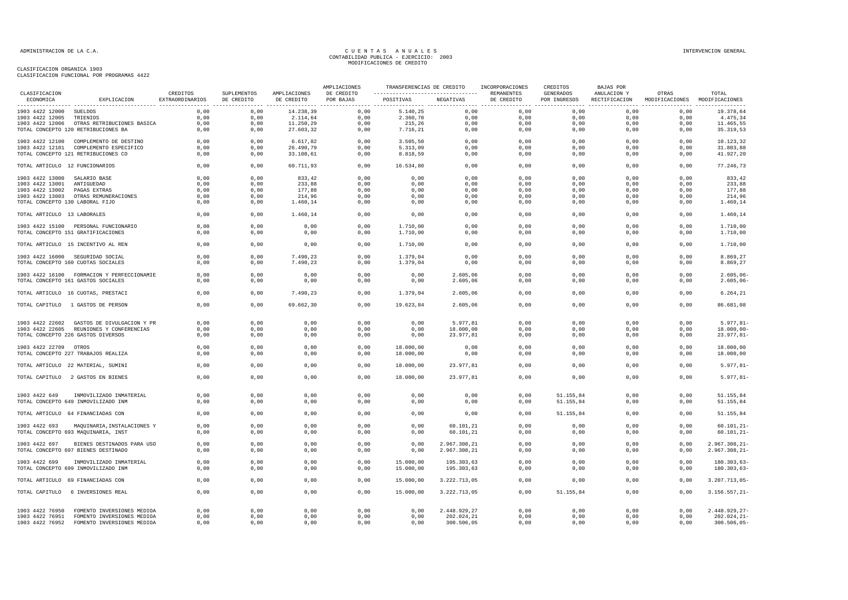|                                 |                                                                                  |                             |                           |                            | AMPLIACIONES            | TRANSFERENCIAS DE CREDITO                        |                      | INCORPORACIONES          | CREDITOS                  | BAJAS POR                    |                                        |                              |
|---------------------------------|----------------------------------------------------------------------------------|-----------------------------|---------------------------|----------------------------|-------------------------|--------------------------------------------------|----------------------|--------------------------|---------------------------|------------------------------|----------------------------------------|------------------------------|
| CLASIFICACION<br>ECONOMICA      | EXPLICACION                                                                      | CREDITOS<br>EXTRAORDINARIOS | SUPLEMENTOS<br>DE CREDITO | AMPLIACIONES<br>DE CREDITO | DE CREDITO<br>POR BAJAS | -----------------------------------<br>POSITIVAS | NEGATIVAS            | REMANENTES<br>DE CREDITO | GENERADOS<br>POR INGRESOS | ANULACION Y<br>RECTIFICACION | OTRAS<br>MODIFICACIONES MODIFICACIONES | TOTAL<br>.                   |
| 1903 4422 12000 SUELDOS         |                                                                                  | 0,00                        | 0,00                      | 14.238,39                  | 0,00                    | 5.140,25                                         | 0,00                 | 0,00                     | 0,00                      | 0,00                         | 0,00                                   | 19.378,64                    |
| 1903 4422 12005 TRIENIOS        |                                                                                  | 0,00                        | 0,00                      | 2.114,64                   | 0,00                    | 2.360,70                                         | 0,00                 | 0,00                     | 0,00                      | 0,00                         | 0,00                                   | 4.475,34                     |
|                                 | 1903 4422 12006 OTRAS RETRIBUCIONES BASICA                                       | 0,00                        | 0,00                      | 11.250,29                  | 0,00                    | 215,26                                           | 0,00                 | 0,00                     | 0,00                      | 0,00                         | 0,00                                   | 11.465,55                    |
|                                 | TOTAL CONCEPTO 120 RETRIBUCIONES BA                                              | 0,00                        | 0,00                      | 27.603,32                  | 0,00                    | 7.716,21                                         | 0,00                 | 0,00                     | 0,00                      | 0,00                         | 0,00                                   | 35.319,53                    |
|                                 | 1903 4422 12100 COMPLEMENTO DE DESTINO                                           | 0,00                        | 0,00                      | 6.617,82                   | 0,00                    | 3.505,50                                         | 0,00                 | 0,00                     | 0,00                      | 0,00                         | 0,00                                   | 10.123,32                    |
|                                 | 1903 4422 12101 COMPLEMENTO ESPECIFICO                                           | 0,00                        | 0,00                      | 26.490,79                  | 0,00                    | 5.313,09                                         | 0,00                 | 0,00                     | 0,00                      | 0,00                         | 0,00                                   | 31.803,88                    |
|                                 | TOTAL CONCEPTO 121 RETRIBUCIONES CO                                              | 0,00                        | 0,00                      | 33.108,61                  | 0,00                    | 8.818,59                                         | 0,00                 | 0,00                     | 0,00                      | 0,00                         | 0,00                                   | 41.927,20                    |
| TOTAL ARTICULO 12 FUNCIONARIOS  |                                                                                  | 0,00                        | 0,00                      | 60.711,93                  | 0,00                    | 16.534,80                                        | 0,00                 | 0,00                     | 0,00                      | 0,00                         | 0,00                                   | 77.246,73                    |
| 1903 4422 13000                 | SALARIO BASE                                                                     | 0,00                        | 0,00                      | 833,42                     | 0,00                    | 0,00                                             | 0,00                 | 0,00                     | 0,00                      | 0,00                         | 0,00                                   | 833,42                       |
| 1903 4422 13001                 | ANTIGUEDAD                                                                       | 0,00                        | 0,00                      | 233,88                     | 0,00                    | 0,00                                             | 0,00                 | 0,00                     | 0,00                      | 0,00                         | 0,00                                   | 233,88                       |
| 1903 4422 13002                 | PAGAS EXTRAS                                                                     | 0,00                        | 0,00                      | 177,88                     | 0,00                    | 0,00                                             | 0,00                 | 0,00                     | 0,00                      | 0,00                         | 0,00                                   | 177,88                       |
|                                 | 1903 4422 13003 OTRAS REMUNERACIONES                                             | 0,00                        | 0,00                      | 214,96                     | 0,00                    | 0,00                                             | 0,00                 | 0,00                     | 0,00                      | 0,00                         | 0,00                                   | 214,96                       |
| TOTAL CONCEPTO 130 LABORAL FIJO |                                                                                  | 0,00                        | 0,00                      | 1.460,14                   | 0,00                    | 0,00                                             | 0,00                 | 0,00                     | 0,00                      | 0,00                         | 0,00                                   | 1.460,14                     |
| TOTAL ARTICULO 13 LABORALES     |                                                                                  | 0,00                        | 0,00                      | 1.460,14                   | 0,00                    | 0,00                                             | 0,00                 | 0,00                     | 0,00                      | 0,00                         | 0,00                                   | 1.460,14                     |
|                                 | 1903 4422 15100 PERSONAL FUNCIONARIO                                             | 0,00                        | 0,00                      | 0,00                       | 0,00                    | 1.710,00                                         | 0,00                 | 0,00                     | 0.00                      | 0.00                         | 0,00                                   | 1.710,00                     |
|                                 | TOTAL CONCEPTO 151 GRATIFICACIONES                                               | 0,00                        | 0,00                      | 0,00                       | 0,00                    | 1.710,00                                         | 0,00                 | 0,00                     | 0,00                      | 0,00                         | 0,00                                   | 1.710,00                     |
|                                 | TOTAL ARTICULO 15 INCENTIVO AL REN                                               | 0,00                        | 0,00                      | 0,00                       | 0,00                    | 1.710,00                                         | 0,00                 | 0,00                     | 0,00                      | 0,00                         | 0,00                                   | 1.710,00                     |
|                                 | 1903 4422 16000 SEGURIDAD SOCIAL                                                 | 0,00                        | 0,00                      | 7.490,23                   | 0,00                    | 1.379,04                                         | 0,00                 | 0,00                     | 0,00                      | 0,00                         | 0,00                                   | 8.869,27                     |
|                                 | TOTAL CONCEPTO 160 CUOTAS SOCIALES                                               | 0,00                        | 0,00                      | 7.490,23                   | 0,00                    | 1.379,04                                         | 0,00                 | 0,00                     | 0,00                      | 0,00                         | 0,00                                   | 8.869,27                     |
|                                 |                                                                                  |                             |                           |                            |                         |                                                  |                      |                          |                           |                              |                                        |                              |
|                                 | 1903 4422 16100 FORMACION Y PERFECCIONAMIE<br>TOTAL CONCEPTO 161 GASTOS SOCIALES | 0,00<br>0,00                | 0,00<br>0,00              | 0,00<br>0,00               | 0,00<br>0,00            | 0,00<br>0,00                                     | 2.605,06<br>2.605,06 | 0,00<br>0,00             | 0,00<br>0,00              | 0,00<br>0,00                 | 0,00<br>0,00                           | $2.605,06 -$<br>$2.605,06 -$ |
|                                 | TOTAL ARTICULO 16 CUOTAS, PRESTACI                                               | 0,00                        | 0,00                      | 7.490,23                   | 0.00                    | 1.379.04                                         | 2.605.06             | 0.00                     | 0.00                      | 0.00                         | 0,00                                   | 6.264.21                     |
|                                 | TOTAL CAPITULO 1 GASTOS DE PERSON                                                | 0,00                        | 0,00                      | 69.662,30                  | 0,00                    | 19.623,84                                        | 2.605,06             | 0,00                     | 0,00                      | 0,00                         | 0,00                                   | 86.681,08                    |
|                                 | 1903 4422 22602 GASTOS DE DIVULGACION Y PR                                       | 0,00                        | 0,00                      | 0,00                       | 0,00                    | 0,00                                             | 5.977,81             | 0,00                     | 0,00                      | 0,00                         | 0,00                                   | $5.977, 81 -$                |
|                                 | 1903 4422 22605 REUNIONES Y CONFERENCIAS                                         | 0,00                        | 0,00                      | 0,00                       | 0,00                    | 0,00                                             | 18.000,00            | 0,00                     | 0,00                      | 0,00                         | 0,00                                   | $18.000,00 -$                |
|                                 | TOTAL CONCEPTO 226 GASTOS DIVERSOS                                               | 0,00                        | 0,00                      | 0,00                       | 0,00                    | 0,00                                             | 23.977,81            | 0,00                     | 0,00                      | 0,00                         | 0,00                                   | $23.977, 81 -$               |
|                                 |                                                                                  |                             |                           |                            |                         |                                                  |                      |                          |                           |                              |                                        |                              |
| 1903 4422 22709 OTROS           |                                                                                  | 0.00                        | 0.00                      | 0.00                       | 0.00                    | 18,000,00                                        | 0,00                 | 0.00                     | 0.00                      | 0.00                         | 0.00                                   | 18,000,00                    |
|                                 | TOTAL CONCEPTO 227 TRABAJOS REALIZA                                              | 0,00                        | 0,00                      | 0,00                       | 0,00                    | 18.000,00                                        | 0,00                 | 0,00                     | 0,00                      | 0,00                         | 0,00                                   | 18.000,00                    |
|                                 | TOTAL ARTICULO 22 MATERIAL, SUMINI                                               | 0,00                        | 0,00                      | 0,00                       | 0,00                    | 18.000,00                                        | 23.977,81            | 0,00                     | 0,00                      | 0,00                         | 0,00                                   | $5.977, 81 -$                |
|                                 | TOTAL CAPITULO 2 GASTOS EN BIENES                                                | 0,00                        | 0,00                      | 0,00                       | 0,00                    | 18.000,00                                        | 23.977,81            | 0,00                     | 0,00                      | 0,00                         | 0,00                                   | $5.977, 81 -$                |
|                                 |                                                                                  |                             |                           |                            |                         |                                                  |                      |                          |                           |                              |                                        |                              |
| 1903 4422 649                   | INMOVILIZADO INMATERIAL                                                          | 0.00                        | 0.00                      | 0.00                       | 0.00                    | 0.00                                             | 0.00                 | 0.00                     | 51.155.84                 | 0.00                         | 0.00                                   | 51.155.84                    |
|                                 | TOTAL CONCEPTO 649 INMOVILIZADO INM                                              | 0,00                        | 0,00                      | 0,00                       | 0,00                    | 0,00                                             | 0,00                 | 0,00                     | 51.155,84                 | 0,00                         | 0,00                                   | 51.155,84                    |
|                                 | TOTAL ARTICULO 64 FINANCIADAS CON                                                | 0,00                        | 0,00                      | 0,00                       | 0,00                    | 0,00                                             | 0,00                 | 0,00                     | 51.155,84                 | 0,00                         | 0,00                                   | 51.155,84                    |
| 1903 4422 693                   | MAQUINARIA, INSTALACIONES Y                                                      | 0,00                        | 0,00                      | 0,00                       | 0,00                    | 0,00                                             | 60.101,21            | 0,00                     | 0,00                      | 0,00                         | 0,00                                   | $60.101, 21 -$               |
|                                 | TOTAL CONCEPTO 693 MAQUINARIA, INST                                              | 0,00                        | 0,00                      | 0,00                       | 0,00                    | 0,00                                             | 60.101,21            | 0,00                     | 0,00                      | 0,00                         | 0,00                                   | $60.101, 21 -$               |
| 1903 4422 697                   | BIENES DESTINADOS PARA USO                                                       | 0,00                        | 0,00                      | 0,00                       | 0,00                    | 0,00                                             | 2.967.308,21         | 0,00                     | 0,00                      | 0,00                         | 0,00                                   | 2.967.308,21-                |
|                                 | TOTAL CONCEPTO 697 BIENES DESTINADO                                              | 0,00                        | 0,00                      | 0,00                       | 0,00                    | 0,00                                             | 2.967.308,21         | 0,00                     | 0,00                      | 0,00                         | 0,00                                   | $2.967.308, 21-$             |
|                                 |                                                                                  |                             |                           |                            |                         |                                                  |                      |                          |                           |                              |                                        |                              |
| 1903 4422 699                   | INMOVILIZADO INMATERIAL                                                          | 0,00                        | 0,00                      | 0,00                       | 0,00                    | 15.000,00                                        | 195.303,63           | 0.00                     | 0,00                      | 0,00                         | 0,00                                   | 180.303,63-                  |
|                                 | TOTAL CONCEPTO 699 INMOVILIZADO INM                                              | 0,00                        | 0,00                      | 0,00                       | 0,00                    | 15.000,00                                        | 195.303,63           | 0,00                     | 0,00                      | 0,00                         | 0,00                                   | $180.303,63-$                |
|                                 | TOTAL ARTICULO 69 FINANCIADAS CON                                                | 0,00                        | 0,00                      | 0,00                       | 0,00                    | 15.000,00                                        | 3.222.713,05         | 0,00                     | 0,00                      | 0,00                         | 0,00                                   | 3.207.713,05-                |
|                                 | TOTAL CAPITULO 6 INVERSIONES REAL                                                | 0,00                        | 0,00                      | 0,00                       | 0,00                    | 15.000,00                                        | 3.222.713,05         | 0,00                     | 51.155,84                 | 0,00                         | 0,00                                   | $3.156.557, 21-$             |
|                                 |                                                                                  |                             |                           |                            |                         |                                                  |                      |                          |                           |                              |                                        |                              |
| 1903 4422 76950                 | FOMENTO INVERSIONES MEDIOA                                                       | 0,00                        | 0,00                      | 0,00                       | 0,00                    | 0,00                                             | 2.448.929,27         | 0,00                     | 0,00                      | 0,00                         | 0,00                                   | 2.448.929,27-                |
| 1903 4422 76951                 | FOMENTO INVERSIONES MEDIOA                                                       | 0,00                        | 0,00                      | 0,00                       | 0,00                    | 0,00                                             | 202.024,21           | 0,00                     | 0,00                      | 0,00                         | 0,00                                   | $202.024, 21 -$              |
| 1903 4422 76952                 | FOMENTO INVERSIONES MEDIOA                                                       | 0,00                        | 0,00                      | 0,00                       | 0,00                    | 0,00                                             | 300.506,05           | 0,00                     | 0,00                      | 0,00                         | 0,00                                   | $300.506,05 -$               |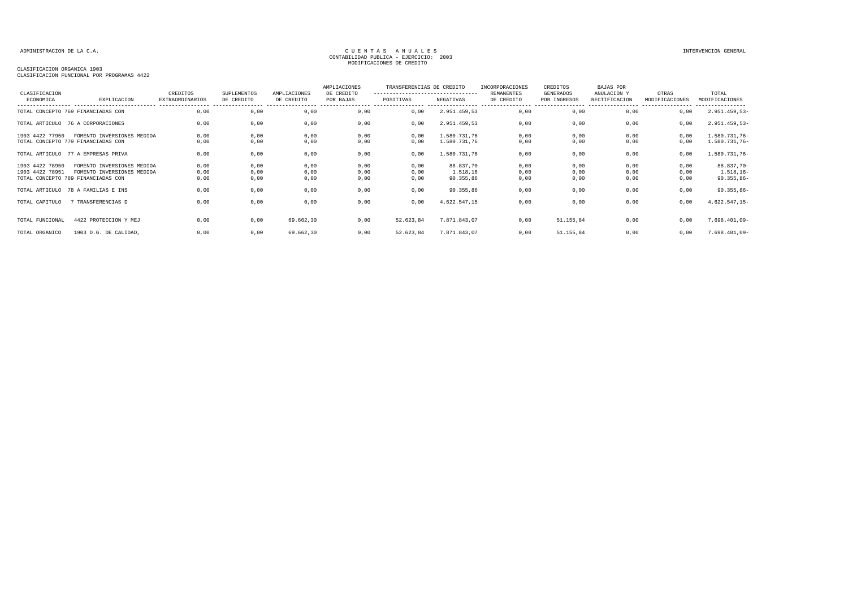### CLASIFICACION ORGANICA 1903

CLASIFICACION FUNCIONAL POR PROGRAMAS 4422

| CLASIFICACION   |                                    | CREDITOS               | SUPLEMENTOS | AMPLIACIONES | AMPLIACIONES<br>DE CREDITO | TRANSFERENCIAS DE CREDITO<br>---------------------------------- |              | INCORPORACIONES<br>REMANENTES | CREDITOS<br><b>GENERADOS</b> | BAJAS POR<br>ANULACION Y | OTRAS          | TOTAL                              |
|-----------------|------------------------------------|------------------------|-------------|--------------|----------------------------|-----------------------------------------------------------------|--------------|-------------------------------|------------------------------|--------------------------|----------------|------------------------------------|
| ECONOMICA       | EXPLICACION                        | <b>EXTRAORDINARIOS</b> | DE CREDITO  | DE CREDITO   | POR BAJAS                  | POSITIVAS                                                       | NEGATIVAS    | DE CREDITO                    | POR INGRESOS                 | RECTIFICACION            | MODIFICACIONES | MODIFICACIONES<br>---------------- |
|                 | TOTAL CONCEPTO 769 FINANCIADAS CON | 0,00                   | 0,00        | 0,00         | 0,00                       | 0,00                                                            | 2.951.459,53 | 0,00                          | 0,00                         | 0,00                     | 0,00           | $2.951.459,53-$                    |
|                 | TOTAL ARTICULO 76 A CORPORACIONES  | 0.00                   | 0,00        | 0,00         | 0,00                       | 0.00                                                            | 2.951.459,53 | 0,00                          | 0,00                         | 0.00                     | 0,00           | $2.951.459,53-$                    |
| 1903 4422 77950 | FOMENTO INVERSIONES MEDIOA         | 0,00                   | 0,00        | 0,00         | 0,00                       | 0,00                                                            | 1.580.731,76 | 0,00                          | 0,00                         | 0,00                     | 0,00           | 1.580.731,76-                      |
|                 | TOTAL CONCEPTO 779 FINANCIADAS CON | 0,00                   | 0,00        | 0,00         | 0,00                       | 0,00                                                            | 1.580.731,76 | 0,00                          | 0,00                         | 0,00                     | 0,00           | 1.580.731,76-                      |
|                 | TOTAL ARTICULO 77 A EMPRESAS PRIVA | 0,00                   | 0,00        | 0,00         | 0,00                       | 0,00                                                            | 1.580.731,76 | 0,00                          | 0,00                         | 0,00                     | 0,00           | 1.580.731,76-                      |
| 1903 4422 78950 | FOMENTO INVERSIONES MEDIOA         | 0.00                   | 0.00        | 0.00         | 0,00                       | 0.00                                                            | 88.837.70    | 0.00                          | 0,00                         | 0.00                     | 0.00           | 88.837,70-                         |
| 1903 4422 78951 | FOMENTO INVERSIONES MEDIOA         | 0,00                   | 0,00        | 0,00         | 0,00                       | 0,00                                                            | 1.518,16     | 0,00                          | 0,00                         | 0,00                     | 0,00           | $1.518, 16-$                       |
|                 | TOTAL CONCEPTO 789 FINANCIADAS CON | 0,00                   | 0,00        | 0,00         | 0,00                       | 0,00                                                            | 90.355,86    | 0,00                          | 0,00                         | 0,00                     | 0,00           | $90.355,86 -$                      |
|                 | TOTAL ARTICULO 78 A FAMILIAS E INS | 0,00                   | 0,00        | 0,00         | 0,00                       | 0,00                                                            | 90.355,86    | 0,00                          | 0,00                         | 0,00                     | 0,00           | $90.355,86 -$                      |
| TOTAL CAPITULO  | 7 TRANSFERENCIAS D                 | 0.00                   | 0,00        | 0,00         | 0,00                       | 0.00                                                            | 4.622.547,15 | 0,00                          | 0,00                         | 0,00                     | 0,00           | $4.622.547,15-$                    |
| TOTAL FUNCIONAL | 4422 PROTECCION Y MEJ              | 0.00                   | 0,00        | 69.662,30    | 0,00                       | 52.623,84                                                       | 7.871.843,07 | 0.00                          | 51.155,84                    | 0.00                     | 0,00           | 7.698.401,09-                      |
|                 |                                    |                        |             |              |                            |                                                                 |              |                               |                              |                          |                |                                    |
| TOTAL ORGANICO  | 1903 D.G. DE CALIDAD,              | 0,00                   | 0,00        | 69.662,30    | 0,00                       | 52.623,84                                                       | 7.871.843,07 | 0,00                          | 51.155,84                    | 0,00                     | 0,00           | $7.698.401,09-$                    |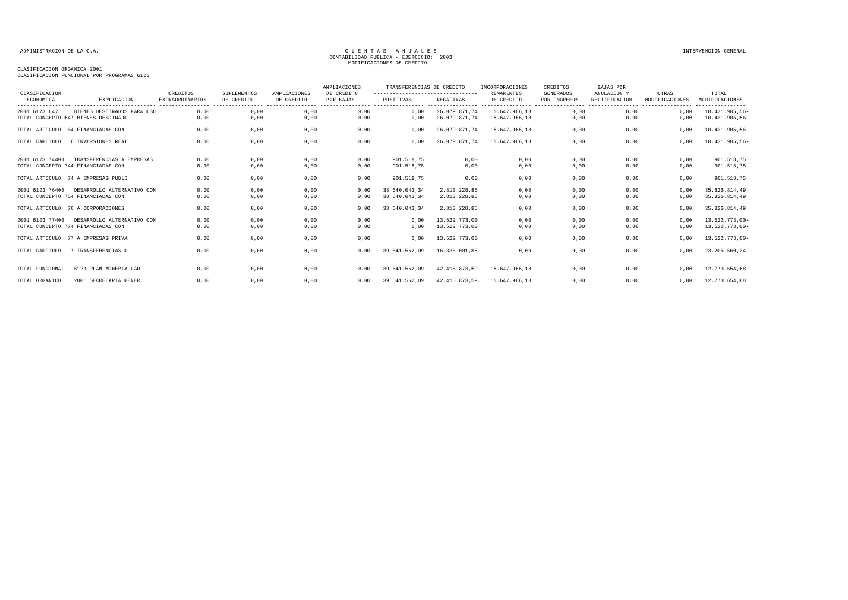| CLASIFICACION<br>ECONOMICA | EXPLICACION<br>--------------------------- | CREDITOS<br><b>EXTRAORDINARIOS</b> | SUPLEMENTOS<br>DE CREDITO | AMPLIACIONES<br>DE CREDITO | AMPLIACIONES<br>DE CREDITO<br>POR BAJAS<br>---------------- --------------- | TRANSFERENCIAS DE CREDITO<br>---------------------------------- |                               | INCORPORACIONES<br>REMANENTES | CREDITOS<br>GENERADOS             | <b>BAJAS POR</b><br>ANULACION Y | OTRAS          | TOTAL                              |
|----------------------------|--------------------------------------------|------------------------------------|---------------------------|----------------------------|-----------------------------------------------------------------------------|-----------------------------------------------------------------|-------------------------------|-------------------------------|-----------------------------------|---------------------------------|----------------|------------------------------------|
|                            |                                            |                                    |                           |                            |                                                                             | POSITIVAS                                                       | NEGATIVAS<br>---------------- | DE CREDITO<br>. <u>.</u> .    | POR INGRESOS<br>----------------- | RECTIFICACION                   | MODIFICACIONES | MODIFICACIONES<br>---------------- |
| 2001 6123 647              | BIENES DESTINADOS PARA USO                 | 0,00                               | 0,00                      | 0,00                       | 0,00                                                                        | 0,00                                                            | 26.079.871,74                 | 15.647.966,18                 | 0,00                              | 0,00                            | 0,00           | 10.431.905,56-                     |
|                            | TOTAL CONCEPTO 647 BIENES DESTINADO        | 0,00                               | 0,00                      | 0,00                       | 0,00                                                                        | 0,00                                                            | 26.079.871,74                 | 15.647.966,18                 | 0,00                              | 0,00                            | 0,00           | 10.431.905,56-                     |
|                            | TOTAL ARTICULO 64 FINANCIADAS CON          | 0.00                               | 0,00                      | 0,00                       | 0,00                                                                        | 0.00                                                            | 26.079.871.74                 | 15.647.966.18                 | 0,00                              | 0.00                            | 0,00           | 10.431.905,56-                     |
| TOTAL CAPITULO             | 6 INVERSIONES REAL                         | 0,00                               | 0,00                      | 0,00                       | 0,00                                                                        | 0.00                                                            | 26.079.871,74                 | 15.647.966.18                 | 0,00                              | 0.00                            | 0,00           | 10.431.905,56-                     |
| 2001 6123 74400            | TRANSFERENCIAS A EMPRESAS                  | 0,00                               | 0,00                      | 0,00                       | 0,00                                                                        | 901.518,75                                                      | 0,00                          | 0,00                          | 0,00                              | 0,00                            | 0,00           | 901.518,75                         |
|                            | TOTAL CONCEPTO 744 FINANCIADAS CON         | 0,00                               | 0,00                      | 0,00                       | 0,00                                                                        | 901.518,75                                                      | 0,00                          | 0,00                          | 0,00                              | 0,00                            | 0,00           | 901.518,75                         |
|                            | TOTAL ARTICULO 74 A EMPRESAS PUBLI         | 0,00                               | 0,00                      | 0,00                       | 0,00                                                                        | 901.518,75                                                      | 0,00                          | 0,00                          | 0,00                              | 0,00                            | 0,00           | 901.518,75                         |
| 2001 6123 76400            | DESARROLLO ALTERNATIVO COM                 | 0,00                               | 0,00                      | 0,00                       | 0,00                                                                        | 38.640.043,34                                                   | 2.813.228,85                  | 0,00                          | 0,00                              | 0,00                            | 0,00           | 35.826.814,49                      |
|                            | TOTAL CONCEPTO 764 FINANCIADAS CON         | 0,00                               | 0,00                      | 0,00                       | 0,00                                                                        | 38.640.043,34                                                   | 2.813.228,85                  | 0,00                          | 0,00                              | 0,00                            | 0,00           | 35.826.814,49                      |
|                            | TOTAL ARTICULO 76 A CORPORACIONES          | 0,00                               | 0,00                      | 0,00                       | 0,00                                                                        | 38.640.043,34                                                   | 2.813.228,85                  | 0,00                          | 0,00                              | 0,00                            | 0,00           | 35.826.814,49                      |
| 2001 6123 77400            | DESARROLLO ALTERNATIVO COM                 | 0,00                               | 0,00                      | 0,00                       | 0,00                                                                        | 0,00                                                            | 13.522.773.00                 | 0,00                          | 0,00                              | 0,00                            | 0,00           | 13.522.773,00-                     |
|                            | TOTAL CONCEPTO 774 FINANCIADAS CON         | 0,00                               | 0,00                      | 0,00                       | 0,00                                                                        | 0,00                                                            | 13.522.773,00                 | 0,00                          | 0,00                              | 0,00                            | 0,00           | 13.522.773,00-                     |
|                            | TOTAL ARTICULO 77 A EMPRESAS PRIVA         | 0.00                               | 0,00                      | 0,00                       | 0,00                                                                        | 0.00                                                            | 13.522.773.00                 | 0,00                          | 0,00                              | 0.00                            | 0,00           | 13.522.773,00-                     |
| TOTAL CAPITULO             | 7 TRANSFERENCIAS D                         | 0,00                               | 0,00                      | 0,00                       | 0,00                                                                        | 39.541.562,09                                                   | 16.336.001,85                 | 0,00                          | 0,00                              | 0,00                            | 0,00           | 23.205.560,24                      |
| TOTAL FUNCIONAL            | 6123 PLAN MINERIA CAR                      | 0,00                               | 0,00                      | 0,00                       | 0,00                                                                        | 39.541.562,09                                                   | 42.415.873,59                 | 15.647.966.18                 | 0,00                              | 0,00                            | 0,00           | 12.773.654,68                      |
| TOTAL ORGANICO             | 2001 SECRETARIA GENER                      | 0,00                               | 0,00                      | 0,00                       | 0,00                                                                        | 39.541.562,09                                                   | 42.415.873,59                 | 15.647.966.18                 | 0,00                              | 0,00                            | 0,00           | 12.773.654,68                      |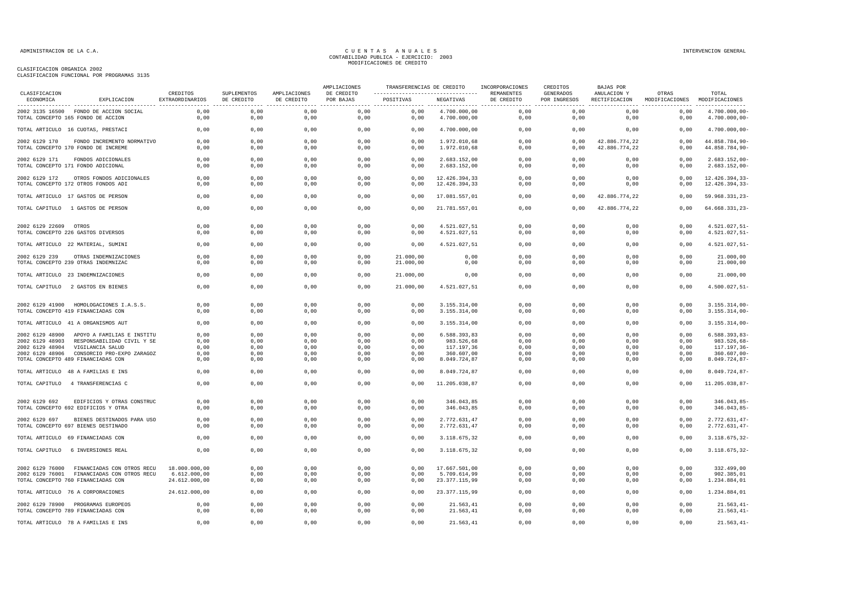## CLASIFICACION ORGANICA 2002

| CLASIFICACION FUNCIONAL POR PROGRAMAS 3135 |  |  |  |
|--------------------------------------------|--|--|--|
|                                            |  |  |  |

| CLASIFICACION                                         |                                                                                                                                                                  | CREDITOS<br>SUPLEMENTOS                        | AMPLIACIONES                         | AMPLIACIONES                         | TRANSFERENCIAS DE CREDITO            |                                      | INCORPORACIONES                                                        | CREDITOS                             | BAJAS POR                            |                                                                       |                                        |                                                                                    |
|-------------------------------------------------------|------------------------------------------------------------------------------------------------------------------------------------------------------------------|------------------------------------------------|--------------------------------------|--------------------------------------|--------------------------------------|--------------------------------------|------------------------------------------------------------------------|--------------------------------------|--------------------------------------|-----------------------------------------------------------------------|----------------------------------------|------------------------------------------------------------------------------------|
| ECONOMICA                                             | EXPLICACION                                                                                                                                                      | EXTRAORDINARIOS                                | DE CREDITO                           | DE CREDITO                           | DE CREDITO<br>POR BAJAS              | POSITIVAS                            | NEGATIVAS                                                              | REMANENTES<br>DE CREDITO             | GENERADOS<br>POR INGRESOS            | ANULACION Y<br>RECTIFICACION<br>------------------------------------- | OTRAS<br>MODIFICACIONES MODIFICACIONES | TOTAL                                                                              |
|                                                       | 2002 3135 16500 FONDO DE ACCION SOCIAL<br>TOTAL CONCEPTO 165 FONDO DE ACCION                                                                                     | 0,00<br>0,00                                   | 0,00<br>0,00                         | 0,00<br>0,00                         | 0,00<br>0,00                         | 0,00<br>0,00                         | 4.700.000,00<br>4.700.000,00                                           | 0,00<br>0,00                         | 0,00<br>0,00                         | 0,00<br>0,00                                                          | 0,00<br>0,00                           | 4.700.000,00-<br>4.700.000,00-                                                     |
|                                                       | TOTAL ARTICULO 16 CUOTAS, PRESTACI                                                                                                                               | 0,00                                           | 0,00                                 | 0,00                                 | 0,00                                 | 0,00                                 | 4.700.000,00                                                           | 0,00                                 | 0,00                                 | 0,00                                                                  | 0,00                                   | 4.700.000,00-                                                                      |
| 2002 6129 170                                         | FONDO INCREMENTO NORMATIVO<br>TOTAL CONCEPTO 170 FONDO DE INCREME                                                                                                | 0,00<br>0,00                                   | 0,00<br>0,00                         | 0,00<br>0,00                         | 0,00<br>0,00                         | 0,00<br>0,00                         | 1.972.010,68<br>1.972.010,68                                           | 0,00<br>0,00                         | 0,00<br>0,00                         | 42.886.774,22<br>42.886.774,22                                        | 0,00<br>0,00                           | 44.858.784,90-<br>44.858.784,90-                                                   |
| 2002 6129 171                                         | FONDOS ADICIONALES<br>TOTAL CONCEPTO 171 FONDO ADICIONAL                                                                                                         | 0,00<br>0,00                                   | 0,00<br>0,00                         | 0,00<br>0,00                         | 0,00<br>0,00                         | 0,00<br>0,00                         | 2.683.152,00<br>2.683.152,00                                           | 0,00<br>0,00                         | 0,00<br>0,00                         | 0,00<br>0,00                                                          | 0,00<br>0,00                           | $2.683.152,00 -$<br>$2.683.152,00 -$                                               |
| 2002 6129 172                                         | OTROS FONDOS ADICIONALES<br>TOTAL CONCEPTO 172 OTROS FONDOS ADI                                                                                                  | 0,00<br>0.00                                   | 0,00<br>0,00                         | 0,00<br>0,00                         | 0,00<br>0,00                         | 0,00<br>0,00                         | 12.426.394,33<br>12.426.394,33                                         | 0,00<br>0,00                         | 0,00<br>0.00                         | 0,00<br>0.00                                                          | 0,00<br>0,00                           | 12.426.394,33-<br>12.426.394,33-                                                   |
|                                                       | TOTAL ARTICULO 17 GASTOS DE PERSON                                                                                                                               | 0,00                                           | 0,00                                 | 0,00                                 | 0,00                                 | 0,00                                 | 17.081.557,01                                                          | 0,00                                 | 0,00                                 | 42.886.774,22                                                         | 0,00                                   | 59.968.331,23-                                                                     |
|                                                       | TOTAL CAPITULO 1 GASTOS DE PERSON                                                                                                                                | 0,00                                           | 0,00                                 | 0,00                                 | 0,00                                 | 0,00                                 | 21.781.557,01                                                          | 0,00                                 | 0,00                                 | 42.886.774,22                                                         | 0,00                                   | 64.668.331,23-                                                                     |
| 2002 6129 22609 OTROS                                 | TOTAL CONCEPTO 226 GASTOS DIVERSOS                                                                                                                               | 0,00<br>0,00                                   | 0,00<br>0,00                         | 0,00<br>0,00                         | 0,00<br>0,00                         | 0,00<br>0,00                         | 4.521.027,51<br>4.521.027,51                                           | 0,00<br>0,00                         | 0,00<br>0,00                         | 0,00<br>0,00                                                          | 0,00<br>0,00                           | $4.521.027, 51 -$<br>$4.521.027, 51 -$                                             |
|                                                       | TOTAL ARTICULO 22 MATERIAL, SUMINI                                                                                                                               | 0,00                                           | 0,00                                 | 0,00                                 | 0,00                                 | 0,00                                 | 4.521.027,51                                                           | 0,00                                 | 0,00                                 | 0,00                                                                  | 0,00                                   | $4.521.027,51-$                                                                    |
| 2002 6129 239                                         | OTRAS INDEMNIZACIONES<br>TOTAL CONCEPTO 239 OTRAS INDEMNIZAC                                                                                                     | 0,00<br>0.00                                   | 0,00<br>0.00                         | 0,00<br>0.00                         | 0,00<br>0.00                         | 21.000,00<br>21,000,00               | 0,00<br>0.00                                                           | 0,00<br>0.00                         | 0,00<br>0.00                         | 0,00<br>0.00                                                          | 0,00<br>0,00                           | 21.000,00<br>21.000,00                                                             |
|                                                       | TOTAL ARTICULO 23 INDEMNIZACIONES                                                                                                                                | 0,00                                           | 0,00                                 | 0,00                                 | 0,00                                 | 21.000,00                            | 0,00                                                                   | 0,00                                 | 0,00                                 | 0,00                                                                  | 0,00                                   | 21.000,00                                                                          |
|                                                       | TOTAL CAPITULO 2 GASTOS EN BIENES                                                                                                                                | 0,00                                           | 0,00                                 | 0,00                                 | 0,00                                 | 21.000,00                            | 4.521.027,51                                                           | 0,00                                 | 0,00                                 | 0,00                                                                  | 0,00                                   | $4.500.027, 51 -$                                                                  |
|                                                       | 2002 6129 41900 HOMOLOGACIONES I.A.S.S.<br>TOTAL CONCEPTO 419 FINANCIADAS CON                                                                                    | 0,00<br>0,00                                   | 0,00<br>0,00                         | 0,00<br>0,00                         | 0,00<br>0,00                         | 0,00<br>0,00                         | 3.155.314,00<br>3.155.314,00                                           | 0,00<br>0,00                         | 0,00<br>0,00                         | 0,00<br>0,00                                                          | 0,00<br>0,00                           | $3.155.314,00-$<br>$3.155.314,00-$                                                 |
|                                                       | TOTAL ARTICULO 41 A ORGANISMOS AUT                                                                                                                               | 0,00                                           | 0,00                                 | 0,00                                 | 0,00                                 | 0,00                                 | 3.155.314,00                                                           | 0,00                                 | 0,00                                 | 0,00                                                                  | 0,00                                   | $3.155.314,00-$                                                                    |
| 2002 6129 48903<br>2002 6129 48904<br>2002 6129 48906 | 2002 6129 48900 APOYO A FAMILIAS E INSTITU<br>RESPONSABILIDAD CIVIL Y SE<br>VIGILANCIA SALUD<br>CONSORCIO PRO-EXPO ZARAGOZ<br>TOTAL CONCEPTO 489 FINANCIADAS CON | 0,00<br>0,00<br>0.00<br>0,00<br>0,00           | 0,00<br>0,00<br>0,00<br>0,00<br>0,00 | 0,00<br>0,00<br>0,00<br>0,00<br>0,00 | 0,00<br>0,00<br>0,00<br>0,00<br>0,00 | 0,00<br>0,00<br>0,00<br>0,00<br>0,00 | 6.588.393,83<br>983.526,68<br>117.197,36<br>360.607,00<br>8.049.724,87 | 0,00<br>0,00<br>0,00<br>0,00<br>0,00 | 0,00<br>0,00<br>0,00<br>0,00<br>0,00 | 0,00<br>0,00<br>0,00<br>0,00<br>0,00                                  | 0,00<br>0,00<br>0,00<br>0,00<br>0,00   | $6.588.393, 83 -$<br>983.526,68-<br>117.197,36-<br>$360.607,00 -$<br>8.049.724,87- |
|                                                       | TOTAL ARTICULO 48 A FAMILIAS E INS                                                                                                                               | 0,00                                           | 0,00                                 | 0,00                                 | 0,00                                 | 0,00                                 | 8.049.724,87                                                           | 0,00                                 | 0,00                                 | 0,00                                                                  | 0,00                                   | 8.049.724,87-                                                                      |
|                                                       | TOTAL CAPITULO 4 TRANSFERENCIAS C                                                                                                                                | 0,00                                           | 0,00                                 | 0,00                                 | 0,00                                 | 0,00                                 | 11.205.038,87                                                          | 0,00                                 | 0,00                                 | 0,00                                                                  | 0,00                                   | 11.205.038,87-                                                                     |
| 2002 6129 692                                         | EDIFICIOS Y OTRAS CONSTRUC<br>TOTAL CONCEPTO 692 EDIFICIOS Y OTRA                                                                                                | 0,00<br>0,00                                   | 0,00<br>0,00                         | 0,00<br>0,00                         | 0,00<br>0,00                         | 0,00<br>0,00                         | 346.043,85<br>346.043,85                                               | 0,00<br>0,00                         | 0,00<br>0,00                         | 0,00<br>0,00                                                          | 0,00<br>0,00                           | $346.043,85-$<br>346.043,85-                                                       |
| 2002 6129 697                                         | BIENES DESTINADOS PARA USO<br>TOTAL CONCEPTO 697 BIENES DESTINADO                                                                                                | 0,00<br>0.00                                   | 0,00<br>0.00                         | 0,00<br>0,00                         | 0,00<br>0,00                         | 0,00<br>0.00                         | 2.772.631,47<br>2.772.631.47                                           | 0,00<br>0.00                         | 0,00<br>0.00                         | 0,00<br>0.00                                                          | 0,00<br>0.00                           | $2.772.631,47-$<br>$2.772.631,47-$                                                 |
|                                                       | TOTAL ARTICULO 69 FINANCIADAS CON                                                                                                                                | 0,00                                           | 0,00                                 | 0,00                                 | 0,00                                 | 0,00                                 | 3.118.675,32                                                           | 0,00                                 | 0,00                                 | 0,00                                                                  | 0,00                                   | $3.118.675, 32-$                                                                   |
| TOTAL CAPITULO                                        | 6 INVERSIONES REAL                                                                                                                                               | 0,00                                           | 0,00                                 | 0,00                                 | 0,00                                 | 0,00                                 | 3.118.675,32                                                           | 0,00                                 | 0,00                                 | 0,00                                                                  | 0,00                                   | $3.118.675, 32-$                                                                   |
| 2002 6129 76000                                       | FINANCIADAS CON OTROS RECU<br>2002 6129 76001 FINANCIADAS CON OTROS RECU<br>TOTAL CONCEPTO 760 FINANCIADAS CON                                                   | 18.000.000,00<br>6.612.000,00<br>24.612.000,00 | 0,00<br>0,00<br>0,00                 | 0,00<br>0,00<br>0,00                 | 0,00<br>0,00<br>0,00                 | 0,00<br>0,00<br>0,00                 | 17.667.501,00<br>5.709.614,99<br>23.377.115,99                         | 0,00<br>0,00<br>0,00                 | 0,00<br>0,00<br>0,00                 | 0,00<br>0,00<br>0,00                                                  | 0,00<br>0,00<br>0,00                   | 332.499,00<br>902.385,01<br>1.234.884,01                                           |
|                                                       | TOTAL ARTICULO 76 A CORPORACIONES                                                                                                                                | 24.612.000,00                                  | 0,00                                 | 0,00                                 | 0,00                                 | 0,00                                 | 23.377.115,99                                                          | 0,00                                 | 0,00                                 | 0,00                                                                  | 0,00                                   | 1.234.884,01                                                                       |
|                                                       | 2002 6129 78900 PROGRAMAS EUROPEOS<br>TOTAL CONCEPTO 789 FINANCIADAS CON                                                                                         | 0.00<br>0,00                                   | 0.00<br>0,00                         | 0,00<br>0,00                         | 0.00<br>0,00                         | 0.00<br>0,00                         | 21.563,41<br>21.563,41                                                 | 0.00<br>0,00                         | 0.00<br>0,00                         | 0.00<br>0,00                                                          | 0,00<br>0,00                           | $21.563.41 -$<br>$21.563, 41-$                                                     |
|                                                       | TOTAL ARTICULO 78 A FAMILIAS E INS                                                                                                                               | 0,00                                           | 0,00                                 | 0,00                                 | 0,00                                 | 0,00                                 | 21.563,41                                                              | 0,00                                 | 0,00                                 | 0,00                                                                  | 0,00                                   | $21.563, 41-$                                                                      |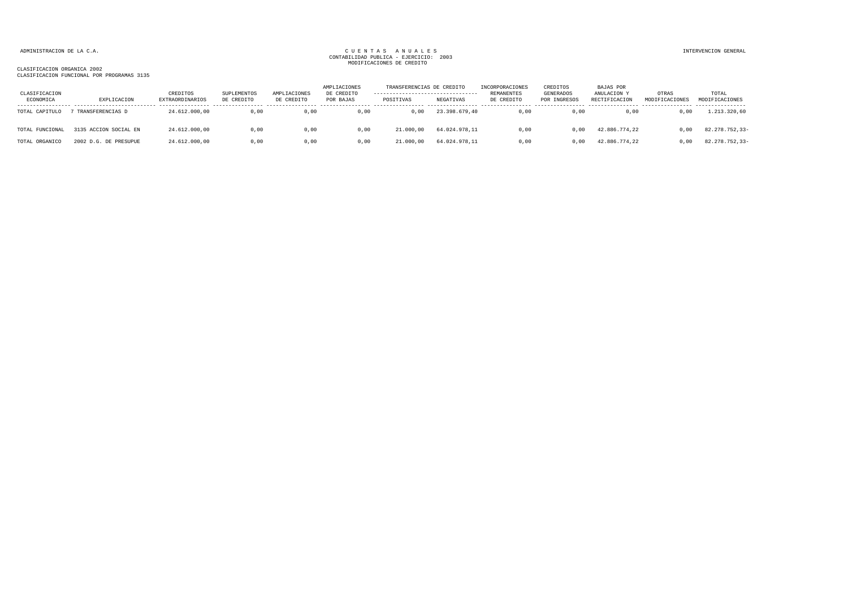### CLASIFICACION ORGANICA 2002 CLASIFICACION FUNCIONAL POR PROGRAMAS 3135

| CLASIFICACION<br>ECONOMICA | EXPLICACION           | CREDITOS<br>EXTRAORDINARIOS | SUPLEMENTOS<br>DE CREDITO | AMPLIACIONES<br>DE CREDITO | AMPLIACIONES<br>DE CREDITO<br>POR BAJAS | TRANSFERENCIAS DE CREDITO<br>----------------------------------<br>POSITIVAS | NEGATIVAS     | INCORPORACIONES<br>REMANENTES<br>DE CREDITO | CREDITOS<br>GENERADOS<br>POR INGRESOS | BAJAS POR<br>ANULACION Y<br>RECTIFICACION | OTRAS<br>MODIFICACIONES | TOTAL<br>MODIFICACIONES |
|----------------------------|-----------------------|-----------------------------|---------------------------|----------------------------|-----------------------------------------|------------------------------------------------------------------------------|---------------|---------------------------------------------|---------------------------------------|-------------------------------------------|-------------------------|-------------------------|
| TOTAL CAPITULO             | TRANSFERENCIAS D      | 24.612.000,00               | 0,00                      | 0,00                       | 0,00                                    | D.OO                                                                         | 23.398.679,40 | 0,00                                        | 0,00                                  | 0,00                                      | 0,00                    | 1.213.320,60            |
| TOTAL FUNCIONAL            | 3135 ACCION SOCIAL EN | 24.612.000.00               | 0,00                      | 0,00                       | 0,00                                    | 21,000,00                                                                    | 64.024.978.11 | 0,00                                        | 0.00                                  | 42.886.774.22                             | 0.00                    | 82.278.752,33-          |
| TOTAL ORGANICO             | 2002 D.G. DE PRESUPUE | 24.612.000.00               | 0,00                      | 0.00                       | 0.00                                    | 21,000,00                                                                    | 64.024.978.11 | 0.00                                        | 0.00                                  | 42.886.774.22                             | 0.00                    | 82.278.752,33-          |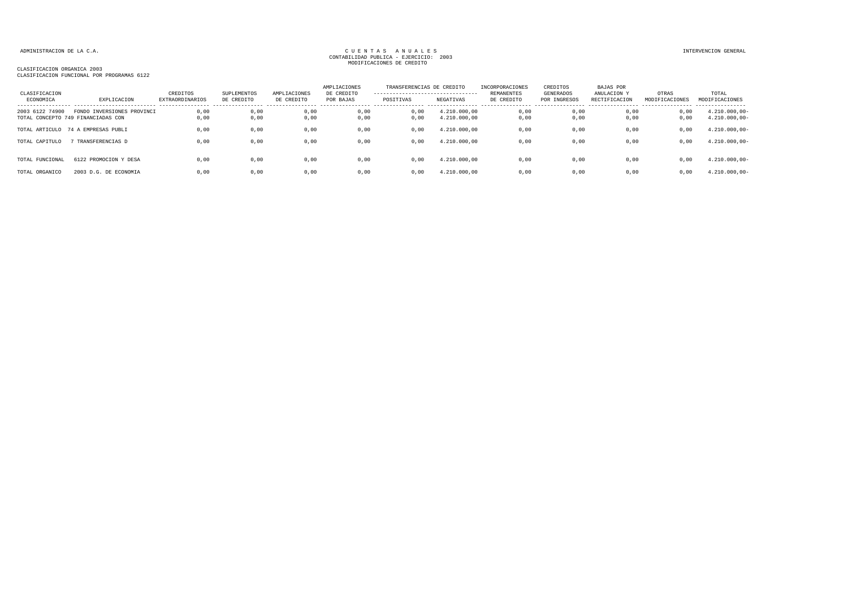### CLASIFICACION ORGANICA 2003 CLASIFICACION FUNCIONAL POR PROGRAMAS 6122

| CLASIFICACION<br>ECONOMICA | EXPLICACION                                                      | CREDITOS<br><b>EXTRAORDINARIOS</b> | SUPLEMENTOS<br>DE CREDITO | AMPLIACIONES<br>DE CREDITO | AMPLIACIONES<br>DE CREDITO<br>POR BAJAS | TRANSFERENCIAS DE CREDITO<br>---------------------------------<br>POSITIVAS | NEGATIVAS                    | INCORPORACIONES<br><b>REMANENTES</b><br>DE CREDITO | CREDITOS<br>GENERADOS<br>POR INGRESOS | BAJAS POR<br>ANULACION Y<br>RECTIFICACION | OTRAS<br>MODIFICACIONES | TOTAL<br>MODIFICACIONES                                 |
|----------------------------|------------------------------------------------------------------|------------------------------------|---------------------------|----------------------------|-----------------------------------------|-----------------------------------------------------------------------------|------------------------------|----------------------------------------------------|---------------------------------------|-------------------------------------------|-------------------------|---------------------------------------------------------|
| 2003 6122 74900            | FONDO INVERSIONES PROVINCI<br>TOTAL CONCEPTO 749 FINANCIADAS CON | 0,00<br>0,00                       | 0,00<br>0,00              | 0,00<br>0,00               | 0,00<br>0,00                            | 0,00<br>0,00                                                                | 4.210.000,00<br>4.210.000,00 | 0,00<br>0,00                                       | 0,00<br>0,00                          | 0,00<br>0,00                              | 0,00<br>0,00            | ----------------<br>$4.210.000,00 -$<br>$4.210.000,00-$ |
|                            | TOTAL ARTICULO 74 A EMPRESAS PUBLI                               | 0.00                               | 0,00                      | 0,00                       | 0,00                                    | 0.00                                                                        | 4.210.000.00                 | 0,00                                               | 0,00                                  | 0,00                                      | 0,00                    | $4.210.000,00 -$                                        |
| TOTAL CAPITULO             | TRANSFERENCIAS D                                                 | 0,00                               | 0,00                      | 0,00                       | 0,00                                    | 0,00                                                                        | 4.210.000,00                 | 0,00                                               | 0,00                                  | 0,00                                      | 0,00                    | $4.210.000,00-$                                         |
| TOTAL FUNCIONAL            | 6122 PROMOCION Y DESA                                            | 0.00                               | 0,00                      | 0,00                       | 0,00                                    | 0,00                                                                        | 4.210.000.00                 | 0,00                                               | 0,00                                  | 0.00                                      | 0,00                    | $4.210.000,00 -$                                        |
| TOTAL ORGANICO             | 2003 D.G. DE ECONOMIA                                            | 0.00                               | 0.00                      | 0.00                       | 0.00                                    | 0.00                                                                        | 4.210.000.00                 | 0.00                                               | 0.00                                  | 0.00                                      | 0.00                    | $4.210.000,00-$                                         |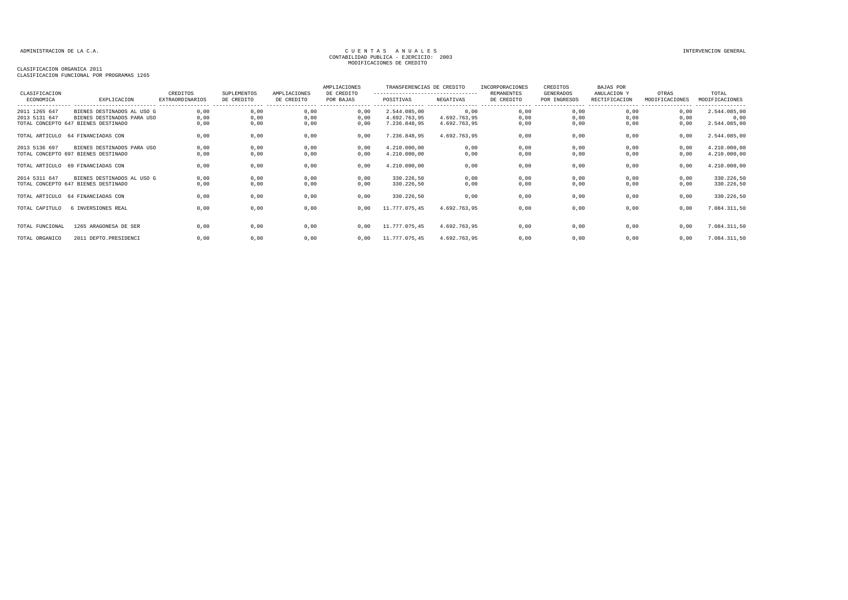### CLASIFICACION ORGANICA 2011 CLASIFICACION FUNCIONAL POR PROGRAMAS 1265

| CLASIFICACION<br>ECONOMICA | EXPLICACION                         | CREDITOS<br><b>EXTRAORDINARIOS</b> | <b>SUPLEMENTOS</b><br>DE CREDITO | AMPLIACIONES<br>DE CREDITO | AMPLIACIONES<br>DE CREDITO<br>POR BAJAS | TRANSFERENCIAS DE CREDITO<br>----------------------------------<br>POSITIVAS | NEGATIVAS    | INCORPORACIONES<br>REMANENTES<br>DE CREDITO | CREDITOS<br>GENERADOS<br>POR INGRESOS | BAJAS POR<br>ANULACION Y<br>RECTIFICACION | OTRAS<br>MODIFICACIONES | TOTAL<br>MODIFICACIONES |
|----------------------------|-------------------------------------|------------------------------------|----------------------------------|----------------------------|-----------------------------------------|------------------------------------------------------------------------------|--------------|---------------------------------------------|---------------------------------------|-------------------------------------------|-------------------------|-------------------------|
| 2011 1265 647              | BIENES DESTINADOS AL USO G          | 0,00                               | 0,00                             | 0,00                       | 0,00                                    | 2.544.085,00                                                                 | 0,00         | 0,00                                        | 0,00                                  | 0.00                                      | 0,00                    | 2.544.085,00            |
| 2013 5131 647              | BIENES DESTINADOS PARA USO          | 0,00                               | 0,00                             | 0,00                       | 0,00                                    | 4.692.763,95                                                                 | 4.692.763.95 | 0,00                                        | 0,00                                  | 0,00                                      | 0,00                    | 0,00                    |
|                            | TOTAL CONCEPTO 647 BIENES DESTINADO | 0,00                               | 0,00                             | 0,00                       | 0,00                                    | 7.236.848,95                                                                 | 4.692.763,95 | 0,00                                        | 0,00                                  | 0,00                                      | 0,00                    | 2.544.085,00            |
|                            | TOTAL ARTICULO 64 FINANCIADAS CON   | 0,00                               | 0,00                             | 0,00                       | 0,00                                    | 7.236.848,95                                                                 | 4.692.763,95 | 0,00                                        | 0,00                                  | 0,00                                      | 0,00                    | 2.544.085,00            |
| 2013 5136 697              | BIENES DESTINADOS PARA USO          | 0,00                               | 0,00                             | 0,00                       | 0,00                                    | 4.210.000,00                                                                 | 0,00         | 0,00                                        | 0,00                                  | 0,00                                      | 0,00                    | 4.210.000,00            |
|                            | TOTAL CONCEPTO 697 BIENES DESTINADO | 0,00                               | 0,00                             | 0,00                       | 0,00                                    | 4.210.000,00                                                                 | 0,00         | 0,00                                        | 0,00                                  | 0,00                                      | 0,00                    | 4.210.000,00            |
|                            | TOTAL ARTICULO 69 FINANCIADAS CON   | 0,00                               | 0,00                             | 0,00                       | 0,00                                    | 4.210.000,00                                                                 | 0,00         | 0,00                                        | 0,00                                  | 0,00                                      | 0,00                    | 4.210.000,00            |
| 2014 5311 647              | BIENES DESTINADOS AL USO G          | 0,00                               | 0,00                             | 0,00                       | 0,00                                    | 330.226,50                                                                   | 0,00         | 0,00                                        | 0,00                                  | 0,00                                      | 0,00                    | 330.226,50              |
|                            | TOTAL CONCEPTO 647 BIENES DESTINADO | 0,00                               | 0,00                             | 0,00                       | 0,00                                    | 330.226,50                                                                   | 0,00         | 0,00                                        | 0,00                                  | 0,00                                      | 0,00                    | 330.226,50              |
|                            | TOTAL ARTICULO 64 FINANCIADAS CON   | 0.00                               | 0,00                             | 0,00                       | 0,00                                    | 330.226,50                                                                   | 0,00         | 0,00                                        | 0,00                                  | 0.00                                      | 0,00                    | 330.226,50              |
| TOTAL CAPITULO             | 6 INVERSIONES REAL                  | 0.00                               | 0,00                             | 0,00                       | 0.00                                    | 11.777.075,45                                                                | 4.692.763.95 | 0,00                                        | 0,00                                  | 0,00                                      | 0,00                    | 7.084.311,50            |
| TOTAL FUNCIONAL            | 1265 ARAGONESA DE SER               | 0,00                               | 0,00                             | 0,00                       | 0.00                                    | 11.777.075,45                                                                | 4.692.763.95 | 0,00                                        | 0,00                                  | 0,00                                      | 0,00                    | 7.084.311,50            |
| TOTAL ORGANICO             | 2011 DEPTO.PRESIDENCI               | 0,00                               | 0,00                             | 0,00                       | 0.00                                    | 11.777.075,45                                                                | 4.692.763,95 | 0,00                                        | 0,00                                  | 0,00                                      | 0,00                    | 7.084.311,50            |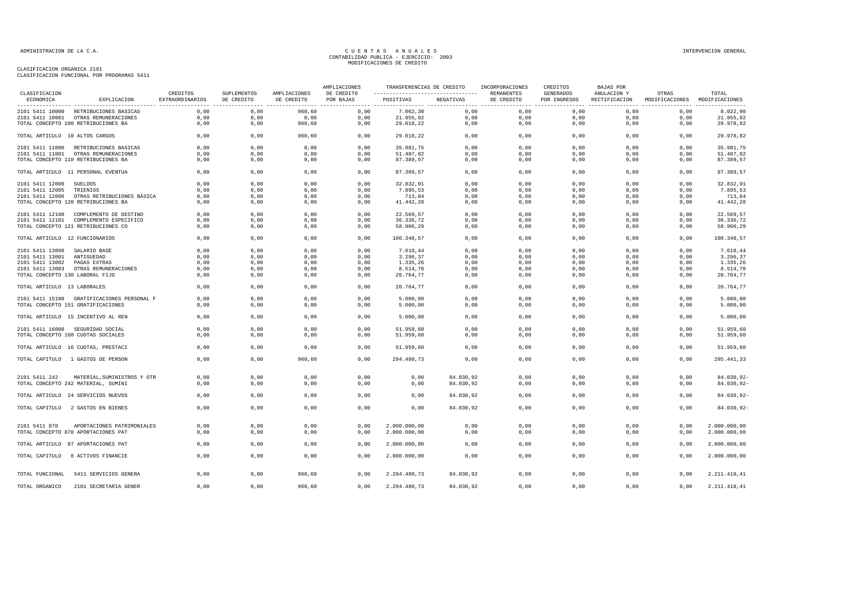CLASIFICACION ORGANICA 2101 CLASIFICACION FUNCIONAL POR PROGRAMAS 5411

| ----------------------------------<br>POSITIVAS<br>NEGATIVAS<br>DE CREDITO<br>ECONOMICA<br>EXPLICACION<br>EXTRAORDINARIOS<br>DE CREDITO<br>DE CREDITO<br>POR BAJAS<br>POR INGRESOS<br>RECTIFICACION<br>MODIFICACIONES MODIFICACIONES<br>0,00<br>960,60<br>0,00<br>7.062,30<br>0,00<br>0,00<br>0,00<br>0,00<br>0,00<br>8.022,90<br>2101 5411 10000 RETRIBUCIONES BASICAS<br>0,00<br>21.955,92<br>0,00<br>0,00<br>21.955,92<br>0,00<br>0,00<br>0,00<br>0,00<br>0,00<br>0,00<br>0,00<br>2101 5411 10001 OTRAS REMUNERACIONES<br>TOTAL CONCEPTO 100 RETRIBUCIONES BA<br>0,00<br>0,00<br>960,60<br>0,00<br>29.018,22<br>0,00<br>0,00<br>0,00<br>0.00<br>0,00<br>29.978,82<br>TOTAL ARTICULO 10 ALTOS CARGOS<br>0.00<br>0,00<br>960.60<br>0.00<br>29.018.22<br>0,00<br>0,00<br>0.00<br>0.00<br>0,00<br>29.978,82<br>2101 5411 11000 RETRIBUCIONES BASICAS<br>0.00<br>0.00<br>0.00<br>0.00<br>35.981,75<br>0.00<br>0.00<br>0.00<br>0.00<br>0.00<br>35.981,75<br>0,00<br>0,00<br>0,00<br>0,00<br>51.407,82<br>0,00<br>0,00<br>0,00<br>0,00<br>0,00<br>51.407,82<br>2101 5411 11001 OTRAS REMUNERACIONES<br>TOTAL CONCEPTO 110 RETRIBUCIONES BA<br>0,00<br>0,00<br>0,00<br>0,00<br>87.389,57<br>0,00<br>0,00<br>0,00<br>0,00<br>0,00<br>87.389,57<br>0,00<br>0,00<br>87.389,57<br>TOTAL ARTICULO 11 PERSONAL EVENTUA<br>0,00<br>0,00<br>0,00<br>87.389,57<br>0,00<br>0,00<br>0,00<br>0,00<br>0,00<br>0,00<br>0,00<br>32.832,91<br>0,00<br>0,00<br>0,00<br>0,00<br>0,00<br>32.832,91<br>2101 5411 12000<br>SUELDOS<br>0,00<br>7.895,53<br>2101 5411 12005<br>TRIENIOS<br>0,00<br>0,00<br>0,00<br>0,00<br>7.895,53<br>0,00<br>0,00<br>0,00<br>0,00<br>0,00<br>2101 5411 12006 OTRAS RETRIBUCIONES BÁSICA<br>0,00<br>0,00<br>0,00<br>0,00<br>0,00<br>0,00<br>0,00<br>713,84<br>0,00<br>0,00<br>713,84<br>TOTAL CONCEPTO 120 RETRIBUCIONES BA<br>0,00<br>0,00<br>0,00<br>0,00<br>41.442,28<br>0,00<br>0,00<br>0,00<br>0,00<br>0,00<br>41.442,28<br>0,00<br>0,00<br>0,00<br>0,00<br>0,00<br>0,00<br>0,00<br>22.569,57<br>2101 5411 12100 COMPLEMENTO DE DESTINO<br>0,00<br>22.569,57<br>0,00<br>0,00<br>36.336,72<br>0,00<br>0,00<br>0,00<br>36.336,72<br>2101 5411 12101 COMPLEMENTO ESPECIFICO<br>0,00<br>0,00<br>0,00<br>0,00<br>0,00<br>TOTAL CONCEPTO 121 RETRIBUCIONES CO<br>0,00<br>58.906,29<br>0,00<br>0,00<br>0,00<br>58.906,29<br>0,00<br>0,00<br>0,00<br>0,00<br>0,00<br>TOTAL ARTICULO 12 FUNCIONARIOS<br>0,00<br>0,00<br>0,00<br>0,00<br>100.348,57<br>0,00<br>0,00<br>0,00<br>0,00<br>0,00<br>100.348,57<br>2101 5411 13000 SALARIO BASE<br>0,00<br>0,00<br>0,00<br>0,00<br>7.618,44<br>0,00<br>0,00<br>0.00<br>0.00<br>0,00<br>7.618,44<br>0,00<br>0,00<br>0,00<br>3.296,37<br>0,00<br>0,00<br>0,00<br>0,00<br>0,00<br>0,00<br>3.296,37<br>2101 5411 13001<br>ANTIGUEDAD<br>2101 5411 13002<br>PAGAS EXTRAS<br>0.00<br>0,00<br>0,00<br>0,00<br>1.335,26<br>0,00<br>0,00<br>0,00<br>0.00<br>0,00<br>1.335,26<br>8.514,70<br>2101 5411 13003<br>OTRAS REMUNERACIONES<br>0,00<br>0,00<br>0,00<br>0,00<br>8.514,70<br>0,00<br>0,00<br>0,00<br>0,00<br>0,00<br>TOTAL CONCEPTO 130 LABORAL FIJO<br>0,00<br>0,00<br>0,00<br>0,00<br>20.764,77<br>0,00<br>0,00<br>0,00<br>0,00<br>0,00<br>20.764,77<br>0,00<br>0,00<br>0,00<br>0,00<br>0,00<br>0,00<br>0,00<br>20.764,77<br>TOTAL ARTICULO 13 LABORALES<br>0,00<br>20.764,77<br>0,00<br>0,00<br>0,00<br>0,00<br>0,00<br>5.000,00<br>0,00<br>0,00<br>0,00<br>0,00<br>0,00<br>5.000,00<br>2101 5411 15100 GRATIFICACIONES PERSONAL F<br>TOTAL CONCEPTO 151 GRATIFICACIONES<br>0,00<br>0,00<br>0,00<br>0,00<br>5.000,00<br>0,00<br>0,00<br>0,00<br>0,00<br>0,00<br>5.000,00<br>TOTAL ARTICULO 15 INCENTIVO AL REN<br>0,00<br>0,00<br>0,00<br>0,00<br>5.000,00<br>0,00<br>0,00<br>0,00<br>0,00<br>0,00<br>5.000,00<br>0,00<br>0,00<br>0,00<br>51.959,60<br>0,00<br>0,00<br>0,00<br>0,00<br>0,00<br>51.959,60<br>2101 5411 16000 SEGURIDAD SOCIAL<br>0,00<br>0,00<br>51.959,60<br>TOTAL CONCEPTO 160 CUOTAS SOCIALES<br>0,00<br>0,00<br>0,00<br>0,00<br>51.959,60<br>0,00<br>0,00<br>0,00<br>0,00<br>0,00<br>0,00<br>0,00<br>0,00<br>0,00<br>0,00<br>0,00<br>0,00<br>0,00<br>51.959,60<br>TOTAL ARTICULO 16 CUOTAS, PRESTACI<br>51.959,60<br>0,00<br>960,60<br>0,00<br>0,00<br>0,00<br>0,00<br>0,00<br>295.441,33<br>TOTAL CAPITULO 1 GASTOS DE PERSON<br>0,00<br>294.480,73<br>0,00<br>0.00<br>2101 5411 242<br>MATERIAL, SUMINISTROS Y OTR<br>0.00<br>0.00<br>0.00<br>0.00<br>0.00<br>84.030.92<br>0.00<br>0.00<br>0.00<br>0,00<br>0,00<br>0,00<br>0,00<br>0,00<br>0,00<br>TOTAL CONCEPTO 242 MATERIAL, SUMINI<br>0,00<br>0,00<br>0,00<br>84.030,92<br>0,00<br>0,00<br>0,00<br>0,00<br>0,00<br>0,00<br>0,00<br>0,00<br>TOTAL ARTICULO 24 SERVICIOS NUEVOS<br>0,00<br>84.030,92<br>0,00<br>0,00<br>0,00<br>0,00<br>0,00<br>84.030,92<br>0,00<br>0,00<br>0,00<br>0,00<br>TOTAL CAPITULO 2 GASTOS EN BIENES<br>0,00<br>0,00<br>0,00<br>0,00<br>0,00<br>2.000.000,00<br>0,00<br>0,00<br>0,00<br>0,00<br>2.000.000,00<br>2101 5411 870<br>APORTACIONES PATRIMONIALES<br>TOTAL CONCEPTO 870 APORTACIONES PAT<br>0,00<br>0,00<br>0,00<br>0,00<br>2.000.000,00<br>0,00<br>0,00<br>0,00<br>0,00<br>0.00<br>2.000.000,00<br>0,00<br>0,00<br>0,00<br>TOTAL ARTICULO 87 APORTACIONES PAT<br>0,00<br>0,00<br>0,00<br>2.000.000,00<br>0,00<br>0,00<br>0,00<br>2.000.000,00<br>0,00<br>2.000.000,00<br>TOTAL CAPITULO 8 ACTIVOS FINANCIE<br>0,00<br>0,00<br>0,00<br>0,00<br>2.000.000,00<br>0,00<br>0,00<br>0,00<br>0,00<br>0,00<br>2.211.410,41<br>5411 SERVICIOS GENERA<br>0,00<br>0,00<br>960,60<br>0,00<br>2.294.480,73<br>84.030,92<br>0,00<br>0,00<br>0,00<br>TOTAL FUNCIONAL<br>0,00<br>960,60<br>84.030,92<br>0,00<br>0,00<br>2.211.410,41<br>TOTAL ORGANICO<br>2101 SECRETARIA GENER<br>0,00<br>0,00<br>2.294.480,73<br>0,00<br>0,00 |               |          |             |              | AMPLIACIONES | TRANSFERENCIAS DE CREDITO | INCORPORACIONES | CREDITOS  | BAJAS POR   |       |            |
|-----------------------------------------------------------------------------------------------------------------------------------------------------------------------------------------------------------------------------------------------------------------------------------------------------------------------------------------------------------------------------------------------------------------------------------------------------------------------------------------------------------------------------------------------------------------------------------------------------------------------------------------------------------------------------------------------------------------------------------------------------------------------------------------------------------------------------------------------------------------------------------------------------------------------------------------------------------------------------------------------------------------------------------------------------------------------------------------------------------------------------------------------------------------------------------------------------------------------------------------------------------------------------------------------------------------------------------------------------------------------------------------------------------------------------------------------------------------------------------------------------------------------------------------------------------------------------------------------------------------------------------------------------------------------------------------------------------------------------------------------------------------------------------------------------------------------------------------------------------------------------------------------------------------------------------------------------------------------------------------------------------------------------------------------------------------------------------------------------------------------------------------------------------------------------------------------------------------------------------------------------------------------------------------------------------------------------------------------------------------------------------------------------------------------------------------------------------------------------------------------------------------------------------------------------------------------------------------------------------------------------------------------------------------------------------------------------------------------------------------------------------------------------------------------------------------------------------------------------------------------------------------------------------------------------------------------------------------------------------------------------------------------------------------------------------------------------------------------------------------------------------------------------------------------------------------------------------------------------------------------------------------------------------------------------------------------------------------------------------------------------------------------------------------------------------------------------------------------------------------------------------------------------------------------------------------------------------------------------------------------------------------------------------------------------------------------------------------------------------------------------------------------------------------------------------------------------------------------------------------------------------------------------------------------------------------------------------------------------------------------------------------------------------------------------------------------------------------------------------------------------------------------------------------------------------------------------------------------------------------------------------------------------------------------------------------------------------------------------------------------------------------------------------------------------------------------------------------------------------------------------------------------------------------------------------------------------------------------------------------------------------------------------------------------------------------------------------------------------------------------------------------------------------------------------------------------------------------------------------------------------------------------------------------------------------------------------------------------------------------------------------------------------------------------------------------------------------------------------------------------------------------------------------------------------------------------------------------------------------------------------------------------------------------------------------------------------------------------------------------------------------------------------------------------------------------------------------------------------------------------------------------------------------------------------------------------------------------------------------------------------------------------------------------------------------------------------------------------------------------------------------------------|---------------|----------|-------------|--------------|--------------|---------------------------|-----------------|-----------|-------------|-------|------------|
|                                                                                                                                                                                                                                                                                                                                                                                                                                                                                                                                                                                                                                                                                                                                                                                                                                                                                                                                                                                                                                                                                                                                                                                                                                                                                                                                                                                                                                                                                                                                                                                                                                                                                                                                                                                                                                                                                                                                                                                                                                                                                                                                                                                                                                                                                                                                                                                                                                                                                                                                                                                                                                                                                                                                                                                                                                                                                                                                                                                                                                                                                                                                                                                                                                                                                                                                                                                                                                                                                                                                                                                                                                                                                                                                                                                                                                                                                                                                                                                                                                                                                                                                                                                                                                                                                                                                                                                                                                                                                                                                                                                                                                                                                                                                                                                                                                                                                                                                                                                                                                                                                                                                                                                                                                                                                                                                                                                                                                                                                                                                                                                                                                                                                                                                                                       | CLASIFICACION | CREDITOS | SUPLEMENTOS | AMPLIACIONES | DE CREDITO   |                           | REMANENTES      | GENERADOS | ANULACION Y | OTRAS | TOTAL      |
|                                                                                                                                                                                                                                                                                                                                                                                                                                                                                                                                                                                                                                                                                                                                                                                                                                                                                                                                                                                                                                                                                                                                                                                                                                                                                                                                                                                                                                                                                                                                                                                                                                                                                                                                                                                                                                                                                                                                                                                                                                                                                                                                                                                                                                                                                                                                                                                                                                                                                                                                                                                                                                                                                                                                                                                                                                                                                                                                                                                                                                                                                                                                                                                                                                                                                                                                                                                                                                                                                                                                                                                                                                                                                                                                                                                                                                                                                                                                                                                                                                                                                                                                                                                                                                                                                                                                                                                                                                                                                                                                                                                                                                                                                                                                                                                                                                                                                                                                                                                                                                                                                                                                                                                                                                                                                                                                                                                                                                                                                                                                                                                                                                                                                                                                                                       |               |          |             |              |              |                           |                 |           |             |       |            |
|                                                                                                                                                                                                                                                                                                                                                                                                                                                                                                                                                                                                                                                                                                                                                                                                                                                                                                                                                                                                                                                                                                                                                                                                                                                                                                                                                                                                                                                                                                                                                                                                                                                                                                                                                                                                                                                                                                                                                                                                                                                                                                                                                                                                                                                                                                                                                                                                                                                                                                                                                                                                                                                                                                                                                                                                                                                                                                                                                                                                                                                                                                                                                                                                                                                                                                                                                                                                                                                                                                                                                                                                                                                                                                                                                                                                                                                                                                                                                                                                                                                                                                                                                                                                                                                                                                                                                                                                                                                                                                                                                                                                                                                                                                                                                                                                                                                                                                                                                                                                                                                                                                                                                                                                                                                                                                                                                                                                                                                                                                                                                                                                                                                                                                                                                                       |               |          |             |              |              |                           |                 |           |             |       |            |
|                                                                                                                                                                                                                                                                                                                                                                                                                                                                                                                                                                                                                                                                                                                                                                                                                                                                                                                                                                                                                                                                                                                                                                                                                                                                                                                                                                                                                                                                                                                                                                                                                                                                                                                                                                                                                                                                                                                                                                                                                                                                                                                                                                                                                                                                                                                                                                                                                                                                                                                                                                                                                                                                                                                                                                                                                                                                                                                                                                                                                                                                                                                                                                                                                                                                                                                                                                                                                                                                                                                                                                                                                                                                                                                                                                                                                                                                                                                                                                                                                                                                                                                                                                                                                                                                                                                                                                                                                                                                                                                                                                                                                                                                                                                                                                                                                                                                                                                                                                                                                                                                                                                                                                                                                                                                                                                                                                                                                                                                                                                                                                                                                                                                                                                                                                       |               |          |             |              |              |                           |                 |           |             |       |            |
|                                                                                                                                                                                                                                                                                                                                                                                                                                                                                                                                                                                                                                                                                                                                                                                                                                                                                                                                                                                                                                                                                                                                                                                                                                                                                                                                                                                                                                                                                                                                                                                                                                                                                                                                                                                                                                                                                                                                                                                                                                                                                                                                                                                                                                                                                                                                                                                                                                                                                                                                                                                                                                                                                                                                                                                                                                                                                                                                                                                                                                                                                                                                                                                                                                                                                                                                                                                                                                                                                                                                                                                                                                                                                                                                                                                                                                                                                                                                                                                                                                                                                                                                                                                                                                                                                                                                                                                                                                                                                                                                                                                                                                                                                                                                                                                                                                                                                                                                                                                                                                                                                                                                                                                                                                                                                                                                                                                                                                                                                                                                                                                                                                                                                                                                                                       |               |          |             |              |              |                           |                 |           |             |       |            |
|                                                                                                                                                                                                                                                                                                                                                                                                                                                                                                                                                                                                                                                                                                                                                                                                                                                                                                                                                                                                                                                                                                                                                                                                                                                                                                                                                                                                                                                                                                                                                                                                                                                                                                                                                                                                                                                                                                                                                                                                                                                                                                                                                                                                                                                                                                                                                                                                                                                                                                                                                                                                                                                                                                                                                                                                                                                                                                                                                                                                                                                                                                                                                                                                                                                                                                                                                                                                                                                                                                                                                                                                                                                                                                                                                                                                                                                                                                                                                                                                                                                                                                                                                                                                                                                                                                                                                                                                                                                                                                                                                                                                                                                                                                                                                                                                                                                                                                                                                                                                                                                                                                                                                                                                                                                                                                                                                                                                                                                                                                                                                                                                                                                                                                                                                                       |               |          |             |              |              |                           |                 |           |             |       |            |
|                                                                                                                                                                                                                                                                                                                                                                                                                                                                                                                                                                                                                                                                                                                                                                                                                                                                                                                                                                                                                                                                                                                                                                                                                                                                                                                                                                                                                                                                                                                                                                                                                                                                                                                                                                                                                                                                                                                                                                                                                                                                                                                                                                                                                                                                                                                                                                                                                                                                                                                                                                                                                                                                                                                                                                                                                                                                                                                                                                                                                                                                                                                                                                                                                                                                                                                                                                                                                                                                                                                                                                                                                                                                                                                                                                                                                                                                                                                                                                                                                                                                                                                                                                                                                                                                                                                                                                                                                                                                                                                                                                                                                                                                                                                                                                                                                                                                                                                                                                                                                                                                                                                                                                                                                                                                                                                                                                                                                                                                                                                                                                                                                                                                                                                                                                       |               |          |             |              |              |                           |                 |           |             |       |            |
|                                                                                                                                                                                                                                                                                                                                                                                                                                                                                                                                                                                                                                                                                                                                                                                                                                                                                                                                                                                                                                                                                                                                                                                                                                                                                                                                                                                                                                                                                                                                                                                                                                                                                                                                                                                                                                                                                                                                                                                                                                                                                                                                                                                                                                                                                                                                                                                                                                                                                                                                                                                                                                                                                                                                                                                                                                                                                                                                                                                                                                                                                                                                                                                                                                                                                                                                                                                                                                                                                                                                                                                                                                                                                                                                                                                                                                                                                                                                                                                                                                                                                                                                                                                                                                                                                                                                                                                                                                                                                                                                                                                                                                                                                                                                                                                                                                                                                                                                                                                                                                                                                                                                                                                                                                                                                                                                                                                                                                                                                                                                                                                                                                                                                                                                                                       |               |          |             |              |              |                           |                 |           |             |       |            |
|                                                                                                                                                                                                                                                                                                                                                                                                                                                                                                                                                                                                                                                                                                                                                                                                                                                                                                                                                                                                                                                                                                                                                                                                                                                                                                                                                                                                                                                                                                                                                                                                                                                                                                                                                                                                                                                                                                                                                                                                                                                                                                                                                                                                                                                                                                                                                                                                                                                                                                                                                                                                                                                                                                                                                                                                                                                                                                                                                                                                                                                                                                                                                                                                                                                                                                                                                                                                                                                                                                                                                                                                                                                                                                                                                                                                                                                                                                                                                                                                                                                                                                                                                                                                                                                                                                                                                                                                                                                                                                                                                                                                                                                                                                                                                                                                                                                                                                                                                                                                                                                                                                                                                                                                                                                                                                                                                                                                                                                                                                                                                                                                                                                                                                                                                                       |               |          |             |              |              |                           |                 |           |             |       |            |
|                                                                                                                                                                                                                                                                                                                                                                                                                                                                                                                                                                                                                                                                                                                                                                                                                                                                                                                                                                                                                                                                                                                                                                                                                                                                                                                                                                                                                                                                                                                                                                                                                                                                                                                                                                                                                                                                                                                                                                                                                                                                                                                                                                                                                                                                                                                                                                                                                                                                                                                                                                                                                                                                                                                                                                                                                                                                                                                                                                                                                                                                                                                                                                                                                                                                                                                                                                                                                                                                                                                                                                                                                                                                                                                                                                                                                                                                                                                                                                                                                                                                                                                                                                                                                                                                                                                                                                                                                                                                                                                                                                                                                                                                                                                                                                                                                                                                                                                                                                                                                                                                                                                                                                                                                                                                                                                                                                                                                                                                                                                                                                                                                                                                                                                                                                       |               |          |             |              |              |                           |                 |           |             |       |            |
|                                                                                                                                                                                                                                                                                                                                                                                                                                                                                                                                                                                                                                                                                                                                                                                                                                                                                                                                                                                                                                                                                                                                                                                                                                                                                                                                                                                                                                                                                                                                                                                                                                                                                                                                                                                                                                                                                                                                                                                                                                                                                                                                                                                                                                                                                                                                                                                                                                                                                                                                                                                                                                                                                                                                                                                                                                                                                                                                                                                                                                                                                                                                                                                                                                                                                                                                                                                                                                                                                                                                                                                                                                                                                                                                                                                                                                                                                                                                                                                                                                                                                                                                                                                                                                                                                                                                                                                                                                                                                                                                                                                                                                                                                                                                                                                                                                                                                                                                                                                                                                                                                                                                                                                                                                                                                                                                                                                                                                                                                                                                                                                                                                                                                                                                                                       |               |          |             |              |              |                           |                 |           |             |       |            |
|                                                                                                                                                                                                                                                                                                                                                                                                                                                                                                                                                                                                                                                                                                                                                                                                                                                                                                                                                                                                                                                                                                                                                                                                                                                                                                                                                                                                                                                                                                                                                                                                                                                                                                                                                                                                                                                                                                                                                                                                                                                                                                                                                                                                                                                                                                                                                                                                                                                                                                                                                                                                                                                                                                                                                                                                                                                                                                                                                                                                                                                                                                                                                                                                                                                                                                                                                                                                                                                                                                                                                                                                                                                                                                                                                                                                                                                                                                                                                                                                                                                                                                                                                                                                                                                                                                                                                                                                                                                                                                                                                                                                                                                                                                                                                                                                                                                                                                                                                                                                                                                                                                                                                                                                                                                                                                                                                                                                                                                                                                                                                                                                                                                                                                                                                                       |               |          |             |              |              |                           |                 |           |             |       |            |
|                                                                                                                                                                                                                                                                                                                                                                                                                                                                                                                                                                                                                                                                                                                                                                                                                                                                                                                                                                                                                                                                                                                                                                                                                                                                                                                                                                                                                                                                                                                                                                                                                                                                                                                                                                                                                                                                                                                                                                                                                                                                                                                                                                                                                                                                                                                                                                                                                                                                                                                                                                                                                                                                                                                                                                                                                                                                                                                                                                                                                                                                                                                                                                                                                                                                                                                                                                                                                                                                                                                                                                                                                                                                                                                                                                                                                                                                                                                                                                                                                                                                                                                                                                                                                                                                                                                                                                                                                                                                                                                                                                                                                                                                                                                                                                                                                                                                                                                                                                                                                                                                                                                                                                                                                                                                                                                                                                                                                                                                                                                                                                                                                                                                                                                                                                       |               |          |             |              |              |                           |                 |           |             |       |            |
|                                                                                                                                                                                                                                                                                                                                                                                                                                                                                                                                                                                                                                                                                                                                                                                                                                                                                                                                                                                                                                                                                                                                                                                                                                                                                                                                                                                                                                                                                                                                                                                                                                                                                                                                                                                                                                                                                                                                                                                                                                                                                                                                                                                                                                                                                                                                                                                                                                                                                                                                                                                                                                                                                                                                                                                                                                                                                                                                                                                                                                                                                                                                                                                                                                                                                                                                                                                                                                                                                                                                                                                                                                                                                                                                                                                                                                                                                                                                                                                                                                                                                                                                                                                                                                                                                                                                                                                                                                                                                                                                                                                                                                                                                                                                                                                                                                                                                                                                                                                                                                                                                                                                                                                                                                                                                                                                                                                                                                                                                                                                                                                                                                                                                                                                                                       |               |          |             |              |              |                           |                 |           |             |       |            |
|                                                                                                                                                                                                                                                                                                                                                                                                                                                                                                                                                                                                                                                                                                                                                                                                                                                                                                                                                                                                                                                                                                                                                                                                                                                                                                                                                                                                                                                                                                                                                                                                                                                                                                                                                                                                                                                                                                                                                                                                                                                                                                                                                                                                                                                                                                                                                                                                                                                                                                                                                                                                                                                                                                                                                                                                                                                                                                                                                                                                                                                                                                                                                                                                                                                                                                                                                                                                                                                                                                                                                                                                                                                                                                                                                                                                                                                                                                                                                                                                                                                                                                                                                                                                                                                                                                                                                                                                                                                                                                                                                                                                                                                                                                                                                                                                                                                                                                                                                                                                                                                                                                                                                                                                                                                                                                                                                                                                                                                                                                                                                                                                                                                                                                                                                                       |               |          |             |              |              |                           |                 |           |             |       |            |
|                                                                                                                                                                                                                                                                                                                                                                                                                                                                                                                                                                                                                                                                                                                                                                                                                                                                                                                                                                                                                                                                                                                                                                                                                                                                                                                                                                                                                                                                                                                                                                                                                                                                                                                                                                                                                                                                                                                                                                                                                                                                                                                                                                                                                                                                                                                                                                                                                                                                                                                                                                                                                                                                                                                                                                                                                                                                                                                                                                                                                                                                                                                                                                                                                                                                                                                                                                                                                                                                                                                                                                                                                                                                                                                                                                                                                                                                                                                                                                                                                                                                                                                                                                                                                                                                                                                                                                                                                                                                                                                                                                                                                                                                                                                                                                                                                                                                                                                                                                                                                                                                                                                                                                                                                                                                                                                                                                                                                                                                                                                                                                                                                                                                                                                                                                       |               |          |             |              |              |                           |                 |           |             |       |            |
|                                                                                                                                                                                                                                                                                                                                                                                                                                                                                                                                                                                                                                                                                                                                                                                                                                                                                                                                                                                                                                                                                                                                                                                                                                                                                                                                                                                                                                                                                                                                                                                                                                                                                                                                                                                                                                                                                                                                                                                                                                                                                                                                                                                                                                                                                                                                                                                                                                                                                                                                                                                                                                                                                                                                                                                                                                                                                                                                                                                                                                                                                                                                                                                                                                                                                                                                                                                                                                                                                                                                                                                                                                                                                                                                                                                                                                                                                                                                                                                                                                                                                                                                                                                                                                                                                                                                                                                                                                                                                                                                                                                                                                                                                                                                                                                                                                                                                                                                                                                                                                                                                                                                                                                                                                                                                                                                                                                                                                                                                                                                                                                                                                                                                                                                                                       |               |          |             |              |              |                           |                 |           |             |       |            |
|                                                                                                                                                                                                                                                                                                                                                                                                                                                                                                                                                                                                                                                                                                                                                                                                                                                                                                                                                                                                                                                                                                                                                                                                                                                                                                                                                                                                                                                                                                                                                                                                                                                                                                                                                                                                                                                                                                                                                                                                                                                                                                                                                                                                                                                                                                                                                                                                                                                                                                                                                                                                                                                                                                                                                                                                                                                                                                                                                                                                                                                                                                                                                                                                                                                                                                                                                                                                                                                                                                                                                                                                                                                                                                                                                                                                                                                                                                                                                                                                                                                                                                                                                                                                                                                                                                                                                                                                                                                                                                                                                                                                                                                                                                                                                                                                                                                                                                                                                                                                                                                                                                                                                                                                                                                                                                                                                                                                                                                                                                                                                                                                                                                                                                                                                                       |               |          |             |              |              |                           |                 |           |             |       |            |
|                                                                                                                                                                                                                                                                                                                                                                                                                                                                                                                                                                                                                                                                                                                                                                                                                                                                                                                                                                                                                                                                                                                                                                                                                                                                                                                                                                                                                                                                                                                                                                                                                                                                                                                                                                                                                                                                                                                                                                                                                                                                                                                                                                                                                                                                                                                                                                                                                                                                                                                                                                                                                                                                                                                                                                                                                                                                                                                                                                                                                                                                                                                                                                                                                                                                                                                                                                                                                                                                                                                                                                                                                                                                                                                                                                                                                                                                                                                                                                                                                                                                                                                                                                                                                                                                                                                                                                                                                                                                                                                                                                                                                                                                                                                                                                                                                                                                                                                                                                                                                                                                                                                                                                                                                                                                                                                                                                                                                                                                                                                                                                                                                                                                                                                                                                       |               |          |             |              |              |                           |                 |           |             |       |            |
|                                                                                                                                                                                                                                                                                                                                                                                                                                                                                                                                                                                                                                                                                                                                                                                                                                                                                                                                                                                                                                                                                                                                                                                                                                                                                                                                                                                                                                                                                                                                                                                                                                                                                                                                                                                                                                                                                                                                                                                                                                                                                                                                                                                                                                                                                                                                                                                                                                                                                                                                                                                                                                                                                                                                                                                                                                                                                                                                                                                                                                                                                                                                                                                                                                                                                                                                                                                                                                                                                                                                                                                                                                                                                                                                                                                                                                                                                                                                                                                                                                                                                                                                                                                                                                                                                                                                                                                                                                                                                                                                                                                                                                                                                                                                                                                                                                                                                                                                                                                                                                                                                                                                                                                                                                                                                                                                                                                                                                                                                                                                                                                                                                                                                                                                                                       |               |          |             |              |              |                           |                 |           |             |       |            |
|                                                                                                                                                                                                                                                                                                                                                                                                                                                                                                                                                                                                                                                                                                                                                                                                                                                                                                                                                                                                                                                                                                                                                                                                                                                                                                                                                                                                                                                                                                                                                                                                                                                                                                                                                                                                                                                                                                                                                                                                                                                                                                                                                                                                                                                                                                                                                                                                                                                                                                                                                                                                                                                                                                                                                                                                                                                                                                                                                                                                                                                                                                                                                                                                                                                                                                                                                                                                                                                                                                                                                                                                                                                                                                                                                                                                                                                                                                                                                                                                                                                                                                                                                                                                                                                                                                                                                                                                                                                                                                                                                                                                                                                                                                                                                                                                                                                                                                                                                                                                                                                                                                                                                                                                                                                                                                                                                                                                                                                                                                                                                                                                                                                                                                                                                                       |               |          |             |              |              |                           |                 |           |             |       |            |
|                                                                                                                                                                                                                                                                                                                                                                                                                                                                                                                                                                                                                                                                                                                                                                                                                                                                                                                                                                                                                                                                                                                                                                                                                                                                                                                                                                                                                                                                                                                                                                                                                                                                                                                                                                                                                                                                                                                                                                                                                                                                                                                                                                                                                                                                                                                                                                                                                                                                                                                                                                                                                                                                                                                                                                                                                                                                                                                                                                                                                                                                                                                                                                                                                                                                                                                                                                                                                                                                                                                                                                                                                                                                                                                                                                                                                                                                                                                                                                                                                                                                                                                                                                                                                                                                                                                                                                                                                                                                                                                                                                                                                                                                                                                                                                                                                                                                                                                                                                                                                                                                                                                                                                                                                                                                                                                                                                                                                                                                                                                                                                                                                                                                                                                                                                       |               |          |             |              |              |                           |                 |           |             |       |            |
|                                                                                                                                                                                                                                                                                                                                                                                                                                                                                                                                                                                                                                                                                                                                                                                                                                                                                                                                                                                                                                                                                                                                                                                                                                                                                                                                                                                                                                                                                                                                                                                                                                                                                                                                                                                                                                                                                                                                                                                                                                                                                                                                                                                                                                                                                                                                                                                                                                                                                                                                                                                                                                                                                                                                                                                                                                                                                                                                                                                                                                                                                                                                                                                                                                                                                                                                                                                                                                                                                                                                                                                                                                                                                                                                                                                                                                                                                                                                                                                                                                                                                                                                                                                                                                                                                                                                                                                                                                                                                                                                                                                                                                                                                                                                                                                                                                                                                                                                                                                                                                                                                                                                                                                                                                                                                                                                                                                                                                                                                                                                                                                                                                                                                                                                                                       |               |          |             |              |              |                           |                 |           |             |       |            |
|                                                                                                                                                                                                                                                                                                                                                                                                                                                                                                                                                                                                                                                                                                                                                                                                                                                                                                                                                                                                                                                                                                                                                                                                                                                                                                                                                                                                                                                                                                                                                                                                                                                                                                                                                                                                                                                                                                                                                                                                                                                                                                                                                                                                                                                                                                                                                                                                                                                                                                                                                                                                                                                                                                                                                                                                                                                                                                                                                                                                                                                                                                                                                                                                                                                                                                                                                                                                                                                                                                                                                                                                                                                                                                                                                                                                                                                                                                                                                                                                                                                                                                                                                                                                                                                                                                                                                                                                                                                                                                                                                                                                                                                                                                                                                                                                                                                                                                                                                                                                                                                                                                                                                                                                                                                                                                                                                                                                                                                                                                                                                                                                                                                                                                                                                                       |               |          |             |              |              |                           |                 |           |             |       |            |
|                                                                                                                                                                                                                                                                                                                                                                                                                                                                                                                                                                                                                                                                                                                                                                                                                                                                                                                                                                                                                                                                                                                                                                                                                                                                                                                                                                                                                                                                                                                                                                                                                                                                                                                                                                                                                                                                                                                                                                                                                                                                                                                                                                                                                                                                                                                                                                                                                                                                                                                                                                                                                                                                                                                                                                                                                                                                                                                                                                                                                                                                                                                                                                                                                                                                                                                                                                                                                                                                                                                                                                                                                                                                                                                                                                                                                                                                                                                                                                                                                                                                                                                                                                                                                                                                                                                                                                                                                                                                                                                                                                                                                                                                                                                                                                                                                                                                                                                                                                                                                                                                                                                                                                                                                                                                                                                                                                                                                                                                                                                                                                                                                                                                                                                                                                       |               |          |             |              |              |                           |                 |           |             |       |            |
|                                                                                                                                                                                                                                                                                                                                                                                                                                                                                                                                                                                                                                                                                                                                                                                                                                                                                                                                                                                                                                                                                                                                                                                                                                                                                                                                                                                                                                                                                                                                                                                                                                                                                                                                                                                                                                                                                                                                                                                                                                                                                                                                                                                                                                                                                                                                                                                                                                                                                                                                                                                                                                                                                                                                                                                                                                                                                                                                                                                                                                                                                                                                                                                                                                                                                                                                                                                                                                                                                                                                                                                                                                                                                                                                                                                                                                                                                                                                                                                                                                                                                                                                                                                                                                                                                                                                                                                                                                                                                                                                                                                                                                                                                                                                                                                                                                                                                                                                                                                                                                                                                                                                                                                                                                                                                                                                                                                                                                                                                                                                                                                                                                                                                                                                                                       |               |          |             |              |              |                           |                 |           |             |       |            |
|                                                                                                                                                                                                                                                                                                                                                                                                                                                                                                                                                                                                                                                                                                                                                                                                                                                                                                                                                                                                                                                                                                                                                                                                                                                                                                                                                                                                                                                                                                                                                                                                                                                                                                                                                                                                                                                                                                                                                                                                                                                                                                                                                                                                                                                                                                                                                                                                                                                                                                                                                                                                                                                                                                                                                                                                                                                                                                                                                                                                                                                                                                                                                                                                                                                                                                                                                                                                                                                                                                                                                                                                                                                                                                                                                                                                                                                                                                                                                                                                                                                                                                                                                                                                                                                                                                                                                                                                                                                                                                                                                                                                                                                                                                                                                                                                                                                                                                                                                                                                                                                                                                                                                                                                                                                                                                                                                                                                                                                                                                                                                                                                                                                                                                                                                                       |               |          |             |              |              |                           |                 |           |             |       |            |
|                                                                                                                                                                                                                                                                                                                                                                                                                                                                                                                                                                                                                                                                                                                                                                                                                                                                                                                                                                                                                                                                                                                                                                                                                                                                                                                                                                                                                                                                                                                                                                                                                                                                                                                                                                                                                                                                                                                                                                                                                                                                                                                                                                                                                                                                                                                                                                                                                                                                                                                                                                                                                                                                                                                                                                                                                                                                                                                                                                                                                                                                                                                                                                                                                                                                                                                                                                                                                                                                                                                                                                                                                                                                                                                                                                                                                                                                                                                                                                                                                                                                                                                                                                                                                                                                                                                                                                                                                                                                                                                                                                                                                                                                                                                                                                                                                                                                                                                                                                                                                                                                                                                                                                                                                                                                                                                                                                                                                                                                                                                                                                                                                                                                                                                                                                       |               |          |             |              |              |                           |                 |           |             |       |            |
|                                                                                                                                                                                                                                                                                                                                                                                                                                                                                                                                                                                                                                                                                                                                                                                                                                                                                                                                                                                                                                                                                                                                                                                                                                                                                                                                                                                                                                                                                                                                                                                                                                                                                                                                                                                                                                                                                                                                                                                                                                                                                                                                                                                                                                                                                                                                                                                                                                                                                                                                                                                                                                                                                                                                                                                                                                                                                                                                                                                                                                                                                                                                                                                                                                                                                                                                                                                                                                                                                                                                                                                                                                                                                                                                                                                                                                                                                                                                                                                                                                                                                                                                                                                                                                                                                                                                                                                                                                                                                                                                                                                                                                                                                                                                                                                                                                                                                                                                                                                                                                                                                                                                                                                                                                                                                                                                                                                                                                                                                                                                                                                                                                                                                                                                                                       |               |          |             |              |              |                           |                 |           |             |       |            |
|                                                                                                                                                                                                                                                                                                                                                                                                                                                                                                                                                                                                                                                                                                                                                                                                                                                                                                                                                                                                                                                                                                                                                                                                                                                                                                                                                                                                                                                                                                                                                                                                                                                                                                                                                                                                                                                                                                                                                                                                                                                                                                                                                                                                                                                                                                                                                                                                                                                                                                                                                                                                                                                                                                                                                                                                                                                                                                                                                                                                                                                                                                                                                                                                                                                                                                                                                                                                                                                                                                                                                                                                                                                                                                                                                                                                                                                                                                                                                                                                                                                                                                                                                                                                                                                                                                                                                                                                                                                                                                                                                                                                                                                                                                                                                                                                                                                                                                                                                                                                                                                                                                                                                                                                                                                                                                                                                                                                                                                                                                                                                                                                                                                                                                                                                                       |               |          |             |              |              |                           |                 |           |             |       |            |
|                                                                                                                                                                                                                                                                                                                                                                                                                                                                                                                                                                                                                                                                                                                                                                                                                                                                                                                                                                                                                                                                                                                                                                                                                                                                                                                                                                                                                                                                                                                                                                                                                                                                                                                                                                                                                                                                                                                                                                                                                                                                                                                                                                                                                                                                                                                                                                                                                                                                                                                                                                                                                                                                                                                                                                                                                                                                                                                                                                                                                                                                                                                                                                                                                                                                                                                                                                                                                                                                                                                                                                                                                                                                                                                                                                                                                                                                                                                                                                                                                                                                                                                                                                                                                                                                                                                                                                                                                                                                                                                                                                                                                                                                                                                                                                                                                                                                                                                                                                                                                                                                                                                                                                                                                                                                                                                                                                                                                                                                                                                                                                                                                                                                                                                                                                       |               |          |             |              |              |                           |                 |           |             |       |            |
|                                                                                                                                                                                                                                                                                                                                                                                                                                                                                                                                                                                                                                                                                                                                                                                                                                                                                                                                                                                                                                                                                                                                                                                                                                                                                                                                                                                                                                                                                                                                                                                                                                                                                                                                                                                                                                                                                                                                                                                                                                                                                                                                                                                                                                                                                                                                                                                                                                                                                                                                                                                                                                                                                                                                                                                                                                                                                                                                                                                                                                                                                                                                                                                                                                                                                                                                                                                                                                                                                                                                                                                                                                                                                                                                                                                                                                                                                                                                                                                                                                                                                                                                                                                                                                                                                                                                                                                                                                                                                                                                                                                                                                                                                                                                                                                                                                                                                                                                                                                                                                                                                                                                                                                                                                                                                                                                                                                                                                                                                                                                                                                                                                                                                                                                                                       |               |          |             |              |              |                           |                 |           |             |       | 84.030.92- |
|                                                                                                                                                                                                                                                                                                                                                                                                                                                                                                                                                                                                                                                                                                                                                                                                                                                                                                                                                                                                                                                                                                                                                                                                                                                                                                                                                                                                                                                                                                                                                                                                                                                                                                                                                                                                                                                                                                                                                                                                                                                                                                                                                                                                                                                                                                                                                                                                                                                                                                                                                                                                                                                                                                                                                                                                                                                                                                                                                                                                                                                                                                                                                                                                                                                                                                                                                                                                                                                                                                                                                                                                                                                                                                                                                                                                                                                                                                                                                                                                                                                                                                                                                                                                                                                                                                                                                                                                                                                                                                                                                                                                                                                                                                                                                                                                                                                                                                                                                                                                                                                                                                                                                                                                                                                                                                                                                                                                                                                                                                                                                                                                                                                                                                                                                                       |               |          |             |              |              |                           |                 |           |             |       | 84.030,92- |
|                                                                                                                                                                                                                                                                                                                                                                                                                                                                                                                                                                                                                                                                                                                                                                                                                                                                                                                                                                                                                                                                                                                                                                                                                                                                                                                                                                                                                                                                                                                                                                                                                                                                                                                                                                                                                                                                                                                                                                                                                                                                                                                                                                                                                                                                                                                                                                                                                                                                                                                                                                                                                                                                                                                                                                                                                                                                                                                                                                                                                                                                                                                                                                                                                                                                                                                                                                                                                                                                                                                                                                                                                                                                                                                                                                                                                                                                                                                                                                                                                                                                                                                                                                                                                                                                                                                                                                                                                                                                                                                                                                                                                                                                                                                                                                                                                                                                                                                                                                                                                                                                                                                                                                                                                                                                                                                                                                                                                                                                                                                                                                                                                                                                                                                                                                       |               |          |             |              |              |                           |                 |           |             |       | 84.030,92- |
|                                                                                                                                                                                                                                                                                                                                                                                                                                                                                                                                                                                                                                                                                                                                                                                                                                                                                                                                                                                                                                                                                                                                                                                                                                                                                                                                                                                                                                                                                                                                                                                                                                                                                                                                                                                                                                                                                                                                                                                                                                                                                                                                                                                                                                                                                                                                                                                                                                                                                                                                                                                                                                                                                                                                                                                                                                                                                                                                                                                                                                                                                                                                                                                                                                                                                                                                                                                                                                                                                                                                                                                                                                                                                                                                                                                                                                                                                                                                                                                                                                                                                                                                                                                                                                                                                                                                                                                                                                                                                                                                                                                                                                                                                                                                                                                                                                                                                                                                                                                                                                                                                                                                                                                                                                                                                                                                                                                                                                                                                                                                                                                                                                                                                                                                                                       |               |          |             |              |              |                           |                 |           |             |       | 84.030,92- |
|                                                                                                                                                                                                                                                                                                                                                                                                                                                                                                                                                                                                                                                                                                                                                                                                                                                                                                                                                                                                                                                                                                                                                                                                                                                                                                                                                                                                                                                                                                                                                                                                                                                                                                                                                                                                                                                                                                                                                                                                                                                                                                                                                                                                                                                                                                                                                                                                                                                                                                                                                                                                                                                                                                                                                                                                                                                                                                                                                                                                                                                                                                                                                                                                                                                                                                                                                                                                                                                                                                                                                                                                                                                                                                                                                                                                                                                                                                                                                                                                                                                                                                                                                                                                                                                                                                                                                                                                                                                                                                                                                                                                                                                                                                                                                                                                                                                                                                                                                                                                                                                                                                                                                                                                                                                                                                                                                                                                                                                                                                                                                                                                                                                                                                                                                                       |               |          |             |              |              |                           |                 |           |             |       |            |
|                                                                                                                                                                                                                                                                                                                                                                                                                                                                                                                                                                                                                                                                                                                                                                                                                                                                                                                                                                                                                                                                                                                                                                                                                                                                                                                                                                                                                                                                                                                                                                                                                                                                                                                                                                                                                                                                                                                                                                                                                                                                                                                                                                                                                                                                                                                                                                                                                                                                                                                                                                                                                                                                                                                                                                                                                                                                                                                                                                                                                                                                                                                                                                                                                                                                                                                                                                                                                                                                                                                                                                                                                                                                                                                                                                                                                                                                                                                                                                                                                                                                                                                                                                                                                                                                                                                                                                                                                                                                                                                                                                                                                                                                                                                                                                                                                                                                                                                                                                                                                                                                                                                                                                                                                                                                                                                                                                                                                                                                                                                                                                                                                                                                                                                                                                       |               |          |             |              |              |                           |                 |           |             |       |            |
|                                                                                                                                                                                                                                                                                                                                                                                                                                                                                                                                                                                                                                                                                                                                                                                                                                                                                                                                                                                                                                                                                                                                                                                                                                                                                                                                                                                                                                                                                                                                                                                                                                                                                                                                                                                                                                                                                                                                                                                                                                                                                                                                                                                                                                                                                                                                                                                                                                                                                                                                                                                                                                                                                                                                                                                                                                                                                                                                                                                                                                                                                                                                                                                                                                                                                                                                                                                                                                                                                                                                                                                                                                                                                                                                                                                                                                                                                                                                                                                                                                                                                                                                                                                                                                                                                                                                                                                                                                                                                                                                                                                                                                                                                                                                                                                                                                                                                                                                                                                                                                                                                                                                                                                                                                                                                                                                                                                                                                                                                                                                                                                                                                                                                                                                                                       |               |          |             |              |              |                           |                 |           |             |       |            |
|                                                                                                                                                                                                                                                                                                                                                                                                                                                                                                                                                                                                                                                                                                                                                                                                                                                                                                                                                                                                                                                                                                                                                                                                                                                                                                                                                                                                                                                                                                                                                                                                                                                                                                                                                                                                                                                                                                                                                                                                                                                                                                                                                                                                                                                                                                                                                                                                                                                                                                                                                                                                                                                                                                                                                                                                                                                                                                                                                                                                                                                                                                                                                                                                                                                                                                                                                                                                                                                                                                                                                                                                                                                                                                                                                                                                                                                                                                                                                                                                                                                                                                                                                                                                                                                                                                                                                                                                                                                                                                                                                                                                                                                                                                                                                                                                                                                                                                                                                                                                                                                                                                                                                                                                                                                                                                                                                                                                                                                                                                                                                                                                                                                                                                                                                                       |               |          |             |              |              |                           |                 |           |             |       |            |
|                                                                                                                                                                                                                                                                                                                                                                                                                                                                                                                                                                                                                                                                                                                                                                                                                                                                                                                                                                                                                                                                                                                                                                                                                                                                                                                                                                                                                                                                                                                                                                                                                                                                                                                                                                                                                                                                                                                                                                                                                                                                                                                                                                                                                                                                                                                                                                                                                                                                                                                                                                                                                                                                                                                                                                                                                                                                                                                                                                                                                                                                                                                                                                                                                                                                                                                                                                                                                                                                                                                                                                                                                                                                                                                                                                                                                                                                                                                                                                                                                                                                                                                                                                                                                                                                                                                                                                                                                                                                                                                                                                                                                                                                                                                                                                                                                                                                                                                                                                                                                                                                                                                                                                                                                                                                                                                                                                                                                                                                                                                                                                                                                                                                                                                                                                       |               |          |             |              |              |                           |                 |           |             |       |            |
|                                                                                                                                                                                                                                                                                                                                                                                                                                                                                                                                                                                                                                                                                                                                                                                                                                                                                                                                                                                                                                                                                                                                                                                                                                                                                                                                                                                                                                                                                                                                                                                                                                                                                                                                                                                                                                                                                                                                                                                                                                                                                                                                                                                                                                                                                                                                                                                                                                                                                                                                                                                                                                                                                                                                                                                                                                                                                                                                                                                                                                                                                                                                                                                                                                                                                                                                                                                                                                                                                                                                                                                                                                                                                                                                                                                                                                                                                                                                                                                                                                                                                                                                                                                                                                                                                                                                                                                                                                                                                                                                                                                                                                                                                                                                                                                                                                                                                                                                                                                                                                                                                                                                                                                                                                                                                                                                                                                                                                                                                                                                                                                                                                                                                                                                                                       |               |          |             |              |              |                           |                 |           |             |       |            |
|                                                                                                                                                                                                                                                                                                                                                                                                                                                                                                                                                                                                                                                                                                                                                                                                                                                                                                                                                                                                                                                                                                                                                                                                                                                                                                                                                                                                                                                                                                                                                                                                                                                                                                                                                                                                                                                                                                                                                                                                                                                                                                                                                                                                                                                                                                                                                                                                                                                                                                                                                                                                                                                                                                                                                                                                                                                                                                                                                                                                                                                                                                                                                                                                                                                                                                                                                                                                                                                                                                                                                                                                                                                                                                                                                                                                                                                                                                                                                                                                                                                                                                                                                                                                                                                                                                                                                                                                                                                                                                                                                                                                                                                                                                                                                                                                                                                                                                                                                                                                                                                                                                                                                                                                                                                                                                                                                                                                                                                                                                                                                                                                                                                                                                                                                                       |               |          |             |              |              |                           |                 |           |             |       |            |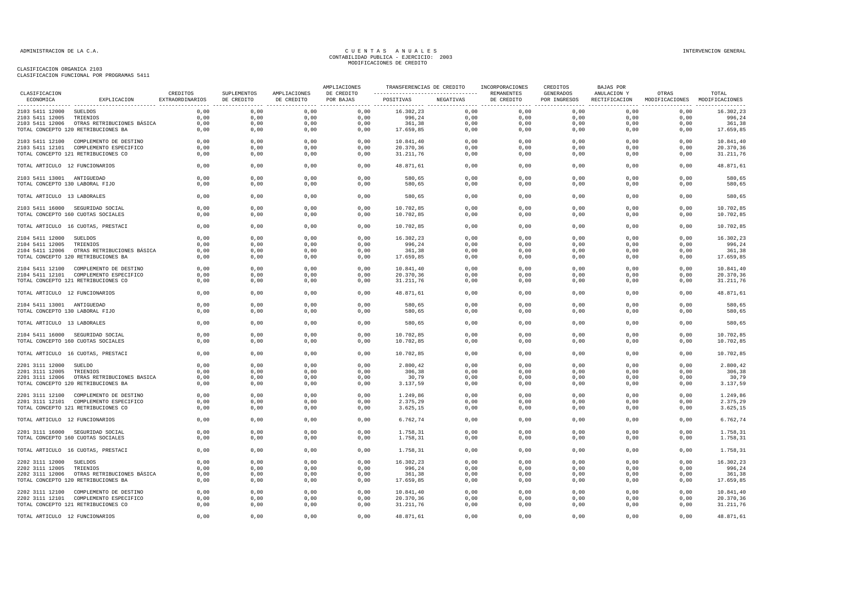### CLASIFICACION ORGANICA 2103 CLASIFICACION FUNCIONAL POR PROGRAMAS 5411

| CLASIFICACION                   | CREDITOS<br>SUPLEMENTOS                    | AMPLIACIONES    | AMPLIACIONES | TRANSFERENCIAS DE CREDITO INCORPORACIONES<br>---------------------------------- REMANENTES |                         |                     | CREDITOS | BAJAS POR  |                           |                              |                                        |           |
|---------------------------------|--------------------------------------------|-----------------|--------------|--------------------------------------------------------------------------------------------|-------------------------|---------------------|----------|------------|---------------------------|------------------------------|----------------------------------------|-----------|
| ECONOMICA                       | EXPLICACION                                | EXTRAORDINARIOS | DE CREDITO   | DE CREDITO                                                                                 | DE CREDITO<br>POR BAJAS | POSITIVAS NEGATIVAS |          | DE CREDITO | GENERADOS<br>POR INGRESOS | ANULACION Y<br>RECTIFICACION | OTRAS<br>MODIFICACIONES MODIFICACIONES | TOTAL     |
| 2103 5411 12000 SUELDOS         |                                            | 0,00            | 0,00         | 0,00                                                                                       | 0,00                    | 16.302,23           | 0,00     | 0,00       | 0,00                      | 0,00                         | 0,00                                   | 16.302,23 |
| 2103 5411 12005 TRIENIOS        |                                            | 0,00            | 0,00         | 0,00                                                                                       | 0,00                    | 996,24              | 0,00     | 0,00       | 0,00                      | 0,00                         | 0,00                                   | 996,24    |
|                                 | 2103 5411 12006 OTRAS RETRIBUCIONES BÁSICA | 0,00            | 0,00         | 0,00                                                                                       | 0,00                    | 361,38              | 0,00     | 0,00       | 0,00                      | 0,00                         | 0,00                                   | 361,38    |
|                                 | TOTAL CONCEPTO 120 RETRIBUCIONES BA        | 0,00            | 0,00         | 0,00                                                                                       | 0,00                    | 17.659,85           | 0,00     | 0,00       | 0,00                      | 0,00                         | 0,00                                   | 17.659,85 |
|                                 | 2103 5411 12100 COMPLEMENTO DE DESTINO     | 0,00            | 0,00         | 0,00                                                                                       | 0,00                    | 10.841,40           | 0,00     | 0,00       | 0,00                      | 0,00                         | 0,00                                   | 10.841,40 |
|                                 | 2103 5411 12101 COMPLEMENTO ESPECIFICO     | 0,00            | 0,00         | 0,00                                                                                       | 0,00                    | 20.370,36           | 0,00     | 0,00       | 0,00                      | 0,00                         | 0,00                                   | 20.370,36 |
|                                 | TOTAL CONCEPTO 121 RETRIBUCIONES CO        | 0,00            | 0,00         | 0,00                                                                                       | 0,00                    | 31.211,76           | 0,00     | 0,00       | 0,00                      | 0,00                         | 0,00                                   | 31.211,76 |
| TOTAL ARTICULO 12 FUNCIONARIOS  |                                            | 0,00            | 0,00         | 0,00                                                                                       | 0,00                    | 48.871,61           | 0,00     | 0,00       | 0,00                      | 0,00                         | 0,00                                   | 48.871,61 |
| 2103 5411 13001 ANTIGUEDAD      |                                            | 0,00            | 0,00         | 0,00                                                                                       | 0,00                    | 580,65              | 0,00     | 0,00       | 0,00                      | 0,00                         | 0,00                                   | 580,65    |
| TOTAL CONCEPTO 130 LABORAL FIJO |                                            | 0,00            | 0,00         | 0,00                                                                                       | 0,00                    | 580,65              | 0,00     | 0,00       | 0,00                      | 0,00                         | 0,00                                   | 580,65    |
| TOTAL ARTICULO 13 LABORALES     |                                            | 0,00            | 0,00         | 0,00                                                                                       | 0,00                    | 580,65              | 0,00     | 0,00       | 0,00                      | 0,00                         | 0,00                                   | 580,65    |
|                                 | 2103 5411 16000 SEGURIDAD SOCIAL           | 0.00            | 0.00         | 0.00                                                                                       | 0,00                    | 10.702,85           | 0,00     | 0,00       | 0.00                      | 0.00                         | 0.00                                   | 10.702,85 |
|                                 | TOTAL CONCEPTO 160 CUOTAS SOCIALES         | 0,00            | 0,00         | 0,00                                                                                       | 0,00                    | 10.702,85           | 0,00     | 0,00       | 0,00                      | 0,00                         | 0,00                                   | 10.702,85 |
|                                 | TOTAL ARTICULO 16 CUOTAS, PRESTACI         | 0,00            | 0,00         | 0,00                                                                                       | 0,00                    | 10.702,85           | 0,00     | 0,00       | 0,00                      | 0,00                         | 0,00                                   | 10.702,85 |
| 2104 5411 12000 SUELDOS         |                                            | 0,00            | 0,00         | 0,00                                                                                       | 0,00                    | 16.302,23           | 0,00     | 0,00       | 0,00                      | 0,00                         | 0,00                                   | 16.302,23 |
| 2104 5411 12005                 | TRIENIOS                                   | 0,00            | 0,00         | 0,00                                                                                       | 0,00                    | 996,24              | 0,00     | 0,00       | 0,00                      | 0,00                         | 0,00                                   | 996,24    |
|                                 | 2104 5411 12006 OTRAS RETRIBUCIONES BÁSICA | 0.00            | 0,00         | 0,00                                                                                       | 0,00                    | 361,38              | 0,00     | 0,00       | 0,00                      | 0,00                         | 0,00                                   | 361,38    |
|                                 | TOTAL CONCEPTO 120 RETRIBUCIONES BA        | 0,00            | 0,00         | 0,00                                                                                       | 0,00                    | 17.659,85           | 0,00     | 0,00       | 0,00                      | 0,00                         | 0,00                                   | 17.659,85 |
|                                 |                                            |                 |              |                                                                                            |                         |                     |          |            |                           |                              |                                        |           |
|                                 | 2104 5411 12100 COMPLEMENTO DE DESTINO     | 0,00            | 0,00         | 0,00                                                                                       | 0,00                    | 10.841,40           | 0,00     | 0,00       | 0,00                      | 0,00                         | 0,00                                   | 10.841,40 |
|                                 | 2104 5411 12101 COMPLEMENTO ESPECIFICO     | 0,00            | 0,00         | 0,00                                                                                       | 0,00                    | 20.370,36           | 0,00     | 0,00       | 0,00                      | 0,00                         | 0,00                                   | 20.370,36 |
|                                 | TOTAL CONCEPTO 121 RETRIBUCIONES CO        | 0,00            | 0,00         | 0,00                                                                                       | 0,00                    | 31.211,76           | 0,00     | 0,00       | 0,00                      | 0,00                         | 0,00                                   | 31.211,76 |
| TOTAL ARTICULO 12 FUNCIONARIOS  |                                            | 0,00            | 0,00         | 0,00                                                                                       | 0,00                    | 48.871,61           | 0,00     | 0,00       | 0,00                      | 0,00                         | 0,00                                   | 48.871,61 |
| 2104 5411 13001 ANTIGUEDAD      |                                            | 0,00            | 0,00         | 0,00                                                                                       | 0,00                    | 580,65              | 0,00     | 0,00       | 0,00                      | 0,00                         | 0,00                                   | 580,65    |
| TOTAL CONCEPTO 130 LABORAL FIJO |                                            | 0,00            | 0,00         | 0,00                                                                                       | 0,00                    | 580,65              | 0,00     | 0,00       | 0,00                      | 0,00                         | 0,00                                   | 580,65    |
| TOTAL ARTICULO 13 LABORALES     |                                            | 0,00            | 0,00         | 0,00                                                                                       | 0,00                    | 580,65              | 0,00     | 0,00       | 0,00                      | 0,00                         | 0,00                                   | 580,65    |
|                                 | 2104 5411 16000 SEGURIDAD SOCIAL           | 0,00            | 0,00         | 0,00                                                                                       | 0,00                    | 10.702,85           | 0,00     | 0,00       | 0,00                      | 0,00                         | 0,00                                   | 10.702,85 |
|                                 | TOTAL CONCEPTO 160 CUOTAS SOCIALES         | 0,00            | 0,00         | 0,00                                                                                       | 0,00                    | 10.702,85           | 0,00     | 0,00       | 0,00                      | 0,00                         | 0,00                                   | 10.702,85 |
|                                 | TOTAL ARTICULO 16 CUOTAS, PRESTACI         | 0,00            | 0,00         | 0,00                                                                                       | 0,00                    | 10.702,85           | 0,00     | 0,00       | 0,00                      | 0,00                         | 0,00                                   | 10.702,85 |
|                                 |                                            |                 |              |                                                                                            |                         |                     |          |            |                           |                              |                                        |           |
| 2201 3111 12000 SUELDO          |                                            | 0,00            | 0,00         | 0,00                                                                                       | 0,00                    | 2.800,42            | 0,00     | 0,00       | 0,00                      | 0,00                         | 0,00                                   | 2.800,42  |
| 2201 3111 12005                 | TRIENIOS                                   | 0,00            | 0,00         | 0,00                                                                                       | 0,00                    | 306,38              | 0,00     | 0,00       | 0,00                      | 0,00                         | 0,00                                   | 306,38    |
|                                 | 2201 3111 12006 OTRAS RETRIBUCIONES BASICA | 0,00            | 0,00         | 0,00                                                                                       | 0,00                    | 30,79               | 0,00     | 0,00       | 0,00                      | 0,00                         | 0,00                                   | 30,79     |
|                                 | TOTAL CONCEPTO 120 RETRIBUCIONES BA        | 0,00            | 0,00         | 0,00                                                                                       | 0,00                    | 3.137,59            | 0,00     | 0,00       | 0,00                      | 0,00                         | 0,00                                   | 3.137,59  |
|                                 | 2201 3111 12100 COMPLEMENTO DE DESTINO     | 0,00            | 0,00         | 0,00                                                                                       | 0,00                    | 1.249,86            | 0,00     | 0,00       | 0,00                      | 0,00                         | 0,00                                   | 1.249,86  |
|                                 | 2201 3111 12101 COMPLEMENTO ESPECIFICO     | 0,00            | 0,00         | 0,00                                                                                       | 0,00                    | 2.375,29            | 0,00     | 0,00       | 0,00                      | 0,00                         | 0,00                                   | 2.375,29  |
|                                 | TOTAL CONCEPTO 121 RETRIBUCIONES CO        | 0,00            | 0,00         | 0,00                                                                                       | 0,00                    | 3.625,15            | 0,00     | 0,00       | 0,00                      | 0,00                         | 0,00                                   | 3.625,15  |
| TOTAL ARTICULO 12 FUNCIONARIOS  |                                            | 0,00            | 0,00         | 0,00                                                                                       | 0,00                    | 6.762,74            | 0,00     | 0,00       | 0,00                      | 0,00                         | 0,00                                   | 6.762,74  |
|                                 |                                            |                 |              |                                                                                            |                         |                     |          |            |                           |                              |                                        |           |
|                                 | 2201 3111 16000 SEGURIDAD SOCIAL           | 0.00            | 0.00         | 0.00                                                                                       | 0,00                    | 1.758,31            | 0.00     | 0.00       | 0.00                      | 0.00                         | 0.00                                   | 1.758,31  |
|                                 | TOTAL CONCEPTO 160 CUOTAS SOCIALES         | 0,00            | 0,00         | 0,00                                                                                       | 0,00                    | 1.758,31            | 0,00     | 0,00       | 0,00                      | 0,00                         | 0,00                                   | 1.758,31  |
|                                 | TOTAL ARTICULO 16 CUOTAS, PRESTACI         | 0,00            | 0,00         | 0,00                                                                                       | 0,00                    | 1.758,31            | 0,00     | 0,00       | 0,00                      | 0,00                         | 0,00                                   | 1.758,31  |
| 2202 3111 12000                 | SUELDOS                                    | 0,00            | 0,00         | 0,00                                                                                       | 0,00                    | 16.302,23           | 0,00     | 0,00       | 0,00                      | 0,00                         | 0,00                                   | 16.302,23 |
| 2202 3111 12005                 | TRIENIOS                                   | 0,00            | 0,00         | 0,00                                                                                       | 0,00                    | 996,24              | 0,00     | 0,00       | 0,00                      | 0,00                         | 0,00                                   | 996,24    |
|                                 | 2202 3111 12006 OTRAS RETRIBUCIONES BÁSICA | 0.00            | 0.00         | 0,00                                                                                       | 0,00                    | 361,38              | 0,00     | 0,00       | 0.00                      | 0.00                         | 0.00                                   | 361,38    |
|                                 | TOTAL CONCEPTO 120 RETRIBUCIONES BA        | 0,00            | 0,00         | 0,00                                                                                       | 0,00                    | 17.659,85           | 0,00     | 0,00       | 0,00                      | 0,00                         | 0,00                                   | 17.659,85 |
|                                 | 2202 3111 12100 COMPLEMENTO DE DESTINO     | 0,00            | 0,00         | 0,00                                                                                       | 0,00                    | 10.841,40           | 0,00     | 0,00       | 0,00                      | 0,00                         | 0,00                                   | 10.841,40 |
|                                 | 2202 3111 12101 COMPLEMENTO ESPECIFICO     | 0,00            | 0,00         | 0,00                                                                                       | 0,00                    | 20.370,36           | 0,00     | 0,00       | 0,00                      | 0,00                         | 0,00                                   | 20.370,36 |
|                                 | TOTAL CONCEPTO 121 RETRIBUCIONES CO        | 0,00            | 0,00         | 0,00                                                                                       | 0,00                    | 31.211,76           | 0,00     | 0,00       | 0,00                      | 0,00                         | 0,00                                   | 31.211,76 |
|                                 |                                            |                 |              |                                                                                            |                         |                     |          |            |                           |                              |                                        |           |
| TOTAL ARTICULO 12 FUNCIONARIOS  |                                            | 0,00            | 0,00         | 0.00                                                                                       | 0,00                    | 48.871,61           | 0,00     | 0,00       | 0,00                      | 0,00                         | 0,00                                   | 48.871,61 |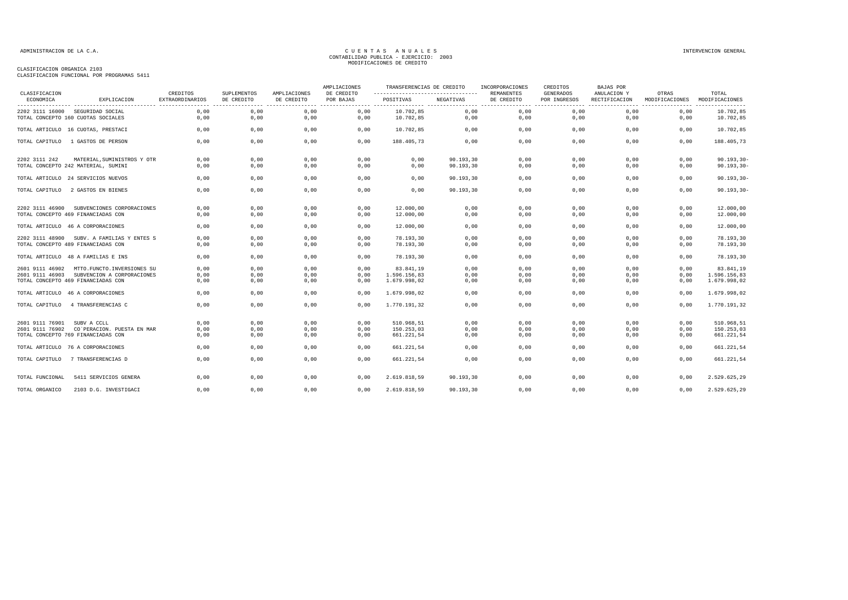### CLASIFICACION ORGANICA 2103

| CLASIFICACION   |                                            | CREDITOS        | SUPLEMENTOS | AMPLIACIONES | AMPLIACIONES<br>DE CREDITO |              | TRANSFERENCIAS DE CREDITO<br>INCORPORACIONES |                                 | CREDITOS<br><b>GENERADOS</b> | <b>BAJAS POR</b><br>ANULACION Y | OTRAS          | TOTAL                              |
|-----------------|--------------------------------------------|-----------------|-------------|--------------|----------------------------|--------------|----------------------------------------------|---------------------------------|------------------------------|---------------------------------|----------------|------------------------------------|
| ECONOMICA       | EXPLICACION                                | EXTRAORDINARIOS | DE CREDITO  | DE CREDITO   | POR BAJAS                  | POSITIVAS    | NEGATIVAS                                    | <b>REMANENTES</b><br>DE CREDITO | POR INGRESOS<br>. <u>.</u> . | RECTIFICACION                   | MODIFICACIONES | MODIFICACIONES<br>---------------- |
| 2202 3111 16000 | SEGURIDAD SOCIAL                           | 0.00            | 0.00        | 0.00         | 0,00                       | 10.702.85    | 0,00                                         | 0.00                            | 0.00                         | 0.00                            | 0.00           | 10.702.85                          |
|                 | TOTAL CONCEPTO 160 CUOTAS SOCIALES         | 0.00            | 0,00        | 0,00         | 0,00                       | 10.702,85    | 0,00                                         | 0,00                            | 0,00                         | 0,00                            | 0,00           | 10.702,85                          |
|                 | TOTAL ARTICULO 16 CUOTAS, PRESTACI         | 0.00            | 0,00        | 0,00         | 0,00                       | 10.702,85    | 0,00                                         | 0,00                            | 0,00                         | 0.00                            | 0,00           | 10.702,85                          |
| TOTAL CAPITULO  | 1 GASTOS DE PERSON                         | 0,00            | 0,00        | 0,00         | 0,00                       | 188.405,73   | 0,00                                         | 0,00                            | 0,00                         | 0,00                            | 0,00           | 188.405,73                         |
| 2202 3111 242   | MATERIAL, SUMINISTROS Y OTR                | 0,00            | 0,00        | 0,00         | 0,00                       | 0,00         | 90.193,30                                    | 0,00                            | 0,00                         | 0,00                            | 0,00           | $90.193, 30 -$                     |
|                 | TOTAL CONCEPTO 242 MATERIAL, SUMINI        | 0,00            | 0,00        | 0,00         | 0,00                       | 0,00         | 90.193,30                                    | 0,00                            | 0,00                         | 0,00                            | 0,00           | $90.193, 30 -$                     |
|                 | TOTAL ARTICULO 24 SERVICIOS NUEVOS         | 0,00            | 0,00        | 0,00         | 0,00                       | 0,00         | 90.193,30                                    | 0,00                            | 0,00                         | 0,00                            | 0,00           | $90.193, 30 -$                     |
| TOTAL CAPITULO  | 2 GASTOS EN BIENES                         | 0,00            | 0,00        | 0,00         | 0,00                       | 0,00         | 90.193,30                                    | 0,00                            | 0,00                         | 0,00                            | 0,00           | $90.193, 30 -$                     |
| 2202 3111 46900 | SUBVENCIONES CORPORACIONES                 | 0,00            | 0,00        | 0,00         | 0,00                       | 12.000,00    | 0,00                                         | 0,00                            | 0,00                         | 0,00                            | 0,00           | 12.000,00                          |
|                 | TOTAL CONCEPTO 469 FINANCIADAS CON         | 0,00            | 0,00        | 0,00         | 0,00                       | 12.000,00    | 0,00                                         | 0,00                            | 0,00                         | 0,00                            | 0,00           | 12.000,00                          |
|                 | TOTAL ARTICULO 46 A CORPORACIONES          | 0,00            | 0,00        | 0,00         | 0,00                       | 12.000,00    | 0,00                                         | 0,00                            | 0,00                         | 0,00                            | 0,00           | 12.000,00                          |
|                 | 2202 3111 48900 SUBV. A FAMILIAS Y ENTES S | 0,00            | 0,00        | 0,00         | 0,00                       | 78.193,30    | 0,00                                         | 0,00                            | 0,00                         | 0,00                            | 0,00           | 78.193,30                          |
|                 | TOTAL CONCEPTO 489 FINANCIADAS CON         | 0,00            | 0,00        | 0,00         | 0,00                       | 78.193,30    | 0,00                                         | 0,00                            | 0,00                         | 0,00                            | 0,00           | 78.193,30                          |
|                 | TOTAL ARTICULO 48 A FAMILIAS E INS         | 0,00            | 0,00        | 0,00         | 0,00                       | 78.193,30    | 0,00                                         | 0,00                            | 0,00                         | 0,00                            | 0,00           | 78.193,30                          |
| 2601 9111 46902 | MTTO.FUNCTO.INVERSIONES SU                 | 0,00            | 0,00        | 0,00         | 0,00                       | 83.841,19    | 0,00                                         | 0,00                            | 0,00                         | 0,00                            | 0,00           | 83.841,19                          |
| 2601 9111 46903 | SUBVENCION A CORPORACIONES                 | 0,00            | 0,00        | 0,00         | 0,00                       | 1.596.156,83 | 0,00                                         | 0,00                            | 0,00                         | 0,00                            | 0,00           | 1.596.156,83                       |
|                 | TOTAL CONCEPTO 469 FINANCIADAS CON         | 0,00            | 0,00        | 0,00         | 0,00                       | 1.679.998,02 | 0,00                                         | 0,00                            | 0,00                         | 0,00                            | 0,00           | 1.679.998,02                       |
|                 | TOTAL ARTICULO 46 A CORPORACIONES          | 0,00            | 0,00        | 0,00         | 0,00                       | 1.679.998,02 | 0,00                                         | 0,00                            | 0,00                         | 0,00                            | 0,00           | 1.679.998,02                       |
| TOTAL CAPITULO  | 4 TRANSFERENCIAS C                         | 0,00            | 0,00        | 0,00         | 0,00                       | 1.770.191,32 | 0,00                                         | 0,00                            | 0,00                         | 0,00                            | 0,00           | 1.770.191,32                       |
| 2601 9111 76901 | SUBV A CCLL                                | 0,00            | 0,00        | 0,00         | 0,00                       | 510.968,51   | 0,00                                         | 0,00                            | 0,00                         | 0,00                            | 0,00           | 510.968,51                         |
|                 | 2601 9111 76902 CO'PERACION. PUESTA EN MAR | 0,00            | 0,00        | 0,00         | 0,00                       | 150.253,03   | 0,00                                         | 0,00                            | 0,00                         | 0,00                            | 0,00           | 150.253,03                         |
|                 | TOTAL CONCEPTO 769 FINANCIADAS CON         | 0,00            | 0,00        | 0,00         | 0,00                       | 661.221,54   | 0,00                                         | 0,00                            | 0,00                         | 0,00                            | 0,00           | 661.221,54                         |
|                 | TOTAL ARTICULO 76 A CORPORACIONES          | 0,00            | 0,00        | 0,00         | 0,00                       | 661.221,54   | 0,00                                         | 0,00                            | 0,00                         | 0,00                            | 0,00           | 661.221,54                         |
| TOTAL CAPITULO  | 7 TRANSFERENCIAS D                         | 0,00            | 0,00        | 0,00         | 0,00                       | 661.221,54   | 0,00                                         | 0,00                            | 0,00                         | 0,00                            | 0,00           | 661.221,54                         |
| TOTAL FUNCIONAL | 5411 SERVICIOS GENERA                      | 0,00            | 0,00        | 0,00         | 0.00                       | 2.619.818.59 | 90.193,30                                    | 0,00                            | 0,00                         | 0,00                            | 0,00           | 2.529.625,29                       |
| TOTAL ORGANICO  | 2103 D.G. INVESTIGACI                      | 0,00            | 0,00        | 0,00         | 0,00                       | 2.619.818,59 | 90.193,30                                    | 0,00                            | 0,00                         | 0,00                            | 0,00           | 2.529.625,29                       |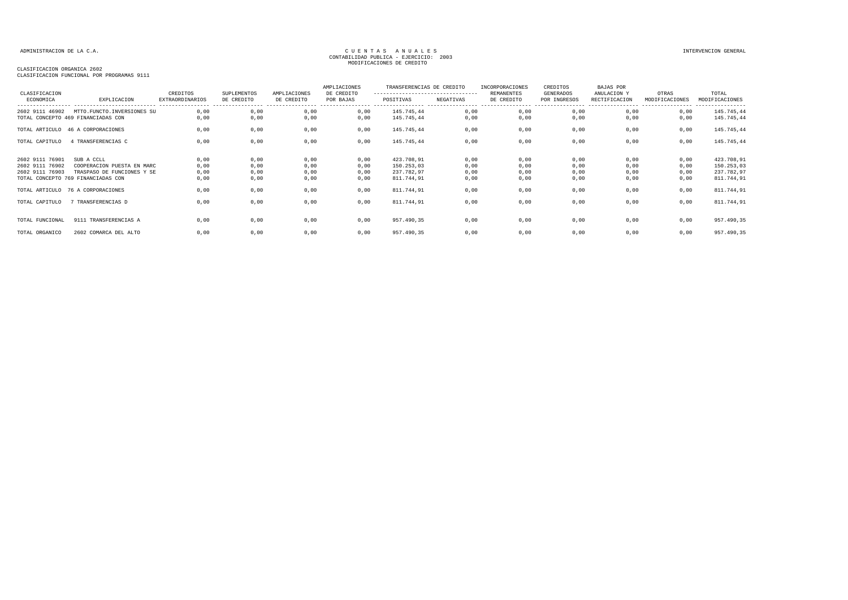## CLASIFICACION ORGANICA 2602 CLASIFICACION FUNCIONAL POR PROGRAMAS 9111

| CLASIFICACION FUNCIONAL FOR FROGRAMAS JIII |  |  |
|--------------------------------------------|--|--|
|                                            |  |  |

| CLASIFICACION                                         |                                                                                                              | CREDITOS                                                      | SUPLEMENTOS                  | AMPLIACIONES                    | AMPLIACIONES<br>DE CREDITO   | TRANSFERENCIAS DE CREDITO<br>---------------------------------- |                              | <b>INCORPORACIONES</b><br>REMANENTES | CREDITOS<br>GENERADOS             | <b>BAJAS POR</b><br>ANULACION Y | OTRAS                        | TOTAL                                                |
|-------------------------------------------------------|--------------------------------------------------------------------------------------------------------------|---------------------------------------------------------------|------------------------------|---------------------------------|------------------------------|-----------------------------------------------------------------|------------------------------|--------------------------------------|-----------------------------------|---------------------------------|------------------------------|------------------------------------------------------|
| ECONOMICA                                             | EXPLICACION                                                                                                  | <b>EXTRAORDINARIOS</b><br>----------------- ----------------- | DE CREDITO                   | DE CREDITO<br>----------------- | POR BAJAS                    | POSITIVAS                                                       | NEGATIVAS                    | DE CREDITO<br>-----------------      | POR INGRESOS<br>----------------- | RECTIFICACION                   | MODIFICACIONES               | MODIFICACIONES<br>----------------                   |
| 2602 9111 46902                                       | MTTO.FUNCTO.INVERSIONES SU<br>TOTAL CONCEPTO 469 FINANCIADAS CON                                             | 0.00<br>0,00                                                  | 0,00<br>0,00                 | 0,00<br>0,00                    | 0,00<br>0,00                 | 145.745,44<br>145.745,44                                        | 0,00<br>0,00                 | 0,00<br>0,00                         | 0,00<br>0,00                      | 0,00<br>0,00                    | 0,00<br>0,00                 | 145.745,44<br>145.745,44                             |
|                                                       | TOTAL ARTICULO 46 A CORPORACIONES                                                                            | 0,00                                                          | 0,00                         | 0,00                            | 0,00                         | 145.745,44                                                      | 0,00                         | 0,00                                 | 0,00                              | 0,00                            | 0,00                         | 145.745,44                                           |
| TOTAL CAPITULO                                        | 4 TRANSFERENCIAS C                                                                                           | 0,00                                                          | 0,00                         | 0,00                            | 0,00                         | 145.745,44                                                      | 0,00                         | 0,00                                 | 0,00                              | 0,00                            | 0,00                         | 145.745,44                                           |
| 2602 9111 76901<br>2602 9111 76902<br>2602 9111 76903 | SUB A CCLL<br>COOPERACION PUESTA EN MARC<br>TRASPASO DE FUNCIONES Y SE<br>TOTAL CONCEPTO 769 FINANCIADAS CON | 0,00<br>0,00<br>0,00<br>0,00                                  | 0,00<br>0,00<br>0,00<br>0,00 | 0,00<br>0,00<br>0,00<br>0,00    | 0,00<br>0,00<br>0,00<br>0,00 | 423.708,91<br>150.253,03<br>237.782,97<br>811.744,91            | 0,00<br>0,00<br>0,00<br>0,00 | 0,00<br>0,00<br>0,00<br>0,00         | 0,00<br>0,00<br>0,00<br>0,00      | 0,00<br>0,00<br>0,00<br>0,00    | 0,00<br>0,00<br>0,00<br>0,00 | 423.708,91<br>150.253,03<br>237.782,97<br>811.744,91 |
|                                                       | TOTAL ARTICULO 76 A CORPORACIONES                                                                            | 0,00                                                          | 0,00                         | 0,00                            | 0,00                         | 811.744,91                                                      | 0,00                         | 0,00                                 | 0,00                              | 0,00                            | 0,00                         | 811.744,91                                           |
| TOTAL CAPITULO                                        | 7 TRANSFERENCIAS D                                                                                           | 0,00                                                          | 0,00                         | 0,00                            | 0,00                         | 811.744,91                                                      | 0,00                         | 0,00                                 | 0,00                              | 0,00                            | 0,00                         | 811.744,91                                           |
| TOTAL FUNCIONAL                                       | 9111 TRANSFERENCIAS A                                                                                        | 0,00                                                          | 0,00                         | 0,00                            | 0,00                         | 957.490,35                                                      | 0,00                         | 0,00                                 | 0,00                              | 0,00                            | 0,00                         | 957.490,35                                           |
| TOTAL ORGANICO                                        | 2602 COMARCA DEL ALTO                                                                                        | 0,00                                                          | 0,00                         | 0,00                            | 0,00                         | 957.490,35                                                      | 0,00                         | 0,00                                 | 0,00                              | 0,00                            | 0,00                         | 957.490,35                                           |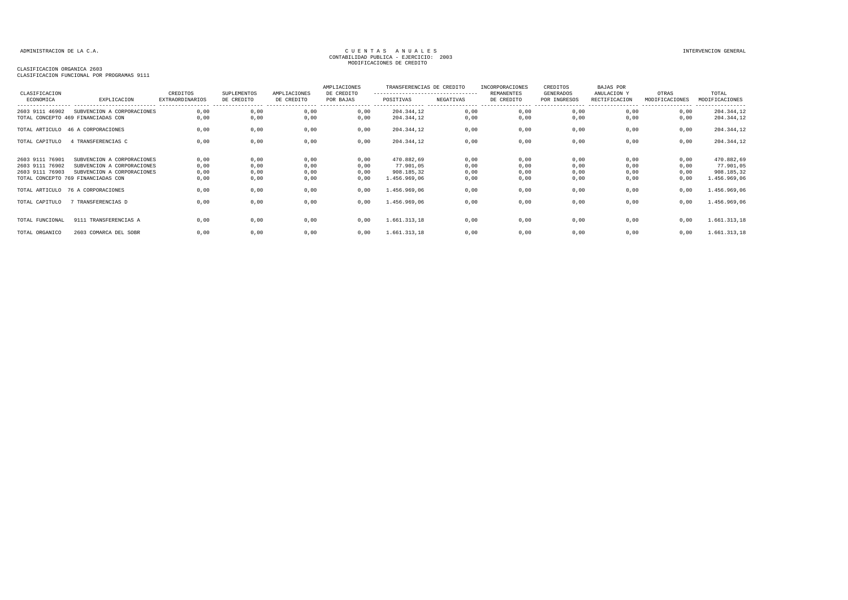## CLASIFICACION ORGANICA 2603

| CLASIFICACION<br>ECONOMICA                            | EXPLICACION                                                                            | CREDITOS<br><b>EXTRAORDINARIOS</b> | SUPLEMENTOS<br>DE CREDITO | AMPLIACIONES<br>DE CREDITO | AMPLIACIONES<br>DE CREDITO<br>POR BAJAS | TRANSFERENCIAS DE CREDITO<br>---------------------------------<br>POSITIVAS | NEGATIVAS            | INCORPORACIONES<br><b>REMANENTES</b><br>DE CREDITO | CREDITOS<br>GENERADOS<br>POR INGRESOS | BAJAS POR<br>ANULACION Y<br>RECTIFICACION | OTRAS<br>MODIFICACIONES | TOTAL<br>MODIFICACIONES<br>---------  |
|-------------------------------------------------------|----------------------------------------------------------------------------------------|------------------------------------|---------------------------|----------------------------|-----------------------------------------|-----------------------------------------------------------------------------|----------------------|----------------------------------------------------|---------------------------------------|-------------------------------------------|-------------------------|---------------------------------------|
| 2603 9111 46902                                       | SUBVENCION A CORPORACIONES<br>TOTAL CONCEPTO 469 FINANCIADAS CON                       | 0,00<br>0,00                       | 0,00<br>0,00              | 0,00<br>0,00               | 0,00<br>0,00                            | 204.344,12<br>204.344,12                                                    | 0,00<br>0,00         | 0,00<br>0,00                                       | 0,00<br>0,00                          | 0,00<br>0,00                              | 0,00<br>0,00            | 204.344,12<br>204.344,12              |
|                                                       | TOTAL ARTICULO 46 A CORPORACIONES                                                      | 0,00                               | 0,00                      | 0,00                       | 0,00                                    | 204.344,12                                                                  | 0,00                 | 0,00                                               | 0,00                                  | 0,00                                      | 0,00                    | 204.344,12                            |
| TOTAL CAPITULO                                        | 4 TRANSFERENCIAS C                                                                     | 0,00                               | 0,00                      | 0,00                       | 0,00                                    | 204.344,12                                                                  | 0,00                 | 0,00                                               | 0,00                                  | 0,00                                      | 0,00                    | 204.344,12                            |
| 2603 9111 76901<br>2603 9111 76902<br>2603 9111 76903 | SUBVENCION A CORPORACIONES<br>SUBVENCION A CORPORACIONES<br>SUBVENCION A CORPORACIONES | 0,00<br>0,00<br>0,00               | 0,00<br>0,00<br>0,00      | 0,00<br>0,00<br>0,00       | 0,00<br>0,00<br>0,00                    | 470.882,69<br>77.901,05<br>908.185,32                                       | 0,00<br>0,00<br>0,00 | 0,00<br>0,00<br>0,00                               | 0,00<br>0,00<br>0,00                  | 0,00<br>0,00<br>0,00                      | 0,00<br>0,00<br>0,00    | 470.882,69<br>77.901,05<br>908.185,32 |
|                                                       | TOTAL CONCEPTO 769 FINANCIADAS CON<br>TOTAL ARTICULO 76 A CORPORACIONES                | 0,00<br>0,00                       | 0,00<br>0,00              | 0,00<br>0,00               | 0,00<br>0,00                            | 1.456.969,06<br>1.456.969,06                                                | 0,00<br>0,00         | 0,00<br>0,00                                       | 0,00<br>0,00                          | 0,00<br>0,00                              | 0,00<br>0,00            | 1.456.969,06<br>1.456.969,06          |
| TOTAL CAPITULO                                        | 7 TRANSFERENCIAS D                                                                     | 0,00                               | 0,00                      | 0,00                       | 0,00                                    | 1.456.969,06                                                                | 0,00                 | 0,00                                               | 0,00                                  | 0,00                                      | 0,00                    | 1.456.969,06                          |
| TOTAL FUNCIONAL                                       | 9111 TRANSFERENCIAS A                                                                  | 0.00                               | 0,00                      | 0,00                       | 0.00                                    | 1.661.313,18                                                                | 0,00                 | 0,00                                               | 0,00                                  | 0.00                                      | 0,00                    | 1.661.313,18                          |
| TOTAL ORGANICO                                        | 2603 COMARCA DEL SOBR                                                                  | 0,00                               | 0,00                      | 0,00                       | 0,00                                    | 1.661.313,18                                                                | 0,00                 | 0,00                                               | 0,00                                  | 0,00                                      | 0,00                    | 1.661.313,18                          |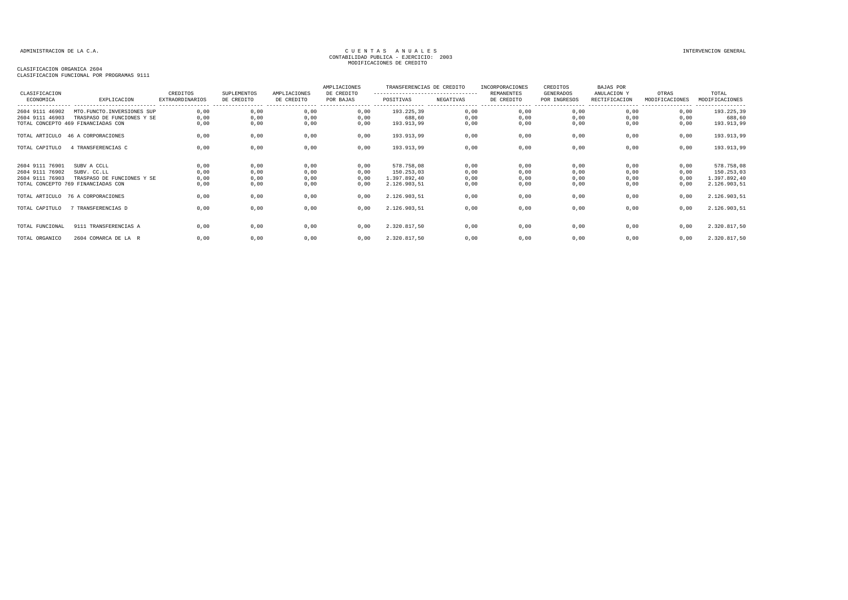### CLASIFICACION ORGANICA 2604 CLASIFICACION FUNCIONAL POR PROGRAMAS 9111

| CLASIFICACION<br>ECONOMICA | EXPLICACION<br>_____________________________ | CREDITOS<br><b>EXTRAORDINARIOS</b><br>----------------- | SUPLEMENTOS<br>DE CREDITO | AMPLIACIONES<br>DE CREDITO<br>---------------- | AMPLIACIONES<br>DE CREDITO<br>POR BAJAS<br>-------------- --- | TRANSFERENCIAS DE CREDITO<br>----------------------------------<br>POSITIVAS<br>----------- | NEGATIVAS<br>----------------- | INCORPORACIONES<br>REMANENTES<br>DE CREDITO | CREDITOS<br><b>GENERADOS</b><br>POR INGRESOS | <b>BAJAS POR</b><br>ANULACION Y<br>RECTIFICACION | OTRAS<br>MODIFICACIONES<br>---------------- | TOTAL<br>MODIFICACIONES<br>---------------- |
|----------------------------|----------------------------------------------|---------------------------------------------------------|---------------------------|------------------------------------------------|---------------------------------------------------------------|---------------------------------------------------------------------------------------------|--------------------------------|---------------------------------------------|----------------------------------------------|--------------------------------------------------|---------------------------------------------|---------------------------------------------|
| 2604 9111 46902            | MTO.FUNCTO.INVERSIONES SUP                   | 0,00                                                    | 0,00                      | 0,00                                           | 0,00                                                          | 193.225,39                                                                                  | 0,00                           | 0,00                                        | 0,00                                         | 0,00                                             | 0,00                                        | 193.225,39                                  |
| 2604 9111 46903            | TRASPASO DE FUNCIONES Y SE                   | 0,00                                                    | 0,00                      | 0,00                                           | 0,00                                                          | 688,60                                                                                      | 0,00                           | 0,00                                        | 0,00                                         | 0,00                                             | 0,00                                        | 688,60                                      |
|                            | TOTAL CONCEPTO 469 FINANCIADAS CON           | 0,00                                                    | 0,00                      | 0,00                                           | 0,00                                                          | 193.913,99                                                                                  | 0,00                           | 0,00                                        | 0,00                                         | 0,00                                             | 0,00                                        | 193.913,99                                  |
|                            | TOTAL ARTICULO 46 A CORPORACIONES            | 0,00                                                    | 0,00                      | 0,00                                           | 0,00                                                          | 193.913,99                                                                                  | 0,00                           | 0,00                                        | 0,00                                         | 0,00                                             | 0,00                                        | 193.913,99                                  |
| TOTAL CAPITULO             | 4 TRANSFERENCIAS C                           | 0,00                                                    | 0,00                      | 0,00                                           | 0,00                                                          | 193.913,99                                                                                  | 0,00                           | 0,00                                        | 0,00                                         | 0,00                                             | 0,00                                        | 193.913,99                                  |
| 2604 9111 76901            | SUBV A CCLL                                  | 0,00                                                    | 0,00                      | 0,00                                           | 0,00                                                          | 578.758,08                                                                                  | 0,00                           | 0,00                                        | 0,00                                         | 0,00                                             | 0,00                                        | 578.758,08                                  |
| 2604 9111 76902            | SUBV. CC.LL                                  | 0,00                                                    | 0,00                      | 0,00                                           | 0,00                                                          | 150.253,03                                                                                  | 0,00                           | 0,00                                        | 0,00                                         | 0,00                                             | 0,00                                        | 150.253,03                                  |
| 2604 9111 76903            | TRASPASO DE FUNCIONES Y SE                   | 0,00                                                    | 0,00                      | 0,00                                           | 0,00                                                          | 1.397.892,40                                                                                | 0,00                           | 0,00                                        | 0,00                                         | 0,00                                             | 0,00                                        | 1.397.892,40                                |
|                            | TOTAL CONCEPTO 769 FINANCIADAS CON           | 0,00                                                    | 0,00                      | 0,00                                           | 0,00                                                          | 2.126.903,51                                                                                | 0,00                           | 0,00                                        | 0,00                                         | 0,00                                             | 0,00                                        | 2.126.903,51                                |
| TOTAL ARTICULO             | 76 A CORPORACIONES                           | 0.00                                                    | 0,00                      | 0,00                                           | 0,00                                                          | 2.126.903,51                                                                                | 0,00                           | 0,00                                        | 0,00                                         | 0,00                                             | 0,00                                        | 2.126.903,51                                |
| TOTAL CAPITULO             | 7 TRANSFERENCIAS D                           | 0.00                                                    | 0,00                      | 0,00                                           | 0.00                                                          | 2.126.903,51                                                                                | 0,00                           | 0,00                                        | 0,00                                         | 0.00                                             | 0.00                                        | 2.126.903,51                                |
|                            |                                              |                                                         |                           |                                                |                                                               |                                                                                             |                                |                                             |                                              |                                                  |                                             |                                             |
| TOTAL FUNCIONAL            | 9111 TRANSFERENCIAS A                        | 0,00                                                    | 0,00                      | 0,00                                           | 0,00                                                          | 2.320.817,50                                                                                | 0,00                           | 0,00                                        | 0,00                                         | 0,00                                             | 0,00                                        | 2.320.817,50                                |
| TOTAL ORGANICO             | 2604 COMARCA DE LA R                         | 0.00                                                    | 0,00                      | 0,00                                           | 0,00                                                          | 2.320.817,50                                                                                | 0,00                           | 0,00                                        | 0,00                                         | 0,00                                             | 0,00                                        | 2.320.817,50                                |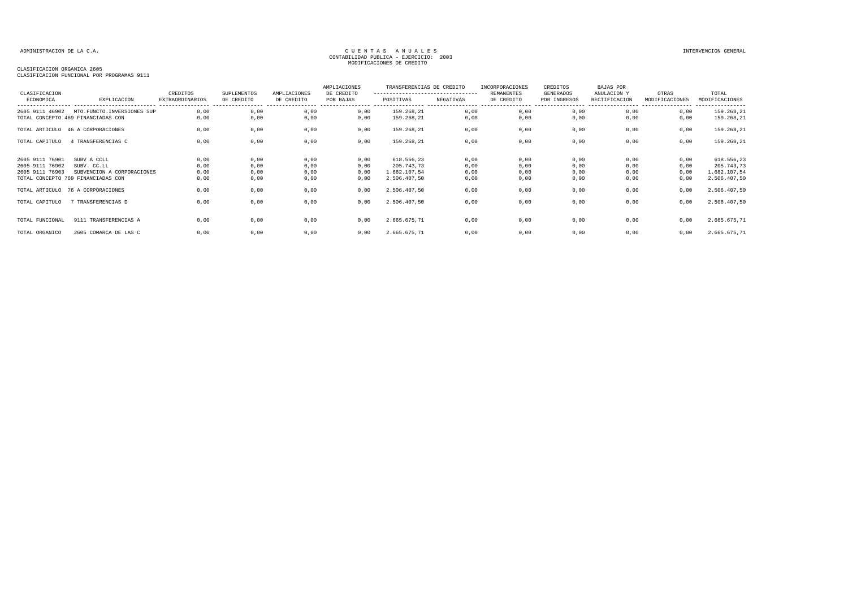### CLASIFICACION ORGANICA 2605

| CLASIFICACION<br>ECONOMICA                            | EXPLICACION                                                                                    | CREDITOS<br><b>EXTRAORDINARIOS</b> | SUPLEMENTOS<br>DE CREDITO    | AMPLIACIONES<br>DE CREDITO   | AMPLIACIONES<br>DE CREDITO<br>POR BAJAS | TRANSFERENCIAS DE CREDITO<br>---------------------------------<br>POSITIVAS | NEGATIVAS                    | INCORPORACIONES<br><b>REMANENTES</b><br>DE CREDITO | CREDITOS<br>GENERADOS<br>POR INGRESOS | BAJAS POR<br>ANULACION Y<br>RECTIFICACION | OTRAS<br>MODIFICACIONES      | TOTAL<br>MODIFICACIONES                                  |
|-------------------------------------------------------|------------------------------------------------------------------------------------------------|------------------------------------|------------------------------|------------------------------|-----------------------------------------|-----------------------------------------------------------------------------|------------------------------|----------------------------------------------------|---------------------------------------|-------------------------------------------|------------------------------|----------------------------------------------------------|
| 2605 9111 46902                                       | MTO.FUNCTO.INVERSIONES SUP<br>TOTAL CONCEPTO 469 FINANCIADAS CON                               | 0,00<br>0.00                       | 0,00<br>0,00                 | 0,00<br>0,00                 | 0,00<br>0,00                            | 159.268,21<br>159.268,21                                                    | 0,00<br>0,00                 | 0,00<br>0,00                                       | 0,00<br>0,00                          | 0,00<br>0.00                              | 0,00<br>0,00                 | ---------------<br>159.268,21<br>159.268,21              |
|                                                       | TOTAL ARTICULO 46 A CORPORACIONES                                                              | 0,00                               | 0,00                         | 0,00                         | 0,00                                    | 159.268,21                                                                  | 0,00                         | 0,00                                               | 0,00                                  | 0,00                                      | 0,00                         | 159.268,21                                               |
| TOTAL CAPITULO                                        | 4 TRANSFERENCIAS C                                                                             | 0,00                               | 0,00                         | 0,00                         | 0,00                                    | 159.268,21                                                                  | 0,00                         | 0,00                                               | 0,00                                  | 0,00                                      | 0,00                         | 159.268,21                                               |
| 2605 9111 76901<br>2605 9111 76902<br>2605 9111 76903 | SUBV A CCLL<br>SUBV. CC.LL<br>SUBVENCION A CORPORACIONES<br>TOTAL CONCEPTO 769 FINANCIADAS CON | 0,00<br>0,00<br>0,00<br>0,00       | 0,00<br>0,00<br>0,00<br>0,00 | 0,00<br>0,00<br>0,00<br>0,00 | 0,00<br>0,00<br>0,00<br>0,00            | 618.556,23<br>205.743,73<br>1.682.107,54<br>2.506.407,50                    | 0,00<br>0,00<br>0,00<br>0,00 | 0,00<br>0,00<br>0,00<br>0,00                       | 0,00<br>0,00<br>0,00<br>0,00          | 0,00<br>0,00<br>0,00<br>0,00              | 0.00<br>0,00<br>0,00<br>0,00 | 618.556,23<br>205.743,73<br>1.682.107,54<br>2.506.407,50 |
|                                                       | TOTAL ARTICULO 76 A CORPORACIONES                                                              | 0,00                               | 0,00                         | 0,00                         | 0,00                                    | 2.506.407,50                                                                | 0,00                         | 0,00                                               | 0,00                                  | 0,00                                      | 0,00                         | 2.506.407,50                                             |
| TOTAL CAPITULO                                        | 7 TRANSFERENCIAS D                                                                             | 0,00                               | 0,00                         | 0,00                         | 0,00                                    | 2.506.407,50                                                                | 0,00                         | 0,00                                               | 0,00                                  | 0,00                                      | 0,00                         | 2.506.407,50                                             |
| TOTAL FUNCIONAL<br>TOTAL ORGANICO                     | 9111 TRANSFERENCIAS A<br>2605 COMARCA DE LAS C                                                 | 0.00<br>0,00                       | 0,00<br>0,00                 | 0,00<br>0,00                 | 0.00<br>0,00                            | 2.665.675,71<br>2.665.675,71                                                | 0,00<br>0,00                 | 0,00<br>0,00                                       | 0,00<br>0,00                          | 0,00<br>0,00                              | 0,00<br>0,00                 | 2.665.675,71<br>2.665.675,71                             |
|                                                       |                                                                                                |                                    |                              |                              |                                         |                                                                             |                              |                                                    |                                       |                                           |                              |                                                          |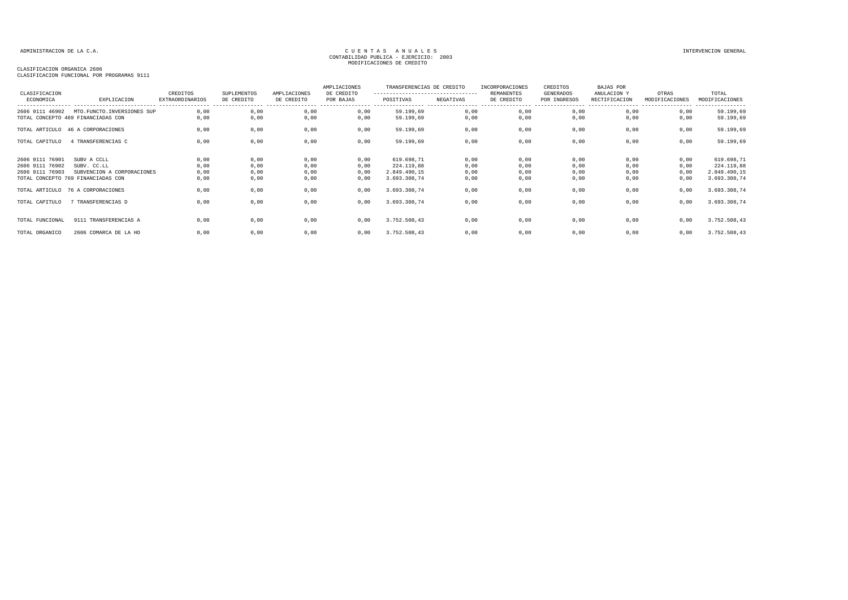### CLASIFICACION ORGANICA 2606

| CLASIFICACION                                         |                                                                                                | CREDITOS                            | SUPLEMENTOS                    | AMPLIACIONES                   | AMPLIACIONES<br>DE CREDITO   | TRANSFERENCIAS DE CREDITO<br>--------------------------------- |                              | INCORPORACIONES<br><b>REMANENTES</b> | CREDITOS<br>GENERADOS            | BAJAS POR<br>ANULACION Y                             | OTRAS                        | TOTAL                                                    |
|-------------------------------------------------------|------------------------------------------------------------------------------------------------|-------------------------------------|--------------------------------|--------------------------------|------------------------------|----------------------------------------------------------------|------------------------------|--------------------------------------|----------------------------------|------------------------------------------------------|------------------------------|----------------------------------------------------------|
| ECONOMICA                                             | EXPLICACION<br>----------------------------                                                    | EXTRAORDINARIOS<br>---------------- | DE CREDITO<br>---------------- | DE CREDITO<br>---------------- | POR BAJAS                    | POSITIVAS                                                      | NEGATIVAS                    | DE CREDITO<br>----------------       | POR INGRESOS<br>---------------- | RECTIFICACION<br>----------------- ----------------- | MODIFICACIONES               | MODIFICACIONES<br>----------------                       |
| 2606 9111 46902                                       | MTO. FUNCTO. INVERSIONES SUP<br>TOTAL CONCEPTO 469 FINANCIADAS CON                             | 0.00<br>0.00                        | 0,00<br>0,00                   | 0,00<br>0,00                   | 0,00<br>0,00                 | 59.199,69<br>59.199,69                                         | 0,00<br>0,00                 | 0,00<br>0,00                         | 0,00<br>0,00                     | 0,00<br>0.00                                         | 0,00<br>0,00                 | 59.199,69<br>59.199,69                                   |
|                                                       | TOTAL ARTICULO 46 A CORPORACIONES                                                              | 0,00                                | 0,00                           | 0,00                           | 0,00                         | 59.199,69                                                      | 0,00                         | 0,00                                 | 0,00                             | 0,00                                                 | 0,00                         | 59.199,69                                                |
| TOTAL CAPITULO                                        | 4 TRANSFERENCIAS C                                                                             | 0,00                                | 0,00                           | 0,00                           | 0,00                         | 59.199,69                                                      | 0,00                         | 0,00                                 | 0,00                             | 0,00                                                 | 0,00                         | 59.199,69                                                |
| 2606 9111 76901<br>2606 9111 76902<br>2606 9111 76903 | SUBV A CCLL<br>SUBV. CC.LL<br>SUBVENCION A CORPORACIONES<br>TOTAL CONCEPTO 769 FINANCIADAS CON | 0,00<br>0,00<br>0,00<br>0,00        | 0,00<br>0,00<br>0,00<br>0,00   | 0,00<br>0,00<br>0,00<br>0,00   | 0,00<br>0,00<br>0,00<br>0,00 | 619.698,71<br>224.119,88<br>2.849.490,15<br>3.693.308,74       | 0,00<br>0,00<br>0,00<br>0,00 | 0,00<br>0,00<br>0,00<br>0,00         | 0,00<br>0,00<br>0,00<br>0,00     | 0.00<br>0,00<br>0,00<br>0,00                         | 0,00<br>0,00<br>0,00<br>0,00 | 619.698,71<br>224.119,88<br>2.849.490,15<br>3.693.308,74 |
|                                                       | TOTAL ARTICULO 76 A CORPORACIONES                                                              | 0,00                                | 0,00                           | 0,00                           | 0,00                         | 3.693.308,74                                                   | 0,00                         | 0,00                                 | 0,00                             | 0,00                                                 | 0,00                         | 3.693.308,74                                             |
| TOTAL CAPITULO                                        | 7 TRANSFERENCIAS D                                                                             | 0,00                                | 0,00                           | 0,00                           | 0,00                         | 3.693.308,74                                                   | 0,00                         | 0,00                                 | 0,00                             | 0,00                                                 | 0,00                         | 3.693.308,74                                             |
| TOTAL FUNCIONAL                                       | 9111 TRANSFERENCIAS A                                                                          | 0.00                                | 0,00                           | 0,00                           | 0,00                         | 3.752.508,43                                                   | 0,00                         | 0,00                                 | 0,00                             | 0,00                                                 | 0,00                         | 3.752.508,43                                             |
| TOTAL ORGANICO                                        | 2606 COMARCA DE LA HO                                                                          | 0,00                                | 0,00                           | 0,00                           | 0,00                         | 3.752.508,43                                                   | 0,00                         | 0,00                                 | 0,00                             | 0,00                                                 | 0,00                         | 3.752.508,43                                             |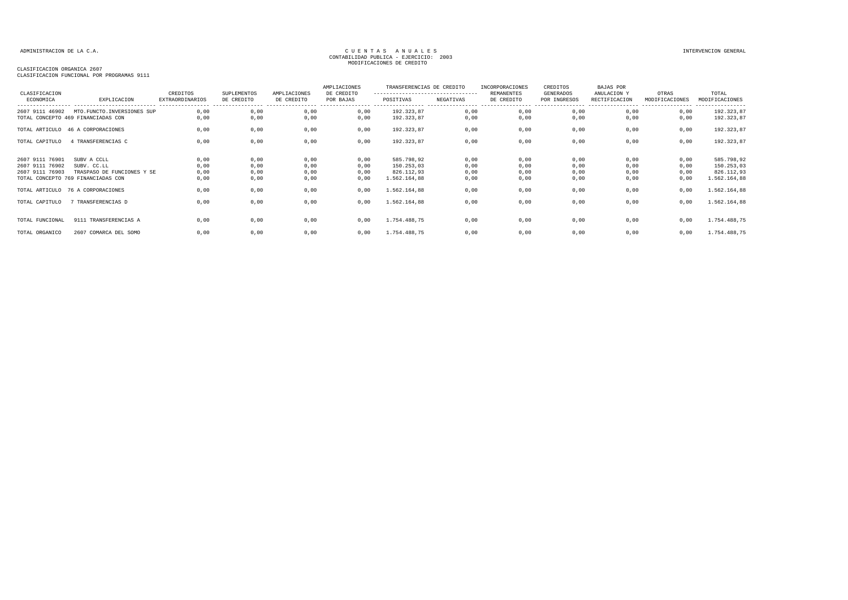### CLASIFICACION ORGANICA 2607 CLASIFICACION FUNCIONAL POR PROGRAMAS 9111

| CLASIFICACION                                         |                                                                                                | CREDITOS                     | SUPLEMENTOS                  | AMPLIACIONES                                      | AMPLIACIONES<br>DE CREDITO   | TRANSFERENCIAS DE CREDITO<br>---------------------------------- |                              | INCORPORACIONES<br>REMANENTES | CREDITOS<br><b>GENERADOS</b> | BAJAS POR<br>ANULACION Y     | OTRAS                               | TOTAL                                                  |
|-------------------------------------------------------|------------------------------------------------------------------------------------------------|------------------------------|------------------------------|---------------------------------------------------|------------------------------|-----------------------------------------------------------------|------------------------------|-------------------------------|------------------------------|------------------------------|-------------------------------------|--------------------------------------------------------|
| ECONOMICA                                             | EXPLICACION                                                                                    | <b>EXTRAORDINARIOS</b>       | DE CREDITO                   | DE CREDITO<br>----------------- ----------------- | POR BAJAS                    | POSITIVAS                                                       | NEGATIVAS<br>.               | DE CREDITO                    | POR INGRESOS                 | RECTIFICACION                | MODIFICACIONES<br>----------------- | MODIFICACIONES<br>----------------                     |
| 2607 9111 46902                                       | MTO.FUNCTO.INVERSIONES SUP<br>TOTAL CONCEPTO 469 FINANCIADAS CON                               | 0,00<br>0,00                 | 0,00<br>0,00                 | 0,00<br>0,00                                      | 0,00<br>0,00                 | 192.323,87<br>192.323,87                                        | 0,00<br>0,00                 | 0,00<br>0,00                  | 0,00<br>0,00                 | 0.00<br>0.00                 | 0,00<br>0,00                        | 192.323,87<br>192.323,87                               |
|                                                       | TOTAL ARTICULO 46 A CORPORACIONES                                                              | 0,00                         | 0,00                         | 0,00                                              | 0,00                         | 192.323,87                                                      | 0,00                         | 0,00                          | 0,00                         | 0,00                         | 0,00                                | 192.323,87                                             |
| TOTAL CAPITULO                                        | 4 TRANSFERENCIAS C                                                                             | 0,00                         | 0,00                         | 0,00                                              | 0,00                         | 192.323,87                                                      | 0,00                         | 0,00                          | 0,00                         | 0,00                         | 0,00                                | 192.323,87                                             |
| 2607 9111 76901<br>2607 9111 76902<br>2607 9111 76903 | SUBV A CCLL<br>SUBV. CC.LL<br>TRASPASO DE FUNCIONES Y SE<br>TOTAL CONCEPTO 769 FINANCIADAS CON | 0,00<br>0,00<br>0,00<br>0,00 | 0,00<br>0,00<br>0,00<br>0,00 | 0,00<br>0,00<br>0,00<br>0,00                      | 0,00<br>0,00<br>0,00<br>0,00 | 585.798,92<br>150.253,03<br>826.112,93<br>1.562.164,88          | 0,00<br>0,00<br>0,00<br>0,00 | 0,00<br>0,00<br>0,00<br>0,00  | 0,00<br>0,00<br>0,00<br>0,00 | 0,00<br>0,00<br>0,00<br>0,00 | 0,00<br>0,00<br>0,00<br>0,00        | 585.798,92<br>150.253,03<br>826.112,93<br>1.562.164,88 |
|                                                       | TOTAL ARTICULO 76 A CORPORACIONES                                                              | 0,00                         | 0,00                         | 0,00                                              | 0,00                         | 1.562.164,88                                                    | 0,00                         | 0,00                          | 0,00                         | 0,00                         | 0,00                                | 1.562.164,88                                           |
| TOTAL CAPITULO                                        | 7 TRANSFERENCIAS D                                                                             | 0.00                         | 0,00                         | 0,00                                              | 0,00                         | 1.562.164,88                                                    | 0,00                         | 0,00                          | 0,00                         | 0,00                         | 0,00                                | 1.562.164,88                                           |
| TOTAL FUNCIONAL                                       | 9111 TRANSFERENCIAS A                                                                          | 0.00                         | 0,00                         | 0,00                                              | 0,00                         | 1.754.488,75                                                    | 0,00                         | 0,00                          | 0,00                         | 0.00                         | 0,00                                | 1.754.488,75                                           |
| TOTAL ORGANICO                                        | 2607 COMARCA DEL SOMO                                                                          | 0,00                         | 0,00                         | 0,00                                              | 0,00                         | 1.754.488,75                                                    | 0,00                         | 0,00                          | 0,00                         | 0,00                         | 0,00                                | 1.754.488,75                                           |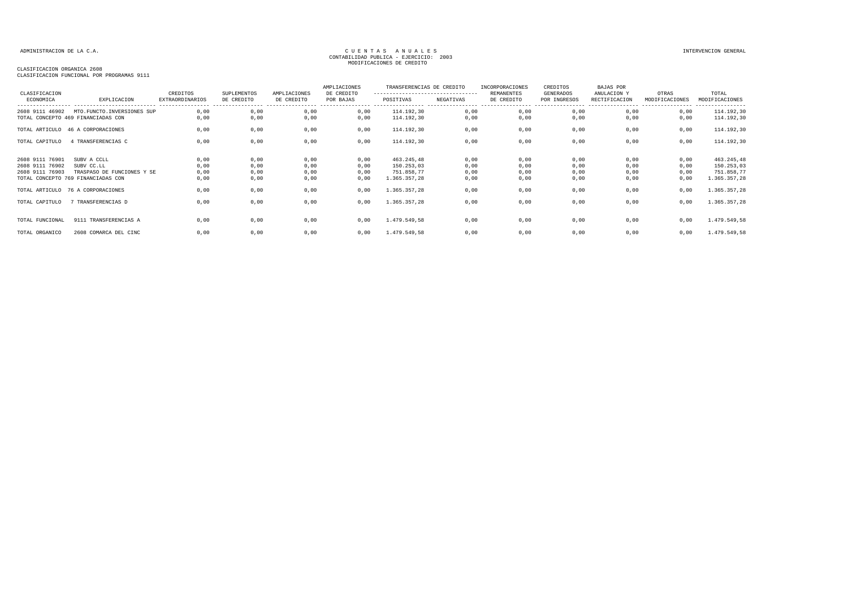### CLASIFICACION ORGANICA 2608

| CLASIFICACION                                         |                                                                                               | CREDITOS                     | <b>SUPLEMENTOS</b>           | AMPLIACIONES                    | AMPLIACIONES<br>DE CREDITO   | TRANSFERENCIAS DE CREDITO<br>--------------------------------- |                              | INCORPORACIONES<br><b>REMANENTES</b> | CREDITOS<br>GENERADOS             | BAJAS POR<br>ANULACION Y                               | OTRAS                        | TOTAL                                                  |
|-------------------------------------------------------|-----------------------------------------------------------------------------------------------|------------------------------|------------------------------|---------------------------------|------------------------------|----------------------------------------------------------------|------------------------------|--------------------------------------|-----------------------------------|--------------------------------------------------------|------------------------------|--------------------------------------------------------|
| ECONOMICA                                             | EXPLICACION<br>----------------------------                                                   | EXTRAORDINARIOS              | DE CREDITO                   | DE CREDITO<br>----------------- | POR BAJAS                    | POSITIVAS                                                      | NEGATIVAS                    | DE CREDITO                           | POR INGRESOS<br>----------------- | RECTIFICACION<br>------------------------------------- | MODIFICACIONES               | MODIFICACIONES<br>----------------                     |
| 2608 9111 46902                                       | MTO. FUNCTO. INVERSIONES SUP<br>TOTAL CONCEPTO 469 FINANCIADAS CON                            | 0.00<br>0,00                 | 0,00<br>0,00                 | 0,00<br>0,00                    | 0,00<br>0,00                 | 114.192,30<br>114.192,30                                       | 0,00<br>0,00                 | 0,00<br>0,00                         | 0,00<br>0,00                      | 0,00<br>0,00                                           | 0,00<br>0,00                 | 114.192,30<br>114.192,30                               |
|                                                       | TOTAL ARTICULO 46 A CORPORACIONES                                                             | 0,00                         | 0,00                         | 0,00                            | 0,00                         | 114.192,30                                                     | 0,00                         | 0,00                                 | 0,00                              | 0,00                                                   | 0,00                         | 114.192,30                                             |
| TOTAL CAPITULO                                        | 4 TRANSFERENCIAS C                                                                            | 0,00                         | 0,00                         | 0,00                            | 0,00                         | 114.192,30                                                     | 0,00                         | 0,00                                 | 0,00                              | 0,00                                                   | 0,00                         | 114.192,30                                             |
| 2608 9111 76901<br>2608 9111 76902<br>2608 9111 76903 | SUBV A CCLL<br>SUBV CC.LL<br>TRASPASO DE FUNCIONES Y SE<br>TOTAL CONCEPTO 769 FINANCIADAS CON | 0,00<br>0,00<br>0,00<br>0,00 | 0,00<br>0,00<br>0,00<br>0,00 | 0,00<br>0,00<br>0,00<br>0,00    | 0,00<br>0,00<br>0,00<br>0,00 | 463.245,48<br>150.253,03<br>751.858,77<br>1.365.357,28         | 0,00<br>0,00<br>0,00<br>0,00 | 0,00<br>0,00<br>0,00<br>0,00         | 0,00<br>0,00<br>0,00<br>0,00      | 0,00<br>0,00<br>0,00<br>0,00                           | 0,00<br>0,00<br>0,00<br>0,00 | 463.245,48<br>150.253,03<br>751.858,77<br>1.365.357,28 |
|                                                       | TOTAL ARTICULO 76 A CORPORACIONES                                                             | 0,00                         | 0,00                         | 0,00                            | 0,00                         | 1.365.357,28                                                   | 0,00                         | 0,00                                 | 0,00                              | 0,00                                                   | 0,00                         | 1.365.357,28                                           |
| TOTAL CAPITULO                                        | 7 TRANSFERENCIAS D                                                                            | 0,00                         | 0,00                         | 0,00                            | 0,00                         | 1.365.357,28                                                   | 0,00                         | 0,00                                 | 0,00                              | 0,00                                                   | 0,00                         | 1.365.357,28                                           |
| TOTAL FUNCIONAL                                       | 9111 TRANSFERENCIAS A                                                                         | 0,00                         | 0,00                         | 0,00                            | 0,00                         | 1.479.549,58                                                   | 0,00                         | 0,00                                 | 0,00                              | 0,00                                                   | 0,00                         | 1.479.549,58                                           |
| TOTAL ORGANICO                                        | 2608 COMARCA DEL CINC                                                                         | 0,00                         | 0,00                         | 0,00                            | 0,00                         | 1.479.549,58                                                   | 0,00                         | 0,00                                 | 0,00                              | 0,00                                                   | 0,00                         | 1.479.549,58                                           |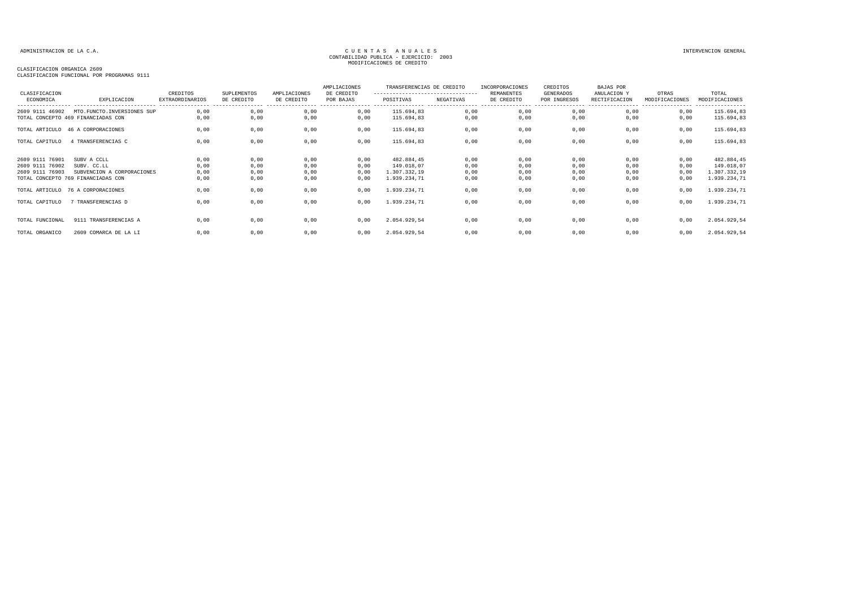### CLASIFICACION ORGANICA 2609 CLASIFICACION FUNCIONAL POR PROGRAMAS 9111

| CLASIFICACION   |                                    | CREDITOS                                    | SUPLEMENTOS                    | AMPLIACIONES                    | AMPLIACIONES<br>DE CREDITO         | TRANSFERENCIAS DE CREDITO<br>--------------------------------- |                                | INCORPORACIONES<br><b>REMANENTES</b> | CREDITOS<br>GENERADOS            | BAJAS POR<br>ANULACION Y | OTRAS          | TOTAL                              |
|-----------------|------------------------------------|---------------------------------------------|--------------------------------|---------------------------------|------------------------------------|----------------------------------------------------------------|--------------------------------|--------------------------------------|----------------------------------|--------------------------|----------------|------------------------------------|
| ECONOMICA       | EXPLICACION                        | <b>EXTRAORDINARIOS</b><br>----------------- | DE CREDITO<br>---------------- | DE CREDITO<br>----------------- | POR BAJAS<br>----------------- --- | POSITIVAS                                                      | NEGATIVAS<br>----------------- | DE CREDITO<br>-----------------      | POR INGRESOS<br>---------------- | RECTIFICACION            | MODIFICACIONES | MODIFICACIONES<br>---------------- |
| 2609 9111 46902 | MTO.FUNCTO.INVERSIONES SUP         | 0,00                                        | 0,00                           | 0,00                            | 0,00                               | 115.694,83                                                     | 0,00                           | 0,00                                 | 0,00                             | 0,00                     | 0,00           | 115.694,83                         |
|                 | TOTAL CONCEPTO 469 FINANCIADAS CON | 0,00                                        | 0,00                           | 0,00                            | 0,00                               | 115.694,83                                                     | 0,00                           | 0,00                                 | 0,00                             | 0,00                     | 0,00           | 115.694,83                         |
|                 | TOTAL ARTICULO 46 A CORPORACIONES  | 0,00                                        | 0,00                           | 0,00                            | 0,00                               | 115.694,83                                                     | 0,00                           | 0,00                                 | 0,00                             | 0,00                     | 0,00           | 115.694,83                         |
| TOTAL CAPITULO  | 4 TRANSFERENCIAS C                 | 0,00                                        | 0,00                           | 0,00                            | 0,00                               | 115.694,83                                                     | 0,00                           | 0,00                                 | 0,00                             | 0,00                     | 0,00           | 115.694,83                         |
| 2609 9111 76901 | SUBV A CCLL                        | 0,00                                        | 0,00                           | 0,00                            | 0,00                               | 482.884,45                                                     | 0,00                           | 0,00                                 | 0,00                             | 0,00                     | 0,00           | 482.884,45                         |
| 2609 9111 76902 | SUBV. CC.LL                        | 0,00                                        | 0,00                           | 0,00                            | 0,00                               | 149.018,07                                                     | 0,00                           | 0,00                                 | 0,00                             | 0,00                     | 0,00           | 149.018,07                         |
| 2609 9111 76903 | SUBVENCION A CORPORACIONES         | 0,00                                        | 0,00                           | 0,00                            | 0,00                               | 1.307.332,19                                                   | 0,00                           | 0,00                                 | 0,00                             | 0,00                     | 0,00           | 1.307.332,19                       |
|                 | TOTAL CONCEPTO 769 FINANCIADAS CON | 0,00                                        | 0,00                           | 0,00                            | 0,00                               | 1.939.234,71                                                   | 0,00                           | 0,00                                 | 0,00                             | 0,00                     | 0,00           | 1.939.234,71                       |
|                 | TOTAL ARTICULO 76 A CORPORACIONES  | 0,00                                        | 0,00                           | 0,00                            | 0,00                               | 1.939.234,71                                                   | 0,00                           | 0,00                                 | 0,00                             | 0,00                     | 0,00           | 1.939.234,71                       |
| TOTAL CAPITULO  | 7 TRANSFERENCIAS D                 | 0,00                                        | 0,00                           | 0,00                            | 0,00                               | 1.939.234,71                                                   | 0,00                           | 0,00                                 | 0,00                             | 0,00                     | 0,00           | 1.939.234,71                       |
|                 |                                    |                                             |                                |                                 |                                    |                                                                |                                |                                      |                                  |                          |                |                                    |
| TOTAL FUNCIONAL | 9111 TRANSFERENCIAS A              | 0.00                                        | 0,00                           | 0,00                            | 0,00                               | 2.054.929,54                                                   | 0,00                           | 0,00                                 | 0,00                             | 0,00                     | 0,00           | 2.054.929,54                       |
| TOTAL ORGANICO  | 2609 COMARCA DE LA LI              | 0.00                                        | 0,00                           | 0,00                            | 0,00                               | 2.054.929,54                                                   | 0,00                           | 0,00                                 | 0,00                             | 0,00                     | 0,00           | 2.054.929,54                       |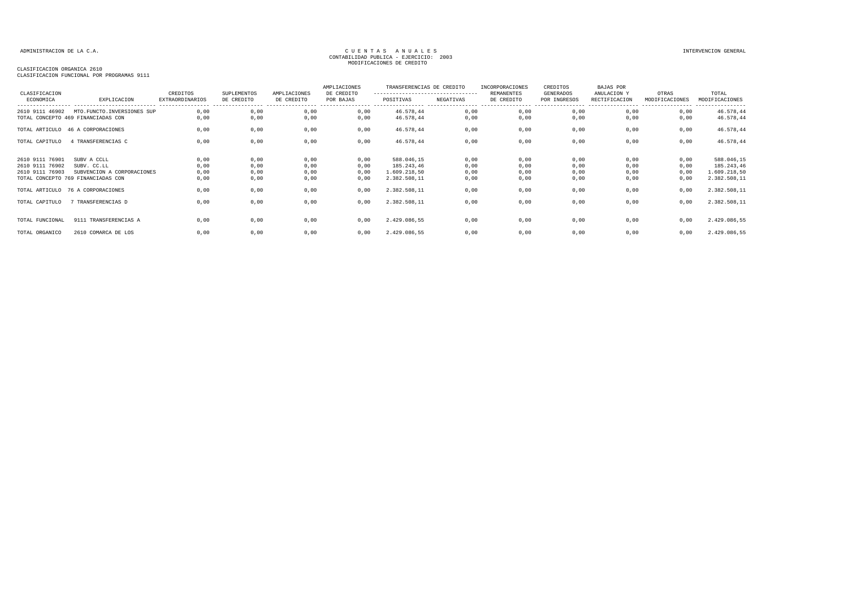## CLASIFICACION ORGANICA 2610

| CLASIFICACION                      |                                                                  | CREDITOS                                    | SUPLEMENTOS                     | AMPLIACIONES                    | AMPLIACIONES<br>DE CREDITO   | TRANSFERENCIAS DE CREDITO<br>--------------------------------- |                                | INCORPORACIONES<br><b>REMANENTES</b> | CREDITOS<br>GENERADOS            | BAJAS POR<br>ANULACION Y | OTRAS          | TOTAL                              |
|------------------------------------|------------------------------------------------------------------|---------------------------------------------|---------------------------------|---------------------------------|------------------------------|----------------------------------------------------------------|--------------------------------|--------------------------------------|----------------------------------|--------------------------|----------------|------------------------------------|
| ECONOMICA                          | EXPLICACION                                                      | <b>EXTRAORDINARIOS</b><br>----------------- | DE CREDITO<br>----------------- | DE CREDITO<br>----------------- | POR BAJAS<br>---------- ---- | POSITIVAS                                                      | NEGATIVAS<br>----------------- | DE CREDITO<br>-----------------      | POR INGRESOS<br>---------------- | RECTIFICACION            | MODIFICACIONES | MODIFICACIONES<br>---------------- |
| 2610 9111 46902                    | MTO.FUNCTO.INVERSIONES SUP<br>TOTAL CONCEPTO 469 FINANCIADAS CON | 0,00<br>0,00                                | 0,00<br>0,00                    | 0,00<br>0,00                    | 0,00<br>0,00                 | 46.578,44<br>46.578,44                                         | 0,00<br>0,00                   | 0,00<br>0,00                         | 0,00<br>0,00                     | 0,00<br>0,00             | 0,00<br>0,00   | 46.578,44<br>46.578,44             |
|                                    | TOTAL ARTICULO 46 A CORPORACIONES                                | 0,00                                        | 0,00                            | 0,00                            | 0,00                         | 46.578,44                                                      | 0,00                           | 0,00                                 | 0,00                             | 0,00                     | 0,00           | 46.578,44                          |
| TOTAL CAPITULO                     | 4 TRANSFERENCIAS C                                               | 0,00                                        | 0,00                            | 0,00                            | 0,00                         | 46.578,44                                                      | 0,00                           | 0,00                                 | 0,00                             | 0,00                     | 0,00           | 46.578,44                          |
|                                    |                                                                  |                                             |                                 |                                 |                              |                                                                |                                |                                      |                                  |                          |                |                                    |
| 2610 9111 76901                    | SUBV A CCLL                                                      | 0,00                                        | 0,00                            | 0,00                            | 0,00                         | 588.046,15                                                     | 0,00                           | 0,00                                 | 0,00                             | 0,00                     | 0,00           | 588.046,15                         |
| 2610 9111 76902<br>2610 9111 76903 | SUBV. CC.LL<br>SUBVENCION A CORPORACIONES                        | 0,00<br>0,00                                | 0,00<br>0,00                    | 0,00<br>0,00                    | 0,00<br>0,00                 | 185.243,46<br>1.609.218,50                                     | 0,00<br>0,00                   | 0,00<br>0,00                         | 0,00<br>0,00                     | 0,00<br>0,00             | 0,00<br>0,00   | 185.243,46<br>1.609.218,50         |
|                                    | TOTAL CONCEPTO 769 FINANCIADAS CON                               | 0,00                                        | 0,00                            | 0,00                            | 0,00                         | 2.382.508,11                                                   | 0,00                           | 0,00                                 | 0,00                             | 0,00                     | 0,00           | 2.382.508,11                       |
|                                    | TOTAL ARTICULO 76 A CORPORACIONES                                | 0,00                                        | 0,00                            | 0,00                            | 0,00                         | 2.382.508,11                                                   | 0,00                           | 0,00                                 | 0,00                             | 0,00                     | 0,00           | 2.382.508,11                       |
| TOTAL CAPITULO                     | 7 TRANSFERENCIAS D                                               | 0,00                                        | 0,00                            | 0,00                            | 0,00                         | 2.382.508,11                                                   | 0,00                           | 0,00                                 | 0,00                             | 0,00                     | 0,00           | 2.382.508,11                       |
|                                    |                                                                  |                                             |                                 |                                 |                              |                                                                |                                |                                      |                                  |                          |                |                                    |
| TOTAL FUNCIONAL                    | 9111 TRANSFERENCIAS A                                            | 0.00                                        | 0,00                            | 0,00                            | 0,00                         | 2.429.086,55                                                   | 0,00                           | 0,00                                 | 0,00                             | 0,00                     | 0,00           | 2.429.086,55                       |
| TOTAL ORGANICO                     | 2610 COMARCA DE LOS                                              | 0.00                                        | 0,00                            | 0,00                            | 0,00                         | 2.429.086,55                                                   | 0,00                           | 0,00                                 | 0,00                             | 0,00                     | 0,00           | 2.429.086,55                       |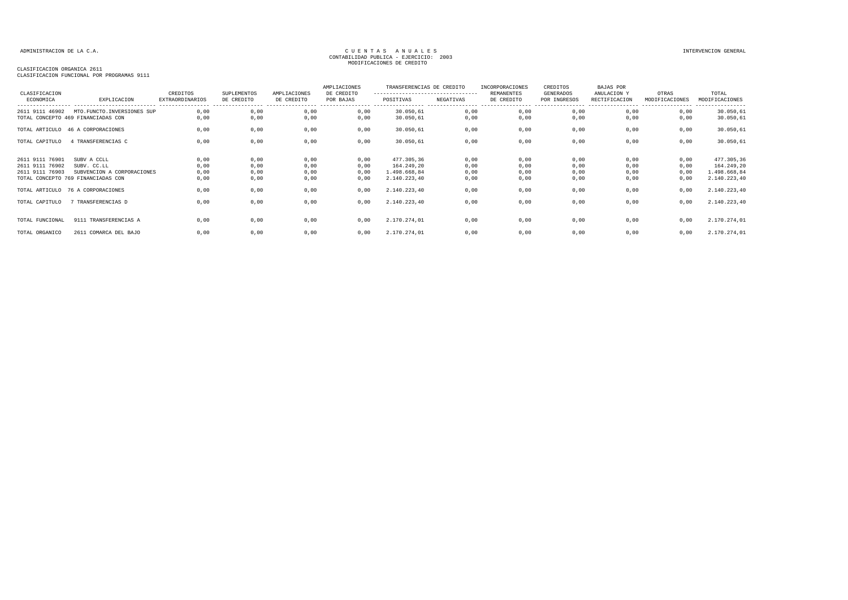### CLASIFICACION ORGANICA 2611

| CLASIFICACION                                         |                                                                                                | CREDITOS                                   | SUPLEMENTOS                  | AMPLIACIONES                 | AMPLIACIONES<br>DE CREDITO   | TRANSFERENCIAS DE CREDITO<br>--------------------------------- |                              | <b>INCORPORACIONES</b><br>REMANENTES | CREDITOS<br>GENERADOS             | <b>BAJAS POR</b><br>ANULACION Y                        | OTRAS                        | TOTAL                                                    |
|-------------------------------------------------------|------------------------------------------------------------------------------------------------|--------------------------------------------|------------------------------|------------------------------|------------------------------|----------------------------------------------------------------|------------------------------|--------------------------------------|-----------------------------------|--------------------------------------------------------|------------------------------|----------------------------------------------------------|
| ECONOMICA                                             | EXPLICACION<br>----------------------------                                                    | <b>EXTRAORDINARIOS</b><br>---------------- | DE CREDITO                   | DE CREDITO                   | POR BAJAS                    | POSITIVAS                                                      | NEGATIVAS                    | DE CREDITO<br>-----------------      | POR INGRESOS<br>----------------- | RECTIFICACION<br>------------------------------------- | MODIFICACIONES               | MODIFICACIONES<br>----------------                       |
| 2611 9111 46902                                       | MTO.FUNCTO.INVERSIONES SUP<br>TOTAL CONCEPTO 469 FINANCIADAS CON                               | 0.00<br>0,00                               | 0,00<br>0,00                 | 0,00<br>0,00                 | 0,00<br>0,00                 | 30.050,61<br>30.050,61                                         | 0,00<br>0,00                 | 0,00<br>0,00                         | 0,00<br>0,00                      | 0,00<br>0,00                                           | 0,00<br>0,00                 | 30.050,61<br>30.050,61                                   |
|                                                       | TOTAL ARTICULO 46 A CORPORACIONES                                                              | 0,00                                       | 0,00                         | 0,00                         | 0,00                         | 30.050,61                                                      | 0,00                         | 0,00                                 | 0,00                              | 0,00                                                   | 0,00                         | 30.050,61                                                |
| TOTAL CAPITULO                                        | 4 TRANSFERENCIAS C                                                                             | 0,00                                       | 0,00                         | 0,00                         | 0,00                         | 30.050,61                                                      | 0,00                         | 0,00                                 | 0,00                              | 0,00                                                   | 0,00                         | 30.050,61                                                |
| 2611 9111 76901<br>2611 9111 76902<br>2611 9111 76903 | SUBV A CCLL<br>SUBV. CC.LL<br>SUBVENCION A CORPORACIONES<br>TOTAL CONCEPTO 769 FINANCIADAS CON | 0,00<br>0,00<br>0,00<br>0,00               | 0,00<br>0,00<br>0,00<br>0,00 | 0,00<br>0,00<br>0,00<br>0,00 | 0,00<br>0,00<br>0,00<br>0,00 | 477.305,36<br>164.249,20<br>1.498.668,84<br>2.140.223,40       | 0,00<br>0,00<br>0,00<br>0,00 | 0,00<br>0,00<br>0,00<br>0,00         | 0,00<br>0,00<br>0,00<br>0,00      | 0,00<br>0,00<br>0,00<br>0,00                           | 0,00<br>0,00<br>0,00<br>0,00 | 477.305,36<br>164.249,20<br>1.498.668,84<br>2.140.223,40 |
|                                                       | TOTAL ARTICULO 76 A CORPORACIONES                                                              | 0,00                                       | 0,00                         | 0,00                         | 0,00                         | 2.140.223,40                                                   | 0,00                         | 0,00                                 | 0,00                              | 0,00                                                   | 0,00                         | 2.140.223,40                                             |
| TOTAL CAPITULO                                        | 7 TRANSFERENCIAS D                                                                             | 0,00                                       | 0,00                         | 0,00                         | 0,00                         | 2.140.223,40                                                   | 0,00                         | 0,00                                 | 0,00                              | 0,00                                                   | 0,00                         | 2.140.223,40                                             |
| TOTAL FUNCIONAL                                       | 9111 TRANSFERENCIAS A                                                                          | 0,00                                       | 0,00                         | 0,00                         | 0,00                         | 2.170.274,01                                                   | 0,00                         | 0,00                                 | 0,00                              | 0,00                                                   | 0,00                         | 2.170.274,01                                             |
| TOTAL ORGANICO                                        | 2611 COMARCA DEL BAJO                                                                          | 0,00                                       | 0,00                         | 0,00                         | 0,00                         | 2.170.274,01                                                   | 0,00                         | 0,00                                 | 0,00                              | 0,00                                                   | 0,00                         | 2.170.274,01                                             |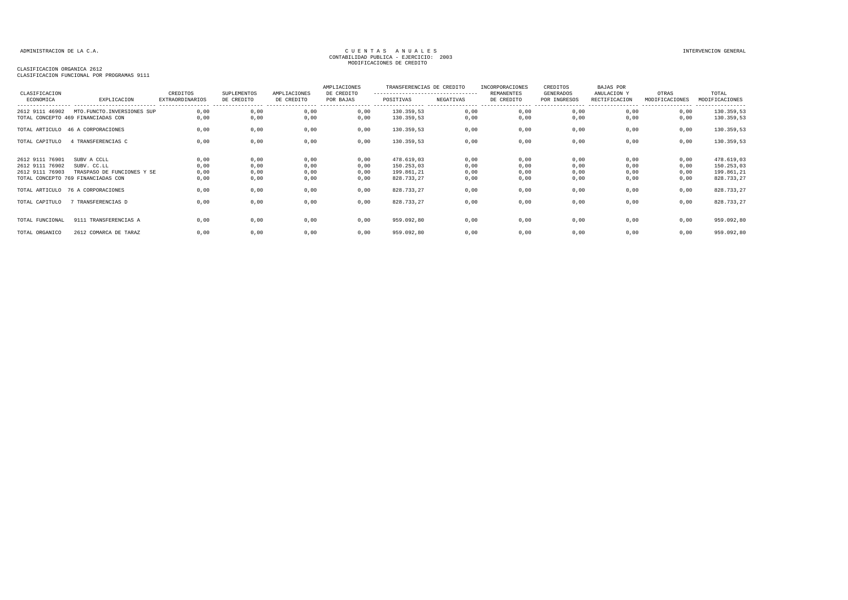### CLASIFICACION ORGANICA 2612

| CLASIFICACION                                         |                                                                                                | CREDITOS                                               | <b>SUPLEMENTOS</b>           | AMPLIACIONES                    | AMPLIACIONES<br>DE CREDITO   | TRANSFERENCIAS DE CREDITO<br>--------------------------------- |                              | INCORPORACIONES<br><b>REMANENTES</b> | CREDITOS<br>GENERADOS            | BAJAS POR<br>ANULACION Y                               | OTRAS                        | TOTAL                                                |
|-------------------------------------------------------|------------------------------------------------------------------------------------------------|--------------------------------------------------------|------------------------------|---------------------------------|------------------------------|----------------------------------------------------------------|------------------------------|--------------------------------------|----------------------------------|--------------------------------------------------------|------------------------------|------------------------------------------------------|
| ECONOMICA                                             | EXPLICACION<br>----------------------------                                                    | EXTRAORDINARIOS<br>----------------- ----------------- | DE CREDITO                   | DE CREDITO<br>----------------- | POR BAJAS                    | POSITIVAS                                                      | NEGATIVAS                    | DE CREDITO                           | POR INGRESOS<br>---------------- | RECTIFICACION<br>------------------------------------- | MODIFICACIONES               | MODIFICACIONES<br>----------------                   |
| 2612 9111 46902                                       | MTO. FUNCTO. INVERSIONES SUP<br>TOTAL CONCEPTO 469 FINANCIADAS CON                             | 0.00<br>0,00                                           | 0,00<br>0,00                 | 0,00<br>0,00                    | 0,00<br>0,00                 | 130.359,53<br>130.359,53                                       | 0,00<br>0,00                 | 0,00<br>0,00                         | 0,00<br>0,00                     | 0,00<br>0,00                                           | 0,00<br>0,00                 | 130.359,53<br>130.359,53                             |
|                                                       | TOTAL ARTICULO 46 A CORPORACIONES                                                              | 0,00                                                   | 0,00                         | 0,00                            | 0,00                         | 130.359,53                                                     | 0,00                         | 0,00                                 | 0,00                             | 0,00                                                   | 0,00                         | 130.359,53                                           |
| TOTAL CAPITULO                                        | 4 TRANSFERENCIAS C                                                                             | 0,00                                                   | 0,00                         | 0,00                            | 0,00                         | 130.359,53                                                     | 0,00                         | 0,00                                 | 0,00                             | 0,00                                                   | 0,00                         | 130.359,53                                           |
| 2612 9111 76901<br>2612 9111 76902<br>2612 9111 76903 | SUBV A CCLL<br>SUBV. CC.LL<br>TRASPASO DE FUNCIONES Y SE<br>TOTAL CONCEPTO 769 FINANCIADAS CON | 0,00<br>0,00<br>0,00<br>0,00                           | 0,00<br>0,00<br>0,00<br>0,00 | 0,00<br>0,00<br>0,00<br>0,00    | 0,00<br>0,00<br>0,00<br>0,00 | 478.619,03<br>150.253,03<br>199.861,21<br>828.733,27           | 0,00<br>0,00<br>0,00<br>0,00 | 0,00<br>0,00<br>0,00<br>0,00         | 0,00<br>0,00<br>0,00<br>0,00     | 0,00<br>0,00<br>0,00<br>0,00                           | 0,00<br>0,00<br>0,00<br>0,00 | 478.619,03<br>150.253,03<br>199.861,21<br>828.733,27 |
|                                                       | TOTAL ARTICULO 76 A CORPORACIONES                                                              | 0,00                                                   | 0,00                         | 0,00                            | 0,00                         | 828.733,27                                                     | 0,00                         | 0,00                                 | 0,00                             | 0,00                                                   | 0,00                         | 828.733,27                                           |
| TOTAL CAPITULO                                        | 7 TRANSFERENCIAS D                                                                             | 0,00                                                   | 0,00                         | 0,00                            | 0,00                         | 828.733,27                                                     | 0,00                         | 0,00                                 | 0,00                             | 0,00                                                   | 0,00                         | 828.733,27                                           |
| TOTAL FUNCIONAL                                       | 9111 TRANSFERENCIAS A                                                                          | 0,00                                                   | 0,00                         | 0,00                            | 0,00                         | 959.092,80                                                     | 0,00                         | 0,00                                 | 0,00                             | 0,00                                                   | 0,00                         | 959.092,80                                           |
| TOTAL ORGANICO                                        | 2612 COMARCA DE TARAZ                                                                          | 0,00                                                   | 0,00                         | 0,00                            | 0,00                         | 959.092,80                                                     | 0,00                         | 0,00                                 | 0,00                             | 0,00                                                   | 0,00                         | 959.092,80                                           |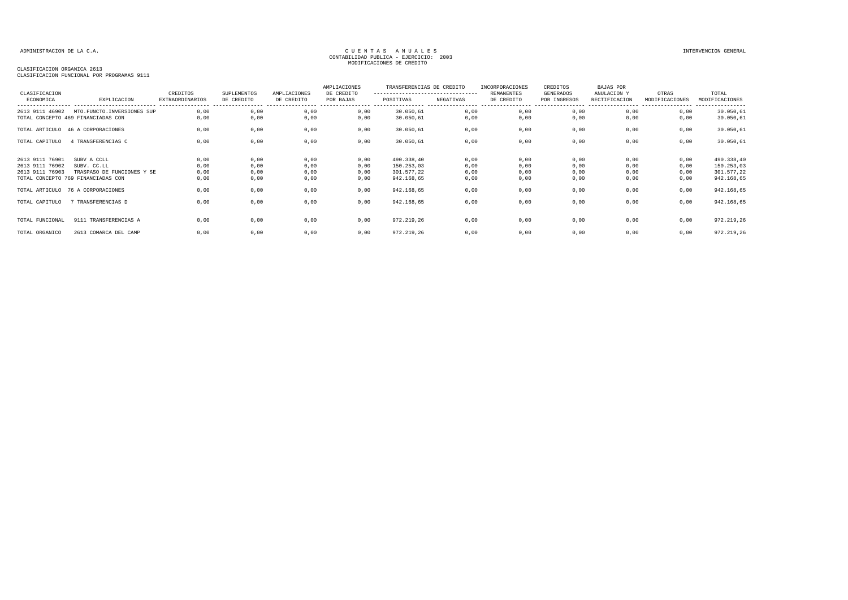### CLASIFICACION ORGANICA 2613

| CLASIFICACION                                         |                                                                                                | CREDITOS                                   | SUPLEMENTOS                    | AMPLIACIONES                   | AMPLIACIONES<br>DE CREDITO   | TRANSFERENCIAS DE CREDITO<br>--------------------------------- |                              | INCORPORACIONES<br><b>REMANENTES</b> | CREDITOS<br>GENERADOS            | BAJAS POR<br>ANULACION Y                             | OTRAS                        | TOTAL                                                |
|-------------------------------------------------------|------------------------------------------------------------------------------------------------|--------------------------------------------|--------------------------------|--------------------------------|------------------------------|----------------------------------------------------------------|------------------------------|--------------------------------------|----------------------------------|------------------------------------------------------|------------------------------|------------------------------------------------------|
| ECONOMICA                                             | EXPLICACION<br>----------------------------                                                    | <b>EXTRAORDINARIOS</b><br>---------------- | DE CREDITO<br>---------------- | DE CREDITO<br>---------------- | POR BAJAS                    | POSITIVAS                                                      | NEGATIVAS                    | DE CREDITO<br>----------------       | POR INGRESOS<br>---------------- | RECTIFICACION<br>----------------- ----------------- | MODIFICACIONES               | MODIFICACIONES<br>----------------                   |
| 2613 9111 46902                                       | MTO.FUNCTO.INVERSIONES SUP<br>TOTAL CONCEPTO 469 FINANCIADAS CON                               | 0.00<br>0.00                               | 0,00<br>0,00                   | 0,00<br>0,00                   | 0,00<br>0,00                 | 30.050,61<br>30.050,61                                         | 0,00<br>0,00                 | 0,00<br>0,00                         | 0,00<br>0,00                     | 0,00<br>0.00                                         | 0,00<br>0,00                 | 30.050,61<br>30.050,61                               |
|                                                       | TOTAL ARTICULO 46 A CORPORACIONES                                                              | 0,00                                       | 0,00                           | 0,00                           | 0,00                         | 30.050,61                                                      | 0,00                         | 0,00                                 | 0,00                             | 0,00                                                 | 0,00                         | 30.050,61                                            |
| TOTAL CAPITULO                                        | 4 TRANSFERENCIAS C                                                                             | 0,00                                       | 0,00                           | 0,00                           | 0,00                         | 30.050,61                                                      | 0,00                         | 0,00                                 | 0,00                             | 0,00                                                 | 0,00                         | 30.050,61                                            |
| 2613 9111 76901<br>2613 9111 76902<br>2613 9111 76903 | SUBV A CCLL<br>SUBV. CC.LL<br>TRASPASO DE FUNCIONES Y SE<br>TOTAL CONCEPTO 769 FINANCIADAS CON | 0,00<br>0,00<br>0,00<br>0,00               | 0,00<br>0,00<br>0,00<br>0,00   | 0,00<br>0,00<br>0,00<br>0,00   | 0,00<br>0,00<br>0,00<br>0,00 | 490.338,40<br>150.253,03<br>301.577,22<br>942.168,65           | 0,00<br>0,00<br>0,00<br>0,00 | 0,00<br>0,00<br>0,00<br>0,00         | 0,00<br>0,00<br>0,00<br>0,00     | 0.00<br>0,00<br>0,00<br>0,00                         | 0,00<br>0,00<br>0,00<br>0,00 | 490.338,40<br>150.253,03<br>301.577,22<br>942.168,65 |
|                                                       | TOTAL ARTICULO 76 A CORPORACIONES                                                              | 0,00                                       | 0,00                           | 0,00                           | 0,00                         | 942.168,65                                                     | 0,00                         | 0,00                                 | 0,00                             | 0,00                                                 | 0,00                         | 942.168,65                                           |
| TOTAL CAPITULO                                        | 7 TRANSFERENCIAS D                                                                             | 0,00                                       | 0,00                           | 0,00                           | 0,00                         | 942.168,65                                                     | 0,00                         | 0,00                                 | 0,00                             | 0,00                                                 | 0,00                         | 942.168,65                                           |
| TOTAL FUNCIONAL                                       | 9111 TRANSFERENCIAS A                                                                          | 0,00                                       | 0,00                           | 0,00                           | 0,00                         | 972.219,26                                                     | 0,00                         | 0,00                                 | 0,00                             | 0,00                                                 | 0,00                         | 972.219,26                                           |
| TOTAL ORGANICO                                        | 2613 COMARCA DEL CAMP                                                                          | 0,00                                       | 0,00                           | 0,00                           | 0,00                         | 972.219,26                                                     | 0,00                         | 0,00                                 | 0,00                             | 0,00                                                 | 0,00                         | 972.219,26                                           |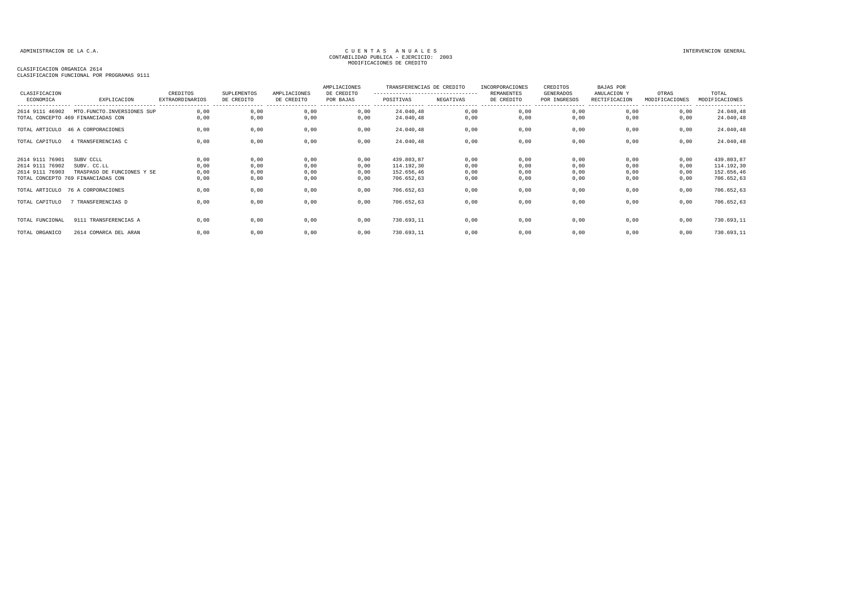### CLASIFICACION ORGANICA 2614

| CLASIFICACION<br>ECONOMICA                            | EXPLICACION                                                                                  | CREDITOS<br><b>EXTRAORDINARIOS</b> | SUPLEMENTOS<br>DE CREDITO    | AMPLIACIONES<br>DE CREDITO   | AMPLIACIONES<br>DE CREDITO<br>POR BAJAS | TRANSFERENCIAS DE CREDITO<br>---------------------------------<br>POSITIVAS | NEGATIVAS                    | INCORPORACIONES<br><b>REMANENTES</b><br>DE CREDITO | CREDITOS<br>GENERADOS<br>POR INGRESOS | <b>BAJAS POR</b><br>ANULACION Y<br>RECTIFICACION | OTRAS<br>MODIFICACIONES      | TOTAL<br>MODIFICACIONES<br>---------                 |
|-------------------------------------------------------|----------------------------------------------------------------------------------------------|------------------------------------|------------------------------|------------------------------|-----------------------------------------|-----------------------------------------------------------------------------|------------------------------|----------------------------------------------------|---------------------------------------|--------------------------------------------------|------------------------------|------------------------------------------------------|
| 2614 9111 46902                                       | MTO.FUNCTO.INVERSIONES SUP<br>TOTAL CONCEPTO 469 FINANCIADAS CON                             | 0,00<br>0.00                       | 0,00<br>0,00                 | 0,00<br>0,00                 | 0,00<br>0,00                            | 24.040,48<br>24.040,48                                                      | 0,00<br>0,00                 | 0,00<br>0,00                                       | 0,00<br>0,00                          | 0,00<br>0,00                                     | 0,00<br>0,00                 | 24.040,48<br>24.040,48                               |
|                                                       | TOTAL ARTICULO 46 A CORPORACIONES                                                            | 0,00                               | 0,00                         | 0,00                         | 0,00                                    | 24.040,48                                                                   | 0,00                         | 0,00                                               | 0,00                                  | 0,00                                             | 0,00                         | 24.040,48                                            |
| TOTAL CAPITULO                                        | 4 TRANSFERENCIAS C                                                                           | 0,00                               | 0,00                         | 0,00                         | 0,00                                    | 24.040,48                                                                   | 0,00                         | 0,00                                               | 0,00                                  | 0,00                                             | 0,00                         | 24.040,48                                            |
| 2614 9111 76901<br>2614 9111 76902<br>2614 9111 76903 | SUBV CCLL<br>SUBV. CC.LL<br>TRASPASO DE FUNCIONES Y SE<br>TOTAL CONCEPTO 769 FINANCIADAS CON | 0,00<br>0,00<br>0,00<br>0,00       | 0,00<br>0,00<br>0,00<br>0,00 | 0,00<br>0,00<br>0,00<br>0,00 | 0,00<br>0,00<br>0,00<br>0,00            | 439.803,87<br>114.192,30<br>152.656,46<br>706.652,63                        | 0,00<br>0,00<br>0,00<br>0,00 | 0,00<br>0,00<br>0,00<br>0,00                       | 0,00<br>0,00<br>0,00<br>0,00          | 0,00<br>0,00<br>0,00<br>0,00                     | 0,00<br>0,00<br>0,00<br>0,00 | 439.803,87<br>114.192,30<br>152.656,46<br>706.652,63 |
|                                                       | TOTAL ARTICULO 76 A CORPORACIONES                                                            | 0,00                               | 0,00                         | 0,00                         | 0,00                                    | 706.652,63                                                                  | 0,00                         | 0,00                                               | 0,00                                  | 0,00                                             | 0,00                         | 706.652,63                                           |
| TOTAL CAPITULO                                        | 7 TRANSFERENCIAS D                                                                           | 0,00                               | 0,00                         | 0,00                         | 0,00                                    | 706.652,63                                                                  | 0,00                         | 0,00                                               | 0,00                                  | 0,00                                             | 0,00                         | 706.652,63                                           |
| TOTAL FUNCIONAL                                       | 9111 TRANSFERENCIAS A                                                                        | 0.00                               | 0,00                         | 0,00                         | 0.00                                    | 730.693,11                                                                  | 0,00                         | 0,00                                               | 0,00                                  | 0.00                                             | 0,00                         | 730.693,11                                           |
| TOTAL ORGANICO                                        | 2614 COMARCA DEL ARAN                                                                        | 0,00                               | 0,00                         | 0,00                         | 0,00                                    | 730.693,11                                                                  | 0,00                         | 0,00                                               | 0,00                                  | 0,00                                             | 0,00                         | 730.693,11                                           |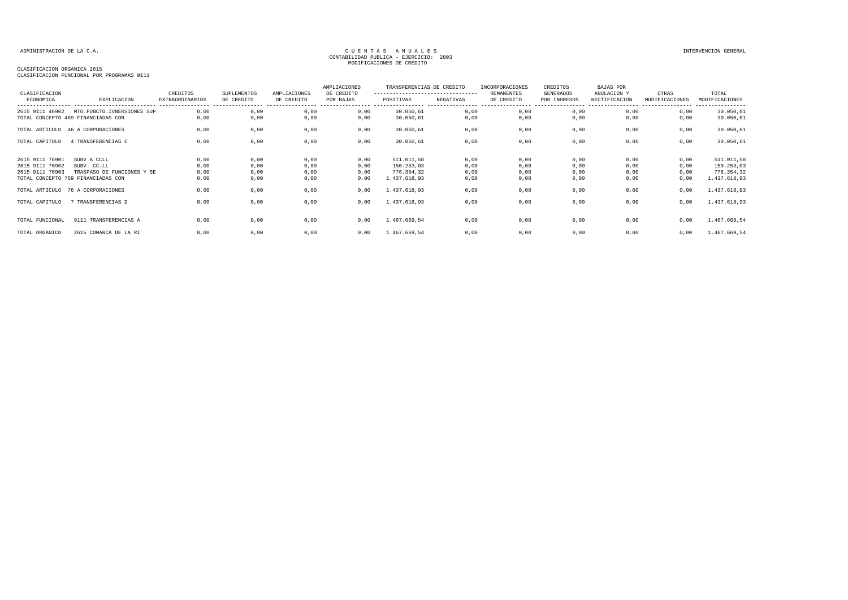### CLASIFICACION ORGANICA 2615

| CLASIFICACION                                         |                                                                                                | CREDITOS                                   | SUPLEMENTOS                  | AMPLIACIONES                 | AMPLIACIONES<br>DE CREDITO   | TRANSFERENCIAS DE CREDITO<br>--------------------------------- |                              | <b>INCORPORACIONES</b><br>REMANENTES | CREDITOS<br>GENERADOS             | <b>BAJAS POR</b><br>ANULACION Y                        | OTRAS                        | TOTAL                                                  |
|-------------------------------------------------------|------------------------------------------------------------------------------------------------|--------------------------------------------|------------------------------|------------------------------|------------------------------|----------------------------------------------------------------|------------------------------|--------------------------------------|-----------------------------------|--------------------------------------------------------|------------------------------|--------------------------------------------------------|
| ECONOMICA                                             | EXPLICACION<br>----------------------------                                                    | <b>EXTRAORDINARIOS</b><br>---------------- | DE CREDITO                   | DE CREDITO                   | POR BAJAS                    | POSITIVAS                                                      | NEGATIVAS                    | DE CREDITO<br>-----------------      | POR INGRESOS<br>----------------- | RECTIFICACION<br>------------------------------------- | MODIFICACIONES               | MODIFICACIONES<br>----------------                     |
| 2615 9111 46902                                       | MTO.FUNCTO.IVNERSIONES SUP<br>TOTAL CONCEPTO 469 FINANCIADAS CON                               | 0.00<br>0,00                               | 0,00<br>0,00                 | 0,00<br>0,00                 | 0,00<br>0,00                 | 30.050,61<br>30.050,61                                         | 0,00<br>0,00                 | 0,00<br>0,00                         | 0,00<br>0,00                      | 0,00<br>0,00                                           | 0,00<br>0,00                 | 30.050,61<br>30.050,61                                 |
|                                                       | TOTAL ARTICULO 46 A CORPORACIONES                                                              | 0,00                                       | 0,00                         | 0,00                         | 0,00                         | 30.050,61                                                      | 0,00                         | 0,00                                 | 0,00                              | 0,00                                                   | 0,00                         | 30.050,61                                              |
| TOTAL CAPITULO                                        | 4 TRANSFERENCIAS C                                                                             | 0,00                                       | 0,00                         | 0,00                         | 0,00                         | 30.050,61                                                      | 0,00                         | 0,00                                 | 0,00                              | 0,00                                                   | 0,00                         | 30.050,61                                              |
| 2615 9111 76901<br>2615 9111 76902<br>2615 9111 76903 | SUBV A CCLL<br>SUBV. CC.LL<br>TRASPASO DE FUNCIONES Y SE<br>TOTAL CONCEPTO 769 FINANCIADAS CON | 0,00<br>0,00<br>0,00<br>0,00               | 0,00<br>0,00<br>0,00<br>0,00 | 0,00<br>0,00<br>0,00<br>0,00 | 0,00<br>0,00<br>0,00<br>0,00 | 511.011,58<br>150.253,03<br>776.354,32<br>1.437.618,93         | 0,00<br>0,00<br>0,00<br>0,00 | 0,00<br>0,00<br>0,00<br>0,00         | 0,00<br>0,00<br>0,00<br>0,00      | 0,00<br>0,00<br>0,00<br>0,00                           | 0,00<br>0,00<br>0,00<br>0,00 | 511.011,58<br>150.253,03<br>776.354,32<br>1.437.618,93 |
|                                                       | TOTAL ARTICULO 76 A CORPORACIONES                                                              | 0,00                                       | 0,00                         | 0,00                         | 0,00                         | 1.437.618,93                                                   | 0,00                         | 0,00                                 | 0,00                              | 0,00                                                   | 0,00                         | 1.437.618,93                                           |
| TOTAL CAPITULO                                        | 7 TRANSFERENCIAS D                                                                             | 0,00                                       | 0,00                         | 0,00                         | 0,00                         | 1.437.618,93                                                   | 0,00                         | 0,00                                 | 0,00                              | 0,00                                                   | 0,00                         | 1.437.618,93                                           |
| TOTAL FUNCIONAL                                       | 9111 TRANSFERENCIAS A                                                                          | 0,00                                       | 0,00                         | 0,00                         | 0,00                         | 1.467.669,54                                                   | 0,00                         | 0,00                                 | 0,00                              | 0,00                                                   | 0,00                         | 1.467.669,54                                           |
| TOTAL ORGANICO                                        | 2615 COMARCA DE LA RI                                                                          | 0,00                                       | 0,00                         | 0,00                         | 0,00                         | 1.467.669,54                                                   | 0,00                         | 0,00                                 | 0,00                              | 0,00                                                   | 0,00                         | 1.467.669,54                                           |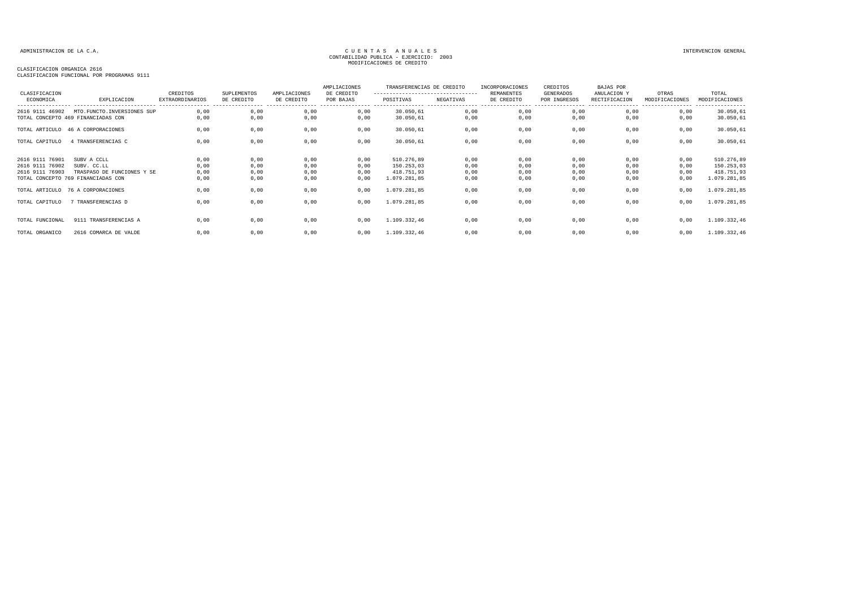## CLASIFICACION ORGANICA 2616

| CLASIFICACION<br>ECONOMICA                            | EXPLICACION                                                                                    | CREDITOS<br><b>EXTRAORDINARIOS</b> | SUPLEMENTOS<br>DE CREDITO    | AMPLIACIONES<br>DE CREDITO   | AMPLIACIONES<br>DE CREDITO<br>POR BAJAS | TRANSFERENCIAS DE CREDITO<br>---------------------------------<br>POSITIVAS | NEGATIVAS                    | INCORPORACIONES<br><b>REMANENTES</b><br>DE CREDITO | CREDITOS<br>GENERADOS<br>POR INGRESOS | BAJAS POR<br>ANULACION Y<br>RECTIFICACION | OTRAS<br>MODIFICACIONES      | TOTAL<br>MODIFICACIONES<br>--------                    |
|-------------------------------------------------------|------------------------------------------------------------------------------------------------|------------------------------------|------------------------------|------------------------------|-----------------------------------------|-----------------------------------------------------------------------------|------------------------------|----------------------------------------------------|---------------------------------------|-------------------------------------------|------------------------------|--------------------------------------------------------|
| 2616 9111 46902                                       | MTO.FUNCTO.INVERSIONES SUP<br>TOTAL CONCEPTO 469 FINANCIADAS CON                               | 0.00<br>0,00                       | 0,00<br>0,00                 | 0,00<br>0,00                 | 0,00<br>0,00                            | 30.050,61<br>30.050,61                                                      | 0,00<br>0,00                 | 0,00<br>0,00                                       | 0,00<br>0,00                          | 0,00<br>0,00                              | 0,00<br>0,00                 | 30.050,61<br>30.050,61                                 |
|                                                       | TOTAL ARTICULO 46 A CORPORACIONES                                                              | 0,00                               | 0,00                         | 0,00                         | 0,00                                    | 30.050,61                                                                   | 0,00                         | 0,00                                               | 0,00                                  | 0,00                                      | 0,00                         | 30.050,61                                              |
| TOTAL CAPITULO                                        | 4 TRANSFERENCIAS C                                                                             | 0,00                               | 0,00                         | 0,00                         | 0,00                                    | 30.050,61                                                                   | 0,00                         | 0,00                                               | 0,00                                  | 0,00                                      | 0,00                         | 30.050,61                                              |
| 2616 9111 76901<br>2616 9111 76902<br>2616 9111 76903 | SUBV A CCLL<br>SUBV. CC.LL<br>TRASPASO DE FUNCIONES Y SE<br>TOTAL CONCEPTO 769 FINANCIADAS CON | 0,00<br>0,00<br>0,00<br>0,00       | 0,00<br>0,00<br>0,00<br>0,00 | 0,00<br>0,00<br>0,00<br>0,00 | 0,00<br>0,00<br>0,00<br>0,00            | 510.276,89<br>150.253,03<br>418.751,93<br>1.079.281,85                      | 0,00<br>0,00<br>0,00<br>0,00 | 0,00<br>0,00<br>0,00<br>0,00                       | 0,00<br>0,00<br>0,00<br>0,00          | 0,00<br>0,00<br>0,00<br>0,00              | 0,00<br>0,00<br>0,00<br>0,00 | 510.276,89<br>150.253,03<br>418.751,93<br>1.079.281,85 |
|                                                       | TOTAL ARTICULO 76 A CORPORACIONES                                                              | 0,00                               | 0,00                         | 0,00                         | 0,00                                    | 1.079.281,85                                                                | 0,00                         | 0,00                                               | 0,00                                  | 0,00                                      | 0,00                         | 1.079.281,85                                           |
| TOTAL CAPITULO                                        | 7 TRANSFERENCIAS D                                                                             | 0,00                               | 0,00                         | 0,00                         | 0,00                                    | 1.079.281,85                                                                | 0,00                         | 0,00                                               | 0,00                                  | 0,00                                      | 0,00                         | 1.079.281,85                                           |
| TOTAL FUNCIONAL                                       | 9111 TRANSFERENCIAS A                                                                          | 0.00                               | 0,00                         | 0,00                         | 0.00                                    | 1.109.332,46                                                                | 0,00                         | 0,00                                               | 0,00                                  | 0,00                                      | 0,00                         | 1.109.332,46                                           |
| TOTAL ORGANICO                                        | 2616 COMARCA DE VALDE                                                                          | 0.00                               | 0,00                         | 0,00                         | 0,00                                    | 1.109.332,46                                                                | 0,00                         | 0,00                                               | 0,00                                  | 0,00                                      | 0,00                         | 1.109.332,46                                           |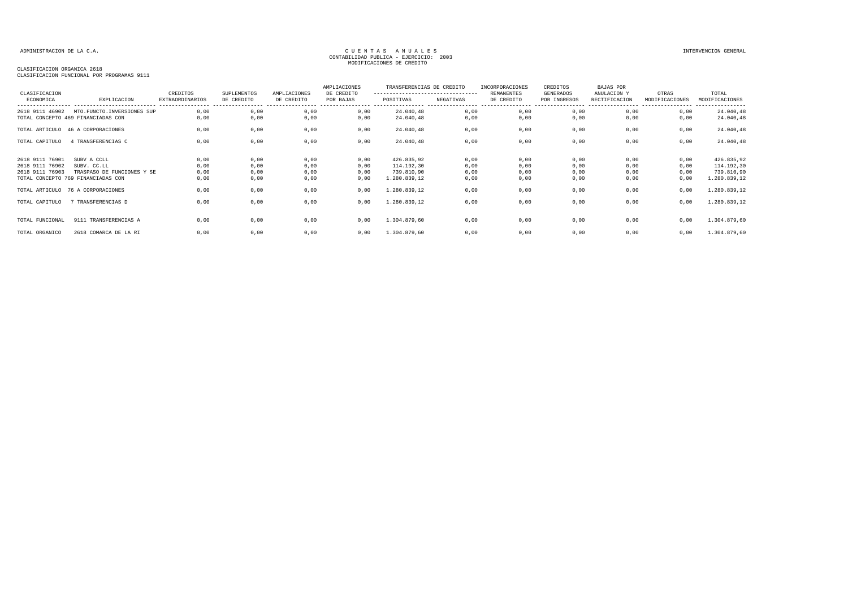### CLASIFICACION ORGANICA 2618

| CLASIFICACION<br>ECONOMICA                            | EXPLICACION                                                                                    | CREDITOS<br><b>EXTRAORDINARIOS</b> | SUPLEMENTOS<br>DE CREDITO    | AMPLIACIONES<br>DE CREDITO   | AMPLIACIONES<br>DE CREDITO<br>POR BAJAS | TRANSFERENCIAS DE CREDITO<br>---------------------------------<br>POSITIVAS | NEGATIVAS                    | INCORPORACIONES<br><b>REMANENTES</b><br>DE CREDITO | CREDITOS<br>GENERADOS<br>POR INGRESOS | <b>BAJAS POR</b><br>ANULACION Y<br>RECTIFICACION | OTRAS<br>MODIFICACIONES      | TOTAL<br>MODIFICACIONES                                |
|-------------------------------------------------------|------------------------------------------------------------------------------------------------|------------------------------------|------------------------------|------------------------------|-----------------------------------------|-----------------------------------------------------------------------------|------------------------------|----------------------------------------------------|---------------------------------------|--------------------------------------------------|------------------------------|--------------------------------------------------------|
| 2618 9111 46902                                       | MTO.FUNCTO.INVERSIONES SUP<br>TOTAL CONCEPTO 469 FINANCIADAS CON                               | 0,00<br>0.00                       | 0,00<br>0.00                 | 0,00<br>0,00                 | 0,00<br>0,00                            | 24.040,48<br>24.040,48                                                      | 0,00<br>0,00                 | 0,00<br>0,00                                       | 0,00<br>0,00                          | 0,00<br>0.00                                     | 0,00<br>0,00                 | ----------------<br>24.040,48<br>24.040,48             |
|                                                       | TOTAL ARTICULO 46 A CORPORACIONES                                                              | 0,00                               | 0,00                         | 0,00                         | 0,00                                    | 24.040,48                                                                   | 0,00                         | 0,00                                               | 0,00                                  | 0,00                                             | 0,00                         | 24.040,48                                              |
| TOTAL CAPITULO                                        | 4 TRANSFERENCIAS C                                                                             | 0,00                               | 0,00                         | 0,00                         | 0,00                                    | 24.040,48                                                                   | 0,00                         | 0,00                                               | 0,00                                  | 0,00                                             | 0,00                         | 24.040,48                                              |
| 2618 9111 76901<br>2618 9111 76902<br>2618 9111 76903 | SUBV A CCLL<br>SUBV. CC.LL<br>TRASPASO DE FUNCIONES Y SE<br>TOTAL CONCEPTO 769 FINANCIADAS CON | 0,00<br>0,00<br>0,00<br>0,00       | 0,00<br>0,00<br>0,00<br>0,00 | 0,00<br>0,00<br>0,00<br>0,00 | 0,00<br>0,00<br>0,00<br>0,00            | 426.835,92<br>114.192,30<br>739.810,90<br>1.280.839,12                      | 0,00<br>0,00<br>0,00<br>0,00 | 0,00<br>0,00<br>0,00<br>0,00                       | 0,00<br>0,00<br>0,00<br>0,00          | 0,00<br>0,00<br>0,00<br>0,00                     | 0,00<br>0,00<br>0,00<br>0,00 | 426.835,92<br>114.192,30<br>739.810,90<br>1.280.839,12 |
|                                                       | TOTAL ARTICULO 76 A CORPORACIONES                                                              | 0,00                               | 0,00                         | 0,00                         | 0,00                                    | 1.280.839,12                                                                | 0,00                         | 0,00                                               | 0,00                                  | 0,00                                             | 0,00                         | 1.280.839,12                                           |
| TOTAL CAPITULO                                        | 7 TRANSFERENCIAS D                                                                             | 0,00                               | 0,00                         | 0,00                         | 0,00                                    | 1.280.839,12                                                                | 0,00                         | 0,00                                               | 0,00                                  | 0,00                                             | 0,00                         | 1.280.839,12                                           |
| TOTAL FUNCIONAL                                       | 9111 TRANSFERENCIAS A                                                                          | 0,00                               | 0,00                         | 0,00                         | 0.00                                    | 1.304.879,60                                                                | 0,00                         | 0,00                                               | 0,00                                  | 0,00                                             | 0,00                         | 1.304.879,60                                           |
| TOTAL ORGANICO                                        | 2618 COMARCA DE LA RI                                                                          | 0,00                               | 0,00                         | 0,00                         | 0,00                                    | 1.304.879,60                                                                | 0,00                         | 0,00                                               | 0,00                                  | 0,00                                             | 0,00                         | 1.304.879,60                                           |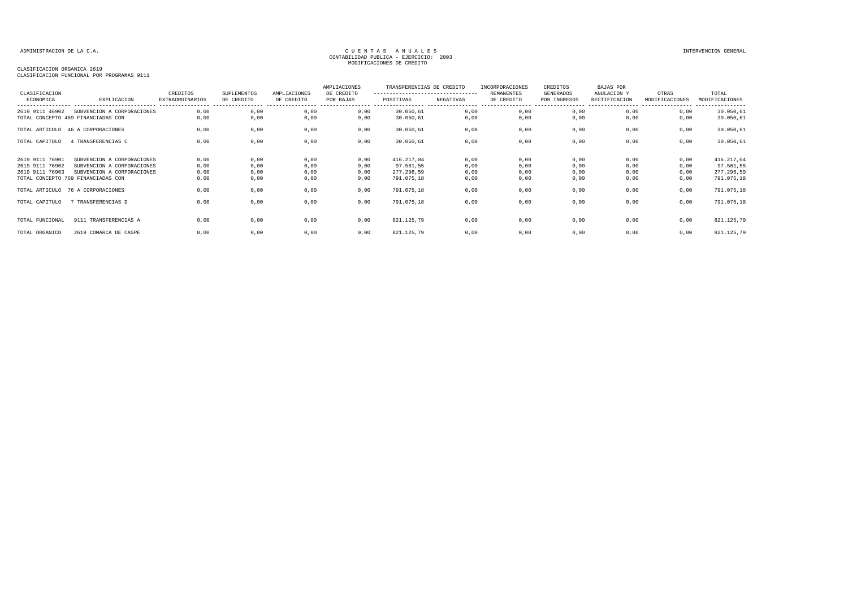### CLASIFICACION ORGANICA 2619

| CLASIFICACION   |                                    | CREDITOS                                    | SUPLEMENTOS                     | AMPLIACIONES                    | AMPLIACIONES<br>DE CREDITO           | TRANSFERENCIAS DE CREDITO<br>--------------------------------- |           | INCORPORACIONES<br><b>REMANENTES</b> | CREDITOS<br>GENERADOS            | BAJAS POR<br>ANULACION Y                             | OTRAS          | TOTAL                              |
|-----------------|------------------------------------|---------------------------------------------|---------------------------------|---------------------------------|--------------------------------------|----------------------------------------------------------------|-----------|--------------------------------------|----------------------------------|------------------------------------------------------|----------------|------------------------------------|
| ECONOMICA       | EXPLICACION                        | <b>EXTRAORDINARIOS</b><br>----------------- | DE CREDITO<br>----------------- | DE CREDITO<br>----------------- | POR BAJAS<br>----------------- ----- | POSITIVAS                                                      | NEGATIVAS | DE CREDITO<br>-----------------      | POR INGRESOS<br>---------------- | RECTIFICACION<br>----------------- ----------------- | MODIFICACIONES | MODIFICACIONES<br>---------------- |
| 2619 9111 46902 | SUBVENCION A CORPORACIONES         | 0,00                                        | 0,00                            | 0,00                            | 0,00                                 | 30.050,61                                                      | 0,00      | 0,00                                 | 0,00                             | 0,00                                                 | 0,00           | 30.050,61                          |
|                 | TOTAL CONCEPTO 469 FINANCIADAS CON | 0,00                                        | 0,00                            | 0,00                            | 0,00                                 | 30.050,61                                                      | 0,00      | 0,00                                 | 0,00                             | 0,00                                                 | 0,00           | 30.050,61                          |
|                 | TOTAL ARTICULO 46 A CORPORACIONES  | 0,00                                        | 0,00                            | 0,00                            | 0,00                                 | 30.050,61                                                      | 0,00      | 0,00                                 | 0,00                             | 0,00                                                 | 0,00           | 30.050,61                          |
| TOTAL CAPITULO  | 4 TRANSFERENCIAS C                 | 0,00                                        | 0,00                            | 0,00                            | 0,00                                 | 30.050,61                                                      | 0,00      | 0,00                                 | 0,00                             | 0,00                                                 | 0,00           | 30.050,61                          |
| 2619 9111 76901 | SUBVENCION A CORPORACIONES         | 0,00                                        | 0,00                            | 0,00                            | 0,00                                 | 416.217,04                                                     | 0,00      | 0,00                                 | 0,00                             | 0,00                                                 | 0,00           | 416.217,04                         |
| 2619 9111 76902 | SUBVENCION A CORPORACIONES         | 0,00                                        | 0,00                            | 0,00                            | 0,00                                 | 97.561,55                                                      | 0,00      | 0,00                                 | 0,00                             | 0,00                                                 | 0,00           | 97.561,55                          |
| 2619 9111 76903 | SUBVENCION A CORPORACIONES         | 0,00                                        | 0,00                            | 0,00                            | 0,00                                 | 277.296,59                                                     | 0,00      | 0,00                                 | 0,00                             | 0,00                                                 | 0,00           | 277.296,59                         |
|                 | TOTAL CONCEPTO 769 FINANCIADAS CON | 0,00                                        | 0,00                            | 0,00                            | 0,00                                 | 791.075,18                                                     | 0,00      | 0,00                                 | 0,00                             | 0,00                                                 | 0,00           | 791.075,18                         |
|                 | TOTAL ARTICULO 76 A CORPORACIONES  | 0,00                                        | 0,00                            | 0,00                            | 0,00                                 | 791.075,18                                                     | 0,00      | 0,00                                 | 0,00                             | 0,00                                                 | 0,00           | 791.075,18                         |
| TOTAL CAPITULO  | 7 TRANSFERENCIAS D                 | 0,00                                        | 0,00                            | 0,00                            | 0,00                                 | 791.075,18                                                     | 0,00      | 0,00                                 | 0,00                             | 0,00                                                 | 0,00           | 791.075,18                         |
| TOTAL FUNCIONAL | 9111 TRANSFERENCIAS A              | 0.00                                        | 0,00                            | 0,00                            | 0,00                                 | 821.125,79                                                     | 0,00      | 0,00                                 | 0,00                             | 0,00                                                 | 0,00           | 821.125,79                         |
|                 |                                    |                                             |                                 |                                 |                                      |                                                                |           |                                      |                                  |                                                      |                |                                    |
| TOTAL ORGANICO  | 2619 COMARCA DE CASPE              | 0.00                                        | 0,00                            | 0,00                            | 0,00                                 | 821.125,79                                                     | 0,00      | 0,00                                 | 0,00                             | 0,00                                                 | 0,00           | 821.125,79                         |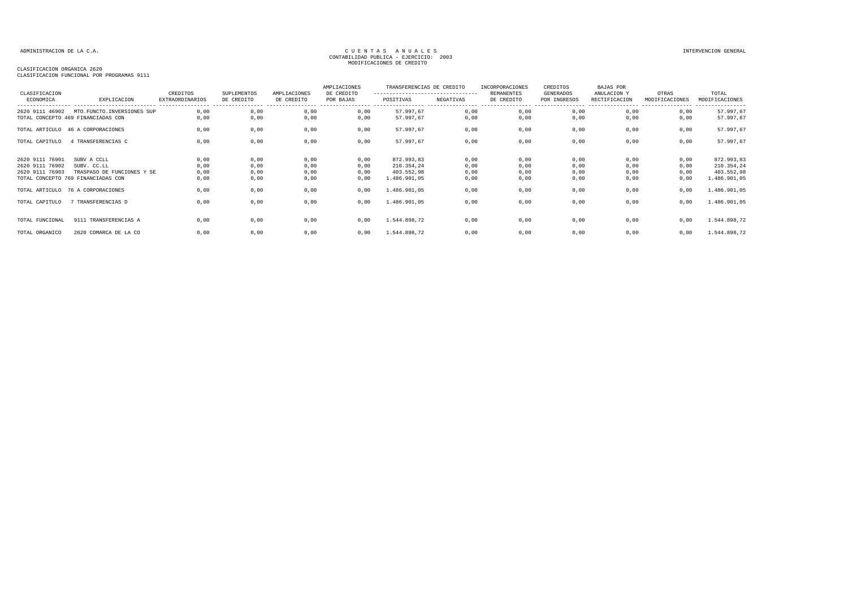### CLASIFICACION ORGANICA 2620

| CLASIFICACION                                         |                                                                                                | CREDITOS                                    | SUPLEMENTOS                  | AMPLIACIONES                 | AMPLIACIONES<br>DE CREDITO   | TRANSFERENCIAS DE CREDITO<br>---------------------------------- |                              | INCORPORACIONES<br>REMANENTES | CREDITOS<br><b>GENERADOS</b> | BAJAS POR<br>ANULACION Y     | OTRAS                               | TOTAL                                                  |
|-------------------------------------------------------|------------------------------------------------------------------------------------------------|---------------------------------------------|------------------------------|------------------------------|------------------------------|-----------------------------------------------------------------|------------------------------|-------------------------------|------------------------------|------------------------------|-------------------------------------|--------------------------------------------------------|
| ECONOMICA                                             | EXPLICACION                                                                                    | <b>EXTRAORDINARIOS</b><br>----------------- | DE CREDITO                   | DE CREDITO                   | POR BAJAS                    | POSITIVAS                                                       | NEGATIVAS<br>.               | DE CREDITO                    | POR INGRESOS                 | RECTIFICACION                | MODIFICACIONES<br>----------------- | MODIFICACIONES<br>----------------                     |
| 2620 9111 46902                                       | MTO.FUNCTO.INVERSIONES SUP<br>TOTAL CONCEPTO 469 FINANCIADAS CON                               | 0,00<br>0,00                                | 0,00<br>0,00                 | 0,00<br>0,00                 | 0,00<br>0,00                 | 57.997,67<br>57.997,67                                          | 0,00<br>0,00                 | 0,00<br>0,00                  | 0,00<br>0,00                 | 0.00<br>0.00                 | 0,00<br>0,00                        | 57.997,67<br>57.997,67                                 |
|                                                       | TOTAL ARTICULO 46 A CORPORACIONES                                                              | 0,00                                        | 0,00                         | 0,00                         | 0,00                         | 57.997,67                                                       | 0,00                         | 0,00                          | 0,00                         | 0,00                         | 0,00                                | 57.997,67                                              |
| TOTAL CAPITULO                                        | 4 TRANSFERENCIAS C                                                                             | 0,00                                        | 0,00                         | 0,00                         | 0,00                         | 57.997,67                                                       | 0,00                         | 0,00                          | 0,00                         | 0,00                         | 0,00                                | 57.997,67                                              |
| 2620 9111 76901<br>2620 9111 76902<br>2620 9111 76903 | SUBV A CCLL<br>SUBV. CC.LL<br>TRASPASO DE FUNCIONES Y SE<br>TOTAL CONCEPTO 769 FINANCIADAS CON | 0,00<br>0,00<br>0,00<br>0,00                | 0,00<br>0,00<br>0,00<br>0,00 | 0,00<br>0,00<br>0,00<br>0,00 | 0,00<br>0,00<br>0,00<br>0,00 | 872.993,83<br>210.354,24<br>403.552,98<br>1.486.901,05          | 0,00<br>0,00<br>0,00<br>0,00 | 0,00<br>0,00<br>0,00<br>0,00  | 0,00<br>0,00<br>0,00<br>0,00 | 0,00<br>0,00<br>0,00<br>0,00 | 0,00<br>0,00<br>0,00<br>0,00        | 872.993,83<br>210.354,24<br>403.552,98<br>1.486.901,05 |
|                                                       | TOTAL ARTICULO 76 A CORPORACIONES                                                              | 0,00                                        | 0,00                         | 0,00                         | 0,00                         | 1.486.901,05                                                    | 0,00                         | 0,00                          | 0,00                         | 0,00                         | 0,00                                | 1.486.901,05                                           |
| TOTAL CAPITULO                                        | TRANSFERENCIAS D                                                                               | 0.00                                        | 0,00                         | 0,00                         | 0,00                         | 1.486.901,05                                                    | 0,00                         | 0,00                          | 0,00                         | 0,00                         | 0,00                                | 1.486.901,05                                           |
| TOTAL FUNCIONAL                                       | 9111 TRANSFERENCIAS A                                                                          | 0.00                                        | 0,00                         | 0,00                         | 0,00                         | 1.544.898,72                                                    | 0,00                         | 0,00                          | 0,00                         | 0.00                         | 0,00                                | 1.544.898,72                                           |
| TOTAL ORGANICO                                        | 2620 COMARCA DE LA CO                                                                          | 0,00                                        | 0,00                         | 0,00                         | 0,00                         | 1.544.898,72                                                    | 0,00                         | 0,00                          | 0,00                         | 0,00                         | 0,00                                | 1.544.898,72                                           |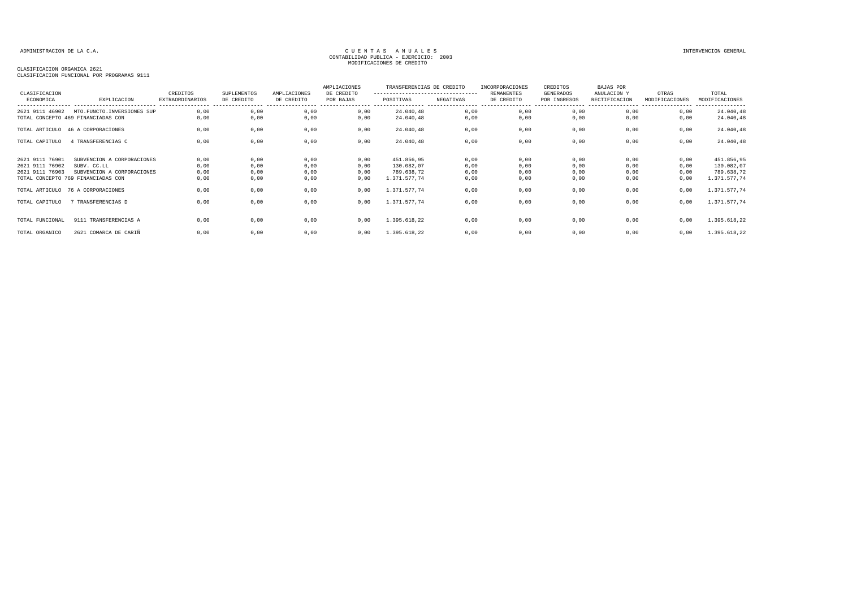### CLASIFICACION ORGANICA 2621

| CLASIFICACION                                         |                                                                                                               | CREDITOS                                   | SUPLEMENTOS                  | AMPLIACIONES                 | AMPLIACIONES<br>DE CREDITO   | TRANSFERENCIAS DE CREDITO<br>--------------------------------- |                              | INCORPORACIONES<br>REMANENTES   | CREDITOS<br>GENERADOS             | <b>BAJAS POR</b><br>ANULACION Y                        | OTRAS                        | TOTAL                                                  |
|-------------------------------------------------------|---------------------------------------------------------------------------------------------------------------|--------------------------------------------|------------------------------|------------------------------|------------------------------|----------------------------------------------------------------|------------------------------|---------------------------------|-----------------------------------|--------------------------------------------------------|------------------------------|--------------------------------------------------------|
| ECONOMICA                                             | EXPLICACION<br>----------------------------                                                                   | <b>EXTRAORDINARIOS</b><br>---------------- | DE CREDITO                   | DE CREDITO                   | POR BAJAS                    | POSITIVAS                                                      | NEGATIVAS                    | DE CREDITO<br>----------------- | POR INGRESOS<br>----------------- | RECTIFICACION<br>------------------------------------- | MODIFICACIONES               | MODIFICACIONES<br>----------------                     |
| 2621 9111 46902                                       | MTO.FUNCTO.INVERSIONES SUP<br>TOTAL CONCEPTO 469 FINANCIADAS CON                                              | 0.00<br>0,00                               | 0,00<br>0,00                 | 0,00<br>0,00                 | 0,00<br>0,00                 | 24.040,48<br>24.040,48                                         | 0,00<br>0,00                 | 0,00<br>0,00                    | 0,00<br>0,00                      | 0,00<br>0,00                                           | 0,00<br>0,00                 | 24.040,48<br>24.040,48                                 |
|                                                       | TOTAL ARTICULO 46 A CORPORACIONES                                                                             | 0,00                                       | 0,00                         | 0,00                         | 0,00                         | 24.040,48                                                      | 0,00                         | 0,00                            | 0,00                              | 0,00                                                   | 0,00                         | 24.040,48                                              |
| TOTAL CAPITULO                                        | 4 TRANSFERENCIAS C                                                                                            | 0,00                                       | 0,00                         | 0,00                         | 0,00                         | 24.040,48                                                      | 0,00                         | 0,00                            | 0,00                              | 0,00                                                   | 0,00                         | 24.040,48                                              |
| 2621 9111 76901<br>2621 9111 76902<br>2621 9111 76903 | SUBVENCION A CORPORACIONES<br>SUBV. CC.LL<br>SUBVENCION A CORPORACIONES<br>TOTAL CONCEPTO 769 FINANCIADAS CON | 0,00<br>0,00<br>0,00<br>0,00               | 0,00<br>0,00<br>0,00<br>0,00 | 0,00<br>0,00<br>0,00<br>0,00 | 0,00<br>0,00<br>0,00<br>0,00 | 451.856,95<br>130.082,07<br>789.638,72<br>1.371.577,74         | 0,00<br>0,00<br>0,00<br>0,00 | 0,00<br>0,00<br>0,00<br>0,00    | 0,00<br>0,00<br>0,00<br>0,00      | 0,00<br>0,00<br>0,00<br>0,00                           | 0,00<br>0,00<br>0,00<br>0,00 | 451.856,95<br>130.082,07<br>789.638,72<br>1.371.577,74 |
|                                                       | TOTAL ARTICULO 76 A CORPORACIONES                                                                             | 0,00                                       | 0,00                         | 0,00                         | 0,00                         | 1.371.577,74                                                   | 0,00                         | 0,00                            | 0,00                              | 0,00                                                   | 0,00                         | 1.371.577,74                                           |
| TOTAL CAPITULO                                        | 7 TRANSFERENCIAS D                                                                                            | 0,00                                       | 0,00                         | 0,00                         | 0,00                         | 1.371.577,74                                                   | 0,00                         | 0,00                            | 0,00                              | 0,00                                                   | 0,00                         | 1.371.577,74                                           |
| TOTAL FUNCIONAL                                       | 9111 TRANSFERENCIAS A                                                                                         | 0,00                                       | 0,00                         | 0,00                         | 0,00                         | 1.395.618,22                                                   | 0,00                         | 0,00                            | 0,00                              | 0,00                                                   | 0,00                         | 1.395.618,22                                           |
| TOTAL ORGANICO                                        | 2621 COMARCA DE CARIÑ                                                                                         | 0,00                                       | 0,00                         | 0,00                         | 0,00                         | 1.395.618,22                                                   | 0,00                         | 0,00                            | 0,00                              | 0,00                                                   | 0,00                         | 1.395.618,22                                           |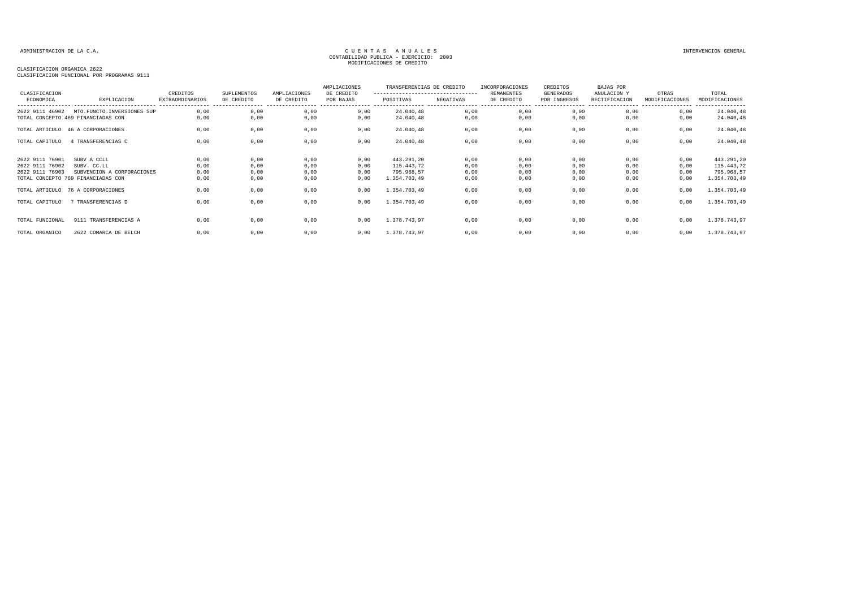### CLASIFICACION ORGANICA 2622

| CLASIFICACION                                         |                                                                                                | CREDITOS                                   | SUPLEMENTOS                  | AMPLIACIONES                 | AMPLIACIONES<br>DE CREDITO   | TRANSFERENCIAS DE CREDITO<br>--------------------------------- |                              | INCORPORACIONES<br>REMANENTES | CREDITOS<br>GENERADOS             | <b>BAJAS POR</b><br>ANULACION Y                        | OTRAS                        | TOTAL                                                  |
|-------------------------------------------------------|------------------------------------------------------------------------------------------------|--------------------------------------------|------------------------------|------------------------------|------------------------------|----------------------------------------------------------------|------------------------------|-------------------------------|-----------------------------------|--------------------------------------------------------|------------------------------|--------------------------------------------------------|
| ECONOMICA                                             | EXPLICACION<br>----------------------------                                                    | <b>EXTRAORDINARIOS</b><br>---------------- | DE CREDITO                   | DE CREDITO                   | POR BAJAS                    | POSITIVAS                                                      | NEGATIVAS                    | DE CREDITO                    | POR INGRESOS<br>----------------- | RECTIFICACION<br>------------------------------------- | MODIFICACIONES               | MODIFICACIONES<br>----------------                     |
| 2622 9111 46902                                       | MTO.FUNCTO.INVERSIONES SUP<br>TOTAL CONCEPTO 469 FINANCIADAS CON                               | 0.00<br>0,00                               | 0,00<br>0,00                 | 0,00<br>0,00                 | 0,00<br>0,00                 | 24.040,48<br>24.040,48                                         | 0,00<br>0,00                 | 0,00<br>0,00                  | 0,00<br>0,00                      | 0,00<br>0,00                                           | 0,00<br>0,00                 | 24.040,48<br>24.040,48                                 |
|                                                       | TOTAL ARTICULO 46 A CORPORACIONES                                                              | 0,00                                       | 0,00                         | 0,00                         | 0,00                         | 24.040,48                                                      | 0,00                         | 0,00                          | 0,00                              | 0,00                                                   | 0,00                         | 24.040,48                                              |
| TOTAL CAPITULO                                        | 4 TRANSFERENCIAS C                                                                             | 0,00                                       | 0,00                         | 0,00                         | 0,00                         | 24.040,48                                                      | 0,00                         | 0,00                          | 0,00                              | 0,00                                                   | 0,00                         | 24.040,48                                              |
| 2622 9111 76901<br>2622 9111 76902<br>2622 9111 76903 | SUBV A CCLL<br>SUBV. CC.LL<br>SUBVENCION A CORPORACIONES<br>TOTAL CONCEPTO 769 FINANCIADAS CON | 0,00<br>0,00<br>0,00<br>0,00               | 0,00<br>0,00<br>0,00<br>0,00 | 0,00<br>0,00<br>0,00<br>0,00 | 0,00<br>0,00<br>0,00<br>0,00 | 443.291,20<br>115.443,72<br>795.968,57<br>1.354.703,49         | 0,00<br>0,00<br>0,00<br>0,00 | 0,00<br>0,00<br>0,00<br>0,00  | 0,00<br>0,00<br>0,00<br>0,00      | 0,00<br>0,00<br>0,00<br>0,00                           | 0,00<br>0,00<br>0,00<br>0,00 | 443.291,20<br>115.443,72<br>795.968,57<br>1.354.703,49 |
|                                                       | TOTAL ARTICULO 76 A CORPORACIONES                                                              | 0,00                                       | 0,00                         | 0,00                         | 0,00                         | 1.354.703,49                                                   | 0,00                         | 0,00                          | 0,00                              | 0,00                                                   | 0,00                         | 1.354.703,49                                           |
| TOTAL CAPITULO                                        | 7 TRANSFERENCIAS D                                                                             | 0,00                                       | 0,00                         | 0,00                         | 0,00                         | 1.354.703,49                                                   | 0,00                         | 0,00                          | 0,00                              | 0,00                                                   | 0,00                         | 1.354.703,49                                           |
| TOTAL FUNCIONAL                                       | 9111 TRANSFERENCIAS A                                                                          | 0,00                                       | 0,00                         | 0,00                         | 0,00                         | 1.378.743,97                                                   | 0,00                         | 0,00                          | 0,00                              | 0,00                                                   | 0,00                         | 1.378.743,97                                           |
| TOTAL ORGANICO                                        | 2622 COMARCA DE BELCH                                                                          | 0,00                                       | 0,00                         | 0,00                         | 0,00                         | 1.378.743,97                                                   | 0,00                         | 0,00                          | 0,00                              | 0,00                                                   | 0,00                         | 1.378.743,97                                           |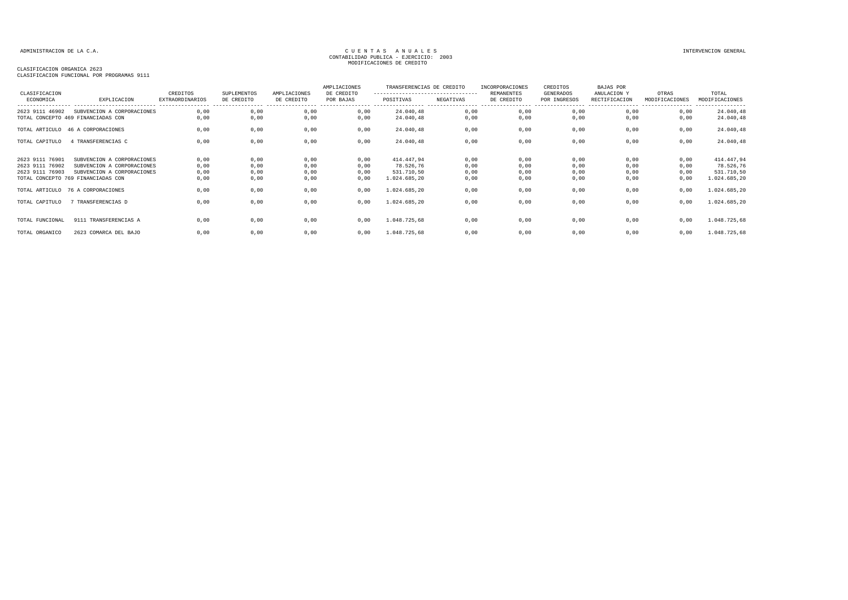### CLASIFICACION ORGANICA 2623

| CLASIFICACION                                         |                                                                                                                              | CREDITOS                            | <b>SUPLEMENTOS</b>              | AMPLIACIONES                    | AMPLIACIONES<br>DE CREDITO   | TRANSFERENCIAS DE CREDITO<br>--------------------------------- |                              | INCORPORACIONES<br><b>REMANENTES</b> | CREDITOS<br>GENERADOS            | <b>BAJAS POR</b><br>ANULACION Y                        | OTRAS                        | TOTAL                                                 |
|-------------------------------------------------------|------------------------------------------------------------------------------------------------------------------------------|-------------------------------------|---------------------------------|---------------------------------|------------------------------|----------------------------------------------------------------|------------------------------|--------------------------------------|----------------------------------|--------------------------------------------------------|------------------------------|-------------------------------------------------------|
| ECONOMICA                                             | EXPLICACION<br>---------------------------                                                                                   | EXTRAORDINARIOS<br>---------------- | DE CREDITO<br>----------------- | DE CREDITO<br>----------------- | POR BAJAS                    | POSITIVAS                                                      | NEGATIVAS                    | DE CREDITO<br>-----------------      | POR INGRESOS<br>---------------- | RECTIFICACION<br>------------------------------------- | MODIFICACIONES               | MODIFICACIONES<br>----------------                    |
| 2623 9111 46902                                       | SUBVENCION A CORPORACIONES<br>TOTAL CONCEPTO 469 FINANCIADAS CON                                                             | 0.00<br>0,00                        | 0,00<br>0,00                    | 0,00<br>0,00                    | 0,00<br>0,00                 | 24.040,48<br>24.040,48                                         | 0,00<br>0,00                 | 0,00<br>0,00                         | 0,00<br>0,00                     | 0,00<br>0,00                                           | 0,00<br>0,00                 | 24.040,48<br>24.040,48                                |
| TOTAL ARTICULO                                        | 46 A CORPORACIONES                                                                                                           | 0,00                                | 0,00                            | 0,00                            | 0,00                         | 24.040,48                                                      | 0,00                         | 0,00                                 | 0,00                             | 0,00                                                   | 0,00                         | 24.040,48                                             |
| TOTAL CAPITULO                                        | 4 TRANSFERENCIAS C                                                                                                           | 0,00                                | 0,00                            | 0,00                            | 0,00                         | 24.040,48                                                      | 0,00                         | 0,00                                 | 0,00                             | 0,00                                                   | 0,00                         | 24.040,48                                             |
| 2623 9111 76901<br>2623 9111 76902<br>2623 9111 76903 | SUBVENCION A CORPORACIONES<br>SUBVENCION A CORPORACIONES<br>SUBVENCION A CORPORACIONES<br>TOTAL CONCEPTO 769 FINANCIADAS CON | 0,00<br>0,00<br>0,00<br>0,00        | 0,00<br>0,00<br>0,00<br>0,00    | 0,00<br>0,00<br>0,00<br>0,00    | 0,00<br>0,00<br>0,00<br>0,00 | 414.447,94<br>78.526,76<br>531.710,50<br>1.024.685,20          | 0,00<br>0,00<br>0,00<br>0,00 | 0,00<br>0,00<br>0,00<br>0,00         | 0,00<br>0,00<br>0,00<br>0,00     | 0,00<br>0,00<br>0,00<br>0,00                           | 0,00<br>0,00<br>0,00<br>0,00 | 414.447,94<br>78.526,76<br>531.710,50<br>1.024.685,20 |
|                                                       | TOTAL ARTICULO 76 A CORPORACIONES                                                                                            | 0,00                                | 0,00                            | 0,00                            | 0,00                         | 1.024.685,20                                                   | 0,00                         | 0,00                                 | 0,00                             | 0,00                                                   | 0,00                         | 1.024.685,20                                          |
| TOTAL CAPITULO                                        | 7 TRANSFERENCIAS D                                                                                                           | 0,00                                | 0,00                            | 0,00                            | 0,00                         | 1.024.685,20                                                   | 0,00                         | 0,00                                 | 0,00                             | 0,00                                                   | 0,00                         | 1.024.685,20                                          |
| TOTAL FUNCIONAL                                       | 9111 TRANSFERENCIAS A                                                                                                        | 0,00                                | 0,00                            | 0,00                            | 0,00                         | 1.048.725,68                                                   | 0,00                         | 0,00                                 | 0,00                             | 0,00                                                   | 0,00                         | 1.048.725,68                                          |
| TOTAL ORGANICO                                        | 2623 COMARCA DEL BAJO                                                                                                        | 0,00                                | 0,00                            | 0,00                            | 0,00                         | 1.048.725,68                                                   | 0,00                         | 0,00                                 | 0,00                             | 0,00                                                   | 0,00                         | 1.048.725,68                                          |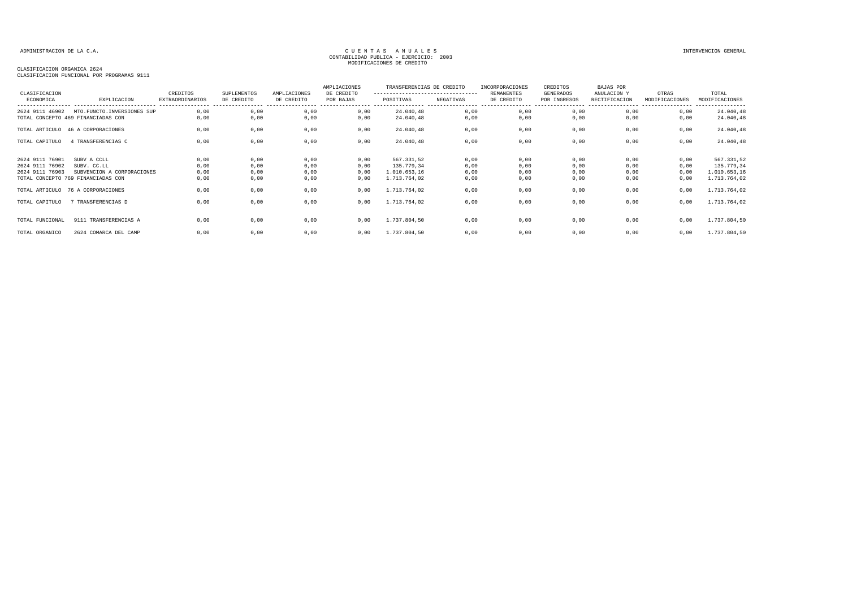### CLASIFICACION ORGANICA 2624

| CLASIFICACION                                         |                                                                                                | CREDITOS                     | SUPLEMENTOS                  | AMPLIACIONES                 | AMPLIACIONES<br>DE CREDITO   | TRANSFERENCIAS DE CREDITO<br>---------------------------------- |                              | INCORPORACIONES<br>REMANENTES | CREDITOS<br><b>GENERADOS</b> | BAJAS POR<br>ANULACION Y     | OTRAS                               | TOTAL                                                    |
|-------------------------------------------------------|------------------------------------------------------------------------------------------------|------------------------------|------------------------------|------------------------------|------------------------------|-----------------------------------------------------------------|------------------------------|-------------------------------|------------------------------|------------------------------|-------------------------------------|----------------------------------------------------------|
| ECONOMICA                                             | EXPLICACION                                                                                    | <b>EXTRAORDINARIOS</b>       | DE CREDITO                   | DE CREDITO                   | POR BAJAS                    | POSITIVAS                                                       | NEGATIVAS<br>.               | DE CREDITO                    | POR INGRESOS                 | RECTIFICACION                | MODIFICACIONES<br>----------------- | MODIFICACIONES<br>----------------                       |
| 2624 9111 46902                                       | MTO.FUNCTO.INVERSIONES SUP<br>TOTAL CONCEPTO 469 FINANCIADAS CON                               | 0,00<br>0,00                 | 0,00<br>0,00                 | 0,00<br>0,00                 | 0,00<br>0,00                 | 24.040,48<br>24.040,48                                          | 0,00<br>0,00                 | 0,00<br>0,00                  | 0,00<br>0,00                 | 0.00<br>0.00                 | 0,00<br>0,00                        | 24.040,48<br>24.040,48                                   |
|                                                       | TOTAL ARTICULO 46 A CORPORACIONES                                                              | 0,00                         | 0,00                         | 0,00                         | 0,00                         | 24.040,48                                                       | 0,00                         | 0,00                          | 0,00                         | 0,00                         | 0,00                                | 24.040,48                                                |
| TOTAL CAPITULO                                        | 4 TRANSFERENCIAS C                                                                             | 0,00                         | 0,00                         | 0,00                         | 0,00                         | 24.040,48                                                       | 0,00                         | 0,00                          | 0,00                         | 0,00                         | 0,00                                | 24.040,48                                                |
| 2624 9111 76901<br>2624 9111 76902<br>2624 9111 76903 | SUBV A CCLL<br>SUBV. CC.LL<br>SUBVENCION A CORPORACIONES<br>TOTAL CONCEPTO 769 FINANCIADAS CON | 0,00<br>0,00<br>0,00<br>0,00 | 0,00<br>0,00<br>0,00<br>0,00 | 0,00<br>0,00<br>0,00<br>0,00 | 0,00<br>0,00<br>0,00<br>0,00 | 567.331,52<br>135.779,34<br>1.010.653,16<br>1.713.764,02        | 0,00<br>0,00<br>0,00<br>0,00 | 0,00<br>0,00<br>0,00<br>0,00  | 0,00<br>0,00<br>0,00<br>0,00 | 0,00<br>0,00<br>0,00<br>0,00 | 0,00<br>0,00<br>0,00<br>0,00        | 567.331,52<br>135.779,34<br>1.010.653,16<br>1.713.764,02 |
|                                                       | TOTAL ARTICULO 76 A CORPORACIONES                                                              | 0,00                         | 0,00                         | 0,00                         | 0,00                         | 1.713.764,02                                                    | 0,00                         | 0,00                          | 0,00                         | 0,00                         | 0,00                                | 1.713.764,02                                             |
| TOTAL CAPITULO                                        | 7 TRANSFERENCIAS D                                                                             | 0.00                         | 0,00                         | 0,00                         | 0,00                         | 1.713.764.02                                                    | 0,00                         | 0,00                          | 0,00                         | 0,00                         | 0,00                                | 1.713.764,02                                             |
| TOTAL FUNCIONAL                                       | 9111 TRANSFERENCIAS A                                                                          | 0.00                         | 0,00                         | 0,00                         | 0,00                         | 1.737.804,50                                                    | 0,00                         | 0,00                          | 0,00                         | 0.00                         | 0,00                                | 1.737.804,50                                             |
| TOTAL ORGANICO                                        | 2624 COMARCA DEL CAMP                                                                          | 0,00                         | 0,00                         | 0,00                         | 0,00                         | 1.737.804,50                                                    | 0,00                         | 0,00                          | 0,00                         | 0,00                         | 0,00                                | 1.737.804,50                                             |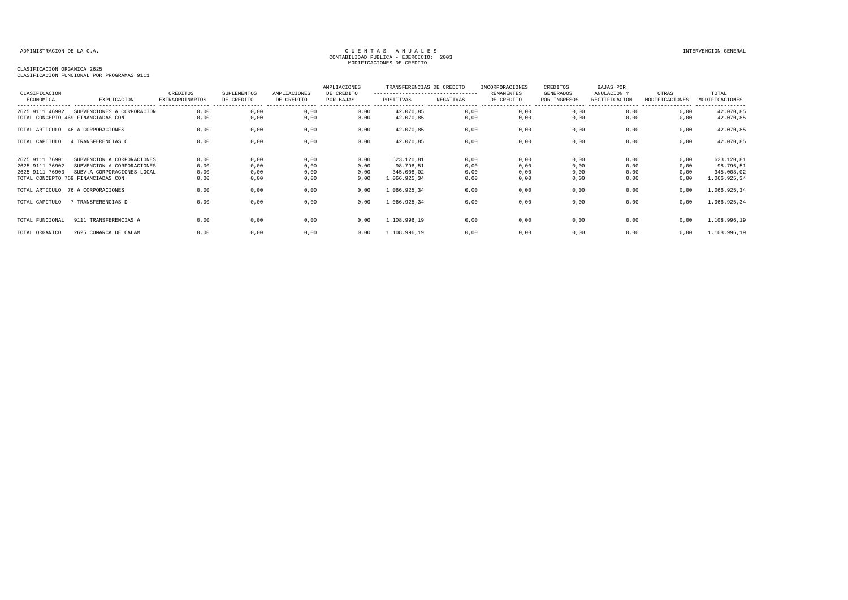### CLASIFICACION ORGANICA 2625

| CLASIFICACION                                         |                                                                                                                              | CREDITOS                                               | SUPLEMENTOS                  | AMPLIACIONES                    | AMPLIACIONES<br>DE CREDITO   | TRANSFERENCIAS DE CREDITO<br>--------------------------------- |                              | INCORPORACIONES<br><b>REMANENTES</b> | CREDITOS<br>GENERADOS            | <b>BAJAS POR</b><br>ANULACION Y | OTRAS                                                   | TOTAL                                                 |
|-------------------------------------------------------|------------------------------------------------------------------------------------------------------------------------------|--------------------------------------------------------|------------------------------|---------------------------------|------------------------------|----------------------------------------------------------------|------------------------------|--------------------------------------|----------------------------------|---------------------------------|---------------------------------------------------------|-------------------------------------------------------|
| ECONOMICA                                             | EXPLICACION<br>----------------------------                                                                                  | EXTRAORDINARIOS<br>----------------- ----------------- | DE CREDITO                   | DE CREDITO<br>----------------- | POR BAJAS                    | POSITIVAS                                                      | NEGATIVAS                    | DE CREDITO                           | POR INGRESOS<br>---------------- | RECTIFICACION                   | MODIFICACIONES<br>------------------------------------- | MODIFICACIONES<br>----------------                    |
| 2625 9111 46902                                       | SUBVENCIONES A CORPORACION<br>TOTAL CONCEPTO 469 FINANCIADAS CON                                                             | 0.00<br>0,00                                           | 0,00<br>0,00                 | 0,00<br>0,00                    | 0,00<br>0,00                 | 42.070,85<br>42.070,85                                         | 0,00<br>0,00                 | 0,00<br>0,00                         | 0,00<br>0,00                     | 0,00<br>0,00                    | 0,00<br>0,00                                            | 42.070,85<br>42.070,85                                |
| TOTAL ARTICULO                                        | 46 A CORPORACIONES                                                                                                           | 0,00                                                   | 0,00                         | 0,00                            | 0,00                         | 42.070,85                                                      | 0,00                         | 0,00                                 | 0,00                             | 0,00                            | 0,00                                                    | 42.070,85                                             |
| TOTAL CAPITULO                                        | 4 TRANSFERENCIAS C                                                                                                           | 0,00                                                   | 0,00                         | 0,00                            | 0,00                         | 42.070,85                                                      | 0,00                         | 0,00                                 | 0,00                             | 0,00                            | 0,00                                                    | 42.070,85                                             |
| 2625 9111 76901<br>2625 9111 76902<br>2625 9111 76903 | SUBVENCION A CORPORACIONES<br>SUBVENCION A CORPORACIONES<br>SUBV.A CORPORACIONES LOCAL<br>TOTAL CONCEPTO 769 FINANCIADAS CON | 0,00<br>0,00<br>0,00<br>0,00                           | 0,00<br>0,00<br>0,00<br>0,00 | 0,00<br>0,00<br>0,00<br>0,00    | 0,00<br>0,00<br>0,00<br>0,00 | 623.120,81<br>98.796,51<br>345.008,02<br>1.066.925,34          | 0,00<br>0,00<br>0,00<br>0,00 | 0,00<br>0,00<br>0,00<br>0,00         | 0,00<br>0,00<br>0,00<br>0,00     | 0,00<br>0,00<br>0,00<br>0,00    | 0,00<br>0,00<br>0,00<br>0,00                            | 623.120,81<br>98.796,51<br>345.008,02<br>1.066.925,34 |
|                                                       | TOTAL ARTICULO 76 A CORPORACIONES                                                                                            | 0,00                                                   | 0,00                         | 0,00                            | 0,00                         | 1.066.925,34                                                   | 0,00                         | 0,00                                 | 0,00                             | 0,00                            | 0,00                                                    | 1.066.925,34                                          |
| TOTAL CAPITULO                                        | 7 TRANSFERENCIAS D                                                                                                           | 0,00                                                   | 0,00                         | 0,00                            | 0,00                         | 1.066.925,34                                                   | 0,00                         | 0,00                                 | 0,00                             | 0,00                            | 0,00                                                    | 1.066.925,34                                          |
| TOTAL FUNCIONAL                                       | 9111 TRANSFERENCIAS A                                                                                                        | 0,00                                                   | 0,00                         | 0,00                            | 0,00                         | 1.108.996,19                                                   | 0,00                         | 0,00                                 | 0,00                             | 0,00                            | 0,00                                                    | 1.108.996,19                                          |
| TOTAL ORGANICO                                        | 2625 COMARCA DE CALAM                                                                                                        | 0,00                                                   | 0,00                         | 0,00                            | 0,00                         | 1.108.996,19                                                   | 0,00                         | 0,00                                 | 0,00                             | 0,00                            | 0,00                                                    | 1.108.996,19                                          |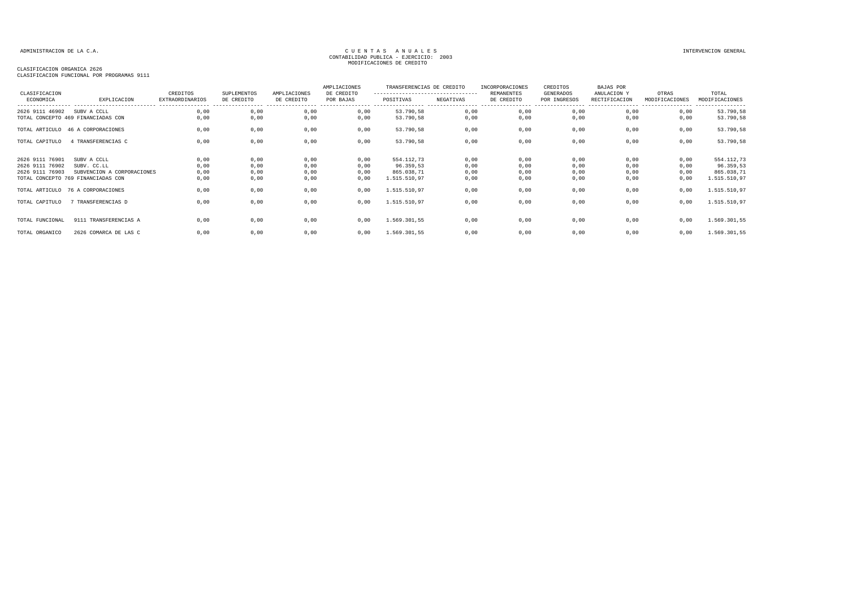### CLASIFICACION ORGANICA 2626

| CLASIFICACION                                         |                                                                                                | CREDITOS                     | SUPLEMENTOS                  | AMPLIACIONES                 | AMPLIACIONES<br>DE CREDITO   | TRANSFERENCIAS DE CREDITO<br>--------------------------------- |                              | INCORPORACIONES<br><b>REMANENTES</b> | CREDITOS<br>GENERADOS        | <b>BAJAS POR</b><br>ANULACION Y | OTRAS                        | TOTAL                                                 |
|-------------------------------------------------------|------------------------------------------------------------------------------------------------|------------------------------|------------------------------|------------------------------|------------------------------|----------------------------------------------------------------|------------------------------|--------------------------------------|------------------------------|---------------------------------|------------------------------|-------------------------------------------------------|
| ECONOMICA                                             | EXPLICACION                                                                                    | EXTRAORDINARIOS              | DE CREDITO                   | DE CREDITO                   | POR BAJAS                    | POSITIVAS                                                      | NEGATIVAS                    | DE CREDITO                           | POR INGRESOS                 | RECTIFICACION                   | MODIFICACIONES               | MODIFICACIONES                                        |
| 2626 9111 46902                                       | SUBV A CCLL<br>TOTAL CONCEPTO 469 FINANCIADAS CON                                              | 0.00<br>0,00                 | 0,00<br>0,00                 | 0,00<br>0,00                 | 0,00<br>0,00                 | 53.790,58<br>53.790,58                                         | 0,00<br>0,00                 | 0,00<br>0,00                         | 0,00<br>0,00                 | 0,00<br>0,00                    | 0,00<br>0,00                 | 53.790,58<br>53.790,58                                |
|                                                       | TOTAL ARTICULO 46 A CORPORACIONES                                                              | 0,00                         | 0,00                         | 0,00                         | 0,00                         | 53.790,58                                                      | 0,00                         | 0,00                                 | 0,00                         | 0,00                            | 0,00                         | 53.790,58                                             |
| TOTAL CAPITULO                                        | 4 TRANSFERENCIAS C                                                                             | 0,00                         | 0,00                         | 0,00                         | 0,00                         | 53.790,58                                                      | 0,00                         | 0,00                                 | 0,00                         | 0,00                            | 0,00                         | 53.790,58                                             |
| 2626 9111 76901<br>2626 9111 76902<br>2626 9111 76903 | SUBV A CCLL<br>SUBV. CC.LL<br>SUBVENCION A CORPORACIONES<br>TOTAL CONCEPTO 769 FINANCIADAS CON | 0,00<br>0,00<br>0,00<br>0,00 | 0,00<br>0,00<br>0,00<br>0,00 | 0,00<br>0,00<br>0,00<br>0,00 | 0,00<br>0,00<br>0,00<br>0,00 | 554.112,73<br>96.359,53<br>865.038,71<br>1.515.510,97          | 0,00<br>0,00<br>0,00<br>0,00 | 0,00<br>0,00<br>0,00<br>0,00         | 0,00<br>0,00<br>0,00<br>0,00 | 0,00<br>0,00<br>0,00<br>0,00    | 0,00<br>0,00<br>0,00<br>0,00 | 554.112,73<br>96.359,53<br>865.038,71<br>1.515.510,97 |
|                                                       | TOTAL ARTICULO 76 A CORPORACIONES                                                              | 0,00                         | 0,00                         | 0,00                         | 0,00                         | 1.515.510,97                                                   | 0,00                         | 0,00                                 | 0,00                         | 0,00                            | 0,00                         | 1.515.510,97                                          |
| TOTAL CAPITULO                                        | 7 TRANSFERENCIAS D                                                                             | 0,00                         | 0,00                         | 0,00                         | 0,00                         | 1.515.510,97                                                   | 0,00                         | 0,00                                 | 0,00                         | 0,00                            | 0,00                         | 1.515.510,97                                          |
| TOTAL FUNCIONAL                                       | 9111 TRANSFERENCIAS A                                                                          | 0,00                         | 0,00                         | 0,00                         | 0,00                         | 1.569.301,55                                                   | 0,00                         | 0,00                                 | 0,00                         | 0,00                            | 0,00                         | 1.569.301,55                                          |
| TOTAL ORGANICO                                        | 2626 COMARCA DE LAS C                                                                          | 0,00                         | 0,00                         | 0,00                         | 0,00                         | 1.569.301,55                                                   | 0,00                         | 0,00                                 | 0,00                         | 0,00                            | 0,00                         | 1.569.301,55                                          |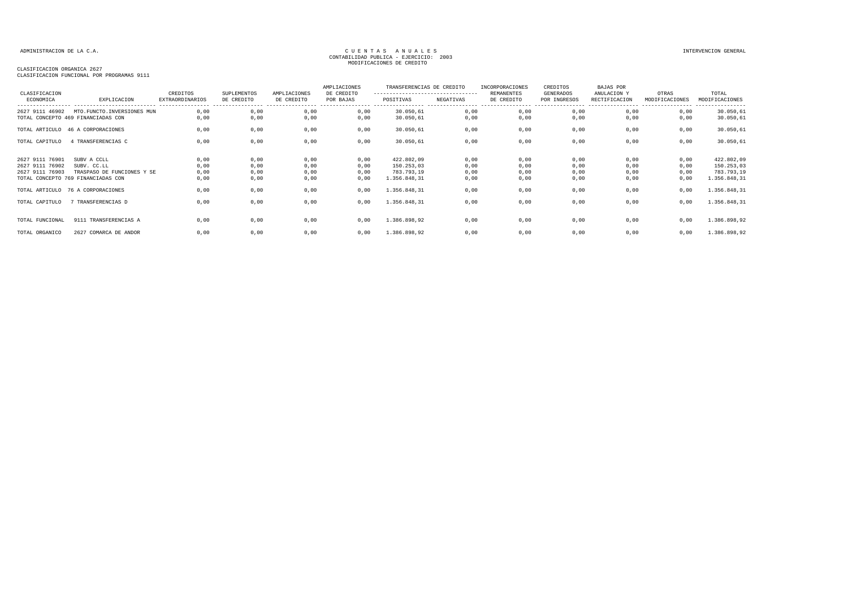CLASIFICACION ORGANICA 2627

| CLASIFICACION<br>ECONOMICA                            | EXPLICACION                                                                                    | CREDITOS<br><b>EXTRAORDINARIOS</b> | SUPLEMENTOS<br>DE CREDITO    | AMPLIACIONES<br>DE CREDITO   | AMPLIACIONES<br>DE CREDITO<br>POR BAJAS | TRANSFERENCIAS DE CREDITO<br>----------------------------------<br>POSITIVAS | NEGATIVAS                    | INCORPORACIONES<br><b>REMANENTES</b><br>DE CREDITO | CREDITOS<br>GENERADOS<br>POR INGRESOS | <b>BAJAS POR</b><br>ANULACION Y<br>RECTIFICACION | OTRAS<br>MODIFICACIONES      | TOTAL<br>MODIFICACIONES<br>---------                   |
|-------------------------------------------------------|------------------------------------------------------------------------------------------------|------------------------------------|------------------------------|------------------------------|-----------------------------------------|------------------------------------------------------------------------------|------------------------------|----------------------------------------------------|---------------------------------------|--------------------------------------------------|------------------------------|--------------------------------------------------------|
| 2627 9111 46902                                       | MTO. FUNCTO. INVERSIONES MUN<br>TOTAL CONCEPTO 469 FINANCIADAS CON                             | 0,00<br>0.00                       | 0,00<br>0,00                 | 0,00<br>0,00                 | 0,00<br>0,00                            | 30.050,61<br>30.050,61                                                       | 0,00<br>0,00                 | 0,00<br>0,00                                       | 0,00<br>0,00                          | 0,00<br>0,00                                     | 0,00<br>0,00                 | 30.050,61<br>30.050,61                                 |
|                                                       | TOTAL ARTICULO 46 A CORPORACIONES                                                              | 0.00                               | 0,00                         | 0,00                         | 0,00                                    | 30.050,61                                                                    | 0,00                         | 0,00                                               | 0,00                                  | 0,00                                             | 0,00                         | 30.050,61                                              |
| TOTAL CAPITULO                                        | 4 TRANSFERENCIAS C                                                                             | 0,00                               | 0,00                         | 0,00                         | 0,00                                    | 30.050,61                                                                    | 0,00                         | 0,00                                               | 0,00                                  | 0,00                                             | 0,00                         | 30.050,61                                              |
| 2627 9111 76901<br>2627 9111 76902<br>2627 9111 76903 | SUBV A CCLL<br>SUBV. CC.LL<br>TRASPASO DE FUNCIONES Y SE<br>TOTAL CONCEPTO 769 FINANCIADAS CON | 0,00<br>0,00<br>0,00<br>0,00       | 0,00<br>0,00<br>0,00<br>0,00 | 0,00<br>0,00<br>0,00<br>0,00 | 0,00<br>0,00<br>0,00<br>0,00            | 422.802,09<br>150.253,03<br>783.793,19<br>1.356.848,31                       | 0,00<br>0,00<br>0,00<br>0,00 | 0,00<br>0,00<br>0,00<br>0,00                       | 0,00<br>0,00<br>0,00<br>0,00          | 0,00<br>0,00<br>0,00<br>0,00                     | 0,00<br>0,00<br>0,00<br>0,00 | 422.802,09<br>150.253,03<br>783.793,19<br>1.356.848,31 |
|                                                       | TOTAL ARTICULO 76 A CORPORACIONES                                                              | 0.00                               | 0,00                         | 0,00                         | 0,00                                    | 1.356.848,31                                                                 | 0,00                         | 0,00                                               | 0,00                                  | 0,00                                             | 0,00                         | 1.356.848,31                                           |
| TOTAL CAPITULO                                        | 7 TRANSFERENCIAS D                                                                             | 0.00                               | 0,00                         | 0,00                         | 0,00                                    | 1.356.848,31                                                                 | 0,00                         | 0,00                                               | 0,00                                  | 0,00                                             | 0,00                         | 1.356.848,31                                           |
| TOTAL FUNCIONAL                                       | 9111 TRANSFERENCIAS A                                                                          | 0.00                               | 0,00                         | 0,00                         | 0.00                                    | 1.386.898,92                                                                 | 0,00                         | 0,00                                               | 0,00                                  | 0.00                                             | 0,00                         | 1.386.898,92                                           |
| TOTAL ORGANICO                                        | 2627 COMARCA DE ANDOR                                                                          | 0,00                               | 0,00                         | 0,00                         | 0,00                                    | 1.386.898,92                                                                 | 0,00                         | 0,00                                               | 0,00                                  | 0,00                                             | 0,00                         | 1.386.898,92                                           |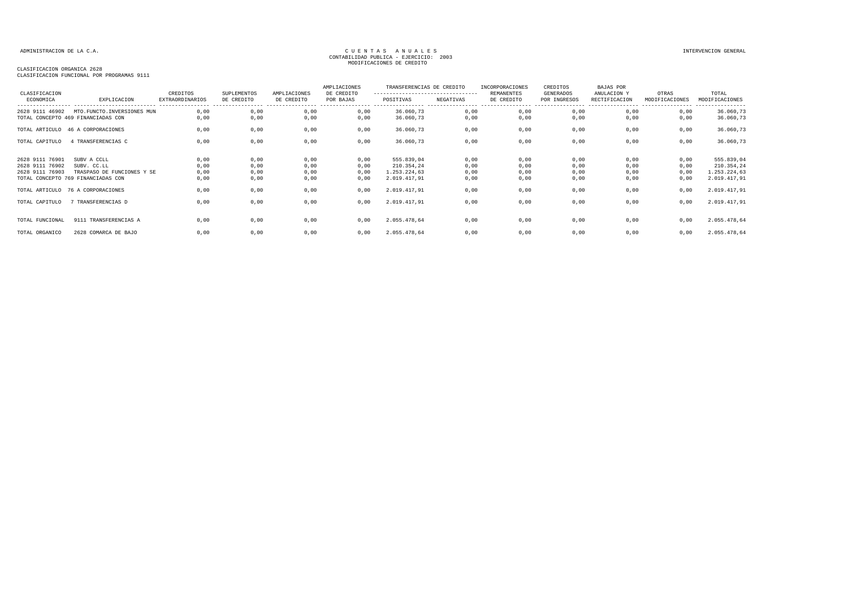### CLASIFICACION ORGANICA 2628

| CLASIFICACION                                         |                                                                                                | CREDITOS                     | SUPLEMENTOS                  | AMPLIACIONES                 | AMPLIACIONES<br>DE CREDITO   | TRANSFERENCIAS DE CREDITO<br>--------------------------------- |                              | <b>INCORPORACIONES</b><br>REMANENTES | CREDITOS<br>GENERADOS             | <b>BAJAS POR</b><br>ANULACION Y                        | OTRAS                        | TOTAL                                                    |
|-------------------------------------------------------|------------------------------------------------------------------------------------------------|------------------------------|------------------------------|------------------------------|------------------------------|----------------------------------------------------------------|------------------------------|--------------------------------------|-----------------------------------|--------------------------------------------------------|------------------------------|----------------------------------------------------------|
| ECONOMICA                                             | EXPLICACION<br>----------------------------                                                    | <b>EXTRAORDINARIOS</b>       | DE CREDITO                   | DE CREDITO                   | POR BAJAS                    | POSITIVAS                                                      | NEGATIVAS                    | DE CREDITO<br>-----------------      | POR INGRESOS<br>----------------- | RECTIFICACION<br>------------------------------------- | MODIFICACIONES               | MODIFICACIONES<br>----------------                       |
| 2628 9111 46902                                       | MTO.FUNCTO.INVERSIONES MUN<br>TOTAL CONCEPTO 469 FINANCIADAS CON                               | 0.00<br>0,00                 | 0,00<br>0,00                 | 0,00<br>0,00                 | 0,00<br>0,00                 | 36.060,73<br>36.060,73                                         | 0,00<br>0,00                 | 0,00<br>0,00                         | 0,00<br>0,00                      | 0,00<br>0,00                                           | 0,00<br>0,00                 | 36.060,73<br>36.060,73                                   |
|                                                       | TOTAL ARTICULO 46 A CORPORACIONES                                                              | 0,00                         | 0,00                         | 0,00                         | 0,00                         | 36.060,73                                                      | 0,00                         | 0,00                                 | 0,00                              | 0,00                                                   | 0,00                         | 36.060,73                                                |
| TOTAL CAPITULO                                        | 4 TRANSFERENCIAS C                                                                             | 0,00                         | 0,00                         | 0,00                         | 0,00                         | 36.060,73                                                      | 0,00                         | 0,00                                 | 0,00                              | 0,00                                                   | 0,00                         | 36.060,73                                                |
| 2628 9111 76901<br>2628 9111 76902<br>2628 9111 76903 | SUBV A CCLL<br>SUBV. CC.LL<br>TRASPASO DE FUNCIONES Y SE<br>TOTAL CONCEPTO 769 FINANCIADAS CON | 0,00<br>0,00<br>0,00<br>0,00 | 0,00<br>0,00<br>0,00<br>0,00 | 0,00<br>0,00<br>0,00<br>0,00 | 0,00<br>0,00<br>0,00<br>0,00 | 555.839,04<br>210.354,24<br>1.253.224,63<br>2.019.417,91       | 0,00<br>0,00<br>0,00<br>0,00 | 0,00<br>0,00<br>0,00<br>0,00         | 0,00<br>0,00<br>0,00<br>0,00      | 0,00<br>0,00<br>0,00<br>0,00                           | 0,00<br>0,00<br>0,00<br>0,00 | 555.839,04<br>210.354,24<br>1.253.224,63<br>2.019.417,91 |
|                                                       | TOTAL ARTICULO 76 A CORPORACIONES                                                              | 0,00                         | 0,00                         | 0,00                         | 0,00                         | 2.019.417,91                                                   | 0,00                         | 0,00                                 | 0,00                              | 0,00                                                   | 0,00                         | 2.019.417,91                                             |
| TOTAL CAPITULO                                        | 7 TRANSFERENCIAS D                                                                             | 0,00                         | 0,00                         | 0,00                         | 0,00                         | 2.019.417,91                                                   | 0,00                         | 0,00                                 | 0,00                              | 0,00                                                   | 0,00                         | 2.019.417,91                                             |
| TOTAL FUNCIONAL                                       | 9111 TRANSFERENCIAS A                                                                          | 0,00                         | 0,00                         | 0,00                         | 0,00                         | 2.055.478,64                                                   | 0,00                         | 0,00                                 | 0,00                              | 0,00                                                   | 0,00                         | 2.055.478,64                                             |
| TOTAL ORGANICO                                        | 2628 COMARCA DE BAJO                                                                           | 0,00                         | 0,00                         | 0,00                         | 0,00                         | 2.055.478,64                                                   | 0,00                         | 0,00                                 | 0,00                              | 0,00                                                   | 0,00                         | 2.055.478,64                                             |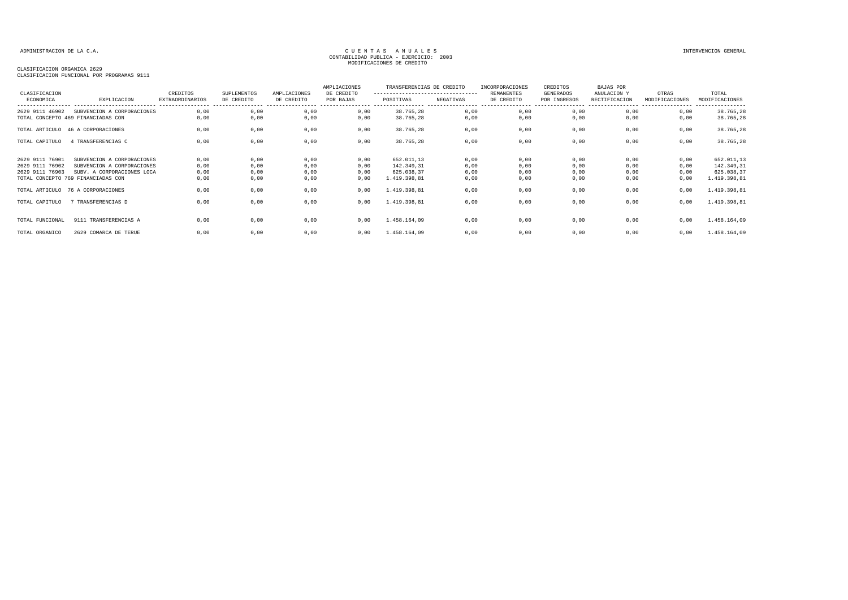## CLASIFICACION ORGANICA 2629

| CLASIFICACION FUNCIONAL POR PROGRAMAS 9111 |  |  |  |
|--------------------------------------------|--|--|--|
|                                            |  |  |  |

| CLASIFICACION   |                                                                  | CREDITOS                                    | <b>SUPLEMENTOS</b>             | AMPLIACIONES | AMPLIACIONES<br>DE CREDITO | TRANSFERENCIAS DE CREDITO<br>--------------------------------- |                      | INCORPORACIONES<br><b>REMANENTES</b> | CREDITOS<br>GENERADOS | BAJAS POR<br>ANULACION Y | OTRAS                               | TOTAL                              |
|-----------------|------------------------------------------------------------------|---------------------------------------------|--------------------------------|--------------|----------------------------|----------------------------------------------------------------|----------------------|--------------------------------------|-----------------------|--------------------------|-------------------------------------|------------------------------------|
| ECONOMICA       | EXPLICACION                                                      | <b>EXTRAORDINARIOS</b><br>----------------- | DE CREDITO<br>---------------- | DE CREDITO   | POR BAJAS                  | POSITIVAS                                                      | NEGATIVAS<br>------- | DE CREDITO                           | POR INGRESOS          | RECTIFICACION            | MODIFICACIONES<br>----------------- | MODIFICACIONES<br>---------------- |
| 2629 9111 46902 | SUBVENCION A CORPORACIONES<br>TOTAL CONCEPTO 469 FINANCIADAS CON | 0,00<br>0,00                                | 0,00<br>0,00                   | 0,00<br>0,00 | 0,00<br>0,00               | 38.765,28<br>38.765,28                                         | 0,00<br>0,00         | 0,00<br>0,00                         | 0,00<br>0,00          | 0,00<br>0,00             | 0,00<br>0,00                        | 38.765,28<br>38.765,28             |
|                 | TOTAL ARTICULO 46 A CORPORACIONES                                | 0,00                                        | 0,00                           | 0,00         | 0,00                       | 38.765,28                                                      | 0,00                 | 0,00                                 | 0,00                  | 0,00                     | 0,00                                | 38.765,28                          |
| TOTAL CAPITULO  | 4 TRANSFERENCIAS C                                               | 0,00                                        | 0,00                           | 0,00         | 0,00                       | 38.765,28                                                      | 0,00                 | 0,00                                 | 0,00                  | 0.00                     | 0,00                                | 38.765,28                          |
| 2629 9111 76901 | SUBVENCION A CORPORACIONES                                       | 0,00                                        | 0,00                           | 0,00         | 0,00                       | 652.011,13                                                     | 0,00                 | 0,00                                 | 0,00                  | 0,00                     | 0,00                                | 652.011,13                         |
| 2629 9111 76902 | SUBVENCION A CORPORACIONES                                       | 0,00                                        | 0,00                           | 0,00         | 0,00                       | 142.349,31                                                     | 0,00                 | 0,00                                 | 0,00                  | 0,00                     | 0,00                                | 142.349,31                         |
| 2629 9111 76903 | SUBV. A CORPORACIONES LOCA                                       | 0,00                                        | 0,00                           | 0,00         | 0,00                       | 625.038,37                                                     | 0,00                 | 0,00                                 | 0,00                  | 0,00                     | 0,00                                | 625.038,37                         |
|                 | TOTAL CONCEPTO 769 FINANCIADAS CON                               | 0,00                                        | 0,00                           | 0,00         | 0,00                       | 1.419.398,81                                                   | 0,00                 | 0,00                                 | 0,00                  | 0.00                     | 0,00                                | 1.419.398,81                       |
|                 | TOTAL ARTICULO 76 A CORPORACIONES                                | 0,00                                        | 0,00                           | 0,00         | 0,00                       | 1.419.398,81                                                   | 0,00                 | 0,00                                 | 0,00                  | 0,00                     | 0,00                                | 1.419.398,81                       |
| TOTAL CAPITULO  | 7 TRANSFERENCIAS D                                               | 0,00                                        | 0,00                           | 0,00         | 0,00                       | 1.419.398,81                                                   | 0,00                 | 0,00                                 | 0,00                  | 0,00                     | 0,00                                | 1.419.398,81                       |
| TOTAL FUNCIONAL | 9111 TRANSFERENCIAS A                                            | 0.00                                        | 0,00                           | 0,00         | 0.00                       | 1.458.164,09                                                   | 0,00                 | 0,00                                 | 0,00                  | 0.00                     | 0,00                                | 1.458.164,09                       |
| TOTAL ORGANICO  | 2629 COMARCA DE TERUE                                            | 0,00                                        | 0,00                           | 0,00         | 0,00                       | 1.458.164,09                                                   | 0,00                 | 0,00                                 | 0,00                  | 0,00                     | 0,00                                | 1.458.164,09                       |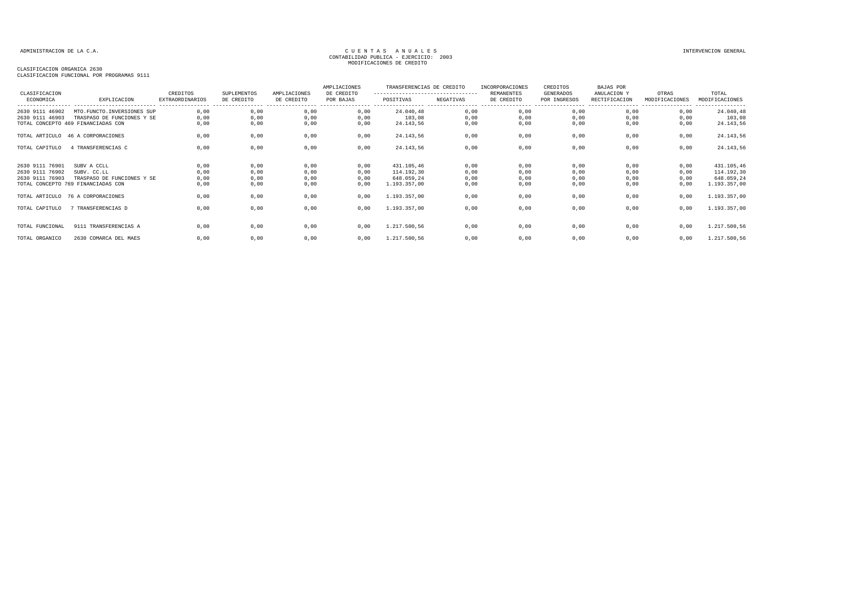## CLASIFICACION ORGANICA 2630

| CLASIFICACION FUNCIONAL POR PROGRAMAS 9111 |  |  |  |
|--------------------------------------------|--|--|--|
|                                            |  |  |  |

| CLASIFICACION<br>ECONOMICA | EXPLICACION                        | CREDITOS<br>EXTRAORDINARIOS | <b>SUPLEMENTOS</b><br>DE CREDITO | AMPLIACIONES<br>DE CREDITO | AMPLIACIONES<br>DE CREDITO<br>POR BAJAS | TRANSFERENCIAS DE CREDITO<br>----------------------------------<br>POSITIVAS | NEGATIVAS | INCORPORACIONES<br>REMANENTES<br>DE CREDITO | CREDITOS<br>GENERADOS<br>POR INGRESOS | <b>BAJAS POR</b><br>ANULACION Y<br>RECTIFICACION | OTRAS<br>MODIFICACIONES | TOTAL<br>MODIFICACIONES<br>--------- |
|----------------------------|------------------------------------|-----------------------------|----------------------------------|----------------------------|-----------------------------------------|------------------------------------------------------------------------------|-----------|---------------------------------------------|---------------------------------------|--------------------------------------------------|-------------------------|--------------------------------------|
| 2630 9111 46902            | MTO.FUNCTO.INVERSIONES SUP         | 0,00                        | 0,00                             | 0,00                       | 0,00                                    | 24.040,48                                                                    | 0,00      | 0,00                                        | 0,00                                  | 0,00                                             | 0,00                    | 24.040,48                            |
| 2630 9111 46903            | TRASPASO DE FUNCIONES Y SE         | 0,00                        | 0,00                             | 0,00                       | 0,00                                    | 103,08                                                                       | 0,00      | 0,00                                        | 0,00                                  | 0,00                                             | 0,00                    | 103,08                               |
|                            | TOTAL CONCEPTO 469 FINANCIADAS CON | 0.00                        | 0,00                             | 0,00                       | 0,00                                    | 24.143,56                                                                    | 0,00      | 0,00                                        | 0,00                                  | 0,00                                             | 0,00                    | 24.143,56                            |
|                            | TOTAL ARTICULO 46 A CORPORACIONES  | 0,00                        | 0,00                             | 0,00                       | 0,00                                    | 24.143,56                                                                    | 0,00      | 0,00                                        | 0,00                                  | 0,00                                             | 0,00                    | 24.143,56                            |
| TOTAL CAPITULO             | 4 TRANSFERENCIAS C                 | 0,00                        | 0,00                             | 0,00                       | 0,00                                    | 24.143,56                                                                    | 0,00      | 0,00                                        | 0,00                                  | 0,00                                             | 0,00                    | 24.143,56                            |
| 2630 9111 76901            | SUBV A CCLL                        | 0,00                        | 0,00                             | 0,00                       | 0,00                                    | 431.105,46                                                                   | 0,00      | 0,00                                        | 0,00                                  | 0,00                                             | 0,00                    | 431.105,46                           |
| 2630 9111 76902            | SUBV. CC.LL                        | 0.00                        | 0.00                             | 0,00                       | 0.00                                    | 114.192,30                                                                   | 0.00      | 0,00                                        | 0.00                                  | 0.00                                             | 0.00                    | 114.192,30                           |
| 2630 9111 76903            | TRASPASO DE FUNCIONES Y SE         | 0,00                        | 0,00                             | 0,00                       | 0,00                                    | 648.059,24                                                                   | 0,00      | 0,00                                        | 0,00                                  | 0,00                                             | 0,00                    | 648.059,24                           |
|                            | TOTAL CONCEPTO 769 FINANCIADAS CON | 0,00                        | 0,00                             | 0,00                       | 0,00                                    | 1.193.357,00                                                                 | 0,00      | 0,00                                        | 0,00                                  | 0,00                                             | 0,00                    | 1.193.357,00                         |
| TOTAL ARTICULO             | 76 A CORPORACIONES                 | 0,00                        | 0,00                             | 0,00                       | 0,00                                    | 1.193.357,00                                                                 | 0,00      | 0,00                                        | 0,00                                  | 0,00                                             | 0,00                    | 1.193.357,00                         |
| TOTAL CAPITULO             | 7 TRANSFERENCIAS D                 | 0,00                        | 0,00                             | 0,00                       | 0,00                                    | 1.193.357,00                                                                 | 0,00      | 0,00                                        | 0,00                                  | 0,00                                             | 0,00                    | 1.193.357,00                         |
| TOTAL FUNCIONAL            | 9111 TRANSFERENCIAS A              | 0,00                        | 0,00                             | 0,00                       | 0,00                                    | 1.217.500,56                                                                 | 0,00      | 0,00                                        | 0,00                                  | 0,00                                             | 0,00                    | 1.217.500,56                         |
| TOTAL ORGANICO             | 2630 COMARCA DEL MAES              | 0,00                        | 0,00                             | 0,00                       | 0,00                                    | 1.217.500,56                                                                 | 0,00      | 0,00                                        | 0,00                                  | 0,00                                             | 0,00                    | 1.217.500,56                         |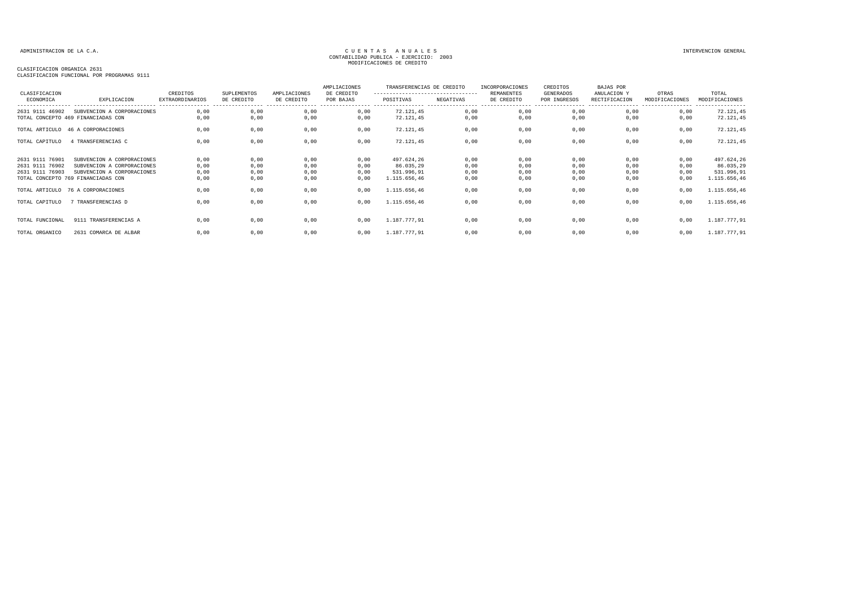## CLASIFICACION ORGANICA 2631

| CLASIFICACION<br>ECONOMICA | EXPLICACION                        | CREDITOS<br><b>EXTRAORDINARIOS</b> | <b>SUPLEMENTOS</b><br>DE CREDITO | AMPLIACIONES<br>DE CREDITO | AMPLIACIONES<br>DE CREDITO<br>POR BAJAS | TRANSFERENCIAS DE CREDITO<br>---------------------------------<br>POSITIVAS | NEGATIVAS | INCORPORACIONES<br><b>REMANENTES</b><br>DE CREDITO | CREDITOS<br>GENERADOS<br>POR INGRESOS | <b>BAJAS POR</b><br>ANULACION Y<br>RECTIFICACION | OTRAS<br>MODIFICACIONES | TOTAL<br>MODIFICACIONES       |
|----------------------------|------------------------------------|------------------------------------|----------------------------------|----------------------------|-----------------------------------------|-----------------------------------------------------------------------------|-----------|----------------------------------------------------|---------------------------------------|--------------------------------------------------|-------------------------|-------------------------------|
| 2631 9111 46902            | SUBVENCION A CORPORACIONES         | 0,00                               | 0,00                             | 0,00                       | 0,00                                    | 72.121,45                                                                   | 0,00      | 0,00                                               | ---------------<br>0,00               | ----------------- -----------------<br>0,00      | 0,00                    | ----------------<br>72.121,45 |
|                            | TOTAL CONCEPTO 469 FINANCIADAS CON | 0,00                               | 0,00                             | 0,00                       | 0,00                                    | 72.121,45                                                                   | 0,00      | 0,00                                               | 0,00                                  | 0,00                                             | 0,00                    | 72.121,45                     |
|                            | TOTAL ARTICULO 46 A CORPORACIONES  | 0,00                               | 0,00                             | 0,00                       | 0,00                                    | 72.121,45                                                                   | 0,00      | 0,00                                               | 0,00                                  | 0,00                                             | 0,00                    | 72.121,45                     |
| TOTAL CAPITULO             | 4 TRANSFERENCIAS C                 | 0,00                               | 0,00                             | 0,00                       | 0,00                                    | 72.121,45                                                                   | 0,00      | 0,00                                               | 0,00                                  | 0,00                                             | 0,00                    | 72.121,45                     |
| 2631 9111 76901            | SUBVENCION A CORPORACIONES         | 0,00                               | 0,00                             | 0,00                       | 0,00                                    | 497.624,26                                                                  | 0,00      | 0,00                                               | 0,00                                  | 0,00                                             | 0,00                    | 497.624,26                    |
| 2631 9111 76902            | SUBVENCION A CORPORACIONES         | 0,00                               | 0,00                             | 0,00                       | 0,00                                    | 86.035,29                                                                   | 0,00      | 0,00                                               | 0,00                                  | 0,00                                             | 0,00                    | 86.035,29                     |
| 2631 9111 76903            | SUBVENCION A CORPORACIONES         | 0,00                               | 0,00                             | 0,00                       | 0,00                                    | 531.996,91                                                                  | 0,00      | 0,00                                               | 0,00                                  | 0,00                                             | 0,00                    | 531.996,91                    |
|                            | TOTAL CONCEPTO 769 FINANCIADAS CON | 0,00                               | 0,00                             | 0,00                       | 0,00                                    | 1.115.656,46                                                                | 0,00      | 0,00                                               | 0,00                                  | 0,00                                             | 0,00                    | 1.115.656,46                  |
|                            | TOTAL ARTICULO 76 A CORPORACIONES  | 0,00                               | 0,00                             | 0,00                       | 0,00                                    | 1.115.656,46                                                                | 0,00      | 0,00                                               | 0,00                                  | 0.00                                             | 0,00                    | 1.115.656,46                  |
| TOTAL CAPITULO             | 7 TRANSFERENCIAS D                 | 0,00                               | 0,00                             | 0,00                       | 0,00                                    | 1.115.656,46                                                                | 0,00      | 0,00                                               | 0,00                                  | 0,00                                             | 0,00                    | 1.115.656,46                  |
| TOTAL FUNCIONAL            | 9111 TRANSFERENCIAS A              | 0.00                               | 0,00                             | 0.00                       | 0.00                                    | 1.187.777.91                                                                | 0,00      | 0,00                                               | 0,00                                  | 0.00                                             | 0.00                    | 1.187.777,91                  |
| TOTAL ORGANICO             | 2631 COMARCA DE ALBAR              | 0.00                               | 0,00                             | 0,00                       | 0.00                                    | 1.187.777.91                                                                | 0,00      | 0,00                                               | 0,00                                  | 0.00                                             | 0,00                    | 1.187.777,91                  |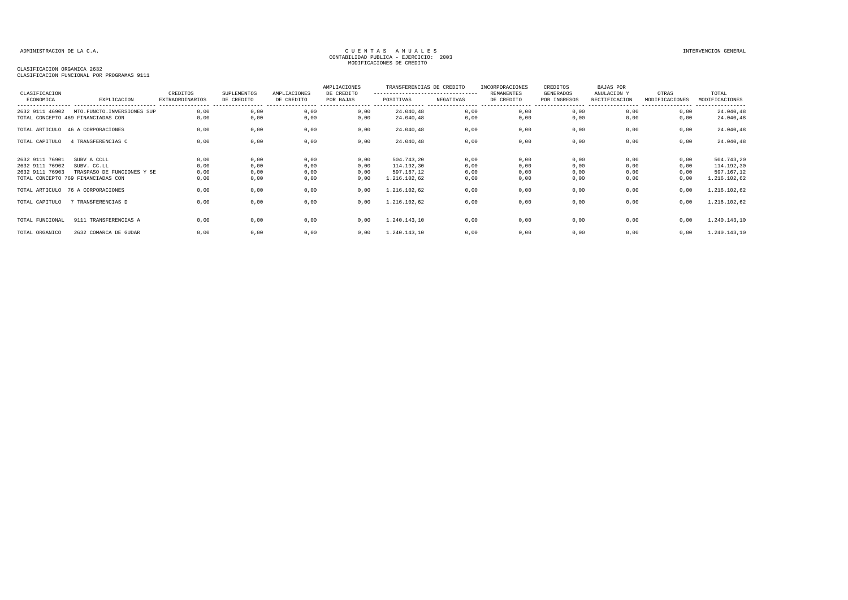### CLASIFICACION ORGANICA 2632

CLASIFICACION FUNCIONAL POR PROGRAMAS 9111

| CLASIFICACION                                         |                                                                    | CREDITOS                                    | SUPLEMENTOS                     | AMPLIACIONES                    | AMPLIACIONES<br>DE CREDITO | TRANSFERENCIAS DE CREDITO<br>---------------------------------- |                      | INCORPORACIONES<br>REMANENTES   | CREDITOS<br><b>GENERADOS</b> | BAJAS POR<br>ANULACION Y           | OTRAS                               | TOTAL                                  |
|-------------------------------------------------------|--------------------------------------------------------------------|---------------------------------------------|---------------------------------|---------------------------------|----------------------------|-----------------------------------------------------------------|----------------------|---------------------------------|------------------------------|------------------------------------|-------------------------------------|----------------------------------------|
| ECONOMICA                                             | EXPLICACION                                                        | <b>EXTRAORDINARIOS</b><br>----------------- | DE CREDITO<br>----------------- | DE CREDITO<br>----------------- | POR BAJAS<br>----------    | POSITIVAS                                                       | NEGATIVAS<br>.       | DE CREDITO<br>----------------- | POR INGRESOS                 | RECTIFICACION<br>----------------- | MODIFICACIONES<br>----------------- | MODIFICACIONES<br>----------------     |
| 2632 9111 46902                                       | MTO. FUNCTO. INVERSIONES SUP<br>TOTAL CONCEPTO 469 FINANCIADAS CON | 0,00<br>0,00                                | 0,00<br>0,00                    | 0,00<br>0,00                    | 0,00<br>0,00               | 24.040,48<br>24.040,48                                          | 0,00<br>0,00         | 0,00<br>0,00                    | 0,00<br>0,00                 | 0,00<br>0,00                       | 0,00<br>0,00                        | 24.040,48<br>24.040,48                 |
|                                                       | TOTAL ARTICULO 46 A CORPORACIONES                                  | 0,00                                        | 0,00                            | 0,00                            | 0,00                       | 24.040,48                                                       | 0,00                 | 0,00                            | 0,00                         | 0,00                               | 0,00                                | 24.040,48                              |
| TOTAL CAPITULO                                        | 4 TRANSFERENCIAS C                                                 | 0,00                                        | 0,00                            | 0,00                            | 0,00                       | 24.040,48                                                       | 0,00                 | 0,00                            | 0,00                         | 0,00                               | 0,00                                | 24.040,48                              |
| 2632 9111 76901<br>2632 9111 76902<br>2632 9111 76903 | SUBV A CCLL<br>SUBV. CC.LL<br>TRASPASO DE FUNCIONES Y SE           | 0,00<br>0,00<br>0,00                        | 0,00<br>0,00<br>0,00            | 0,00<br>0,00<br>0,00            | 0,00<br>0,00<br>0,00       | 504.743,20<br>114.192,30<br>597.167,12                          | 0,00<br>0,00<br>0,00 | 0,00<br>0,00<br>0,00            | 0,00<br>0,00<br>0,00         | 0,00<br>0,00<br>0,00               | 0,00<br>0,00<br>0,00                | 504.743,20<br>114.192,30<br>597.167,12 |
|                                                       | TOTAL CONCEPTO 769 FINANCIADAS CON                                 | 0,00                                        | 0,00                            | 0,00                            | 0,00                       | 1.216.102,62                                                    | 0,00                 | 0,00                            | 0,00                         | 0,00                               | 0,00                                | 1.216.102,62                           |
|                                                       | TOTAL ARTICULO 76 A CORPORACIONES                                  | 0,00                                        | 0,00                            | 0,00                            | 0,00                       | 1.216.102,62                                                    | 0,00                 | 0,00                            | 0,00                         | 0,00                               | 0,00                                | 1.216.102,62                           |
| TOTAL CAPITULO                                        | 7 TRANSFERENCIAS D                                                 | 0,00                                        | 0,00                            | 0,00                            | 0,00                       | 1.216.102,62                                                    | 0,00                 | 0,00                            | 0,00                         | 0,00                               | 0,00                                | 1.216.102,62                           |
| TOTAL FUNCIONAL                                       | 9111 TRANSFERENCIAS A                                              | 0.00                                        | 0,00                            | 0,00                            | 0.00                       | 1.240.143,10                                                    | 0,00                 | 0,00                            | 0,00                         | 0,00                               | 0,00                                | 1.240.143,10                           |
| TOTAL ORGANICO                                        | 2632 COMARCA DE GUDAR                                              | 0.00                                        | 0,00                            | 0,00                            | 0,00                       | 1.240.143,10                                                    | 0,00                 | 0,00                            | 0,00                         | 0,00                               | 0,00                                | 1.240.143,10                           |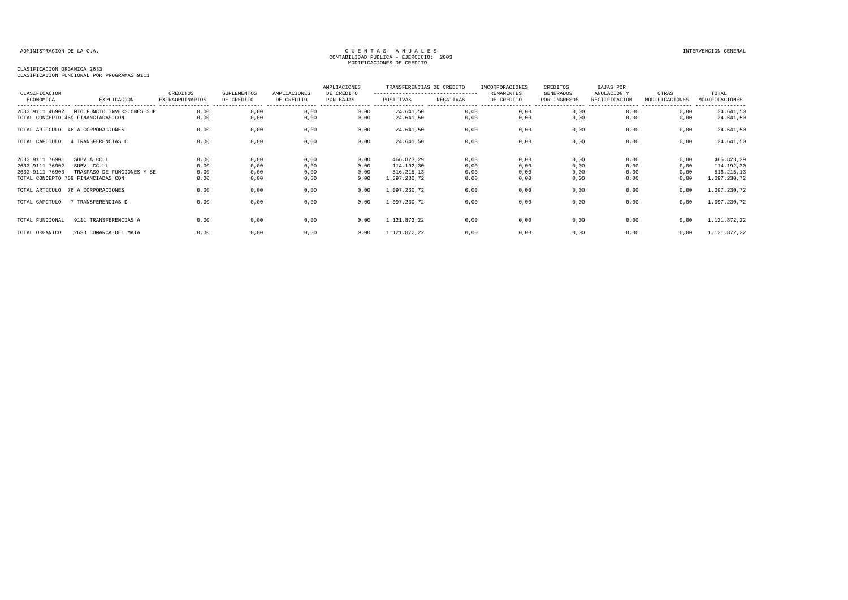### CLASIFICACION ORGANICA 2633

CLASIFICACION FUNCIONAL POR PROGRAMAS 9111

| CLASIFICACION                                         |                                                                  | CREDITOS                                    | SUPLEMENTOS                     | AMPLIACIONES                    | AMPLIACIONES<br>DE CREDITO   | TRANSFERENCIAS DE CREDITO<br>--------------------------------- |                        | INCORPORACIONES<br><b>REMANENTES</b> | CREDITOS<br>GENERADOS            | BAJAS POR<br>ANULACION Y           | OTRAS                               | TOTAL                                  |
|-------------------------------------------------------|------------------------------------------------------------------|---------------------------------------------|---------------------------------|---------------------------------|------------------------------|----------------------------------------------------------------|------------------------|--------------------------------------|----------------------------------|------------------------------------|-------------------------------------|----------------------------------------|
| ECONOMICA                                             | EXPLICACION                                                      | <b>EXTRAORDINARIOS</b><br>----------------- | DE CREDITO<br>----------------- | DE CREDITO<br>----------------- | POR BAJAS<br>---------- ---- | POSITIVAS                                                      | NEGATIVAS<br>--------- | DE CREDITO<br>-----------------      | POR INGRESOS<br>---------------- | RECTIFICACION<br>----------------- | MODIFICACIONES<br>----------------- | MODIFICACIONES<br>----------------     |
| 2633 9111 46902                                       | MTO.FUNCTO.INVERSIONES SUP<br>TOTAL CONCEPTO 469 FINANCIADAS CON | 0,00<br>0,00                                | 0,00<br>0,00                    | 0,00<br>0,00                    | 0,00<br>0,00                 | 24.641,50<br>24.641,50                                         | 0,00<br>0,00           | 0,00<br>0,00                         | 0,00<br>0,00                     | 0,00<br>0,00                       | 0,00<br>0,00                        | 24.641,50<br>24.641,50                 |
|                                                       | TOTAL ARTICULO 46 A CORPORACIONES                                | 0,00                                        | 0,00                            | 0,00                            | 0,00                         | 24.641,50                                                      | 0,00                   | 0,00                                 | 0,00                             | 0,00                               | 0,00                                | 24.641,50                              |
| TOTAL CAPITULO                                        | 4 TRANSFERENCIAS C                                               | 0,00                                        | 0,00                            | 0,00                            | 0,00                         | 24.641,50                                                      | 0,00                   | 0,00                                 | 0,00                             | 0,00                               | 0,00                                | 24.641,50                              |
| 2633 9111 76901<br>2633 9111 76902<br>2633 9111 76903 | SUBV A CCLL<br>SUBV. CC.LL<br>TRASPASO DE FUNCIONES Y SE         | 0,00<br>0,00<br>0,00                        | 0,00<br>0,00<br>0,00            | 0,00<br>0,00<br>0,00            | 0,00<br>0,00<br>0,00         | 466.823,29<br>114.192,30<br>516.215,13                         | 0,00<br>0,00<br>0,00   | 0,00<br>0,00<br>0,00                 | 0,00<br>0,00<br>0,00             | 0,00<br>0,00<br>0,00               | 0,00<br>0,00<br>0,00                | 466.823,29<br>114.192,30<br>516.215,13 |
|                                                       | TOTAL CONCEPTO 769 FINANCIADAS CON                               | 0,00                                        | 0,00                            | 0,00                            | 0,00                         | 1.097.230,72                                                   | 0,00                   | 0,00                                 | 0,00                             | 0,00                               | 0,00                                | 1.097.230,72                           |
|                                                       | TOTAL ARTICULO 76 A CORPORACIONES                                | 0,00                                        | 0,00                            | 0,00                            | 0,00                         | 1.097.230,72                                                   | 0,00                   | 0,00                                 | 0,00                             | 0,00                               | 0,00                                | 1.097.230,72                           |
| TOTAL CAPITULO                                        | 7 TRANSFERENCIAS D                                               | 0,00                                        | 0,00                            | 0,00                            | 0,00                         | 1.097.230,72                                                   | 0,00                   | 0,00                                 | 0,00                             | 0,00                               | 0,00                                | 1.097.230,72                           |
| TOTAL FUNCIONAL                                       | 9111 TRANSFERENCIAS A                                            | 0.00                                        | 0,00                            | 0,00                            | 0,00                         | 1.121.872,22                                                   | 0,00                   | 0,00                                 | 0,00                             | 0,00                               | 0,00                                | 1.121.872,22                           |
| TOTAL ORGANICO                                        | 2633 COMARCA DEL MATA                                            | 0.00                                        | 0,00                            | 0,00                            | 0,00                         | 1.121.872,22                                                   | 0,00                   | 0,00                                 | 0,00                             | 0,00                               | 0,00                                | 1.121.872,22                           |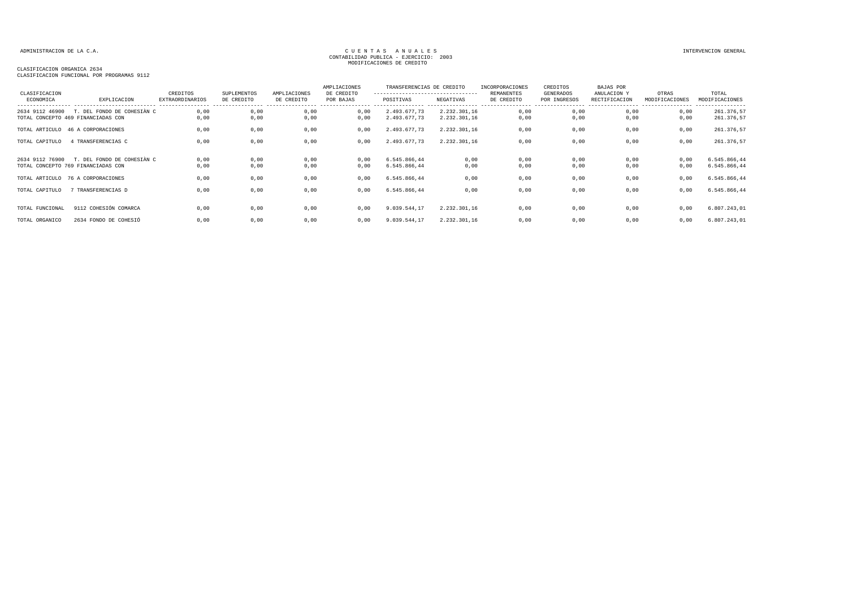CLASIFICACION ORGANICA 2634 CLASIFICACION FUNCIONAL POR PROGRAMAS 9112

| CLASIFICACION<br>ECONOMICA | EXPLICACION                                                                                                                                 | CREDITOS<br>EXTRAORDINARIOS  | SUPLEMENTOS<br>DE CREDITO    | AMPLIACIONES<br>DE CREDITO   | AMPLIACIONES<br>DE CREDITO<br>POR BAJAS | TRANSFERENCIAS DE CREDITO<br>----------------------------------<br>POSITIVAS | NEGATIVAS                    | INCORPORACIONES<br><b>REMANENTES</b><br>DE CREDITO | CREDITOS<br><b>GENERADOS</b><br>POR INGRESOS | BAJAS POR<br>ANULACION Y<br>RECTIFICACION | OTRAS<br>MODIFICACIONES      | TOTAL<br>MODIFICACIONES<br>------------                      |
|----------------------------|---------------------------------------------------------------------------------------------------------------------------------------------|------------------------------|------------------------------|------------------------------|-----------------------------------------|------------------------------------------------------------------------------|------------------------------|----------------------------------------------------|----------------------------------------------|-------------------------------------------|------------------------------|--------------------------------------------------------------|
| 2634 9112 46900            | T. DEL FONDO DE COHESIÀN C<br>TOTAL CONCEPTO 469 FINANCIADAS CON                                                                            | 0,00<br>0,00                 | 0,00<br>0,00                 | 0,00<br>0,00                 | 0,00<br>0,00                            | 2.493.677,73<br>2.493.677,73                                                 | 2.232.301,16<br>2.232.301,16 | 0,00<br>0,00                                       | 0,00<br>0,00                                 | 0,00<br>0,00                              | 0,00<br>0,00                 | 261.376,57<br>261.376,57                                     |
|                            | TOTAL ARTICULO 46 A CORPORACIONES                                                                                                           | 0.00                         | 0,00                         | 0,00                         | 0,00                                    | 2.493.677.73                                                                 | 2.232.301.16                 | 0,00                                               | 0,00                                         | 0,00                                      | 0,00                         | 261.376,57                                                   |
| TOTAL CAPITULO             | 4 TRANSFERENCIAS C                                                                                                                          | 0,00                         | 0,00                         | 0,00                         | 0.00                                    | 2.493.677.73                                                                 | 2.232.301,16                 | 0,00                                               | 0,00                                         | 0,00                                      | 0,00                         | 261.376,57                                                   |
| TOTAL CAPITULO             | 2634 9112 76900 T. DEL FONDO DE COHESIÀN C<br>TOTAL CONCEPTO 769 FINANCIADAS CON<br>TOTAL ARTICULO 76 A CORPORACIONES<br>7 TRANSFERENCIAS D | 0.00<br>0,00<br>0,00<br>0.00 | 0,00<br>0,00<br>0,00<br>0,00 | 0,00<br>0,00<br>0,00<br>0,00 | 0,00<br>0,00<br>0,00<br>0.00            | 6.545.866,44<br>6.545.866,44<br>6.545.866,44<br>6.545.866.44                 | 0,00<br>0,00<br>0,00<br>0.00 | 0,00<br>0,00<br>0,00<br>0,00                       | 0,00<br>0,00<br>0,00<br>0,00                 | 0.00<br>0,00<br>0,00<br>0.00              | 0,00<br>0,00<br>0,00<br>0.00 | 6.545.866,44<br>6.545.866,44<br>6.545.866,44<br>6.545.866,44 |
| TOTAL FUNCIONAL            | 9112 COHESIÓN COMARCA                                                                                                                       | 0.00                         | 0,00                         | 0,00                         | 0.00                                    | 9.039.544,17                                                                 | 2.232.301,16                 | 0,00                                               | 0,00                                         | 0.00                                      | 0,00                         | 6.807.243,01                                                 |
| TOTAL ORGANICO             | 2634 FONDO DE COHESIÓ                                                                                                                       | 0.00                         | 0,00                         | 0,00                         | 0.00                                    | 9.039.544,17                                                                 | 2.232.301,16                 | 0,00                                               | 0,00                                         | 0.00                                      | 0.00                         | 6.807.243,01                                                 |
|                            |                                                                                                                                             |                              |                              |                              |                                         |                                                                              |                              |                                                    |                                              |                                           |                              |                                                              |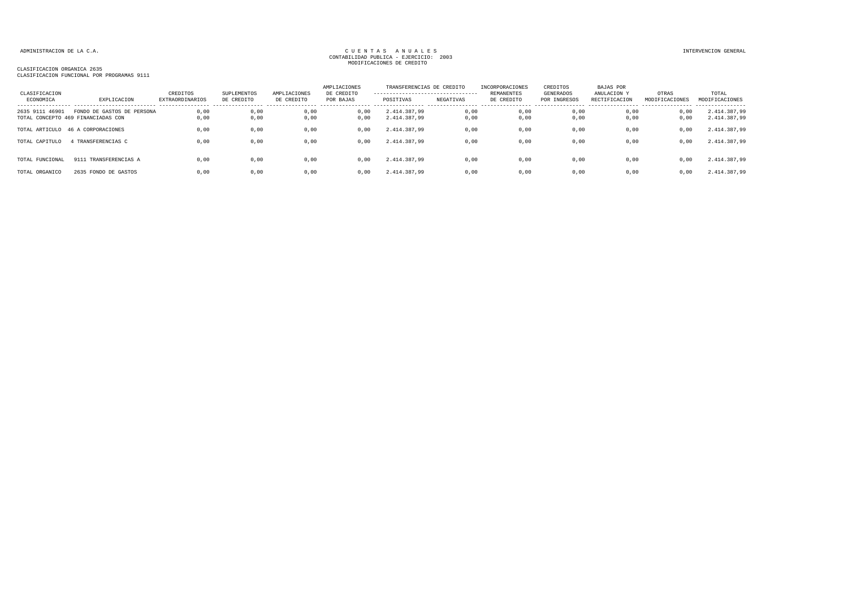### CLASIFICACION ORGANICA 2635 CLASIFICACION FUNCIONAL POR PROGRAMAS 9111

| CLASIFICACION<br>ECONOMICA | EXPLICACION                                                      | CREDITOS<br><b>EXTRAORDINARIOS</b> | SUPLEMENTOS<br>DE CREDITO | AMPLIACIONES<br>DE CREDITO | AMPLIACIONES<br>DE CREDITO<br>POR BAJAS | TRANSFERENCIAS DE CREDITO<br>---------------------------------<br>POSITIVAS | NEGATIVAS    | INCORPORACIONES<br><b>REMANENTES</b><br>DE CREDITO | CREDITOS<br>GENERADOS<br>POR INGRESOS | BAJAS POR<br>ANULACION Y<br>RECTIFICACION | OTRAS<br>MODIFICACIONES | TOTAL<br>MODIFICACIONES      |
|----------------------------|------------------------------------------------------------------|------------------------------------|---------------------------|----------------------------|-----------------------------------------|-----------------------------------------------------------------------------|--------------|----------------------------------------------------|---------------------------------------|-------------------------------------------|-------------------------|------------------------------|
| 2635 9111 46901            | FONDO DE GASTOS DE PERSONA<br>TOTAL CONCEPTO 469 FINANCIADAS CON | 0.00<br>0,00                       | 0,00<br>0,00              | 0.00<br>0,00               | 0.00<br>0,00                            | 2.414.387.99<br>2.414.387,99                                                | 0,00<br>0,00 | 0,00<br>0,00                                       | 0.00<br>0,00                          | 0.00<br>0.00                              | 0,00<br>0,00            | 2.414.387,99<br>2.414.387,99 |
| TOTAL ARTICULO             | 46 A CORPORACIONES                                               | 0,00                               | 0,00                      | 0,00                       | 0,00                                    | 2.414.387.99                                                                | 0,00         | 0,00                                               | 0,00                                  | 0,00                                      | 0,00                    | 2.414.387,99                 |
| TOTAL CAPITULO             | TRANSFERENCIAS C                                                 | 0,00                               | 0.00                      | 0,00                       | 0,00                                    | 2.414.387.99                                                                | 0,00         | 0,00                                               | 0,00                                  | 0.00                                      | 0,00                    | 2.414.387,99                 |
| TOTAL FUNCIONAL            | 9111 TRANSFERENCIAS A                                            | 0,00                               | 0.00                      | 0,00                       | 0,00                                    | 2.414.387,99                                                                | 0,00         | 0,00                                               | 0,00                                  | 0.00                                      | 0,00                    | 2.414.387,99                 |
| TOTAL ORGANICO             | 2635 FONDO DE GASTOS                                             | 0.00                               | 0.00                      | 0.00                       | 0.00                                    | 2.414.387.99                                                                | 0.00         | 0.00                                               | 0.00                                  | 0.00                                      | 0,00                    | 2.414.387,99                 |